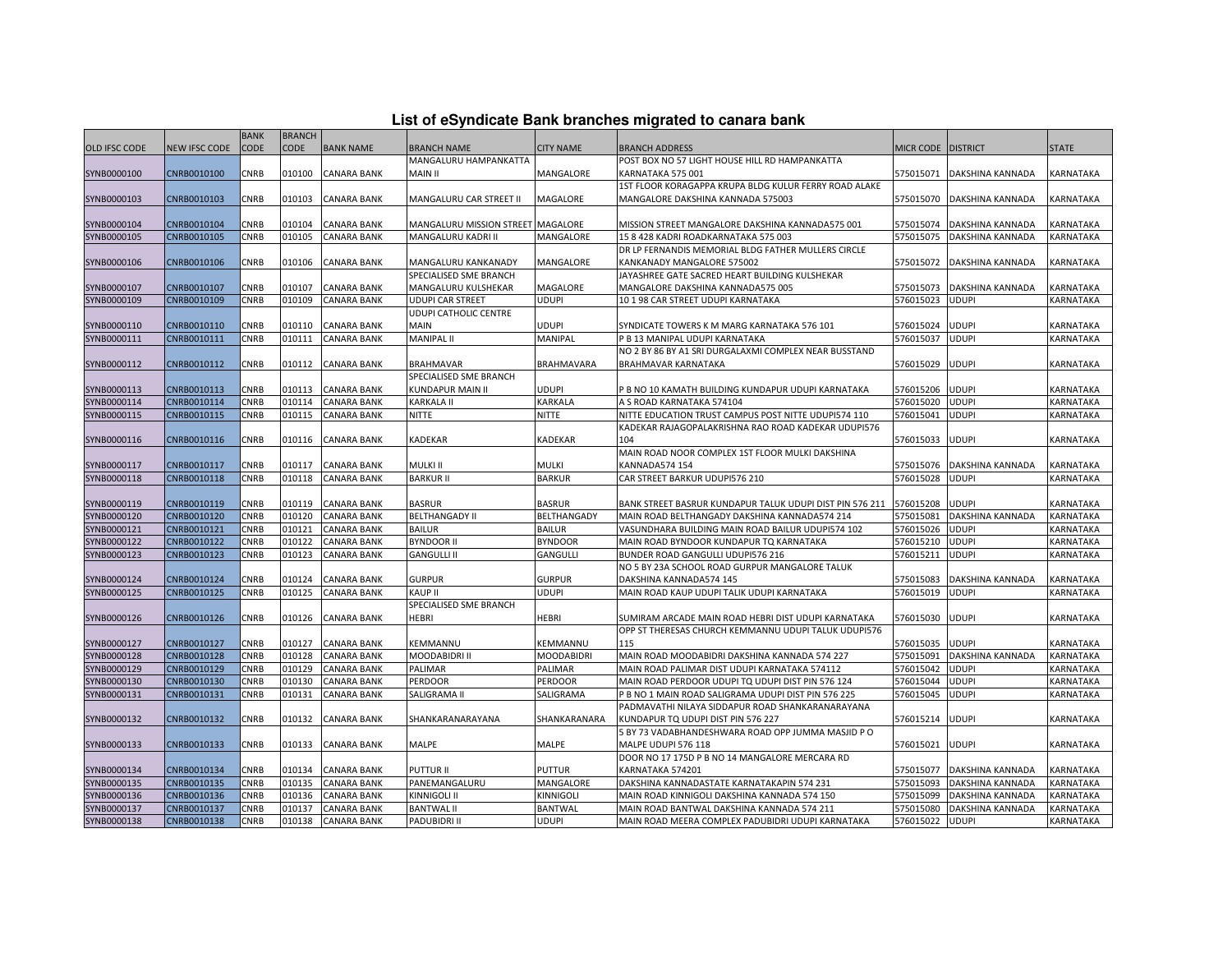| List of eSyndicate Bank branches migrated to canara bank |  |  |
|----------------------------------------------------------|--|--|
|                                                          |  |  |

|               |               | <b>BANK</b> | <b>BRANCH</b> |                    |                                   |                   |                                                          |           |                  |              |
|---------------|---------------|-------------|---------------|--------------------|-----------------------------------|-------------------|----------------------------------------------------------|-----------|------------------|--------------|
| OLD IFSC CODE | NEW IFSC CODE | CODE        | <b>CODE</b>   | <b>BANK NAME</b>   | BRANCH NAME                       | <b>CITY NAME</b>  | <b>BRANCH ADDRESS</b>                                    | MICR CODE | <b>DISTRICT</b>  | <b>STATE</b> |
|               |               |             |               |                    | MANGALURU HAMPANKATTA             |                   | POST BOX NO 57 LIGHT HOUSE HILL RD HAMPANKATTA           |           |                  |              |
| SYNB0000100   | CNRB0010100   | CNRB        | 010100        | <b>CANARA BANK</b> | MAIN II                           | MANGALORE         | <b>KARNATAKA 575 001</b>                                 | 575015071 | DAKSHINA KANNADA | KARNATAKA    |
|               |               |             |               |                    |                                   |                   | 1ST FLOOR KORAGAPPA KRUPA BLDG KULUR FERRY ROAD ALAKE    |           |                  |              |
| SYNB0000103   | CNRB0010103   | CNRB        | 010103        | <b>CANARA BANK</b> | MANGALURU CAR STREET II           | MAGALORE          | MANGALORE DAKSHINA KANNADA 575003                        | 575015070 | DAKSHINA KANNADA | KARNATAKA    |
|               |               |             |               |                    |                                   |                   |                                                          |           |                  |              |
| SYNB0000104   | CNRB0010104   | CNRB        | 010104        | <b>CANARA BANK</b> | MANGALURU MISSION STREET MAGALORE |                   | MISSION STREET MANGALORE DAKSHINA KANNADA575 001         | 575015074 | DAKSHINA KANNADA | KARNATAKA    |
| SYNB0000105   | CNRB0010105   | CNRB        | 010105        | <b>CANARA BANK</b> | MANGALURU KADRI II                | MANGALORE         | 15 8 428 KADRI ROADKARNATAKA 575 003                     | 575015075 | DAKSHINA KANNADA | KARNATAKA    |
|               |               |             |               |                    |                                   |                   | DR LP FERNANDIS MEMORIAL BLDG FATHER MULLERS CIRCLE      |           |                  |              |
| SYNB0000106   | CNRB0010106   | CNRB        | 010106        | CANARA BANK        | MANGALURU KANKANADY               | MANGALORE         | KANKANADY MANGALORE 575002                               | 575015072 | DAKSHINA KANNADA | KARNATAKA    |
|               |               |             |               |                    | SPECIALISED SME BRANCH            |                   | JAYASHREE GATE SACRED HEART BUILDING KULSHEKAR           |           |                  |              |
| SYNB0000107   | CNRB0010107   | CNRB        | 010107        | <b>CANARA BANK</b> | MANGALURU KULSHEKAR               | MAGALORE          | MANGALORE DAKSHINA KANNADA575 005                        | 575015073 | DAKSHINA KANNADA | KARNATAKA    |
| SYNB0000109   | CNRB0010109   | CNRB        | 010109        | <b>CANARA BANK</b> | <b>UDUPI CAR STREET</b>           | UDUPI             | 10198 CAR STREET UDUPI KARNATAKA                         | 576015023 | <b>UDUPI</b>     | KARNATAKA    |
|               |               |             |               |                    | UDUPI CATHOLIC CENTRE             |                   |                                                          |           |                  |              |
| SYNB0000110   | CNRB0010110   | CNRB        | 010110        | <b>CANARA BANK</b> | MAIN                              | UDUPI             | SYNDICATE TOWERS K M MARG KARNATAKA 576 101              | 576015024 | UDUPI            | KARNATAKA    |
| SYNB0000111   | CNRB0010111   | CNRB        | 010111        | <b>CANARA BANK</b> | MANIPAL II                        | MANIPAL           | P B 13 MANIPAL UDUPI KARNATAKA                           | 576015037 | <b>UDUPI</b>     | KARNATAKA    |
|               |               |             |               |                    |                                   |                   | NO 2 BY 86 BY A1 SRI DURGALAXMI COMPLEX NEAR BUSSTAND    |           |                  |              |
| SYNB0000112   | CNRB0010112   | CNRB        | 010112        | <b>CANARA BANK</b> | <b>BRAHMAVAR</b>                  | <b>BRAHMAVARA</b> | BRAHMAVAR KARNATAKA                                      | 576015029 | UDUPI            | KARNATAKA    |
|               |               |             |               |                    | SPECIALISED SME BRANCH            |                   |                                                          |           |                  |              |
| SYNB0000113   | CNRB0010113   | CNRB        | 010113        | <b>CANARA BANK</b> | KUNDAPUR MAIN II                  | udupi             | B NO 10 KAMATH BUILDING KUNDAPUR UDUPI KARNATAKA         | 576015206 | UDUPI            | KARNATAKA    |
| SYNB0000114   | CNRB0010114   | CNRB        | 010114        | CANARA BANK        | KARKALA II                        | KARKALA           | A S ROAD KARNATAKA 574104                                | 576015020 | <b>UDUPI</b>     | KARNATAKA    |
| SYNB0000115   | CNRB0010115   | CNRB        | 010115        | <b>CANARA BANK</b> | NITTE                             | <b>NITTE</b>      | NITTE EDUCATION TRUST CAMPUS POST NITTE UDUPI574 110     | 576015041 | <b>UDUPI</b>     | KARNATAKA    |
|               |               |             |               |                    |                                   |                   | KADEKAR RAJAGOPALAKRISHNA RAO ROAD KADEKAR UDUPI576      |           |                  |              |
| SYNB0000116   | CNRB0010116   | CNRB        | 010116        | <b>CANARA BANK</b> | KADEKAR                           | KADEKAR           | 104                                                      | 576015033 | UDUPI            | KARNATAKA    |
|               |               |             |               |                    |                                   |                   | MAIN ROAD NOOR COMPLEX 1ST FLOOR MULKI DAKSHINA          |           |                  |              |
| SYNB0000117   | CNRB0010117   | CNRB        | 010117        | <b>CANARA BANK</b> | MULKI II                          | MULKI             | KANNADA574 154                                           | 575015076 | DAKSHINA KANNADA | KARNATAKA    |
| SYNB0000118   | CNRB0010118   | CNRB        | 010118        | <b>CANARA BANK</b> | <b>BARKUR II</b>                  | <b>BARKUR</b>     | CAR STREET BARKUR UDUPI576 210                           | 576015028 | <b>UDUPI</b>     | KARNATAKA    |
|               |               |             |               |                    |                                   |                   |                                                          |           |                  |              |
| SYNB0000119   | CNRB0010119   | CNRB        | 010119        | <b>CANARA BANK</b> | <b>BASRUR</b>                     | <b>BASRUR</b>     | BANK STREET BASRUR KUNDAPUR TALUK UDUPI DIST PIN 576 211 | 576015208 | UDUPI            | KARNATAKA    |
| SYNB0000120   | CNRB0010120   | CNRB        | 010120        | <b>CANARA BANK</b> | <b>BELTHANGADY II</b>             | BELTHANGADY       | MAIN ROAD BELTHANGADY DAKSHINA KANNADA574 214            | 575015081 | DAKSHINA KANNADA | KARNATAKA    |
| SYNB0000121   | CNRB0010121   | CNRB        | 010121        | CANARA BANK        | <b>BAILUR</b>                     | <b>BAILUR</b>     | VASUNDHARA BUILDING MAIN ROAD BAILUR UDUPI574 102        | 576015026 | UDUPI            | KARNATAKA    |
| SYNB0000122   | CNRB0010122   | CNRB        | 010122        | <b>CANARA BANK</b> | <b>BYNDOOR II</b>                 | <b>BYNDOOR</b>    | MAIN ROAD BYNDOOR KUNDAPUR TQ KARNATAKA                  | 576015210 | UDUPI            | KARNATAKA    |
| SYNB0000123   | CNRB0010123   | CNRB        | 010123        | CANARA BANK        | <b>GANGULLI II</b>                | GANGULLI          | BUNDER ROAD GANGULLI UDUPI576 216                        | 576015211 | <b>UDUPI</b>     | KARNATAKA    |
|               |               |             |               |                    |                                   |                   | NO 5 BY 23A SCHOOL ROAD GURPUR MANGALORE TALUK           |           |                  |              |
| SYNB0000124   | CNRB0010124   | CNRB        | 010124        | <b>CANARA BANK</b> | <b>GURPUR</b>                     | <b>GURPUR</b>     | DAKSHINA KANNADA574 145                                  | 575015083 | DAKSHINA KANNADA | KARNATAKA    |
| SYNB0000125   | CNRB0010125   | CNRB        | 010125        | <b>CANARA BANK</b> | KAUP II                           | <b>UDUPI</b>      | MAIN ROAD KAUP UDUPI TALIK UDUPI KARNATAKA               | 576015019 | <b>UDUPI</b>     | KARNATAKA    |
|               |               |             |               |                    | SPECIALISED SME BRANCH            |                   |                                                          |           |                  |              |
| SYNB0000126   | CNRB0010126   | CNRB        | 010126        | CANARA BANK        | HEBRI                             | <b>HEBRI</b>      | SUMIRAM ARCADE MAIN ROAD HEBRI DIST UDUPI KARNATAKA      | 576015030 | UDUPI            | KARNATAKA    |
|               |               |             |               |                    |                                   |                   | OPP ST THERESAS CHURCH KEMMANNU UDUPI TALUK UDUPI576     |           |                  |              |
| SYNB0000127   | CNRB0010127   | CNRB        | 010127        | <b>CANARA BANK</b> | KEMMANNU                          | KEMMANNU          | 115                                                      | 576015035 | UDUPI            | KARNATAKA    |
| SYNB0000128   | CNRB0010128   | CNRB        | 010128        | CANARA BANK        | MOODABIDRI II                     | MOODABIDRI        | MAIN ROAD MOODABIDRI DAKSHINA KANNADA 574 227            | 575015091 | DAKSHINA KANNADA | KARNATAKA    |
| SYNB0000129   | CNRB0010129   | CNRB        | 010129        | CANARA BANK        | PALIMAR                           | PALIMAR           | MAIN ROAD PALIMAR DIST UDUPI KARNATAKA 574112            | 576015042 | <b>UDUPI</b>     | KARNATAKA    |
| SYNB0000130   | CNRB0010130   | CNRB        | 010130        | CANARA BANK        | PERDOOR                           | PERDOOR           | MAIN ROAD PERDOOR UDUPI TQ UDUPI DIST PIN 576 124        | 576015044 | <b>UDUPI</b>     | KARNATAKA    |
| SYNB0000131   | CNRB0010131   | CNRB        | 010131        | CANARA BANK        | SALIGRAMA II                      | SALIGRAMA         | P B NO 1 MAIN ROAD SALIGRAMA UDUPI DIST PIN 576 225      | 576015045 | <b>UDUPI</b>     | KARNATAKA    |
|               |               |             |               |                    |                                   |                   | PADMAVATHI NILAYA SIDDAPUR ROAD SHANKARANARAYANA         |           |                  |              |
| SYNB0000132   | CNRB0010132   | CNRB        | 010132        | <b>CANARA BANK</b> | SHANKARANARAYANA                  | SHANKARANARA      | KUNDAPUR TQ UDUPI DIST PIN 576 227                       | 576015214 | UDUPI            | KARNATAKA    |
|               |               |             |               |                    |                                   |                   | 5 BY 73 VADABHANDESHWARA ROAD OPP JUMMA MASJID PO        |           |                  |              |
| SYNB0000133   | CNRB0010133   | CNRB        | 010133        | <b>CANARA BANK</b> | MALPE                             | MALPE             | MALPE UDUPI 576 118                                      | 576015021 | UDUPI            | KARNATAKA    |
|               |               |             |               |                    |                                   |                   | DOOR NO 17 175D P B NO 14 MANGALORE MERCARA RD           |           |                  |              |
| SYNB0000134   | CNRB0010134   | CNRB        | 010134        | <b>CANARA BANK</b> | <b>PUTTUR II</b>                  | <b>PUTTUR</b>     | KARNATAKA 574201                                         | 575015077 | DAKSHINA KANNADA | KARNATAKA    |
| SYNB0000135   | CNRB0010135   | CNRB        | 010135        | <b>CANARA BANK</b> | PANEMANGALURU                     | MANGALORE         | DAKSHINA KANNADASTATE KARNATAKAPIN 574 231               | 575015093 | DAKSHINA KANNADA | KARNATAKA    |
| SYNB0000136   | CNRB0010136   | CNRB        | 010136        | CANARA BANK        | KINNIGOLI II                      | KINNIGOLI         | MAIN ROAD KINNIGOLI DAKSHINA KANNADA 574 150             | 575015099 | DAKSHINA KANNADA | KARNATAKA    |
| SYNB0000137   | CNRB0010137   | CNRB        | 010137        | CANARA BANK        | <b>BANTWAL II</b>                 | BANTWAL           | MAIN ROAD BANTWAL DAKSHINA KANNADA 574 211               | 575015080 | DAKSHINA KANNADA | KARNATAKA    |
| SYNB0000138   | CNRB0010138   | CNRB        | 010138        | <b>CANARA BANK</b> | PADUBIDRI II                      | UDUPI             | MAIN ROAD MEERA COMPLEX PADUBIDRI UDUPI KARNATAKA        | 576015022 | <b>UDUPI</b>     | KARNATAKA    |
|               |               |             |               |                    |                                   |                   |                                                          |           |                  |              |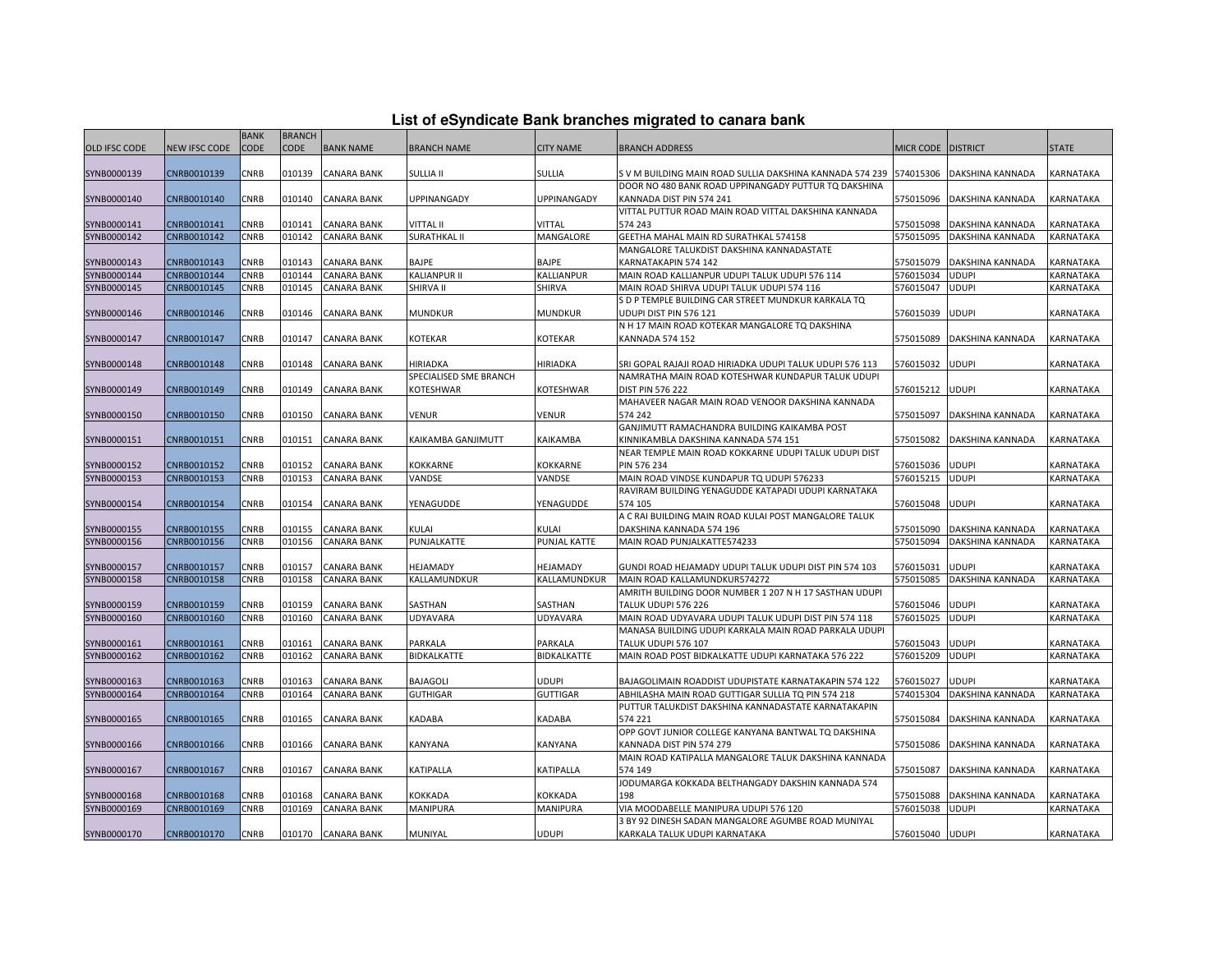| List of eSyndicate Bank branches migrated to canara bank |  |  |
|----------------------------------------------------------|--|--|
|                                                          |  |  |

|                            |                            | <b>BANK</b> | <b>BRANCH</b> |                                   |                        |                     |                                                              |                  |                                  |                        |
|----------------------------|----------------------------|-------------|---------------|-----------------------------------|------------------------|---------------------|--------------------------------------------------------------|------------------|----------------------------------|------------------------|
| <b>OLD IFSC CODE</b>       | NEW IFSC CODE              | CODE        | <b>CODE</b>   | <b>BANK NAME</b>                  | <b>BRANCH NAME</b>     | <b>CITY NAME</b>    | <b>BRANCH ADDRESS</b>                                        | <b>MICR CODE</b> | <b>DISTRICT</b>                  | <b>STATE</b>           |
|                            |                            |             |               |                                   |                        |                     |                                                              |                  |                                  |                        |
| SYNB0000139                | CNRB0010139                | CNRB        | 010139        | <b>CANARA BANK</b>                | SULLIA II              | <b>SULLIA</b>       | S V M BUILDING MAIN ROAD SULLIA DAKSHINA KANNADA 574 239     | 574015306        | DAKSHINA KANNADA                 | KARNATAKA              |
|                            |                            |             |               |                                   |                        |                     | DOOR NO 480 BANK ROAD UPPINANGADY PUTTUR TO DAKSHINA         |                  |                                  |                        |
| SYNB0000140                | CNRB0010140                | CNRB        | 010140        | <b>CANARA BANK</b>                | UPPINANGADY            | UPPINANGADY         | KANNADA DIST PIN 574 241                                     | 575015096        | DAKSHINA KANNADA                 | KARNATAKA              |
|                            |                            |             |               |                                   |                        |                     | VITTAL PUTTUR ROAD MAIN ROAD VITTAL DAKSHINA KANNADA         |                  |                                  |                        |
| SYNB0000141                | CNRB0010141                | <b>CNRB</b> | 010141        | <b>CANARA BANK</b>                | <b>VITTAL II</b>       | <b>VITTAL</b>       | 574 243                                                      | 575015098        | DAKSHINA KANNADA                 | KARNATAKA              |
| SYNB0000142                | CNRB0010142                | <b>CNRB</b> | 010142        | <b>CANARA BANK</b>                | <b>SURATHKAL II</b>    | MANGALORE           | GEETHA MAHAL MAIN RD SURATHKAL 574158                        | 575015095        | DAKSHINA KANNADA                 | KARNATAKA              |
|                            |                            |             |               |                                   |                        |                     | MANGALORE TALUKDIST DAKSHINA KANNADASTATE                    |                  |                                  |                        |
| SYNB0000143                | CNRB0010143                | CNRB        | 010143        | <b>CANARA BANK</b>                | BAJPE                  | BAJPE               | KARNATAKAPIN 574 142                                         | 575015079        | DAKSHINA KANNADA                 | KARNATAKA              |
| SYNB0000144                | CNRB0010144                | <b>CNRB</b> | 010144        | <b>CANARA BANK</b>                | <b>KALIANPUR II</b>    | KALLIANPUR          | MAIN ROAD KALLIANPUR UDUPI TALUK UDUPI 576 114               | 576015034        | <b>UDUPI</b>                     | KARNATAKA              |
| SYNB0000145                | CNRB0010145                | CNRB        | 010145        | <b>CANARA BANK</b>                | SHIRVA II              | <b>SHIRVA</b>       | MAIN ROAD SHIRVA UDUPI TALUK UDUPI 574 116                   | 576015047        | <b>UDUPI</b>                     | KARNATAKA              |
|                            |                            |             |               |                                   |                        |                     | S D P TEMPLE BUILDING CAR STREET MUNDKUR KARKALA TQ          |                  |                                  |                        |
| SYNB0000146                | CNRB0010146                | CNRB        | 010146        | <b>CANARA BANK</b>                | <b>MUNDKUR</b>         | <b>MUNDKUR</b>      | UDUPI DIST PIN 576 121                                       | 576015039        | <b>UDUPI</b>                     | KARNATAKA              |
|                            |                            |             |               |                                   |                        |                     | N H 17 MAIN ROAD KOTEKAR MANGALORE TO DAKSHINA               |                  |                                  |                        |
| SYNB0000147                | CNRB0010147                | CNRB        | 010147        | <b>CANARA BANK</b>                | KOTEKAR                | KOTEKAR             | <b>KANNADA 574 152</b>                                       | 575015089        | DAKSHINA KANNADA                 | KARNATAKA              |
|                            | CNRB0010148                | CNRB        | 010148        | <b>CANARA BANK</b>                | HIRIADKA               | HIRIADKA            | SRI GOPAL RAJAJI ROAD HIRIADKA UDUPI TALUK UDUPI 576 113     | 576015032        | <b>UDUPI</b>                     | KARNATAKA              |
| SYNB0000148                |                            |             |               |                                   | SPECIALISED SME BRANCH |                     | NAMRATHA MAIN ROAD KOTESHWAR KUNDAPUR TALUK UDUPI            |                  |                                  |                        |
| SYNB0000149                | CNRB0010149                | CNRB        | 010149        | <b>CANARA BANK</b>                | KOTESHWAR              | KOTESHWAR           | <b>DIST PIN 576 222</b>                                      | 576015212        | <b>UDUPI</b>                     | KARNATAKA              |
|                            |                            |             |               |                                   |                        |                     | MAHAVEER NAGAR MAIN ROAD VENOOR DAKSHINA KANNADA             |                  |                                  |                        |
| SYNB0000150                | CNRB0010150                | CNRB        | 010150        | <b>CANARA BANK</b>                | VENUR                  | VENUR               | 574 242                                                      | 575015097        | DAKSHINA KANNADA                 | KARNATAKA              |
|                            |                            |             |               |                                   |                        |                     | GANJIMUTT RAMACHANDRA BUILDING KAIKAMBA POST                 |                  |                                  |                        |
| SYNB0000151                | CNRB0010151                | <b>CNRB</b> | 010151        | <b>CANARA BANK</b>                | KAIKAMBA GANJIMUTT     | KAIKAMBA            | KINNIKAMBLA DAKSHINA KANNADA 574 151                         | 575015082        | DAKSHINA KANNADA                 | KARNATAKA              |
|                            |                            |             |               |                                   |                        |                     | NEAR TEMPLE MAIN ROAD KOKKARNE UDUPI TALUK UDUPI DIST        |                  |                                  |                        |
| SYNB0000152                | CNRB0010152                | CNRB        | 010152        | <b>CANARA BANK</b>                | KOKKARNE               | KOKKARNE            | PIN 576 234                                                  | 576015036        | <b>UDUPI</b>                     | KARNATAKA              |
| SYNB0000153                | CNRB0010153                | CNRB        | 010153        | <b>CANARA BANK</b>                | VANDSE                 | VANDSE              | MAIN ROAD VINDSE KUNDAPUR TO UDUPI 576233                    | 576015215        | <b>UDUPI</b>                     | KARNATAKA              |
|                            |                            |             |               |                                   |                        |                     | RAVIRAM BUILDING YENAGUDDE KATAPADI UDUPI KARNATAKA          |                  |                                  |                        |
| SYNB0000154                | CNRB0010154                | CNRB        | 010154        | <b>CANARA BANK</b>                | YENAGUDDE              | YENAGUDDE           | 574 105                                                      | 576015048        | UDUPI                            | KARNATAKA              |
|                            |                            |             |               |                                   |                        |                     | A C RAI BUILDING MAIN ROAD KULAI POST MANGALORE TALUK        |                  |                                  |                        |
| SYNB0000155                | CNRB0010155                | CNRB        | 010155        | <b>CANARA BANK</b>                | KULAI                  | KULAI               | DAKSHINA KANNADA 574 196                                     | 575015090        | DAKSHINA KANNADA                 | KARNATAKA              |
| SYNB0000156                | CNRB0010156                | CNRB        | 010156        | <b>CANARA BANK</b>                | PUNJALKATTE            | <b>PUNJAL KATTE</b> | MAIN ROAD PUNJALKATTE574233                                  | 575015094        | DAKSHINA KANNADA                 | KARNATAKA              |
|                            |                            |             |               |                                   |                        |                     |                                                              |                  |                                  |                        |
| SYNB0000157                | CNRB0010157                | CNRB        | 010157        | <b>CANARA BANK</b>                | HEJAMADY               | HEJAMADY            | GUNDI ROAD HEJAMADY UDUPI TALUK UDUPI DIST PIN 574 103       | 576015031        | UDUPI                            | KARNATAKA              |
| SYNB0000158                | CNRB0010158                | CNRB        | 010158        | <b>CANARA BANK</b>                | KALLAMUNDKUR           | KALLAMUNDKUR        | MAIN ROAD KALLAMUNDKUR574272                                 | 575015085        | DAKSHINA KANNADA                 | KARNATAKA              |
|                            |                            |             |               |                                   |                        |                     | AMRITH BUILDING DOOR NUMBER 1 207 N H 17 SASTHAN UDUPI       |                  |                                  |                        |
| SYNB0000159                | CNRB0010159                | CNRB        | 010159        | <b>CANARA BANK</b>                | SASTHAN                | SASTHAN             | TALUK UDUPI 576 226                                          | 576015046        | <b>UDUPI</b>                     | KARNATAKA              |
| SYNB0000160                | CNRB0010160                | CNRB        | 010160        | <b>CANARA BANK</b>                | UDYAVARA               | UDYAVARA            | MAIN ROAD UDYAVARA UDUPI TALUK UDUPI DIST PIN 574 118        | 576015025        | <b>UDUPI</b>                     | KARNATAKA              |
|                            |                            |             |               |                                   |                        |                     | MANASA BUILDING UDUPI KARKALA MAIN ROAD PARKALA UDUPI        |                  |                                  |                        |
| SYNB0000161                | CNRB0010161                | CNRB        | 010161        | <b>CANARA BANK</b>                | PARKALA                | PARKALA             | <b>TALUK UDUPI 576 107</b>                                   | 576015043        | UDUPI                            | KARNATAKA              |
| SYNB0000162                | CNRB0010162                | CNRB        | 010162        | <b>CANARA BANK</b>                | BIDKALKATTE            | BIDKALKATTE         | MAIN ROAD POST BIDKALKATTE UDUPI KARNATAKA 576 222           | 576015209        | <b>UDUPI</b>                     | KARNATAKA              |
|                            |                            |             |               |                                   |                        |                     |                                                              |                  |                                  |                        |
| SYNB0000163                | CNRB0010163                | CNRB        | 010163        | <b>CANARA BANK</b>                | BAJAGOLI               | JDUPI               | BAJAGOLIMAIN ROADDIST UDUPISTATE KARNATAKAPIN 574 122        | 576015027        | udupi                            | KARNATAKA              |
| SYNB0000164                | CNRB0010164                | CNRB        | 010164        | <b>CANARA BANK</b>                | <b>GUTHIGAR</b>        | <b>GUTTIGAR</b>     | ABHILASHA MAIN ROAD GUTTIGAR SULLIA TO PIN 574 218           | 574015304        | DAKSHINA KANNADA                 | KARNATAKA              |
|                            |                            |             |               |                                   |                        |                     | PUTTUR TALUKDIST DAKSHINA KANNADASTATE KARNATAKAPIN          |                  |                                  |                        |
| SYNB0000165                | CNRB0010165                | CNRB        | 010165        | CANARA BANK                       | KADABA                 | KADABA              | 574 221                                                      | 575015084        | DAKSHINA KANNADA                 | KARNATAKA              |
|                            |                            |             |               |                                   |                        |                     | OPP GOVT JUNIOR COLLEGE KANYANA BANTWAL TQ DAKSHINA          |                  |                                  |                        |
| SYNB0000166                | CNRB0010166                | CNRB        | 010166        | <b>CANARA BANK</b>                | KANYANA                | KANYANA             | KANNADA DIST PIN 574 279                                     | 575015086        | DAKSHINA KANNADA                 | KARNATAKA              |
|                            |                            |             |               |                                   |                        |                     | MAIN ROAD KATIPALLA MANGALORE TALUK DAKSHINA KANNADA         |                  |                                  |                        |
| SYNB0000167                | CNRB0010167                | CNRB        | 010167        | <b>CANARA BANK</b>                | KATIPALLA              | KATIPALLA           | 574 149<br>JODUMARGA KOKKADA BELTHANGADY DAKSHIN KANNADA 574 | 575015087        | DAKSHINA KANNADA                 | KARNATAKA              |
|                            |                            | CNRB        | 010168        |                                   | KOKKADA                |                     | 198                                                          | 575015088        |                                  |                        |
| SYNB0000168<br>SYNB0000169 | CNRB0010168<br>CNRB0010169 | CNRB        | 010169        | CANARA BANK<br><b>CANARA BANK</b> | <b>MANIPURA</b>        | KOKKADA<br>MANIPURA | VIA MOODABELLE MANIPURA UDUPI 576 120                        | 576015038        | DAKSHINA KANNADA<br><b>UDUPI</b> | KARNATAKA<br>KARNATAKA |
|                            |                            |             |               |                                   |                        |                     | 3 BY 92 DINESH SADAN MANGALORE AGUMBE ROAD MUNIYAL           |                  |                                  |                        |
| SYNB0000170                | CNRB0010170                | <b>CNRB</b> |               | 010170 CANARA BANK                | MUNIYAL                | <b>UDUPI</b>        | KARKALA TALUK UDUPI KARNATAKA                                | 576015040        | <b>UDUPI</b>                     | KARNATAKA              |
|                            |                            |             |               |                                   |                        |                     |                                                              |                  |                                  |                        |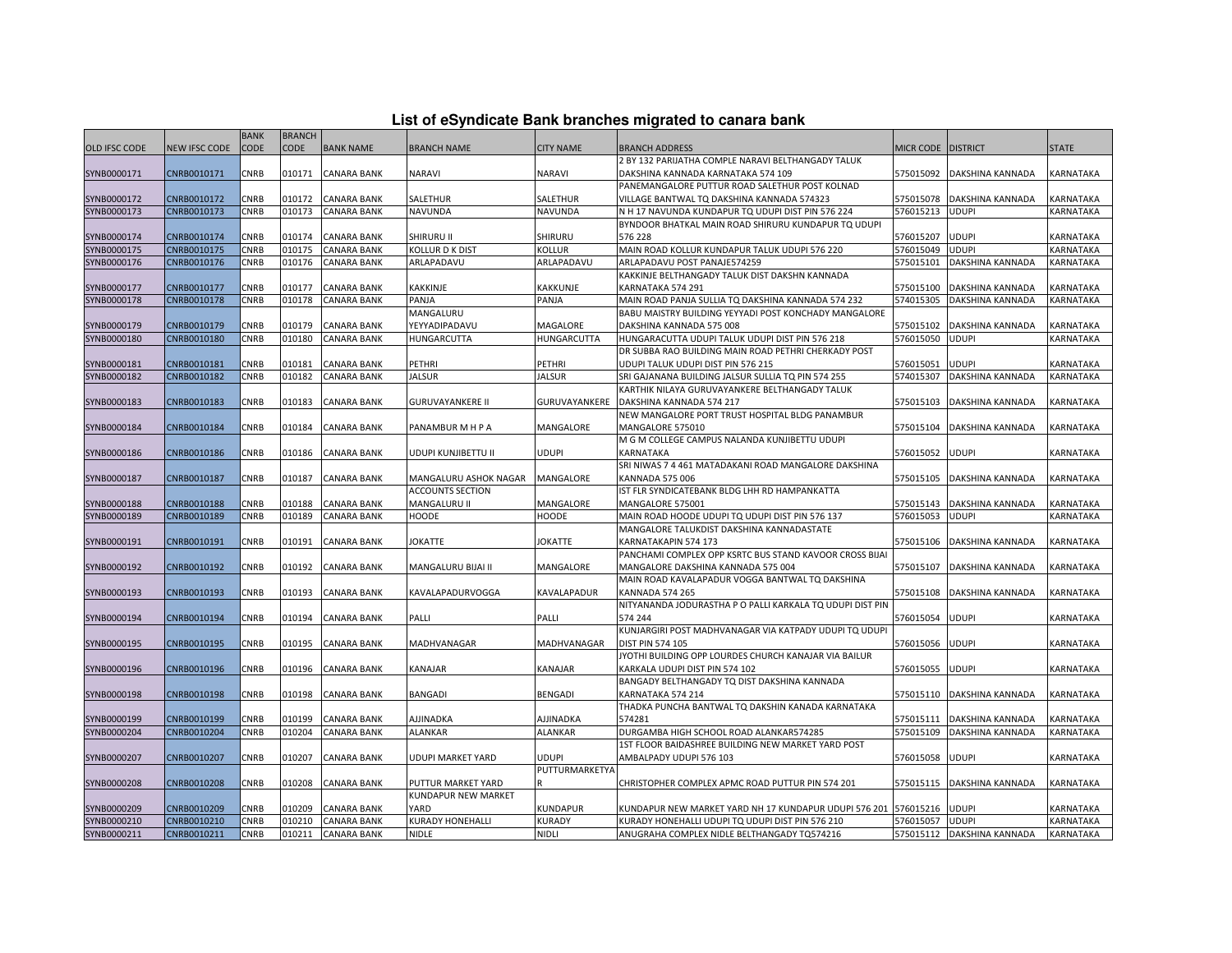|  | List of eSyndicate Bank branches migrated to canara bank |  |  |  |  |
|--|----------------------------------------------------------|--|--|--|--|
|  |                                                          |  |  |  |  |

|                      |                      | <b>BANK</b> | <b>BRANCH</b> |                    |                            |                      |                                                           |                    |                  |                  |
|----------------------|----------------------|-------------|---------------|--------------------|----------------------------|----------------------|-----------------------------------------------------------|--------------------|------------------|------------------|
| <b>OLD IFSC CODE</b> | <b>NEW IFSC CODE</b> | <b>CODE</b> | CODE          | <b>BANK NAME</b>   | <b>BRANCH NAME</b>         | <b>CITY NAME</b>     | <b>BRANCH ADDRESS</b>                                     | MICR CODE DISTRICT |                  | <b>STATE</b>     |
|                      |                      |             |               |                    |                            |                      | 2 BY 132 PARIJATHA COMPLE NARAVI BELTHANGADY TALUK        |                    |                  |                  |
| SYNB0000171          | CNRB0010171          | CNRB        | 010171        | <b>CANARA BANK</b> | <b>NARAVI</b>              | <b>NARAVI</b>        | DAKSHINA KANNADA KARNATAKA 574 109                        | 575015092          | DAKSHINA KANNADA | KARNATAKA        |
|                      |                      |             |               |                    |                            |                      | PANEMANGALORE PUTTUR ROAD SALETHUR POST KOLNAD            |                    |                  |                  |
| SYNB0000172          | CNRB0010172          | CNRB        | 010172        | <b>CANARA BANK</b> | SALETHUR                   | SALETHUR             | VILLAGE BANTWAL TQ DAKSHINA KANNADA 574323                | 575015078          | DAKSHINA KANNADA | KARNATAKA        |
| SYNB0000173          | CNRB0010173          | <b>CNRB</b> | 010173        | <b>CANARA BANK</b> | <b>NAVUNDA</b>             | <b>NAVUNDA</b>       | N H 17 NAVUNDA KUNDAPUR TQ UDUPI DIST PIN 576 224         | 576015213          | <b>UDUPI</b>     | KARNATAKA        |
|                      |                      |             |               |                    |                            |                      | BYNDOOR BHATKAL MAIN ROAD SHIRURU KUNDAPUR TQ UDUPI       |                    |                  |                  |
| SYNB0000174          | CNRB0010174          | CNRB        | 010174        | <b>CANARA BANK</b> | SHIRURU II                 | <b>SHIRURU</b>       | 576 228                                                   | 576015207          | <b>UDUPI</b>     | KARNATAKA        |
| SYNB0000175          | CNRB0010175          | <b>CNRB</b> | 010175        | <b>CANARA BANK</b> | <b>KOLLUR D K DIST</b>     | <b>KOLLUR</b>        | MAIN ROAD KOLLUR KUNDAPUR TALUK UDUPI 576 220             | 576015049          | <b>UDUPI</b>     | KARNATAKA        |
| SYNB0000176          | CNRB0010176          | CNRB        | 010176        | <b>CANARA BANK</b> | ARLAPADAVU                 | ARLAPADAVU           | ARLAPADAVU POST PANAJE574259                              | 575015101          | DAKSHINA KANNADA | KARNATAKA        |
|                      |                      |             |               |                    |                            |                      | KAKKINJE BELTHANGADY TALUK DIST DAKSHN KANNADA            |                    |                  |                  |
| SYNB0000177          | CNRB0010177          | CNRB        | 010177        | <b>CANARA BANK</b> | KAKKINJE                   | KAKKUNJE             | KARNATAKA 574 291                                         | 575015100          | DAKSHINA KANNADA | KARNATAKA        |
| SYNB0000178          | CNRB0010178          | CNRB        | 010178        | <b>CANARA BANK</b> | PANJA                      | PANJA                | MAIN ROAD PANJA SULLIA TO DAKSHINA KANNADA 574 232        | 574015305          | DAKSHINA KANNADA | KARNATAKA        |
|                      |                      |             |               |                    | MANGALURU                  |                      | BABU MAISTRY BUILDING YEYYADI POST KONCHADY MANGALORE     |                    |                  |                  |
| SYNB0000179          | CNRB0010179          | CNRB        | 010179        | <b>CANARA BANK</b> | YEYYADIPADAVU              | MAGALORE             | DAKSHINA KANNADA 575 008                                  | 575015102          | DAKSHINA KANNADA | KARNATAKA        |
| SYNB0000180          | CNRB0010180          | CNRB        | 010180        | <b>CANARA BANK</b> | HUNGARCUTTA                | HUNGARCUTTA          | HUNGARACUTTA UDUPI TALUK UDUPI DIST PIN 576 218           | 576015050          | <b>UDUPI</b>     | KARNATAKA        |
|                      |                      |             |               |                    |                            |                      | DR SUBBA RAO BUILDING MAIN ROAD PETHRI CHERKADY POST      |                    |                  |                  |
| SYNB0000181          | CNRB0010181          | CNRB        | 010181        | <b>CANARA BANK</b> | PETHRI                     | <b>PETHRI</b>        | UDUPI TALUK UDUPI DIST PIN 576 215                        | 576015051          | <b>UDUPI</b>     | KARNATAKA        |
| SYNB0000182          | CNRB0010182          | CNRB        | 010182        | <b>CANARA BANK</b> | <b>JALSUR</b>              | <b>JALSUR</b>        | SRI GAJANANA BUILDING JALSUR SULLIA TO PIN 574 255        | 574015307          | DAKSHINA KANNADA | KARNATAKA        |
|                      |                      |             |               |                    |                            |                      | KARTHIK NILAYA GURUVAYANKERE BELTHANGADY TALUK            |                    |                  |                  |
| SYNB0000183          | CNRB0010183          | CNRB        | 010183        | <b>CANARA BANK</b> | <b>GURUVAYANKERE II</b>    | <b>GURUVAYANKERE</b> | DAKSHINA KANNADA 574 217                                  | 575015103          | DAKSHINA KANNADA | KARNATAKA        |
|                      |                      |             |               |                    |                            |                      | NEW MANGALORE PORT TRUST HOSPITAL BLDG PANAMBUR           |                    |                  |                  |
| SYNB0000184          | CNRB0010184          | CNRB        | 010184        | <b>CANARA BANK</b> | PANAMBUR M H P A           | MANGALORE            | MANGALORE 575010                                          | 575015104          | DAKSHINA KANNADA | <b>KARNATAKA</b> |
|                      |                      |             |               |                    |                            |                      | M G M COLLEGE CAMPUS NALANDA KUNJIBETTU UDUPI             |                    |                  |                  |
| SYNB0000186          | CNRB0010186          | CNRB        | 010186        | <b>CANARA BANK</b> | UDUPI KUNJIBETTU II        | UDUPI                | KARNATAKA                                                 | 576015052          | <b>UDUPI</b>     | KARNATAKA        |
|                      |                      |             |               |                    |                            |                      | SRI NIWAS 7 4 461 MATADAKANI ROAD MANGALORE DAKSHINA      |                    |                  |                  |
| SYNB0000187          | CNRB0010187          | <b>CNRB</b> | 010187        | <b>CANARA BANK</b> | MANGALURU ASHOK NAGAR      | MANGALORE            | KANNADA 575 006                                           | 575015105          | DAKSHINA KANNADA | <b>KARNATAKA</b> |
|                      |                      |             |               |                    | <b>ACCOUNTS SECTION</b>    |                      | IST FLR SYNDICATEBANK BLDG LHH RD HAMPANKATTA             |                    |                  |                  |
| SYNB0000188          | CNRB0010188          | CNRB        | 010188        | <b>CANARA BANK</b> | MANGALURU II               | MANGALORE            | MANGALORE 575001                                          | 575015143          | DAKSHINA KANNADA | KARNATAKA        |
| SYNB0000189          | CNRB0010189          | <b>CNRB</b> | 010189        | <b>CANARA BANK</b> | <b>HOODE</b>               | <b>HOODE</b>         | MAIN ROAD HOODE UDUPI TQ UDUPI DIST PIN 576 137           | 576015053          | <b>UDUPI</b>     | KARNATAKA        |
|                      |                      |             |               |                    |                            |                      | MANGALORE TALUKDIST DAKSHINA KANNADASTATE                 |                    |                  |                  |
| SYNB0000191          | CNRB0010191          | CNRB        | 010191        | <b>CANARA BANK</b> | <b>JOKATTE</b>             | <b>JOKATTE</b>       | KARNATAKAPIN 574 173                                      | 575015106          | DAKSHINA KANNADA | KARNATAKA        |
|                      |                      |             |               |                    |                            |                      | PANCHAMI COMPLEX OPP KSRTC BUS STAND KAVOOR CROSS BIJAL   |                    |                  |                  |
| SYNB0000192          | CNRB0010192          | CNRB        | 010192        | <b>CANARA BANK</b> | MANGALURU BIJAI II         | MANGALORE            | MANGALORE DAKSHINA KANNADA 575 004                        | 575015107          | DAKSHINA KANNADA | KARNATAKA        |
|                      |                      |             |               |                    |                            |                      | MAIN ROAD KAVALAPADUR VOGGA BANTWAL TO DAKSHINA           |                    |                  |                  |
| SYNB0000193          | CNRB0010193          | CNRB        | 010193        | <b>CANARA BANK</b> | KAVALAPADURVOGGA           | KAVALAPADUR          | <b>KANNADA 574 265</b>                                    | 575015108          | DAKSHINA KANNADA | KARNATAKA        |
|                      |                      |             |               |                    |                            |                      | NITYANANDA JODURASTHA P O PALLI KARKALA TO UDUPI DIST PIN |                    |                  |                  |
| SYNB0000194          | CNRB0010194          | CNRB        | 010194        | <b>CANARA BANK</b> | PALLI                      | PALLI                | 574 244                                                   | 576015054          | UDUPI            | KARNATAKA        |
|                      |                      |             |               |                    |                            |                      | KUNJARGIRI POST MADHVANAGAR VIA KATPADY UDUPI TQ UDUPI    |                    |                  |                  |
| SYNB0000195          | CNRB0010195          | CNRB        | 010195        | <b>CANARA BANK</b> | MADHVANAGAR                | MADHVANAGAR          | <b>DIST PIN 574 105</b>                                   | 576015056          | <b>UDUPI</b>     | KARNATAKA        |
|                      |                      |             |               |                    |                            |                      | JYOTHI BUILDING OPP LOURDES CHURCH KANAJAR VIA BAILUR     |                    |                  |                  |
| SYNB0000196          | CNRB0010196          | <b>CNRB</b> | 010196        | <b>CANARA BANK</b> | KANAJAR                    | <b>KANAJAR</b>       | KARKALA UDUPI DIST PIN 574 102                            | 576015055          | <b>UDUPI</b>     | KARNATAKA        |
|                      |                      |             |               |                    |                            |                      | BANGADY BELTHANGADY TO DIST DAKSHINA KANNADA              |                    |                  |                  |
| SYNB0000198          | CNRB0010198          | CNRB        | 010198        | <b>CANARA BANK</b> | BANGADI                    | <b>BENGADI</b>       | KARNATAKA 574 214                                         | 575015110          | DAKSHINA KANNADA | KARNATAKA        |
|                      |                      |             |               |                    |                            |                      | THADKA PUNCHA BANTWAL TQ DAKSHIN KANADA KARNATAKA         |                    |                  |                  |
| SYNB0000199          | CNRB0010199          | CNRB        | 010199        | <b>CANARA BANK</b> | AJJINADKA                  | AJJINADKA            | 574281                                                    | 575015111          | DAKSHINA KANNADA | KARNATAKA        |
| SYNB0000204          | CNRB0010204          | CNRB        | 010204        | <b>CANARA BANK</b> | <b>ALANKAR</b>             | <b>ALANKAR</b>       | DURGAMBA HIGH SCHOOL ROAD ALANKAR574285                   | 575015109          | DAKSHINA KANNADA | KARNATAKA        |
|                      |                      |             |               |                    |                            |                      | 1ST FLOOR BAIDASHREE BUILDING NEW MARKET YARD POST        |                    |                  |                  |
| SYNB0000207          | CNRB0010207          | CNRB        | 010207        | <b>CANARA BANK</b> | UDUPI MARKET YARD          | JDUPI                | AMBALPADY UDUPI 576 103                                   | 576015058          | <b>UDUPI</b>     | KARNATAKA        |
|                      |                      |             |               |                    |                            | PUTTURMARKETYA       |                                                           |                    |                  |                  |
| SYNB0000208          | CNRB0010208          | CNRB        | 010208        | <b>CANARA BANK</b> | PUTTUR MARKET YARD         |                      | CHRISTOPHER COMPLEX APMC ROAD PUTTUR PIN 574 201          | 575015115          | DAKSHINA KANNADA | KARNATAKA        |
|                      |                      |             |               |                    | <b>KUNDAPUR NEW MARKET</b> |                      |                                                           |                    |                  |                  |
| SYNB0000209          | CNRB0010209          | CNRB        | 010209        | <b>CANARA BANK</b> | YARD                       | <b>KUNDAPUR</b>      | KUNDAPUR NEW MARKET YARD NH 17 KUNDAPUR UDUPI 576 201     | 576015216          | <b>UDUPI</b>     | KARNATAKA        |
| SYNB0000210          | CNRB0010210          | <b>CNRB</b> | 010210        | <b>CANARA BANK</b> | <b>KURADY HONEHALLI</b>    | KURADY               | KURADY HONEHALLI UDUPI TQ UDUPI DIST PIN 576 210          | 576015057          | <b>UDUPI</b>     | KARNATAKA        |
| SYNB0000211          | CNRB0010211          | <b>CNRB</b> | 010211        | <b>CANARA BANK</b> | <b>NIDLE</b>               | <b>NIDLI</b>         | ANUGRAHA COMPLEX NIDLE BELTHANGADY TQ574216               | 575015112          | DAKSHINA KANNADA | KARNATAKA        |
|                      |                      |             |               |                    |                            |                      |                                                           |                    |                  |                  |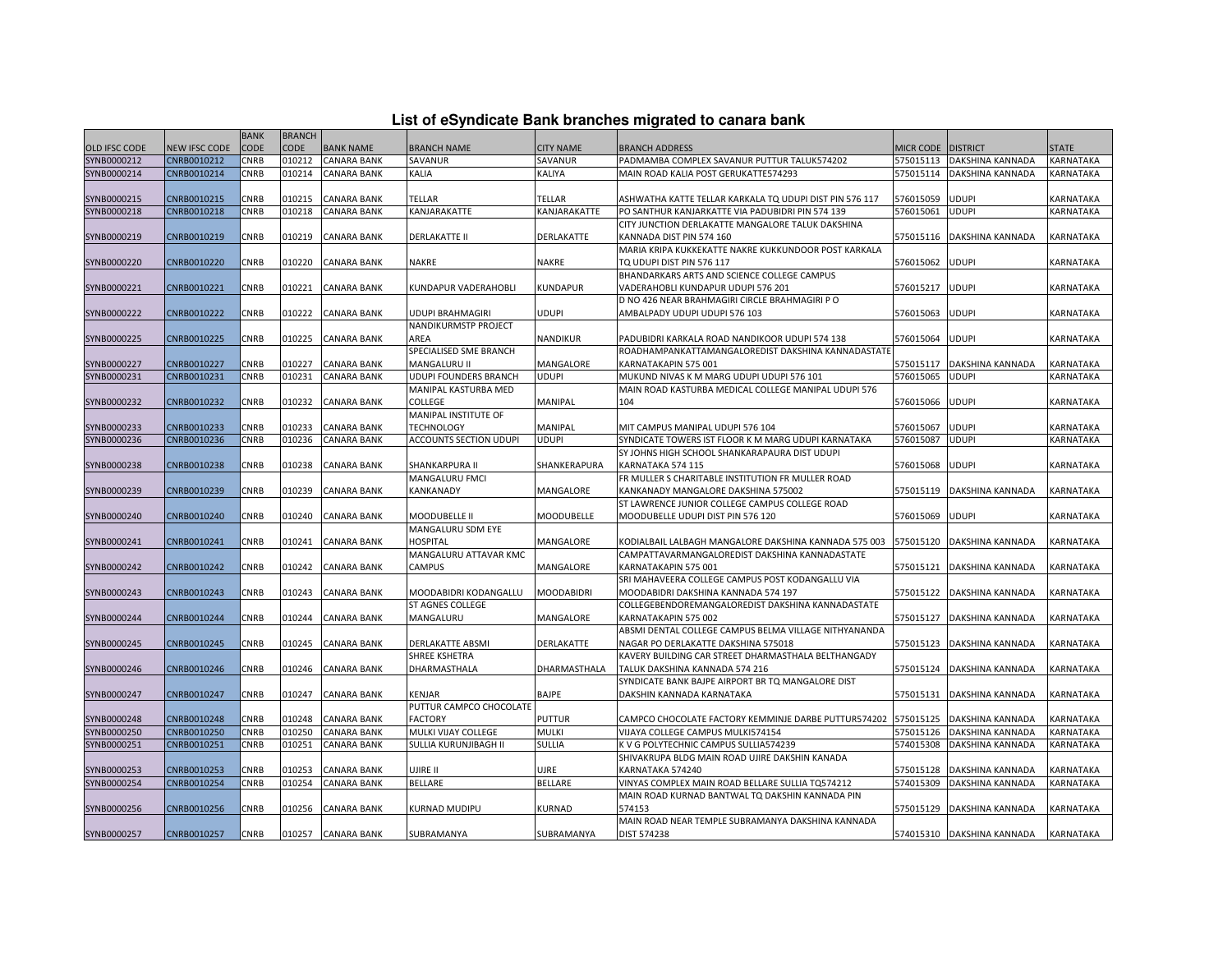|  |  |  | List of eSyndicate Bank branches migrated to canara bank |  |  |
|--|--|--|----------------------------------------------------------|--|--|
|  |  |  |                                                          |  |  |

| CODE<br><b>CODE</b><br>OLD IFSC CODE<br>NEW IFSC CODE<br><b>BANK NAME</b><br><b>BRANCH NAME</b><br><b>CITY NAME</b><br>MICR CODE DISTRICT<br><b>STATE</b><br><b>BRANCH ADDRESS</b><br>SYNB0000212<br>CNRB0010212<br>CNRB<br><b>CANARA BANK</b><br>PADMAMBA COMPLEX SAVANUR PUTTUR TALUK574202<br>010212<br>SAVANUR<br>SAVANUR<br>575015113<br>DAKSHINA KANNADA<br>KARNATAKA<br>CNRB0010214<br><b>CNRB</b><br>010214<br><b>CANARA BANK</b><br>KALIA<br>KALIYA<br>MAIN ROAD KALIA POST GERUKATTE574293<br>575015114<br>DAKSHINA KANNADA<br>KARNATAKA<br>CNRB<br><b>CANARA BANK</b><br>TELLAR<br>UDUPI<br>SYNB0000215<br>CNRB0010215<br>010215<br>TELLAR<br>ASHWATHA KATTE TELLAR KARKALA TQ UDUPI DIST PIN 576 117<br>576015059<br>KARNATAKA<br>SYNB0000218<br>CNRB0010218<br><b>CNRB</b><br>010218<br><b>CANARA BANK</b><br>KANJARAKATTE<br>KANJARAKATTE<br>576015061<br><b>UDUPI</b><br>KARNATAKA<br>PO SANTHUR KANJARKATTE VIA PADUBIDRI PIN 574 139<br>CITY JUNCTION DERLAKATTE MANGALORE TALUK DAKSHINA<br>SYNB0000219<br>CNRB0010219<br>CNRB<br>010219<br><b>CANARA BANK</b><br><b>DERLAKATTE II</b><br>DERLAKATTE<br>575015116<br>DAKSHINA KANNADA<br>KARNATAKA<br>KANNADA DIST PIN 574 160<br>MARIA KRIPA KUKKEKATTE NAKRE KUKKUNDOOR POST KARKALA<br>SYNB0000220<br>CNRB0010220<br>CNRB<br>010220<br><b>CANARA BANK</b><br>NAKRE<br>TQ UDUPI DIST PIN 576 117<br>576015062<br>UDUPI<br>KARNATAKA<br>NAKRE<br>BHANDARKARS ARTS AND SCIENCE COLLEGE CAMPUS<br>SYNB0000221<br>CNRB0010221<br><b>CNRB</b><br>010221<br><b>CANARA BANK</b><br>KUNDAPUR VADERAHOBLI<br>KUNDAPUR<br>VADERAHOBLI KUNDAPUR UDUPI 576 201<br>576015217<br>UDUPI<br>KARNATAKA<br>D NO 426 NEAR BRAHMAGIRI CIRCLE BRAHMAGIRI PO<br>UDUPI<br>CNRB0010222<br>CNRB<br>010222<br><b>CANARA BANK</b><br>576015063<br>UDUPI<br>KARNATAKA<br>SYNB0000222<br>UDUPI BRAHMAGIRI<br>AMBALPADY UDUPI UDUPI 576 103<br><b>NANDIKURMSTP PROJECT</b><br>SYNB0000225<br>CNRB0010225<br>CNRB<br>010225<br><b>CANARA BANK</b><br>AREA<br>NANDIKUR<br>PADUBIDRI KARKALA ROAD NANDIKOOR UDUPI 574 138<br>576015064<br>udupi<br>KARNATAKA<br>SPECIALISED SME BRANCH<br>ROADHAMPANKATTAMANGALOREDIST DAKSHINA KANNADASTATE<br>SYNB0000227<br>CNRB0010227<br>CNRB<br>010227<br><b>CANARA BANK</b><br>MANGALURU II<br>MANGALORE<br>KARNATAKAPIN 575 001<br>575015117<br>DAKSHINA KANNADA<br>KARNATAKA<br>SYNB0000231<br>CNRB0010231<br>CNRB<br>010231<br><b>CANARA BANK</b><br><b>UDUPI FOUNDERS BRANCH</b><br>UDUPI<br>MUKUND NIVAS K M MARG UDUPI UDUPI 576 101<br>576015065<br><b>UDUPI</b><br>KARNATAKA<br>MANIPAL KASTURBA MED<br>MAIN ROAD KASTURBA MEDICAL COLLEGE MANIPAL UDUPI 576<br>SYNB0000232<br>CNRB0010232<br>CNRB<br>010232<br><b>CANARA BANK</b><br><b>COLLEGE</b><br>MANIPAL<br>104<br>576015066<br>UDUPI<br>KARNATAKA<br>MANIPAL INSTITUTE OF<br>CNRB<br>010233<br><b>CANARA BANK</b><br><b>TECHNOLOGY</b><br><b>UDUPI</b><br>SYNB0000233<br>CNRB0010233<br>MANIPAL<br>MIT CAMPUS MANIPAL UDUPI 576 104<br>576015067<br>KARNATAKA<br>SYNB0000236<br>CNRB0010236<br><b>CNRB</b><br>010236<br>UDUPI<br><b>UDUPI</b><br>KARNATAKA<br><b>CANARA BANK</b><br>ACCOUNTS SECTION UDUPI<br>SYNDICATE TOWERS IST FLOOR K M MARG UDUPI KARNATAKA<br>576015087<br>SY JOHNS HIGH SCHOOL SHANKARAPAURA DIST UDUPI<br>SYNB0000238<br>CNRB0010238<br>CNRB<br>010238<br>CANARA BANK<br>SHANKERAPURA<br>KARNATAKA 574 115<br>576015068<br>UDUPI<br>KARNATAKA<br>SHANKARPURA II<br>FR MULLER S CHARITABLE INSTITUTION FR MULLER ROAD<br><b>MANGALURU FMCI</b><br>SYNB0000239<br>CNRB0010239<br>CNRB<br>010239<br><b>CANARA BANK</b><br>KANKANADY<br>MANGALORE<br>KANKANADY MANGALORE DAKSHINA 575002<br>DAKSHINA KANNADA<br>KARNATAKA<br>575015119<br>ST LAWRENCE JUNIOR COLLEGE CAMPUS COLLEGE ROAD<br>SYNB0000240<br>CNRB0010240<br>CNRB<br>010240<br><b>CANARA BANK</b><br>MOODUBELLE<br>MOODUBELLE UDUPI DIST PIN 576 120<br>576015069<br>UDUPI<br>MOODUBELLE II<br>KARNATAKA<br>MANGALURU SDM EYE<br>SYNB0000241<br>CNRB0010241<br>CNRB<br>010241<br><b>CANARA BANK</b><br><b>HOSPITAL</b><br>MANGALORE<br>575015120<br>KARNATAKA<br>KODIALBAIL LALBAGH MANGALORE DAKSHINA KANNADA 575 003<br>DAKSHINA KANNADA<br>MANGALURU ATTAVAR KMC<br>CAMPATTAVARMANGALOREDIST DAKSHINA KANNADASTATE<br>SYNB0000242<br>CNRB0010242<br>CNRB<br>010242<br><b>CANARA BANK</b><br>CAMPUS<br>MANGALORE<br>KARNATAKAPIN 575 001<br>DAKSHINA KANNADA<br>KARNATAKA<br>575015121<br>SRI MAHAVEERA COLLEGE CAMPUS POST KODANGALLU VIA<br>CNRB<br>SYNB0000243<br>CNRB0010243<br>010243<br><b>CANARA BANK</b><br>MOODABIDRI KODANGALLU<br><b>MOODABIDRI</b><br>575015122<br>DAKSHINA KANNADA<br>KARNATAKA<br>MOODABIDRI DAKSHINA KANNADA 574 197<br>ST AGNES COLLEGE<br>COLLEGEBENDOREMANGALOREDIST DAKSHINA KANNADASTATE<br>CNRB0010244<br>CNRB<br>010244<br><b>CANARA BANK</b><br>MANGALURU<br>MANGALORE<br>KARNATAKAPIN 575 002<br>575015127<br>DAKSHINA KANNADA<br>KARNATAKA<br>ABSMI DENTAL COLLEGE CAMPUS BELMA VILLAGE NITHYANANDA<br>CNRB0010245<br>CNRB<br><b>CANARA BANK</b><br>010245<br>DERLAKATTE ABSMI<br>DERLAKATTE<br>NAGAR PO DERLAKATTE DAKSHINA 575018<br>575015123<br>DAKSHINA KANNADA<br>KARNATAKA<br>SHREE KSHETRA<br>KAVERY BUILDING CAR STREET DHARMASTHALA BELTHANGADY<br>SYNB0000246<br>CNRB0010246<br>CNRB<br>010246<br><b>CANARA BANK</b><br>575015124<br>DAKSHINA KANNADA<br>KARNATAKA<br>DHARMASTHALA<br>DHARMASTHALA<br>TALUK DAKSHINA KANNADA 574 216<br>SYNDICATE BANK BAJPE AIRPORT BR TQ MANGALORE DIST<br>CNRB0010247<br>CNRB<br>010247<br><b>CANARA BANK</b><br>KENJAR<br>BAJPE<br>DAKSHIN KANNADA KARNATAKA<br>575015131<br>DAKSHINA KANNADA<br>KARNATAKA<br>PUTTUR CAMPCO CHOCOLATE<br>SYNB0000248<br>CNRB0010248<br>CNRB<br><b>CANARA BANK</b><br><b>FACTORY</b><br>PUTTUR<br>CAMPCO CHOCOLATE FACTORY KEMMINJE DARBE PUTTUR574202<br>575015125<br>010248<br>DAKSHINA KANNADA<br>KARNATAKA<br>CNRB0010250<br>CNRB<br>010250<br><b>CANARA BANK</b><br>MULKI VIJAY COLLEGE<br>MULKI<br>VIJAYA COLLEGE CAMPUS MULKI574154<br>575015126<br>DAKSHINA KANNADA<br>KARNATAKA<br>CNRB0010251<br>CNRB<br>010251<br>SULLIA KURUNJIBAGH II<br>KARNATAKA<br><b>CANARA BANK</b><br>SULLIA<br>K V G POLYTECHNIC CAMPUS SULLIA574239<br>574015308<br>DAKSHINA KANNADA<br>SHIVAKRUPA BLDG MAIN ROAD UJIRE DAKSHIN KANADA<br>SYNB0000253<br>CNRB0010253<br>CNRB<br>010253<br><b>CANARA BANK</b><br>JJRE<br>UJIRE II<br>KARNATAKA 574240<br>575015128<br>DAKSHINA KANNADA<br>KARNATAKA<br>CNRB0010254<br>CNRB<br>010254<br><b>CANARA BANK</b><br><b>BELLARE</b><br>BELLARE<br>VINYAS COMPLEX MAIN ROAD BELLARE SULLIA TQ574212<br>574015309<br>DAKSHINA KANNADA<br>KARNATAKA<br>MAIN ROAD KURNAD BANTWAL TO DAKSHIN KANNADA PIN<br>SYNB0000256<br>CNRB0010256<br>CNRB<br>010256<br><b>CANARA BANK</b><br>KURNAD MUDIPU<br>KURNAD<br>574153<br>575015129<br>DAKSHINA KANNADA<br>KARNATAKA<br>MAIN ROAD NEAR TEMPLE SUBRAMANYA DAKSHINA KANNADA<br><b>CNRB</b><br>010257<br>DIST 574238<br>CNRB0010257<br><b>CANARA BANK</b><br>SUBRAMANYA<br>SUBRAMANYA<br>574015310 DAKSHINA KANNADA<br><b>KARNATAKA</b> |             | <b>BANK</b> | <b>BRANCH</b> |  |  |  |  |
|----------------------------------------------------------------------------------------------------------------------------------------------------------------------------------------------------------------------------------------------------------------------------------------------------------------------------------------------------------------------------------------------------------------------------------------------------------------------------------------------------------------------------------------------------------------------------------------------------------------------------------------------------------------------------------------------------------------------------------------------------------------------------------------------------------------------------------------------------------------------------------------------------------------------------------------------------------------------------------------------------------------------------------------------------------------------------------------------------------------------------------------------------------------------------------------------------------------------------------------------------------------------------------------------------------------------------------------------------------------------------------------------------------------------------------------------------------------------------------------------------------------------------------------------------------------------------------------------------------------------------------------------------------------------------------------------------------------------------------------------------------------------------------------------------------------------------------------------------------------------------------------------------------------------------------------------------------------------------------------------------------------------------------------------------------------------------------------------------------------------------------------------------------------------------------------------------------------------------------------------------------------------------------------------------------------------------------------------------------------------------------------------------------------------------------------------------------------------------------------------------------------------------------------------------------------------------------------------------------------------------------------------------------------------------------------------------------------------------------------------------------------------------------------------------------------------------------------------------------------------------------------------------------------------------------------------------------------------------------------------------------------------------------------------------------------------------------------------------------------------------------------------------------------------------------------------------------------------------------------------------------------------------------------------------------------------------------------------------------------------------------------------------------------------------------------------------------------------------------------------------------------------------------------------------------------------------------------------------------------------------------------------------------------------------------------------------------------------------------------------------------------------------------------------------------------------------------------------------------------------------------------------------------------------------------------------------------------------------------------------------------------------------------------------------------------------------------------------------------------------------------------------------------------------------------------------------------------------------------------------------------------------------------------------------------------------------------------------------------------------------------------------------------------------------------------------------------------------------------------------------------------------------------------------------------------------------------------------------------------------------------------------------------------------------------------------------------------------------------------------------------------------------------------------------------------------------------------------------------------------------------------------------------------------------------------------------------------------------------------------------------------------------------------------------------------------------------------------------------------------------------------------------------------------------------------------------------------------------------------------------------------------------------------------------------------------------------------------------------------------------------------------------------------------------------------------------------------------------------------------------------------------------------------------------------------------------------------------------------------------------------------------------------------------------------------------------------------------------------------------------------------------------------------------------------------------------------------------------------------------------------------------------------------------------------------------------------------------------------------------------------------------------------------------------------------------------------------------------------------------------------------------------------------------------------------------------------------------------------------------------------------------------------------------------------------------------------------------------------------------------------------------------------------------------------------------------------------------------------------------------------------------------------------------------------------------------------------------------------------------------------------------------------------------------------------------------------------------------------------------------------------------------------------------------------------------------------------------------------------------------------------------------------------------------------------------------------------------------------------------------------------------------------------------------------------|-------------|-------------|---------------|--|--|--|--|
|                                                                                                                                                                                                                                                                                                                                                                                                                                                                                                                                                                                                                                                                                                                                                                                                                                                                                                                                                                                                                                                                                                                                                                                                                                                                                                                                                                                                                                                                                                                                                                                                                                                                                                                                                                                                                                                                                                                                                                                                                                                                                                                                                                                                                                                                                                                                                                                                                                                                                                                                                                                                                                                                                                                                                                                                                                                                                                                                                                                                                                                                                                                                                                                                                                                                                                                                                                                                                                                                                                                                                                                                                                                                                                                                                                                                                                                                                                                                                                                                                                                                                                                                                                                                                                                                                                                                                                                                                                                                                                                                                                                                                                                                                                                                                                                                                                                                                                                                                                                                                                                                                                                                                                                                                                                                                                                                                                                                                                                                                                                                                                                                                                                                                                                                                                                                                                                                                                                                                                                                                                                                                                                                                                                                                                                                                                                                                                                                                                                                                                                                                                                                                                                                                                                                                                                                                                                                                                                                                                                                                                                                |             |             |               |  |  |  |  |
|                                                                                                                                                                                                                                                                                                                                                                                                                                                                                                                                                                                                                                                                                                                                                                                                                                                                                                                                                                                                                                                                                                                                                                                                                                                                                                                                                                                                                                                                                                                                                                                                                                                                                                                                                                                                                                                                                                                                                                                                                                                                                                                                                                                                                                                                                                                                                                                                                                                                                                                                                                                                                                                                                                                                                                                                                                                                                                                                                                                                                                                                                                                                                                                                                                                                                                                                                                                                                                                                                                                                                                                                                                                                                                                                                                                                                                                                                                                                                                                                                                                                                                                                                                                                                                                                                                                                                                                                                                                                                                                                                                                                                                                                                                                                                                                                                                                                                                                                                                                                                                                                                                                                                                                                                                                                                                                                                                                                                                                                                                                                                                                                                                                                                                                                                                                                                                                                                                                                                                                                                                                                                                                                                                                                                                                                                                                                                                                                                                                                                                                                                                                                                                                                                                                                                                                                                                                                                                                                                                                                                                                                |             |             |               |  |  |  |  |
|                                                                                                                                                                                                                                                                                                                                                                                                                                                                                                                                                                                                                                                                                                                                                                                                                                                                                                                                                                                                                                                                                                                                                                                                                                                                                                                                                                                                                                                                                                                                                                                                                                                                                                                                                                                                                                                                                                                                                                                                                                                                                                                                                                                                                                                                                                                                                                                                                                                                                                                                                                                                                                                                                                                                                                                                                                                                                                                                                                                                                                                                                                                                                                                                                                                                                                                                                                                                                                                                                                                                                                                                                                                                                                                                                                                                                                                                                                                                                                                                                                                                                                                                                                                                                                                                                                                                                                                                                                                                                                                                                                                                                                                                                                                                                                                                                                                                                                                                                                                                                                                                                                                                                                                                                                                                                                                                                                                                                                                                                                                                                                                                                                                                                                                                                                                                                                                                                                                                                                                                                                                                                                                                                                                                                                                                                                                                                                                                                                                                                                                                                                                                                                                                                                                                                                                                                                                                                                                                                                                                                                                                | SYNB0000214 |             |               |  |  |  |  |
|                                                                                                                                                                                                                                                                                                                                                                                                                                                                                                                                                                                                                                                                                                                                                                                                                                                                                                                                                                                                                                                                                                                                                                                                                                                                                                                                                                                                                                                                                                                                                                                                                                                                                                                                                                                                                                                                                                                                                                                                                                                                                                                                                                                                                                                                                                                                                                                                                                                                                                                                                                                                                                                                                                                                                                                                                                                                                                                                                                                                                                                                                                                                                                                                                                                                                                                                                                                                                                                                                                                                                                                                                                                                                                                                                                                                                                                                                                                                                                                                                                                                                                                                                                                                                                                                                                                                                                                                                                                                                                                                                                                                                                                                                                                                                                                                                                                                                                                                                                                                                                                                                                                                                                                                                                                                                                                                                                                                                                                                                                                                                                                                                                                                                                                                                                                                                                                                                                                                                                                                                                                                                                                                                                                                                                                                                                                                                                                                                                                                                                                                                                                                                                                                                                                                                                                                                                                                                                                                                                                                                                                                |             |             |               |  |  |  |  |
|                                                                                                                                                                                                                                                                                                                                                                                                                                                                                                                                                                                                                                                                                                                                                                                                                                                                                                                                                                                                                                                                                                                                                                                                                                                                                                                                                                                                                                                                                                                                                                                                                                                                                                                                                                                                                                                                                                                                                                                                                                                                                                                                                                                                                                                                                                                                                                                                                                                                                                                                                                                                                                                                                                                                                                                                                                                                                                                                                                                                                                                                                                                                                                                                                                                                                                                                                                                                                                                                                                                                                                                                                                                                                                                                                                                                                                                                                                                                                                                                                                                                                                                                                                                                                                                                                                                                                                                                                                                                                                                                                                                                                                                                                                                                                                                                                                                                                                                                                                                                                                                                                                                                                                                                                                                                                                                                                                                                                                                                                                                                                                                                                                                                                                                                                                                                                                                                                                                                                                                                                                                                                                                                                                                                                                                                                                                                                                                                                                                                                                                                                                                                                                                                                                                                                                                                                                                                                                                                                                                                                                                                |             |             |               |  |  |  |  |
|                                                                                                                                                                                                                                                                                                                                                                                                                                                                                                                                                                                                                                                                                                                                                                                                                                                                                                                                                                                                                                                                                                                                                                                                                                                                                                                                                                                                                                                                                                                                                                                                                                                                                                                                                                                                                                                                                                                                                                                                                                                                                                                                                                                                                                                                                                                                                                                                                                                                                                                                                                                                                                                                                                                                                                                                                                                                                                                                                                                                                                                                                                                                                                                                                                                                                                                                                                                                                                                                                                                                                                                                                                                                                                                                                                                                                                                                                                                                                                                                                                                                                                                                                                                                                                                                                                                                                                                                                                                                                                                                                                                                                                                                                                                                                                                                                                                                                                                                                                                                                                                                                                                                                                                                                                                                                                                                                                                                                                                                                                                                                                                                                                                                                                                                                                                                                                                                                                                                                                                                                                                                                                                                                                                                                                                                                                                                                                                                                                                                                                                                                                                                                                                                                                                                                                                                                                                                                                                                                                                                                                                                |             |             |               |  |  |  |  |
|                                                                                                                                                                                                                                                                                                                                                                                                                                                                                                                                                                                                                                                                                                                                                                                                                                                                                                                                                                                                                                                                                                                                                                                                                                                                                                                                                                                                                                                                                                                                                                                                                                                                                                                                                                                                                                                                                                                                                                                                                                                                                                                                                                                                                                                                                                                                                                                                                                                                                                                                                                                                                                                                                                                                                                                                                                                                                                                                                                                                                                                                                                                                                                                                                                                                                                                                                                                                                                                                                                                                                                                                                                                                                                                                                                                                                                                                                                                                                                                                                                                                                                                                                                                                                                                                                                                                                                                                                                                                                                                                                                                                                                                                                                                                                                                                                                                                                                                                                                                                                                                                                                                                                                                                                                                                                                                                                                                                                                                                                                                                                                                                                                                                                                                                                                                                                                                                                                                                                                                                                                                                                                                                                                                                                                                                                                                                                                                                                                                                                                                                                                                                                                                                                                                                                                                                                                                                                                                                                                                                                                                                |             |             |               |  |  |  |  |
|                                                                                                                                                                                                                                                                                                                                                                                                                                                                                                                                                                                                                                                                                                                                                                                                                                                                                                                                                                                                                                                                                                                                                                                                                                                                                                                                                                                                                                                                                                                                                                                                                                                                                                                                                                                                                                                                                                                                                                                                                                                                                                                                                                                                                                                                                                                                                                                                                                                                                                                                                                                                                                                                                                                                                                                                                                                                                                                                                                                                                                                                                                                                                                                                                                                                                                                                                                                                                                                                                                                                                                                                                                                                                                                                                                                                                                                                                                                                                                                                                                                                                                                                                                                                                                                                                                                                                                                                                                                                                                                                                                                                                                                                                                                                                                                                                                                                                                                                                                                                                                                                                                                                                                                                                                                                                                                                                                                                                                                                                                                                                                                                                                                                                                                                                                                                                                                                                                                                                                                                                                                                                                                                                                                                                                                                                                                                                                                                                                                                                                                                                                                                                                                                                                                                                                                                                                                                                                                                                                                                                                                                |             |             |               |  |  |  |  |
|                                                                                                                                                                                                                                                                                                                                                                                                                                                                                                                                                                                                                                                                                                                                                                                                                                                                                                                                                                                                                                                                                                                                                                                                                                                                                                                                                                                                                                                                                                                                                                                                                                                                                                                                                                                                                                                                                                                                                                                                                                                                                                                                                                                                                                                                                                                                                                                                                                                                                                                                                                                                                                                                                                                                                                                                                                                                                                                                                                                                                                                                                                                                                                                                                                                                                                                                                                                                                                                                                                                                                                                                                                                                                                                                                                                                                                                                                                                                                                                                                                                                                                                                                                                                                                                                                                                                                                                                                                                                                                                                                                                                                                                                                                                                                                                                                                                                                                                                                                                                                                                                                                                                                                                                                                                                                                                                                                                                                                                                                                                                                                                                                                                                                                                                                                                                                                                                                                                                                                                                                                                                                                                                                                                                                                                                                                                                                                                                                                                                                                                                                                                                                                                                                                                                                                                                                                                                                                                                                                                                                                                                |             |             |               |  |  |  |  |
|                                                                                                                                                                                                                                                                                                                                                                                                                                                                                                                                                                                                                                                                                                                                                                                                                                                                                                                                                                                                                                                                                                                                                                                                                                                                                                                                                                                                                                                                                                                                                                                                                                                                                                                                                                                                                                                                                                                                                                                                                                                                                                                                                                                                                                                                                                                                                                                                                                                                                                                                                                                                                                                                                                                                                                                                                                                                                                                                                                                                                                                                                                                                                                                                                                                                                                                                                                                                                                                                                                                                                                                                                                                                                                                                                                                                                                                                                                                                                                                                                                                                                                                                                                                                                                                                                                                                                                                                                                                                                                                                                                                                                                                                                                                                                                                                                                                                                                                                                                                                                                                                                                                                                                                                                                                                                                                                                                                                                                                                                                                                                                                                                                                                                                                                                                                                                                                                                                                                                                                                                                                                                                                                                                                                                                                                                                                                                                                                                                                                                                                                                                                                                                                                                                                                                                                                                                                                                                                                                                                                                                                                |             |             |               |  |  |  |  |
|                                                                                                                                                                                                                                                                                                                                                                                                                                                                                                                                                                                                                                                                                                                                                                                                                                                                                                                                                                                                                                                                                                                                                                                                                                                                                                                                                                                                                                                                                                                                                                                                                                                                                                                                                                                                                                                                                                                                                                                                                                                                                                                                                                                                                                                                                                                                                                                                                                                                                                                                                                                                                                                                                                                                                                                                                                                                                                                                                                                                                                                                                                                                                                                                                                                                                                                                                                                                                                                                                                                                                                                                                                                                                                                                                                                                                                                                                                                                                                                                                                                                                                                                                                                                                                                                                                                                                                                                                                                                                                                                                                                                                                                                                                                                                                                                                                                                                                                                                                                                                                                                                                                                                                                                                                                                                                                                                                                                                                                                                                                                                                                                                                                                                                                                                                                                                                                                                                                                                                                                                                                                                                                                                                                                                                                                                                                                                                                                                                                                                                                                                                                                                                                                                                                                                                                                                                                                                                                                                                                                                                                                |             |             |               |  |  |  |  |
|                                                                                                                                                                                                                                                                                                                                                                                                                                                                                                                                                                                                                                                                                                                                                                                                                                                                                                                                                                                                                                                                                                                                                                                                                                                                                                                                                                                                                                                                                                                                                                                                                                                                                                                                                                                                                                                                                                                                                                                                                                                                                                                                                                                                                                                                                                                                                                                                                                                                                                                                                                                                                                                                                                                                                                                                                                                                                                                                                                                                                                                                                                                                                                                                                                                                                                                                                                                                                                                                                                                                                                                                                                                                                                                                                                                                                                                                                                                                                                                                                                                                                                                                                                                                                                                                                                                                                                                                                                                                                                                                                                                                                                                                                                                                                                                                                                                                                                                                                                                                                                                                                                                                                                                                                                                                                                                                                                                                                                                                                                                                                                                                                                                                                                                                                                                                                                                                                                                                                                                                                                                                                                                                                                                                                                                                                                                                                                                                                                                                                                                                                                                                                                                                                                                                                                                                                                                                                                                                                                                                                                                                |             |             |               |  |  |  |  |
|                                                                                                                                                                                                                                                                                                                                                                                                                                                                                                                                                                                                                                                                                                                                                                                                                                                                                                                                                                                                                                                                                                                                                                                                                                                                                                                                                                                                                                                                                                                                                                                                                                                                                                                                                                                                                                                                                                                                                                                                                                                                                                                                                                                                                                                                                                                                                                                                                                                                                                                                                                                                                                                                                                                                                                                                                                                                                                                                                                                                                                                                                                                                                                                                                                                                                                                                                                                                                                                                                                                                                                                                                                                                                                                                                                                                                                                                                                                                                                                                                                                                                                                                                                                                                                                                                                                                                                                                                                                                                                                                                                                                                                                                                                                                                                                                                                                                                                                                                                                                                                                                                                                                                                                                                                                                                                                                                                                                                                                                                                                                                                                                                                                                                                                                                                                                                                                                                                                                                                                                                                                                                                                                                                                                                                                                                                                                                                                                                                                                                                                                                                                                                                                                                                                                                                                                                                                                                                                                                                                                                                                                |             |             |               |  |  |  |  |
|                                                                                                                                                                                                                                                                                                                                                                                                                                                                                                                                                                                                                                                                                                                                                                                                                                                                                                                                                                                                                                                                                                                                                                                                                                                                                                                                                                                                                                                                                                                                                                                                                                                                                                                                                                                                                                                                                                                                                                                                                                                                                                                                                                                                                                                                                                                                                                                                                                                                                                                                                                                                                                                                                                                                                                                                                                                                                                                                                                                                                                                                                                                                                                                                                                                                                                                                                                                                                                                                                                                                                                                                                                                                                                                                                                                                                                                                                                                                                                                                                                                                                                                                                                                                                                                                                                                                                                                                                                                                                                                                                                                                                                                                                                                                                                                                                                                                                                                                                                                                                                                                                                                                                                                                                                                                                                                                                                                                                                                                                                                                                                                                                                                                                                                                                                                                                                                                                                                                                                                                                                                                                                                                                                                                                                                                                                                                                                                                                                                                                                                                                                                                                                                                                                                                                                                                                                                                                                                                                                                                                                                                |             |             |               |  |  |  |  |
|                                                                                                                                                                                                                                                                                                                                                                                                                                                                                                                                                                                                                                                                                                                                                                                                                                                                                                                                                                                                                                                                                                                                                                                                                                                                                                                                                                                                                                                                                                                                                                                                                                                                                                                                                                                                                                                                                                                                                                                                                                                                                                                                                                                                                                                                                                                                                                                                                                                                                                                                                                                                                                                                                                                                                                                                                                                                                                                                                                                                                                                                                                                                                                                                                                                                                                                                                                                                                                                                                                                                                                                                                                                                                                                                                                                                                                                                                                                                                                                                                                                                                                                                                                                                                                                                                                                                                                                                                                                                                                                                                                                                                                                                                                                                                                                                                                                                                                                                                                                                                                                                                                                                                                                                                                                                                                                                                                                                                                                                                                                                                                                                                                                                                                                                                                                                                                                                                                                                                                                                                                                                                                                                                                                                                                                                                                                                                                                                                                                                                                                                                                                                                                                                                                                                                                                                                                                                                                                                                                                                                                                                |             |             |               |  |  |  |  |
|                                                                                                                                                                                                                                                                                                                                                                                                                                                                                                                                                                                                                                                                                                                                                                                                                                                                                                                                                                                                                                                                                                                                                                                                                                                                                                                                                                                                                                                                                                                                                                                                                                                                                                                                                                                                                                                                                                                                                                                                                                                                                                                                                                                                                                                                                                                                                                                                                                                                                                                                                                                                                                                                                                                                                                                                                                                                                                                                                                                                                                                                                                                                                                                                                                                                                                                                                                                                                                                                                                                                                                                                                                                                                                                                                                                                                                                                                                                                                                                                                                                                                                                                                                                                                                                                                                                                                                                                                                                                                                                                                                                                                                                                                                                                                                                                                                                                                                                                                                                                                                                                                                                                                                                                                                                                                                                                                                                                                                                                                                                                                                                                                                                                                                                                                                                                                                                                                                                                                                                                                                                                                                                                                                                                                                                                                                                                                                                                                                                                                                                                                                                                                                                                                                                                                                                                                                                                                                                                                                                                                                                                |             |             |               |  |  |  |  |
|                                                                                                                                                                                                                                                                                                                                                                                                                                                                                                                                                                                                                                                                                                                                                                                                                                                                                                                                                                                                                                                                                                                                                                                                                                                                                                                                                                                                                                                                                                                                                                                                                                                                                                                                                                                                                                                                                                                                                                                                                                                                                                                                                                                                                                                                                                                                                                                                                                                                                                                                                                                                                                                                                                                                                                                                                                                                                                                                                                                                                                                                                                                                                                                                                                                                                                                                                                                                                                                                                                                                                                                                                                                                                                                                                                                                                                                                                                                                                                                                                                                                                                                                                                                                                                                                                                                                                                                                                                                                                                                                                                                                                                                                                                                                                                                                                                                                                                                                                                                                                                                                                                                                                                                                                                                                                                                                                                                                                                                                                                                                                                                                                                                                                                                                                                                                                                                                                                                                                                                                                                                                                                                                                                                                                                                                                                                                                                                                                                                                                                                                                                                                                                                                                                                                                                                                                                                                                                                                                                                                                                                                |             |             |               |  |  |  |  |
|                                                                                                                                                                                                                                                                                                                                                                                                                                                                                                                                                                                                                                                                                                                                                                                                                                                                                                                                                                                                                                                                                                                                                                                                                                                                                                                                                                                                                                                                                                                                                                                                                                                                                                                                                                                                                                                                                                                                                                                                                                                                                                                                                                                                                                                                                                                                                                                                                                                                                                                                                                                                                                                                                                                                                                                                                                                                                                                                                                                                                                                                                                                                                                                                                                                                                                                                                                                                                                                                                                                                                                                                                                                                                                                                                                                                                                                                                                                                                                                                                                                                                                                                                                                                                                                                                                                                                                                                                                                                                                                                                                                                                                                                                                                                                                                                                                                                                                                                                                                                                                                                                                                                                                                                                                                                                                                                                                                                                                                                                                                                                                                                                                                                                                                                                                                                                                                                                                                                                                                                                                                                                                                                                                                                                                                                                                                                                                                                                                                                                                                                                                                                                                                                                                                                                                                                                                                                                                                                                                                                                                                                |             |             |               |  |  |  |  |
|                                                                                                                                                                                                                                                                                                                                                                                                                                                                                                                                                                                                                                                                                                                                                                                                                                                                                                                                                                                                                                                                                                                                                                                                                                                                                                                                                                                                                                                                                                                                                                                                                                                                                                                                                                                                                                                                                                                                                                                                                                                                                                                                                                                                                                                                                                                                                                                                                                                                                                                                                                                                                                                                                                                                                                                                                                                                                                                                                                                                                                                                                                                                                                                                                                                                                                                                                                                                                                                                                                                                                                                                                                                                                                                                                                                                                                                                                                                                                                                                                                                                                                                                                                                                                                                                                                                                                                                                                                                                                                                                                                                                                                                                                                                                                                                                                                                                                                                                                                                                                                                                                                                                                                                                                                                                                                                                                                                                                                                                                                                                                                                                                                                                                                                                                                                                                                                                                                                                                                                                                                                                                                                                                                                                                                                                                                                                                                                                                                                                                                                                                                                                                                                                                                                                                                                                                                                                                                                                                                                                                                                                |             |             |               |  |  |  |  |
|                                                                                                                                                                                                                                                                                                                                                                                                                                                                                                                                                                                                                                                                                                                                                                                                                                                                                                                                                                                                                                                                                                                                                                                                                                                                                                                                                                                                                                                                                                                                                                                                                                                                                                                                                                                                                                                                                                                                                                                                                                                                                                                                                                                                                                                                                                                                                                                                                                                                                                                                                                                                                                                                                                                                                                                                                                                                                                                                                                                                                                                                                                                                                                                                                                                                                                                                                                                                                                                                                                                                                                                                                                                                                                                                                                                                                                                                                                                                                                                                                                                                                                                                                                                                                                                                                                                                                                                                                                                                                                                                                                                                                                                                                                                                                                                                                                                                                                                                                                                                                                                                                                                                                                                                                                                                                                                                                                                                                                                                                                                                                                                                                                                                                                                                                                                                                                                                                                                                                                                                                                                                                                                                                                                                                                                                                                                                                                                                                                                                                                                                                                                                                                                                                                                                                                                                                                                                                                                                                                                                                                                                |             |             |               |  |  |  |  |
|                                                                                                                                                                                                                                                                                                                                                                                                                                                                                                                                                                                                                                                                                                                                                                                                                                                                                                                                                                                                                                                                                                                                                                                                                                                                                                                                                                                                                                                                                                                                                                                                                                                                                                                                                                                                                                                                                                                                                                                                                                                                                                                                                                                                                                                                                                                                                                                                                                                                                                                                                                                                                                                                                                                                                                                                                                                                                                                                                                                                                                                                                                                                                                                                                                                                                                                                                                                                                                                                                                                                                                                                                                                                                                                                                                                                                                                                                                                                                                                                                                                                                                                                                                                                                                                                                                                                                                                                                                                                                                                                                                                                                                                                                                                                                                                                                                                                                                                                                                                                                                                                                                                                                                                                                                                                                                                                                                                                                                                                                                                                                                                                                                                                                                                                                                                                                                                                                                                                                                                                                                                                                                                                                                                                                                                                                                                                                                                                                                                                                                                                                                                                                                                                                                                                                                                                                                                                                                                                                                                                                                                                |             |             |               |  |  |  |  |
|                                                                                                                                                                                                                                                                                                                                                                                                                                                                                                                                                                                                                                                                                                                                                                                                                                                                                                                                                                                                                                                                                                                                                                                                                                                                                                                                                                                                                                                                                                                                                                                                                                                                                                                                                                                                                                                                                                                                                                                                                                                                                                                                                                                                                                                                                                                                                                                                                                                                                                                                                                                                                                                                                                                                                                                                                                                                                                                                                                                                                                                                                                                                                                                                                                                                                                                                                                                                                                                                                                                                                                                                                                                                                                                                                                                                                                                                                                                                                                                                                                                                                                                                                                                                                                                                                                                                                                                                                                                                                                                                                                                                                                                                                                                                                                                                                                                                                                                                                                                                                                                                                                                                                                                                                                                                                                                                                                                                                                                                                                                                                                                                                                                                                                                                                                                                                                                                                                                                                                                                                                                                                                                                                                                                                                                                                                                                                                                                                                                                                                                                                                                                                                                                                                                                                                                                                                                                                                                                                                                                                                                                |             |             |               |  |  |  |  |
|                                                                                                                                                                                                                                                                                                                                                                                                                                                                                                                                                                                                                                                                                                                                                                                                                                                                                                                                                                                                                                                                                                                                                                                                                                                                                                                                                                                                                                                                                                                                                                                                                                                                                                                                                                                                                                                                                                                                                                                                                                                                                                                                                                                                                                                                                                                                                                                                                                                                                                                                                                                                                                                                                                                                                                                                                                                                                                                                                                                                                                                                                                                                                                                                                                                                                                                                                                                                                                                                                                                                                                                                                                                                                                                                                                                                                                                                                                                                                                                                                                                                                                                                                                                                                                                                                                                                                                                                                                                                                                                                                                                                                                                                                                                                                                                                                                                                                                                                                                                                                                                                                                                                                                                                                                                                                                                                                                                                                                                                                                                                                                                                                                                                                                                                                                                                                                                                                                                                                                                                                                                                                                                                                                                                                                                                                                                                                                                                                                                                                                                                                                                                                                                                                                                                                                                                                                                                                                                                                                                                                                                                |             |             |               |  |  |  |  |
|                                                                                                                                                                                                                                                                                                                                                                                                                                                                                                                                                                                                                                                                                                                                                                                                                                                                                                                                                                                                                                                                                                                                                                                                                                                                                                                                                                                                                                                                                                                                                                                                                                                                                                                                                                                                                                                                                                                                                                                                                                                                                                                                                                                                                                                                                                                                                                                                                                                                                                                                                                                                                                                                                                                                                                                                                                                                                                                                                                                                                                                                                                                                                                                                                                                                                                                                                                                                                                                                                                                                                                                                                                                                                                                                                                                                                                                                                                                                                                                                                                                                                                                                                                                                                                                                                                                                                                                                                                                                                                                                                                                                                                                                                                                                                                                                                                                                                                                                                                                                                                                                                                                                                                                                                                                                                                                                                                                                                                                                                                                                                                                                                                                                                                                                                                                                                                                                                                                                                                                                                                                                                                                                                                                                                                                                                                                                                                                                                                                                                                                                                                                                                                                                                                                                                                                                                                                                                                                                                                                                                                                                |             |             |               |  |  |  |  |
|                                                                                                                                                                                                                                                                                                                                                                                                                                                                                                                                                                                                                                                                                                                                                                                                                                                                                                                                                                                                                                                                                                                                                                                                                                                                                                                                                                                                                                                                                                                                                                                                                                                                                                                                                                                                                                                                                                                                                                                                                                                                                                                                                                                                                                                                                                                                                                                                                                                                                                                                                                                                                                                                                                                                                                                                                                                                                                                                                                                                                                                                                                                                                                                                                                                                                                                                                                                                                                                                                                                                                                                                                                                                                                                                                                                                                                                                                                                                                                                                                                                                                                                                                                                                                                                                                                                                                                                                                                                                                                                                                                                                                                                                                                                                                                                                                                                                                                                                                                                                                                                                                                                                                                                                                                                                                                                                                                                                                                                                                                                                                                                                                                                                                                                                                                                                                                                                                                                                                                                                                                                                                                                                                                                                                                                                                                                                                                                                                                                                                                                                                                                                                                                                                                                                                                                                                                                                                                                                                                                                                                                                |             |             |               |  |  |  |  |
|                                                                                                                                                                                                                                                                                                                                                                                                                                                                                                                                                                                                                                                                                                                                                                                                                                                                                                                                                                                                                                                                                                                                                                                                                                                                                                                                                                                                                                                                                                                                                                                                                                                                                                                                                                                                                                                                                                                                                                                                                                                                                                                                                                                                                                                                                                                                                                                                                                                                                                                                                                                                                                                                                                                                                                                                                                                                                                                                                                                                                                                                                                                                                                                                                                                                                                                                                                                                                                                                                                                                                                                                                                                                                                                                                                                                                                                                                                                                                                                                                                                                                                                                                                                                                                                                                                                                                                                                                                                                                                                                                                                                                                                                                                                                                                                                                                                                                                                                                                                                                                                                                                                                                                                                                                                                                                                                                                                                                                                                                                                                                                                                                                                                                                                                                                                                                                                                                                                                                                                                                                                                                                                                                                                                                                                                                                                                                                                                                                                                                                                                                                                                                                                                                                                                                                                                                                                                                                                                                                                                                                                                |             |             |               |  |  |  |  |
|                                                                                                                                                                                                                                                                                                                                                                                                                                                                                                                                                                                                                                                                                                                                                                                                                                                                                                                                                                                                                                                                                                                                                                                                                                                                                                                                                                                                                                                                                                                                                                                                                                                                                                                                                                                                                                                                                                                                                                                                                                                                                                                                                                                                                                                                                                                                                                                                                                                                                                                                                                                                                                                                                                                                                                                                                                                                                                                                                                                                                                                                                                                                                                                                                                                                                                                                                                                                                                                                                                                                                                                                                                                                                                                                                                                                                                                                                                                                                                                                                                                                                                                                                                                                                                                                                                                                                                                                                                                                                                                                                                                                                                                                                                                                                                                                                                                                                                                                                                                                                                                                                                                                                                                                                                                                                                                                                                                                                                                                                                                                                                                                                                                                                                                                                                                                                                                                                                                                                                                                                                                                                                                                                                                                                                                                                                                                                                                                                                                                                                                                                                                                                                                                                                                                                                                                                                                                                                                                                                                                                                                                |             |             |               |  |  |  |  |
|                                                                                                                                                                                                                                                                                                                                                                                                                                                                                                                                                                                                                                                                                                                                                                                                                                                                                                                                                                                                                                                                                                                                                                                                                                                                                                                                                                                                                                                                                                                                                                                                                                                                                                                                                                                                                                                                                                                                                                                                                                                                                                                                                                                                                                                                                                                                                                                                                                                                                                                                                                                                                                                                                                                                                                                                                                                                                                                                                                                                                                                                                                                                                                                                                                                                                                                                                                                                                                                                                                                                                                                                                                                                                                                                                                                                                                                                                                                                                                                                                                                                                                                                                                                                                                                                                                                                                                                                                                                                                                                                                                                                                                                                                                                                                                                                                                                                                                                                                                                                                                                                                                                                                                                                                                                                                                                                                                                                                                                                                                                                                                                                                                                                                                                                                                                                                                                                                                                                                                                                                                                                                                                                                                                                                                                                                                                                                                                                                                                                                                                                                                                                                                                                                                                                                                                                                                                                                                                                                                                                                                                                |             |             |               |  |  |  |  |
|                                                                                                                                                                                                                                                                                                                                                                                                                                                                                                                                                                                                                                                                                                                                                                                                                                                                                                                                                                                                                                                                                                                                                                                                                                                                                                                                                                                                                                                                                                                                                                                                                                                                                                                                                                                                                                                                                                                                                                                                                                                                                                                                                                                                                                                                                                                                                                                                                                                                                                                                                                                                                                                                                                                                                                                                                                                                                                                                                                                                                                                                                                                                                                                                                                                                                                                                                                                                                                                                                                                                                                                                                                                                                                                                                                                                                                                                                                                                                                                                                                                                                                                                                                                                                                                                                                                                                                                                                                                                                                                                                                                                                                                                                                                                                                                                                                                                                                                                                                                                                                                                                                                                                                                                                                                                                                                                                                                                                                                                                                                                                                                                                                                                                                                                                                                                                                                                                                                                                                                                                                                                                                                                                                                                                                                                                                                                                                                                                                                                                                                                                                                                                                                                                                                                                                                                                                                                                                                                                                                                                                                                |             |             |               |  |  |  |  |
|                                                                                                                                                                                                                                                                                                                                                                                                                                                                                                                                                                                                                                                                                                                                                                                                                                                                                                                                                                                                                                                                                                                                                                                                                                                                                                                                                                                                                                                                                                                                                                                                                                                                                                                                                                                                                                                                                                                                                                                                                                                                                                                                                                                                                                                                                                                                                                                                                                                                                                                                                                                                                                                                                                                                                                                                                                                                                                                                                                                                                                                                                                                                                                                                                                                                                                                                                                                                                                                                                                                                                                                                                                                                                                                                                                                                                                                                                                                                                                                                                                                                                                                                                                                                                                                                                                                                                                                                                                                                                                                                                                                                                                                                                                                                                                                                                                                                                                                                                                                                                                                                                                                                                                                                                                                                                                                                                                                                                                                                                                                                                                                                                                                                                                                                                                                                                                                                                                                                                                                                                                                                                                                                                                                                                                                                                                                                                                                                                                                                                                                                                                                                                                                                                                                                                                                                                                                                                                                                                                                                                                                                |             |             |               |  |  |  |  |
|                                                                                                                                                                                                                                                                                                                                                                                                                                                                                                                                                                                                                                                                                                                                                                                                                                                                                                                                                                                                                                                                                                                                                                                                                                                                                                                                                                                                                                                                                                                                                                                                                                                                                                                                                                                                                                                                                                                                                                                                                                                                                                                                                                                                                                                                                                                                                                                                                                                                                                                                                                                                                                                                                                                                                                                                                                                                                                                                                                                                                                                                                                                                                                                                                                                                                                                                                                                                                                                                                                                                                                                                                                                                                                                                                                                                                                                                                                                                                                                                                                                                                                                                                                                                                                                                                                                                                                                                                                                                                                                                                                                                                                                                                                                                                                                                                                                                                                                                                                                                                                                                                                                                                                                                                                                                                                                                                                                                                                                                                                                                                                                                                                                                                                                                                                                                                                                                                                                                                                                                                                                                                                                                                                                                                                                                                                                                                                                                                                                                                                                                                                                                                                                                                                                                                                                                                                                                                                                                                                                                                                                                |             |             |               |  |  |  |  |
|                                                                                                                                                                                                                                                                                                                                                                                                                                                                                                                                                                                                                                                                                                                                                                                                                                                                                                                                                                                                                                                                                                                                                                                                                                                                                                                                                                                                                                                                                                                                                                                                                                                                                                                                                                                                                                                                                                                                                                                                                                                                                                                                                                                                                                                                                                                                                                                                                                                                                                                                                                                                                                                                                                                                                                                                                                                                                                                                                                                                                                                                                                                                                                                                                                                                                                                                                                                                                                                                                                                                                                                                                                                                                                                                                                                                                                                                                                                                                                                                                                                                                                                                                                                                                                                                                                                                                                                                                                                                                                                                                                                                                                                                                                                                                                                                                                                                                                                                                                                                                                                                                                                                                                                                                                                                                                                                                                                                                                                                                                                                                                                                                                                                                                                                                                                                                                                                                                                                                                                                                                                                                                                                                                                                                                                                                                                                                                                                                                                                                                                                                                                                                                                                                                                                                                                                                                                                                                                                                                                                                                                                |             |             |               |  |  |  |  |
|                                                                                                                                                                                                                                                                                                                                                                                                                                                                                                                                                                                                                                                                                                                                                                                                                                                                                                                                                                                                                                                                                                                                                                                                                                                                                                                                                                                                                                                                                                                                                                                                                                                                                                                                                                                                                                                                                                                                                                                                                                                                                                                                                                                                                                                                                                                                                                                                                                                                                                                                                                                                                                                                                                                                                                                                                                                                                                                                                                                                                                                                                                                                                                                                                                                                                                                                                                                                                                                                                                                                                                                                                                                                                                                                                                                                                                                                                                                                                                                                                                                                                                                                                                                                                                                                                                                                                                                                                                                                                                                                                                                                                                                                                                                                                                                                                                                                                                                                                                                                                                                                                                                                                                                                                                                                                                                                                                                                                                                                                                                                                                                                                                                                                                                                                                                                                                                                                                                                                                                                                                                                                                                                                                                                                                                                                                                                                                                                                                                                                                                                                                                                                                                                                                                                                                                                                                                                                                                                                                                                                                                                |             |             |               |  |  |  |  |
|                                                                                                                                                                                                                                                                                                                                                                                                                                                                                                                                                                                                                                                                                                                                                                                                                                                                                                                                                                                                                                                                                                                                                                                                                                                                                                                                                                                                                                                                                                                                                                                                                                                                                                                                                                                                                                                                                                                                                                                                                                                                                                                                                                                                                                                                                                                                                                                                                                                                                                                                                                                                                                                                                                                                                                                                                                                                                                                                                                                                                                                                                                                                                                                                                                                                                                                                                                                                                                                                                                                                                                                                                                                                                                                                                                                                                                                                                                                                                                                                                                                                                                                                                                                                                                                                                                                                                                                                                                                                                                                                                                                                                                                                                                                                                                                                                                                                                                                                                                                                                                                                                                                                                                                                                                                                                                                                                                                                                                                                                                                                                                                                                                                                                                                                                                                                                                                                                                                                                                                                                                                                                                                                                                                                                                                                                                                                                                                                                                                                                                                                                                                                                                                                                                                                                                                                                                                                                                                                                                                                                                                                |             |             |               |  |  |  |  |
|                                                                                                                                                                                                                                                                                                                                                                                                                                                                                                                                                                                                                                                                                                                                                                                                                                                                                                                                                                                                                                                                                                                                                                                                                                                                                                                                                                                                                                                                                                                                                                                                                                                                                                                                                                                                                                                                                                                                                                                                                                                                                                                                                                                                                                                                                                                                                                                                                                                                                                                                                                                                                                                                                                                                                                                                                                                                                                                                                                                                                                                                                                                                                                                                                                                                                                                                                                                                                                                                                                                                                                                                                                                                                                                                                                                                                                                                                                                                                                                                                                                                                                                                                                                                                                                                                                                                                                                                                                                                                                                                                                                                                                                                                                                                                                                                                                                                                                                                                                                                                                                                                                                                                                                                                                                                                                                                                                                                                                                                                                                                                                                                                                                                                                                                                                                                                                                                                                                                                                                                                                                                                                                                                                                                                                                                                                                                                                                                                                                                                                                                                                                                                                                                                                                                                                                                                                                                                                                                                                                                                                                                |             |             |               |  |  |  |  |
|                                                                                                                                                                                                                                                                                                                                                                                                                                                                                                                                                                                                                                                                                                                                                                                                                                                                                                                                                                                                                                                                                                                                                                                                                                                                                                                                                                                                                                                                                                                                                                                                                                                                                                                                                                                                                                                                                                                                                                                                                                                                                                                                                                                                                                                                                                                                                                                                                                                                                                                                                                                                                                                                                                                                                                                                                                                                                                                                                                                                                                                                                                                                                                                                                                                                                                                                                                                                                                                                                                                                                                                                                                                                                                                                                                                                                                                                                                                                                                                                                                                                                                                                                                                                                                                                                                                                                                                                                                                                                                                                                                                                                                                                                                                                                                                                                                                                                                                                                                                                                                                                                                                                                                                                                                                                                                                                                                                                                                                                                                                                                                                                                                                                                                                                                                                                                                                                                                                                                                                                                                                                                                                                                                                                                                                                                                                                                                                                                                                                                                                                                                                                                                                                                                                                                                                                                                                                                                                                                                                                                                                                |             |             |               |  |  |  |  |
|                                                                                                                                                                                                                                                                                                                                                                                                                                                                                                                                                                                                                                                                                                                                                                                                                                                                                                                                                                                                                                                                                                                                                                                                                                                                                                                                                                                                                                                                                                                                                                                                                                                                                                                                                                                                                                                                                                                                                                                                                                                                                                                                                                                                                                                                                                                                                                                                                                                                                                                                                                                                                                                                                                                                                                                                                                                                                                                                                                                                                                                                                                                                                                                                                                                                                                                                                                                                                                                                                                                                                                                                                                                                                                                                                                                                                                                                                                                                                                                                                                                                                                                                                                                                                                                                                                                                                                                                                                                                                                                                                                                                                                                                                                                                                                                                                                                                                                                                                                                                                                                                                                                                                                                                                                                                                                                                                                                                                                                                                                                                                                                                                                                                                                                                                                                                                                                                                                                                                                                                                                                                                                                                                                                                                                                                                                                                                                                                                                                                                                                                                                                                                                                                                                                                                                                                                                                                                                                                                                                                                                                                |             |             |               |  |  |  |  |
|                                                                                                                                                                                                                                                                                                                                                                                                                                                                                                                                                                                                                                                                                                                                                                                                                                                                                                                                                                                                                                                                                                                                                                                                                                                                                                                                                                                                                                                                                                                                                                                                                                                                                                                                                                                                                                                                                                                                                                                                                                                                                                                                                                                                                                                                                                                                                                                                                                                                                                                                                                                                                                                                                                                                                                                                                                                                                                                                                                                                                                                                                                                                                                                                                                                                                                                                                                                                                                                                                                                                                                                                                                                                                                                                                                                                                                                                                                                                                                                                                                                                                                                                                                                                                                                                                                                                                                                                                                                                                                                                                                                                                                                                                                                                                                                                                                                                                                                                                                                                                                                                                                                                                                                                                                                                                                                                                                                                                                                                                                                                                                                                                                                                                                                                                                                                                                                                                                                                                                                                                                                                                                                                                                                                                                                                                                                                                                                                                                                                                                                                                                                                                                                                                                                                                                                                                                                                                                                                                                                                                                                                | SYNB0000244 |             |               |  |  |  |  |
|                                                                                                                                                                                                                                                                                                                                                                                                                                                                                                                                                                                                                                                                                                                                                                                                                                                                                                                                                                                                                                                                                                                                                                                                                                                                                                                                                                                                                                                                                                                                                                                                                                                                                                                                                                                                                                                                                                                                                                                                                                                                                                                                                                                                                                                                                                                                                                                                                                                                                                                                                                                                                                                                                                                                                                                                                                                                                                                                                                                                                                                                                                                                                                                                                                                                                                                                                                                                                                                                                                                                                                                                                                                                                                                                                                                                                                                                                                                                                                                                                                                                                                                                                                                                                                                                                                                                                                                                                                                                                                                                                                                                                                                                                                                                                                                                                                                                                                                                                                                                                                                                                                                                                                                                                                                                                                                                                                                                                                                                                                                                                                                                                                                                                                                                                                                                                                                                                                                                                                                                                                                                                                                                                                                                                                                                                                                                                                                                                                                                                                                                                                                                                                                                                                                                                                                                                                                                                                                                                                                                                                                                |             |             |               |  |  |  |  |
|                                                                                                                                                                                                                                                                                                                                                                                                                                                                                                                                                                                                                                                                                                                                                                                                                                                                                                                                                                                                                                                                                                                                                                                                                                                                                                                                                                                                                                                                                                                                                                                                                                                                                                                                                                                                                                                                                                                                                                                                                                                                                                                                                                                                                                                                                                                                                                                                                                                                                                                                                                                                                                                                                                                                                                                                                                                                                                                                                                                                                                                                                                                                                                                                                                                                                                                                                                                                                                                                                                                                                                                                                                                                                                                                                                                                                                                                                                                                                                                                                                                                                                                                                                                                                                                                                                                                                                                                                                                                                                                                                                                                                                                                                                                                                                                                                                                                                                                                                                                                                                                                                                                                                                                                                                                                                                                                                                                                                                                                                                                                                                                                                                                                                                                                                                                                                                                                                                                                                                                                                                                                                                                                                                                                                                                                                                                                                                                                                                                                                                                                                                                                                                                                                                                                                                                                                                                                                                                                                                                                                                                                | SYNB0000245 |             |               |  |  |  |  |
|                                                                                                                                                                                                                                                                                                                                                                                                                                                                                                                                                                                                                                                                                                                                                                                                                                                                                                                                                                                                                                                                                                                                                                                                                                                                                                                                                                                                                                                                                                                                                                                                                                                                                                                                                                                                                                                                                                                                                                                                                                                                                                                                                                                                                                                                                                                                                                                                                                                                                                                                                                                                                                                                                                                                                                                                                                                                                                                                                                                                                                                                                                                                                                                                                                                                                                                                                                                                                                                                                                                                                                                                                                                                                                                                                                                                                                                                                                                                                                                                                                                                                                                                                                                                                                                                                                                                                                                                                                                                                                                                                                                                                                                                                                                                                                                                                                                                                                                                                                                                                                                                                                                                                                                                                                                                                                                                                                                                                                                                                                                                                                                                                                                                                                                                                                                                                                                                                                                                                                                                                                                                                                                                                                                                                                                                                                                                                                                                                                                                                                                                                                                                                                                                                                                                                                                                                                                                                                                                                                                                                                                                |             |             |               |  |  |  |  |
|                                                                                                                                                                                                                                                                                                                                                                                                                                                                                                                                                                                                                                                                                                                                                                                                                                                                                                                                                                                                                                                                                                                                                                                                                                                                                                                                                                                                                                                                                                                                                                                                                                                                                                                                                                                                                                                                                                                                                                                                                                                                                                                                                                                                                                                                                                                                                                                                                                                                                                                                                                                                                                                                                                                                                                                                                                                                                                                                                                                                                                                                                                                                                                                                                                                                                                                                                                                                                                                                                                                                                                                                                                                                                                                                                                                                                                                                                                                                                                                                                                                                                                                                                                                                                                                                                                                                                                                                                                                                                                                                                                                                                                                                                                                                                                                                                                                                                                                                                                                                                                                                                                                                                                                                                                                                                                                                                                                                                                                                                                                                                                                                                                                                                                                                                                                                                                                                                                                                                                                                                                                                                                                                                                                                                                                                                                                                                                                                                                                                                                                                                                                                                                                                                                                                                                                                                                                                                                                                                                                                                                                                |             |             |               |  |  |  |  |
|                                                                                                                                                                                                                                                                                                                                                                                                                                                                                                                                                                                                                                                                                                                                                                                                                                                                                                                                                                                                                                                                                                                                                                                                                                                                                                                                                                                                                                                                                                                                                                                                                                                                                                                                                                                                                                                                                                                                                                                                                                                                                                                                                                                                                                                                                                                                                                                                                                                                                                                                                                                                                                                                                                                                                                                                                                                                                                                                                                                                                                                                                                                                                                                                                                                                                                                                                                                                                                                                                                                                                                                                                                                                                                                                                                                                                                                                                                                                                                                                                                                                                                                                                                                                                                                                                                                                                                                                                                                                                                                                                                                                                                                                                                                                                                                                                                                                                                                                                                                                                                                                                                                                                                                                                                                                                                                                                                                                                                                                                                                                                                                                                                                                                                                                                                                                                                                                                                                                                                                                                                                                                                                                                                                                                                                                                                                                                                                                                                                                                                                                                                                                                                                                                                                                                                                                                                                                                                                                                                                                                                                                |             |             |               |  |  |  |  |
|                                                                                                                                                                                                                                                                                                                                                                                                                                                                                                                                                                                                                                                                                                                                                                                                                                                                                                                                                                                                                                                                                                                                                                                                                                                                                                                                                                                                                                                                                                                                                                                                                                                                                                                                                                                                                                                                                                                                                                                                                                                                                                                                                                                                                                                                                                                                                                                                                                                                                                                                                                                                                                                                                                                                                                                                                                                                                                                                                                                                                                                                                                                                                                                                                                                                                                                                                                                                                                                                                                                                                                                                                                                                                                                                                                                                                                                                                                                                                                                                                                                                                                                                                                                                                                                                                                                                                                                                                                                                                                                                                                                                                                                                                                                                                                                                                                                                                                                                                                                                                                                                                                                                                                                                                                                                                                                                                                                                                                                                                                                                                                                                                                                                                                                                                                                                                                                                                                                                                                                                                                                                                                                                                                                                                                                                                                                                                                                                                                                                                                                                                                                                                                                                                                                                                                                                                                                                                                                                                                                                                                                                | SYNB0000247 |             |               |  |  |  |  |
|                                                                                                                                                                                                                                                                                                                                                                                                                                                                                                                                                                                                                                                                                                                                                                                                                                                                                                                                                                                                                                                                                                                                                                                                                                                                                                                                                                                                                                                                                                                                                                                                                                                                                                                                                                                                                                                                                                                                                                                                                                                                                                                                                                                                                                                                                                                                                                                                                                                                                                                                                                                                                                                                                                                                                                                                                                                                                                                                                                                                                                                                                                                                                                                                                                                                                                                                                                                                                                                                                                                                                                                                                                                                                                                                                                                                                                                                                                                                                                                                                                                                                                                                                                                                                                                                                                                                                                                                                                                                                                                                                                                                                                                                                                                                                                                                                                                                                                                                                                                                                                                                                                                                                                                                                                                                                                                                                                                                                                                                                                                                                                                                                                                                                                                                                                                                                                                                                                                                                                                                                                                                                                                                                                                                                                                                                                                                                                                                                                                                                                                                                                                                                                                                                                                                                                                                                                                                                                                                                                                                                                                                |             |             |               |  |  |  |  |
|                                                                                                                                                                                                                                                                                                                                                                                                                                                                                                                                                                                                                                                                                                                                                                                                                                                                                                                                                                                                                                                                                                                                                                                                                                                                                                                                                                                                                                                                                                                                                                                                                                                                                                                                                                                                                                                                                                                                                                                                                                                                                                                                                                                                                                                                                                                                                                                                                                                                                                                                                                                                                                                                                                                                                                                                                                                                                                                                                                                                                                                                                                                                                                                                                                                                                                                                                                                                                                                                                                                                                                                                                                                                                                                                                                                                                                                                                                                                                                                                                                                                                                                                                                                                                                                                                                                                                                                                                                                                                                                                                                                                                                                                                                                                                                                                                                                                                                                                                                                                                                                                                                                                                                                                                                                                                                                                                                                                                                                                                                                                                                                                                                                                                                                                                                                                                                                                                                                                                                                                                                                                                                                                                                                                                                                                                                                                                                                                                                                                                                                                                                                                                                                                                                                                                                                                                                                                                                                                                                                                                                                                |             |             |               |  |  |  |  |
|                                                                                                                                                                                                                                                                                                                                                                                                                                                                                                                                                                                                                                                                                                                                                                                                                                                                                                                                                                                                                                                                                                                                                                                                                                                                                                                                                                                                                                                                                                                                                                                                                                                                                                                                                                                                                                                                                                                                                                                                                                                                                                                                                                                                                                                                                                                                                                                                                                                                                                                                                                                                                                                                                                                                                                                                                                                                                                                                                                                                                                                                                                                                                                                                                                                                                                                                                                                                                                                                                                                                                                                                                                                                                                                                                                                                                                                                                                                                                                                                                                                                                                                                                                                                                                                                                                                                                                                                                                                                                                                                                                                                                                                                                                                                                                                                                                                                                                                                                                                                                                                                                                                                                                                                                                                                                                                                                                                                                                                                                                                                                                                                                                                                                                                                                                                                                                                                                                                                                                                                                                                                                                                                                                                                                                                                                                                                                                                                                                                                                                                                                                                                                                                                                                                                                                                                                                                                                                                                                                                                                                                                | SYNB0000250 |             |               |  |  |  |  |
|                                                                                                                                                                                                                                                                                                                                                                                                                                                                                                                                                                                                                                                                                                                                                                                                                                                                                                                                                                                                                                                                                                                                                                                                                                                                                                                                                                                                                                                                                                                                                                                                                                                                                                                                                                                                                                                                                                                                                                                                                                                                                                                                                                                                                                                                                                                                                                                                                                                                                                                                                                                                                                                                                                                                                                                                                                                                                                                                                                                                                                                                                                                                                                                                                                                                                                                                                                                                                                                                                                                                                                                                                                                                                                                                                                                                                                                                                                                                                                                                                                                                                                                                                                                                                                                                                                                                                                                                                                                                                                                                                                                                                                                                                                                                                                                                                                                                                                                                                                                                                                                                                                                                                                                                                                                                                                                                                                                                                                                                                                                                                                                                                                                                                                                                                                                                                                                                                                                                                                                                                                                                                                                                                                                                                                                                                                                                                                                                                                                                                                                                                                                                                                                                                                                                                                                                                                                                                                                                                                                                                                                                | SYNB0000251 |             |               |  |  |  |  |
|                                                                                                                                                                                                                                                                                                                                                                                                                                                                                                                                                                                                                                                                                                                                                                                                                                                                                                                                                                                                                                                                                                                                                                                                                                                                                                                                                                                                                                                                                                                                                                                                                                                                                                                                                                                                                                                                                                                                                                                                                                                                                                                                                                                                                                                                                                                                                                                                                                                                                                                                                                                                                                                                                                                                                                                                                                                                                                                                                                                                                                                                                                                                                                                                                                                                                                                                                                                                                                                                                                                                                                                                                                                                                                                                                                                                                                                                                                                                                                                                                                                                                                                                                                                                                                                                                                                                                                                                                                                                                                                                                                                                                                                                                                                                                                                                                                                                                                                                                                                                                                                                                                                                                                                                                                                                                                                                                                                                                                                                                                                                                                                                                                                                                                                                                                                                                                                                                                                                                                                                                                                                                                                                                                                                                                                                                                                                                                                                                                                                                                                                                                                                                                                                                                                                                                                                                                                                                                                                                                                                                                                                |             |             |               |  |  |  |  |
|                                                                                                                                                                                                                                                                                                                                                                                                                                                                                                                                                                                                                                                                                                                                                                                                                                                                                                                                                                                                                                                                                                                                                                                                                                                                                                                                                                                                                                                                                                                                                                                                                                                                                                                                                                                                                                                                                                                                                                                                                                                                                                                                                                                                                                                                                                                                                                                                                                                                                                                                                                                                                                                                                                                                                                                                                                                                                                                                                                                                                                                                                                                                                                                                                                                                                                                                                                                                                                                                                                                                                                                                                                                                                                                                                                                                                                                                                                                                                                                                                                                                                                                                                                                                                                                                                                                                                                                                                                                                                                                                                                                                                                                                                                                                                                                                                                                                                                                                                                                                                                                                                                                                                                                                                                                                                                                                                                                                                                                                                                                                                                                                                                                                                                                                                                                                                                                                                                                                                                                                                                                                                                                                                                                                                                                                                                                                                                                                                                                                                                                                                                                                                                                                                                                                                                                                                                                                                                                                                                                                                                                                |             |             |               |  |  |  |  |
|                                                                                                                                                                                                                                                                                                                                                                                                                                                                                                                                                                                                                                                                                                                                                                                                                                                                                                                                                                                                                                                                                                                                                                                                                                                                                                                                                                                                                                                                                                                                                                                                                                                                                                                                                                                                                                                                                                                                                                                                                                                                                                                                                                                                                                                                                                                                                                                                                                                                                                                                                                                                                                                                                                                                                                                                                                                                                                                                                                                                                                                                                                                                                                                                                                                                                                                                                                                                                                                                                                                                                                                                                                                                                                                                                                                                                                                                                                                                                                                                                                                                                                                                                                                                                                                                                                                                                                                                                                                                                                                                                                                                                                                                                                                                                                                                                                                                                                                                                                                                                                                                                                                                                                                                                                                                                                                                                                                                                                                                                                                                                                                                                                                                                                                                                                                                                                                                                                                                                                                                                                                                                                                                                                                                                                                                                                                                                                                                                                                                                                                                                                                                                                                                                                                                                                                                                                                                                                                                                                                                                                                                | SYNB0000254 |             |               |  |  |  |  |
|                                                                                                                                                                                                                                                                                                                                                                                                                                                                                                                                                                                                                                                                                                                                                                                                                                                                                                                                                                                                                                                                                                                                                                                                                                                                                                                                                                                                                                                                                                                                                                                                                                                                                                                                                                                                                                                                                                                                                                                                                                                                                                                                                                                                                                                                                                                                                                                                                                                                                                                                                                                                                                                                                                                                                                                                                                                                                                                                                                                                                                                                                                                                                                                                                                                                                                                                                                                                                                                                                                                                                                                                                                                                                                                                                                                                                                                                                                                                                                                                                                                                                                                                                                                                                                                                                                                                                                                                                                                                                                                                                                                                                                                                                                                                                                                                                                                                                                                                                                                                                                                                                                                                                                                                                                                                                                                                                                                                                                                                                                                                                                                                                                                                                                                                                                                                                                                                                                                                                                                                                                                                                                                                                                                                                                                                                                                                                                                                                                                                                                                                                                                                                                                                                                                                                                                                                                                                                                                                                                                                                                                                |             |             |               |  |  |  |  |
|                                                                                                                                                                                                                                                                                                                                                                                                                                                                                                                                                                                                                                                                                                                                                                                                                                                                                                                                                                                                                                                                                                                                                                                                                                                                                                                                                                                                                                                                                                                                                                                                                                                                                                                                                                                                                                                                                                                                                                                                                                                                                                                                                                                                                                                                                                                                                                                                                                                                                                                                                                                                                                                                                                                                                                                                                                                                                                                                                                                                                                                                                                                                                                                                                                                                                                                                                                                                                                                                                                                                                                                                                                                                                                                                                                                                                                                                                                                                                                                                                                                                                                                                                                                                                                                                                                                                                                                                                                                                                                                                                                                                                                                                                                                                                                                                                                                                                                                                                                                                                                                                                                                                                                                                                                                                                                                                                                                                                                                                                                                                                                                                                                                                                                                                                                                                                                                                                                                                                                                                                                                                                                                                                                                                                                                                                                                                                                                                                                                                                                                                                                                                                                                                                                                                                                                                                                                                                                                                                                                                                                                                |             |             |               |  |  |  |  |
|                                                                                                                                                                                                                                                                                                                                                                                                                                                                                                                                                                                                                                                                                                                                                                                                                                                                                                                                                                                                                                                                                                                                                                                                                                                                                                                                                                                                                                                                                                                                                                                                                                                                                                                                                                                                                                                                                                                                                                                                                                                                                                                                                                                                                                                                                                                                                                                                                                                                                                                                                                                                                                                                                                                                                                                                                                                                                                                                                                                                                                                                                                                                                                                                                                                                                                                                                                                                                                                                                                                                                                                                                                                                                                                                                                                                                                                                                                                                                                                                                                                                                                                                                                                                                                                                                                                                                                                                                                                                                                                                                                                                                                                                                                                                                                                                                                                                                                                                                                                                                                                                                                                                                                                                                                                                                                                                                                                                                                                                                                                                                                                                                                                                                                                                                                                                                                                                                                                                                                                                                                                                                                                                                                                                                                                                                                                                                                                                                                                                                                                                                                                                                                                                                                                                                                                                                                                                                                                                                                                                                                                                |             |             |               |  |  |  |  |
|                                                                                                                                                                                                                                                                                                                                                                                                                                                                                                                                                                                                                                                                                                                                                                                                                                                                                                                                                                                                                                                                                                                                                                                                                                                                                                                                                                                                                                                                                                                                                                                                                                                                                                                                                                                                                                                                                                                                                                                                                                                                                                                                                                                                                                                                                                                                                                                                                                                                                                                                                                                                                                                                                                                                                                                                                                                                                                                                                                                                                                                                                                                                                                                                                                                                                                                                                                                                                                                                                                                                                                                                                                                                                                                                                                                                                                                                                                                                                                                                                                                                                                                                                                                                                                                                                                                                                                                                                                                                                                                                                                                                                                                                                                                                                                                                                                                                                                                                                                                                                                                                                                                                                                                                                                                                                                                                                                                                                                                                                                                                                                                                                                                                                                                                                                                                                                                                                                                                                                                                                                                                                                                                                                                                                                                                                                                                                                                                                                                                                                                                                                                                                                                                                                                                                                                                                                                                                                                                                                                                                                                                | SYNB0000257 |             |               |  |  |  |  |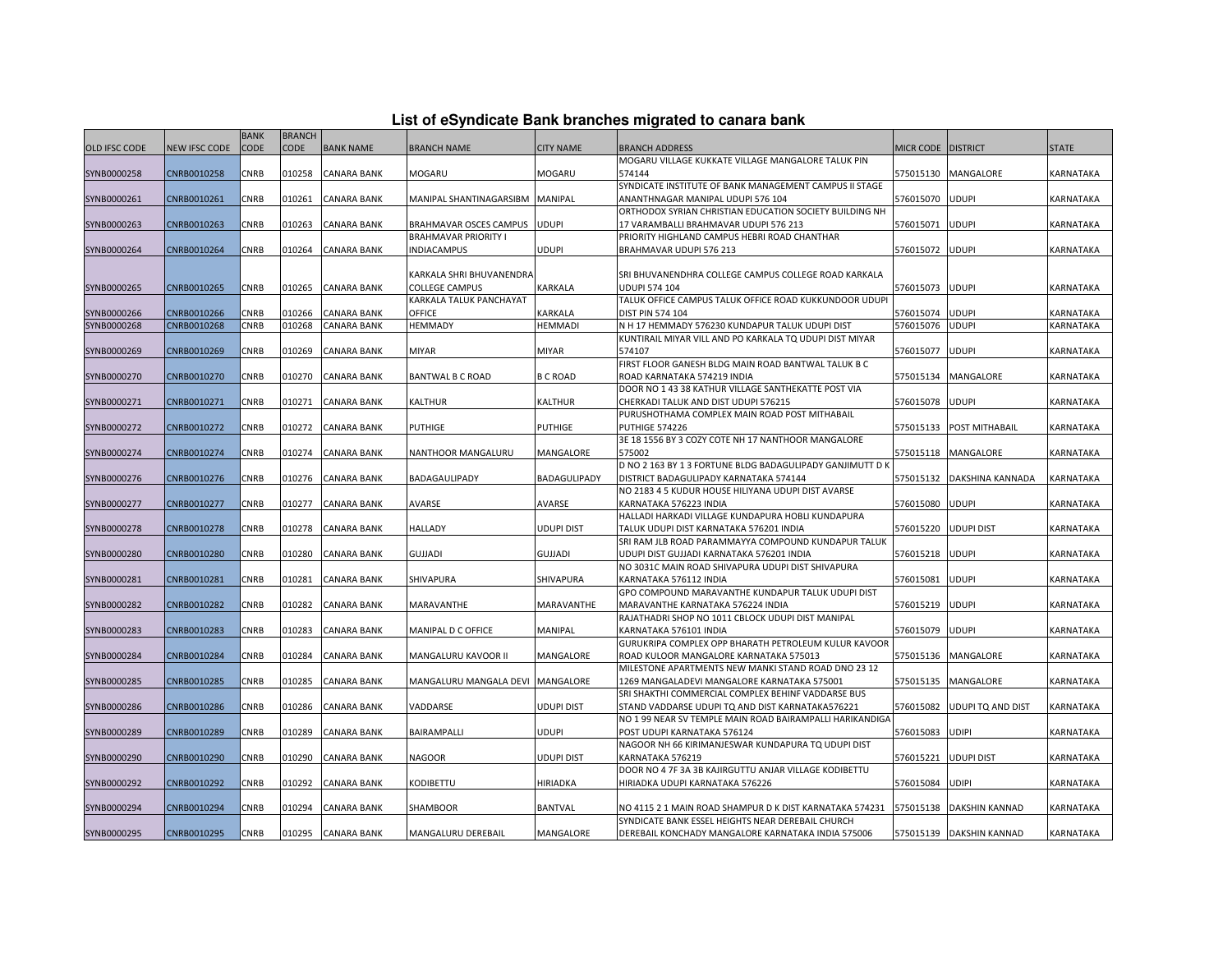|  |  | List of eSyndicate Bank branches migrated to canara bank |  |
|--|--|----------------------------------------------------------|--|
|--|--|----------------------------------------------------------|--|

|               |                      | <b>BANK</b> | <b>BRANCH</b> |                    |                                     |                   |                                                                                              |                      |                          |                         |
|---------------|----------------------|-------------|---------------|--------------------|-------------------------------------|-------------------|----------------------------------------------------------------------------------------------|----------------------|--------------------------|-------------------------|
| OLD IFSC CODE | <b>NEW IFSC CODE</b> | <b>CODE</b> | <b>CODE</b>   | <b>BANK NAME</b>   | <b>BRANCH NAME</b>                  | <b>CITY NAME</b>  | <b>BRANCH ADDRESS</b>                                                                        | MICR CODE   DISTRICT |                          | <b>STATE</b>            |
|               |                      |             |               |                    |                                     |                   | MOGARU VILLAGE KUKKATE VILLAGE MANGALORE TALUK PIN                                           |                      |                          |                         |
| SYNB0000258   | CNRB0010258          | CNRB        | 010258        | <b>CANARA BANK</b> | MOGARU                              | MOGARU            | 574144                                                                                       |                      | 575015130 MANGALORE      | KARNATAKA               |
|               |                      |             |               |                    |                                     |                   | SYNDICATE INSTITUTE OF BANK MANAGEMENT CAMPUS II STAGE                                       |                      |                          |                         |
| SYNB0000261   | CNRB0010261          | <b>CNRB</b> | 010261        | <b>CANARA BANK</b> | MANIPAL SHANTINAGARSIBM             | <b>MANIPAL</b>    | ANANTHNAGAR MANIPAL UDUPI 576 104                                                            | 576015070 UDUPI      |                          | KARNATAKA               |
|               |                      |             |               |                    |                                     |                   | ORTHODOX SYRIAN CHRISTIAN EDUCATION SOCIETY BUILDING NH                                      |                      |                          |                         |
| SYNB0000263   | CNRB0010263          | CNRB        | 010263        | <b>CANARA BANK</b> | BRAHMAVAR OSCES CAMPUS              | <b>UDUPI</b>      | 17 VARAMBALLI BRAHMAVAR UDUPI 576 213                                                        | 576015071            | <b>UDUPI</b>             | KARNATAKA               |
|               | CNRB0010264          | <b>CNRB</b> | 010264        | <b>CANARA BANK</b> | BRAHMAVAR PRIORITY I<br>INDIACAMPUS | UDUPI             | PRIORITY HIGHLAND CAMPUS HEBRI ROAD CHANTHAR<br>BRAHMAVAR UDUPI 576 213                      | 576015072 UDUPI      |                          | KARNATAKA               |
| SYNB0000264   |                      |             |               |                    |                                     |                   |                                                                                              |                      |                          |                         |
|               |                      |             |               |                    | KARKALA SHRI BHUVANENDRA            |                   | SRI BHUVANENDHRA COLLEGE CAMPUS COLLEGE ROAD KARKALA                                         |                      |                          |                         |
| SYNB0000265   | CNRB0010265          | <b>CNRB</b> | 010265        | CANARA BANK        | COLLEGE CAMPUS                      | KARKALA           | UDUPI 574 104                                                                                | 576015073            | <b>UDUPI</b>             | KARNATAKA               |
|               |                      |             |               |                    | KARKALA TALUK PANCHAYAT             |                   | TALUK OFFICE CAMPUS TALUK OFFICE ROAD KUKKUNDOOR UDUPI                                       |                      |                          |                         |
| SYNB0000266   | CNRB0010266          | <b>CNRB</b> | 010266        | <b>CANARA BANK</b> | OFFICE                              | KARKALA           | DIST PIN 574 104                                                                             | 576015074            | <b>UDUPI</b>             | KARNATAKA               |
| SYNB0000268   | CNRB0010268          | CNRB        | 010268        | <b>CANARA BANK</b> | HEMMADY                             | <b>HEMMADI</b>    | N H 17 HEMMADY 576230 KUNDAPUR TALUK UDUPI DIST                                              | 576015076            | <b>UDUPI</b>             | KARNATAKA               |
|               |                      |             |               |                    |                                     |                   | KUNTIRAIL MIYAR VILL AND PO KARKALA TQ UDUPI DIST MIYAR                                      |                      |                          |                         |
| SYNB0000269   | CNRB0010269          | <b>CNRB</b> | 010269        | <b>CANARA BANK</b> | MIYAR                               | <b>MIYAR</b>      | 574107                                                                                       | 576015077            | <b>UDUPI</b>             | <b><i>CARNATAKA</i></b> |
|               |                      |             |               |                    |                                     |                   | FIRST FLOOR GANESH BLDG MAIN ROAD BANTWAL TALUK B C                                          |                      |                          |                         |
| SYNB0000270   | CNRB0010270          | <b>CNRB</b> | 010270        | <b>CANARA BANK</b> | <b>BANTWAL B C ROAD</b>             | <b>B C ROAD</b>   | ROAD KARNATAKA 574219 INDIA                                                                  |                      | 575015134 MANGALORE      | KARNATAKA               |
|               |                      |             |               |                    |                                     |                   | DOOR NO 1 43 38 KATHUR VILLAGE SANTHEKATTE POST VIA                                          |                      |                          |                         |
| SYNB0000271   | CNRB0010271          | CNRB        | 010271        | <b>CANARA BANK</b> | KALTHUR                             | KALTHUR           | CHERKADI TALUK AND DIST UDUPI 576215                                                         | 576015078 UDUPI      |                          | KARNATAKA               |
|               |                      |             |               |                    |                                     |                   | PURUSHOTHAMA COMPLEX MAIN ROAD POST MITHABAIL                                                |                      |                          |                         |
| SYNB0000272   | CNRB0010272          | <b>CNRB</b> | )10272        | <b>CANARA BANK</b> | PUTHIGE                             | PUTHIGE           | PUTHIGE 574226                                                                               |                      | 575015133 POST MITHABAIL | KARNATAKA               |
|               |                      |             |               |                    |                                     |                   | 3E 18 1556 BY 3 COZY COTE NH 17 NANTHOOR MANGALORE                                           |                      |                          |                         |
| SYNB0000274   | CNRB0010274          | CNRB        | 010274        | <b>CANARA BANK</b> | NANTHOOR MANGALURU                  | MANGALORE         | 575002                                                                                       |                      | 575015118 MANGALORE      | KARNATAKA               |
|               |                      |             |               |                    |                                     |                   | D NO 2 163 BY 1 3 FORTUNE BLDG BADAGULIPADY GANJIMUTT D K                                    |                      |                          |                         |
| SYNB0000276   | CNRB0010276          | CNRB        | 010276        | <b>CANARA BANK</b> | BADAGAULIPADY                       | BADAGULIPADY      | DISTRICT BADAGULIPADY KARNATAKA 574144                                                       | 575015132            | DAKSHINA KANNADA         | KARNATAKA               |
|               |                      |             |               |                    |                                     |                   | NO 2183 4 5 KUDUR HOUSE HILIYANA UDUPI DIST AVARSE                                           |                      |                          |                         |
| SYNB0000277   | CNRB0010277          | CNRB        | 010277        | <b>CANARA BANK</b> | AVARSE                              | AVARSE            | KARNATAKA 576223 INDIA                                                                       | 576015080 UDUPI      |                          | KARNATAKA               |
| SYNB0000278   | CNRB0010278          | <b>CNRB</b> | 010278        | <b>CANARA BANK</b> | HALLADY                             | <b>UDUPI DIST</b> | HALLADI HARKADI VILLAGE KUNDAPURA HOBLI KUNDAPURA<br>TALUK UDUPI DIST KARNATAKA 576201 INDIA | 576015220 UDUPI DIST |                          | KARNATAKA               |
|               |                      |             |               |                    |                                     |                   | SRI RAM JLB ROAD PARAMMAYYA COMPOUND KUNDAPUR TALUK                                          |                      |                          |                         |
| SYNB0000280   | CNRB0010280          | CNRB        | 010280        | <b>CANARA BANK</b> | GUJJADI                             | <b>GUJJADI</b>    | UDUPI DIST GUJJADI KARNATAKA 576201 INDIA                                                    | 576015218            | <b>UDUPI</b>             | KARNATAKA               |
|               |                      |             |               |                    |                                     |                   | NO 3031C MAIN ROAD SHIVAPURA UDUPI DIST SHIVAPURA                                            |                      |                          |                         |
| SYNB0000281   | CNRB0010281          | <b>CNRB</b> | 010281        | <b>CANARA BANK</b> | SHIVAPURA                           | SHIVAPURA         | KARNATAKA 576112 INDIA                                                                       | 576015081            | <b>UDUPI</b>             | KARNATAKA               |
|               |                      |             |               |                    |                                     |                   | GPO COMPOUND MARAVANTHE KUNDAPUR TALUK UDUPI DIST                                            |                      |                          |                         |
| SYNB0000282   | CNRB0010282          | CNRB        | 010282        | <b>CANARA BANK</b> | MARAVANTHE                          | MARAVANTHE        | MARAVANTHE KARNATAKA 576224 INDIA                                                            | 576015219 UDUPI      |                          | KARNATAKA               |
|               |                      |             |               |                    |                                     |                   | RAJATHADRI SHOP NO 1011 CBLOCK UDUPI DIST MANIPAL                                            |                      |                          |                         |
| SYNB0000283   | CNRB0010283          | <b>CNRB</b> | 010283        | <b>CANARA BANK</b> | MANIPAL D C OFFICE                  | MANIPAL           | KARNATAKA 576101 INDIA                                                                       | 576015079 UDUPI      |                          | KARNATAKA               |
|               |                      |             |               |                    |                                     |                   | GURUKRIPA COMPLEX OPP BHARATH PETROLEUM KULUR KAVOOR                                         |                      |                          |                         |
| SYNB0000284   | CNRB0010284          | CNRB        | 010284        | <b>CANARA BANK</b> | MANGALURU KAVOOR II                 | MANGALORE         | ROAD KULOOR MANGALORE KARNATAKA 575013                                                       |                      | 575015136 MANGALORE      | KARNATAKA               |
|               |                      |             |               |                    |                                     |                   | MILESTONE APARTMENTS NEW MANKI STAND ROAD DNO 23 12                                          |                      |                          |                         |
| SYNB0000285   | CNRB0010285          | CNRB        | 010285        | <b>CANARA BANK</b> | MANGALURU MANGALA DEVI              | MANGALORE         | 1269 MANGALADEVI MANGALORE KARNATAKA 575001                                                  | 575015135            | MANGALORE                | KARNATAKA               |
|               |                      |             |               |                    |                                     |                   | SRI SHAKTHI COMMERCIAL COMPLEX BEHINF VADDARSE BUS                                           |                      |                          |                         |
| SYNB0000286   | CNRB0010286          | CNRB        | 010286        | <b>CANARA BANK</b> | VADDARSE                            | UDUPI DIST        | STAND VADDARSE UDUPI TQ AND DIST KARNATAKA576221                                             | 576015082            | <b>UDUPI TQ AND DIST</b> | KARNATAKA               |
|               |                      |             |               |                    |                                     |                   | NO 1 99 NEAR SV TEMPLE MAIN ROAD BAIRAMPALLI HARIKANDIGA                                     |                      |                          |                         |
| SYNB0000289   | CNRB0010289          | <b>CNRB</b> | 010289        | <b>CANARA BANK</b> | BAIRAMPALLI                         | <b>UDUPI</b>      | POST UDUPI KARNATAKA 576124                                                                  | 576015083            | <b>UDIPI</b>             | KARNATAKA               |
|               |                      |             |               |                    |                                     |                   | NAGOOR NH 66 KIRIMANJESWAR KUNDAPURA TO UDUPI DIST                                           |                      |                          |                         |
| SYNB0000290   | CNRB0010290          | <b>CNRB</b> | 010290        | <b>CANARA BANK</b> | NAGOOR                              | UDUPI DIST        | KARNATAKA 576219<br>DOOR NO 4 7F 3A 3B KAJIRGUTTU ANJAR VILLAGE KODIBETTU                    | 576015221            | <b>UDUPI DIST</b>        | KARNATAKA               |
|               |                      | CNRB        | 010292        |                    |                                     | HIRIADKA          |                                                                                              | 576015084 UDIPI      |                          |                         |
| SYNB0000292   | CNRB0010292          |             |               | <b>CANARA BANK</b> | KODIBETTU                           |                   | HIRIADKA UDUPI KARNATAKA 576226                                                              |                      |                          | KARNATAKA               |
| SYNB0000294   | CNRB0010294          | <b>CNRB</b> | 10294         | <b>CANARA BANK</b> | SHAMBOOR                            | BANTVAL           | NO 4115 2 1 MAIN ROAD SHAMPUR D K DIST KARNATAKA 574231                                      | 575015138            | <b>DAKSHIN KANNAD</b>    | KARNATAKA               |
|               |                      |             |               |                    |                                     |                   | SYNDICATE BANK ESSEL HEIGHTS NEAR DEREBAIL CHURCH                                            |                      |                          |                         |
| SYNB0000295   | CNRB0010295          | <b>CNRB</b> | 010295        | <b>CANARA BANK</b> | MANGALURU DEREBAIL                  | MANGALORE         | DEREBAIL KONCHADY MANGALORE KARNATAKA INDIA 575006                                           |                      | 575015139 DAKSHIN KANNAD | KARNATAKA               |
|               |                      |             |               |                    |                                     |                   |                                                                                              |                      |                          |                         |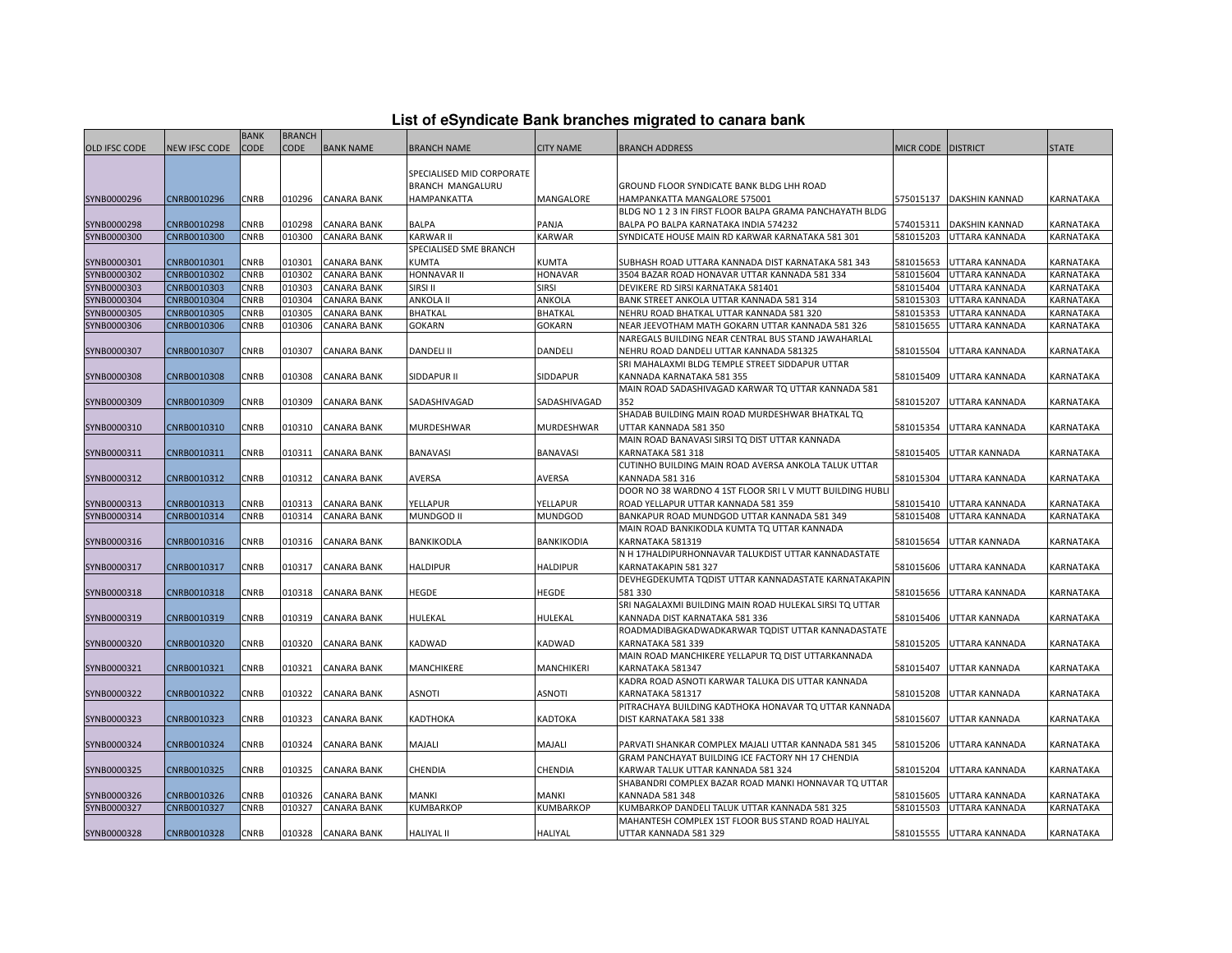| List of eSyndicate Bank branches migrated to canara bank |  |  |
|----------------------------------------------------------|--|--|
|                                                          |  |  |

|                      |               | <b>BANK</b> | <b>BRANCH</b> |                    |                                                              |                   |                                                                                            |           |                       |              |
|----------------------|---------------|-------------|---------------|--------------------|--------------------------------------------------------------|-------------------|--------------------------------------------------------------------------------------------|-----------|-----------------------|--------------|
| <b>OLD IFSC CODE</b> | NEW IFSC CODE | <b>CODE</b> | <b>CODE</b>   | <b>BANK NAME</b>   | <b>BRANCH NAME</b>                                           | <b>CITY NAME</b>  | <b>BRANCH ADDRESS</b>                                                                      | MICR CODE | <b>DISTRICT</b>       | <b>STATE</b> |
| SYNB0000296          | CNRB0010296   | <b>CNRB</b> | 010296        | <b>CANARA BANK</b> | SPECIALISED MID CORPORATE<br>BRANCH MANGALURU<br>HAMPANKATTA | MANGALORE         | GROUND FLOOR SYNDICATE BANK BLDG LHH ROAD<br>HAMPANKATTA MANGALORE 575001                  | 575015137 | <b>DAKSHIN KANNAD</b> | KARNATAKA    |
|                      |               |             |               |                    |                                                              |                   | BLDG NO 1 2 3 IN FIRST FLOOR BALPA GRAMA PANCHAYATH BLDG                                   |           |                       |              |
| SYNB0000298          | CNRB0010298   | CNRB        | 010298        | <b>CANARA BANK</b> | BALPA                                                        | PANJA             | BALPA PO BALPA KARNATAKA INDIA 574232                                                      | 574015311 | DAKSHIN KANNAD        | KARNATAKA    |
| SYNB0000300          | CNRB0010300   | CNRB        | 010300        | <b>CANARA BANK</b> | <b>KARWAR II</b>                                             | KARWAR            | SYNDICATE HOUSE MAIN RD KARWAR KARNATAKA 581 301                                           | 581015203 | UTTARA KANNADA        | KARNATAKA    |
|                      |               |             |               |                    | SPECIALISED SME BRANCH                                       |                   |                                                                                            |           |                       |              |
| SYNB0000301          | CNRB0010301   | CNRB        | 010301        | <b>CANARA BANK</b> | KUMTA                                                        | KUMTA             | SUBHASH ROAD UTTARA KANNADA DIST KARNATAKA 581 343                                         | 581015653 | UTTARA KANNADA        | KARNATAKA    |
| SYNB0000302          | CNRB0010302   | CNRB        | 010302        | <b>CANARA BANK</b> | HONNAVAR II                                                  | <b>HONAVAR</b>    | 3504 BAZAR ROAD HONAVAR UTTAR KANNADA 581 334                                              | 581015604 | UTTARA KANNADA        | KARNATAKA    |
| SYNB0000303          | CNRB0010303   | CNRB        | 010303        | <b>CANARA BANK</b> | SIRSI II                                                     | <b>SIRSI</b>      | DEVIKERE RD SIRSI KARNATAKA 581401                                                         | 581015404 | UTTARA KANNADA        | KARNATAKA    |
| SYNB0000304          | CNRB0010304   | CNRB        | 010304        | <b>CANARA BANK</b> | ANKOLA II                                                    | ANKOLA            | BANK STREET ANKOLA UTTAR KANNADA 581 314                                                   | 581015303 | UTTARA KANNADA        | KARNATAKA    |
| SYNB0000305          | CNRB0010305   | <b>CNRB</b> | 010305        | <b>CANARA BANK</b> | BHATKAL                                                      | <b>BHATKAL</b>    | NEHRU ROAD BHATKAL UTTAR KANNADA 581 320                                                   | 581015353 | UTTARA KANNADA        | KARNATAKA    |
| SYNB0000306          | CNRB0010306   | CNRB        | 010306        | <b>CANARA BANK</b> | <b>GOKARN</b>                                                | GOKARN            | NEAR JEEVOTHAM MATH GOKARN UTTAR KANNADA 581 326                                           | 581015655 | UTTARA KANNADA        | KARNATAKA    |
|                      |               |             |               |                    |                                                              |                   | NAREGALS BUILDING NEAR CENTRAL BUS STAND JAWAHARLAL                                        |           |                       |              |
| SYNB0000307          | CNRB0010307   | CNRB        | 010307        | <b>CANARA BANK</b> | <b>DANDELI II</b>                                            | <b>DANDELI</b>    | NEHRU ROAD DANDELI UTTAR KANNADA 581325<br>SRI MAHALAXMI BLDG TEMPLE STREET SIDDAPUR UTTAR | 581015504 | UTTARA KANNADA        | KARNATAKA    |
|                      |               |             |               |                    |                                                              |                   |                                                                                            |           |                       |              |
| SYNB0000308          | CNRB0010308   | CNRB        | 010308        | <b>CANARA BANK</b> | SIDDAPUR II                                                  | SIDDAPUR          | KANNADA KARNATAKA 581 355                                                                  | 581015409 | UTTARA KANNADA        | KARNATAKA    |
|                      |               |             |               |                    |                                                              |                   | MAIN ROAD SADASHIVAGAD KARWAR TO UTTAR KANNADA 581                                         |           |                       |              |
| SYNB0000309          | CNRB0010309   | CNRB        | 010309        | <b>CANARA BANK</b> | SADASHIVAGAD                                                 | SADASHIVAGAD      | 352                                                                                        | 581015207 | UTTARA KANNADA        | KARNATAKA    |
|                      |               |             |               |                    |                                                              |                   | SHADAB BUILDING MAIN ROAD MURDESHWAR BHATKAL TQ                                            |           |                       |              |
| SYNB0000310          | CNRB0010310   | CNRB        | 010310        | <b>CANARA BANK</b> | MURDESHWAR                                                   | MURDESHWAR        | JTTAR KANNADA 581 350                                                                      | 581015354 | UTTARA KANNADA        | KARNATAKA    |
|                      |               |             |               |                    |                                                              |                   | MAIN ROAD BANAVASI SIRSI TO DIST UTTAR KANNADA                                             |           |                       |              |
| SYNB0000311          | CNRB0010311   | CNRB        | 010311        | <b>CANARA BANK</b> | BANAVASI                                                     | <b>BANAVASI</b>   | KARNATAKA 581 318                                                                          | 581015405 | UTTAR KANNADA         | KARNATAKA    |
| SYNB0000312          | CNRB0010312   | CNRB        | 010312        | <b>CANARA BANK</b> | AVERSA                                                       | AVERSA            | CUTINHO BUILDING MAIN ROAD AVERSA ANKOLA TALUK UTTAR<br>KANNADA 581 316                    | 581015304 | UTTARA KANNADA        | KARNATAKA    |
|                      |               |             |               |                    |                                                              |                   | DOOR NO 38 WARDNO 4 1ST FLOOR SRI L V MUTT BUILDING HUBLI                                  |           |                       |              |
| SYNB0000313          | CNRB0010313   | CNRB        | 010313        | <b>CANARA BANK</b> | YELLAPUR                                                     | YELLAPUR          | ROAD YELLAPUR UTTAR KANNADA 581 359                                                        | 581015410 | UTTARA KANNADA        | KARNATAKA    |
| SYNB0000314          | CNRB0010314   | CNRB        | 010314        | <b>CANARA BANK</b> | MUNDGOD II                                                   | MUNDGOD           | BANKAPUR ROAD MUNDGOD UTTAR KANNADA 581 349                                                | 581015408 | UTTARA KANNADA        | KARNATAKA    |
|                      |               |             |               |                    |                                                              |                   | MAIN ROAD BANKIKODLA KUMTA TO UTTAR KANNADA                                                |           |                       |              |
| SYNB0000316          | CNRB0010316   | CNRB        | 010316        | <b>CANARA BANK</b> | BANKIKODLA                                                   | BANKIKODIA        | KARNATAKA 581319                                                                           | 581015654 | UTTAR KANNADA         | KARNATAKA    |
|                      |               |             |               |                    |                                                              |                   | N H 17HALDIPURHONNAVAR TALUKDIST UTTAR KANNADASTATE                                        |           |                       |              |
| SYNB0000317          | CNRB0010317   | CNRB        | 010317        | <b>CANARA BANK</b> | <b>HALDIPUR</b>                                              | HALDIPUR          | KARNATAKAPIN 581 327                                                                       | 581015606 | UTTARA KANNADA        | KARNATAKA    |
|                      |               |             |               |                    |                                                              |                   | DEVHEGDEKUMTA TQDIST UTTAR KANNADASTATE KARNATAKAPIN                                       |           |                       |              |
| SYNB0000318          | CNRB0010318   | CNRB        | 010318        | <b>CANARA BANK</b> | HEGDE                                                        | HEGDE             | 581 330                                                                                    | 581015656 | UTTARA KANNADA        | KARNATAKA    |
|                      |               |             |               |                    |                                                              |                   | SRI NAGALAXMI BUILDING MAIN ROAD HULEKAL SIRSI TO UTTAR                                    |           |                       |              |
| SYNB0000319          | CNRB0010319   | CNRB        | 010319        | <b>CANARA BANK</b> | HULEKAL                                                      | HULEKAL           | KANNADA DIST KARNATAKA 581 336                                                             | 581015406 | UTTAR KANNADA         | KARNATAKA    |
|                      |               |             |               |                    |                                                              |                   | ROADMADIBAGKADWADKARWAR TQDIST UTTAR KANNADASTATE                                          |           |                       |              |
| SYNB0000320          | CNRB0010320   | CNRB        | 010320        | <b>CANARA BANK</b> | KADWAD                                                       | <b>KADWAD</b>     | KARNATAKA 581 339                                                                          | 581015205 | UTTARA KANNADA        | KARNATAKA    |
|                      |               |             |               |                    |                                                              |                   | MAIN ROAD MANCHIKERE YELLAPUR TO DIST UTTARKANNADA                                         |           |                       |              |
| SYNB0000321          | CNRB0010321   | CNRB        | 010321        | <b>CANARA BANK</b> | MANCHIKERE                                                   | <b>MANCHIKERI</b> | KARNATAKA 581347                                                                           | 581015407 | UTTAR KANNADA         | KARNATAKA    |
|                      |               |             |               |                    |                                                              |                   | KADRA ROAD ASNOTI KARWAR TALUKA DIS UTTAR KANNADA                                          |           |                       |              |
| SYNB0000322          | CNRB0010322   | CNRB        | 010322        | <b>CANARA BANK</b> | ASNOTI                                                       | ASNOTI            | KARNATAKA 581317                                                                           | 581015208 | UTTAR KANNADA         | KARNATAKA    |
|                      |               |             |               |                    |                                                              |                   | PITRACHAYA BUILDING KADTHOKA HONAVAR TO UTTAR KANNADA                                      |           |                       |              |
| SYNB0000323          | CNRB0010323   | CNRB        | 010323        | <b>CANARA BANK</b> | KADTHOKA                                                     | KADTOKA           | DIST KARNATAKA 581 338                                                                     | 581015607 | UTTAR KANNADA         | KARNATAKA    |
|                      |               |             |               |                    |                                                              |                   |                                                                                            |           |                       |              |
| SYNB0000324          | CNRB0010324   | <b>CNRB</b> | 010324        | <b>CANARA BANK</b> | MAJALI                                                       | MAJALI            | PARVATI SHANKAR COMPLEX MAJALI UTTAR KANNADA 581 345                                       | 581015206 | UTTARA KANNADA        | KARNATAKA    |
|                      |               |             |               |                    |                                                              |                   | GRAM PANCHAYAT BUILDING ICE FACTORY NH 17 CHENDIA                                          |           |                       |              |
| SYNB0000325          | CNRB0010325   | CNRB        | 010325        | <b>CANARA BANK</b> | CHENDIA                                                      | CHENDIA           | KARWAR TALUK UTTAR KANNADA 581 324                                                         | 581015204 | UTTARA KANNADA        | KARNATAKA    |
|                      |               |             |               |                    |                                                              |                   | SHABANDRI COMPLEX BAZAR ROAD MANKI HONNAVAR TQ UTTAR                                       |           |                       |              |
| SYNB0000326          | CNRB0010326   | CNRB        | 010326        | CANARA BANK        | MANKI                                                        | MANKI             | KANNADA 581 348                                                                            | 581015605 | UTTARA KANNADA        | KARNATAKA    |
| SYNB0000327          | CNRB0010327   | CNRB        | 010327        | <b>CANARA BANK</b> | KUMBARKOP                                                    | KUMBARKOP         | KUMBARKOP DANDELI TALUK UTTAR KANNADA 581 325                                              | 581015503 | UTTARA KANNADA        | KARNATAKA    |
|                      |               |             |               |                    |                                                              |                   | MAHANTESH COMPLEX 1ST FLOOR BUS STAND ROAD HALIYAL                                         |           |                       |              |
| SYNB0000328          | CNRB0010328   | <b>CNRB</b> |               | 010328 CANARA BANK | <b>HALIYAL II</b>                                            | <b>HALIYAL</b>    | UTTAR KANNADA 581 329                                                                      | 581015555 | UTTARA KANNADA        | KARNATAKA    |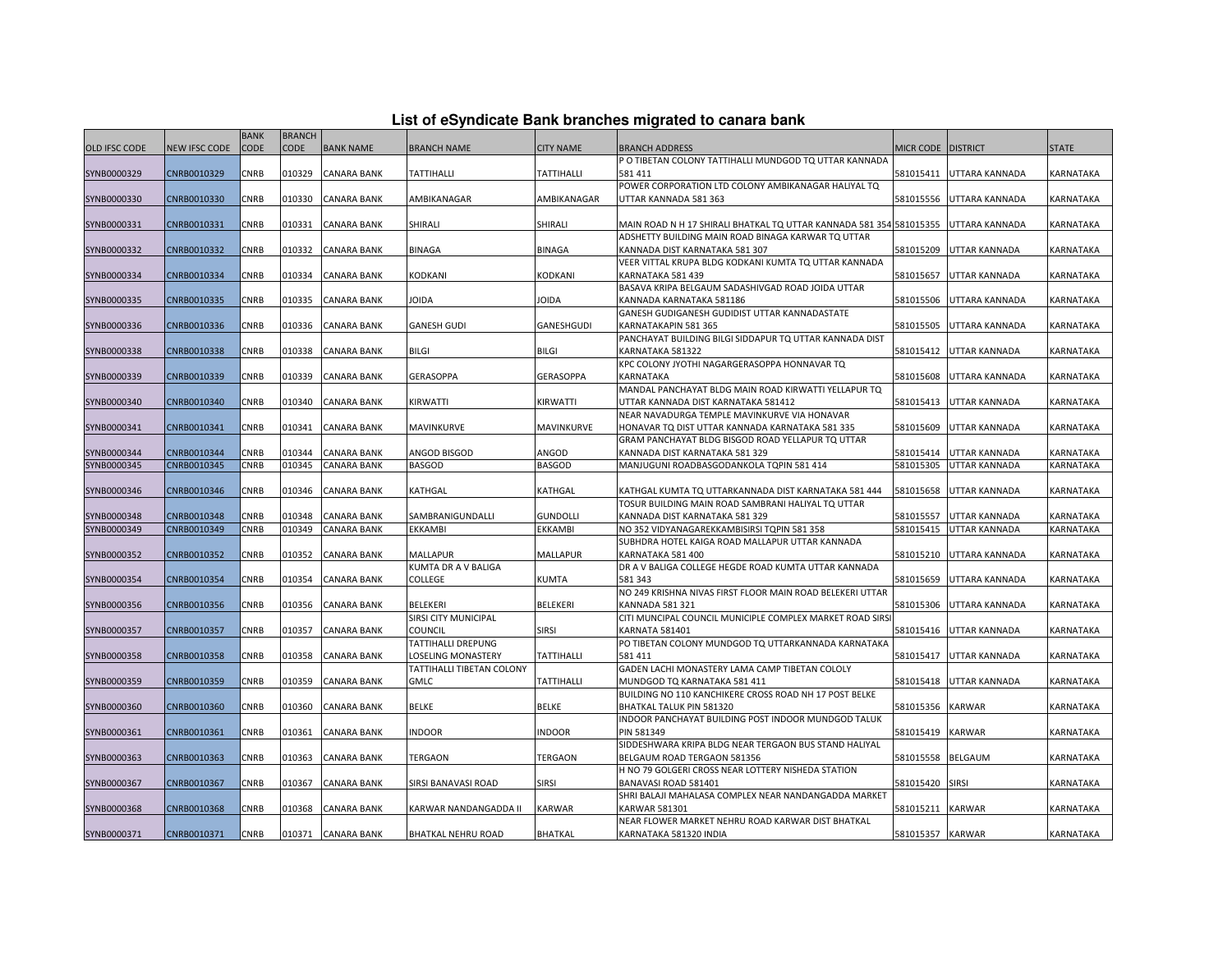| List of eSyndicate Bank branches migrated to canara bank |  |  |  |
|----------------------------------------------------------|--|--|--|
|----------------------------------------------------------|--|--|--|

|                      |               | <b>BANK</b> | <b>BRANCH</b> |                    |                           |                   |                                                                                      |                        |                                              |                  |
|----------------------|---------------|-------------|---------------|--------------------|---------------------------|-------------------|--------------------------------------------------------------------------------------|------------------------|----------------------------------------------|------------------|
| <b>OLD IFSC CODE</b> | NEW IFSC CODE | CODE        | <b>CODE</b>   | <b>BANK NAME</b>   | <b>BRANCH NAME</b>        | <b>CITY NAME</b>  | <b>BRANCH ADDRESS</b>                                                                | MICR CODE DISTRICT     |                                              | <b>STATE</b>     |
|                      |               |             |               |                    |                           |                   | P O TIBETAN COLONY TATTIHALLI MUNDGOD TO UTTAR KANNADA                               |                        |                                              |                  |
| SYNB0000329          | CNRB0010329   | CNRB        | 010329        | <b>CANARA BANK</b> | <b>TATTIHALLI</b>         | <b>TATTIHALLI</b> | 581 411                                                                              | 581015411              | UTTARA KANNADA                               | KARNATAKA        |
|                      |               |             |               |                    |                           |                   | POWER CORPORATION LTD COLONY AMBIKANAGAR HALIYAL TQ                                  |                        |                                              |                  |
| SYNB0000330          | CNRB0010330   | CNRB        | 010330        | <b>CANARA BANK</b> | AMBIKANAGAR               | AMBIKANAGAR       | UTTAR KANNADA 581 363                                                                | 581015556              | UTTARA KANNADA                               | KARNATAKA        |
|                      |               |             |               |                    |                           |                   |                                                                                      |                        |                                              |                  |
| SYNB0000331          | CNRB0010331   | CNRB        | 010331        | <b>CANARA BANK</b> | SHIRALI                   | SHIRALI           | MAIN ROAD N H 17 SHIRALI BHATKAL TQ UTTAR KANNADA 581 354 581015355                  |                        | UTTARA KANNADA                               | KARNATAKA        |
|                      |               |             |               |                    |                           |                   | ADSHETTY BUILDING MAIN ROAD BINAGA KARWAR TO UTTAR                                   |                        |                                              |                  |
| SYNB0000332          | CNRB0010332   | CNRB        | 010332        | <b>CANARA BANK</b> | <b>BINAGA</b>             | <b>BINAGA</b>     | KANNADA DIST KARNATAKA 581 307                                                       | 581015209              | UTTAR KANNADA                                | KARNATAKA        |
|                      |               |             |               |                    |                           |                   | VEER VITTAL KRUPA BLDG KODKANI KUMTA TO UTTAR KANNADA                                |                        |                                              |                  |
| SYNB0000334          | CNRB0010334   | CNRB        | 010334        | <b>CANARA BANK</b> | KODKANI                   | KODKANI           | KARNATAKA 581 439                                                                    | 581015657              | <b>UTTAR KANNADA</b>                         | KARNATAKA        |
|                      |               |             |               |                    |                           |                   | BASAVA KRIPA BELGAUM SADASHIVGAD ROAD JOIDA UTTAR                                    |                        |                                              |                  |
| SYNB0000335          | CNRB0010335   | CNRB        | 010335        | <b>CANARA BANK</b> | JOIDA                     | <b>JOIDA</b>      | KANNADA KARNATAKA 581186                                                             | 581015506              | UTTARA KANNADA                               | KARNATAKA        |
|                      |               |             |               |                    |                           |                   | GANESH GUDIGANESH GUDIDIST UTTAR KANNADASTATE                                        |                        |                                              |                  |
| SYNB0000336          | CNRB0010336   | CNRB        | 010336        | <b>CANARA BANK</b> | <b>GANESH GUDI</b>        | <b>GANESHGUDI</b> | KARNATAKAPIN 581 365                                                                 | 581015505              | <b>UTTARA KANNADA</b>                        | KARNATAKA        |
|                      |               |             |               |                    |                           |                   | PANCHAYAT BUILDING BILGI SIDDAPUR TO UTTAR KANNADA DIST                              |                        |                                              |                  |
| SYNB0000338          | CNRB0010338   | CNRB        | 010338        | <b>CANARA BANK</b> | <b>BILGI</b>              | <b>BILGI</b>      | KARNATAKA 581322                                                                     | 581015412              | <b>UTTAR KANNADA</b>                         | KARNATAKA        |
|                      |               |             |               |                    |                           |                   | KPC COLONY JYOTHI NAGARGERASOPPA HONNAVAR TQ                                         |                        |                                              |                  |
| SYNB0000339          | CNRB0010339   | CNRB        | 010339        | CANARA BANK        | GERASOPPA                 | <b>GERASOPPA</b>  | KARNATAKA                                                                            | 581015608              | UTTARA KANNADA                               | KARNATAKA        |
|                      |               |             |               |                    |                           |                   | MANDAL PANCHAYAT BLDG MAIN ROAD KIRWATTI YELLAPUR TQ                                 |                        |                                              |                  |
| SYNB0000340          | CNRB0010340   | CNRB        | 010340        | <b>CANARA BANK</b> | KIRWATTI                  | KIRWATTI          | UTTAR KANNADA DIST KARNATAKA 581412                                                  | 581015413              | <b>UTTAR KANNADA</b>                         | <b>KARNATAKA</b> |
|                      |               |             |               |                    |                           |                   | NEAR NAVADURGA TEMPLE MAVINKURVE VIA HONAVAR                                         |                        |                                              |                  |
| SYNB0000341          | CNRB0010341   | CNRB        | 010341        | <b>CANARA BANK</b> | MAVINKURVE                | MAVINKURVE        | HONAVAR TQ DIST UTTAR KANNADA KARNATAKA 581 335                                      |                        | 581015609 UTTAR KANNADA                      | KARNATAKA        |
|                      |               |             |               |                    |                           |                   | GRAM PANCHAYAT BLDG BISGOD ROAD YELLAPUR TO UTTAR                                    |                        |                                              |                  |
| SYNB0000344          | CNRB0010344   | CNRB        | 010344        | CANARA BANK        | ANGOD BISGOD              | ANGOD             | KANNADA DIST KARNATAKA 581 329                                                       | 581015414              | UTTAR KANNADA                                | KARNATAKA        |
| SYNB0000345          | CNRB0010345   | CNRB        | 010345        | <b>CANARA BANK</b> | <b>BASGOD</b>             | <b>BASGOD</b>     | MANJUGUNI ROADBASGODANKOLA TOPIN 581 414                                             | 581015305              | <b>UTTAR KANNADA</b>                         | KARNATAKA        |
|                      |               |             |               |                    |                           |                   |                                                                                      |                        |                                              |                  |
| SYNB0000346          | CNRB0010346   | CNRB        | 010346        | <b>CANARA BANK</b> | KATHGAL                   | KATHGAL           | KATHGAL KUMTA TQ UTTARKANNADA DIST KARNATAKA 581 444                                 | 581015658              | UTTAR KANNADA                                | KARNATAKA        |
| SYNB0000348          | CNRB0010348   | CNRB        | 010348        | <b>CANARA BANK</b> | SAMBRANIGUNDALLI          | <b>GUNDOLLI</b>   | TOSUR BUILDING MAIN ROAD SAMBRANI HALIYAL TO UTTAR<br>KANNADA DIST KARNATAKA 581 329 |                        |                                              | KARNATAKA        |
| SYNB0000349          | CNRB0010349   | CNRB        | 010349        | <b>CANARA BANK</b> | EKKAMBI                   | EKKAMBI           | NO 352 VIDYANAGAREKKAMBISIRSI TQPIN 581 358                                          | 581015557<br>581015415 | <b>UTTAR KANNADA</b><br><b>UTTAR KANNADA</b> | KARNATAKA        |
|                      |               |             |               |                    |                           |                   | SUBHDRA HOTEL KAIGA ROAD MALLAPUR UTTAR KANNADA                                      |                        |                                              |                  |
| SYNB0000352          | CNRB0010352   | <b>CNRB</b> | 010352        | <b>CANARA BANK</b> | MALLAPUR                  | <b>MALLAPUR</b>   | KARNATAKA 581 400                                                                    | 581015210              | UTTARA KANNADA                               | <b>KARNATAKA</b> |
|                      |               |             |               |                    | KUMTA DR A V BALIGA       |                   | DR A V BALIGA COLLEGE HEGDE ROAD KUMTA UTTAR KANNADA                                 |                        |                                              |                  |
| SYNB0000354          | CNRB0010354   | CNRB        | 010354        | CANARA BANK        | <b>COLLEGE</b>            | KUMTA             | 581 343                                                                              | 581015659              | UTTARA KANNADA                               | KARNATAKA        |
|                      |               |             |               |                    |                           |                   | NO 249 KRISHNA NIVAS FIRST FLOOR MAIN ROAD BELEKERI UTTAR                            |                        |                                              |                  |
| SYNB0000356          | CNRB0010356   | CNRB        | 010356        | <b>CANARA BANK</b> | <b>BELEKERI</b>           | <b>BELEKERI</b>   | KANNADA 581 321                                                                      | 581015306              | UTTARA KANNADA                               | KARNATAKA        |
|                      |               |             |               |                    | SIRSI CITY MUNICIPAL      |                   | CITI MUNCIPAL COUNCIL MUNICIPLE COMPLEX MARKET ROAD SIRS                             |                        |                                              |                  |
| SYNB0000357          | CNRB0010357   | <b>CNRB</b> | 010357        | <b>CANARA BANK</b> | COUNCIL                   | <b>SIRSI</b>      | KARNATA 581401                                                                       |                        | 581015416 UTTAR KANNADA                      | <b>KARNATAKA</b> |
|                      |               |             |               |                    | TATTIHALLI DREPUNG        |                   | PO TIBETAN COLONY MUNDGOD TO UTTARKANNADA KARNATAKA                                  |                        |                                              |                  |
| SYNB0000358          | CNRB0010358   | CNRB        | 010358        | CANARA BANK        | LOSELING MONASTERY        | <b>TATTIHALLI</b> | 581 411                                                                              | 581015417              | <b>UTTAR KANNADA</b>                         | KARNATAKA        |
|                      |               |             |               |                    | TATTIHALLI TIBETAN COLONY |                   | GADEN LACHI MONASTERY LAMA CAMP TIBETAN COLOLY                                       |                        |                                              |                  |
| SYNB0000359          | CNRB0010359   | CNRB        | 010359        | <b>CANARA BANK</b> | <b>GMLC</b>               | TATTIHALLI        | MUNDGOD TQ KARNATAKA 581 411                                                         | 581015418              | <b>UTTAR KANNADA</b>                         | KARNATAKA        |
|                      |               |             |               |                    |                           |                   | BUILDING NO 110 KANCHIKERE CROSS ROAD NH 17 POST BELKE                               |                        |                                              |                  |
| SYNB0000360          | CNRB0010360   | CNRB        | 010360        | <b>CANARA BANK</b> | <b>BELKE</b>              | <b>BELKE</b>      | BHATKAL TALUK PIN 581320                                                             | 581015356              | <b>KARWAR</b>                                | <b>KARNATAKA</b> |
|                      |               |             |               |                    |                           |                   | INDOOR PANCHAYAT BUILDING POST INDOOR MUNDGOD TALUK                                  |                        |                                              |                  |
| SYNB0000361          | CNRB0010361   | CNRB        | 010361        | <b>CANARA BANK</b> | INDOOR                    | <b>INDOOR</b>     | <b>PIN 581349</b>                                                                    | 581015419              | <b>KARWAR</b>                                | KARNATAKA        |
|                      |               |             |               |                    |                           |                   | SIDDESHWARA KRIPA BLDG NEAR TERGAON BUS STAND HALIYAL                                |                        |                                              |                  |
| SYNB0000363          | CNRB0010363   | CNRB        | 010363        | <b>CANARA BANK</b> | TERGAON                   | <b>TERGAON</b>    | BELGAUM ROAD TERGAON 581356                                                          | 581015558              | <b>BELGAUM</b>                               | KARNATAKA        |
|                      |               |             |               |                    |                           |                   | H NO 79 GOLGERI CROSS NEAR LOTTERY NISHEDA STATION                                   |                        |                                              |                  |
| SYNB0000367          | CNRB0010367   | <b>CNRB</b> | 010367        | <b>CANARA BANK</b> | SIRSI BANAVASI ROAD       | <b>SIRSI</b>      | BANAVASI ROAD 581401                                                                 | 581015420              | <b>SIRSI</b>                                 | KARNATAKA        |
|                      |               |             |               |                    |                           |                   | SHRI BALAJI MAHALASA COMPLEX NEAR NANDANGADDA MARKET                                 |                        |                                              |                  |
| SYNB0000368          | CNRB0010368   | CNRB        | 010368        | <b>CANARA BANK</b> | KARWAR NANDANGADDA II     | <b>KARWAR</b>     | <b>KARWAR 581301</b>                                                                 | 581015211              | <b>KARWAR</b>                                | KARNATAKA        |
|                      |               |             |               |                    |                           |                   | NEAR FLOWER MARKET NEHRU ROAD KARWAR DIST BHATKAL                                    |                        |                                              |                  |
| SYNB0000371          | CNRB0010371   | <b>CNRB</b> |               | 010371 CANARA BANK | BHATKAL NEHRU ROAD        | <b>BHATKAL</b>    | KARNATAKA 581320 INDIA                                                               | 581015357 KARWAR       |                                              | KARNATAKA        |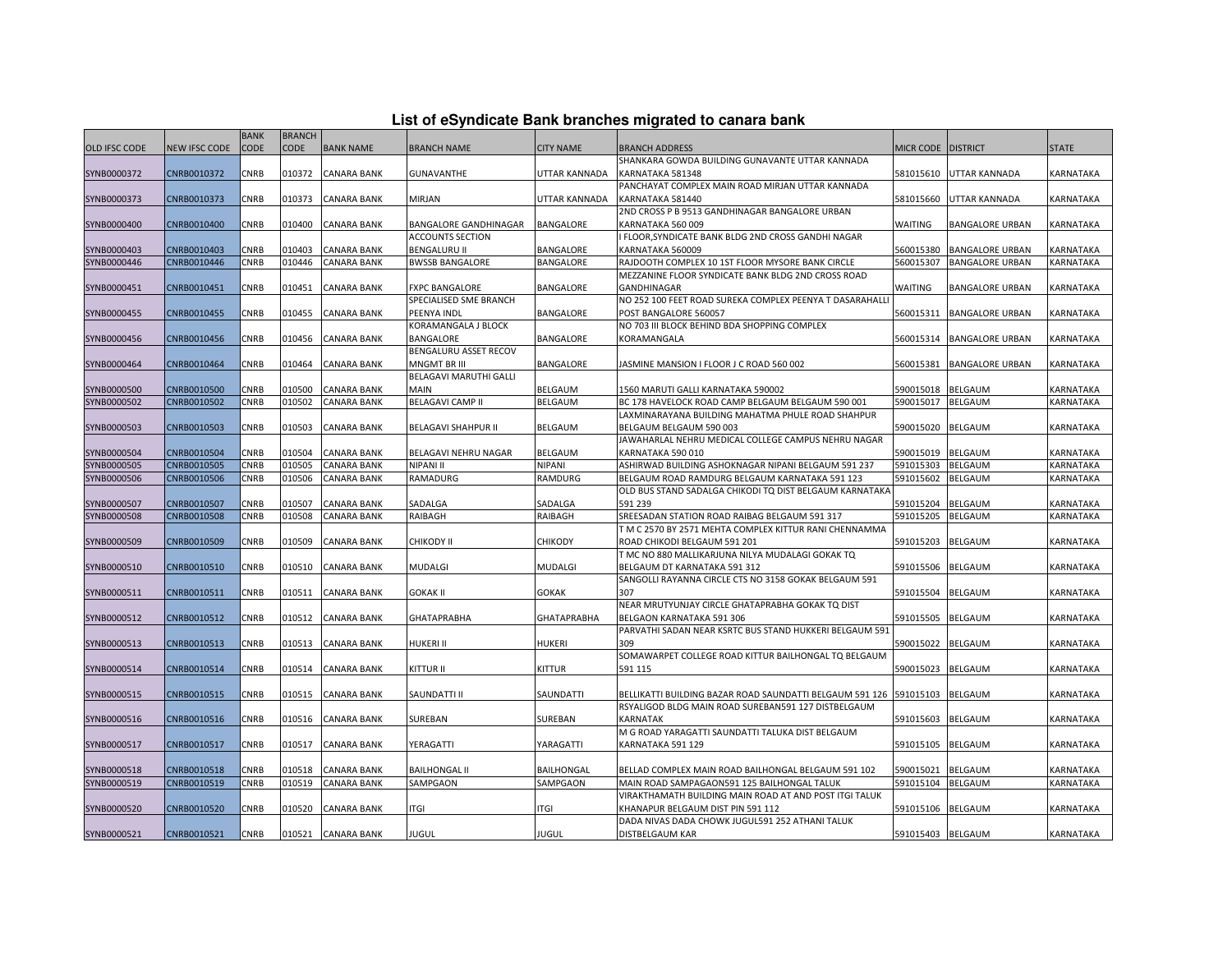| List of eSyndicate Bank branches migrated to canara bank |  |  |  |
|----------------------------------------------------------|--|--|--|
|----------------------------------------------------------|--|--|--|

|               |               | <b>BANK</b> | <b>BRANCH</b> |                    |                         |                   |                                                          |                   |                        |                  |
|---------------|---------------|-------------|---------------|--------------------|-------------------------|-------------------|----------------------------------------------------------|-------------------|------------------------|------------------|
| OLD IFSC CODE | NEW IFSC CODE | CODE        | <b>CODE</b>   | <b>BANK NAME</b>   | <b>BRANCH NAME</b>      | <b>CITY NAME</b>  | <b>BRANCH ADDRESS</b>                                    | MICR CODE         | <b>DISTRICT</b>        | <b>STATE</b>     |
|               |               |             |               |                    |                         |                   | SHANKARA GOWDA BUILDING GUNAVANTE UTTAR KANNADA          |                   |                        |                  |
| SYNB0000372   | CNRB0010372   | CNRB        | 010372        | <b>CANARA BANK</b> | GUNAVANTHE              | UTTAR KANNADA     | KARNATAKA 581348                                         | 581015610         | UTTAR KANNADA          | KARNATAKA        |
|               |               |             |               |                    |                         |                   | PANCHAYAT COMPLEX MAIN ROAD MIRJAN UTTAR KANNADA         |                   |                        |                  |
| SYNB0000373   | CNRB0010373   | CNRB        | 010373        | CANARA BANK        | MIRJAN                  | UTTAR KANNADA     | KARNATAKA 581440                                         | 581015660         | UTTAR KANNADA          | KARNATAKA        |
|               |               |             |               |                    |                         |                   | 2ND CROSS P B 9513 GANDHINAGAR BANGALORE URBAN           |                   |                        |                  |
| SYNB0000400   | CNRB0010400   | <b>CNRB</b> | 010400        | <b>CANARA BANK</b> | BANGALORE GANDHINAGAR   | <b>BANGALORE</b>  | KARNATAKA 560 009                                        | <b>WAITING</b>    | <b>BANGALORE URBAN</b> | <b>KARNATAKA</b> |
|               |               |             |               |                    | <b>ACCOUNTS SECTION</b> |                   | I FLOOR, SYNDICATE BANK BLDG 2ND CROSS GANDHI NAGAR      |                   |                        |                  |
| SYNB0000403   | CNRB0010403   | CNRB        | 010403        | CANARA BANK        | BENGALURU II            | <b>BANGALORE</b>  | KARNATAKA 560009                                         | 560015380         | <b>BANGALORE URBAN</b> | KARNATAKA        |
| SYNB0000446   | CNRB0010446   | CNRB        | 010446        | <b>CANARA BANK</b> | <b>BWSSB BANGALORE</b>  | BANGALORE         | RAJDOOTH COMPLEX 10 1ST FLOOR MYSORE BANK CIRCLE         | 560015307         | <b>BANGALORE URBAN</b> | KARNATAKA        |
|               |               |             |               |                    |                         |                   | MEZZANINE FLOOR SYNDICATE BANK BLDG 2ND CROSS ROAD       |                   |                        |                  |
| SYNB0000451   | CNRB0010451   | CNRB        | 010451        | <b>CANARA BANK</b> | <b>FXPC BANGALORE</b>   | <b>BANGALORE</b>  | GANDHINAGAR                                              | <b>WAITING</b>    | <b>BANGALORE URBAN</b> | <b>KARNATAKA</b> |
|               |               |             |               |                    | SPECIALISED SME BRANCH  |                   | NO 252 100 FEET ROAD SUREKA COMPLEX PEENYA T DASARAHALLI |                   |                        |                  |
| SYNB0000455   | CNRB0010455   | CNRB        | 010455        | <b>CANARA BANK</b> | PEENYA INDL             | BANGALORE         | POST BANGALORE 560057                                    | 560015311         | <b>BANGALORE URBAN</b> | KARNATAKA        |
|               |               |             |               |                    | KORAMANGALA J BLOCK     |                   | NO 703 III BLOCK BEHIND BDA SHOPPING COMPLEX             |                   |                        |                  |
| SYNB0000456   | CNRB0010456   | CNRB        | 010456        | <b>CANARA BANK</b> | BANGALORE               | BANGALORE         | KORAMANGALA                                              | 560015314         | <b>BANGALORE URBAN</b> | KARNATAKA        |
|               |               |             |               |                    | BENGALURU ASSET RECOV   |                   |                                                          |                   |                        |                  |
| SYNB0000464   | CNRB0010464   | CNRB        | 010464        | <b>CANARA BANK</b> | MNGMT BR III            | <b>BANGALORE</b>  | JASMINE MANSION I FLOOR J C ROAD 560 002                 | 560015381         | <b>BANGALORE URBAN</b> | <b>KARNATAKA</b> |
|               |               |             |               |                    | BELAGAVI MARUTHI GALLI  |                   |                                                          |                   |                        |                  |
| SYNB0000500   | CNRB0010500   | CNRB        | 010500        | <b>CANARA BANK</b> | MAIN                    | BELGAUM           | 1560 MARUTI GALLI KARNATAKA 590002                       | 590015018         | <b>BELGAUM</b>         | KARNATAKA        |
| SYNB0000502   | CNRB0010502   | CNRB        | 010502        | <b>CANARA BANK</b> | <b>BELAGAVI CAMP II</b> | <b>BELGAUM</b>    | BC 178 HAVELOCK ROAD CAMP BELGAUM BELGAUM 590 001        | 590015017         | <b>BELGAUM</b>         | KARNATAKA        |
|               |               |             |               |                    |                         |                   | LAXMINARAYANA BUILDING MAHATMA PHULE ROAD SHAHPUR        |                   |                        |                  |
| SYNB0000503   | CNRB0010503   | CNRB        | 010503        | <b>CANARA BANK</b> | BELAGAVI SHAHPUR II     | <b>BELGAUM</b>    | BELGAUM BELGAUM 590 003                                  | 590015020         | <b>BELGAUM</b>         | KARNATAKA        |
|               |               |             |               |                    |                         |                   | JAWAHARLAL NEHRU MEDICAL COLLEGE CAMPUS NEHRU NAGAR      |                   |                        |                  |
| SYNB0000504   | CNRB0010504   | CNRB        | 010504        | <b>CANARA BANK</b> | BELAGAVI NEHRU NAGAR    | <b>BELGAUM</b>    | KARNATAKA 590 010                                        | 590015019         | <b>BELGAUM</b>         | KARNATAKA        |
| SYNB0000505   | CNRB0010505   | CNRB        | 010505        | <b>CANARA BANK</b> | NIPANI II               | NIPANI            | ASHIRWAD BUILDING ASHOKNAGAR NIPANI BELGAUM 591 237      | 591015303         | <b>BELGAUM</b>         | KARNATAKA        |
| SYNB0000506   | CNRB0010506   | CNRB        | 010506        | CANARA BANK        | RAMADURG                | RAMDURG           | BELGAUM ROAD RAMDURG BELGAUM KARNATAKA 591 123           | 591015602         | <b>BELGAUM</b>         | KARNATAKA        |
|               |               |             |               |                    |                         |                   | OLD BUS STAND SADALGA CHIKODI TO DIST BELGAUM KARNATAKA  |                   |                        |                  |
| SYNB0000507   | CNRB0010507   | CNRB        | 010507        | CANARA BANK        | SADALGA                 | SADALGA           | 591 239                                                  | 591015204         | <b>BELGAUM</b>         | KARNATAKA        |
| SYNB0000508   | CNRB0010508   | CNRB        | 010508        | <b>CANARA BANK</b> | RAIBAGH                 | RAIBAGH           | SREESADAN STATION ROAD RAIBAG BELGAUM 591 317            | 591015205         | <b>BELGAUM</b>         | KARNATAKA        |
|               |               |             |               |                    |                         |                   | T M C 2570 BY 2571 MEHTA COMPLEX KITTUR RANI CHENNAMMA   |                   |                        |                  |
| SYNB0000509   | CNRB0010509   | CNRB        | 010509        | CANARA BANK        | CHIKODY II              | CHIKODY           | ROAD CHIKODI BELGAUM 591 201                             | 591015203         | <b>BELGAUM</b>         | KARNATAKA        |
|               |               |             |               |                    |                         |                   | T MC NO 880 MALLIKARJUNA NILYA MUDALAGI GOKAK TQ         |                   |                        |                  |
| SYNB0000510   | CNRB0010510   | CNRB        | 010510        | CANARA BANK        | MUDALGI                 | MUDALGI           | BELGAUM DT KARNATAKA 591 312                             | 591015506         | BELGAUM                | KARNATAKA        |
|               |               |             |               |                    |                         |                   | SANGOLLI RAYANNA CIRCLE CTS NO 3158 GOKAK BELGAUM 591    |                   |                        |                  |
| SYNB0000511   | CNRB0010511   | CNRB        | 010511        | <b>CANARA BANK</b> | <b>GOKAK II</b>         | <b>GOKAK</b>      | 307                                                      | 591015504         | <b>BELGAUM</b>         | <b>KARNATAKA</b> |
|               |               |             |               |                    |                         |                   | NEAR MRUTYUNJAY CIRCLE GHATAPRABHA GOKAK TO DIST         |                   |                        |                  |
| SYNB0000512   | CNRB0010512   | CNRB        | 010512        | <b>CANARA BANK</b> | GHATAPRABHA             | GHATAPRABHA       | BELGAON KARNATAKA 591 306                                | 591015505         | <b>BELGAUM</b>         | KARNATAKA        |
|               |               |             |               |                    |                         |                   | PARVATHI SADAN NEAR KSRTC BUS STAND HUKKERI BELGAUM 591  |                   |                        |                  |
| SYNB0000513   | CNRB0010513   | CNRB        | 010513        | <b>CANARA BANK</b> | HUKERI II               | HUKERI            | 309                                                      | 590015022         | <b>BELGAUM</b>         | KARNATAKA        |
|               |               |             |               |                    |                         |                   | SOMAWARPET COLLEGE ROAD KITTUR BAILHONGAL TO BELGAUM     |                   |                        |                  |
| SYNB0000514   | CNRB0010514   | <b>CNRB</b> | 010514        | <b>CANARA BANK</b> | KITTUR II               | <b>KITTUR</b>     | 591 115                                                  | 590015023         | <b>BELGAUM</b>         | <b>KARNATAKA</b> |
|               |               |             |               |                    |                         |                   |                                                          |                   |                        |                  |
| SYNB0000515   | CNRB0010515   | CNRB        | 010515        | <b>CANARA BANK</b> | SAUNDATTI II            | SAUNDATTI         | BELLIKATTI BUILDING BAZAR ROAD SAUNDATTI BELGAUM 591 126 | 591015103         | <b>BELGAUM</b>         | KARNATAKA        |
|               |               |             |               |                    |                         |                   | RSYALIGOD BLDG MAIN ROAD SUREBAN591 127 DISTBELGAUM      |                   |                        |                  |
| SYNB0000516   | CNRB0010516   | CNRB        | 010516        | CANARA BANK        | SUREBAN                 | SUREBAN           | <b>KARNATAK</b>                                          | 591015603         | <b>BELGAUM</b>         | KARNATAKA        |
|               |               |             |               |                    |                         |                   | M G ROAD YARAGATTI SAUNDATTI TALUKA DIST BELGAUM         |                   |                        |                  |
| SYNB0000517   | CNRB0010517   | CNRB        | 010517        | <b>CANARA BANK</b> | YERAGATTI               | YARAGATTI         | KARNATAKA 591 129                                        | 591015105         | <b>BELGAUM</b>         | <b>KARNATAKA</b> |
|               |               |             |               |                    |                         |                   |                                                          |                   |                        |                  |
| SYNB0000518   | CNRB0010518   | CNRB        | 010518        | <b>CANARA BANK</b> | <b>BAILHONGAL II</b>    | <b>BAILHONGAL</b> | BELLAD COMPLEX MAIN ROAD BAILHONGAL BELGAUM 591 102      | 590015021         | BELGAUM                | KARNATAKA        |
| SYNB0000519   | CNRB0010519   | <b>CNRB</b> | 010519        | <b>CANARA BANK</b> | SAMPGAON                | SAMPGAON          | MAIN ROAD SAMPAGAON591 125 BAILHONGAL TALUK              | 591015104         | <b>BELGAUM</b>         | KARNATAKA        |
|               |               |             |               |                    |                         |                   | VIRAKTHAMATH BUILDING MAIN ROAD AT AND POST ITGI TALUK   |                   |                        |                  |
| SYNB0000520   | CNRB0010520   | CNRB        | 010520        | <b>CANARA BANK</b> | ITGI                    | <b>ITGI</b>       | KHANAPUR BELGAUM DIST PIN 591 112                        | 591015106         | <b>BELGAUM</b>         | KARNATAKA        |
|               |               |             |               |                    |                         |                   | DADA NIVAS DADA CHOWK JUGUL591 252 ATHANI TALUK          |                   |                        |                  |
|               | CNRB0010521   | <b>CNRB</b> |               | 010521 CANARA BANK | JUGUL                   | <b>JUGUL</b>      | <b>DISTBELGAUM KAR</b>                                   | 591015403 BELGAUM |                        | KARNATAKA        |
| SYNB0000521   |               |             |               |                    |                         |                   |                                                          |                   |                        |                  |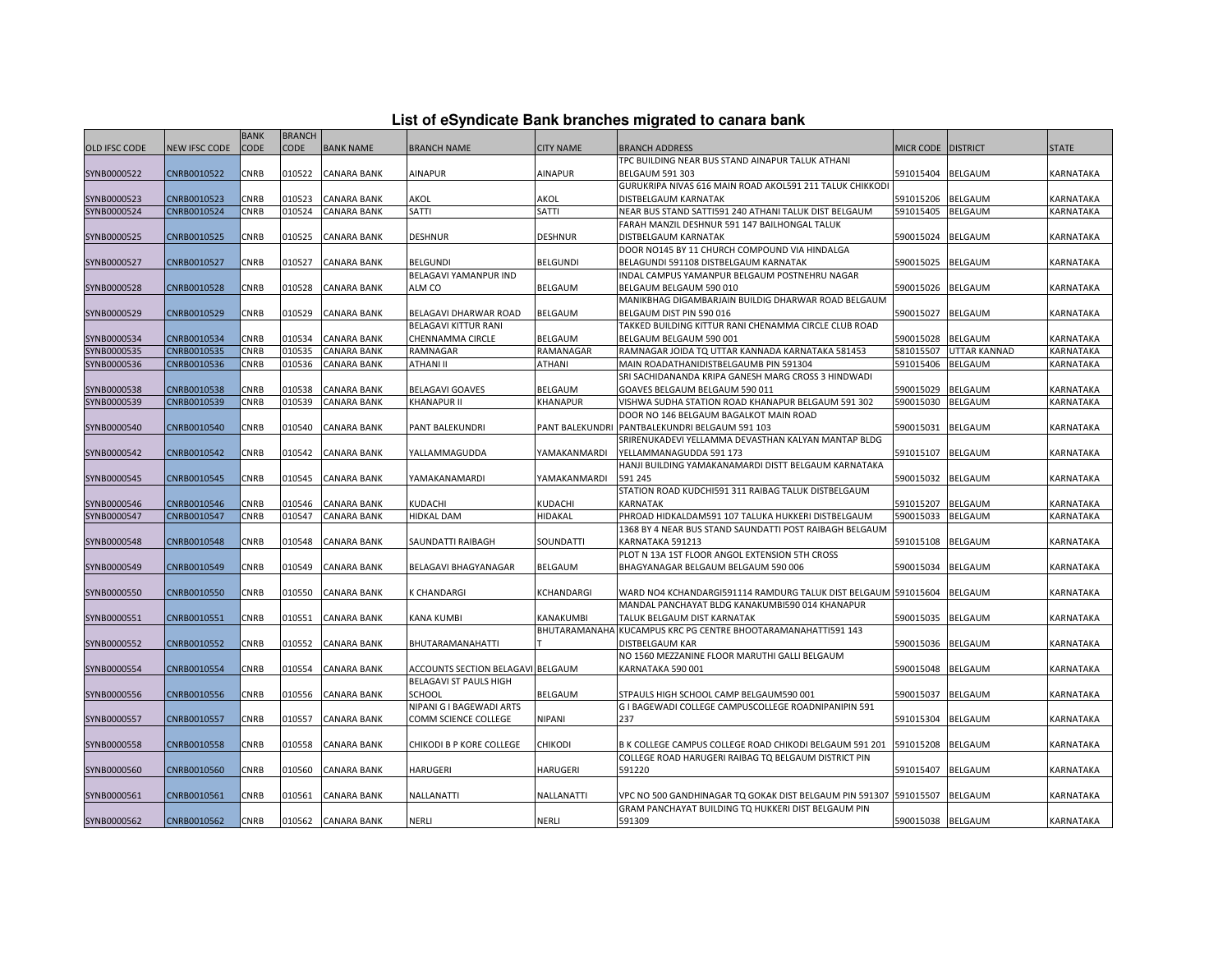|  |  | List of eSyndicate Bank branches migrated to canara bank |  |  |  |
|--|--|----------------------------------------------------------|--|--|--|
|  |  |                                                          |  |  |  |

|                      | List of eSyndicate Bank branches migrated to canara bank |             |               |                    |                                   |                     |                                                                                                               |                    |                |              |
|----------------------|----------------------------------------------------------|-------------|---------------|--------------------|-----------------------------------|---------------------|---------------------------------------------------------------------------------------------------------------|--------------------|----------------|--------------|
|                      |                                                          | <b>BANK</b> | <b>BRANCH</b> |                    |                                   |                     |                                                                                                               |                    |                |              |
| <b>OLD IFSC CODE</b> | NEW IFSC CODE                                            | <b>CODE</b> | <b>CODE</b>   | <b>BANK NAME</b>   | <b>BRANCH NAME</b>                | <b>CITY NAME</b>    | <b>BRANCH ADDRESS</b>                                                                                         | MICR CODE DISTRICT |                | <b>STATE</b> |
|                      |                                                          |             |               |                    |                                   |                     | TPC BUILDING NEAR BUS STAND AINAPUR TALUK ATHANI                                                              |                    |                |              |
| SYNB0000522          | CNRB0010522                                              | CNRB        | 010522        | <b>CANARA BANK</b> | AINAPUR                           | AINAPUR             | <b>BELGAUM 591 303</b>                                                                                        | 591015404          | BELGAUM        | KARNATAKA    |
|                      |                                                          |             |               |                    |                                   |                     | GURUKRIPA NIVAS 616 MAIN ROAD AKOL591 211 TALUK CHIKKODI                                                      |                    |                |              |
| SYNB0000523          | CNRB0010523                                              | CNRB        | 010523        | <b>CANARA BANK</b> | AKOL                              | AKOL                | DISTBELGAUM KARNATAK                                                                                          | 591015206          | BELGAUM        | KARNATAKA    |
| SYNB0000524          | CNRB0010524                                              | CNRB        | 010524        | <b>CANARA BANK</b> | <b>SATTI</b>                      | SATTI               | NEAR BUS STAND SATTI591 240 ATHANI TALUK DIST BELGAUM                                                         | 591015405          | BELGAUM        | KARNATAKA    |
|                      |                                                          |             |               |                    |                                   |                     | FARAH MANZIL DESHNUR 591 147 BAILHONGAL TALUK                                                                 |                    |                |              |
| SYNB0000525          | CNRB0010525                                              | CNRB        | 010525        | <b>CANARA BANK</b> | DESHNUR                           | <b>DESHNUR</b>      | DISTBELGAUM KARNATAK                                                                                          | 590015024          | BELGAUM        | KARNATAKA    |
|                      |                                                          |             |               |                    |                                   |                     | DOOR NO145 BY 11 CHURCH COMPOUND VIA HINDALGA                                                                 |                    |                |              |
| SYNB0000527          | CNRB0010527                                              | CNRB        | 010527        | CANARA BANK        | <b>BELGUNDI</b>                   | <b>BELGUNDI</b>     | BELAGUNDI 591108 DISTBELGAUM KARNATAK                                                                         | 590015025          | <b>BELGAUM</b> | KARNATAKA    |
|                      |                                                          |             |               |                    | BELAGAVI YAMANPUR IND             |                     | INDAL CAMPUS YAMANPUR BELGAUM POSTNEHRU NAGAR                                                                 |                    |                |              |
| SYNB0000528          | CNRB0010528                                              | CNRB        | 010528        | <b>CANARA BANK</b> | ALM CO                            | BELGAUM             | BELGAUM BELGAUM 590 010                                                                                       | 590015026          | <b>BELGAUM</b> | KARNATAKA    |
|                      |                                                          |             |               |                    |                                   |                     | MANIKBHAG DIGAMBARJAIN BUILDIG DHARWAR ROAD BELGAUM                                                           |                    |                |              |
| SYNB0000529          | CNRB0010529                                              | CNRB        | 010529        | <b>CANARA BANK</b> | BELAGAVI DHARWAR ROAD             | <b>BELGAUM</b>      | BELGAUM DIST PIN 590 016                                                                                      | 590015027          | <b>BELGAUM</b> | KARNATAKA    |
|                      |                                                          |             |               |                    | BELAGAVI KITTUR RANI              |                     | TAKKED BUILDING KITTUR RANI CHENAMMA CIRCLE CLUB ROAD                                                         |                    |                |              |
| SYNB0000534          | CNRB0010534                                              | CNRB        | 010534        | <b>CANARA BANK</b> | CHENNAMMA CIRCLE                  | BELGAUM             | BELGAUM BELGAUM 590 001                                                                                       | 590015028          | BELGAUM        | KARNATAKA    |
| SYNB0000535          | CNRB0010535                                              | CNRB        | 010535        | <b>CANARA BANK</b> | RAMNAGAR                          | RAMANAGAR           | RAMNAGAR JOIDA TQ UTTAR KANNADA KARNATAKA 581453                                                              | 581015507          | UTTAR KANNAD   | KARNATAKA    |
| SYNB0000536          | CNRB0010536                                              | CNRB        | 010536        | <b>CANARA BANK</b> | ATHANI II                         | ATHANI              | MAIN ROADATHANIDISTBELGAUMB PIN 591304                                                                        | 591015406          | BELGAUM        | KARNATAKA    |
|                      |                                                          |             |               |                    |                                   |                     | SRI SACHIDANANDA KRIPA GANESH MARG CROSS 3 HINDWADI                                                           |                    |                |              |
| SYNB0000538          | CNRB0010538                                              | CNRB        | 010538        | <b>CANARA BANK</b> | <b>BELAGAVI GOAVES</b>            | <b>BELGAUM</b>      | GOAVES BELGAUM BELGAUM 590 011                                                                                | 590015029          | BELGAUM        | KARNATAKA    |
| SYNB0000539          | CNRB0010539                                              | CNRB        | 010539        | CANARA BANK        | KHANAPUR II                       | KHANAPUR            | VISHWA SUDHA STATION ROAD KHANAPUR BELGAUM 591 302                                                            | 590015030          | BELGAUM        | KARNATAKA    |
|                      |                                                          |             |               |                    |                                   |                     | DOOR NO 146 BELGAUM BAGALKOT MAIN ROAD                                                                        |                    |                |              |
| SYNB0000540          | CNRB0010540                                              | CNRB        | 010540        | <b>CANARA BANK</b> | PANT BALEKUNDRI                   | PANT BALEKUNDRI     | PANTBALEKUNDRI BELGAUM 591 103                                                                                | 590015031          | <b>BELGAUM</b> | KARNATAKA    |
|                      |                                                          |             |               |                    |                                   |                     | SRIRENUKADEVI YELLAMMA DEVASTHAN KALYAN MANTAP BLDG                                                           |                    |                |              |
| SYNB0000542          | CNRB0010542                                              | CNRB        | 010542        | <b>CANARA BANK</b> | YALLAMMAGUDDA                     | YAMAKANMARDI        | YELLAMMANAGUDDA 591 173                                                                                       | 591015107          | BELGAUM        | KARNATAKA    |
|                      |                                                          |             |               |                    |                                   |                     | HANJI BUILDING YAMAKANAMARDI DISTT BELGAUM KARNATAKA                                                          |                    |                |              |
| SYNB0000545          | CNRB0010545                                              | CNRB        | 010545        | <b>CANARA BANK</b> | YAMAKANAMARDI                     | YAMAKANMARDI        | 591 245<br>STATION ROAD KUDCHI591 311 RAIBAG TALUK DISTBELGAUM                                                | 590015032          | BELGAUM        | KARNATAKA    |
|                      | CNRB0010546                                              | CNRB        | 010546        | <b>CANARA BANK</b> | KUDACHI                           | KUDACHI             | KARNATAK                                                                                                      |                    |                |              |
| SYNB0000546          |                                                          |             |               |                    |                                   |                     |                                                                                                               | 591015207          | BELGAUM        | KARNATAKA    |
| SYNB0000547          | CNRB0010547                                              | CNRB        | 010547        | CANARA BANK        | HIDKAL DAM                        | HIDAKAL             | PHROAD HIDKALDAM591 107 TALUKA HUKKERI DISTBELGAUM<br>1368 BY 4 NEAR BUS STAND SAUNDATTI POST RAIBAGH BELGAUM | 590015033          | <b>BELGAUM</b> | KARNATAKA    |
| SYNB0000548          | CNRB0010548                                              | CNRB        | 010548        | <b>CANARA BANK</b> | SAUNDATTI RAIBAGH                 | SOUNDATTI           | KARNATAKA 591213                                                                                              | 591015108          | BELGAUM        | KARNATAKA    |
|                      |                                                          |             |               |                    |                                   |                     | PLOT N 13A 1ST FLOOR ANGOL EXTENSION 5TH CROSS                                                                |                    |                |              |
| SYNB0000549          | CNRB0010549                                              | CNRB        | 010549        | <b>CANARA BANK</b> | BELAGAVI BHAGYANAGAR              | BELGAUM             | BHAGYANAGAR BELGAUM BELGAUM 590 006                                                                           | 590015034          | BELGAUM        | KARNATAKA    |
|                      |                                                          |             |               |                    |                                   |                     |                                                                                                               |                    |                |              |
| SYNB0000550          | CNRB0010550                                              | CNRB        | 010550        | <b>CANARA BANK</b> | K CHANDARGI                       | KCHANDARGI          | WARD NO4 KCHANDARGI591114 RAMDURG TALUK DIST BELGAUM 591015604                                                |                    | <b>BELGAUM</b> | KARNATAKA    |
|                      |                                                          |             |               |                    |                                   |                     | MANDAL PANCHAYAT BLDG KANAKUMBI590 014 KHANAPUR                                                               |                    |                |              |
| SYNB0000551          | CNRB0010551                                              | CNRB        | 010551        | <b>CANARA BANK</b> | KANA KUMBI                        | KANAKUMBI           | TALUK BELGAUM DIST KARNATAK                                                                                   | 590015035          | <b>BELGAUM</b> | KARNATAKA    |
|                      |                                                          |             |               |                    |                                   | <b>BHUTARAMANAH</b> | KUCAMPUS KRC PG CENTRE BHOOTARAMANAHATTI591 143                                                               |                    |                |              |
| SYNB0000552          | CNRB0010552                                              | CNRB        | 010552        | <b>CANARA BANK</b> | BHUTARAMANAHATTI                  |                     | DISTBELGAUM KAR                                                                                               | 590015036          | BELGAUM        | KARNATAKA    |
|                      |                                                          |             |               |                    |                                   |                     | NO 1560 MEZZANINE FLOOR MARUTHI GALLI BELGAUM                                                                 |                    |                |              |
| SYNB0000554          | CNRB0010554                                              | CNRB        | 010554        | <b>CANARA BANK</b> | ACCOUNTS SECTION BELAGAVI BELGAUM |                     | KARNATAKA 590 001                                                                                             | 590015048          | <b>BELGAUM</b> | KARNATAKA    |
|                      |                                                          |             |               |                    | BELAGAVI ST PAULS HIGH            |                     |                                                                                                               |                    |                |              |
| SYNB0000556          | CNRB0010556                                              | CNRB        | 010556        | <b>CANARA BANK</b> | SCHOOL                            | <b>BELGAUM</b>      | STPAULS HIGH SCHOOL CAMP BELGAUM590 001                                                                       | 590015037          | <b>BELGAUM</b> | KARNATAKA    |
|                      |                                                          |             |               |                    | NIPANI G I BAGEWADI ARTS          |                     | G I BAGEWADI COLLEGE CAMPUSCOLLEGE ROADNIPANIPIN 591                                                          |                    |                |              |
| SYNB0000557          | CNRB0010557                                              | CNRB        | 010557        | <b>CANARA BANK</b> | COMM SCIENCE COLLEGE              | NIPANI              | 237                                                                                                           | 591015304          | BELGAUM        | KARNATAKA    |
|                      |                                                          |             |               |                    |                                   |                     |                                                                                                               |                    |                |              |
| SYNB0000558          | CNRB0010558                                              | CNRB        | 010558        | <b>CANARA BANK</b> | CHIKODI B P KORE COLLEGE          | CHIKODI             | B K COLLEGE CAMPUS COLLEGE ROAD CHIKODI BELGAUM 591 201                                                       | 591015208          | BELGAUM        | KARNATAKA    |
|                      |                                                          |             |               |                    |                                   |                     | COLLEGE ROAD HARUGERI RAIBAG TO BELGAUM DISTRICT PIN                                                          |                    |                |              |
| SYNB0000560          | CNRB0010560                                              | CNRB        | 010560        | <b>CANARA BANK</b> | HARUGERI                          | HARUGERI            | 591220                                                                                                        | 591015407          | <b>BELGAUM</b> | KARNATAKA    |
|                      |                                                          |             |               |                    |                                   |                     |                                                                                                               |                    |                |              |
| SYNB0000561          | CNRB0010561                                              | CNRB        | 010561        | CANARA BANK        | NALLANATTI                        | NALLANATTI          | VPC NO 500 GANDHINAGAR TQ GOKAK DIST BELGAUM PIN 591307  591015507                                            |                    | BELGAUM        | KARNATAKA    |
|                      |                                                          |             |               |                    |                                   |                     | GRAM PANCHAYAT BUILDING TO HUKKERI DIST BELGAUM PIN                                                           |                    |                |              |
| SYNB0000562          | CNRB0010562                                              | CNRB        |               | 010562 CANARA BANK | NERLI                             | <b>NERLI</b>        | 591309                                                                                                        | 590015038 BELGAUM  |                | KARNATAKA    |
|                      |                                                          |             |               |                    |                                   |                     |                                                                                                               |                    |                |              |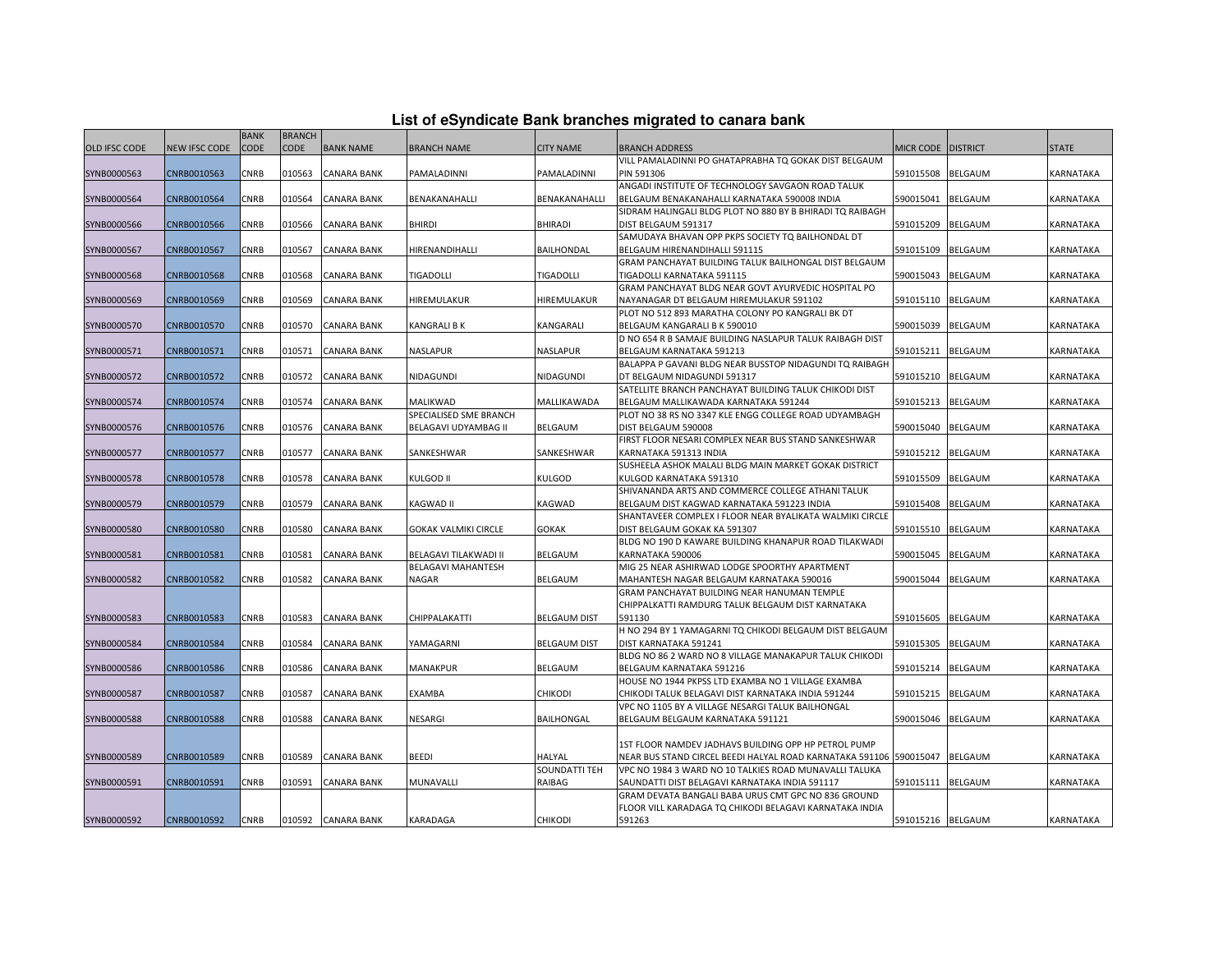| List of eSyndicate Bank branches migrated to canara bank |  |  |  |
|----------------------------------------------------------|--|--|--|
|----------------------------------------------------------|--|--|--|

|               |               | <b>BANK</b> | <b>BRANCH</b> |                    |                           |                      |                                                                                       |                      |                |                  |
|---------------|---------------|-------------|---------------|--------------------|---------------------------|----------------------|---------------------------------------------------------------------------------------|----------------------|----------------|------------------|
| OLD IFSC CODE | NEW IFSC CODE | <b>CODE</b> | <b>CODE</b>   | <b>BANK NAME</b>   | <b>BRANCH NAME</b>        | <b>CITY NAME</b>     | <b>BRANCH ADDRESS</b>                                                                 | MICR CODE   DISTRICT |                | <b>STATE</b>     |
|               |               |             |               |                    |                           |                      | VILL PAMALADINNI PO GHATAPRABHA TO GOKAK DIST BELGAUM                                 |                      |                |                  |
| SYNB0000563   | CNRB0010563   | CNRB        | 010563        | <b>CANARA BANK</b> | PAMALADINNI               | PAMALADINNI          | <b>PIN 591306</b>                                                                     | 591015508            | <b>BELGAUM</b> | KARNATAKA        |
|               |               |             |               |                    |                           |                      | ANGADI INSTITUTE OF TECHNOLOGY SAVGAON ROAD TALUK                                     |                      |                |                  |
| SYNB0000564   | CNRB0010564   | CNRB        | 010564        | <b>CANARA BANK</b> | BENAKANAHALLI             | <b>BENAKANAHALLI</b> | BELGAUM BENAKANAHALLI KARNATAKA 590008 INDIA                                          | 590015041            | <b>BELGAUM</b> | KARNATAKA        |
|               |               |             |               |                    |                           |                      | SIDRAM HALINGALI BLDG PLOT NO 880 BY B BHIRADI TQ RAIBAGH                             |                      |                |                  |
| SYNB0000566   | CNRB0010566   | CNRB        | 010566        | CANARA BANK        | <b>BHIRDI</b>             | <b>BHIRADI</b>       | DIST BELGAUM 591317                                                                   | 591015209            | <b>BELGAUM</b> | KARNATAKA        |
|               |               |             |               |                    |                           |                      | SAMUDAYA BHAVAN OPP PKPS SOCIETY TO BAILHONDAL DT                                     |                      |                |                  |
| SYNB0000567   | CNRB0010567   | CNRB        | 010567        | CANARA BANK        | HIRENANDIHALLI            | BAILHONDAL           | BELGAUM HIRENANDIHALLI 591115                                                         | 591015109            | <b>BELGAUM</b> | KARNATAKA        |
|               |               |             |               |                    |                           |                      | GRAM PANCHAYAT BUILDING TALUK BAILHONGAL DIST BELGAUM                                 |                      |                |                  |
| SYNB0000568   | CNRB0010568   | CNRB        | 010568        | <b>CANARA BANK</b> | <b>TIGADOLLI</b>          | <b>TIGADOLLI</b>     | TIGADOLLI KARNATAKA 591115                                                            | 590015043            | <b>BELGAUM</b> | <b>KARNATAKA</b> |
|               |               |             |               |                    |                           |                      | GRAM PANCHAYAT BLDG NEAR GOVT AYURVEDIC HOSPITAL PO                                   |                      |                |                  |
| SYNB0000569   | CNRB0010569   | CNRB        | 010569        | CANARA BANK        | HIREMULAKUR               | HIREMULAKUR          | NAYANAGAR DT BELGAUM HIREMULAKUR 591102                                               | 591015110            | <b>BELGAUM</b> | KARNATAKA        |
|               |               |             |               |                    |                           |                      | PLOT NO 512 893 MARATHA COLONY PO KANGRALI BK DT                                      |                      |                |                  |
| SYNB0000570   | CNRB0010570   | CNRB        | 010570        | <b>CANARA BANK</b> | KANGRALI B K              | KANGARALI            | BELGAUM KANGARALI B K 590010                                                          | 590015039            | <b>BELGAUM</b> | KARNATAKA        |
|               |               |             |               |                    |                           |                      | D NO 654 R B SAMAJE BUILDING NASLAPUR TALUK RAIBAGH DIST                              |                      |                |                  |
| SYNB0000571   | CNRB0010571   | CNRB        | 010571        | <b>CANARA BANK</b> | NASLAPUR                  | <b>NASLAPUR</b>      | BELGAUM KARNATAKA 591213                                                              | 591015211            | <b>BELGAUM</b> | <b>KARNATAKA</b> |
|               |               |             |               |                    |                           |                      | BALAPPA P GAVANI BLDG NEAR BUSSTOP NIDAGUNDI TQ RAIBAGH                               |                      |                |                  |
| SYNB0000572   | CNRB0010572   | CNRB        | 010572        | <b>CANARA BANK</b> | NIDAGUNDI                 | NIDAGUNDI            | DT BELGAUM NIDAGUNDI 591317                                                           | 591015210            | <b>BELGAUM</b> | KARNATAKA        |
|               |               |             |               |                    |                           |                      | SATELLITE BRANCH PANCHAYAT BUILDING TALUK CHIKODI DIST                                |                      |                |                  |
| SYNB0000574   | CNRB0010574   | CNRB        | 010574        | <b>CANARA BANK</b> | MALIKWAD                  | MALLIKAWADA          | BELGAUM MALLIKAWADA KARNATAKA 591244                                                  | 591015213            | <b>BELGAUM</b> | KARNATAKA        |
|               |               |             |               |                    | SPECIALISED SME BRANCH    |                      | PLOT NO 38 RS NO 3347 KLE ENGG COLLEGE ROAD UDYAMBAGH                                 |                      |                |                  |
| SYNB0000576   | CNRB0010576   | CNRB        | 010576        | <b>CANARA BANK</b> | BELAGAVI UDYAMBAG II      | <b>BELGAUM</b>       | DIST BELGAUM 590008                                                                   | 590015040            | <b>BELGAUM</b> | KARNATAKA        |
|               |               |             |               |                    |                           |                      | FIRST FLOOR NESARI COMPLEX NEAR BUS STAND SANKESHWAR                                  |                      |                |                  |
| SYNB0000577   | CNRB0010577   | CNRB        | 010577        | <b>CANARA BANK</b> | SANKESHWAR                | SANKESHWAR           | KARNATAKA 591313 INDIA                                                                | 591015212            | <b>BELGAUM</b> | KARNATAKA        |
|               |               |             |               |                    |                           |                      | SUSHEELA ASHOK MALALI BLDG MAIN MARKET GOKAK DISTRICT                                 |                      |                |                  |
| SYNB0000578   | CNRB0010578   | CNRB        | 010578        | <b>CANARA BANK</b> | KULGOD II                 | KULGOD               | KULGOD KARNATAKA 591310                                                               | 591015509            | BELGAUM        | KARNATAKA        |
|               |               |             |               |                    |                           |                      | SHIVANANDA ARTS AND COMMERCE COLLEGE ATHANI TALUK                                     |                      |                |                  |
| SYNB0000579   | CNRB0010579   | CNRB        | 010579        | <b>CANARA BANK</b> | KAGWAD II                 | KAGWAD               | BELGAUM DIST KAGWAD KARNATAKA 591223 INDIA                                            | 591015408            | <b>BELGAUM</b> | KARNATAKA        |
|               |               |             |               |                    |                           |                      | SHANTAVEER COMPLEX I FLOOR NEAR BYALIKATA WALMIKI CIRCLE                              |                      |                |                  |
| SYNB0000580   | CNRB0010580   | CNRB        | 010580        | <b>CANARA BANK</b> | GOKAK VALMIKI CIRCLE      | <b>GOKAK</b>         | DIST BELGAUM GOKAK KA 591307<br>BLDG NO 190 D KAWARE BUILDING KHANAPUR ROAD TILAKWADI | 591015510            | <b>BELGAUM</b> | <b>KARNATAKA</b> |
| SYNB0000581   | CNRB0010581   | CNRB        | 010581        | <b>CANARA BANK</b> | BELAGAVI TILAKWADI II     | <b>BELGAUM</b>       | KARNATAKA 590006                                                                      | 590015045            | <b>BELGAUM</b> | KARNATAKA        |
|               |               |             |               |                    | <b>BELAGAVI MAHANTESH</b> |                      | MIG 25 NEAR ASHIRWAD LODGE SPOORTHY APARTMENT                                         |                      |                |                  |
| SYNB0000582   | CNRB0010582   | CNRB        | 010582        | CANARA BANK        | <b>NAGAR</b>              | <b>BELGAUM</b>       | MAHANTESH NAGAR BELGAUM KARNATAKA 590016                                              | 590015044            | <b>BELGAUM</b> | KARNATAKA        |
|               |               |             |               |                    |                           |                      | GRAM PANCHAYAT BUILDING NEAR HANUMAN TEMPLE                                           |                      |                |                  |
|               |               |             |               |                    |                           |                      | CHIPPALKATTI RAMDURG TALUK BELGAUM DIST KARNATAKA                                     |                      |                |                  |
| SYNB0000583   | CNRB0010583   | CNRB        | 010583        | CANARA BANK        | CHIPPALAKATTI             | <b>BELGAUM DIST</b>  | 591130                                                                                | 591015605            | BELGAUM        | KARNATAKA        |
|               |               |             |               |                    |                           |                      | H NO 294 BY 1 YAMAGARNI TO CHIKODI BELGAUM DIST BELGAUM                               |                      |                |                  |
| SYNB0000584   | CNRB0010584   | CNRB        | 010584        | CANARA BANK        | YAMAGARNI                 | <b>BELGAUM DIST</b>  | DIST KARNATAKA 591241                                                                 | 591015305            | <b>BELGAUM</b> | KARNATAKA        |
|               |               |             |               |                    |                           |                      | BLDG NO 86 2 WARD NO 8 VILLAGE MANAKAPUR TALUK CHIKODI                                |                      |                |                  |
| SYNB0000586   | CNRB0010586   | CNRB        | 010586        | <b>CANARA BANK</b> | MANAKPUR                  | <b>BELGAUM</b>       | BELGAUM KARNATAKA 591216                                                              | 591015214            | <b>BELGAUM</b> | KARNATAKA        |
|               |               |             |               |                    |                           |                      | HOUSE NO 1944 PKPSS LTD EXAMBA NO 1 VILLAGE EXAMBA                                    |                      |                |                  |
| SYNB0000587   | CNRB0010587   | CNRB        | 010587        | CANARA BANK        | EXAMBA                    | <b>CHIKODI</b>       | CHIKODI TALUK BELAGAVI DIST KARNATAKA INDIA 591244                                    | 591015215            | <b>BELGAUM</b> | <b>KARNATAKA</b> |
|               |               |             |               |                    |                           |                      | VPC NO 1105 BY A VILLAGE NESARGI TALUK BAILHONGAL                                     |                      |                |                  |
| SYNB0000588   | CNRB0010588   | CNRB        | 010588        | <b>CANARA BANK</b> | NESARGI                   | BAILHONGAL           | BELGAUM BELGAUM KARNATAKA 591121                                                      | 590015046            | <b>BELGAUM</b> | KARNATAKA        |
|               |               |             |               |                    |                           |                      |                                                                                       |                      |                |                  |
|               |               |             |               |                    |                           |                      | 1ST FLOOR NAMDEV JADHAVS BUILDING OPP HP PETROL PUMP                                  |                      |                |                  |
| SYNB0000589   | CNRB0010589   | CNRB        | 010589        | <b>CANARA BANK</b> | BEEDI                     | HALYAL               | NEAR BUS STAND CIRCEL BEEDI HALYAL ROAD KARNATAKA 591106 590015047                    |                      | <b>BELGAUM</b> | KARNATAKA        |
|               |               |             |               |                    |                           | SOUNDATTI TEH        | VPC NO 1984 3 WARD NO 10 TALKIES ROAD MUNAVALLI TALUKA                                |                      |                |                  |
| SYNB0000591   | CNRB0010591   | CNRB        | 010591        | <b>CANARA BANK</b> | MUNAVALLI                 | RAIBAG               | SAUNDATTI DIST BELAGAVI KARNATAKA INDIA 591117                                        | 591015111 BELGAUM    |                | KARNATAKA        |
|               |               |             |               |                    |                           |                      | GRAM DEVATA BANGALI BABA URUS CMT GPC NO 836 GROUND                                   |                      |                |                  |
|               |               |             |               |                    |                           |                      | FLOOR VILL KARADAGA TQ CHIKODI BELAGAVI KARNATAKA INDIA                               |                      |                |                  |
| SYNB0000592   | CNRB0010592   | <b>CNRB</b> |               | 010592 CANARA BANK | KARADAGA                  | <b>CHIKODI</b>       | 591263                                                                                | 591015216 BELGAUM    |                | <b>KARNATAKA</b> |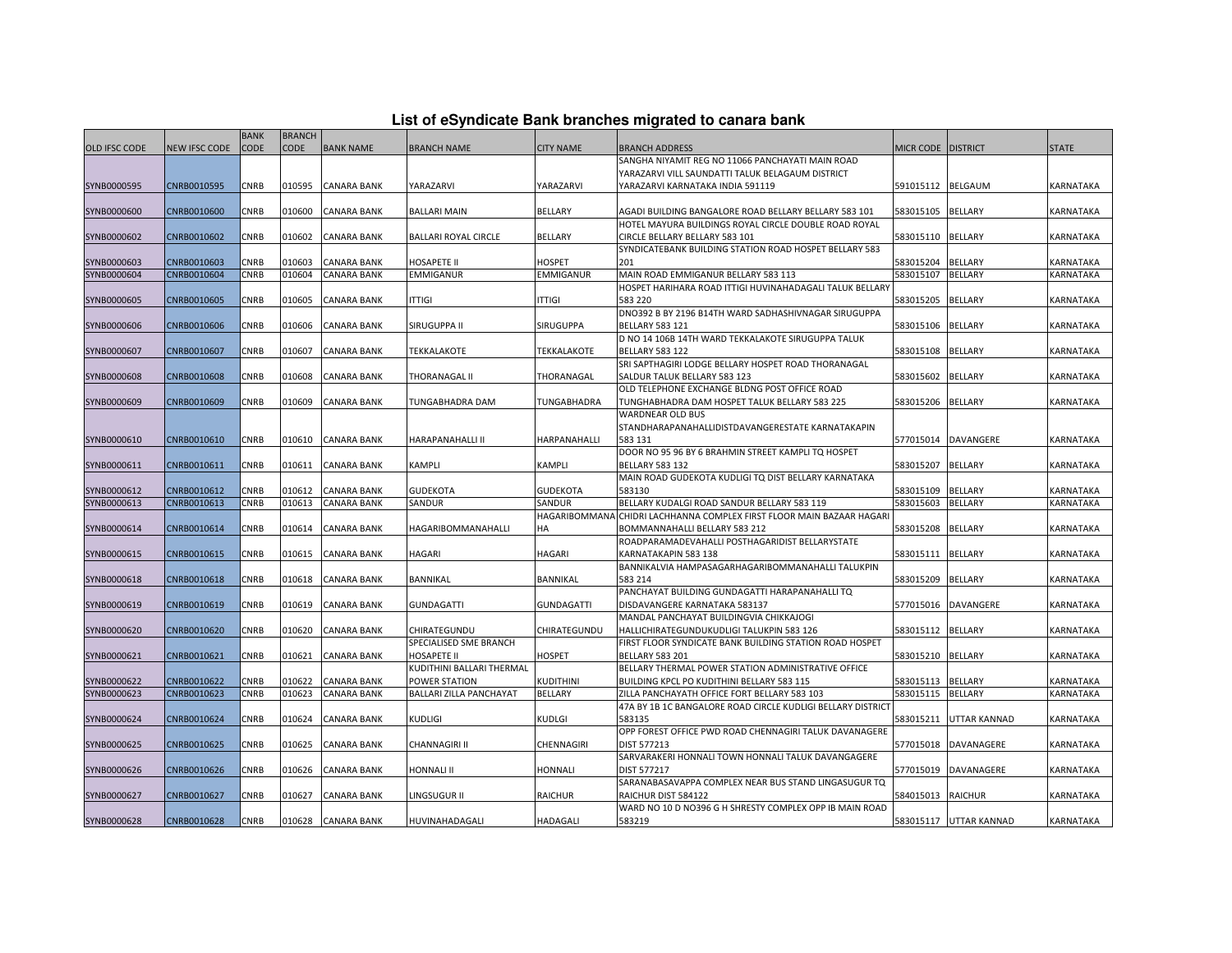| List of eSyndicate Bank branches migrated to canara bank |  |  |  |
|----------------------------------------------------------|--|--|--|
|----------------------------------------------------------|--|--|--|

|               |               | <b>BANK</b> | <b>BRANCH</b> |                    |                                |                   |                                                             |                      |                        |                  |
|---------------|---------------|-------------|---------------|--------------------|--------------------------------|-------------------|-------------------------------------------------------------|----------------------|------------------------|------------------|
| OLD IFSC CODE | NEW IFSC CODE | <b>CODE</b> | CODE          | <b>BANK NAME</b>   | <b>BRANCH NAME</b>             | <b>CITY NAME</b>  | BRANCH ADDRESS                                              | MICR CODE   DISTRICT |                        | <b>STATE</b>     |
|               |               |             |               |                    |                                |                   | SANGHA NIYAMIT REG NO 11066 PANCHAYATI MAIN ROAD            |                      |                        |                  |
|               |               |             |               |                    |                                |                   | YARAZARVI VILL SAUNDATTI TALUK BELAGAUM DISTRICT            |                      |                        |                  |
| SYNB0000595   | CNRB0010595   | CNRB        | 010595        | <b>CANARA BANK</b> | YARAZARVI                      | YARAZARVI         | YARAZARVI KARNATAKA INDIA 591119                            | 591015112            | <b>BELGAUM</b>         | KARNATAKA        |
|               |               |             |               |                    |                                |                   |                                                             |                      |                        |                  |
| SYNB0000600   | CNRB0010600   | CNRB        | 010600        | <b>CANARA BANK</b> | <b>BALLARI MAIN</b>            | BELLARY           | AGADI BUILDING BANGALORE ROAD BELLARY BELLARY 583 101       | 583015105            | <b>BELLARY</b>         | KARNATAKA        |
|               |               |             |               |                    |                                |                   | HOTEL MAYURA BUILDINGS ROYAL CIRCLE DOUBLE ROAD ROYAL       |                      |                        |                  |
| SYNB0000602   | CNRB0010602   | CNRB        | 010602        | CANARA BANK        | <b>BALLARI ROYAL CIRCLE</b>    | BELLARY           | CIRCLE BELLARY BELLARY 583 101                              | 583015110            | <b>BELLARY</b>         | KARNATAKA        |
|               |               |             |               |                    |                                |                   | SYNDICATEBANK BUILDING STATION ROAD HOSPET BELLARY 583      |                      |                        |                  |
| SYNB0000603   | CNRB0010603   | <b>CNRB</b> | 010603        | <b>CANARA BANK</b> | <b>HOSAPETE II</b>             | <b>HOSPET</b>     | 201                                                         | 583015204            | <b>BELLARY</b>         | KARNATAKA        |
| SYNB0000604   | CNRB0010604   | CNRB        | 010604        | <b>CANARA BANK</b> | <b>EMMIGANUR</b>               | <b>EMMIGANUR</b>  | MAIN ROAD EMMIGANUR BELLARY 583 113                         | 583015107            | <b>BELLARY</b>         | KARNATAKA        |
|               |               |             |               |                    |                                |                   | HOSPET HARIHARA ROAD ITTIGI HUVINAHADAGALI TALUK BELLARY    |                      |                        |                  |
| SYNB0000605   | CNRB0010605   | CNRB        | 010605        | <b>CANARA BANK</b> | <b>ITTIGI</b>                  | <b>ITTIGI</b>     | 583 220                                                     | 583015205            | <b>BELLARY</b>         | KARNATAKA        |
|               |               |             |               |                    |                                |                   | DNO392 B BY 2196 B14TH WARD SADHASHIVNAGAR SIRUGUPPA        |                      |                        |                  |
| SYNB0000606   | CNRB0010606   | CNRB        | 010606        | CANARA BANK        | SIRUGUPPA II                   | SIRUGUPPA         | <b>BELLARY 583 121</b>                                      | 583015106            | <b>BELLARY</b>         | KARNATAKA        |
|               |               |             |               |                    |                                |                   | D NO 14 106B 14TH WARD TEKKALAKOTE SIRUGUPPA TALUK          |                      |                        |                  |
| SYNB0000607   | CNRB0010607   | CNRB        | 010607        | <b>CANARA BANK</b> | TEKKALAKOTE                    | TEKKALAKOTE       | <b>BELLARY 583 122</b>                                      | 583015108            | <b>BELLARY</b>         | KARNATAKA        |
|               |               |             |               |                    |                                |                   | SRI SAPTHAGIRI LODGE BELLARY HOSPET ROAD THORANAGAL         |                      |                        |                  |
| SYNB0000608   | CNRB0010608   | CNRB        | 010608        | CANARA BANK        | THORANAGAL II                  | THORANAGAL        | SALDUR TALUK BELLARY 583 123                                | 583015602            | <b>BELLARY</b>         | KARNATAKA        |
|               |               |             |               |                    |                                |                   | OLD TELEPHONE EXCHANGE BLDNG POST OFFICE ROAD               |                      |                        |                  |
| SYNB0000609   | CNRB0010609   | CNRB        | 010609        | <b>CANARA BANK</b> | TUNGABHADRA DAM                | TUNGABHADRA       | TUNGHABHADRA DAM HOSPET TALUK BELLARY 583 225               | 583015206            | <b>BELLARY</b>         | KARNATAKA        |
|               |               |             |               |                    |                                |                   | WARDNEAR OLD BUS                                            |                      |                        |                  |
|               |               |             |               |                    |                                |                   | STANDHARAPANAHALLIDISTDAVANGERESTATE KARNATAKAPIN           |                      |                        |                  |
| SYNB0000610   | CNRB0010610   | CNRB        | 010610        | <b>CANARA BANK</b> | HARAPANAHALLI II               | HARPANAHALLI      | 583 131                                                     | 577015014            | DAVANGERE              | KARNATAKA        |
|               |               |             |               |                    |                                |                   | DOOR NO 95 96 BY 6 BRAHMIN STREET KAMPLI TQ HOSPET          |                      |                        |                  |
| SYNB0000611   | CNRB0010611   | CNRB        | 010611        | <b>CANARA BANK</b> | <b>KAMPLI</b>                  | KAMPLI            | <b>BELLARY 583 132</b>                                      | 583015207            | <b>BELLARY</b>         | KARNATAKA        |
|               |               |             |               |                    |                                |                   | MAIN ROAD GUDEKOTA KUDLIGI TQ DIST BELLARY KARNATAKA        |                      |                        |                  |
| SYNB0000612   | CNRB0010612   | <b>CNRB</b> | 010612        | <b>CANARA BANK</b> | <b>GUDEKOTA</b>                | <b>GUDEKOTA</b>   | 583130                                                      | 583015109            | <b>BELLARY</b>         | KARNATAKA        |
| SYNB0000613   | CNRB0010613   | CNRB        | 010613        | <b>CANARA BANK</b> | SANDUR                         | SANDUR            | BELLARY KUDALGI ROAD SANDUR BELLARY 583 119                 | 583015603            | <b>BELLARY</b>         | KARNATAKA        |
|               |               |             |               |                    |                                | HAGARIBOMMANA     | CHIDRI LACHHANNA COMPLEX FIRST FLOOR MAIN BAZAAR HAGARI     |                      |                        |                  |
| SYNB0000614   | CNRB0010614   | CNRB        | 010614        | <b>CANARA BANK</b> | HAGARIBOMMANAHALLI             | HA                | BOMMANNAHALLI BELLARY 583 212                               | 583015208            | <b>BELLARY</b>         | KARNATAKA        |
|               |               |             |               |                    |                                |                   | ROADPARAMADEVAHALLI POSTHAGARIDIST BELLARYSTATE             |                      |                        |                  |
| SYNB0000615   | CNRB0010615   | CNRB        | 010615        | <b>CANARA BANK</b> | <b>HAGARI</b>                  | <b>HAGARI</b>     | KARNATAKAPIN 583 138                                        | 583015111            | <b>BELLARY</b>         | KARNATAKA        |
|               |               |             |               |                    |                                |                   | BANNIKALVIA HAMPASAGARHAGARIBOMMANAHALLI TALUKPIN           |                      |                        |                  |
| SYNB0000618   | CNRB0010618   | CNRB        | 010618        | <b>CANARA BANK</b> | <b>BANNIKAL</b>                | <b>BANNIKAL</b>   | 583 214                                                     | 583015209            | <b>BELLARY</b>         | KARNATAKA        |
|               |               |             |               |                    |                                |                   | PANCHAYAT BUILDING GUNDAGATTI HARAPANAHALLI TQ              |                      |                        |                  |
| SYNB0000619   | CNRB0010619   | CNRB        | 010619        | <b>CANARA BANK</b> | <b>GUNDAGATTI</b>              | <b>GUNDAGATTI</b> | DISDAVANGERE KARNATAKA 583137                               |                      | 577015016 DAVANGERE    | KARNATAKA        |
|               |               |             |               |                    |                                |                   | MANDAL PANCHAYAT BUILDINGVIA CHIKKAJOGI                     |                      |                        |                  |
| SYNB0000620   | CNRB0010620   | <b>CNRB</b> | 010620        | <b>CANARA BANK</b> | CHIRATEGUNDU                   | CHIRATEGUNDU      | HALLICHIRATEGUNDUKUDLIGI TALUKPIN 583 126                   | 583015112            | <b>BELLARY</b>         | <b>KARNATAKA</b> |
|               |               |             |               |                    | SPECIALISED SME BRANCH         |                   | FIRST FLOOR SYNDICATE BANK BUILDING STATION ROAD HOSPET     |                      |                        |                  |
| SYNB0000621   | CNRB0010621   | CNRB        | 010621        | <b>CANARA BANK</b> | <b>HOSAPETE II</b>             | <b>HOSPET</b>     | <b>BELLARY 583 201</b>                                      | 583015210            | <b>BELLARY</b>         | KARNATAKA        |
|               |               |             |               |                    | KUDITHINI BALLARI THERMAL      |                   | BELLARY THERMAL POWER STATION ADMINISTRATIVE OFFICE         |                      |                        |                  |
| SYNB0000622   | CNRB0010622   | CNRB        | 010622        | <b>CANARA BANK</b> | POWER STATION                  | KUDITHINI         | BUILDING KPCL PO KUDITHINI BELLARY 583 115                  | 583015113            | <b>BELLARY</b>         | KARNATAKA        |
| SYNB0000623   | CNRB0010623   | CNRB        | 010623        | <b>CANARA BANK</b> | <b>BALLARI ZILLA PANCHAYAT</b> | BELLARY           | ZILLA PANCHAYATH OFFICE FORT BELLARY 583 103                | 583015115            | <b>BELLARY</b>         | KARNATAKA        |
|               |               |             |               |                    |                                |                   | 47A BY 1B 1C BANGALORE ROAD CIRCLE KUDLIGI BELLARY DISTRICT |                      |                        |                  |
| SYNB0000624   | CNRB0010624   | <b>CNRB</b> | 010624        | <b>CANARA BANK</b> | <b>KUDLIGI</b>                 | <b>KUDLGI</b>     | 583135                                                      | 583015211            | <b>UTTAR KANNAD</b>    | KARNATAKA        |
|               |               |             |               |                    |                                |                   | OPP FOREST OFFICE PWD ROAD CHENNAGIRI TALUK DAVANAGERE      |                      |                        |                  |
| SYNB0000625   | CNRB0010625   | <b>CNRB</b> | 010625        | <b>CANARA BANK</b> | <b>CHANNAGIRI II</b>           | CHENNAGIRI        | DIST 577213                                                 | 577015018            | DAVANAGERE             | KARNATAKA        |
|               |               |             |               |                    |                                |                   | SARVARAKERI HONNALI TOWN HONNALI TALUK DAVANGAGERE          |                      |                        |                  |
| SYNB0000626   | CNRB0010626   | CNRB        | 010626        | <b>CANARA BANK</b> | <b>HONNALI II</b>              | <b>HONNALI</b>    | <b>DIST 577217</b>                                          | 577015019            | DAVANAGERE             | KARNATAKA        |
|               |               |             |               |                    |                                |                   | SARANABASAVAPPA COMPLEX NEAR BUS STAND LINGASUGUR TO        |                      |                        |                  |
| SYNB0000627   | CNRB0010627   | CNRB        | 010627        | <b>CANARA BANK</b> | LINGSUGUR II                   | <b>RAICHUR</b>    | RAICHUR DIST 584122                                         | 584015013            | <b>RAICHUR</b>         | KARNATAKA        |
|               |               |             |               |                    |                                |                   | WARD NO 10 D NO396 G H SHRESTY COMPLEX OPP IB MAIN ROAD     |                      |                        |                  |
| SYNB0000628   | CNRB0010628   | <b>CNRB</b> | 010628        | <b>CANARA BANK</b> | HUVINAHADAGALI                 | HADAGALI          | 583219                                                      |                      | 583015117 UTTAR KANNAD | KARNATAKA        |
|               |               |             |               |                    |                                |                   |                                                             |                      |                        |                  |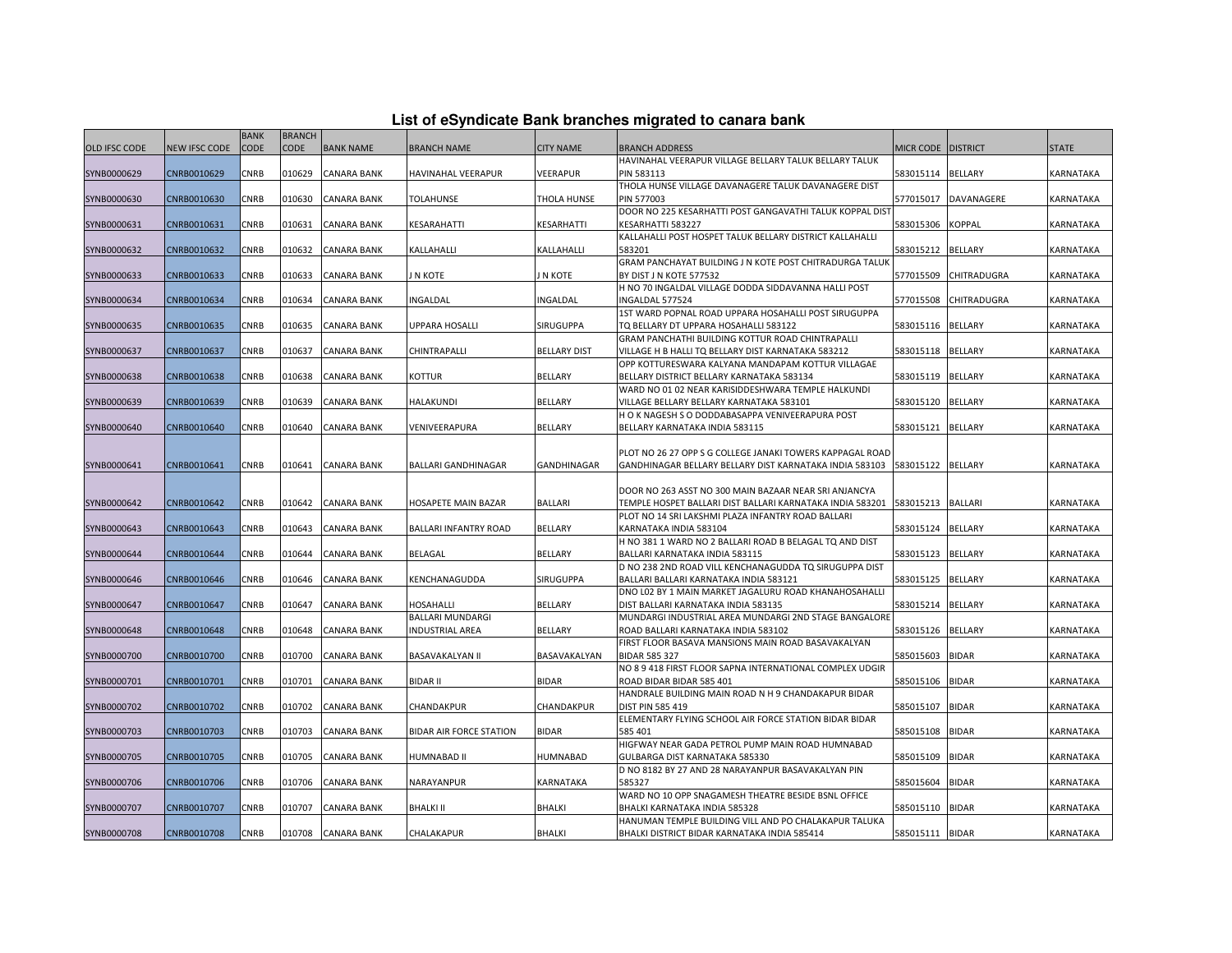|  |  | List of eSyndicate Bank branches migrated to canara bank |  |
|--|--|----------------------------------------------------------|--|
|--|--|----------------------------------------------------------|--|

|                      |                      | <b>BANK</b> | <b>BRANCH</b> |                    |                            |                     |                                                                                      |                      |                   |                  |
|----------------------|----------------------|-------------|---------------|--------------------|----------------------------|---------------------|--------------------------------------------------------------------------------------|----------------------|-------------------|------------------|
| <b>OLD IFSC CODE</b> | <b>NEW IFSC CODE</b> | <b>CODE</b> | <b>CODE</b>   | <b>BANK NAME</b>   | <b>BRANCH NAME</b>         | <b>CITY NAME</b>    | BRANCH ADDRESS                                                                       | MICR CODE   DISTRICT |                   | <b>STATE</b>     |
|                      |                      |             |               |                    |                            |                     | HAVINAHAL VEERAPUR VILLAGE BELLARY TALUK BELLARY TALUK                               |                      |                   |                  |
| SYNB0000629          | CNRB0010629          | CNRB        | 010629        | <b>CANARA BANK</b> | HAVINAHAL VEERAPUR         | <b>VEERAPUR</b>     | PIN 583113                                                                           | 583015114 BELLARY    |                   | <b>KARNATAKA</b> |
|                      |                      |             |               |                    |                            |                     | THOLA HUNSE VILLAGE DAVANAGERE TALUK DAVANAGERE DIST                                 |                      |                   |                  |
| SYNB0000630          | CNRB0010630          | CNRB        | 010630        | <b>CANARA BANK</b> | TOLAHUNSE                  | THOLA HUNSE         | PIN 577003                                                                           | 577015017            | <b>DAVANAGERE</b> | KARNATAKA        |
|                      |                      |             |               |                    |                            |                     | DOOR NO 225 KESARHATTI POST GANGAVATHI TALUK KOPPAL DIS'                             |                      |                   |                  |
| SYNB0000631          | CNRB0010631          | <b>CNRB</b> | 010631        | <b>CANARA BANK</b> | KESARAHATTI                | KESARHATTI          | KESARHATTI 583227                                                                    | 583015306            | <b>KOPPAL</b>     | KARNATAKA        |
|                      |                      |             |               |                    |                            |                     | KALLAHALLI POST HOSPET TALUK BELLARY DISTRICT KALLAHALLI                             |                      |                   |                  |
| SYNB0000632          | CNRB0010632          | CNRB        | 010632        | <b>CANARA BANK</b> | KALLAHALLI                 | KALLAHALLI          | 583201                                                                               | 583015212            | <b>BELLARY</b>    | KARNATAKA        |
|                      |                      |             |               |                    |                            |                     | GRAM PANCHAYAT BUILDING J N KOTE POST CHITRADURGA TALUK                              |                      |                   |                  |
| SYNB0000633          | CNRB0010633          | CNRB        | 010633        | <b>CANARA BANK</b> | J N KOTE                   | J N KOTE            | BY DIST J N KOTE 577532                                                              | 577015509            | CHITRADUGRA       | KARNATAKA        |
|                      |                      |             |               |                    |                            |                     | H NO 70 INGALDAL VILLAGE DODDA SIDDAVANNA HALLI POST                                 |                      |                   |                  |
| SYNB0000634          | CNRB0010634          | CNRB        | 10634         | <b>CANARA BANK</b> | INGALDAL                   | INGALDAL            | INGALDAL 577524                                                                      | 577015508            | CHITRADUGRA       | KARNATAKA        |
|                      |                      |             |               |                    |                            |                     | 1ST WARD POPNAL ROAD UPPARA HOSAHALLI POST SIRUGUPPA                                 |                      |                   |                  |
| SYNB0000635          | CNRB0010635          | <b>CNRB</b> | 010635        | <b>CANARA BANK</b> | <b>UPPARA HOSALLI</b>      | <b>SIRUGUPPA</b>    | TQ BELLARY DT UPPARA HOSAHALLI 583122                                                | 583015116            | <b>BELLARY</b>    | <b>KARNATAKA</b> |
|                      |                      |             |               |                    |                            |                     | GRAM PANCHATHI BUILDING KOTTUR ROAD CHINTRAPALLI                                     |                      |                   |                  |
| SYNB0000637          | CNRB0010637          | CNRB        | 010637        | <b>CANARA BANK</b> | CHINTRAPALLI               | <b>BELLARY DIST</b> | VILLAGE H B HALLI TO BELLARY DIST KARNATAKA 583212                                   | 583015118            | <b>BELLARY</b>    | KARNATAKA        |
|                      |                      |             |               |                    |                            |                     | OPP KOTTURESWARA KALYANA MANDAPAM KOTTUR VILLAGAE                                    |                      |                   |                  |
| SYNB0000638          | CNRB0010638          | CNRB        | 010638        | <b>CANARA BANK</b> | KOTTUR                     | <b>BELLARY</b>      | BELLARY DISTRICT BELLARY KARNATAKA 583134                                            | 583015119            | <b>BELLARY</b>    | KARNATAKA        |
|                      |                      |             |               |                    |                            |                     | WARD NO 01 02 NEAR KARISIDDESHWARA TEMPLE HALKUNDI                                   |                      |                   |                  |
| SYNB0000639          | CNRB0010639          | <b>CNRB</b> | 010639        | <b>CANARA BANK</b> | HALAKUNDI                  | <b>BELLARY</b>      | VILLAGE BELLARY BELLARY KARNATAKA 583101                                             | 583015120            | <b>BELLARY</b>    | KARNATAKA        |
|                      |                      |             |               |                    |                            |                     | H O K NAGESH S O DODDABASAPPA VENIVEERAPURA POST                                     |                      |                   |                  |
| SYNB0000640          | CNRB0010640          | CNRB        | 010640        | <b>CANARA BANK</b> | VENIVEERAPURA              | <b>BELLARY</b>      | BELLARY KARNATAKA INDIA 583115                                                       | 583015121            | <b>BELLARY</b>    | KARNATAKA        |
|                      |                      |             |               |                    |                            |                     |                                                                                      |                      |                   |                  |
|                      |                      |             |               |                    |                            |                     | PLOT NO 26 27 OPP S G COLLEGE JANAKI TOWERS KAPPAGAL ROAD                            |                      |                   |                  |
| SYNB0000641          | CNRB0010641          | CNRB        | 010641        | <b>CANARA BANK</b> | <b>BALLARI GANDHINAGAR</b> | <b>GANDHINAGAR</b>  | GANDHINAGAR BELLARY BELLARY DIST KARNATAKA INDIA 583103                              | 583015122 BELLARY    |                   | KARNATAKA        |
|                      |                      |             |               |                    |                            |                     |                                                                                      |                      |                   |                  |
|                      |                      |             |               |                    |                            |                     | DOOR NO 263 ASST NO 300 MAIN BAZAAR NEAR SRI ANJANCYA                                |                      |                   |                  |
| SYNB0000642          | CNRB0010642          | CNRB        | 010642        | <b>CANARA BANK</b> | HOSAPETE MAIN BAZAR        | <b>BALLARI</b>      | TEMPLE HOSPET BALLARI DIST BALLARI KARNATAKA INDIA 583201                            | 583015213            | <b>BALLARI</b>    | KARNATAKA        |
|                      |                      |             |               |                    |                            |                     | PLOT NO 14 SRI LAKSHMI PLAZA INFANTRY ROAD BALLARI                                   |                      |                   |                  |
| SYNB0000643          | CNRB0010643          | CNRB        | 010643        | <b>CANARA BANK</b> | BALLARI INFANTRY ROAD      | <b>BELLARY</b>      | KARNATAKA INDIA 583104                                                               | 583015124            | <b>BELLARY</b>    | KARNATAKA        |
|                      |                      |             |               |                    |                            |                     | H NO 381 1 WARD NO 2 BALLARI ROAD B BELAGAL TO AND DIST                              |                      |                   |                  |
| SYNB0000644          | CNRB0010644          | <b>CNRB</b> | 010644        | <b>CANARA BANK</b> | BELAGAL                    | <b>BELLARY</b>      | BALLARI KARNATAKA INDIA 583115                                                       | 583015123            | <b>BELLARY</b>    | <b>KARNATAKA</b> |
|                      |                      |             |               |                    |                            |                     | D NO 238 2ND ROAD VILL KENCHANAGUDDA TQ SIRUGUPPA DIST                               |                      |                   |                  |
| SYNB0000646          | CNRB0010646          | CNRB        | 010646        | <b>CANARA BANK</b> | KENCHANAGUDDA              | SIRUGUPPA           | BALLARI BALLARI KARNATAKA INDIA 583121                                               | 583015125            | <b>BELLARY</b>    | KARNATAKA        |
|                      |                      |             |               |                    |                            |                     | DNO L02 BY 1 MAIN MARKET JAGALURU ROAD KHANAHOSAHALLI                                |                      |                   |                  |
| SYNB0000647          | CNRB0010647          | CNRB        | 10647         | <b>CANARA BANK</b> | HOSAHALLI                  | <b>BELLARY</b>      | DIST BALLARI KARNATAKA INDIA 583135                                                  | 583015214            | <b>BELLARY</b>    | KARNATAKA        |
|                      |                      |             |               |                    | <b>BALLARI MUNDARGI</b>    |                     | MUNDARGI INDUSTRIAL AREA MUNDARGI 2ND STAGE BANGALORE                                |                      |                   |                  |
| SYNB0000648          | CNRB0010648          | CNRB        | 010648        | <b>CANARA BANK</b> | <b>INDUSTRIAL AREA</b>     | <b>BELLARY</b>      | ROAD BALLARI KARNATAKA INDIA 583102                                                  | 583015126            | <b>BELLARY</b>    | KARNATAKA        |
|                      |                      |             |               |                    |                            |                     | FIRST FLOOR BASAVA MANSIONS MAIN ROAD BASAVAKALYAN                                   |                      |                   |                  |
| SYNB0000700          | CNRB0010700          | CNRB        | 010700        | <b>CANARA BANK</b> | <b>BASAVAKALYAN II</b>     | BASAVAKALYAN        | <b>BIDAR 585 327</b>                                                                 | 585015603            | <b>BIDAR</b>      | KARNATAKA        |
|                      |                      |             |               |                    |                            |                     | NO 8 9 418 FIRST FLOOR SAPNA INTERNATIONAL COMPLEX UDGIR                             |                      |                   |                  |
| SYNB0000701          | CNRB0010701          | CNRB        | 010701        | <b>CANARA BANK</b> | <b>BIDAR II</b>            | <b>BIDAR</b>        | ROAD BIDAR BIDAR 585 401                                                             | 585015106            | <b>BIDAR</b>      | KARNATAKA        |
|                      |                      |             |               |                    |                            |                     | HANDRALE BUILDING MAIN ROAD N H 9 CHANDAKAPUR BIDAR                                  |                      |                   |                  |
| SYNB0000702          | CNRB0010702          | <b>CNRB</b> | 010702        | <b>CANARA BANK</b> | CHANDAKPUR                 | CHANDAKPUR          | DIST PIN 585 419<br>ELEMENTARY FLYING SCHOOL AIR FORCE STATION BIDAR BIDAR           | 585015107            | <b>BIDAR</b>      | <b>KARNATAKA</b> |
|                      |                      |             |               |                    |                            |                     | 585 401                                                                              |                      |                   |                  |
| SYNB0000703          | CNRB0010703          | CNRB        | 010703        | <b>CANARA BANK</b> | BIDAR AIR FORCE STATION    | <b>BIDAR</b>        | HIGFWAY NEAR GADA PETROL PUMP MAIN ROAD HUMNABAD                                     | 585015108            | <b>BIDAR</b>      | KARNATAKA        |
| SYNB0000705          |                      | CNRB        |               |                    |                            |                     |                                                                                      | 585015109            | <b>BIDAR</b>      |                  |
|                      | CNRB0010705          |             | 010705        | CANARA BANK        | HUMNABAD II                | HUMNABAD            | GULBARGA DIST KARNATAKA 585330<br>D NO 8182 BY 27 AND 28 NARAYANPUR BASAVAKALYAN PIN |                      |                   | KARNATAKA        |
| SYNB0000706          | CNRB0010706          | CNRB        | 010706        | <b>CANARA BANK</b> | NARAYANPUR                 | KARNATAKA           | 585327                                                                               | 585015604            | <b>BIDAR</b>      | KARNATAKA        |
|                      |                      |             |               |                    |                            |                     | WARD NO 10 OPP SNAGAMESH THEATRE BESIDE BSNL OFFICE                                  |                      |                   |                  |
|                      | CNRB0010707          | CNRB        | 010707        | <b>CANARA BANK</b> | <b>BHALKI II</b>           | <b>BHALKI</b>       | BHALKI KARNATAKA INDIA 585328                                                        | 585015110            | <b>BIDAR</b>      | KARNATAKA        |
| SYNB0000707          |                      |             |               |                    |                            |                     | HANUMAN TEMPLE BUILDING VILL AND PO CHALAKAPUR TALUKA                                |                      |                   |                  |
| SYNB0000708          | CNRB0010708          | <b>CNRB</b> |               | 010708 CANARA BANK | CHALAKAPUR                 | <b>BHALKI</b>       | BHALKI DISTRICT BIDAR KARNATAKA INDIA 585414                                         | 585015111 BIDAR      |                   | KARNATAKA        |
|                      |                      |             |               |                    |                            |                     |                                                                                      |                      |                   |                  |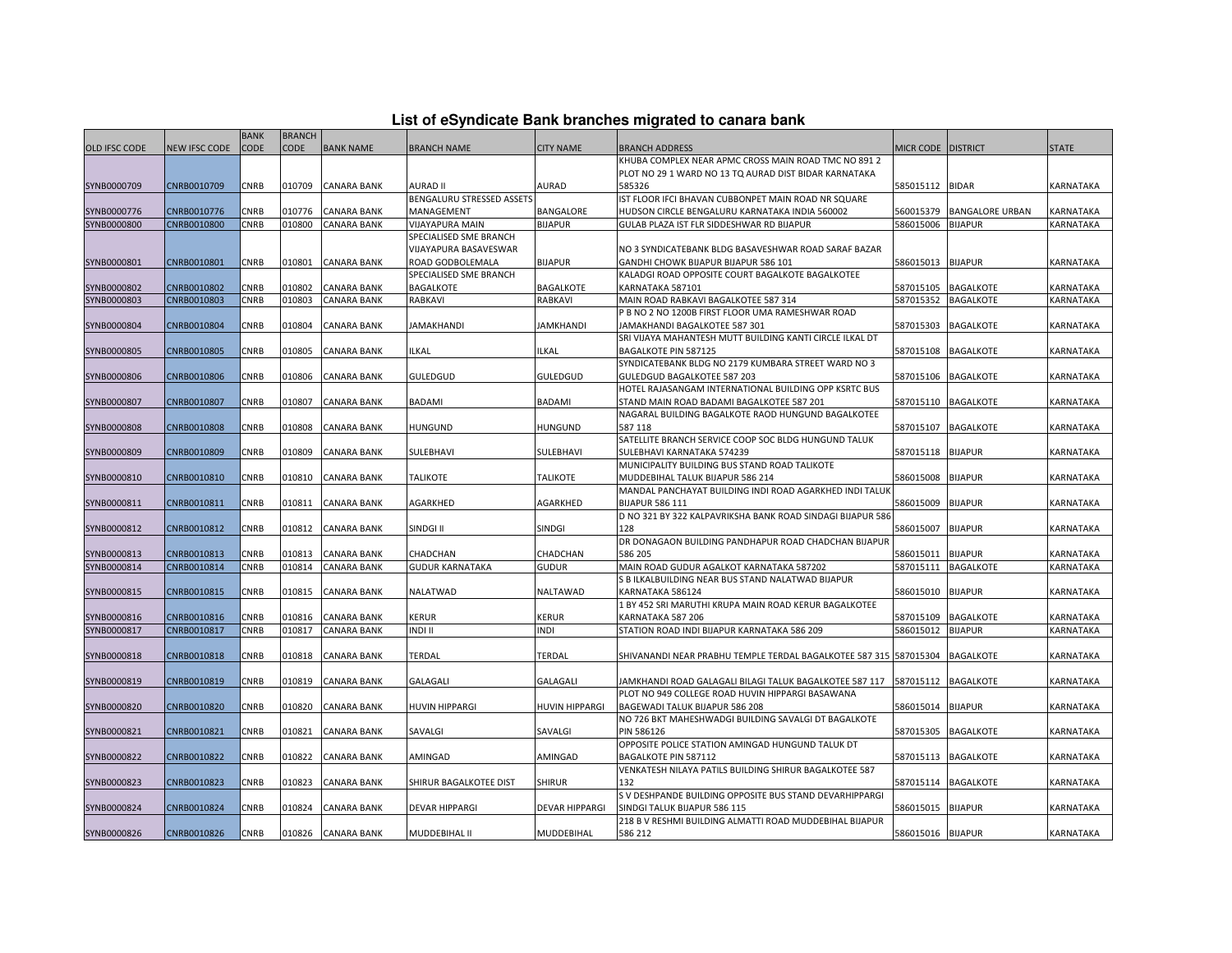| List of eSyndicate Bank branches migrated to canara bank |  |
|----------------------------------------------------------|--|
|                                                          |  |

|                      |                      | <b>BANK</b> | <b>BRANCH</b> |                    |                                |                             |                                                                   |                    |                        |                  |
|----------------------|----------------------|-------------|---------------|--------------------|--------------------------------|-----------------------------|-------------------------------------------------------------------|--------------------|------------------------|------------------|
| <b>OLD IFSC CODE</b> | <b>NEW IFSC CODE</b> | <b>CODE</b> | <b>CODE</b>   | <b>BANK NAME</b>   | <b>BRANCH NAME</b>             | <b>CITY NAME</b>            | <b>BRANCH ADDRESS</b>                                             | MICR CODE DISTRICT |                        | <b>STATE</b>     |
|                      |                      |             |               |                    |                                |                             | KHUBA COMPLEX NEAR APMC CROSS MAIN ROAD TMC NO 891 2              |                    |                        |                  |
|                      |                      |             |               |                    |                                |                             | PLOT NO 29 1 WARD NO 13 TO AURAD DIST BIDAR KARNATAKA             |                    |                        |                  |
| SYNB0000709          | CNRB0010709          | CNRB        | 010709        | <b>CANARA BANK</b> | AURAD II                       | AURAD                       | 585326                                                            | 585015112          | <b>BIDAR</b>           | KARNATAKA        |
|                      |                      |             |               |                    | BENGALURU STRESSED ASSETS      |                             | IST FLOOR IFCI BHAVAN CUBBONPET MAIN ROAD NR SQUARE               |                    |                        |                  |
| SYNB0000776          | CNRB0010776          | CNRB        | 010776        | <b>CANARA BANK</b> | MANAGEMENT                     | BANGALORE                   | HUDSON CIRCLE BENGALURU KARNATAKA INDIA 560002                    | 560015379          | <b>BANGALORE URBAN</b> | KARNATAKA        |
| SYNB0000800          | CNRB0010800          | CNRB        | 010800        | <b>CANARA BANK</b> | VIJAYAPURA MAIN                | <b>BIJAPUR</b>              | GULAB PLAZA IST FLR SIDDESHWAR RD BIJAPUR                         | 586015006          | <b>BIJAPUR</b>         | KARNATAKA        |
|                      |                      |             |               |                    | SPECIALISED SME BRANCH         |                             |                                                                   |                    |                        |                  |
|                      |                      |             |               |                    | VIJAYAPURA BASAVESWAR          |                             | NO 3 SYNDICATEBANK BLDG BASAVESHWAR ROAD SARAF BAZAR              |                    |                        |                  |
| SYNB0000801          | CNRB0010801          | CNRB        | 010801        | <b>CANARA BANK</b> | ROAD GODBOLEMALA               | <b>BIJAPUR</b>              | GANDHI CHOWK BIJAPUR BIJAPUR 586 101                              | 586015013          | <b>BIJAPUR</b>         | KARNATAKA        |
|                      |                      |             |               |                    | SPECIALISED SME BRANCH         |                             | KALADGI ROAD OPPOSITE COURT BAGALKOTE BAGALKOTEE                  |                    |                        |                  |
| SYNB0000802          | CNRB0010802          | <b>CNRB</b> | 010802        | <b>CANARA BANK</b> | <b>BAGALKOTE</b>               | <b>BAGALKOTE</b>            | KARNATAKA 587101                                                  | 587015105          | <b>BAGALKOTE</b>       | KARNATAKA        |
| SYNB0000803          | CNRB0010803          | CNRB        | 010803        | <b>CANARA BANK</b> | RABKAVI                        | RABKAVI                     | MAIN ROAD RABKAVI BAGALKOTEE 587 314                              | 587015352          | <b>BAGALKOTE</b>       | KARNATAKA        |
|                      |                      |             |               |                    |                                |                             | P B NO 2 NO 1200B FIRST FLOOR UMA RAMESHWAR ROAD                  |                    |                        |                  |
| SYNB0000804          | CNRB0010804          | CNRB        | 010804        | <b>CANARA BANK</b> | <b>JAMAKHANDI</b>              | <b>JAMKHANDI</b>            | JAMAKHANDI BAGALKOTEE 587 301                                     | 587015303          | <b>BAGALKOTE</b>       | KARNATAKA        |
|                      |                      |             |               |                    |                                |                             | SRI VIJAYA MAHANTESH MUTT BUILDING KANTI CIRCLE ILKAL DT          |                    |                        |                  |
| SYNB0000805          | CNRB0010805          | CNRB        | 010805        | <b>CANARA BANK</b> | <b>ILKAL</b>                   | <b>ILKAL</b>                | <b>BAGALKOTE PIN 587125</b>                                       | 587015108          | <b>BAGALKOTE</b>       | KARNATAKA        |
|                      |                      |             |               |                    |                                |                             | SYNDICATEBANK BLDG NO 2179 KUMBARA STREET WARD NO 3               |                    |                        |                  |
| SYNB0000806          | CNRB0010806          | CNRB        | 10806         | <b>CANARA BANK</b> | <b>GULEDGUD</b>                | <b>GULEDGUD</b>             | GULEDGUD BAGALKOTEE 587 203                                       | 587015106          | <b>BAGALKOTE</b>       | KARNATAKA        |
|                      |                      |             |               |                    |                                |                             | HOTEL RAJASANGAM INTERNATIONAL BUILDING OPP KSRTC BUS             |                    |                        |                  |
| SYNB0000807          | CNRB0010807          | <b>CNRB</b> | 010807        | <b>CANARA BANK</b> | <b>BADAMI</b>                  | <b>BADAMI</b>               | STAND MAIN ROAD BADAMI BAGALKOTEE 587 201                         | 587015110          | <b>BAGALKOTE</b>       | <b>KARNATAKA</b> |
|                      |                      |             |               |                    |                                |                             | NAGARAL BUILDING BAGALKOTE RAOD HUNGUND BAGALKOTEE                |                    |                        |                  |
| SYNB0000808          | CNRB0010808          | CNRB        | 010808        | <b>CANARA BANK</b> | HUNGUND                        | <b>HUNGUND</b>              | 587 118                                                           | 587015107          | <b>BAGALKOTE</b>       | KARNATAKA        |
|                      |                      |             |               |                    |                                |                             | SATELLITE BRANCH SERVICE COOP SOC BLDG HUNGUND TALUK              |                    |                        |                  |
| SYNB0000809          | CNRB0010809          | CNRB        | 010809        | <b>CANARA BANK</b> | SULEBHAVI                      | SULEBHAVI                   | SULEBHAVI KARNATAKA 574239                                        | 587015118          | <b>BIJAPUR</b>         | KARNATAKA        |
|                      |                      |             |               |                    |                                |                             | MUNICIPALITY BUILDING BUS STAND ROAD TALIKOTE                     |                    |                        |                  |
| SYNB0000810          | CNRB0010810          | CNRB        | 010810        | <b>CANARA BANK</b> | <b>TALIKOTE</b>                | <b>TALIKOTE</b>             | MUDDEBIHAL TALUK BIJAPUR 586 214                                  | 586015008          | <b>BIJAPUR</b>         | KARNATAKA        |
|                      |                      |             |               |                    |                                |                             | MANDAL PANCHAYAT BUILDING INDI ROAD AGARKHED INDI TALUK           |                    |                        |                  |
| SYNB0000811          | CNRB0010811          | CNRB        | 010811        | CANARA BANK        | AGARKHED                       | AGARKHED                    | BIJAPUR 586 111                                                   | 586015009          | <b>BIJAPUR</b>         | KARNATAKA        |
|                      |                      |             |               |                    |                                |                             | D NO 321 BY 322 KALPAVRIKSHA BANK ROAD SINDAGI BIJAPUR 586        |                    |                        |                  |
| SYNB0000812          | CNRB0010812          | CNRB        | 010812        | <b>CANARA BANK</b> | SINDGI II                      | SINDGI                      | 128                                                               | 586015007          | <b>BIJAPUR</b>         | KARNATAKA        |
|                      |                      |             |               |                    |                                |                             | DR DONAGAON BUILDING PANDHAPUR ROAD CHADCHAN BIJAPUR              |                    |                        |                  |
| SYNB0000813          | CNRB0010813          | CNRB        | 010813        | <b>CANARA BANK</b> | CHADCHAN                       | CHADCHAN                    | 586 205                                                           | 586015011          | <b>BIJAPUR</b>         | KARNATAKA        |
| SYNB0000814          | CNRB0010814          | CNRB        | 010814        | <b>CANARA BANK</b> | <b>GUDUR KARNATAKA</b>         | <b>GUDUR</b>                | MAIN ROAD GUDUR AGALKOT KARNATAKA 587202                          | 587015111          | <b>BAGALKOTE</b>       | KARNATAKA        |
|                      |                      |             |               |                    |                                |                             | S B ILKALBUILDING NEAR BUS STAND NALATWAD BIJAPUR                 |                    |                        |                  |
| SYNB0000815          | CNRB0010815          | CNRB        | 010815        | <b>CANARA BANK</b> | NALATWAD                       | NALTAWAD                    | KARNATAKA 586124                                                  | 586015010          | <b>BIJAPUR</b>         | <b>KARNATAKA</b> |
|                      |                      |             |               |                    |                                |                             | 1 BY 452 SRI MARUTHI KRUPA MAIN ROAD KERUR BAGALKOTEE             |                    |                        |                  |
| SYNB0000816          | CNRB0010816          | CNRB        | 010816        | <b>CANARA BANK</b> | <b>KERUR</b><br><b>INDI II</b> | <b>KERUR</b><br><b>INDI</b> | KARNATAKA 587 206                                                 | 587015109          | <b>BAGALKOTE</b>       | KARNATAKA        |
| SYNB0000817          | CNRB0010817          | <b>CNRB</b> | 010817        | <b>CANARA BANK</b> |                                |                             | STATION ROAD INDI BIJAPUR KARNATAKA 586 209                       | 586015012          | <b>BIJAPUR</b>         | KARNATAKA        |
|                      |                      |             |               |                    |                                |                             |                                                                   |                    |                        |                  |
| SYNB0000818          | CNRB0010818          | CNRB        | 010818        | <b>CANARA BANK</b> | TERDAL                         | TERDAL                      | SHIVANANDI NEAR PRABHU TEMPLE TERDAL BAGALKOTEE 587 315 587015304 |                    | <b>BAGALKOTE</b>       | KARNATAKA        |
| SYNB0000819          | CNRB0010819          | CNRB        | 010819        | <b>CANARA BANK</b> | GALAGALI                       | <b>GALAGALI</b>             | JAMKHANDI ROAD GALAGALI BILAGI TALUK BAGALKOTEE 587 117           | 587015112          | <b>BAGALKOTE</b>       | KARNATAKA        |
|                      |                      |             |               |                    |                                |                             | PLOT NO 949 COLLEGE ROAD HUVIN HIPPARGI BASAWANA                  |                    |                        |                  |
| SYNB0000820          | CNRB0010820          | <b>CNRB</b> | 010820        | <b>CANARA BANK</b> | <b>HUVIN HIPPARGI</b>          | <b>HUVIN HIPPARGI</b>       | BAGEWADI TALUK BIJAPUR 586 208                                    | 586015014 BIJAPUR  |                        | <b>KARNATAKA</b> |
|                      |                      |             |               |                    |                                |                             | NO 726 BKT MAHESHWADGI BUILDING SAVALGI DT BAGALKOTE              |                    |                        |                  |
| SYNB0000821          | CNRB0010821          | CNRB        | 010821        | <b>CANARA BANK</b> | SAVALGI                        | SAVALGI                     | <b>PIN 586126</b>                                                 | 587015305          | <b>BAGALKOTE</b>       | KARNATAKA        |
|                      |                      |             |               |                    |                                |                             | OPPOSITE POLICE STATION AMINGAD HUNGUND TALUK DT                  |                    |                        |                  |
| SYNB0000822          | CNRB0010822          | CNRB        | )10822        | <b>CANARA BANK</b> | AMINGAD                        | AMINGAD                     | BAGALKOTE PIN 587112                                              | 587015113          | <b>BAGALKOTE</b>       | KARNATAKA        |
|                      |                      |             |               |                    |                                |                             | VENKATESH NILAYA PATILS BUILDING SHIRUR BAGALKOTEE 587            |                    |                        |                  |
| SYNB0000823          | CNRB0010823          | CNRB        | 010823        | <b>CANARA BANK</b> | SHIRUR BAGALKOTEE DIST         | <b>SHIRUR</b>               | 132                                                               |                    | 587015114 BAGALKOTE    | KARNATAKA        |
|                      |                      |             |               |                    |                                |                             | S V DESHPANDE BUILDING OPPOSITE BUS STAND DEVARHIPPARGI           |                    |                        |                  |
| SYNB0000824          | CNRB0010824          | CNRB        | 010824        | <b>CANARA BANK</b> | <b>DEVAR HIPPARGI</b>          | <b>DEVAR HIPPARGI</b>       | SINDGI TALUK BIJAPUR 586 115                                      | 586015015          | <b>BIJAPUR</b>         | KARNATAKA        |
|                      |                      |             |               |                    |                                |                             | 218 B V RESHMI BUILDING ALMATTI ROAD MUDDEBIHAL BIJAPUR           |                    |                        |                  |
| SYNB0000826          | CNRB0010826          | <b>CNRB</b> |               | 010826 CANARA BANK | MUDDEBIHAL II                  | <b>MUDDEBIHAL</b>           | 586 212                                                           | 586015016 BIJAPUR  |                        | KARNATAKA        |
|                      |                      |             |               |                    |                                |                             |                                                                   |                    |                        |                  |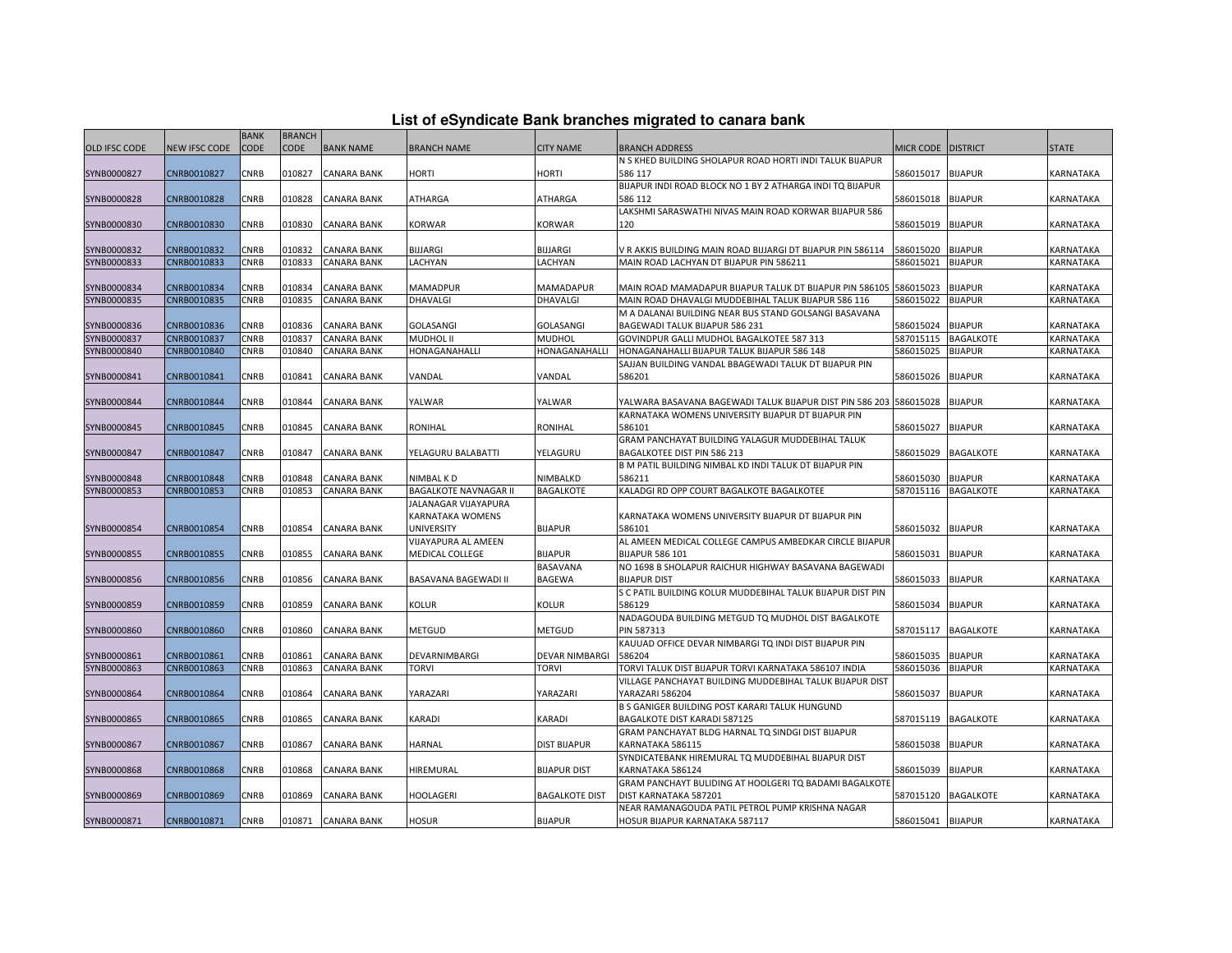| List of eSyndicate Bank branches migrated to canara bank |  |  |  |  |  |  |
|----------------------------------------------------------|--|--|--|--|--|--|
|----------------------------------------------------------|--|--|--|--|--|--|

| List of eSyndicate Bank branches migrated to canara bank |               |             |               |                    |                              |                       |                                                                                                                          |                    |                     |              |
|----------------------------------------------------------|---------------|-------------|---------------|--------------------|------------------------------|-----------------------|--------------------------------------------------------------------------------------------------------------------------|--------------------|---------------------|--------------|
|                                                          |               | <b>BANK</b> | <b>BRANCH</b> |                    |                              |                       |                                                                                                                          |                    |                     |              |
| <b>OLD IFSC CODE</b>                                     | NEW IFSC CODE | <b>CODE</b> | CODE          | <b>BANK NAME</b>   | <b>BRANCH NAME</b>           | <b>CITY NAME</b>      | <b>BRANCH ADDRESS</b>                                                                                                    | MICR CODE DISTRICT |                     | <b>STATE</b> |
|                                                          |               |             |               |                    |                              |                       | N S KHED BUILDING SHOLAPUR ROAD HORTI INDI TALUK BIJAPUR                                                                 |                    |                     |              |
| SYNB0000827                                              | CNRB0010827   | CNRB        | 010827        | <b>CANARA BANK</b> | HORTI                        | HORTI                 | 586 117                                                                                                                  | 586015017          | <b>BIJAPUR</b>      | KARNATAKA    |
|                                                          |               |             |               |                    |                              |                       | BIJAPUR INDI ROAD BLOCK NO 1 BY 2 ATHARGA INDI TO BIJAPUR                                                                |                    |                     |              |
| SYNB0000828                                              | CNRB0010828   | CNRB        | 010828        | <b>CANARA BANK</b> | ATHARGA                      | ATHARGA               | 586 112                                                                                                                  | 586015018          | <b>BIJAPUR</b>      | KARNATAKA    |
|                                                          |               |             |               |                    |                              |                       | LAKSHMI SARASWATHI NIVAS MAIN ROAD KORWAR BIJAPUR 586                                                                    |                    |                     |              |
| SYNB0000830                                              | CNRB0010830   | CNRB        | 010830        | <b>CANARA BANK</b> | KORWAR                       | <b>KORWAR</b>         | 120                                                                                                                      | 586015019          | <b>BIJAPUR</b>      | KARNATAKA    |
|                                                          |               |             |               |                    |                              |                       |                                                                                                                          |                    |                     |              |
| SYNB0000832                                              | CNRB0010832   | CNRB        | 010832        | <b>CANARA BANK</b> | BIJJARGI                     | <b>BIJJARGI</b>       | V R AKKIS BUILDING MAIN ROAD BIJJARGI DT BIJAPUR PIN 586114                                                              | 586015020          | <b>BIJAPUR</b>      | KARNATAKA    |
| SYNB0000833                                              | CNRB0010833   | <b>CNRB</b> | 010833        | <b>CANARA BANK</b> | LACHYAN                      | LACHYAN               | MAIN ROAD LACHYAN DT BIJAPUR PIN 586211                                                                                  | 586015021          | <b>BIJAPUR</b>      | KARNATAKA    |
|                                                          |               |             |               |                    |                              |                       |                                                                                                                          |                    |                     |              |
| SYNB0000834                                              | CNRB0010834   | CNRB        | 010834        | <b>CANARA BANK</b> | <b>MAMADPUR</b>              | MAMADAPUR             | MAIN ROAD MAMADAPUR BIJAPUR TALUK DT BIJAPUR PIN 586105                                                                  | 586015023          | <b>BIJAPUR</b>      | KARNATAKA    |
| SYNB0000835                                              | CNRB0010835   | CNRB        | 010835        | <b>CANARA BANK</b> | DHAVALGI                     | DHAVALGI              | MAIN ROAD DHAVALGI MUDDEBIHAL TALUK BIJAPUR 586 116                                                                      | 586015022          | <b>BIJAPUR</b>      | KARNATAKA    |
|                                                          |               |             |               |                    |                              |                       | M A DALANAI BUILDING NEAR BUS STAND GOLSANGI BASAVANA                                                                    |                    |                     |              |
| SYNB0000836                                              | CNRB0010836   | CNRB        | 010836        | <b>CANARA BANK</b> | <b>GOLASANGI</b>             | GOLASANGI             | BAGEWADI TALUK BIJAPUR 586 231                                                                                           | 586015024          | <b>BIJAPUR</b>      | KARNATAKA    |
| SYNB0000837                                              | CNRB0010837   | <b>CNRB</b> | 010837        | <b>CANARA BANK</b> | MUDHOL II                    | MUDHOL                | GOVINDPUR GALLI MUDHOL BAGALKOTEE 587 313                                                                                | 587015115          | <b>BAGALKOTE</b>    | KARNATAKA    |
| SYNB0000840                                              | CNRB0010840   | <b>CNRB</b> | 010840        | <b>CANARA BANK</b> | HONAGANAHALLI                | HONAGANAHALLI         | HONAGANAHALLI BIJAPUR TALUK BIJAPUR 586 148                                                                              | 586015025          | <b>BIJAPUR</b>      | KARNATAKA    |
|                                                          |               |             |               |                    |                              |                       | SAJJAN BUILDING VANDAL BBAGEWADI TALUK DT BIJAPUR PIN                                                                    |                    |                     |              |
| SYNB0000841                                              | CNRB0010841   | CNRB        | 010841        | <b>CANARA BANK</b> | VANDAL                       | VANDAL                | 586201                                                                                                                   | 586015026          | <b>BIJAPUR</b>      | KARNATAKA    |
| SYNB0000844                                              | CNRB0010844   | CNRB        | 010844        | <b>CANARA BANK</b> | YALWAR                       | YALWAR                |                                                                                                                          |                    | <b>BIJAPUR</b>      | KARNATAKA    |
|                                                          |               |             |               |                    |                              |                       | YALWARA BASAVANA BAGEWADI TALUK BIJAPUR DIST PIN 586 203 586015028<br>KARNATAKA WOMENS UNIVERSITY BIJAPUR DT BIJAPUR PIN |                    |                     |              |
| SYNB0000845                                              | CNRB0010845   | <b>CNRB</b> | 010845        | <b>CANARA BANK</b> | RONIHAL                      | <b>RONIHAL</b>        | 586101                                                                                                                   | 586015027          | <b>BIJAPUR</b>      | KARNATAKA    |
|                                                          |               |             |               |                    |                              |                       | GRAM PANCHAYAT BUILDING YALAGUR MUDDEBIHAL TALUK                                                                         |                    |                     |              |
| SYNB0000847                                              | CNRB0010847   | CNRB        | 010847        | <b>CANARA BANK</b> | YELAGURU BALABATTI           | YELAGURU              | BAGALKOTEE DIST PIN 586 213                                                                                              | 586015029          | <b>BAGALKOTE</b>    | KARNATAKA    |
|                                                          |               |             |               |                    |                              |                       | B M PATIL BUILDING NIMBAL KD INDI TALUK DT BIJAPUR PIN                                                                   |                    |                     |              |
| SYNB0000848                                              | CNRB0010848   | CNRB        | 010848        | <b>CANARA BANK</b> | NIMBAL K D                   | NIMBALKD              | 586211                                                                                                                   | 586015030          | <b>BIJAPUR</b>      | KARNATAKA    |
| SYNB0000853                                              | CNRB0010853   | <b>CNRB</b> | 010853        | <b>CANARA BANK</b> | <b>BAGALKOTE NAVNAGAR II</b> | <b>BAGALKOTE</b>      | KALADGI RD OPP COURT BAGALKOTE BAGALKOTEE                                                                                |                    | 587015116 BAGALKOTE | KARNATAKA    |
|                                                          |               |             |               |                    | JALANAGAR VIJAYAPURA         |                       |                                                                                                                          |                    |                     |              |
|                                                          |               |             |               |                    | KARNATAKA WOMENS             |                       | KARNATAKA WOMENS UNIVERSITY BIJAPUR DT BIJAPUR PIN                                                                       |                    |                     |              |
| SYNB0000854                                              | CNRB0010854   | CNRB        | 010854        | <b>CANARA BANK</b> | <b>UNIVERSITY</b>            | <b>BIJAPUR</b>        | 586101                                                                                                                   | 586015032          | <b>BIJAPUR</b>      | KARNATAKA    |
|                                                          |               |             |               |                    | VIJAYAPURA AL AMEEN          |                       | AL AMEEN MEDICAL COLLEGE CAMPUS AMBEDKAR CIRCLE BIJAPUF                                                                  |                    |                     |              |
| SYNB0000855                                              | CNRB0010855   | CNRB        | 010855        | <b>CANARA BANK</b> | MEDICAL COLLEGE              | <b>BIJAPUR</b>        | <b>BIJAPUR 586 101</b>                                                                                                   | 586015031          | <b>BIJAPUR</b>      | KARNATAKA    |
|                                                          |               |             |               |                    |                              | <b>BASAVANA</b>       | NO 1698 B SHOLAPUR RAICHUR HIGHWAY BASAVANA BAGEWADI                                                                     |                    |                     |              |
| SYNB0000856                                              | CNRB0010856   | CNRB        | 010856        | <b>CANARA BANK</b> | BASAVANA BAGEWADI II         | <b>BAGEWA</b>         | <b>BIJAPUR DIST</b>                                                                                                      | 586015033          | <b>BIJAPUR</b>      | KARNATAKA    |
|                                                          |               |             |               |                    |                              |                       | S C PATIL BUILDING KOLUR MUDDEBIHAL TALUK BIJAPUR DIST PIN                                                               |                    |                     |              |
| SYNB0000859                                              | CNRB0010859   | CNRB        | 010859        | <b>CANARA BANK</b> | Kolur                        | <b>KOLUR</b>          | 586129                                                                                                                   | 586015034          | <b>BIJAPUR</b>      | KARNATAKA    |
|                                                          |               |             |               |                    |                              |                       | NADAGOUDA BUILDING METGUD TO MUDHOL DIST BAGALKOTE                                                                       |                    |                     |              |
| SYNB0000860                                              | CNRB0010860   | CNRB        | 010860        | <b>CANARA BANK</b> | METGUD                       | <b>METGUD</b>         | <b>PIN 587313</b>                                                                                                        | 587015117          | <b>BAGALKOTE</b>    | KARNATAKA    |
|                                                          |               |             |               |                    |                              |                       | KAUUAD OFFICE DEVAR NIMBARGI TQ INDI DIST BIJAPUR PIN                                                                    |                    |                     |              |
| SYNB0000861                                              | CNRB0010861   | CNRB        | 010861        | <b>CANARA BANK</b> | DEVARNIMBARGI                | <b>DEVAR NIMBARGI</b> | 586204                                                                                                                   | 586015035          | <b>BIJAPUR</b>      | KARNATAKA    |
| SYNB0000863                                              | CNRB0010863   | <b>CNRB</b> | 010863        | <b>CANARA BANK</b> | torvi                        | TORVI                 | TORVI TALUK DIST BIJAPUR TORVI KARNATAKA 586107 INDIA                                                                    | 586015036          | <b>BIJAPUR</b>      | KARNATAKA    |
|                                                          |               |             |               |                    |                              |                       | VILLAGE PANCHAYAT BUILDING MUDDEBIHAL TALUK BIJAPUR DIST                                                                 |                    |                     |              |
| SYNB0000864                                              | CNRB0010864   | CNRB        | 010864        | <b>CANARA BANK</b> | YARAZARI                     | YARAZARI              | YARAZARI 586204                                                                                                          | 586015037          | <b>BIJAPUR</b>      | KARNATAKA    |
|                                                          |               |             |               |                    |                              |                       | B S GANIGER BUILDING POST KARARI TALUK HUNGUND                                                                           |                    |                     |              |
| SYNB0000865                                              | CNRB0010865   | CNRB        | 010865        | <b>CANARA BANK</b> | KARADI                       | KARADI                | BAGALKOTE DIST KARADI 587125                                                                                             | 587015119          | <b>BAGALKOTE</b>    | KARNATAKA    |
|                                                          |               |             |               |                    |                              |                       | GRAM PANCHAYAT BLDG HARNAL TQ SINDGI DIST BIJAPUR                                                                        |                    |                     |              |
| SYNB0000867                                              | CNRB0010867   | CNRB        | 010867        | CANARA BANK        | HARNAL                       | DIST BIJAPUR          | KARNATAKA 586115                                                                                                         | 586015038          | <b>BIJAPUR</b>      | KARNATAKA    |
|                                                          |               |             |               |                    |                              |                       | SYNDICATEBANK HIREMURAL TQ MUDDEBIHAL BIJAPUR DIST                                                                       |                    |                     |              |
| SYNB0000868                                              | CNRB0010868   | CNRB        | 010868        | <b>CANARA BANK</b> | HIREMURAL                    | <b>BIJAPUR DIST</b>   | KARNATAKA 586124                                                                                                         | 586015039          | <b>BIJAPUR</b>      | KARNATAKA    |
|                                                          |               |             |               |                    |                              |                       | GRAM PANCHAYT BULIDING AT HOOLGERI TO BADAMI BAGALKOTE                                                                   |                    |                     |              |
| SYNB0000869                                              | CNRB0010869   | CNRB        | 010869        | <b>CANARA BANK</b> | HOOLAGERI                    | <b>BAGALKOTE DIST</b> | DIST KARNATAKA 587201                                                                                                    | 587015120          | <b>BAGALKOTE</b>    | KARNATAKA    |
|                                                          |               |             |               |                    |                              |                       | NEAR RAMANAGOUDA PATIL PETROL PUMP KRISHNA NAGAR                                                                         |                    |                     |              |
| SYNB0000871                                              | CNRB0010871   | <b>CNRB</b> |               | 010871 CANARA BANK | <b>HOSUR</b>                 | <b>BIJAPUR</b>        | HOSUR BIJAPUR KARNATAKA 587117                                                                                           | 586015041 BIJAPUR  |                     | KARNATAKA    |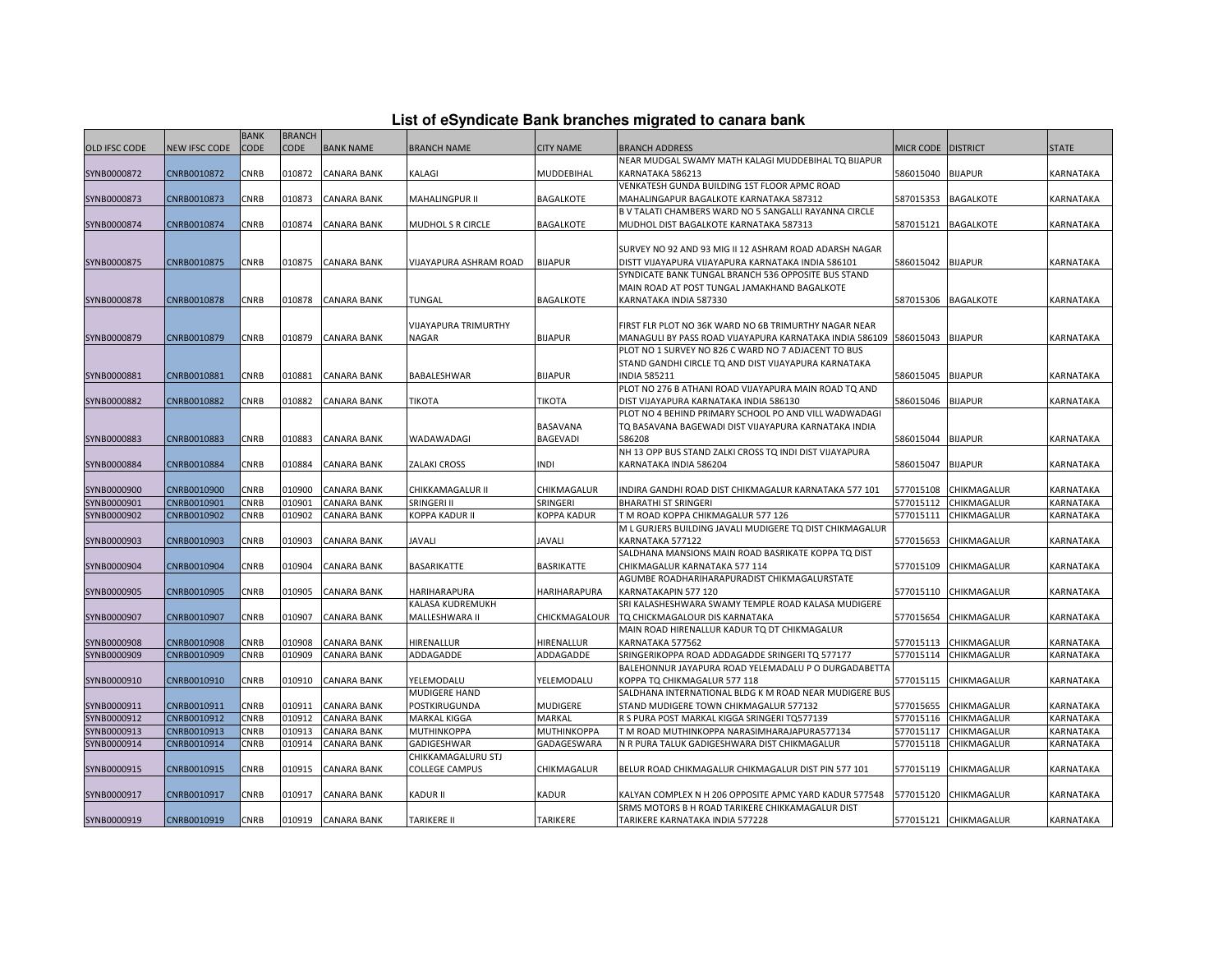| List of eSyndicate Bank branches migrated to canara bank |  |  |  |
|----------------------------------------------------------|--|--|--|
|----------------------------------------------------------|--|--|--|

|                      |               | <b>BANK</b> | <b>BRANCH</b> |                    |                                 |                   |                                                                   |           |                       |              |
|----------------------|---------------|-------------|---------------|--------------------|---------------------------------|-------------------|-------------------------------------------------------------------|-----------|-----------------------|--------------|
| <b>OLD IFSC CODE</b> | NEW IFSC CODE | <b>CODE</b> | CODE          | <b>BANK NAME</b>   | BRANCH NAME                     | <b>CITY NAME</b>  | <b>BRANCH ADDRESS</b>                                             | MICR CODE | <b>DISTRICT</b>       | <b>STATE</b> |
|                      |               |             |               |                    |                                 |                   | NEAR MUDGAL SWAMY MATH KALAGI MUDDEBIHAL TO BIJAPUR               |           |                       |              |
| SYNB0000872          | CNRB0010872   | CNRB        | 010872        | <b>CANARA BANK</b> | KALAGI                          | MUDDEBIHAL        | KARNATAKA 586213                                                  | 586015040 | <b>BIJAPUR</b>        | KARNATAKA    |
|                      |               |             |               |                    |                                 |                   | VENKATESH GUNDA BUILDING 1ST FLOOR APMC ROAD                      |           |                       |              |
| SYNB0000873          | CNRB0010873   | <b>CNRB</b> | 010873        | <b>CANARA BANK</b> | <b>MAHALINGPUR II</b>           | <b>BAGALKOTE</b>  | MAHALINGAPUR BAGALKOTE KARNATAKA 587312                           | 587015353 | <b>BAGALKOTE</b>      | KARNATAKA    |
|                      |               |             |               |                    |                                 |                   | B V TALATI CHAMBERS WARD NO 5 SANGALLI RAYANNA CIRCLE             |           |                       |              |
| SYNB0000874          | CNRB0010874   | CNRB        | 010874        | <b>CANARA BANK</b> | MUDHOL S R CIRCLE               | <b>BAGALKOTE</b>  | MUDHOL DIST BAGALKOTE KARNATAKA 587313                            | 587015121 | <b>BAGALKOTE</b>      | KARNATAKA    |
|                      |               |             |               |                    |                                 |                   |                                                                   |           |                       |              |
|                      |               |             |               |                    |                                 |                   | SURVEY NO 92 AND 93 MIG II 12 ASHRAM ROAD ADARSH NAGAR            |           |                       |              |
| SYNB0000875          | CNRB0010875   | CNRB        | 010875        | <b>CANARA BANK</b> | VIJAYAPURA ASHRAM ROAD          | <b>BIJAPUR</b>    | DISTT VIJAYAPURA VIJAYAPURA KARNATAKA INDIA 586101                | 586015042 | <b>BIJAPUR</b>        | KARNATAKA    |
|                      |               |             |               |                    |                                 |                   | SYNDICATE BANK TUNGAL BRANCH 536 OPPOSITE BUS STAND               |           |                       |              |
|                      |               |             |               |                    |                                 |                   | MAIN ROAD AT POST TUNGAL JAMAKHAND BAGALKOTE                      |           |                       |              |
| SYNB0000878          | CNRB0010878   | CNRB        | 010878        | <b>CANARA BANK</b> | TUNGAL                          | <b>BAGALKOTE</b>  | KARNATAKA INDIA 587330                                            | 587015306 | <b>BAGALKOTE</b>      | KARNATAKA    |
|                      |               |             |               |                    |                                 |                   |                                                                   |           |                       |              |
|                      |               |             |               |                    | VIJAYAPURA TRIMURTHY            |                   | FIRST FLR PLOT NO 36K WARD NO 6B TRIMURTHY NAGAR NEAR             |           |                       |              |
| SYNB0000879          | CNRB0010879   | <b>CNRB</b> | 010879        | <b>CANARA BANK</b> | NAGAR                           | <b>BIJAPUR</b>    | MANAGULI BY PASS ROAD VIJAYAPURA KARNATAKA INDIA 586109 586015043 |           | <b>BIJAPUR</b>        | KARNATAKA    |
|                      |               |             |               |                    |                                 |                   | PLOT NO 1 SURVEY NO 826 C WARD NO 7 ADJACENT TO BUS               |           |                       |              |
|                      |               |             |               |                    |                                 |                   | STAND GANDHI CIRCLE TQ AND DIST VIJAYAPURA KARNATAKA              |           |                       |              |
| SYNB0000881          | CNRB0010881   | <b>CNRB</b> | 010881        | <b>CANARA BANK</b> | BABALESHWAR                     | <b>BIJAPUR</b>    | <b>INDIA 585211</b>                                               | 586015045 | <b>BIJAPUR</b>        | KARNATAKA    |
|                      |               |             |               |                    |                                 |                   | PLOT NO 276 B ATHANI ROAD VIJAYAPURA MAIN ROAD TO AND             |           |                       |              |
| SYNB0000882          | CNRB0010882   | CNRB        | 010882        | <b>CANARA BANK</b> | <b>TIKOTA</b>                   | <b>TIKOTA</b>     | DIST VIJAYAPURA KARNATAKA INDIA 586130                            | 586015046 | <b>BIJAPUR</b>        | KARNATAKA    |
|                      |               |             |               |                    |                                 |                   | PLOT NO 4 BEHIND PRIMARY SCHOOL PO AND VILL WADWADAGI             |           |                       |              |
|                      |               |             |               |                    |                                 | <b>BASAVANA</b>   | TO BASAVANA BAGEWADI DIST VIJAYAPURA KARNATAKA INDIA              |           |                       |              |
| SYNB0000883          | CNRB0010883   | CNRB        | 010883        | <b>CANARA BANK</b> | WADAWADAGI                      | <b>BAGEVADI</b>   | 586208                                                            | 586015044 | <b>BIJAPUR</b>        | KARNATAKA    |
|                      |               |             |               |                    |                                 |                   | NH 13 OPP BUS STAND ZALKI CROSS TO INDI DIST VIJAYAPURA           |           |                       |              |
| SYNB0000884          | CNRB0010884   | CNRB        | 010884        | <b>CANARA BANK</b> | ZALAKI CROSS                    | INDI              | KARNATAKA INDIA 586204                                            | 586015047 | <b>BIJAPUR</b>        | KARNATAKA    |
| SYNB0000900          | CNRB0010900   | CNRB        | 010900        | CANARA BANK        |                                 | CHIKMAGALUR       | INDIRA GANDHI ROAD DIST CHIKMAGALUR KARNATAKA 577 101             | 577015108 | CHIKMAGALUR           | KARNATAKA    |
| SYNB0000901          | CNRB0010901   | <b>CNRB</b> | 010901        | <b>CANARA BANK</b> | CHIKKAMAGALUR II<br>SRINGERI II | SRINGERI          | <b>BHARATHI ST SRINGERI</b>                                       | 577015112 | CHIKMAGALUR           | KARNATAKA    |
| SYNB0000902          | CNRB0010902   | CNRB        | 010902        | <b>CANARA BANK</b> | KOPPA KADUR II                  | KOPPA KADUR       | T M ROAD KOPPA CHIKMAGALUR 577 126                                | 577015111 | CHIKMAGALUR           | KARNATAKA    |
|                      |               |             |               |                    |                                 |                   | M L GURJERS BUILDING JAVALI MUDIGERE TQ DIST CHIKMAGALUR          |           |                       |              |
| SYNB0000903          | CNRB0010903   | CNRB        | 010903        | <b>CANARA BANK</b> | JAVALI                          | <b>JAVALI</b>     | KARNATAKA 577122                                                  | 577015653 | CHIKMAGALUR           | KARNATAKA    |
|                      |               |             |               |                    |                                 |                   | SALDHANA MANSIONS MAIN ROAD BASRIKATE KOPPA TO DIST               |           |                       |              |
| SYNB0000904          | CNRB0010904   | CNRB        | 010904        | <b>CANARA BANK</b> | BASARIKATTE                     | <b>BASRIKATTE</b> | CHIKMAGALUR KARNATAKA 577 114                                     | 577015109 | CHIKMAGALUR           | KARNATAKA    |
|                      |               |             |               |                    |                                 |                   | AGUMBE ROADHARIHARAPURADIST CHIKMAGALURSTATE                      |           |                       |              |
| SYNB0000905          | CNRB0010905   | CNRB        | 010905        | <b>CANARA BANK</b> | HARIHARAPURA                    | HARIHARAPURA      | KARNATAKAPIN 577 120                                              | 577015110 | CHIKMAGALUR           | KARNATAKA    |
|                      |               |             |               |                    | KALASA KUDREMUKH                |                   | SRI KALASHESHWARA SWAMY TEMPLE ROAD KALASA MUDIGERE               |           |                       |              |
| SYNB0000907          | CNRB0010907   | CNRB        | 010907        | <b>CANARA BANK</b> | MALLESHWARA II                  | CHICKMAGALOUR     | TQ CHICKMAGALOUR DIS KARNATAKA                                    | 577015654 | CHIKMAGALUR           | KARNATAKA    |
|                      |               |             |               |                    |                                 |                   | MAIN ROAD HIRENALLUR KADUR TO DT CHIKMAGALUR                      |           |                       |              |
| SYNB0000908          | CNRB0010908   | CNRB        | 010908        | <b>CANARA BANK</b> | HIRENALLUR                      | HIRENALLUR        | KARNATAKA 577562                                                  | 577015113 | CHIKMAGALUR           | KARNATAKA    |
| SYNB0000909          | CNRB0010909   | CNRB        | 010909        | <b>CANARA BANK</b> | ADDAGADDE                       | ADDAGADDE         | SRINGERIKOPPA ROAD ADDAGADDE SRINGERI TQ 577177                   | 577015114 | CHIKMAGALUR           | KARNATAKA    |
|                      |               |             |               |                    |                                 |                   | BALEHONNUR JAYAPURA ROAD YELEMADALU P O DURGADABETTA              |           |                       |              |
| SYNB0000910          | CNRB0010910   | CNRB        | 010910        | <b>CANARA BANK</b> | YELEMODALU                      | YELEMODALU        | KOPPA TQ CHIKMAGALUR 577 118                                      | 577015115 | CHIKMAGALUR           | KARNATAKA    |
|                      |               |             |               |                    | MUDIGERE HAND                   |                   | SALDHANA INTERNATIONAL BLDG K M ROAD NEAR MUDIGERE BUS            |           |                       |              |
| SYNB0000911          | CNRB0010911   | CNRB        | 010911        | <b>CANARA BANK</b> | POSTKIRUGUNDA                   | <b>MUDIGERE</b>   | STAND MUDIGERE TOWN CHIKMAGALUR 577132                            | 577015655 | CHIKMAGALUR           | KARNATAKA    |
| SYNB0000912          | CNRB0010912   | <b>CNRB</b> | 010912        | <b>CANARA BANK</b> | <b>MARKAL KIGGA</b>             | MARKAL            | R S PURA POST MARKAL KIGGA SRINGERI TQ577139                      | 577015116 | CHIKMAGALUR           | KARNATAKA    |
| SYNB0000913          | CNRB0010913   | CNRB        | 010913        | <b>CANARA BANK</b> | MUTHINKOPPA                     | MUTHINKOPPA       | T M ROAD MUTHINKOPPA NARASIMHARAJAPURA577134                      | 577015117 | CHIKMAGALUR           | KARNATAKA    |
| SYNB0000914          | CNRB0010914   | CNRB        | 010914        | <b>CANARA BANK</b> | GADIGESHWAR                     | GADAGESWARA       | N R PURA TALUK GADIGESHWARA DIST CHIKMAGALUR                      | 577015118 | CHIKMAGALUR           | KARNATAKA    |
|                      |               |             |               |                    | CHIKKAMAGALURU STJ              |                   |                                                                   |           |                       |              |
| SYNB0000915          | CNRB0010915   | CNRB        | 010915        | <b>CANARA BANK</b> | <b>COLLEGE CAMPUS</b>           | CHIKMAGALUR       | BELUR ROAD CHIKMAGALUR CHIKMAGALUR DIST PIN 577 101               | 577015119 | CHIKMAGALUR           | KARNATAKA    |
|                      |               |             |               |                    |                                 |                   |                                                                   |           |                       |              |
| SYNB0000917          | CNRB0010917   | CNRB        | 010917        | <b>CANARA BANK</b> | <b>KADUR II</b>                 | <b>KADUR</b>      | KALYAN COMPLEX N H 206 OPPOSITE APMC YARD KADUR 577548            | 577015120 | CHIKMAGALUR           | KARNATAKA    |
|                      |               |             |               |                    |                                 |                   | SRMS MOTORS B H ROAD TARIKERE CHIKKAMAGALUR DIST                  |           |                       |              |
| SYNB0000919          | CNRB0010919   | <b>CNRB</b> |               | 010919 CANARA BANK | <b>TARIKERE II</b>              | <b>TARIKERE</b>   | TARIKERE KARNATAKA INDIA 577228                                   |           | 577015121 CHIKMAGALUR | KARNATAKA    |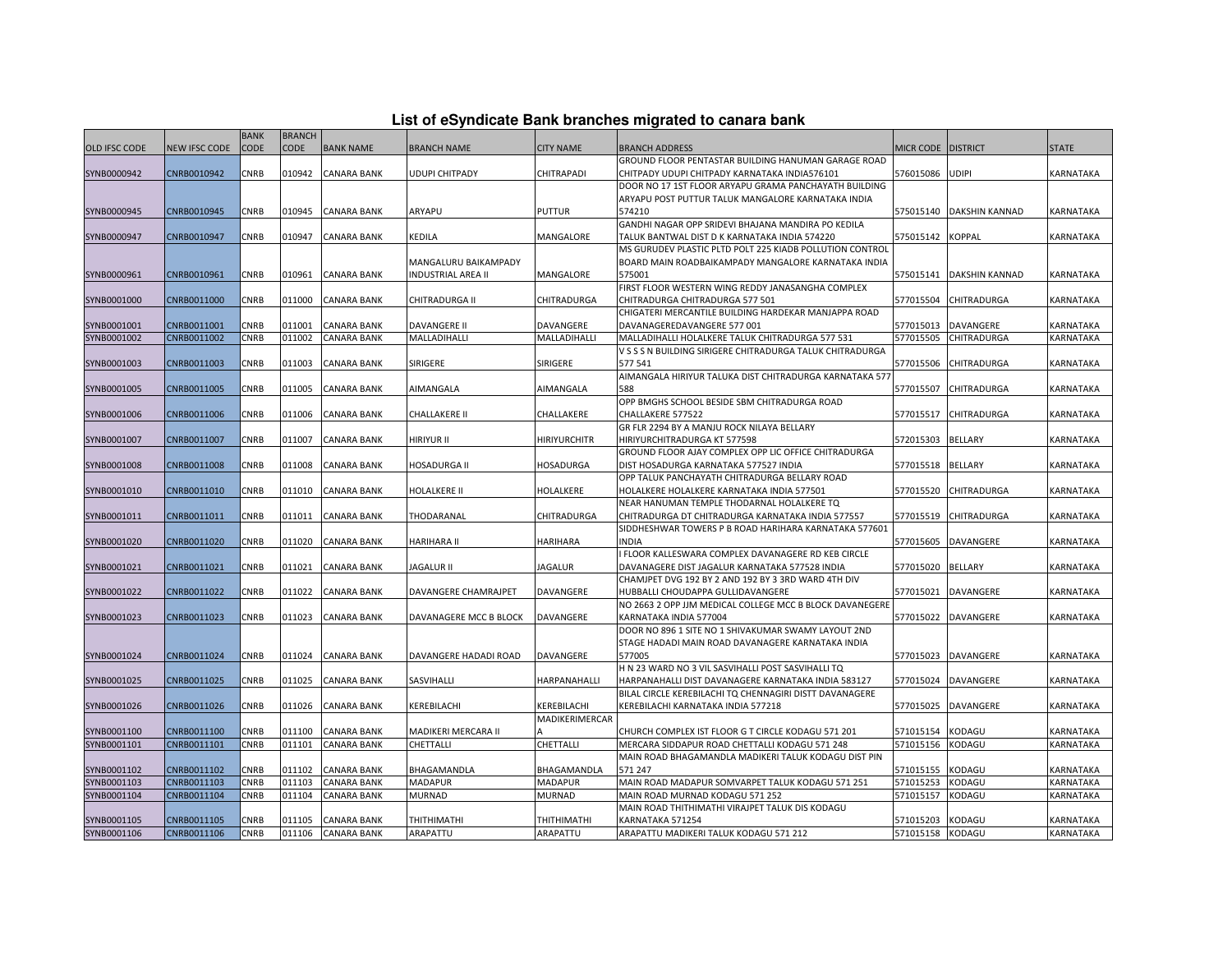| List of eSyndicate Bank branches migrated to canara bank |  |  |
|----------------------------------------------------------|--|--|
|                                                          |  |  |

|                      |                      | <b>BANK</b> | <b>BRANCH</b> |                    |                           |                     |                                                                                                               |                    |                       |                  |
|----------------------|----------------------|-------------|---------------|--------------------|---------------------------|---------------------|---------------------------------------------------------------------------------------------------------------|--------------------|-----------------------|------------------|
| <b>OLD IFSC CODE</b> | <b>NEW IFSC CODE</b> | <b>CODE</b> | CODE          | <b>BANK NAME</b>   | <b>BRANCH NAME</b>        | <b>CITY NAME</b>    | <b>BRANCH ADDRESS</b>                                                                                         | MICR CODE DISTRICT |                       | <b>STATE</b>     |
|                      |                      |             |               |                    |                           |                     | GROUND FLOOR PENTASTAR BUILDING HANUMAN GARAGE ROAD                                                           |                    |                       |                  |
| SYNB0000942          | CNRB0010942          | CNRB        | 010942        | <b>CANARA BANK</b> | UDUPI CHITPADY            | CHITRAPADI          | CHITPADY UDUPI CHITPADY KARNATAKA INDIA576101                                                                 | 576015086          | <b>UDIPI</b>          | KARNATAKA        |
|                      |                      |             |               |                    |                           |                     | DOOR NO 17 1ST FLOOR ARYAPU GRAMA PANCHAYATH BUILDING                                                         |                    |                       |                  |
|                      |                      |             |               |                    |                           |                     | ARYAPU POST PUTTUR TALUK MANGALORE KARNATAKA INDIA                                                            |                    |                       |                  |
| SYNB0000945          | CNRB0010945          | CNRB        | 010945        | <b>CANARA BANK</b> | ARYAPU                    | <b>PUTTUR</b>       | 574210                                                                                                        | 575015140          | <b>DAKSHIN KANNAD</b> | KARNATAKA        |
|                      |                      |             |               |                    |                           |                     | GANDHI NAGAR OPP SRIDEVI BHAJANA MANDIRA PO KEDILA                                                            |                    |                       |                  |
| SYNB0000947          | CNRB0010947          | CNRB        | 010947        | <b>CANARA BANK</b> | KEDILA                    | MANGALORE           | TALUK BANTWAL DIST D K KARNATAKA INDIA 574220                                                                 | 575015142          | <b>KOPPAL</b>         | KARNATAKA        |
|                      |                      |             |               |                    |                           |                     | MS GURUDEV PLASTIC PLTD POLT 225 KIADB POLLUTION CONTROL                                                      |                    |                       |                  |
|                      |                      |             |               |                    | MANGALURU BAIKAMPADY      |                     | BOARD MAIN ROADBAIKAMPADY MANGALORE KARNATAKA INDIA                                                           |                    |                       |                  |
| SYNB0000961          | CNRB0010961          | CNRB        | 010961        | <b>CANARA BANK</b> | <b>INDUSTRIAL AREA II</b> | MANGALORE           | 575001                                                                                                        | 575015141          | <b>DAKSHIN KANNAD</b> | KARNATAKA        |
|                      |                      |             |               |                    |                           |                     | FIRST FLOOR WESTERN WING REDDY JANASANGHA COMPLEX                                                             |                    |                       |                  |
| SYNB0001000          | CNRB0011000          | CNRB        | 011000        | <b>CANARA BANK</b> | CHITRADURGA II            | CHITRADURGA         | CHITRADURGA CHITRADURGA 577 501                                                                               | 577015504          | <b>CHITRADURGA</b>    | KARNATAKA        |
|                      |                      |             |               |                    |                           |                     | CHIGATERI MERCANTILE BUILDING HARDEKAR MANJAPPA ROAD                                                          |                    |                       |                  |
| SYNB0001001          | CNRB0011001          | CNRB        | 011001        | <b>CANARA BANK</b> | <b>DAVANGERE II</b>       | DAVANGERE           | DAVANAGEREDAVANGERE 577 001                                                                                   | 577015013          | DAVANGERE             | KARNATAKA        |
| SYNB0001002          | CNRB0011002          | CNRB        | 011002        | <b>CANARA BANK</b> | MALLADIHALLI              | MALLADIHALLI        | MALLADIHALLI HOLALKERE TALUK CHITRADURGA 577 531<br>V S S S N BUILDING SIRIGERE CHITRADURGA TALUK CHITRADURGA | 577015505          | CHITRADURGA           | KARNATAKA        |
|                      | CNRB0011003          | CNRB        | 011003        | <b>CANARA BANK</b> | SIRIGERE                  | SIRIGERE            | 577541                                                                                                        | 577015506          | <b>CHITRADURGA</b>    | KARNATAKA        |
| SYNB0001003          |                      |             |               |                    |                           |                     | AIMANGALA HIRIYUR TALUKA DIST CHITRADURGA KARNATAKA 577                                                       |                    |                       |                  |
| SYNB0001005          | CNRB0011005          | CNRB        | 011005        | <b>CANARA BANK</b> | AIMANGALA                 | AIMANGALA           | 588                                                                                                           | 577015507          | CHITRADURGA           | <b>KARNATAKA</b> |
|                      |                      |             |               |                    |                           |                     | OPP BMGHS SCHOOL BESIDE SBM CHITRADURGA ROAD                                                                  |                    |                       |                  |
| SYNB0001006          | CNRB0011006          | CNRB        | 011006        | <b>CANARA BANK</b> | CHALLAKERE II             | CHALLAKERE          | CHALLAKERE 577522                                                                                             | 577015517          | <b>CHITRADURGA</b>    | KARNATAKA        |
|                      |                      |             |               |                    |                           |                     | GR FLR 2294 BY A MANJU ROCK NILAYA BELLARY                                                                    |                    |                       |                  |
| SYNB0001007          | CNRB0011007          | CNRB        | 011007        | <b>CANARA BANK</b> | HIRIYUR II                | <b>HIRIYURCHITR</b> | HIRIYURCHITRADURGA KT 577598                                                                                  | 572015303          | <b>BELLARY</b>        | KARNATAKA        |
|                      |                      |             |               |                    |                           |                     | GROUND FLOOR AJAY COMPLEX OPP LIC OFFICE CHITRADURGA                                                          |                    |                       |                  |
| SYNB0001008          | CNRB0011008          | CNRB        | 011008        | <b>CANARA BANK</b> | <b>HOSADURGA II</b>       | <b>HOSADURGA</b>    | DIST HOSADURGA KARNATAKA 577527 INDIA                                                                         | 577015518          | <b>BELLARY</b>        | KARNATAKA        |
|                      |                      |             |               |                    |                           |                     | OPP TALUK PANCHAYATH CHITRADURGA BELLARY ROAD                                                                 |                    |                       |                  |
| SYNB0001010          | CNRB0011010          | CNRB        | 011010        | <b>CANARA BANK</b> | HOLALKERE II              | HOLALKERE           | HOLALKERE HOLALKERE KARNATAKA INDIA 577501                                                                    | 577015520          | <b>CHITRADURGA</b>    | KARNATAKA        |
|                      |                      |             |               |                    |                           |                     | NEAR HANUMAN TEMPLE THODARNAL HOLALKERE TQ                                                                    |                    |                       |                  |
| SYNB0001011          | CNRB0011011          | CNRB        | 011011        | <b>CANARA BANK</b> | THODARANAL                | CHITRADURGA         | CHITRADURGA DT CHITRADURGA KARNATAKA INDIA 577557                                                             | 577015519          | <b>CHITRADURGA</b>    | <b>KARNATAKA</b> |
|                      |                      |             |               |                    |                           |                     | SIDDHESHWAR TOWERS P B ROAD HARIHARA KARNATAKA 577601                                                         |                    |                       |                  |
| SYNB0001020          | CNRB0011020          | CNRB        | 011020        | <b>CANARA BANK</b> | HARIHARA II               | HARIHARA            | <b>INDIA</b>                                                                                                  | 577015605          | DAVANGERE             | KARNATAKA        |
|                      |                      |             |               |                    |                           |                     | I FLOOR KALLESWARA COMPLEX DAVANAGERE RD KEB CIRCLE                                                           |                    |                       |                  |
| SYNB0001021          | CNRB0011021          | CNRB        | 011021        | <b>CANARA BANK</b> | <b>JAGALUR II</b>         | <b>JAGALUR</b>      | DAVANAGERE DIST JAGALUR KARNATAKA 577528 INDIA                                                                | 577015020          | <b>BELLARY</b>        | KARNATAKA        |
|                      |                      |             |               |                    |                           |                     | CHAMJPET DVG 192 BY 2 AND 192 BY 3 3RD WARD 4TH DIV                                                           |                    |                       |                  |
| SYNB0001022          | CNRB0011022          | CNRB        | 011022        | <b>CANARA BANK</b> | DAVANGERE CHAMRAJPET      | DAVANGERE           | HUBBALLI CHOUDAPPA GULLIDAVANGERE                                                                             | 577015021          | DAVANGERE             | KARNATAKA        |
|                      |                      |             |               |                    |                           |                     | NO 2663 2 OPP JJM MEDICAL COLLEGE MCC B BLOCK DAVANEGERE                                                      |                    |                       |                  |
| SYNB0001023          | CNRB0011023          | CNRB        | 011023        | <b>CANARA BANK</b> | DAVANAGERE MCC B BLOCK    | DAVANGERE           | KARNATAKA INDIA 577004                                                                                        | 577015022          | DAVANGERE             | KARNATAKA        |
|                      |                      |             |               |                    |                           |                     | DOOR NO 896 1 SITE NO 1 SHIVAKUMAR SWAMY LAYOUT 2ND                                                           |                    |                       |                  |
| SYNB0001024          | CNRB0011024          | <b>CNRB</b> | 011024        | <b>CANARA BANK</b> | DAVANGERE HADADI ROAD     | DAVANGERE           | STAGE HADADI MAIN ROAD DAVANAGERE KARNATAKA INDIA<br>577005                                                   | 577015023          | DAVANGERE             | KARNATAKA        |
|                      |                      |             |               |                    |                           |                     | H N 23 WARD NO 3 VIL SASVIHALLI POST SASVIHALLI TQ                                                            |                    |                       |                  |
| SYNB0001025          | CNRB0011025          | CNRB        | 011025        | <b>CANARA BANK</b> | SASVIHALLI                | HARPANAHALLI        | HARPANAHALLI DIST DAVANAGERE KARNATAKA INDIA 583127                                                           | 577015024          | DAVANGERE             | KARNATAKA        |
|                      |                      |             |               |                    |                           |                     | BILAL CIRCLE KEREBILACHI TQ CHENNAGIRI DISTT DAVANAGERE                                                       |                    |                       |                  |
| SYNB0001026          | CNRB0011026          | CNRB        | 011026        | <b>CANARA BANK</b> | KEREBILACHI               | KEREBILACHI         | KEREBILACHI KARNATAKA INDIA 577218                                                                            | 577015025          | DAVANGERE             | KARNATAKA        |
|                      |                      |             |               |                    |                           | MADIKERIMERCAR      |                                                                                                               |                    |                       |                  |
| SYNB0001100          | CNRB0011100          | CNRB        | 011100        | <b>CANARA BANK</b> | MADIKERI MERCARA II       |                     | CHURCH COMPLEX IST FLOOR G T CIRCLE KODAGU 571 201                                                            | 571015154          | KODAGU                | KARNATAKA        |
| SYNB0001101          | CNRB0011101          | CNRB        | 011101        | <b>CANARA BANK</b> | CHETTALLI                 | CHETTALLI           | MERCARA SIDDAPUR ROAD CHETTALLI KODAGU 571 248                                                                | 571015156          | KODAGU                | KARNATAKA        |
|                      |                      |             |               |                    |                           |                     | MAIN ROAD BHAGAMANDLA MADIKERI TALUK KODAGU DIST PIN                                                          |                    |                       |                  |
| SYNB0001102          | CNRB0011102          | CNRB        | 011102        | <b>CANARA BANK</b> | BHAGAMANDLA               | BHAGAMANDLA         | 571 247                                                                                                       | 571015155          | KODAGU                | KARNATAKA        |
| SYNB0001103          | CNRB0011103          | <b>CNRB</b> | 011103        | <b>CANARA BANK</b> | MADAPUR                   | <b>MADAPUR</b>      | MAIN ROAD MADAPUR SOMVARPET TALUK KODAGU 571 251                                                              | 571015253          | KODAGU                | KARNATAKA        |
| SYNB0001104          | CNRB0011104          | CNRB        | 011104        | <b>CANARA BANK</b> | MURNAD                    | <b>MURNAD</b>       | MAIN ROAD MURNAD KODAGU 571 252                                                                               | 571015157          | KODAGU                | KARNATAKA        |
|                      |                      |             |               |                    |                           |                     | MAIN ROAD THITHIMATHI VIRAJPET TALUK DIS KODAGU                                                               |                    |                       |                  |
| SYNB0001105          | CNRB0011105          | CNRB        | 011105        | <b>CANARA BANK</b> | THITHIMATHI               | THITHIMATHI         | KARNATAKA 571254                                                                                              | 571015203          | KODAGU                | KARNATAKA        |
| SYNB0001106          | CNRB0011106          | <b>CNRB</b> | 011106        | <b>CANARA BANK</b> | ARAPATTU                  | ARAPATTU            | ARAPATTU MADIKERI TALUK KODAGU 571 212                                                                        | 571015158 KODAGU   |                       | KARNATAKA        |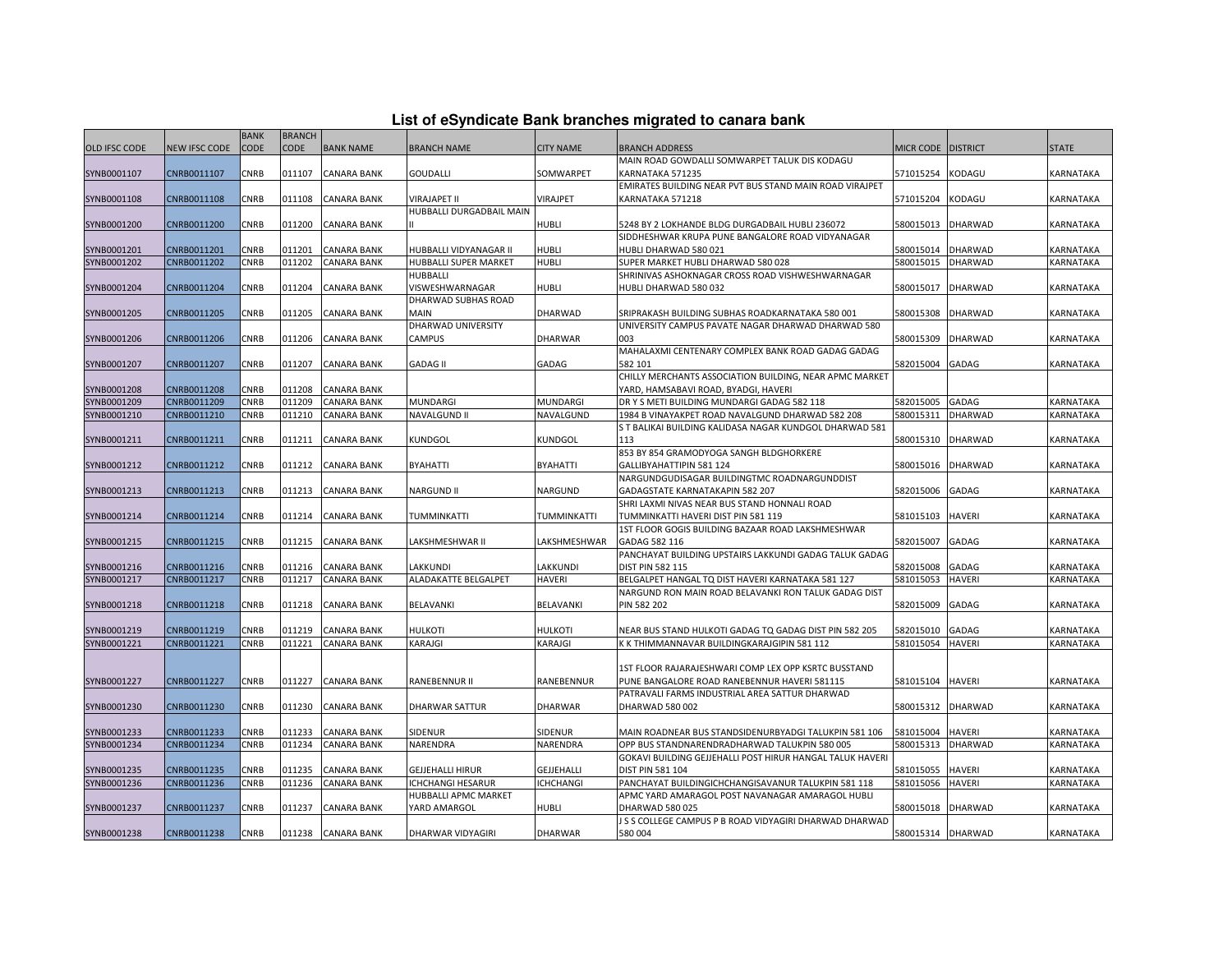| List of eSyndicate Bank branches migrated to canara bank |  |  |  |
|----------------------------------------------------------|--|--|--|
|----------------------------------------------------------|--|--|--|

|                            |                            | <b>BANK</b> | <b>BRANCH</b> |                    |                          |                  |                                                                    |                      |                |                         |
|----------------------------|----------------------------|-------------|---------------|--------------------|--------------------------|------------------|--------------------------------------------------------------------|----------------------|----------------|-------------------------|
| OLD IFSC CODE              | <b>NEW IFSC CODE</b>       | CODE        | <b>CODE</b>   | <b>BANK NAME</b>   | <b>BRANCH NAME</b>       | <b>CITY NAME</b> | <b>BRANCH ADDRESS</b>                                              | MICR CODE   DISTRICT |                | <b>STATE</b>            |
|                            |                            |             |               |                    |                          |                  | MAIN ROAD GOWDALLI SOMWARPET TALUK DIS KODAGU                      |                      |                |                         |
| SYNB0001107                | CNRB0011107                | CNRB        | 011107        | <b>CANARA BANK</b> | GOUDALLI                 | SOMWARPET        | KARNATAKA 571235                                                   | 571015254 KODAGU     |                | KARNATAKA               |
|                            |                            |             |               |                    |                          |                  | EMIRATES BUILDING NEAR PVT BUS STAND MAIN ROAD VIRAJPET            |                      |                |                         |
| SYNB0001108                | CNRB0011108                | <b>CNRB</b> | 011108        | <b>CANARA BANK</b> | VIRAJAPET II             | VIRAJPET         | KARNATAKA 571218                                                   | 571015204 KODAGU     |                | KARNATAKA               |
|                            |                            |             |               |                    | HUBBALLI DURGADBAIL MAIN |                  |                                                                    |                      |                |                         |
| SYNB0001200                | CNRB0011200                | CNRB        | 011200        | <b>CANARA BANK</b> |                          | <b>HUBLI</b>     | 5248 BY 2 LOKHANDE BLDG DURGADBAIL HUBLI 236072                    | 580015013            | <b>DHARWAD</b> | KARNATAKA               |
|                            |                            |             |               |                    |                          |                  | SIDDHESHWAR KRUPA PUNE BANGALORE ROAD VIDYANAGAR                   |                      |                |                         |
| SYNB0001201                | CNRB0011201                | <b>CNRB</b> | 011201        | <b>CANARA BANK</b> | HUBBALLI VIDYANAGAR II   | HUBLI            | HUBLI DHARWAD 580 021                                              | 580015014 DHARWAD    |                | KARNATAKA               |
| SYNB0001202                | CNRB0011202                | <b>CNRB</b> | 011202        | <b>CANARA BANK</b> | HUBBALLI SUPER MARKET    | <b>HUBLI</b>     | SUPER MARKET HUBLI DHARWAD 580 028                                 | 580015015            | <b>DHARWAD</b> | KARNATAKA               |
|                            |                            |             |               |                    | HUBBALLI                 |                  | SHRINIVAS ASHOKNAGAR CROSS ROAD VISHWESHWARNAGAR                   |                      |                |                         |
| SYNB0001204                | CNRB0011204                | <b>CNRB</b> | 011204        | CANARA BANK        | VISWESHWARNAGAR          | HUBLI            | HUBLI DHARWAD 580 032                                              | 580015017            | <b>DHARWAD</b> | KARNATAKA               |
|                            |                            |             |               |                    | DHARWAD SUBHAS ROAD      |                  |                                                                    |                      |                |                         |
| SYNB0001205                | CNRB0011205                | CNRB        | 011205        | <b>CANARA BANK</b> | MAIN                     | DHARWAD          | SRIPRAKASH BUILDING SUBHAS ROADKARNATAKA 580 001                   | 580015308            | <b>DHARWAD</b> | KARNATAKA               |
|                            |                            |             |               |                    | DHARWAD UNIVERSITY       |                  | UNIVERSITY CAMPUS PAVATE NAGAR DHARWAD DHARWAD 580                 |                      |                |                         |
| SYNB0001206                | CNRB0011206                | CNRB        | 011206        | <b>CANARA BANK</b> | CAMPUS                   | <b>DHARWAR</b>   | 003                                                                | 580015309 DHARWAD    |                | KARNATAKA               |
|                            |                            |             |               |                    |                          |                  | MAHALAXMI CENTENARY COMPLEX BANK ROAD GADAG GADAG                  |                      |                |                         |
| SYNB0001207                | CNRB0011207                | <b>CNRB</b> | 011207        | <b>CANARA BANK</b> | <b>GADAG II</b>          | GADAG            | 582 101                                                            | 582015004            | GADAG          | KARNATAKA               |
|                            |                            |             |               |                    |                          |                  | CHILLY MERCHANTS ASSOCIATION BUILDING, NEAR APMC MARKET            |                      |                |                         |
| SYNB0001208                | CNRB0011208                | <b>CNRB</b> | 011208        | <b>CANARA BANK</b> |                          |                  | YARD, HAMSABAVI ROAD, BYADGI, HAVERI                               |                      |                |                         |
| SYNB0001209                | CNRB0011209                | CNRB        | 011209        | <b>CANARA BANK</b> | MUNDARGI                 | MUNDARGI         | DRYS METI BUILDING MUNDARGI GADAG 582 118                          | 582015005            | <b>GADAG</b>   | KARNATAKA               |
| SYNB0001210                | CNRB0011210                | CNRB        | 011210        | <b>CANARA BANK</b> | NAVALGUND II             | NAVALGUND        | 1984 B VINAYAKPET ROAD NAVALGUND DHARWAD 582 208                   | 580015311            | DHARWAD        | KARNATAKA               |
|                            |                            |             |               |                    |                          |                  | ST BALIKAI BUILDING KALIDASA NAGAR KUNDGOL DHARWAD 581             |                      |                |                         |
| SYNB0001211                | CNRB0011211                | <b>CNRB</b> | 011211        | <b>CANARA BANK</b> | KUNDGOL                  | KUNDGOL          | 113                                                                | 580015310 DHARWAD    |                | KARNATAKA               |
|                            |                            |             |               |                    |                          |                  | 853 BY 854 GRAMODYOGA SANGH BLDGHORKERE                            |                      |                |                         |
| SYNB0001212                | CNRB0011212                | <b>CNRB</b> | 011212        | <b>CANARA BANK</b> | BYAHATTI                 | BYAHATTI         | GALLIBYAHATTIPIN 581 124                                           | 580015016 DHARWAD    |                | KARNATAKA               |
|                            |                            |             |               |                    |                          |                  | NARGUNDGUDISAGAR BUILDINGTMC ROADNARGUNDDIST                       |                      |                |                         |
| SYNB0001213                | CNRB0011213                | <b>CNRB</b> | 011213        | <b>CANARA BANK</b> | <b>NARGUND II</b>        | NARGUND          | GADAGSTATE KARNATAKAPIN 582 207                                    | 582015006            | GADAG          | KARNATAKA               |
|                            |                            | CNRB        | 011214        | <b>CANARA BANK</b> |                          |                  | SHRI LAXMI NIVAS NEAR BUS STAND HONNALI ROAD                       | 581015103            | <b>HAVERI</b>  | <b><i>CARNATAKA</i></b> |
| SYNB0001214                | CNRB0011214                |             |               |                    | TUMMINKATTI              | TUMMINKATTI      | TUMMINKATTI HAVERI DIST PIN 581 119                                |                      |                |                         |
|                            | CNRB0011215                | <b>CNRB</b> | 011215        | <b>CANARA BANK</b> | LAKSHMESHWAR II          | LAKSHMESHWAR     | 1ST FLOOR GOGIS BUILDING BAZAAR ROAD LAKSHMESHWAR<br>GADAG 582 116 | 582015007            | <b>GADAG</b>   | KARNATAKA               |
| SYNB0001215                |                            |             |               |                    |                          |                  | PANCHAYAT BUILDING UPSTAIRS LAKKUNDI GADAG TALUK GADAG             |                      |                |                         |
|                            |                            | CNRB        | 011216        | <b>CANARA BANK</b> | LAKKUNDI                 | LAKKUNDI         | DIST PIN 582 115                                                   | 582015008            | GADAG          |                         |
| SYNB0001216<br>SYNB0001217 | CNRB0011216<br>CNRB0011217 | CNRB        | 011217        | <b>CANARA BANK</b> | ALADAKATTE BELGALPET     | <b>HAVERI</b>    | BELGALPET HANGAL TQ DIST HAVERI KARNATAKA 581 127                  | 581015053            | HAVERI         | KARNATAKA<br>KARNATAKA  |
|                            |                            |             |               |                    |                          |                  | NARGUND RON MAIN ROAD BELAVANKI RON TALUK GADAG DIST               |                      |                |                         |
| SYNB0001218                | CNRB0011218                | <b>CNRB</b> | 011218        | <b>CANARA BANK</b> | BELAVANKI                | BELAVANKI        | PIN 582 202                                                        | 582015009            | GADAG          | KARNATAKA               |
|                            |                            |             |               |                    |                          |                  |                                                                    |                      |                |                         |
| SYNB0001219                | CNRB0011219                | <b>CNRB</b> | 011219        | <b>CANARA BANK</b> | HULKOTI                  | <b>HULKOTI</b>   | NEAR BUS STAND HULKOTI GADAG TQ GADAG DIST PIN 582 205             | 582015010            | GADAG          | KARNATAKA               |
| SYNB0001221                | CNRB0011221                | CNRB        | 011221        | <b>CANARA BANK</b> | KARAJGI                  | KARAJGI          | K K THIMMANNAVAR BUILDINGKARAJGIPIN 581 112                        | 581015054            | <b>HAVERI</b>  | KARNATAKA               |
|                            |                            |             |               |                    |                          |                  |                                                                    |                      |                |                         |
|                            |                            |             |               |                    |                          |                  | 1ST FLOOR RAJARAJESHWARI COMP LEX OPP KSRTC BUSSTAND               |                      |                |                         |
| SYNB0001227                | CNRB0011227                | <b>CNRB</b> | 011227        | <b>CANARA BANK</b> | RANEBENNUR II            | RANEBENNUR       | PUNE BANGALORE ROAD RANEBENNUR HAVERI 581115                       | 581015104            | <b>HAVERI</b>  | KARNATAKA               |
|                            |                            |             |               |                    |                          |                  | PATRAVALI FARMS INDUSTRIAL AREA SATTUR DHARWAD                     |                      |                |                         |
| SYNB0001230                | CNRB0011230                | CNRB        | 011230        | <b>CANARA BANK</b> | DHARWAR SATTUR           | <b>DHARWAR</b>   | DHARWAD 580 002                                                    | 580015312 DHARWAD    |                | KARNATAKA               |
|                            |                            |             |               |                    |                          |                  |                                                                    |                      |                |                         |
| SYNB0001233                | CNRB0011233                | <b>CNRB</b> | 011233        | <b>CANARA BANK</b> | SIDENUR                  | SIDENUR          | MAIN ROADNEAR BUS STANDSIDENURBYADGI TALUKPIN 581 106              | 581015004            | <b>HAVERI</b>  | KARNATAKA               |
| SYNB0001234                | CNRB0011234                | CNRB        | 011234        | <b>CANARA BANK</b> | NARENDRA                 | NARENDRA         | OPP BUS STANDNARENDRADHARWAD TALUKPIN 580 005                      | 580015313            | <b>DHARWAD</b> | KARNATAKA               |
|                            |                            |             |               |                    |                          |                  | GOKAVI BUILDING GEJJEHALLI POST HIRUR HANGAL TALUK HAVERI          |                      |                |                         |
| SYNB0001235                | CNRB0011235                | CNRB        | 011235        | <b>CANARA BANK</b> | <b>GEJJEHALLI HIRUR</b>  | GEJJEHALLI       | DIST PIN 581 104                                                   | 581015055            | <b>HAVERI</b>  | KARNATAKA               |
| SYNB0001236                | CNRB0011236                | <b>CNRB</b> | 011236        | <b>CANARA BANK</b> | ICHCHANGI HESARUR        | <b>ICHCHANGI</b> | PANCHAYAT BUILDINGICHCHANGISAVANUR TALUKPIN 581 118                | 581015056            | <b>HAVERI</b>  | KARNATAKA               |
|                            |                            |             |               |                    | HUBBALLI APMC MARKET     |                  | APMC YARD AMARAGOL POST NAVANAGAR AMARAGOL HUBLI                   |                      |                |                         |
| SYNB0001237                | CNRB0011237                | <b>CNRB</b> | 011237        | <b>CANARA BANK</b> | YARD AMARGOL             | HUBLI            | DHARWAD 580 025                                                    | 580015018            | <b>DHARWAD</b> | KARNATAKA               |
|                            |                            |             |               |                    |                          |                  | J S S COLLEGE CAMPUS P B ROAD VIDYAGIRI DHARWAD DHARWAD            |                      |                |                         |
| SYNB0001238                | CNRB0011238                | <b>CNRB</b> | 011238        | <b>CANARA BANK</b> | DHARWAR VIDYAGIRI        | <b>DHARWAR</b>   | 580 004                                                            | 580015314 DHARWAD    |                | KARNATAKA               |
|                            |                            |             |               |                    |                          |                  |                                                                    |                      |                |                         |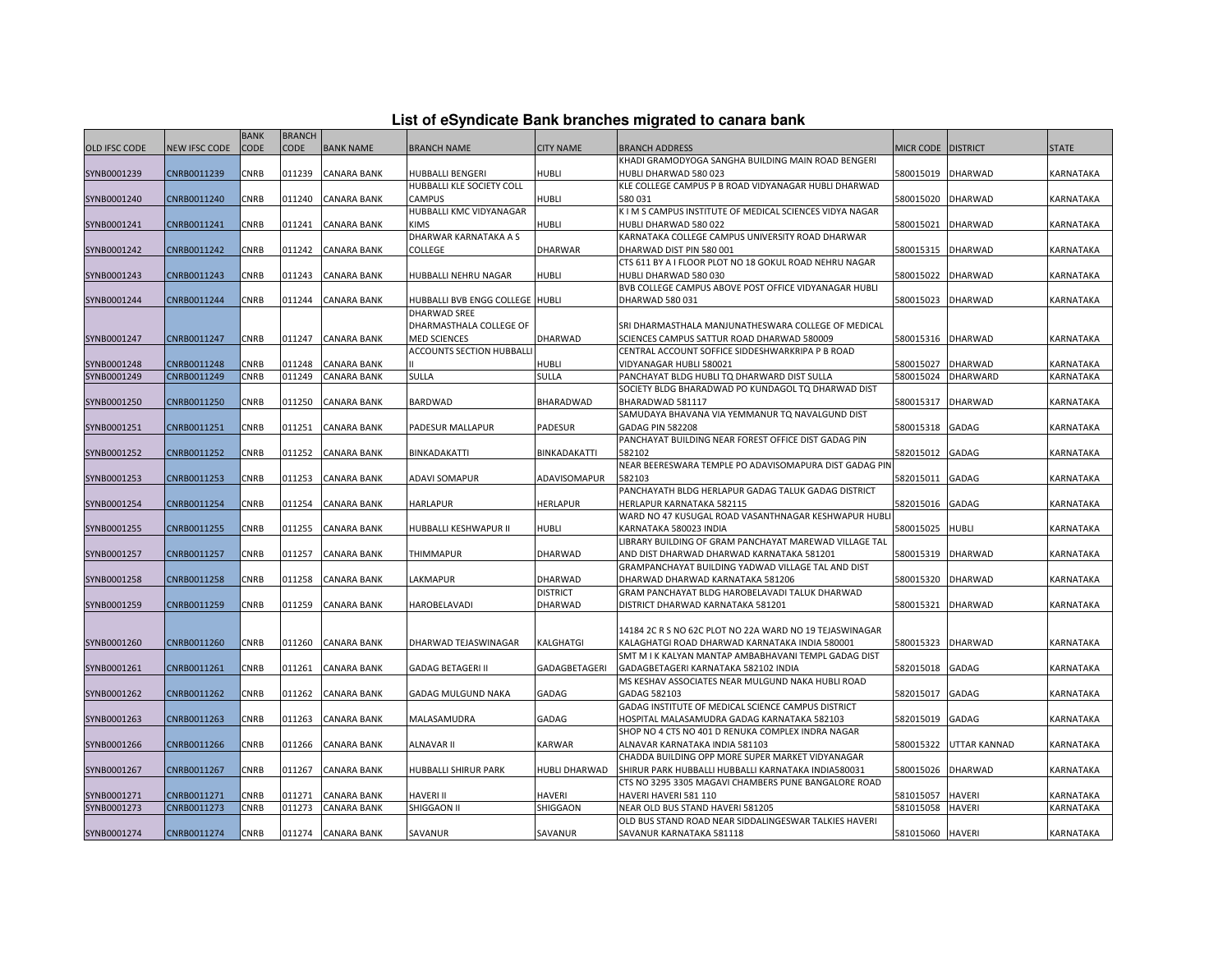| List of eSyndicate Bank branches migrated to canara bank |  |  |  |
|----------------------------------------------------------|--|--|--|
|----------------------------------------------------------|--|--|--|

|                      |                      | <b>BANK</b> | <b>BRANCH</b> |                    |                                 |                  |                                                          |                    |                     |                  |
|----------------------|----------------------|-------------|---------------|--------------------|---------------------------------|------------------|----------------------------------------------------------|--------------------|---------------------|------------------|
| <b>OLD IFSC CODE</b> | <b>NEW IFSC CODE</b> | CODE        | <b>CODE</b>   | <b>BANK NAME</b>   | <b>BRANCH NAME</b>              | <b>CITY NAME</b> | <b>BRANCH ADDRESS</b>                                    | MICR CODE DISTRICT |                     | <b>STATE</b>     |
|                      |                      |             |               |                    |                                 |                  | KHADI GRAMODYOGA SANGHA BUILDING MAIN ROAD BENGERI       |                    |                     |                  |
| SYNB0001239          | CNRB0011239          | CNRB        | 011239        | <b>CANARA BANK</b> | HUBBALLI BENGERI                | <b>HUBLI</b>     | HUBLI DHARWAD 580 023                                    | 580015019 DHARWAD  |                     | KARNATAKA        |
|                      |                      |             |               |                    | HUBBALLI KLE SOCIETY COLL       |                  | KLE COLLEGE CAMPUS P B ROAD VIDYANAGAR HUBLI DHARWAD     |                    |                     |                  |
| SYNB0001240          | CNRB0011240          | CNRB        | 011240        | <b>CANARA BANK</b> | <b>CAMPUS</b>                   | HUBLI            | 580031                                                   | 580015020          | <b>DHARWAD</b>      | KARNATAKA        |
|                      |                      |             |               |                    | HUBBALLI KMC VIDYANAGAR         |                  | K I M S CAMPUS INSTITUTE OF MEDICAL SCIENCES VIDYA NAGAR |                    |                     |                  |
| SYNB0001241          | CNRB0011241          | CNRB        | 011241        | <b>CANARA BANK</b> | <b>KIMS</b>                     | HUBLI            | HUBLI DHARWAD 580 022                                    | 580015021          | <b>DHARWAD</b>      | KARNATAKA        |
|                      |                      |             |               |                    | DHARWAR KARNATAKA A S           |                  | KARNATAKA COLLEGE CAMPUS UNIVERSITY ROAD DHARWAR         |                    |                     |                  |
| SYNB0001242          | CNRB0011242          | CNRB        | 011242        | <b>CANARA BANK</b> | COLLEGE                         | <b>DHARWAR</b>   | DHARWAD DIST PIN 580 001                                 | 580015315          | <b>DHARWAD</b>      | KARNATAKA        |
|                      |                      |             |               |                    |                                 |                  | CTS 611 BY A I FLOOR PLOT NO 18 GOKUL ROAD NEHRU NAGAR   |                    |                     |                  |
| SYNB0001243          | CNRB0011243          | CNRB        | 011243        | <b>CANARA BANK</b> | HUBBALLI NEHRU NAGAR            | HUBLI            | HUBLI DHARWAD 580 030                                    | 580015022          | <b>DHARWAD</b>      | KARNATAKA        |
|                      |                      |             |               |                    |                                 |                  | BVB COLLEGE CAMPUS ABOVE POST OFFICE VIDYANAGAR HUBLI    |                    |                     |                  |
| SYNB0001244          | CNRB0011244          | CNRB        | 011244        | <b>CANARA BANK</b> | HUBBALLI BVB ENGG COLLEGE HUBLI |                  | DHARWAD 580 031                                          | 580015023          | <b>DHARWAD</b>      | KARNATAKA        |
|                      |                      |             |               |                    | DHARWAD SREE                    |                  |                                                          |                    |                     |                  |
|                      |                      |             |               |                    | DHARMASTHALA COLLEGE OF         |                  | SRI DHARMASTHALA MANJUNATHESWARA COLLEGE OF MEDICAL      |                    |                     |                  |
| SYNB0001247          | CNRB0011247          | CNRB        | 011247        | <b>CANARA BANK</b> | <b>MED SCIENCES</b>             | DHARWAD          | SCIENCES CAMPUS SATTUR ROAD DHARWAD 580009               | 580015316 DHARWAD  |                     | KARNATAKA        |
|                      |                      |             |               |                    | ACCOUNTS SECTION HUBBALLI       |                  | CENTRAL ACCOUNT SOFFICE SIDDESHWARKRIPA P B ROAD         |                    |                     |                  |
| SYNB0001248          | CNRB0011248          | CNRB        | 011248        | <b>CANARA BANK</b> |                                 | HUBLI            | VIDYANAGAR HUBLI 580021                                  | 580015027          | <b>DHARWAD</b>      | KARNATAKA        |
| SYNB0001249          | CNRB0011249          | CNRB        | 011249        | <b>CANARA BANK</b> | SULLA                           | SULLA            | PANCHAYAT BLDG HUBLI TQ DHARWARD DIST SULLA              | 580015024          | <b>DHARWARD</b>     | KARNATAKA        |
|                      |                      |             |               |                    |                                 |                  | SOCIETY BLDG BHARADWAD PO KUNDAGOL TQ DHARWAD DIST       |                    |                     |                  |
| SYNB0001250          | CNRB0011250          | CNRB        | 011250        | <b>CANARA BANK</b> | BARDWAD                         | BHARADWAD        | BHARADWAD 581117                                         | 580015317          | <b>DHARWAD</b>      | KARNATAKA        |
|                      |                      |             |               |                    |                                 |                  | SAMUDAYA BHAVANA VIA YEMMANUR TQ NAVALGUND DIST          |                    |                     |                  |
| SYNB0001251          | CNRB0011251          | CNRB        | 011251        | <b>CANARA BANK</b> | PADESUR MALLAPUR                | <b>PADESUR</b>   | GADAG PIN 582208                                         | 580015318          | <b>GADAG</b>        | KARNATAKA        |
|                      |                      |             |               |                    |                                 |                  | PANCHAYAT BUILDING NEAR FOREST OFFICE DIST GADAG PIN     |                    |                     |                  |
| SYNB0001252          | CNRB0011252          | CNRB        | 011252        | <b>CANARA BANK</b> | BINKADAKATTI                    | BINKADAKATTI     | 582102                                                   | 582015012          | <b>GADAG</b>        | KARNATAKA        |
|                      |                      |             |               |                    |                                 |                  | NEAR BEERESWARA TEMPLE PO ADAVISOMAPURA DIST GADAG PIN   |                    |                     |                  |
| SYNB0001253          | CNRB0011253          | CNRB        | 011253        | <b>CANARA BANK</b> | ADAVI SOMAPUR                   | ADAVISOMAPUR     | 582103                                                   | 582015011          | GADAG               | KARNATAKA        |
|                      |                      |             |               |                    |                                 |                  | PANCHAYATH BLDG HERLAPUR GADAG TALUK GADAG DISTRICT      |                    |                     |                  |
| SYNB0001254          | CNRB0011254          | CNRB        | 011254        | <b>CANARA BANK</b> | <b>HARLAPUR</b>                 | <b>HERLAPUR</b>  | HERLAPUR KARNATAKA 582115                                | 582015016          | <b>GADAG</b>        | KARNATAKA        |
|                      |                      |             |               |                    |                                 |                  | WARD NO 47 KUSUGAL ROAD VASANTHNAGAR KESHWAPUR HUBL      |                    |                     |                  |
| SYNB0001255          | CNRB0011255          | CNRB        | 011255        | <b>CANARA BANK</b> | HUBBALLI KESHWAPUR II           | HUBLI            | KARNATAKA 580023 INDIA                                   | 580015025          | <b>HUBLI</b>        | KARNATAKA        |
|                      |                      |             |               |                    |                                 |                  | LIBRARY BUILDING OF GRAM PANCHAYAT MAREWAD VILLAGE TAL   |                    |                     |                  |
| SYNB0001257          | CNRB0011257          | <b>CNRB</b> | 011257        | <b>CANARA BANK</b> | <b>THIMMAPUR</b>                | <b>DHARWAD</b>   | AND DIST DHARWAD DHARWAD KARNATAKA 581201                | 580015319          | <b>DHARWAD</b>      | KARNATAKA        |
|                      |                      |             |               |                    |                                 |                  | GRAMPANCHAYAT BUILDING YADWAD VILLAGE TAL AND DIST       |                    |                     |                  |
| SYNB0001258          | CNRB0011258          | CNRB        | 011258        | <b>CANARA BANK</b> | LAKMAPUR                        | DHARWAD          | DHARWAD DHARWAD KARNATAKA 581206                         | 580015320          | <b>DHARWAD</b>      | KARNATAKA        |
|                      |                      |             |               |                    |                                 | <b>DISTRICT</b>  | GRAM PANCHAYAT BLDG HAROBELAVADI TALUK DHARWAD           |                    |                     |                  |
| SYNB0001259          | CNRB0011259          | CNRB        | 011259        | <b>CANARA BANK</b> | HAROBELAVADI                    | DHARWAD          | DISTRICT DHARWAD KARNATAKA 581201                        | 580015321          | <b>DHARWAD</b>      | KARNATAKA        |
|                      |                      |             |               |                    |                                 |                  |                                                          |                    |                     |                  |
|                      |                      |             |               |                    |                                 |                  | 14184 2C R S NO 62C PLOT NO 22A WARD NO 19 TEJASWINAGAR  |                    |                     |                  |
| SYNB0001260          | CNRB0011260          | CNRB        | 011260        | <b>CANARA BANK</b> | DHARWAD TEJASWINAGAR            | KALGHATGI        | KALAGHATGI ROAD DHARWAD KARNATAKA INDIA 580001           | 580015323          | <b>DHARWAD</b>      | KARNATAKA        |
|                      |                      |             |               |                    |                                 |                  | SMT M I K KALYAN MANTAP AMBABHAVANI TEMPL GADAG DIST     |                    |                     |                  |
| SYNB0001261          | CNRB0011261          | <b>CNRB</b> | 011261        | <b>CANARA BANK</b> | <b>GADAG BETAGERI II</b>        | GADAGBETAGERI    | GADAGBETAGERI KARNATAKA 582102 INDIA                     | 582015018          | <b>GADAG</b>        | <b>KARNATAKA</b> |
|                      |                      |             |               |                    |                                 |                  | MS KESHAV ASSOCIATES NEAR MULGUND NAKA HUBLI ROAD        |                    |                     |                  |
| SYNB0001262          | CNRB0011262          | CNRB        | 011262        | <b>CANARA BANK</b> | GADAG MULGUND NAKA              | GADAG            | GADAG 582103                                             | 582015017          | GADAG               | KARNATAKA        |
|                      |                      |             |               |                    |                                 |                  | GADAG INSTITUTE OF MEDICAL SCIENCE CAMPUS DISTRICT       |                    |                     |                  |
| SYNB0001263          | CNRB0011263          | CNRB        | 011263        | <b>CANARA BANK</b> | MALASAMUDRA                     | GADAG            | HOSPITAL MALASAMUDRA GADAG KARNATAKA 582103              | 582015019          | GADAG               | KARNATAKA        |
|                      |                      |             |               |                    |                                 |                  | SHOP NO 4 CTS NO 401 D RENUKA COMPLEX INDRA NAGAR        |                    |                     |                  |
| SYNB0001266          | CNRB0011266          | <b>CNRB</b> | 011266        | <b>CANARA BANK</b> | <b>ALNAVAR II</b>               | <b>KARWAR</b>    | ALNAVAR KARNATAKA INDIA 581103                           | 580015322          | <b>UTTAR KANNAD</b> | <b>KARNATAKA</b> |
|                      |                      |             |               |                    |                                 |                  | CHADDA BUILDING OPP MORE SUPER MARKET VIDYANAGAR         |                    |                     |                  |
| SYNB0001267          | CNRB0011267          | CNRB        | 011267        | <b>CANARA BANK</b> | HUBBALLI SHIRUR PARK            | HUBLI DHARWAD    | SHIRUR PARK HUBBALLI HUBBALLI KARNATAKA INDIA580031      | 580015026          | <b>DHARWAD</b>      | KARNATAKA        |
|                      |                      |             |               |                    |                                 |                  | CTS NO 3295 3305 MAGAVI CHAMBERS PUNE BANGALORE ROAD     |                    |                     |                  |
| SYNB0001271          | CNRB0011271          | CNRB        | 011271        | <b>CANARA BANK</b> | HAVERI II                       | HAVERI           | HAVERI HAVERI 581 110                                    | 581015057          | <b>HAVERI</b>       | KARNATAKA        |
| SYNB0001273          | CNRB0011273          | CNRB        | 011273        | <b>CANARA BANK</b> | SHIGGAON II                     | SHIGGAON         | NEAR OLD BUS STAND HAVERI 581205                         | 581015058          | <b>HAVERI</b>       | KARNATAKA        |
|                      |                      |             |               |                    |                                 |                  | OLD BUS STAND ROAD NEAR SIDDALINGESWAR TALKIES HAVERI    |                    |                     |                  |
| SYNB0001274          | CNRB0011274          | <b>CNRB</b> |               | 011274 CANARA BANK | SAVANUR                         | SAVANUR          | SAVANUR KARNATAKA 581118                                 | 581015060 HAVERI   |                     | KARNATAKA        |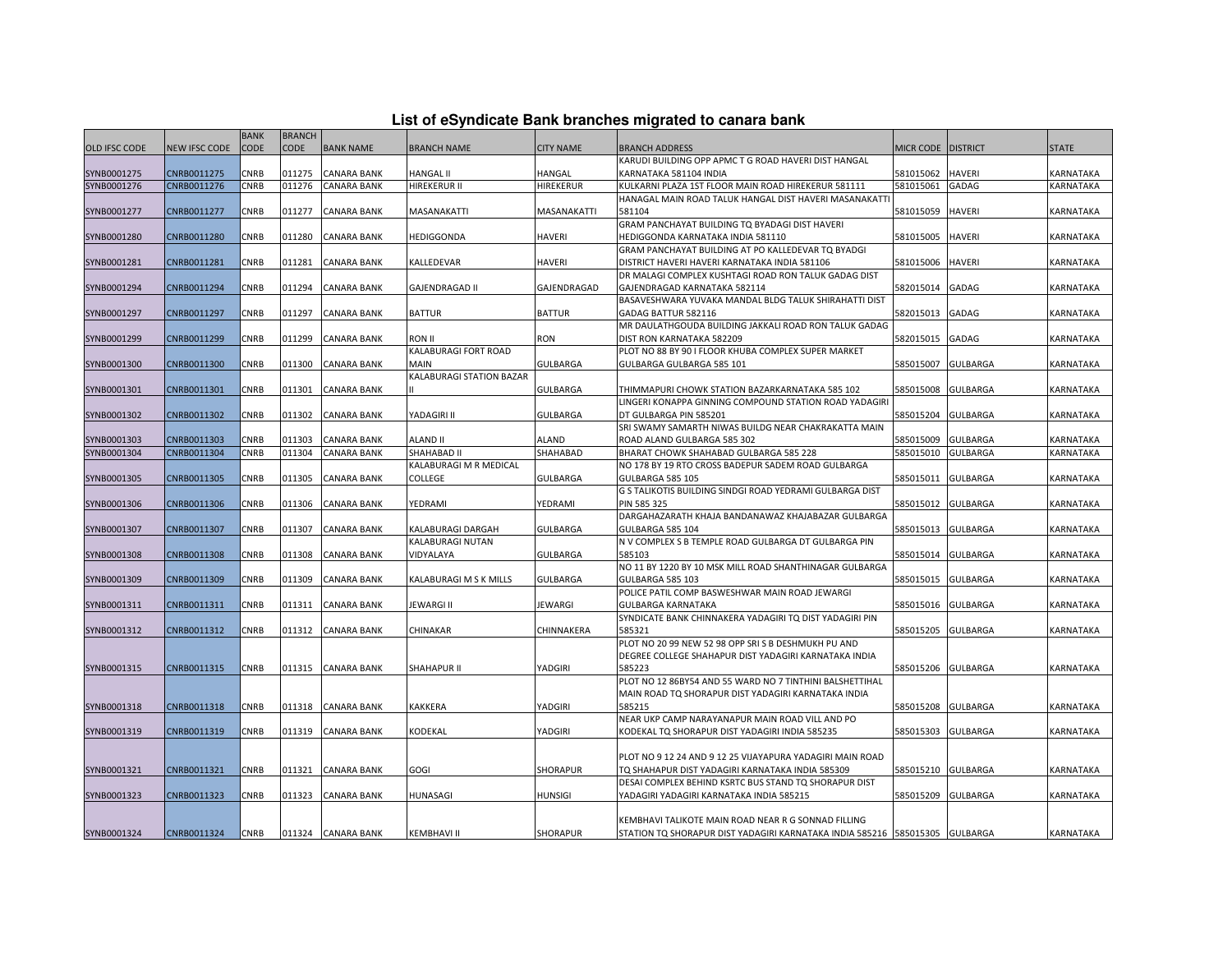|  |  | List of eSyndicate Bank branches migrated to canara bank |  |
|--|--|----------------------------------------------------------|--|
|--|--|----------------------------------------------------------|--|

|                      |               | <b>BANK</b> | <b>BRANCH</b> |                    |                          |                  |                                                                                                             |                  |                 |                  |
|----------------------|---------------|-------------|---------------|--------------------|--------------------------|------------------|-------------------------------------------------------------------------------------------------------------|------------------|-----------------|------------------|
| <b>OLD IFSC CODE</b> | NEW IFSC CODE | <b>CODE</b> | <b>CODE</b>   | <b>BANK NAME</b>   | <b>BRANCH NAME</b>       | <b>CITY NAME</b> | <b>BRANCH ADDRESS</b>                                                                                       | <b>MICR CODE</b> | <b>DISTRICT</b> | <b>STATE</b>     |
|                      |               |             |               |                    |                          |                  | KARUDI BUILDING OPP APMC T G ROAD HAVERI DIST HANGAL                                                        |                  |                 |                  |
| SYNB0001275          | CNRB0011275   | CNRB        | 011275        | <b>CANARA BANK</b> | <b>HANGAL II</b>         | HANGAL           | KARNATAKA 581104 INDIA                                                                                      | 581015062        | <b>HAVERI</b>   | KARNATAKA        |
| SYNB0001276          | CNRB0011276   | CNRB        | 011276        | CANARA BANK        | HIREKERUR II             | <b>HIREKERUR</b> | KULKARNI PLAZA 1ST FLOOR MAIN ROAD HIREKERUR 581111                                                         | 581015061        | GADAG           | KARNATAKA        |
|                      |               |             |               |                    |                          |                  | HANAGAL MAIN ROAD TALUK HANGAL DIST HAVERI MASANAKATT                                                       |                  |                 |                  |
| SYNB0001277          | CNRB0011277   | CNRB        | 011277        | <b>CANARA BANK</b> | MASANAKATTI              | MASANAKATTI      | 581104                                                                                                      | 581015059        | <b>HAVERI</b>   | KARNATAKA        |
|                      |               |             |               |                    |                          |                  | GRAM PANCHAYAT BUILDING TO BYADAGI DIST HAVERI                                                              |                  |                 |                  |
| SYNB0001280          | CNRB0011280   | CNRB        | 011280        | <b>CANARA BANK</b> | HEDIGGONDA               | <b>HAVERI</b>    | HEDIGGONDA KARNATAKA INDIA 581110                                                                           | 581015005        | <b>HAVERI</b>   | <b>KARNATAKA</b> |
|                      |               |             |               |                    |                          |                  | GRAM PANCHAYAT BUILDING AT PO KALLEDEVAR TO BYADGI                                                          |                  |                 |                  |
| SYNB0001281          | CNRB0011281   | CNRB        | 011281        | <b>CANARA BANK</b> | KALLEDEVAR               | HAVERI           | DISTRICT HAVERI HAVERI KARNATAKA INDIA 581106                                                               | 581015006        | <b>HAVERI</b>   | KARNATAKA        |
|                      |               |             |               |                    |                          |                  | DR MALAGI COMPLEX KUSHTAGI ROAD RON TALUK GADAG DIST                                                        |                  |                 |                  |
| SYNB0001294          | CNRB0011294   | CNRB        | 011294        | <b>CANARA BANK</b> | <b>GAJENDRAGAD II</b>    | GAJENDRAGAD      | GAJENDRAGAD KARNATAKA 582114                                                                                | 582015014        | GADAG           | KARNATAKA        |
|                      |               |             |               |                    |                          |                  | BASAVESHWARA YUVAKA MANDAL BLDG TALUK SHIRAHATTI DIST                                                       |                  |                 |                  |
| SYNB0001297          | CNRB0011297   | CNRB        | 011297        | <b>CANARA BANK</b> | <b>BATTUR</b>            | <b>BATTUR</b>    | GADAG BATTUR 582116                                                                                         | 582015013        | GADAG           | KARNATAKA        |
|                      |               |             |               |                    |                          |                  | MR DAULATHGOUDA BUILDING JAKKALI ROAD RON TALUK GADAG                                                       |                  |                 |                  |
| SYNB0001299          | CNRB0011299   | CNRB        | 011299        | CANARA BANK        | ron II                   | RON              | DIST RON KARNATAKA 582209                                                                                   | 582015015        | GADAG           | KARNATAKA        |
|                      |               |             |               |                    | KALABURAGI FORT ROAD     |                  | PLOT NO 88 BY 90 I FLOOR KHUBA COMPLEX SUPER MARKET                                                         |                  |                 |                  |
| SYNB0001300          | CNRB0011300   | CNRB        | 011300        | <b>CANARA BANK</b> | MAIN                     | <b>GULBARGA</b>  | GULBARGA GULBARGA 585 101                                                                                   | 585015007        | <b>GULBARGA</b> | KARNATAKA        |
|                      |               |             |               |                    | KALABURAGI STATION BAZAR |                  |                                                                                                             |                  |                 |                  |
| SYNB0001301          | CNRB0011301   | CNRB        | 011301        | <b>CANARA BANK</b> |                          | GULBARGA         | THIMMAPURI CHOWK STATION BAZARKARNATAKA 585 102                                                             | 585015008        | <b>GULBARGA</b> | KARNATAKA        |
|                      |               |             |               |                    |                          |                  | LINGERI KONAPPA GINNING COMPOUND STATION ROAD YADAGIRI                                                      |                  |                 |                  |
| SYNB0001302          | CNRB0011302   | CNRB        | 011302        | <b>CANARA BANK</b> | YADAGIRI II              | GULBARGA         | DT GULBARGA PIN 585201                                                                                      | 585015204        | <b>GULBARGA</b> | KARNATAKA        |
|                      |               |             |               |                    |                          |                  | SRI SWAMY SAMARTH NIWAS BUILDG NEAR CHAKRAKATTA MAIN                                                        |                  |                 |                  |
| SYNB0001303          | CNRB0011303   | CNRB        | 011303        | <b>CANARA BANK</b> | ALAND II                 | ALAND            | ROAD ALAND GULBARGA 585 302                                                                                 | 585015009        | <b>GULBARGA</b> | KARNATAKA        |
| SYNB0001304          | CNRB0011304   | CNRB        | 011304        | <b>CANARA BANK</b> | SHAHABAD II              | SHAHABAD         | BHARAT CHOWK SHAHABAD GULBARGA 585 228                                                                      | 585015010        | <b>GULBARGA</b> | KARNATAKA        |
|                      |               |             |               |                    | KALABURAGI M R MEDICAL   |                  | NO 178 BY 19 RTO CROSS BADEPUR SADEM ROAD GULBARGA                                                          |                  |                 |                  |
| SYNB0001305          | CNRB0011305   | CNRB        | 011305        | <b>CANARA BANK</b> | COLLEGE                  | <b>GULBARGA</b>  | GULBARGA 585 105                                                                                            | 585015011        | <b>GULBARGA</b> | KARNATAKA        |
|                      |               |             |               |                    |                          |                  | G S TALIKOTIS BUILDING SINDGI ROAD YEDRAMI GULBARGA DIST                                                    |                  |                 |                  |
| SYNB0001306          | CNRB0011306   | CNRB        | 011306        | <b>CANARA BANK</b> | YEDRAMI                  | YEDRAMI          | <b>PIN 585 325</b>                                                                                          | 585015012        | <b>GULBARGA</b> | KARNATAKA        |
|                      |               |             |               |                    |                          |                  | DARGAHAZARATH KHAJA BANDANAWAZ KHAJABAZAR GULBARGA                                                          |                  |                 |                  |
| SYNB0001307          | CNRB0011307   | CNRB        | 011307        | <b>CANARA BANK</b> | KALABURAGI DARGAH        | <b>GULBARGA</b>  | GULBARGA 585 104                                                                                            | 585015013        | <b>GULBARGA</b> | KARNATAKA        |
|                      |               |             |               |                    | KALABURAGI NUTAN         |                  | N V COMPLEX S B TEMPLE ROAD GULBARGA DT GULBARGA PIN                                                        |                  |                 |                  |
| SYNB0001308          | CNRB0011308   | CNRB        | 011308        | <b>CANARA BANK</b> | VIDYALAYA                | <b>GULBARGA</b>  | 585103                                                                                                      | 585015014        | <b>GULBARGA</b> | KARNATAKA        |
|                      |               |             |               |                    |                          |                  | NO 11 BY 1220 BY 10 MSK MILL ROAD SHANTHINAGAR GULBARGA                                                     |                  |                 |                  |
| SYNB0001309          | CNRB0011309   | CNRB        | 011309        | <b>CANARA BANK</b> | KALABURAGI M S K MILLS   | GULBARGA         | <b>GULBARGA 585 103</b>                                                                                     | 585015015        | <b>GULBARGA</b> | <b>KARNATAKA</b> |
|                      |               |             |               |                    |                          |                  | POLICE PATIL COMP BASWESHWAR MAIN ROAD JEWARGI                                                              |                  |                 |                  |
| SYNB0001311          | CNRB0011311   | CNRB        | 011311        | <b>CANARA BANK</b> | JEWARGI II               | <b>JEWARGI</b>   | <b>GULBARGA KARNATAKA</b>                                                                                   | 585015016        | <b>GULBARGA</b> | KARNATAKA        |
|                      |               |             |               |                    |                          |                  | SYNDICATE BANK CHINNAKERA YADAGIRI TO DIST YADAGIRI PIN                                                     |                  |                 |                  |
| SYNB0001312          | CNRB0011312   | CNRB        | 011312        | <b>CANARA BANK</b> | CHINAKAR                 | CHINNAKERA       | 585321                                                                                                      | 585015205        | <b>GULBARGA</b> | KARNATAKA        |
|                      |               |             |               |                    |                          |                  | PLOT NO 20 99 NEW 52 98 OPP SRIS B DESHMUKH PU AND<br>DEGREE COLLEGE SHAHAPUR DIST YADAGIRI KARNATAKA INDIA |                  |                 |                  |
|                      | CNRB0011315   | CNRB        | 011315        |                    | SHAHAPUR II              |                  | 585223                                                                                                      |                  |                 | KARNATAKA        |
| SYNB0001315          |               |             |               | <b>CANARA BANK</b> |                          | YADGIRI          | PLOT NO 12 86BY54 AND 55 WARD NO 7 TINTHINI BALSHETTIHAL                                                    | 585015206        | <b>GULBARGA</b> |                  |
|                      |               |             |               |                    |                          |                  | MAIN ROAD TQ SHORAPUR DIST YADAGIRI KARNATAKA INDIA                                                         |                  |                 |                  |
| SYNB0001318          | CNRB0011318   | CNRB        | 011318        | <b>CANARA BANK</b> | KAKKERA                  | YADGIRI          | 585215                                                                                                      | 585015208        | <b>GULBARGA</b> | <b>KARNATAKA</b> |
|                      |               |             |               |                    |                          |                  | NEAR UKP CAMP NARAYANAPUR MAIN ROAD VILL AND PO                                                             |                  |                 |                  |
| SYNB0001319          | CNRB0011319   | CNRB        | 011319        | <b>CANARA BANK</b> | KODEKAL                  | YADGIRI          | KODEKAL TQ SHORAPUR DIST YADAGIRI INDIA 585235                                                              | 585015303        | <b>GULBARGA</b> | KARNATAKA        |
|                      |               |             |               |                    |                          |                  |                                                                                                             |                  |                 |                  |
|                      |               |             |               |                    |                          |                  | PLOT NO 9 12 24 AND 9 12 25 VIJAYAPURA YADAGIRI MAIN ROAD                                                   |                  |                 |                  |
| SYNB0001321          | CNRB0011321   | CNRB        | 011321        | <b>CANARA BANK</b> | GOGI                     | SHORAPUR         | TQ SHAHAPUR DIST YADAGIRI KARNATAKA INDIA 585309                                                            | 585015210        | <b>GULBARGA</b> | KARNATAKA        |
|                      |               |             |               |                    |                          |                  | DESAI COMPLEX BEHIND KSRTC BUS STAND TO SHORAPUR DIST                                                       |                  |                 |                  |
| SYNB0001323          | CNRB0011323   | CNRB        | 011323        | <b>CANARA BANK</b> | HUNASAGI                 | HUNSIGI          | YADAGIRI YADAGIRI KARNATAKA INDIA 585215                                                                    | 585015209        | <b>GULBARGA</b> | KARNATAKA        |
|                      |               |             |               |                    |                          |                  |                                                                                                             |                  |                 |                  |
|                      |               |             |               |                    |                          |                  | KEMBHAVI TALIKOTE MAIN ROAD NEAR R G SONNAD FILLING                                                         |                  |                 |                  |
| SYNB0001324          | CNRB0011324   | CNRB        |               | 011324 CANARA BANK | KEMBHAVI II              | <b>SHORAPUR</b>  | STATION TO SHORAPUR DIST YADAGIRI KARNATAKA INDIA 585216 585015305 GULBARGA                                 |                  |                 | KARNATAKA        |
|                      |               |             |               |                    |                          |                  |                                                                                                             |                  |                 |                  |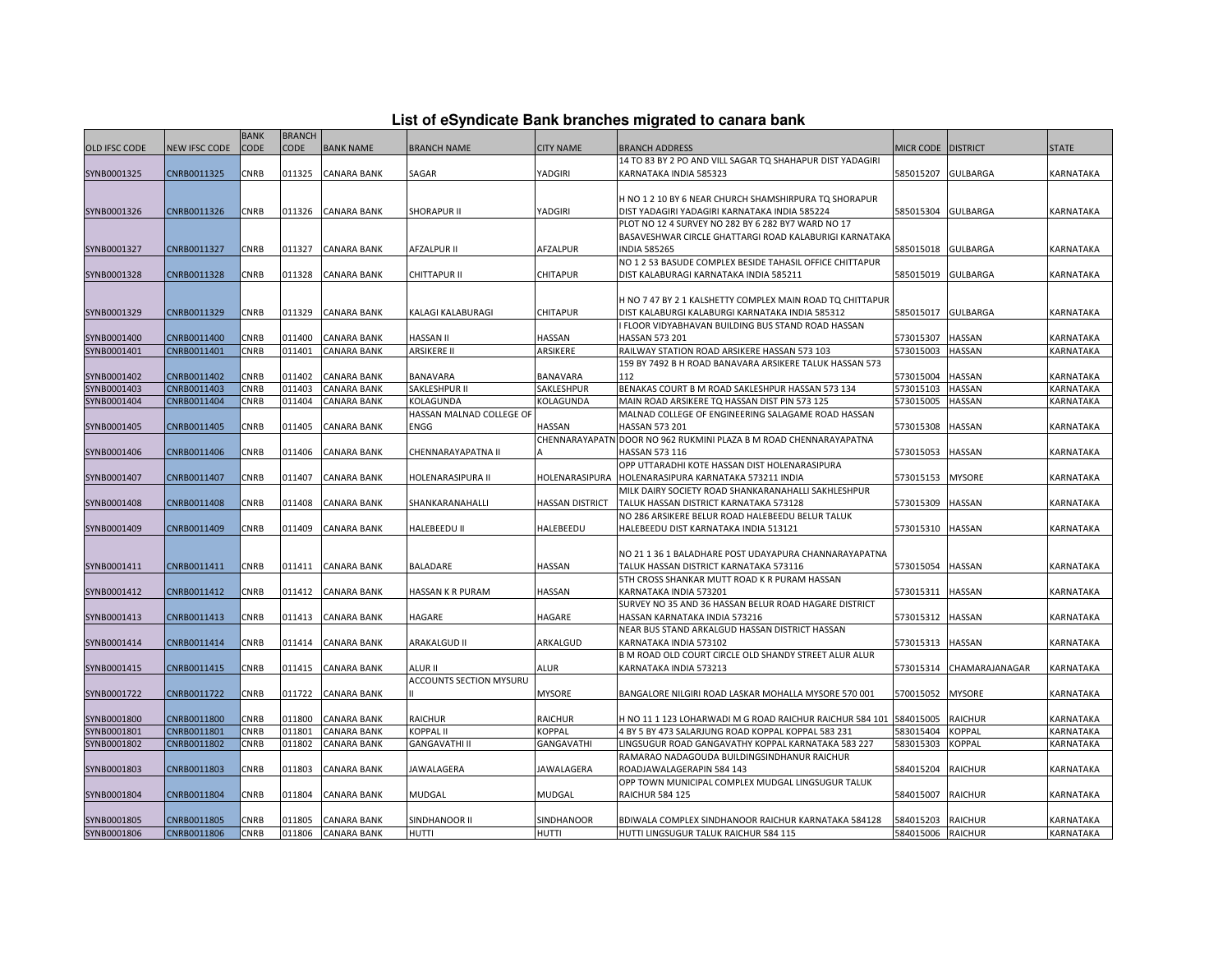| List of eSyndicate Bank branches migrated to canara bank |  |  |  |  |  |  |  |  |  |  |
|----------------------------------------------------------|--|--|--|--|--|--|--|--|--|--|
|----------------------------------------------------------|--|--|--|--|--|--|--|--|--|--|

|               |               |             |               |                    |                          |                        | List of eSyndicate Bank branches migrated to canara bank                               |                    |                 |                  |
|---------------|---------------|-------------|---------------|--------------------|--------------------------|------------------------|----------------------------------------------------------------------------------------|--------------------|-----------------|------------------|
|               |               | <b>BANK</b> | <b>BRANCH</b> |                    |                          |                        |                                                                                        |                    |                 |                  |
| OLD IFSC CODE | NEW IFSC CODE | <b>CODE</b> | <b>CODE</b>   | <b>BANK NAME</b>   | <b>BRANCH NAME</b>       | <b>CITY NAME</b>       | <b>BRANCH ADDRESS</b>                                                                  | MICR CODE DISTRICT |                 | <b>STATE</b>     |
|               |               |             |               |                    |                          |                        | 14 TO 83 BY 2 PO AND VILL SAGAR TQ SHAHAPUR DIST YADAGIRI                              |                    |                 |                  |
| SYNB0001325   | CNRB0011325   | CNRB        | 011325        | <b>CANARA BANK</b> | SAGAR                    | YADGIRI                | KARNATAKA INDIA 585323                                                                 | 585015207          | <b>GULBARGA</b> | KARNATAKA        |
|               |               |             |               |                    |                          |                        |                                                                                        |                    |                 |                  |
|               |               |             |               |                    |                          |                        | H NO 1 2 10 BY 6 NEAR CHURCH SHAMSHIRPURA TO SHORAPUR                                  |                    |                 |                  |
| SYNB0001326   | CNRB0011326   | CNRB        | 011326        | <b>CANARA BANK</b> | <b>SHORAPUR II</b>       | YADGIRI                | DIST YADAGIRI YADAGIRI KARNATAKA INDIA 585224                                          | 585015304 GULBARGA |                 | KARNATAKA        |
|               |               |             |               |                    |                          |                        | PLOT NO 12 4 SURVEY NO 282 BY 6 282 BY7 WARD NO 17                                     |                    |                 |                  |
|               |               |             |               |                    |                          |                        | BASAVESHWAR CIRCLE GHATTARGI ROAD KALABURIGI KARNATAKA                                 |                    |                 |                  |
| SYNB0001327   | CNRB0011327   | CNRB        | 011327        | <b>CANARA BANK</b> | <b>AFZALPUR II</b>       | AFZALPUR               | <b>INDIA 585265</b>                                                                    | 585015018          | <b>GULBARGA</b> | KARNATAKA        |
|               |               |             |               |                    |                          |                        | NO 1 2 53 BASUDE COMPLEX BESIDE TAHASIL OFFICE CHITTAPUR                               |                    |                 |                  |
| SYNB0001328   | CNRB0011328   | CNRB        | 011328        | CANARA BANK        | CHITTAPUR II             | CHITAPUR               | DIST KALABURAGI KARNATAKA INDIA 585211                                                 | 585015019          | <b>GULBARGA</b> | KARNATAKA        |
|               |               |             |               |                    |                          |                        |                                                                                        |                    |                 |                  |
|               |               |             |               |                    |                          |                        | H NO 7 47 BY 2 1 KALSHETTY COMPLEX MAIN ROAD TQ CHITTAPUR                              |                    |                 |                  |
| SYNB0001329   | CNRB0011329   | CNRB        | 011329        | <b>CANARA BANK</b> | KALAGI KALABURAGI        | CHITAPUR               | DIST KALABURGI KALABURGI KARNATAKA INDIA 585312                                        | 585015017          | <b>GULBARGA</b> | KARNATAKA        |
|               |               |             |               |                    |                          |                        | I FLOOR VIDYABHAVAN BUILDING BUS STAND ROAD HASSAN                                     |                    |                 |                  |
| SYNB0001400   | CNRB0011400   | CNRB        | 011400        | <b>CANARA BANK</b> | HASSAN II                | HASSAN                 | HASSAN 573 201                                                                         | 573015307          | <b>HASSAN</b>   | KARNATAKA        |
| SYNB0001401   | CNRB0011401   | CNRB        | 011401        | <b>CANARA BANK</b> | <b>ARSIKERE II</b>       | ARSIKERE               | RAILWAY STATION ROAD ARSIKERE HASSAN 573 103                                           | 573015003          | <b>HASSAN</b>   | KARNATAKA        |
|               |               |             |               |                    |                          |                        | 159 BY 7492 B H ROAD BANAVARA ARSIKERE TALUK HASSAN 573                                |                    |                 |                  |
| SYNB0001402   | CNRB0011402   | CNRB        | 011402        | <b>CANARA BANK</b> | BANAVARA                 | BANAVARA               | 112                                                                                    | 573015004          | <b>HASSAN</b>   | KARNATAKA        |
| SYNB0001403   | CNRB0011403   | <b>CNRB</b> | 011403        | <b>CANARA BANK</b> | SAKLESHPUR II            | SAKLESHPUR             | BENAKAS COURT B M ROAD SAKLESHPUR HASSAN 573 134                                       | 573015103          | <b>HASSAN</b>   | KARNATAKA        |
| SYNB0001404   | CNRB0011404   | CNRB        | 011404        | <b>CANARA BANK</b> | KOLAGUNDA                | KOLAGUNDA              | MAIN ROAD ARSIKERE TQ HASSAN DIST PIN 573 125                                          | 573015005          | <b>HASSAN</b>   | KARNATAKA        |
|               |               |             |               |                    | HASSAN MALNAD COLLEGE OF |                        | MALNAD COLLEGE OF ENGINEERING SALAGAME ROAD HASSAN                                     |                    |                 |                  |
| SYNB0001405   | CNRB0011405   | <b>CNRB</b> | 011405        | CANARA BANK        | ENGG                     | HASSAN                 | HASSAN 573 201                                                                         | 573015308          | <b>HASSAN</b>   | KARNATAKA        |
|               |               |             |               |                    |                          |                        | CHENNARAYAPATN DOOR NO 962 RUKMINI PLAZA B M ROAD CHENNARAYAPATNA                      |                    |                 |                  |
| SYNB0001406   | CNRB0011406   | CNRB        | 011406        | <b>CANARA BANK</b> | CHENNARAYAPATNA II       |                        | HASSAN 573 116                                                                         | 573015053          | <b>HASSAN</b>   | KARNATAKA        |
|               |               |             |               |                    |                          |                        | OPP UTTARADHI KOTE HASSAN DIST HOLENARASIPURA                                          |                    |                 |                  |
| SYNB0001407   | CNRB0011407   | CNRB        | 011407        | <b>CANARA BANK</b> | HOLENARASIPURA II        | HOLENARASIPURA         | HOLENARASIPURA KARNATAKA 573211 INDIA                                                  | 573015153          | <b>MYSORE</b>   | KARNATAKA        |
|               |               | CNRB        | 011408        |                    |                          |                        | MILK DAIRY SOCIETY ROAD SHANKARANAHALLI SAKHLESHPUR                                    | 573015309          |                 |                  |
| SYNB0001408   | CNRB0011408   |             |               | CANARA BANK        | SHANKARANAHALLI          | <b>HASSAN DISTRICT</b> | TALUK HASSAN DISTRICT KARNATAKA 573128                                                 |                    | <b>HASSAN</b>   | KARNATAKA        |
|               |               |             |               |                    |                          |                        | NO 286 ARSIKERE BELUR ROAD HALEBEEDU BELUR TALUK                                       |                    |                 |                  |
| SYNB0001409   | CNRB0011409   | CNRB        | 011409        | <b>CANARA BANK</b> | HALEBEEDU II             | HALEBEEDU              | HALEBEEDU DIST KARNATAKA INDIA 513121                                                  | 573015310 HASSAN   |                 | KARNATAKA        |
|               |               |             |               |                    |                          |                        | NO 21 1 36 1 BALADHARE POST UDAYAPURA CHANNARAYAPATNA                                  |                    |                 |                  |
|               |               |             |               |                    |                          |                        |                                                                                        |                    |                 |                  |
| SYNB0001411   | CNRB0011411   | CNRB        | 011411        | <b>CANARA BANK</b> | BALADARE                 | HASSAN                 | TALUK HASSAN DISTRICT KARNATAKA 573116<br>5TH CROSS SHANKAR MUTT ROAD K R PURAM HASSAN | 573015054 HASSAN   |                 | KARNATAKA        |
| SYNB0001412   | CNRB0011412   | CNRB        | 011412        | <b>CANARA BANK</b> | HASSAN K R PURAM         | HASSAN                 | KARNATAKA INDIA 573201                                                                 | 573015311          | <b>HASSAN</b>   | KARNATAKA        |
|               |               |             |               |                    |                          |                        | SURVEY NO 35 AND 36 HASSAN BELUR ROAD HAGARE DISTRICT                                  |                    |                 |                  |
| SYNB0001413   | CNRB0011413   | CNRB        | 011413        | <b>CANARA BANK</b> | HAGARE                   | HAGARE                 | HASSAN KARNATAKA INDIA 573216                                                          | 573015312          | <b>HASSAN</b>   | <b>KARNATAKA</b> |
|               |               |             |               |                    |                          |                        | NEAR BUS STAND ARKALGUD HASSAN DISTRICT HASSAN                                         |                    |                 |                  |
| SYNB0001414   | CNRB0011414   | CNRB        | 011414        | <b>CANARA BANK</b> | <b>ARAKALGUD II</b>      | ARKALGUD               | KARNATAKA INDIA 573102                                                                 | 573015313          | <b>HASSAN</b>   | KARNATAKA        |
|               |               |             |               |                    |                          |                        | B M ROAD OLD COURT CIRCLE OLD SHANDY STREET ALUR ALUR                                  |                    |                 |                  |
| SYNB0001415   | CNRB0011415   | CNRB        | 011415        | <b>CANARA BANK</b> | ALUR II                  | ALUR                   | KARNATAKA INDIA 573213                                                                 | 573015314          | CHAMARAJANAGAR  | KARNATAKA        |
|               |               |             |               |                    | ACCOUNTS SECTION MYSURU  |                        |                                                                                        |                    |                 |                  |
| SYNB0001722   | CNRB0011722   | CNRB        | 011722        | <b>CANARA BANK</b> |                          | <b>MYSORE</b>          | BANGALORE NILGIRI ROAD LASKAR MOHALLA MYSORE 570 001                                   | 570015052          | <b>MYSORE</b>   | KARNATAKA        |
|               |               |             |               |                    |                          |                        |                                                                                        |                    |                 |                  |
| SYNB0001800   | CNRB0011800   | CNRB        | 011800        | <b>CANARA BANK</b> | <b>RAICHUR</b>           | RAICHUR                | H NO 11 1 123 LOHARWADI M G ROAD RAICHUR RAICHUR 584 101                               | 584015005          | <b>RAICHUR</b>  | KARNATAKA        |
| SYNB0001801   | CNRB0011801   | CNRB        | 011801        | <b>CANARA BANK</b> | <b>KOPPAL II</b>         | <b>KOPPAL</b>          | 4 BY 5 BY 473 SALARJUNG ROAD KOPPAL KOPPAL 583 231                                     | 583015404          | <b>KOPPAL</b>   | KARNATAKA        |
| SYNB0001802   | CNRB0011802   | <b>CNRB</b> | 011802        | <b>CANARA BANK</b> | <b>GANGAVATHI II</b>     | GANGAVATHI             | LINGSUGUR ROAD GANGAVATHY KOPPAL KARNATAKA 583 227                                     | 583015303          | <b>KOPPAL</b>   | KARNATAKA        |
|               |               |             |               |                    |                          |                        | RAMARAO NADAGOUDA BUILDINGSINDHANUR RAICHUR                                            |                    |                 |                  |
| SYNB0001803   | CNRB0011803   | CNRB        | 011803        | <b>CANARA BANK</b> | JAWALAGERA               | JAWALAGERA             | ROADJAWALAGERAPIN 584 143                                                              | 584015204          | <b>RAICHUR</b>  | KARNATAKA        |
|               |               |             |               |                    |                          |                        | OPP TOWN MUNICIPAL COMPLEX MUDGAL LINGSUGUR TALUK                                      |                    |                 |                  |
| SYNB0001804   | CNRB0011804   | CNRB        | 011804        | <b>CANARA BANK</b> | <b>MUDGAL</b>            | MUDGAL                 | <b>RAICHUR 584 125</b>                                                                 | 584015007          | <b>RAICHUR</b>  | KARNATAKA        |
|               |               |             |               |                    |                          |                        |                                                                                        |                    |                 |                  |
| SYNB0001805   | CNRB0011805   | CNRB        | 011805        | <b>CANARA BANK</b> | SINDHANOOR II            | SINDHANOOR             | BDIWALA COMPLEX SINDHANOOR RAICHUR KARNATAKA 584128                                    | 584015203          | <b>RAICHUR</b>  | KARNATAKA        |
| SYNB0001806   | CNRB0011806   | <b>CNRB</b> | 011806        | <b>CANARA BANK</b> | <b>HUTTI</b>             | HUTTI                  | HUTTI LINGSUGUR TALUK RAICHUR 584 115                                                  | 584015006 RAICHUR  |                 | KARNATAKA        |
|               |               |             |               |                    |                          |                        |                                                                                        |                    |                 |                  |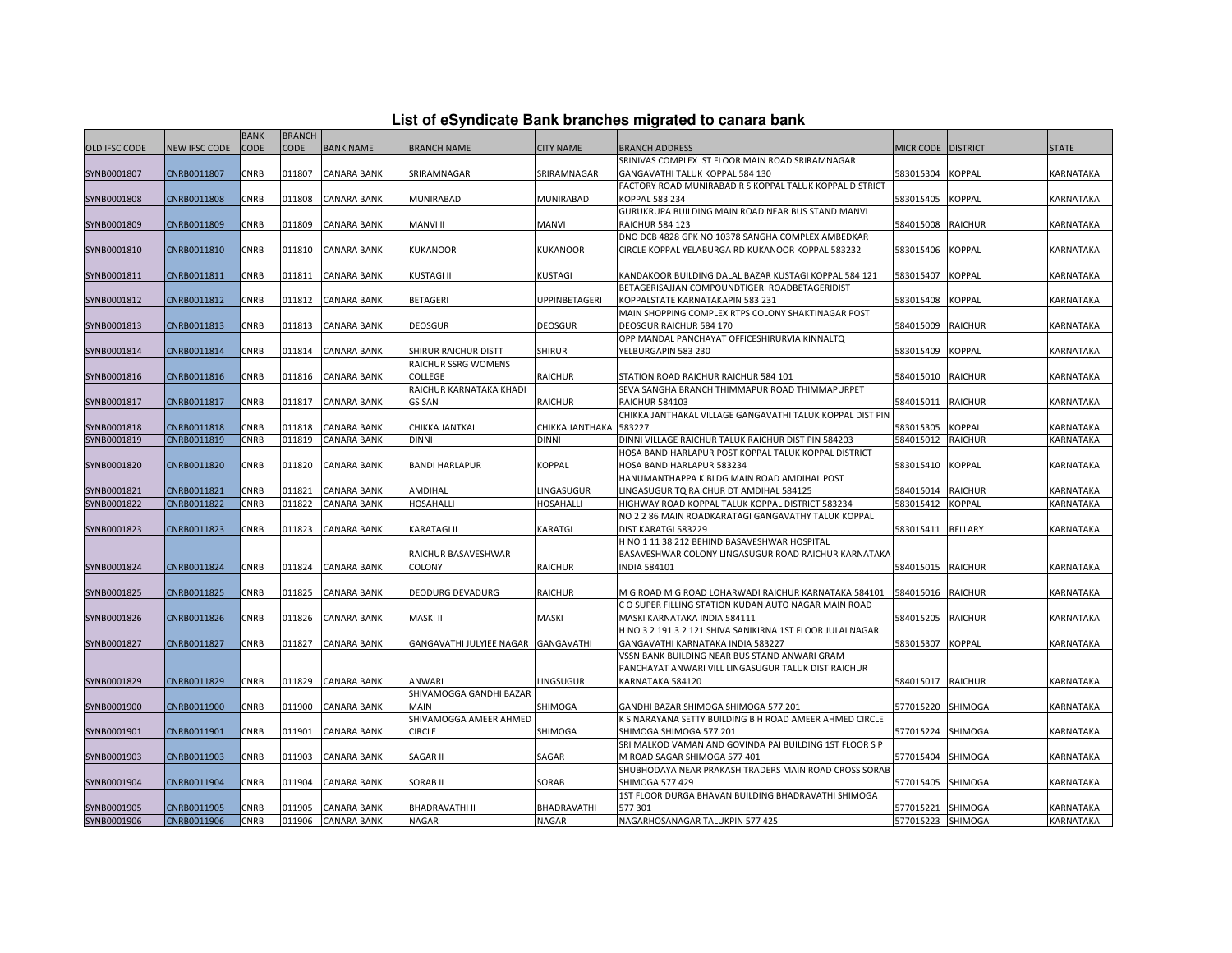|               |                      |                     |                              |                    | - - - - -                           | .                      | $\sim$ $\sim$ $\sim$ $\sim$ $\sim$ $\sim$                                                       |                    |                |              |
|---------------|----------------------|---------------------|------------------------------|--------------------|-------------------------------------|------------------------|-------------------------------------------------------------------------------------------------|--------------------|----------------|--------------|
| OLD IFSC CODE | <b>NEW IFSC CODE</b> | <b>BANK</b><br>CODE | <b>BRANCH</b><br><b>CODE</b> | <b>BANK NAME</b>   | <b>BRANCH NAME</b>                  | <b>CITY NAME</b>       | <b>BRANCH ADDRESS</b>                                                                           | MICR CODE DISTRICT |                | <b>STATE</b> |
|               |                      |                     |                              |                    |                                     |                        | SRINIVAS COMPLEX IST FLOOR MAIN ROAD SRIRAMNAGAR                                                |                    |                |              |
| SYNB0001807   | CNRB0011807          | <b>CNRB</b>         | 011807                       | CANARA BANK        | SRIRAMNAGAR                         | SRIRAMNAGAR            | GANGAVATHI TALUK KOPPAL 584 130                                                                 | 583015304          | <b>KOPPAL</b>  | KARNATAKA    |
|               |                      |                     |                              |                    |                                     |                        | FACTORY ROAD MUNIRABAD R S KOPPAL TALUK KOPPAL DISTRICT                                         |                    |                |              |
| SYNB0001808   | CNRB0011808          | CNRB                | 011808                       | <b>CANARA BANK</b> | MUNIRABAD                           | MUNIRABAD              | KOPPAL 583 234                                                                                  | 583015405          | <b>KOPPAL</b>  | KARNATAKA    |
|               |                      |                     |                              |                    |                                     |                        | GURUKRUPA BUILDING MAIN ROAD NEAR BUS STAND MANVI                                               |                    |                |              |
| SYNB0001809   | CNRB0011809          | CNRB                | 011809                       | CANARA BANK        | <b>MANVI II</b>                     | <b>MANVI</b>           | <b>RAICHUR 584 123</b>                                                                          | 584015008          | <b>RAICHUR</b> | KARNATAKA    |
|               |                      |                     |                              |                    |                                     |                        | DNO DCB 4828 GPK NO 10378 SANGHA COMPLEX AMBEDKAR                                               |                    |                |              |
| SYNB0001810   | CNRB0011810          | CNRB                | 011810                       | CANARA BANK        | KUKANOOR                            | <b>KUKANOOR</b>        | CIRCLE KOPPAL YELABURGA RD KUKANOOR KOPPAL 583232                                               | 583015406          | <b>KOPPAL</b>  | KARNATAKA    |
|               |                      |                     |                              |                    |                                     |                        |                                                                                                 |                    |                |              |
| SYNB0001811   | CNRB0011811          | <b>CNRB</b>         | 011811                       | <b>CANARA BANK</b> | KUSTAGI II                          | <b>KUSTAGI</b>         | KANDAKOOR BUILDING DALAL BAZAR KUSTAGI KOPPAL 584 121                                           | 583015407          | <b>KOPPAL</b>  | KARNATAKA    |
|               |                      |                     |                              |                    |                                     |                        | BETAGERISAJJAN COMPOUNDTIGERI ROADBETAGERIDIST                                                  |                    |                |              |
| SYNB0001812   | CNRB0011812          | <b>CNRB</b>         | 011812                       | <b>CANARA BANK</b> | BETAGERI                            | <b>UPPINBETAGERI</b>   | KOPPALSTATE KARNATAKAPIN 583 231                                                                | 583015408          | <b>KOPPAL</b>  | KARNATAKA    |
|               |                      |                     |                              |                    |                                     |                        | MAIN SHOPPING COMPLEX RTPS COLONY SHAKTINAGAR POST                                              |                    |                |              |
| SYNB0001813   | CNRB0011813          | <b>CNRB</b>         | 011813                       | CANARA BANK        | <b>DEOSGUR</b>                      | <b>DEOSGUR</b>         | DEOSGUR RAICHUR 584 170                                                                         | 584015009          | <b>RAICHUR</b> | KARNATAKA    |
|               |                      |                     |                              |                    |                                     |                        | OPP MANDAL PANCHAYAT OFFICESHIRURVIA KINNALTQ                                                   |                    |                |              |
| SYNB0001814   | CNRB0011814          | CNRB                | 011814                       | CANARA BANK        | SHIRUR RAICHUR DISTT                | <b>SHIRUR</b>          | YELBURGAPIN 583 230                                                                             | 583015409          | <b>COPPAL</b>  | KARNATAKA    |
|               |                      |                     |                              |                    | RAICHUR SSRG WOMENS                 |                        |                                                                                                 |                    |                |              |
| SYNB0001816   | CNRB0011816          | <b>CNRB</b>         | 011816                       | <b>CANARA BANK</b> | COLLEGE                             | <b>RAICHUR</b>         | STATION ROAD RAICHUR RAICHUR 584 101                                                            | 584015010          | <b>RAICHUR</b> | KARNATAKA    |
|               |                      |                     |                              |                    | RAICHUR KARNATAKA KHADI             |                        | SEVA SANGHA BRANCH THIMMAPUR ROAD THIMMAPURPET                                                  |                    |                |              |
| SYNB0001817   | CNRB0011817          | CNRB                | 011817                       | CANARA BANK        | GS SAN                              | <b>RAICHUR</b>         | <b>RAICHUR 584103</b>                                                                           | 584015011          | <b>RAICHUR</b> | KARNATAKA    |
|               |                      |                     |                              |                    |                                     |                        | CHIKKA JANTHAKAL VILLAGE GANGAVATHI TALUK KOPPAL DIST PIN                                       |                    |                |              |
| SYNB0001818   | CNRB0011818          | <b>CNRB</b>         | 011818                       | <b>CANARA BANK</b> | CHIKKA JANTKAL                      | CHIKKA JANTHAKA 583227 |                                                                                                 | 583015305          | KOPPAL         | KARNATAKA    |
| SYNB0001819   | CNRB0011819          | CNRB                | 011819                       | <b>CANARA BANK</b> | DINNI                               | <b>DINNI</b>           | DINNI VILLAGE RAICHUR TALUK RAICHUR DIST PIN 584203                                             | 584015012          | <b>RAICHUR</b> | KARNATAKA    |
|               |                      |                     |                              |                    |                                     |                        | HOSA BANDIHARLAPUR POST KOPPAL TALUK KOPPAL DISTRICT                                            |                    |                |              |
| SYNB0001820   | CNRB0011820          | CNRB                | 011820                       | CANARA BANK        | <b>BANDI HARLAPUR</b>               | <b>KOPPAL</b>          | HOSA BANDIHARLAPUR 583234                                                                       | 583015410          | <b>KOPPAL</b>  | KARNATAKA    |
|               |                      |                     |                              |                    |                                     |                        | HANUMANTHAPPA K BLDG MAIN ROAD AMDIHAL POST                                                     |                    |                |              |
| SYNB0001821   | CNRB0011821          | CNRB                | 011821                       | CANARA BANK        | AMDIHAL                             | LINGASUGUR             | INGASUGUR TQ RAICHUR DT AMDIHAL 584125                                                          | 584015014          | <b>RAICHUR</b> | KARNATAKA    |
| SYNB0001822   | CNRB0011822          | CNRB                | 011822                       | CANARA BANK        | HOSAHALLI                           | <b>HOSAHALLI</b>       | HIGHWAY ROAD KOPPAL TALUK KOPPAL DISTRICT 583234                                                | 583015412          | <b>KOPPAL</b>  | KARNATAKA    |
|               |                      |                     |                              |                    |                                     |                        | NO 2 2 86 MAIN ROADKARATAGI GANGAVATHY TALUK KOPPAL                                             |                    |                |              |
|               | CNRB0011823          | CNRB                | 011823                       | <b>CANARA BANK</b> | KARATAGI II                         |                        | DIST KARATGI 583229                                                                             | 583015411          | <b>BELLARY</b> | KARNATAKA    |
| SYNB0001823   |                      |                     |                              |                    |                                     | <b>KARATGI</b>         | H NO 1 11 38 212 BEHIND BASAVESHWAR HOSPITAL                                                    |                    |                |              |
|               |                      |                     |                              |                    | RAICHUR BASAVESHWAR                 |                        | BASAVESHWAR COLONY LINGASUGUR ROAD RAICHUR KARNATAKA                                            |                    |                |              |
| SYNB0001824   | CNRB0011824          | <b>CNRB</b>         | 011824                       | <b>CANARA BANK</b> | COLONY                              | <b>RAICHUR</b>         | <b>INDIA 584101</b>                                                                             | 584015015          | <b>RAICHUR</b> | KARNATAKA    |
|               |                      |                     |                              |                    |                                     |                        |                                                                                                 |                    |                |              |
| SYNB0001825   | CNRB0011825          | CNRB                | 011825                       | <b>CANARA BANK</b> | DEODURG DEVADURG                    | <b>RAICHUR</b>         | M G ROAD M G ROAD LOHARWADI RAICHUR KARNATAKA 584101                                            | 584015016          | <b>RAICHUR</b> | KARNATAKA    |
|               |                      |                     |                              |                    |                                     |                        | C O SUPER FILLING STATION KUDAN AUTO NAGAR MAIN ROAD                                            |                    |                |              |
|               | CNRB0011826          | <b>CNRB</b>         | 011826                       | CANARA BANK        | MASKI II                            | MASKI                  | MASKI KARNATAKA INDIA 584111                                                                    | 584015205          | <b>RAICHUR</b> | KARNATAKA    |
| SYNB0001826   |                      |                     |                              |                    |                                     |                        | H NO 3 2 191 3 2 121 SHIVA SANIKIRNA 1ST FLOOR JULAI NAGAR                                      |                    |                |              |
| SYNB0001827   | CNRB0011827          | CNRB                | 011827                       | CANARA BANK        | GANGAVATHI JULYIEE NAGAR GANGAVATHI |                        | GANGAVATHI KARNATAKA INDIA 583227                                                               | 583015307          | <b>KOPPAL</b>  | KARNATAKA    |
|               |                      |                     |                              |                    |                                     |                        | VSSN BANK BUILDING NEAR BUS STAND ANWARI GRAM                                                   |                    |                |              |
|               |                      |                     |                              |                    |                                     |                        | PANCHAYAT ANWARI VILL LINGASUGUR TALUK DIST RAICHUR                                             |                    |                |              |
| SYNB0001829   | CNRB0011829          | <b>CNRB</b>         | 011829                       | CANARA BANK        | ANWARI                              | <b>LINGSUGUR</b>       | KARNATAKA 584120                                                                                | 584015017          | <b>RAICHUR</b> | KARNATAKA    |
|               |                      |                     |                              |                    | SHIVAMOGGA GANDHI BAZAR             |                        |                                                                                                 |                    |                |              |
|               |                      |                     |                              |                    |                                     |                        |                                                                                                 |                    |                |              |
| SYNB0001900   | CNRB0011900          | <b>CNRB</b>         | 011900                       | <b>CANARA BANK</b> | MAIN<br>SHIVAMOGGA AMEER AHMED      | SHIMOGA                | GANDHI BAZAR SHIMOGA SHIMOGA 577 201<br>K S NARAYANA SETTY BUILDING B H ROAD AMEER AHMED CIRCLE | 577015220          | SHIMOGA        | KARNATAKA    |
|               |                      |                     | 011901                       |                    | <b>CIRCLE</b>                       |                        |                                                                                                 |                    |                |              |
| SYNB0001901   | CNRB0011901          | CNRB                |                              | CANARA BANK        |                                     | SHIMOGA                | SHIMOGA SHIMOGA 577 201                                                                         | 577015224          | <b>SHIMOGA</b> | KARNATAKA    |
|               |                      |                     |                              |                    |                                     |                        | SRI MALKOD VAMAN AND GOVINDA PAI BUILDING 1ST FLOOR S P                                         |                    |                |              |
| SYNB0001903   | CNRB0011903          | CNRB                | 011903                       | CANARA BANK        | SAGAR II                            | SAGAR                  | M ROAD SAGAR SHIMOGA 577 401                                                                    | 577015404          | <b>SHIMOGA</b> | KARNATAKA    |
|               |                      |                     |                              |                    |                                     |                        | SHUBHODAYA NEAR PRAKASH TRADERS MAIN ROAD CROSS SORAB                                           |                    |                |              |
| SYNB0001904   | CNRB0011904          | <b>CNRB</b>         | 011904                       | CANARA BANK        | SORAB II                            | SORAB                  | SHIMOGA 577 429                                                                                 | 577015405          | <b>SHIMOGA</b> | KARNATAKA    |
|               |                      |                     |                              |                    |                                     |                        | 1ST FLOOR DURGA BHAVAN BUILDING BHADRAVATHI SHIMOGA                                             |                    |                |              |
| SYNB0001905   | CNRB0011905          | <b>CNRB</b>         | 011905                       | <b>CANARA BANK</b> | BHADRAVATHI II                      | BHADRAVATHI            | 577301                                                                                          | 577015221 SHIMOGA  |                | KARNATAKA    |
| SYNB0001906   | CNRB0011906          | <b>CNRB</b>         | 011906                       | <b>CANARA BANK</b> | NAGAR                               | NAGAR                  | NAGARHOSANAGAR TALUKPIN 577 425                                                                 | 577015223 SHIMOGA  |                | KARNATAKA    |

## **List of eSyndicate Bank branches migrated to canara bank**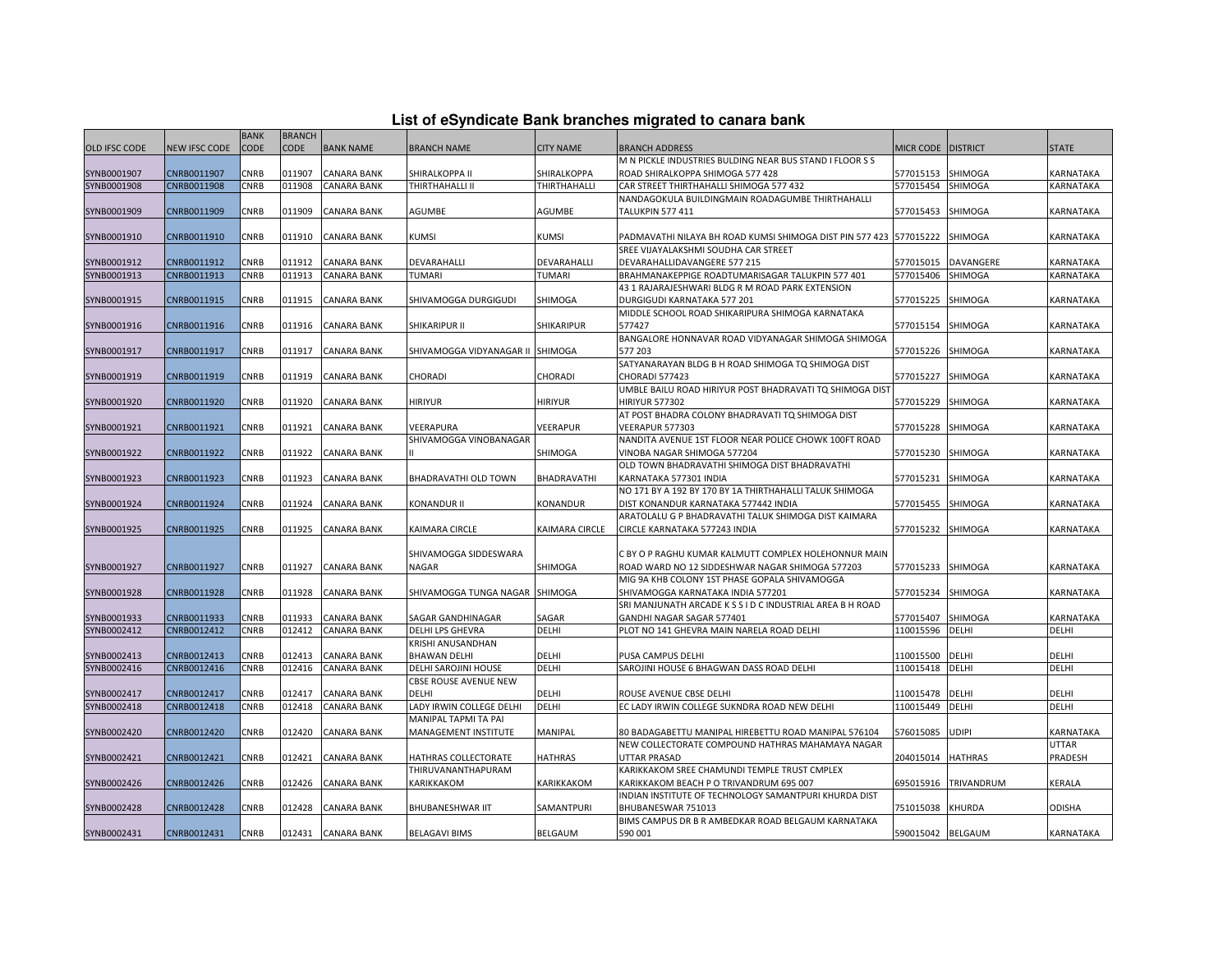| List of eSyndicate Bank branches migrated to canara bank |  |  |  |  |  |  |  |
|----------------------------------------------------------|--|--|--|--|--|--|--|
|----------------------------------------------------------|--|--|--|--|--|--|--|

|               |               |                     |                       |                    |                              |                  | List of eSyndicate Bank branches migrated to canara bank           |                    |                      |               |
|---------------|---------------|---------------------|-----------------------|--------------------|------------------------------|------------------|--------------------------------------------------------------------|--------------------|----------------------|---------------|
| OLD IFSC CODE | NEW IFSC CODE | <b>BANK</b><br>CODE | <b>BRANCH</b><br>CODE | <b>BANK NAME</b>   | <b>BRANCH NAME</b>           | <b>CITY NAME</b> | <b>BRANCH ADDRESS</b>                                              | MICR CODE DISTRICT |                      | <b>STATE</b>  |
|               |               |                     |                       |                    |                              |                  | M N PICKLE INDUSTRIES BULDING NEAR BUS STAND I FLOOR S S           |                    |                      |               |
| SYNB0001907   | CNRB0011907   | CNRB                | 011907                | CANARA BANK        | SHIRALKOPPA II               | SHIRALKOPPA      | ROAD SHIRALKOPPA SHIMOGA 577 428                                   | 577015153 SHIMOGA  |                      | KARNATAKA     |
| SYNB0001908   | CNRB0011908   | CNRB                | 011908                | CANARA BANK        | THIRTHAHALLI II              | THIRTHAHALLI     | CAR STREET THIRTHAHALLI SHIMOGA 577 432                            | 577015454          | SHIMOGA              | KARNATAKA     |
|               |               |                     |                       |                    |                              |                  | NANDAGOKULA BUILDINGMAIN ROADAGUMBE THIRTHAHALLI                   |                    |                      |               |
| SYNB0001909   | CNRB0011909   | CNRB                | 011909                | CANARA BANK        | AGUMBE                       | AGUMBE           | TALUKPIN 577 411                                                   | 577015453 SHIMOGA  |                      | KARNATAKA     |
|               |               |                     |                       |                    |                              |                  |                                                                    |                    |                      |               |
| SYNB0001910   | CNRB0011910   | CNRB                | 011910                | CANARA BANK        | KUMSI                        | KUMSI            | PADMAVATHI NILAYA BH ROAD KUMSI SHIMOGA DIST PIN 577 423 577015222 |                    | <b>SHIMOGA</b>       | KARNATAKA     |
|               |               |                     |                       |                    |                              |                  | SREE VIJAYALAKSHMI SOUDHA CAR STREET                               |                    |                      |               |
| SYNB0001912   | CNRB0011912   | CNRB                | 011912                | <b>CANARA BANK</b> | DEVARAHALLI                  | DEVARAHALLI      | DEVARAHALLIDAVANGERE 577 215                                       |                    | 577015015 DAVANGERE  | KARNATAKA     |
| SYNB0001913   | CNRB0011913   | CNRB                | 011913                | <b>CANARA BANK</b> | TUMARI                       | <b>TUMARI</b>    | BRAHMANAKEPPIGE ROADTUMARISAGAR TALUKPIN 577 401                   | 577015406 SHIMOGA  |                      | KARNATAKA     |
|               |               |                     |                       |                    |                              |                  | 43 1 RAJARAJESHWARI BLDG R M ROAD PARK EXTENSION                   |                    |                      |               |
| SYNB0001915   | CNRB0011915   | CNRB                | 011915                | <b>CANARA BANK</b> | SHIVAMOGGA DURGIGUDI         | SHIMOGA          | DURGIGUDI KARNATAKA 577 201                                        | 577015225 SHIMOGA  |                      | KARNATAKA     |
|               |               |                     |                       |                    |                              |                  | MIDDLE SCHOOL ROAD SHIKARIPURA SHIMOGA KARNATAKA                   |                    |                      |               |
| SYNB0001916   | CNRB0011916   | CNRB                | 011916                | <b>CANARA BANK</b> | SHIKARIPUR II                | SHIKARIPUR       | 577427                                                             | 577015154 SHIMOGA  |                      | KARNATAKA     |
|               |               |                     |                       |                    |                              |                  | BANGALORE HONNAVAR ROAD VIDYANAGAR SHIMOGA SHIMOGA                 |                    |                      |               |
| SYNB0001917   | CNRB0011917   | CNRB                | 011917                | CANARA BANK        | SHIVAMOGGA VIDYANAGAR II     | SHIMOGA          | 577 203                                                            | 577015226          | <b>SHIMOGA</b>       | KARNATAKA     |
|               |               |                     |                       |                    |                              |                  | SATYANARAYAN BLDG B H ROAD SHIMOGA TQ SHIMOGA DIST                 |                    |                      |               |
| SYNB0001919   | CNRB0011919   | CNRB                | 011919                | <b>CANARA BANK</b> | CHORADI                      | CHORADI          | CHORADI 577423                                                     | 577015227          | <b>SHIMOGA</b>       | KARNATAKA     |
|               |               |                     |                       |                    |                              |                  | UMBLE BAILU ROAD HIRIYUR POST BHADRAVATI TQ SHIMOGA DIST           |                    |                      |               |
| SYNB0001920   | CNRB0011920   | CNRB                | 011920                | <b>CANARA BANK</b> | <b>HIRIYUR</b>               | HIRIYUR          | <b>HIRIYUR 577302</b>                                              | 577015229          | <b>SHIMOGA</b>       | KARNATAKA     |
|               |               |                     |                       |                    |                              |                  | AT POST BHADRA COLONY BHADRAVATI TQ SHIMOGA DIST                   |                    |                      |               |
| SYNB0001921   | CNRB0011921   | CNRB                | 011921                | CANARA BANK        | VEERAPURA                    | VEERAPUR         | VEERAPUR 577303                                                    | 577015228 SHIMOGA  |                      | KARNATAKA     |
|               |               |                     |                       |                    | SHIVAMOGGA VINOBANAGAR       |                  | NANDITA AVENUE 1ST FLOOR NEAR POLICE CHOWK 100FT ROAD              |                    |                      |               |
| SYNB0001922   | CNRB0011922   | CNRB                | 011922                | CANARA BANK        |                              | SHIMOGA          | VINOBA NAGAR SHIMOGA 577204                                        | 577015230 SHIMOGA  |                      | KARNATAKA     |
|               |               |                     |                       |                    |                              |                  |                                                                    |                    |                      |               |
|               |               |                     |                       |                    |                              |                  | OLD TOWN BHADRAVATHI SHIMOGA DIST BHADRAVATHI                      |                    |                      |               |
| SYNB0001923   | CNRB0011923   | CNRB                | 011923                | CANARA BANK        | BHADRAVATHI OLD TOWN         | BHADRAVATHI      | KARNATAKA 577301 INDIA                                             | 577015231          | <b>SHIMOGA</b>       | KARNATAKA     |
|               |               |                     |                       |                    |                              |                  | NO 171 BY A 192 BY 170 BY 1A THIRTHAHALLI TALUK SHIMOGA            |                    |                      |               |
| SYNB0001924   | CNRB0011924   | CNRB                | 011924                | <b>CANARA BANK</b> | <b>KONANDUR II</b>           | KONANDUR         | DIST KONANDUR KARNATAKA 577442 INDIA                               | 577015455 SHIMOGA  |                      | KARNATAKA     |
|               |               |                     |                       |                    |                              |                  | ARATOLALU G P BHADRAVATHI TALUK SHIMOGA DIST KAIMARA               |                    |                      |               |
| SYNB0001925   | CNRB0011925   | CNRB                | 011925                | <b>CANARA BANK</b> | KAIMARA CIRCLE               | KAIMARA CIRCLE   | CIRCLE KARNATAKA 577243 INDIA                                      | 577015232          | SHIMOGA              | KARNATAKA     |
|               |               |                     |                       |                    |                              |                  |                                                                    |                    |                      |               |
|               |               |                     |                       |                    | SHIVAMOGGA SIDDESWARA        |                  | C BY O P RAGHU KUMAR KALMUTT COMPLEX HOLEHONNUR MAIN               |                    |                      |               |
| SYNB0001927   | CNRB0011927   | CNRB                | 011927                | CANARA BANK        | <b>NAGAR</b>                 | SHIMOGA          | ROAD WARD NO 12 SIDDESHWAR NAGAR SHIMOGA 577203                    | 577015233          | <b>SHIMOGA</b>       | KARNATAKA     |
|               |               |                     |                       |                    |                              |                  | MIG 9A KHB COLONY 1ST PHASE GOPALA SHIVAMOGGA                      |                    |                      |               |
| SYNB0001928   | CNRB0011928   | CNRB                | 011928                | <b>CANARA BANK</b> | SHIVAMOGGA TUNGA NAGAR       | <b>SHIMOGA</b>   | SHIVAMOGGA KARNATAKA INDIA 577201                                  | 577015234 SHIMOGA  |                      | KARNATAKA     |
|               |               |                     |                       |                    |                              |                  | SRI MANJUNATH ARCADE K S S I D C INDUSTRIAL AREA B H ROAD          |                    |                      |               |
| SYNB0001933   | CNRB0011933   | CNRB                | 011933                | <b>CANARA BANK</b> | SAGAR GANDHINAGAR            | SAGAR            | GANDHI NAGAR SAGAR 577401                                          | 577015407          | <b>SHIMOGA</b>       | KARNATAKA     |
| SYNB0002412   | CNRB0012412   | <b>CNRB</b>         | 012412                | <b>CANARA BANK</b> | DELHI LPS GHEVRA             | DELHI            | PLOT NO 141 GHEVRA MAIN NARELA ROAD DELHI                          | 110015596          | DELHI                | DELHI         |
|               |               |                     |                       |                    | KRISHI ANUSANDHAN            |                  |                                                                    |                    |                      |               |
| SYNB0002413   | CNRB0012413   | CNRB                | 012413                | <b>CANARA BANK</b> | <b>BHAWAN DELHI</b>          | DELHI            | PUSA CAMPUS DELHI                                                  | 110015500          | DELHI                | DELHI         |
| SYNB0002416   | CNRB0012416   | <b>CNRB</b>         | 012416                | <b>CANARA BANK</b> | DELHI SAROJINI HOUSE         | DELHI            | SAROJINI HOUSE 6 BHAGWAN DASS ROAD DELHI                           | 110015418          | <b>DELHI</b>         | DELHI         |
|               |               |                     |                       |                    | <b>CBSE ROUSE AVENUE NEW</b> |                  |                                                                    |                    |                      |               |
| SYNB0002417   | CNRB0012417   | CNRB                | 012417                | CANARA BANK        | DELHI                        | DELHI            | ROUSE AVENUE CBSE DELHI                                            | 110015478          | <b>DELHI</b>         | DELHI         |
| SYNB0002418   | CNRB0012418   | CNRB                | 012418                | CANARA BANK        | LADY IRWIN COLLEGE DELHI     | DELHI            | EC LADY IRWIN COLLEGE SUKNDRA ROAD NEW DELHI                       | 110015449 DELHI    |                      | DELHI         |
|               |               |                     |                       |                    | MANIPAL TAPMI TA PAI         |                  |                                                                    |                    |                      |               |
| SYNB0002420   | CNRB0012420   | CNRB                | 012420                | <b>CANARA BANK</b> | MANAGEMENT INSTITUTE         | MANIPAL          | 80 BADAGABETTU MANIPAL HIREBETTU ROAD MANIPAL 576104               | 576015085          | <b>UDIPI</b>         | KARNATAKA     |
|               |               |                     |                       |                    |                              |                  | NEW COLLECTORATE COMPOUND HATHRAS MAHAMAYA NAGAR                   |                    |                      | UTTAR         |
| SYNB0002421   | CNRB0012421   | CNRB                | 012421                | CANARA BANK        | HATHRAS COLLECTORATE         | HATHRAS          | UTTAR PRASAD                                                       | 204015014 HATHRAS  |                      | PRADESH       |
|               |               |                     |                       |                    | THIRUVANANTHAPURAM           |                  | KARIKKAKOM SREE CHAMUNDI TEMPLE TRUST CMPLEX                       |                    |                      |               |
| SYNB0002426   | CNRB0012426   | CNRB                | 012426                | CANARA BANK        | KARIKKAKOM                   | KARIKKAKOM       | KARIKKAKOM BEACH P O TRIVANDRUM 695 007                            |                    | 695015916 TRIVANDRUM | KERALA        |
|               |               |                     |                       |                    |                              |                  | INDIAN INSTITUTE OF TECHNOLOGY SAMANTPURI KHURDA DIST              |                    |                      |               |
|               |               |                     |                       |                    |                              |                  |                                                                    |                    |                      |               |
| SYNB0002428   | CNRB0012428   | CNRB                | 012428                | <b>CANARA BANK</b> | BHUBANESHWAR IIT             | SAMANTPURI       | BHUBANESWAR 751013                                                 | 751015038          | <b>KHURDA</b>        | <b>ODISHA</b> |
|               |               |                     |                       |                    |                              |                  | BIMS CAMPUS DR B R AMBEDKAR ROAD BELGAUM KARNATAKA                 |                    |                      |               |
| SYNB0002431   | CNRB0012431   | <b>CNRB</b>         | 012431                | <b>CANARA BANK</b> | <b>BELAGAVI BIMS</b>         | BELGAUM          | 590 001                                                            | 590015042 BELGAUM  |                      | KARNATAKA     |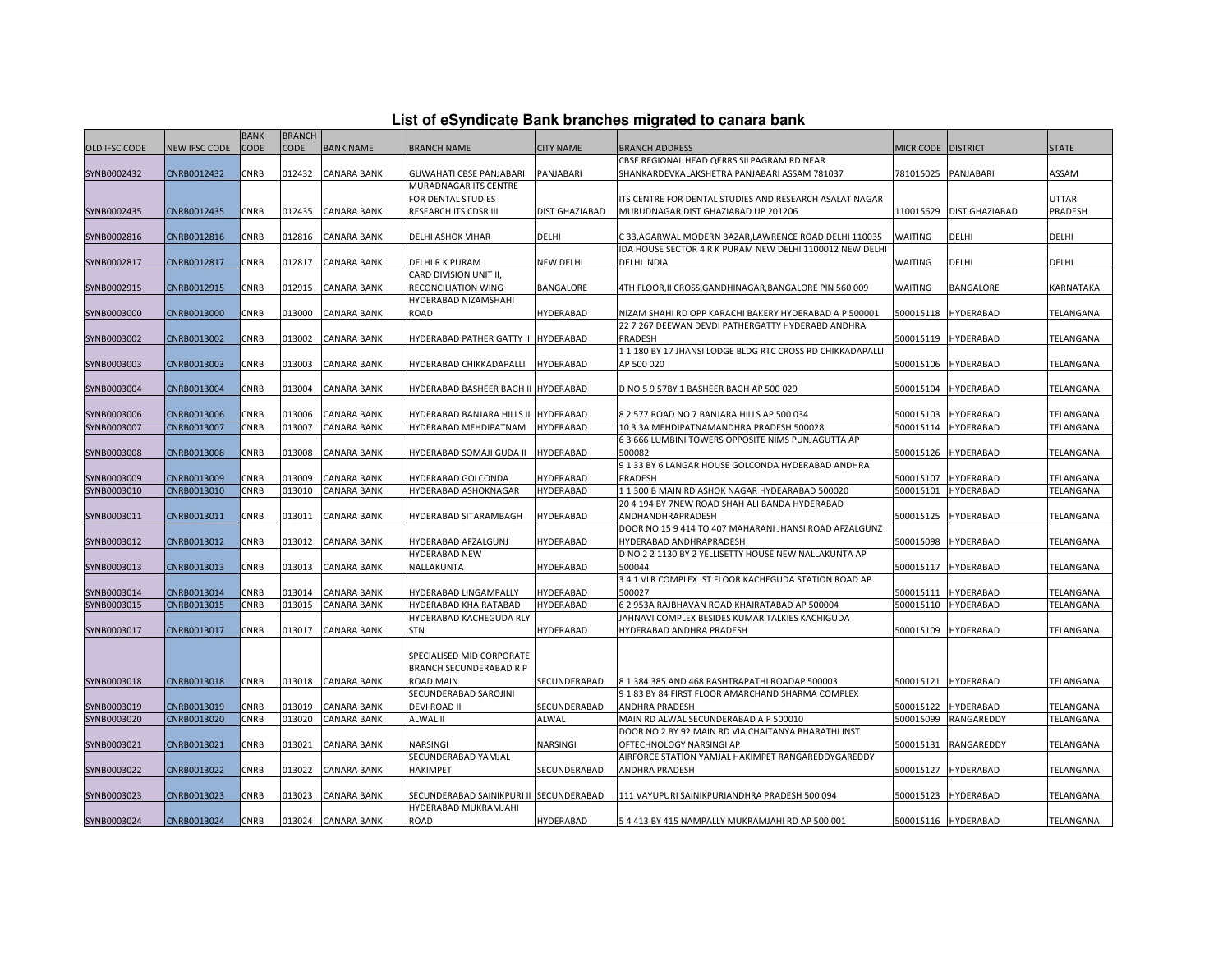| List of eSyndicate Bank branches migrated to canara bank |  |  |  |  |  |  |  |
|----------------------------------------------------------|--|--|--|--|--|--|--|
|----------------------------------------------------------|--|--|--|--|--|--|--|

|                      |               |             |               |                    |                                         |                  | List of eSyndicate Bank branches migrated to canara bank   |                      |                       |              |
|----------------------|---------------|-------------|---------------|--------------------|-----------------------------------------|------------------|------------------------------------------------------------|----------------------|-----------------------|--------------|
|                      |               | <b>BANK</b> | <b>BRANCH</b> |                    |                                         |                  |                                                            |                      |                       |              |
| <b>OLD IFSC CODE</b> | NEW IFSC CODE | <b>CODE</b> | CODE          | <b>BANK NAME</b>   | <b>BRANCH NAME</b>                      | <b>CITY NAME</b> | BRANCH ADDRESS                                             | MICR CODE   DISTRICT |                       | <b>STATE</b> |
|                      |               |             |               |                    |                                         |                  | CBSE REGIONAL HEAD QERRS SILPAGRAM RD NEAR                 |                      |                       |              |
| SYNB0002432          | CNRB0012432   | CNRB        | 012432        | <b>CANARA BANK</b> | GUWAHATI CBSE PANJABARI                 | PANJABARI        | SHANKARDEVKALAKSHETRA PANJABARI ASSAM 781037               | 781015025            | PANJABARI             | ASSAM        |
|                      |               |             |               |                    | MURADNAGAR ITS CENTRE                   |                  |                                                            |                      |                       |              |
|                      |               |             |               |                    | FOR DENTAL STUDIES                      |                  | ITS CENTRE FOR DENTAL STUDIES AND RESEARCH ASALAT NAGAR    |                      |                       | <b>UTTAR</b> |
| SYNB0002435          | CNRB0012435   | CNRB        | 012435        | <b>CANARA BANK</b> | RESEARCH ITS CDSR III                   | DIST GHAZIABAD   | MURUDNAGAR DIST GHAZIABAD UP 201206                        | 110015629            | <b>DIST GHAZIABAD</b> | PRADESH      |
|                      |               |             |               |                    |                                         |                  |                                                            |                      |                       |              |
| SYNB0002816          | CNRB0012816   | CNRB        | 012816        | <b>CANARA BANK</b> | DELHI ASHOK VIHAR                       | <b>DELHI</b>     | C 33,AGARWAL MODERN BAZAR,LAWRENCE ROAD DELHI 110035       | WAITING              | DELHI                 | DELHI        |
|                      |               |             |               |                    |                                         |                  | IDA HOUSE SECTOR 4 R K PURAM NEW DELHI 1100012 NEW DELHI   |                      |                       |              |
| SYNB0002817          | CNRB0012817   | CNRB        | 012817        | CANARA BANK        | <b>DELHI R K PURAM</b>                  | <b>NEW DELHI</b> | DELHI INDIA                                                | WAITING              | DELHI                 | DELHI        |
|                      |               |             |               |                    | CARD DIVISION UNIT II,                  |                  |                                                            |                      |                       |              |
| SYNB0002915          | CNRB0012915   | CNRB        | 012915        | <b>CANARA BANK</b> | RECONCILIATION WING                     | BANGALORE        | 4TH FLOOR,II CROSS,GANDHINAGAR,BANGALORE PIN 560 009       | WAITING              | BANGALORE             | KARNATAKA    |
|                      |               |             |               |                    | HYDERABAD NIZAMSHAHI                    |                  |                                                            |                      |                       |              |
| SYNB0003000          | CNRB0013000   | CNRB        | 013000        | <b>CANARA BANK</b> | ROAD                                    | <b>HYDERABAD</b> | NIZAM SHAHI RD OPP KARACHI BAKERY HYDERABAD A P 500001     | 500015118            | <b>HYDERABAD</b>      | TELANGANA    |
|                      |               |             |               |                    |                                         |                  | 22 7 267 DEEWAN DEVDI PATHERGATTY HYDERABD ANDHRA          |                      |                       |              |
| SYNB0003002          | CNRB0013002   | CNRB        | 013002        | <b>CANARA BANK</b> | HYDERABAD PATHER GATTY II HYDERABAD     |                  | PRADESH                                                    | 500015119            | <b>HYDERABAD</b>      | TELANGANA    |
|                      |               |             |               |                    |                                         |                  | 1 1 180 BY 17 JHANSI LODGE BLDG RTC CROSS RD CHIKKADAPALLI |                      |                       |              |
| SYNB0003003          | CNRB0013003   | CNRB        | 013003        | <b>CANARA BANK</b> | HYDERABAD CHIKKADAPALLI                 | <b>HYDERABAD</b> | AP 500 020                                                 | 500015106            | <b>HYDERABAD</b>      | TELANGANA    |
|                      |               |             |               |                    |                                         |                  |                                                            |                      |                       |              |
| SYNB0003004          | CNRB0013004   | CNRB        | 013004        | <b>CANARA BANK</b> | HYDERABAD BASHEER BAGH II HYDERABAD     |                  | D NO 5 9 57BY 1 BASHEER BAGH AP 500 029                    | 500015104            | <b>HYDERABAD</b>      | TELANGANA    |
|                      |               |             |               |                    |                                         |                  |                                                            |                      |                       |              |
| SYNB0003006          | CNRB0013006   | CNRB        | 013006        | <b>CANARA BANK</b> | HYDERABAD BANJARA HILLS II HYDERABAD    |                  | 8 2 577 ROAD NO 7 BANJARA HILLS AP 500 034                 | 500015103            | <b>HYDERABAD</b>      | TELANGANA    |
| SYNB0003007          | CNRB0013007   | CNRB        | 013007        | <b>CANARA BANK</b> | HYDERABAD MEHDIPATNAM                   | HYDERABAD        | 10 3 3A MEHDIPATNAMANDHRA PRADESH 500028                   | 500015114            | <b>HYDERABAD</b>      | TELANGANA    |
|                      |               |             |               |                    |                                         |                  | 63 666 LUMBINI TOWERS OPPOSITE NIMS PUNJAGUTTA AP          |                      |                       |              |
| SYNB0003008          | CNRB0013008   | CNRB        | 013008        | <b>CANARA BANK</b> | HYDERABAD SOMAJI GUDA II                | <b>HYDERABAD</b> | 500082                                                     | 500015126            | <b>HYDERABAD</b>      | TELANGANA    |
|                      |               |             |               |                    |                                         |                  | 9133 BY 6 LANGAR HOUSE GOLCONDA HYDERABAD ANDHRA           |                      |                       |              |
| SYNB0003009          | CNRB0013009   | CNRB        | 013009        | <b>CANARA BANK</b> | HYDERABAD GOLCONDA                      | HYDERABAD        | PRADESH                                                    | 500015107            | <b>HYDERABAD</b>      | TELANGANA    |
| SYNB0003010          | CNRB0013010   | CNRB        | 013010        | <b>CANARA BANK</b> | HYDERABAD ASHOKNAGAR                    | HYDERABAD        | 1 1 300 B MAIN RD ASHOK NAGAR HYDEARABAD 500020            | 500015101            | <b>HYDERABAD</b>      | TELANGANA    |
|                      |               |             |               |                    |                                         |                  | 20 4 194 BY 7NEW ROAD SHAH ALI BANDA HYDERABAD             |                      |                       |              |
| SYNB0003011          | CNRB0013011   | CNRB        | 013011        | <b>CANARA BANK</b> | HYDERABAD SITARAMBAGH                   | HYDERABAD        | ANDHANDHRAPRADESH                                          | 500015125            | <b>HYDERABAD</b>      | TELANGANA    |
|                      |               |             |               |                    |                                         |                  | DOOR NO 15 9 414 TO 407 MAHARANI JHANSI ROAD AFZALGUNZ     |                      |                       |              |
| SYNB0003012          | CNRB0013012   | CNRB        | 013012        | <b>CANARA BANK</b> | HYDERABAD AFZALGUNJ                     | HYDERABAD        | HYDERABAD ANDHRAPRADESH                                    | 500015098            | <b>HYDERABAD</b>      | TELANGANA    |
|                      |               |             |               |                    | HYDERABAD NEW                           |                  | D NO 2 2 1130 BY 2 YELLISETTY HOUSE NEW NALLAKUNTA AP      |                      |                       |              |
| SYNB0003013          | CNRB0013013   | CNRB        | 013013        | <b>CANARA BANK</b> | NALLAKUNTA                              | <b>HYDERABAD</b> | 500044                                                     | 500015117            | <b>HYDERABAD</b>      | TELANGANA    |
|                      |               |             |               |                    |                                         |                  | 3 4 1 VLR COMPLEX IST FLOOR KACHEGUDA STATION ROAD AP      |                      |                       |              |
| SYNB0003014          | CNRB0013014   | CNRB        | 013014        | <b>CANARA BANK</b> | HYDERABAD LINGAMPALLY                   | HYDERABAD        | 500027                                                     | 500015111            | <b>HYDERABAD</b>      | TELANGANA    |
| SYNB0003015          | CNRB0013015   | CNRB        | 013015        | <b>CANARA BANK</b> | HYDERABAD KHAIRATABAD                   | HYDERABAD        | 62 953A RAJBHAVAN ROAD KHAIRATABAD AP 500004               | 500015110            | HYDERABAD             | TELANGANA    |
|                      |               |             |               |                    | HYDERABAD KACHEGUDA RLY                 |                  | JAHNAVI COMPLEX BESIDES KUMAR TALKIES KACHIGUDA            |                      |                       |              |
| SYNB0003017          | CNRB0013017   | <b>CNRB</b> | 013017        | <b>CANARA BANK</b> | <b>STN</b>                              | HYDERABAD        | HYDERABAD ANDHRA PRADESH                                   | 500015109            | <b>HYDERABAD</b>      | TELANGANA    |
|                      |               |             |               |                    |                                         |                  |                                                            |                      |                       |              |
|                      |               |             |               |                    | SPECIALISED MID CORPORATE               |                  |                                                            |                      |                       |              |
|                      |               |             |               |                    | <b>BRANCH SECUNDERABAD R P</b>          |                  |                                                            |                      |                       |              |
| SYNB0003018          | CNRB0013018   | CNRB        | 013018        | <b>CANARA BANK</b> | <b>ROAD MAIN</b>                        | SECUNDERABAD     | 8 1 384 385 AND 468 RASHTRAPATHI ROADAP 500003             |                      | 500015121 HYDERABAD   | TELANGANA    |
|                      |               |             |               |                    | SECUNDERABAD SAROJINI                   |                  | 9 1 83 BY 84 FIRST FLOOR AMARCHAND SHARMA COMPLEX          |                      |                       |              |
| SYNB0003019          | CNRB0013019   | CNRB        | 013019        | <b>CANARA BANK</b> | DEVI ROAD II                            | SECUNDERABAD     | ANDHRA PRADESH                                             | 500015122            | <b>HYDERABAD</b>      | TELANGANA    |
| SYNB0003020          | CNRB0013020   | CNRB        | 013020        | <b>CANARA BANK</b> | <b>ALWAL II</b>                         | ALWAL            | MAIN RD ALWAL SECUNDERABAD A P 500010                      | 500015099            | RANGAREDDY            | TELANGANA    |
|                      |               |             |               |                    |                                         |                  | DOOR NO 2 BY 92 MAIN RD VIA CHAITANYA BHARATHI INST        |                      |                       |              |
| SYNB0003021          | CNRB0013021   | CNRB        | 013021        | CANARA BANK        | NARSINGI                                | NARSINGI         | OFTECHNOLOGY NARSINGI AP                                   | 500015131            | RANGAREDDY            | TELANGANA    |
|                      |               |             |               |                    | SECUNDERABAD YAMJAL                     |                  | AIRFORCE STATION YAMJAL HAKIMPET RANGAREDDYGAREDDY         |                      |                       |              |
| SYNB0003022          | CNRB0013022   | <b>CNRB</b> | 013022        | <b>CANARA BANK</b> | <b>HAKIMPET</b>                         | SECUNDERABAD     | <b>ANDHRA PRADESH</b>                                      | 500015127            | <b>HYDERABAD</b>      | TELANGANA    |
|                      |               |             |               |                    |                                         |                  |                                                            |                      |                       |              |
| SYNB0003023          | CNRB0013023   | CNRB        | 013023        | <b>CANARA BANK</b> | SECUNDERABAD SAINIKPURI II SECUNDERABAD |                  | 111 VAYUPURI SAINIKPURIANDHRA PRADESH 500 094              | 500015123            | <b>HYDERABAD</b>      | TELANGANA    |
|                      |               |             |               |                    | HYDERABAD MUKRAMJAHI                    |                  |                                                            |                      |                       |              |
| SYNB0003024          | CNRB0013024   | <b>CNRB</b> |               | 013024 CANARA BANK | <b>ROAD</b>                             | <b>HYDERABAD</b> | 54 413 BY 415 NAMPALLY MUKRAMJAHI RD AP 500 001            |                      | 500015116 HYDERABAD   | TELANGANA    |
|                      |               |             |               |                    |                                         |                  |                                                            |                      |                       |              |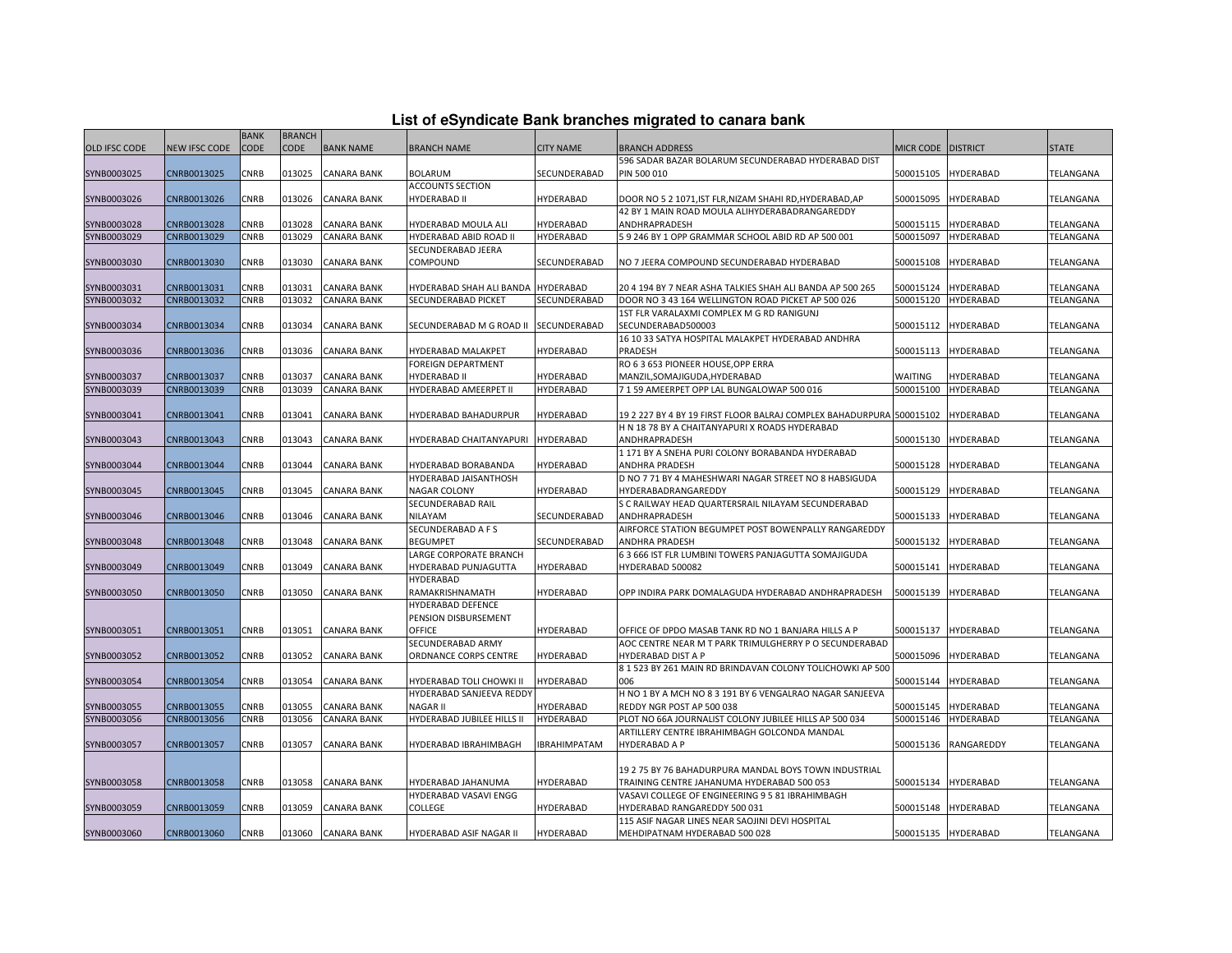| List of eSyndicate Bank branches migrated to canara bank |  |  |  |  |  |  |  |  |  |  |
|----------------------------------------------------------|--|--|--|--|--|--|--|--|--|--|
|----------------------------------------------------------|--|--|--|--|--|--|--|--|--|--|

|               |                      |             |               |                    |                                       |                     | List of eSyndicate Bank branches migrated to canara bank             |                    |                     |              |
|---------------|----------------------|-------------|---------------|--------------------|---------------------------------------|---------------------|----------------------------------------------------------------------|--------------------|---------------------|--------------|
|               |                      | <b>BANK</b> | <b>BRANCH</b> |                    |                                       |                     |                                                                      |                    |                     |              |
| OLD IFSC CODE | <b>NEW IFSC CODE</b> | <b>CODE</b> | <b>CODE</b>   | <b>BANK NAME</b>   | <b>BRANCH NAME</b>                    | <b>CITY NAME</b>    | <b>BRANCH ADDRESS</b>                                                | MICR CODE DISTRICT |                     | <b>STATE</b> |
|               |                      |             |               |                    |                                       |                     | 596 SADAR BAZAR BOLARUM SECUNDERABAD HYDERABAD DIST                  |                    |                     |              |
| SYNB0003025   | CNRB0013025          | CNRB        | 013025        | <b>CANARA BANK</b> | <b>BOLARUM</b>                        | SECUNDERABAD        | PIN 500 010                                                          | 500015105          | HYDERABAD           | TELANGANA    |
|               |                      |             |               |                    | <b>ACCOUNTS SECTION</b>               |                     |                                                                      |                    |                     |              |
| SYNB0003026   | CNRB0013026          | CNRB        | 013026        | <b>CANARA BANK</b> | <b>HYDERABAD II</b>                   | HYDERABAD           | DOOR NO 5 2 1071,IST FLR,NIZAM SHAHI RD,HYDERABAD,AP                 | 500015095          | HYDERABAD           | TELANGANA    |
|               |                      |             |               |                    |                                       |                     | 42 BY 1 MAIN ROAD MOULA ALIHYDERABADRANGAREDDY                       |                    |                     |              |
| SYNB0003028   | CNRB0013028          | CNRB        | 013028        | <b>CANARA BANK</b> | HYDERABAD MOULA ALI                   | HYDERABAD           | ANDHRAPRADESH                                                        | 500015115          | <b>HYDERABAD</b>    | TELANGANA    |
| SYNB0003029   | CNRB0013029          | CNRB        | 013029        | <b>CANARA BANK</b> | HYDERABAD ABID ROAD II                | HYDERABAD           | 5 9 246 BY 1 OPP GRAMMAR SCHOOL ABID RD AP 500 001                   | 500015097          | <b>HYDERABAD</b>    | TELANGANA    |
|               |                      |             |               |                    | SECUNDERABAD JEERA                    |                     |                                                                      |                    |                     |              |
| SYNB0003030   | CNRB0013030          | <b>CNRB</b> | 013030        | <b>CANARA BANK</b> | COMPOUND                              | SECUNDERABAD        | NO 7 JEERA COMPOUND SECUNDERABAD HYDERABAD                           | 500015108          | HYDERABAD           | TELANGANA    |
|               |                      |             |               |                    |                                       |                     |                                                                      |                    |                     |              |
| SYNB0003031   | CNRB0013031          | CNRB        | 013031        | <b>CANARA BANK</b> | HYDERABAD SHAH ALI BANDA HYDERABAD    |                     | 20 4 194 BY 7 NEAR ASHA TALKIES SHAH ALI BANDA AP 500 265            | 500015124          | HYDERABAD           | TELANGANA    |
| SYNB0003032   | CNRB0013032          | CNRB        | 013032        | <b>CANARA BANK</b> | SECUNDERABAD PICKET                   | SECUNDERABAD        | DOOR NO 3 43 164 WELLINGTON ROAD PICKET AP 500 026                   | 500015120          | HYDERABAD           | TELANGANA    |
|               |                      |             |               |                    |                                       |                     | 1ST FLR VARALAXMI COMPLEX M G RD RANIGUNJ                            |                    |                     |              |
| SYNB0003034   | CNRB0013034          | <b>CNRB</b> | 013034        | <b>CANARA BANK</b> | SECUNDERABAD M G ROAD II SECUNDERABAD |                     | SECUNDERABAD500003                                                   | 500015112          | <b>HYDERABAD</b>    | TELANGANA    |
|               |                      |             |               |                    |                                       |                     | 16 10 33 SATYA HOSPITAL MALAKPET HYDERABAD ANDHRA                    |                    |                     |              |
| SYNB0003036   | CNRB0013036          | CNRB        | 013036        | <b>CANARA BANK</b> | HYDERABAD MALAKPET                    | HYDERABAD           | PRADESH                                                              | 500015113          | HYDERABAD           | TELANGANA    |
|               |                      |             |               |                    | <b>FOREIGN DEPARTMENT</b>             |                     | RO 6 3 653 PIONEER HOUSE, OPP ERRA                                   |                    |                     |              |
| SYNB0003037   | CNRB0013037          | CNRB        | 013037        | CANARA BANK        | <b>HYDERABAD II</b>                   | HYDERABAD           | MANZIL, SOMAJIGUDA, HYDERABAD                                        | WAITING            | HYDERABAD           | TELANGANA    |
| SYNB0003039   | CNRB0013039          | CNRB        | 013039        | <b>CANARA BANK</b> | HYDERABAD AMEERPET II                 | HYDERABAD           | 7 1 59 AMEERPET OPP LAL BUNGALOWAP 500 016                           | 500015100          | HYDERABAD           | TELANGANA    |
|               |                      |             |               |                    |                                       |                     |                                                                      |                    |                     |              |
| SYNB0003041   | CNRB0013041          | <b>CNRB</b> | 013041        | <b>CANARA BANK</b> | HYDERABAD BAHADURPUR                  | <b>HYDERABAD</b>    | 19 2 227 BY 4 BY 19 FIRST FLOOR BALRAJ COMPLEX BAHADURPURA 500015102 |                    | HYDERABAD           | TELANGANA    |
|               |                      |             |               |                    |                                       |                     | H N 18 78 BY A CHAITANYAPURI X ROADS HYDERABAD                       |                    |                     |              |
| SYNB0003043   | CNRB0013043          | <b>CNRB</b> | 013043        | <b>CANARA BANK</b> | HYDERABAD CHAITANYAPURI HYDERABAD     |                     | ANDHRAPRADESH                                                        | 500015130          | <b>HYDERABAD</b>    | TELANGANA    |
|               |                      |             |               |                    |                                       |                     | 1 171 BY A SNEHA PURI COLONY BORABANDA HYDERABAD                     |                    |                     |              |
| SYNB0003044   | CNRB0013044          | CNRB        | 013044        | <b>CANARA BANK</b> | HYDERABAD BORABANDA                   | HYDERABAD           | ANDHRA PRADESH                                                       | 500015128          | HYDERABAD           | TELANGANA    |
|               |                      |             |               |                    | HYDERABAD JAISANTHOSH                 |                     | D NO 7 71 BY 4 MAHESHWARI NAGAR STREET NO 8 HABSIGUDA                |                    |                     |              |
| SYNB0003045   | CNRB0013045          | <b>CNRB</b> | 013045        | <b>CANARA BANK</b> | NAGAR COLONY                          | HYDERABAD           | HYDERABADRANGAREDDY                                                  | 500015129          | <b>HYDERABAD</b>    | TELANGANA    |
|               |                      |             |               |                    | SECUNDERABAD RAIL                     |                     | S C RAILWAY HEAD QUARTERSRAIL NILAYAM SECUNDERABAD                   |                    |                     |              |
| SYNB0003046   | CNRB0013046          | CNRB        | 013046        | <b>CANARA BANK</b> | <b>NILAYAM</b>                        | SECUNDERABAD        | ANDHRAPRADESH                                                        | 500015133          | HYDERABAD           | TELANGANA    |
|               |                      |             |               |                    | SECUNDERABAD A F S                    |                     | AIRFORCE STATION BEGUMPET POST BOWENPALLY RANGAREDDY                 |                    |                     |              |
| SYNB0003048   | CNRB0013048          | CNRB        | 013048        | <b>CANARA BANK</b> | <b>BEGUMPET</b>                       | SECUNDERABAD        | ANDHRA PRADESH                                                       | 500015132          | <b>HYDERABAD</b>    | TELANGANA    |
|               |                      |             |               |                    | LARGE CORPORATE BRANCH                |                     | 6 3 666 IST FLR LUMBINI TOWERS PANJAGUTTA SOMAJIGUDA                 |                    |                     |              |
| SYNB0003049   | CNRB0013049          | CNRB        | 013049        | <b>CANARA BANK</b> | HYDERABAD PUNJAGUTTA                  | HYDERABAD           | HYDERABAD 500082                                                     | 500015141          | HYDERABAD           | TELANGANA    |
|               |                      |             |               |                    | <b>HYDERABAD</b>                      |                     |                                                                      |                    |                     |              |
| SYNB0003050   | CNRB0013050          | CNRB        | 013050        | <b>CANARA BANK</b> | RAMAKRISHNAMATH                       | <b>HYDERABAD</b>    | OPP INDIRA PARK DOMALAGUDA HYDERABAD ANDHRAPRADESH                   | 500015139          | HYDERABAD           | TELANGANA    |
|               |                      |             |               |                    | HYDERABAD DEFENCE                     |                     |                                                                      |                    |                     |              |
|               |                      |             |               |                    | PENSION DISBURSEMENT                  |                     |                                                                      |                    |                     |              |
| SYNB0003051   | CNRB0013051          | CNRB        | 013051        | <b>CANARA BANK</b> | OFFICE                                | HYDERABAD           | OFFICE OF DPDO MASAB TANK RD NO 1 BANJARA HILLS A P                  | 500015137          | HYDERABAD           | TELANGANA    |
|               |                      |             |               |                    | SECUNDERABAD ARMY                     |                     | AOC CENTRE NEAR M T PARK TRIMULGHERRY P O SECUNDERABAD               |                    |                     |              |
| SYNB0003052   | CNRB0013052          | <b>CNRB</b> | 013052        | <b>CANARA BANK</b> | ORDNANCE CORPS CENTRE                 | <b>HYDERABAD</b>    | HYDERABAD DIST A P                                                   | 500015096          | <b>HYDERABAD</b>    | TELANGANA    |
|               |                      |             |               |                    |                                       |                     | 8 1 523 BY 261 MAIN RD BRINDAVAN COLONY TOLICHOWKI AP 500            |                    |                     |              |
| SYNB0003054   | CNRB0013054          | CNRB        | 013054        | <b>CANARA BANK</b> | HYDERABAD TOLI CHOWKI II              | HYDERABAD           | 006                                                                  | 500015144          | HYDERABAD           | TELANGANA    |
|               |                      |             |               |                    | HYDERABAD SANJEEVA REDDY              |                     | H NO 1 BY A MCH NO 8 3 191 BY 6 VENGALRAO NAGAR SANJEEVA             |                    |                     |              |
| SYNB0003055   | CNRB0013055          | CNRB        | 013055        | <b>CANARA BANK</b> | <b>NAGAR II</b>                       | HYDERABAD           | REDDY NGR POST AP 500 038                                            | 500015145          | HYDERABAD           | TELANGANA    |
| SYNB0003056   | CNRB0013056          | CNRB        | 013056        | <b>CANARA BANK</b> | HYDERABAD JUBILEE HILLS II            | <b>HYDERABAD</b>    | PLOT NO 66A JOURNALIST COLONY JUBILEE HILLS AP 500 034               | 500015146          | <b>HYDERABAD</b>    | TELANGANA    |
|               |                      |             |               |                    |                                       |                     | ARTILLERY CENTRE IBRAHIMBAGH GOLCONDA MANDAL                         |                    |                     |              |
| SYNB0003057   | CNRB0013057          | CNRB        | 013057        | <b>CANARA BANK</b> | HYDERABAD IBRAHIMBAGH                 | <b>IBRAHIMPATAM</b> | <b>HYDERABAD A P</b>                                                 | 500015136          | RANGAREDDY          | TELANGANA    |
|               |                      |             |               |                    |                                       |                     |                                                                      |                    |                     |              |
|               |                      |             |               |                    |                                       |                     | 19 2 75 BY 76 BAHADURPURA MANDAL BOYS TOWN INDUSTRIAL                |                    |                     |              |
| SYNB0003058   | CNRB0013058          | CNRB        | 013058        | <b>CANARA BANK</b> | HYDERABAD JAHANUMA                    | <b>HYDERABAD</b>    | TRAINING CENTRE JAHANUMA HYDERABAD 500 053                           | 500015134          | <b>HYDERABAD</b>    | TELANGANA    |
|               |                      |             |               |                    | HYDERABAD VASAVI ENGG                 |                     | VASAVI COLLEGE OF ENGINEERING 9 5 81 IBRAHIMBAGH                     |                    |                     |              |
| SYNB0003059   | CNRB0013059          | CNRB        | 013059        | <b>CANARA BANK</b> | COLLEGE                               | HYDERABAD           | HYDERABAD RANGAREDDY 500 031                                         | 500015148          | HYDERABAD           | TELANGANA    |
|               |                      |             |               |                    |                                       |                     | 115 ASIF NAGAR LINES NEAR SAOJINI DEVI HOSPITAL                      |                    |                     |              |
| SYNB0003060   | CNRB0013060          | CNRB        | 013060        | <b>CANARA BANK</b> | HYDERABAD ASIF NAGAR II               | <b>HYDERABAD</b>    | MEHDIPATNAM HYDERABAD 500 028                                        |                    | 500015135 HYDERABAD | TELANGANA    |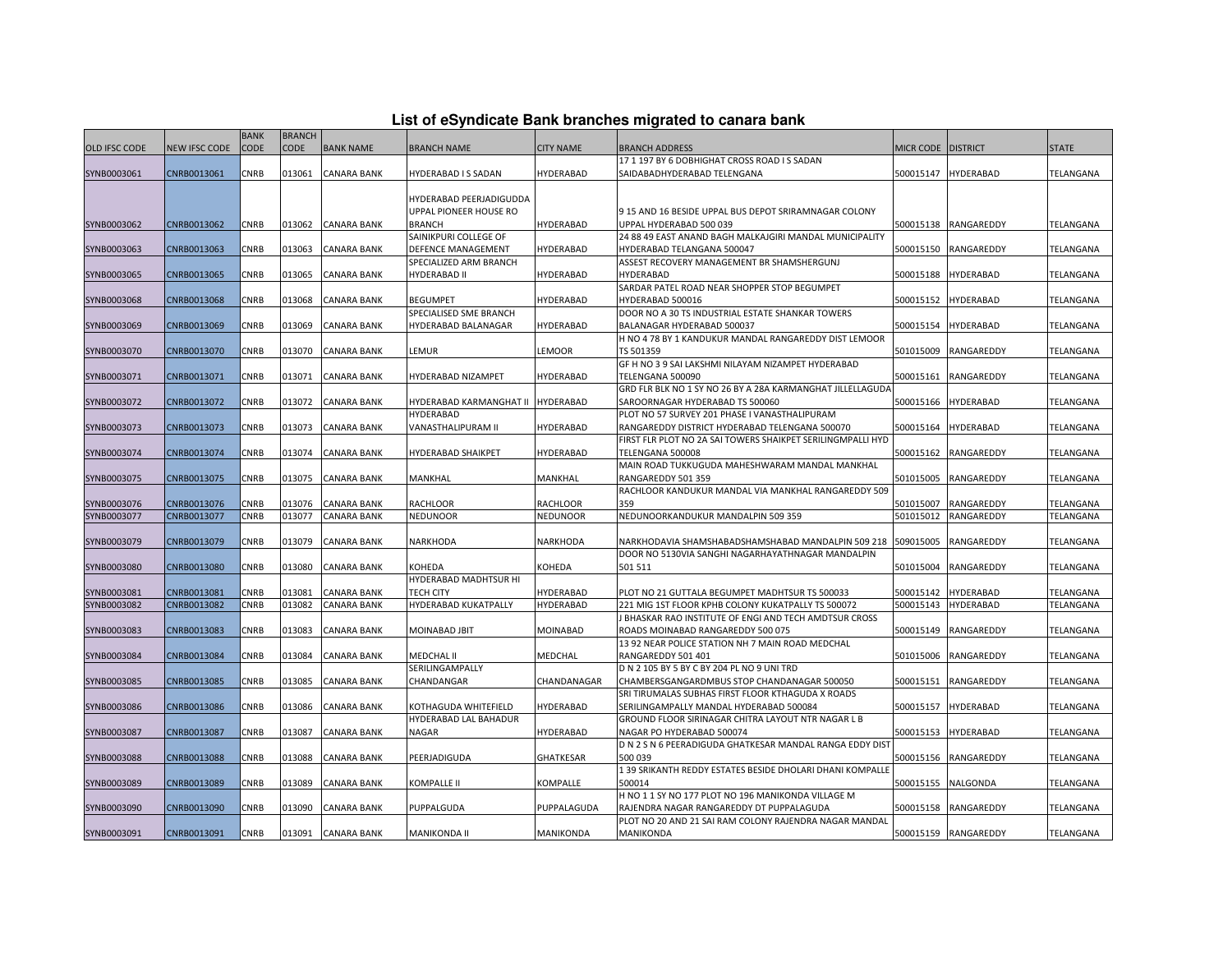| List of eSyndicate Bank branches migrated to canara bank |  |  |
|----------------------------------------------------------|--|--|
|                                                          |  |  |

| <b>CODE</b><br><b>CODE</b><br><b>BANK NAME</b><br><b>OLD IFSC CODE</b><br><b>NEW IFSC CODE</b><br><b>BRANCH NAME</b><br><b>CITY NAME</b><br><b>BRANCH ADDRESS</b><br>MICR CODE   DISTRICT<br><b>STATE</b><br>17 1 197 BY 6 DOBHIGHAT CROSS ROAD I S SADAN<br>CNRB0013061<br><b>CNRB</b><br>013061<br><b>CANARA BANK</b><br>HYDERABAD<br>500015147<br><b>HYDERABAD</b><br>TELANGANA<br>SYNB0003061<br>HYDERABAD I S SADAN<br>SAIDABADHYDERABAD TELENGANA<br>HYDERABAD PEERJADIGUDDA<br>UPPAL PIONEER HOUSE RO<br>915 AND 16 BESIDE UPPAL BUS DEPOT SRIRAMNAGAR COLONY<br>SYNB0003062<br>CNRB0013062<br>CNRB<br>013062<br><b>CANARA BANK</b><br><b>BRANCH</b><br><b>HYDERABAD</b><br>UPPAL HYDERABAD 500 039<br>500015138<br>RANGAREDDY<br>TELANGANA<br>SAINIKPURI COLLEGE OF<br>24 88 49 EAST ANAND BAGH MALKAJGIRI MANDAL MUNICIPALITY<br>CNRB0013063<br>CNRB<br><b>HYDERABAD</b><br>500015150<br>SYNB0003063<br>013063<br><b>CANARA BANK</b><br>DEFENCE MANAGEMENT<br>HYDERABAD TELANGANA 500047<br>RANGAREDDY<br>TELANGANA<br>ASSEST RECOVERY MANAGEMENT BR SHAMSHERGUNJ<br>SPECIALIZED ARM BRANCH<br>CNRB<br><b>CANARA BANK</b><br><b>HYDERABAD II</b><br>HYDERABAD<br><b>HYDERABAD</b><br>SYNB0003065<br>CNRB0013065<br>013065<br>HYDERABAD<br>500015188<br>TELANGANA<br>SARDAR PATEL ROAD NEAR SHOPPER STOP BEGUMPET<br>SYNB0003068<br>CNRB0013068<br>CNRB<br>013068<br><b>CANARA BANK</b><br><b>BEGUMPET</b><br>HYDERABAD<br>HYDERABAD 500016<br>500015152<br><b>HYDERABAD</b><br>TELANGANA<br>SPECIALISED SME BRANCH<br>DOOR NO A 30 TS INDUSTRIAL ESTATE SHANKAR TOWERS<br>CNRB<br><b>CANARA BANK</b><br><b>HYDERABAD</b><br>500015154<br><b>HYDERABAD</b><br>SYNB0003069<br>CNRB0013069<br>013069<br>HYDERABAD BALANAGAR<br>BALANAGAR HYDERABAD 500037<br>TELANGANA<br>H NO 4 78 BY 1 KANDUKUR MANDAL RANGAREDDY DIST LEMOOR<br>CNRB<br><b>CANARA BANK</b><br>SYNB0003070<br>CNRB0013070<br>013070<br>LEMUR<br>LEMOOR<br>TS 501359<br>501015009<br>RANGAREDDY<br>TELANGANA<br>GF H NO 3 9 SAI LAKSHMI NILAYAM NIZAMPET HYDERABAD<br>SYNB0003071<br>CNRB0013071<br>CNRB<br>013071<br><b>CANARA BANK</b><br>HYDERABAD NIZAMPET<br>500015161<br>RANGAREDDY<br>HYDERABAD<br>TELENGANA 500090<br>TELANGANA<br>GRD FLR BLK NO 1 SY NO 26 BY A 28A KARMANGHAT JILLELLAGUDA<br>CNRB<br><b>CANARA BANK</b><br>HYDERABAD KARMANGHAT II HYDERABAD<br>500015166<br><b>HYDERABAD</b><br>SYNB0003072<br>CNRB0013072<br>013072<br>SAROORNAGAR HYDERABAD TS 500060<br>TELANGANA<br>PLOT NO 57 SURVEY 201 PHASE I VANASTHALIPURAM<br>HYDERABAD<br>SYNB0003073<br>CNRB0013073<br>CNRB<br>013073<br><b>CANARA BANK</b><br>VANASTHALIPURAM II<br>HYDERABAD<br>RANGAREDDY DISTRICT HYDERABAD TELENGANA 500070<br>500015164<br><b>HYDERABAD</b><br>TELANGANA<br>FIRST FLR PLOT NO 2A SAI TOWERS SHAIKPET SERILINGMPALLI HYD<br>CNRB0013074<br>CNRB<br>013074<br>HYDERABAD<br>RANGAREDDY<br>SYNB0003074<br><b>CANARA BANK</b><br>HYDERABAD SHAIKPET<br>TELENGANA 500008<br>500015162<br>TELANGANA<br>MAIN ROAD TUKKUGUDA MAHESHWARAM MANDAL MANKHAL<br><b>CANARA BANK</b><br>SYNB0003075<br>CNRB0013075<br><b>CNRB</b><br>013075<br>MANKHAL<br>MANKHAL<br>RANGAREDDY 501 359<br>501015005<br>RANGAREDDY<br>TELANGANA<br>RACHLOOR KANDUKUR MANDAL VIA MANKHAL RANGAREDDY 509<br>SYNB0003076<br>CNRB0013076<br>CNRB<br>013076<br><b>CANARA BANK</b><br><b>RACHLOOR</b><br><b>RACHLOOR</b><br>359<br>501015007<br>RANGAREDDY<br>TELANGANA<br>SYNB0003077<br>CNRB0013077<br><b>CNRB</b><br>013077<br><b>CANARA BANK</b><br><b>NEDUNOOR</b><br><b>NEDUNOOR</b><br>NEDUNOORKANDUKUR MANDALPIN 509 359<br>501015012<br>RANGAREDDY<br>TELANGANA<br>509015005<br>SYNB0003079<br>CNRB0013079<br>CNRB<br>013079<br><b>CANARA BANK</b><br>NARKHODA<br>NARKHODA<br>NARKHODAVIA SHAMSHABADSHAMSHABAD MANDALPIN 509 218<br>RANGAREDDY<br>TELANGANA<br>DOOR NO 5130VIA SANGHI NAGARHAYATHNAGAR MANDALPIN<br>SYNB0003080<br>CNRB0013080<br>CNRB<br>013080<br><b>CANARA BANK</b><br>KOHEDA<br>KOHEDA<br>501 511<br>501015004<br>RANGAREDDY<br>TELANGANA<br>HYDERABAD MADHTSUR HI<br>CNRB0013081<br><b>CNRB</b><br><b>CANARA BANK</b><br><b>TECH CITY</b><br>HYDERABAD<br>500015142<br><b>HYDERABAD</b><br>SYNB0003081<br>013081<br>PLOT NO 21 GUTTALA BEGUMPET MADHTSUR TS 500033<br>TELANGANA<br>SYNB0003082<br>CNRB0013082<br>013082<br><b>CANARA BANK</b><br>HYDERABAD KUKATPALLY<br>HYDERABAD<br><b>HYDERABAD</b><br>TELANGANA<br>CNRB<br>221 MIG 1ST FLOOR KPHB COLONY KUKATPALLY TS 500072<br>500015143<br>BHASKAR RAO INSTITUTE OF ENGI AND TECH AMDTSUR CROSS<br>SYNB0003083<br>CNRB0013083<br>CNRB<br>013083<br><b>CANARA BANK</b><br>MOINABAD JBIT<br><b>MOINABAD</b><br>ROADS MOINABAD RANGAREDDY 500 075<br>500015149<br>RANGAREDDY<br>TELANGANA<br>13 92 NEAR POLICE STATION NH 7 MAIN ROAD MEDCHAL<br>CNRB0013084<br>CNRB<br>SYNB0003084<br>013084<br><b>CANARA BANK</b><br>MEDCHAL II<br><b>MEDCHAL</b><br>RANGAREDDY 501 401<br>501015006<br>RANGAREDDY<br>TELANGANA<br>SERILINGAMPALLY<br>D N 2 105 BY 5 BY C BY 204 PL NO 9 UNI TRD<br>CNRB<br><b>CANARA BANK</b><br>CHANDANGAR<br>SYNB0003085<br>CNRB0013085<br>013085<br>CHANDANAGAR<br>CHAMBERSGANGARDMBUS STOP CHANDANAGAR 500050<br>500015151<br>RANGAREDDY<br>TELANGANA<br>SRI TIRUMALAS SUBHAS FIRST FLOOR KTHAGUDA X ROADS<br>SYNB0003086<br>CNRB0013086<br>CNRB<br><b>CANARA BANK</b><br>HYDERABAD<br>SERILINGAMPALLY MANDAL HYDERABAD 500084<br>500015157<br><b>HYDERABAD</b><br>TELANGANA<br>013086<br>KOTHAGUDA WHITEFIELD<br>HYDERABAD LAL BAHADUR<br>GROUND FLOOR SIRINAGAR CHITRA LAYOUT NTR NAGAR L B<br>CNRB0013087<br>CNRB<br>013087<br><b>CANARA BANK</b><br>HYDERABAD<br>500015153<br><b>HYDERABAD</b><br>SYNB0003087<br><b>NAGAR</b><br>NAGAR PO HYDERABAD 500074<br>TELANGANA<br>D N 2 S N 6 PEERADIGUDA GHATKESAR MANDAL RANGA EDDY DIST<br>CNRB<br><b>GHATKESAR</b><br>500 039<br>500015156<br>RANGAREDDY<br>SYNB0003088<br>CNRB0013088<br>013088<br><b>CANARA BANK</b><br>PEERJADIGUDA<br>TELANGANA<br>139 SRIKANTH REDDY ESTATES BESIDE DHOLARI DHANI KOMPALLE<br>CNRB0013089<br>CNRB<br><b>CANARA BANK</b><br><b>KOMPALLE II</b><br><b>KOMPALLE</b><br>500014<br>500015155<br>NALGONDA<br>TELANGANA<br>SYNB0003089<br>013089<br>H NO 1 1 SY NO 177 PLOT NO 196 MANIKONDA VILLAGE M<br>CNRB0013090<br>CNRB<br>SYNB0003090<br>013090<br><b>CANARA BANK</b><br>PUPPALGUDA<br>PUPPALAGUDA<br>RAJENDRA NAGAR RANGAREDDY DT PUPPALAGUDA<br>500015158<br>RANGAREDDY<br>TELANGANA<br>PLOT NO 20 AND 21 SAI RAM COLONY RAJENDRA NAGAR MANDAL<br><b>CNRB</b><br>013091 CANARA BANK<br>MANIKONDA<br>500015159 RANGAREDDY<br>SYNB0003091<br>CNRB0013091<br>MANIKONDA II<br>MANIKONDA<br>TELANGANA |  | <b>BANK</b> | <b>BRANCH</b> |  |  |  |  |
|----------------------------------------------------------------------------------------------------------------------------------------------------------------------------------------------------------------------------------------------------------------------------------------------------------------------------------------------------------------------------------------------------------------------------------------------------------------------------------------------------------------------------------------------------------------------------------------------------------------------------------------------------------------------------------------------------------------------------------------------------------------------------------------------------------------------------------------------------------------------------------------------------------------------------------------------------------------------------------------------------------------------------------------------------------------------------------------------------------------------------------------------------------------------------------------------------------------------------------------------------------------------------------------------------------------------------------------------------------------------------------------------------------------------------------------------------------------------------------------------------------------------------------------------------------------------------------------------------------------------------------------------------------------------------------------------------------------------------------------------------------------------------------------------------------------------------------------------------------------------------------------------------------------------------------------------------------------------------------------------------------------------------------------------------------------------------------------------------------------------------------------------------------------------------------------------------------------------------------------------------------------------------------------------------------------------------------------------------------------------------------------------------------------------------------------------------------------------------------------------------------------------------------------------------------------------------------------------------------------------------------------------------------------------------------------------------------------------------------------------------------------------------------------------------------------------------------------------------------------------------------------------------------------------------------------------------------------------------------------------------------------------------------------------------------------------------------------------------------------------------------------------------------------------------------------------------------------------------------------------------------------------------------------------------------------------------------------------------------------------------------------------------------------------------------------------------------------------------------------------------------------------------------------------------------------------------------------------------------------------------------------------------------------------------------------------------------------------------------------------------------------------------------------------------------------------------------------------------------------------------------------------------------------------------------------------------------------------------------------------------------------------------------------------------------------------------------------------------------------------------------------------------------------------------------------------------------------------------------------------------------------------------------------------------------------------------------------------------------------------------------------------------------------------------------------------------------------------------------------------------------------------------------------------------------------------------------------------------------------------------------------------------------------------------------------------------------------------------------------------------------------------------------------------------------------------------------------------------------------------------------------------------------------------------------------------------------------------------------------------------------------------------------------------------------------------------------------------------------------------------------------------------------------------------------------------------------------------------------------------------------------------------------------------------------------------------------------------------------------------------------------------------------------------------------------------------------------------------------------------------------------------------------------------------------------------------------------------------------------------------------------------------------------------------------------------------------------------------------------------------------------------------------------------------------------------------------------------------------------------------------------------------------------------------------------------------------------------------------------------------------------------------------------------------------------------------------------------------------------------------------------------------------------------------------------------------------------------------------------------------------------------------------------------------------------------------------------------------------------------------------------------------------------------------------------------------------------------------------------------------------------------------------------------------------------------------------------------------------------------------------------------------|--|-------------|---------------|--|--|--|--|
|                                                                                                                                                                                                                                                                                                                                                                                                                                                                                                                                                                                                                                                                                                                                                                                                                                                                                                                                                                                                                                                                                                                                                                                                                                                                                                                                                                                                                                                                                                                                                                                                                                                                                                                                                                                                                                                                                                                                                                                                                                                                                                                                                                                                                                                                                                                                                                                                                                                                                                                                                                                                                                                                                                                                                                                                                                                                                                                                                                                                                                                                                                                                                                                                                                                                                                                                                                                                                                                                                                                                                                                                                                                                                                                                                                                                                                                                                                                                                                                                                                                                                                                                                                                                                                                                                                                                                                                                                                                                                                                                                                                                                                                                                                                                                                                                                                                                                                                                                                                                                                                                                                                                                                                                                                                                                                                                                                                                                                                                                                                                                                                                                                                                                                                                                                                                                                                                                                                                                                                                                                                                                                                                                                                                                                                                                                                                                                                                                                                                                                                                                                                                                                                    |  |             |               |  |  |  |  |
|                                                                                                                                                                                                                                                                                                                                                                                                                                                                                                                                                                                                                                                                                                                                                                                                                                                                                                                                                                                                                                                                                                                                                                                                                                                                                                                                                                                                                                                                                                                                                                                                                                                                                                                                                                                                                                                                                                                                                                                                                                                                                                                                                                                                                                                                                                                                                                                                                                                                                                                                                                                                                                                                                                                                                                                                                                                                                                                                                                                                                                                                                                                                                                                                                                                                                                                                                                                                                                                                                                                                                                                                                                                                                                                                                                                                                                                                                                                                                                                                                                                                                                                                                                                                                                                                                                                                                                                                                                                                                                                                                                                                                                                                                                                                                                                                                                                                                                                                                                                                                                                                                                                                                                                                                                                                                                                                                                                                                                                                                                                                                                                                                                                                                                                                                                                                                                                                                                                                                                                                                                                                                                                                                                                                                                                                                                                                                                                                                                                                                                                                                                                                                                                    |  |             |               |  |  |  |  |
|                                                                                                                                                                                                                                                                                                                                                                                                                                                                                                                                                                                                                                                                                                                                                                                                                                                                                                                                                                                                                                                                                                                                                                                                                                                                                                                                                                                                                                                                                                                                                                                                                                                                                                                                                                                                                                                                                                                                                                                                                                                                                                                                                                                                                                                                                                                                                                                                                                                                                                                                                                                                                                                                                                                                                                                                                                                                                                                                                                                                                                                                                                                                                                                                                                                                                                                                                                                                                                                                                                                                                                                                                                                                                                                                                                                                                                                                                                                                                                                                                                                                                                                                                                                                                                                                                                                                                                                                                                                                                                                                                                                                                                                                                                                                                                                                                                                                                                                                                                                                                                                                                                                                                                                                                                                                                                                                                                                                                                                                                                                                                                                                                                                                                                                                                                                                                                                                                                                                                                                                                                                                                                                                                                                                                                                                                                                                                                                                                                                                                                                                                                                                                                                    |  |             |               |  |  |  |  |
|                                                                                                                                                                                                                                                                                                                                                                                                                                                                                                                                                                                                                                                                                                                                                                                                                                                                                                                                                                                                                                                                                                                                                                                                                                                                                                                                                                                                                                                                                                                                                                                                                                                                                                                                                                                                                                                                                                                                                                                                                                                                                                                                                                                                                                                                                                                                                                                                                                                                                                                                                                                                                                                                                                                                                                                                                                                                                                                                                                                                                                                                                                                                                                                                                                                                                                                                                                                                                                                                                                                                                                                                                                                                                                                                                                                                                                                                                                                                                                                                                                                                                                                                                                                                                                                                                                                                                                                                                                                                                                                                                                                                                                                                                                                                                                                                                                                                                                                                                                                                                                                                                                                                                                                                                                                                                                                                                                                                                                                                                                                                                                                                                                                                                                                                                                                                                                                                                                                                                                                                                                                                                                                                                                                                                                                                                                                                                                                                                                                                                                                                                                                                                                                    |  |             |               |  |  |  |  |
|                                                                                                                                                                                                                                                                                                                                                                                                                                                                                                                                                                                                                                                                                                                                                                                                                                                                                                                                                                                                                                                                                                                                                                                                                                                                                                                                                                                                                                                                                                                                                                                                                                                                                                                                                                                                                                                                                                                                                                                                                                                                                                                                                                                                                                                                                                                                                                                                                                                                                                                                                                                                                                                                                                                                                                                                                                                                                                                                                                                                                                                                                                                                                                                                                                                                                                                                                                                                                                                                                                                                                                                                                                                                                                                                                                                                                                                                                                                                                                                                                                                                                                                                                                                                                                                                                                                                                                                                                                                                                                                                                                                                                                                                                                                                                                                                                                                                                                                                                                                                                                                                                                                                                                                                                                                                                                                                                                                                                                                                                                                                                                                                                                                                                                                                                                                                                                                                                                                                                                                                                                                                                                                                                                                                                                                                                                                                                                                                                                                                                                                                                                                                                                                    |  |             |               |  |  |  |  |
|                                                                                                                                                                                                                                                                                                                                                                                                                                                                                                                                                                                                                                                                                                                                                                                                                                                                                                                                                                                                                                                                                                                                                                                                                                                                                                                                                                                                                                                                                                                                                                                                                                                                                                                                                                                                                                                                                                                                                                                                                                                                                                                                                                                                                                                                                                                                                                                                                                                                                                                                                                                                                                                                                                                                                                                                                                                                                                                                                                                                                                                                                                                                                                                                                                                                                                                                                                                                                                                                                                                                                                                                                                                                                                                                                                                                                                                                                                                                                                                                                                                                                                                                                                                                                                                                                                                                                                                                                                                                                                                                                                                                                                                                                                                                                                                                                                                                                                                                                                                                                                                                                                                                                                                                                                                                                                                                                                                                                                                                                                                                                                                                                                                                                                                                                                                                                                                                                                                                                                                                                                                                                                                                                                                                                                                                                                                                                                                                                                                                                                                                                                                                                                                    |  |             |               |  |  |  |  |
|                                                                                                                                                                                                                                                                                                                                                                                                                                                                                                                                                                                                                                                                                                                                                                                                                                                                                                                                                                                                                                                                                                                                                                                                                                                                                                                                                                                                                                                                                                                                                                                                                                                                                                                                                                                                                                                                                                                                                                                                                                                                                                                                                                                                                                                                                                                                                                                                                                                                                                                                                                                                                                                                                                                                                                                                                                                                                                                                                                                                                                                                                                                                                                                                                                                                                                                                                                                                                                                                                                                                                                                                                                                                                                                                                                                                                                                                                                                                                                                                                                                                                                                                                                                                                                                                                                                                                                                                                                                                                                                                                                                                                                                                                                                                                                                                                                                                                                                                                                                                                                                                                                                                                                                                                                                                                                                                                                                                                                                                                                                                                                                                                                                                                                                                                                                                                                                                                                                                                                                                                                                                                                                                                                                                                                                                                                                                                                                                                                                                                                                                                                                                                                                    |  |             |               |  |  |  |  |
|                                                                                                                                                                                                                                                                                                                                                                                                                                                                                                                                                                                                                                                                                                                                                                                                                                                                                                                                                                                                                                                                                                                                                                                                                                                                                                                                                                                                                                                                                                                                                                                                                                                                                                                                                                                                                                                                                                                                                                                                                                                                                                                                                                                                                                                                                                                                                                                                                                                                                                                                                                                                                                                                                                                                                                                                                                                                                                                                                                                                                                                                                                                                                                                                                                                                                                                                                                                                                                                                                                                                                                                                                                                                                                                                                                                                                                                                                                                                                                                                                                                                                                                                                                                                                                                                                                                                                                                                                                                                                                                                                                                                                                                                                                                                                                                                                                                                                                                                                                                                                                                                                                                                                                                                                                                                                                                                                                                                                                                                                                                                                                                                                                                                                                                                                                                                                                                                                                                                                                                                                                                                                                                                                                                                                                                                                                                                                                                                                                                                                                                                                                                                                                                    |  |             |               |  |  |  |  |
|                                                                                                                                                                                                                                                                                                                                                                                                                                                                                                                                                                                                                                                                                                                                                                                                                                                                                                                                                                                                                                                                                                                                                                                                                                                                                                                                                                                                                                                                                                                                                                                                                                                                                                                                                                                                                                                                                                                                                                                                                                                                                                                                                                                                                                                                                                                                                                                                                                                                                                                                                                                                                                                                                                                                                                                                                                                                                                                                                                                                                                                                                                                                                                                                                                                                                                                                                                                                                                                                                                                                                                                                                                                                                                                                                                                                                                                                                                                                                                                                                                                                                                                                                                                                                                                                                                                                                                                                                                                                                                                                                                                                                                                                                                                                                                                                                                                                                                                                                                                                                                                                                                                                                                                                                                                                                                                                                                                                                                                                                                                                                                                                                                                                                                                                                                                                                                                                                                                                                                                                                                                                                                                                                                                                                                                                                                                                                                                                                                                                                                                                                                                                                                                    |  |             |               |  |  |  |  |
|                                                                                                                                                                                                                                                                                                                                                                                                                                                                                                                                                                                                                                                                                                                                                                                                                                                                                                                                                                                                                                                                                                                                                                                                                                                                                                                                                                                                                                                                                                                                                                                                                                                                                                                                                                                                                                                                                                                                                                                                                                                                                                                                                                                                                                                                                                                                                                                                                                                                                                                                                                                                                                                                                                                                                                                                                                                                                                                                                                                                                                                                                                                                                                                                                                                                                                                                                                                                                                                                                                                                                                                                                                                                                                                                                                                                                                                                                                                                                                                                                                                                                                                                                                                                                                                                                                                                                                                                                                                                                                                                                                                                                                                                                                                                                                                                                                                                                                                                                                                                                                                                                                                                                                                                                                                                                                                                                                                                                                                                                                                                                                                                                                                                                                                                                                                                                                                                                                                                                                                                                                                                                                                                                                                                                                                                                                                                                                                                                                                                                                                                                                                                                                                    |  |             |               |  |  |  |  |
|                                                                                                                                                                                                                                                                                                                                                                                                                                                                                                                                                                                                                                                                                                                                                                                                                                                                                                                                                                                                                                                                                                                                                                                                                                                                                                                                                                                                                                                                                                                                                                                                                                                                                                                                                                                                                                                                                                                                                                                                                                                                                                                                                                                                                                                                                                                                                                                                                                                                                                                                                                                                                                                                                                                                                                                                                                                                                                                                                                                                                                                                                                                                                                                                                                                                                                                                                                                                                                                                                                                                                                                                                                                                                                                                                                                                                                                                                                                                                                                                                                                                                                                                                                                                                                                                                                                                                                                                                                                                                                                                                                                                                                                                                                                                                                                                                                                                                                                                                                                                                                                                                                                                                                                                                                                                                                                                                                                                                                                                                                                                                                                                                                                                                                                                                                                                                                                                                                                                                                                                                                                                                                                                                                                                                                                                                                                                                                                                                                                                                                                                                                                                                                                    |  |             |               |  |  |  |  |
|                                                                                                                                                                                                                                                                                                                                                                                                                                                                                                                                                                                                                                                                                                                                                                                                                                                                                                                                                                                                                                                                                                                                                                                                                                                                                                                                                                                                                                                                                                                                                                                                                                                                                                                                                                                                                                                                                                                                                                                                                                                                                                                                                                                                                                                                                                                                                                                                                                                                                                                                                                                                                                                                                                                                                                                                                                                                                                                                                                                                                                                                                                                                                                                                                                                                                                                                                                                                                                                                                                                                                                                                                                                                                                                                                                                                                                                                                                                                                                                                                                                                                                                                                                                                                                                                                                                                                                                                                                                                                                                                                                                                                                                                                                                                                                                                                                                                                                                                                                                                                                                                                                                                                                                                                                                                                                                                                                                                                                                                                                                                                                                                                                                                                                                                                                                                                                                                                                                                                                                                                                                                                                                                                                                                                                                                                                                                                                                                                                                                                                                                                                                                                                                    |  |             |               |  |  |  |  |
|                                                                                                                                                                                                                                                                                                                                                                                                                                                                                                                                                                                                                                                                                                                                                                                                                                                                                                                                                                                                                                                                                                                                                                                                                                                                                                                                                                                                                                                                                                                                                                                                                                                                                                                                                                                                                                                                                                                                                                                                                                                                                                                                                                                                                                                                                                                                                                                                                                                                                                                                                                                                                                                                                                                                                                                                                                                                                                                                                                                                                                                                                                                                                                                                                                                                                                                                                                                                                                                                                                                                                                                                                                                                                                                                                                                                                                                                                                                                                                                                                                                                                                                                                                                                                                                                                                                                                                                                                                                                                                                                                                                                                                                                                                                                                                                                                                                                                                                                                                                                                                                                                                                                                                                                                                                                                                                                                                                                                                                                                                                                                                                                                                                                                                                                                                                                                                                                                                                                                                                                                                                                                                                                                                                                                                                                                                                                                                                                                                                                                                                                                                                                                                                    |  |             |               |  |  |  |  |
|                                                                                                                                                                                                                                                                                                                                                                                                                                                                                                                                                                                                                                                                                                                                                                                                                                                                                                                                                                                                                                                                                                                                                                                                                                                                                                                                                                                                                                                                                                                                                                                                                                                                                                                                                                                                                                                                                                                                                                                                                                                                                                                                                                                                                                                                                                                                                                                                                                                                                                                                                                                                                                                                                                                                                                                                                                                                                                                                                                                                                                                                                                                                                                                                                                                                                                                                                                                                                                                                                                                                                                                                                                                                                                                                                                                                                                                                                                                                                                                                                                                                                                                                                                                                                                                                                                                                                                                                                                                                                                                                                                                                                                                                                                                                                                                                                                                                                                                                                                                                                                                                                                                                                                                                                                                                                                                                                                                                                                                                                                                                                                                                                                                                                                                                                                                                                                                                                                                                                                                                                                                                                                                                                                                                                                                                                                                                                                                                                                                                                                                                                                                                                                                    |  |             |               |  |  |  |  |
|                                                                                                                                                                                                                                                                                                                                                                                                                                                                                                                                                                                                                                                                                                                                                                                                                                                                                                                                                                                                                                                                                                                                                                                                                                                                                                                                                                                                                                                                                                                                                                                                                                                                                                                                                                                                                                                                                                                                                                                                                                                                                                                                                                                                                                                                                                                                                                                                                                                                                                                                                                                                                                                                                                                                                                                                                                                                                                                                                                                                                                                                                                                                                                                                                                                                                                                                                                                                                                                                                                                                                                                                                                                                                                                                                                                                                                                                                                                                                                                                                                                                                                                                                                                                                                                                                                                                                                                                                                                                                                                                                                                                                                                                                                                                                                                                                                                                                                                                                                                                                                                                                                                                                                                                                                                                                                                                                                                                                                                                                                                                                                                                                                                                                                                                                                                                                                                                                                                                                                                                                                                                                                                                                                                                                                                                                                                                                                                                                                                                                                                                                                                                                                                    |  |             |               |  |  |  |  |
|                                                                                                                                                                                                                                                                                                                                                                                                                                                                                                                                                                                                                                                                                                                                                                                                                                                                                                                                                                                                                                                                                                                                                                                                                                                                                                                                                                                                                                                                                                                                                                                                                                                                                                                                                                                                                                                                                                                                                                                                                                                                                                                                                                                                                                                                                                                                                                                                                                                                                                                                                                                                                                                                                                                                                                                                                                                                                                                                                                                                                                                                                                                                                                                                                                                                                                                                                                                                                                                                                                                                                                                                                                                                                                                                                                                                                                                                                                                                                                                                                                                                                                                                                                                                                                                                                                                                                                                                                                                                                                                                                                                                                                                                                                                                                                                                                                                                                                                                                                                                                                                                                                                                                                                                                                                                                                                                                                                                                                                                                                                                                                                                                                                                                                                                                                                                                                                                                                                                                                                                                                                                                                                                                                                                                                                                                                                                                                                                                                                                                                                                                                                                                                                    |  |             |               |  |  |  |  |
|                                                                                                                                                                                                                                                                                                                                                                                                                                                                                                                                                                                                                                                                                                                                                                                                                                                                                                                                                                                                                                                                                                                                                                                                                                                                                                                                                                                                                                                                                                                                                                                                                                                                                                                                                                                                                                                                                                                                                                                                                                                                                                                                                                                                                                                                                                                                                                                                                                                                                                                                                                                                                                                                                                                                                                                                                                                                                                                                                                                                                                                                                                                                                                                                                                                                                                                                                                                                                                                                                                                                                                                                                                                                                                                                                                                                                                                                                                                                                                                                                                                                                                                                                                                                                                                                                                                                                                                                                                                                                                                                                                                                                                                                                                                                                                                                                                                                                                                                                                                                                                                                                                                                                                                                                                                                                                                                                                                                                                                                                                                                                                                                                                                                                                                                                                                                                                                                                                                                                                                                                                                                                                                                                                                                                                                                                                                                                                                                                                                                                                                                                                                                                                                    |  |             |               |  |  |  |  |
|                                                                                                                                                                                                                                                                                                                                                                                                                                                                                                                                                                                                                                                                                                                                                                                                                                                                                                                                                                                                                                                                                                                                                                                                                                                                                                                                                                                                                                                                                                                                                                                                                                                                                                                                                                                                                                                                                                                                                                                                                                                                                                                                                                                                                                                                                                                                                                                                                                                                                                                                                                                                                                                                                                                                                                                                                                                                                                                                                                                                                                                                                                                                                                                                                                                                                                                                                                                                                                                                                                                                                                                                                                                                                                                                                                                                                                                                                                                                                                                                                                                                                                                                                                                                                                                                                                                                                                                                                                                                                                                                                                                                                                                                                                                                                                                                                                                                                                                                                                                                                                                                                                                                                                                                                                                                                                                                                                                                                                                                                                                                                                                                                                                                                                                                                                                                                                                                                                                                                                                                                                                                                                                                                                                                                                                                                                                                                                                                                                                                                                                                                                                                                                                    |  |             |               |  |  |  |  |
|                                                                                                                                                                                                                                                                                                                                                                                                                                                                                                                                                                                                                                                                                                                                                                                                                                                                                                                                                                                                                                                                                                                                                                                                                                                                                                                                                                                                                                                                                                                                                                                                                                                                                                                                                                                                                                                                                                                                                                                                                                                                                                                                                                                                                                                                                                                                                                                                                                                                                                                                                                                                                                                                                                                                                                                                                                                                                                                                                                                                                                                                                                                                                                                                                                                                                                                                                                                                                                                                                                                                                                                                                                                                                                                                                                                                                                                                                                                                                                                                                                                                                                                                                                                                                                                                                                                                                                                                                                                                                                                                                                                                                                                                                                                                                                                                                                                                                                                                                                                                                                                                                                                                                                                                                                                                                                                                                                                                                                                                                                                                                                                                                                                                                                                                                                                                                                                                                                                                                                                                                                                                                                                                                                                                                                                                                                                                                                                                                                                                                                                                                                                                                                                    |  |             |               |  |  |  |  |
|                                                                                                                                                                                                                                                                                                                                                                                                                                                                                                                                                                                                                                                                                                                                                                                                                                                                                                                                                                                                                                                                                                                                                                                                                                                                                                                                                                                                                                                                                                                                                                                                                                                                                                                                                                                                                                                                                                                                                                                                                                                                                                                                                                                                                                                                                                                                                                                                                                                                                                                                                                                                                                                                                                                                                                                                                                                                                                                                                                                                                                                                                                                                                                                                                                                                                                                                                                                                                                                                                                                                                                                                                                                                                                                                                                                                                                                                                                                                                                                                                                                                                                                                                                                                                                                                                                                                                                                                                                                                                                                                                                                                                                                                                                                                                                                                                                                                                                                                                                                                                                                                                                                                                                                                                                                                                                                                                                                                                                                                                                                                                                                                                                                                                                                                                                                                                                                                                                                                                                                                                                                                                                                                                                                                                                                                                                                                                                                                                                                                                                                                                                                                                                                    |  |             |               |  |  |  |  |
|                                                                                                                                                                                                                                                                                                                                                                                                                                                                                                                                                                                                                                                                                                                                                                                                                                                                                                                                                                                                                                                                                                                                                                                                                                                                                                                                                                                                                                                                                                                                                                                                                                                                                                                                                                                                                                                                                                                                                                                                                                                                                                                                                                                                                                                                                                                                                                                                                                                                                                                                                                                                                                                                                                                                                                                                                                                                                                                                                                                                                                                                                                                                                                                                                                                                                                                                                                                                                                                                                                                                                                                                                                                                                                                                                                                                                                                                                                                                                                                                                                                                                                                                                                                                                                                                                                                                                                                                                                                                                                                                                                                                                                                                                                                                                                                                                                                                                                                                                                                                                                                                                                                                                                                                                                                                                                                                                                                                                                                                                                                                                                                                                                                                                                                                                                                                                                                                                                                                                                                                                                                                                                                                                                                                                                                                                                                                                                                                                                                                                                                                                                                                                                                    |  |             |               |  |  |  |  |
|                                                                                                                                                                                                                                                                                                                                                                                                                                                                                                                                                                                                                                                                                                                                                                                                                                                                                                                                                                                                                                                                                                                                                                                                                                                                                                                                                                                                                                                                                                                                                                                                                                                                                                                                                                                                                                                                                                                                                                                                                                                                                                                                                                                                                                                                                                                                                                                                                                                                                                                                                                                                                                                                                                                                                                                                                                                                                                                                                                                                                                                                                                                                                                                                                                                                                                                                                                                                                                                                                                                                                                                                                                                                                                                                                                                                                                                                                                                                                                                                                                                                                                                                                                                                                                                                                                                                                                                                                                                                                                                                                                                                                                                                                                                                                                                                                                                                                                                                                                                                                                                                                                                                                                                                                                                                                                                                                                                                                                                                                                                                                                                                                                                                                                                                                                                                                                                                                                                                                                                                                                                                                                                                                                                                                                                                                                                                                                                                                                                                                                                                                                                                                                                    |  |             |               |  |  |  |  |
|                                                                                                                                                                                                                                                                                                                                                                                                                                                                                                                                                                                                                                                                                                                                                                                                                                                                                                                                                                                                                                                                                                                                                                                                                                                                                                                                                                                                                                                                                                                                                                                                                                                                                                                                                                                                                                                                                                                                                                                                                                                                                                                                                                                                                                                                                                                                                                                                                                                                                                                                                                                                                                                                                                                                                                                                                                                                                                                                                                                                                                                                                                                                                                                                                                                                                                                                                                                                                                                                                                                                                                                                                                                                                                                                                                                                                                                                                                                                                                                                                                                                                                                                                                                                                                                                                                                                                                                                                                                                                                                                                                                                                                                                                                                                                                                                                                                                                                                                                                                                                                                                                                                                                                                                                                                                                                                                                                                                                                                                                                                                                                                                                                                                                                                                                                                                                                                                                                                                                                                                                                                                                                                                                                                                                                                                                                                                                                                                                                                                                                                                                                                                                                                    |  |             |               |  |  |  |  |
|                                                                                                                                                                                                                                                                                                                                                                                                                                                                                                                                                                                                                                                                                                                                                                                                                                                                                                                                                                                                                                                                                                                                                                                                                                                                                                                                                                                                                                                                                                                                                                                                                                                                                                                                                                                                                                                                                                                                                                                                                                                                                                                                                                                                                                                                                                                                                                                                                                                                                                                                                                                                                                                                                                                                                                                                                                                                                                                                                                                                                                                                                                                                                                                                                                                                                                                                                                                                                                                                                                                                                                                                                                                                                                                                                                                                                                                                                                                                                                                                                                                                                                                                                                                                                                                                                                                                                                                                                                                                                                                                                                                                                                                                                                                                                                                                                                                                                                                                                                                                                                                                                                                                                                                                                                                                                                                                                                                                                                                                                                                                                                                                                                                                                                                                                                                                                                                                                                                                                                                                                                                                                                                                                                                                                                                                                                                                                                                                                                                                                                                                                                                                                                                    |  |             |               |  |  |  |  |
|                                                                                                                                                                                                                                                                                                                                                                                                                                                                                                                                                                                                                                                                                                                                                                                                                                                                                                                                                                                                                                                                                                                                                                                                                                                                                                                                                                                                                                                                                                                                                                                                                                                                                                                                                                                                                                                                                                                                                                                                                                                                                                                                                                                                                                                                                                                                                                                                                                                                                                                                                                                                                                                                                                                                                                                                                                                                                                                                                                                                                                                                                                                                                                                                                                                                                                                                                                                                                                                                                                                                                                                                                                                                                                                                                                                                                                                                                                                                                                                                                                                                                                                                                                                                                                                                                                                                                                                                                                                                                                                                                                                                                                                                                                                                                                                                                                                                                                                                                                                                                                                                                                                                                                                                                                                                                                                                                                                                                                                                                                                                                                                                                                                                                                                                                                                                                                                                                                                                                                                                                                                                                                                                                                                                                                                                                                                                                                                                                                                                                                                                                                                                                                                    |  |             |               |  |  |  |  |
|                                                                                                                                                                                                                                                                                                                                                                                                                                                                                                                                                                                                                                                                                                                                                                                                                                                                                                                                                                                                                                                                                                                                                                                                                                                                                                                                                                                                                                                                                                                                                                                                                                                                                                                                                                                                                                                                                                                                                                                                                                                                                                                                                                                                                                                                                                                                                                                                                                                                                                                                                                                                                                                                                                                                                                                                                                                                                                                                                                                                                                                                                                                                                                                                                                                                                                                                                                                                                                                                                                                                                                                                                                                                                                                                                                                                                                                                                                                                                                                                                                                                                                                                                                                                                                                                                                                                                                                                                                                                                                                                                                                                                                                                                                                                                                                                                                                                                                                                                                                                                                                                                                                                                                                                                                                                                                                                                                                                                                                                                                                                                                                                                                                                                                                                                                                                                                                                                                                                                                                                                                                                                                                                                                                                                                                                                                                                                                                                                                                                                                                                                                                                                                                    |  |             |               |  |  |  |  |
|                                                                                                                                                                                                                                                                                                                                                                                                                                                                                                                                                                                                                                                                                                                                                                                                                                                                                                                                                                                                                                                                                                                                                                                                                                                                                                                                                                                                                                                                                                                                                                                                                                                                                                                                                                                                                                                                                                                                                                                                                                                                                                                                                                                                                                                                                                                                                                                                                                                                                                                                                                                                                                                                                                                                                                                                                                                                                                                                                                                                                                                                                                                                                                                                                                                                                                                                                                                                                                                                                                                                                                                                                                                                                                                                                                                                                                                                                                                                                                                                                                                                                                                                                                                                                                                                                                                                                                                                                                                                                                                                                                                                                                                                                                                                                                                                                                                                                                                                                                                                                                                                                                                                                                                                                                                                                                                                                                                                                                                                                                                                                                                                                                                                                                                                                                                                                                                                                                                                                                                                                                                                                                                                                                                                                                                                                                                                                                                                                                                                                                                                                                                                                                                    |  |             |               |  |  |  |  |
|                                                                                                                                                                                                                                                                                                                                                                                                                                                                                                                                                                                                                                                                                                                                                                                                                                                                                                                                                                                                                                                                                                                                                                                                                                                                                                                                                                                                                                                                                                                                                                                                                                                                                                                                                                                                                                                                                                                                                                                                                                                                                                                                                                                                                                                                                                                                                                                                                                                                                                                                                                                                                                                                                                                                                                                                                                                                                                                                                                                                                                                                                                                                                                                                                                                                                                                                                                                                                                                                                                                                                                                                                                                                                                                                                                                                                                                                                                                                                                                                                                                                                                                                                                                                                                                                                                                                                                                                                                                                                                                                                                                                                                                                                                                                                                                                                                                                                                                                                                                                                                                                                                                                                                                                                                                                                                                                                                                                                                                                                                                                                                                                                                                                                                                                                                                                                                                                                                                                                                                                                                                                                                                                                                                                                                                                                                                                                                                                                                                                                                                                                                                                                                                    |  |             |               |  |  |  |  |
|                                                                                                                                                                                                                                                                                                                                                                                                                                                                                                                                                                                                                                                                                                                                                                                                                                                                                                                                                                                                                                                                                                                                                                                                                                                                                                                                                                                                                                                                                                                                                                                                                                                                                                                                                                                                                                                                                                                                                                                                                                                                                                                                                                                                                                                                                                                                                                                                                                                                                                                                                                                                                                                                                                                                                                                                                                                                                                                                                                                                                                                                                                                                                                                                                                                                                                                                                                                                                                                                                                                                                                                                                                                                                                                                                                                                                                                                                                                                                                                                                                                                                                                                                                                                                                                                                                                                                                                                                                                                                                                                                                                                                                                                                                                                                                                                                                                                                                                                                                                                                                                                                                                                                                                                                                                                                                                                                                                                                                                                                                                                                                                                                                                                                                                                                                                                                                                                                                                                                                                                                                                                                                                                                                                                                                                                                                                                                                                                                                                                                                                                                                                                                                                    |  |             |               |  |  |  |  |
|                                                                                                                                                                                                                                                                                                                                                                                                                                                                                                                                                                                                                                                                                                                                                                                                                                                                                                                                                                                                                                                                                                                                                                                                                                                                                                                                                                                                                                                                                                                                                                                                                                                                                                                                                                                                                                                                                                                                                                                                                                                                                                                                                                                                                                                                                                                                                                                                                                                                                                                                                                                                                                                                                                                                                                                                                                                                                                                                                                                                                                                                                                                                                                                                                                                                                                                                                                                                                                                                                                                                                                                                                                                                                                                                                                                                                                                                                                                                                                                                                                                                                                                                                                                                                                                                                                                                                                                                                                                                                                                                                                                                                                                                                                                                                                                                                                                                                                                                                                                                                                                                                                                                                                                                                                                                                                                                                                                                                                                                                                                                                                                                                                                                                                                                                                                                                                                                                                                                                                                                                                                                                                                                                                                                                                                                                                                                                                                                                                                                                                                                                                                                                                                    |  |             |               |  |  |  |  |
|                                                                                                                                                                                                                                                                                                                                                                                                                                                                                                                                                                                                                                                                                                                                                                                                                                                                                                                                                                                                                                                                                                                                                                                                                                                                                                                                                                                                                                                                                                                                                                                                                                                                                                                                                                                                                                                                                                                                                                                                                                                                                                                                                                                                                                                                                                                                                                                                                                                                                                                                                                                                                                                                                                                                                                                                                                                                                                                                                                                                                                                                                                                                                                                                                                                                                                                                                                                                                                                                                                                                                                                                                                                                                                                                                                                                                                                                                                                                                                                                                                                                                                                                                                                                                                                                                                                                                                                                                                                                                                                                                                                                                                                                                                                                                                                                                                                                                                                                                                                                                                                                                                                                                                                                                                                                                                                                                                                                                                                                                                                                                                                                                                                                                                                                                                                                                                                                                                                                                                                                                                                                                                                                                                                                                                                                                                                                                                                                                                                                                                                                                                                                                                                    |  |             |               |  |  |  |  |
|                                                                                                                                                                                                                                                                                                                                                                                                                                                                                                                                                                                                                                                                                                                                                                                                                                                                                                                                                                                                                                                                                                                                                                                                                                                                                                                                                                                                                                                                                                                                                                                                                                                                                                                                                                                                                                                                                                                                                                                                                                                                                                                                                                                                                                                                                                                                                                                                                                                                                                                                                                                                                                                                                                                                                                                                                                                                                                                                                                                                                                                                                                                                                                                                                                                                                                                                                                                                                                                                                                                                                                                                                                                                                                                                                                                                                                                                                                                                                                                                                                                                                                                                                                                                                                                                                                                                                                                                                                                                                                                                                                                                                                                                                                                                                                                                                                                                                                                                                                                                                                                                                                                                                                                                                                                                                                                                                                                                                                                                                                                                                                                                                                                                                                                                                                                                                                                                                                                                                                                                                                                                                                                                                                                                                                                                                                                                                                                                                                                                                                                                                                                                                                                    |  |             |               |  |  |  |  |
|                                                                                                                                                                                                                                                                                                                                                                                                                                                                                                                                                                                                                                                                                                                                                                                                                                                                                                                                                                                                                                                                                                                                                                                                                                                                                                                                                                                                                                                                                                                                                                                                                                                                                                                                                                                                                                                                                                                                                                                                                                                                                                                                                                                                                                                                                                                                                                                                                                                                                                                                                                                                                                                                                                                                                                                                                                                                                                                                                                                                                                                                                                                                                                                                                                                                                                                                                                                                                                                                                                                                                                                                                                                                                                                                                                                                                                                                                                                                                                                                                                                                                                                                                                                                                                                                                                                                                                                                                                                                                                                                                                                                                                                                                                                                                                                                                                                                                                                                                                                                                                                                                                                                                                                                                                                                                                                                                                                                                                                                                                                                                                                                                                                                                                                                                                                                                                                                                                                                                                                                                                                                                                                                                                                                                                                                                                                                                                                                                                                                                                                                                                                                                                                    |  |             |               |  |  |  |  |
|                                                                                                                                                                                                                                                                                                                                                                                                                                                                                                                                                                                                                                                                                                                                                                                                                                                                                                                                                                                                                                                                                                                                                                                                                                                                                                                                                                                                                                                                                                                                                                                                                                                                                                                                                                                                                                                                                                                                                                                                                                                                                                                                                                                                                                                                                                                                                                                                                                                                                                                                                                                                                                                                                                                                                                                                                                                                                                                                                                                                                                                                                                                                                                                                                                                                                                                                                                                                                                                                                                                                                                                                                                                                                                                                                                                                                                                                                                                                                                                                                                                                                                                                                                                                                                                                                                                                                                                                                                                                                                                                                                                                                                                                                                                                                                                                                                                                                                                                                                                                                                                                                                                                                                                                                                                                                                                                                                                                                                                                                                                                                                                                                                                                                                                                                                                                                                                                                                                                                                                                                                                                                                                                                                                                                                                                                                                                                                                                                                                                                                                                                                                                                                                    |  |             |               |  |  |  |  |
|                                                                                                                                                                                                                                                                                                                                                                                                                                                                                                                                                                                                                                                                                                                                                                                                                                                                                                                                                                                                                                                                                                                                                                                                                                                                                                                                                                                                                                                                                                                                                                                                                                                                                                                                                                                                                                                                                                                                                                                                                                                                                                                                                                                                                                                                                                                                                                                                                                                                                                                                                                                                                                                                                                                                                                                                                                                                                                                                                                                                                                                                                                                                                                                                                                                                                                                                                                                                                                                                                                                                                                                                                                                                                                                                                                                                                                                                                                                                                                                                                                                                                                                                                                                                                                                                                                                                                                                                                                                                                                                                                                                                                                                                                                                                                                                                                                                                                                                                                                                                                                                                                                                                                                                                                                                                                                                                                                                                                                                                                                                                                                                                                                                                                                                                                                                                                                                                                                                                                                                                                                                                                                                                                                                                                                                                                                                                                                                                                                                                                                                                                                                                                                                    |  |             |               |  |  |  |  |
|                                                                                                                                                                                                                                                                                                                                                                                                                                                                                                                                                                                                                                                                                                                                                                                                                                                                                                                                                                                                                                                                                                                                                                                                                                                                                                                                                                                                                                                                                                                                                                                                                                                                                                                                                                                                                                                                                                                                                                                                                                                                                                                                                                                                                                                                                                                                                                                                                                                                                                                                                                                                                                                                                                                                                                                                                                                                                                                                                                                                                                                                                                                                                                                                                                                                                                                                                                                                                                                                                                                                                                                                                                                                                                                                                                                                                                                                                                                                                                                                                                                                                                                                                                                                                                                                                                                                                                                                                                                                                                                                                                                                                                                                                                                                                                                                                                                                                                                                                                                                                                                                                                                                                                                                                                                                                                                                                                                                                                                                                                                                                                                                                                                                                                                                                                                                                                                                                                                                                                                                                                                                                                                                                                                                                                                                                                                                                                                                                                                                                                                                                                                                                                                    |  |             |               |  |  |  |  |
|                                                                                                                                                                                                                                                                                                                                                                                                                                                                                                                                                                                                                                                                                                                                                                                                                                                                                                                                                                                                                                                                                                                                                                                                                                                                                                                                                                                                                                                                                                                                                                                                                                                                                                                                                                                                                                                                                                                                                                                                                                                                                                                                                                                                                                                                                                                                                                                                                                                                                                                                                                                                                                                                                                                                                                                                                                                                                                                                                                                                                                                                                                                                                                                                                                                                                                                                                                                                                                                                                                                                                                                                                                                                                                                                                                                                                                                                                                                                                                                                                                                                                                                                                                                                                                                                                                                                                                                                                                                                                                                                                                                                                                                                                                                                                                                                                                                                                                                                                                                                                                                                                                                                                                                                                                                                                                                                                                                                                                                                                                                                                                                                                                                                                                                                                                                                                                                                                                                                                                                                                                                                                                                                                                                                                                                                                                                                                                                                                                                                                                                                                                                                                                                    |  |             |               |  |  |  |  |
|                                                                                                                                                                                                                                                                                                                                                                                                                                                                                                                                                                                                                                                                                                                                                                                                                                                                                                                                                                                                                                                                                                                                                                                                                                                                                                                                                                                                                                                                                                                                                                                                                                                                                                                                                                                                                                                                                                                                                                                                                                                                                                                                                                                                                                                                                                                                                                                                                                                                                                                                                                                                                                                                                                                                                                                                                                                                                                                                                                                                                                                                                                                                                                                                                                                                                                                                                                                                                                                                                                                                                                                                                                                                                                                                                                                                                                                                                                                                                                                                                                                                                                                                                                                                                                                                                                                                                                                                                                                                                                                                                                                                                                                                                                                                                                                                                                                                                                                                                                                                                                                                                                                                                                                                                                                                                                                                                                                                                                                                                                                                                                                                                                                                                                                                                                                                                                                                                                                                                                                                                                                                                                                                                                                                                                                                                                                                                                                                                                                                                                                                                                                                                                                    |  |             |               |  |  |  |  |
|                                                                                                                                                                                                                                                                                                                                                                                                                                                                                                                                                                                                                                                                                                                                                                                                                                                                                                                                                                                                                                                                                                                                                                                                                                                                                                                                                                                                                                                                                                                                                                                                                                                                                                                                                                                                                                                                                                                                                                                                                                                                                                                                                                                                                                                                                                                                                                                                                                                                                                                                                                                                                                                                                                                                                                                                                                                                                                                                                                                                                                                                                                                                                                                                                                                                                                                                                                                                                                                                                                                                                                                                                                                                                                                                                                                                                                                                                                                                                                                                                                                                                                                                                                                                                                                                                                                                                                                                                                                                                                                                                                                                                                                                                                                                                                                                                                                                                                                                                                                                                                                                                                                                                                                                                                                                                                                                                                                                                                                                                                                                                                                                                                                                                                                                                                                                                                                                                                                                                                                                                                                                                                                                                                                                                                                                                                                                                                                                                                                                                                                                                                                                                                                    |  |             |               |  |  |  |  |
|                                                                                                                                                                                                                                                                                                                                                                                                                                                                                                                                                                                                                                                                                                                                                                                                                                                                                                                                                                                                                                                                                                                                                                                                                                                                                                                                                                                                                                                                                                                                                                                                                                                                                                                                                                                                                                                                                                                                                                                                                                                                                                                                                                                                                                                                                                                                                                                                                                                                                                                                                                                                                                                                                                                                                                                                                                                                                                                                                                                                                                                                                                                                                                                                                                                                                                                                                                                                                                                                                                                                                                                                                                                                                                                                                                                                                                                                                                                                                                                                                                                                                                                                                                                                                                                                                                                                                                                                                                                                                                                                                                                                                                                                                                                                                                                                                                                                                                                                                                                                                                                                                                                                                                                                                                                                                                                                                                                                                                                                                                                                                                                                                                                                                                                                                                                                                                                                                                                                                                                                                                                                                                                                                                                                                                                                                                                                                                                                                                                                                                                                                                                                                                                    |  |             |               |  |  |  |  |
|                                                                                                                                                                                                                                                                                                                                                                                                                                                                                                                                                                                                                                                                                                                                                                                                                                                                                                                                                                                                                                                                                                                                                                                                                                                                                                                                                                                                                                                                                                                                                                                                                                                                                                                                                                                                                                                                                                                                                                                                                                                                                                                                                                                                                                                                                                                                                                                                                                                                                                                                                                                                                                                                                                                                                                                                                                                                                                                                                                                                                                                                                                                                                                                                                                                                                                                                                                                                                                                                                                                                                                                                                                                                                                                                                                                                                                                                                                                                                                                                                                                                                                                                                                                                                                                                                                                                                                                                                                                                                                                                                                                                                                                                                                                                                                                                                                                                                                                                                                                                                                                                                                                                                                                                                                                                                                                                                                                                                                                                                                                                                                                                                                                                                                                                                                                                                                                                                                                                                                                                                                                                                                                                                                                                                                                                                                                                                                                                                                                                                                                                                                                                                                                    |  |             |               |  |  |  |  |
|                                                                                                                                                                                                                                                                                                                                                                                                                                                                                                                                                                                                                                                                                                                                                                                                                                                                                                                                                                                                                                                                                                                                                                                                                                                                                                                                                                                                                                                                                                                                                                                                                                                                                                                                                                                                                                                                                                                                                                                                                                                                                                                                                                                                                                                                                                                                                                                                                                                                                                                                                                                                                                                                                                                                                                                                                                                                                                                                                                                                                                                                                                                                                                                                                                                                                                                                                                                                                                                                                                                                                                                                                                                                                                                                                                                                                                                                                                                                                                                                                                                                                                                                                                                                                                                                                                                                                                                                                                                                                                                                                                                                                                                                                                                                                                                                                                                                                                                                                                                                                                                                                                                                                                                                                                                                                                                                                                                                                                                                                                                                                                                                                                                                                                                                                                                                                                                                                                                                                                                                                                                                                                                                                                                                                                                                                                                                                                                                                                                                                                                                                                                                                                                    |  |             |               |  |  |  |  |
|                                                                                                                                                                                                                                                                                                                                                                                                                                                                                                                                                                                                                                                                                                                                                                                                                                                                                                                                                                                                                                                                                                                                                                                                                                                                                                                                                                                                                                                                                                                                                                                                                                                                                                                                                                                                                                                                                                                                                                                                                                                                                                                                                                                                                                                                                                                                                                                                                                                                                                                                                                                                                                                                                                                                                                                                                                                                                                                                                                                                                                                                                                                                                                                                                                                                                                                                                                                                                                                                                                                                                                                                                                                                                                                                                                                                                                                                                                                                                                                                                                                                                                                                                                                                                                                                                                                                                                                                                                                                                                                                                                                                                                                                                                                                                                                                                                                                                                                                                                                                                                                                                                                                                                                                                                                                                                                                                                                                                                                                                                                                                                                                                                                                                                                                                                                                                                                                                                                                                                                                                                                                                                                                                                                                                                                                                                                                                                                                                                                                                                                                                                                                                                                    |  |             |               |  |  |  |  |
|                                                                                                                                                                                                                                                                                                                                                                                                                                                                                                                                                                                                                                                                                                                                                                                                                                                                                                                                                                                                                                                                                                                                                                                                                                                                                                                                                                                                                                                                                                                                                                                                                                                                                                                                                                                                                                                                                                                                                                                                                                                                                                                                                                                                                                                                                                                                                                                                                                                                                                                                                                                                                                                                                                                                                                                                                                                                                                                                                                                                                                                                                                                                                                                                                                                                                                                                                                                                                                                                                                                                                                                                                                                                                                                                                                                                                                                                                                                                                                                                                                                                                                                                                                                                                                                                                                                                                                                                                                                                                                                                                                                                                                                                                                                                                                                                                                                                                                                                                                                                                                                                                                                                                                                                                                                                                                                                                                                                                                                                                                                                                                                                                                                                                                                                                                                                                                                                                                                                                                                                                                                                                                                                                                                                                                                                                                                                                                                                                                                                                                                                                                                                                                                    |  |             |               |  |  |  |  |
|                                                                                                                                                                                                                                                                                                                                                                                                                                                                                                                                                                                                                                                                                                                                                                                                                                                                                                                                                                                                                                                                                                                                                                                                                                                                                                                                                                                                                                                                                                                                                                                                                                                                                                                                                                                                                                                                                                                                                                                                                                                                                                                                                                                                                                                                                                                                                                                                                                                                                                                                                                                                                                                                                                                                                                                                                                                                                                                                                                                                                                                                                                                                                                                                                                                                                                                                                                                                                                                                                                                                                                                                                                                                                                                                                                                                                                                                                                                                                                                                                                                                                                                                                                                                                                                                                                                                                                                                                                                                                                                                                                                                                                                                                                                                                                                                                                                                                                                                                                                                                                                                                                                                                                                                                                                                                                                                                                                                                                                                                                                                                                                                                                                                                                                                                                                                                                                                                                                                                                                                                                                                                                                                                                                                                                                                                                                                                                                                                                                                                                                                                                                                                                                    |  |             |               |  |  |  |  |
|                                                                                                                                                                                                                                                                                                                                                                                                                                                                                                                                                                                                                                                                                                                                                                                                                                                                                                                                                                                                                                                                                                                                                                                                                                                                                                                                                                                                                                                                                                                                                                                                                                                                                                                                                                                                                                                                                                                                                                                                                                                                                                                                                                                                                                                                                                                                                                                                                                                                                                                                                                                                                                                                                                                                                                                                                                                                                                                                                                                                                                                                                                                                                                                                                                                                                                                                                                                                                                                                                                                                                                                                                                                                                                                                                                                                                                                                                                                                                                                                                                                                                                                                                                                                                                                                                                                                                                                                                                                                                                                                                                                                                                                                                                                                                                                                                                                                                                                                                                                                                                                                                                                                                                                                                                                                                                                                                                                                                                                                                                                                                                                                                                                                                                                                                                                                                                                                                                                                                                                                                                                                                                                                                                                                                                                                                                                                                                                                                                                                                                                                                                                                                                                    |  |             |               |  |  |  |  |
|                                                                                                                                                                                                                                                                                                                                                                                                                                                                                                                                                                                                                                                                                                                                                                                                                                                                                                                                                                                                                                                                                                                                                                                                                                                                                                                                                                                                                                                                                                                                                                                                                                                                                                                                                                                                                                                                                                                                                                                                                                                                                                                                                                                                                                                                                                                                                                                                                                                                                                                                                                                                                                                                                                                                                                                                                                                                                                                                                                                                                                                                                                                                                                                                                                                                                                                                                                                                                                                                                                                                                                                                                                                                                                                                                                                                                                                                                                                                                                                                                                                                                                                                                                                                                                                                                                                                                                                                                                                                                                                                                                                                                                                                                                                                                                                                                                                                                                                                                                                                                                                                                                                                                                                                                                                                                                                                                                                                                                                                                                                                                                                                                                                                                                                                                                                                                                                                                                                                                                                                                                                                                                                                                                                                                                                                                                                                                                                                                                                                                                                                                                                                                                                    |  |             |               |  |  |  |  |
|                                                                                                                                                                                                                                                                                                                                                                                                                                                                                                                                                                                                                                                                                                                                                                                                                                                                                                                                                                                                                                                                                                                                                                                                                                                                                                                                                                                                                                                                                                                                                                                                                                                                                                                                                                                                                                                                                                                                                                                                                                                                                                                                                                                                                                                                                                                                                                                                                                                                                                                                                                                                                                                                                                                                                                                                                                                                                                                                                                                                                                                                                                                                                                                                                                                                                                                                                                                                                                                                                                                                                                                                                                                                                                                                                                                                                                                                                                                                                                                                                                                                                                                                                                                                                                                                                                                                                                                                                                                                                                                                                                                                                                                                                                                                                                                                                                                                                                                                                                                                                                                                                                                                                                                                                                                                                                                                                                                                                                                                                                                                                                                                                                                                                                                                                                                                                                                                                                                                                                                                                                                                                                                                                                                                                                                                                                                                                                                                                                                                                                                                                                                                                                                    |  |             |               |  |  |  |  |
|                                                                                                                                                                                                                                                                                                                                                                                                                                                                                                                                                                                                                                                                                                                                                                                                                                                                                                                                                                                                                                                                                                                                                                                                                                                                                                                                                                                                                                                                                                                                                                                                                                                                                                                                                                                                                                                                                                                                                                                                                                                                                                                                                                                                                                                                                                                                                                                                                                                                                                                                                                                                                                                                                                                                                                                                                                                                                                                                                                                                                                                                                                                                                                                                                                                                                                                                                                                                                                                                                                                                                                                                                                                                                                                                                                                                                                                                                                                                                                                                                                                                                                                                                                                                                                                                                                                                                                                                                                                                                                                                                                                                                                                                                                                                                                                                                                                                                                                                                                                                                                                                                                                                                                                                                                                                                                                                                                                                                                                                                                                                                                                                                                                                                                                                                                                                                                                                                                                                                                                                                                                                                                                                                                                                                                                                                                                                                                                                                                                                                                                                                                                                                                                    |  |             |               |  |  |  |  |
|                                                                                                                                                                                                                                                                                                                                                                                                                                                                                                                                                                                                                                                                                                                                                                                                                                                                                                                                                                                                                                                                                                                                                                                                                                                                                                                                                                                                                                                                                                                                                                                                                                                                                                                                                                                                                                                                                                                                                                                                                                                                                                                                                                                                                                                                                                                                                                                                                                                                                                                                                                                                                                                                                                                                                                                                                                                                                                                                                                                                                                                                                                                                                                                                                                                                                                                                                                                                                                                                                                                                                                                                                                                                                                                                                                                                                                                                                                                                                                                                                                                                                                                                                                                                                                                                                                                                                                                                                                                                                                                                                                                                                                                                                                                                                                                                                                                                                                                                                                                                                                                                                                                                                                                                                                                                                                                                                                                                                                                                                                                                                                                                                                                                                                                                                                                                                                                                                                                                                                                                                                                                                                                                                                                                                                                                                                                                                                                                                                                                                                                                                                                                                                                    |  |             |               |  |  |  |  |
|                                                                                                                                                                                                                                                                                                                                                                                                                                                                                                                                                                                                                                                                                                                                                                                                                                                                                                                                                                                                                                                                                                                                                                                                                                                                                                                                                                                                                                                                                                                                                                                                                                                                                                                                                                                                                                                                                                                                                                                                                                                                                                                                                                                                                                                                                                                                                                                                                                                                                                                                                                                                                                                                                                                                                                                                                                                                                                                                                                                                                                                                                                                                                                                                                                                                                                                                                                                                                                                                                                                                                                                                                                                                                                                                                                                                                                                                                                                                                                                                                                                                                                                                                                                                                                                                                                                                                                                                                                                                                                                                                                                                                                                                                                                                                                                                                                                                                                                                                                                                                                                                                                                                                                                                                                                                                                                                                                                                                                                                                                                                                                                                                                                                                                                                                                                                                                                                                                                                                                                                                                                                                                                                                                                                                                                                                                                                                                                                                                                                                                                                                                                                                                                    |  |             |               |  |  |  |  |
|                                                                                                                                                                                                                                                                                                                                                                                                                                                                                                                                                                                                                                                                                                                                                                                                                                                                                                                                                                                                                                                                                                                                                                                                                                                                                                                                                                                                                                                                                                                                                                                                                                                                                                                                                                                                                                                                                                                                                                                                                                                                                                                                                                                                                                                                                                                                                                                                                                                                                                                                                                                                                                                                                                                                                                                                                                                                                                                                                                                                                                                                                                                                                                                                                                                                                                                                                                                                                                                                                                                                                                                                                                                                                                                                                                                                                                                                                                                                                                                                                                                                                                                                                                                                                                                                                                                                                                                                                                                                                                                                                                                                                                                                                                                                                                                                                                                                                                                                                                                                                                                                                                                                                                                                                                                                                                                                                                                                                                                                                                                                                                                                                                                                                                                                                                                                                                                                                                                                                                                                                                                                                                                                                                                                                                                                                                                                                                                                                                                                                                                                                                                                                                                    |  |             |               |  |  |  |  |
|                                                                                                                                                                                                                                                                                                                                                                                                                                                                                                                                                                                                                                                                                                                                                                                                                                                                                                                                                                                                                                                                                                                                                                                                                                                                                                                                                                                                                                                                                                                                                                                                                                                                                                                                                                                                                                                                                                                                                                                                                                                                                                                                                                                                                                                                                                                                                                                                                                                                                                                                                                                                                                                                                                                                                                                                                                                                                                                                                                                                                                                                                                                                                                                                                                                                                                                                                                                                                                                                                                                                                                                                                                                                                                                                                                                                                                                                                                                                                                                                                                                                                                                                                                                                                                                                                                                                                                                                                                                                                                                                                                                                                                                                                                                                                                                                                                                                                                                                                                                                                                                                                                                                                                                                                                                                                                                                                                                                                                                                                                                                                                                                                                                                                                                                                                                                                                                                                                                                                                                                                                                                                                                                                                                                                                                                                                                                                                                                                                                                                                                                                                                                                                                    |  |             |               |  |  |  |  |
|                                                                                                                                                                                                                                                                                                                                                                                                                                                                                                                                                                                                                                                                                                                                                                                                                                                                                                                                                                                                                                                                                                                                                                                                                                                                                                                                                                                                                                                                                                                                                                                                                                                                                                                                                                                                                                                                                                                                                                                                                                                                                                                                                                                                                                                                                                                                                                                                                                                                                                                                                                                                                                                                                                                                                                                                                                                                                                                                                                                                                                                                                                                                                                                                                                                                                                                                                                                                                                                                                                                                                                                                                                                                                                                                                                                                                                                                                                                                                                                                                                                                                                                                                                                                                                                                                                                                                                                                                                                                                                                                                                                                                                                                                                                                                                                                                                                                                                                                                                                                                                                                                                                                                                                                                                                                                                                                                                                                                                                                                                                                                                                                                                                                                                                                                                                                                                                                                                                                                                                                                                                                                                                                                                                                                                                                                                                                                                                                                                                                                                                                                                                                                                                    |  |             |               |  |  |  |  |
|                                                                                                                                                                                                                                                                                                                                                                                                                                                                                                                                                                                                                                                                                                                                                                                                                                                                                                                                                                                                                                                                                                                                                                                                                                                                                                                                                                                                                                                                                                                                                                                                                                                                                                                                                                                                                                                                                                                                                                                                                                                                                                                                                                                                                                                                                                                                                                                                                                                                                                                                                                                                                                                                                                                                                                                                                                                                                                                                                                                                                                                                                                                                                                                                                                                                                                                                                                                                                                                                                                                                                                                                                                                                                                                                                                                                                                                                                                                                                                                                                                                                                                                                                                                                                                                                                                                                                                                                                                                                                                                                                                                                                                                                                                                                                                                                                                                                                                                                                                                                                                                                                                                                                                                                                                                                                                                                                                                                                                                                                                                                                                                                                                                                                                                                                                                                                                                                                                                                                                                                                                                                                                                                                                                                                                                                                                                                                                                                                                                                                                                                                                                                                                                    |  |             |               |  |  |  |  |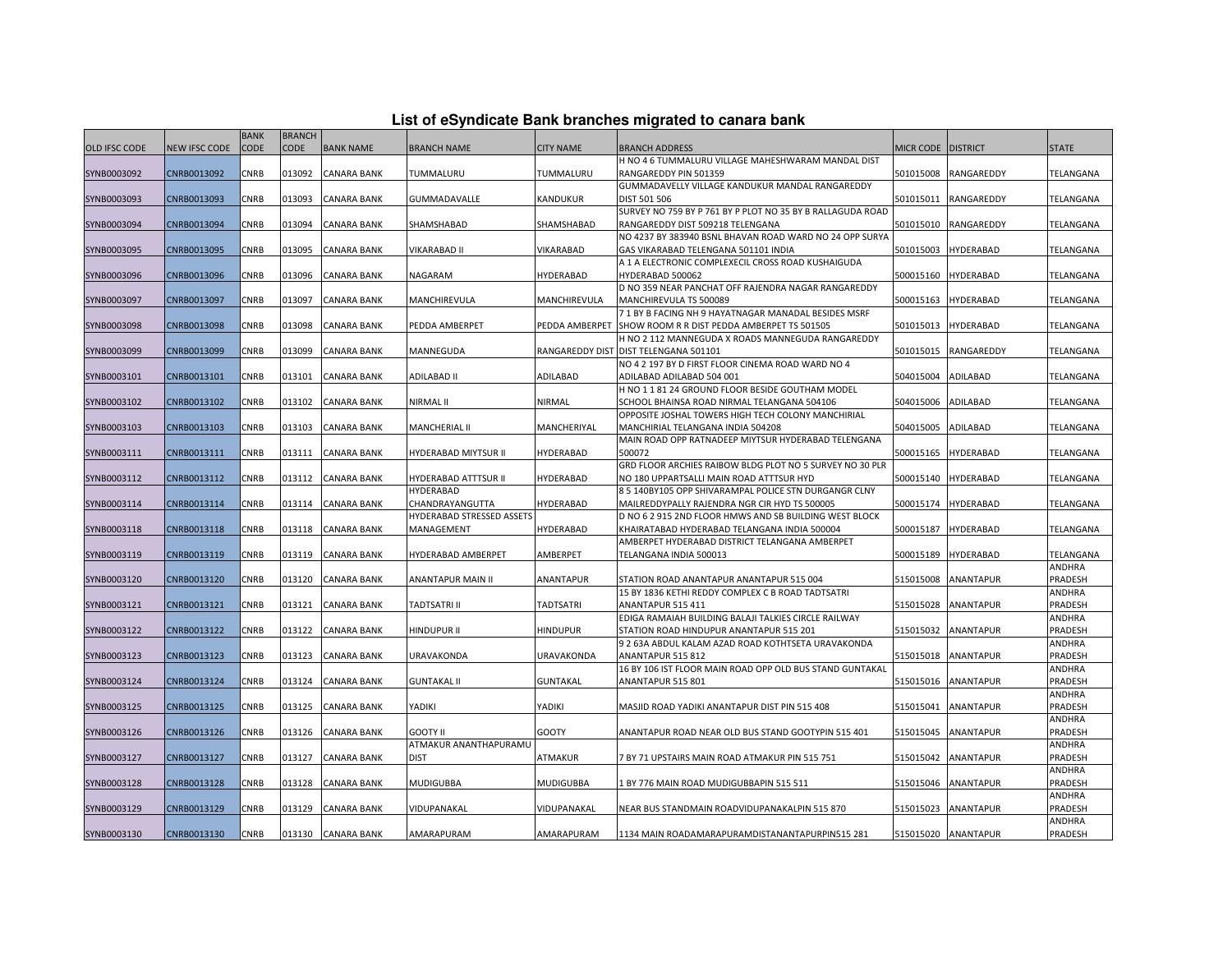| List of eSyndicate Bank branches migrated to canara bank |  |  |  |
|----------------------------------------------------------|--|--|--|
|----------------------------------------------------------|--|--|--|

|               |               | <b>BANK</b> | <b>BRANCH</b> |                    |                           |                   |                                                            |                    |                     |              |
|---------------|---------------|-------------|---------------|--------------------|---------------------------|-------------------|------------------------------------------------------------|--------------------|---------------------|--------------|
| OLD IFSC CODE | NEW IFSC CODE | CODE        | <b>CODE</b>   | <b>BANK NAME</b>   | <b>BRANCH NAME</b>        | <b>CITY NAME</b>  | <b>BRANCH ADDRESS</b>                                      | MICR CODE DISTRICT |                     | <b>STATE</b> |
|               |               |             |               |                    |                           |                   | H NO 4 6 TUMMALURU VILLAGE MAHESHWARAM MANDAL DIST         |                    |                     |              |
| SYNB0003092   | CNRB0013092   | CNRB        | 013092        | <b>CANARA BANK</b> | TUMMALURU                 | TUMMALURU         | RANGAREDDY PIN 501359                                      | 501015008          | RANGAREDDY          | TELANGANA    |
|               |               |             |               |                    |                           |                   | GUMMADAVELLY VILLAGE KANDUKUR MANDAL RANGAREDDY            |                    |                     |              |
| SYNB0003093   | CNRB0013093   | CNRB        | 013093        | <b>CANARA BANK</b> | GUMMADAVALLE              | KANDUKUR          | DIST 501 506                                               | 501015011          | RANGAREDDY          | TELANGANA    |
|               |               |             |               |                    |                           |                   | SURVEY NO 759 BY P 761 BY P PLOT NO 35 BY B RALLAGUDA ROAD |                    |                     |              |
| SYNB0003094   | CNRB0013094   | CNRB        | 013094        | <b>CANARA BANK</b> | SHAMSHABAD                | SHAMSHABAD        | RANGAREDDY DIST 509218 TELENGANA                           | 501015010          | <b>RANGAREDDY</b>   | TELANGANA    |
|               |               |             |               |                    |                           |                   | NO 4237 BY 383940 BSNL BHAVAN ROAD WARD NO 24 OPP SURYA    |                    |                     |              |
| SYNB0003095   | CNRB0013095   | CNRB        | 013095        | <b>CANARA BANK</b> | VIKARABAD II              | <b>VIKARABAD</b>  | GAS VIKARABAD TELENGANA 501101 INDIA                       | 501015003          | <b>HYDERABAD</b>    | TELANGANA    |
|               |               |             |               |                    |                           |                   | A 1 A ELECTRONIC COMPLEXECIL CROSS ROAD KUSHAIGUDA         |                    |                     |              |
| SYNB0003096   | CNRB0013096   | CNRB        | 013096        | <b>CANARA BANK</b> | NAGARAM                   | HYDERABAD         | HYDERABAD 500062                                           | 500015160          | <b>HYDERABAD</b>    | TELANGANA    |
|               |               |             |               |                    |                           |                   | D NO 359 NEAR PANCHAT OFF RAJENDRA NAGAR RANGAREDDY        |                    |                     |              |
| SYNB0003097   | CNRB0013097   | CNRB        | 013097        | <b>CANARA BANK</b> | MANCHIREVULA              | MANCHIREVULA      | MANCHIREVULA TS 500089                                     | 500015163          | <b>HYDERABAD</b>    | TELANGANA    |
|               |               |             |               |                    |                           |                   | 7 1 BY B FACING NH 9 HAYATNAGAR MANADAL BESIDES MSRF       |                    |                     |              |
| SYNB0003098   | CNRB0013098   | CNRB        | 013098        | <b>CANARA BANK</b> | PEDDA AMBERPET            |                   | PEDDA AMBERPET SHOW ROOM R R DIST PEDDA AMBERPET TS 501505 | 501015013          | <b>HYDERABAD</b>    | TELANGANA    |
|               |               |             |               |                    |                           |                   | H NO 2 112 MANNEGUDA X ROADS MANNEGUDA RANGAREDDY          |                    |                     |              |
| SYNB0003099   | CNRB0013099   | CNRB        | 013099        | CANARA BANK        | MANNEGUDA                 |                   | RANGAREDDY DIST DIST TELENGANA 501101                      | 501015015          | RANGAREDDY          | TELANGANA    |
|               |               |             |               |                    |                           |                   | NO 4 2 197 BY D FIRST FLOOR CINEMA ROAD WARD NO 4          |                    |                     |              |
| SYNB0003101   | CNRB0013101   | CNRB        | 013101        | <b>CANARA BANK</b> | ADILABAD II               | <b>ADILABAD</b>   | ADILABAD ADILABAD 504 001                                  | 504015004          | ADILABAD            | TELANGANA    |
|               |               |             |               |                    |                           |                   | H NO 1 1 81 24 GROUND FLOOR BESIDE GOUTHAM MODEL           |                    |                     |              |
| SYNB0003102   | CNRB0013102   | CNRB        | 013102        | <b>CANARA BANK</b> | NIRMAL II                 | NIRMAL            | SCHOOL BHAINSA ROAD NIRMAL TELANGANA 504106                | 504015006          | ADILABAD            | TELANGANA    |
|               |               |             |               |                    |                           |                   | OPPOSITE JOSHAL TOWERS HIGH TECH COLONY MANCHIRIAL         |                    |                     |              |
| SYNB0003103   | CNRB0013103   | CNRB        | 013103        | <b>CANARA BANK</b> | MANCHERIAL II             | MANCHERIYAL       | MANCHIRIAL TELANGANA INDIA 504208                          | 504015005          | ADILABAD            | TELANGANA    |
|               |               |             |               |                    |                           |                   | MAIN ROAD OPP RATNADEEP MIYTSUR HYDERABAD TELENGANA        |                    |                     |              |
| SYNB0003111   | CNRB0013111   | CNRB        | 013111        | <b>CANARA BANK</b> | HYDERABAD MIYTSUR II      | HYDERABAD         | 500072                                                     | 500015165          | HYDERABAD           | TELANGANA    |
|               |               |             |               |                    |                           |                   | GRD FLOOR ARCHIES RAIBOW BLDG PLOT NO 5 SURVEY NO 30 PLR   |                    |                     |              |
| SYNB0003112   | CNRB0013112   | CNRB        | 013112        | <b>CANARA BANK</b> | HYDERABAD ATTTSUR II      | HYDERABAD         | NO 180 UPPARTSALLI MAIN ROAD ATTTSUR HYD                   | 500015140          | <b>HYDERABAD</b>    | TELANGANA    |
|               |               |             |               |                    | <b>HYDERABAD</b>          |                   | 8 5 140BY105 OPP SHIVARAMPAL POLICE STN DURGANGR CLNY      |                    |                     |              |
| SYNB0003114   | CNRB0013114   | CNRB        | 013114        | <b>CANARA BANK</b> | CHANDRAYANGUTTA           | HYDERABAD         | MAILREDDYPALLY RAJENDRA NGR CIR HYD TS 500005              | 500015174          | <b>HYDERABAD</b>    | TELANGANA    |
|               |               |             |               |                    | HYDERABAD STRESSED ASSETS |                   | D NO 6 2 915 2ND FLOOR HMWS AND SB BUILDING WEST BLOCK     |                    |                     |              |
| SYNB0003118   | CNRB0013118   | CNRB        | 013118        | CANARA BANK        | MANAGEMENT                | HYDERABAD         | KHAIRATABAD HYDERABAD TELANGANA INDIA 500004               | 500015187          | HYDERABAD           | TELANGANA    |
|               |               |             |               |                    |                           |                   | AMBERPET HYDERABAD DISTRICT TELANGANA AMBERPET             |                    |                     |              |
| SYNB0003119   | CNRB0013119   | CNRB        | 013119        | <b>CANARA BANK</b> | HYDERABAD AMBERPET        | AMBERPET          | TELANGANA INDIA 500013                                     | 500015189          | <b>HYDERABAD</b>    | TELANGANA    |
|               |               |             |               |                    |                           |                   |                                                            |                    |                     | ANDHRA       |
| SYNB0003120   | CNRB0013120   | CNRB        | 013120        | <b>CANARA BANK</b> | <b>ANANTAPUR MAIN II</b>  | <b>ANANTAPUR</b>  | STATION ROAD ANANTAPUR ANANTAPUR 515 004                   | 515015008          | <b>ANANTAPUR</b>    | PRADESH      |
|               |               |             |               |                    |                           |                   | 15 BY 1836 KETHI REDDY COMPLEX C B ROAD TADTSATRI          |                    |                     | ANDHRA       |
| SYNB0003121   | CNRB0013121   | CNRB        | 013121        | <b>CANARA BANK</b> | TADTSATRI II              | TADTSATRI         | ANANTAPUR 515 411                                          | 515015028          | <b>ANANTAPUR</b>    | PRADESH      |
|               |               |             |               |                    |                           |                   | EDIGA RAMAIAH BUILDING BALAJI TALKIES CIRCLE RAILWAY       |                    |                     | ANDHRA       |
| SYNB0003122   | CNRB0013122   | CNRB        | 013122        | <b>CANARA BANK</b> | HINDUPUR II               | <b>HINDUPUR</b>   | STATION ROAD HINDUPUR ANANTAPUR 515 201                    | 515015032          | ANANTAPUR           | PRADESH      |
|               |               |             |               |                    |                           |                   | 9 2 63A ABDUL KALAM AZAD ROAD KOTHTSETA URAVAKONDA         |                    |                     | ANDHRA       |
| SYNB0003123   | CNRB0013123   | CNRB        | 013123        | <b>CANARA BANK</b> | URAVAKONDA                | <b>URAVAKONDA</b> | ANANTAPUR 515 812                                          | 515015018          | ANANTAPUR           | PRADESH      |
|               |               |             |               |                    |                           |                   | 16 BY 106 IST FLOOR MAIN ROAD OPP OLD BUS STAND GUNTAKAL   |                    |                     | ANDHRA       |
|               |               |             |               |                    |                           |                   |                                                            |                    |                     |              |
| SYNB0003124   | CNRB0013124   | CNRB        | 013124        | <b>CANARA BANK</b> | <b>GUNTAKAL II</b>        | <b>GUNTAKAL</b>   | ANANTAPUR 515 801                                          | 515015016          | <b>ANANTAPUR</b>    | PRADESH      |
|               |               | CNRB        | 013125        |                    | YADIKI                    | YADIKI            | MASJID ROAD YADIKI ANANTAPUR DIST PIN 515 408              |                    |                     | ANDHRA       |
| SYNB0003125   | CNRB0013125   |             |               | <b>CANARA BANK</b> |                           |                   |                                                            | 515015041          | ANANTAPUR           | PRADESH      |
|               |               |             |               |                    |                           |                   |                                                            |                    |                     | ANDHRA       |
| SYNB0003126   | CNRB0013126   | CNRB        | 013126        | <b>CANARA BANK</b> | <b>GOOTY II</b>           | <b>GOOTY</b>      | ANANTAPUR ROAD NEAR OLD BUS STAND GOOTYPIN 515 401         | 515015045          | <b>ANANTAPUR</b>    | PRADESH      |
|               |               |             |               |                    | ATMAKUR ANANTHAPURAMU     |                   |                                                            |                    |                     | ANDHRA       |
| SYNB0003127   | CNRB0013127   | CNRB        | 013127        | <b>CANARA BANK</b> | <b>DIST</b>               | ATMAKUR           | 7 BY 71 UPSTAIRS MAIN ROAD ATMAKUR PIN 515 751             | 515015042          | <b>ANANTAPUR</b>    | PRADESH      |
|               |               |             |               |                    |                           |                   |                                                            |                    |                     | ANDHRA       |
| SYNB0003128   | CNRB0013128   | <b>CNRB</b> | 013128        | <b>CANARA BANK</b> | <b>MUDIGUBBA</b>          | <b>MUDIGUBBA</b>  | 1 BY 776 MAIN ROAD MUDIGUBBAPIN 515 511                    | 515015046          | <b>ANANTAPUR</b>    | PRADESH      |
|               |               |             |               |                    |                           |                   |                                                            |                    |                     | ANDHRA       |
| SYNB0003129   | CNRB0013129   | CNRB        | 013129        | CANARA BANK        | VIDUPANAKAL               | VIDUPANAKAL       | NEAR BUS STANDMAIN ROADVIDUPANAKALPIN 515 870              | 515015023          | <b>ANANTAPUR</b>    | PRADESH      |
|               |               |             |               |                    |                           |                   |                                                            |                    |                     | ANDHRA       |
| SYNB0003130   | CNRB0013130   | <b>CNRB</b> |               | 013130 CANARA BANK | AMARAPURAM                | AMARAPURAM        | 1134 MAIN ROADAMARAPURAMDISTANANTAPURPIN515 281            |                    | 515015020 ANANTAPUR | PRADESH      |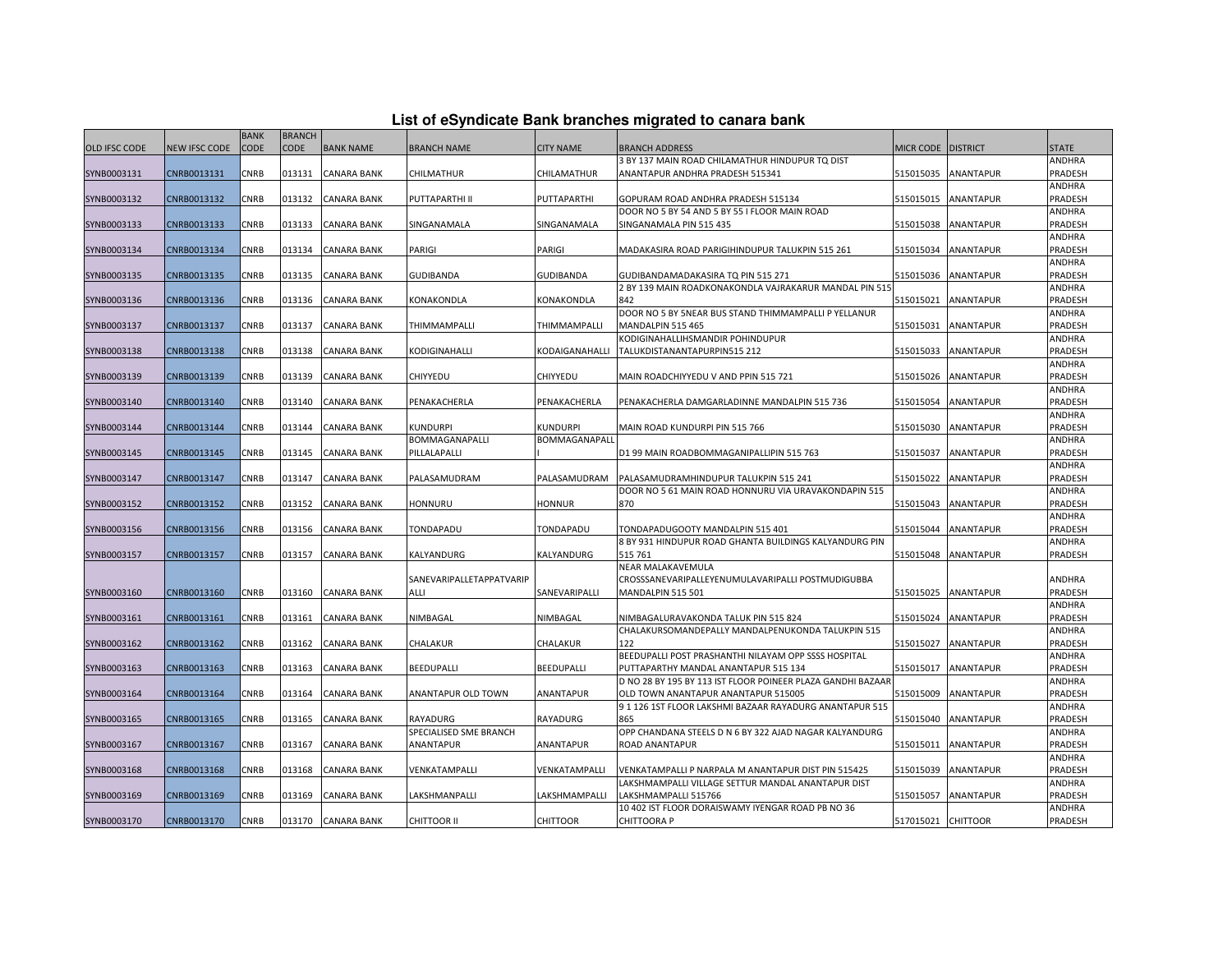|  |  | List of eSyndicate Bank branches migrated to canara bank |  |  |  |
|--|--|----------------------------------------------------------|--|--|--|
|  |  |                                                          |  |  |  |

|               | List of eSyndicate Bank branches migrated to canara bank |             |               |                    |                          |                   |                                                             |                    |                  |                   |  |
|---------------|----------------------------------------------------------|-------------|---------------|--------------------|--------------------------|-------------------|-------------------------------------------------------------|--------------------|------------------|-------------------|--|
|               |                                                          | <b>BANK</b> | <b>BRANCH</b> |                    |                          |                   |                                                             |                    |                  |                   |  |
| OLD IFSC CODE | NEW IFSC CODE                                            | <b>CODE</b> | <b>CODE</b>   | <b>BANK NAME</b>   | <b>BRANCH NAME</b>       | <b>CITY NAME</b>  | <b>BRANCH ADDRESS</b>                                       | MICR CODE DISTRICT |                  | <b>STATE</b>      |  |
|               |                                                          |             |               |                    |                          |                   | 3 BY 137 MAIN ROAD CHILAMATHUR HINDUPUR TQ DIST             |                    |                  | ANDHRA            |  |
| SYNB0003131   | CNRB0013131                                              | CNRB        | 013131        | CANARA BANK        | CHILMATHUR               | CHILAMATHUR       | ANANTAPUR ANDHRA PRADESH 515341                             | 515015035          | <b>ANANTAPUR</b> | PRADESH           |  |
|               |                                                          |             |               |                    |                          |                   |                                                             |                    |                  | ANDHRA            |  |
| SYNB0003132   | CNRB0013132                                              | <b>CNRB</b> | 013132        | <b>CANARA BANK</b> | PUTTAPARTHI II           | PUTTAPARTHI       | GOPURAM ROAD ANDHRA PRADESH 515134                          | 515015015          | <b>ANANTAPUR</b> | PRADESH           |  |
|               |                                                          |             |               |                    |                          |                   | DOOR NO 5 BY 54 AND 5 BY 55 I FLOOR MAIN ROAD               |                    |                  | ANDHRA            |  |
| SYNB0003133   | CNRB0013133                                              | CNRB        | 013133        | CANARA BANK        | SINGANAMALA              | SINGANAMALA       | SINGANAMALA PIN 515 435                                     | 515015038          | <b>ANANTAPUR</b> | PRADESH           |  |
|               |                                                          |             |               |                    |                          |                   |                                                             |                    |                  | ANDHRA            |  |
| SYNB0003134   | CNRB0013134                                              | CNRB        | 013134        | CANARA BANK        | PARIGI                   | PARIGI            | MADAKASIRA ROAD PARIGIHINDUPUR TALUKPIN 515 261             | 515015034          | <b>ANANTAPUR</b> | PRADESH           |  |
|               |                                                          |             |               |                    |                          |                   |                                                             |                    |                  | ANDHRA            |  |
| SYNB0003135   | CNRB0013135                                              | CNRB        | 013135        | <b>CANARA BANK</b> | <b>GUDIBANDA</b>         | <b>GUDIBANDA</b>  | GUDIBANDAMADAKASIRA TQ PIN 515 271                          | 515015036          | <b>ANANTAPUR</b> | PRADESH           |  |
|               |                                                          |             |               |                    |                          |                   | 2 BY 139 MAIN ROADKONAKONDLA VAJRAKARUR MANDAL PIN 515      |                    |                  | ANDHRA            |  |
| SYNB0003136   | CNRB0013136                                              | CNRB        | 013136        | CANARA BANK        | KONAKONDLA               | KONAKONDLA        | 842                                                         | 515015021          | ANANTAPUR        | PRADESH           |  |
|               |                                                          |             |               |                    |                          |                   | DOOR NO 5 BY 5NEAR BUS STAND THIMMAMPALLI P YELLANUR        |                    |                  | ANDHRA            |  |
| SYNB0003137   | CNRB0013137                                              | CNRB        | 013137        | CANARA BANK        | THIMMAMPALLI             | THIMMAMPALLI      | MANDALPIN 515 465                                           | 515015031          | ANANTAPUR        | PRADESH           |  |
|               |                                                          | CNRB        | 013138        |                    | KODIGINAHALLI            |                   | KODIGINAHALLIHSMANDIR POHINDUPUR                            | 515015033          |                  | ANDHRA            |  |
| SYNB0003138   | CNRB0013138                                              |             |               | <b>CANARA BANK</b> |                          | KODAIGANAHALLI    | TALUKDISTANANTAPURPIN515 212                                |                    | ANANTAPUR        | PRADESH           |  |
|               |                                                          |             |               |                    |                          |                   |                                                             |                    |                  | ANDHRA            |  |
| SYNB0003139   | CNRB0013139                                              | CNRB        | 013139        | CANARA BANK        | CHIYYEDU                 | CHIYYEDU          | MAIN ROADCHIYYEDU V AND PPIN 515 721                        | 515015026          | <b>ANANTAPUR</b> | PRADESH<br>ANDHRA |  |
| SYNB0003140   | CNRB0013140                                              | CNRB        | 013140        | CANARA BANK        | PENAKACHERLA             | PENAKACHERLA      | PENAKACHERLA DAMGARLADINNE MANDALPIN 515 736                | 515015054          | ANANTAPUR        | PRADESH           |  |
|               |                                                          |             |               |                    |                          |                   |                                                             |                    |                  | ANDHRA            |  |
| SYNB0003144   | CNRB0013144                                              | CNRB        | 013144        | CANARA BANK        | <b>KUNDURPI</b>          | KUNDURPI          | MAIN ROAD KUNDURPI PIN 515 766                              | 515015030          | ANANTAPUR        | PRADESH           |  |
|               |                                                          |             |               |                    | BOMMAGANAPALLI           | BOMMAGANAPALI     |                                                             |                    |                  | ANDHRA            |  |
| SYNB0003145   | CNRB0013145                                              | CNRB        | 013145        | <b>CANARA BANK</b> | PILLALAPALLI             |                   | D1 99 MAIN ROADBOMMAGANIPALLIPIN 515 763                    | 515015037          | <b>ANANTAPUR</b> | PRADESH           |  |
|               |                                                          |             |               |                    |                          |                   |                                                             |                    |                  | ANDHRA            |  |
| SYNB0003147   | CNRB0013147                                              | <b>CNRB</b> | 013147        | <b>CANARA BANK</b> | PALASAMUDRAM             | PALASAMUDRAM      | PALASAMUDRAMHINDUPUR TALUKPIN 515 241                       | 515015022          | <b>ANANTAPUR</b> | PRADESH           |  |
|               |                                                          |             |               |                    |                          |                   | DOOR NO 5 61 MAIN ROAD HONNURU VIA URAVAKONDAPIN 515        |                    |                  | ANDHRA            |  |
| SYNB0003152   | CNRB0013152                                              | CNRB        | 013152        | <b>CANARA BANK</b> | <b>HONNURU</b>           | <b>HONNUR</b>     | 870                                                         | 515015043          | <b>ANANTAPUR</b> | PRADESH           |  |
|               |                                                          |             |               |                    |                          |                   |                                                             |                    |                  | ANDHRA            |  |
| SYNB0003156   | CNRB0013156                                              | CNRB        | 013156        | <b>CANARA BANK</b> | TONDAPADU                | TONDAPADU         | TONDAPADUGOOTY MANDALPIN 515 401                            | 515015044          | <b>ANANTAPUR</b> | PRADESH           |  |
|               |                                                          |             |               |                    |                          |                   | 8 BY 931 HINDUPUR ROAD GHANTA BUILDINGS KALYANDURG PIN      |                    |                  | ANDHRA            |  |
| SYNB0003157   | CNRB0013157                                              | CNRB        | 013157        | <b>CANARA BANK</b> | KALYANDURG               | KALYANDURG        | 515 761                                                     | 515015048          | <b>ANANTAPUR</b> | PRADESH           |  |
|               |                                                          |             |               |                    |                          |                   | NEAR MALAKAVEMULA                                           |                    |                  |                   |  |
|               |                                                          |             |               |                    | SANEVARIPALLETAPPATVARIP |                   | CROSSSANEVARIPALLEYENUMULAVARIPALLI POSTMUDIGUBBA           |                    |                  | ANDHRA            |  |
| SYNB0003160   | CNRB0013160                                              | CNRB        | 013160        | CANARA BANK        | ALLI                     | SANEVARIPALLI     | MANDALPIN 515 501                                           | 515015025          | ANANTAPUR        | PRADESH           |  |
|               |                                                          |             |               |                    |                          |                   |                                                             |                    |                  | ANDHRA            |  |
| SYNB0003161   | CNRB0013161                                              | CNRB        | 013161        | <b>CANARA BANK</b> | NIMBAGAL                 | NIMBAGAL          | NIMBAGALURAVAKONDA TALUK PIN 515 824                        | 515015024          | <b>ANANTAPUR</b> | PRADESH           |  |
|               |                                                          |             |               |                    |                          |                   | CHALAKURSOMANDEPALLY MANDALPENUKONDA TALUKPIN 515           |                    |                  | ANDHRA            |  |
| SYNB0003162   | CNRB0013162                                              | CNRB        | 013162        | CANARA BANK        | CHALAKUR                 | CHALAKUR          | 122                                                         | 515015027          | <b>ANANTAPUR</b> | PRADESH           |  |
|               |                                                          |             |               |                    |                          |                   | BEEDUPALLI POST PRASHANTHI NILAYAM OPP SSSS HOSPITAL        |                    |                  | ANDHRA            |  |
| SYNB0003163   | CNRB0013163                                              | CNRB        | 013163        | CANARA BANK        | BEEDUPALLI               | <b>BEEDUPALLI</b> | PUTTAPARTHY MANDAL ANANTAPUR 515 134                        | 515015017          | <b>ANANTAPUR</b> | PRADESH           |  |
|               |                                                          |             |               |                    |                          |                   | D NO 28 BY 195 BY 113 IST FLOOR POINEER PLAZA GANDHI BAZAAR |                    |                  | ANDHRA            |  |
| SYNB0003164   | CNRB0013164                                              | CNRB        | 013164        | <b>CANARA BANK</b> | ANANTAPUR OLD TOWN       | ANANTAPUR         | OLD TOWN ANANTAPUR ANANTAPUR 515005                         | 515015009          | <b>ANANTAPUR</b> | PRADESH           |  |
|               |                                                          |             |               |                    |                          |                   | 911261ST FLOOR LAKSHMI BAZAAR RAYADURG ANANTAPUR 515        |                    |                  | ANDHRA            |  |
| SYNB0003165   | CNRB0013165                                              | CNRB        | 013165        | <b>CANARA BANK</b> | <b>RAYADURG</b>          | RAYADURG          | 865                                                         | 515015040          | <b>ANANTAPUR</b> | PRADESH           |  |
|               |                                                          |             |               |                    | SPECIALISED SME BRANCH   |                   | OPP CHANDANA STEELS D N 6 BY 322 AJAD NAGAR KALYANDURG      |                    |                  | ANDHRA            |  |
| SYNB0003167   | CNRB0013167                                              | CNRB        | 013167        | CANARA BANK        | ANANTAPUR                | <b>ANANTAPUR</b>  | ROAD ANANTAPUR                                              | 515015011          | <b>ANANTAPUR</b> | PRADESH           |  |
|               |                                                          |             |               |                    |                          |                   |                                                             |                    |                  | ANDHRA            |  |
| SYNB0003168   | CNRB0013168                                              | <b>CNRB</b> | 013168        | <b>CANARA BANK</b> | VENKATAMPALLI            | VENKATAMPALLI     | VENKATAMPALLI P NARPALA M ANANTAPUR DIST PIN 515425         | 515015039          | <b>ANANTAPUR</b> | PRADESH           |  |
|               |                                                          |             |               |                    |                          |                   | LAKSHMAMPALLI VILLAGE SETTUR MANDAL ANANTAPUR DIST          |                    |                  | ANDHRA            |  |
| SYNB0003169   | CNRB0013169                                              | CNRB        | 013169        | <b>CANARA BANK</b> | LAKSHMANPALLI            | LAKSHMAMPALLI     | LAKSHMAMPALLI 515766                                        | 515015057          | <b>ANANTAPUR</b> | PRADESH           |  |
|               |                                                          |             |               |                    |                          |                   | 10 402 IST FLOOR DORAISWAMY IYENGAR ROAD PB NO 36           |                    |                  | ANDHRA            |  |
| SYNB0003170   | CNRB0013170                                              | CNRB        | 013170        | <b>CANARA BANK</b> | CHITTOOR II              | <b>CHITTOOR</b>   | CHITTOORA P                                                 | 517015021 CHITTOOR |                  | PRADESH           |  |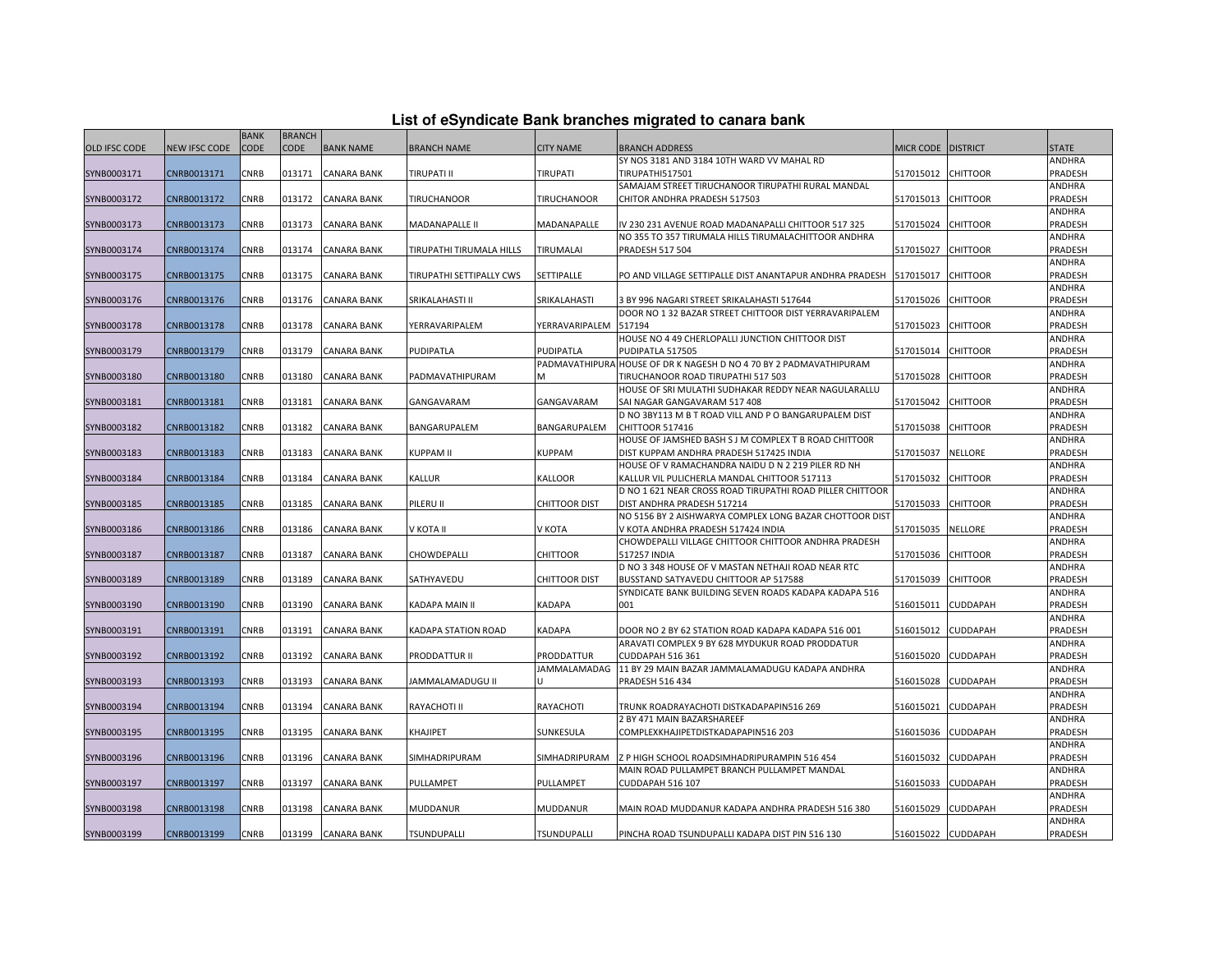|  |  | List of eSyndicate Bank branches migrated to canara bank |  |  |  |
|--|--|----------------------------------------------------------|--|--|--|
|  |  |                                                          |  |  |  |

|               | List of eSyndicate Bank branches migrated to canara bank |             |               |                    |                          |                      |                                                                                                    |                    |                 |                   |  |  |
|---------------|----------------------------------------------------------|-------------|---------------|--------------------|--------------------------|----------------------|----------------------------------------------------------------------------------------------------|--------------------|-----------------|-------------------|--|--|
|               |                                                          | <b>BANK</b> | <b>BRANCH</b> |                    |                          |                      |                                                                                                    |                    |                 |                   |  |  |
| OLD IFSC CODE | <b>NEW IFSC CODE</b>                                     | <b>CODE</b> | CODE          | <b>BANK NAME</b>   | <b>BRANCH NAME</b>       | <b>CITY NAME</b>     | <b>BRANCH ADDRESS</b>                                                                              | MICR CODE DISTRICT |                 | <b>STATE</b>      |  |  |
|               |                                                          | CNRB        | 013171        |                    | TIRUPATI II              |                      | SY NOS 3181 AND 3184 10TH WARD VV MAHAL RD                                                         |                    |                 | <b>ANDHRA</b>     |  |  |
| SYNB0003171   | CNRB0013171                                              |             |               | <b>CANARA BANK</b> |                          | TIRUPATI             | TIRUPATHI517501<br>SAMAJAM STREET TIRUCHANOOR TIRUPATHI RURAL MANDAL                               | 517015012          | <b>CHITTOOR</b> | PRADESH<br>ANDHRA |  |  |
| SYNB0003172   | CNRB0013172                                              | CNRB        | 013172        | <b>CANARA BANK</b> | <b>TIRUCHANOOR</b>       | <b>TIRUCHANOOR</b>   | CHITOR ANDHRA PRADESH 517503                                                                       | 517015013          | <b>CHITTOOR</b> | PRADESH           |  |  |
|               |                                                          |             |               |                    |                          |                      |                                                                                                    |                    |                 | ANDHRA            |  |  |
| SYNB0003173   | CNRB0013173                                              | CNRB        | 013173        | <b>CANARA BANK</b> | <b>MADANAPALLE II</b>    | MADANAPALLE          | IV 230 231 AVENUE ROAD MADANAPALLI CHITTOOR 517 325                                                | 517015024          | <b>CHITTOOR</b> | <b>PRADESH</b>    |  |  |
|               |                                                          |             |               |                    |                          |                      | NO 355 TO 357 TIRUMALA HILLS TIRUMALACHITTOOR ANDHRA                                               |                    |                 | <b>ANDHRA</b>     |  |  |
| SYNB0003174   | CNRB0013174                                              | CNRB        | 013174        | <b>CANARA BANK</b> | TIRUPATHI TIRUMALA HILLS | TIRUMALAI            | PRADESH 517 504                                                                                    | 517015027          | <b>CHITTOOR</b> | PRADESH           |  |  |
|               |                                                          |             |               |                    |                          |                      |                                                                                                    |                    |                 | ANDHRA            |  |  |
| SYNB0003175   | CNRB0013175                                              | CNRB        | 013175        | <b>CANARA BANK</b> | TIRUPATHI SETTIPALLY CWS | SETTIPALLE           | PO AND VILLAGE SETTIPALLE DIST ANANTAPUR ANDHRA PRADESH                                            | 517015017          | <b>CHITTOOR</b> | PRADESH           |  |  |
|               |                                                          |             |               |                    |                          |                      |                                                                                                    |                    |                 | ANDHRA            |  |  |
| SYNB0003176   | CNRB0013176                                              | CNRB        | 013176        | <b>CANARA BANK</b> | SRIKALAHASTI II          | SRIKALAHASTI         | 3 BY 996 NAGARI STREET SRIKALAHASTI 517644                                                         | 517015026          | <b>CHITTOOR</b> | PRADESH           |  |  |
|               |                                                          |             |               |                    |                          |                      | DOOR NO 1 32 BAZAR STREET CHITTOOR DIST YERRAVARIPALEM                                             |                    |                 | ANDHRA            |  |  |
| SYNB0003178   | CNRB0013178                                              | CNRB        | 013178        | <b>CANARA BANK</b> | YERRAVARIPALEM           | YERRAVARIPALEM       | 517194                                                                                             | 517015023          | <b>CHITTOOR</b> | PRADESH           |  |  |
|               |                                                          |             |               |                    |                          |                      | HOUSE NO 4 49 CHERLOPALLI JUNCTION CHITTOOR DIST                                                   |                    |                 | ANDHRA            |  |  |
| SYNB0003179   | CNRB0013179                                              | CNRB        | 013179        | <b>CANARA BANK</b> | PUDIPATLA                | <b>PUDIPATLA</b>     | PUDIPATLA 517505                                                                                   | 517015014          | <b>CHITTOOR</b> | PRADESH           |  |  |
|               |                                                          |             |               |                    |                          |                      | PADMAVATHIPURA HOUSE OF DR K NAGESH D NO 4 70 BY 2 PADMAVATHIPURAM                                 |                    |                 | ANDHRA            |  |  |
| SYNB0003180   | CNRB0013180                                              | CNRB        | 013180        | <b>CANARA BANK</b> | PADMAVATHIPURAM          |                      | TIRUCHANOOR ROAD TIRUPATHI 517 503                                                                 | 517015028          | <b>CHITTOOR</b> | PRADESH           |  |  |
|               |                                                          |             |               |                    |                          |                      | HOUSE OF SRI MULATHI SUDHAKAR REDDY NEAR NAGULARALLU                                               |                    |                 | ANDHRA            |  |  |
| SYNB0003181   | CNRB0013181                                              | CNRB        | 013181        | <b>CANARA BANK</b> | GANGAVARAM               | GANGAVARAM           | SAI NAGAR GANGAVARAM 517 408                                                                       | 517015042          | <b>CHITTOOR</b> | PRADESH           |  |  |
|               |                                                          |             |               |                    |                          |                      | D NO 3BY113 M B T ROAD VILL AND P O BANGARUPALEM DIST                                              |                    |                 | ANDHRA            |  |  |
| SYNB0003182   | CNRB0013182                                              | CNRB        | 013182        | <b>CANARA BANK</b> | BANGARUPALEM             | BANGARUPALEM         | CHITTOOR 517416                                                                                    | 517015038          | <b>CHITTOOR</b> | PRADESH           |  |  |
|               |                                                          |             |               |                    |                          |                      | HOUSE OF JAMSHED BASH S J M COMPLEX T B ROAD CHITTOOR                                              |                    |                 | ANDHRA            |  |  |
| SYNB0003183   | CNRB0013183                                              | CNRB        | 013183        | <b>CANARA BANK</b> | KUPPAM II                | <b>KUPPAM</b>        | DIST KUPPAM ANDHRA PRADESH 517425 INDIA                                                            | 517015037          | <b>NELLORE</b>  | PRADESH           |  |  |
|               |                                                          | CNRB        | 013184        | <b>CANARA BANK</b> |                          | <b>KALLOOR</b>       | HOUSE OF V RAMACHANDRA NAIDU D N 2 219 PILER RD NH<br>KALLUR VIL PULICHERLA MANDAL CHITTOOR 517113 |                    |                 | ANDHRA            |  |  |
| SYNB0003184   | CNRB0013184                                              |             |               |                    | KALLUR                   |                      | D NO 1 621 NEAR CROSS ROAD TIRUPATHI ROAD PILLER CHITTOOR                                          | 517015032          | <b>CHITTOOR</b> | PRADESH<br>ANDHRA |  |  |
| SYNB0003185   | CNRB0013185                                              | CNRB        | 013185        | <b>CANARA BANK</b> | PILERU II                | CHITTOOR DIST        | DIST ANDHRA PRADESH 517214                                                                         | 517015033          | <b>CHITTOOR</b> | PRADESH           |  |  |
|               |                                                          |             |               |                    |                          |                      | NO 5156 BY 2 AISHWARYA COMPLEX LONG BAZAR CHOTTOOR DIST                                            |                    |                 | ANDHRA            |  |  |
| SYNB0003186   | CNRB0013186                                              | <b>CNRB</b> | 013186        | <b>CANARA BANK</b> | V KOTA II                | V KOTA               | V KOTA ANDHRA PRADESH 517424 INDIA                                                                 | 517015035          | <b>NELLORE</b>  | PRADESH           |  |  |
|               |                                                          |             |               |                    |                          |                      | CHOWDEPALLI VILLAGE CHITTOOR CHITTOOR ANDHRA PRADESH                                               |                    |                 | ANDHRA            |  |  |
| SYNB0003187   | CNRB0013187                                              | CNRB        | 013187        | <b>CANARA BANK</b> | CHOWDEPALLI              | CHITTOOR             | 517257 INDIA                                                                                       | 517015036          | <b>CHITTOOR</b> | PRADESH           |  |  |
|               |                                                          |             |               |                    |                          |                      | D NO 3 348 HOUSE OF V MASTAN NETHAJI ROAD NEAR RTC                                                 |                    |                 | ANDHRA            |  |  |
| SYNB0003189   | CNRB0013189                                              | CNRB        | 013189        | <b>CANARA BANK</b> | SATHYAVEDU               | <b>CHITTOOR DIST</b> | BUSSTAND SATYAVEDU CHITTOOR AP 517588                                                              | 517015039          | <b>CHITTOOR</b> | PRADESH           |  |  |
|               |                                                          |             |               |                    |                          |                      | SYNDICATE BANK BUILDING SEVEN ROADS KADAPA KADAPA 516                                              |                    |                 | <b>ANDHRA</b>     |  |  |
| SYNB0003190   | CNRB0013190                                              | CNRB        | 013190        | <b>CANARA BANK</b> | KADAPA MAIN II           | KADAPA               | 001                                                                                                | 516015011          | <b>CUDDAPAH</b> | PRADESH           |  |  |
|               |                                                          |             |               |                    |                          |                      |                                                                                                    |                    |                 | ANDHRA            |  |  |
| SYNB0003191   | CNRB0013191                                              | CNRB        | 013191        | <b>CANARA BANK</b> | KADAPA STATION ROAD      | KADAPA               | DOOR NO 2 BY 62 STATION ROAD KADAPA KADAPA 516 001                                                 | 516015012          | <b>CUDDAPAH</b> | PRADESH           |  |  |
|               |                                                          |             |               |                    |                          |                      | ARAVATI COMPLEX 9 BY 628 MYDUKUR ROAD PRODDATUR                                                    |                    |                 | ANDHRA            |  |  |
| SYNB0003192   | CNRB0013192                                              | CNRB        | 013192        | <b>CANARA BANK</b> | PRODDATTUR II            | PRODDATTUR           | CUDDAPAH 516 361                                                                                   | 516015020          | CUDDAPAH        | PRADESH           |  |  |
|               |                                                          |             |               |                    |                          | JAMMALAMADAG         | 11 BY 29 MAIN BAZAR JAMMALAMADUGU KADAPA ANDHRA                                                    |                    |                 | ANDHRA            |  |  |
| SYNB0003193   | CNRB0013193                                              | CNRB        | 013193        | <b>CANARA BANK</b> | JAMMALAMADUGU II         |                      | PRADESH 516 434                                                                                    | 516015028          | <b>CUDDAPAH</b> | PRADESH           |  |  |
|               |                                                          |             |               |                    |                          |                      |                                                                                                    |                    |                 | ANDHRA            |  |  |
| SYNB0003194   | CNRB0013194                                              | CNRB        | 013194        | <b>CANARA BANK</b> | RAYACHOTI II             | RAYACHOTI            | TRUNK ROADRAYACHOTI DISTKADAPAPIN516 269                                                           | 516015021          | <b>CUDDAPAH</b> | PRADESH           |  |  |
|               | CNRB0013195                                              | CNRB        | 013195        | <b>CANARA BANK</b> | KHAJIPET                 | SUNKESULA            | 2 BY 471 MAIN BAZARSHAREEF<br>COMPLEXKHAJIPETDISTKADAPAPIN516 203                                  | 516015036          | <b>CUDDAPAH</b> | ANDHRA<br>PRADESH |  |  |
| SYNB0003195   |                                                          |             |               |                    |                          |                      |                                                                                                    |                    |                 | ANDHRA            |  |  |
| SYNB0003196   | CNRB0013196                                              | CNRB        | 013196        | <b>CANARA BANK</b> | SIMHADRIPURAM            | SIMHADRIPURAM        | Z P HIGH SCHOOL ROADSIMHADRIPURAMPIN 516 454                                                       | 516015032          | <b>CUDDAPAH</b> | PRADESH           |  |  |
|               |                                                          |             |               |                    |                          |                      | MAIN ROAD PULLAMPET BRANCH PULLAMPET MANDAL                                                        |                    |                 | ANDHRA            |  |  |
| SYNB0003197   | CNRB0013197                                              | CNRB        | 013197        | <b>CANARA BANK</b> | PULLAMPET                | PULLAMPET            | CUDDAPAH 516 107                                                                                   | 516015033          | <b>CUDDAPAH</b> | PRADESH           |  |  |
|               |                                                          |             |               |                    |                          |                      |                                                                                                    |                    |                 | ANDHRA            |  |  |
| SYNB0003198   | CNRB0013198                                              | CNRB        | 013198        | <b>CANARA BANK</b> | <b>MUDDANUR</b>          | MUDDANUR             | MAIN ROAD MUDDANUR KADAPA ANDHRA PRADESH 516 380                                                   | 516015029          | CUDDAPAH        | PRADESH           |  |  |
|               |                                                          |             |               |                    |                          |                      |                                                                                                    |                    |                 | ANDHRA            |  |  |
| SYNB0003199   | CNRB0013199                                              | <b>CNRB</b> |               | 013199 CANARA BANK | TSUNDUPALLI              | <b>TSUNDUPALLI</b>   | PINCHA ROAD TSUNDUPALLI KADAPA DIST PIN 516 130                                                    | 516015022 CUDDAPAH |                 | PRADESH           |  |  |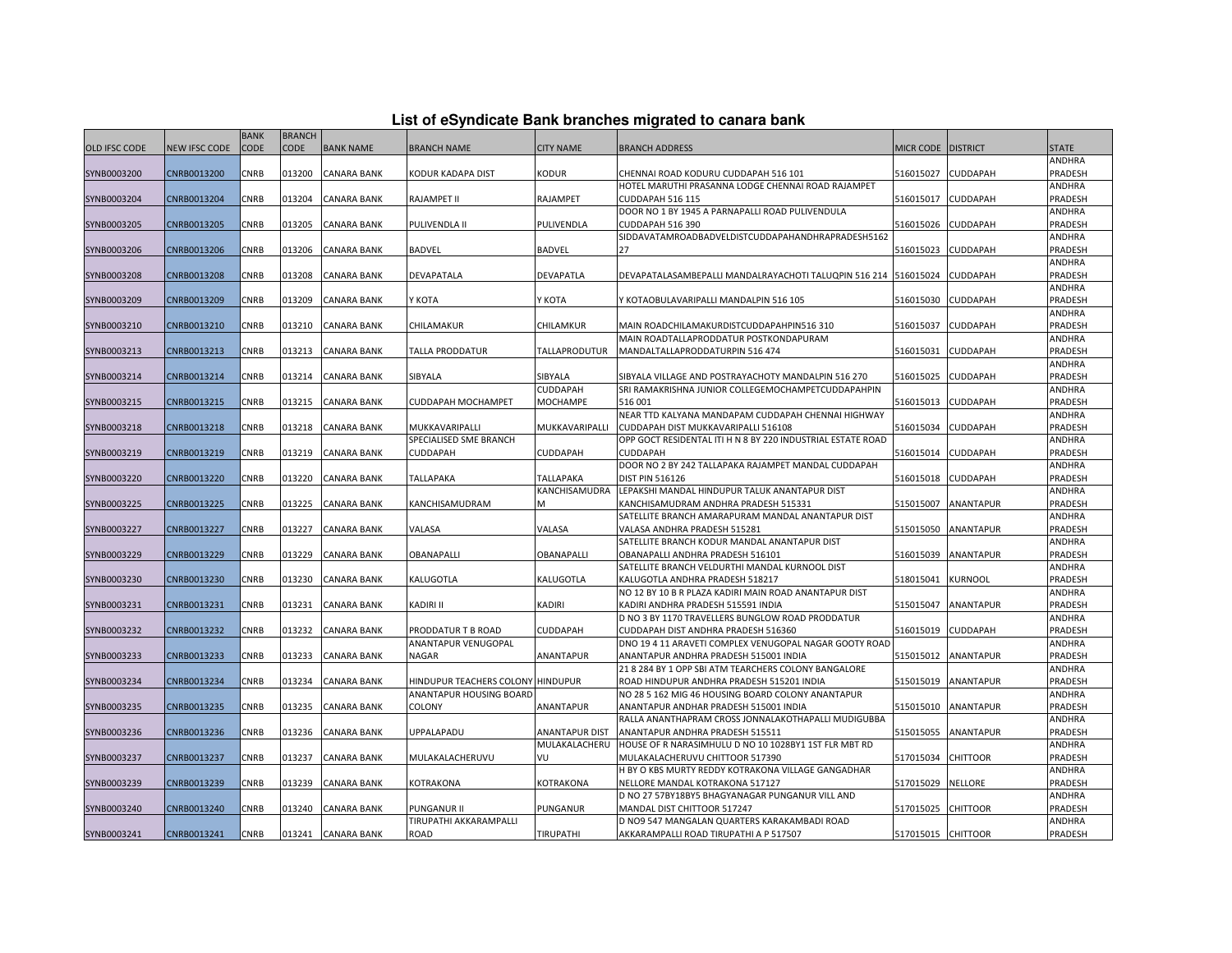|  |  |  | List of eSyndicate Bank branches migrated to canara bank |  |  |
|--|--|--|----------------------------------------------------------|--|--|
|  |  |  |                                                          |  |  |

|                      |               | <b>BANK</b> | <b>BRANCH</b> |                    |                                   |                  |                                                                                    |                    |                  |               |
|----------------------|---------------|-------------|---------------|--------------------|-----------------------------------|------------------|------------------------------------------------------------------------------------|--------------------|------------------|---------------|
| <b>OLD IFSC CODE</b> | NEW IFSC CODE | CODE        | <b>CODE</b>   | <b>BANK NAME</b>   | <b>BRANCH NAME</b>                | <b>CITY NAME</b> | <b>BRANCH ADDRESS</b>                                                              | MICR CODE          | <b>DISTRICT</b>  | <b>STATE</b>  |
|                      |               |             |               |                    |                                   |                  |                                                                                    |                    |                  | ANDHRA        |
| SYNB0003200          | CNRB0013200   | CNRB        | 013200        | <b>CANARA BANK</b> | KODUR KADAPA DIST                 | <b>KODUR</b>     | CHENNAI ROAD KODURU CUDDAPAH 516 101                                               | 516015027          | CUDDAPAH         | PRADESH       |
|                      |               |             |               |                    |                                   |                  | HOTEL MARUTHI PRASANNA LODGE CHENNAI ROAD RAJAMPET                                 |                    |                  | ANDHRA        |
| SYNB0003204          | CNRB0013204   | CNRB        | 013204        | <b>CANARA BANK</b> | RAJAMPET II                       | RAJAMPET         | CUDDAPAH 516 115                                                                   | 516015017          | CUDDAPAH         | PRADESH       |
|                      |               |             |               |                    |                                   |                  | DOOR NO 1 BY 1945 A PARNAPALLI ROAD PULIVENDULA                                    |                    |                  | ANDHRA        |
| SYNB0003205          | CNRB0013205   | CNRB        | 013205        | <b>CANARA BANK</b> | PULIVENDLA II                     | PULIVENDLA       | CUDDAPAH 516 390                                                                   | 516015026          | CUDDAPAH         | PRADESH       |
|                      |               |             |               |                    |                                   |                  | SIDDAVATAMROADBADVELDISTCUDDAPAHANDHRAPRADESH5162                                  |                    |                  | ANDHRA        |
|                      |               |             |               |                    |                                   |                  | 27                                                                                 |                    |                  |               |
| SYNB0003206          | CNRB0013206   | CNRB        | 013206        | <b>CANARA BANK</b> | <b>BADVEL</b>                     | <b>BADVEL</b>    |                                                                                    | 516015023          | CUDDAPAH         | PRADESH       |
|                      |               |             |               |                    |                                   |                  |                                                                                    |                    |                  | ANDHRA        |
| SYNB0003208          | CNRB0013208   | CNRB        | 013208        | CANARA BANK        | DEVAPATALA                        | DEVAPATLA        | DEVAPATALASAMBEPALLI MANDALRAYACHOTI TALUQPIN 516 214                              | 516015024          | CUDDAPAH         | PRADESH       |
|                      |               |             |               |                    |                                   |                  |                                                                                    |                    |                  | ANDHRA        |
| SYNB0003209          | CNRB0013209   | CNRB        | 013209        | <b>CANARA BANK</b> | Ү КОТА                            | Ү КОТА           | / KOTAOBULAVARIPALLI MANDALPIN 516 105                                             | 516015030          | CUDDAPAH         | PRADESH       |
|                      |               |             |               |                    |                                   |                  |                                                                                    |                    |                  | ANDHRA        |
| SYNB0003210          | CNRB0013210   | <b>CNRB</b> | 013210        | <b>CANARA BANK</b> | CHILAMAKUR                        | CHILAMKUR        | MAIN ROADCHILAMAKURDISTCUDDAPAHPIN516 310                                          | 516015037          | CUDDAPAH         | PRADESH       |
|                      |               |             |               |                    |                                   |                  | <b>MAIN ROADTALLAPRODDATUR POSTKONDAPURAM</b>                                      |                    |                  | ANDHRA        |
| SYNB0003213          | CNRB0013213   | CNRB        | 013213        | <b>CANARA BANK</b> | TALLA PRODDATUR                   | TALLAPRODUTUR    | MANDALTALLAPRODDATURPIN 516 474                                                    | 516015031          | CUDDAPAH         | PRADESH       |
|                      |               |             |               |                    |                                   |                  |                                                                                    |                    |                  | ANDHRA        |
| SYNB0003214          | CNRB0013214   | CNRB        | 013214        | <b>CANARA BANK</b> | SIBYALA                           | SIBYALA          | SIBYALA VILLAGE AND POSTRAYACHOTY MANDALPIN 516 270                                | 516015025          | CUDDAPAH         | PRADESH       |
|                      |               |             |               |                    |                                   | CUDDAPAH         | SRI RAMAKRISHNA JUNIOR COLLEGEMOCHAMPETCUDDAPAHPIN                                 |                    |                  | ANDHRA        |
| SYNB0003215          | CNRB0013215   | CNRB        | 013215        | <b>CANARA BANK</b> | CUDDAPAH MOCHAMPET                | <b>MOCHAMPE</b>  | 516 001                                                                            | 516015013          | <b>CUDDAPAH</b>  | PRADESH       |
|                      |               |             |               |                    |                                   |                  | NEAR TTD KALYANA MANDAPAM CUDDAPAH CHENNAI HIGHWAY                                 |                    |                  | ANDHRA        |
| SYNB0003218          | CNRB0013218   | CNRB        | 013218        | CANARA BANK        | MUKKAVARIPALLI                    | MUKKAVARIPALLI   | CUDDAPAH DIST MUKKAVARIPALLI 516108                                                | 516015034          | CUDDAPAH         | PRADESH       |
|                      |               |             |               |                    | SPECIALISED SME BRANCH            |                  | OPP GOCT RESIDENTAL ITI H N 8 BY 220 INDUSTRIAL ESTATE ROAD                        |                    |                  | <b>ANDHRA</b> |
| SYNB0003219          | CNRB0013219   | CNRB        | 013219        | <b>CANARA BANK</b> | CUDDAPAH                          | CUDDAPAH         | CUDDAPAH                                                                           | 516015014          | CUDDAPAH         | PRADESH       |
|                      |               |             |               |                    |                                   |                  | DOOR NO 2 BY 242 TALLAPAKA RAJAMPET MANDAL CUDDAPAH                                |                    |                  | ANDHRA        |
| SYNB0003220          | CNRB0013220   | CNRB        | 013220        | <b>CANARA BANK</b> | TALLAPAKA                         | TALLAPAKA        | DIST PIN 516126                                                                    | 516015018          | CUDDAPAH         | PRADESH       |
|                      |               |             |               |                    |                                   | KANCHISAMUDRA    | LEPAKSHI MANDAL HINDUPUR TALUK ANANTAPUR DIST                                      |                    |                  | ANDHRA        |
| SYNB0003225          | CNRB0013225   | CNRB        | 013225        | CANARA BANK        | KANCHISAMUDRAM                    | M                | KANCHISAMUDRAM ANDHRA PRADESH 515331                                               | 515015007          | ANANTAPUR        | PRADESH       |
|                      |               |             |               |                    |                                   |                  | SATELLITE BRANCH AMARAPURAM MANDAL ANANTAPUR DIST                                  |                    |                  | ANDHRA        |
| SYNB0003227          | CNRB0013227   | CNRB        | 013227        | <b>CANARA BANK</b> | VALASA                            | VALASA           | /ALASA ANDHRA PRADESH 515281                                                       | 515015050          | ANANTAPUR        | PRADESH       |
|                      |               |             |               |                    |                                   |                  | SATELLITE BRANCH KODUR MANDAL ANANTAPUR DIST                                       |                    |                  | ANDHRA        |
| SYNB0003229          | CNRB0013229   |             |               |                    |                                   | OBANAPALLI       |                                                                                    | 516015039          |                  | PRADESH       |
|                      |               | CNRB        | 013229        | CANARA BANK        | OBANAPALLI                        |                  | OBANAPALLI ANDHRA PRADESH 516101<br>SATELLITE BRANCH VELDURTHI MANDAL KURNOOL DIST |                    | ANANTAPUR        | <b>ANDHRA</b> |
|                      |               |             |               |                    |                                   |                  |                                                                                    |                    |                  |               |
| SYNB0003230          | CNRB0013230   | CNRB        | 013230        | <b>CANARA BANK</b> | KALUGOTLA                         | KALUGOTLA        | KALUGOTLA ANDHRA PRADESH 518217                                                    | 518015041          | KURNOOL          | PRADESH       |
|                      |               |             |               |                    |                                   |                  | NO 12 BY 10 B R PLAZA KADIRI MAIN ROAD ANANTAPUR DIST                              |                    |                  | ANDHRA        |
| SYNB0003231          | CNRB0013231   | CNRB        | 013231        | <b>CANARA BANK</b> | KADIRI II                         | KADIRI           | KADIRI ANDHRA PRADESH 515591 INDIA                                                 | 515015047          | ANANTAPUR        | PRADESH       |
|                      |               |             |               |                    |                                   |                  | D NO 3 BY 1170 TRAVELLERS BUNGLOW ROAD PRODDATUR                                   |                    |                  | ANDHRA        |
| SYNB0003232          | CNRB0013232   | CNRB        | 013232        | CANARA BANK        | PRODDATUR T B ROAD                | CUDDAPAH         | CUDDAPAH DIST ANDHRA PRADESH 516360                                                | 516015019          | CUDDAPAH         | PRADESH       |
|                      |               |             |               |                    | ANANTAPUR VENUGOPAL               |                  | DNO 19 4 11 ARAVETI COMPLEX VENUGOPAL NAGAR GOOTY ROAD                             |                    |                  | ANDHRA        |
| SYNB0003233          | CNRB0013233   | CNRB        | 013233        | <b>CANARA BANK</b> | NAGAR                             | <b>ANANTAPUR</b> | ANANTAPUR ANDHRA PRADESH 515001 INDIA                                              | 515015012          | <b>ANANTAPUR</b> | PRADESH       |
|                      |               |             |               |                    |                                   |                  | 21 8 284 BY 1 OPP SBI ATM TEARCHERS COLONY BANGALORE                               |                    |                  | ANDHRA        |
| SYNB0003234          | CNRB0013234   | CNRB        | 013234        | <b>CANARA BANK</b> | HINDUPUR TEACHERS COLONY HINDUPUR |                  | ROAD HINDUPUR ANDHRA PRADESH 515201 INDIA                                          | 515015019          | ANANTAPUR        | PRADESH       |
|                      |               |             |               |                    | ANANTAPUR HOUSING BOARD           |                  | NO 28 5 162 MIG 46 HOUSING BOARD COLONY ANANTAPUR                                  |                    |                  | ANDHRA        |
| SYNB0003235          | CNRB0013235   | CNRB        | 013235        | CANARA BANK        | <b>COLONY</b>                     | ANANTAPUR        | ANANTAPUR ANDHAR PRADESH 515001 INDIA                                              | 515015010          | ANANTAPUR        | PRADESH       |
|                      |               |             |               |                    |                                   |                  | RALLA ANANTHAPRAM CROSS JONNALAKOTHAPALLI MUDIGUBBA                                |                    |                  | ANDHRA        |
| SYNB0003236          | CNRB0013236   | CNRB        | 013236        | <b>CANARA BANK</b> | UPPALAPADU                        | ANANTAPUR DIST   | ANANTAPUR ANDHRA PRADESH 515511                                                    | 515015055          | ANANTAPUR        | PRADESH       |
|                      |               |             |               |                    |                                   | MULAKALACHERU    | HOUSE OF R NARASIMHULU D NO 10 1028BY1 1ST FLR MBT RD                              |                    |                  | ANDHRA        |
| SYNB0003237          | CNRB0013237   | CNRB        | 013237        | <b>CANARA BANK</b> | MULAKALACHERUVU                   | VU               | MULAKALACHERUVU CHITTOOR 517390                                                    | 517015034          | <b>CHITTOOR</b>  | PRADESH       |
|                      |               |             |               |                    |                                   |                  | H BY O KBS MURTY REDDY KOTRAKONA VILLAGE GANGADHAR                                 |                    |                  | ANDHRA        |
| SYNB0003239          | CNRB0013239   | CNRB        | 013239        | CANARA BANK        | KOTRAKONA                         | KOTRAKONA        | NELLORE MANDAL KOTRAKONA 517127                                                    | 517015029          | NELLORE          | PRADESH       |
|                      |               |             |               |                    |                                   |                  | D NO 27 57BY18BY5 BHAGYANAGAR PUNGANUR VILL AND                                    |                    |                  | ANDHRA        |
| SYNB0003240          | CNRB0013240   | CNRB        | 013240        | <b>CANARA BANK</b> | PUNGANUR II                       | PUNGANUR         | MANDAL DIST CHITTOOR 517247                                                        | 517015025          | <b>CHITTOOR</b>  | PRADESH       |
|                      |               |             |               |                    | TIRUPATHI AKKARAMPALLI            |                  | D NO9 547 MANGALAN QUARTERS KARAKAMBADI ROAD                                       |                    |                  | ANDHRA        |
| SYNB0003241          | CNRB0013241   | <b>CNRB</b> |               | 013241 CANARA BANK | ROAD                              | <b>TIRUPATHI</b> | AKKARAMPALLI ROAD TIRUPATHI A P 517507                                             | 517015015 CHITTOOR |                  | PRADESH       |
|                      |               |             |               |                    |                                   |                  |                                                                                    |                    |                  |               |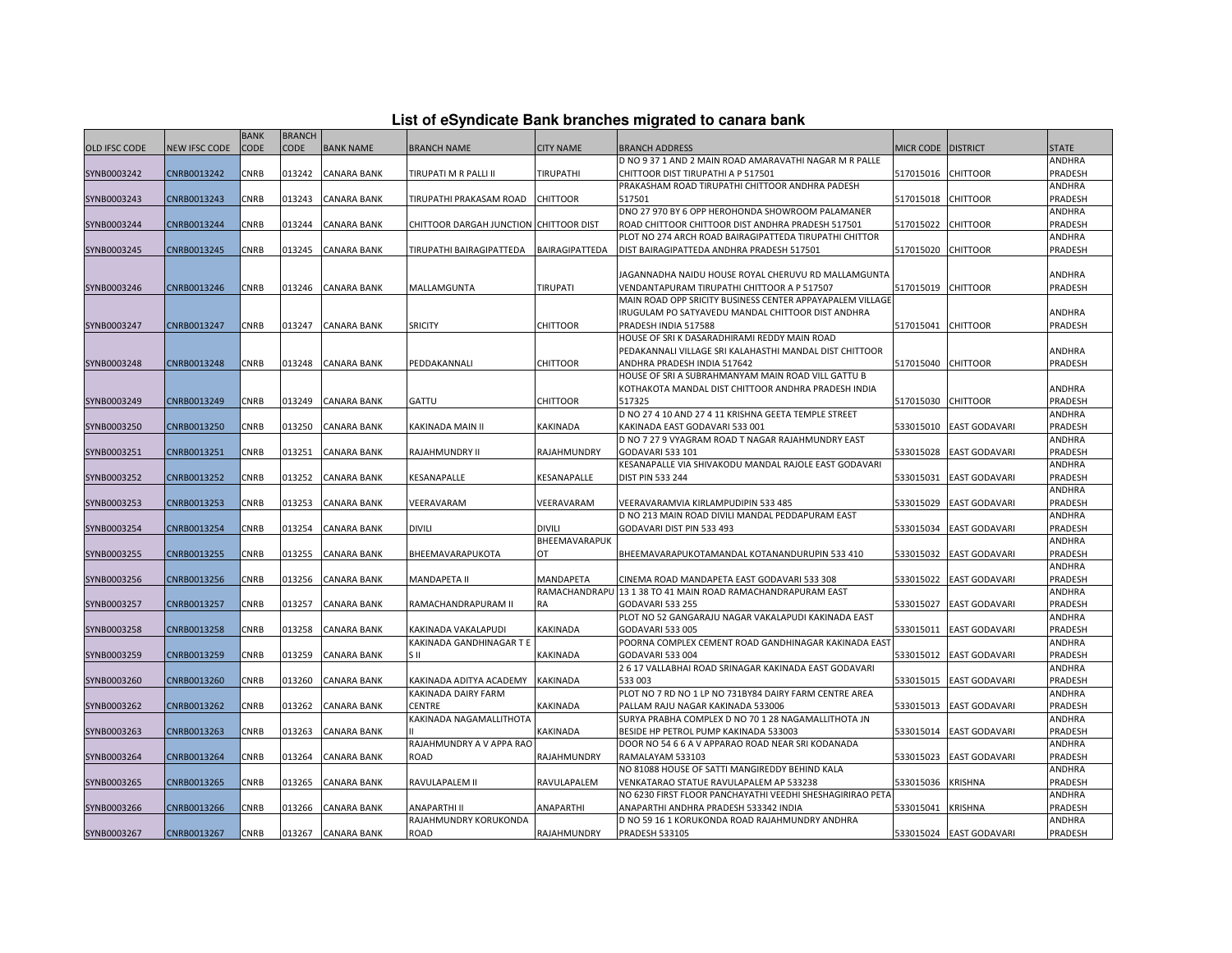|  |  | List of eSyndicate Bank branches migrated to canara bank |  |  |  |
|--|--|----------------------------------------------------------|--|--|--|
|  |  |                                                          |  |  |  |

|               | List of eSyndicate Bank branches migrated to canara bank |             |               |                    |                                        |                  |                                                             |                    |                         |              |  |  |
|---------------|----------------------------------------------------------|-------------|---------------|--------------------|----------------------------------------|------------------|-------------------------------------------------------------|--------------------|-------------------------|--------------|--|--|
|               |                                                          | <b>BANK</b> | <b>BRANCH</b> |                    |                                        |                  |                                                             |                    |                         |              |  |  |
| OLD IFSC CODE | <b>NEW IFSC CODE</b>                                     | <b>CODE</b> | <b>CODE</b>   | <b>BANK NAME</b>   | <b>BRANCH NAME</b>                     | <b>CITY NAME</b> | <b>BRANCH ADDRESS</b>                                       | MICR CODE DISTRICT |                         | <b>STATE</b> |  |  |
|               |                                                          |             |               |                    |                                        |                  | D NO 9 37 1 AND 2 MAIN ROAD AMARAVATHI NAGAR M R PALLE      |                    |                         | ANDHRA       |  |  |
| SYNB0003242   | CNRB0013242                                              | CNRB        | 013242        | <b>CANARA BANK</b> | TIRUPATI M R PALLI II                  | TIRUPATHI        | CHITTOOR DIST TIRUPATHI A P 517501                          | 517015016          | <b>CHITTOOR</b>         | PRADESH      |  |  |
|               |                                                          |             |               |                    |                                        |                  | PRAKASHAM ROAD TIRUPATHI CHITTOOR ANDHRA PADESH             |                    |                         | ANDHRA       |  |  |
| SYNB0003243   | CNRB0013243                                              | CNRB        | 013243        | <b>CANARA BANK</b> | TIRUPATHI PRAKASAM ROAD                | <b>CHITTOOR</b>  | 517501                                                      | 517015018          | <b>CHITTOOR</b>         | PRADESH      |  |  |
|               |                                                          |             |               |                    |                                        |                  | DNO 27 970 BY 6 OPP HEROHONDA SHOWROOM PALAMANER            |                    |                         | ANDHRA       |  |  |
| SYNB0003244   | CNRB0013244                                              | CNRB        | 013244        | <b>CANARA BANK</b> | CHITTOOR DARGAH JUNCTION CHITTOOR DIST |                  | ROAD CHITTOOR CHITTOOR DIST ANDHRA PRADESH 517501           | 517015022          | CHITTOOR                | PRADESH      |  |  |
|               |                                                          |             |               |                    |                                        |                  | PLOT NO 274 ARCH ROAD BAIRAGIPATTEDA TIRUPATHI CHITTOR      |                    |                         | ANDHRA       |  |  |
| SYNB0003245   | CNRB0013245                                              | CNRB        |               | 013245 CANARA BANK | TIRUPATHI BAIRAGIPATTEDA               | BAIRAGIPATTEDA   | DIST BAIRAGIPATTEDA ANDHRA PRADESH 517501                   | 517015020          | <b>CHITTOOR</b>         | PRADESH      |  |  |
|               |                                                          |             |               |                    |                                        |                  |                                                             |                    |                         |              |  |  |
|               |                                                          |             |               |                    |                                        |                  | JAGANNADHA NAIDU HOUSE ROYAL CHERUVU RD MALLAMGUNTA         |                    |                         | ANDHRA       |  |  |
| SYNB0003246   | CNRB0013246                                              | CNRB        | 013246        | <b>CANARA BANK</b> | MALLAMGUNTA                            | <b>TIRUPATI</b>  | VENDANTAPURAM TIRUPATHI CHITTOOR A P 517507                 | 517015019          | <b>CHITTOOR</b>         | PRADESH      |  |  |
|               |                                                          |             |               |                    |                                        |                  | MAIN ROAD OPP SRICITY BUSINESS CENTER APPAYAPALEM VILLAGE   |                    |                         |              |  |  |
|               |                                                          |             |               |                    |                                        |                  | IRUGULAM PO SATYAVEDU MANDAL CHITTOOR DIST ANDHRA           |                    |                         | ANDHRA       |  |  |
| SYNB0003247   | CNRB0013247                                              | <b>CNRB</b> | 013247        | <b>CANARA BANK</b> | <b>SRICITY</b>                         | <b>CHITTOOR</b>  | PRADESH INDIA 517588                                        | 517015041          | <b>CHITTOOR</b>         | PRADESH      |  |  |
|               |                                                          |             |               |                    |                                        |                  | HOUSE OF SRI K DASARADHIRAMI REDDY MAIN ROAD                |                    |                         |              |  |  |
|               |                                                          |             |               |                    |                                        |                  | PEDAKANNALI VILLAGE SRI KALAHASTHI MANDAL DIST CHITTOOR     |                    |                         | ANDHRA       |  |  |
| SYNB0003248   | CNRB0013248                                              | CNRB        |               | 013248 CANARA BANK | PEDDAKANNALI                           | <b>CHITTOOR</b>  | ANDHRA PRADESH INDIA 517642                                 | 517015040          | <b>CHITTOOR</b>         | PRADESH      |  |  |
|               |                                                          |             |               |                    |                                        |                  | HOUSE OF SRI A SUBRAHMANYAM MAIN ROAD VILL GATTU B          |                    |                         |              |  |  |
|               |                                                          |             |               |                    |                                        |                  | KOTHAKOTA MANDAL DIST CHITTOOR ANDHRA PRADESH INDIA         |                    |                         | ANDHRA       |  |  |
| SYNB0003249   | CNRB0013249                                              | CNRB        | 013249        | <b>CANARA BANK</b> | GATTU                                  | <b>CHITTOOR</b>  | 517325                                                      | 517015030          | <b>CHITTOOR</b>         | PRADESH      |  |  |
|               |                                                          |             |               |                    |                                        |                  | D NO 27 4 10 AND 27 4 11 KRISHNA GEETA TEMPLE STREET        |                    |                         | ANDHRA       |  |  |
| SYNB0003250   | CNRB0013250                                              | CNRB        | 013250        | <b>CANARA BANK</b> | KAKINADA MAIN II                       | KAKINADA         | KAKINADA EAST GODAVARI 533 001                              | 533015010          | <b>EAST GODAVARI</b>    | PRADESH      |  |  |
|               |                                                          |             |               |                    |                                        |                  | D NO 7 27 9 VYAGRAM ROAD T NAGAR RAJAHMUNDRY EAST           |                    |                         | ANDHRA       |  |  |
| SYNB0003251   | CNRB0013251                                              | CNRB        | 013251        | <b>CANARA BANK</b> | RAJAHMUNDRY II                         | RAJAHMUNDRY      | GODAVARI 533 101                                            | 533015028          | <b>EAST GODAVARI</b>    | PRADESH      |  |  |
|               |                                                          |             |               |                    |                                        |                  | KESANAPALLE VIA SHIVAKODU MANDAL RAJOLE EAST GODAVARI       |                    |                         | ANDHRA       |  |  |
| SYNB0003252   | CNRB0013252                                              | CNRB        | 013252        | CANARA BANK        | KESANAPALLE                            | KESANAPALLE      | <b>DIST PIN 533 244</b>                                     | 533015031          | <b>EAST GODAVARI</b>    | PRADESH      |  |  |
|               |                                                          |             |               |                    |                                        |                  |                                                             |                    |                         | ANDHRA       |  |  |
| SYNB0003253   | CNRB0013253                                              | CNRB        | 013253        | <b>CANARA BANK</b> | VEERAVARAM                             | VEERAVARAM       | VEERAVARAMVIA KIRLAMPUDIPIN 533 485                         | 533015029          | <b>EAST GODAVARI</b>    | PRADESH      |  |  |
|               |                                                          |             |               |                    |                                        |                  | D NO 213 MAIN ROAD DIVILI MANDAL PEDDAPURAM EAST            |                    |                         | ANDHRA       |  |  |
| SYNB0003254   | CNRB0013254                                              | CNRB        | 013254        | <b>CANARA BANK</b> | divili                                 | DIVILI           | GODAVARI DIST PIN 533 493                                   | 533015034          | <b>EAST GODAVARI</b>    | PRADESH      |  |  |
|               |                                                          |             |               |                    |                                        | BHEEMAVARAPUK    |                                                             |                    |                         | ANDHRA       |  |  |
| SYNB0003255   | CNRB0013255                                              | CNRB        | 013255        | <b>CANARA BANK</b> | BHEEMAVARAPUKOTA                       | OT               | BHEEMAVARAPUKOTAMANDAL KOTANANDURUPIN 533 410               | 533015032          | <b>EAST GODAVARI</b>    | PRADESH      |  |  |
|               |                                                          |             |               |                    |                                        |                  |                                                             |                    |                         | ANDHRA       |  |  |
| SYNB0003256   | CNRB0013256                                              | CNRB        | 013256        | <b>CANARA BANK</b> | MANDAPETA II                           | MANDAPETA        | CINEMA ROAD MANDAPETA EAST GODAVARI 533 308                 | 533015022          | <b>EAST GODAVARI</b>    | PRADESH      |  |  |
|               |                                                          |             |               |                    |                                        |                  | RAMACHANDRAPU 13 1 38 TO 41 MAIN ROAD RAMACHANDRAPURAM EAST |                    |                         | ANDHRA       |  |  |
| SYNB0003257   | CNRB0013257                                              | CNRB        | 013257        | CANARA BANK        | RAMACHANDRAPURAM II                    | RA               | <b>GODAVARI 533 255</b>                                     | 533015027          | <b>EAST GODAVARI</b>    | PRADESH      |  |  |
|               |                                                          |             |               |                    |                                        |                  | PLOT NO 52 GANGARAJU NAGAR VAKALAPUDI KAKINADA EAST         |                    |                         | ANDHRA       |  |  |
| SYNB0003258   | CNRB0013258                                              | CNRB        | 013258        | <b>CANARA BANK</b> | KAKINADA VAKALAPUDI                    | KAKINADA         | GODAVARI 533 005                                            | 533015011          | <b>EAST GODAVARI</b>    | PRADESH      |  |  |
|               |                                                          |             |               |                    | KAKINADA GANDHINAGAR T E               |                  | POORNA COMPLEX CEMENT ROAD GANDHINAGAR KAKINADA EAS'        |                    |                         | ANDHRA       |  |  |
| SYNB0003259   | CNRB0013259                                              | CNRB        | 013259        | <b>CANARA BANK</b> | S II                                   | <b>KAKINADA</b>  | GODAVARI 533 004                                            | 533015012          | <b>EAST GODAVARI</b>    | PRADESH      |  |  |
|               |                                                          |             |               |                    |                                        |                  | 2 6 17 VALLABHAI ROAD SRINAGAR KAKINADA EAST GODAVARI       |                    |                         | ANDHRA       |  |  |
| SYNB0003260   | CNRB0013260                                              | CNRB        | 013260        | <b>CANARA BANK</b> | KAKINADA ADITYA ACADEMY                | <b>KAKINADA</b>  | 533 003                                                     | 533015015          | <b>EAST GODAVARI</b>    | PRADESH      |  |  |
|               |                                                          |             |               |                    | KAKINADA DAIRY FARM                    |                  | PLOT NO 7 RD NO 1 LP NO 731BY84 DAIRY FARM CENTRE AREA      |                    |                         | ANDHRA       |  |  |
| SYNB0003262   | CNRB0013262                                              | CNRB        | 013262        | <b>CANARA BANK</b> | CENTRE                                 | KAKINADA         | PALLAM RAJU NAGAR KAKINADA 533006                           | 533015013          | <b>EAST GODAVARI</b>    | PRADESH      |  |  |
|               |                                                          |             |               |                    | KAKINADA NAGAMALLITHOTA                |                  | SURYA PRABHA COMPLEX D NO 70 1 28 NAGAMALLITHOTA JN         |                    |                         | ANDHRA       |  |  |
| SYNB0003263   | CNRB0013263                                              | CNRB        | 013263        | <b>CANARA BANK</b> |                                        | KAKINADA         | BESIDE HP PETROL PUMP KAKINADA 533003                       | 533015014          | <b>EAST GODAVARI</b>    | PRADESH      |  |  |
|               |                                                          |             |               |                    | RAJAHMUNDRY A V APPA RAO               |                  | DOOR NO 54 6 6 A V APPARAO ROAD NEAR SRI KODANADA           |                    |                         | ANDHRA       |  |  |
| SYNB0003264   | CNRB0013264                                              | CNRB        | 013264        | <b>CANARA BANK</b> | ROAD                                   | RAJAHMUNDRY      | RAMALAYAM 533103                                            | 533015023          | <b>EAST GODAVARI</b>    | PRADESH      |  |  |
|               |                                                          |             |               |                    |                                        |                  | NO 81088 HOUSE OF SATTI MANGIREDDY BEHIND KALA              |                    |                         | ANDHRA       |  |  |
| SYNB0003265   | CNRB0013265                                              | CNRB        | 013265        | <b>CANARA BANK</b> | RAVULAPALEM II                         | RAVULAPALEM      | VENKATARAO STATUE RAVULAPALEM AP 533238                     | 533015036          | <b>KRISHNA</b>          | PRADESH      |  |  |
|               |                                                          |             |               |                    |                                        |                  | NO 6230 FIRST FLOOR PANCHAYATHI VEEDHI SHESHAGIRIRAO PETA   |                    |                         | ANDHRA       |  |  |
| SYNB0003266   | CNRB0013266                                              | CNRB        | 013266        | <b>CANARA BANK</b> | ANAPARTHI II                           | ANAPARTHI        | ANAPARTHI ANDHRA PRADESH 533342 INDIA                       | 533015041          | <b>KRISHNA</b>          | PRADESH      |  |  |
|               |                                                          |             |               |                    | RAJAHMUNDRY KORUKONDA                  |                  | D NO 59 16 1 KORUKONDA ROAD RAJAHMUNDRY ANDHRA              |                    |                         | ANDHRA       |  |  |
| SYNB0003267   | CNRB0013267                                              | CNRB        |               | 013267 CANARA BANK | ROAD                                   | RAJAHMUNDRY      | <b>PRADESH 533105</b>                                       |                    | 533015024 EAST GODAVARI | PRADESH      |  |  |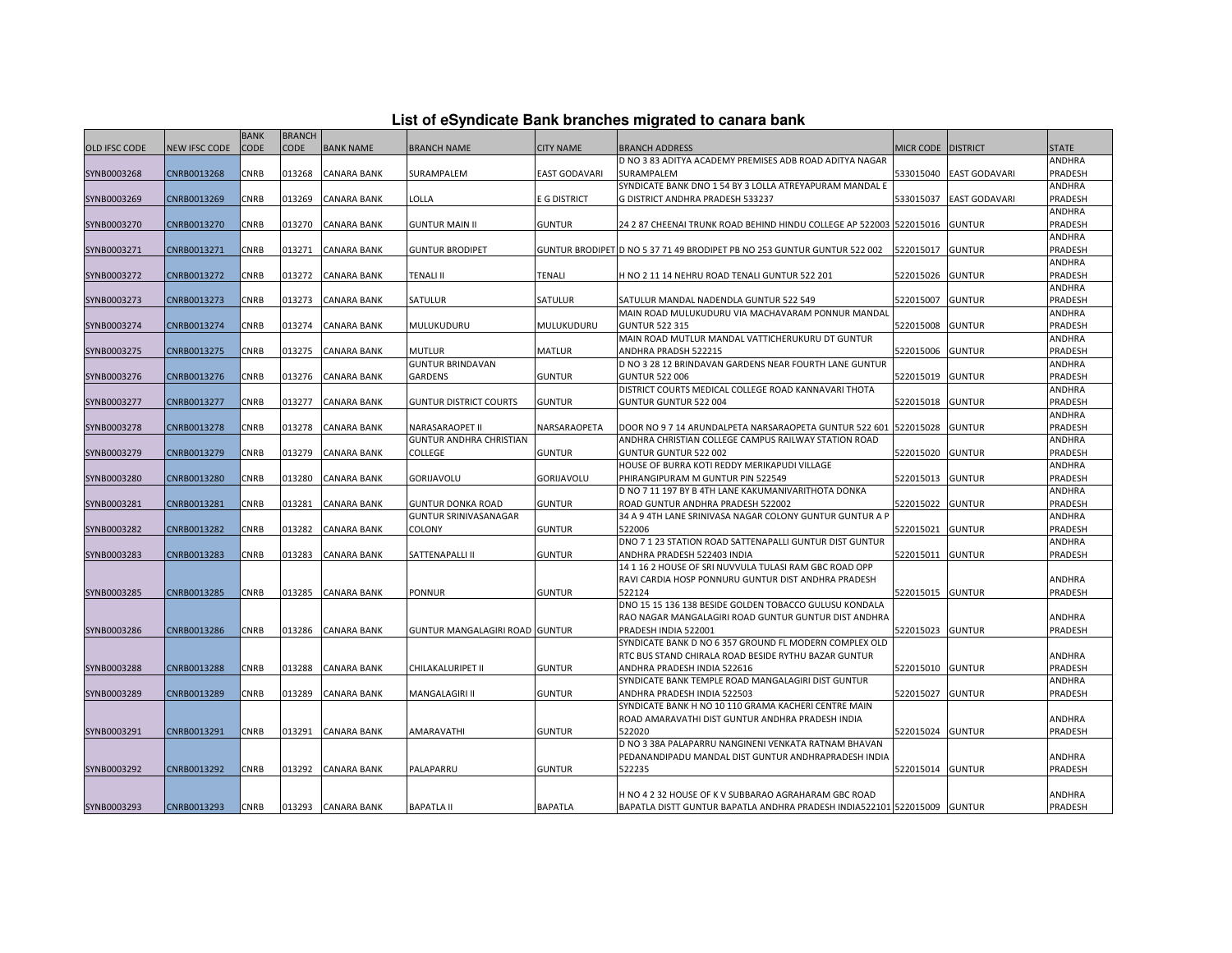|                      |                      | <b>BANK</b> | <b>BRANCH</b> |                    | ------                         |                      |                                                                                     |                    |                         |                   |
|----------------------|----------------------|-------------|---------------|--------------------|--------------------------------|----------------------|-------------------------------------------------------------------------------------|--------------------|-------------------------|-------------------|
| <b>OLD IFSC CODE</b> | <b>NEW IFSC CODE</b> | <b>CODE</b> | <b>CODE</b>   | <b>BANK NAME</b>   | <b>BRANCH NAME</b>             | <b>CITY NAME</b>     | <b>BRANCH ADDRESS</b>                                                               | MICR CODE DISTRICT |                         | <b>STATE</b>      |
|                      |                      |             |               |                    |                                |                      | D NO 3 83 ADITYA ACADEMY PREMISES ADB ROAD ADITYA NAGAR                             |                    |                         | ANDHRA            |
| SYNB0003268          | CNRB0013268          | CNRB        | 013268        | <b>CANARA BANK</b> | SURAMPALEM                     | <b>EAST GODAVARI</b> | SURAMPALEM                                                                          |                    | 533015040 EAST GODAVARI | PRADESH           |
|                      |                      |             |               |                    |                                |                      | SYNDICATE BANK DNO 1 54 BY 3 LOLLA ATREYAPURAM MANDAL E                             |                    |                         | ANDHRA            |
| SYNB0003269          | CNRB0013269          | CNRB        | 013269        | <b>CANARA BANK</b> | LOLLA                          | E G DISTRICT         | G DISTRICT ANDHRA PRADESH 533237                                                    | 533015037          | <b>EAST GODAVARI</b>    | PRADESH           |
|                      |                      |             |               |                    |                                |                      |                                                                                     |                    |                         | ANDHRA            |
| SYNB0003270          | CNRB0013270          | <b>CNRB</b> | 013270        | <b>CANARA BANK</b> | <b>GUNTUR MAIN II</b>          | <b>GUNTUR</b>        | 24 2 87 CHEENAI TRUNK ROAD BEHIND HINDU COLLEGE AP 522003 522015016                 |                    | <b>GUNTUR</b>           | PRADESH           |
|                      |                      |             |               |                    |                                |                      |                                                                                     |                    |                         | ANDHRA            |
| SYNB0003271          | CNRB0013271          | CNRB        | 013271        | CANARA BANK        | <b>GUNTUR BRODIPET</b>         |                      | GUNTUR BRODIPET D NO 5 37 71 49 BRODIPET PB NO 253 GUNTUR GUNTUR 522 002            | 522015017          | <b>GUNTUR</b>           | PRADESH           |
|                      |                      |             |               |                    |                                |                      |                                                                                     |                    |                         | ANDHRA            |
| SYNB0003272          | CNRB0013272          | <b>CNRB</b> | 013272        | <b>CANARA BANK</b> | <b>TENALI II</b>               | <b>TENALI</b>        | H NO 2 11 14 NEHRU ROAD TENALI GUNTUR 522 201                                       | 522015026          | <b>GUNTUR</b>           | PRADESH           |
|                      |                      |             |               |                    |                                |                      |                                                                                     |                    |                         | ANDHRA            |
| SYNB0003273          | CNRB0013273          | CNRB        | 013273        | CANARA BANK        | SATULUR                        | SATULUR              | SATULUR MANDAL NADENDLA GUNTUR 522 549                                              | 522015007          | <b>GUNTUR</b>           | PRADESH           |
|                      |                      |             |               |                    |                                |                      | MAIN ROAD MULUKUDURU VIA MACHAVARAM PONNUR MANDAL                                   |                    |                         | ANDHRA            |
| SYNB0003274          | CNRB0013274          | <b>CNRB</b> | 013274        | <b>CANARA BANK</b> | MULUKUDURU                     | MULUKUDURU           | <b>GUNTUR 522 315</b>                                                               | 522015008          | <b>GUNTUR</b>           | PRADESH           |
|                      |                      |             |               |                    |                                |                      | MAIN ROAD MUTLUR MANDAL VATTICHERUKURU DT GUNTUR                                    |                    |                         | ANDHRA            |
| SYNB0003275          | CNRB0013275          | CNRB        | 013275        | <b>CANARA BANK</b> | <b>MUTLUR</b>                  | <b>MATLUR</b>        | ANDHRA PRADSH 522215                                                                | 522015006          | <b>GUNTUR</b>           | PRADESH           |
|                      |                      |             |               |                    | <b>GUNTUR BRINDAVAN</b>        |                      | D NO 3 28 12 BRINDAVAN GARDENS NEAR FOURTH LANE GUNTUR                              |                    |                         | ANDHRA            |
| SYNB0003276          | CNRB0013276          | CNRB        | 013276        | <b>CANARA BANK</b> | GARDENS                        | <b>GUNTUR</b>        | <b>GUNTUR 522 006</b><br>DISTRICT COURTS MEDICAL COLLEGE ROAD KANNAVARI THOTA       | 522015019          | <b>GUNTUR</b>           | PRADESH<br>ANDHRA |
| SYNB0003277          | CNRB0013277          | CNRB        | 013277        | CANARA BANK        | GUNTUR DISTRICT COURTS         | <b>GUNTUR</b>        | GUNTUR GUNTUR 522 004                                                               | 522015018          | <b>GUNTUR</b>           | PRADESH           |
|                      |                      |             |               |                    |                                |                      |                                                                                     |                    |                         | ANDHRA            |
| SYNB0003278          | CNRB0013278          | <b>CNRB</b> | 013278        | <b>CANARA BANK</b> | NARASARAOPET II                | NARSARAOPETA         | DOOR NO 9 7 14 ARUNDALPETA NARSARAOPETA GUNTUR 522 601 522015028                    |                    | <b>GUNTUR</b>           | PRADESH           |
|                      |                      |             |               |                    | GUNTUR ANDHRA CHRISTIAN        |                      | ANDHRA CHRISTIAN COLLEGE CAMPUS RAILWAY STATION ROAD                                |                    |                         | ANDHRA            |
| SYNB0003279          | CNRB0013279          | <b>CNRB</b> | 013279        | <b>CANARA BANK</b> | COLLEGE                        | <b>GUNTUR</b>        | GUNTUR GUNTUR 522 002                                                               | 522015020          | <b>GUNTUR</b>           | PRADESH           |
|                      |                      |             |               |                    |                                |                      | HOUSE OF BURRA KOTI REDDY MERIKAPUDI VILLAGE                                        |                    |                         | ANDHRA            |
| SYNB0003280          | CNRB0013280          | CNRB        | 013280        | <b>CANARA BANK</b> | GORIJAVOLU                     | <b>GORIJAVOLU</b>    | PHIRANGIPURAM M GUNTUR PIN 522549                                                   | 522015013          | <b>GUNTUR</b>           | PRADESH           |
|                      |                      |             |               |                    |                                |                      | D NO 7 11 197 BY B 4TH LANE KAKUMANIVARITHOTA DONKA                                 |                    |                         | <b>ANDHRA</b>     |
| SYNB0003281          | CNRB0013281          | <b>CNRB</b> | 013281        | <b>CANARA BANK</b> | <b>GUNTUR DONKA ROAD</b>       | <b>GUNTUR</b>        | ROAD GUNTUR ANDHRA PRADESH 522002                                                   | 522015022          | <b>GUNTUR</b>           | PRADESH           |
|                      |                      |             |               |                    | GUNTUR SRINIVASANAGAR          |                      | 34 A 9 4TH LANE SRINIVASA NAGAR COLONY GUNTUR GUNTUR A P                            |                    |                         | ANDHRA            |
| SYNB0003282          | CNRB0013282          | <b>CNRB</b> | 013282        | <b>CANARA BANK</b> | COLONY                         | <b>GUNTUR</b>        | 522006                                                                              | 522015021          | <b>GUNTUR</b>           | PRADESH           |
|                      |                      |             |               |                    |                                |                      | DNO 7 1 23 STATION ROAD SATTENAPALLI GUNTUR DIST GUNTUR                             |                    |                         | ANDHRA            |
| SYNB0003283          | CNRB0013283          | <b>CNRB</b> | 013283        | <b>CANARA BANK</b> | SATTENAPALLI II                | <b>GUNTUR</b>        | ANDHRA PRADESH 522403 INDIA                                                         | 522015011          | <b>GUNTUR</b>           | PRADESH           |
|                      |                      |             |               |                    |                                |                      | 14 1 16 2 HOUSE OF SRI NUVVULA TULASI RAM GBC ROAD OPP                              |                    |                         |                   |
|                      |                      |             |               |                    |                                |                      | RAVI CARDIA HOSP PONNURU GUNTUR DIST ANDHRA PRADESH                                 |                    |                         | ANDHRA            |
| SYNB0003285          | CNRB0013285          | <b>CNRB</b> | 013285        | <b>CANARA BANK</b> | PONNUR                         | <b>GUNTUR</b>        | 522124                                                                              | 522015015          | <b>GUNTUR</b>           | PRADESH           |
|                      |                      |             |               |                    |                                |                      | DNO 15 15 136 138 BESIDE GOLDEN TOBACCO GULUSU KONDALA                              |                    |                         |                   |
|                      |                      |             |               |                    |                                |                      | RAO NAGAR MANGALAGIRI ROAD GUNTUR GUNTUR DIST ANDHRA                                |                    |                         | ANDHRA            |
| SYNB0003286          | CNRB0013286          | <b>CNRB</b> | 013286        | <b>CANARA BANK</b> | GUNTUR MANGALAGIRI ROAD GUNTUR |                      | PRADESH INDIA 522001                                                                | 522015023          | <b>GUNTUR</b>           | PRADESH           |
|                      |                      |             |               |                    |                                |                      | SYNDICATE BANK D NO 6 357 GROUND FL MODERN COMPLEX OLD                              |                    |                         | ANDHRA            |
| SYNB0003288          | CNRB0013288          | <b>CNRB</b> | 013288        | <b>CANARA BANK</b> | CHILAKALURIPET II              | <b>GUNTUR</b>        | RTC BUS STAND CHIRALA ROAD BESIDE RYTHU BAZAR GUNTUR<br>ANDHRA PRADESH INDIA 522616 | 522015010          | <b>GUNTUR</b>           | PRADESH           |
|                      |                      |             |               |                    |                                |                      | SYNDICATE BANK TEMPLE ROAD MANGALAGIRI DIST GUNTUR                                  |                    |                         | ANDHRA            |
| SYNB0003289          | CNRB0013289          | <b>CNRB</b> | 013289        | <b>CANARA BANK</b> | MANGALAGIRI II                 | <b>GUNTUR</b>        | ANDHRA PRADESH INDIA 522503                                                         | 522015027          | <b>GUNTUR</b>           | PRADESH           |
|                      |                      |             |               |                    |                                |                      | SYNDICATE BANK H NO 10 110 GRAMA KACHERI CENTRE MAIN                                |                    |                         |                   |
|                      |                      |             |               |                    |                                |                      | ROAD AMARAVATHI DIST GUNTUR ANDHRA PRADESH INDIA                                    |                    |                         | ANDHRA            |
| SYNB0003291          | CNRB0013291          | <b>CNRB</b> | 013291        | <b>CANARA BANK</b> | AMARAVATHI                     | <b>GUNTUR</b>        | 522020                                                                              | 522015024          | <b>GUNTUR</b>           | PRADESH           |
|                      |                      |             |               |                    |                                |                      | D NO 3 38A PALAPARRU NANGINENI VENKATA RATNAM BHAVAN                                |                    |                         |                   |
|                      |                      |             |               |                    |                                |                      | PEDANANDIPADU MANDAL DIST GUNTUR ANDHRAPRADESH INDIA                                |                    |                         | ANDHRA            |
| SYNB0003292          | CNRB0013292          | CNRB        | 013292        | <b>CANARA BANK</b> | PALAPARRU                      | <b>GUNTUR</b>        | 522235                                                                              | 522015014          | <b>GUNTUR</b>           | PRADESH           |
|                      |                      |             |               |                    |                                |                      |                                                                                     |                    |                         |                   |
|                      |                      |             |               |                    |                                |                      | H NO 4 2 32 HOUSE OF K V SUBBARAO AGRAHARAM GBC ROAD                                |                    |                         | ANDHRA            |
| SYNB0003293          | CNRB0013293          | <b>CNRB</b> | 013293        | <b>CANARA BANK</b> | <b>BAPATLA II</b>              | <b>BAPATLA</b>       | BAPATLA DISTT GUNTUR BAPATLA ANDHRA PRADESH INDIA522101 522015009 GUNTUR            |                    |                         | PRADESH           |

## **List of eSyndicate Bank branches migrated to canara bank**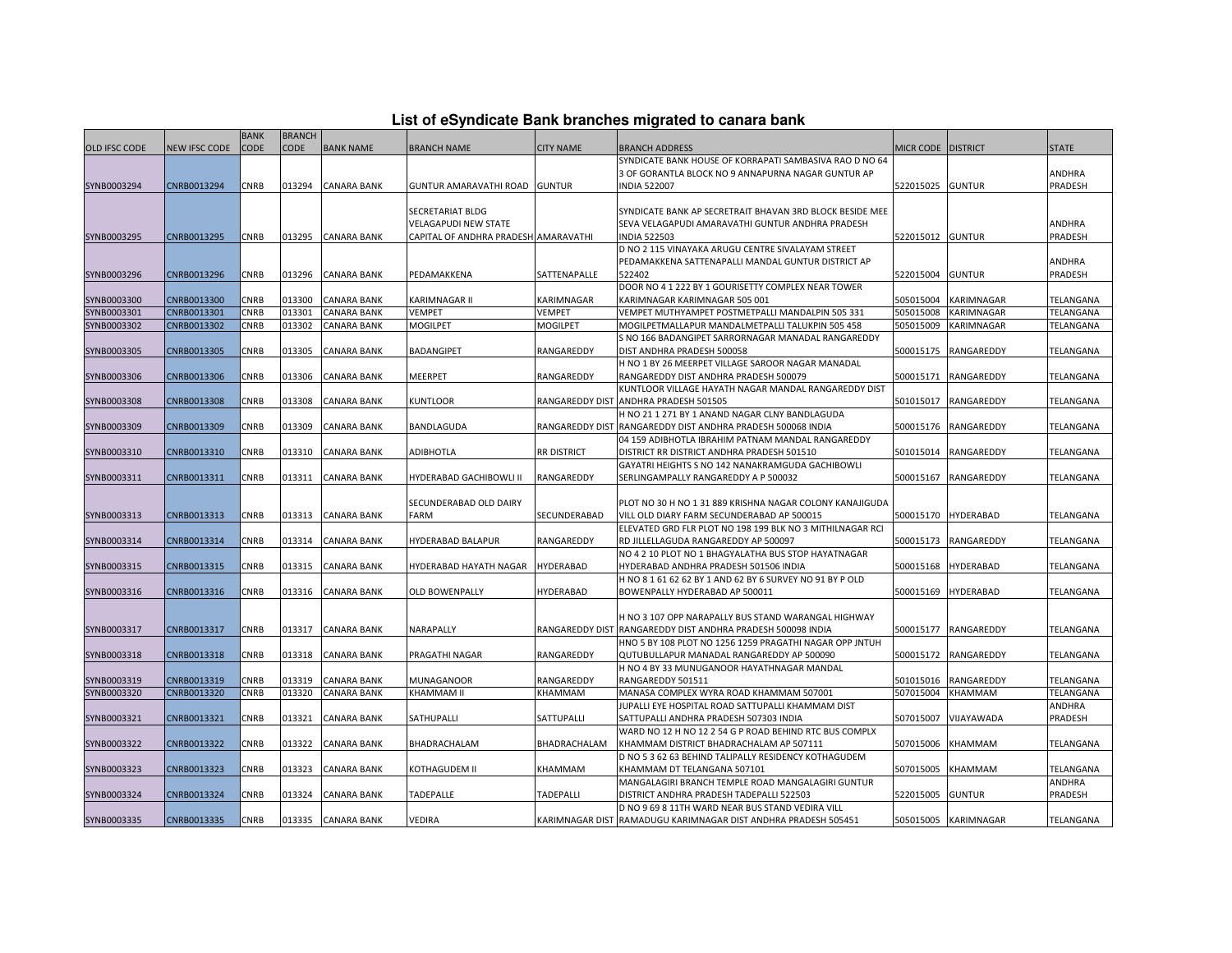|  | List of eSyndicate Bank branches migrated to canara bank |  |  |  |
|--|----------------------------------------------------------|--|--|--|
|  |                                                          |  |  |  |

|                      |               | <b>BANK</b> | <b>BRANCH</b> |                    |                                      |                        |                                                                                         |                      |                      |              |
|----------------------|---------------|-------------|---------------|--------------------|--------------------------------------|------------------------|-----------------------------------------------------------------------------------------|----------------------|----------------------|--------------|
| <b>OLD IFSC CODE</b> | NEW IFSC CODE | <b>CODE</b> | CODE          | <b>BANK NAME</b>   | <b>BRANCH NAME</b>                   | <b>CITY NAME</b>       | BRANCH ADDRESS                                                                          | MICR CODE   DISTRICT |                      | <b>STATE</b> |
|                      |               |             |               |                    |                                      |                        | SYNDICATE BANK HOUSE OF KORRAPATI SAMBASIVA RAO D NO 64                                 |                      |                      |              |
|                      |               |             |               |                    |                                      |                        | 3 OF GORANTLA BLOCK NO 9 ANNAPURNA NAGAR GUNTUR AP                                      |                      |                      | ANDHRA       |
| SYNB0003294          | CNRB0013294   | CNRB        | 013294        | <b>CANARA BANK</b> | GUNTUR AMARAVATHI ROAD GUNTUR        |                        | <b>INDIA 522007</b>                                                                     | 522015025            | <b>GUNTUR</b>        | PRADESH      |
|                      |               |             |               |                    |                                      |                        |                                                                                         |                      |                      |              |
|                      |               |             |               |                    | SECRETARIAT BLDG                     |                        | SYNDICATE BANK AP SECRETRAIT BHAVAN 3RD BLOCK BESIDE MEE                                |                      |                      |              |
|                      |               |             |               |                    | VELAGAPUDI NEW STATE                 |                        | SEVA VELAGAPUDI AMARAVATHI GUNTUR ANDHRA PRADESH                                        |                      |                      | ANDHRA       |
| SYNB0003295          | CNRB0013295   | <b>CNRB</b> | 013295        | <b>CANARA BANK</b> | CAPITAL OF ANDHRA PRADESH AMARAVATHI |                        | <b>INDIA 522503</b>                                                                     | 522015012 GUNTUR     |                      | PRADESH      |
|                      |               |             |               |                    |                                      |                        | D NO 2 115 VINAYAKA ARUGU CENTRE SIVALAYAM STREET                                       |                      |                      |              |
|                      |               |             |               |                    |                                      |                        | PEDAMAKKENA SATTENAPALLI MANDAL GUNTUR DISTRICT AP                                      |                      |                      | ANDHRA       |
| SYNB0003296          | CNRB0013296   | <b>CNRB</b> | 013296        | <b>CANARA BANK</b> | PEDAMAKKENA                          | SATTENAPALLE           | 522402                                                                                  | 522015004            | <b>GUNTUR</b>        | PRADESH      |
|                      |               |             |               |                    |                                      |                        | DOOR NO 4 1 222 BY 1 GOURISETTY COMPLEX NEAR TOWER                                      |                      |                      |              |
| SYNB0003300          | CNRB0013300   | <b>CNRB</b> | 013300        | <b>CANARA BANK</b> | KARIMNAGAR II                        | KARIMNAGAR             | KARIMNAGAR KARIMNAGAR 505 001                                                           | 505015004            | KARIMNAGAR           | TELANGANA    |
| SYNB0003301          | CNRB0013301   | <b>CNRB</b> | 013301        | <b>CANARA BANK</b> | <b>VEMPET</b>                        | <b>VEMPET</b>          | VEMPET MUTHYAMPET POSTMETPALLI MANDALPIN 505 331                                        | 505015008            | KARIMNAGAR           | TELANGANA    |
| SYNB0003302          | CNRB0013302   | CNRB        | 013302        | <b>CANARA BANK</b> | <b>MOGILPET</b>                      | <b>MOGILPET</b>        | MOGILPETMALLAPUR MANDALMETPALLI TALUKPIN 505 458                                        | 505015009            | KARIMNAGAR           | TELANGANA    |
|                      |               |             |               |                    |                                      |                        | S NO 166 BADANGIPET SARRORNAGAR MANADAL RANGAREDDY                                      |                      |                      |              |
| SYNB0003305          | CNRB0013305   | <b>CNRB</b> | 013305        | <b>CANARA BANK</b> | BADANGIPET                           | RANGAREDDY             | DIST ANDHRA PRADESH 500058                                                              | 500015175            | RANGAREDDY           | TELANGANA    |
|                      |               |             |               |                    |                                      |                        | H NO 1 BY 26 MEERPET VILLAGE SAROOR NAGAR MANADAL                                       |                      |                      |              |
| SYNB0003306          | CNRB0013306   | CNRB        | 013306        | <b>CANARA BANK</b> | MEERPET                              | RANGAREDDY             | RANGAREDDY DIST ANDHRA PRADESH 500079                                                   | 500015171            | RANGAREDDY           | TELANGANA    |
|                      |               |             |               |                    |                                      |                        | KUNTLOOR VILLAGE HAYATH NAGAR MANDAL RANGAREDDY DIST                                    |                      |                      |              |
| SYNB0003308          | CNRB0013308   | CNRB        | 013308        | CANARA BANK        | KUNTLOOR                             |                        | RANGAREDDY DIST ANDHRA PRADESH 501505                                                   | 501015017            | RANGAREDDY           | TELANGANA    |
|                      |               |             |               |                    |                                      |                        | H NO 21 1 271 BY 1 ANAND NAGAR CLNY BANDLAGUDA                                          |                      |                      |              |
| SYNB0003309          | CNRB0013309   | CNRB        | 013309        | <b>CANARA BANK</b> | BANDLAGUDA                           | <b>RANGAREDDY DIST</b> | RANGAREDDY DIST ANDHRA PRADESH 500068 INDIA                                             |                      | 500015176 RANGAREDDY | TELANGANA    |
|                      |               |             |               |                    |                                      |                        | 04 159 ADIBHOTLA IBRAHIM PATNAM MANDAL RANGAREDDY                                       |                      |                      |              |
| SYNB0003310          | CNRB0013310   | CNRB        | 013310        | <b>CANARA BANK</b> | ADIBHOTLA                            | <b>RR DISTRICT</b>     | DISTRICT RR DISTRICT ANDHRA PRADESH 501510                                              | 501015014            | RANGAREDDY           | TELANGANA    |
|                      |               |             |               |                    |                                      |                        | GAYATRI HEIGHTS S NO 142 NANAKRAMGUDA GACHIBOWLI                                        |                      |                      |              |
|                      |               | CNRB        |               | <b>CANARA BANK</b> | HYDERABAD GACHIBOWLI II              | RANGAREDDY             | SERLINGAMPALLY RANGAREDDY A P 500032                                                    |                      |                      |              |
| SYNB0003311          | CNRB0013311   |             | 013311        |                    |                                      |                        |                                                                                         | 500015167            | RANGAREDDY           | TELANGANA    |
|                      |               |             |               |                    | SECUNDERABAD OLD DAIRY               |                        | PLOT NO 30 H NO 1 31 889 KRISHNA NAGAR COLONY KANAJIGUDA                                |                      |                      |              |
| SYNB0003313          | CNRB0013313   | CNRB        | 013313        | <b>CANARA BANK</b> | FARM                                 | SECUNDERABAD           | VILL OLD DIARY FARM SECUNDERABAD AP 500015                                              |                      | 500015170 HYDERABAD  | TELANGANA    |
|                      |               |             |               |                    |                                      |                        | ELEVATED GRD FLR PLOT NO 198 199 BLK NO 3 MITHILNAGAR RCI                               |                      |                      |              |
| SYNB0003314          | CNRB0013314   | CNRB        | 013314        | CANARA BANK        | HYDERABAD BALAPUR                    | RANGAREDDY             | RD JILLELLAGUDA RANGAREDDY AP 500097                                                    | 500015173            | RANGAREDDY           | TELANGANA    |
|                      |               |             |               |                    |                                      |                        | NO 4 2 10 PLOT NO 1 BHAGYALATHA BUS STOP HAYATNAGAR                                     |                      |                      |              |
|                      |               | CNRB        |               |                    |                                      | <b>HYDERABAD</b>       | HYDERABAD ANDHRA PRADESH 501506 INDIA                                                   |                      |                      |              |
| SYNB0003315          | CNRB0013315   |             | 013315        | <b>CANARA BANK</b> | HYDERABAD HAYATH NAGAR               |                        | H NO 8 1 61 62 62 BY 1 AND 62 BY 6 SURVEY NO 91 BY P OLD                                | 500015168            | <b>HYDERABAD</b>     | TELANGANA    |
| SYNB0003316          | CNRB0013316   | CNRB        | 013316        | <b>CANARA BANK</b> | OLD BOWENPALLY                       | HYDERABAD              | BOWENPALLY HYDERABAD AP 500011                                                          | 500015169            | <b>HYDERABAD</b>     |              |
|                      |               |             |               |                    |                                      |                        |                                                                                         |                      |                      | TELANGANA    |
|                      |               |             |               |                    |                                      |                        |                                                                                         |                      |                      |              |
|                      |               |             |               |                    |                                      |                        | H NO 3 107 OPP NARAPALLY BUS STAND WARANGAL HIGHWAY                                     |                      |                      | TELANGANA    |
| SYNB0003317          | CNRB0013317   | <b>CNRB</b> | 013317        | <b>CANARA BANK</b> | NARAPALLY                            | RANGAREDDY DIST        | RANGAREDDY DIST ANDHRA PRADESH 500098 INDIA                                             | 500015177            | RANGAREDDY           |              |
|                      |               |             |               |                    |                                      |                        | HNO 5 BY 108 PLOT NO 1256 1259 PRAGATHI NAGAR OPP JNTUH                                 |                      |                      |              |
| SYNB0003318          | CNRB0013318   | CNRB        | 013318        | CANARA BANK        | PRAGATHI NAGAR                       | RANGAREDDY             | QUTUBULLAPUR MANADAL RANGAREDDY AP 500090<br>H NO 4 BY 33 MUNUGANOOR HAYATHNAGAR MANDAL | 500015172            | RANGAREDDY           | TELANGANA    |
|                      |               |             |               |                    |                                      |                        |                                                                                         |                      |                      |              |
| SYNB0003319          | CNRB0013319   | CNRB        | 013319        | CANARA BANK        | MUNAGANOOR                           | RANGAREDDY             | RANGAREDDY 501511                                                                       | 501015016            | RANGAREDDY           | TELANGANA    |
| SYNB0003320          | CNRB0013320   | CNRB        | 013320        | <b>CANARA BANK</b> | KHAMMAM II                           | KHAMMAM                | MANASA COMPLEX WYRA ROAD KHAMMAM 507001                                                 | 507015004            | KHAMMAM              | TELANGANA    |
|                      |               |             |               |                    |                                      |                        | JUPALLI EYE HOSPITAL ROAD SATTUPALLI KHAMMAM DIST                                       |                      |                      | ANDHRA       |
| SYNB0003321          | CNRB0013321   | CNRB        | 013321        | CANARA BANK        | SATHUPALLI                           | SATTUPALLI             | SATTUPALLI ANDHRA PRADESH 507303 INDIA                                                  | 507015007            | VIJAYAWADA           | PRADESH      |
|                      |               |             |               |                    |                                      |                        | WARD NO 12 H NO 12 2 54 G P ROAD BEHIND RTC BUS COMPLX                                  |                      |                      |              |
| SYNB0003322          | CNRB0013322   | CNRB        | 013322        | <b>CANARA BANK</b> | BHADRACHALAM                         | BHADRACHALAM           | KHAMMAM DISTRICT BHADRACHALAM AP 507111                                                 | 507015006            | <b>KHAMMAM</b>       | TELANGANA    |
|                      |               |             |               |                    |                                      |                        | D NO 5 3 62 63 BEHIND TALIPALLY RESIDENCY KOTHAGUDEM                                    |                      |                      |              |
| SYNB0003323          | CNRB0013323   | CNRB        | 013323        | <b>CANARA BANK</b> | KOTHAGUDEM II                        | KHAMMAM                | KHAMMAM DT TELANGANA 507101                                                             | 507015005            | KHAMMAM              | TELANGANA    |
|                      |               |             |               |                    |                                      |                        | MANGALAGIRI BRANCH TEMPLE ROAD MANGALAGIRI GUNTUR                                       |                      |                      | ANDHRA       |
| SYNB0003324          | CNRB0013324   | CNRB        | 013324        | CANARA BANK        | TADEPALLE                            | TADEPALLI              | DISTRICT ANDHRA PRADESH TADEPALLI 522503                                                | 522015005            | <b>GUNTUR</b>        | PRADESH      |
|                      |               |             |               |                    |                                      |                        | D NO 9 69 8 11TH WARD NEAR BUS STAND VEDIRA VILL                                        |                      |                      |              |
| SYNB0003335          | CNRB0013335   | <b>CNRB</b> |               | 013335 CANARA BANK | VEDIRA                               |                        | KARIMNAGAR DIST RAMADUGU KARIMNAGAR DIST ANDHRA PRADESH 505451                          |                      | 505015005 KARIMNAGAR | TELANGANA    |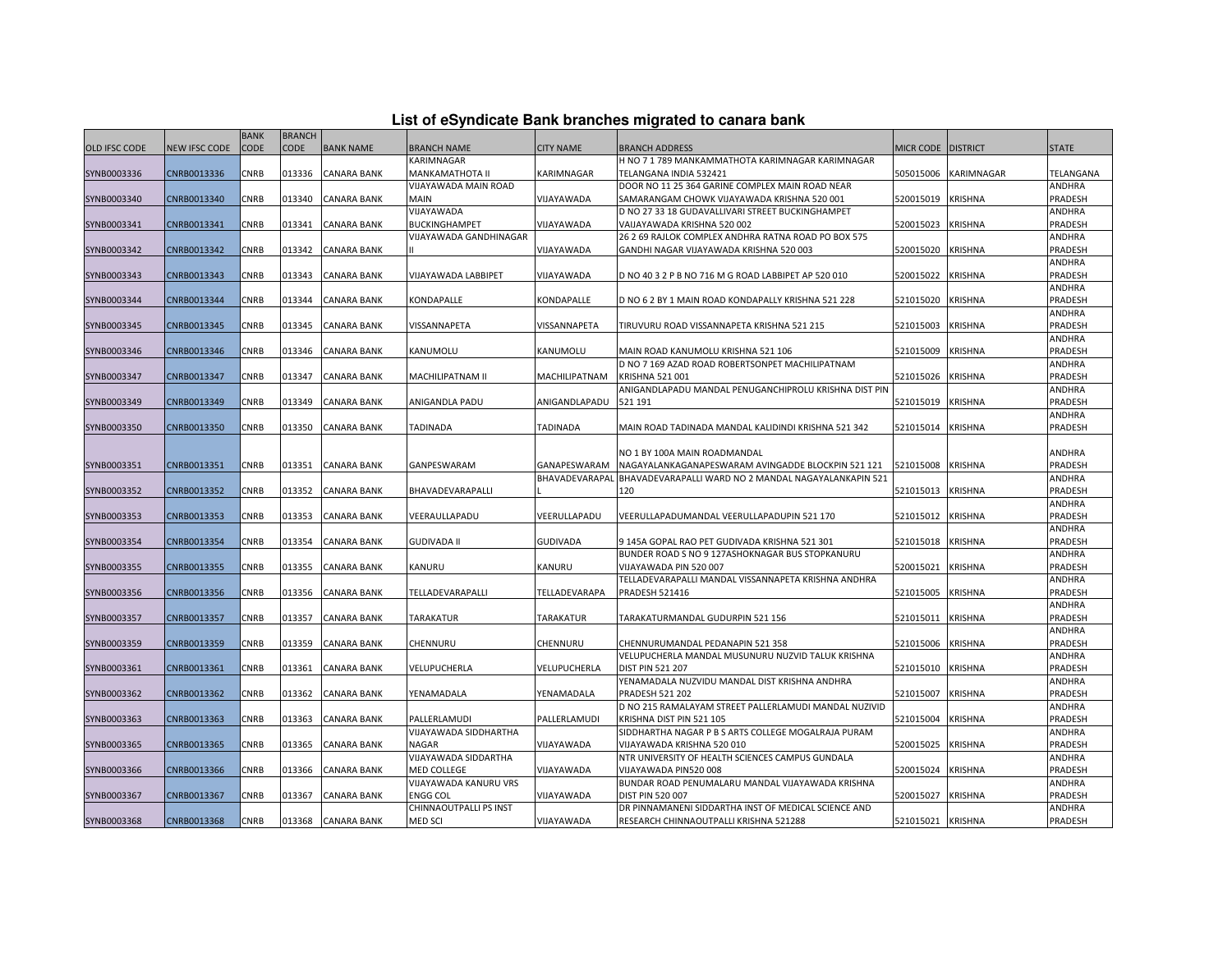|  | List of eSyndicate Bank branches migrated to canara bank |  |  |  |  |
|--|----------------------------------------------------------|--|--|--|--|
|  |                                                          |  |  |  |  |

|                      |               | <b>BANK</b> | <b>BRANCH</b> |                    |                        |                                |                                                                                                            |           |                 |                   |
|----------------------|---------------|-------------|---------------|--------------------|------------------------|--------------------------------|------------------------------------------------------------------------------------------------------------|-----------|-----------------|-------------------|
| <b>OLD IFSC CODE</b> | NEW IFSC CODE | <b>CODE</b> | CODE          | <b>BANK NAME</b>   | <b>BRANCH NAME</b>     | <b>CITY NAME</b>               | BRANCH ADDRESS                                                                                             | MICR CODE | <b>DISTRICT</b> | <b>STATE</b>      |
|                      |               |             |               |                    | KARIMNAGAR             |                                | H NO 7 1 789 MANKAMMATHOTA KARIMNAGAR KARIMNAGAR                                                           |           |                 |                   |
| SYNB0003336          | CNRB0013336   | CNRB        | 013336        | CANARA BANK        | MANKAMATHOTA II        | KARIMNAGAR                     | TELANGANA INDIA 532421                                                                                     | 505015006 | KARIMNAGAR      | TELANGANA         |
|                      |               |             |               |                    | VIJAYAWADA MAIN ROAD   |                                | DOOR NO 11 25 364 GARINE COMPLEX MAIN ROAD NEAR                                                            |           |                 | ANDHRA            |
| SYNB0003340          | CNRB0013340   | CNRB        | 013340        | CANARA BANK        | <b>MAIN</b>            | VIJAYAWADA                     | SAMARANGAM CHOWK VIJAYAWADA KRISHNA 520 001                                                                | 520015019 | <b>KRISHNA</b>  | PRADESH           |
|                      |               |             |               |                    | VIJAYAWADA             |                                | D NO 27 33 18 GUDAVALLIVARI STREET BUCKINGHAMPET                                                           |           |                 | ANDHRA            |
| SYNB0003341          | CNRB0013341   | CNRB        | 013341        | CANARA BANK        | BUCKINGHAMPET          | VIJAYAWADA                     | VAIJAYAWADA KRISHNA 520 002                                                                                | 520015023 | <b>KRISHNA</b>  | PRADESH           |
|                      |               |             |               |                    | VIJAYAWADA GANDHINAGAR |                                | 26 2 69 RAJLOK COMPLEX ANDHRA RATNA ROAD PO BOX 575                                                        |           |                 | ANDHRA            |
| SYNB0003342          | CNRB0013342   | CNRB        | 013342        | CANARA BANK        |                        | VIJAYAWADA                     | GANDHI NAGAR VIJAYAWADA KRISHNA 520 003                                                                    | 520015020 | <b>KRISHNA</b>  | PRADESH           |
|                      |               |             |               |                    |                        |                                |                                                                                                            |           |                 | ANDHRA            |
| SYNB0003343          | CNRB0013343   | <b>CNRB</b> | 013343        | CANARA BANK        | VIJAYAWADA LABBIPET    | VIJAYAWADA                     | D NO 40 3 2 P B NO 716 M G ROAD LABBIPET AP 520 010                                                        | 520015022 | <b>KRISHNA</b>  | PRADESH           |
|                      |               |             |               |                    |                        |                                |                                                                                                            |           |                 | ANDHRA            |
| SYNB0003344          | CNRB0013344   | CNRB        | 013344        | CANARA BANK        | KONDAPALLE             | KONDAPALLE                     | D NO 6 2 BY 1 MAIN ROAD KONDAPALLY KRISHNA 521 228                                                         | 521015020 | KRISHNA         | PRADESH           |
|                      |               |             |               |                    |                        |                                |                                                                                                            |           |                 | ANDHRA            |
| SYNB0003345          | CNRB0013345   | CNRB        | 013345        | CANARA BANK        | VISSANNAPETA           | VISSANNAPETA                   | TIRUVURU ROAD VISSANNAPETA KRISHNA 521 215                                                                 | 521015003 | <b>KRISHNA</b>  | PRADESH           |
|                      |               |             |               |                    |                        |                                |                                                                                                            |           |                 | ANDHRA            |
| SYNB0003346          | CNRB0013346   | CNRB        | 013346        | CANARA BANK        | KANUMOLU               | KANUMOLU                       | MAIN ROAD KANUMOLU KRISHNA 521 106                                                                         | 521015009 | <b>KRISHNA</b>  | PRADESH           |
|                      |               |             |               |                    |                        |                                | D NO 7 169 AZAD ROAD ROBERTSONPET MACHILIPATNAM                                                            |           |                 | ANDHRA            |
| SYNB0003347          | CNRB0013347   | CNRB        | 013347        | CANARA BANK        | MACHILIPATNAM II       | MACHILIPATNAM                  | KRISHNA 521 001                                                                                            | 521015026 | <b>KRISHNA</b>  | PRADESH           |
|                      |               |             |               |                    |                        |                                | ANIGANDLAPADU MANDAL PENUGANCHIPROLU KRISHNA DIST PIN                                                      |           |                 | ANDHRA            |
| SYNB0003349          | CNRB0013349   | CNRB        | 013349        | CANARA BANK        | ANIGANDLA PADU         | ANIGANDLAPADU                  | 521 191                                                                                                    | 521015019 | <b>KRISHNA</b>  | PRADESH           |
|                      |               |             |               |                    |                        |                                |                                                                                                            |           |                 | ANDHRA            |
| SYNB0003350          | CNRB0013350   | CNRB        | 013350        | CANARA BANK        | TADINADA               | TADINADA                       | MAIN ROAD TADINADA MANDAL KALIDINDI KRISHNA 521 342                                                        | 521015014 | <b>KRISHNA</b>  | PRADESH           |
|                      |               |             |               |                    |                        |                                |                                                                                                            |           |                 |                   |
|                      |               |             |               |                    |                        |                                | NO 1 BY 100A MAIN ROADMANDAL                                                                               |           |                 | ANDHRA            |
| SYNB0003351          | CNRB0013351   | <b>CNRB</b> | 013351        | CANARA BANK        | GANPESWARAM            | GANAPESWARAM<br>BHAVADEVARAPAL | NAGAYALANKAGANAPESWARAM AVINGADDE BLOCKPIN 521 121<br>BHAVADEVARAPALLI WARD NO 2 MANDAL NAGAYALANKAPIN 521 | 521015008 | <b>KRISHNA</b>  | PRADESH           |
|                      | CNRB0013352   | <b>CNRB</b> | 013352        | CANARA BANK        | BHAVADEVARAPALLI       |                                | 120                                                                                                        | 521015013 | <b>KRISHNA</b>  | ANDHRA<br>PRADESH |
| SYNB0003352          |               |             |               |                    |                        |                                |                                                                                                            |           |                 | ANDHRA            |
| SYNB0003353          | CNRB0013353   | CNRB        | 013353        | CANARA BANK        | VEERAULLAPADU          | VEERULLAPADU                   | VEERULLAPADUMANDAL VEERULLAPADUPIN 521 170                                                                 | 521015012 | <b>KRISHNA</b>  | PRADESH           |
|                      |               |             |               |                    |                        |                                |                                                                                                            |           |                 | ANDHRA            |
| SYNB0003354          | CNRB0013354   | CNRB        | 013354        | CANARA BANK        | <b>GUDIVADA II</b>     | <b>GUDIVADA</b>                | 9 145A GOPAL RAO PET GUDIVADA KRISHNA 521 301                                                              | 521015018 | <b>KRISHNA</b>  | PRADESH           |
|                      |               |             |               |                    |                        |                                | BUNDER ROAD S NO 9 127ASHOKNAGAR BUS STOPKANURU                                                            |           |                 | ANDHRA            |
| SYNB0003355          | CNRB0013355   | CNRB        | 013355        | CANARA BANK        | KANURU                 | KANURU                         | VIJAYAWADA PIN 520 007                                                                                     | 520015021 | <b>KRISHNA</b>  | PRADESH           |
|                      |               |             |               |                    |                        |                                | TELLADEVARAPALLI MANDAL VISSANNAPETA KRISHNA ANDHRA                                                        |           |                 | ANDHRA            |
| SYNB0003356          | CNRB0013356   | CNRB        | 013356        | CANARA BANK        | TELLADEVARAPALLI       | TELLADEVARAPA                  | <b>PRADESH 521416</b>                                                                                      | 521015005 | <b>KRISHNA</b>  | PRADESH           |
|                      |               |             |               |                    |                        |                                |                                                                                                            |           |                 | ANDHRA            |
| SYNB0003357          | CNRB0013357   | CNRB        | 013357        | CANARA BANK        | <b>TARAKATUR</b>       | <b>TARAKATUR</b>               | TARAKATURMANDAL GUDURPIN 521 156                                                                           | 521015011 | KRISHNA         | PRADESH           |
|                      |               |             |               |                    |                        |                                |                                                                                                            |           |                 | ANDHRA            |
| SYNB0003359          | CNRB0013359   | CNRB        | 013359        | CANARA BANK        | CHENNURU               | CHENNURU                       | CHENNURUMANDAL PEDANAPIN 521 358                                                                           | 521015006 | <b>KRISHNA</b>  | PRADESH           |
|                      |               |             |               |                    |                        |                                | VELUPUCHERLA MANDAL MUSUNURU NUZVID TALUK KRISHNA                                                          |           |                 | ANDHRA            |
| SYNB0003361          | CNRB0013361   | <b>CNRB</b> | 013361        | CANARA BANK        | VELUPUCHERLA           | VELUPUCHERLA                   | DIST PIN 521 207                                                                                           | 521015010 | <b>KRISHNA</b>  | PRADESH           |
|                      |               |             |               |                    |                        |                                | YENAMADALA NUZVIDU MANDAL DIST KRISHNA ANDHRA                                                              |           |                 | ANDHRA            |
| SYNB0003362          | CNRB0013362   | CNRB        | 013362        | CANARA BANK        | YENAMADALA             | YENAMADALA                     | <b>PRADESH 521 202</b>                                                                                     | 521015007 | <b>KRISHNA</b>  | PRADESH           |
|                      |               |             |               |                    |                        |                                | D NO 215 RAMALAYAM STREET PALLERLAMUDI MANDAL NUZIVID                                                      |           |                 | ANDHRA            |
| SYNB0003363          | CNRB0013363   | CNRB        | 013363        | CANARA BANK        | PALLERLAMUDI           | PALLERLAMUDI                   | KRISHNA DIST PIN 521 105                                                                                   | 521015004 | <b>KRISHNA</b>  | PRADESH           |
|                      |               |             |               |                    | VIJAYAWADA SIDDHARTHA  |                                | SIDDHARTHA NAGAR P B S ARTS COLLEGE MOGALRAJA PURAM                                                        |           |                 | ANDHRA            |
| SYNB0003365          | CNRB0013365   | <b>CNRB</b> | 013365        | <b>CANARA BANK</b> | NAGAR                  | VIJAYAWADA                     | VIJAYAWADA KRISHNA 520 010                                                                                 | 520015025 | <b>KRISHNA</b>  | PRADESH           |
|                      |               |             |               |                    | VIJAYAWADA SIDDARTHA   |                                | NTR UNIVERSITY OF HEALTH SCIENCES CAMPUS GUNDALA                                                           |           |                 | ANDHRA            |
| SYNB0003366          | CNRB0013366   | CNRB        | 013366        | CANARA BANK        | MED COLLEGE            | VIJAYAWADA                     | VIJAYAWADA PIN520 008                                                                                      | 520015024 | KRISHNA         | PRADESH           |
|                      |               |             |               |                    | VIJAYAWADA KANURU VRS  |                                | BUNDAR ROAD PENUMALARU MANDAL VIJAYAWADA KRISHNA                                                           |           |                 | ANDHRA            |
| SYNB0003367          | CNRB0013367   | CNRB        | 013367        | CANARA BANK        | <b>ENGG COL</b>        | VIJAYAWADA                     | DIST PIN 520 007                                                                                           | 520015027 | <b>KRISHNA</b>  | PRADESH           |
|                      |               |             |               |                    | CHINNAOUTPALLI PS INST |                                | DR PINNAMANENI SIDDARTHA INST OF MEDICAL SCIENCE AND                                                       |           |                 | ANDHRA            |
| SYNB0003368          | CNRB0013368   | <b>CNRB</b> | 013368        | <b>CANARA BANK</b> | <b>MED SCI</b>         | VIJAYAWADA                     | RESEARCH CHINNAOUTPALLI KRISHNA 521288                                                                     | 521015021 | <b>KRISHNA</b>  | PRADESH           |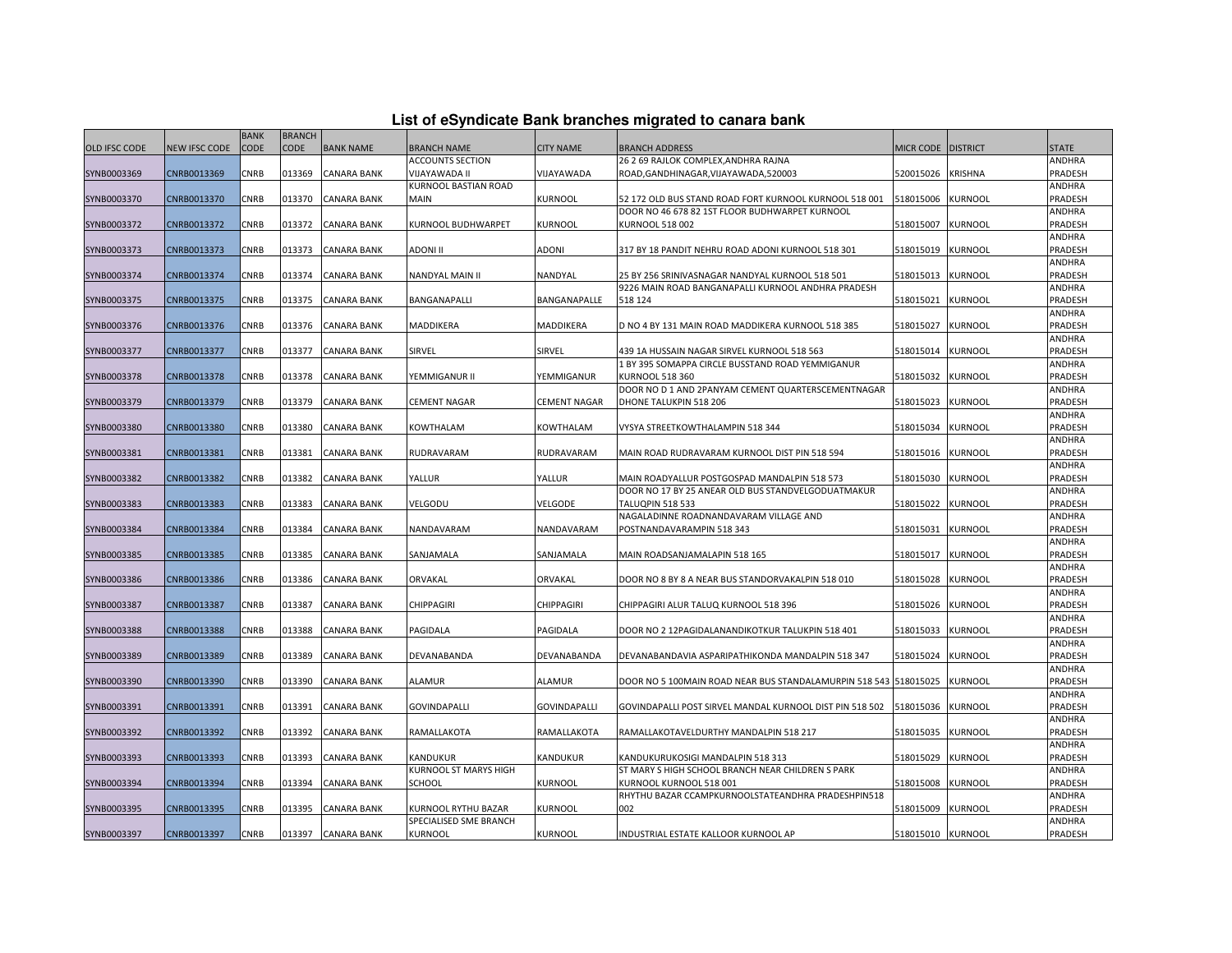|  |  |  | List of eSyndicate Bank branches migrated to canara bank |  |  |
|--|--|--|----------------------------------------------------------|--|--|
|  |  |  |                                                          |  |  |

|                      |               | <b>BANK</b> | <b>BRANCH</b> |                    |                         |                     |                                                                                                    |                   |                 |                   |
|----------------------|---------------|-------------|---------------|--------------------|-------------------------|---------------------|----------------------------------------------------------------------------------------------------|-------------------|-----------------|-------------------|
| <b>OLD IFSC CODE</b> | NEW IFSC CODE | <b>CODE</b> | CODE          | <b>BANK NAME</b>   | <b>BRANCH NAME</b>      | <b>CITY NAME</b>    | <b>BRANCH ADDRESS</b>                                                                              | <b>MICR CODE</b>  | <b>DISTRICT</b> | <b>STATE</b>      |
|                      |               |             |               |                    | <b>ACCOUNTS SECTION</b> |                     | 26 2 69 RAJLOK COMPLEX, ANDHRA RAJNA                                                               |                   |                 | ANDHRA            |
| SYNB0003369          | CNRB0013369   | CNRB        | 013369        | <b>CANARA BANK</b> | VIJAYAWADA II           | VIJAYAWADA          | ROAD, GANDHINAGAR, VIJAYAWADA, 520003                                                              | 520015026         | <b>KRISHNA</b>  | PRADESH           |
|                      |               |             |               |                    | KURNOOL BASTIAN ROAD    |                     |                                                                                                    |                   |                 | ANDHRA            |
| SYNB0003370          | CNRB0013370   | CNRB        | 013370        | CANARA BANK        | <b>MAIN</b>             | KURNOOL             | 52 172 OLD BUS STAND ROAD FORT KURNOOL KURNOOL 518 001                                             | 518015006         | <b>KURNOOL</b>  | PRADESH           |
|                      |               |             |               |                    |                         |                     | DOOR NO 46 678 82 1ST FLOOR BUDHWARPET KURNOOL                                                     |                   |                 | ANDHRA            |
| SYNB0003372          | CNRB0013372   | CNRB        | 013372        | <b>CANARA BANK</b> | KURNOOL BUDHWARPET      | KURNOOL             | KURNOOL 518 002                                                                                    | 518015007         | <b>KURNOOL</b>  | PRADESH           |
|                      |               |             |               |                    |                         |                     |                                                                                                    |                   |                 | ANDHRA            |
| SYNB0003373          | CNRB0013373   | CNRB        | 013373        | <b>CANARA BANK</b> | <b>ADONI II</b>         | ADONI               | 317 BY 18 PANDIT NEHRU ROAD ADONI KURNOOL 518 301                                                  | 518015019         | <b>KURNOOL</b>  | PRADESH           |
|                      |               |             |               |                    |                         |                     |                                                                                                    |                   |                 | ANDHRA            |
| SYNB0003374          | CNRB0013374   | CNRB        | 013374        | <b>CANARA BANK</b> | NANDYAL MAIN II         | NANDYAL             | 25 BY 256 SRINIVASNAGAR NANDYAL KURNOOL 518 501                                                    | 518015013         | <b>KURNOOL</b>  | PRADESH           |
|                      |               |             |               |                    |                         |                     | 9226 MAIN ROAD BANGANAPALLI KURNOOL ANDHRA PRADESH                                                 |                   |                 | ANDHRA            |
| SYNB0003375          | CNRB0013375   | CNRB        | 013375        | CANARA BANK        | BANGANAPALLI            | BANGANAPALLE        | 518 124                                                                                            | 518015021         | <b>KURNOOL</b>  | PRADESH           |
|                      |               |             |               |                    |                         |                     |                                                                                                    |                   |                 | ANDHRA            |
| SYNB0003376          | CNRB0013376   | <b>CNRB</b> | 013376        | <b>CANARA BANK</b> | <b>MADDIKERA</b>        | <b>MADDIKERA</b>    | D NO 4 BY 131 MAIN ROAD MADDIKERA KURNOOL 518 385                                                  | 518015027         | <b>KURNOOL</b>  | PRADESH           |
|                      |               |             |               |                    |                         |                     |                                                                                                    |                   |                 | ANDHRA            |
| SYNB0003377          | CNRB0013377   | CNRB        | 013377        | <b>CANARA BANK</b> | SIRVEL                  | SIRVEL              | 439 1A HUSSAIN NAGAR SIRVEL KURNOOL 518 563                                                        | 518015014         | <b>KURNOOL</b>  | PRADESH           |
|                      |               |             |               |                    |                         |                     | 1 BY 395 SOMAPPA CIRCLE BUSSTAND ROAD YEMMIGANUR                                                   |                   |                 | ANDHRA            |
| SYNB0003378          | CNRB0013378   | CNRB        | 013378        | CANARA BANK        | YEMMIGANUR II           | YEMMIGANUR          | KURNOOL 518 360                                                                                    | 518015032         | <b>KURNOOL</b>  | PRADESH           |
|                      |               |             |               |                    |                         |                     | DOOR NO D 1 AND 2PANYAM CEMENT QUARTERSCEMENTNAGAR                                                 |                   |                 | ANDHRA            |
| SYNB0003379          | CNRB0013379   | <b>CNRB</b> | 013379        | <b>CANARA BANK</b> | <b>CEMENT NAGAR</b>     | <b>CEMENT NAGAR</b> | DHONE TALUKPIN 518 206                                                                             | 518015023         | <b>KURNOOL</b>  | PRADESH           |
|                      |               |             |               |                    |                         |                     |                                                                                                    |                   |                 | ANDHRA            |
| SYNB0003380          | CNRB0013380   | CNRB        | 013380        | CANARA BANK        | KOWTHALAM               | <b>KOWTHALAM</b>    | VYSYA STREETKOWTHALAMPIN 518 344                                                                   | 518015034         | KURNOOL         | PRADESH           |
|                      |               |             |               |                    |                         |                     |                                                                                                    |                   |                 | ANDHRA            |
| SYNB0003381          | CNRB0013381   | CNRB        | 013381        | CANARA BANK        | RUDRAVARAM              | RUDRAVARAM          | MAIN ROAD RUDRAVARAM KURNOOL DIST PIN 518 594                                                      | 518015016         | <b>KURNOOL</b>  | PRADESH           |
|                      |               |             |               |                    |                         |                     |                                                                                                    |                   |                 | ANDHRA            |
| SYNB0003382          | CNRB0013382   | <b>CNRB</b> | 013382        | <b>CANARA BANK</b> | YALLUR                  | YALLUR              | MAIN ROADYALLUR POSTGOSPAD MANDALPIN 518 573<br>DOOR NO 17 BY 25 ANEAR OLD BUS STANDVELGODUATMAKUR | 518015030         | <b>KURNOOL</b>  | PRADESH           |
| SYNB0003383          | CNRB0013383   | CNRB        | 013383        | CANARA BANK        | VELGODU                 | VELGODE             | <b>TALUQPIN 518 533</b>                                                                            | 518015022         | <b>KURNOOL</b>  | ANDHRA<br>PRADESH |
|                      |               |             |               |                    |                         |                     | NAGALADINNE ROADNANDAVARAM VILLAGE AND                                                             |                   |                 | ANDHRA            |
| SYNB0003384          | CNRB0013384   | CNRB        | 013384        | CANARA BANK        | NANDAVARAM              | NANDAVARAM          | POSTNANDAVARAMPIN 518 343                                                                          | 518015031         | <b>KURNOOL</b>  | PRADESH           |
|                      |               |             |               |                    |                         |                     |                                                                                                    |                   |                 | ANDHRA            |
| SYNB0003385          | CNRB0013385   | <b>CNRB</b> | 013385        | <b>CANARA BANK</b> | SANJAMALA               | SANJAMALA           | MAIN ROADSANJAMALAPIN 518 165                                                                      | 518015017         | <b>KURNOOL</b>  | PRADESH           |
|                      |               |             |               |                    |                         |                     |                                                                                                    |                   |                 | ANDHRA            |
| SYNB0003386          | CNRB0013386   | CNRB        | 013386        | CANARA BANK        | ORVAKAL                 | ORVAKAL             | DOOR NO 8 BY 8 A NEAR BUS STANDORVAKALPIN 518 010                                                  | 518015028         | <b>KURNOOL</b>  | PRADESH           |
|                      |               |             |               |                    |                         |                     |                                                                                                    |                   |                 | ANDHRA            |
| SYNB0003387          | CNRB0013387   | <b>CNRB</b> | 013387        | <b>CANARA BANK</b> | <b>CHIPPAGIRI</b>       | <b>CHIPPAGIRI</b>   | CHIPPAGIRI ALUR TALUQ KURNOOL 518 396                                                              | 518015026         | <b>KURNOOL</b>  | PRADESH           |
|                      |               |             |               |                    |                         |                     |                                                                                                    |                   |                 | ANDHRA            |
| SYNB0003388          | CNRB0013388   | <b>CNRB</b> | 013388        | <b>CANARA BANK</b> | PAGIDALA                | PAGIDALA            | DOOR NO 2 12PAGIDALANANDIKOTKUR TALUKPIN 518 401                                                   | 518015033         | <b>KURNOOL</b>  | PRADESH           |
|                      |               |             |               |                    |                         |                     |                                                                                                    |                   |                 | ANDHRA            |
| SYNB0003389          | CNRB0013389   | CNRB        | 013389        | CANARA BANK        | DEVANABANDA             | DEVANABANDA         | DEVANABANDAVIA ASPARIPATHIKONDA MANDALPIN 518 347                                                  | 518015024         | <b>KURNOOL</b>  | PRADESH           |
|                      |               |             |               |                    |                         |                     |                                                                                                    |                   |                 | ANDHRA            |
| SYNB0003390          | CNRB0013390   | <b>CNRB</b> | 013390        | <b>CANARA BANK</b> | <b>ALAMUR</b>           | <b>ALAMUR</b>       | DOOR NO 5 100MAIN ROAD NEAR BUS STANDALAMURPIN 518 543 518015025                                   |                   | <b>KURNOOL</b>  | PRADESH           |
|                      |               |             |               |                    |                         |                     |                                                                                                    |                   |                 | ANDHRA            |
| SYNB0003391          | CNRB0013391   | CNRB        | 013391        | CANARA BANK        | <b>GOVINDAPALLI</b>     | <b>GOVINDAPALLI</b> | GOVINDAPALLI POST SIRVEL MANDAL KURNOOL DIST PIN 518 502                                           | 518015036         | <b>KURNOOL</b>  | PRADESH           |
|                      |               |             |               |                    |                         |                     |                                                                                                    |                   |                 | ANDHRA            |
| SYNB0003392          | CNRB0013392   | CNRB        | 013392        | CANARA BANK        | RAMALLAKOTA             | RAMALLAKOTA         | RAMALLAKOTAVELDURTHY MANDALPIN 518 217                                                             | 518015035         | <b>KURNOOL</b>  | PRADESH           |
|                      |               |             |               |                    |                         |                     |                                                                                                    |                   |                 | ANDHRA            |
| SYNB0003393          | CNRB0013393   | CNRB        | 013393        | <b>CANARA BANK</b> | KANDUKUR                | KANDUKUR            | KANDUKURUKOSIGI MANDALPIN 518 313                                                                  | 518015029         | <b>KURNOOL</b>  | PRADESH           |
|                      |               |             |               |                    | KURNOOL ST MARYS HIGH   |                     | ST MARY S HIGH SCHOOL BRANCH NEAR CHILDREN S PARK                                                  |                   |                 | ANDHRA            |
| SYNB0003394          | CNRB0013394   | <b>CNRB</b> | 013394        | CANARA BANK        | <b>SCHOOL</b>           | <b>KURNOOL</b>      | KURNOOL KURNOOL 518 001                                                                            | 518015008         | <b>KURNOOL</b>  | PRADESH           |
|                      |               |             |               |                    |                         |                     | RHYTHU BAZAR CCAMPKURNOOLSTATEANDHRA PRADESHPIN518                                                 |                   |                 | ANDHRA            |
| SYNB0003395          | CNRB0013395   | <b>CNRB</b> | 013395        | <b>CANARA BANK</b> | KURNOOL RYTHU BAZAR     | KURNOOL             | 002                                                                                                | 518015009         | <b>KURNOOL</b>  | PRADESH           |
|                      |               |             |               |                    | SPECIALISED SME BRANCH  |                     |                                                                                                    |                   |                 | ANDHRA            |
| SYNB0003397          | CNRB0013397   | CNRB        | 013397        | <b>CANARA BANK</b> | <b>KURNOOL</b>          | <b>KURNOOL</b>      | INDUSTRIAL ESTATE KALLOOR KURNOOL AP                                                               | 518015010 KURNOOL |                 | <b>PRADESH</b>    |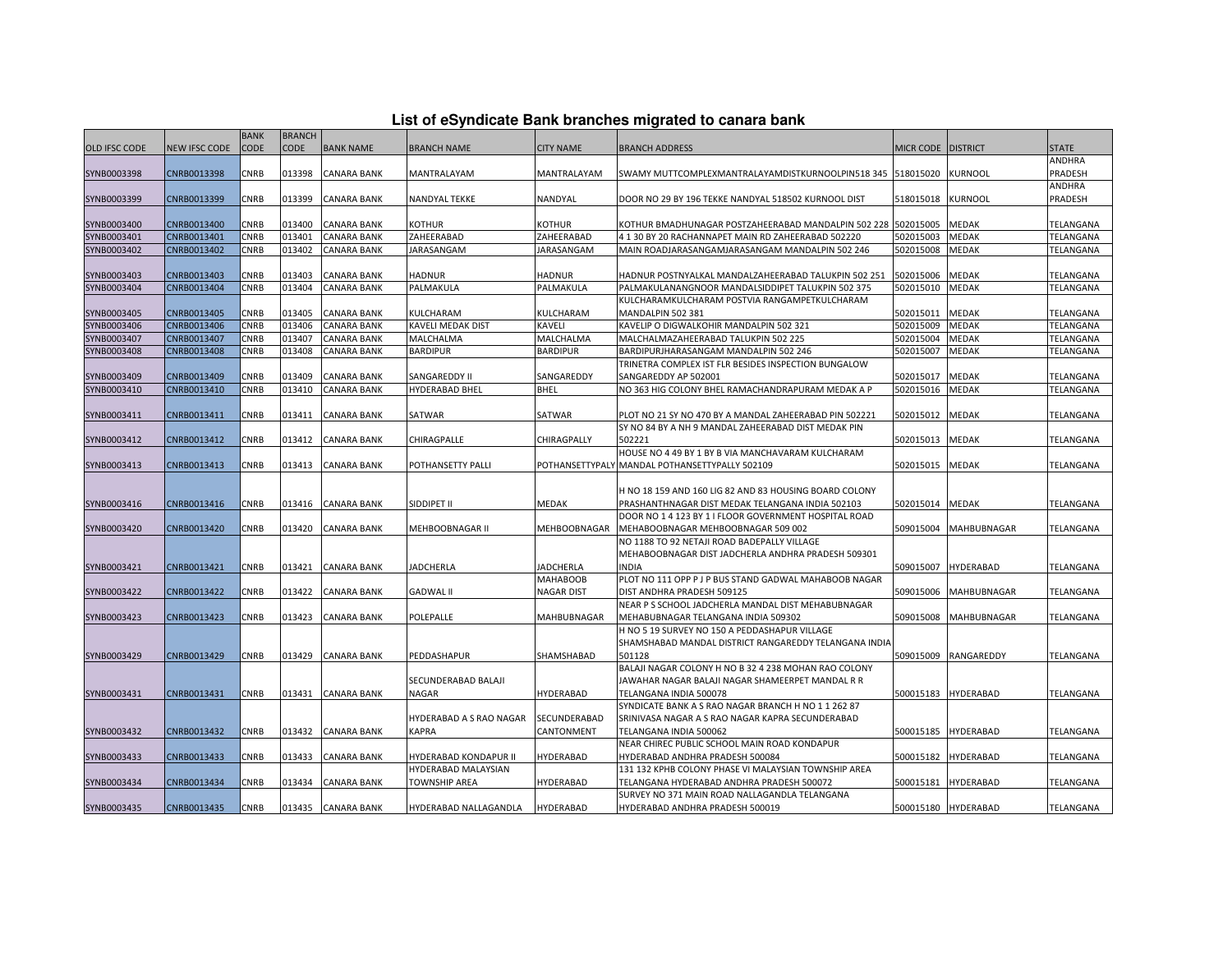| List of eSyndicate Bank branches migrated to canara bank |  |  |
|----------------------------------------------------------|--|--|
|                                                          |  |  |

|                            |                            | <b>BANK</b>  | <b>BRANCH</b>    |                                   |                                              |                                      |                                                                                                               |                        |                     |                        |
|----------------------------|----------------------------|--------------|------------------|-----------------------------------|----------------------------------------------|--------------------------------------|---------------------------------------------------------------------------------------------------------------|------------------------|---------------------|------------------------|
| <b>OLD IFSC CODE</b>       | <b>NEW IFSC CODE</b>       | CODE         | <b>CODE</b>      | <b>BANK NAME</b>                  | <b>BRANCH NAME</b>                           | <b>CITY NAME</b>                     | <b>BRANCH ADDRESS</b>                                                                                         | <b>MICR CODE</b>       | <b>DISTRICT</b>     | <b>STATE</b>           |
|                            |                            |              |                  |                                   |                                              |                                      |                                                                                                               |                        |                     | ANDHRA                 |
| SYNB0003398                | CNRB0013398                | CNRB         | 013398           | <b>CANARA BANK</b>                | MANTRALAYAM                                  | MANTRALAYAM                          | SWAMY MUTTCOMPLEXMANTRALAYAMDISTKURNOOLPIN518 345                                                             | 518015020              | <b>KURNOOL</b>      | PRADESH                |
|                            |                            |              |                  |                                   |                                              |                                      |                                                                                                               |                        |                     | ANDHRA                 |
| SYNB0003399                | CNRB0013399                | CNRB         | 013399           | <b>CANARA BANK</b>                | NANDYAL TEKKE                                | NANDYAL                              | DOOR NO 29 BY 196 TEKKE NANDYAL 518502 KURNOOL DIST                                                           | 518015018              | <b>KURNOOL</b>      | PRADESH                |
|                            |                            |              |                  |                                   |                                              |                                      |                                                                                                               |                        |                     |                        |
| SYNB0003400<br>SYNB0003401 | CNRB0013400<br>CNRB0013401 | CNRB         | 013400<br>013401 | <b>CANARA BANK</b>                | KOTHUR<br>ZAHEERABAD                         | <b>KOTHUR</b>                        | KOTHUR BMADHUNAGAR POSTZAHEERABAD MANDALPIN 502 228                                                           | 502015005              | MEDAK<br>MEDAK      | TELANGANA<br>TELANGANA |
| SYNB0003402                | CNRB0013402                | CNRB<br>CNRB | 013402           | <b>CANARA BANK</b><br>CANARA BANK | <b>JARASANGAM</b>                            | ZAHEERABAD<br><b>JARASANGAM</b>      | 4 1 30 BY 20 RACHANNAPET MAIN RD ZAHEERABAD 502220<br>MAIN ROADJARASANGAMJARASANGAM MANDALPIN 502 246         | 502015003<br>502015008 | MEDAK               | TELANGANA              |
|                            |                            |              |                  |                                   |                                              |                                      |                                                                                                               |                        |                     |                        |
| SYNB0003403                | CNRB0013403                | CNRB         | 013403           | CANARA BANK                       | HADNUR                                       | HADNUR                               | HADNUR POSTNYALKAL MANDALZAHEERABAD TALUKPIN 502 251                                                          | 502015006              | MEDAK               | TELANGANA              |
| SYNB0003404                | CNRB0013404                | CNRB         | 013404           | <b>CANARA BANK</b>                | PALMAKULA                                    | PALMAKULA                            | PALMAKULANANGNOOR MANDALSIDDIPET TALUKPIN 502 375                                                             | 502015010              | <b>MEDAK</b>        | TELANGANA              |
|                            |                            |              |                  |                                   |                                              |                                      | KULCHARAMKULCHARAM POSTVIA RANGAMPETKULCHARAM                                                                 |                        |                     |                        |
| SYNB0003405                | CNRB0013405                | CNRB         | 013405           | <b>CANARA BANK</b>                | KULCHARAM                                    | KULCHARAM                            | MANDALPIN 502 381                                                                                             | 502015011              | MEDAK               | TELANGANA              |
| SYNB0003406                | CNRB0013406                | <b>CNRB</b>  | 013406           | <b>CANARA BANK</b>                | KAVELI MEDAK DIST                            | KAVELI                               | KAVELIP O DIGWALKOHIR MANDALPIN 502 321                                                                       | 502015009              | MEDAK               | TELANGANA              |
| SYNB0003407                | CNRB0013407                | CNRB         | 013407           | CANARA BANK                       | MALCHALMA                                    | MALCHALMA                            | MALCHALMAZAHEERABAD TALUKPIN 502 225                                                                          | 502015004              | MEDAK               | TELANGANA              |
| SYNB0003408                | CNRB0013408                | CNRB         | 013408           | CANARA BANK                       | BARDIPUR                                     | BARDIPUR                             | BARDIPURJHARASANGAM MANDALPIN 502 246                                                                         | 502015007              | MEDAK               | TELANGANA              |
|                            |                            |              |                  |                                   |                                              |                                      | TRINETRA COMPLEX IST FLR BESIDES INSPECTION BUNGALOW                                                          |                        |                     |                        |
| SYNB0003409                | CNRB0013409                | CNRB         | 013409           | <b>CANARA BANK</b>                | SANGAREDDY II                                | SANGAREDDY                           | SANGAREDDY AP 502001                                                                                          | 502015017              | MEDAK               | TELANGANA              |
| SYNB0003410                | CNRB0013410                | CNRB         | 013410           | <b>CANARA BANK</b>                | HYDERABAD BHEL                               | BHEL                                 | NO 363 HIG COLONY BHEL RAMACHANDRAPURAM MEDAK A P                                                             | 502015016              | <b>MEDAK</b>        | TELANGANA              |
|                            |                            |              |                  |                                   |                                              |                                      |                                                                                                               |                        |                     |                        |
| SYNB0003411                | CNRB0013411                | CNRB         | 013411           | <b>CANARA BANK</b>                | SATWAR                                       | SATWAR                               | PLOT NO 21 SY NO 470 BY A MANDAL ZAHEERABAD PIN 502221<br>SY NO 84 BY A NH 9 MANDAL ZAHEERABAD DIST MEDAK PIN | 502015012              | MEDAK               | TELANGANA              |
| SYNB0003412                | CNRB0013412                | CNRB         | 013412           | <b>CANARA BANK</b>                | CHIRAGPALLE                                  | CHIRAGPALLY                          | 502221                                                                                                        | 502015013              | MEDAK               | TELANGANA              |
|                            |                            |              |                  |                                   |                                              |                                      | HOUSE NO 4 49 BY 1 BY B VIA MANCHAVARAM KULCHARAM                                                             |                        |                     |                        |
| SYNB0003413                | CNRB0013413                | CNRB         | 013413           | <b>CANARA BANK</b>                | POTHANSETTY PALLI                            |                                      | POTHANSETTYPALY MANDAL POTHANSETTYPALLY 502109                                                                | 502015015              | MEDAK               | TELANGANA              |
|                            |                            |              |                  |                                   |                                              |                                      |                                                                                                               |                        |                     |                        |
|                            |                            |              |                  |                                   |                                              |                                      | H NO 18 159 AND 160 LIG 82 AND 83 HOUSING BOARD COLONY                                                        |                        |                     |                        |
| SYNB0003416                | CNRB0013416                | CNRB         | 013416           | <b>CANARA BANK</b>                | SIDDIPET II                                  | MEDAK                                | PRASHANTHNAGAR DIST MEDAK TELANGANA INDIA 502103                                                              | 502015014              | <b>MEDAK</b>        | TELANGANA              |
|                            |                            |              |                  |                                   |                                              |                                      | DOOR NO 1 4 123 BY 1 I FLOOR GOVERNMENT HOSPITAL ROAD                                                         |                        |                     |                        |
| SYNB0003420                | CNRB0013420                | CNRB         | 013420           | <b>CANARA BANK</b>                | MEHBOOBNAGAR II                              | <b>MEHBOOBNAGAR</b>                  | MEHABOOBNAGAR MEHBOOBNAGAR 509 002                                                                            | 509015004              | <b>MAHBUBNAGAR</b>  | TELANGANA              |
|                            |                            |              |                  |                                   |                                              |                                      | NO 1188 TO 92 NETAJI ROAD BADEPALLY VILLAGE                                                                   |                        |                     |                        |
|                            |                            |              |                  |                                   |                                              |                                      | MEHABOOBNAGAR DIST JADCHERLA ANDHRA PRADESH 509301                                                            |                        |                     |                        |
| SYNB0003421                | CNRB0013421                | CNRB         | 013421           | <b>CANARA BANK</b>                | JADCHERLA                                    | JADCHERLA                            | <b>INDIA</b><br>PLOT NO 111 OPP P J P BUS STAND GADWAL MAHABOOB NAGAR                                         | 509015007              | HYDERABAD           | TELANGANA              |
| SYNB0003422                | CNRB0013422                | CNRB         | 013422           | <b>CANARA BANK</b>                | <b>GADWAL II</b>                             | <b>MAHABOOB</b><br><b>NAGAR DIST</b> | DIST ANDHRA PRADESH 509125                                                                                    | 509015006              | MAHBUBNAGAR         | TELANGANA              |
|                            |                            |              |                  |                                   |                                              |                                      | NEAR P S SCHOOL JADCHERLA MANDAL DIST MEHABUBNAGAR                                                            |                        |                     |                        |
| SYNB0003423                | CNRB0013423                | CNRB         | 013423           | <b>CANARA BANK</b>                | POLEPALLE                                    | MAHBUBNAGAR                          | MEHABUBNAGAR TELANGANA INDIA 509302                                                                           | 509015008              | MAHBUBNAGAR         | TELANGANA              |
|                            |                            |              |                  |                                   |                                              |                                      | H NO 5 19 SURVEY NO 150 A PEDDASHAPUR VILLAGE                                                                 |                        |                     |                        |
|                            |                            |              |                  |                                   |                                              |                                      | SHAMSHABAD MANDAL DISTRICT RANGAREDDY TELANGANA INDIA                                                         |                        |                     |                        |
| SYNB0003429                | CNRB0013429                | CNRB         | 013429           | <b>CANARA BANK</b>                | PEDDASHAPUR                                  | SHAMSHABAD                           | 501128                                                                                                        | 509015009              | RANGAREDDY          | TELANGANA              |
|                            |                            |              |                  |                                   |                                              |                                      | BALAJI NAGAR COLONY H NO B 32 4 238 MOHAN RAO COLONY                                                          |                        |                     |                        |
|                            |                            |              |                  |                                   | SECUNDERABAD BALAJI                          |                                      | JAWAHAR NAGAR BALAJI NAGAR SHAMEERPET MANDAL R R                                                              |                        |                     |                        |
| SYNB0003431                | CNRB0013431                | CNRB         | 013431           | <b>CANARA BANK</b>                | NAGAR                                        | HYDERABAD                            | TELANGANA INDIA 500078                                                                                        | 500015183              | HYDERABAD           | TELANGANA              |
|                            |                            |              |                  |                                   |                                              |                                      | SYNDICATE BANK A S RAO NAGAR BRANCH H NO 1 1 262 87                                                           |                        |                     |                        |
|                            |                            |              |                  |                                   | HYDERABAD A S RAO NAGAR                      | SECUNDERABAD                         | SRINIVASA NAGAR A S RAO NAGAR KAPRA SECUNDERABAD                                                              |                        |                     |                        |
| SYNB0003432                | CNRB0013432                | CNRB         | 013432           | <b>CANARA BANK</b>                | KAPRA                                        | CANTONMENT                           | TELANGANA INDIA 500062                                                                                        | 500015185              | HYDERABAD           | TELANGANA              |
|                            | CNRB0013433                | CNRB         | 013433           | <b>CANARA BANK</b>                |                                              | HYDERABAD                            | NEAR CHIREC PUBLIC SCHOOL MAIN ROAD KONDAPUR                                                                  | 500015182              | HYDERABAD           |                        |
| SYNB0003433                |                            |              |                  |                                   | HYDERABAD KONDAPUR II<br>HYDERABAD MALAYSIAN |                                      | HYDERABAD ANDHRA PRADESH 500084<br>131 132 KPHB COLONY PHASE VI MALAYSIAN TOWNSHIP AREA                       |                        |                     | TELANGANA              |
| SYNB0003434                | CNRB0013434                | CNRB         | 013434           | <b>CANARA BANK</b>                | TOWNSHIP AREA                                | HYDERABAD                            | TELANGANA HYDERABAD ANDHRA PRADESH 500072                                                                     | 500015181              | HYDERABAD           | TELANGANA              |
|                            |                            |              |                  |                                   |                                              |                                      | SURVEY NO 371 MAIN ROAD NALLAGANDLA TELANGANA                                                                 |                        |                     |                        |
| SYNB0003435                | CNRB0013435                | CNRB         |                  | 013435 CANARA BANK                | HYDERABAD NALLAGANDLA                        | <b>HYDERABAD</b>                     | HYDERABAD ANDHRA PRADESH 500019                                                                               |                        | 500015180 HYDERABAD | TELANGANA              |
|                            |                            |              |                  |                                   |                                              |                                      |                                                                                                               |                        |                     |                        |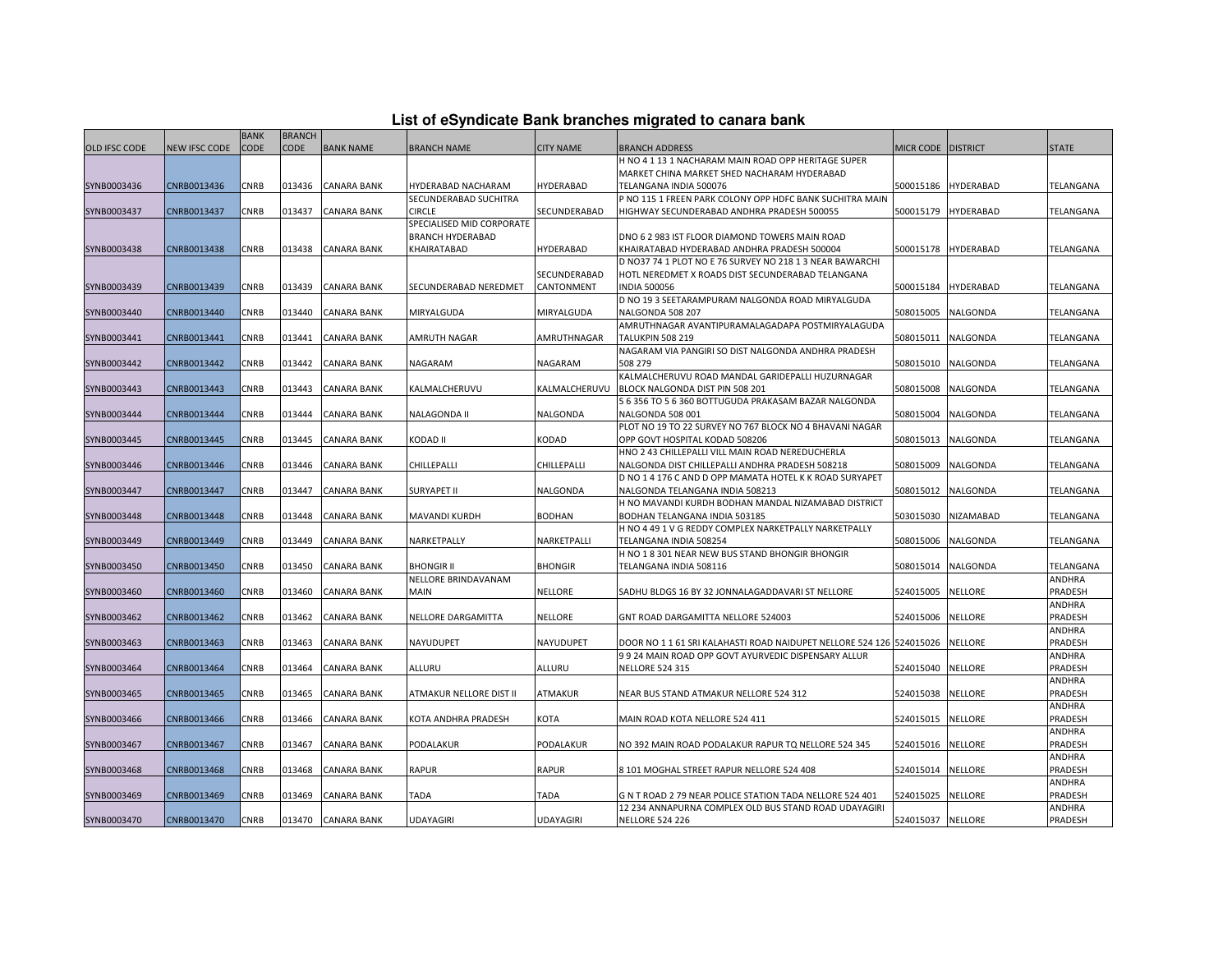| List of eSyndicate Bank branches migrated to canara bank |  |  |  |  |  |  |  |  |  |  |
|----------------------------------------------------------|--|--|--|--|--|--|--|--|--|--|
|----------------------------------------------------------|--|--|--|--|--|--|--|--|--|--|

|                      | List of eSyndicate Bank branches migrated to canara bank |             |               |                    |                                            |                  |                                                                           |                    |                     |               |  |  |  |
|----------------------|----------------------------------------------------------|-------------|---------------|--------------------|--------------------------------------------|------------------|---------------------------------------------------------------------------|--------------------|---------------------|---------------|--|--|--|
|                      |                                                          | <b>BANK</b> | <b>BRANCH</b> |                    |                                            |                  |                                                                           |                    |                     |               |  |  |  |
| <b>OLD IFSC CODE</b> | NEW IFSC CODE                                            | <b>CODE</b> | CODE          | <b>BANK NAME</b>   | <b>BRANCH NAME</b>                         | <b>CITY NAME</b> | <b>BRANCH ADDRESS</b>                                                     | MICR CODE DISTRICT |                     | <b>STATE</b>  |  |  |  |
|                      |                                                          |             |               |                    |                                            |                  | H NO 4 1 13 1 NACHARAM MAIN ROAD OPP HERITAGE SUPER                       |                    |                     |               |  |  |  |
|                      |                                                          |             |               |                    |                                            |                  | MARKET CHINA MARKET SHED NACHARAM HYDERABAD                               |                    |                     |               |  |  |  |
| SYNB0003436          | CNRB0013436                                              | <b>CNRB</b> | 013436        | <b>CANARA BANK</b> | HYDERABAD NACHARAM                         | HYDERABAD        | TELANGANA INDIA 500076                                                    |                    | 500015186 HYDERABAD | TELANGANA     |  |  |  |
|                      |                                                          |             |               |                    | SECUNDERABAD SUCHITRA                      |                  | P NO 115 1 FREEN PARK COLONY OPP HDFC BANK SUCHITRA MAIN                  |                    |                     |               |  |  |  |
| SYNB0003437          | CNRB0013437                                              | CNRB        | 013437        | <b>CANARA BANK</b> | <b>CIRCLE</b><br>SPECIALISED MID CORPORATE | SECUNDERABAD     | HIGHWAY SECUNDERABAD ANDHRA PRADESH 500055                                | 500015179          | <b>HYDERABAD</b>    | TELANGANA     |  |  |  |
|                      |                                                          |             |               |                    | <b>BRANCH HYDERABAD</b>                    |                  | DNO 6 2 983 IST FLOOR DIAMOND TOWERS MAIN ROAD                            |                    |                     |               |  |  |  |
| SYNB0003438          | CNRB0013438                                              | CNRB        | 013438        | <b>CANARA BANK</b> | KHAIRATABAD                                | HYDERABAD        | KHAIRATABAD HYDERABAD ANDHRA PRADESH 500004                               |                    | 500015178 HYDERABAD | TELANGANA     |  |  |  |
|                      |                                                          |             |               |                    |                                            |                  | D NO37 74 1 PLOT NO E 76 SURVEY NO 218 1 3 NEAR BAWARCHI                  |                    |                     |               |  |  |  |
|                      |                                                          |             |               |                    |                                            | SECUNDERABAD     | HOTL NEREDMET X ROADS DIST SECUNDERABAD TELANGANA                         |                    |                     |               |  |  |  |
| SYNB0003439          | CNRB0013439                                              | CNRB        | 013439        | <b>CANARA BANK</b> | SECUNDERABAD NEREDMET                      | CANTONMENT       | <b>INDIA 500056</b>                                                       | 500015184          | HYDERABAD           | TELANGANA     |  |  |  |
|                      |                                                          |             |               |                    |                                            |                  | D NO 19 3 SEETARAMPURAM NALGONDA ROAD MIRYALGUDA                          |                    |                     |               |  |  |  |
| SYNB0003440          | CNRB0013440                                              | <b>CNRB</b> | 013440        | <b>CANARA BANK</b> | MIRYALGUDA                                 | MIRYALGUDA       | NALGONDA 508 207                                                          | 508015005          | <b>NALGONDA</b>     | TELANGANA     |  |  |  |
|                      |                                                          |             |               |                    |                                            |                  | AMRUTHNAGAR AVANTIPURAMALAGADAPA POSTMIRYALAGUDA                          |                    |                     |               |  |  |  |
| SYNB0003441          | CNRB0013441                                              | CNRB        | 013441        | <b>CANARA BANK</b> | AMRUTH NAGAR                               | AMRUTHNAGAR      | TALUKPIN 508 219                                                          | 508015011          | NALGONDA            | TELANGANA     |  |  |  |
|                      |                                                          |             |               |                    |                                            |                  | NAGARAM VIA PANGIRI SO DIST NALGONDA ANDHRA PRADESH                       |                    |                     |               |  |  |  |
| SYNB0003442          | CNRB0013442                                              | CNRB        | 013442        | <b>CANARA BANK</b> | NAGARAM                                    | NAGARAM          | 508 279                                                                   | 508015010          | NALGONDA            | TELANGANA     |  |  |  |
|                      |                                                          |             |               |                    |                                            |                  | KALMALCHERUVU ROAD MANDAL GARIDEPALLI HUZURNAGAR                          |                    |                     |               |  |  |  |
| SYNB0003443          | CNRB0013443                                              | CNRB        | 013443        | <b>CANARA BANK</b> | KALMALCHERUVU                              | KALMALCHERUVU    | BLOCK NALGONDA DIST PIN 508 201                                           | 508015008          | NALGONDA            | TELANGANA     |  |  |  |
|                      |                                                          |             |               |                    |                                            |                  | 5 6 356 TO 5 6 360 BOTTUGUDA PRAKASAM BAZAR NALGONDA                      |                    |                     |               |  |  |  |
| SYNB0003444          | CNRB0013444                                              | CNRB        | 013444        | <b>CANARA BANK</b> | NALAGONDA II                               | NALGONDA         | NALGONDA 508 001                                                          | 508015004          | NALGONDA            | TELANGANA     |  |  |  |
|                      |                                                          |             |               |                    |                                            |                  | PLOT NO 19 TO 22 SURVEY NO 767 BLOCK NO 4 BHAVANI NAGAR                   |                    |                     |               |  |  |  |
| SYNB0003445          | CNRB0013445                                              | CNRB        | 013445        | CANARA BANK        | KODAD II                                   | KODAD            | OPP GOVT HOSPITAL KODAD 508206                                            | 508015013          | NALGONDA            | TELANGANA     |  |  |  |
|                      |                                                          |             |               |                    |                                            |                  | HNO 2 43 CHILLEPALLI VILL MAIN ROAD NEREDUCHERLA                          |                    |                     |               |  |  |  |
| SYNB0003446          | CNRB0013446                                              | CNRB        | 013446        | <b>CANARA BANK</b> | CHILLEPALLI                                | CHILLEPALLI      | NALGONDA DIST CHILLEPALLI ANDHRA PRADESH 508218                           | 508015009          | <b>NALGONDA</b>     | TELANGANA     |  |  |  |
|                      |                                                          |             |               |                    |                                            |                  | D NO 1 4 176 C AND D OPP MAMATA HOTEL K K ROAD SURYAPET                   |                    |                     |               |  |  |  |
| SYNB0003447          | CNRB0013447                                              | CNRB        | 013447        | <b>CANARA BANK</b> | <b>SURYAPET II</b>                         | NALGONDA         | NALGONDA TELANGANA INDIA 508213                                           | 508015012          | <b>NALGONDA</b>     | TELANGANA     |  |  |  |
|                      |                                                          |             |               |                    |                                            |                  | H NO MAVANDI KURDH BODHAN MANDAL NIZAMABAD DISTRICT                       |                    |                     |               |  |  |  |
| SYNB0003448          | CNRB0013448                                              | CNRB        | 013448        | <b>CANARA BANK</b> | MAVANDI KURDH                              | <b>BODHAN</b>    | BODHAN TELANGANA INDIA 503185                                             | 503015030          | NIZAMABAD           | TELANGANA     |  |  |  |
|                      |                                                          |             |               |                    |                                            |                  | H NO 4 49 1 V G REDDY COMPLEX NARKETPALLY NARKETPALLY                     |                    |                     |               |  |  |  |
| SYNB0003449          | CNRB0013449                                              | <b>CNRB</b> | 013449        | <b>CANARA BANK</b> | NARKETPALLY                                | NARKETPALLI      | TELANGANA INDIA 508254                                                    | 508015006          | <b>NALGONDA</b>     | TELANGANA     |  |  |  |
|                      | CNRB0013450                                              | CNRB        | 013450        | <b>CANARA BANK</b> | <b>BHONGIR II</b>                          |                  | H NO 1 8 301 NEAR NEW BUS STAND BHONGIR BHONGIR<br>TELANGANA INDIA 508116 | 508015014          |                     | TELANGANA     |  |  |  |
| SYNB0003450          |                                                          |             |               |                    | NELLORE BRINDAVANAM                        | <b>BHONGIR</b>   |                                                                           |                    | NALGONDA            | ANDHRA        |  |  |  |
| SYNB0003460          | CNRB0013460                                              | CNRB        | 013460        | <b>CANARA BANK</b> | MAIN                                       | <b>NELLORE</b>   | SADHU BLDGS 16 BY 32 JONNALAGADDAVARI ST NELLORE                          | 524015005          | <b>NELLORE</b>      | PRADESH       |  |  |  |
|                      |                                                          |             |               |                    |                                            |                  |                                                                           |                    |                     | ANDHRA        |  |  |  |
| SYNB0003462          | CNRB0013462                                              | <b>CNRB</b> | 013462        | <b>CANARA BANK</b> | NELLORE DARGAMITTA                         | <b>NELLORE</b>   | GNT ROAD DARGAMITTA NELLORE 524003                                        | 524015006          | <b>NELLORE</b>      | PRADESH       |  |  |  |
|                      |                                                          |             |               |                    |                                            |                  |                                                                           |                    |                     | ANDHRA        |  |  |  |
| SYNB0003463          | CNRB0013463                                              | CNRB        | 013463        | <b>CANARA BANK</b> | NAYUDUPET                                  | NAYUDUPET        | DOOR NO 1 1 61 SRI KALAHASTI ROAD NAIDUPET NELLORE 524 126 524015026      |                    | <b>NELLORE</b>      | PRADESH       |  |  |  |
|                      |                                                          |             |               |                    |                                            |                  | 9924 MAIN ROAD OPP GOVT AYURVEDIC DISPENSARY ALLUR                        |                    |                     | ANDHRA        |  |  |  |
| SYNB0003464          | CNRB0013464                                              | CNRB        | 013464        | CANARA BANK        | ALLURU                                     | ALLURU           | NELLORE 524 315                                                           | 524015040          | <b>NELLORE</b>      | PRADESH       |  |  |  |
|                      |                                                          |             |               |                    |                                            |                  |                                                                           |                    |                     | ANDHRA        |  |  |  |
| SYNB0003465          | CNRB0013465                                              | CNRB        | 013465        | <b>CANARA BANK</b> | ATMAKUR NELLORE DIST II                    | <b>ATMAKUR</b>   | NEAR BUS STAND ATMAKUR NELLORE 524 312                                    | 524015038          | <b>NELLORE</b>      | PRADESH       |  |  |  |
|                      |                                                          |             |               |                    |                                            |                  |                                                                           |                    |                     | ANDHRA        |  |  |  |
| SYNB0003466          | CNRB0013466                                              | CNRB        | 013466        | <b>CANARA BANK</b> | KOTA ANDHRA PRADESH                        | KOTA             | MAIN ROAD KOTA NELLORE 524 411                                            | 524015015          | <b>NELLORE</b>      | PRADESH       |  |  |  |
|                      |                                                          |             |               |                    |                                            |                  |                                                                           |                    |                     | <b>ANDHRA</b> |  |  |  |
| SYNB0003467          | CNRB0013467                                              | CNRB        | 013467        | CANARA BANK        | PODALAKUR                                  | PODALAKUR        | NO 392 MAIN ROAD PODALAKUR RAPUR TQ NELLORE 524 345                       | 524015016          | <b>NELLORE</b>      | PRADESH       |  |  |  |
|                      |                                                          |             |               |                    |                                            |                  |                                                                           |                    |                     | ANDHRA        |  |  |  |
| SYNB0003468          | CNRB0013468                                              | CNRB        | 013468        | <b>CANARA BANK</b> | <b>RAPUR</b>                               | <b>RAPUR</b>     | 8 101 MOGHAL STREET RAPUR NELLORE 524 408                                 | 524015014          | <b>NELLORE</b>      | PRADESH       |  |  |  |
|                      |                                                          |             |               |                    |                                            |                  |                                                                           |                    |                     | ANDHRA        |  |  |  |
| SYNB0003469          | CNRB0013469                                              | CNRB        | 013469        | <b>CANARA BANK</b> | TADA                                       | TADA             | G N T ROAD 2 79 NEAR POLICE STATION TADA NELLORE 524 401                  | 524015025          | <b>NELLORE</b>      | PRADESH       |  |  |  |
|                      |                                                          |             |               |                    |                                            |                  | 12 234 ANNAPURNA COMPLEX OLD BUS STAND ROAD UDAYAGIRI                     |                    |                     | ANDHRA        |  |  |  |
| SYNB0003470          | CNRB0013470                                              | <b>CNRB</b> |               | 013470 CANARA BANK | <b>UDAYAGIRI</b>                           | <b>UDAYAGIRI</b> | <b>NELLORE 524 226</b>                                                    | 524015037 NELLORE  |                     | PRADESH       |  |  |  |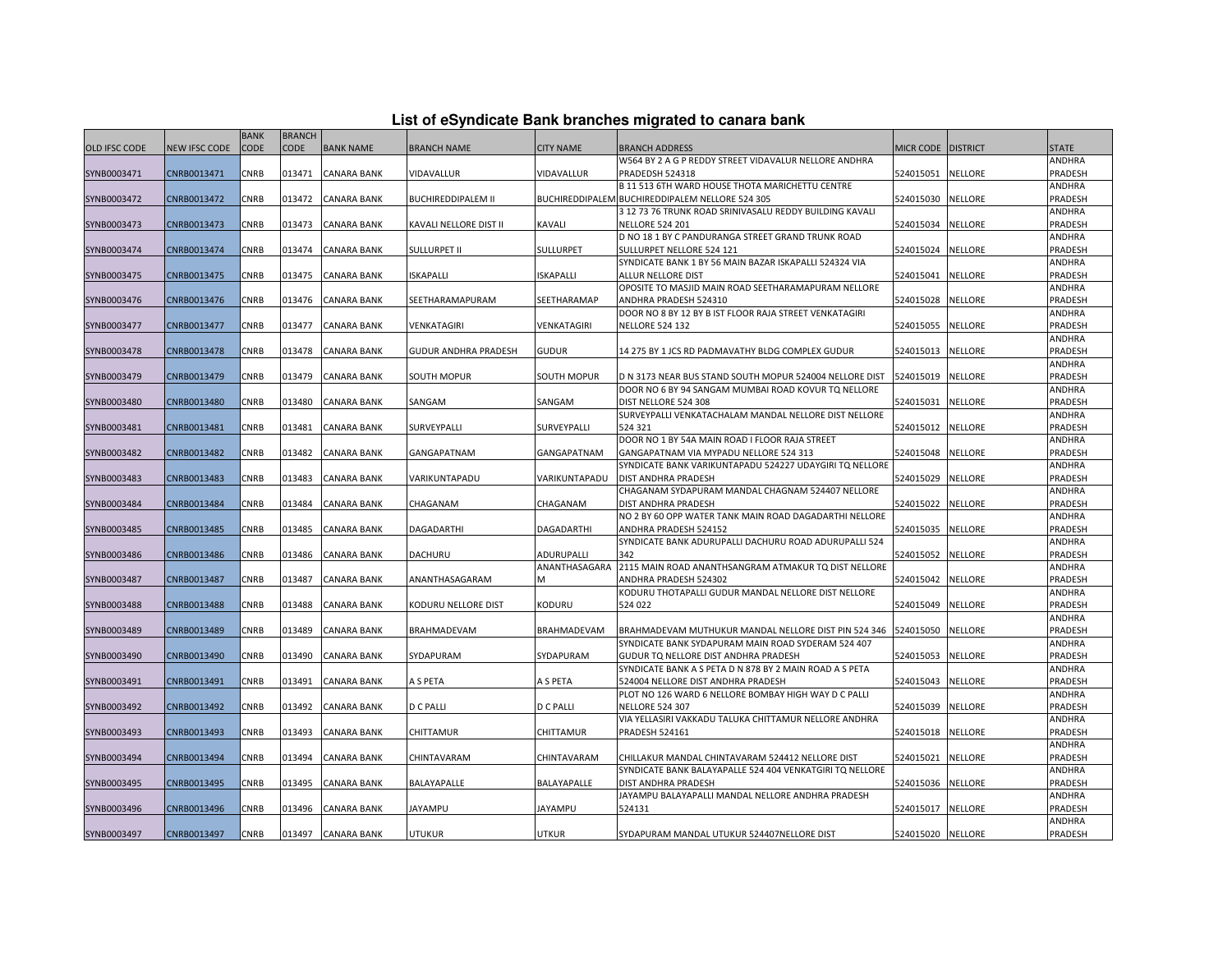| List of eSyndicate Bank branches migrated to canara bank |  |  |  |  |  |  |  |
|----------------------------------------------------------|--|--|--|--|--|--|--|
|----------------------------------------------------------|--|--|--|--|--|--|--|

|               | List of eSyndicate Bank branches migrated to canara bank |             |               |                    |                             |                  |                                                                                 |                    |                |                   |  |  |  |
|---------------|----------------------------------------------------------|-------------|---------------|--------------------|-----------------------------|------------------|---------------------------------------------------------------------------------|--------------------|----------------|-------------------|--|--|--|
|               |                                                          | <b>BANK</b> | <b>BRANCH</b> |                    |                             |                  |                                                                                 |                    |                |                   |  |  |  |
| OLD IFSC CODE | <b>NEW IFSC CODE</b>                                     | <b>CODE</b> | <b>CODE</b>   | <b>BANK NAME</b>   | <b>BRANCH NAME</b>          | <b>CITY NAME</b> | <b>BRANCH ADDRESS</b>                                                           | MICR CODE DISTRICT |                | <b>STATE</b>      |  |  |  |
|               |                                                          |             |               |                    |                             |                  | W564 BY 2 A G P REDDY STREET VIDAVALUR NELLORE ANDHRA                           |                    |                | <b>ANDHRA</b>     |  |  |  |
| SYNB0003471   | CNRB0013471                                              | CNRB        | 013471        | CANARA BANK        | VIDAVALLUR                  | VIDAVALLUR       | PRADEDSH 524318                                                                 | 524015051          | <b>NELLORE</b> | PRADESH           |  |  |  |
|               |                                                          |             |               |                    |                             |                  | B 11 513 6TH WARD HOUSE THOTA MARICHETTU CENTRE                                 |                    |                | ANDHRA            |  |  |  |
| SYNB0003472   | CNRB0013472                                              | CNRB        | 013472        | <b>CANARA BANK</b> | <b>BUCHIREDDIPALEM II</b>   |                  | BUCHIREDDIPALEM BUCHIREDDIPALEM NELLORE 524 305                                 | 524015030          | <b>NELLORE</b> | PRADESH           |  |  |  |
|               |                                                          |             |               |                    |                             |                  | 3 12 73 76 TRUNK ROAD SRINIVASALU REDDY BUILDING KAVALI                         |                    |                | ANDHRA            |  |  |  |
| SYNB0003473   | CNRB0013473                                              | CNRB        | 013473        | <b>CANARA BANK</b> | KAVALI NELLORE DIST II      | KAVALI           | <b>NELLORE 524 201</b>                                                          | 524015034          | <b>NELLORE</b> | PRADESH           |  |  |  |
|               |                                                          |             |               |                    |                             |                  | D NO 18 1 BY C PANDURANGA STREET GRAND TRUNK ROAD                               |                    |                | <b>ANDHRA</b>     |  |  |  |
| SYNB0003474   | CNRB0013474                                              | CNRB        | 013474        | <b>CANARA BANK</b> | <b>SULLURPET II</b>         | SULLURPET        | SULLURPET NELLORE 524 121                                                       | 524015024          | <b>NELLORE</b> | PRADESH           |  |  |  |
|               |                                                          |             |               |                    |                             |                  | SYNDICATE BANK 1 BY 56 MAIN BAZAR ISKAPALLI 524324 VIA                          |                    |                | ANDHRA            |  |  |  |
| SYNB0003475   | CNRB0013475                                              | CNRB        | 013475        | <b>CANARA BANK</b> | <b>ISKAPALLI</b>            | <b>ISKAPALLI</b> | ALLUR NELLORE DIST                                                              | 524015041          | <b>NELLORE</b> | PRADESH           |  |  |  |
|               |                                                          |             |               |                    |                             |                  | OPOSITE TO MASJID MAIN ROAD SEETHARAMAPURAM NELLORE                             |                    |                | ANDHRA            |  |  |  |
| SYNB0003476   | CNRB0013476                                              | CNRB        | 013476        | <b>CANARA BANK</b> | SEETHARAMAPURAM             | SEETHARAMAP      | ANDHRA PRADESH 524310<br>DOOR NO 8 BY 12 BY B IST FLOOR RAJA STREET VENKATAGIRI | 524015028          | <b>NELLORE</b> | PRADESH           |  |  |  |
| SYNB0003477   | CNRB0013477                                              | CNRB        | 013477        | <b>CANARA BANK</b> | VENKATAGIRI                 | VENKATAGIRI      | <b>NELLORE 524 132</b>                                                          | 524015055          | <b>NELLORE</b> | ANDHRA<br>PRADESH |  |  |  |
|               |                                                          |             |               |                    |                             |                  |                                                                                 |                    |                | ANDHRA            |  |  |  |
| SYNB0003478   | CNRB0013478                                              | CNRB        | 013478        | <b>CANARA BANK</b> | <b>GUDUR ANDHRA PRADESH</b> | <b>GUDUR</b>     | 14 275 BY 1 JCS RD PADMAVATHY BLDG COMPLEX GUDUR                                | 524015013          | <b>NELLORE</b> | PRADESH           |  |  |  |
|               |                                                          |             |               |                    |                             |                  |                                                                                 |                    |                | ANDHRA            |  |  |  |
| SYNB0003479   | CNRB0013479                                              | CNRB        | 013479        | <b>CANARA BANK</b> | SOUTH MOPUR                 | SOUTH MOPUR      | D N 3173 NEAR BUS STAND SOUTH MOPUR 524004 NELLORE DIST                         | 524015019          | <b>NELLORE</b> | PRADESH           |  |  |  |
|               |                                                          |             |               |                    |                             |                  | DOOR NO 6 BY 94 SANGAM MUMBAI ROAD KOVUR TO NELLORE                             |                    |                | ANDHRA            |  |  |  |
| SYNB0003480   | CNRB0013480                                              | CNRB        | 013480        | <b>CANARA BANK</b> | SANGAM                      | SANGAM           | DIST NELLORE 524 308                                                            | 524015031          | <b>NELLORE</b> | PRADESH           |  |  |  |
|               |                                                          |             |               |                    |                             |                  | SURVEYPALLI VENKATACHALAM MANDAL NELLORE DIST NELLORE                           |                    |                | ANDHRA            |  |  |  |
| SYNB0003481   | CNRB0013481                                              | <b>CNRB</b> | 013481        | <b>CANARA BANK</b> | SURVEYPALLI                 | SURVEYPALLI      | 524 321                                                                         | 524015012          | <b>NELLORE</b> | PRADESH           |  |  |  |
|               |                                                          |             |               |                    |                             |                  | DOOR NO 1 BY 54A MAIN ROAD I FLOOR RAJA STREET                                  |                    |                | ANDHRA            |  |  |  |
| SYNB0003482   | CNRB0013482                                              | <b>CNRB</b> | 013482        | <b>CANARA BANK</b> | GANGAPATNAM                 | GANGAPATNAM      | GANGAPATNAM VIA MYPADU NELLORE 524 313                                          | 524015048          | <b>NELLORE</b> | PRADESH           |  |  |  |
|               |                                                          |             |               |                    |                             |                  | SYNDICATE BANK VARIKUNTAPADU 524227 UDAYGIRI TO NELLORE                         |                    |                | ANDHRA            |  |  |  |
| SYNB0003483   | CNRB0013483                                              | CNRB        | 013483        | <b>CANARA BANK</b> | VARIKUNTAPADU               | VARIKUNTAPADU    | DIST ANDHRA PRADESH                                                             | 524015029          | <b>NELLORE</b> | PRADESH           |  |  |  |
|               |                                                          |             |               |                    |                             |                  | CHAGANAM SYDAPURAM MANDAL CHAGNAM 524407 NELLORE                                |                    |                | ANDHRA            |  |  |  |
| SYNB0003484   | CNRB0013484                                              | CNRB        | 013484        | CANARA BANK        | CHAGANAM                    | CHAGANAM         | DIST ANDHRA PRADESH                                                             | 524015022          | <b>NELLORE</b> | PRADESH           |  |  |  |
|               |                                                          |             |               |                    |                             |                  | NO 2 BY 60 OPP WATER TANK MAIN ROAD DAGADARTHI NELLORE                          |                    |                | ANDHRA            |  |  |  |
| SYNB0003485   | CNRB0013485                                              | <b>CNRB</b> | 013485        | <b>CANARA BANK</b> | <b>DAGADARTHI</b>           | DAGADARTHI       | ANDHRA PRADESH 524152                                                           | 524015035          | <b>NELLORE</b> | PRADESH           |  |  |  |
|               |                                                          |             |               |                    |                             |                  | SYNDICATE BANK ADURUPALLI DACHURU ROAD ADURUPALLI 524                           |                    |                | ANDHRA            |  |  |  |
| SYNB0003486   | CNRB0013486                                              | CNRB        | 013486        | CANARA BANK        | DACHURU                     | ADURUPALLI       | 342                                                                             | 524015052          | <b>NELLORE</b> | PRADESH           |  |  |  |
|               |                                                          |             |               |                    |                             | ANANTHASAGARA    | 2115 MAIN ROAD ANANTHSANGRAM ATMAKUR TO DIST NELLORE                            |                    |                | ANDHRA            |  |  |  |
| SYNB0003487   | CNRB0013487                                              | CNRB        | 013487        | <b>CANARA BANK</b> | ANANTHASAGARAM              |                  | ANDHRA PRADESH 524302                                                           | 524015042          | <b>NELLORE</b> | PRADESH           |  |  |  |
|               |                                                          |             |               |                    |                             |                  | KODURU THOTAPALLI GUDUR MANDAL NELLORE DIST NELLORE                             |                    |                | ANDHRA            |  |  |  |
| SYNB0003488   | CNRB0013488                                              | CNRB        | 013488        | CANARA BANK        | KODURU NELLORE DIST         | KODURU           | 524 022                                                                         | 524015049          | <b>NELLORE</b> | PRADESH           |  |  |  |
|               |                                                          |             |               |                    |                             |                  |                                                                                 |                    |                | ANDHRA            |  |  |  |
| SYNB0003489   | CNRB0013489                                              | CNRB        | 013489        | <b>CANARA BANK</b> | BRAHMADEVAM                 | BRAHMADEVAM      | BRAHMADEVAM MUTHUKUR MANDAL NELLORE DIST PIN 524 346                            | 524015050          | <b>NELLORE</b> | PRADESH           |  |  |  |
|               |                                                          |             |               |                    |                             |                  | SYNDICATE BANK SYDAPURAM MAIN ROAD SYDERAM 524 407                              |                    |                | ANDHRA            |  |  |  |
| SYNB0003490   | CNRB0013490                                              | CNRB        | 013490        | <b>CANARA BANK</b> | SYDAPURAM                   | SYDAPURAM        | GUDUR TQ NELLORE DIST ANDHRA PRADESH                                            | 524015053          | <b>NELLORE</b> | PRADESH           |  |  |  |
|               |                                                          |             |               |                    |                             |                  | SYNDICATE BANK A S PETA D N 878 BY 2 MAIN ROAD A S PETA                         |                    |                | ANDHRA            |  |  |  |
| SYNB0003491   | CNRB0013491                                              | CNRB        | 013491        | <b>CANARA BANK</b> | A S PETA                    | A S PETA         | 524004 NELLORE DIST ANDHRA PRADESH                                              | 524015043          | <b>NELLORE</b> | PRADESH           |  |  |  |
|               |                                                          |             |               |                    |                             |                  | PLOT NO 126 WARD 6 NELLORE BOMBAY HIGH WAY D C PALLI                            |                    |                | ANDHRA            |  |  |  |
| SYNB0003492   | CNRB0013492                                              | CNRB        | 013492        | <b>CANARA BANK</b> | D C PALLI                   | <b>D C PALLI</b> | <b>NELLORE 524 307</b>                                                          | 524015039          | <b>NELLORE</b> | PRADESH           |  |  |  |
|               |                                                          |             |               |                    |                             |                  | VIA YELLASIRI VAKKADU TALUKA CHITTAMUR NELLORE ANDHRA                           |                    |                | ANDHRA            |  |  |  |
| SYNB0003493   | CNRB0013493                                              | CNRB        | 013493        | <b>CANARA BANK</b> | CHITTAMUR                   | CHITTAMUR        | <b>PRADESH 524161</b>                                                           | 524015018          | <b>NELLORE</b> | PRADESH<br>ANDHRA |  |  |  |
| SYNB0003494   | CNRB0013494                                              | <b>CNRB</b> | 013494        | <b>CANARA BANK</b> | CHINTAVARAM                 | CHINTAVARAM      | CHILLAKUR MANDAL CHINTAVARAM 524412 NELLORE DIST                                | 524015021          | <b>NELLORE</b> | PRADESH           |  |  |  |
|               |                                                          |             |               |                    |                             |                  | SYNDICATE BANK BALAYAPALLE 524 404 VENKATGIRI TO NELLORE                        |                    |                | ANDHRA            |  |  |  |
| SYNB0003495   | CNRB0013495                                              | CNRB        | 013495        | <b>CANARA BANK</b> | BALAYAPALLE                 | BALAYAPALLE      | DIST ANDHRA PRADESH                                                             | 524015036          | <b>NELLORE</b> | PRADESH           |  |  |  |
|               |                                                          |             |               |                    |                             |                  | JAYAMPU BALAYAPALLI MANDAL NELLORE ANDHRA PRADESH                               |                    |                | ANDHRA            |  |  |  |
| SYNB0003496   | CNRB0013496                                              | CNRB        | 013496        | <b>CANARA BANK</b> | <b>JAYAMPU</b>              | JAYAMPU          | 524131                                                                          | 524015017          | <b>NELLORE</b> | PRADESH           |  |  |  |
|               |                                                          |             |               |                    |                             |                  |                                                                                 |                    |                | ANDHRA            |  |  |  |
| SYNB0003497   | CNRB0013497                                              | CNRB        | 013497        | <b>CANARA BANK</b> | <b>UTUKUR</b>               | <b>UTKUR</b>     | SYDAPURAM MANDAL UTUKUR 524407NELLORE DIST                                      | 524015020 NELLORE  |                | PRADESH           |  |  |  |
|               |                                                          |             |               |                    |                             |                  |                                                                                 |                    |                |                   |  |  |  |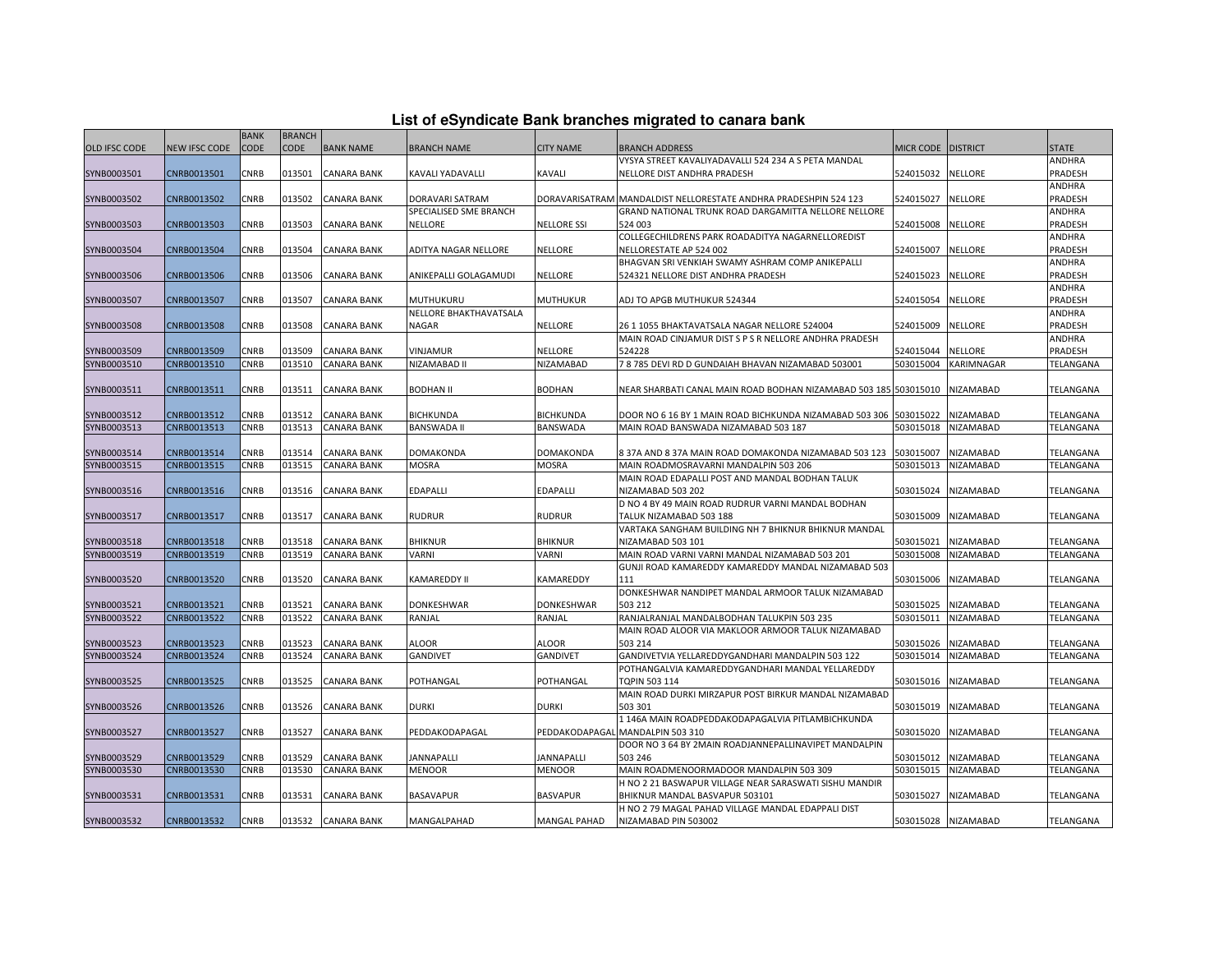|          | List of eSyndicate Bank branches migrated to canara bank |  |  |
|----------|----------------------------------------------------------|--|--|
| BRANCH I |                                                          |  |  |

|                      |               | <b>BANK</b> | <b>BRANCH</b> |                    |                        |                     |                                                                   |                      |                     |              |
|----------------------|---------------|-------------|---------------|--------------------|------------------------|---------------------|-------------------------------------------------------------------|----------------------|---------------------|--------------|
| <b>OLD IFSC CODE</b> | NEW IFSC CODE | <b>CODE</b> | CODE          | <b>BANK NAME</b>   | <b>BRANCH NAME</b>     | <b>CITY NAME</b>    | BRANCH ADDRESS                                                    | MICR CODE   DISTRICT |                     | <b>STATE</b> |
|                      |               |             |               |                    |                        |                     | VYSYA STREET KAVALIYADAVALLI 524 234 A S PETA MANDAL              |                      |                     | ANDHRA       |
| SYNB0003501          | CNRB0013501   | <b>CNRB</b> | 013501        | <b>CANARA BANK</b> | KAVALI YADAVALLI       | KAVALI              | NELLORE DIST ANDHRA PRADESH                                       | 524015032            | <b>NELLORE</b>      | PRADESH      |
|                      |               |             |               |                    |                        |                     |                                                                   |                      |                     | ANDHRA       |
| SYNB0003502          | CNRB0013502   | CNRB        | 013502        | <b>CANARA BANK</b> | DORAVARI SATRAM        |                     | DORAVARISATRAM MANDALDIST NELLORESTATE ANDHRA PRADESHPIN 524 123  | 524015027            | <b>NELLORE</b>      | PRADESH      |
|                      |               |             |               |                    | SPECIALISED SME BRANCH |                     | GRAND NATIONAL TRUNK ROAD DARGAMITTA NELLORE NELLORE              |                      |                     | ANDHRA       |
| SYNB0003503          | CNRB0013503   | CNRB        | 013503        | <b>CANARA BANK</b> | NELLORE                | <b>NELLORE SSI</b>  | 524 003                                                           | 524015008            | <b>NELLORE</b>      | PRADESH      |
|                      |               |             |               |                    |                        |                     | COLLEGECHILDRENS PARK ROADADITYA NAGARNELLOREDIST                 |                      |                     | ANDHRA       |
| SYNB0003504          | CNRB0013504   | CNRB        | 013504        | CANARA BANK        | ADITYA NAGAR NELLORE   | <b>NELLORE</b>      | NELLORESTATE AP 524 002                                           | 524015007            | <b>NELLORE</b>      | PRADESH      |
|                      |               |             |               |                    |                        |                     | BHAGVAN SRI VENKIAH SWAMY ASHRAM COMP ANIKEPALLI                  |                      |                     | ANDHRA       |
| SYNB0003506          | CNRB0013506   | CNRB        | 013506        | <b>CANARA BANK</b> | ANIKEPALLI GOLAGAMUDI  | <b>NELLORE</b>      | 524321 NELLORE DIST ANDHRA PRADESH                                | 524015023            | <b>NELLORE</b>      | PRADESH      |
|                      |               |             |               |                    |                        |                     |                                                                   |                      |                     | ANDHRA       |
| SYNB0003507          | CNRB0013507   | CNRB        | 013507        | <b>CANARA BANK</b> | MUTHUKURU              | <b>MUTHUKUR</b>     | ADJ TO APGB MUTHUKUR 524344                                       | 524015054            | NELLORE             | PRADESH      |
|                      |               |             |               |                    | NELLORE BHAKTHAVATSALA |                     |                                                                   |                      |                     | ANDHRA       |
| SYNB0003508          | CNRB0013508   | CNRB        | 013508        | <b>CANARA BANK</b> | <b>NAGAR</b>           | <b>NELLORE</b>      | 26 1 1055 BHAKTAVATSALA NAGAR NELLORE 524004                      | 524015009            | <b>NELLORE</b>      | PRADESH      |
|                      |               |             |               |                    |                        |                     | MAIN ROAD CINJAMUR DIST S P S R NELLORE ANDHRA PRADESH            |                      |                     | ANDHRA       |
| SYNB0003509          | CNRB0013509   | CNRB        | 013509        | <b>CANARA BANK</b> | VINJAMUR               | <b>NELLORE</b>      | 524228                                                            | 524015044            | <b>NELLORE</b>      | PRADESH      |
| SYNB0003510          | CNRB0013510   | CNRB        | 013510        | <b>CANARA BANK</b> | NIZAMABAD II           | NIZAMABAD           | 7 8 785 DEVI RD D GUNDAIAH BHAVAN NIZAMABAD 503001                | 503015004            | KARIMNAGAR          | TELANGANA    |
|                      |               |             |               |                    |                        |                     |                                                                   |                      |                     |              |
| SYNB0003511          | CNRB0013511   | <b>CNRB</b> | 013511        | <b>CANARA BANK</b> | <b>BODHAN II</b>       | <b>BODHAN</b>       | NEAR SHARBATI CANAL MAIN ROAD BODHAN NIZAMABAD 503 185 503015010  |                      | <b>NIZAMABAD</b>    | TELANGANA    |
|                      |               |             |               |                    |                        |                     |                                                                   |                      |                     |              |
| SYNB0003512          | CNRB0013512   | CNRB        | 013512        | <b>CANARA BANK</b> | <b>BICHKUNDA</b>       | <b>BICHKUNDA</b>    | DOOR NO 6 16 BY 1 MAIN ROAD BICHKUNDA NIZAMABAD 503 306 503015022 |                      | NIZAMABAD           | TELANGANA    |
| SYNB0003513          | CNRB0013513   | CNRB        | 013513        | <b>CANARA BANK</b> | <b>BANSWADA II</b>     | <b>BANSWADA</b>     | MAIN ROAD BANSWADA NIZAMABAD 503 187                              | 503015018            | <b>NIZAMABAD</b>    | TELANGANA    |
|                      |               |             |               |                    |                        |                     |                                                                   |                      |                     |              |
| SYNB0003514          | CNRB0013514   | CNRB        | 013514        | <b>CANARA BANK</b> | <b>DOMAKONDA</b>       | <b>DOMAKONDA</b>    | 837A AND 837A MAIN ROAD DOMAKONDA NIZAMABAD 503 123               | 503015007            | <b>NIZAMABAD</b>    | TELANGANA    |
| SYNB0003515          | CNRB0013515   | CNRB        | 013515        | <b>CANARA BANK</b> | <b>MOSRA</b>           | <b>MOSRA</b>        | MAIN ROADMOSRAVARNI MANDALPIN 503 206                             | 503015013            | <b>NIZAMABAD</b>    | TELANGANA    |
|                      |               |             |               |                    |                        |                     | MAIN ROAD EDAPALLI POST AND MANDAL BODHAN TALUK                   |                      |                     |              |
| SYNB0003516          | CNRB0013516   | CNRB        | 013516        | <b>CANARA BANK</b> | <b>EDAPALLI</b>        | <b>EDAPALLI</b>     | NIZAMABAD 503 202                                                 | 503015024            | NIZAMABAD           | TELANGANA    |
|                      |               |             |               |                    |                        |                     | D NO 4 BY 49 MAIN ROAD RUDRUR VARNI MANDAL BODHAN                 |                      |                     |              |
| SYNB0003517          | CNRB0013517   | CNRB        | 013517        | <b>CANARA BANK</b> | <b>RUDRUR</b>          | <b>RUDRUR</b>       | TALUK NIZAMABAD 503 188                                           | 503015009            | NIZAMABAD           | TELANGANA    |
|                      |               |             |               |                    |                        |                     | VARTAKA SANGHAM BUILDING NH 7 BHIKNUR BHIKNUR MANDAL              |                      |                     |              |
| SYNB0003518          | CNRB0013518   | CNRB        | 013518        | CANARA BANK        | <b>BHIKNUR</b>         | <b>BHIKNUR</b>      | NIZAMABAD 503 101                                                 | 503015021            | NIZAMABAD           | TELANGANA    |
| SYNB0003519          | CNRB0013519   | CNRB        | 013519        | <b>CANARA BANK</b> | VARNI                  | VARNI               | MAIN ROAD VARNI VARNI MANDAL NIZAMABAD 503 201                    | 503015008            | NIZAMABAD           | TELANGANA    |
|                      |               |             |               |                    |                        |                     | GUNJI ROAD KAMAREDDY KAMAREDDY MANDAL NIZAMABAD 503               |                      |                     |              |
| SYNB0003520          | CNRB0013520   | CNRB        | 013520        | <b>CANARA BANK</b> | <b>KAMAREDDY II</b>    | KAMAREDDY           | 111                                                               | 503015006            | NIZAMABAD           | TELANGANA    |
|                      |               |             |               |                    |                        |                     | DONKESHWAR NANDIPET MANDAL ARMOOR TALUK NIZAMABAD                 |                      |                     |              |
| SYNB0003521          | CNRB0013521   | CNRB        | 013521        | <b>CANARA BANK</b> | DONKESHWAR             | DONKESHWAR          | 503 212                                                           | 503015025            | <b>NIZAMABAD</b>    | TELANGANA    |
| SYNB0003522          | CNRB0013522   | CNRB        | 013522        | <b>CANARA BANK</b> | RANJAL                 | RANJAL              | RANJALRANJAL MANDALBODHAN TALUKPIN 503 235                        | 503015011            | NIZAMABAD           | TELANGANA    |
|                      |               |             |               |                    |                        |                     | MAIN ROAD ALOOR VIA MAKLOOR ARMOOR TALUK NIZAMABAD                |                      |                     |              |
| SYNB0003523          | CNRB0013523   | CNRB        | 013523        | <b>CANARA BANK</b> | ALOOR                  | ALOOR               | 503 214                                                           | 503015026            | <b>NIZAMABAD</b>    | TELANGANA    |
| SYNB0003524          | CNRB0013524   | CNRB        | 013524        | <b>CANARA BANK</b> | <b>GANDIVET</b>        | GANDIVET            | GANDIVETVIA YELLAREDDYGANDHARI MANDALPIN 503 122                  | 503015014            | NIZAMABAD           | TELANGANA    |
|                      |               |             |               |                    |                        |                     | POTHANGALVIA KAMAREDDYGANDHARI MANDAL YELLAREDDY                  |                      |                     |              |
| SYNB0003525          | CNRB0013525   | CNRB        | 013525        | <b>CANARA BANK</b> | POTHANGAL              | POTHANGAL           | TQPIN 503 114                                                     | 503015016            | NIZAMABAD           | TELANGANA    |
|                      |               |             |               |                    |                        |                     | MAIN ROAD DURKI MIRZAPUR POST BIRKUR MANDAL NIZAMABAD             |                      |                     |              |
| SYNB0003526          | CNRB0013526   | CNRB        | 013526        | <b>CANARA BANK</b> | <b>DURKI</b>           | <b>DURKI</b>        | 503 301                                                           | 503015019            | NIZAMABAD           | TELANGANA    |
|                      |               |             |               |                    |                        |                     | 1 146A MAIN ROADPEDDAKODAPAGALVIA PITLAMBICHKUNDA                 |                      |                     |              |
| SYNB0003527          | CNRB0013527   | CNRB        | 013527        | <b>CANARA BANK</b> | PEDDAKODAPAGAL         |                     | PEDDAKODAPAGAL MANDALPIN 503 310                                  | 503015020            | NIZAMABAD           | TELANGANA    |
|                      |               |             |               |                    |                        |                     | DOOR NO 3 64 BY 2MAIN ROADJANNEPALLINAVIPET MANDALPIN             |                      |                     |              |
| SYNB0003529          | CNRB0013529   | CNRB        | 013529        | <b>CANARA BANK</b> | <b>JANNAPALLI</b>      | <b>JANNAPALLI</b>   | 503 246                                                           | 503015012            | NIZAMABAD           | TELANGANA    |
| SYNB0003530          | CNRB0013530   | <b>CNRB</b> | 013530        | <b>CANARA BANK</b> | <b>MENOOR</b>          | <b>MENOOR</b>       | MAIN ROADMENOORMADOOR MANDALPIN 503 309                           | 503015015            | NIZAMABAD           | TELANGANA    |
|                      |               |             |               |                    |                        |                     | H NO 2 21 BASWAPUR VILLAGE NEAR SARASWATI SISHU MANDIR            |                      |                     |              |
| SYNB0003531          | CNRB0013531   | CNRB        | 013531        | <b>CANARA BANK</b> | <b>BASAVAPUR</b>       | <b>BASVAPUR</b>     | BHIKNUR MANDAL BASVAPUR 503101                                    | 503015027            | NIZAMABAD           | TELANGANA    |
|                      |               |             |               |                    |                        |                     | H NO 2 79 MAGAL PAHAD VILLAGE MANDAL EDAPPALI DIST                |                      |                     |              |
| SYNB0003532          | CNRB0013532   | <b>CNRB</b> |               | 013532 CANARA BANK | MANGALPAHAD            | <b>MANGAL PAHAD</b> | NIZAMABAD PIN 503002                                              |                      | 503015028 NIZAMABAD | TELANGANA    |
|                      |               |             |               |                    |                        |                     |                                                                   |                      |                     |              |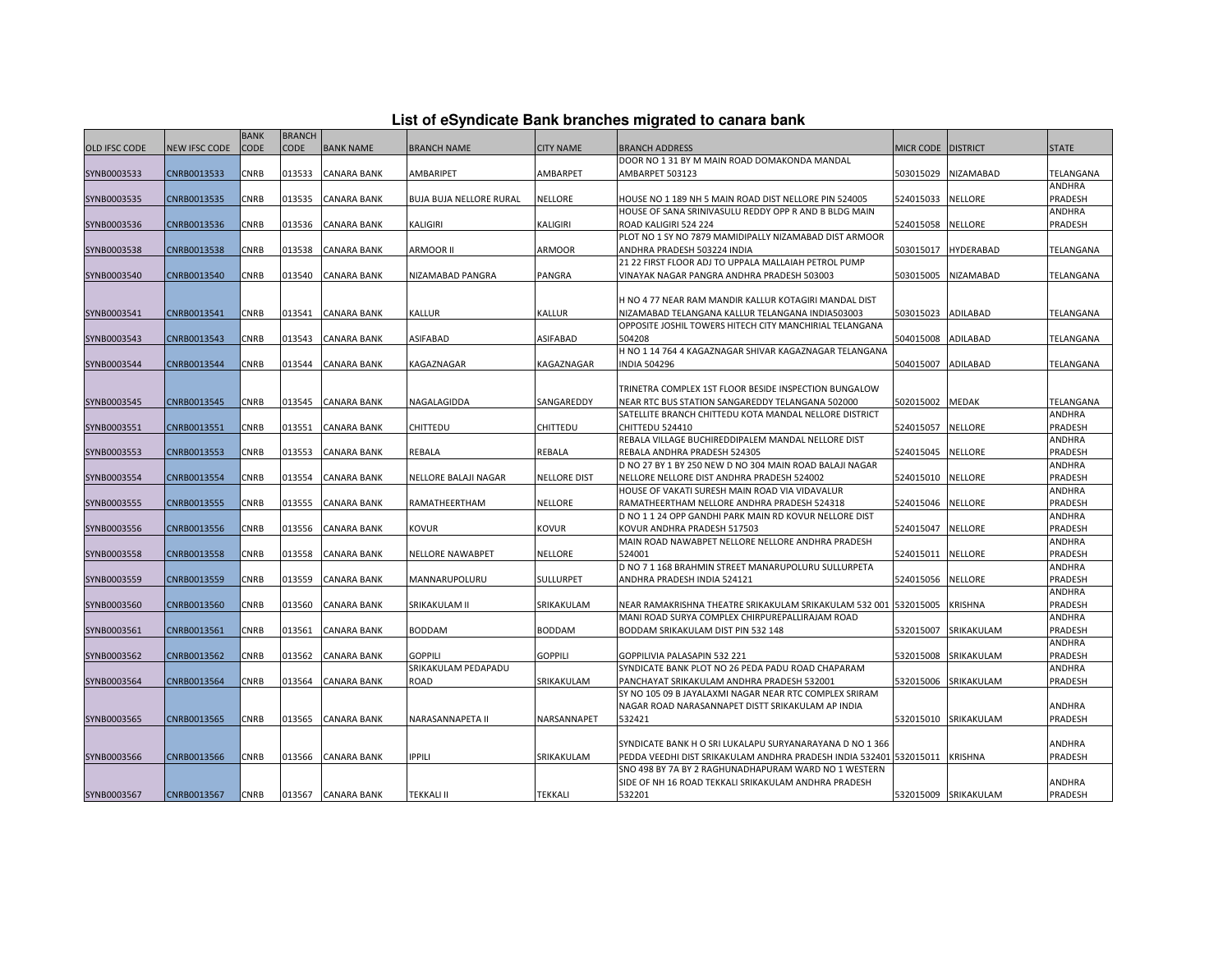| List of eSyndicate Bank branches migrated to canara bank |  |  |  |
|----------------------------------------------------------|--|--|--|
|----------------------------------------------------------|--|--|--|

|                      |               | <b>BANK</b> | <b>BRANCH</b> |                    |                         |                     |                                                                                                                       |           |                      |                   |
|----------------------|---------------|-------------|---------------|--------------------|-------------------------|---------------------|-----------------------------------------------------------------------------------------------------------------------|-----------|----------------------|-------------------|
| <b>OLD IFSC CODE</b> | NEW IFSC CODE | CODE        | <b>CODE</b>   | <b>BANK NAME</b>   | <b>BRANCH NAME</b>      | <b>CITY NAME</b>    | <b>BRANCH ADDRESS</b>                                                                                                 | MICR CODE | <b>DISTRICT</b>      | <b>STATE</b>      |
|                      |               |             |               |                    |                         |                     | DOOR NO 1 31 BY M MAIN ROAD DOMAKONDA MANDAL                                                                          |           |                      |                   |
| SYNB0003533          | CNRB0013533   | CNRB        | 013533        | <b>CANARA BANK</b> | AMBARIPET               | AMBARPET            | AMBARPET 503123                                                                                                       | 503015029 | NIZAMABAD            | TELANGANA         |
|                      |               |             |               |                    |                         |                     |                                                                                                                       |           |                      | ANDHRA            |
| SYNB0003535          | CNRB0013535   | CNRB        | 013535        | <b>CANARA BANK</b> | BUJA BUJA NELLORE RURAL | NELLORE             | HOUSE NO 1 189 NH 5 MAIN ROAD DIST NELLORE PIN 524005                                                                 | 524015033 | NELLORE              | PRADESH           |
|                      |               |             |               |                    |                         |                     | HOUSE OF SANA SRINIVASULU REDDY OPP R AND B BLDG MAIN                                                                 |           |                      | ANDHRA            |
| SYNB0003536          | CNRB0013536   | CNRB        | 013536        | <b>CANARA BANK</b> | KALIGIRI                | <b>KALIGIRI</b>     | ROAD KALIGIRI 524 224                                                                                                 | 524015058 | NELLORE              | PRADESH           |
|                      |               |             |               |                    |                         |                     | PLOT NO 1 SY NO 7879 MAMIDIPALLY NIZAMABAD DIST ARMOOR                                                                |           |                      |                   |
| SYNB0003538          | CNRB0013538   | CNRB        | 013538        | CANARA BANK        | ARMOOR II               | <b>ARMOOR</b>       | ANDHRA PRADESH 503224 INDIA                                                                                           | 503015017 | <b>HYDERABAD</b>     | TELANGANA         |
|                      |               |             |               |                    |                         |                     | 21 22 FIRST FLOOR ADJ TO UPPALA MALLAIAH PETROL PUMP                                                                  |           |                      |                   |
| SYNB0003540          | CNRB0013540   | CNRB        | 013540        | <b>CANARA BANK</b> | NIZAMABAD PANGRA        | PANGRA              | VINAYAK NAGAR PANGRA ANDHRA PRADESH 503003                                                                            | 503015005 | NIZAMABAD            | TELANGANA         |
|                      |               |             |               |                    |                         |                     |                                                                                                                       |           |                      |                   |
|                      |               |             |               |                    |                         |                     | H NO 4 77 NEAR RAM MANDIR KALLUR KOTAGIRI MANDAL DIST                                                                 |           |                      |                   |
| SYNB0003541          | CNRB0013541   | CNRB        | 013541        | <b>CANARA BANK</b> | KALLUR                  | KALLUR              | NIZAMABAD TELANGANA KALLUR TELANGANA INDIA503003                                                                      | 503015023 | ADILABAD             | TELANGANA         |
| SYNB0003543          | CNRB0013543   | CNRB        | 013543        | <b>CANARA BANK</b> | ASIFABAD                | ASIFABAD            | OPPOSITE JOSHIL TOWERS HITECH CITY MANCHIRIAL TELANGANA<br>504208                                                     | 504015008 | ADILABAD             | TELANGANA         |
|                      |               |             |               |                    |                         |                     | H NO 1 14 764 4 KAGAZNAGAR SHIVAR KAGAZNAGAR TELANGANA                                                                |           |                      |                   |
| SYNB0003544          | CNRB0013544   | CNRB        | 013544        | <b>CANARA BANK</b> | KAGAZNAGAR              | KAGAZNAGAR          | <b>NDIA 504296</b>                                                                                                    | 504015007 | ADILABAD             | TELANGANA         |
|                      |               |             |               |                    |                         |                     |                                                                                                                       |           |                      |                   |
|                      |               |             |               |                    |                         |                     | TRINETRA COMPLEX 1ST FLOOR BESIDE INSPECTION BUNGALOW                                                                 |           |                      |                   |
| SYNB0003545          | CNRB0013545   | CNRB        | 013545        | <b>CANARA BANK</b> | NAGALAGIDDA             | SANGAREDDY          | NEAR RTC BUS STATION SANGAREDDY TELANGANA 502000                                                                      | 502015002 | <b>MEDAK</b>         | TELANGANA         |
|                      |               |             |               |                    |                         |                     | SATELLITE BRANCH CHITTEDU KOTA MANDAL NELLORE DISTRICT                                                                |           |                      | ANDHRA            |
| SYNB0003551          | CNRB0013551   | CNRB        | 013551        | <b>CANARA BANK</b> | CHITTEDU                | CHITTEDU            | CHITTEDU 524410                                                                                                       | 524015057 | NELLORE              | PRADESH           |
|                      |               |             |               |                    |                         |                     | REBALA VILLAGE BUCHIREDDIPALEM MANDAL NELLORE DIST                                                                    |           |                      | ANDHRA            |
| SYNB0003553          | CNRB0013553   | CNRB        | 013553        | <b>CANARA BANK</b> | REBALA                  | REBALA              | REBALA ANDHRA PRADESH 524305                                                                                          | 524015045 | NELLORE              | PRADESH           |
|                      |               |             |               |                    |                         |                     | D NO 27 BY 1 BY 250 NEW D NO 304 MAIN ROAD BALAJI NAGAR                                                               |           |                      | ANDHRA            |
| SYNB0003554          | CNRB0013554   | CNRB        | 013554        | <b>CANARA BANK</b> | NELLORE BALAJI NAGAR    | <b>NELLORE DIST</b> | NELLORE NELLORE DIST ANDHRA PRADESH 524002                                                                            | 524015010 | NELLORE              | PRADESH           |
|                      |               |             |               |                    |                         |                     | HOUSE OF VAKATI SURESH MAIN ROAD VIA VIDAVALUR                                                                        |           |                      | ANDHRA            |
| SYNB0003555          | CNRB0013555   | CNRB        | 013555        | <b>CANARA BANK</b> | RAMATHEERTHAM           | NELLORE             | RAMATHEERTHAM NELLORE ANDHRA PRADESH 524318                                                                           | 524015046 | <b>NELLORE</b>       | PRADESH           |
|                      |               |             |               |                    |                         |                     | D NO 1 1 24 OPP GANDHI PARK MAIN RD KOVUR NELLORE DIST                                                                |           |                      | ANDHRA            |
| SYNB0003556          | CNRB0013556   | CNRB        | 013556        | <b>CANARA BANK</b> | KOVUR                   | KOVUR               | KOVUR ANDHRA PRADESH 517503                                                                                           | 524015047 | NELLORE              | PRADESH           |
|                      |               |             |               |                    |                         |                     | MAIN ROAD NAWABPET NELLORE NELLORE ANDHRA PRADESH                                                                     |           |                      | ANDHRA            |
| SYNB0003558          | CNRB0013558   | CNRB        | 013558        | <b>CANARA BANK</b> | NELLORE NAWABPET        | <b>NELLORE</b>      | 524001                                                                                                                | 524015011 | NELLORE              | PRADESH           |
|                      |               |             |               |                    |                         |                     | D NO 7 1 168 BRAHMIN STREET MANARUPOLURU SULLURPETA                                                                   |           |                      | ANDHRA            |
| SYNB0003559          | CNRB0013559   | CNRB        | 013559        | CANARA BANK        | MANNARUPOLURU           | SULLURPET           | ANDHRA PRADESH INDIA 524121                                                                                           | 524015056 | NELLORE              | PRADESH           |
|                      |               |             |               |                    |                         |                     |                                                                                                                       |           |                      | ANDHRA            |
| SYNB0003560          | CNRB0013560   | CNRB        | 013560        | <b>CANARA BANK</b> | SRIKAKULAM II           | SRIKAKULAM          | NEAR RAMAKRISHNA THEATRE SRIKAKULAM SRIKAKULAM 532 001  532015005<br>VIANI ROAD SURYA COMPLEX CHIRPUREPALLIRAJAM ROAD |           | KRISHNA              | PRADESH<br>ANDHRA |
| SYNB0003561          | CNRB0013561   | CNRB        | 013561        | <b>CANARA BANK</b> | <b>BODDAM</b>           | <b>BODDAM</b>       | BODDAM SRIKAKULAM DIST PIN 532 148                                                                                    | 532015007 | SRIKAKULAM           | PRADESH           |
|                      |               |             |               |                    |                         |                     |                                                                                                                       |           |                      | ANDHRA            |
| SYNB0003562          | CNRB0013562   | CNRB        | 013562        | <b>CANARA BANK</b> | <b>GOPPILI</b>          | <b>GOPPILI</b>      | GOPPILIVIA PALASAPIN 532 221                                                                                          | 532015008 | SRIKAKULAM           | PRADESH           |
|                      |               |             |               |                    | SRIKAKULAM PEDAPADU     |                     | SYNDICATE BANK PLOT NO 26 PEDA PADU ROAD CHAPARAM                                                                     |           |                      | ANDHRA            |
| SYNB0003564          | CNRB0013564   | CNRB        | 013564        | CANARA BANK        | ROAD                    | SRIKAKULAM          | PANCHAYAT SRIKAKULAM ANDHRA PRADESH 532001                                                                            | 532015006 | SRIKAKULAM           | PRADESH           |
|                      |               |             |               |                    |                         |                     | SY NO 105 09 B JAYALAXMI NAGAR NEAR RTC COMPLEX SRIRAM                                                                |           |                      |                   |
|                      |               |             |               |                    |                         |                     | NAGAR ROAD NARASANNAPET DISTT SRIKAKULAM AP INDIA                                                                     |           |                      | ANDHRA            |
| SYNB0003565          | CNRB0013565   | CNRB        | 013565        | <b>CANARA BANK</b> | NARASANNAPETA II        | NARSANNAPET         | 532421                                                                                                                |           | 532015010 SRIKAKULAM | PRADESH           |
|                      |               |             |               |                    |                         |                     |                                                                                                                       |           |                      |                   |
|                      |               |             |               |                    |                         |                     | SYNDICATE BANK H O SRI LUKALAPU SURYANARAYANA D NO 1 366                                                              |           |                      | ANDHRA            |
| SYNB0003566          | CNRB0013566   | CNRB        | 013566        | <b>CANARA BANK</b> | <b>IPPILI</b>           | SRIKAKULAM          | PEDDA VEEDHI DIST SRIKAKULAM ANDHRA PRADESH INDIA 532401 532015011                                                    |           | <b>KRISHNA</b>       | PRADESH           |
|                      |               |             |               |                    |                         |                     | SNO 498 BY 7A BY 2 RAGHUNADHAPURAM WARD NO 1 WESTERN                                                                  |           |                      |                   |
|                      |               |             |               |                    |                         |                     | SIDE OF NH 16 ROAD TEKKALI SRIKAKULAM ANDHRA PRADESH                                                                  |           |                      | ANDHRA            |
| SYNB0003567          | CNRB0013567   | <b>CNRB</b> |               | 013567 CANARA BANK | TEKKALI II              | <b>TEKKALI</b>      | 532201                                                                                                                |           | 532015009 SRIKAKULAM | PRADESH           |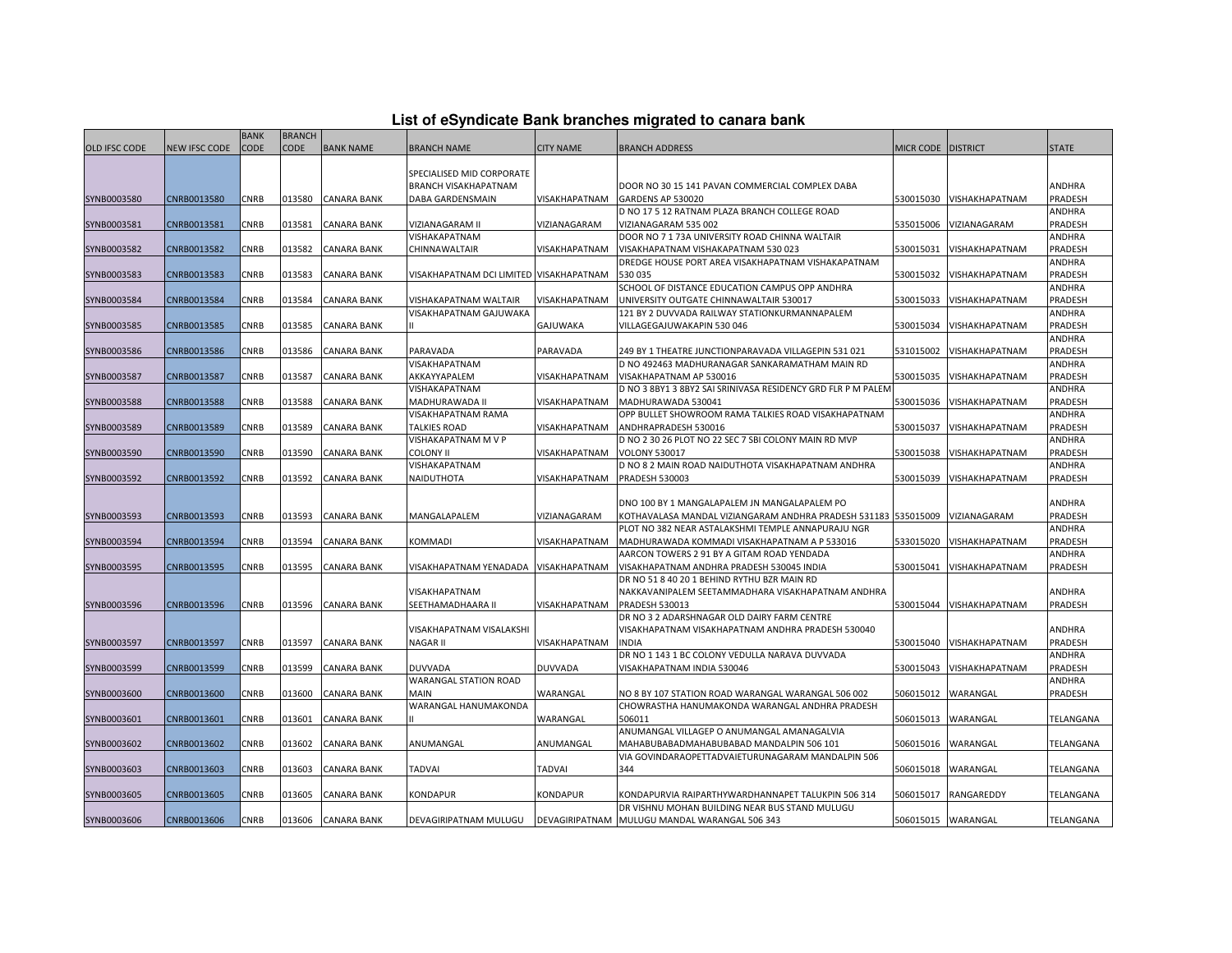| List of eSyndicate Bank branches migrated to canara bank |  |  |
|----------------------------------------------------------|--|--|
|                                                          |  |  |

|               |                      | <b>BANK</b> | <b>BRANCH</b> |                    |                                         |                  |                                                                         |                      |                          |               |
|---------------|----------------------|-------------|---------------|--------------------|-----------------------------------------|------------------|-------------------------------------------------------------------------|----------------------|--------------------------|---------------|
| OLD IFSC CODE | <b>NEW IFSC CODE</b> | <b>CODE</b> | <b>CODE</b>   | <b>BANK NAME</b>   | <b>BRANCH NAME</b>                      | <b>CITY NAME</b> | BRANCH ADDRESS                                                          | MICR CODE   DISTRICT |                          | <b>STATE</b>  |
|               |                      |             |               |                    |                                         |                  |                                                                         |                      |                          |               |
|               |                      |             |               |                    | SPECIALISED MID CORPORATE               |                  |                                                                         |                      |                          |               |
|               |                      |             |               |                    | BRANCH VISAKHAPATNAM                    |                  | DOOR NO 30 15 141 PAVAN COMMERCIAL COMPLEX DABA                         |                      |                          | ANDHRA        |
| SYNB0003580   | CNRB0013580          | CNRB        | 013580        | <b>CANARA BANK</b> | DABA GARDENSMAIN                        | VISAKHAPATNAM    | GARDENS AP 530020                                                       | 530015030            | <b>VISHAKHAPATNAM</b>    | PRADESH       |
|               |                      |             |               |                    |                                         |                  | D NO 17 5 12 RATNAM PLAZA BRANCH COLLEGE ROAD                           |                      |                          | ANDHRA        |
| SYNB0003581   | CNRB0013581          | CNRB        | 013581        | CANARA BANK        | VIZIANAGARAM II                         | VIZIANAGARAM     | VIZIANAGARAM 535 002                                                    | 535015006            | VIZIANAGARAM             | PRADESH       |
|               |                      |             |               |                    | VISHAKAPATNAM                           |                  | DOOR NO 7 1 73A UNIVERSITY ROAD CHINNA WALTAIR                          |                      |                          | ANDHRA        |
| SYNB0003582   | CNRB0013582          | CNRB        | 013582        | CANARA BANK        | CHINNAWALTAIR                           | VISAKHAPATNAM    | VISAKHAPATNAM VISHAKAPATNAM 530 023                                     | 530015031            | VISHAKHAPATNAM           | PRADESH       |
|               |                      |             |               |                    |                                         |                  | DREDGE HOUSE PORT AREA VISAKHAPATNAM VISHAKAPATNAM                      |                      |                          | ANDHRA        |
| SYNB0003583   | CNRB0013583          | CNRB        | 013583        | <b>CANARA BANK</b> | VISAKHAPATNAM DCI LIMITED VISAKHAPATNAM |                  | 530035                                                                  | 530015032            | VISHAKHAPATNAM           | PRADESH       |
|               |                      |             |               |                    |                                         |                  | SCHOOL OF DISTANCE EDUCATION CAMPUS OPP ANDHRA                          |                      |                          | ANDHRA        |
| SYNB0003584   | CNRB0013584          | CNRB        | 013584        | CANARA BANK        | <b>VISHAKAPATNAM WALTAIR</b>            | VISAKHAPATNAM    | UNIVERSITY OUTGATE CHINNAWALTAIR 530017                                 | 530015033            | VISHAKHAPATNAM           | PRADESH       |
|               |                      |             |               |                    | VISAKHAPATNAM GAJUWAKA                  |                  | 121 BY 2 DUVVADA RAILWAY STATIONKURMANNAPALEM                           |                      |                          | ANDHRA        |
| SYNB0003585   | CNRB0013585          | CNRB        | 013585        | <b>CANARA BANK</b> |                                         | GAJUWAKA         | VILLAGEGAJUWAKAPIN 530 046                                              | 530015034            | VISHAKHAPATNAM           | PRADESH       |
|               |                      |             |               |                    |                                         |                  |                                                                         |                      |                          | ANDHRA        |
| SYNB0003586   | CNRB0013586          | <b>CNRB</b> | 013586        | <b>CANARA BANK</b> | PARAVADA                                | PARAVADA         | 249 BY 1 THEATRE JUNCTIONPARAVADA VILLAGEPIN 531 021                    | 531015002            | VISHAKHAPATNAM           | PRADESH       |
|               |                      |             |               |                    | VISAKHAPATNAM                           |                  | D NO 492463 MADHURANAGAR SANKARAMATHAM MAIN RD                          |                      |                          | ANDHRA        |
| SYNB0003587   | CNRB0013587          | CNRB        | 013587        | CANARA BANK        | AKKAYYAPALEM                            | VISAKHAPATNAM    | VISAKHAPATNAM AP 530016                                                 | 530015035            | VISHAKHAPATNAM           | PRADESH       |
|               |                      |             |               |                    | VISHAKAPATNAM                           |                  | D NO 3 8BY1 3 8BY2 SAI SRINIVASA RESIDENCY GRD FLR P M PALEM            |                      |                          | ANDHRA        |
| SYNB0003588   | CNRB0013588          | CNRB        | 013588        | CANARA BANK        | MADHURAWADA II                          | VISAKHAPATNAM    | MADHURAWADA 530041                                                      | 530015036            | VISHAKHAPATNAM           | PRADESH       |
|               |                      |             |               |                    | VISAKHAPATNAM RAMA                      |                  | OPP BULLET SHOWROOM RAMA TALKIES ROAD VISAKHAPATNAM                     |                      |                          | <b>ANDHRA</b> |
| SYNB0003589   | CNRB0013589          | CNRB        | 013589        | CANARA BANK        | <b>TALKIES ROAD</b>                     | VISAKHAPATNAM    | ANDHRAPRADESH 530016                                                    | 530015037            | VISHAKHAPATNAM           | PRADESH       |
|               |                      |             |               |                    | VISHAKAPATNAM M V P                     |                  | D NO 2 30 26 PLOT NO 22 SEC 7 SBI COLONY MAIN RD MVP                    |                      |                          | ANDHRA        |
| SYNB0003590   | CNRB0013590          | CNRB        | 013590        | <b>CANARA BANK</b> | <b>COLONY II</b>                        | VISAKHAPATNAM    | <b>VOLONY 530017</b>                                                    | 530015038            | VISHAKHAPATNAM           | PRADESH       |
|               |                      |             |               |                    | VISHAKAPATNAM                           |                  | D NO 8 2 MAIN ROAD NAIDUTHOTA VISAKHAPATNAM ANDHRA                      |                      |                          |               |
|               |                      |             |               | <b>CANARA BANK</b> | NAIDUTHOTA                              | VISAKHAPATNAM    | PRADESH 530003                                                          |                      | VISHAKHAPATNAM           | ANDHRA        |
| SYNB0003592   | CNRB0013592          | CNRB        | 013592        |                    |                                         |                  |                                                                         | 530015039            |                          | PRADESH       |
|               |                      |             |               |                    |                                         |                  | DNO 100 BY 1 MANGALAPALEM JN MANGALAPALEM PO                            |                      |                          | ANDHRA        |
|               |                      |             |               | <b>CANARA BANK</b> | MANGALAPALEM                            | VIZIANAGARAM     |                                                                         |                      | VIZIANAGARAM             |               |
| SYNB0003593   | CNRB0013593          | CNRB        | 013593        |                    |                                         |                  | KOTHAVALASA MANDAL VIZIANGARAM ANDHRA PRADESH 531183  535015009         |                      |                          | PRADESH       |
|               |                      |             |               |                    |                                         |                  | PLOT NO 382 NEAR ASTALAKSHMI TEMPLE ANNAPURAJU NGR                      |                      |                          | ANDHRA        |
| SYNB0003594   | CNRB0013594          | <b>CNRB</b> | 013594        | <b>CANARA BANK</b> | KOMMADI                                 | VISAKHAPATNAM    | MADHURAWADA KOMMADI VISAKHAPATNAM A P 533016                            | 533015020            | VISHAKHAPATNAM           | PRADESH       |
|               |                      |             |               |                    |                                         |                  | AARCON TOWERS 2 91 BY A GITAM ROAD YENDADA                              |                      |                          | ANDHRA        |
| SYNB0003595   | CNRB0013595          | CNRB        | 013595        | <b>CANARA BANK</b> | VISAKHAPATNAM YENADADA VISAKHAPATNAM    |                  | VISAKHAPATNAM ANDHRA PRADESH 530045 INDIA                               | 530015041            | VISHAKHAPATNAM           | PRADESH       |
|               |                      |             |               |                    |                                         |                  | DR NO 51 8 40 20 1 BEHIND RYTHU BZR MAIN RD                             |                      |                          |               |
|               |                      |             |               |                    | VISAKHAPATNAM                           |                  | NAKKAVANIPALEM SEETAMMADHARA VISAKHAPATNAM ANDHRA                       |                      |                          | ANDHRA        |
| SYNB0003596   | CNRB0013596          | CNRB        | 013596        | <b>CANARA BANK</b> | SEETHAMADHAARA II                       | VISAKHAPATNAM    | PRADESH 530013                                                          |                      | 530015044 VISHAKHAPATNAM | PRADESH       |
|               |                      |             |               |                    |                                         |                  | DR NO 3 2 ADARSHNAGAR OLD DAIRY FARM CENTRE                             |                      |                          |               |
|               |                      |             |               |                    | VISAKHAPATNAM VISALAKSHI                |                  | VISAKHAPATNAM VISAKHAPATNAM ANDHRA PRADESH 530040                       |                      |                          | ANDHRA        |
| SYNB0003597   | CNRB0013597          | CNRB        | 013597        | CANARA BANK        | <b>NAGAR II</b>                         | VISAKHAPATNAM    | <b>INDIA</b>                                                            | 530015040            | VISHAKHAPATNAM           | PRADESH       |
|               |                      |             |               |                    |                                         |                  | DR NO 1 143 1 BC COLONY VEDULLA NARAVA DUVVADA                          |                      |                          | ANDHRA        |
| SYNB0003599   | CNRB0013599          | CNRB        | 013599        | <b>CANARA BANK</b> | <b>DUVVADA</b>                          | <b>DUVVADA</b>   | VISAKHAPATNAM INDIA 530046                                              | 530015043            | VISHAKHAPATNAM           | PRADESH       |
|               |                      |             |               |                    | <b>WARANGAL STATION ROAD</b>            |                  |                                                                         |                      |                          | ANDHRA        |
| SYNB0003600   | CNRB0013600          | CNRB        | 013600        | CANARA BANK        | <b>MAIN</b>                             | WARANGAL         | NO 8 BY 107 STATION ROAD WARANGAL WARANGAL 506 002                      | 506015012            | WARANGAL                 | PRADESH       |
|               |                      |             |               |                    | WARANGAL HANUMAKONDA                    |                  | CHOWRASTHA HANUMAKONDA WARANGAL ANDHRA PRADESH                          |                      |                          |               |
| SYNB0003601   | CNRB0013601          | CNRB        | 013601        | <b>CANARA BANK</b> |                                         | WARANGAL         | 506011                                                                  | 506015013            | WARANGAL                 | TELANGANA     |
|               |                      |             |               |                    |                                         |                  | ANUMANGAL VILLAGEP O ANUMANGAL AMANAGALVIA                              |                      |                          |               |
| SYNB0003602   | CNRB0013602          | CNRB        | 013602        | <b>CANARA BANK</b> | ANUMANGAL                               | ANUMANGAL        | MAHABUBABADMAHABUBABAD MANDALPIN 506 101                                | 506015016            | WARANGAL                 | TELANGANA     |
|               |                      |             |               |                    |                                         |                  | VIA GOVINDARAOPETTADVAIETURUNAGARAM MANDALPIN 506                       |                      |                          |               |
| SYNB0003603   | CNRB0013603          | CNRB        | 013603        | <b>CANARA BANK</b> | <b>TADVAI</b>                           | TADVAI           | 344                                                                     | 506015018            | WARANGAL                 | TELANGANA     |
|               |                      |             |               |                    |                                         |                  |                                                                         |                      |                          |               |
| SYNB0003605   | CNRB0013605          | CNRB        | 013605        | <b>CANARA BANK</b> | <b>KONDAPUR</b>                         | KONDAPUR         | KONDAPURVIA RAIPARTHYWARDHANNAPET TALUKPIN 506 314                      | 506015017            | RANGAREDDY               | TELANGANA     |
|               |                      |             |               |                    |                                         |                  | DR VISHNU MOHAN BUILDING NEAR BUS STAND MULUGU                          |                      |                          |               |
| SYNB0003606   | CNRB0013606          | <b>CNRB</b> | 013606        | <b>CANARA BANK</b> |                                         |                  | DEVAGIRIPATNAM MULUGU   DEVAGIRIPATNAM   MULUGU MANDAL WARANGAL 506 343 | 506015015 WARANGAL   |                          | TELANGANA     |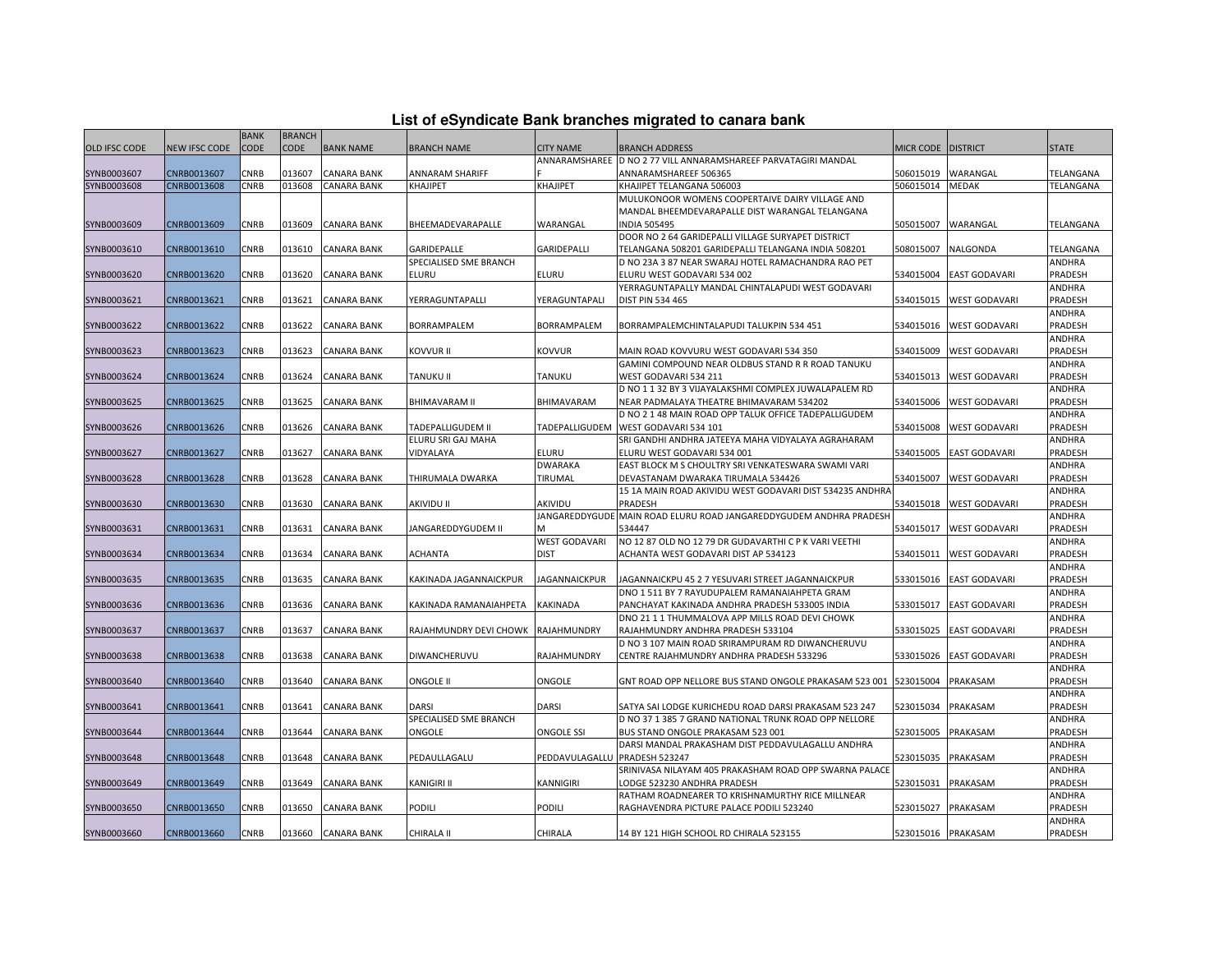| List of eSyndicate Bank branches migrated to canara bank |  |  |  |  |  |  |  |
|----------------------------------------------------------|--|--|--|--|--|--|--|
|----------------------------------------------------------|--|--|--|--|--|--|--|

|               | List of eSyndicate Bank branches migrated to canara bank |             |               |                    |                                    |                               |                                                                    |                    |                      |                |  |  |
|---------------|----------------------------------------------------------|-------------|---------------|--------------------|------------------------------------|-------------------------------|--------------------------------------------------------------------|--------------------|----------------------|----------------|--|--|
|               |                                                          | <b>BANK</b> | <b>BRANCH</b> |                    |                                    |                               |                                                                    |                    |                      |                |  |  |
| OLD IFSC CODE | <b>NEW IFSC CODE</b>                                     | <b>CODE</b> | <b>CODE</b>   | <b>BANK NAME</b>   | <b>BRANCH NAME</b>                 | <b>CITY NAME</b>              | <b>BRANCH ADDRESS</b>                                              | MICR CODE DISTRICT |                      | <b>STATE</b>   |  |  |
|               |                                                          |             |               |                    |                                    |                               | ANNARAMSHAREE D NO 2 77 VILL ANNARAMSHAREEF PARVATAGIRI MANDAL     |                    |                      |                |  |  |
| SYNB0003607   | CNRB0013607                                              | CNRB        | 013607        | CANARA BANK        | ANNARAM SHARIFF                    |                               | ANNARAMSHAREEF 506365                                              | 506015019          | WARANGAL             | TELANGANA      |  |  |
| SYNB0003608   | CNRB0013608                                              | CNRB        | 013608        | <b>CANARA BANK</b> | KHAJIPET                           | KHAJIPET                      | KHAJIPET TELANGANA 506003                                          | 506015014          | MEDAK                | TELANGANA      |  |  |
|               |                                                          |             |               |                    |                                    |                               | MULUKONOOR WOMENS COOPERTAIVE DAIRY VILLAGE AND                    |                    |                      |                |  |  |
|               |                                                          |             |               |                    |                                    |                               | MANDAL BHEEMDEVARAPALLE DIST WARANGAL TELANGANA                    |                    |                      |                |  |  |
| SYNB0003609   | CNRB0013609                                              | CNRB        | 013609        | <b>CANARA BANK</b> | BHEEMADEVARAPALLE                  | WARANGAL                      | <b>INDIA 505495</b>                                                | 505015007          | WARANGAL             | TELANGANA      |  |  |
|               |                                                          |             |               |                    |                                    |                               | DOOR NO 2 64 GARIDEPALLI VILLAGE SURYAPET DISTRICT                 |                    |                      |                |  |  |
| SYNB0003610   | CNRB0013610                                              | CNRB        | 013610        | <b>CANARA BANK</b> | GARIDEPALLE                        | <b>GARIDEPALLI</b>            | TELANGANA 508201 GARIDEPALLI TELANGANA INDIA 508201                | 508015007          | NALGONDA             | TELANGANA      |  |  |
|               |                                                          |             |               |                    | SPECIALISED SME BRANCH             |                               | D NO 23A 3 87 NEAR SWARAJ HOTEL RAMACHANDRA RAO PET                |                    |                      | ANDHRA         |  |  |
| SYNB0003620   | CNRB0013620                                              | CNRB        | 013620        | <b>CANARA BANK</b> | <b>ELURU</b>                       | <b>ELURU</b>                  | ELURU WEST GODAVARI 534 002                                        | 534015004          | <b>EAST GODAVARI</b> | PRADESH        |  |  |
|               |                                                          |             |               |                    |                                    |                               | YERRAGUNTAPALLY MANDAL CHINTALAPUDI WEST GODAVARI                  |                    |                      | ANDHRA         |  |  |
| SYNB0003621   | CNRB0013621                                              | <b>CNRB</b> | 013621        | <b>CANARA BANK</b> | YERRAGUNTAPALLI                    | YERAGUNTAPALI                 | <b>DIST PIN 534 465</b>                                            | 534015015          | <b>WEST GODAVARI</b> | PRADESH        |  |  |
|               |                                                          |             |               |                    |                                    |                               |                                                                    |                    |                      | ANDHRA         |  |  |
| SYNB0003622   | CNRB0013622                                              | CNRB        | 013622        | <b>CANARA BANK</b> | BORRAMPALEM                        | BORRAMPALEM                   | BORRAMPALEMCHINTALAPUDI TALUKPIN 534 451                           | 534015016          | <b>WEST GODAVARI</b> | PRADESH        |  |  |
|               |                                                          |             |               |                    |                                    |                               |                                                                    |                    |                      | ANDHRA         |  |  |
| SYNB0003623   | CNRB0013623                                              | CNRB        | 013623        | <b>CANARA BANK</b> | KOVVUR II                          | <b>KOVVUR</b>                 | MAIN ROAD KOVVURU WEST GODAVARI 534 350                            | 534015009          | WEST GODAVARI        | <b>PRADESH</b> |  |  |
|               |                                                          |             |               |                    |                                    |                               | GAMINI COMPOUND NEAR OLDBUS STAND R R ROAD TANUKU                  |                    |                      | ANDHRA         |  |  |
| SYNB0003624   | CNRB0013624                                              | <b>CNRB</b> | 013624        | <b>CANARA BANK</b> | <b>TANUKU II</b>                   | <b>TANUKU</b>                 | WEST GODAVARI 534 211                                              | 534015013          | <b>WEST GODAVARI</b> | PRADESH        |  |  |
|               |                                                          |             |               |                    |                                    |                               | D NO 1 1 32 BY 3 VIJAYALAKSHMI COMPLEX JUWALAPALEM RD              |                    |                      | ANDHRA         |  |  |
| SYNB0003625   | CNRB0013625                                              | <b>CNRB</b> | 013625        | <b>CANARA BANK</b> | <b>BHIMAVARAM II</b>               | BHIMAVARAM                    | NEAR PADMALAYA THEATRE BHIMAVARAM 534202                           | 534015006          | <b>WEST GODAVARI</b> | PRADESH        |  |  |
|               |                                                          |             |               |                    |                                    |                               | D NO 2 1 48 MAIN ROAD OPP TALUK OFFICE TADEPALLIGUDEM              |                    |                      | ANDHRA         |  |  |
| SYNB0003626   | CNRB0013626                                              | <b>CNRB</b> | 013626        | <b>CANARA BANK</b> | TADEPALLIGUDEM II                  | TADEPALLIGUDEM                | WEST GODAVARI 534 101                                              | 534015008          | WEST GODAVARI        | PRADESH        |  |  |
|               |                                                          |             |               |                    | ELURU SRI GAJ MAHA                 |                               | SRI GANDHI ANDHRA JATEEYA MAHA VIDYALAYA AGRAHARAM                 |                    |                      | ANDHRA         |  |  |
| SYNB0003627   | CNRB0013627                                              | <b>CNRB</b> | 013627        | <b>CANARA BANK</b> | VIDYALAYA                          | <b>ELURU</b>                  | ELURU WEST GODAVARI 534 001                                        | 534015005          | <b>EAST GODAVARI</b> | PRADESH        |  |  |
|               |                                                          |             |               |                    |                                    | <b>DWARAKA</b>                | EAST BLOCK M S CHOULTRY SRI VENKATESWARA SWAMI VARI                |                    |                      | ANDHRA         |  |  |
| SYNB0003628   | CNRB0013628                                              | CNRB        | 013628        | <b>CANARA BANK</b> | THIRUMALA DWARKA                   | TIRUMAL                       | DEVASTANAM DWARAKA TIRUMALA 534426                                 | 534015007          | <b>WEST GODAVARI</b> | PRADESH        |  |  |
|               |                                                          |             |               |                    |                                    |                               | 15 1A MAIN ROAD AKIVIDU WEST GODAVARI DIST 534235 ANDHRA           |                    |                      | ANDHRA         |  |  |
| SYNB0003630   | CNRB0013630                                              | CNRB        | 013630        | <b>CANARA BANK</b> | AKIVIDU II                         | AKIVIDU                       | <b>PRADESH</b>                                                     | 534015018          | WEST GODAVARI        | PRADESH        |  |  |
|               |                                                          |             |               |                    |                                    |                               | JANGAREDDYGUDE MAIN ROAD ELURU ROAD JANGAREDDYGUDEM ANDHRA PRADESH |                    |                      | ANDHRA         |  |  |
| SYNB0003631   | CNRB0013631                                              | <b>CNRB</b> | 013631        | <b>CANARA BANK</b> | JANGAREDDYGUDEM II                 | M                             | 534447                                                             | 534015017          | <b>WEST GODAVARI</b> | PRADESH        |  |  |
|               |                                                          |             |               |                    |                                    | <b>WEST GODAVARI</b>          | NO 12 87 OLD NO 12 79 DR GUDAVARTHI C P K VARI VEETHI              |                    |                      | ANDHRA         |  |  |
| SYNB0003634   | CNRB0013634                                              | CNRB        | 013634        | CANARA BANK        | ACHANTA                            | <b>DIST</b>                   | ACHANTA WEST GODAVARI DIST AP 534123                               | 534015011          | <b>WEST GODAVARI</b> | PRADESH        |  |  |
|               |                                                          |             |               |                    |                                    |                               |                                                                    |                    |                      | ANDHRA         |  |  |
| SYNB0003635   | CNRB0013635                                              | <b>CNRB</b> | 013635        | <b>CANARA BANK</b> | KAKINADA JAGANNAICKPUR             | <b>JAGANNAICKPUR</b>          | JAGANNAICKPU 45 2 7 YESUVARI STREET JAGANNAICKPUR                  | 533015016          | EAST GODAVARI        | PRADESH        |  |  |
|               |                                                          |             |               |                    |                                    |                               | DNO 1 511 BY 7 RAYUDUPALEM RAMANAIAHPETA GRAM                      |                    |                      | ANDHRA         |  |  |
| SYNB0003636   | CNRB0013636                                              | <b>CNRB</b> | 013636        | CANARA BANK        | KAKINADA RAMANAIAHPETA             | <b>KAKINADA</b>               | PANCHAYAT KAKINADA ANDHRA PRADESH 533005 INDIA                     | 533015017          | <b>EAST GODAVARI</b> | PRADESH        |  |  |
|               |                                                          |             |               |                    |                                    |                               | DNO 21 1 1 THUMMALOVA APP MILLS ROAD DEVI CHOWK                    |                    |                      | ANDHRA         |  |  |
| SYNB0003637   | CNRB0013637                                              | <b>CNRB</b> | 013637        | <b>CANARA BANK</b> | RAJAHMUNDRY DEVI CHOWK RAJAHMUNDRY |                               | RAJAHMUNDRY ANDHRA PRADESH 533104                                  | 533015025          | EAST GODAVARI        | PRADESH        |  |  |
|               |                                                          |             |               |                    |                                    |                               | D NO 3 107 MAIN ROAD SRIRAMPURAM RD DIWANCHERUVU                   |                    |                      | ANDHRA         |  |  |
| SYNB0003638   | CNRB0013638                                              | <b>CNRB</b> | 013638        | <b>CANARA BANK</b> | DIWANCHERUVU                       | RAJAHMUNDRY                   | CENTRE RAJAHMUNDRY ANDHRA PRADESH 533296                           | 533015026          | <b>EAST GODAVARI</b> | PRADESH        |  |  |
|               |                                                          |             |               |                    |                                    |                               |                                                                    |                    |                      | ANDHRA         |  |  |
| SYNB0003640   | CNRB0013640                                              | CNRB        | 013640        | <b>CANARA BANK</b> | ONGOLE II                          | ONGOLE                        | GNT ROAD OPP NELLORE BUS STAND ONGOLE PRAKASAM 523 001             | 523015004          | PRAKASAM             | PRADESH        |  |  |
|               |                                                          |             |               |                    |                                    |                               |                                                                    |                    |                      | ANDHRA         |  |  |
| SYNB0003641   | CNRB0013641                                              | CNRB        | 013641        | <b>CANARA BANK</b> | <b>DARSI</b>                       | <b>DARSI</b>                  | SATYA SAI LODGE KURICHEDU ROAD DARSI PRAKASAM 523 247              | 523015034          | PRAKASAM             | PRADESH        |  |  |
|               |                                                          |             |               |                    | SPECIALISED SME BRANCH             |                               | D NO 37 1 385 7 GRAND NATIONAL TRUNK ROAD OPP NELLORE              |                    |                      | ANDHRA         |  |  |
| SYNB0003644   | CNRB0013644                                              | CNRB        | 013644        | <b>CANARA BANK</b> | ONGOLE                             | <b>ONGOLE SSI</b>             | BUS STAND ONGOLE PRAKASAM 523 001                                  | 523015005          | PRAKASAM             | PRADESH        |  |  |
|               |                                                          |             |               |                    |                                    |                               | DARSI MANDAL PRAKASHAM DIST PEDDAVULAGALLU ANDHRA                  |                    |                      | ANDHRA         |  |  |
| SYNB0003648   | CNRB0013648                                              | <b>CNRB</b> | 013648        | <b>CANARA BANK</b> | PEDAULLAGALU                       | PEDDAVULAGALLU PRADESH 523247 |                                                                    | 523015035          | PRAKASAM             | PRADESH        |  |  |
|               |                                                          |             |               |                    |                                    |                               | SRINIVASA NILAYAM 405 PRAKASHAM ROAD OPP SWARNA PALACE             |                    |                      | ANDHRA         |  |  |
| SYNB0003649   | CNRB0013649                                              | CNRB        | 013649        | <b>CANARA BANK</b> | KANIGIRI II                        | <b>KANNIGIRI</b>              | LODGE 523230 ANDHRA PRADESH                                        | 523015031          | PRAKASAM             | PRADESH        |  |  |
|               |                                                          |             |               |                    |                                    |                               | RATHAM ROADNEARER TO KRISHNAMURTHY RICE MILLNEAR                   |                    |                      | ANDHRA         |  |  |
| SYNB0003650   | CNRB0013650                                              | CNRB        | 013650        | <b>CANARA BANK</b> | PODILI                             | PODILI                        | RAGHAVENDRA PICTURE PALACE PODILI 523240                           | 523015027          | PRAKASAM             | PRADESH        |  |  |
|               |                                                          |             |               |                    |                                    |                               |                                                                    |                    |                      | ANDHRA         |  |  |
| SYNB0003660   | CNRB0013660                                              | CNRB        | 013660        | <b>CANARA BANK</b> | CHIRALA II                         | CHIRALA                       | 14 BY 121 HIGH SCHOOL RD CHIRALA 523155                            | 523015016 PRAKASAM |                      | PRADESH        |  |  |
|               |                                                          |             |               |                    |                                    |                               |                                                                    |                    |                      |                |  |  |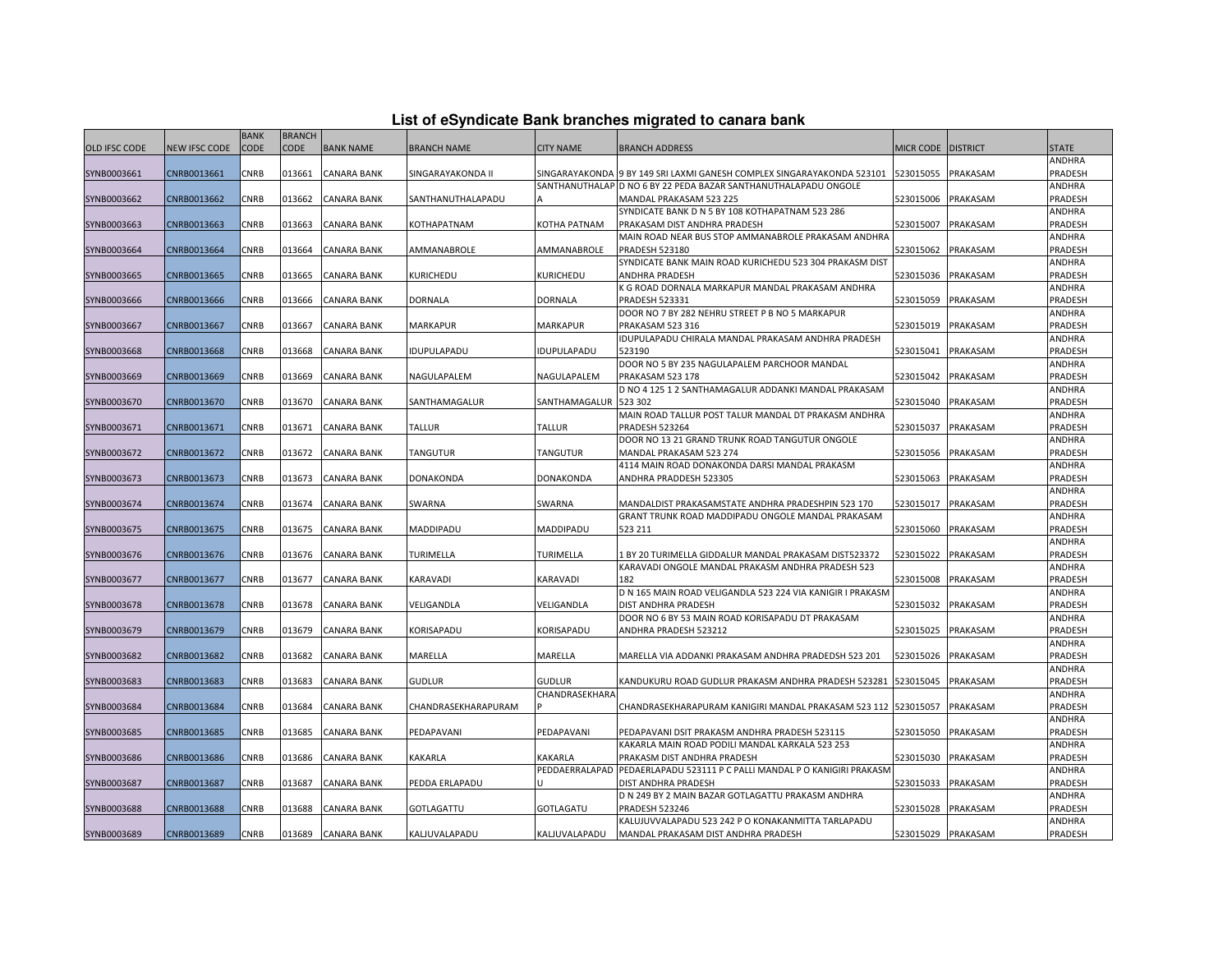|                      |                      | <b>BANK</b> | <b>BRANCH</b> |                    |                     |                  |                                                                        |                    |                 |               |
|----------------------|----------------------|-------------|---------------|--------------------|---------------------|------------------|------------------------------------------------------------------------|--------------------|-----------------|---------------|
| <b>OLD IFSC CODE</b> | <b>NEW IFSC CODE</b> | CODE        | <b>CODE</b>   | <b>BANK NAME</b>   | <b>BRANCH NAME</b>  | <b>CITY NAME</b> | <b>BRANCH ADDRESS</b>                                                  | <b>MICR CODE</b>   | <b>DISTRICT</b> | <b>STATE</b>  |
|                      |                      |             |               |                    |                     |                  |                                                                        |                    |                 | <b>ANDHRA</b> |
| SYNB0003661          | CNRB0013661          | <b>CNRB</b> | 013661        | <b>CANARA BANK</b> | SINGARAYAKONDA II   |                  | SINGARAYAKONDA 9 BY 149 SRI LAXMI GANESH COMPLEX SINGARAYAKONDA 523101 | 523015055          | PRAKASAM        | PRADESH       |
|                      |                      |             |               |                    |                     |                  | SANTHANUTHALAP ID NO 6 BY 22 PEDA BAZAR SANTHANUTHALAPADU ONGOLE       |                    |                 | ANDHRA        |
| SYNB0003662          | CNRB0013662          | CNRB        | 013662        | CANARA BANK        | SANTHANUTHALAPADU   |                  | MANDAL PRAKASAM 523 225                                                | 523015006          | PRAKASAM        | PRADESH       |
|                      |                      |             |               |                    |                     |                  | SYNDICATE BANK D N 5 BY 108 KOTHAPATNAM 523 286                        |                    |                 | ANDHRA        |
| SYNB0003663          | CNRB0013663          | <b>CNRB</b> | 013663        | CANARA BANK        | KOTHAPATNAM         | KOTHA PATNAM     | PRAKASAM DIST ANDHRA PRADESH                                           | 523015007          | PRAKASAM        | PRADESH       |
|                      |                      |             |               |                    |                     |                  | MAIN ROAD NEAR BUS STOP AMMANABROLE PRAKASAM ANDHRA                    |                    |                 | ANDHRA        |
| SYNB0003664          | CNRB0013664          | <b>CNRB</b> | 013664        | CANARA BANK        | AMMANABROLE         | AMMANABROLE      | <b>PRADESH 523180</b>                                                  | 523015062          | PRAKASAM        | PRADESH       |
|                      |                      |             |               |                    |                     |                  | SYNDICATE BANK MAIN ROAD KURICHEDU 523 304 PRAKASM DIST                |                    |                 | ANDHRA        |
| SYNB0003665          | CNRB0013665          | <b>CNRB</b> | 013665        | CANARA BANK        | KURICHEDU           | <b>KURICHEDU</b> | ANDHRA PRADESH                                                         | 523015036          | PRAKASAM        | PRADESH       |
|                      |                      |             |               |                    |                     |                  | K G ROAD DORNALA MARKAPUR MANDAL PRAKASAM ANDHRA                       |                    |                 | ANDHRA        |
| SYNB0003666          | CNRB0013666          | <b>CNRB</b> | 013666        | CANARA BANK        | DORNALA             | <b>DORNALA</b>   | <b>PRADESH 523331</b>                                                  | 523015059          | PRAKASAM        | PRADESH       |
|                      |                      |             |               |                    |                     |                  | DOOR NO 7 BY 282 NEHRU STREET P B NO 5 MARKAPUR                        |                    |                 | ANDHRA        |
| SYNB0003667          | CNRB0013667          | CNRB        | 013667        | <b>CANARA BANK</b> | <b>MARKAPUR</b>     | <b>MARKAPUR</b>  | <b>PRAKASAM 523 316</b>                                                | 523015019          | PRAKASAM        | PRADESH       |
|                      |                      |             |               |                    |                     |                  | IDUPULAPADU CHIRALA MANDAL PRAKASAM ANDHRA PRADESH                     |                    |                 | ANDHRA        |
| SYNB0003668          | CNRB0013668          | <b>CNRB</b> | 013668        | CANARA BANK        | IDUPULAPADU         | IDUPULAPADU      | 523190                                                                 | 523015041          | PRAKASAM        | PRADESH       |
|                      |                      |             |               |                    |                     |                  | DOOR NO 5 BY 235 NAGULAPALEM PARCHOOR MANDAL                           |                    |                 | ANDHRA        |
| SYNB0003669          | CNRB0013669          | <b>CNRB</b> | 013669        | CANARA BANK        | NAGULAPALEM         | NAGULAPALEM      | PRAKASAM 523 178                                                       | 523015042          | PRAKASAM        | PRADESH       |
|                      |                      |             |               |                    |                     |                  | D NO 4 125 1 2 SANTHAMAGALUR ADDANKI MANDAL PRAKASAM                   |                    |                 | ANDHRA        |
| SYNB0003670          | CNRB0013670          | <b>CNRB</b> | 013670        | <b>CANARA BANK</b> | SANTHAMAGALUR       | SANTHAMAGALUR    | 523 302                                                                | 523015040          | PRAKASAM        | PRADESH       |
|                      |                      |             |               |                    |                     |                  | MAIN ROAD TALLUR POST TALUR MANDAL DT PRAKASM ANDHRA                   |                    |                 | ANDHRA        |
| SYNB0003671          | CNRB0013671          | CNRB        | 013671        | <b>CANARA BANK</b> | <b>TALLUR</b>       | <b>TALLUR</b>    | <b>PRADESH 523264</b>                                                  | 523015037          | PRAKASAM        | PRADESH       |
|                      |                      |             |               |                    |                     |                  | DOOR NO 13 21 GRAND TRUNK ROAD TANGUTUR ONGOLE                         |                    |                 | ANDHRA        |
| SYNB0003672          | CNRB0013672          | <b>CNRB</b> | 013672        | <b>CANARA BANK</b> | <b>TANGUTUR</b>     | <b>TANGUTUR</b>  | MANDAL PRAKASAM 523 274                                                | 523015056          | PRAKASAM        | PRADESH       |
|                      |                      |             |               |                    |                     |                  | 4114 MAIN ROAD DONAKONDA DARSI MANDAL PRAKASM                          |                    |                 | ANDHRA        |
| SYNB0003673          | CNRB0013673          | <b>CNRB</b> | 013673        | CANARA BANK        | DONAKONDA           | DONAKONDA        | ANDHRA PRADDESH 523305                                                 | 523015063          | PRAKASAM        | PRADESH       |
|                      |                      |             |               |                    |                     |                  |                                                                        |                    |                 | ANDHRA        |
| SYNB0003674          | CNRB0013674          | CNRB        | 013674        | <b>CANARA BANK</b> | SWARNA              | SWARNA           | MANDALDIST PRAKASAMSTATE ANDHRA PRADESHPIN 523 170                     | 523015017          | PRAKASAM        | PRADESH       |
|                      |                      |             |               |                    |                     |                  | GRANT TRUNK ROAD MADDIPADU ONGOLE MANDAL PRAKASAM                      |                    |                 | ANDHRA        |
| SYNB0003675          | CNRB0013675          | <b>CNRB</b> | 013675        | <b>CANARA BANK</b> | MADDIPADU           | MADDIPADU        | 523 211                                                                | 523015060          | PRAKASAM        | PRADESH       |
|                      |                      |             |               |                    |                     |                  |                                                                        |                    |                 | ANDHRA        |
| SYNB0003676          | CNRB0013676          | <b>CNRB</b> | 013676        | <b>CANARA BANK</b> | TURIMELLA           | <b>TURIMELLA</b> | 1 BY 20 TURIMELLA GIDDALUR MANDAL PRAKASAM DIST523372                  | 523015022          | PRAKASAM        | PRADESH       |
|                      |                      |             |               |                    |                     |                  | KARAVADI ONGOLE MANDAL PRAKASM ANDHRA PRADESH 523                      |                    |                 | ANDHRA        |
| SYNB0003677          | CNRB0013677          | <b>CNRB</b> | 013677        | <b>CANARA BANK</b> | KARAVADI            | KARAVADI         | 182                                                                    | 523015008          | PRAKASAM        | PRADESH       |
|                      |                      |             |               |                    |                     |                  | D N 165 MAIN ROAD VELIGANDLA 523 224 VIA KANIGIR I PRAKASM             |                    |                 | ANDHRA        |
| SYNB0003678          | CNRB0013678          | CNRB        | 013678        | <b>CANARA BANK</b> | VELIGANDLA          | VELIGANDLA       | DIST ANDHRA PRADESH                                                    | 523015032          | PRAKASAM        | PRADESH       |
|                      |                      |             |               |                    |                     |                  | DOOR NO 6 BY 53 MAIN ROAD KORISAPADU DT PRAKASAM                       |                    |                 | ANDHRA        |
| SYNB0003679          | CNRB0013679          | CNRB        | 013679        | CANARA BANK        | KORISAPADU          | KORISAPADU       | ANDHRA PRADESH 523212                                                  | 523015025          | PRAKASAM        | PRADESH       |
|                      |                      |             |               |                    |                     |                  |                                                                        |                    |                 | ANDHRA        |
| SYNB0003682          | CNRB0013682          | <b>CNRB</b> | 013682        | <b>CANARA BANK</b> | MARELLA             | MARELLA          | MARELLA VIA ADDANKI PRAKASAM ANDHRA PRADEDSH 523 201                   | 523015026          | PRAKASAM        | PRADESH       |
|                      |                      |             |               |                    |                     |                  |                                                                        |                    |                 | ANDHRA        |
| SYNB0003683          | CNRB0013683          | <b>CNRB</b> | 013683        | <b>CANARA BANK</b> | <b>GUDLUR</b>       | <b>GUDLUR</b>    | KANDUKURU ROAD GUDLUR PRAKASM ANDHRA PRADESH 523281                    | 523015045          | PRAKASAM        | PRADESH       |
|                      |                      |             |               |                    |                     | CHANDRASEKHARA   |                                                                        |                    |                 | ANDHRA        |
| SYNB0003684          | CNRB0013684          | CNRB        | 013684        | CANARA BANK        | CHANDRASEKHARAPURAM |                  | CHANDRASEKHARAPURAM KANIGIRI MANDAL PRAKASAM 523 112                   | 523015057          | PRAKASAM        | PRADESH       |
|                      |                      |             |               |                    |                     |                  |                                                                        |                    |                 | ANDHRA        |
| SYNB0003685          | CNRB0013685          | <b>CNRB</b> | 013685        | <b>CANARA BANK</b> | PEDAPAVANI          | PEDAPAVANI       | PEDAPAVANI DSIT PRAKASM ANDHRA PRADESH 523115                          | 523015050          | PRAKASAM        | PRADESH       |
|                      |                      |             |               |                    |                     |                  | KAKARLA MAIN ROAD PODILI MANDAL KARKALA 523 253                        |                    |                 | ANDHRA        |
| SYNB0003686          | CNRB0013686          | <b>CNRB</b> | 013686        | <b>CANARA BANK</b> | KAKARLA             | KAKARLA          | PRAKASM DIST ANDHRA PRADESH                                            | 523015030          | PRAKASAM        | PRADESH       |
|                      |                      |             |               |                    |                     | PEDDAERRALAPAD   | PEDAERLAPADU 523111 P C PALLI MANDAL P O KANIGIRI PRAKASN              |                    |                 | ANDHRA        |
| SYNB0003687          | CNRB0013687          | CNRB        | 013687        | <b>CANARA BANK</b> | PEDDA ERLAPADU      |                  | DIST ANDHRA PRADESH                                                    | 523015033          | PRAKASAM        | PRADESH       |
|                      |                      |             |               |                    |                     |                  | D N 249 BY 2 MAIN BAZAR GOTLAGATTU PRAKASM ANDHRA                      |                    |                 | ANDHRA        |
| SYNB0003688          | CNRB0013688          | <b>CNRB</b> | 013688        | <b>CANARA BANK</b> | GOTLAGATTU          | <b>GOTLAGATU</b> | <b>PRADESH 523246</b>                                                  | 523015028          | PRAKASAM        | PRADESH       |
|                      |                      |             |               |                    |                     |                  | KALUJUVVALAPADU 523 242 P O KONAKANMITTA TARLAPADU                     |                    |                 | ANDHRA        |
| SYNB0003689          | CNRB0013689          | <b>CNRB</b> | 013689        | <b>CANARA BANK</b> | KALJUVALAPADU       | KALJUVALAPADU    | MANDAL PRAKASAM DIST ANDHRA PRADESH                                    | 523015029 PRAKASAM |                 | PRADESH       |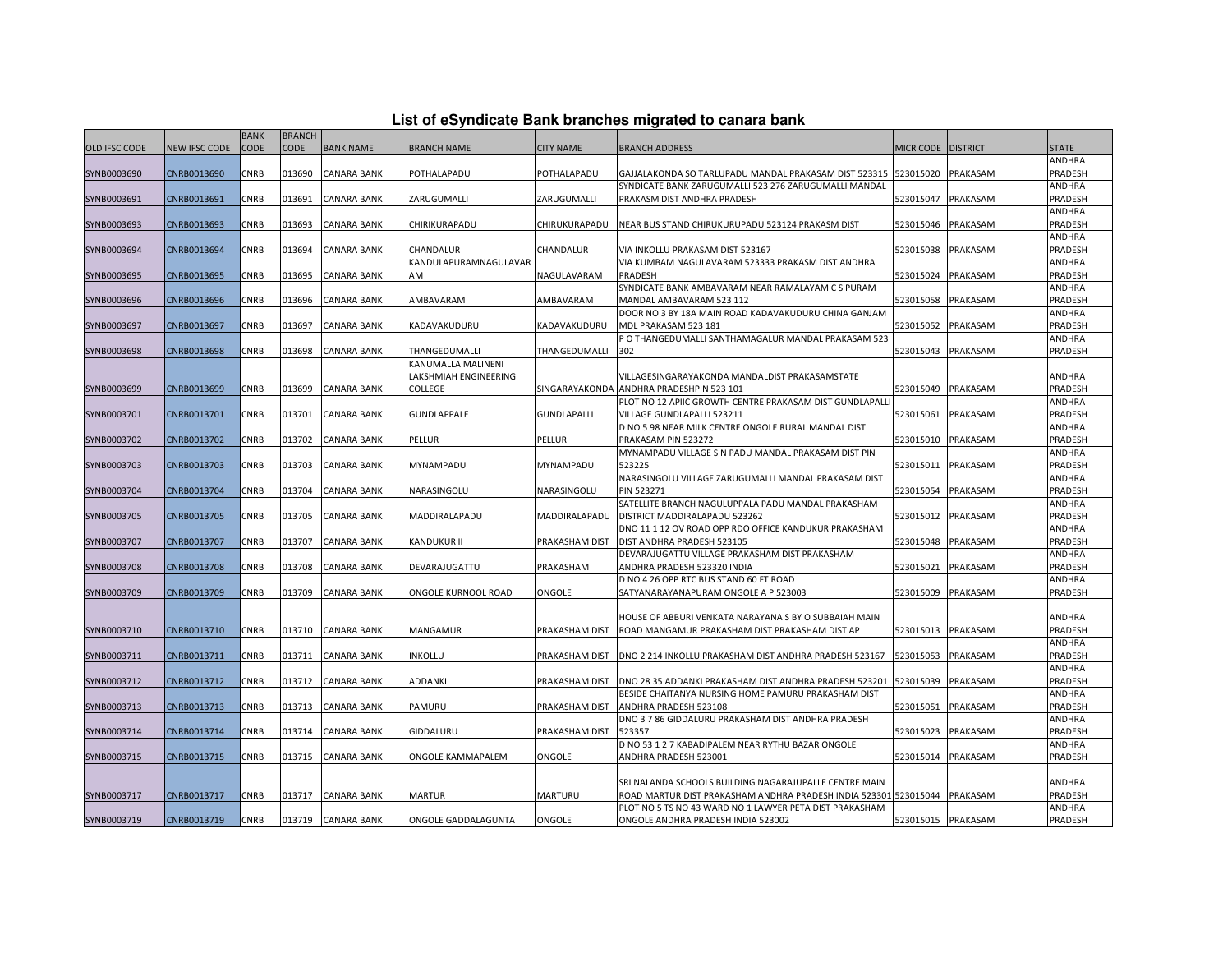| List of eSyndicate Bank branches migrated to canara bank |  |  |
|----------------------------------------------------------|--|--|
|                                                          |  |  |

|                      |               | <b>BANK</b> | <b>BRANCH</b> |                    |                       |                       |                                                                  |                    |                 |              |
|----------------------|---------------|-------------|---------------|--------------------|-----------------------|-----------------------|------------------------------------------------------------------|--------------------|-----------------|--------------|
| <b>OLD IFSC CODE</b> | NEW IFSC CODE | <b>CODE</b> | <b>CODE</b>   | <b>BANK NAME</b>   | <b>BRANCH NAME</b>    | <b>CITY NAME</b>      | BRANCH ADDRESS                                                   | MICR CODE          | <b>DISTRICT</b> | <b>STATE</b> |
|                      |               |             |               |                    |                       |                       |                                                                  |                    |                 | ANDHRA       |
| SYNB0003690          | CNRB0013690   | CNRB        | 013690        | <b>CANARA BANK</b> | POTHALAPADU           | POTHALAPADU           | GAJJALAKONDA SO TARLUPADU MANDAL PRAKASAM DIST 523315            | 523015020          | PRAKASAM        | PRADESH      |
|                      |               |             |               |                    |                       |                       | SYNDICATE BANK ZARUGUMALLI 523 276 ZARUGUMALLI MANDAL            |                    |                 | ANDHRA       |
| SYNB0003691          | CNRB0013691   | <b>CNRB</b> | 013691        | <b>CANARA BANK</b> | ZARUGUMALLI           | ZARUGUMALLI           | PRAKASM DIST ANDHRA PRADESH                                      | 523015047          | PRAKASAM        | PRADESH      |
|                      |               |             |               |                    |                       |                       |                                                                  |                    |                 | ANDHRA       |
| SYNB0003693          | CNRB0013693   | <b>CNRB</b> | 013693        | CANARA BANK        | CHIRIKURAPADU         | CHIRUKURAPADU         | NEAR BUS STAND CHIRUKURUPADU 523124 PRAKASM DIST                 | 523015046          | PRAKASAM        | PRADESH      |
|                      |               |             |               |                    |                       |                       |                                                                  |                    |                 | ANDHRA       |
| SYNB0003694          | CNRB0013694   | <b>CNRB</b> | 013694        | <b>CANARA BANK</b> | CHANDALUR             | CHANDALUR             | VIA INKOLLU PRAKASAM DIST 523167                                 | 523015038          | PRAKASAM        | PRADESH      |
|                      |               |             |               |                    | KANDULAPURAMNAGULAVAR |                       | VIA KUMBAM NAGULAVARAM 523333 PRAKASM DIST ANDHRA                |                    |                 | ANDHRA       |
| SYNB0003695          | CNRB0013695   | CNRB        | 013695        | <b>CANARA BANK</b> | AM                    | NAGULAVARAM           | PRADESH                                                          | 523015024          | PRAKASAM        | PRADESH      |
|                      |               |             |               |                    |                       |                       | SYNDICATE BANK AMBAVARAM NEAR RAMALAYAM C S PURAM                |                    |                 | ANDHRA       |
| SYNB0003696          | CNRB0013696   | <b>CNRB</b> | 013696        | CANARA BANK        | AMBAVARAM             | AMBAVARAM             | MANDAL AMBAVARAM 523 112                                         | 523015058          | PRAKASAM        | PRADESH      |
|                      |               |             |               |                    |                       |                       | DOOR NO 3 BY 18A MAIN ROAD KADAVAKUDURU CHINA GANJAM             |                    |                 | ANDHRA       |
| SYNB0003697          | CNRB0013697   | <b>CNRB</b> | 013697        | <b>CANARA BANK</b> | KADAVAKUDURU          | KADAVAKUDURU          | MDL PRAKASAM 523 181                                             | 523015052          | PRAKASAM        | PRADESH      |
|                      |               |             |               |                    |                       |                       | P O THANGEDUMALLI SANTHAMAGALUR MANDAL PRAKASAM 523              |                    |                 | ANDHRA       |
| SYNB0003698          | CNRB0013698   | CNRB        | 013698        | <b>CANARA BANK</b> | THANGEDUMALLI         | THANGEDUMALLI         | 302                                                              | 523015043          | PRAKASAM        | PRADESH      |
|                      |               |             |               |                    | KANUMALLA MALINENI    |                       |                                                                  |                    |                 |              |
|                      |               |             |               |                    | LAKSHMIAH ENGINEERING |                       | VILLAGESINGARAYAKONDA MANDALDIST PRAKASAMSTATE                   |                    |                 | ANDHRA       |
| SYNB0003699          | CNRB0013699   | <b>CNRB</b> | 013699        | CANARA BANK        | <b>COLLEGE</b>        |                       | SINGARAYAKONDA ANDHRA PRADESHPIN 523 101                         | 523015049          | PRAKASAM        | PRADESH      |
|                      |               |             |               |                    |                       |                       | PLOT NO 12 APIIC GROWTH CENTRE PRAKASAM DIST GUNDLAPALL          |                    |                 | ANDHRA       |
| SYNB0003701          | CNRB0013701   | CNRB        | 013701        | <b>CANARA BANK</b> | GUNDLAPPALE           | <b>GUNDLAPALLI</b>    | VILLAGE GUNDLAPALLI 523211                                       | 523015061          | PRAKASAM        | PRADESH      |
|                      |               |             |               |                    |                       |                       | D NO 5 98 NEAR MILK CENTRE ONGOLE RURAL MANDAL DIST              |                    |                 | ANDHRA       |
| SYNB0003702          | CNRB0013702   | CNRB        | 013702        | <b>CANARA BANK</b> | PELLUR                | PELLUR                | PRAKASAM PIN 523272                                              | 523015010          | PRAKASAM        | PRADESH      |
|                      |               |             |               |                    |                       |                       | MYNAMPADU VILLAGE S N PADU MANDAL PRAKASAM DIST PIN              |                    |                 | ANDHRA       |
|                      | CNRB0013703   | <b>CNRB</b> | 013703        | <b>CANARA BANK</b> | MYNAMPADU             | MYNAMPADU             | 523225                                                           | 523015011          | PRAKASAM        | PRADESH      |
| SYNB0003703          |               |             |               |                    |                       |                       | NARASINGOLU VILLAGE ZARUGUMALLI MANDAL PRAKASAM DIST             |                    |                 | ANDHRA       |
| SYNB0003704          | CNRB0013704   | CNRB        | 013704        | <b>CANARA BANK</b> | NARASINGOLU           | NARASINGOLU           | <b>PIN 523271</b>                                                | 523015054          | PRAKASAM        | PRADESH      |
|                      |               |             |               |                    |                       |                       | SATELLITE BRANCH NAGULUPPALA PADU MANDAL PRAKASHAM               |                    |                 | ANDHRA       |
| SYNB0003705          | CNRB0013705   | <b>CNRB</b> | 013705        | <b>CANARA BANK</b> | MADDIRALAPADU         | MADDIRALAPADU         | DISTRICT MADDIRALAPADU 523262                                    | 523015012          | PRAKASAM        | PRADESH      |
|                      |               |             |               |                    |                       |                       | DNO 11 1 12 OV ROAD OPP RDO OFFICE KANDUKUR PRAKASHAM            |                    |                 | ANDHRA       |
| SYNB0003707          | CNRB0013707   | CNRB        | 013707        | <b>CANARA BANK</b> | <b>KANDUKUR II</b>    | PRAKASHAM DIST        | DIST ANDHRA PRADESH 523105                                       | 523015048          | PRAKASAM        | PRADESH      |
|                      |               |             |               |                    |                       |                       | DEVARAJUGATTU VILLAGE PRAKASHAM DIST PRAKASHAM                   |                    |                 | ANDHRA       |
| SYNB0003708          | CNRB0013708   | CNRB        | 013708        | <b>CANARA BANK</b> | DEVARAJUGATTU         | PRAKASHAM             | ANDHRA PRADESH 523320 INDIA                                      | 523015021          | PRAKASAM        | PRADESH      |
|                      |               |             |               |                    |                       |                       | D NO 4 26 OPP RTC BUS STAND 60 FT ROAD                           |                    |                 | ANDHRA       |
| SYNB0003709          | CNRB0013709   | CNRB        | 013709        | <b>CANARA BANK</b> | ONGOLE KURNOOL ROAD   | ONGOLE                | SATYANARAYANAPURAM ONGOLE A P 523003                             | 523015009          | PRAKASAM        | PRADESH      |
|                      |               |             |               |                    |                       |                       |                                                                  |                    |                 |              |
|                      |               |             |               |                    |                       |                       | HOUSE OF ABBURI VENKATA NARAYANA S BY O SUBBAIAH MAIN            |                    |                 | ANDHRA       |
| SYNB0003710          | CNRB0013710   | CNRB        | 013710        | <b>CANARA BANK</b> | MANGAMUR              | <b>PRAKASHAM DIST</b> | ROAD MANGAMUR PRAKASHAM DIST PRAKASHAM DIST AP                   | 523015013          | PRAKASAM        | PRADESH      |
|                      |               |             |               |                    |                       |                       |                                                                  |                    |                 | ANDHRA       |
| SYNB0003711          | CNRB0013711   | CNRB        | 013711        | CANARA BANK        | <b>INKOLLU</b>        | PRAKASHAM DIST        | DNO 2 214 INKOLLU PRAKASHAM DIST ANDHRA PRADESH 523167           | 523015053          | PRAKASAM        | PRADESH      |
|                      |               |             |               |                    |                       |                       |                                                                  |                    |                 | ANDHRA       |
| SYNB0003712          | CNRB0013712   | <b>CNRB</b> | 013712        | <b>CANARA BANK</b> | ADDANKI               | PRAKASHAM DIST        | DNO 28 35 ADDANKI PRAKASHAM DIST ANDHRA PRADESH 523201           | 523015039          | PRAKASAM        | PRADESH      |
|                      |               |             |               |                    |                       |                       | BESIDE CHAITANYA NURSING HOME PAMURU PRAKASHAM DIST              |                    |                 | ANDHRA       |
|                      | CNRB0013713   | <b>CNRB</b> | 013713        |                    | PAMURU                | PRAKASHAM DIST        | ANDHRA PRADESH 523108                                            | 523015051          | PRAKASAM        | PRADESH      |
| SYNB0003713          |               |             |               | <b>CANARA BANK</b> |                       |                       | DNO 3 7 86 GIDDALURU PRAKASHAM DIST ANDHRA PRADESH               |                    |                 | ANDHRA       |
| SYNB0003714          | CNRB0013714   | CNRB        | 013714        | CANARA BANK        | GIDDALURU             | PRAKASHAM DIST        | 523357                                                           | 523015023          | PRAKASAM        | PRADESH      |
|                      |               |             |               |                    |                       |                       | D NO 53 1 2 7 KABADIPALEM NEAR RYTHU BAZAR ONGOLE                |                    |                 | ANDHRA       |
|                      | CNRB0013715   | CNRB        | 013715        | <b>CANARA BANK</b> | ONGOLE KAMMAPALEM     | ONGOLE                | ANDHRA PRADESH 523001                                            | 523015014          | PRAKASAM        | PRADESH      |
| SYNB0003715          |               |             |               |                    |                       |                       |                                                                  |                    |                 |              |
|                      |               |             |               |                    |                       |                       | SRI NALANDA SCHOOLS BUILDING NAGARAJUPALLE CENTRE MAIN           |                    |                 | ANDHRA       |
| SYNB0003717          | CNRB0013717   | CNRB        | 013717        | <b>CANARA BANK</b> | <b>MARTUR</b>         | <b>MARTURU</b>        | ROAD MARTUR DIST PRAKASHAM ANDHRA PRADESH INDIA 523301 523015044 |                    | PRAKASAM        | PRADESH      |
|                      |               |             |               |                    |                       |                       | PLOT NO 5 TS NO 43 WARD NO 1 LAWYER PETA DIST PRAKASHAM          |                    |                 | ANDHRA       |
| SYNB0003719          | CNRB0013719   | CNRB        | 013719        | <b>CANARA BANK</b> | ONGOLE GADDALAGUNTA   | ONGOLE                | ONGOLE ANDHRA PRADESH INDIA 523002                               | 523015015 PRAKASAM |                 | PRADESH      |
|                      |               |             |               |                    |                       |                       |                                                                  |                    |                 |              |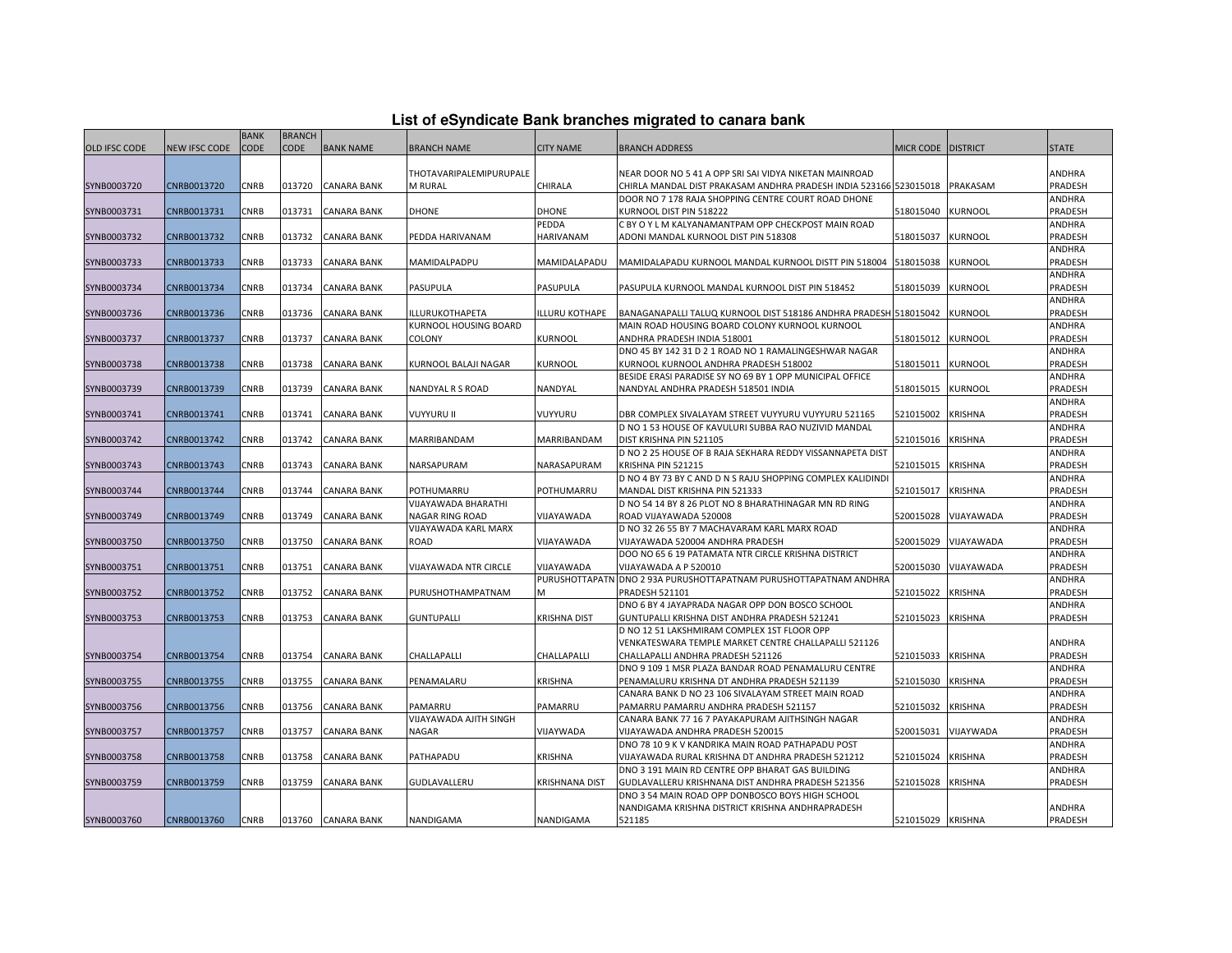|                      |               | <b>BANK</b> | <b>BRANCH</b> |                    |                              |                       |                                                                   |                   |                 |              |
|----------------------|---------------|-------------|---------------|--------------------|------------------------------|-----------------------|-------------------------------------------------------------------|-------------------|-----------------|--------------|
| <b>OLD IFSC CODE</b> | NEW IFSC CODE | <b>CODE</b> | CODE          | <b>BANK NAME</b>   | <b>BRANCH NAME</b>           | <b>CITY NAME</b>      | BRANCH ADDRESS                                                    | MICR CODE         | <b>DISTRICT</b> | <b>STATE</b> |
|                      |               |             |               |                    |                              |                       |                                                                   |                   |                 |              |
|                      |               |             |               |                    | THOTAVARIPALEMIPURUPALE      |                       | NEAR DOOR NO 5 41 A OPP SRI SAI VIDYA NIKETAN MAINROAD            |                   |                 | ANDHRA       |
| SYNB0003720          | CNRB0013720   | CNRB        | 013720        | <b>CANARA BANK</b> | M RURAL                      | CHIRALA               | CHIRLA MANDAL DIST PRAKASAM ANDHRA PRADESH INDIA 523166 523015018 |                   | PRAKASAM        | PRADESH      |
|                      |               |             |               |                    |                              |                       |                                                                   |                   |                 |              |
|                      |               |             |               |                    |                              |                       | DOOR NO 7 178 RAJA SHOPPING CENTRE COURT ROAD DHONE               |                   |                 | ANDHRA       |
| SYNB0003731          | CNRB0013731   | CNRB        | 013731        | <b>CANARA BANK</b> | <b>DHONE</b>                 | <b>DHONE</b>          | KURNOOL DIST PIN 518222                                           | 518015040         | KURNOOL         | PRADESH      |
|                      |               |             |               |                    |                              | PEDDA                 | C BY O Y L M KALYANAMANTPAM OPP CHECKPOST MAIN ROAD               |                   |                 | ANDHRA       |
| SYNB0003732          | CNRB0013732   | CNRB        | 013732        | <b>CANARA BANK</b> | PEDDA HARIVANAM              | <b>HARIVANAM</b>      | ADONI MANDAL KURNOOL DIST PIN 518308                              | 518015037         | <b>KURNOOL</b>  | PRADESH      |
|                      |               |             |               |                    |                              |                       |                                                                   |                   |                 | ANDHRA       |
| SYNB0003733          | CNRB0013733   | CNRB        | 013733        | <b>CANARA BANK</b> | MAMIDALPADPU                 | MAMIDALAPADU          | MAMIDALAPADU KURNOOL MANDAL KURNOOL DISTT PIN 518004              | 518015038         | KURNOOL         | PRADESH      |
|                      |               |             |               |                    |                              |                       |                                                                   |                   |                 | ANDHRA       |
| SYNB0003734          | CNRB0013734   | CNRB        | 013734        | <b>CANARA BANK</b> | PASUPULA                     | <b>PASUPULA</b>       | PASUPULA KURNOOL MANDAL KURNOOL DIST PIN 518452                   | 518015039         | <b>KURNOOL</b>  | PRADESH      |
|                      |               |             |               |                    |                              |                       |                                                                   |                   |                 | ANDHRA       |
| SYNB0003736          | CNRB0013736   | <b>CNRB</b> | 013736        | <b>CANARA BANK</b> | ILLURUKOTHAPETA              | <b>ILLURU KOTHAPE</b> | BANAGANAPALLI TALUQ KURNOOL DIST 518186 ANDHRA PRADESH 518015042  |                   | <b>KURNOOL</b>  | PRADESH      |
|                      |               |             |               |                    | KURNOOL HOUSING BOARD        |                       | MAIN ROAD HOUSING BOARD COLONY KURNOOL KURNOOL                    |                   |                 | ANDHRA       |
| SYNB0003737          | CNRB0013737   | CNRB        | 013737        | <b>CANARA BANK</b> | <b>COLONY</b>                | <b>KURNOOL</b>        | ANDHRA PRADESH INDIA 518001                                       | 518015012         | <b>KURNOOL</b>  | PRADESH      |
|                      |               |             |               |                    |                              |                       | DNO 45 BY 142 31 D 2 1 ROAD NO 1 RAMALINGESHWAR NAGAR             |                   |                 | ANDHRA       |
| SYNB0003738          | CNRB0013738   | CNRB        | 013738        | <b>CANARA BANK</b> | KURNOOL BALAJI NAGAR         | KURNOOL               | KURNOOL KURNOOL ANDHRA PRADESH 518002                             | 518015011         | KURNOOL         | PRADESH      |
|                      |               |             |               |                    |                              |                       | BESIDE ERASI PARADISE SY NO 69 BY 1 OPP MUNICIPAL OFFICE          |                   |                 | ANDHRA       |
|                      |               |             |               |                    |                              |                       |                                                                   |                   |                 |              |
| SYNB0003739          | CNRB0013739   | CNRB        | 013739        | <b>CANARA BANK</b> | NANDYAL R S ROAD             | NANDYAL               | NANDYAL ANDHRA PRADESH 518501 INDIA                               | 518015015         | KURNOOL         | PRADESH      |
|                      |               |             |               |                    |                              |                       |                                                                   |                   |                 | ANDHRA       |
| SYNB0003741          | CNRB0013741   | CNRB        | 013741        | <b>CANARA BANK</b> | VUYYURU II                   | <b>VUYYURU</b>        | DBR COMPLEX SIVALAYAM STREET VUYYURU VUYYURU 521165               | 521015002         | <b>KRISHNA</b>  | PRADESH      |
|                      |               |             |               |                    |                              |                       | D NO 1 53 HOUSE OF KAVULURI SUBBA RAO NUZIVID MANDAL              |                   |                 | ANDHRA       |
| SYNB0003742          | CNRB0013742   | CNRB        | 013742        | <b>CANARA BANK</b> | MARRIBANDAM                  | MARRIBANDAM           | DIST KRISHNA PIN 521105                                           | 521015016         | KRISHNA         | PRADESH      |
|                      |               |             |               |                    |                              |                       | D NO 2 25 HOUSE OF B RAJA SEKHARA REDDY VISSANNAPETA DIST         |                   |                 | ANDHRA       |
| SYNB0003743          | CNRB0013743   | CNRB        | 013743        | <b>CANARA BANK</b> | NARSAPURAM                   | NARASAPURAM           | KRISHNA PIN 521215                                                | 521015015         | <b>KRISHNA</b>  | PRADESH      |
|                      |               |             |               |                    |                              |                       | D NO 4 BY 73 BY C AND D N S RAJU SHOPPING COMPLEX KALIDINDI       |                   |                 | ANDHRA       |
| SYNB0003744          | CNRB0013744   | CNRB        | 013744        | <b>CANARA BANK</b> | POTHUMARRU                   | POTHUMARRU            | MANDAL DIST KRISHNA PIN 521333                                    | 521015017         | <b>KRISHNA</b>  | PRADESH      |
|                      |               |             |               |                    | VIJAYAWADA BHARATHI          |                       | D NO 54 14 BY 8 26 PLOT NO 8 BHARATHINAGAR MN RD RING             |                   |                 | ANDHRA       |
| SYNB0003749          | CNRB0013749   | CNRB        | 013749        | <b>CANARA BANK</b> | NAGAR RING ROAD              | VIJAYAWADA            | ROAD VIJAYAWADA 520008                                            | 520015028         | VIJAYAWADA      | PRADESH      |
|                      |               |             |               |                    | VIJAYAWADA KARL MARX         |                       | D NO 32 26 55 BY 7 MACHAVARAM KARL MARX ROAD                      |                   |                 | ANDHRA       |
| SYNB0003750          | CNRB0013750   | CNRB        | 013750        | <b>CANARA BANK</b> | ROAD                         | VIJAYAWADA            | VIJAYAWADA 520004 ANDHRA PRADESH                                  | 520015029         | VIJAYAWADA      | PRADESH      |
|                      |               |             |               |                    |                              |                       | DOO NO 65 6 19 PATAMATA NTR CIRCLE KRISHNA DISTRICT               |                   |                 | ANDHRA       |
| SYNB0003751          | CNRB0013751   | CNRB        | 013751        | <b>CANARA BANK</b> | <b>VIJAYAWADA NTR CIRCLE</b> | VIJAYAWADA            | VIJAYAWADA A P 520010                                             | 520015030         | VIJAYAWADA      | PRADESH      |
|                      |               |             |               |                    |                              |                       | PURUSHOTTAPATN DNO 2 93A PURUSHOTTAPATNAM PURUSHOTTAPATNAM ANDHRA |                   |                 | ANDHRA       |
|                      |               |             |               |                    |                              |                       | <b>PRADESH 521101</b>                                             |                   |                 |              |
| SYNB0003752          | CNRB0013752   | CNRB        | 013752        | <b>CANARA BANK</b> | PURUSHOTHAMPATNAM            | M                     |                                                                   | 521015022         | <b>KRISHNA</b>  | PRADESH      |
|                      |               |             |               |                    |                              |                       | DNO 6 BY 4 JAYAPRADA NAGAR OPP DON BOSCO SCHOOL                   |                   |                 | ANDHRA       |
| SYNB0003753          | CNRB0013753   | CNRB        | 013753        | CANARA BANK        | <b>GUNTUPALLI</b>            | <b>KRISHNA DIST</b>   | GUNTUPALLI KRISHNA DIST ANDHRA PRADESH 521241                     | 521015023         | KRISHNA         | PRADESH      |
|                      |               |             |               |                    |                              |                       | D NO 12 51 LAKSHMIRAM COMPLEX 1ST FLOOR OPP                       |                   |                 |              |
|                      |               |             |               |                    |                              |                       | VENKATESWARA TEMPLE MARKET CENTRE CHALLAPALLI 521126              |                   |                 | ANDHRA       |
| SYNB0003754          | CNRB0013754   | CNRB        | 013754        | <b>CANARA BANK</b> | CHALLAPALLI                  | CHALLAPALLI           | CHALLAPALLI ANDHRA PRADESH 521126                                 | 521015033         | <b>KRISHNA</b>  | PRADESH      |
|                      |               |             |               |                    |                              |                       | DNO 9 109 1 MSR PLAZA BANDAR ROAD PENAMALURU CENTRE               |                   |                 | ANDHRA       |
| SYNB0003755          | CNRB0013755   | CNRB        | 013755        | <b>CANARA BANK</b> | PENAMALARU                   | KRISHNA               | PENAMALURU KRISHNA DT ANDHRA PRADESH 521139                       | 521015030         | <b>KRISHNA</b>  | PRADESH      |
|                      |               |             |               |                    |                              |                       | CANARA BANK D NO 23 106 SIVALAYAM STREET MAIN ROAD                |                   |                 | ANDHRA       |
| SYNB0003756          | CNRB0013756   | <b>CNRB</b> | 013756        | <b>CANARA BANK</b> | PAMARRU                      | PAMARRU               | PAMARRU PAMARRU ANDHRA PRADESH 521157                             | 521015032         | <b>KRISHNA</b>  | PRADESH      |
|                      |               |             |               |                    | VIJAYAWADA AJITH SINGH       |                       | CANARA BANK 77 16 7 PAYAKAPURAM AJITHSINGH NAGAR                  |                   |                 | ANDHRA       |
| SYNB0003757          | CNRB0013757   | CNRB        | 013757        | CANARA BANK        | NAGAR                        | VIJAYWADA             | VIJAYAWADA ANDHRA PRADESH 520015                                  | 520015031         | VIJAYWADA       | PRADESH      |
|                      |               |             |               |                    |                              |                       | DNO 78 10 9 K V KANDRIKA MAIN ROAD PATHAPADU POST                 |                   |                 | ANDHRA       |
| SYNB0003758          | CNRB0013758   | CNRB        | 013758        | <b>CANARA BANK</b> | PATHAPADU                    | <b>KRISHNA</b>        | VIJAYAWADA RURAL KRISHNA DT ANDHRA PRADESH 521212                 | 521015024         | KRISHNA         | PRADESH      |
|                      |               |             |               |                    |                              |                       | DNO 3 191 MAIN RD CENTRE OPP BHARAT GAS BUILDING                  |                   |                 | ANDHRA       |
|                      |               | CNRB        |               | <b>CANARA BANK</b> |                              | <b>KRISHNANA DIST</b> | GUDLAVALLERU KRISHNANA DIST ANDHRA PRADESH 521356                 | 521015028         | KRISHNA         | PRADESH      |
| SYNB0003759          | CNRB0013759   |             | 013759        |                    | GUDLAVALLERU                 |                       |                                                                   |                   |                 |              |
|                      |               |             |               |                    |                              |                       | DNO 3 54 MAIN ROAD OPP DONBOSCO BOYS HIGH SCHOOL                  |                   |                 |              |
|                      |               |             |               |                    |                              |                       | NANDIGAMA KRISHNA DISTRICT KRISHNA ANDHRAPRADESH                  |                   |                 | ANDHRA       |
| SYNB0003760          | CNRB0013760   | <b>CNRB</b> |               | 013760 CANARA BANK | NANDIGAMA                    | NANDIGAMA             | 521185                                                            | 521015029 KRISHNA |                 | PRADESH      |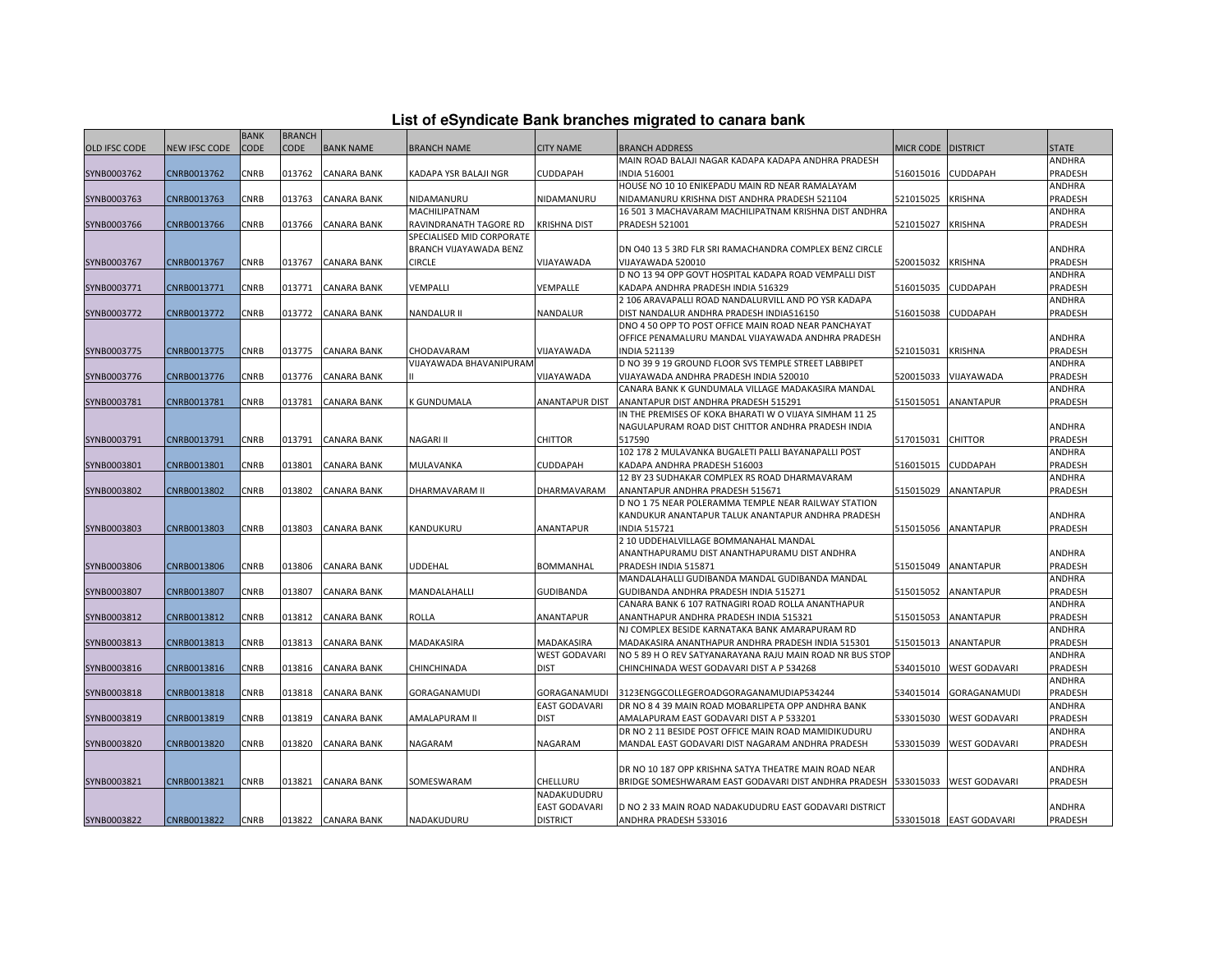|  | List of eSyndicate Bank branches migrated to canara bank |  |  |  |  |
|--|----------------------------------------------------------|--|--|--|--|
|  |                                                          |  |  |  |  |

|                      |               | <b>BANK</b> | <b>BRANCH</b> |                    |                           |                         |                                                                                                                         |                  |                         |                   |
|----------------------|---------------|-------------|---------------|--------------------|---------------------------|-------------------------|-------------------------------------------------------------------------------------------------------------------------|------------------|-------------------------|-------------------|
| <b>OLD IFSC CODE</b> | NEW IFSC CODE | CODE        | CODE          | <b>BANK NAME</b>   | <b>BRANCH NAME</b>        | <b>CITY NAME</b>        | <b>BRANCH ADDRESS</b>                                                                                                   | <b>MICR CODE</b> | <b>DISTRICT</b>         | <b>STATE</b>      |
|                      |               |             |               |                    |                           |                         | MAIN ROAD BALAJI NAGAR KADAPA KADAPA ANDHRA PRADESH                                                                     |                  |                         | ANDHRA            |
| SYNB0003762          | CNRB0013762   | CNRB        | 013762        | <b>CANARA BANK</b> | KADAPA YSR BALAJI NGR     | <b>CUDDAPAH</b>         | <b>INDIA 516001</b>                                                                                                     | 516015016        | CUDDAPAH                | PRADESH           |
|                      |               |             |               |                    |                           |                         | HOUSE NO 10 10 ENIKEPADU MAIN RD NEAR RAMALAYAM                                                                         |                  |                         | ANDHRA            |
| SYNB0003763          | CNRB0013763   | <b>CNRB</b> | 013763        | <b>CANARA BANK</b> | NIDAMANURU                | NIDAMANURU              | NIDAMANURU KRISHNA DIST ANDHRA PRADESH 521104                                                                           | 521015025        | <b>KRISHNA</b>          | PRADESH           |
|                      |               |             |               |                    | MACHILIPATNAM             |                         | 16 501 3 MACHAVARAM MACHILIPATNAM KRISHNA DIST ANDHRA                                                                   |                  |                         | ANDHRA            |
| SYNB0003766          | CNRB0013766   | CNRB        | 013766        | CANARA BANK        | RAVINDRANATH TAGORE RD    | <b>KRISHNA DIST</b>     | <b>PRADESH 521001</b>                                                                                                   | 521015027        | <b>KRISHNA</b>          | PRADESH           |
|                      |               |             |               |                    | SPECIALISED MID CORPORATE |                         |                                                                                                                         |                  |                         |                   |
|                      |               |             |               |                    | BRANCH VIJAYAWADA BENZ    |                         | DN 040 13 5 3RD FLR SRI RAMACHANDRA COMPLEX BENZ CIRCLE                                                                 |                  |                         | ANDHRA            |
| SYNB0003767          | CNRB0013767   | CNRB        | 013767        | <b>CANARA BANK</b> | <b>CIRCLE</b>             | VIJAYAWADA              | VIJAYAWADA 520010                                                                                                       | 520015032        | <b>KRISHNA</b>          | PRADESH           |
|                      |               |             |               |                    |                           |                         | D NO 13 94 OPP GOVT HOSPITAL KADAPA ROAD VEMPALLI DIST                                                                  |                  |                         | ANDHRA            |
| SYNB0003771          | CNRB0013771   | CNRB        | 013771        | <b>CANARA BANK</b> | VEMPALLI                  | VEMPALLE                | KADAPA ANDHRA PRADESH INDIA 516329                                                                                      | 516015035        | CUDDAPAH                | PRADESH           |
| SYNB0003772          | CNRB0013772   | CNRB        | 013772        | <b>CANARA BANK</b> | NANDALUR II               | <b>NANDALUR</b>         | 2 106 ARAVAPALLI ROAD NANDALURVILL AND PO YSR KADAPA<br>DIST NANDALUR ANDHRA PRADESH INDIA516150                        | 516015038        | CUDDAPAH                | ANDHRA<br>PRADESH |
|                      |               |             |               |                    |                           |                         | DNO 4 50 OPP TO POST OFFICE MAIN ROAD NEAR PANCHAYAT                                                                    |                  |                         |                   |
|                      |               |             |               |                    |                           |                         | OFFICE PENAMALURU MANDAL VIJAYAWADA ANDHRA PRADESH                                                                      |                  |                         | ANDHRA            |
| SYNB0003775          | CNRB0013775   | <b>CNRB</b> | 013775        | <b>CANARA BANK</b> | CHODAVARAM                | VIJAYAWADA              | <b>INDIA 521139</b>                                                                                                     | 521015031        | <b>KRISHNA</b>          | PRADESH           |
|                      |               |             |               |                    | VIJAYAWADA BHAVANIPURAM   |                         | D NO 39 9 19 GROUND FLOOR SVS TEMPLE STREET LABBIPET                                                                    |                  |                         | ANDHRA            |
| SYNB0003776          | CNRB0013776   | CNRB        | 013776        | <b>CANARA BANK</b> |                           | VIJAYAWADA              | VIJAYAWADA ANDHRA PRADESH INDIA 520010                                                                                  | 520015033        | VIJAYAWADA              | PRADESH           |
|                      |               |             |               |                    |                           |                         | CANARA BANK K GUNDUMALA VILLAGE MADAKASIRA MANDAL                                                                       |                  |                         | ANDHRA            |
| SYNB0003781          | CNRB0013781   | <b>CNRB</b> | 013781        | <b>CANARA BANK</b> | K GUNDUMALA               | <b>ANANTAPUR DIST</b>   | ANANTAPUR DIST ANDHRA PRADESH 515291                                                                                    | 515015051        | ANANTAPUR               | PRADESH           |
|                      |               |             |               |                    |                           |                         | IN THE PREMISES OF KOKA BHARATI W O VIJAYA SIMHAM 11 25                                                                 |                  |                         |                   |
|                      |               |             |               |                    |                           |                         | NAGULAPURAM ROAD DIST CHITTOR ANDHRA PRADESH INDIA                                                                      |                  |                         | ANDHRA            |
| SYNB0003791          | CNRB0013791   | CNRB        | 013791        | <b>CANARA BANK</b> | NAGARI II                 | <b>CHITTOR</b>          | 517590                                                                                                                  | 517015031        | CHITTOR                 | PRADESH           |
|                      |               |             |               |                    |                           |                         | 102 178 2 MULAVANKA BUGALETI PALLI BAYANAPALLI POST                                                                     |                  |                         | ANDHRA            |
| SYNB0003801          | CNRB0013801   | CNRB        | 013801        | <b>CANARA BANK</b> | MULAVANKA                 | CUDDAPAH                | KADAPA ANDHRA PRADESH 516003                                                                                            | 516015015        | CUDDAPAH                | PRADESH           |
|                      |               |             |               |                    |                           |                         | 12 BY 23 SUDHAKAR COMPLEX RS ROAD DHARMAVARAM                                                                           |                  |                         | ANDHRA            |
| SYNB0003802          | CNRB0013802   | <b>CNRB</b> | 013802        | <b>CANARA BANK</b> | DHARMAVARAM II            | DHARMAVARAM             | ANANTAPUR ANDHRA PRADESH 515671                                                                                         | 515015029        | <b>ANANTAPUR</b>        | PRADESH           |
|                      |               |             |               |                    |                           |                         | D NO 1 75 NEAR POLERAMMA TEMPLE NEAR RAILWAY STATION                                                                    |                  |                         |                   |
|                      |               |             |               |                    |                           |                         | KANDUKUR ANANTAPUR TALUK ANANTAPUR ANDHRA PRADESH                                                                       |                  |                         | ANDHRA            |
| SYNB0003803          | CNRB0013803   | CNRB        | 013803        | <b>CANARA BANK</b> | KANDUKURU                 | <b>ANANTAPUR</b>        | <b>INDIA 515721</b>                                                                                                     | 515015056        | <b>ANANTAPUR</b>        | PRADESH           |
|                      |               |             |               |                    |                           |                         | 2 10 UDDEHALVILLAGE BOMMANAHAL MANDAL<br>ANANTHAPURAMU DIST ANANTHAPURAMU DIST ANDHRA                                   |                  |                         |                   |
| SYNB0003806          | CNRB0013806   | CNRB        | 013806        | <b>CANARA BANK</b> | <b>UDDEHAL</b>            | <b>BOMMANHAL</b>        | PRADESH INDIA 515871                                                                                                    | 515015049        | ANANTAPUR               | ANDHRA<br>PRADESH |
|                      |               |             |               |                    |                           |                         | MANDALAHALLI GUDIBANDA MANDAL GUDIBANDA MANDAL                                                                          |                  |                         | ANDHRA            |
| SYNB0003807          | CNRB0013807   | <b>CNRB</b> | 013807        | <b>CANARA BANK</b> | MANDALAHALLI              | <b>GUDIBANDA</b>        | GUDIBANDA ANDHRA PRADESH INDIA 515271                                                                                   | 515015052        | ANANTAPUR               | PRADESH           |
|                      |               |             |               |                    |                           |                         | CANARA BANK 6 107 RATNAGIRI ROAD ROLLA ANANTHAPUR                                                                       |                  |                         | ANDHRA            |
| SYNB0003812          | CNRB0013812   | CNRB        | 013812        | <b>CANARA BANK</b> | ROLLA                     | ANANTAPUR               | ANANTHAPUR ANDHRA PRADESH INDIA 515321                                                                                  | 515015053        | ANANTAPUR               | PRADESH           |
|                      |               |             |               |                    |                           |                         | NJ COMPLEX BESIDE KARNATAKA BANK AMARAPURAM RD                                                                          |                  |                         | ANDHRA            |
| SYNB0003813          | CNRB0013813   | CNRB        | 013813        | <b>CANARA BANK</b> | MADAKASIRA                | <b>MADAKASIRA</b>       | MADAKASIRA ANANTHAPUR ANDHRA PRADESH INDIA 515301                                                                       | 515015013        | ANANTAPUR               | PRADESH           |
|                      |               |             |               |                    |                           | <b>WEST GODAVARI</b>    | NO 5 89 H O REV SATYANARAYANA RAJU MAIN ROAD NR BUS STOP                                                                |                  |                         | ANDHRA            |
| SYNB0003816          | CNRB0013816   | <b>CNRB</b> | 013816        | <b>CANARA BANK</b> | CHINCHINADA               | <b>DIST</b>             | CHINCHINADA WEST GODAVARI DIST A P 534268                                                                               | 534015010        | <b>WEST GODAVARI</b>    | PRADESH           |
|                      |               |             |               |                    |                           |                         |                                                                                                                         |                  |                         | ANDHRA            |
| SYNB0003818          | CNRB0013818   | CNRB        | 013818        | CANARA BANK        | GORAGANAMUDI              | GORAGANAMUDI            | 3123ENGGCOLLEGEROADGORAGANAMUDIAP534244                                                                                 | 534015014        | GORAGANAMUDI            | PRADESH           |
|                      |               |             |               |                    |                           | <b>EAST GODAVARI</b>    | DR NO 8 4 39 MAIN ROAD MOBARLIPETA OPP ANDHRA BANK                                                                      |                  |                         | ANDHRA            |
| SYNB0003819          | CNRB0013819   | CNRB        | 013819        | <b>CANARA BANK</b> | AMALAPURAM II             | <b>DIST</b>             | AMALAPURAM EAST GODAVARI DIST A P 533201                                                                                | 533015030        | <b>WEST GODAVARI</b>    | PRADESH           |
|                      |               |             |               |                    |                           |                         | DR NO 2 11 BESIDE POST OFFICE MAIN ROAD MAMIDIKUDURU                                                                    |                  |                         | ANDHRA            |
| SYNB0003820          | CNRB0013820   | <b>CNRB</b> | 013820        | <b>CANARA BANK</b> | NAGARAM                   | NAGARAM                 | MANDAL EAST GODAVARI DIST NAGARAM ANDHRA PRADESH                                                                        | 533015039        | <b>WEST GODAVARI</b>    | PRADESH           |
|                      |               |             |               |                    |                           |                         |                                                                                                                         |                  |                         |                   |
|                      | CNRB0013821   |             |               | 013821 CANARA BANK |                           |                         | DR NO 10 187 OPP KRISHNA SATYA THEATRE MAIN ROAD NEAR<br>BRIDGE SOMESHWARAM EAST GODAVARI DIST ANDHRA PRADESH 533015033 |                  |                         | ANDHRA<br>PRADESH |
| SYNB0003821          |               | <b>CNRB</b> |               |                    | SOMESWARAM                | CHELLURU<br>NADAKUDUDRU |                                                                                                                         |                  | <b>WEST GODAVARI</b>    |                   |
|                      |               |             |               |                    |                           | <b>EAST GODAVARI</b>    | D NO 2 33 MAIN ROAD NADAKUDUDRU EAST GODAVARI DISTRICT                                                                  |                  |                         | ANDHRA            |
| SYNB0003822          | CNRB0013822   | <b>CNRB</b> |               | 013822 CANARA BANK | NADAKUDURU                | <b>DISTRICT</b>         | ANDHRA PRADESH 533016                                                                                                   |                  | 533015018 EAST GODAVARI | PRADESH           |
|                      |               |             |               |                    |                           |                         |                                                                                                                         |                  |                         |                   |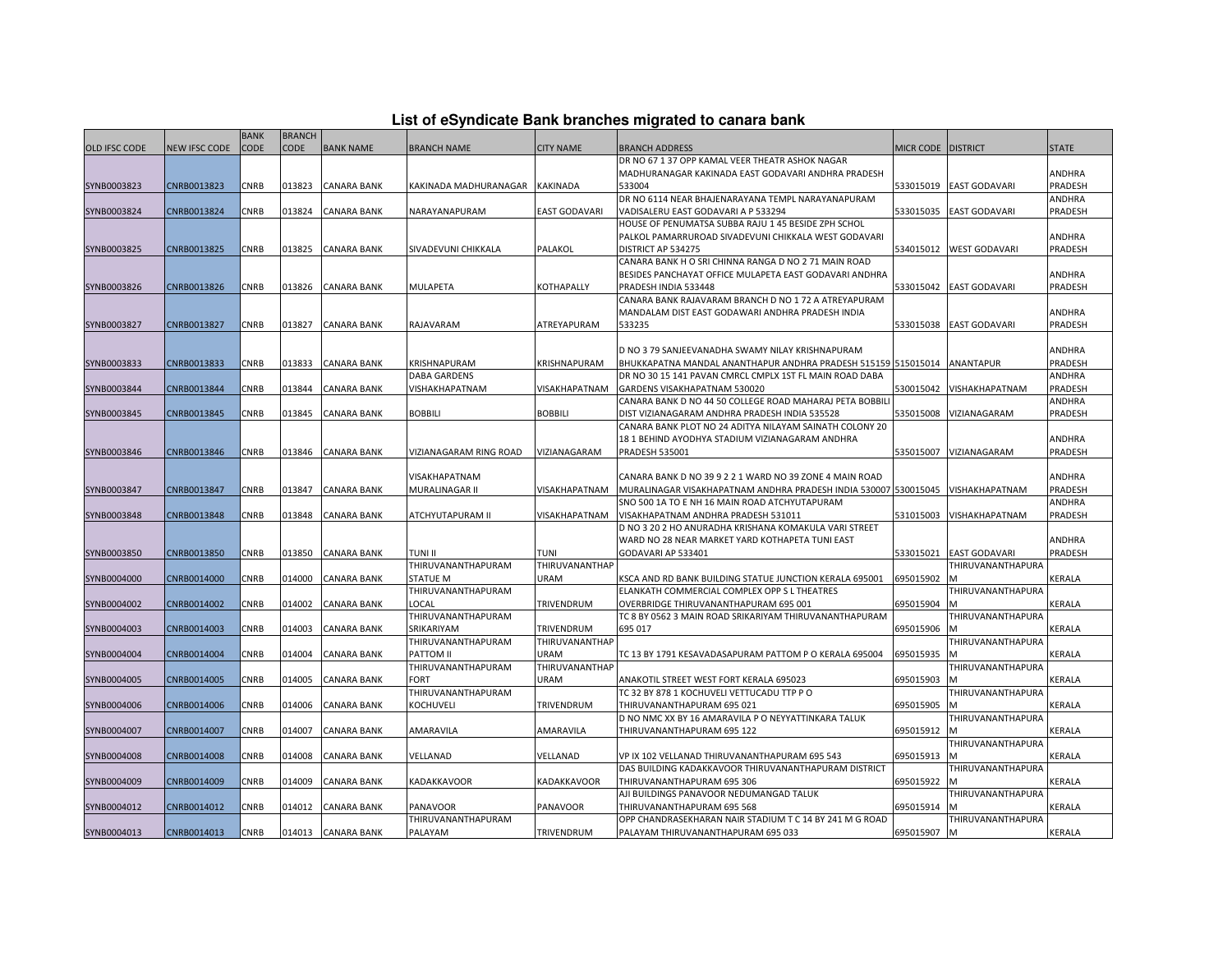|  |  | List of eSyndicate Bank branches migrated to canara bank |  |  |  |
|--|--|----------------------------------------------------------|--|--|--|
|  |  |                                                          |  |  |  |

|                      |                      |             |               |                    |                                |                      | List of eSyndicate Bank branches migrated to canara bank                |                    |                         |                |
|----------------------|----------------------|-------------|---------------|--------------------|--------------------------------|----------------------|-------------------------------------------------------------------------|--------------------|-------------------------|----------------|
|                      |                      | <b>BANK</b> | <b>BRANCH</b> |                    |                                |                      |                                                                         |                    |                         |                |
| <b>OLD IFSC CODE</b> | <b>NEW IFSC CODE</b> | <b>CODE</b> | <b>CODE</b>   | <b>BANK NAME</b>   | <b>BRANCH NAME</b>             | <b>CITY NAME</b>     | <b>BRANCH ADDRESS</b>                                                   | MICR CODE DISTRICT |                         | <b>STATE</b>   |
|                      |                      |             |               |                    |                                |                      | DR NO 67 1 37 OPP KAMAL VEER THEATR ASHOK NAGAR                         |                    |                         |                |
|                      |                      |             |               |                    |                                |                      | MADHURANAGAR KAKINADA EAST GODAVARI ANDHRA PRADESH                      |                    |                         | ANDHRA         |
| SYNB0003823          | CNRB0013823          | CNRB        | 013823        | <b>CANARA BANK</b> | KAKINADA MADHURANAGAR KAKINADA |                      | 533004                                                                  |                    | 533015019 EAST GODAVARI | PRADESH        |
|                      |                      |             |               |                    |                                |                      | DR NO 6114 NEAR BHAJENARAYANA TEMPL NARAYANAPURAM                       |                    |                         | <b>ANDHRA</b>  |
| SYNB0003824          | CNRB0013824          | CNRB        | 013824        | <b>CANARA BANK</b> | NARAYANAPURAM                  | <b>EAST GODAVARI</b> | VADISALERU EAST GODAVARI A P 533294                                     |                    | 533015035 EAST GODAVARI | PRADESH        |
|                      |                      |             |               |                    |                                |                      | HOUSE OF PENUMATSA SUBBA RAJU 1 45 BESIDE ZPH SCHOL                     |                    |                         |                |
|                      |                      |             |               |                    |                                |                      | PALKOL PAMARRUROAD SIVADEVUNI CHIKKALA WEST GODAVARI                    |                    |                         | <b>ANDHRA</b>  |
| SYNB0003825          | CNRB0013825          | <b>CNRB</b> | 013825        | <b>CANARA BANK</b> | SIVADEVUNI CHIKKALA            | PALAKOL              | DISTRICT AP 534275                                                      |                    | 534015012 WEST GODAVARI | PRADESH        |
|                      |                      |             |               |                    |                                |                      | CANARA BANK H O SRI CHINNA RANGA D NO 2 71 MAIN ROAD                    |                    |                         |                |
|                      |                      |             |               |                    |                                |                      | BESIDES PANCHAYAT OFFICE MULAPETA EAST GODAVARI ANDHRA                  |                    |                         | ANDHRA         |
| SYNB0003826          | CNRB0013826          | CNRB        | 013826        | <b>CANARA BANK</b> | MULAPETA                       | <b>KOTHAPALLY</b>    | PRADESH INDIA 533448                                                    | 533015042          | <b>EAST GODAVARI</b>    | PRADESH        |
|                      |                      |             |               |                    |                                |                      | CANARA BANK RAJAVARAM BRANCH D NO 1 72 A ATREYAPURAM                    |                    |                         |                |
|                      |                      |             |               |                    |                                |                      | MANDALAM DIST EAST GODAWARI ANDHRA PRADESH INDIA                        |                    |                         | ANDHRA         |
| SYNB0003827          | CNRB0013827          | <b>CNRB</b> |               | 013827 CANARA BANK | RAJAVARAM                      | ATREYAPURAM          | 533235                                                                  |                    | 533015038 EAST GODAVARI | PRADESH        |
|                      |                      |             |               |                    |                                |                      |                                                                         |                    |                         |                |
|                      |                      |             |               |                    |                                |                      | D NO 3 79 SANJEEVANADHA SWAMY NILAY KRISHNAPURAM                        |                    |                         | ANDHRA         |
| SYNB0003833          | CNRB0013833          | CNRB        | 013833        | <b>CANARA BANK</b> | KRISHNAPURAM                   | KRISHNAPURAM         | BHUKKAPATNA MANDAL ANANTHAPUR ANDHRA PRADESH 515159 515015014 ANANTAPUR |                    |                         | PRADESH        |
|                      |                      |             |               |                    | <b>DABA GARDENS</b>            |                      | DR NO 30 15 141 PAVAN CMRCL CMPLX 1ST FL MAIN ROAD DABA                 |                    |                         | ANDHRA         |
| SYNB0003844          | CNRB0013844          | CNRB        | 013844        | CANARA BANK        | VISHAKHAPATNAM                 | VISAKHAPATNAM        | GARDENS VISAKHAPATNAM 530020                                            | 530015042          | VISHAKHAPATNAM          | PRADESH        |
|                      |                      |             |               |                    |                                |                      | CANARA BANK D NO 44 50 COLLEGE ROAD MAHARAJ PETA BOBBILI                |                    |                         | <b>ANDHRA</b>  |
| SYNB0003845          | CNRB0013845          | CNRB        | 013845        | <b>CANARA BANK</b> | <b>BOBBILI</b>                 | <b>BOBBILI</b>       | DIST VIZIANAGARAM ANDHRA PRADESH INDIA 535528                           | 535015008          | VIZIANAGARAM            | PRADESH        |
|                      |                      |             |               |                    |                                |                      | CANARA BANK PLOT NO 24 ADITYA NILAYAM SAINATH COLONY 20                 |                    |                         |                |
|                      |                      |             |               |                    |                                |                      | 18 1 BEHIND AYODHYA STADIUM VIZIANAGARAM ANDHRA                         |                    |                         | ANDHRA         |
| SYNB0003846          | CNRB0013846          | CNRB        | 013846        | <b>CANARA BANK</b> | VIZIANAGARAM RING ROAD         | VIZIANAGARAM         | <b>PRADESH 535001</b>                                                   | 535015007          | VIZIANAGARAM            | <b>PRADESH</b> |
|                      |                      |             |               |                    |                                |                      |                                                                         |                    |                         |                |
|                      |                      |             |               |                    | VISAKHAPATNAM                  |                      | CANARA BANK D NO 39 9 2 2 1 WARD NO 39 ZONE 4 MAIN ROAD                 |                    |                         | ANDHRA         |
| SYNB0003847          | CNRB0013847          | CNRB        | 013847        | <b>CANARA BANK</b> | MURALINAGAR II                 | VISAKHAPATNAM        | MURALINAGAR VISAKHAPATNAM ANDHRA PRADESH INDIA 530007 530015045         |                    | VISHAKHAPATNAM          | PRADESH        |
|                      |                      |             |               |                    |                                |                      | SNO 500 1A TO E NH 16 MAIN ROAD ATCHYUTAPURAM                           |                    |                         | ANDHRA         |
| SYNB0003848          | CNRB0013848          | CNRB        | 013848        | <b>CANARA BANK</b> | ATCHYUTAPURAM II               | VISAKHAPATNAM        | VISAKHAPATNAM ANDHRA PRADESH 531011                                     | 531015003          | VISHAKHAPATNAM          | PRADESH        |
|                      |                      |             |               |                    |                                |                      | D NO 3 20 2 HO ANURADHA KRISHANA KOMAKULA VARI STREET                   |                    |                         |                |
|                      |                      |             |               |                    |                                |                      | WARD NO 28 NEAR MARKET YARD KOTHAPETA TUNI EAST                         |                    |                         | ANDHRA         |
| SYNB0003850          | CNRB0013850          | CNRB        | 013850        | <b>CANARA BANK</b> | TUNI II                        | <b>TUNI</b>          | GODAVARI AP 533401                                                      | 533015021          | <b>EAST GODAVARI</b>    | PRADESH        |
|                      |                      |             |               |                    | THIRUVANANTHAPURAM             | THIRUVANANTHAP       |                                                                         |                    | THIRUVANANTHAPURA       |                |
| SYNB0004000          | CNRB0014000          | CNRB        | 014000        | <b>CANARA BANK</b> | <b>STATUE M</b>                | URAM                 | KSCA AND RD BANK BUILDING STATUE JUNCTION KERALA 695001                 | 695015902          |                         | KERALA         |
|                      |                      |             |               |                    | THIRUVANANTHAPURAM             |                      | ELANKATH COMMERCIAL COMPLEX OPP S L THEATRES                            |                    | THIRUVANANTHAPURA       |                |
| SYNB0004002          | CNRB0014002          | CNRB        | 014002        | CANARA BANK        | LOCAL                          | TRIVENDRUM           | OVERBRIDGE THIRUVANANTHAPURAM 695 001                                   | 695015904          | M                       | KERALA         |
|                      |                      |             |               |                    | THIRUVANANTHAPURAM             |                      | TC 8 BY 0562 3 MAIN ROAD SRIKARIYAM THIRUVANANTHAPURAM                  |                    | THIRUVANANTHAPURA       |                |
| SYNB0004003          | CNRB0014003          | CNRB        | 014003        | <b>CANARA BANK</b> | SRIKARIYAM                     | TRIVENDRUM           | 695 017                                                                 | 695015906          |                         | <b>KERALA</b>  |
|                      |                      |             |               |                    | THIRUVANANTHAPURAM             | THIRUVANANTHAP       |                                                                         |                    | THIRUVANANTHAPURA       |                |
| SYNB0004004          | CNRB0014004          | CNRB        | 014004        | <b>CANARA BANK</b> | PATTOM II                      | URAM                 | TC 13 BY 1791 KESAVADASAPURAM PATTOM P O KERALA 695004                  | 695015935          | M                       | KERALA         |
|                      |                      |             |               |                    | THIRUVANANTHAPURAM             | THIRUVANANTHAP       |                                                                         |                    | THIRUVANANTHAPURA       |                |
| SYNB0004005          | CNRB0014005          | CNRB        | 014005        | CANARA BANK        | <b>FORT</b>                    | URAM                 | ANAKOTIL STREET WEST FORT KERALA 695023                                 | 695015903          |                         | KERALA         |
|                      |                      |             |               |                    | THIRUVANANTHAPURAM             |                      | TC 32 BY 878 1 KOCHUVELI VETTUCADU TTP P O                              |                    | THIRUVANANTHAPURA       |                |
| SYNB0004006          | CNRB0014006          | CNRB        | 014006        | <b>CANARA BANK</b> | KOCHUVELI                      | TRIVENDRUM           | THIRUVANANTHAPURAM 695 021                                              | 695015905          | M                       | <b>KERALA</b>  |
|                      |                      |             |               |                    |                                |                      | D NO NMC XX BY 16 AMARAVILA P O NEYYATTINKARA TALUK                     |                    | THIRUVANANTHAPURA       |                |
| SYNB0004007          | CNRB0014007          | CNRB        | 014007        | <b>CANARA BANK</b> | AMARAVILA                      | AMARAVILA            | THIRUVANANTHAPURAM 695 122                                              | 695015912          |                         | KERALA         |
|                      |                      |             |               |                    |                                |                      |                                                                         |                    | THIRUVANANTHAPURA       |                |
| SYNB0004008          | CNRB0014008          | CNRB        | 014008        | <b>CANARA BANK</b> | VELLANAD                       | VELLANAD             | VP IX 102 VELLANAD THIRUVANANTHAPURAM 695 543                           | 695015913          | M                       | KERALA         |
|                      |                      |             |               |                    |                                |                      | DAS BUILDING KADAKKAVOOR THIRUVANANTHAPURAM DISTRICT                    |                    | THIRUVANANTHAPURA       |                |
| SYNB0004009          | CNRB0014009          | CNRB        | 014009        | <b>CANARA BANK</b> | KADAKKAVOOR                    | KADAKKAVOOR          | THIRUVANANTHAPURAM 695 306                                              | 695015922          |                         | KERALA         |
|                      |                      |             |               |                    |                                |                      | AJI BUILDINGS PANAVOOR NEDUMANGAD TALUK                                 |                    | THIRUVANANTHAPURA       |                |
| SYNB0004012          | CNRB0014012          | CNRB        | 014012        | <b>CANARA BANK</b> | PANAVOOR                       | PANAVOOR             | THIRUVANANTHAPURAM 695 568                                              | 695015914          |                         | KERALA         |
|                      |                      |             |               |                    | THIRUVANANTHAPURAM             |                      | OPP CHANDRASEKHARAN NAIR STADIUM T C 14 BY 241 M G ROAD                 |                    | THIRUVANANTHAPURA       |                |
| SYNB0004013          | CNRB0014013          | CNRB        |               | 014013 CANARA BANK | PALAYAM                        | TRIVENDRUM           | PALAYAM THIRUVANANTHAPURAM 695 033                                      | 695015907          | M                       | <b>KERALA</b>  |
|                      |                      |             |               |                    |                                |                      |                                                                         |                    |                         |                |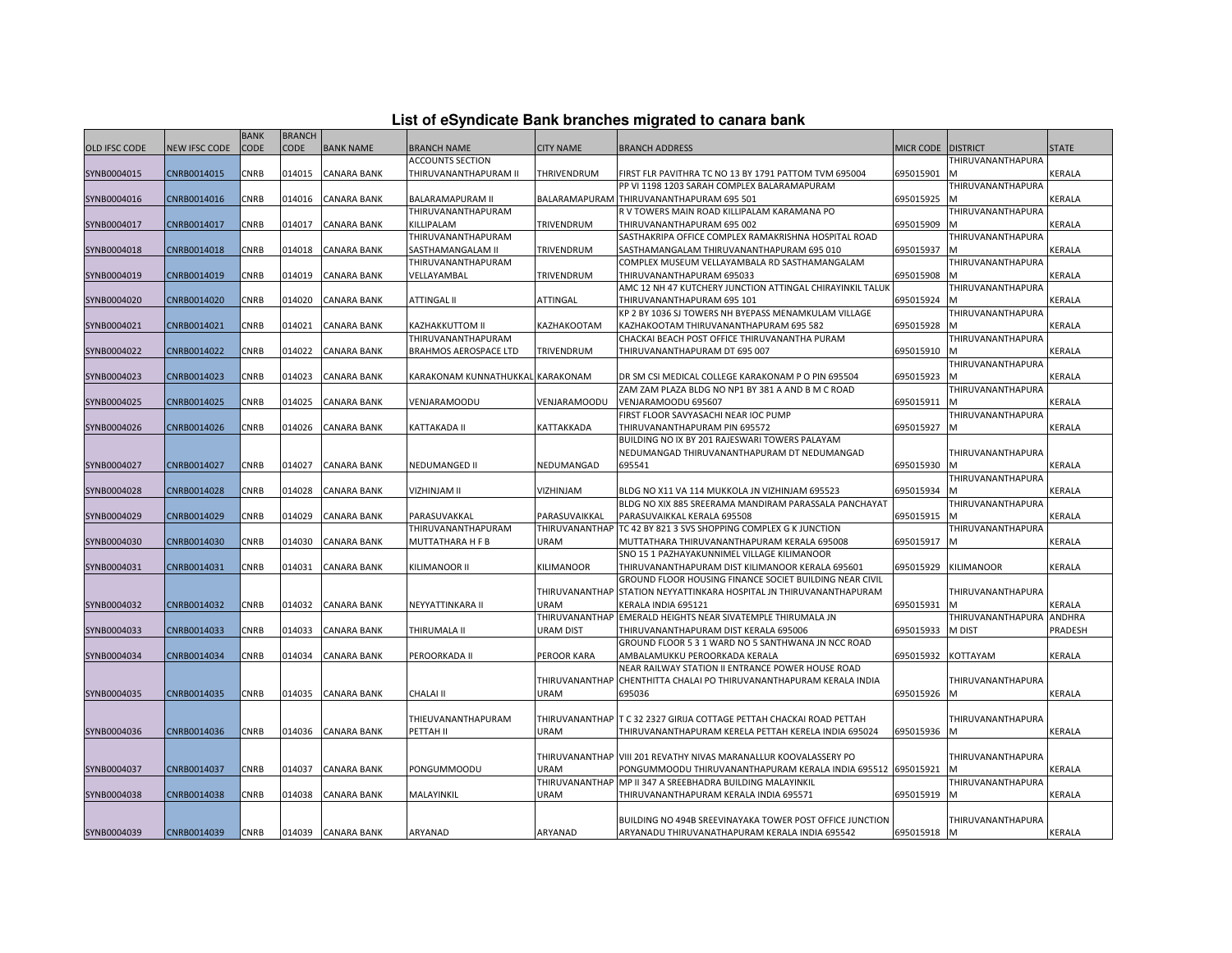| List of eSyndicate Bank branches migrated to canara bank |  |  |  |  |
|----------------------------------------------------------|--|--|--|--|
|----------------------------------------------------------|--|--|--|--|

|                      |                      | <b>BANK</b> | <b>BRANCH</b> |                    |                                  |                    |                                                                     |                  |                   |               |
|----------------------|----------------------|-------------|---------------|--------------------|----------------------------------|--------------------|---------------------------------------------------------------------|------------------|-------------------|---------------|
| <b>OLD IFSC CODE</b> | <b>NEW IFSC CODE</b> | CODE        | CODE          | <b>BANK NAME</b>   | <b>BRANCH NAME</b>               | <b>CITY NAME</b>   | <b>BRANCH ADDRESS</b>                                               | <b>MICR CODE</b> | <b>DISTRICT</b>   | <b>STATE</b>  |
|                      |                      |             |               |                    | <b>ACCOUNTS SECTION</b>          |                    |                                                                     |                  | THIRUVANANTHAPURA |               |
| SYNB0004015          | CNRB0014015          | CNRB        | 014015        | <b>CANARA BANK</b> | THIRUVANANTHAPURAM II            | <b>THRIVENDRUM</b> | FIRST FLR PAVITHRA TC NO 13 BY 1791 PATTOM TVM 695004               | 695015901        |                   | KERALA        |
|                      |                      |             |               |                    |                                  |                    | PP VI 1198 1203 SARAH COMPLEX BALARAMAPURAM                         |                  | THIRUVANANTHAPURA |               |
| SYNB0004016          | CNRB0014016          | CNRB        | 014016        | CANARA BANK        | <b>BALARAMAPURAM II</b>          |                    | BALARAMAPURAM THIRUVANANTHAPURAM 695 501                            | 695015925        |                   | KERALA        |
|                      |                      |             |               |                    | THIRUVANANTHAPURAM               |                    | R V TOWERS MAIN ROAD KILLIPALAM KARAMANA PO                         |                  | THIRUVANANTHAPURA |               |
| SYNB0004017          | CNRB0014017          | CNRB        | 014017        | <b>CANARA BANK</b> | KILLIPALAM                       | TRIVENDRUM         | THIRUVANANTHAPURAM 695 002                                          | 695015909        |                   | KERALA        |
|                      |                      |             |               |                    | THIRUVANANTHAPURAM               |                    | SASTHAKRIPA OFFICE COMPLEX RAMAKRISHNA HOSPITAL ROAD                |                  | THIRUVANANTHAPURA |               |
| SYNB0004018          | CNRB0014018          | CNRB        | 014018        | CANARA BANK        | SASTHAMANGALAM II                | TRIVENDRUM         | SASTHAMANGALAM THIRUVANANTHAPURAM 695 010                           | 695015937        |                   | KERALA        |
|                      |                      |             |               |                    | THIRUVANANTHAPURAM               |                    | COMPLEX MUSEUM VELLAYAMBALA RD SASTHAMANGALAM                       |                  | THIRUVANANTHAPURA |               |
| SYNB0004019          | CNRB0014019          | CNRB        | 014019        | CANARA BANK        | VELLAYAMBAL                      | TRIVENDRUM         | THIRUVANANTHAPURAM 695033                                           | 695015908        |                   | KERALA        |
|                      |                      |             |               |                    |                                  |                    | AMC 12 NH 47 KUTCHERY JUNCTION ATTINGAL CHIRAYINKIL TALUK           |                  | THIRUVANANTHAPURA |               |
| SYNB0004020          | CNRB0014020          | CNRB        | 014020        | <b>CANARA BANK</b> | ATTINGAL II                      | ATTINGAL           | THIRUVANANTHAPURAM 695 101                                          | 695015924        |                   | KERALA        |
|                      |                      |             |               |                    |                                  |                    | KP 2 BY 1036 SJ TOWERS NH BYEPASS MENAMKULAM VILLAGE                |                  | THIRUVANANTHAPURA |               |
| SYNB0004021          | CNRB0014021          | CNRB        | 014021        | <b>CANARA BANK</b> | KAZHAKKUTTOM II                  | KAZHAKOOTAM        | KAZHAKOOTAM THIRUVANANTHAPURAM 695 582                              | 695015928        |                   | KERALA        |
|                      |                      |             |               |                    | THIRUVANANTHAPURAM               |                    | CHACKAI BEACH POST OFFICE THIRUVANANTHA PURAM                       |                  | THIRUVANANTHAPURA |               |
| SYNB0004022          | CNRB0014022          | CNRB        | 014022        | CANARA BANK        | BRAHMOS AEROSPACE LTD            | TRIVENDRUM         | THIRUVANANTHAPURAM DT 695 007                                       | 695015910        |                   | KERALA        |
|                      |                      |             |               |                    |                                  |                    |                                                                     |                  | THIRUVANANTHAPURA |               |
| SYNB0004023          | CNRB0014023          | CNRB        | 014023        | <b>CANARA BANK</b> | KARAKONAM KUNNATHUKKAL KARAKONAM |                    | DR SM CSI MEDICAL COLLEGE KARAKONAM P O PIN 695504                  | 695015923        |                   | KERALA        |
|                      |                      |             |               |                    |                                  |                    | ZAM ZAM PLAZA BLDG NO NP1 BY 381 A AND B M C ROAD                   |                  | THIRUVANANTHAPURA |               |
| SYNB0004025          | CNRB0014025          | CNRB        | 014025        | <b>CANARA BANK</b> | VENJARAMOODU                     | VENJARAMOODU       | VENJARAMOODU 695607                                                 | 695015911        |                   | KERALA        |
|                      |                      |             |               |                    |                                  |                    | FIRST FLOOR SAVYASACHI NEAR IOC PUMP                                |                  | THIRUVANANTHAPURA |               |
| SYNB0004026          | CNRB0014026          | CNRB        | 014026        | CANARA BANK        | KATTAKADA II                     | KATTAKKADA         | THIRUVANANTHAPURAM PIN 695572                                       | 695015927        |                   | KERALA        |
|                      |                      |             |               |                    |                                  |                    | BUILDING NO IX BY 201 RAJESWARI TOWERS PALAYAM                      |                  |                   |               |
|                      |                      |             |               |                    |                                  |                    | NEDUMANGAD THIRUVANANTHAPURAM DT NEDUMANGAD                         |                  | THIRUVANANTHAPURA |               |
| SYNB0004027          | CNRB0014027          | <b>CNRB</b> | 014027        | <b>CANARA BANK</b> | NEDUMANGED II                    | NEDUMANGAD         | 695541                                                              | 695015930        |                   | KERALA        |
|                      |                      |             |               |                    |                                  |                    |                                                                     |                  | THIRUVANANTHAPURA |               |
| SYNB0004028          | CNRB0014028          | CNRB        | 014028        | <b>CANARA BANK</b> | VIZHINJAM II                     | VIZHINJAM          | BLDG NO X11 VA 114 MUKKOLA JN VIZHINJAM 695523                      | 695015934        |                   | KERALA        |
|                      |                      |             |               |                    |                                  |                    | BLDG NO XIX 885 SREERAMA MANDIRAM PARASSALA PANCHAYAT               |                  | THIRUVANANTHAPURA |               |
| SYNB0004029          | CNRB0014029          | CNRB        | 014029        | CANARA BANK        | PARASUVAKKAL                     | PARASUVAIKKAL      | PARASUVAIKKAL KERALA 695508                                         | 695015915        |                   | KERALA        |
|                      |                      |             |               |                    | THIRUVANANTHAPURAM               | THIRUVANANTHAP     | TC 42 BY 821 3 SVS SHOPPING COMPLEX G K JUNCTION                    |                  | THIRUVANANTHAPURA |               |
| SYNB0004030          | CNRB0014030          | CNRB        | 014030        | CANARA BANK        | MUTTATHARA H F B                 | URAM               | MUTTATHARA THIRUVANANTHAPURAM KERALA 695008                         | 695015917        | M                 | KERALA        |
|                      |                      |             |               |                    |                                  |                    | SNO 15 1 PAZHAYAKUNNIMEL VILLAGE KILIMANOOR                         |                  |                   |               |
| SYNB0004031          | CNRB0014031          | CNRB        | 014031        | <b>CANARA BANK</b> | KILIMANOOR II                    | KILIMANOOR         | THIRUVANANTHAPURAM DIST KILIMANOOR KERALA 695601                    | 695015929        | KILIMANOOR        | KERALA        |
|                      |                      |             |               |                    |                                  |                    | GROUND FLOOR HOUSING FINANCE SOCIET BUILDING NEAR CIVIL             |                  |                   |               |
|                      |                      |             |               |                    |                                  |                    | THIRUVANANTHAP STATION NEYYATTINKARA HOSPITAL JN THIRUVANANTHAPURAM |                  | THIRUVANANTHAPURA |               |
| SYNB0004032          | CNRB0014032          | CNRB        | 014032        | <b>CANARA BANK</b> | NEYYATTINKARA II                 | URAM               | KERALA INDIA 695121                                                 | 695015931        |                   | <b>KERALA</b> |
|                      |                      |             |               |                    |                                  | THIRUVANANTHAP     | EMERALD HEIGHTS NEAR SIVATEMPLE THIRUMALA JN                        |                  | THIRUVANANTHAPURA | ANDHRA        |
| SYNB0004033          | CNRB0014033          | CNRB        | 014033        | CANARA BANK        | THIRUMALA II                     | <b>URAM DIST</b>   | THIRUVANANTHAPURAM DIST KERALA 695006                               | 695015933        | M DIST            | PRADESH       |
|                      |                      |             |               |                    |                                  |                    | GROUND FLOOR 5 3 1 WARD NO 5 SANTHWANA JN NCC ROAD                  |                  |                   |               |
| SYNB0004034          | CNRB0014034          | CNRB        | 014034        | <b>CANARA BANK</b> | PEROORKADA II                    | PEROOR KARA        | AMBALAMUKKU PEROORKADA KERALA                                       | 695015932        | KOTTAYAM          | KERALA        |
|                      |                      |             |               |                    |                                  |                    | NEAR RAILWAY STATION II ENTRANCE POWER HOUSE ROAD                   |                  |                   |               |
|                      |                      |             |               |                    |                                  | THIRUVANANTHAP     | CHENTHITTA CHALAI PO THIRUVANANTHAPURAM KERALA INDIA                |                  | THIRUVANANTHAPURA |               |
| SYNB0004035          | CNRB0014035          | CNRB        | 014035        | <b>CANARA BANK</b> | <b>CHALAI II</b>                 | URAM               | 695036                                                              | 695015926        | M                 | KERALA        |
|                      |                      |             |               |                    |                                  |                    |                                                                     |                  |                   |               |
|                      |                      |             |               |                    | THIEUVANANTHAPURAM               | THIRUVANANTHAP     | T C 32 2327 GIRIJA COTTAGE PETTAH CHACKAI ROAD PETTAH               |                  | THIRUVANANTHAPURA |               |
| SYNB0004036          | CNRB0014036          | CNRB        | 014036        | <b>CANARA BANK</b> | PETTAH II                        | URAM               | THIRUVANANTHAPURAM KERELA PETTAH KERELA INDIA 695024                | 695015936        | M                 | KERALA        |
|                      |                      |             |               |                    |                                  |                    |                                                                     |                  |                   |               |
|                      |                      |             |               |                    |                                  |                    | THIRUVANANTHAP VIII 201 REVATHY NIVAS MARANALLUR KOOVALASSERY PO    |                  | THIRUVANANTHAPURA |               |
| SYNB0004037          | CNRB0014037          | CNRB        | 014037        | <b>CANARA BANK</b> | PONGUMMOODU                      | <b>URAM</b>        | PONGUMMOODU THIRUVANANTHAPURAM KERALA INDIA 695512 6995015921       |                  |                   | KERALA        |
|                      |                      |             |               |                    |                                  | THIRUVANANTHAP     | MP II 347 A SREEBHADRA BUILDING MALAYINKIL                          |                  | THIRUVANANTHAPURA |               |
| SYNB0004038          | CNRB0014038          | CNRB        | 014038        | CANARA BANK        | MALAYINKIL                       | URAM               | THIRUVANANTHAPURAM KERALA INDIA 695571                              | 695015919        |                   | KERALA        |
|                      |                      |             |               |                    |                                  |                    |                                                                     |                  |                   |               |
|                      |                      |             |               |                    |                                  |                    | BUILDING NO 494B SREEVINAYAKA TOWER POST OFFICE JUNCTION            |                  | THIRUVANANTHAPURA |               |
| SYNB0004039          | CNRB0014039          | <b>CNRB</b> |               | 014039 CANARA BANK | ARYANAD                          | ARYANAD            | ARYANADU THIRUVANATHAPURAM KERALA INDIA 695542                      | 695015918        | <b>M</b>          | KERALA        |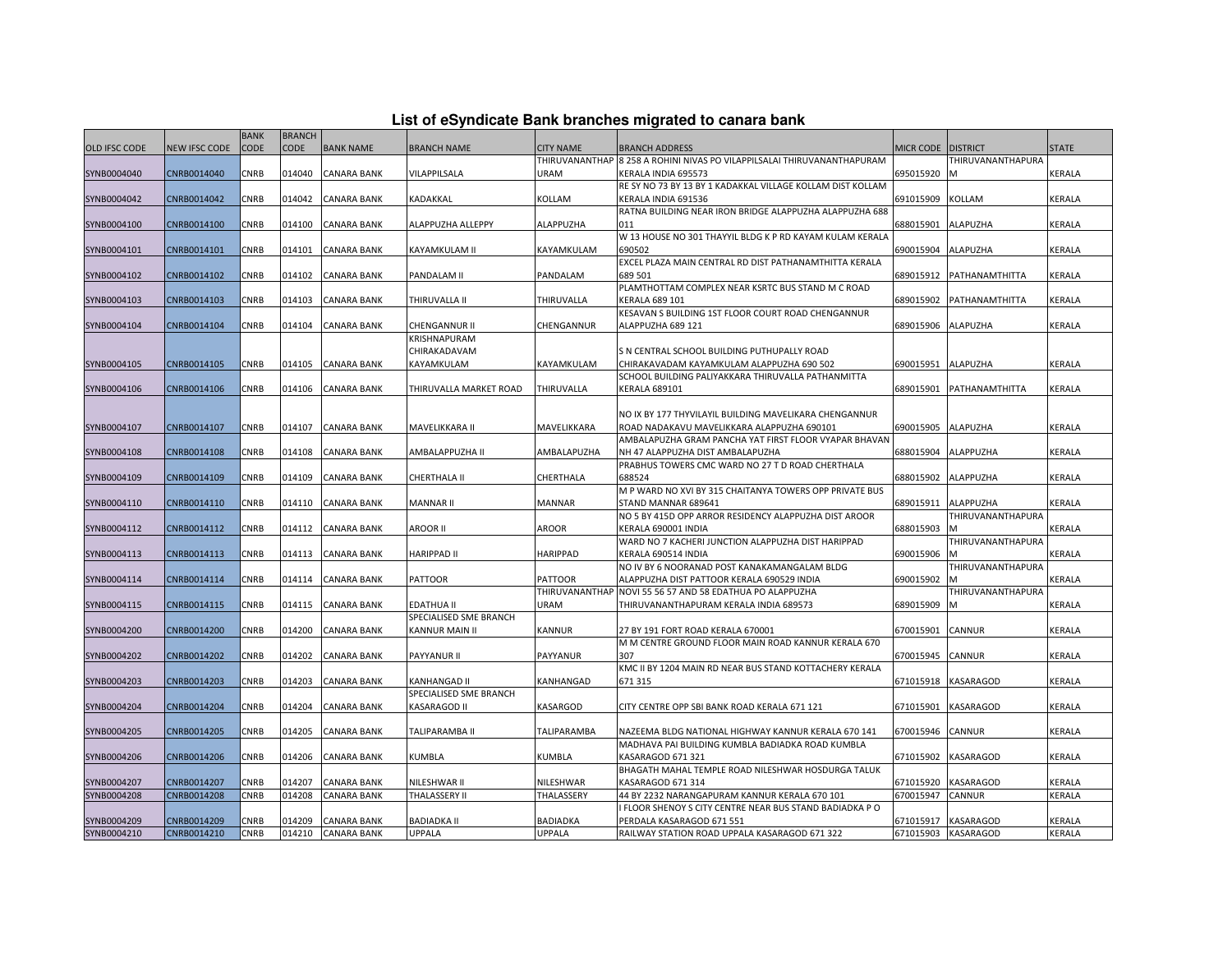| <b>OLD IFSC CODE</b><br><b>CODE</b><br><b>CODE</b><br><b>BANK NAME</b><br><b>NEW IFSC CODE</b><br><b>BRANCH NAME</b><br><b>CITY NAME</b><br><b>BRANCH ADDRESS</b><br>MICR CODE DISTRICT<br><b>STATE</b><br>THIRUVANANTHAP 8 258 A ROHINI NIVAS PO VILAPPILSALAI THIRUVANANTHAPURAM<br>THIRUVANANTHAPURA<br>SYNB0004040<br>CNRB0014040<br>CNRB<br>014040<br>CANARA BANK<br>VILAPPILSALA<br>URAM<br>695015920<br><b>KERALA</b><br>KERALA INDIA 695573<br>M<br>RE SY NO 73 BY 13 BY 1 KADAKKAL VILLAGE KOLLAM DIST KOLLAM<br>SYNB0004042<br>CNRB0014042<br><b>CNRB</b><br>014042<br><b>CANARA BANK</b><br>KADAKKAL<br>KOLLAM<br>KOLLAM<br>KERALA<br>KERALA INDIA 691536<br>691015909<br>RATNA BUILDING NEAR IRON BRIDGE ALAPPUZHA ALAPPUZHA 688<br>SYNB0004100<br>CNRB0014100<br>CNRB<br>014100<br>ALAPPUZHA ALLEPPY<br>ALAPPUZHA<br>011<br><b>ALAPUZHA</b><br>KERALA<br>CANARA BANK<br>688015901<br>W 13 HOUSE NO 301 THAYYIL BLDG K P RD KAYAM KULAM KERALA<br>SYNB0004101<br>CNRB0014101<br>CNRB<br>014101<br>CANARA BANK<br>KAYAMKULAM II<br>690502<br>690015904<br>ALAPUZHA<br>KERALA<br>KAYAMKULAM<br>EXCEL PLAZA MAIN CENTRAL RD DIST PATHANAMTHITTA KERALA<br>CNRB0014102<br>689 501<br>KERALA<br>SYNB0004102<br><b>CNRB</b><br>014102<br>CANARA BANK<br>PANDALAM II<br>PANDALAM<br>689015912<br>PATHANAMTHITTA<br>PLAMTHOTTAM COMPLEX NEAR KSRTC BUS STAND M C ROAD<br>SYNB0004103<br>CNRB0014103<br>CNRB<br>014103<br>THIRUVALLA<br>KERALA 689 101<br><b>KERALA</b><br>CANARA BANK<br>THIRUVALLA II<br>689015902<br>PATHANAMTHITTA<br>KESAVAN S BUILDING 1ST FLOOR COURT ROAD CHENGANNUR<br>SYNB0004104<br>CNRB0014104<br><b>CNRB</b><br>014104<br>CANARA BANK<br>CHENGANNUR II<br>689015906<br><b>ALAPUZHA</b><br>KERALA<br>CHENGANNUR<br>ALAPPUZHA 689 121<br>KRISHNAPURAM<br>CHIRAKADAVAM<br>S N CENTRAL SCHOOL BUILDING PUTHUPALLY ROAD<br>SYNB0004105<br>CNRB0014105<br><b>CNRB</b><br>014105<br><b>CANARA BANK</b><br>KAYAMKULAM<br>KAYAMKULAM<br>CHIRAKAVADAM KAYAMKULAM ALAPPUZHA 690 502<br>690015951<br><b>ALAPUZHA</b><br><b>KERALA</b><br>SCHOOL BUILDING PALIYAKKARA THIRUVALLA PATHANMITTA<br>CNRB0014106<br>014106<br>KERALA<br>SYNB0004106<br>CNRB<br><b>CANARA BANK</b><br>THIRUVALLA MARKET ROAD<br>THIRUVALLA<br>KERALA 689101<br>689015901<br>PATHANAMTHITTA<br>NO IX BY 177 THYVILAYIL BUILDING MAVELIKARA CHENGANNUR<br>KERALA<br>SYNB0004107<br>CNRB0014107<br><b>CNRB</b><br>014107<br>CANARA BANK<br>MAVELIKKARA II<br>MAVELIKKARA<br>690015905<br>ALAPUZHA<br>ROAD NADAKAVU MAVELIKKARA ALAPPUZHA 690101<br>AMBALAPUZHA GRAM PANCHA YAT FIRST FLOOR VYAPAR BHAVAN<br>SYNB0004108<br>CNRB0014108<br><b>CNRB</b><br>014108<br>CANARA BANK<br>AMBALAPPUZHA II<br>AMBALAPUZHA<br>NH 47 ALAPPUZHA DIST AMBALAPUZHA<br>688015904<br>ALAPPUZHA<br>KERALA<br>PRABHUS TOWERS CMC WARD NO 27 T D ROAD CHERTHALA<br>688524<br>CNRB0014109<br><b>CNRB</b><br>014109<br><b>CANARA BANK</b><br>CHERTHALA II<br>CHERTHALA<br>688015902<br>ALAPPUZHA<br>KERALA<br>SYNB0004109<br>M P WARD NO XVI BY 315 CHAITANYA TOWERS OPP PRIVATE BUS<br>SYNB0004110<br>CNRB0014110<br>CNRB<br>014110<br>CANARA BANK<br>MANNAR II<br><b>MANNAR</b><br>STAND MANNAR 689641<br>689015911<br>ALAPPUZHA<br>KERALA<br>NO 5 BY 415D OPP ARROR RESIDENCY ALAPPUZHA DIST AROOR<br>THIRUVANANTHAPURA<br>SYNB0004112<br>CNRB0014112<br>CNRB<br>014112<br>CANARA BANK<br>AROOR II<br>AROOR<br>KERALA 690001 INDIA<br>688015903<br>KERALA<br>м<br>WARD NO 7 KACHERI JUNCTION ALAPPUZHA DIST HARIPPAD<br>THIRUVANANTHAPURA<br>SYNB0004113<br>CNRB0014113<br><b>CNRB</b><br>014113<br><b>CANARA BANK</b><br>HARIPPAD II<br><b>HARIPPAD</b><br>KERALA 690514 INDIA<br>690015906<br>KERALA<br>NO IV BY 6 NOORANAD POST KANAKAMANGALAM BLDG<br>THIRUVANANTHAPURA<br>CANARA BANK<br>SYNB0004114<br>CNRB0014114<br><b>CNRB</b><br>014114<br><b>PATTOOR</b><br><b>PATTOOR</b><br>ALAPPUZHA DIST PATTOOR KERALA 690529 INDIA<br>690015902<br><b>KERALA</b><br>THIRUVANANTHAF<br>NOVI 55 56 57 AND 58 EDATHUA PO ALAPPUZHA<br>THIRUVANANTHAPURA<br>SYNB0004115<br>CNRB0014115<br>CNRB<br>014115<br>CANARA BANK<br>EDATHUA II<br>URAM<br>THIRUVANANTHAPURAM KERALA INDIA 689573<br>689015909<br>м<br>KERALA<br>SPECIALISED SME BRANCH<br><b>CNRB</b><br>014200<br>CANNUR<br>KERALA<br>SYNB0004200<br>CNRB0014200<br><b>CANARA BANK</b><br>KANNUR MAIN II<br><b>KANNUR</b><br>27 BY 191 FORT ROAD KERALA 670001<br>670015901<br>M M CENTRE GROUND FLOOR MAIN ROAD KANNUR KERALA 670<br>CNRB<br>CANARA BANK<br>307<br>KERALA<br>SYNB0004202<br>CNRB0014202<br>014202<br>PAYYANUR II<br><b>PAYYANUR</b><br>670015945<br>CANNUR<br>KMC II BY 1204 MAIN RD NEAR BUS STAND KOTTACHERY KERALA<br>CNRB0014203<br>CNRB<br>014203<br>CANARA BANK<br>671315<br>671015918<br>KASARAGOD<br>KERALA<br>SYNB0004203<br>KANHANGAD II<br>KANHANGAD<br>SPECIALISED SME BRANCH<br><b>CNRB</b><br>014204<br><b>CANARA BANK</b><br><b>KASARGOD</b><br>KASARAGOD<br>KERALA<br>SYNB0004204<br>CNRB0014204<br>KASARAGOD II<br>CITY CENTRE OPP SBI BANK ROAD KERALA 671 121<br>671015901<br>SYNB0004205<br>CNRB0014205<br>CNRB<br>014205<br>CANARA BANK<br>TALIPARAMBA II<br>TALIPARAMBA<br>NAZEEMA BLDG NATIONAL HIGHWAY KANNUR KERALA 670 141<br>670015946<br>CANNUR<br>KERALA<br>MADHAVA PAI BUILDING KUMBLA BADIADKA ROAD KUMBLA<br>SYNB0004206<br>CNRB0014206<br>CNRB<br>014206<br>CANARA BANK<br>KUMBLA<br>KUMBLA<br>KASARAGOD 671 321<br>671015902<br>KASARAGOD<br>KERALA<br>BHAGATH MAHAL TEMPLE ROAD NILESHWAR HOSDURGA TALUK<br>CNRB0014207<br><b>CNRB</b><br><b>CANARA BANK</b><br>NILESHWAR<br>KASARAGOD<br>KERALA<br>SYNB0004207<br>014207<br>NILESHWAR II<br>KASARAGOD 671 314<br>671015920<br>SYNB0004208<br>CNRB0014208<br>014208<br>THALASSERY II<br>THALASSERY<br>44 BY 2232 NARANGAPURAM KANNUR KERALA 670 101<br>670015947<br>KERALA<br>CNRB<br>CANARA BANK<br>CANNUR<br>FLOOR SHENOY S CITY CENTRE NEAR BUS STAND BADIADKA P O<br>SYNB0004209<br>CNRB0014209<br><b>CNRB</b><br>014209<br><b>CANARA BANK</b><br><b>BADIADKA II</b><br><b>BADIADKA</b><br>PERDALA KASARAGOD 671 551<br>671015917<br><b>KASARAGOD</b><br>KERALA<br>SYNB0004210<br>CNRB0014210<br><b>CNRB</b><br>014210<br><b>CANARA BANK</b><br>UPPALA<br><b>UPPALA</b><br>RAILWAY STATION ROAD UPPALA KASARAGOD 671 322<br>671015903 KASARAGOD<br>KERALA |  | <b>BANK</b> | <b>BRANCH</b> |  |  |  |  |
|------------------------------------------------------------------------------------------------------------------------------------------------------------------------------------------------------------------------------------------------------------------------------------------------------------------------------------------------------------------------------------------------------------------------------------------------------------------------------------------------------------------------------------------------------------------------------------------------------------------------------------------------------------------------------------------------------------------------------------------------------------------------------------------------------------------------------------------------------------------------------------------------------------------------------------------------------------------------------------------------------------------------------------------------------------------------------------------------------------------------------------------------------------------------------------------------------------------------------------------------------------------------------------------------------------------------------------------------------------------------------------------------------------------------------------------------------------------------------------------------------------------------------------------------------------------------------------------------------------------------------------------------------------------------------------------------------------------------------------------------------------------------------------------------------------------------------------------------------------------------------------------------------------------------------------------------------------------------------------------------------------------------------------------------------------------------------------------------------------------------------------------------------------------------------------------------------------------------------------------------------------------------------------------------------------------------------------------------------------------------------------------------------------------------------------------------------------------------------------------------------------------------------------------------------------------------------------------------------------------------------------------------------------------------------------------------------------------------------------------------------------------------------------------------------------------------------------------------------------------------------------------------------------------------------------------------------------------------------------------------------------------------------------------------------------------------------------------------------------------------------------------------------------------------------------------------------------------------------------------------------------------------------------------------------------------------------------------------------------------------------------------------------------------------------------------------------------------------------------------------------------------------------------------------------------------------------------------------------------------------------------------------------------------------------------------------------------------------------------------------------------------------------------------------------------------------------------------------------------------------------------------------------------------------------------------------------------------------------------------------------------------------------------------------------------------------------------------------------------------------------------------------------------------------------------------------------------------------------------------------------------------------------------------------------------------------------------------------------------------------------------------------------------------------------------------------------------------------------------------------------------------------------------------------------------------------------------------------------------------------------------------------------------------------------------------------------------------------------------------------------------------------------------------------------------------------------------------------------------------------------------------------------------------------------------------------------------------------------------------------------------------------------------------------------------------------------------------------------------------------------------------------------------------------------------------------------------------------------------------------------------------------------------------------------------------------------------------------------------------------------------------------------------------------------------------------------------------------------------------------------------------------------------------------------------------------------------------------------------------------------------------------------------------------------------------------------------------------------------------------------------------------------------------------------------------------------------------------------------------------------------------------------------------------------------------------------------------------------------------------------------------------------------------------------------------------------------------------------------------------------------------------------------------------------------------------------------------------------------------------------------------------------------------------|--|-------------|---------------|--|--|--|--|
|                                                                                                                                                                                                                                                                                                                                                                                                                                                                                                                                                                                                                                                                                                                                                                                                                                                                                                                                                                                                                                                                                                                                                                                                                                                                                                                                                                                                                                                                                                                                                                                                                                                                                                                                                                                                                                                                                                                                                                                                                                                                                                                                                                                                                                                                                                                                                                                                                                                                                                                                                                                                                                                                                                                                                                                                                                                                                                                                                                                                                                                                                                                                                                                                                                                                                                                                                                                                                                                                                                                                                                                                                                                                                                                                                                                                                                                                                                                                                                                                                                                                                                                                                                                                                                                                                                                                                                                                                                                                                                                                                                                                                                                                                                                                                                                                                                                                                                                                                                                                                                                                                                                                                                                                                                                                                                                                                                                                                                                                                                                                                                                                                                                                                                                                                                                                                                                                                                                                                                                                                                                                                                                                                                                                                                                                                                |  |             |               |  |  |  |  |
|                                                                                                                                                                                                                                                                                                                                                                                                                                                                                                                                                                                                                                                                                                                                                                                                                                                                                                                                                                                                                                                                                                                                                                                                                                                                                                                                                                                                                                                                                                                                                                                                                                                                                                                                                                                                                                                                                                                                                                                                                                                                                                                                                                                                                                                                                                                                                                                                                                                                                                                                                                                                                                                                                                                                                                                                                                                                                                                                                                                                                                                                                                                                                                                                                                                                                                                                                                                                                                                                                                                                                                                                                                                                                                                                                                                                                                                                                                                                                                                                                                                                                                                                                                                                                                                                                                                                                                                                                                                                                                                                                                                                                                                                                                                                                                                                                                                                                                                                                                                                                                                                                                                                                                                                                                                                                                                                                                                                                                                                                                                                                                                                                                                                                                                                                                                                                                                                                                                                                                                                                                                                                                                                                                                                                                                                                                |  |             |               |  |  |  |  |
|                                                                                                                                                                                                                                                                                                                                                                                                                                                                                                                                                                                                                                                                                                                                                                                                                                                                                                                                                                                                                                                                                                                                                                                                                                                                                                                                                                                                                                                                                                                                                                                                                                                                                                                                                                                                                                                                                                                                                                                                                                                                                                                                                                                                                                                                                                                                                                                                                                                                                                                                                                                                                                                                                                                                                                                                                                                                                                                                                                                                                                                                                                                                                                                                                                                                                                                                                                                                                                                                                                                                                                                                                                                                                                                                                                                                                                                                                                                                                                                                                                                                                                                                                                                                                                                                                                                                                                                                                                                                                                                                                                                                                                                                                                                                                                                                                                                                                                                                                                                                                                                                                                                                                                                                                                                                                                                                                                                                                                                                                                                                                                                                                                                                                                                                                                                                                                                                                                                                                                                                                                                                                                                                                                                                                                                                                                |  |             |               |  |  |  |  |
|                                                                                                                                                                                                                                                                                                                                                                                                                                                                                                                                                                                                                                                                                                                                                                                                                                                                                                                                                                                                                                                                                                                                                                                                                                                                                                                                                                                                                                                                                                                                                                                                                                                                                                                                                                                                                                                                                                                                                                                                                                                                                                                                                                                                                                                                                                                                                                                                                                                                                                                                                                                                                                                                                                                                                                                                                                                                                                                                                                                                                                                                                                                                                                                                                                                                                                                                                                                                                                                                                                                                                                                                                                                                                                                                                                                                                                                                                                                                                                                                                                                                                                                                                                                                                                                                                                                                                                                                                                                                                                                                                                                                                                                                                                                                                                                                                                                                                                                                                                                                                                                                                                                                                                                                                                                                                                                                                                                                                                                                                                                                                                                                                                                                                                                                                                                                                                                                                                                                                                                                                                                                                                                                                                                                                                                                                                |  |             |               |  |  |  |  |
|                                                                                                                                                                                                                                                                                                                                                                                                                                                                                                                                                                                                                                                                                                                                                                                                                                                                                                                                                                                                                                                                                                                                                                                                                                                                                                                                                                                                                                                                                                                                                                                                                                                                                                                                                                                                                                                                                                                                                                                                                                                                                                                                                                                                                                                                                                                                                                                                                                                                                                                                                                                                                                                                                                                                                                                                                                                                                                                                                                                                                                                                                                                                                                                                                                                                                                                                                                                                                                                                                                                                                                                                                                                                                                                                                                                                                                                                                                                                                                                                                                                                                                                                                                                                                                                                                                                                                                                                                                                                                                                                                                                                                                                                                                                                                                                                                                                                                                                                                                                                                                                                                                                                                                                                                                                                                                                                                                                                                                                                                                                                                                                                                                                                                                                                                                                                                                                                                                                                                                                                                                                                                                                                                                                                                                                                                                |  |             |               |  |  |  |  |
|                                                                                                                                                                                                                                                                                                                                                                                                                                                                                                                                                                                                                                                                                                                                                                                                                                                                                                                                                                                                                                                                                                                                                                                                                                                                                                                                                                                                                                                                                                                                                                                                                                                                                                                                                                                                                                                                                                                                                                                                                                                                                                                                                                                                                                                                                                                                                                                                                                                                                                                                                                                                                                                                                                                                                                                                                                                                                                                                                                                                                                                                                                                                                                                                                                                                                                                                                                                                                                                                                                                                                                                                                                                                                                                                                                                                                                                                                                                                                                                                                                                                                                                                                                                                                                                                                                                                                                                                                                                                                                                                                                                                                                                                                                                                                                                                                                                                                                                                                                                                                                                                                                                                                                                                                                                                                                                                                                                                                                                                                                                                                                                                                                                                                                                                                                                                                                                                                                                                                                                                                                                                                                                                                                                                                                                                                                |  |             |               |  |  |  |  |
|                                                                                                                                                                                                                                                                                                                                                                                                                                                                                                                                                                                                                                                                                                                                                                                                                                                                                                                                                                                                                                                                                                                                                                                                                                                                                                                                                                                                                                                                                                                                                                                                                                                                                                                                                                                                                                                                                                                                                                                                                                                                                                                                                                                                                                                                                                                                                                                                                                                                                                                                                                                                                                                                                                                                                                                                                                                                                                                                                                                                                                                                                                                                                                                                                                                                                                                                                                                                                                                                                                                                                                                                                                                                                                                                                                                                                                                                                                                                                                                                                                                                                                                                                                                                                                                                                                                                                                                                                                                                                                                                                                                                                                                                                                                                                                                                                                                                                                                                                                                                                                                                                                                                                                                                                                                                                                                                                                                                                                                                                                                                                                                                                                                                                                                                                                                                                                                                                                                                                                                                                                                                                                                                                                                                                                                                                                |  |             |               |  |  |  |  |
|                                                                                                                                                                                                                                                                                                                                                                                                                                                                                                                                                                                                                                                                                                                                                                                                                                                                                                                                                                                                                                                                                                                                                                                                                                                                                                                                                                                                                                                                                                                                                                                                                                                                                                                                                                                                                                                                                                                                                                                                                                                                                                                                                                                                                                                                                                                                                                                                                                                                                                                                                                                                                                                                                                                                                                                                                                                                                                                                                                                                                                                                                                                                                                                                                                                                                                                                                                                                                                                                                                                                                                                                                                                                                                                                                                                                                                                                                                                                                                                                                                                                                                                                                                                                                                                                                                                                                                                                                                                                                                                                                                                                                                                                                                                                                                                                                                                                                                                                                                                                                                                                                                                                                                                                                                                                                                                                                                                                                                                                                                                                                                                                                                                                                                                                                                                                                                                                                                                                                                                                                                                                                                                                                                                                                                                                                                |  |             |               |  |  |  |  |
|                                                                                                                                                                                                                                                                                                                                                                                                                                                                                                                                                                                                                                                                                                                                                                                                                                                                                                                                                                                                                                                                                                                                                                                                                                                                                                                                                                                                                                                                                                                                                                                                                                                                                                                                                                                                                                                                                                                                                                                                                                                                                                                                                                                                                                                                                                                                                                                                                                                                                                                                                                                                                                                                                                                                                                                                                                                                                                                                                                                                                                                                                                                                                                                                                                                                                                                                                                                                                                                                                                                                                                                                                                                                                                                                                                                                                                                                                                                                                                                                                                                                                                                                                                                                                                                                                                                                                                                                                                                                                                                                                                                                                                                                                                                                                                                                                                                                                                                                                                                                                                                                                                                                                                                                                                                                                                                                                                                                                                                                                                                                                                                                                                                                                                                                                                                                                                                                                                                                                                                                                                                                                                                                                                                                                                                                                                |  |             |               |  |  |  |  |
|                                                                                                                                                                                                                                                                                                                                                                                                                                                                                                                                                                                                                                                                                                                                                                                                                                                                                                                                                                                                                                                                                                                                                                                                                                                                                                                                                                                                                                                                                                                                                                                                                                                                                                                                                                                                                                                                                                                                                                                                                                                                                                                                                                                                                                                                                                                                                                                                                                                                                                                                                                                                                                                                                                                                                                                                                                                                                                                                                                                                                                                                                                                                                                                                                                                                                                                                                                                                                                                                                                                                                                                                                                                                                                                                                                                                                                                                                                                                                                                                                                                                                                                                                                                                                                                                                                                                                                                                                                                                                                                                                                                                                                                                                                                                                                                                                                                                                                                                                                                                                                                                                                                                                                                                                                                                                                                                                                                                                                                                                                                                                                                                                                                                                                                                                                                                                                                                                                                                                                                                                                                                                                                                                                                                                                                                                                |  |             |               |  |  |  |  |
|                                                                                                                                                                                                                                                                                                                                                                                                                                                                                                                                                                                                                                                                                                                                                                                                                                                                                                                                                                                                                                                                                                                                                                                                                                                                                                                                                                                                                                                                                                                                                                                                                                                                                                                                                                                                                                                                                                                                                                                                                                                                                                                                                                                                                                                                                                                                                                                                                                                                                                                                                                                                                                                                                                                                                                                                                                                                                                                                                                                                                                                                                                                                                                                                                                                                                                                                                                                                                                                                                                                                                                                                                                                                                                                                                                                                                                                                                                                                                                                                                                                                                                                                                                                                                                                                                                                                                                                                                                                                                                                                                                                                                                                                                                                                                                                                                                                                                                                                                                                                                                                                                                                                                                                                                                                                                                                                                                                                                                                                                                                                                                                                                                                                                                                                                                                                                                                                                                                                                                                                                                                                                                                                                                                                                                                                                                |  |             |               |  |  |  |  |
|                                                                                                                                                                                                                                                                                                                                                                                                                                                                                                                                                                                                                                                                                                                                                                                                                                                                                                                                                                                                                                                                                                                                                                                                                                                                                                                                                                                                                                                                                                                                                                                                                                                                                                                                                                                                                                                                                                                                                                                                                                                                                                                                                                                                                                                                                                                                                                                                                                                                                                                                                                                                                                                                                                                                                                                                                                                                                                                                                                                                                                                                                                                                                                                                                                                                                                                                                                                                                                                                                                                                                                                                                                                                                                                                                                                                                                                                                                                                                                                                                                                                                                                                                                                                                                                                                                                                                                                                                                                                                                                                                                                                                                                                                                                                                                                                                                                                                                                                                                                                                                                                                                                                                                                                                                                                                                                                                                                                                                                                                                                                                                                                                                                                                                                                                                                                                                                                                                                                                                                                                                                                                                                                                                                                                                                                                                |  |             |               |  |  |  |  |
|                                                                                                                                                                                                                                                                                                                                                                                                                                                                                                                                                                                                                                                                                                                                                                                                                                                                                                                                                                                                                                                                                                                                                                                                                                                                                                                                                                                                                                                                                                                                                                                                                                                                                                                                                                                                                                                                                                                                                                                                                                                                                                                                                                                                                                                                                                                                                                                                                                                                                                                                                                                                                                                                                                                                                                                                                                                                                                                                                                                                                                                                                                                                                                                                                                                                                                                                                                                                                                                                                                                                                                                                                                                                                                                                                                                                                                                                                                                                                                                                                                                                                                                                                                                                                                                                                                                                                                                                                                                                                                                                                                                                                                                                                                                                                                                                                                                                                                                                                                                                                                                                                                                                                                                                                                                                                                                                                                                                                                                                                                                                                                                                                                                                                                                                                                                                                                                                                                                                                                                                                                                                                                                                                                                                                                                                                                |  |             |               |  |  |  |  |
|                                                                                                                                                                                                                                                                                                                                                                                                                                                                                                                                                                                                                                                                                                                                                                                                                                                                                                                                                                                                                                                                                                                                                                                                                                                                                                                                                                                                                                                                                                                                                                                                                                                                                                                                                                                                                                                                                                                                                                                                                                                                                                                                                                                                                                                                                                                                                                                                                                                                                                                                                                                                                                                                                                                                                                                                                                                                                                                                                                                                                                                                                                                                                                                                                                                                                                                                                                                                                                                                                                                                                                                                                                                                                                                                                                                                                                                                                                                                                                                                                                                                                                                                                                                                                                                                                                                                                                                                                                                                                                                                                                                                                                                                                                                                                                                                                                                                                                                                                                                                                                                                                                                                                                                                                                                                                                                                                                                                                                                                                                                                                                                                                                                                                                                                                                                                                                                                                                                                                                                                                                                                                                                                                                                                                                                                                                |  |             |               |  |  |  |  |
|                                                                                                                                                                                                                                                                                                                                                                                                                                                                                                                                                                                                                                                                                                                                                                                                                                                                                                                                                                                                                                                                                                                                                                                                                                                                                                                                                                                                                                                                                                                                                                                                                                                                                                                                                                                                                                                                                                                                                                                                                                                                                                                                                                                                                                                                                                                                                                                                                                                                                                                                                                                                                                                                                                                                                                                                                                                                                                                                                                                                                                                                                                                                                                                                                                                                                                                                                                                                                                                                                                                                                                                                                                                                                                                                                                                                                                                                                                                                                                                                                                                                                                                                                                                                                                                                                                                                                                                                                                                                                                                                                                                                                                                                                                                                                                                                                                                                                                                                                                                                                                                                                                                                                                                                                                                                                                                                                                                                                                                                                                                                                                                                                                                                                                                                                                                                                                                                                                                                                                                                                                                                                                                                                                                                                                                                                                |  |             |               |  |  |  |  |
|                                                                                                                                                                                                                                                                                                                                                                                                                                                                                                                                                                                                                                                                                                                                                                                                                                                                                                                                                                                                                                                                                                                                                                                                                                                                                                                                                                                                                                                                                                                                                                                                                                                                                                                                                                                                                                                                                                                                                                                                                                                                                                                                                                                                                                                                                                                                                                                                                                                                                                                                                                                                                                                                                                                                                                                                                                                                                                                                                                                                                                                                                                                                                                                                                                                                                                                                                                                                                                                                                                                                                                                                                                                                                                                                                                                                                                                                                                                                                                                                                                                                                                                                                                                                                                                                                                                                                                                                                                                                                                                                                                                                                                                                                                                                                                                                                                                                                                                                                                                                                                                                                                                                                                                                                                                                                                                                                                                                                                                                                                                                                                                                                                                                                                                                                                                                                                                                                                                                                                                                                                                                                                                                                                                                                                                                                                |  |             |               |  |  |  |  |
|                                                                                                                                                                                                                                                                                                                                                                                                                                                                                                                                                                                                                                                                                                                                                                                                                                                                                                                                                                                                                                                                                                                                                                                                                                                                                                                                                                                                                                                                                                                                                                                                                                                                                                                                                                                                                                                                                                                                                                                                                                                                                                                                                                                                                                                                                                                                                                                                                                                                                                                                                                                                                                                                                                                                                                                                                                                                                                                                                                                                                                                                                                                                                                                                                                                                                                                                                                                                                                                                                                                                                                                                                                                                                                                                                                                                                                                                                                                                                                                                                                                                                                                                                                                                                                                                                                                                                                                                                                                                                                                                                                                                                                                                                                                                                                                                                                                                                                                                                                                                                                                                                                                                                                                                                                                                                                                                                                                                                                                                                                                                                                                                                                                                                                                                                                                                                                                                                                                                                                                                                                                                                                                                                                                                                                                                                                |  |             |               |  |  |  |  |
|                                                                                                                                                                                                                                                                                                                                                                                                                                                                                                                                                                                                                                                                                                                                                                                                                                                                                                                                                                                                                                                                                                                                                                                                                                                                                                                                                                                                                                                                                                                                                                                                                                                                                                                                                                                                                                                                                                                                                                                                                                                                                                                                                                                                                                                                                                                                                                                                                                                                                                                                                                                                                                                                                                                                                                                                                                                                                                                                                                                                                                                                                                                                                                                                                                                                                                                                                                                                                                                                                                                                                                                                                                                                                                                                                                                                                                                                                                                                                                                                                                                                                                                                                                                                                                                                                                                                                                                                                                                                                                                                                                                                                                                                                                                                                                                                                                                                                                                                                                                                                                                                                                                                                                                                                                                                                                                                                                                                                                                                                                                                                                                                                                                                                                                                                                                                                                                                                                                                                                                                                                                                                                                                                                                                                                                                                                |  |             |               |  |  |  |  |
|                                                                                                                                                                                                                                                                                                                                                                                                                                                                                                                                                                                                                                                                                                                                                                                                                                                                                                                                                                                                                                                                                                                                                                                                                                                                                                                                                                                                                                                                                                                                                                                                                                                                                                                                                                                                                                                                                                                                                                                                                                                                                                                                                                                                                                                                                                                                                                                                                                                                                                                                                                                                                                                                                                                                                                                                                                                                                                                                                                                                                                                                                                                                                                                                                                                                                                                                                                                                                                                                                                                                                                                                                                                                                                                                                                                                                                                                                                                                                                                                                                                                                                                                                                                                                                                                                                                                                                                                                                                                                                                                                                                                                                                                                                                                                                                                                                                                                                                                                                                                                                                                                                                                                                                                                                                                                                                                                                                                                                                                                                                                                                                                                                                                                                                                                                                                                                                                                                                                                                                                                                                                                                                                                                                                                                                                                                |  |             |               |  |  |  |  |
|                                                                                                                                                                                                                                                                                                                                                                                                                                                                                                                                                                                                                                                                                                                                                                                                                                                                                                                                                                                                                                                                                                                                                                                                                                                                                                                                                                                                                                                                                                                                                                                                                                                                                                                                                                                                                                                                                                                                                                                                                                                                                                                                                                                                                                                                                                                                                                                                                                                                                                                                                                                                                                                                                                                                                                                                                                                                                                                                                                                                                                                                                                                                                                                                                                                                                                                                                                                                                                                                                                                                                                                                                                                                                                                                                                                                                                                                                                                                                                                                                                                                                                                                                                                                                                                                                                                                                                                                                                                                                                                                                                                                                                                                                                                                                                                                                                                                                                                                                                                                                                                                                                                                                                                                                                                                                                                                                                                                                                                                                                                                                                                                                                                                                                                                                                                                                                                                                                                                                                                                                                                                                                                                                                                                                                                                                                |  |             |               |  |  |  |  |
|                                                                                                                                                                                                                                                                                                                                                                                                                                                                                                                                                                                                                                                                                                                                                                                                                                                                                                                                                                                                                                                                                                                                                                                                                                                                                                                                                                                                                                                                                                                                                                                                                                                                                                                                                                                                                                                                                                                                                                                                                                                                                                                                                                                                                                                                                                                                                                                                                                                                                                                                                                                                                                                                                                                                                                                                                                                                                                                                                                                                                                                                                                                                                                                                                                                                                                                                                                                                                                                                                                                                                                                                                                                                                                                                                                                                                                                                                                                                                                                                                                                                                                                                                                                                                                                                                                                                                                                                                                                                                                                                                                                                                                                                                                                                                                                                                                                                                                                                                                                                                                                                                                                                                                                                                                                                                                                                                                                                                                                                                                                                                                                                                                                                                                                                                                                                                                                                                                                                                                                                                                                                                                                                                                                                                                                                                                |  |             |               |  |  |  |  |
|                                                                                                                                                                                                                                                                                                                                                                                                                                                                                                                                                                                                                                                                                                                                                                                                                                                                                                                                                                                                                                                                                                                                                                                                                                                                                                                                                                                                                                                                                                                                                                                                                                                                                                                                                                                                                                                                                                                                                                                                                                                                                                                                                                                                                                                                                                                                                                                                                                                                                                                                                                                                                                                                                                                                                                                                                                                                                                                                                                                                                                                                                                                                                                                                                                                                                                                                                                                                                                                                                                                                                                                                                                                                                                                                                                                                                                                                                                                                                                                                                                                                                                                                                                                                                                                                                                                                                                                                                                                                                                                                                                                                                                                                                                                                                                                                                                                                                                                                                                                                                                                                                                                                                                                                                                                                                                                                                                                                                                                                                                                                                                                                                                                                                                                                                                                                                                                                                                                                                                                                                                                                                                                                                                                                                                                                                                |  |             |               |  |  |  |  |
|                                                                                                                                                                                                                                                                                                                                                                                                                                                                                                                                                                                                                                                                                                                                                                                                                                                                                                                                                                                                                                                                                                                                                                                                                                                                                                                                                                                                                                                                                                                                                                                                                                                                                                                                                                                                                                                                                                                                                                                                                                                                                                                                                                                                                                                                                                                                                                                                                                                                                                                                                                                                                                                                                                                                                                                                                                                                                                                                                                                                                                                                                                                                                                                                                                                                                                                                                                                                                                                                                                                                                                                                                                                                                                                                                                                                                                                                                                                                                                                                                                                                                                                                                                                                                                                                                                                                                                                                                                                                                                                                                                                                                                                                                                                                                                                                                                                                                                                                                                                                                                                                                                                                                                                                                                                                                                                                                                                                                                                                                                                                                                                                                                                                                                                                                                                                                                                                                                                                                                                                                                                                                                                                                                                                                                                                                                |  |             |               |  |  |  |  |
|                                                                                                                                                                                                                                                                                                                                                                                                                                                                                                                                                                                                                                                                                                                                                                                                                                                                                                                                                                                                                                                                                                                                                                                                                                                                                                                                                                                                                                                                                                                                                                                                                                                                                                                                                                                                                                                                                                                                                                                                                                                                                                                                                                                                                                                                                                                                                                                                                                                                                                                                                                                                                                                                                                                                                                                                                                                                                                                                                                                                                                                                                                                                                                                                                                                                                                                                                                                                                                                                                                                                                                                                                                                                                                                                                                                                                                                                                                                                                                                                                                                                                                                                                                                                                                                                                                                                                                                                                                                                                                                                                                                                                                                                                                                                                                                                                                                                                                                                                                                                                                                                                                                                                                                                                                                                                                                                                                                                                                                                                                                                                                                                                                                                                                                                                                                                                                                                                                                                                                                                                                                                                                                                                                                                                                                                                                |  |             |               |  |  |  |  |
|                                                                                                                                                                                                                                                                                                                                                                                                                                                                                                                                                                                                                                                                                                                                                                                                                                                                                                                                                                                                                                                                                                                                                                                                                                                                                                                                                                                                                                                                                                                                                                                                                                                                                                                                                                                                                                                                                                                                                                                                                                                                                                                                                                                                                                                                                                                                                                                                                                                                                                                                                                                                                                                                                                                                                                                                                                                                                                                                                                                                                                                                                                                                                                                                                                                                                                                                                                                                                                                                                                                                                                                                                                                                                                                                                                                                                                                                                                                                                                                                                                                                                                                                                                                                                                                                                                                                                                                                                                                                                                                                                                                                                                                                                                                                                                                                                                                                                                                                                                                                                                                                                                                                                                                                                                                                                                                                                                                                                                                                                                                                                                                                                                                                                                                                                                                                                                                                                                                                                                                                                                                                                                                                                                                                                                                                                                |  |             |               |  |  |  |  |
|                                                                                                                                                                                                                                                                                                                                                                                                                                                                                                                                                                                                                                                                                                                                                                                                                                                                                                                                                                                                                                                                                                                                                                                                                                                                                                                                                                                                                                                                                                                                                                                                                                                                                                                                                                                                                                                                                                                                                                                                                                                                                                                                                                                                                                                                                                                                                                                                                                                                                                                                                                                                                                                                                                                                                                                                                                                                                                                                                                                                                                                                                                                                                                                                                                                                                                                                                                                                                                                                                                                                                                                                                                                                                                                                                                                                                                                                                                                                                                                                                                                                                                                                                                                                                                                                                                                                                                                                                                                                                                                                                                                                                                                                                                                                                                                                                                                                                                                                                                                                                                                                                                                                                                                                                                                                                                                                                                                                                                                                                                                                                                                                                                                                                                                                                                                                                                                                                                                                                                                                                                                                                                                                                                                                                                                                                                |  |             |               |  |  |  |  |
|                                                                                                                                                                                                                                                                                                                                                                                                                                                                                                                                                                                                                                                                                                                                                                                                                                                                                                                                                                                                                                                                                                                                                                                                                                                                                                                                                                                                                                                                                                                                                                                                                                                                                                                                                                                                                                                                                                                                                                                                                                                                                                                                                                                                                                                                                                                                                                                                                                                                                                                                                                                                                                                                                                                                                                                                                                                                                                                                                                                                                                                                                                                                                                                                                                                                                                                                                                                                                                                                                                                                                                                                                                                                                                                                                                                                                                                                                                                                                                                                                                                                                                                                                                                                                                                                                                                                                                                                                                                                                                                                                                                                                                                                                                                                                                                                                                                                                                                                                                                                                                                                                                                                                                                                                                                                                                                                                                                                                                                                                                                                                                                                                                                                                                                                                                                                                                                                                                                                                                                                                                                                                                                                                                                                                                                                                                |  |             |               |  |  |  |  |
|                                                                                                                                                                                                                                                                                                                                                                                                                                                                                                                                                                                                                                                                                                                                                                                                                                                                                                                                                                                                                                                                                                                                                                                                                                                                                                                                                                                                                                                                                                                                                                                                                                                                                                                                                                                                                                                                                                                                                                                                                                                                                                                                                                                                                                                                                                                                                                                                                                                                                                                                                                                                                                                                                                                                                                                                                                                                                                                                                                                                                                                                                                                                                                                                                                                                                                                                                                                                                                                                                                                                                                                                                                                                                                                                                                                                                                                                                                                                                                                                                                                                                                                                                                                                                                                                                                                                                                                                                                                                                                                                                                                                                                                                                                                                                                                                                                                                                                                                                                                                                                                                                                                                                                                                                                                                                                                                                                                                                                                                                                                                                                                                                                                                                                                                                                                                                                                                                                                                                                                                                                                                                                                                                                                                                                                                                                |  |             |               |  |  |  |  |
|                                                                                                                                                                                                                                                                                                                                                                                                                                                                                                                                                                                                                                                                                                                                                                                                                                                                                                                                                                                                                                                                                                                                                                                                                                                                                                                                                                                                                                                                                                                                                                                                                                                                                                                                                                                                                                                                                                                                                                                                                                                                                                                                                                                                                                                                                                                                                                                                                                                                                                                                                                                                                                                                                                                                                                                                                                                                                                                                                                                                                                                                                                                                                                                                                                                                                                                                                                                                                                                                                                                                                                                                                                                                                                                                                                                                                                                                                                                                                                                                                                                                                                                                                                                                                                                                                                                                                                                                                                                                                                                                                                                                                                                                                                                                                                                                                                                                                                                                                                                                                                                                                                                                                                                                                                                                                                                                                                                                                                                                                                                                                                                                                                                                                                                                                                                                                                                                                                                                                                                                                                                                                                                                                                                                                                                                                                |  |             |               |  |  |  |  |
|                                                                                                                                                                                                                                                                                                                                                                                                                                                                                                                                                                                                                                                                                                                                                                                                                                                                                                                                                                                                                                                                                                                                                                                                                                                                                                                                                                                                                                                                                                                                                                                                                                                                                                                                                                                                                                                                                                                                                                                                                                                                                                                                                                                                                                                                                                                                                                                                                                                                                                                                                                                                                                                                                                                                                                                                                                                                                                                                                                                                                                                                                                                                                                                                                                                                                                                                                                                                                                                                                                                                                                                                                                                                                                                                                                                                                                                                                                                                                                                                                                                                                                                                                                                                                                                                                                                                                                                                                                                                                                                                                                                                                                                                                                                                                                                                                                                                                                                                                                                                                                                                                                                                                                                                                                                                                                                                                                                                                                                                                                                                                                                                                                                                                                                                                                                                                                                                                                                                                                                                                                                                                                                                                                                                                                                                                                |  |             |               |  |  |  |  |
|                                                                                                                                                                                                                                                                                                                                                                                                                                                                                                                                                                                                                                                                                                                                                                                                                                                                                                                                                                                                                                                                                                                                                                                                                                                                                                                                                                                                                                                                                                                                                                                                                                                                                                                                                                                                                                                                                                                                                                                                                                                                                                                                                                                                                                                                                                                                                                                                                                                                                                                                                                                                                                                                                                                                                                                                                                                                                                                                                                                                                                                                                                                                                                                                                                                                                                                                                                                                                                                                                                                                                                                                                                                                                                                                                                                                                                                                                                                                                                                                                                                                                                                                                                                                                                                                                                                                                                                                                                                                                                                                                                                                                                                                                                                                                                                                                                                                                                                                                                                                                                                                                                                                                                                                                                                                                                                                                                                                                                                                                                                                                                                                                                                                                                                                                                                                                                                                                                                                                                                                                                                                                                                                                                                                                                                                                                |  |             |               |  |  |  |  |
|                                                                                                                                                                                                                                                                                                                                                                                                                                                                                                                                                                                                                                                                                                                                                                                                                                                                                                                                                                                                                                                                                                                                                                                                                                                                                                                                                                                                                                                                                                                                                                                                                                                                                                                                                                                                                                                                                                                                                                                                                                                                                                                                                                                                                                                                                                                                                                                                                                                                                                                                                                                                                                                                                                                                                                                                                                                                                                                                                                                                                                                                                                                                                                                                                                                                                                                                                                                                                                                                                                                                                                                                                                                                                                                                                                                                                                                                                                                                                                                                                                                                                                                                                                                                                                                                                                                                                                                                                                                                                                                                                                                                                                                                                                                                                                                                                                                                                                                                                                                                                                                                                                                                                                                                                                                                                                                                                                                                                                                                                                                                                                                                                                                                                                                                                                                                                                                                                                                                                                                                                                                                                                                                                                                                                                                                                                |  |             |               |  |  |  |  |
|                                                                                                                                                                                                                                                                                                                                                                                                                                                                                                                                                                                                                                                                                                                                                                                                                                                                                                                                                                                                                                                                                                                                                                                                                                                                                                                                                                                                                                                                                                                                                                                                                                                                                                                                                                                                                                                                                                                                                                                                                                                                                                                                                                                                                                                                                                                                                                                                                                                                                                                                                                                                                                                                                                                                                                                                                                                                                                                                                                                                                                                                                                                                                                                                                                                                                                                                                                                                                                                                                                                                                                                                                                                                                                                                                                                                                                                                                                                                                                                                                                                                                                                                                                                                                                                                                                                                                                                                                                                                                                                                                                                                                                                                                                                                                                                                                                                                                                                                                                                                                                                                                                                                                                                                                                                                                                                                                                                                                                                                                                                                                                                                                                                                                                                                                                                                                                                                                                                                                                                                                                                                                                                                                                                                                                                                                                |  |             |               |  |  |  |  |
|                                                                                                                                                                                                                                                                                                                                                                                                                                                                                                                                                                                                                                                                                                                                                                                                                                                                                                                                                                                                                                                                                                                                                                                                                                                                                                                                                                                                                                                                                                                                                                                                                                                                                                                                                                                                                                                                                                                                                                                                                                                                                                                                                                                                                                                                                                                                                                                                                                                                                                                                                                                                                                                                                                                                                                                                                                                                                                                                                                                                                                                                                                                                                                                                                                                                                                                                                                                                                                                                                                                                                                                                                                                                                                                                                                                                                                                                                                                                                                                                                                                                                                                                                                                                                                                                                                                                                                                                                                                                                                                                                                                                                                                                                                                                                                                                                                                                                                                                                                                                                                                                                                                                                                                                                                                                                                                                                                                                                                                                                                                                                                                                                                                                                                                                                                                                                                                                                                                                                                                                                                                                                                                                                                                                                                                                                                |  |             |               |  |  |  |  |
|                                                                                                                                                                                                                                                                                                                                                                                                                                                                                                                                                                                                                                                                                                                                                                                                                                                                                                                                                                                                                                                                                                                                                                                                                                                                                                                                                                                                                                                                                                                                                                                                                                                                                                                                                                                                                                                                                                                                                                                                                                                                                                                                                                                                                                                                                                                                                                                                                                                                                                                                                                                                                                                                                                                                                                                                                                                                                                                                                                                                                                                                                                                                                                                                                                                                                                                                                                                                                                                                                                                                                                                                                                                                                                                                                                                                                                                                                                                                                                                                                                                                                                                                                                                                                                                                                                                                                                                                                                                                                                                                                                                                                                                                                                                                                                                                                                                                                                                                                                                                                                                                                                                                                                                                                                                                                                                                                                                                                                                                                                                                                                                                                                                                                                                                                                                                                                                                                                                                                                                                                                                                                                                                                                                                                                                                                                |  |             |               |  |  |  |  |
|                                                                                                                                                                                                                                                                                                                                                                                                                                                                                                                                                                                                                                                                                                                                                                                                                                                                                                                                                                                                                                                                                                                                                                                                                                                                                                                                                                                                                                                                                                                                                                                                                                                                                                                                                                                                                                                                                                                                                                                                                                                                                                                                                                                                                                                                                                                                                                                                                                                                                                                                                                                                                                                                                                                                                                                                                                                                                                                                                                                                                                                                                                                                                                                                                                                                                                                                                                                                                                                                                                                                                                                                                                                                                                                                                                                                                                                                                                                                                                                                                                                                                                                                                                                                                                                                                                                                                                                                                                                                                                                                                                                                                                                                                                                                                                                                                                                                                                                                                                                                                                                                                                                                                                                                                                                                                                                                                                                                                                                                                                                                                                                                                                                                                                                                                                                                                                                                                                                                                                                                                                                                                                                                                                                                                                                                                                |  |             |               |  |  |  |  |
|                                                                                                                                                                                                                                                                                                                                                                                                                                                                                                                                                                                                                                                                                                                                                                                                                                                                                                                                                                                                                                                                                                                                                                                                                                                                                                                                                                                                                                                                                                                                                                                                                                                                                                                                                                                                                                                                                                                                                                                                                                                                                                                                                                                                                                                                                                                                                                                                                                                                                                                                                                                                                                                                                                                                                                                                                                                                                                                                                                                                                                                                                                                                                                                                                                                                                                                                                                                                                                                                                                                                                                                                                                                                                                                                                                                                                                                                                                                                                                                                                                                                                                                                                                                                                                                                                                                                                                                                                                                                                                                                                                                                                                                                                                                                                                                                                                                                                                                                                                                                                                                                                                                                                                                                                                                                                                                                                                                                                                                                                                                                                                                                                                                                                                                                                                                                                                                                                                                                                                                                                                                                                                                                                                                                                                                                                                |  |             |               |  |  |  |  |
|                                                                                                                                                                                                                                                                                                                                                                                                                                                                                                                                                                                                                                                                                                                                                                                                                                                                                                                                                                                                                                                                                                                                                                                                                                                                                                                                                                                                                                                                                                                                                                                                                                                                                                                                                                                                                                                                                                                                                                                                                                                                                                                                                                                                                                                                                                                                                                                                                                                                                                                                                                                                                                                                                                                                                                                                                                                                                                                                                                                                                                                                                                                                                                                                                                                                                                                                                                                                                                                                                                                                                                                                                                                                                                                                                                                                                                                                                                                                                                                                                                                                                                                                                                                                                                                                                                                                                                                                                                                                                                                                                                                                                                                                                                                                                                                                                                                                                                                                                                                                                                                                                                                                                                                                                                                                                                                                                                                                                                                                                                                                                                                                                                                                                                                                                                                                                                                                                                                                                                                                                                                                                                                                                                                                                                                                                                |  |             |               |  |  |  |  |
|                                                                                                                                                                                                                                                                                                                                                                                                                                                                                                                                                                                                                                                                                                                                                                                                                                                                                                                                                                                                                                                                                                                                                                                                                                                                                                                                                                                                                                                                                                                                                                                                                                                                                                                                                                                                                                                                                                                                                                                                                                                                                                                                                                                                                                                                                                                                                                                                                                                                                                                                                                                                                                                                                                                                                                                                                                                                                                                                                                                                                                                                                                                                                                                                                                                                                                                                                                                                                                                                                                                                                                                                                                                                                                                                                                                                                                                                                                                                                                                                                                                                                                                                                                                                                                                                                                                                                                                                                                                                                                                                                                                                                                                                                                                                                                                                                                                                                                                                                                                                                                                                                                                                                                                                                                                                                                                                                                                                                                                                                                                                                                                                                                                                                                                                                                                                                                                                                                                                                                                                                                                                                                                                                                                                                                                                                                |  |             |               |  |  |  |  |
|                                                                                                                                                                                                                                                                                                                                                                                                                                                                                                                                                                                                                                                                                                                                                                                                                                                                                                                                                                                                                                                                                                                                                                                                                                                                                                                                                                                                                                                                                                                                                                                                                                                                                                                                                                                                                                                                                                                                                                                                                                                                                                                                                                                                                                                                                                                                                                                                                                                                                                                                                                                                                                                                                                                                                                                                                                                                                                                                                                                                                                                                                                                                                                                                                                                                                                                                                                                                                                                                                                                                                                                                                                                                                                                                                                                                                                                                                                                                                                                                                                                                                                                                                                                                                                                                                                                                                                                                                                                                                                                                                                                                                                                                                                                                                                                                                                                                                                                                                                                                                                                                                                                                                                                                                                                                                                                                                                                                                                                                                                                                                                                                                                                                                                                                                                                                                                                                                                                                                                                                                                                                                                                                                                                                                                                                                                |  |             |               |  |  |  |  |
|                                                                                                                                                                                                                                                                                                                                                                                                                                                                                                                                                                                                                                                                                                                                                                                                                                                                                                                                                                                                                                                                                                                                                                                                                                                                                                                                                                                                                                                                                                                                                                                                                                                                                                                                                                                                                                                                                                                                                                                                                                                                                                                                                                                                                                                                                                                                                                                                                                                                                                                                                                                                                                                                                                                                                                                                                                                                                                                                                                                                                                                                                                                                                                                                                                                                                                                                                                                                                                                                                                                                                                                                                                                                                                                                                                                                                                                                                                                                                                                                                                                                                                                                                                                                                                                                                                                                                                                                                                                                                                                                                                                                                                                                                                                                                                                                                                                                                                                                                                                                                                                                                                                                                                                                                                                                                                                                                                                                                                                                                                                                                                                                                                                                                                                                                                                                                                                                                                                                                                                                                                                                                                                                                                                                                                                                                                |  |             |               |  |  |  |  |
|                                                                                                                                                                                                                                                                                                                                                                                                                                                                                                                                                                                                                                                                                                                                                                                                                                                                                                                                                                                                                                                                                                                                                                                                                                                                                                                                                                                                                                                                                                                                                                                                                                                                                                                                                                                                                                                                                                                                                                                                                                                                                                                                                                                                                                                                                                                                                                                                                                                                                                                                                                                                                                                                                                                                                                                                                                                                                                                                                                                                                                                                                                                                                                                                                                                                                                                                                                                                                                                                                                                                                                                                                                                                                                                                                                                                                                                                                                                                                                                                                                                                                                                                                                                                                                                                                                                                                                                                                                                                                                                                                                                                                                                                                                                                                                                                                                                                                                                                                                                                                                                                                                                                                                                                                                                                                                                                                                                                                                                                                                                                                                                                                                                                                                                                                                                                                                                                                                                                                                                                                                                                                                                                                                                                                                                                                                |  |             |               |  |  |  |  |
|                                                                                                                                                                                                                                                                                                                                                                                                                                                                                                                                                                                                                                                                                                                                                                                                                                                                                                                                                                                                                                                                                                                                                                                                                                                                                                                                                                                                                                                                                                                                                                                                                                                                                                                                                                                                                                                                                                                                                                                                                                                                                                                                                                                                                                                                                                                                                                                                                                                                                                                                                                                                                                                                                                                                                                                                                                                                                                                                                                                                                                                                                                                                                                                                                                                                                                                                                                                                                                                                                                                                                                                                                                                                                                                                                                                                                                                                                                                                                                                                                                                                                                                                                                                                                                                                                                                                                                                                                                                                                                                                                                                                                                                                                                                                                                                                                                                                                                                                                                                                                                                                                                                                                                                                                                                                                                                                                                                                                                                                                                                                                                                                                                                                                                                                                                                                                                                                                                                                                                                                                                                                                                                                                                                                                                                                                                |  |             |               |  |  |  |  |
|                                                                                                                                                                                                                                                                                                                                                                                                                                                                                                                                                                                                                                                                                                                                                                                                                                                                                                                                                                                                                                                                                                                                                                                                                                                                                                                                                                                                                                                                                                                                                                                                                                                                                                                                                                                                                                                                                                                                                                                                                                                                                                                                                                                                                                                                                                                                                                                                                                                                                                                                                                                                                                                                                                                                                                                                                                                                                                                                                                                                                                                                                                                                                                                                                                                                                                                                                                                                                                                                                                                                                                                                                                                                                                                                                                                                                                                                                                                                                                                                                                                                                                                                                                                                                                                                                                                                                                                                                                                                                                                                                                                                                                                                                                                                                                                                                                                                                                                                                                                                                                                                                                                                                                                                                                                                                                                                                                                                                                                                                                                                                                                                                                                                                                                                                                                                                                                                                                                                                                                                                                                                                                                                                                                                                                                                                                |  |             |               |  |  |  |  |
|                                                                                                                                                                                                                                                                                                                                                                                                                                                                                                                                                                                                                                                                                                                                                                                                                                                                                                                                                                                                                                                                                                                                                                                                                                                                                                                                                                                                                                                                                                                                                                                                                                                                                                                                                                                                                                                                                                                                                                                                                                                                                                                                                                                                                                                                                                                                                                                                                                                                                                                                                                                                                                                                                                                                                                                                                                                                                                                                                                                                                                                                                                                                                                                                                                                                                                                                                                                                                                                                                                                                                                                                                                                                                                                                                                                                                                                                                                                                                                                                                                                                                                                                                                                                                                                                                                                                                                                                                                                                                                                                                                                                                                                                                                                                                                                                                                                                                                                                                                                                                                                                                                                                                                                                                                                                                                                                                                                                                                                                                                                                                                                                                                                                                                                                                                                                                                                                                                                                                                                                                                                                                                                                                                                                                                                                                                |  |             |               |  |  |  |  |
|                                                                                                                                                                                                                                                                                                                                                                                                                                                                                                                                                                                                                                                                                                                                                                                                                                                                                                                                                                                                                                                                                                                                                                                                                                                                                                                                                                                                                                                                                                                                                                                                                                                                                                                                                                                                                                                                                                                                                                                                                                                                                                                                                                                                                                                                                                                                                                                                                                                                                                                                                                                                                                                                                                                                                                                                                                                                                                                                                                                                                                                                                                                                                                                                                                                                                                                                                                                                                                                                                                                                                                                                                                                                                                                                                                                                                                                                                                                                                                                                                                                                                                                                                                                                                                                                                                                                                                                                                                                                                                                                                                                                                                                                                                                                                                                                                                                                                                                                                                                                                                                                                                                                                                                                                                                                                                                                                                                                                                                                                                                                                                                                                                                                                                                                                                                                                                                                                                                                                                                                                                                                                                                                                                                                                                                                                                |  |             |               |  |  |  |  |
|                                                                                                                                                                                                                                                                                                                                                                                                                                                                                                                                                                                                                                                                                                                                                                                                                                                                                                                                                                                                                                                                                                                                                                                                                                                                                                                                                                                                                                                                                                                                                                                                                                                                                                                                                                                                                                                                                                                                                                                                                                                                                                                                                                                                                                                                                                                                                                                                                                                                                                                                                                                                                                                                                                                                                                                                                                                                                                                                                                                                                                                                                                                                                                                                                                                                                                                                                                                                                                                                                                                                                                                                                                                                                                                                                                                                                                                                                                                                                                                                                                                                                                                                                                                                                                                                                                                                                                                                                                                                                                                                                                                                                                                                                                                                                                                                                                                                                                                                                                                                                                                                                                                                                                                                                                                                                                                                                                                                                                                                                                                                                                                                                                                                                                                                                                                                                                                                                                                                                                                                                                                                                                                                                                                                                                                                                                |  |             |               |  |  |  |  |
|                                                                                                                                                                                                                                                                                                                                                                                                                                                                                                                                                                                                                                                                                                                                                                                                                                                                                                                                                                                                                                                                                                                                                                                                                                                                                                                                                                                                                                                                                                                                                                                                                                                                                                                                                                                                                                                                                                                                                                                                                                                                                                                                                                                                                                                                                                                                                                                                                                                                                                                                                                                                                                                                                                                                                                                                                                                                                                                                                                                                                                                                                                                                                                                                                                                                                                                                                                                                                                                                                                                                                                                                                                                                                                                                                                                                                                                                                                                                                                                                                                                                                                                                                                                                                                                                                                                                                                                                                                                                                                                                                                                                                                                                                                                                                                                                                                                                                                                                                                                                                                                                                                                                                                                                                                                                                                                                                                                                                                                                                                                                                                                                                                                                                                                                                                                                                                                                                                                                                                                                                                                                                                                                                                                                                                                                                                |  |             |               |  |  |  |  |
|                                                                                                                                                                                                                                                                                                                                                                                                                                                                                                                                                                                                                                                                                                                                                                                                                                                                                                                                                                                                                                                                                                                                                                                                                                                                                                                                                                                                                                                                                                                                                                                                                                                                                                                                                                                                                                                                                                                                                                                                                                                                                                                                                                                                                                                                                                                                                                                                                                                                                                                                                                                                                                                                                                                                                                                                                                                                                                                                                                                                                                                                                                                                                                                                                                                                                                                                                                                                                                                                                                                                                                                                                                                                                                                                                                                                                                                                                                                                                                                                                                                                                                                                                                                                                                                                                                                                                                                                                                                                                                                                                                                                                                                                                                                                                                                                                                                                                                                                                                                                                                                                                                                                                                                                                                                                                                                                                                                                                                                                                                                                                                                                                                                                                                                                                                                                                                                                                                                                                                                                                                                                                                                                                                                                                                                                                                |  |             |               |  |  |  |  |
|                                                                                                                                                                                                                                                                                                                                                                                                                                                                                                                                                                                                                                                                                                                                                                                                                                                                                                                                                                                                                                                                                                                                                                                                                                                                                                                                                                                                                                                                                                                                                                                                                                                                                                                                                                                                                                                                                                                                                                                                                                                                                                                                                                                                                                                                                                                                                                                                                                                                                                                                                                                                                                                                                                                                                                                                                                                                                                                                                                                                                                                                                                                                                                                                                                                                                                                                                                                                                                                                                                                                                                                                                                                                                                                                                                                                                                                                                                                                                                                                                                                                                                                                                                                                                                                                                                                                                                                                                                                                                                                                                                                                                                                                                                                                                                                                                                                                                                                                                                                                                                                                                                                                                                                                                                                                                                                                                                                                                                                                                                                                                                                                                                                                                                                                                                                                                                                                                                                                                                                                                                                                                                                                                                                                                                                                                                |  |             |               |  |  |  |  |
|                                                                                                                                                                                                                                                                                                                                                                                                                                                                                                                                                                                                                                                                                                                                                                                                                                                                                                                                                                                                                                                                                                                                                                                                                                                                                                                                                                                                                                                                                                                                                                                                                                                                                                                                                                                                                                                                                                                                                                                                                                                                                                                                                                                                                                                                                                                                                                                                                                                                                                                                                                                                                                                                                                                                                                                                                                                                                                                                                                                                                                                                                                                                                                                                                                                                                                                                                                                                                                                                                                                                                                                                                                                                                                                                                                                                                                                                                                                                                                                                                                                                                                                                                                                                                                                                                                                                                                                                                                                                                                                                                                                                                                                                                                                                                                                                                                                                                                                                                                                                                                                                                                                                                                                                                                                                                                                                                                                                                                                                                                                                                                                                                                                                                                                                                                                                                                                                                                                                                                                                                                                                                                                                                                                                                                                                                                |  |             |               |  |  |  |  |
|                                                                                                                                                                                                                                                                                                                                                                                                                                                                                                                                                                                                                                                                                                                                                                                                                                                                                                                                                                                                                                                                                                                                                                                                                                                                                                                                                                                                                                                                                                                                                                                                                                                                                                                                                                                                                                                                                                                                                                                                                                                                                                                                                                                                                                                                                                                                                                                                                                                                                                                                                                                                                                                                                                                                                                                                                                                                                                                                                                                                                                                                                                                                                                                                                                                                                                                                                                                                                                                                                                                                                                                                                                                                                                                                                                                                                                                                                                                                                                                                                                                                                                                                                                                                                                                                                                                                                                                                                                                                                                                                                                                                                                                                                                                                                                                                                                                                                                                                                                                                                                                                                                                                                                                                                                                                                                                                                                                                                                                                                                                                                                                                                                                                                                                                                                                                                                                                                                                                                                                                                                                                                                                                                                                                                                                                                                |  |             |               |  |  |  |  |
|                                                                                                                                                                                                                                                                                                                                                                                                                                                                                                                                                                                                                                                                                                                                                                                                                                                                                                                                                                                                                                                                                                                                                                                                                                                                                                                                                                                                                                                                                                                                                                                                                                                                                                                                                                                                                                                                                                                                                                                                                                                                                                                                                                                                                                                                                                                                                                                                                                                                                                                                                                                                                                                                                                                                                                                                                                                                                                                                                                                                                                                                                                                                                                                                                                                                                                                                                                                                                                                                                                                                                                                                                                                                                                                                                                                                                                                                                                                                                                                                                                                                                                                                                                                                                                                                                                                                                                                                                                                                                                                                                                                                                                                                                                                                                                                                                                                                                                                                                                                                                                                                                                                                                                                                                                                                                                                                                                                                                                                                                                                                                                                                                                                                                                                                                                                                                                                                                                                                                                                                                                                                                                                                                                                                                                                                                                |  |             |               |  |  |  |  |
|                                                                                                                                                                                                                                                                                                                                                                                                                                                                                                                                                                                                                                                                                                                                                                                                                                                                                                                                                                                                                                                                                                                                                                                                                                                                                                                                                                                                                                                                                                                                                                                                                                                                                                                                                                                                                                                                                                                                                                                                                                                                                                                                                                                                                                                                                                                                                                                                                                                                                                                                                                                                                                                                                                                                                                                                                                                                                                                                                                                                                                                                                                                                                                                                                                                                                                                                                                                                                                                                                                                                                                                                                                                                                                                                                                                                                                                                                                                                                                                                                                                                                                                                                                                                                                                                                                                                                                                                                                                                                                                                                                                                                                                                                                                                                                                                                                                                                                                                                                                                                                                                                                                                                                                                                                                                                                                                                                                                                                                                                                                                                                                                                                                                                                                                                                                                                                                                                                                                                                                                                                                                                                                                                                                                                                                                                                |  |             |               |  |  |  |  |

**List of eSyndicate Bank branches migrated to canara bank**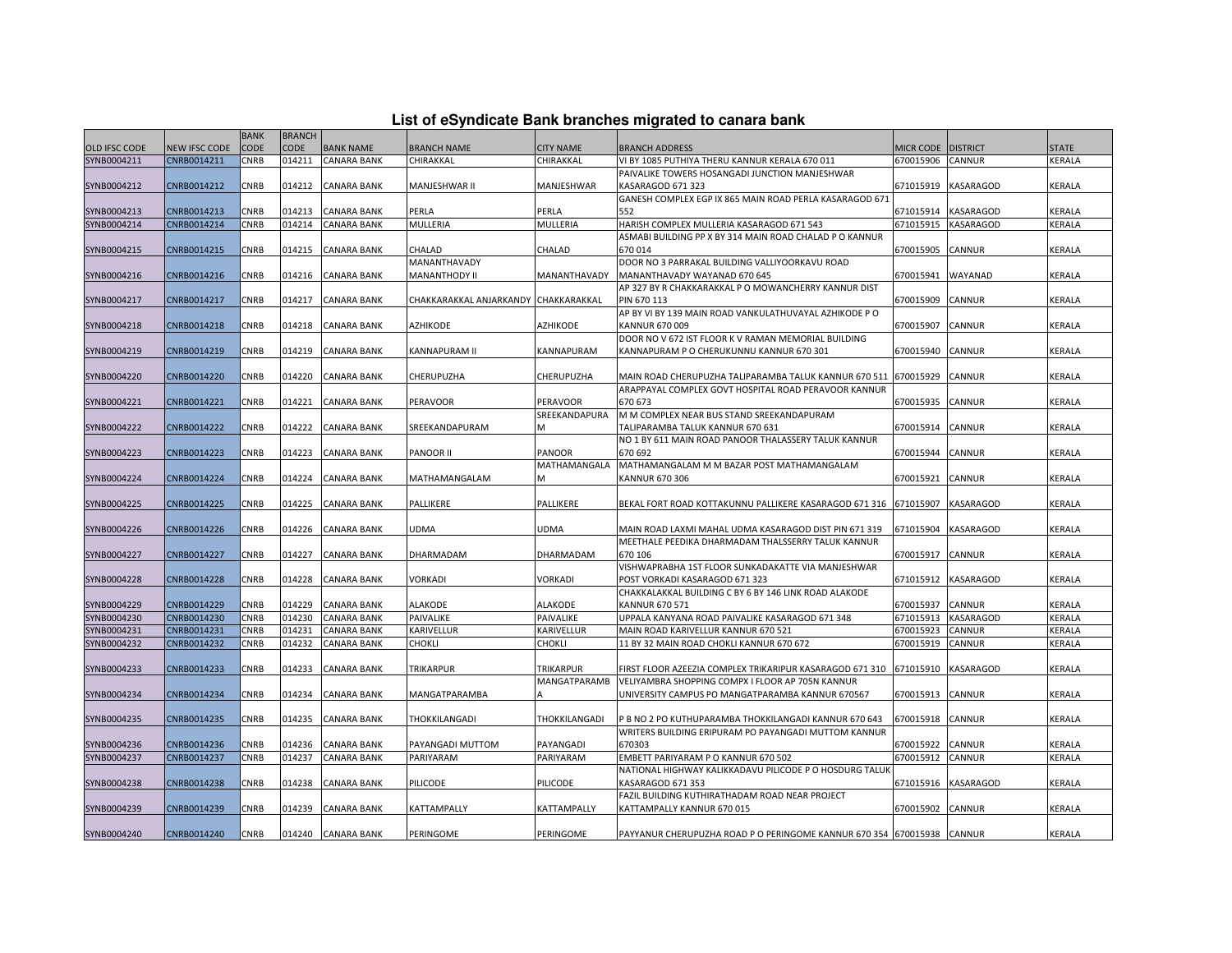|  |  | List of eSyndicate Bank branches migrated to canara bank |  |
|--|--|----------------------------------------------------------|--|
|--|--|----------------------------------------------------------|--|

|                      |                      | <b>BANK</b> | <b>BRANCH</b> |                    |                                      |                     |                                                                        |                      |                  |               |
|----------------------|----------------------|-------------|---------------|--------------------|--------------------------------------|---------------------|------------------------------------------------------------------------|----------------------|------------------|---------------|
| <b>OLD IFSC CODE</b> | <b>NEW IFSC CODE</b> | CODE        | CODE          | <b>BANK NAME</b>   | <b>BRANCH NAME</b>                   | <b>CITY NAME</b>    | BRANCH ADDRESS                                                         | MICR CODE   DISTRICT |                  | <b>STATE</b>  |
| SYNB0004211          | CNRB0014211          | CNRB        | 014211        | <b>CANARA BANK</b> | CHIRAKKAL                            | CHIRAKKAL           | VI BY 1085 PUTHIYA THERU KANNUR KERALA 670 011                         | 670015906            | CANNUR           | KERALA        |
|                      |                      |             |               |                    |                                      |                     | PAIVALIKE TOWERS HOSANGADI JUNCTION MANJESHWAR                         |                      |                  |               |
| SYNB0004212          | CNRB0014212          | CNRB        | 014212        | <b>CANARA BANK</b> | MANJESHWAR II                        | MANJESHWAR          | KASARAGOD 671 323                                                      | 671015919            | KASARAGOD        | KERALA        |
|                      |                      |             |               |                    |                                      |                     | GANESH COMPLEX EGP IX 865 MAIN ROAD PERLA KASARAGOD 671                |                      |                  |               |
| SYNB0004213          | CNRB0014213          | CNRB        | 014213        | <b>CANARA BANK</b> | PERLA                                | PERLA               | 552                                                                    | 671015914            | <b>KASARAGOD</b> | <b>KERALA</b> |
| SYNB0004214          | CNRB0014214          | CNRB        | 014214        | <b>CANARA BANK</b> | MULLERIA                             | MULLERIA            | HARISH COMPLEX MULLERIA KASARAGOD 671 543                              | 671015915            | KASARAGOD        | KERALA        |
|                      |                      |             |               |                    |                                      |                     | ASMABI BUILDING PP X BY 314 MAIN ROAD CHALAD P O KANNUR                |                      |                  |               |
| SYNB0004215          | CNRB0014215          | CNRB        | 014215        | <b>CANARA BANK</b> | CHALAD                               | CHALAD              | 670014                                                                 | 670015905            | CANNUR           | KERALA        |
|                      |                      |             |               |                    | MANANTHAVADY                         |                     | DOOR NO 3 PARRAKAL BUILDING VALLIYOORKAVU ROAD                         |                      |                  |               |
| SYNB0004216          | CNRB0014216          | CNRB        | 014216        | <b>CANARA BANK</b> | MANANTHODY II                        | MANANTHAVADY        | MANANTHAVADY WAYANAD 670 645                                           | 670015941            | WAYANAD          | <b>KERALA</b> |
|                      |                      |             |               |                    |                                      |                     | AP 327 BY R CHAKKARAKKAL P O MOWANCHERRY KANNUR DIST                   |                      |                  |               |
| SYNB0004217          | CNRB0014217          | CNRB        | 014217        | <b>CANARA BANK</b> | CHAKKARAKKAL ANJARKANDY CHAKKARAKKAL |                     | PIN 670 113                                                            | 670015909            | CANNUR           | KERALA        |
|                      |                      |             |               |                    |                                      |                     | AP BY VI BY 139 MAIN ROAD VANKULATHUVAYAL AZHIKODE P O                 |                      |                  |               |
| SYNB0004218          | CNRB0014218          | CNRB        | 014218        | <b>CANARA BANK</b> | <b>AZHIKODE</b>                      | <b>AZHIKODE</b>     | KANNUR 670 009                                                         | 670015907            | <b>CANNUR</b>    | <b>KERALA</b> |
|                      |                      |             |               |                    |                                      |                     | DOOR NO V 672 IST FLOOR K V RAMAN MEMORIAL BUILDING                    |                      |                  |               |
| SYNB0004219          | CNRB0014219          | CNRB        | 014219        | CANARA BANK        | KANNAPURAM II                        | KANNAPURAM          | KANNAPURAM P O CHERUKUNNU KANNUR 670 301                               | 670015940            | CANNUR           | <b>KERALA</b> |
|                      |                      |             |               |                    |                                      |                     |                                                                        |                      |                  |               |
| SYNB0004220          | CNRB0014220          | CNRB        | 014220        | <b>CANARA BANK</b> | CHERUPUZHA                           | CHERUPUZHA          | MAIN ROAD CHERUPUZHA TALIPARAMBA TALUK KANNUR 670 511                  | 670015929            | CANNUR           | KERALA        |
|                      |                      |             |               |                    |                                      |                     | ARAPPAYAL COMPLEX GOVT HOSPITAL ROAD PERAVOOR KANNUR                   |                      |                  |               |
| SYNB0004221          | CNRB0014221          | CNRB        | 014221        | <b>CANARA BANK</b> | PERAVOOR                             | <b>PERAVOOR</b>     | 670 673                                                                | 670015935            | CANNUR           | <b>KERALA</b> |
|                      |                      |             |               |                    |                                      | SREEKANDAPURA       | M M COMPLEX NEAR BUS STAND SREEKANDAPURAM                              |                      |                  |               |
| SYNB0004222          | CNRB0014222          | CNRB        | 014222        | <b>CANARA BANK</b> | SREEKANDAPURAM                       | M                   | TALIPARAMBA TALUK KANNUR 670 631                                       | 670015914            | <b>CANNUR</b>    | KERALA        |
|                      |                      |             |               |                    |                                      |                     | NO 1 BY 611 MAIN ROAD PANOOR THALASSERY TALUK KANNUR                   |                      |                  |               |
| SYNB0004223          | CNRB0014223          | CNRB        | 014223        | <b>CANARA BANK</b> | <b>PANOOR II</b>                     | <b>PANOOR</b>       | 670 692                                                                | 670015944            | CANNUR           | KERALA        |
|                      |                      |             |               |                    |                                      | MATHAMANGALA        | MATHAMANGALAM M M BAZAR POST MATHAMANGALAM                             |                      |                  |               |
| SYNB0004224          | CNRB0014224          | CNRB        | 014224        | <b>CANARA BANK</b> | MATHAMANGALAM                        | M                   | KANNUR 670 306                                                         | 670015921            | <b>CANNUR</b>    | KERALA        |
|                      |                      |             |               |                    |                                      |                     |                                                                        |                      |                  |               |
| SYNB0004225          | CNRB0014225          | CNRB        | 014225        | <b>CANARA BANK</b> | PALLIKERE                            | PALLIKERE           | BEKAL FORT ROAD KOTTAKUNNU PALLIKERE KASARAGOD 671 316                 | 671015907            | KASARAGOD        | KERALA        |
|                      |                      |             |               |                    |                                      |                     |                                                                        |                      |                  |               |
| SYNB0004226          | CNRB0014226          | CNRB        | 014226        | <b>CANARA BANK</b> | UDMA                                 | <b>UDMA</b>         | MAIN ROAD LAXMI MAHAL UDMA KASARAGOD DIST PIN 671 319                  | 671015904            | KASARAGOD        | KERALA        |
|                      |                      |             |               |                    |                                      |                     | MEETHALE PEEDIKA DHARMADAM THALSSERRY TALUK KANNUR                     |                      |                  |               |
| SYNB0004227          | CNRB0014227          | CNRB        | 014227        | <b>CANARA BANK</b> | <b>DHARMADAM</b>                     | <b>DHARMADAM</b>    | 670 106                                                                | 670015917            | <b>CANNUR</b>    | <b>KERALA</b> |
|                      |                      |             |               |                    |                                      |                     | VISHWAPRABHA 1ST FLOOR SUNKADAKATTE VIA MANJESHWAR                     |                      |                  |               |
| SYNB0004228          | CNRB0014228          | CNRB        | 014228        | <b>CANARA BANK</b> | VORKADI                              | <b>VORKADI</b>      | POST VORKADI KASARAGOD 671 323                                         | 671015912            | <b>KASARAGOD</b> | KERALA        |
|                      |                      |             |               |                    |                                      |                     | CHAKKALAKKAL BUILDING C BY 6 BY 146 LINK ROAD ALAKODE                  |                      |                  |               |
| SYNB0004229          | CNRB0014229          | CNRB        | 014229        | <b>CANARA BANK</b> | <b>ALAKODE</b>                       | ALAKODE             | KANNUR 670 571                                                         | 670015937            | CANNUR           | KERALA        |
| SYNB0004230          | CNRB0014230          | CNRB        | 014230        | <b>CANARA BANK</b> | PAIVALIKE                            | PAIVALIKE           | UPPALA KANYANA ROAD PAIVALIKE KASARAGOD 671 348                        | 671015913            | KASARAGOD        | KERALA        |
| SYNB0004231          | CNRB0014231          | CNRB        | 014231        | <b>CANARA BANK</b> | KARIVELLUR                           | KARIVELLUR          | MAIN ROAD KARIVELLUR KANNUR 670 521                                    | 670015923            | CANNUR           | KERALA        |
| SYNB0004232          | CNRB0014232          | CNRB        | 014232        | <b>CANARA BANK</b> | <b>CHOKLI</b>                        | CHOKLI              | 11 BY 32 MAIN ROAD CHOKLI KANNUR 670 672                               | 670015919            | CANNUR           | KERALA        |
|                      |                      |             |               |                    |                                      |                     |                                                                        |                      |                  |               |
| SYNB0004233          | CNRB0014233          | <b>CNRB</b> | 014233        | <b>CANARA BANK</b> | <b>TRIKARPUR</b>                     | <b>TRIKARPUR</b>    | FIRST FLOOR AZEEZIA COMPLEX TRIKARIPUR KASARAGOD 671 310               | 671015910            | <b>KASARAGOD</b> | KERALA        |
|                      |                      |             |               |                    |                                      | <b>MANGATPARAMB</b> | VELIYAMBRA SHOPPING COMPX I FLOOR AP 705N KANNUR                       |                      |                  |               |
| SYNB0004234          | CNRB0014234          | CNRB        | 014234        | <b>CANARA BANK</b> | MANGATPARAMBA                        |                     | UNIVERSITY CAMPUS PO MANGATPARAMBA KANNUR 670567                       | 670015913            | <b>CANNUR</b>    | KERALA        |
|                      |                      |             |               |                    |                                      |                     |                                                                        |                      |                  |               |
| SYNB0004235          | CNRB0014235          | CNRB        | 014235        | <b>CANARA BANK</b> | THOKKILANGADI                        | THOKKILANGADI       | P B NO 2 PO KUTHUPARAMBA THOKKILANGADI KANNUR 670 643                  | 670015918            | <b>CANNUR</b>    | KERALA        |
|                      |                      |             |               |                    |                                      |                     | WRITERS BUILDING ERIPURAM PO PAYANGADI MUTTOM KANNUR                   |                      |                  |               |
| SYNB0004236          | CNRB0014236          | CNRB        | 014236        | <b>CANARA BANK</b> | PAYANGADI MUTTOM                     | PAYANGADI           | 670303                                                                 | 670015922            | CANNUR           | KERALA        |
| SYNB0004237          | CNRB0014237          | CNRB        | 014237        | <b>CANARA BANK</b> | PARIYARAM                            | PARIYARAM           | EMBETT PARIYARAM P O KANNUR 670 502                                    | 670015912            | <b>CANNUR</b>    | KERALA        |
|                      |                      |             |               |                    |                                      |                     | NATIONAL HIGHWAY KALIKKADAVU PILICODE P O HOSDURG TALUI                |                      |                  |               |
| SYNB0004238          | CNRB0014238          | CNRB        | 014238        | <b>CANARA BANK</b> | PILICODE                             | PILICODE            | KASARAGOD 671 353                                                      | 671015916            | <b>KASARAGOD</b> | KERALA        |
|                      |                      |             |               |                    |                                      |                     | FAZIL BUILDING KUTHIRATHADAM ROAD NEAR PROJECT                         |                      |                  |               |
| SYNB0004239          | CNRB0014239          | CNRB        | 014239        | <b>CANARA BANK</b> | KATTAMPALLY                          | KATTAMPALLY         | KATTAMPALLY KANNUR 670 015                                             | 670015902            | CANNUR           | KERALA        |
|                      |                      |             |               |                    |                                      |                     |                                                                        |                      |                  |               |
| SYNB0004240          | CNRB0014240          | <b>CNRB</b> |               | 014240 CANARA BANK | PERINGOME                            | PERINGOME           | PAYYANUR CHERUPUZHA ROAD P O PERINGOME KANNUR 670 354 670015938 CANNUR |                      |                  | <b>KERALA</b> |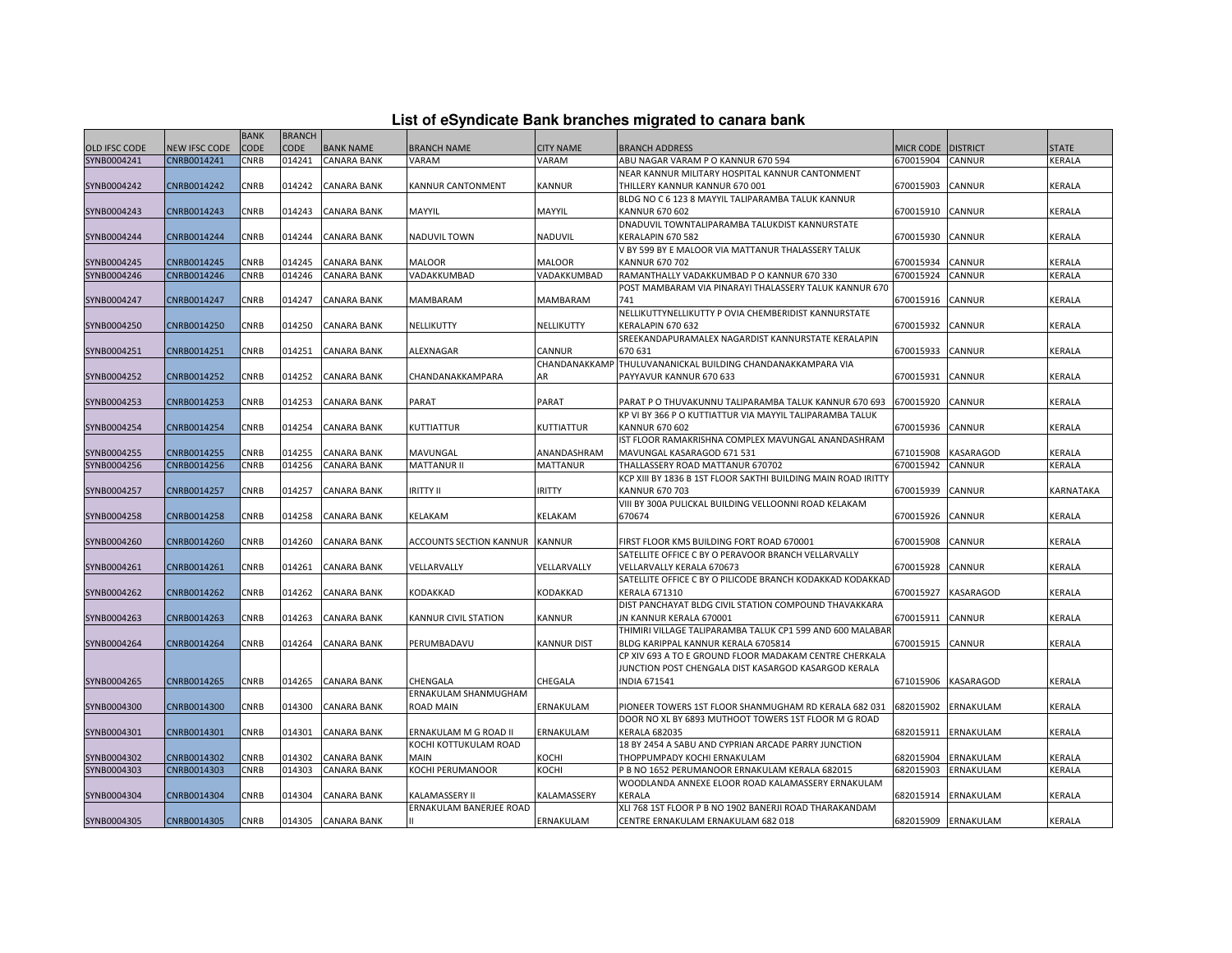|          | List of eSyndicate Bank branches migrated to canara bank |  |  |
|----------|----------------------------------------------------------|--|--|
| BRANCH I |                                                          |  |  |

|               |               | <b>BANK</b> | <b>BRANCH</b> |                    |                         |                    |                                                                                               |                    |                     |                  |
|---------------|---------------|-------------|---------------|--------------------|-------------------------|--------------------|-----------------------------------------------------------------------------------------------|--------------------|---------------------|------------------|
| OLD IFSC CODE | NEW IFSC CODE | <b>CODE</b> | <b>CODE</b>   | <b>BANK NAME</b>   | <b>BRANCH NAME</b>      | <b>CITY NAME</b>   | BRANCH ADDRESS                                                                                | MICR CODE DISTRICT |                     | <b>STATE</b>     |
| SYNB0004241   | CNRB0014241   | CNRB        | 014241        | <b>CANARA BANK</b> | VARAM                   | VARAM              | ABU NAGAR VARAM P O KANNUR 670 594                                                            | 670015904          | CANNUR              | KERALA           |
|               |               |             |               |                    |                         |                    | NEAR KANNUR MILITARY HOSPITAL KANNUR CANTONMENT                                               |                    |                     |                  |
| SYNB0004242   | CNRB0014242   | CNRB        | 014242        | CANARA BANK        | KANNUR CANTONMENT       | KANNUR             | THILLERY KANNUR KANNUR 670 001                                                                | 670015903          | CANNUR              | KERALA           |
|               |               |             |               |                    |                         |                    | BLDG NO C 6 123 8 MAYYIL TALIPARAMBA TALUK KANNUR                                             |                    |                     |                  |
| SYNB0004243   | CNRB0014243   | <b>CNRB</b> | 014243        | <b>CANARA BANK</b> | MAYYIL                  | MAYYIL             | KANNUR 670 602                                                                                | 670015910          | CANNUR              | KERALA           |
|               |               |             |               |                    |                         |                    | DNADUVIL TOWNTALIPARAMBA TALUKDIST KANNURSTATE                                                |                    |                     |                  |
| SYNB0004244   | CNRB0014244   | CNRB        | 014244        | CANARA BANK        | <b>NADUVIL TOWN</b>     | NADUVIL            | KERALAPIN 670 582                                                                             | 670015930          | <b>CANNUR</b>       | KERALA           |
|               |               |             |               |                    |                         |                    | V BY 599 BY E MALOOR VIA MATTANUR THALASSERY TALUK                                            |                    |                     |                  |
| SYNB0004245   | CNRB0014245   | CNRB        | 014245        | <b>CANARA BANK</b> | <b>MALOOR</b>           | <b>MALOOR</b>      | KANNUR 670 702                                                                                | 670015934          | CANNUR              | KERALA           |
| SYNB0004246   | CNRB0014246   | CNRB        | 014246        | <b>CANARA BANK</b> | VADAKKUMBAD             | VADAKKUMBAD        | RAMANTHALLY VADAKKUMBAD P O KANNUR 670 330                                                    | 670015924          | CANNUR              | KERALA           |
|               |               |             |               |                    |                         |                    | POST MAMBARAM VIA PINARAYI THALASSERY TALUK KANNUR 670                                        |                    |                     |                  |
| SYNB0004247   | CNRB0014247   | CNRB        | 014247        | <b>CANARA BANK</b> | MAMBARAM                | MAMBARAM           | 741                                                                                           | 670015916          | CANNUR              | KERALA           |
|               |               |             |               |                    |                         |                    | NELLIKUTTYNELLIKUTTY P OVIA CHEMBERIDIST KANNURSTATE                                          |                    |                     |                  |
| SYNB0004250   | CNRB0014250   | CNRB        | 014250        | <b>CANARA BANK</b> | NELLIKUTTY              | NELLIKUTTY         | KERALAPIN 670 632                                                                             | 670015932          | CANNUR              | KERALA           |
|               |               |             |               |                    |                         |                    | SREEKANDAPURAMALEX NAGARDIST KANNURSTATE KERALAPIN                                            |                    |                     |                  |
| SYNB0004251   | CNRB0014251   | CNRB        | 014251        | <b>CANARA BANK</b> | ALEXNAGAR               | CANNUR             | 670 631                                                                                       | 670015933          | CANNUR              | KERALA           |
|               |               |             |               |                    |                         | CHANDANAKKAMP      | THULUVANANICKAL BUILDING CHANDANAKKAMPARA VIA                                                 |                    |                     |                  |
| SYNB0004252   | CNRB0014252   | CNRB        | 014252        | CANARA BANK        | CHANDANAKKAMPARA        | AR                 | PAYYAVUR KANNUR 670 633                                                                       | 670015931          | CANNUR              | KERALA           |
|               |               |             |               |                    |                         |                    |                                                                                               |                    |                     |                  |
| SYNB0004253   | CNRB0014253   | CNRB        | 014253        | <b>CANARA BANK</b> | PARAT                   | PARAT              | PARAT P O THUVAKUNNU TALIPARAMBA TALUK KANNUR 670 693                                         | 670015920          | <b>CANNUR</b>       | KERALA           |
|               |               |             |               |                    |                         |                    | KP VI BY 366 P O KUTTIATTUR VIA MAYYIL TALIPARAMBA TALUK                                      |                    |                     |                  |
| SYNB0004254   | CNRB0014254   | CNRB        | 014254        | <b>CANARA BANK</b> | KUTTIATTUR              | KUTTIATTUR         | KANNUR 670 602                                                                                | 670015936          | <b>CANNUR</b>       | KERALA           |
|               |               |             |               |                    |                         |                    | IST FLOOR RAMAKRISHNA COMPLEX MAVUNGAL ANANDASHRAM                                            |                    |                     |                  |
| SYNB0004255   | CNRB0014255   | <b>CNRB</b> | 014255        | <b>CANARA BANK</b> | MAVUNGAL                | ANANDASHRAM        | MAVUNGAL KASARAGOD 671 531                                                                    | 671015908          | <b>KASARAGOD</b>    | KERALA           |
| SYNB0004256   | CNRB0014256   | CNRB        | 014256        | <b>CANARA BANK</b> | <b>MATTANUR II</b>      | <b>MATTANUR</b>    | THALLASSERY ROAD MATTANUR 670702                                                              | 670015942          | CANNUR              | KERALA           |
|               |               |             |               |                    |                         |                    | KCP XIII BY 1836 B 1ST FLOOR SAKTHI BUILDING MAIN ROAD IRITTY                                 |                    |                     | <b>KARNATAKA</b> |
| SYNB0004257   | CNRB0014257   | CNRB        | 014257        | <b>CANARA BANK</b> | <b>IRITTY II</b>        | <b>IRITTY</b>      | KANNUR 670 703                                                                                | 670015939          | CANNUR              |                  |
|               |               | CNRB        | 014258        | <b>CANARA BANK</b> | KELAKAM                 |                    | VIII BY 300A PULICKAL BUILDING VELLOONNI ROAD KELAKAM                                         |                    |                     |                  |
| SYNB0004258   | CNRB0014258   |             |               |                    |                         | KELAKAM            | 670674                                                                                        | 670015926          | <b>CANNUR</b>       | KERALA           |
| SYNB0004260   | CNRB0014260   | <b>CNRB</b> | 014260        | <b>CANARA BANK</b> | ACCOUNTS SECTION KANNUR | <b>KANNUR</b>      | FIRST FLOOR KMS BUILDING FORT ROAD 670001                                                     | 670015908          | CANNUR              | <b>KERALA</b>    |
|               |               |             |               |                    |                         |                    | SATELLITE OFFICE C BY O PERAVOOR BRANCH VELLARVALLY                                           |                    |                     |                  |
| SYNB0004261   | CNRB0014261   | <b>CNRB</b> | 014261        | <b>CANARA BANK</b> | VELLARVALLY             | VELLARVALLY        | VELLARVALLY KERALA 670673                                                                     | 670015928          | <b>CANNUR</b>       | KERALA           |
|               |               |             |               |                    |                         |                    | SATELLITE OFFICE C BY O PILICODE BRANCH KODAKKAD KODAKKAD                                     |                    |                     |                  |
| SYNB0004262   | CNRB0014262   | CNRB        | 014262        | <b>CANARA BANK</b> | KODAKKAD                | KODAKKAD           | KERALA 671310                                                                                 | 670015927          | <b>KASARAGOD</b>    | KERALA           |
|               |               |             |               |                    |                         |                    |                                                                                               |                    |                     |                  |
| SYNB0004263   |               |             |               |                    |                         |                    |                                                                                               |                    |                     |                  |
|               |               |             |               |                    |                         |                    | DIST PANCHAYAT BLDG CIVIL STATION COMPOUND THAVAKKARA                                         |                    |                     |                  |
|               | CNRB0014263   | CNRB        | 014263        | CANARA BANK        | KANNUR CIVIL STATION    | KANNUR             | JN KANNUR KERALA 670001                                                                       | 670015911          | CANNUR              | KERALA           |
|               |               |             |               |                    |                         |                    | THIMIRI VILLAGE TALIPARAMBA TALUK CP1 599 AND 600 MALABAR                                     |                    |                     |                  |
| SYNB0004264   | CNRB0014264   | CNRB        | 014264        | CANARA BANK        | PERUMBADAVU             | <b>KANNUR DIST</b> | BLDG KARIPPAL KANNUR KERALA 6705814<br>CP XIV 693 A TO E GROUND FLOOR MADAKAM CENTRE CHERKALA | 670015915          | CANNUR              | KERALA           |
|               |               |             |               |                    |                         |                    | JUNCTION POST CHENGALA DIST KASARGOD KASARGOD KERALA                                          |                    |                     |                  |
| SYNB0004265   | CNRB0014265   | CNRB        | 014265        | <b>CANARA BANK</b> | CHENGALA                | CHEGALA            | <b>INDIA 671541</b>                                                                           | 671015906          | <b>KASARAGOD</b>    | KERALA           |
|               |               |             |               |                    | ERNAKULAM SHANMUGHAM    |                    |                                                                                               |                    |                     |                  |
| SYNB0004300   | CNRB0014300   | CNRB        | 014300        | <b>CANARA BANK</b> | <b>ROAD MAIN</b>        | ERNAKULAM          | PIONEER TOWERS 1ST FLOOR SHANMUGHAM RD KERALA 682 031                                         | 682015902          | ERNAKULAM           | <b>KERALA</b>    |
|               |               |             |               |                    |                         |                    | DOOR NO XL BY 6893 MUTHOOT TOWERS 1ST FLOOR M G ROAD                                          |                    |                     |                  |
| SYNB0004301   | CNRB0014301   | CNRB        | 014301        | CANARA BANK        | ERNAKULAM M G ROAD II   | ERNAKULAM          | <b>KERALA 682035</b>                                                                          | 682015911          | ERNAKULAM           | KERALA           |
|               |               |             |               |                    | KOCHI KOTTUKULAM ROAD   |                    | 18 BY 2454 A SABU AND CYPRIAN ARCADE PARRY JUNCTION                                           |                    |                     |                  |
| SYNB0004302   | CNRB0014302   | CNRB        | 014302        | <b>CANARA BANK</b> | <b>MAIN</b>             | KOCHI              | THOPPUMPADY KOCHI ERNAKULAM                                                                   | 682015904          | ERNAKULAM           | KERALA           |
| SYNB0004303   | CNRB0014303   | <b>CNRB</b> | 014303        | <b>CANARA BANK</b> | <b>KOCHI PERUMANOOR</b> | KOCHI              | P B NO 1652 PERUMANOOR ERNAKULAM KERALA 682015                                                | 682015903          | ERNAKULAM           | KERALA           |
|               |               |             |               |                    |                         |                    | WOODLANDA ANNEXE ELOOR ROAD KALAMASSERY ERNAKULAM                                             |                    |                     |                  |
| SYNB0004304   | CNRB0014304   | CNRB        | 014304        | <b>CANARA BANK</b> | <b>KALAMASSERY II</b>   | KALAMASSERY        | KERALA                                                                                        | 682015914          | ERNAKULAM           | KERALA           |
| SYNB0004305   | CNRB0014305   | CNRB        | 014305        | <b>CANARA BANK</b> | ERNAKULAM BANERJEE ROAD |                    | XLI 768 1ST FLOOR P B NO 1902 BANERJI ROAD THARAKANDAM<br>CENTRE ERNAKULAM ERNAKULAM 682 018  |                    | 682015909 ERNAKULAM | <b>KERALA</b>    |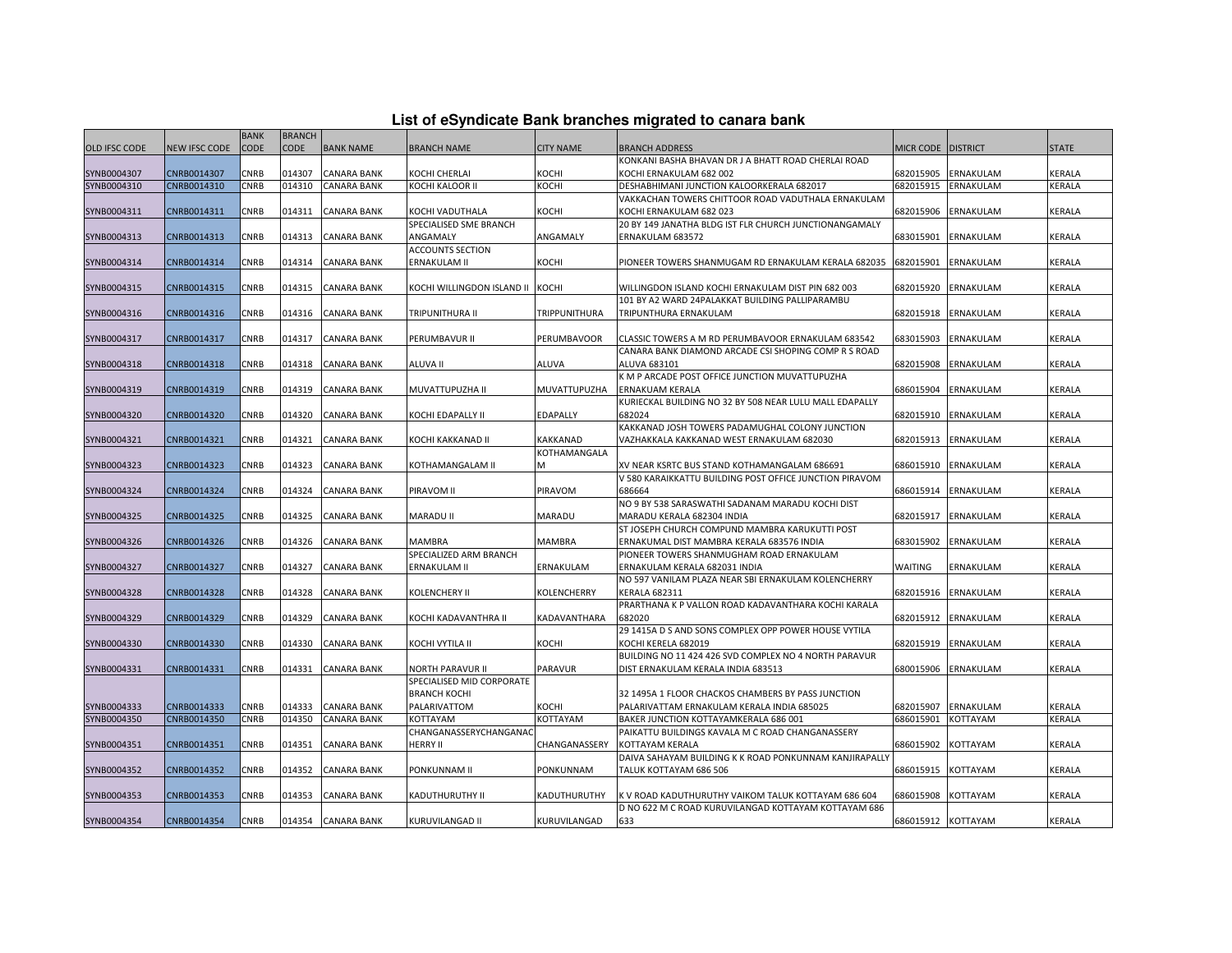|  | List of eSyndicate Bank branches migrated to canara bank |  |  |  |  |
|--|----------------------------------------------------------|--|--|--|--|
|  |                                                          |  |  |  |  |

|                      |               | <b>BANK</b> | <b>BRANCH</b> |                    |                                  |                  |                                                         |                      |           |               |
|----------------------|---------------|-------------|---------------|--------------------|----------------------------------|------------------|---------------------------------------------------------|----------------------|-----------|---------------|
| <b>OLD IFSC CODE</b> | NEW IFSC CODE | CODE        | <b>CODE</b>   | <b>BANK NAME</b>   | <b>BRANCH NAME</b>               | <b>CITY NAME</b> | BRANCH ADDRESS                                          | MICR CODE   DISTRICT |           | <b>STATE</b>  |
|                      |               |             |               |                    |                                  |                  | KONKANI BASHA BHAVAN DR J A BHATT ROAD CHERLAI ROAD     |                      |           |               |
| SYNB0004307          | CNRB0014307   | CNRB        | 014307        | <b>CANARA BANK</b> | KOCHI CHERLAI                    | KOCHI            | KOCHI ERNAKULAM 682 002                                 | 682015905            | ERNAKULAM | KERALA        |
| SYNB0004310          | CNRB0014310   | CNRB        | 014310        | <b>CANARA BANK</b> | KOCHI KALOOR II                  | KOCHI            | DESHABHIMANI JUNCTION KALOORKERALA 682017               | 682015915            | ERNAKULAM | <b>KERALA</b> |
|                      |               |             |               |                    |                                  |                  | VAKKACHAN TOWERS CHITTOOR ROAD VADUTHALA ERNAKULAM      |                      |           |               |
| SYNB0004311          | CNRB0014311   | CNRB        | 014311        | <b>CANARA BANK</b> | KOCHI VADUTHALA                  | KOCHI            | KOCHI ERNAKULAM 682 023                                 | 682015906            | ERNAKULAM | KERALA        |
|                      |               |             |               |                    | SPECIALISED SME BRANCH           |                  | 20 BY 149 JANATHA BLDG IST FLR CHURCH JUNCTIONANGAMALY  |                      |           |               |
| SYNB0004313          | CNRB0014313   | CNRB        | 014313        | <b>CANARA BANK</b> | ANGAMALY                         | ANGAMALY         | ERNAKULAM 683572                                        | 683015901            | ERNAKULAM | KERALA        |
|                      |               |             |               |                    | <b>ACCOUNTS SECTION</b>          |                  |                                                         |                      |           |               |
| SYNB0004314          | CNRB0014314   | CNRB        | 014314        | CANARA BANK        | ERNAKULAM II                     | KOCHI            | PIONEER TOWERS SHANMUGAM RD ERNAKULAM KERALA 682035     | 682015901            | ERNAKULAM | KERALA        |
|                      |               |             |               |                    |                                  |                  |                                                         |                      |           |               |
| SYNB0004315          | CNRB0014315   | CNRB        | 014315        | <b>CANARA BANK</b> | KOCHI WILLINGDON ISLAND II KOCHI |                  | WILLINGDON ISLAND KOCHI ERNAKULAM DIST PIN 682 003      | 682015920            | ERNAKULAM | KERALA        |
|                      |               |             |               |                    |                                  |                  | 101 BY A2 WARD 24PALAKKAT BUILDING PALLIPARAMBU         |                      |           |               |
| SYNB0004316          | CNRB0014316   | <b>CNRB</b> | 014316        | <b>CANARA BANK</b> | TRIPUNITHURA II                  | TRIPPUNITHURA    | TRIPUNTHURA ERNAKULAM                                   | 682015918            | ERNAKULAM | <b>KERALA</b> |
|                      |               |             |               |                    |                                  |                  |                                                         |                      |           |               |
| SYNB0004317          | CNRB0014317   | CNRB        | 014317        | <b>CANARA BANK</b> | PERUMBAVUR II                    | PERUMBAVOOR      | CLASSIC TOWERS A M RD PERUMBAVOOR ERNAKULAM 683542      | 683015903            | ERNAKULAM | KERALA        |
|                      |               |             |               |                    |                                  |                  | CANARA BANK DIAMOND ARCADE CSI SHOPING COMP R S ROAD    |                      |           |               |
| SYNB0004318          | CNRB0014318   | CNRB        | 014318        | <b>CANARA BANK</b> | ALUVA II                         | <b>ALUVA</b>     | ALUVA 683101                                            | 682015908            | ERNAKULAM | KERALA        |
|                      |               |             |               |                    |                                  |                  | K M P ARCADE POST OFFICE JUNCTION MUVATTUPUZHA          |                      |           |               |
| SYNB0004319          | CNRB0014319   | CNRB        | 014319        | <b>CANARA BANK</b> | MUVATTUPUZHA II                  | MUVATTUPUZHA     | ERNAKUAM KERALA                                         | 686015904            | ERNAKULAM | KERALA        |
|                      |               |             |               |                    |                                  |                  | KURIECKAL BUILDING NO 32 BY 508 NEAR LULU MALL EDAPALLY |                      |           |               |
| SYNB0004320          | CNRB0014320   | CNRB        | 014320        | <b>CANARA BANK</b> | KOCHI EDAPALLY II                | <b>EDAPALLY</b>  | 682024                                                  | 682015910            | ERNAKULAM | KERALA        |
|                      |               |             |               |                    |                                  |                  | KAKKANAD JOSH TOWERS PADAMUGHAL COLONY JUNCTION         |                      |           |               |
| SYNB0004321          | CNRB0014321   | CNRB        | 014321        | <b>CANARA BANK</b> | KOCHI KAKKANAD II                | KAKKANAD         | VAZHAKKALA KAKKANAD WEST ERNAKULAM 682030               | 682015913            | ERNAKULAM | KERALA        |
|                      |               |             |               |                    |                                  | KOTHAMANGALA     |                                                         |                      |           |               |
| SYNB0004323          | CNRB0014323   | CNRB        | 014323        | <b>CANARA BANK</b> | KOTHAMANGALAM II                 | м                | XV NEAR KSRTC BUS STAND KOTHAMANGALAM 686691            | 686015910            | ERNAKULAM | KERALA        |
|                      |               |             |               |                    |                                  |                  | V 580 KARAIKKATTU BUILDING POST OFFICE JUNCTION PIRAVOM |                      |           |               |
| SYNB0004324          | CNRB0014324   | CNRB        | 014324        | <b>CANARA BANK</b> | PIRAVOM II                       | PIRAVOM          | 686664                                                  | 686015914            | ERNAKULAM | KERALA        |
|                      |               |             |               |                    |                                  |                  | NO 9 BY 538 SARASWATHI SADANAM MARADU KOCHI DIST        |                      |           |               |
| SYNB0004325          | CNRB0014325   | CNRB        | 014325        | <b>CANARA BANK</b> | <b>MARADU II</b>                 | MARADU           | MARADU KERALA 682304 INDIA                              | 682015917            | ERNAKULAM | KERALA        |
|                      |               |             |               |                    |                                  |                  | ST JOSEPH CHURCH COMPUND MAMBRA KARUKUTTI POST          |                      |           |               |
| SYNB0004326          | CNRB0014326   | CNRB        | 014326        | <b>CANARA BANK</b> | <b>MAMBRA</b>                    | <b>MAMBRA</b>    | ERNAKUMAL DIST MAMBRA KERALA 683576 INDIA               | 683015902            | ERNAKULAM | <b>KERALA</b> |
|                      |               |             |               |                    | SPECIALIZED ARM BRANCH           |                  | PIONEER TOWERS SHANMUGHAM ROAD ERNAKULAM                |                      |           |               |
| SYNB0004327          | CNRB0014327   | CNRB        | 014327        | <b>CANARA BANK</b> | <b>ERNAKULAM II</b>              | ERNAKULAM        | ERNAKULAM KERALA 682031 INDIA                           | <b>WAITING</b>       | ERNAKULAM | <b>KERALA</b> |
|                      |               |             |               |                    |                                  |                  | NO 597 VANILAM PLAZA NEAR SBI ERNAKULAM KOLENCHERRY     |                      |           |               |
| SYNB0004328          | CNRB0014328   | CNRB        | 014328        | CANARA BANK        | KOLENCHERY II                    | KOLENCHERRY      | KERALA 682311                                           | 682015916            | ERNAKULAM | KERALA        |
|                      |               |             |               |                    |                                  |                  | PRARTHANA K P VALLON ROAD KADAVANTHARA KOCHI KARALA     |                      |           |               |
| SYNB0004329          | CNRB0014329   | CNRB        | 014329        | CANARA BANK        | KOCHI KADAVANTHRA II             | KADAVANTHARA     | 682020                                                  | 682015912            | ERNAKULAM | KERALA        |
|                      |               |             |               |                    |                                  |                  | 29 1415A D S AND SONS COMPLEX OPP POWER HOUSE VYTILA    |                      |           |               |
| SYNB0004330          | CNRB0014330   | CNRB        | 014330        | <b>CANARA BANK</b> | KOCHI VYTILA II                  | KOCHI            | KOCHI KERELA 682019                                     | 682015919            | ERNAKULAM | KERALA        |
|                      |               |             |               |                    |                                  |                  | BUILDING NO 11 424 426 SVD COMPLEX NO 4 NORTH PARAVUR   |                      |           |               |
| SYNB0004331          | CNRB0014331   | CNRB        | 014331        | <b>CANARA BANK</b> | <b>NORTH PARAVUR II</b>          | PARAVUR          | DIST ERNAKULAM KERALA INDIA 683513                      | 680015906            | ERNAKULAM | KERALA        |
|                      |               |             |               |                    | SPECIALISED MID CORPORATE        |                  |                                                         |                      |           |               |
|                      |               |             |               |                    | <b>BRANCH KOCHI</b>              |                  | 32 1495A 1 FLOOR CHACKOS CHAMBERS BY PASS JUNCTION      |                      |           |               |
| SYNB0004333          | CNRB0014333   | CNRB        | 014333        | <b>CANARA BANK</b> | PALARIVATTOM                     | KOCHI            | PALARIVATTAM ERNAKULAM KERALA INDIA 685025              | 682015907            | ERNAKULAM | <b>KERALA</b> |
| SYNB0004350          | CNRB0014350   | CNRB        | 014350        | <b>CANARA BANK</b> | KOTTAYAM                         | KOTTAYAM         | BAKER JUNCTION KOTTAYAMKERALA 686 001                   | 686015901            | KOTTAYAM  | KERALA        |
|                      |               |             |               |                    | CHANGANASSERYCHANGANAC           |                  | PAIKATTU BUILDINGS KAVALA M C ROAD CHANGANASSERY        |                      |           |               |
| SYNB0004351          | CNRB0014351   | CNRB        | 014351        | <b>CANARA BANK</b> | <b>HERRY II</b>                  | CHANGANASSERY    | KOTTAYAM KERALA                                         | 686015902            | KOTTAYAM  | KERALA        |
|                      |               |             |               |                    |                                  |                  | DAIVA SAHAYAM BUILDING K K ROAD PONKUNNAM KANJIRAPALLY  |                      |           |               |
| SYNB0004352          | CNRB0014352   | CNRB        | 014352        | <b>CANARA BANK</b> | PONKUNNAM II                     | <b>PONKUNNAM</b> | TALUK KOTTAYAM 686 506                                  | 686015915            | KOTTAYAM  | KERALA        |
|                      |               |             |               |                    |                                  |                  |                                                         |                      |           |               |
| SYNB0004353          | CNRB0014353   | CNRB        | 014353        | <b>CANARA BANK</b> | KADUTHURUTHY II                  | KADUTHURUTHY     | K V ROAD KADUTHURUTHY VAIKOM TALUK KOTTAYAM 686 604     | 686015908            | KOTTAYAM  | <b>KERALA</b> |
|                      |               |             |               |                    |                                  |                  | D NO 622 M C ROAD KURUVILANGAD KOTTAYAM KOTTAYAM 686    |                      |           |               |
| SYNB0004354          | CNRB0014354   | <b>CNRB</b> | 014354        | <b>CANARA BANK</b> | KURUVILANGAD II                  | KURUVILANGAD     | 633                                                     | 686015912 KOTTAYAM   |           | <b>KERALA</b> |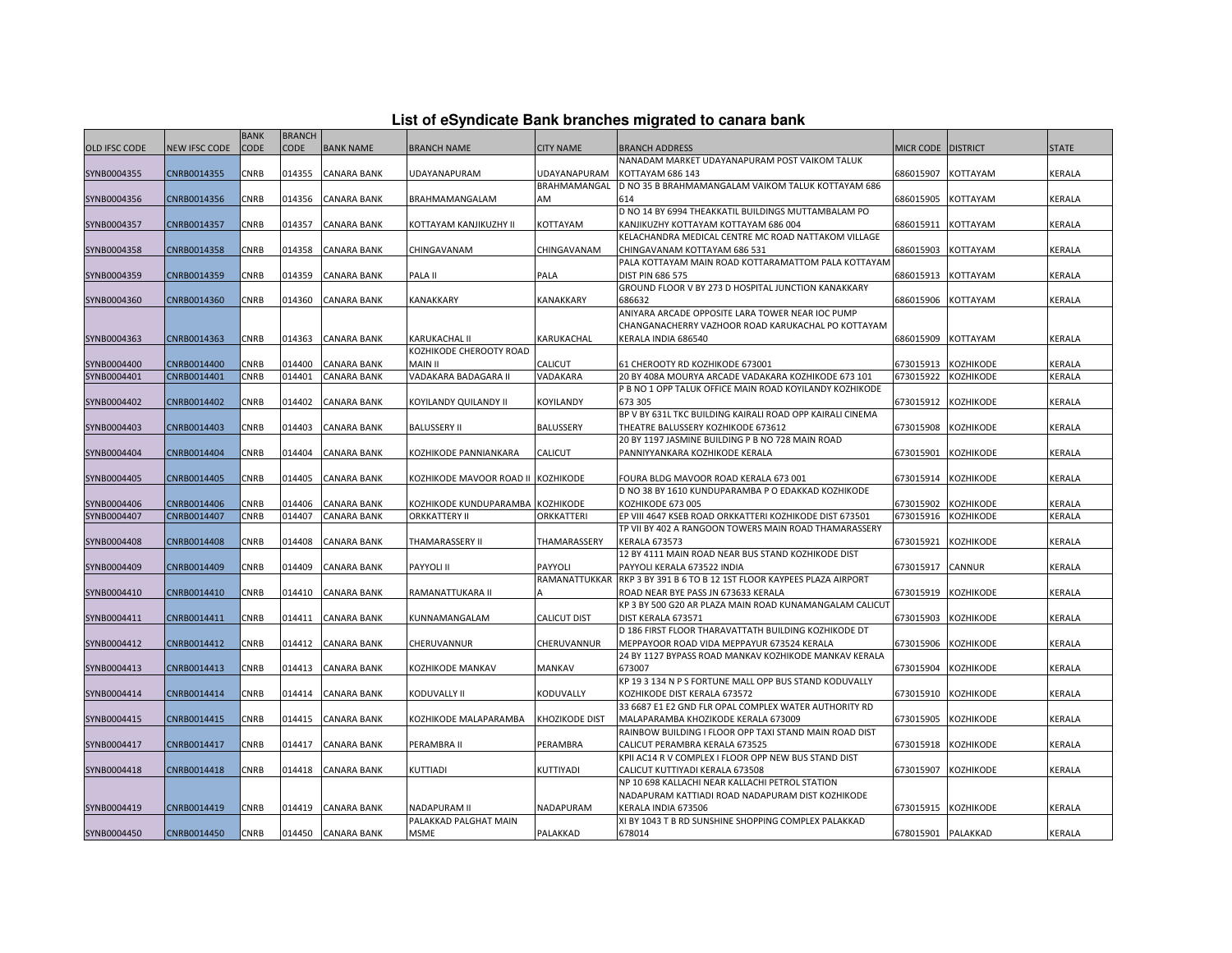|  |  | List of eSyndicate Bank branches migrated to canara bank |  |  |  |
|--|--|----------------------------------------------------------|--|--|--|
|  |  |                                                          |  |  |  |

|               | List of eSyndicate Bank branches migrated to canara bank |                            |                              |                    |                                    |                     |                                                                                               |                    |                  |               |  |  |
|---------------|----------------------------------------------------------|----------------------------|------------------------------|--------------------|------------------------------------|---------------------|-----------------------------------------------------------------------------------------------|--------------------|------------------|---------------|--|--|
| OLD IFSC CODE | <b>NEW IFSC CODE</b>                                     | <b>BANK</b><br><b>CODE</b> | <b>BRANCH</b><br><b>CODE</b> | <b>BANK NAME</b>   | <b>BRANCH NAME</b>                 | <b>CITY NAME</b>    | <b>BRANCH ADDRESS</b>                                                                         | MICR CODE DISTRICT |                  | <b>STATE</b>  |  |  |
|               |                                                          |                            |                              |                    |                                    |                     | NANADAM MARKET UDAYANAPURAM POST VAIKOM TALUK                                                 |                    |                  |               |  |  |
| SYNB0004355   | CNRB0014355                                              | CNRB                       | 014355                       | <b>CANARA BANK</b> | UDAYANAPURAM                       | UDAYANAPURAM        | KOTTAYAM 686 143                                                                              | 686015907          | KOTTAYAM         | KERALA        |  |  |
|               |                                                          |                            |                              |                    |                                    | BRAHMAMANGAL        | D NO 35 B BRAHMAMANGALAM VAIKOM TALUK KOTTAYAM 686                                            |                    |                  |               |  |  |
| SYNB0004356   | CNRB0014356                                              | CNRB                       | 014356                       | <b>CANARA BANK</b> | BRAHMAMANGALAM                     | AM                  | 614                                                                                           | 686015905          | KOTTAYAM         | KERALA        |  |  |
|               |                                                          |                            |                              |                    |                                    |                     | D NO 14 BY 6994 THEAKKATIL BUILDINGS MUTTAMBALAM PO                                           |                    |                  |               |  |  |
| SYNB0004357   | CNRB0014357                                              | CNRB                       | 014357                       | <b>CANARA BANK</b> | KOTTAYAM KANJIKUZHY II             | KOTTAYAM            | KANJIKUZHY KOTTAYAM KOTTAYAM 686 004                                                          | 686015911          | KOTTAYAM         | KERALA        |  |  |
|               |                                                          |                            |                              |                    |                                    |                     | KELACHANDRA MEDICAL CENTRE MC ROAD NATTAKOM VILLAGE                                           |                    |                  |               |  |  |
| SYNB0004358   | CNRB0014358                                              | CNRB                       | 014358                       | <b>CANARA BANK</b> | CHINGAVANAM                        | CHINGAVANAM         | CHINGAVANAM KOTTAYAM 686 531                                                                  | 686015903          | KOTTAYAM         | KERALA        |  |  |
|               |                                                          |                            |                              |                    |                                    |                     | PALA KOTTAYAM MAIN ROAD KOTTARAMATTOM PALA KOTTAYAM                                           |                    |                  |               |  |  |
| SYNB0004359   | CNRB0014359                                              | CNRB                       | 014359                       | <b>CANARA BANK</b> | PALA II                            | PALA                | DIST PIN 686 575                                                                              | 686015913          | KOTTAYAM         | KERALA        |  |  |
|               |                                                          |                            |                              |                    |                                    |                     | GROUND FLOOR V BY 273 D HOSPITAL JUNCTION KANAKKARY                                           |                    |                  |               |  |  |
| SYNB0004360   | CNRB0014360                                              | CNRB                       | 014360                       | <b>CANARA BANK</b> | <b>KANAKKARY</b>                   | KANAKKARY           | 686632                                                                                        | 686015906          | KOTTAYAM         | KERALA        |  |  |
|               |                                                          |                            |                              |                    |                                    |                     | ANIYARA ARCADE OPPOSITE LARA TOWER NEAR IOC PUMP                                              |                    |                  |               |  |  |
|               |                                                          |                            |                              |                    |                                    |                     | CHANGANACHERRY VAZHOOR ROAD KARUKACHAL PO KOTTAYAM                                            |                    |                  |               |  |  |
| SYNB0004363   | CNRB0014363                                              | CNRB                       | 014363                       | <b>CANARA BANK</b> | <b>KARUKACHAL II</b>               | KARUKACHAL          | KERALA INDIA 686540                                                                           | 686015909          | <b>KOTTAYAM</b>  | KERALA        |  |  |
|               |                                                          |                            |                              |                    | KOZHIKODE CHEROOTY ROAD            |                     |                                                                                               |                    |                  |               |  |  |
| SYNB0004400   | CNRB0014400                                              | CNRB                       | 014400                       | <b>CANARA BANK</b> | <b>MAIN II</b>                     | CALICUT             | 61 CHEROOTY RD KOZHIKODE 673001                                                               | 673015913          | <b>KOZHIKODE</b> | KERALA        |  |  |
| SYNB0004401   | CNRB0014401                                              | CNRB                       | 014401                       | <b>CANARA BANK</b> | VADAKARA BADAGARA II               | VADAKARA            | 20 BY 408A MOURYA ARCADE VADAKARA KOZHIKODE 673 101                                           | 673015922          | KOZHIKODE        | KERALA        |  |  |
|               |                                                          |                            |                              |                    |                                    |                     | P B NO 1 OPP TALUK OFFICE MAIN ROAD KOYILANDY KOZHIKODE                                       |                    |                  |               |  |  |
| SYNB0004402   | CNRB0014402                                              | CNRB                       | 014402                       | <b>CANARA BANK</b> | KOYILANDY QUILANDY II              | KOYILANDY           | 673 305                                                                                       | 673015912          | KOZHIKODE        | KERALA        |  |  |
|               |                                                          |                            |                              |                    |                                    |                     | BP V BY 631L TKC BUILDING KAIRALI ROAD OPP KAIRALI CINEMA                                     |                    |                  |               |  |  |
| SYNB0004403   | CNRB0014403                                              | CNRB                       | 014403                       | <b>CANARA BANK</b> | <b>BALUSSERY II</b>                | BALUSSERY           | THEATRE BALUSSERY KOZHIKODE 673612                                                            | 673015908          | <b>KOZHIKODE</b> | <b>KERALA</b> |  |  |
|               |                                                          |                            |                              |                    |                                    |                     | 20 BY 1197 JASMINE BUILDING P B NO 728 MAIN ROAD                                              |                    |                  |               |  |  |
| SYNB0004404   | CNRB0014404                                              | CNRB                       | 014404                       | <b>CANARA BANK</b> | KOZHIKODE PANNIANKARA              | <b>CALICUT</b>      | PANNIYYANKARA KOZHIKODE KERALA                                                                | 673015901          | KOZHIKODE        | <b>KERALA</b> |  |  |
| SYNB0004405   | CNRB0014405                                              | CNRB                       | 014405                       | <b>CANARA BANK</b> | KOZHIKODE MAVOOR ROAD II KOZHIKODE |                     | FOURA BLDG MAVOOR ROAD KERALA 673 001                                                         | 673015914          | KOZHIKODE        | KERALA        |  |  |
|               |                                                          |                            |                              |                    |                                    |                     | D NO 38 BY 1610 KUNDUPARAMBA P O EDAKKAD KOZHIKODE                                            |                    |                  |               |  |  |
| SYNB0004406   | CNRB0014406                                              | CNRB                       | 014406                       | <b>CANARA BANK</b> | KOZHIKODE KUNDUPARAMBA KOZHIKODE   |                     | KOZHIKODE 673 005                                                                             | 673015902          | <b>KOZHIKODE</b> | KERALA        |  |  |
| SYNB0004407   | CNRB0014407                                              | CNRB                       | 014407                       | <b>CANARA BANK</b> | <b>ORKKATTERY II</b>               | ORKKATTERI          | EP VIII 4647 KSEB ROAD ORKKATTERI KOZHIKODE DIST 673501                                       | 673015916          | KOZHIKODE        | KERALA        |  |  |
|               |                                                          |                            |                              |                    |                                    |                     | TP VII BY 402 A RANGOON TOWERS MAIN ROAD THAMARASSERY                                         |                    |                  |               |  |  |
| SYNB0004408   | CNRB0014408                                              | CNRB                       | 014408                       | <b>CANARA BANK</b> | THAMARASSERY II                    | THAMARASSERY        | KERALA 673573                                                                                 | 673015921          | KOZHIKODE        | KERALA        |  |  |
|               |                                                          |                            |                              |                    |                                    |                     | 12 BY 4111 MAIN ROAD NEAR BUS STAND KOZHIKODE DIST                                            |                    |                  |               |  |  |
| SYNB0004409   | CNRB0014409                                              | CNRB                       | 014409                       | <b>CANARA BANK</b> | PAYYOLI II                         | PAYYOLI             | PAYYOLI KERALA 673522 INDIA                                                                   | 673015917          | CANNUR           | KERALA        |  |  |
|               |                                                          |                            |                              |                    |                                    | RAMANATTUKKAR       | RKP 3 BY 391 B 6 TO B 12 1ST FLOOR KAYPEES PLAZA AIRPORT                                      |                    |                  |               |  |  |
| SYNB0004410   | CNRB0014410                                              | CNRB                       | 014410                       | <b>CANARA BANK</b> | RAMANATTUKARA II                   |                     | ROAD NEAR BYE PASS JN 673633 KERALA                                                           | 673015919          | <b>KOZHIKODE</b> | KERALA        |  |  |
|               |                                                          |                            |                              |                    |                                    |                     | KP 3 BY 500 G20 AR PLAZA MAIN ROAD KUNAMANGALAM CALICUT                                       |                    |                  |               |  |  |
| SYNB0004411   | CNRB0014411                                              | CNRB                       | 014411                       | <b>CANARA BANK</b> | KUNNAMANGALAM                      | <b>CALICUT DIST</b> | DIST KERALA 673571                                                                            | 673015903          | <b>KOZHIKODE</b> | <b>KERALA</b> |  |  |
|               |                                                          |                            |                              |                    |                                    |                     | D 186 FIRST FLOOR THARAVATTATH BUILDING KOZHIKODE DT                                          |                    |                  |               |  |  |
| SYNB0004412   | CNRB0014412                                              | CNRB                       | 014412                       | <b>CANARA BANK</b> | CHERUVANNUR                        | CHERUVANNUR         | MEPPAYOOR ROAD VIDA MEPPAYUR 673524 KERALA                                                    | 673015906          | KOZHIKODE        | KERALA        |  |  |
|               |                                                          |                            |                              |                    |                                    |                     | 24 BY 1127 BYPASS ROAD MANKAV KOZHIKODE MANKAV KERALA                                         |                    |                  |               |  |  |
| SYNB0004413   | CNRB0014413                                              | CNRB                       | 014413                       | <b>CANARA BANK</b> | KOZHIKODE MANKAV                   | MANKAV              | 673007                                                                                        | 673015904          | <b>KOZHIKODE</b> | KERALA        |  |  |
|               |                                                          |                            |                              |                    |                                    |                     | KP 19 3 134 N P S FORTUNE MALL OPP BUS STAND KODUVALLY                                        |                    |                  |               |  |  |
| SYNB0004414   | CNRB0014414                                              | CNRB                       | 014414                       | <b>CANARA BANK</b> | KODUVALLY II                       | KODUVALLY           | KOZHIKODE DIST KERALA 673572                                                                  | 673015910          | <b>KOZHIKODE</b> | KERALA        |  |  |
|               |                                                          |                            |                              |                    |                                    |                     | 33 6687 E1 E2 GND FLR OPAL COMPLEX WATER AUTHORITY RD                                         |                    |                  |               |  |  |
| SYNB0004415   | CNRB0014415                                              | CNRB                       | 014415                       | CANARA BANK        | KOZHIKODE MALAPARAMBA              | KHOZIKODE DIST      | MALAPARAMBA KHOZIKODE KERALA 673009<br>RAINBOW BUILDING I FLOOR OPP TAXI STAND MAIN ROAD DIST | 673015905          | KOZHIKODE        | KERALA        |  |  |
| SYNB0004417   | CNRB0014417                                              | CNRB                       | 014417                       | <b>CANARA BANK</b> | PERAMBRA II                        | PERAMBRA            | CALICUT PERAMBRA KERALA 673525                                                                | 673015918          | <b>KOZHIKODE</b> | KERALA        |  |  |
|               |                                                          |                            |                              |                    |                                    |                     | KPII AC14 R V COMPLEX I FLOOR OPP NEW BUS STAND DIST                                          |                    |                  |               |  |  |
| SYNB0004418   | CNRB0014418                                              | CNRB                       | 014418                       | <b>CANARA BANK</b> | KUTTIADI                           | KUTTIYADI           | CALICUT KUTTIYADI KERALA 673508                                                               | 673015907          | <b>KOZHIKODE</b> | KERALA        |  |  |
|               |                                                          |                            |                              |                    |                                    |                     | NP 10 698 KALLACHI NEAR KALLACHI PETROL STATION                                               |                    |                  |               |  |  |
|               |                                                          |                            |                              |                    |                                    |                     | NADAPURAM KATTIADI ROAD NADAPURAM DIST KOZHIKODE                                              |                    |                  |               |  |  |
| SYNB0004419   | CNRB0014419                                              | CNRB                       | 014419                       | <b>CANARA BANK</b> | NADAPURAM II                       | NADAPURAM           | KERALA INDIA 673506                                                                           | 673015915          | KOZHIKODE        | KERALA        |  |  |
|               |                                                          |                            |                              |                    | PALAKKAD PALGHAT MAIN              |                     | XI BY 1043 T B RD SUNSHINE SHOPPING COMPLEX PALAKKAD                                          |                    |                  |               |  |  |
| SYNB0004450   | CNRB0014450                                              | <b>CNRB</b>                |                              | 014450 CANARA BANK | MSME                               | PALAKKAD            | 678014                                                                                        | 678015901 PALAKKAD |                  | KERALA        |  |  |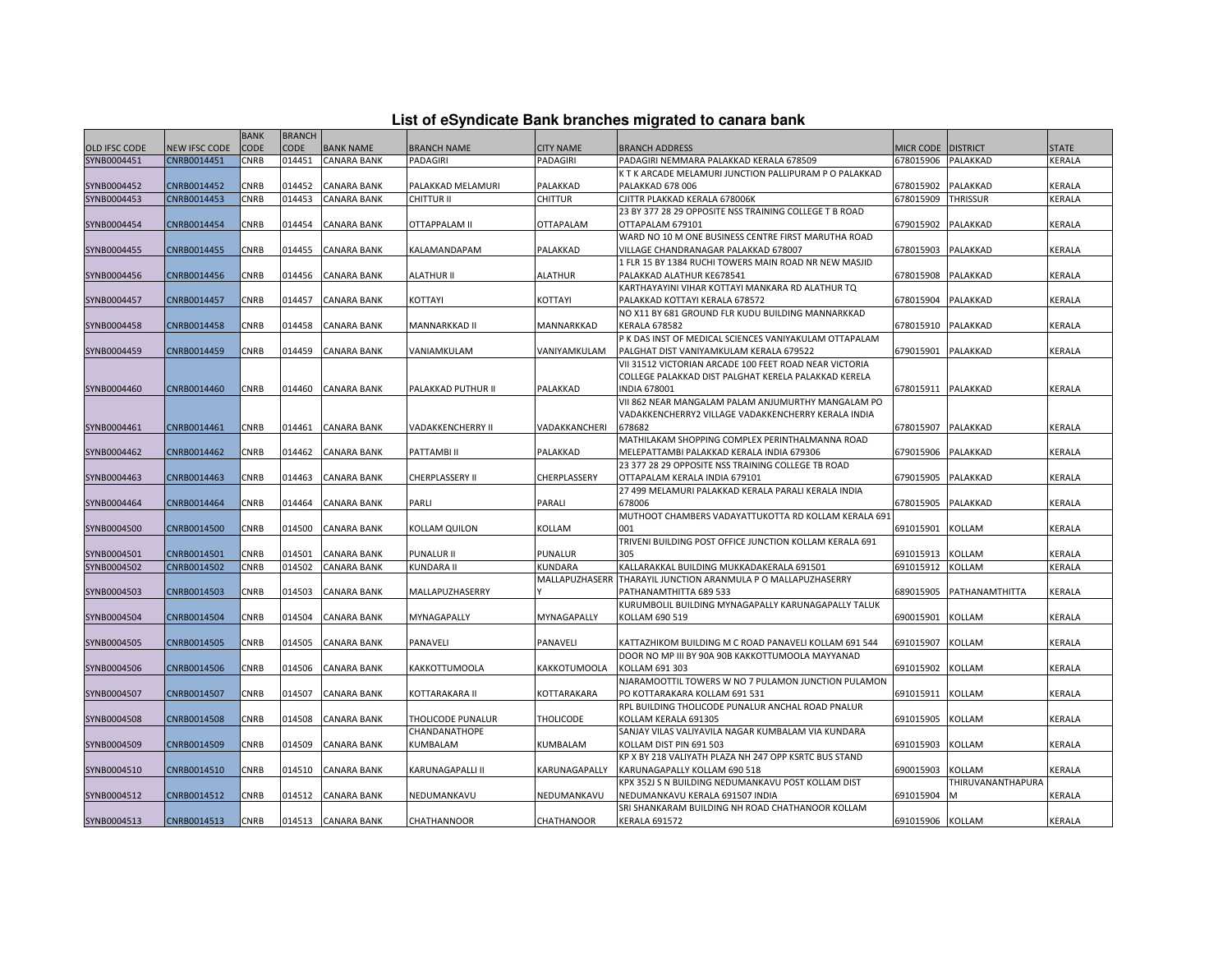| List of eSyndicate Bank branches migrated to canara bank |  |  |  |  |  |
|----------------------------------------------------------|--|--|--|--|--|
|----------------------------------------------------------|--|--|--|--|--|

|               |                      |             |               |                    |                          |                  | List of eSyndicate Bank branches migrated to canara bank                  |                    |                   |              |
|---------------|----------------------|-------------|---------------|--------------------|--------------------------|------------------|---------------------------------------------------------------------------|--------------------|-------------------|--------------|
|               |                      | <b>BANK</b> | <b>BRANCH</b> |                    |                          |                  |                                                                           |                    |                   |              |
| OLD IFSC CODE | <b>NEW IFSC CODE</b> | <b>CODE</b> | <b>CODE</b>   | <b>BANK NAME</b>   | <b>BRANCH NAME</b>       | <b>CITY NAME</b> | <b>BRANCH ADDRESS</b>                                                     | MICR CODE DISTRICT |                   | <b>STATE</b> |
| SYNB0004451   | CNRB0014451          | CNRB        | 014451        | CANARA BANK        | PADAGIRI                 | PADAGIRI         | PADAGIRI NEMMARA PALAKKAD KERALA 678509                                   | 678015906          | PALAKKAD          | KERALA       |
|               |                      |             |               |                    |                          |                  | K T K ARCADE MELAMURI JUNCTION PALLIPURAM P O PALAKKAD                    |                    |                   |              |
| SYNB0004452   | CNRB0014452          | CNRB        | 014452        | CANARA BANK        | PALAKKAD MELAMURI        | PALAKKAD         | <b>PALAKKAD 678 006</b>                                                   | 678015902          | PALAKKAD          | KERALA       |
| SYNB0004453   | CNRB0014453          | CNRB        | 014453        | CANARA BANK        | CHITTUR II               | <b>CHITTUR</b>   | CJITTR PLAKKAD KERALA 678006K                                             | 678015909          | <b>THRISSUR</b>   | KERALA       |
|               |                      |             |               |                    |                          |                  | 23 BY 377 28 29 OPPOSITE NSS TRAINING COLLEGE T B ROAD                    |                    |                   |              |
| SYNB0004454   | CNRB0014454          | CNRB        | 014454        | CANARA BANK        | <b>OTTAPPALAM II</b>     | <b>OTTAPALAM</b> | OTTAPALAM 679101                                                          | 679015902          | PALAKKAD          | KERALA       |
|               |                      |             |               |                    |                          |                  | WARD NO 10 M ONE BUSINESS CENTRE FIRST MARUTHA ROAD                       |                    |                   |              |
| SYNB0004455   | CNRB0014455          | CNRB        | 014455        | CANARA BANK        | KALAMANDAPAM             | PALAKKAD         | VILLAGE CHANDRANAGAR PALAKKAD 678007                                      | 678015903          | PALAKKAD          | KERALA       |
|               |                      |             |               |                    |                          |                  | 1 FLR 15 BY 1384 RUCHI TOWERS MAIN ROAD NR NEW MASJID                     |                    |                   |              |
| SYNB0004456   | CNRB0014456          | CNRB        | 014456        | CANARA BANK        | <b>ALATHUR II</b>        | <b>ALATHUR</b>   | PALAKKAD ALATHUR KE678541                                                 | 678015908          | PALAKKAD          | KERALA       |
|               |                      |             |               |                    |                          |                  | KARTHAYAYINI VIHAR KOTTAYI MANKARA RD ALATHUR TO                          |                    |                   |              |
| SYNB0004457   | CNRB0014457          | CNRB        | 014457        | CANARA BANK        | KOTTAYI                  | KOTTAYI          | PALAKKAD KOTTAYI KERALA 678572                                            | 678015904          | PALAKKAD          | KERALA       |
| SYNB0004458   | CNRB0014458          | <b>CNRB</b> | 014458        | CANARA BANK        | MANNARKKAD II            | MANNARKKAD       | NO X11 BY 681 GROUND FLR KUDU BUILDING MANNARKKAD<br><b>KERALA 678582</b> | 678015910          | PALAKKAD          | KERALA       |
|               |                      |             |               |                    |                          |                  | P K DAS INST OF MEDICAL SCIENCES VANIYAKULAM OTTAPALAM                    |                    |                   |              |
| SYNB0004459   | CNRB0014459          | CNRB        | 014459        | <b>CANARA BANK</b> | VANIAMKULAM              | VANIYAMKULAM     | PALGHAT DIST VANIYAMKULAM KERALA 679522                                   | 679015901          | PALAKKAD          | KERALA       |
|               |                      |             |               |                    |                          |                  | VII 31512 VICTORIAN ARCADE 100 FEET ROAD NEAR VICTORIA                    |                    |                   |              |
|               |                      |             |               |                    |                          |                  | COLLEGE PALAKKAD DIST PALGHAT KERELA PALAKKAD KERELA                      |                    |                   |              |
| SYNB0004460   | CNRB0014460          | CNRB        | 014460        | CANARA BANK        | PALAKKAD PUTHUR II       | PALAKKAD         | <b>INDIA 678001</b>                                                       | 678015911          | PALAKKAD          | KERALA       |
|               |                      |             |               |                    |                          |                  | VII 862 NEAR MANGALAM PALAM ANJUMURTHY MANGALAM PO                        |                    |                   |              |
|               |                      |             |               |                    |                          |                  | VADAKKENCHERRY2 VILLAGE VADAKKENCHERRY KERALA INDIA                       |                    |                   |              |
| SYNB0004461   | CNRB0014461          | CNRB        | 014461        | CANARA BANK        | <b>VADAKKENCHERRY II</b> | VADAKKANCHERI    | 678682                                                                    | 678015907          | PALAKKAD          | KERALA       |
|               |                      |             |               |                    |                          |                  | MATHILAKAM SHOPPING COMPLEX PERINTHALMANNA ROAD                           |                    |                   |              |
| SYNB0004462   | CNRB0014462          | CNRB        | 014462        | CANARA BANK        | PATTAMBI II              | PALAKKAD         | MELEPATTAMBI PALAKKAD KERALA INDIA 679306                                 | 679015906          | PALAKKAD          | KERALA       |
|               |                      |             |               |                    |                          |                  | 23 377 28 29 OPPOSITE NSS TRAINING COLLEGE TB ROAD                        |                    |                   |              |
| SYNB0004463   | CNRB0014463          | CNRB        | 014463        | CANARA BANK        | CHERPLASSERY II          | CHERPLASSERY     | OTTAPALAM KERALA INDIA 679101                                             | 679015905          | PALAKKAD          | KERALA       |
|               |                      |             |               |                    |                          |                  | 27 499 MELAMURI PALAKKAD KERALA PARALI KERALA INDIA                       |                    |                   |              |
| SYNB0004464   | CNRB0014464          | CNRB        | 014464        | CANARA BANK        | PARLI                    | PARALI           | 678006                                                                    | 678015905          | PALAKKAD          | KERALA       |
|               |                      |             |               |                    |                          |                  | MUTHOOT CHAMBERS VADAYATTUKOTTA RD KOLLAM KERALA 691                      |                    |                   |              |
| SYNB0004500   | CNRB0014500          | CNRB        | 014500        | CANARA BANK        | KOLLAM QUILON            | KOLLAM           | 001                                                                       | 691015901          | KOLLAM            | KERALA       |
|               |                      |             |               |                    |                          |                  | TRIVENI BUILDING POST OFFICE JUNCTION KOLLAM KERALA 691                   |                    |                   |              |
| SYNB0004501   | CNRB0014501          | CNRB        | 014501        | CANARA BANK        | <b>PUNALUR II</b>        | PUNALUR          | 305                                                                       | 691015913          | <b>KOLLAM</b>     | KERALA       |
| SYNB0004502   | CNRB0014502          | CNRB        | 014502        | <b>CANARA BANK</b> | <b>KUNDARA II</b>        | KUNDARA          | KALLARAKKAL BUILDING MUKKADAKERALA 691501                                 | 691015912          | <b>KOLLAM</b>     | KERALA       |
|               |                      |             |               |                    |                          | MALLAPUZHASERR   | THARAYIL JUNCTION ARANMULA P O MALLAPUZHASERRY                            |                    |                   |              |
| SYNB0004503   | CNRB0014503          | CNRB        | 014503        | CANARA BANK        | MALLAPUZHASERRY          |                  | PATHANAMTHITTA 689 533                                                    | 689015905          | PATHANAMTHITTA    | KERALA       |
|               |                      |             |               |                    |                          |                  | KURUMBOLIL BUILDING MYNAGAPALLY KARUNAGAPALLY TALUK                       |                    |                   |              |
| SYNB0004504   | CNRB0014504          | CNRB        | 014504        | CANARA BANK        | MYNAGAPALLY              | MYNAGAPALLY      | KOLLAM 690 519                                                            | 690015901          | <b>KOLLAM</b>     | KERALA       |
|               |                      |             |               |                    |                          |                  |                                                                           |                    |                   |              |
| SYNB0004505   | CNRB0014505          | CNRB        | 014505        | CANARA BANK        | PANAVELI                 | PANAVELI         | KATTAZHIKOM BUILDING M C ROAD PANAVELI KOLLAM 691 544                     | 691015907          | KOLLAM            | KERALA       |
|               |                      |             |               |                    |                          |                  | DOOR NO MP III BY 90A 90B KAKKOTTUMOOLA MAYYANAD                          |                    |                   |              |
| SYNB0004506   | CNRB0014506          | CNRB        | 014506        | CANARA BANK        | KAKKOTTUMOOLA            | KAKKOTUMOOLA     | KOLLAM 691 303                                                            | 691015902          | KOLLAM            | KERALA       |
|               |                      |             |               |                    |                          |                  | NJARAMOOTTIL TOWERS W NO 7 PULAMON JUNCTION PULAMON                       |                    |                   |              |
| SYNB0004507   | CNRB0014507          | CNRB        | 014507        | <b>CANARA BANK</b> | KOTTARAKARA II           | KOTTARAKARA      | PO KOTTARAKARA KOLLAM 691 531                                             | 691015911          | KOLLAM            | KERALA       |
|               |                      |             |               |                    |                          |                  | RPL BUILDING THOLICODE PUNALUR ANCHAL ROAD PNALUR                         |                    |                   |              |
| SYNB0004508   | CNRB0014508          | CNRB        | 014508        | CANARA BANK        | THOLICODE PUNALUR        | <b>THOLICODE</b> | KOLLAM KERALA 691305                                                      | 691015905          | KOLLAM            | KERALA       |
|               |                      |             |               |                    | CHANDANATHOPE            |                  | SANJAY VILAS VALIYAVILA NAGAR KUMBALAM VIA KUNDARA                        |                    |                   |              |
| SYNB0004509   | CNRB0014509          | CNRB        | 014509        | CANARA BANK        | KUMBALAM                 | KUMBALAM         | KOLLAM DIST PIN 691 503                                                   | 691015903          | KOLLAM            | KERALA       |
|               |                      |             |               |                    |                          |                  | KP X BY 218 VALIYATH PLAZA NH 247 OPP KSRTC BUS STAND                     |                    |                   |              |
| SYNB0004510   | CNRB0014510          | <b>CNRB</b> | 014510        | <b>CANARA BANK</b> | <b>KARUNAGAPALLI II</b>  | KARUNAGAPALLY    | KARUNAGAPALLY KOLLAM 690 518                                              | 690015903          | <b>KOLLAM</b>     | KERALA       |
|               |                      |             |               |                    |                          |                  | KPX 352J S N BUILDING NEDUMANKAVU POST KOLLAM DIST                        |                    | THIRUVANANTHAPURA |              |
| SYNB0004512   | CNRB0014512          | CNRB        | 014512        | CANARA BANK        | NEDUMANKAVU              | NEDUMANKAVU      | NEDUMANKAVU KERALA 691507 INDIA                                           | 691015904          |                   | KERALA       |
| SYNB0004513   | CNRB0014513          | CNRB        | 014513        | <b>CANARA BANK</b> | CHATHANNOOR              | CHATHANOOR       | SRI SHANKARAM BUILDING NH ROAD CHATHANOOR KOLLAM<br><b>KERALA 691572</b>  | 691015906 KOLLAM   |                   | KERALA       |
|               |                      |             |               |                    |                          |                  |                                                                           |                    |                   |              |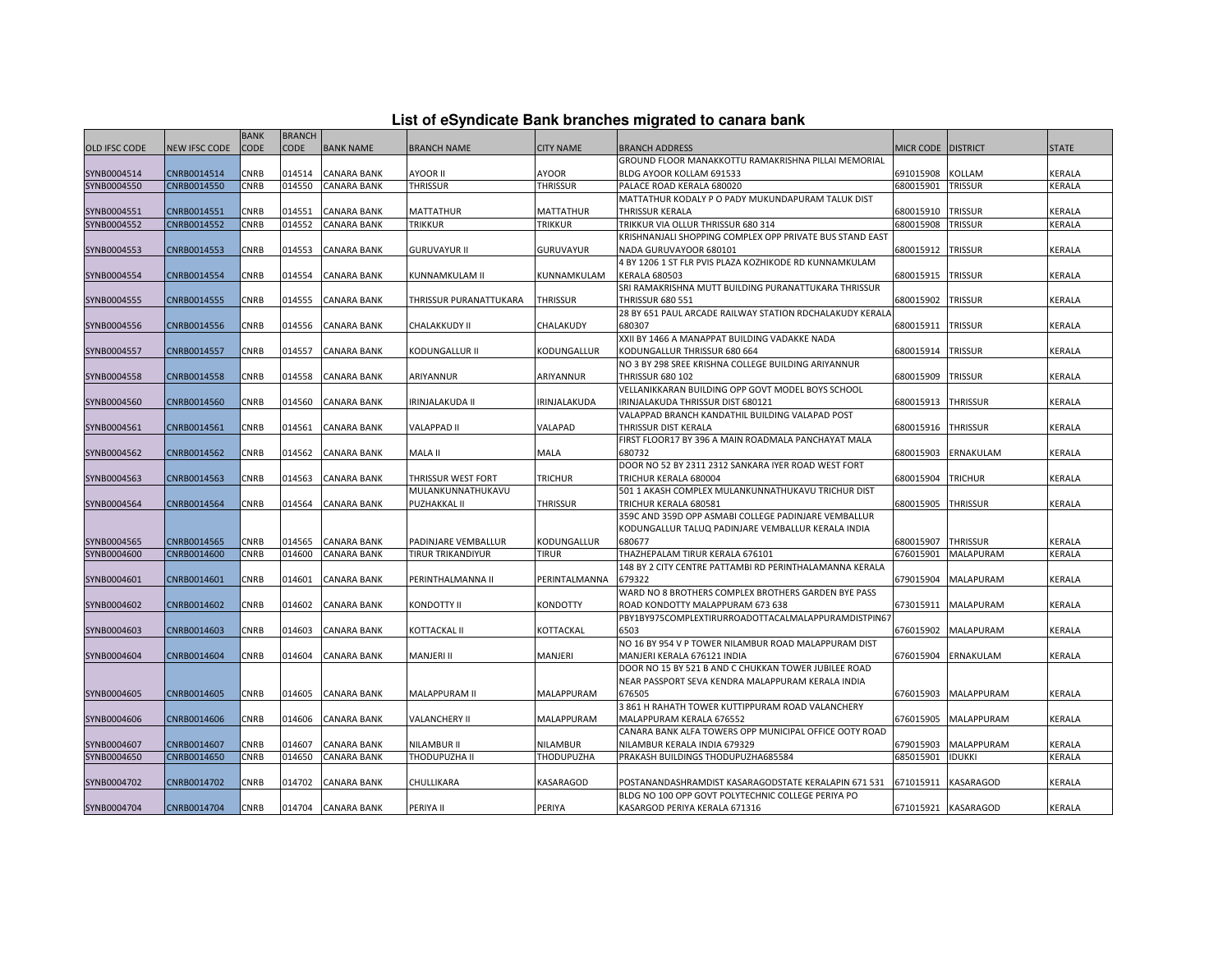|  | List of eSyndicate Bank branches migrated to canara bank |  |  |  |  |
|--|----------------------------------------------------------|--|--|--|--|
|  |                                                          |  |  |  |  |

|                      |                      | <b>BANK</b> | <b>BRANCH</b> |                    |                                         |                   |                                                                             |                      |                     |               |
|----------------------|----------------------|-------------|---------------|--------------------|-----------------------------------------|-------------------|-----------------------------------------------------------------------------|----------------------|---------------------|---------------|
| <b>OLD IFSC CODE</b> | <b>NEW IFSC CODE</b> | CODE        | <b>CODE</b>   | <b>BANK NAME</b>   | <b>BRANCH NAME</b>                      | <b>CITY NAME</b>  | <b>BRANCH ADDRESS</b>                                                       | MICR CODE   DISTRICT |                     | <b>STATE</b>  |
|                      |                      |             |               |                    |                                         |                   | GROUND FLOOR MANAKKOTTU RAMAKRISHNA PILLAI MEMORIAL                         |                      |                     |               |
| SYNB0004514          | CNRB0014514          | CNRB        | 014514        | <b>CANARA BANK</b> | <b>AYOOR II</b>                         | AYOOR             | BLDG AYOOR KOLLAM 691533                                                    | 691015908            | <b>KOLLAM</b>       | KERALA        |
| SYNB0004550          | CNRB0014550          | CNRB        | 014550        | <b>CANARA BANK</b> | <b>THRISSUR</b>                         | <b>THRISSUR</b>   | PALACE ROAD KERALA 680020                                                   | 680015901            | <b>TRISSUR</b>      | KERALA        |
|                      |                      |             |               |                    |                                         |                   | MATTATHUR KODALY P O PADY MUKUNDAPURAM TALUK DIST                           |                      |                     |               |
| SYNB0004551          | CNRB0014551          | CNRB        | 014551        | <b>CANARA BANK</b> | <b>MATTATHUR</b>                        | <b>MATTATHUR</b>  | THRISSUR KERALA                                                             | 680015910            | <b>TRISSUR</b>      | KERALA        |
| SYNB0004552          | CNRB0014552          | CNRB        | 014552        | <b>CANARA BANK</b> | <b>TRIKKUR</b>                          | <b>TRIKKUR</b>    | TRIKKUR VIA OLLUR THRISSUR 680 314                                          | 680015908            | <b>TRISSUR</b>      | KERALA        |
|                      |                      |             |               |                    |                                         |                   | KRISHNANJALI SHOPPING COMPLEX OPP PRIVATE BUS STAND EAST                    |                      |                     |               |
| SYNB0004553          | CNRB0014553          | CNRB        | 014553        | <b>CANARA BANK</b> | <b>GURUVAYUR II</b>                     | <b>GURUVAYUR</b>  | NADA GURUVAYOOR 680101                                                      | 680015912            | <b>TRISSUR</b>      | KERALA        |
|                      |                      |             |               |                    |                                         |                   | 4 BY 1206 1 ST FLR PVIS PLAZA KOZHIKODE RD KUNNAMKULAM                      |                      |                     |               |
| SYNB0004554          | CNRB0014554          | CNRB        | 014554        | CANARA BANK        | KUNNAMKULAM II                          | KUNNAMKULAM       | <b>KERALA 680503</b>                                                        | 680015915            | <b>TRISSUR</b>      | KERALA        |
|                      |                      |             |               |                    |                                         |                   | SRI RAMAKRISHNA MUTT BUILDING PURANATTUKARA THRISSUR                        |                      |                     |               |
| SYNB0004555          | CNRB0014555          | CNRB        | 014555        | <b>CANARA BANK</b> | THRISSUR PURANATTUKARA                  | <b>THRISSUR</b>   | <b>THRISSUR 680 551</b>                                                     | 680015902            | <b>TRISSUR</b>      | KERALA        |
|                      |                      |             |               |                    |                                         |                   | 28 BY 651 PAUL ARCADE RAILWAY STATION RDCHALAKUDY KERALA                    |                      |                     |               |
| SYNB0004556          | CNRB0014556          | CNRB        | 014556        | <b>CANARA BANK</b> | CHALAKKUDY II                           | CHALAKUDY         | 680307                                                                      | 680015911            | <b>TRISSUR</b>      | KERALA        |
|                      |                      |             |               |                    |                                         |                   | XXII BY 1466 A MANAPPAT BUILDING VADAKKE NADA                               |                      |                     |               |
| SYNB0004557          | CNRB0014557          | CNRB        | 014557        | <b>CANARA BANK</b> | KODUNGALLUR II                          | KODUNGALLUR       | KODUNGALLUR THRISSUR 680 664                                                | 680015914            | <b>TRISSUR</b>      | KERALA        |
|                      |                      |             |               |                    |                                         |                   | NO 3 BY 298 SREE KRISHNA COLLEGE BUILDING ARIYANNUR                         |                      |                     |               |
| SYNB0004558          | CNRB0014558          | CNRB        | 014558        | CANARA BANK        | ARIYANNUR                               | ARIYANNUR         | <b>THRISSUR 680 102</b>                                                     | 680015909            | <b>TRISSUR</b>      | KERALA        |
|                      |                      |             |               |                    |                                         |                   | VELLANIKKARAN BUILDING OPP GOVT MODEL BOYS SCHOOL                           |                      |                     |               |
| SYNB0004560          | CNRB0014560          | CNRB        | 014560        | <b>CANARA BANK</b> | <b>IRINJALAKUDA II</b>                  | IRINJALAKUDA      | IRINJALAKUDA THRISSUR DIST 680121                                           | 680015913            | <b>THRISSUR</b>     | KERALA        |
|                      |                      |             |               |                    |                                         |                   | VALAPPAD BRANCH KANDATHIL BUILDING VALAPAD POST                             |                      |                     |               |
| SYNB0004561          | CNRB0014561          | CNRB        | 014561        | CANARA BANK        | <b>VALAPPAD II</b>                      | VALAPAD           | THRISSUR DIST KERALA                                                        | 680015916            | <b>THRISSUR</b>     | KERALA        |
|                      |                      | CNRB        |               |                    |                                         |                   | FIRST FLOOR17 BY 396 A MAIN ROADMALA PANCHAYAT MALA<br>680732               |                      |                     |               |
| SYNB0004562          | CNRB0014562          |             | 014562        | <b>CANARA BANK</b> | MALA II                                 | MALA              |                                                                             | 680015903            | ERNAKULAM           | KERALA        |
|                      |                      |             |               |                    |                                         |                   | DOOR NO 52 BY 2311 2312 SANKARA IYER ROAD WEST FORT                         |                      |                     |               |
| SYNB0004563          | CNRB0014563          | CNRB        | 014563        | CANARA BANK        | THRISSUR WEST FORT<br>MULANKUNNATHUKAVU | <b>TRICHUR</b>    | TRICHUR KERALA 680004<br>501 1 AKASH COMPLEX MULANKUNNATHUKAVU TRICHUR DIST | 680015904            | <b>TRICHUR</b>      | KERALA        |
| SYNB0004564          | CNRB0014564          | CNRB        | 014564        | <b>CANARA BANK</b> | PUZHAKKAL II                            | <b>THRISSUR</b>   | TRICHUR KERALA 680581                                                       | 680015905            | <b>THRISSUR</b>     | KERALA        |
|                      |                      |             |               |                    |                                         |                   | 359C AND 359D OPP ASMABI COLLEGE PADINJARE VEMBALLUR                        |                      |                     |               |
|                      |                      |             |               |                    |                                         |                   | KODUNGALLUR TALUQ PADINJARE VEMBALLUR KERALA INDIA                          |                      |                     |               |
| SYNB0004565          | CNRB0014565          | CNRB        | 014565        | <b>CANARA BANK</b> | PADINJARE VEMBALLUR                     | KODUNGALLUR       | 680677                                                                      | 680015907            | <b>THRISSUR</b>     | KERALA        |
| SYNB0004600          | CNRB0014600          | CNRB        | 014600        | <b>CANARA BANK</b> | <b>TIRUR TRIKANDIYUR</b>                | <b>TIRUR</b>      | THAZHEPALAM TIRUR KERALA 676101                                             | 676015901            | <b>MALAPURAM</b>    | KERALA        |
|                      |                      |             |               |                    |                                         |                   | 148 BY 2 CITY CENTRE PATTAMBI RD PERINTHALAMANNA KERALA                     |                      |                     |               |
| SYNB0004601          | CNRB0014601          | CNRB        | 014601        | CANARA BANK        | PERINTHALMANNA II                       | PERINTALMANNA     | 679322                                                                      | 679015904            | MALAPURAM           | KERALA        |
|                      |                      |             |               |                    |                                         |                   | WARD NO 8 BROTHERS COMPLEX BROTHERS GARDEN BYE PASS                         |                      |                     |               |
| SYNB0004602          | CNRB0014602          | CNRB        | 014602        | <b>CANARA BANK</b> | <b>KONDOTTY II</b>                      | <b>KONDOTTY</b>   | ROAD KONDOTTY MALAPPURAM 673 638                                            | 673015911            | MALAPURAM           | <b>KERALA</b> |
|                      |                      |             |               |                    |                                         |                   | PBY1BY975COMPLEXTIRURROADOTTACALMALAPPURAMDISTPIN67                         |                      |                     |               |
| SYNB0004603          | CNRB0014603          | CNRB        | 014603        | <b>CANARA BANK</b> | KOTTACKAL II                            | KOTTACKAL         | 6503                                                                        | 676015902            | <b>MALAPURAM</b>    | KERALA        |
|                      |                      |             |               |                    |                                         |                   | NO 16 BY 954 V P TOWER NILAMBUR ROAD MALAPPURAM DIST                        |                      |                     |               |
| SYNB0004604          | CNRB0014604          | CNRB        | 014604        | <b>CANARA BANK</b> | <b>MANJERI II</b>                       | MANJERI           | MANJERI KERALA 676121 INDIA                                                 | 676015904            | ERNAKULAM           | KERALA        |
|                      |                      |             |               |                    |                                         |                   | DOOR NO 15 BY 521 B AND C CHUKKAN TOWER JUBILEE ROAD                        |                      |                     |               |
|                      |                      |             |               |                    |                                         |                   | NEAR PASSPORT SEVA KENDRA MALAPPURAM KERALA INDIA                           |                      |                     |               |
| SYNB0004605          | CNRB0014605          | CNRB        | 014605        | <b>CANARA BANK</b> | MALAPPURAM II                           | MALAPPURAM        | 676505                                                                      | 676015903            | <b>MALAPPURAM</b>   | KERALA        |
|                      |                      |             |               |                    |                                         |                   | 3 861 H RAHATH TOWER KUTTIPPURAM ROAD VALANCHERY                            |                      |                     |               |
| SYNB0004606          | CNRB0014606          | <b>CNRB</b> | 014606        | <b>CANARA BANK</b> | <b>VALANCHERY II</b>                    | <b>MALAPPURAM</b> | MALAPPURAM KERALA 676552                                                    | 676015905            | MALAPPURAM          | <b>KERALA</b> |
|                      |                      |             |               |                    |                                         |                   | CANARA BANK ALFA TOWERS OPP MUNICIPAL OFFICE OOTY ROAD                      |                      |                     |               |
| SYNB0004607          | CNRB0014607          | CNRB        | 014607        | <b>CANARA BANK</b> | NILAMBUR II                             | NILAMBUR          | NILAMBUR KERALA INDIA 679329                                                | 579015903            | <b>MALAPPURAM</b>   | KERALA        |
| SYNB0004650          | CNRB0014650          | CNRB        | 014650        | <b>CANARA BANK</b> | THODUPUZHA II                           | THODUPUZHA        | PRAKASH BUILDINGS THODUPUZHA685584                                          | 685015901            | <b>IDUKKI</b>       | KERALA        |
|                      |                      |             |               |                    |                                         |                   |                                                                             |                      |                     |               |
| SYNB0004702          | CNRB0014702          | CNRB        | 014702        | CANARA BANK        | CHULLIKARA                              | KASARAGOD         | POSTANANDASHRAMDIST KASARAGODSTATE KERALAPIN 671 531                        | 671015911            | <b>KASARAGOD</b>    | KERALA        |
|                      |                      |             |               |                    |                                         |                   | BLDG NO 100 OPP GOVT POLYTECHNIC COLLEGE PERIYA PO                          |                      |                     |               |
| SYNB0004704          | CNRB0014704          | CNRB        | 014704        | <b>CANARA BANK</b> | PERIYA II                               | PERIYA            | KASARGOD PERIYA KERALA 671316                                               |                      | 671015921 KASARAGOD | <b>KERALA</b> |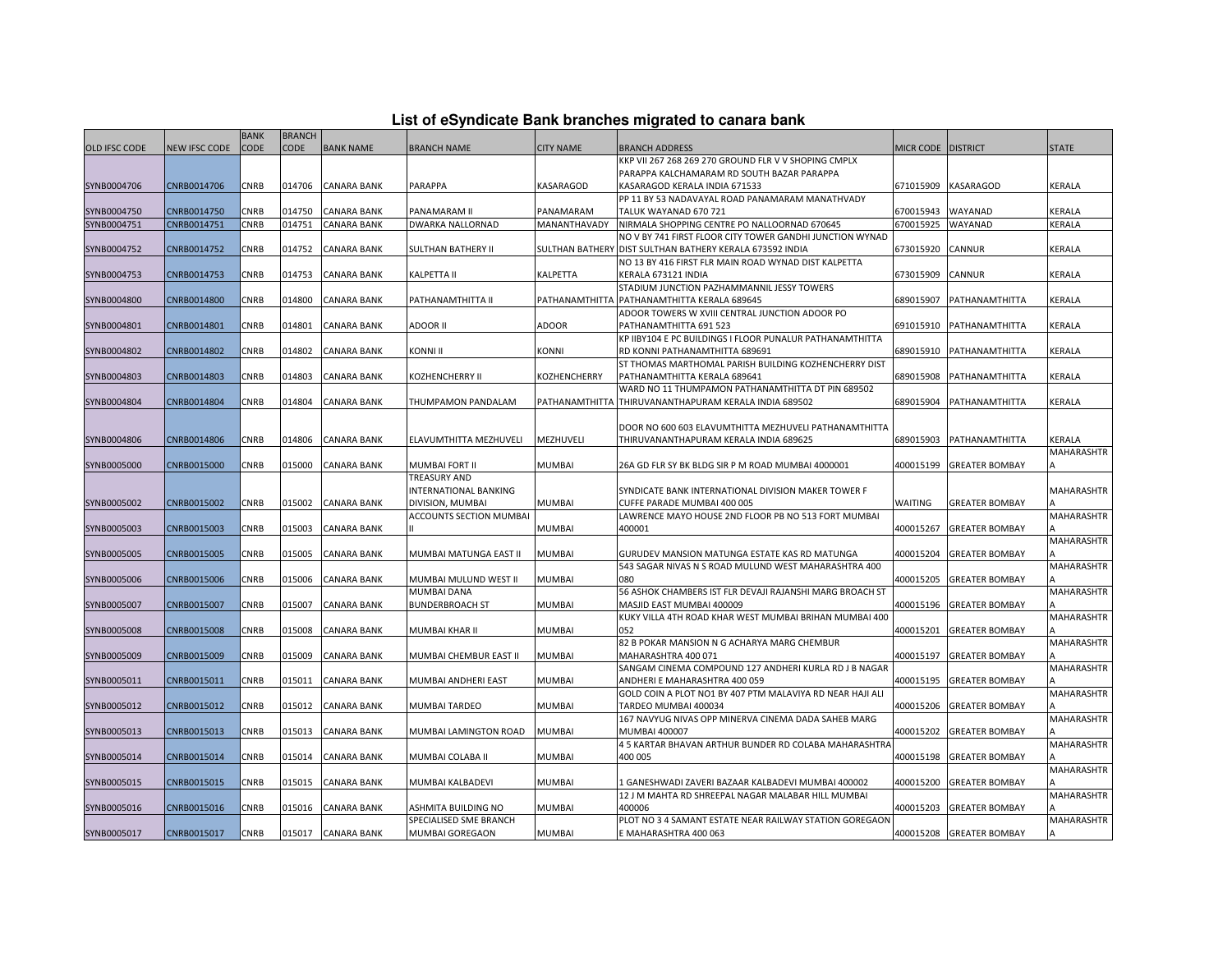| List of eSyndicate Bank branches migrated to canara bank |  |
|----------------------------------------------------------|--|
|                                                          |  |

|                      |                      | <b>BANK</b> | <b>BRANCH</b> |                    |                           |                  |                                                           |                    |                          |                   |
|----------------------|----------------------|-------------|---------------|--------------------|---------------------------|------------------|-----------------------------------------------------------|--------------------|--------------------------|-------------------|
| <b>OLD IFSC CODE</b> | <b>NEW IFSC CODE</b> | <b>CODE</b> | <b>CODE</b>   | <b>BANK NAME</b>   | <b>BRANCH NAME</b>        | <b>CITY NAME</b> | <b>BRANCH ADDRESS</b>                                     | MICR CODE DISTRICT |                          | <b>STATE</b>      |
|                      |                      |             |               |                    |                           |                  | KKP VII 267 268 269 270 GROUND FLR V V SHOPING CMPLX      |                    |                          |                   |
|                      |                      |             |               |                    |                           |                  | PARAPPA KALCHAMARAM RD SOUTH BAZAR PARAPPA                |                    |                          |                   |
| SYNB0004706          | CNRB0014706          | CNRB        | 014706        | CANARA BANK        | <b>PARAPPA</b>            | KASARAGOD        | KASARAGOD KERALA INDIA 671533                             | 671015909          | <b>KASARAGOD</b>         | KERALA            |
|                      |                      |             |               |                    |                           |                  | PP 11 BY 53 NADAVAYAL ROAD PANAMARAM MANATHVADY           |                    |                          |                   |
| SYNB0004750          | CNRB0014750          | CNRB        | 014750        | <b>CANARA BANK</b> | PANAMARAM II              | PANAMARAM        | TALUK WAYANAD 670 721                                     | 670015943          | WAYANAD                  | KERALA            |
| SYNB0004751          | CNRB0014751          | CNRB        | 014751        | <b>CANARA BANK</b> | DWARKA NALLORNAD          | MANANTHAVADY     | NIRMALA SHOPPING CENTRE PO NALLOORNAD 670645              | 670015925          | WAYANAD                  | KERALA            |
|                      |                      |             |               |                    |                           |                  | NO V BY 741 FIRST FLOOR CITY TOWER GANDHI JUNCTION WYNAD  |                    |                          |                   |
| SYNB0004752          | CNRB0014752          | CNRB        | 014752        | <b>CANARA BANK</b> | <b>SULTHAN BATHERY II</b> |                  | SULTHAN BATHERY DIST SULTHAN BATHERY KERALA 673592 INDIA  | 673015920          | CANNUR                   | KERALA            |
|                      |                      |             |               |                    |                           |                  | NO 13 BY 416 FIRST FLR MAIN ROAD WYNAD DIST KALPETTA      |                    |                          |                   |
| SYNB0004753          | CNRB0014753          | CNRB        | 014753        | <b>CANARA BANK</b> | <b>KALPETTA II</b>        | KALPETTA         | KERALA 673121 INDIA                                       | 673015909          | <b>CANNUR</b>            | KERALA            |
|                      |                      |             |               |                    |                           |                  | STADIUM JUNCTION PAZHAMMANNIL JESSY TOWERS                |                    |                          |                   |
| SYNB0004800          | CNRB0014800          | CNRB        | 014800        | <b>CANARA BANK</b> | PATHANAMTHITTA II         | PATHANAMTHITTA   | PATHANAMTHITTA KERALA 689645                              | 689015907          | PATHANAMTHITTA           | KERALA            |
|                      |                      |             |               |                    |                           |                  | ADOOR TOWERS W XVIII CENTRAL JUNCTION ADOOR PO            |                    |                          |                   |
| SYNB0004801          | CNRB0014801          | CNRB        | 014801        | <b>CANARA BANK</b> | <b>ADOOR II</b>           | <b>ADOOR</b>     | PATHANAMTHITTA 691 523                                    | 691015910          | PATHANAMTHITTA           | KERALA            |
|                      |                      |             |               |                    |                           |                  | KP IIBY104 E PC BUILDINGS I FLOOR PUNALUR PATHANAMTHITTA  |                    |                          |                   |
| SYNB0004802          | CNRB0014802          | CNRB        | 014802        | <b>CANARA BANK</b> | <b>KONNI II</b>           | KONNI            | RD KONNI PATHANAMTHITTA 689691                            | 689015910          | PATHANAMTHITTA           | KERALA            |
|                      |                      |             |               |                    |                           |                  | ST THOMAS MARTHOMAL PARISH BUILDING KOZHENCHERRY DIST     |                    |                          |                   |
| SYNB0004803          | CNRB0014803          | CNRB        | 014803        | CANARA BANK        | KOZHENCHERRY II           | KOZHENCHERRY     | PATHANAMTHITTA KERALA 689641                              | 689015908          | PATHANAMTHITTA           | <b>KERALA</b>     |
|                      |                      |             |               |                    |                           |                  | WARD NO 11 THUMPAMON PATHANAMTHITTA DT PIN 689502         |                    |                          |                   |
| SYNB0004804          | CNRB0014804          | CNRB        | 014804        | <b>CANARA BANK</b> | THUMPAMON PANDALAM        |                  | PATHANAMTHITTA THIRUVANANTHAPURAM KERALA INDIA 689502     | 689015904          | PATHANAMTHITTA           | KERALA            |
|                      |                      |             |               |                    |                           |                  |                                                           |                    |                          |                   |
|                      |                      |             |               |                    |                           |                  | DOOR NO 600 603 ELAVUMTHITTA MEZHUVELI PATHANAMTHITTA     |                    |                          |                   |
| SYNB0004806          | CNRB0014806          | CNRB        | 014806        | <b>CANARA BANK</b> | ELAVUMTHITTA MEZHUVELI    | MEZHUVELI        | THIRUVANANTHAPURAM KERALA INDIA 689625                    | 689015903          | PATHANAMTHITTA           | KERALA            |
|                      |                      |             |               |                    |                           |                  |                                                           |                    |                          | <b>MAHARASHTR</b> |
| SYNB0005000          | CNRB0015000          | CNRB        | 015000        | <b>CANARA BANK</b> | MUMBAI FORT II            | <b>MUMBAI</b>    | 26A GD FLR SY BK BLDG SIR P M ROAD MUMBAI 4000001         | 400015199          | <b>GREATER BOMBAY</b>    |                   |
|                      |                      |             |               |                    | <b>TREASURY AND</b>       |                  |                                                           |                    |                          |                   |
|                      |                      |             |               |                    | INTERNATIONAL BANKING     |                  | SYNDICATE BANK INTERNATIONAL DIVISION MAKER TOWER F       |                    |                          | <b>MAHARASHTR</b> |
| SYNB0005002          | CNRB0015002          | CNRB        | 015002        | <b>CANARA BANK</b> | DIVISION, MUMBAI          | <b>MUMBAI</b>    | CUFFE PARADE MUMBAI 400 005                               | <b>WAITING</b>     | <b>GREATER BOMBAY</b>    |                   |
|                      |                      |             |               |                    | ACCOUNTS SECTION MUMBAI   |                  | LAWRENCE MAYO HOUSE 2ND FLOOR PB NO 513 FORT MUMBAI       |                    |                          | <b>MAHARASHTR</b> |
| SYNB0005003          | CNRB0015003          | CNRB        | 015003        | CANARA BANK        |                           | <b>MUMBAI</b>    | 400001                                                    | 400015267          | <b>GREATER BOMBAY</b>    |                   |
|                      |                      |             |               |                    |                           |                  |                                                           |                    |                          | MAHARASHTR        |
| SYNB0005005          | CNRB0015005          | <b>CNRB</b> | 015005        | <b>CANARA BANK</b> | MUMBAI MATUNGA EAST II    | <b>MUMBAI</b>    | GURUDEV MANSION MATUNGA ESTATE KAS RD MATUNGA             | 400015204          | <b>GREATER BOMBAY</b>    |                   |
|                      |                      |             |               |                    |                           |                  | 543 SAGAR NIVAS N S ROAD MULUND WEST MAHARASHTRA 400      |                    |                          | MAHARASHTR        |
| SYNB0005006          | CNRB0015006          | CNRB        | 015006        | <b>CANARA BANK</b> | MUMBAI MULUND WEST II     | <b>MUMBAI</b>    | 080                                                       | 400015205          | <b>GREATER BOMBAY</b>    |                   |
|                      |                      |             |               |                    | <b>MUMBAI DANA</b>        |                  | 56 ASHOK CHAMBERS IST FLR DEVAJI RAJANSHI MARG BROACH ST  |                    |                          | MAHARASHTR        |
| SYNB0005007          | CNRB0015007          | CNRB        | 015007        | CANARA BANK        | <b>BUNDERBROACH ST</b>    | <b>MUMBAI</b>    | MASJID EAST MUMBAI 400009                                 | 400015196          | <b>GREATER BOMBAY</b>    |                   |
|                      |                      |             |               |                    |                           |                  | KUKY VILLA 4TH ROAD KHAR WEST MUMBAI BRIHAN MUMBAI 400    |                    |                          | MAHARASHTR        |
| SYNB0005008          | CNRB0015008          | <b>CNRB</b> | 015008        | <b>CANARA BANK</b> | MUMBAI KHAR II            | MUMBAI           | 052                                                       | 400015201          | <b>GREATER BOMBAY</b>    |                   |
|                      |                      |             |               |                    |                           |                  | 82 B POKAR MANSION N G ACHARYA MARG CHEMBUR               |                    |                          | <b>MAHARASHTR</b> |
| SYNB0005009          | CNRB0015009          | CNRB        | 015009        | <b>CANARA BANK</b> | MUMBAI CHEMBUR EAST II    | <b>MUMBAI</b>    | MAHARASHTRA 400 071                                       | 400015197          | <b>GREATER BOMBAY</b>    |                   |
|                      |                      |             |               |                    |                           |                  | SANGAM CINEMA COMPOUND 127 ANDHERI KURLA RD J B NAGAR     |                    |                          | <b>MAHARASHTR</b> |
| SYNB0005011          | CNRB0015011          | CNRB        | 015011        | CANARA BANK        | MUMBAI ANDHERI EAST       | <b>MUMBAI</b>    | ANDHERI E MAHARASHTRA 400 059                             | 400015195          | <b>GREATER BOMBAY</b>    |                   |
|                      |                      |             |               |                    |                           |                  | GOLD COIN A PLOT NO1 BY 407 PTM MALAVIYA RD NEAR HAJI ALI |                    |                          | MAHARASHTR        |
| SYNB0005012          | CNRB0015012          | CNRB        | 015012        | <b>CANARA BANK</b> | MUMBAI TARDEO             | <b>MUMBAI</b>    | TARDEO MUMBAI 400034                                      | 400015206          | <b>GREATER BOMBAY</b>    |                   |
|                      |                      |             |               |                    |                           |                  | 167 NAVYUG NIVAS OPP MINERVA CINEMA DADA SAHEB MARG       |                    |                          | MAHARASHTR        |
| SYNB0005013          | CNRB0015013          | CNRB        | 015013        | <b>CANARA BANK</b> | MUMBAI LAMINGTON ROAD     | <b>MUMBAI</b>    | MUMBAI 400007                                             | 400015202          | <b>GREATER BOMBAY</b>    |                   |
|                      |                      |             |               |                    |                           |                  | 4 5 KARTAR BHAVAN ARTHUR BUNDER RD COLABA MAHARASHTRA     |                    |                          | <b>MAHARASHTR</b> |
| SYNB0005014          | CNRB0015014          | CNRB        | 015014        | <b>CANARA BANK</b> | MUMBAI COLABA II          | MUMBAI           | 400 005                                                   | 400015198          | <b>GREATER BOMBAY</b>    |                   |
|                      |                      |             |               |                    |                           |                  |                                                           |                    |                          | <b>MAHARASHTR</b> |
| SYNB0005015          | CNRB0015015          | <b>CNRB</b> | 015015        | <b>CANARA BANK</b> | MUMBAI KALBADEVI          | <b>MUMBAI</b>    | 1 GANESHWADI ZAVERI BAZAAR KALBADEVI MUMBAI 400002        | 400015200          | <b>GREATER BOMBAY</b>    |                   |
|                      |                      |             |               |                    |                           |                  | 12 J M MAHTA RD SHREEPAL NAGAR MALABAR HILL MUMBAI        |                    |                          | <b>MAHARASHTR</b> |
| SYNB0005016          | CNRB0015016          | CNRB        | 015016        | <b>CANARA BANK</b> | ASHMITA BUILDING NO       | <b>MUMBAI</b>    | 400006                                                    | 400015203          | <b>GREATER BOMBAY</b>    |                   |
|                      |                      |             |               |                    | SPECIALISED SME BRANCH    |                  | PLOT NO 3 4 SAMANT ESTATE NEAR RAILWAY STATION GOREGAON   |                    |                          | MAHARASHTR        |
| SYNB0005017          | CNRB0015017          | CNRB        | 015017        | <b>CANARA BANK</b> | MUMBAI GOREGAON           | <b>MUMBAI</b>    | E MAHARASHTRA 400 063                                     |                    | 400015208 GREATER BOMBAY |                   |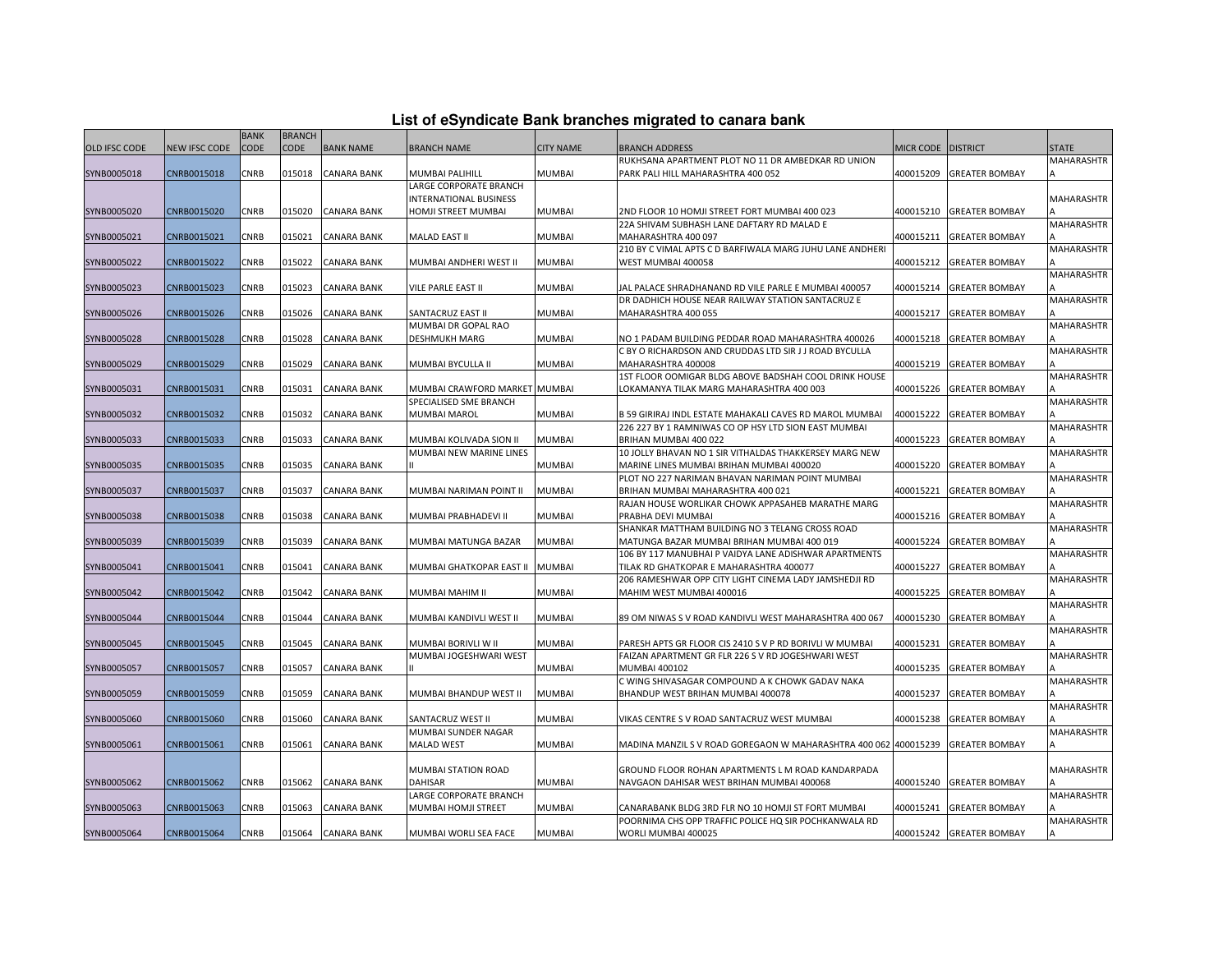| List of eSyndicate Bank branches migrated to canara bank |  |  |
|----------------------------------------------------------|--|--|
|                                                          |  |  |

|                      |                      | <b>BANK</b> | <b>BRANCH</b> |                    |                                 |                  |                                                                 |                    |                          |                   |
|----------------------|----------------------|-------------|---------------|--------------------|---------------------------------|------------------|-----------------------------------------------------------------|--------------------|--------------------------|-------------------|
| <b>OLD IFSC CODE</b> | <b>NEW IFSC CODE</b> | <b>CODE</b> | CODE          | <b>BANK NAME</b>   | <b>BRANCH NAME</b>              | <b>CITY NAME</b> | BRANCH ADDRESS                                                  | MICR CODE DISTRICT |                          | <b>STATE</b>      |
|                      |                      |             |               |                    |                                 |                  | RUKHSANA APARTMENT PLOT NO 11 DR AMBEDKAR RD UNION              |                    |                          | MAHARASHTR        |
| SYNB0005018          | CNRB0015018          | CNRB        | 015018        | <b>CANARA BANK</b> | MUMBAI PALIHILL                 | <b>MUMBAI</b>    | PARK PALI HILL MAHARASHTRA 400 052                              | 400015209          | <b>GREATER BOMBAY</b>    |                   |
|                      |                      |             |               |                    | LARGE CORPORATE BRANCH          |                  |                                                                 |                    |                          |                   |
|                      |                      |             |               |                    | INTERNATIONAL BUSINESS          |                  |                                                                 |                    |                          | <b>MAHARASHTR</b> |
| SYNB0005020          | CNRB0015020          | CNRB        | 015020        | <b>CANARA BANK</b> | HOMJI STREET MUMBAI             | <b>MUMBAI</b>    | 2ND FLOOR 10 HOMJI STREET FORT MUMBAI 400 023                   | 400015210          | <b>GREATER BOMBAY</b>    |                   |
|                      |                      |             |               |                    |                                 |                  | 22A SHIVAM SUBHASH LANE DAFTARY RD MALAD E                      |                    |                          | MAHARASHTR        |
| SYNB0005021          | CNRB0015021          | CNRB        | 015021        | <b>CANARA BANK</b> | MALAD EAST II                   | <b>MUMBAI</b>    | MAHARASHTRA 400 097                                             | 400015211          | <b>GREATER BOMBAY</b>    |                   |
|                      |                      |             |               |                    |                                 |                  | 210 BY C VIMAL APTS C D BARFIWALA MARG JUHU LANE ANDHERI        |                    |                          | MAHARASHTR        |
| SYNB0005022          | CNRB0015022          | CNRB        | 015022        | <b>CANARA BANK</b> | MUMBAI ANDHERI WEST II          | <b>MUMBAI</b>    | WEST MUMBAI 400058                                              | 400015212          | <b>GREATER BOMBAY</b>    |                   |
|                      |                      |             |               |                    |                                 |                  |                                                                 |                    |                          | <b>MAHARASHTR</b> |
| SYNB0005023          | CNRB0015023          | CNRB        | 015023        | <b>CANARA BANK</b> | VILE PARLE EAST II              | <b>MUMBAI</b>    | JAL PALACE SHRADHANAND RD VILE PARLE E MUMBAI 400057            | 400015214          | <b>GREATER BOMBAY</b>    |                   |
|                      |                      |             |               |                    |                                 |                  | DR DADHICH HOUSE NEAR RAILWAY STATION SANTACRUZ E               |                    |                          | MAHARASHTR        |
| SYNB0005026          | CNRB0015026          | CNRB        | 015026        | <b>CANARA BANK</b> | SANTACRUZ EAST II               | <b>MUMBAI</b>    | MAHARASHTRA 400 055                                             | 400015217          | <b>GREATER BOMBAY</b>    |                   |
|                      |                      |             |               |                    | MUMBAI DR GOPAL RAO             |                  |                                                                 |                    |                          | MAHARASHTR        |
| SYNB0005028          | CNRB0015028          | CNRB        | 015028        | <b>CANARA BANK</b> | <b>DESHMUKH MARG</b>            | <b>MUMBAI</b>    | NO 1 PADAM BUILDING PEDDAR ROAD MAHARASHTRA 400026              | 400015218          | <b>GREATER BOMBAY</b>    |                   |
|                      |                      |             |               |                    |                                 |                  | C BY O RICHARDSON AND CRUDDAS LTD SIR J J ROAD BYCULLA          |                    |                          | MAHARASHTR        |
| SYNB0005029          | CNRB0015029          | CNRB        | 015029        | <b>CANARA BANK</b> | MUMBAI BYCULLA II               | <b>MUMBAI</b>    | MAHARASHTRA 400008                                              | 400015219          | <b>GREATER BOMBAY</b>    |                   |
|                      |                      |             |               |                    |                                 |                  | 1ST FLOOR OOMIGAR BLDG ABOVE BADSHAH COOL DRINK HOUSE           |                    |                          | MAHARASHTR        |
| SYNB0005031          | CNRB0015031          | CNRB        | 015031        | <b>CANARA BANK</b> | MUMBAI CRAWFORD MARKET MUMBAI   |                  | LOKAMANYA TILAK MARG MAHARASHTRA 400 003                        | 400015226          | <b>GREATER BOMBAY</b>    |                   |
|                      |                      |             |               |                    | SPECIALISED SME BRANCH          |                  |                                                                 |                    |                          | <b>MAHARASHTR</b> |
| SYNB0005032          | CNRB0015032          | CNRB        | 015032        | <b>CANARA BANK</b> | MUMBAI MAROL                    | <b>MUMBAI</b>    | B 59 GIRIRAJ INDL ESTATE MAHAKALI CAVES RD MAROL MUMBAI         | 400015222          | <b>GREATER BOMBAY</b>    |                   |
|                      |                      |             |               |                    |                                 |                  | 226 227 BY 1 RAMNIWAS CO OP HSY LTD SION EAST MUMBAI            |                    |                          | MAHARASHTR        |
| SYNB0005033          | CNRB0015033          | CNRB        | 015033        | <b>CANARA BANK</b> | MUMBAI KOLIVADA SION II         | <b>MUMBAI</b>    | BRIHAN MUMBAI 400 022                                           | 400015223          | <b>GREATER BOMBAY</b>    |                   |
|                      |                      |             |               |                    | MUMBAI NEW MARINE LINES         |                  | 10 JOLLY BHAVAN NO 1 SIR VITHALDAS THAKKERSEY MARG NEW          |                    |                          | MAHARASHTR        |
| SYNB0005035          | CNRB0015035          | CNRB        | 015035        | <b>CANARA BANK</b> |                                 | <b>MUMBAI</b>    | MARINE LINES MUMBAI BRIHAN MUMBAI 400020                        | 400015220          | <b>GREATER BOMBAY</b>    |                   |
|                      |                      |             |               |                    |                                 |                  | PLOT NO 227 NARIMAN BHAVAN NARIMAN POINT MUMBAI                 |                    |                          | <b>MAHARASHTR</b> |
| SYNB0005037          | CNRB0015037          | CNRB        | 015037        | <b>CANARA BANK</b> | MUMBAI NARIMAN POINT II         | <b>MUMBAI</b>    | BRIHAN MUMBAI MAHARASHTRA 400 021                               | 400015221          | <b>GREATER BOMBAY</b>    |                   |
|                      |                      |             |               |                    |                                 |                  | RAJAN HOUSE WORLIKAR CHOWK APPASAHEB MARATHE MARG               |                    |                          | MAHARASHTR        |
| SYNB0005038          | CNRB0015038          | CNRB        | 015038        | <b>CANARA BANK</b> | MUMBAI PRABHADEVI II            | <b>MUMBAI</b>    | PRABHA DEVI MUMBAI                                              | 400015216          | <b>GREATER BOMBAY</b>    |                   |
|                      |                      |             |               |                    |                                 |                  | SHANKAR MATTHAM BUILDING NO 3 TELANG CROSS ROAD                 |                    |                          | MAHARASHTR        |
| SYNB0005039          | CNRB0015039          | CNRB        | 015039        | <b>CANARA BANK</b> | MUMBAI MATUNGA BAZAR            | <b>MUMBAI</b>    | MATUNGA BAZAR MUMBAI BRIHAN MUMBAI 400 019                      | 400015224          | <b>GREATER BOMBAY</b>    |                   |
|                      |                      |             |               |                    |                                 |                  | 106 BY 117 MANUBHAI P VAIDYA LANE ADISHWAR APARTMENTS           |                    |                          | <b>MAHARASHTR</b> |
| SYNB0005041          | CNRB0015041          | CNRB        | 015041        | CANARA BANK        | MUMBAI GHATKOPAR EAST II MUMBAI |                  | TILAK RD GHATKOPAR E MAHARASHTRA 400077                         | 400015227          | <b>GREATER BOMBAY</b>    |                   |
|                      |                      |             |               |                    |                                 |                  | 206 RAMESHWAR OPP CITY LIGHT CINEMA LADY JAMSHEDJI RD           |                    |                          | MAHARASHTR        |
| SYNB0005042          | CNRB0015042          | CNRB        | 015042        | <b>CANARA BANK</b> | MUMBAI MAHIM II                 | <b>MUMBAI</b>    | MAHIM WEST MUMBAI 400016                                        | 400015225          | <b>GREATER BOMBAY</b>    |                   |
|                      |                      |             |               |                    |                                 |                  |                                                                 |                    |                          | <b>MAHARASHTR</b> |
| SYNB0005044          | CNRB0015044          | CNRB        | 015044        | <b>CANARA BANK</b> | MUMBAI KANDIVLI WEST II         | <b>MUMBAI</b>    | 89 OM NIWAS S V ROAD KANDIVLI WEST MAHARASHTRA 400 067          | 400015230          | <b>GREATER BOMBAY</b>    |                   |
|                      |                      |             |               |                    |                                 |                  |                                                                 |                    |                          | MAHARASHTR        |
| SYNB0005045          | CNRB0015045          | CNRB        | 015045        | <b>CANARA BANK</b> | MUMBAI BORIVLI W II             | <b>MUMBAI</b>    | PARESH APTS GR FLOOR CIS 2410 S V P RD BORIVLI W MUMBAI         | 400015231          | <b>GREATER BOMBAY</b>    |                   |
|                      |                      |             |               |                    | MUMBAI JOGESHWARI WEST          |                  | FAIZAN APARTMENT GR FLR 226 S V RD JOGESHWARI WEST              |                    |                          | MAHARASHTR        |
| SYNB0005057          | CNRB0015057          | <b>CNRB</b> | 015057        | <b>CANARA BANK</b> |                                 | <b>MUMBAI</b>    | <b>MUMBAI 400102</b>                                            | 400015235          | <b>GREATER BOMBAY</b>    |                   |
|                      |                      |             |               |                    |                                 |                  | C WING SHIVASAGAR COMPOUND A K CHOWK GADAV NAKA                 |                    |                          | MAHARASHTR        |
| SYNB0005059          | CNRB0015059          | CNRB        | 015059        | <b>CANARA BANK</b> | MUMBAI BHANDUP WEST II          | <b>MUMBAI</b>    | BHANDUP WEST BRIHAN MUMBAI 400078                               | 400015237          | <b>GREATER BOMBAY</b>    |                   |
|                      |                      |             |               |                    |                                 |                  |                                                                 |                    |                          | <b>MAHARASHTR</b> |
| SYNB0005060          | CNRB0015060          | CNRB        | 015060        | CANARA BANK        | SANTACRUZ WEST II               | <b>MUMBAI</b>    | VIKAS CENTRE S V ROAD SANTACRUZ WEST MUMBAI                     | 400015238          | <b>GREATER BOMBAY</b>    |                   |
|                      |                      |             |               |                    | MUMBAI SUNDER NAGAR             |                  |                                                                 |                    |                          | MAHARASHTR        |
| SYNB0005061          | CNRB0015061          | CNRB        | 015061        | <b>CANARA BANK</b> | MALAD WEST                      | <b>MUMBAI</b>    | MADINA MANZIL S V ROAD GOREGAON W MAHARASHTRA 400 062 400015239 |                    | <b>GREATER BOMBAY</b>    |                   |
|                      |                      |             |               |                    |                                 |                  |                                                                 |                    |                          |                   |
|                      |                      |             |               |                    | MUMBAI STATION ROAD             |                  | GROUND FLOOR ROHAN APARTMENTS L M ROAD KANDARPADA               |                    |                          | <b>MAHARASHTR</b> |
| SYNB0005062          | CNRB0015062          | CNRB        | 015062        | <b>CANARA BANK</b> | <b>DAHISAR</b>                  | <b>MUMBAI</b>    | NAVGAON DAHISAR WEST BRIHAN MUMBAI 400068                       | 400015240          | <b>GREATER BOMBAY</b>    |                   |
|                      |                      |             |               |                    | LARGE CORPORATE BRANCH          |                  |                                                                 |                    |                          | MAHARASHTR        |
| SYNB0005063          | CNRB0015063          | CNRB        | 015063        | <b>CANARA BANK</b> | MUMBAI HOMJI STREET             | <b>MUMBAI</b>    | CANARABANK BLDG 3RD FLR NO 10 HOMJI ST FORT MUMBAI              | 400015241          | <b>GREATER BOMBAY</b>    |                   |
|                      |                      |             |               |                    |                                 |                  | POORNIMA CHS OPP TRAFFIC POLICE HQ SIR POCHKANWALA RD           |                    |                          | MAHARASHTR        |
| SYNB0005064          | CNRB0015064          | <b>CNRB</b> |               | 015064 CANARA BANK | MUMBAI WORLI SEA FACE           | <b>MUMBAI</b>    | WORLI MUMBAI 400025                                             |                    | 400015242 GREATER BOMBAY |                   |
|                      |                      |             |               |                    |                                 |                  |                                                                 |                    |                          |                   |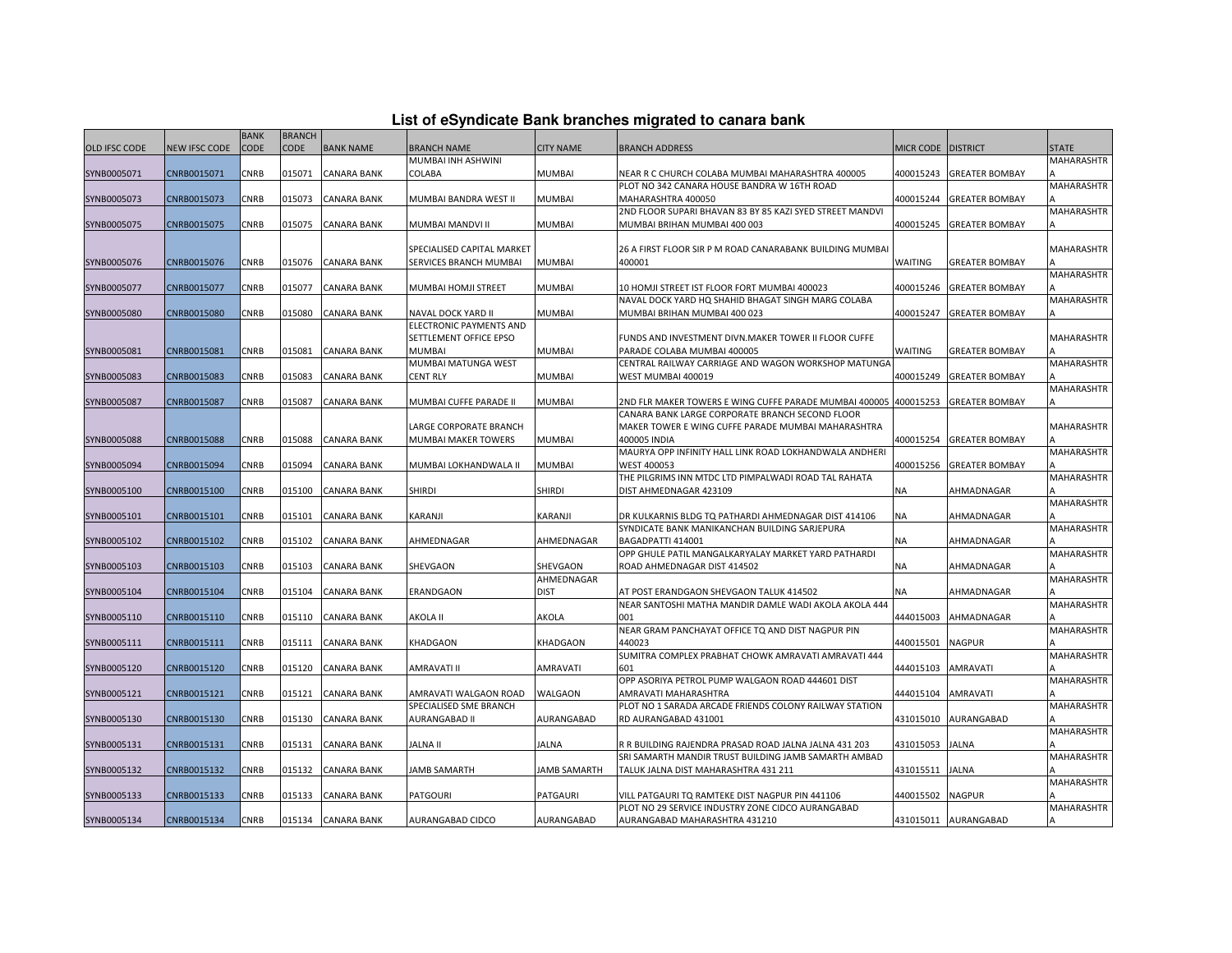|  |  | List of eSyndicate Bank branches migrated to canara bank |  |
|--|--|----------------------------------------------------------|--|
|--|--|----------------------------------------------------------|--|

|                      |               | <b>BANK</b> | <b>BRANCH</b> |                    |                                         |                        |                                                                                                      |                  |                       |                   |
|----------------------|---------------|-------------|---------------|--------------------|-----------------------------------------|------------------------|------------------------------------------------------------------------------------------------------|------------------|-----------------------|-------------------|
| <b>OLD IFSC CODE</b> | NEW IFSC CODE | CODE        | CODE          | <b>BANK NAME</b>   | <b>BRANCH NAME</b>                      | <b>CITY NAME</b>       | <b>BRANCH ADDRESS</b>                                                                                | <b>MICR CODE</b> | <b>DISTRICT</b>       | <b>STATE</b>      |
|                      |               |             |               |                    | MUMBAI INH ASHWINI                      |                        |                                                                                                      |                  |                       | <b>MAHARASHTR</b> |
| SYNB0005071          | CNRB0015071   | CNRB        | 015071        | <b>CANARA BANK</b> | COLABA                                  | <b>MUMBAI</b>          | NEAR R C CHURCH COLABA MUMBAI MAHARASHTRA 400005                                                     | 400015243        | <b>GREATER BOMBAY</b> |                   |
|                      |               |             |               |                    |                                         |                        | PLOT NO 342 CANARA HOUSE BANDRA W 16TH ROAD                                                          |                  |                       | <b>MAHARASHTR</b> |
| SYNB0005073          | CNRB0015073   | CNRB        | 015073        | <b>CANARA BANK</b> | MUMBAI BANDRA WEST II                   | <b>MUMBAI</b>          | MAHARASHTRA 400050                                                                                   | 400015244        | <b>GREATER BOMBAY</b> |                   |
|                      |               |             |               |                    |                                         |                        | 2ND FLOOR SUPARI BHAVAN 83 BY 85 KAZI SYED STREET MANDVI                                             |                  |                       | <b>MAHARASHTR</b> |
| SYNB0005075          | CNRB0015075   | CNRB        | 015075        | <b>CANARA BANK</b> | MUMBAI MANDVI II                        | <b>MUMBAI</b>          | MUMBAI BRIHAN MUMBAI 400 003                                                                         | 400015245        | <b>GREATER BOMBAY</b> |                   |
|                      |               |             |               |                    |                                         |                        |                                                                                                      |                  |                       |                   |
|                      |               |             |               |                    | SPECIALISED CAPITAL MARKET              |                        | 26 A FIRST FLOOR SIR P M ROAD CANARABANK BUILDING MUMBAI                                             |                  |                       | MAHARASHTR        |
| SYNB0005076          | CNRB0015076   | <b>CNRB</b> | 015076        | <b>CANARA BANK</b> | SERVICES BRANCH MUMBAI                  | <b>MUMBAI</b>          | 400001                                                                                               | WAITING          | <b>GREATER BOMBAY</b> |                   |
|                      |               |             |               |                    |                                         |                        |                                                                                                      |                  |                       | <b>MAHARASHTR</b> |
| SYNB0005077          | CNRB0015077   | CNRB        | 015077        | <b>CANARA BANK</b> | MUMBAI HOMJI STREET                     | <b>MUMBAI</b>          | 10 HOMJI STREET IST FLOOR FORT MUMBAI 400023                                                         | 400015246        | <b>GREATER BOMBAY</b> |                   |
|                      |               |             |               |                    |                                         |                        | NAVAL DOCK YARD HQ SHAHID BHAGAT SINGH MARG COLABA                                                   |                  |                       | MAHARASHTR        |
| SYNB0005080          | CNRB0015080   | CNRB        | 015080        | <b>CANARA BANK</b> | NAVAL DOCK YARD II                      | <b>MUMBAI</b>          | MUMBAI BRIHAN MUMBAI 400 023                                                                         | 400015247        | <b>GREATER BOMBAY</b> |                   |
|                      |               |             |               |                    | ELECTRONIC PAYMENTS AND                 |                        |                                                                                                      |                  |                       |                   |
| SYNB0005081          | CNRB0015081   | <b>CNRB</b> | 015081        | <b>CANARA BANK</b> | SETTLEMENT OFFICE EPSO<br><b>MUMBAI</b> | <b>MUMBAI</b>          | FUNDS AND INVESTMENT DIVN.MAKER TOWER II FLOOR CUFFE<br>PARADE COLABA MUMBAI 400005                  | WAITING          | <b>GREATER BOMBAY</b> | MAHARASHTR        |
|                      |               |             |               |                    | MUMBAI MATUNGA WEST                     |                        | CENTRAL RAILWAY CARRIAGE AND WAGON WORKSHOP MATUNGA                                                  |                  |                       | MAHARASHTR        |
| SYNB0005083          | CNRB0015083   | <b>CNRB</b> | 015083        | <b>CANARA BANK</b> | <b>CENT RLY</b>                         | <b>MUMBAI</b>          | WEST MUMBAI 400019                                                                                   | 400015249        | <b>GREATER BOMBAY</b> |                   |
|                      |               |             |               |                    |                                         |                        |                                                                                                      |                  |                       | <b>MAHARASHTR</b> |
| SYNB0005087          | CNRB0015087   | CNRB        | 015087        | <b>CANARA BANK</b> | MUMBAI CUFFE PARADE II                  | <b>MUMBAI</b>          | 2ND FLR MAKER TOWERS E WING CUFFE PARADE MUMBAI 400005                                               | 400015253        | <b>GREATER BOMBAY</b> |                   |
|                      |               |             |               |                    |                                         |                        | CANARA BANK LARGE CORPORATE BRANCH SECOND FLOOR                                                      |                  |                       |                   |
|                      |               |             |               |                    | LARGE CORPORATE BRANCH                  |                        | MAKER TOWER E WING CUFFE PARADE MUMBAI MAHARASHTRA                                                   |                  |                       | <b>MAHARASHTR</b> |
| SYNB0005088          | CNRB0015088   | CNRB        | 015088        | <b>CANARA BANK</b> | MUMBAI MAKER TOWERS                     | <b>MUMBAI</b>          | 400005 INDIA                                                                                         | 400015254        | <b>GREATER BOMBAY</b> |                   |
|                      |               |             |               |                    |                                         |                        | MAURYA OPP INFINITY HALL LINK ROAD LOKHANDWALA ANDHERI                                               |                  |                       | <b>MAHARASHTR</b> |
| SYNB0005094          | CNRB0015094   | CNRB        | 015094        | <b>CANARA BANK</b> | MUMBAI LOKHANDWALA II                   | <b>MUMBAI</b>          | <b>WEST 400053</b>                                                                                   | 400015256        | <b>GREATER BOMBAY</b> |                   |
|                      |               |             |               |                    |                                         |                        | THE PILGRIMS INN MTDC LTD PIMPALWADI ROAD TAL RAHATA                                                 |                  |                       | MAHARASHTR        |
| SYNB0005100          | CNRB0015100   | <b>CNRB</b> | 015100        | <b>CANARA BANK</b> | <b>SHIRDI</b>                           | <b>SHIRDI</b>          | DIST AHMEDNAGAR 423109                                                                               | <b>NA</b>        | AHMADNAGAR            |                   |
|                      |               |             |               |                    |                                         |                        |                                                                                                      |                  |                       | <b>MAHARASHTR</b> |
| SYNB0005101          | CNRB0015101   | <b>CNRB</b> | 015101        | <b>CANARA BANK</b> | KARANJI                                 | KARANJI                | DR KULKARNIS BLDG TQ PATHARDI AHMEDNAGAR DIST 414106                                                 | NA               | AHMADNAGAR            |                   |
|                      |               |             |               |                    |                                         |                        | SYNDICATE BANK MANIKANCHAN BUILDING SARJEPURA                                                        |                  |                       | MAHARASHTR        |
| SYNB0005102          | CNRB0015102   | CNRB        | 015102        | <b>CANARA BANK</b> | AHMEDNAGAR                              | AHMEDNAGAR             | BAGADPATTI 414001                                                                                    | NA               | AHMADNAGAR            |                   |
|                      |               |             |               |                    |                                         |                        | OPP GHULE PATIL MANGALKARYALAY MARKET YARD PATHARDI                                                  |                  |                       | <b>MAHARASHTR</b> |
| SYNB0005103          | CNRB0015103   | CNRB        | 015103        | <b>CANARA BANK</b> | SHEVGAON                                | SHEVGAON<br>AHMEDNAGAR | ROAD AHMEDNAGAR DIST 414502                                                                          | NA               | AHMADNAGAR            | <b>MAHARASHTR</b> |
| SYNB0005104          | CNRB0015104   | CNRB        | 015104        | <b>CANARA BANK</b> | ERANDGAON                               | <b>DIST</b>            | AT POST ERANDGAON SHEVGAON TALUK 414502                                                              | NA               | AHMADNAGAR            |                   |
|                      |               |             |               |                    |                                         |                        | NEAR SANTOSHI MATHA MANDIR DAMLE WADI AKOLA AKOLA 444                                                |                  |                       | MAHARASHTR        |
| SYNB0005110          | CNRB0015110   | CNRB        | 015110        | <b>CANARA BANK</b> | AKOLA II                                | AKOLA                  | 001                                                                                                  | 444015003        | AHMADNAGAR            |                   |
|                      |               |             |               |                    |                                         |                        | NEAR GRAM PANCHAYAT OFFICE TO AND DIST NAGPUR PIN                                                    |                  |                       | MAHARASHTR        |
| SYNB0005111          | CNRB0015111   | CNRB        | 015111        | <b>CANARA BANK</b> | KHADGAON                                | KHADGAON               | 440023                                                                                               | 440015501        | <b>NAGPUR</b>         |                   |
|                      |               |             |               |                    |                                         |                        | SUMITRA COMPLEX PRABHAT CHOWK AMRAVATI AMRAVATI 444                                                  |                  |                       | <b>MAHARASHTR</b> |
| SYNB0005120          | CNRB0015120   | CNRB        | 015120        | <b>CANARA BANK</b> | AMRAVATI II                             | AMRAVATI               | 601                                                                                                  | 444015103        | AMRAVATI              |                   |
|                      |               |             |               |                    |                                         |                        | OPP ASORIYA PETROL PUMP WALGAON ROAD 444601 DIST                                                     |                  |                       | <b>MAHARASHTR</b> |
| SYNB0005121          | CNRB0015121   | CNRB        | 015121        | <b>CANARA BANK</b> | AMRAVATI WALGAON ROAD                   | <b>WALGAON</b>         | AMRAVATI MAHARASHTRA                                                                                 | 444015104        | AMRAVATI              |                   |
|                      |               |             |               |                    | SPECIALISED SME BRANCH                  |                        | PLOT NO 1 SARADA ARCADE FRIENDS COLONY RAILWAY STATION                                               |                  |                       | <b>MAHARASHTR</b> |
| SYNB0005130          | CNRB0015130   | CNRB        | 015130        | <b>CANARA BANK</b> | AURANGABAD II                           | AURANGABAD             | RD AURANGABAD 431001                                                                                 | 431015010        | AURANGABAD            |                   |
|                      |               |             |               |                    |                                         |                        |                                                                                                      |                  |                       | MAHARASHTR        |
| SYNB0005131          | CNRB0015131   | CNRB        | 015131        | <b>CANARA BANK</b> | JALNA II                                | <b>JALNA</b>           | R R BUILDING RAJENDRA PRASAD ROAD JALNA JALNA 431 203                                                | 431015053        | <b>JALNA</b>          |                   |
|                      |               |             |               |                    |                                         |                        | SRI SAMARTH MANDIR TRUST BUILDING JAMB SAMARTH AMBAD                                                 |                  |                       | MAHARASHTR        |
| SYNB0005132          | CNRB0015132   | <b>CNRB</b> | 015132        | <b>CANARA BANK</b> | JAMB SAMARTH                            | <b>JAMB SAMARTH</b>    | TALUK JALNA DIST MAHARASHTRA 431 211                                                                 | 431015511        | <b>JALNA</b>          |                   |
|                      |               |             |               |                    |                                         |                        |                                                                                                      |                  |                       | <b>MAHARASHTR</b> |
| SYNB0005133          | CNRB0015133   | CNRB        | 015133        | <b>CANARA BANK</b> | <b>PATGOURI</b>                         | <b>PATGAURI</b>        | VILL PATGAURI TQ RAMTEKE DIST NAGPUR PIN 441106<br>PLOT NO 29 SERVICE INDUSTRY ZONE CIDCO AURANGABAD | 440015502        | <b>NAGPUR</b>         | <b>MAHARASHTR</b> |
| SYNB0005134          | CNRB0015134   | <b>CNRB</b> |               | 015134 CANARA BANK | AURANGABAD CIDCO                        | AURANGABAD             | AURANGABAD MAHARASHTRA 431210                                                                        |                  | 431015011 AURANGABAD  |                   |
|                      |               |             |               |                    |                                         |                        |                                                                                                      |                  |                       |                   |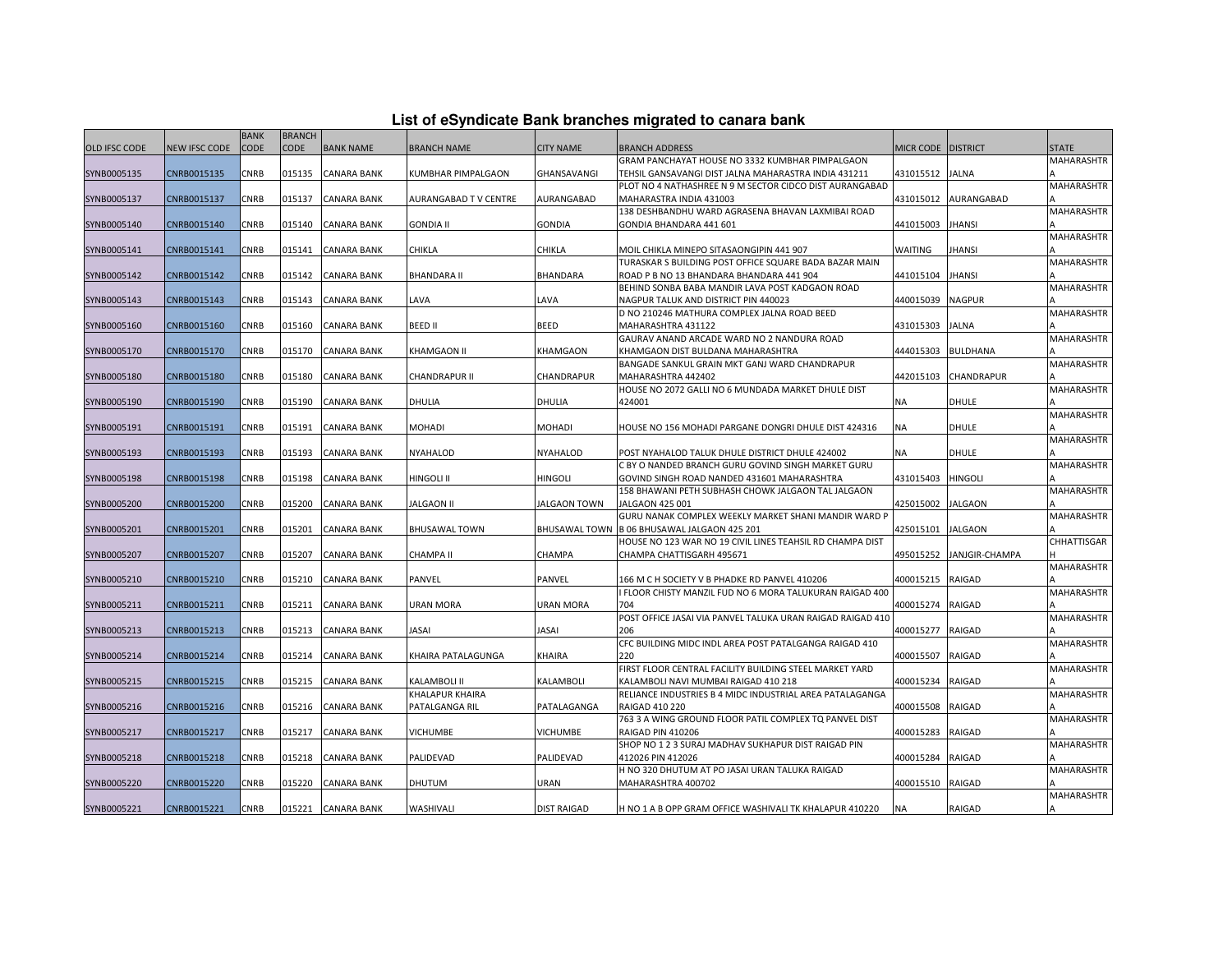|               |                      | <b>BANK</b> | <b>BRANCH</b> |                    |                      |                      |                                                                                             |                      |                 |                   |
|---------------|----------------------|-------------|---------------|--------------------|----------------------|----------------------|---------------------------------------------------------------------------------------------|----------------------|-----------------|-------------------|
| OLD IFSC CODE | <b>NEW IFSC CODE</b> | <b>CODE</b> | <b>CODE</b>   | <b>BANK NAME</b>   | <b>BRANCH NAME</b>   | <b>CITY NAME</b>     | BRANCH ADDRESS                                                                              | MICR CODE   DISTRICT |                 | <b>STATE</b>      |
|               |                      |             |               |                    |                      |                      | GRAM PANCHAYAT HOUSE NO 3332 KUMBHAR PIMPALGAON                                             |                      |                 | <b>MAHARASHTR</b> |
| SYNB0005135   | CNRB0015135          | CNRB        | 015135        | <b>CANARA BANK</b> | KUMBHAR PIMPALGAON   | GHANSAVANGI          | TEHSIL GANSAVANGI DIST JALNA MAHARASTRA INDIA 431211                                        | 431015512 JALNA      |                 |                   |
|               |                      |             |               |                    |                      |                      | PLOT NO 4 NATHASHREE N 9 M SECTOR CIDCO DIST AURANGABAD                                     |                      |                 | <b>MAHARASHTR</b> |
| SYNB0005137   | CNRB0015137          | <b>CNRB</b> | 015137        | <b>CANARA BANK</b> | AURANGABAD TV CENTRE | AURANGABAD           | MAHARASTRA INDIA 431003                                                                     | 431015012            | AURANGABAD      |                   |
|               |                      |             |               |                    |                      |                      | 138 DESHBANDHU WARD AGRASENA BHAVAN LAXMIBAI ROAD                                           |                      |                 | <b>MAHARASHTR</b> |
| SYNB0005140   | CNRB0015140          | CNRB        | 015140        | <b>CANARA BANK</b> | <b>GONDIA II</b>     | <b>GONDIA</b>        | GONDIA BHANDARA 441 601                                                                     | 441015003            | <b>JHANSI</b>   |                   |
|               |                      |             |               |                    |                      |                      |                                                                                             |                      |                 | <b>MAHARASHTR</b> |
| SYNB0005141   | CNRB0015141          | CNRB        | 015141        | <b>CANARA BANK</b> | <b>CHIKLA</b>        | CHIKLA               | MOIL CHIKLA MINEPO SITASAONGIPIN 441 907                                                    | <b>WAITING</b>       | <b>JHANSI</b>   |                   |
| SYNB0005142   | CNRB0015142          | <b>CNRB</b> | 015142        | <b>CANARA BANK</b> | <b>BHANDARA II</b>   | <b>BHANDARA</b>      | TURASKAR S BUILDING POST OFFICE SQUARE BADA BAZAR MAIN                                      | 441015104            | <b>JHANSI</b>   | <b>MAHARASHTR</b> |
|               |                      |             |               |                    |                      |                      | ROAD P B NO 13 BHANDARA BHANDARA 441 904<br>BEHIND SONBA BABA MANDIR LAVA POST KADGAON ROAD |                      |                 | MAHARASHTR        |
| SYNB0005143   | CNRB0015143          | CNRB        | 015143        | <b>CANARA BANK</b> | LAVA                 | LAVA                 | NAGPUR TALUK AND DISTRICT PIN 440023                                                        | 440015039            | <b>NAGPUR</b>   |                   |
|               |                      |             |               |                    |                      |                      | D NO 210246 MATHURA COMPLEX JALNA ROAD BEED                                                 |                      |                 | <b>MAHARASHTR</b> |
| SYNB0005160   | CNRB0015160          | CNRB        | 015160        | <b>CANARA BANK</b> | <b>BEED II</b>       | <b>BEED</b>          | MAHARASHTRA 431122                                                                          | 431015303            | <b>JALNA</b>    |                   |
|               |                      |             |               |                    |                      |                      | GAURAV ANAND ARCADE WARD NO 2 NANDURA ROAD                                                  |                      |                 | <b>MAHARASHTR</b> |
| SYNB0005170   | CNRB0015170          | CNRB        | 015170        | <b>CANARA BANK</b> | <b>KHAMGAON II</b>   | KHAMGAON             | KHAMGAON DIST BULDANA MAHARASHTRA                                                           | 444015303            | <b>BULDHANA</b> |                   |
|               |                      |             |               |                    |                      |                      | BANGADE SANKUL GRAIN MKT GANJ WARD CHANDRAPUR                                               |                      |                 | <b>MAHARASHTR</b> |
| SYNB0005180   | CNRB0015180          | CNRB        | 015180        | CANARA BANK        | CHANDRAPUR II        | CHANDRAPUR           | MAHARASHTRA 442402                                                                          | 442015103            | CHANDRAPUR      |                   |
|               |                      |             |               |                    |                      |                      | HOUSE NO 2072 GALLI NO 6 MUNDADA MARKET DHULE DIST                                          |                      |                 | MAHARASHTR        |
| SYNB0005190   | CNRB0015190          | CNRB        | 015190        | <b>CANARA BANK</b> | <b>DHULIA</b>        | DHULIA               | 424001                                                                                      | ΝA                   | <b>DHULE</b>    |                   |
|               |                      |             |               |                    |                      |                      |                                                                                             |                      |                 | <b>MAHARASHTR</b> |
| SYNB0005191   | CNRB0015191          | CNRB        | 015191        | <b>CANARA BANK</b> | <b>MOHADI</b>        | <b>MOHADI</b>        | HOUSE NO 156 MOHADI PARGANE DONGRI DHULE DIST 424316                                        | <b>NA</b>            | <b>DHULE</b>    |                   |
|               |                      |             |               |                    |                      |                      |                                                                                             |                      |                 | MAHARASHTR        |
| SYNB0005193   | CNRB0015193          | <b>CNRB</b> | 015193        | <b>CANARA BANK</b> | NYAHALOD             | <b>NYAHALOD</b>      | POST NYAHALOD TALUK DHULE DISTRICT DHULE 424002                                             | <b>NA</b>            | <b>DHULE</b>    |                   |
|               |                      |             |               |                    |                      |                      | C BY O NANDED BRANCH GURU GOVIND SINGH MARKET GURU                                          |                      |                 | <b>MAHARASHTR</b> |
| SYNB0005198   | CNRB0015198          | CNRB        | 015198        | CANARA BANK        | <b>HINGOLI II</b>    | <b>HINGOLI</b>       | GOVIND SINGH ROAD NANDED 431601 MAHARASHTRA                                                 | 431015403            | <b>HINGOLI</b>  |                   |
|               |                      | CNRB        | 015200        |                    |                      |                      | 158 BHAWANI PETH SUBHASH CHOWK JALGAON TAL JALGAON                                          | 425015002            |                 | <b>MAHARASHTR</b> |
| SYNB0005200   | CNRB0015200          |             |               | <b>CANARA BANK</b> | <b>JALGAON II</b>    | <b>JALGAON TOWN</b>  | JALGAON 425 001<br>GURU NANAK COMPLEX WEEKLY MARKET SHANI MANDIR WARD P                     |                      | <b>JALGAON</b>  | <b>MAHARASHTR</b> |
| SYNB0005201   | CNRB0015201          | <b>CNRB</b> | 015201        | <b>CANARA BANK</b> | <b>BHUSAWAL TOWN</b> | <b>BHUSAWAL TOWN</b> | B 06 BHUSAWAL JALGAON 425 201                                                               | 425015101            | <b>JALGAON</b>  |                   |
|               |                      |             |               |                    |                      |                      | HOUSE NO 123 WAR NO 19 CIVIL LINES TEAHSIL RD CHAMPA DIST                                   |                      |                 | CHHATTISGAR       |
| SYNB0005207   | CNRB0015207          | CNRB        | 015207        | <b>CANARA BANK</b> | <b>CHAMPA II</b>     | CHAMPA               | CHAMPA CHATTISGARH 495671                                                                   | 495015252            | JANJGIR-CHAMPA  |                   |
|               |                      |             |               |                    |                      |                      |                                                                                             |                      |                 | <b>MAHARASHTR</b> |
| SYNB0005210   | CNRB0015210          | CNRB        | 015210        | <b>CANARA BANK</b> | PANVEL               | PANVEL               | 166 M C H SOCIETY V B PHADKE RD PANVEL 410206                                               | 400015215            | <b>RAIGAD</b>   |                   |
|               |                      |             |               |                    |                      |                      | I FLOOR CHISTY MANZIL FUD NO 6 MORA TALUKURAN RAIGAD 400                                    |                      |                 | MAHARASHTR        |
| SYNB0005211   | CNRB0015211          | <b>CNRB</b> | 015211        | <b>CANARA BANK</b> | <b>URAN MORA</b>     | <b>URAN MORA</b>     | 704                                                                                         | 400015274            | RAIGAD          |                   |
|               |                      |             |               |                    |                      |                      | POST OFFICE JASAI VIA PANVEL TALUKA URAN RAIGAD RAIGAD 410                                  |                      |                 | <b>MAHARASHTR</b> |
| SYNB0005213   | CNRB0015213          | CNRB        | 015213        | <b>CANARA BANK</b> | JASAI                | JASAI                | 206                                                                                         | 400015277            | RAIGAD          |                   |
|               |                      |             |               |                    |                      |                      | CFC BUILDING MIDC INDL AREA POST PATALGANGA RAIGAD 410                                      |                      |                 | <b>MAHARASHTR</b> |
| SYNB0005214   | CNRB0015214          | CNRB        | 015214        | <b>CANARA BANK</b> | KHAIRA PATALAGUNGA   | KHAIRA               | 220                                                                                         | 400015507            | <b>RAIGAD</b>   |                   |
|               |                      |             |               |                    |                      |                      | FIRST FLOOR CENTRAL FACILITY BUILDING STEEL MARKET YARD                                     |                      |                 | <b>MAHARASHTR</b> |
| SYNB0005215   | CNRB0015215          | CNRB        | 015215        | <b>CANARA BANK</b> | <b>KALAMBOLI II</b>  | KALAMBOLI            | KALAMBOLI NAVI MUMBAI RAIGAD 410 218                                                        | 400015234            | RAIGAD          |                   |
|               |                      |             |               |                    | KHALAPUR KHAIRA      |                      | RELIANCE INDUSTRIES B 4 MIDC INDUSTRIAL AREA PATALAGANGA                                    |                      |                 | <b>MAHARASHTR</b> |
| SYNB0005216   | CNRB0015216          | CNRB        | 015216        | <b>CANARA BANK</b> | PATALGANGA RIL       | PATALAGANGA          | RAIGAD 410 220<br>763 3 A WING GROUND FLOOR PATIL COMPLEX TO PANVEL DIST                    | 400015508            | <b>RAIGAD</b>   | <b>MAHARASHTR</b> |
| SYNB0005217   | CNRB0015217          | CNRB        | 015217        | <b>CANARA BANK</b> | <b>VICHUMBE</b>      | <b>VICHUMBE</b>      | RAIGAD PIN 410206                                                                           | 400015283            | RAIGAD          |                   |
|               |                      |             |               |                    |                      |                      | SHOP NO 1 2 3 SURAJ MADHAV SUKHAPUR DIST RAIGAD PIN                                         |                      |                 | <b>MAHARASHTR</b> |
| SYNB0005218   | CNRB0015218          | CNRB        | 015218        | <b>CANARA BANK</b> | PALIDEVAD            | PALIDEVAD            | 412026 PIN 412026                                                                           | 400015284            | RAIGAD          |                   |
|               |                      |             |               |                    |                      |                      | H NO 320 DHUTUM AT PO JASAI URAN TALUKA RAIGAD                                              |                      |                 | <b>MAHARASHTR</b> |
| SYNB0005220   | CNRB0015220          | <b>CNRB</b> | 015220        | <b>CANARA BANK</b> | <b>DHUTUM</b>        | URAN                 | MAHARASHTRA 400702                                                                          | 400015510            | <b>RAIGAD</b>   |                   |
|               |                      |             |               |                    |                      |                      |                                                                                             |                      |                 | <b>MAHARASHTR</b> |
| SYNB0005221   | CNRB0015221          | CNRB        |               | 015221 CANARA BANK | WASHIVALI            | <b>DIST RAIGAD</b>   | H NO 1 A B OPP GRAM OFFICE WASHIVALI TK KHALAPUR 410220                                     | NA                   | RAIGAD          |                   |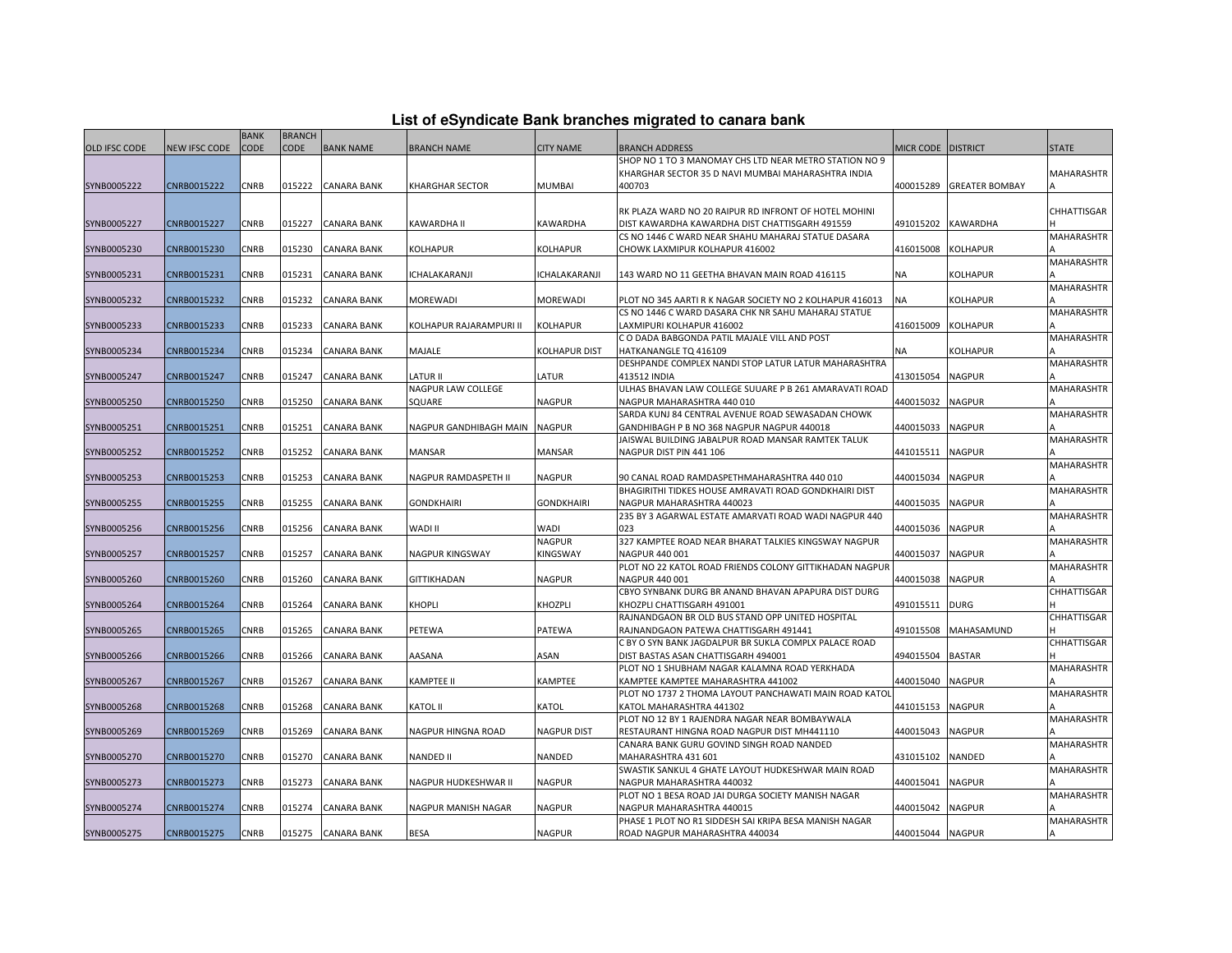| List of eSyndicate Bank branches migrated to canara bank |  |  |
|----------------------------------------------------------|--|--|
|                                                          |  |  |

|               |               | <b>BANK</b> | <b>BRANCH</b> |                    |                               |                      |                                                                           |                      |                       |                    |
|---------------|---------------|-------------|---------------|--------------------|-------------------------------|----------------------|---------------------------------------------------------------------------|----------------------|-----------------------|--------------------|
| OLD IFSC CODE | NEW IFSC CODE | <b>CODE</b> | <b>CODE</b>   | <b>BANK NAME</b>   | <b>BRANCH NAME</b>            | <b>CITY NAME</b>     | BRANCH ADDRESS                                                            | MICR CODE   DISTRICT |                       | <b>STATE</b>       |
|               |               |             |               |                    |                               |                      | SHOP NO 1 TO 3 MANOMAY CHS LTD NEAR METRO STATION NO 9                    |                      |                       |                    |
|               |               |             |               |                    |                               |                      | KHARGHAR SECTOR 35 D NAVI MUMBAI MAHARASHTRA INDIA                        |                      |                       | <b>MAHARASHTR</b>  |
| SYNB0005222   | CNRB0015222   | CNRB        | 015222        | <b>CANARA BANK</b> | KHARGHAR SECTOR               | <b>MUMBAI</b>        | 400703                                                                    | 400015289            | <b>GREATER BOMBAY</b> |                    |
|               |               |             |               |                    |                               |                      |                                                                           |                      |                       |                    |
|               |               |             |               |                    |                               |                      | RK PLAZA WARD NO 20 RAIPUR RD INFRONT OF HOTEL MOHINI                     |                      |                       | <b>CHHATTISGAR</b> |
| SYNB0005227   | CNRB0015227   | CNRB        | 015227        | <b>CANARA BANK</b> | KAWARDHA II                   | <b>KAWARDHA</b>      | DIST KAWARDHA KAWARDHA DIST CHATTISGARH 491559                            | 491015202            | KAWARDHA              |                    |
|               |               |             |               |                    |                               |                      | CS NO 1446 C WARD NEAR SHAHU MAHARAJ STATUE DASARA                        |                      |                       | MAHARASHTR         |
| SYNB0005230   | CNRB0015230   | CNRB        | 015230        | <b>CANARA BANK</b> | <b>KOLHAPUR</b>               | <b>KOLHAPUR</b>      | CHOWK LAXMIPUR KOLHAPUR 416002                                            | 416015008            | <b>KOLHAPUR</b>       |                    |
|               |               |             |               |                    |                               |                      |                                                                           |                      |                       | MAHARASHTR         |
| SYNB0005231   | CNRB0015231   | CNRB        | 015231        | <b>CANARA BANK</b> | <b>CHALAKARANJI</b>           | ICHALAKARANJI        | 143 WARD NO 11 GEETHA BHAVAN MAIN ROAD 416115                             | NA                   | KOLHAPUR              |                    |
|               |               |             |               |                    |                               |                      |                                                                           |                      |                       | <b>MAHARASHTR</b>  |
| SYNB0005232   | CNRB0015232   | CNRB        | 015232        | <b>CANARA BANK</b> | MOREWADI                      | <b>MOREWADI</b>      | PLOT NO 345 AARTI R K NAGAR SOCIETY NO 2 KOLHAPUR 416013                  | <b>NA</b>            | KOLHAPUR              |                    |
|               |               |             |               |                    |                               |                      | CS NO 1446 C WARD DASARA CHK NR SAHU MAHARAJ STATUE                       |                      |                       | MAHARASHTR         |
| SYNB0005233   | CNRB0015233   | <b>CNRB</b> | 015233        | <b>CANARA BANK</b> | KOLHAPUR RAJARAMPURI II       | <b>KOLHAPUR</b>      | LAXMIPURI KOLHAPUR 416002                                                 | 416015009            | <b>KOLHAPUR</b>       |                    |
|               |               |             |               |                    |                               |                      | C O DADA BABGONDA PATIL MAJALE VILL AND POST                              |                      |                       | MAHARASHTR         |
| SYNB0005234   | CNRB0015234   | <b>CNRB</b> | 015234        | <b>CANARA BANK</b> | MAJALE                        | <b>KOLHAPUR DIST</b> | HATKANANGLE TQ 416109                                                     | <b>NA</b>            | KOLHAPUR              |                    |
|               |               |             |               |                    |                               |                      | DESHPANDE COMPLEX NANDI STOP LATUR LATUR MAHARASHTRA                      |                      |                       | <b>MAHARASHTR</b>  |
| SYNB0005247   | CNRB0015247   | <b>CNRB</b> | 015247        | <b>CANARA BANK</b> | LATUR II                      | LATUR                | 413512 INDIA                                                              | 413015054            | <b>NAGPUR</b>         |                    |
|               |               |             |               |                    | NAGPUR LAW COLLEGE            |                      | ULHAS BHAVAN LAW COLLEGE SUUARE P B 261 AMARAVATI ROAD                    |                      |                       | <b>MAHARASHTR</b>  |
| SYNB0005250   | CNRB0015250   | <b>CNRB</b> | 015250        | <b>CANARA BANK</b> | SQUARE                        | <b>NAGPUR</b>        | NAGPUR MAHARASHTRA 440 010                                                | 440015032            | <b>NAGPUR</b>         |                    |
|               |               |             |               |                    |                               |                      | SARDA KUNJ 84 CENTRAL AVENUE ROAD SEWASADAN CHOWK                         |                      |                       | MAHARASHTR         |
| SYNB0005251   | CNRB0015251   | CNRB        | 015251        | <b>CANARA BANK</b> | NAGPUR GANDHIBAGH MAIN NAGPUR |                      | GANDHIBAGH P B NO 368 NAGPUR NAGPUR 440018                                | 440015033            | <b>NAGPUR</b>         |                    |
|               |               |             |               |                    |                               |                      | JAISWAL BUILDING JABALPUR ROAD MANSAR RAMTEK TALUK                        |                      |                       | <b>MAHARASHTR</b>  |
| SYNB0005252   | CNRB0015252   | <b>CNRB</b> | 015252        | <b>CANARA BANK</b> | MANSAR                        | <b>MANSAR</b>        | NAGPUR DIST PIN 441 106                                                   | 441015511            | <b>NAGPUR</b>         |                    |
|               |               |             |               |                    |                               |                      |                                                                           |                      |                       | MAHARASHTR         |
| SYNB0005253   | CNRB0015253   | <b>CNRB</b> | 015253        | <b>CANARA BANK</b> | NAGPUR RAMDASPETH II          | <b>NAGPUR</b>        | 90 CANAL ROAD RAMDASPETHMAHARASHTRA 440 010                               | 440015034            | <b>NAGPUR</b>         |                    |
|               |               |             |               |                    |                               |                      | BHAGIRITHI TIDKES HOUSE AMRAVATI ROAD GONDKHAIRI DIST                     |                      |                       | MAHARASHTR         |
| SYNB0005255   | CNRB0015255   | CNRB        | 015255        | <b>CANARA BANK</b> | <b>GONDKHAIRI</b>             | <b>GONDKHAIRI</b>    | NAGPUR MAHARASHTRA 440023                                                 | 440015035            | <b>NAGPUR</b>         |                    |
|               |               |             |               |                    |                               |                      | 235 BY 3 AGARWAL ESTATE AMARVATI ROAD WADI NAGPUR 440                     |                      |                       | <b>MAHARASHTR</b>  |
| SYNB0005256   | CNRB0015256   | <b>CNRB</b> | 015256        | <b>CANARA BANK</b> | WADI II                       | WADI                 | 023                                                                       | 440015036            | <b>NAGPUR</b>         |                    |
|               |               |             |               |                    |                               | <b>NAGPUR</b>        | 327 KAMPTEE ROAD NEAR BHARAT TALKIES KINGSWAY NAGPUR                      |                      |                       | MAHARASHTR         |
| SYNB0005257   | CNRB0015257   | <b>CNRB</b> | 015257        | <b>CANARA BANK</b> | NAGPUR KINGSWAY               | <b>KINGSWAY</b>      | <b>NAGPUR 440 001</b>                                                     | 440015037            | <b>NAGPUR</b>         |                    |
|               |               |             |               |                    |                               |                      | PLOT NO 22 KATOL ROAD FRIENDS COLONY GITTIKHADAN NAGPUR                   |                      |                       | MAHARASHTR         |
| SYNB0005260   | CNRB0015260   | <b>CNRB</b> | 015260        | CANARA BANK        | <b>GITTIKHADAN</b>            | <b>NAGPUR</b>        | <b>NAGPUR 440 001</b>                                                     | 440015038            | NAGPUR                |                    |
|               |               |             |               |                    |                               |                      | CBYO SYNBANK DURG BR ANAND BHAVAN APAPURA DIST DURG                       |                      |                       | CHHATTISGAR        |
| SYNB0005264   | CNRB0015264   | CNRB        | 015264        | CANARA BANK        | <b>KHOPLI</b>                 | KHOZPLI              | KHOZPLI CHATTISGARH 491001                                                | 491015511            | <b>DURG</b>           |                    |
|               |               |             |               |                    |                               |                      | RAJNANDGAON BR OLD BUS STAND OPP UNITED HOSPITAL                          |                      |                       | CHHATTISGAR        |
| SYNB0005265   | CNRB0015265   | CNRB        | 015265        | <b>CANARA BANK</b> | PETEWA                        | PATEWA               | RAJNANDGAON PATEWA CHATTISGARH 491441                                     | 491015508            | MAHASAMUND            |                    |
|               |               |             |               |                    |                               |                      | C BY O SYN BANK JAGDALPUR BR SUKLA COMPLX PALACE ROAD                     |                      |                       | CHHATTISGAR        |
| SYNB0005266   | CNRB0015266   | CNRB        | 015266        | <b>CANARA BANK</b> | AASANA                        | ASAN                 | DIST BASTAS ASAN CHATTISGARH 494001                                       | 494015504            | <b>BASTAR</b>         |                    |
|               |               |             |               |                    |                               |                      | PLOT NO 1 SHUBHAM NAGAR KALAMNA ROAD YERKHADA                             |                      |                       | MAHARASHTR         |
| SYNB0005267   | CNRB0015267   | <b>CNRB</b> | 015267        | <b>CANARA BANK</b> | KAMPTEE II                    | <b>KAMPTEE</b>       | KAMPTEE KAMPTEE MAHARASHTRA 441002                                        | 440015040            | <b>NAGPUR</b>         |                    |
|               |               |             |               |                    |                               |                      | PLOT NO 1737 2 THOMA LAYOUT PANCHAWATI MAIN ROAD KATOI                    |                      |                       | <b>MAHARASHTR</b>  |
| SYNB0005268   | CNRB0015268   | <b>CNRB</b> | 015268        | <b>CANARA BANK</b> | <b>KATOL II</b>               | <b>KATOL</b>         | KATOL MAHARASHTRA 441302                                                  | 441015153            | <b>NAGPUR</b>         |                    |
|               |               |             |               |                    |                               |                      | PLOT NO 12 BY 1 RAJENDRA NAGAR NEAR BOMBAYWALA                            |                      |                       | MAHARASHTR         |
| SYNB0005269   | CNRB0015269   | <b>CNRB</b> | 015269        | <b>CANARA BANK</b> | NAGPUR HINGNA ROAD            | <b>NAGPUR DIST</b>   | RESTAURANT HINGNA ROAD NAGPUR DIST MH441110                               | 440015043            | NAGPUR                |                    |
|               |               |             |               |                    |                               |                      | CANARA BANK GURU GOVIND SINGH ROAD NANDED                                 |                      |                       | <b>MAHARASHTR</b>  |
|               |               |             |               |                    |                               |                      |                                                                           |                      |                       |                    |
| SYNB0005270   | CNRB0015270   | <b>CNRB</b> | 015270        | CANARA BANK        | <b>NANDED II</b>              | <b>NANDED</b>        | MAHARASHTRA 431 601<br>SWASTIK SANKUL 4 GHATE LAYOUT HUDKESHWAR MAIN ROAD | 431015102            | NANDED                | <b>MAHARASHTR</b>  |
|               |               |             |               |                    |                               |                      |                                                                           |                      |                       |                    |
| SYNB0005273   | CNRB0015273   | CNRB        | 015273        | <b>CANARA BANK</b> | NAGPUR HUDKESHWAR II          | <b>NAGPUR</b>        | NAGPUR MAHARASHTRA 440032                                                 | 440015041            | <b>NAGPUR</b>         |                    |
|               |               |             |               |                    |                               |                      | PLOT NO 1 BESA ROAD JAI DURGA SOCIETY MANISH NAGAR                        |                      |                       | MAHARASHTR         |
| SYNB0005274   | CNRB0015274   | CNRB        | 015274        | <b>CANARA BANK</b> | NAGPUR MANISH NAGAR           | <b>NAGPUR</b>        | NAGPUR MAHARASHTRA 440015                                                 | 440015042            | NAGPUR                |                    |
|               |               |             |               |                    |                               |                      | PHASE 1 PLOT NO R1 SIDDESH SAI KRIPA BESA MANISH NAGAR                    |                      |                       | MAHARASHTR         |
| SYNB0005275   | CNRB0015275   | CNRB        |               | 015275 CANARA BANK | <b>BESA</b>                   | <b>NAGPUR</b>        | ROAD NAGPUR MAHARASHTRA 440034                                            | 440015044 NAGPUR     |                       |                    |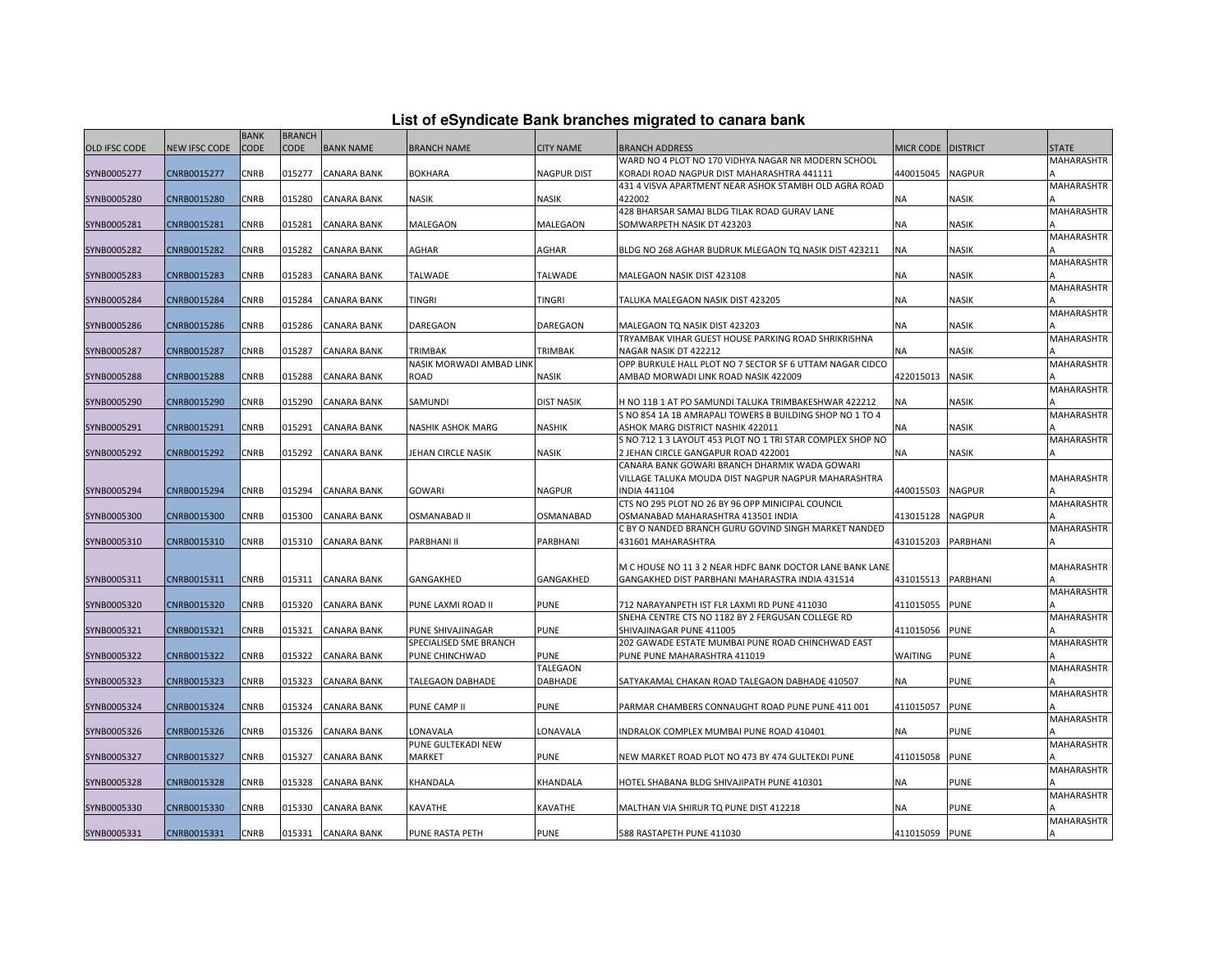| List of eSyndicate Bank branches migrated to canara bank |  |  |  |
|----------------------------------------------------------|--|--|--|
|----------------------------------------------------------|--|--|--|

|                      |               | <b>BANK</b> | <b>BRANCH</b> |                    |                          |                    |                                                                                                   |                    |               |                   |
|----------------------|---------------|-------------|---------------|--------------------|--------------------------|--------------------|---------------------------------------------------------------------------------------------------|--------------------|---------------|-------------------|
| <b>OLD IFSC CODE</b> | NEW IFSC CODE | CODE        | <b>CODE</b>   | <b>BANK NAME</b>   | <b>BRANCH NAME</b>       | <b>CITY NAME</b>   | <b>BRANCH ADDRESS</b>                                                                             | MICR CODE DISTRICT |               | <b>STATE</b>      |
|                      |               |             |               |                    |                          |                    | WARD NO 4 PLOT NO 170 VIDHYA NAGAR NR MODERN SCHOOL                                               |                    |               | MAHARASHTR        |
| SYNB0005277          | CNRB0015277   | CNRB        | 015277        | <b>CANARA BANK</b> | <b>BOKHARA</b>           | <b>NAGPUR DIST</b> | KORADI ROAD NAGPUR DIST MAHARASHTRA 441111                                                        | 440015045          | <b>NAGPUR</b> |                   |
|                      |               |             |               |                    |                          |                    | 431 4 VISVA APARTMENT NEAR ASHOK STAMBH OLD AGRA ROAD                                             |                    |               | MAHARASHTR        |
| SYNB0005280          | CNRB0015280   | CNRB        | 015280        | <b>CANARA BANK</b> | NASIK                    | <b>NASIK</b>       | 422002                                                                                            | ΝA                 | NASIK         |                   |
|                      |               |             |               |                    |                          |                    | 428 BHARSAR SAMAJ BLDG TILAK ROAD GURAV LANE                                                      |                    |               | MAHARASHTR        |
| SYNB0005281          | CNRB0015281   | CNRB        | 015281        | <b>CANARA BANK</b> | MALEGAON                 | MALEGAON           | SOMWARPETH NASIK DT 423203                                                                        | NA                 | <b>NASIK</b>  |                   |
|                      |               |             |               |                    |                          |                    |                                                                                                   |                    |               | MAHARASHTR        |
| SYNB0005282          | CNRB0015282   | <b>CNRB</b> | 015282        | <b>CANARA BANK</b> | AGHAR                    | AGHAR              | BLDG NO 268 AGHAR BUDRUK MLEGAON TO NASIK DIST 423211                                             | <b>NA</b>          | <b>NASIK</b>  | MAHARASHTR        |
| SYNB0005283          | CNRB0015283   | CNRB        | 015283        | <b>CANARA BANK</b> | TALWADE                  | <b>TALWADE</b>     | MALEGAON NASIK DIST 423108                                                                        | <b>NA</b>          | <b>NASIK</b>  |                   |
|                      |               |             |               |                    |                          |                    |                                                                                                   |                    |               | <b>MAHARASHTR</b> |
| SYNB0005284          | CNRB0015284   | CNRB        | 015284        | CANARA BANK        | TINGRI                   | <b>TINGRI</b>      | TALUKA MALEGAON NASIK DIST 423205                                                                 | ΝA                 | <b>NASIK</b>  |                   |
|                      |               |             |               |                    |                          |                    |                                                                                                   |                    |               | MAHARASHTR        |
| SYNB0005286          | CNRB0015286   | <b>CNRB</b> | 015286        | <b>CANARA BANK</b> | DAREGAON                 | DAREGAON           | MALEGAON TQ NASIK DIST 423203                                                                     | <b>NA</b>          | <b>NASIK</b>  |                   |
|                      |               |             |               |                    |                          |                    | TRYAMBAK VIHAR GUEST HOUSE PARKING ROAD SHRIKRISHNA                                               |                    |               | <b>MAHARASHTR</b> |
| SYNB0005287          | CNRB0015287   | CNRB        | 015287        | <b>CANARA BANK</b> | TRIMBAK                  | TRIMBAK            | NAGAR NASIK DT 422212                                                                             | <b>NA</b>          | <b>NASIK</b>  |                   |
|                      |               |             |               |                    | NASIK MORWADI AMBAD LINK |                    | OPP BURKULE HALL PLOT NO 7 SECTOR SF 6 UTTAM NAGAR CIDCO                                          |                    |               | <b>MAHARASHTR</b> |
| SYNB0005288          | CNRB0015288   | CNRB        | 015288        | CANARA BANK        | ROAD                     | NASIK              | AMBAD MORWADI LINK ROAD NASIK 422009                                                              | 422015013          | <b>NASIK</b>  |                   |
|                      |               |             |               |                    |                          |                    |                                                                                                   |                    |               | <b>MAHARASHTR</b> |
| SYNB0005290          | CNRB0015290   | CNRB        | 015290        | <b>CANARA BANK</b> | SAMUNDI                  | <b>DIST NASIK</b>  | H NO 11B 1 AT PO SAMUNDI TALUKA TRIMBAKESHWAR 422212                                              | <b>NA</b>          | <b>NASIK</b>  |                   |
|                      |               |             |               |                    |                          |                    | S NO 854 1A 1B AMRAPALI TOWERS B BUILDING SHOP NO 1 TO 4                                          |                    |               | MAHARASHTR        |
| SYNB0005291          | CNRB0015291   | CNRB        | 015291        | <b>CANARA BANK</b> | NASHIK ASHOK MARG        | <b>NASHIK</b>      | ASHOK MARG DISTRICT NASHIK 422011                                                                 | ΝA                 | <b>NASIK</b>  |                   |
| SYNB0005292          | CNRB0015292   | CNRB        | 015292        | <b>CANARA BANK</b> | JEHAN CIRCLE NASIK       | <b>NASIK</b>       | S NO 712 1 3 LAYOUT 453 PLOT NO 1 TRI STAR COMPLEX SHOP NO<br>2 JEHAN CIRCLE GANGAPUR ROAD 422001 | ΝA                 | <b>NASIK</b>  | <b>MAHARASHTR</b> |
|                      |               |             |               |                    |                          |                    | CANARA BANK GOWARI BRANCH DHARMIK WADA GOWARI                                                     |                    |               |                   |
|                      |               |             |               |                    |                          |                    | VILLAGE TALUKA MOUDA DIST NAGPUR NAGPUR MAHARASHTRA                                               |                    |               | <b>MAHARASHTR</b> |
| SYNB0005294          | CNRB0015294   | CNRB        | 015294        | <b>CANARA BANK</b> | <b>GOWARI</b>            | NAGPUR             | <b>INDIA 441104</b>                                                                               | 440015503          | <b>NAGPUR</b> |                   |
|                      |               |             |               |                    |                          |                    | CTS NO 295 PLOT NO 26 BY 96 OPP MINICIPAL COUNCIL                                                 |                    |               | <b>MAHARASHTR</b> |
| SYNB0005300          | CNRB0015300   | CNRB        | 015300        | <b>CANARA BANK</b> | <b>OSMANABAD II</b>      | OSMANABAD          | OSMANABAD MAHARASHTRA 413501 INDIA                                                                | 413015128          | <b>NAGPUR</b> |                   |
|                      |               |             |               |                    |                          |                    | C BY O NANDED BRANCH GURU GOVIND SINGH MARKET NANDED                                              |                    |               | <b>MAHARASHTR</b> |
| SYNB0005310          | CNRB0015310   | CNRB        | 015310        | <b>CANARA BANK</b> | PARBHANI II              | PARBHANI           | 431601 MAHARASHTRA                                                                                | 431015203          | PARBHANI      |                   |
|                      |               |             |               |                    |                          |                    |                                                                                                   |                    |               |                   |
|                      |               |             |               |                    |                          |                    | M C HOUSE NO 11 3 2 NEAR HDFC BANK DOCTOR LANE BANK LANE                                          |                    |               | <b>MAHARASHTR</b> |
| SYNB0005311          | CNRB0015311   | CNRB        | 015311        | <b>CANARA BANK</b> | GANGAKHED                | GANGAKHED          | GANGAKHED DIST PARBHANI MAHARASTRA INDIA 431514                                                   | 431015513          | PARBHANI      |                   |
|                      |               |             |               |                    |                          |                    |                                                                                                   |                    |               | <b>MAHARASHTR</b> |
| SYNB0005320          | CNRB0015320   | CNRB        | 015320        | <b>CANARA BANK</b> | PUNE LAXMI ROAD II       | <b>PUNE</b>        | 712 NARAYANPETH IST FLR LAXMI RD PUNE 411030<br>SNEHA CENTRE CTS NO 1182 BY 2 FERGUSAN COLLEGE RD | 411015055          | <b>PUNE</b>   | <b>MAHARASHTR</b> |
| SYNB0005321          | CNRB0015321   | CNRB        | 015321        | <b>CANARA BANK</b> | PUNE SHIVAJINAGAR        | <b>PUNE</b>        | SHIVAJINAGAR PUNE 411005                                                                          | 411015056          | <b>PUNE</b>   |                   |
|                      |               |             |               |                    | SPECIALISED SME BRANCH   |                    | 202 GAWADE ESTATE MUMBAI PUNE ROAD CHINCHWAD EAST                                                 |                    |               | <b>MAHARASHTR</b> |
| SYNB0005322          | CNRB0015322   | CNRB        | 015322        | <b>CANARA BANK</b> | PUNE CHINCHWAD           | <b>PUNE</b>        | PUNE PUNE MAHARASHTRA 411019                                                                      | WAITING            | <b>PUNE</b>   |                   |
|                      |               |             |               |                    |                          | TALEGAON           |                                                                                                   |                    |               | <b>MAHARASHTR</b> |
| SYNB0005323          | CNRB0015323   | CNRB        | 015323        | <b>CANARA BANK</b> | <b>TALEGAON DABHADE</b>  | DABHADE            | SATYAKAMAL CHAKAN ROAD TALEGAON DABHADE 410507                                                    | <b>NA</b>          | <b>PUNE</b>   |                   |
|                      |               |             |               |                    |                          |                    |                                                                                                   |                    |               | <b>MAHARASHTR</b> |
| SYNB0005324          | CNRB0015324   | CNRB        | 015324        | <b>CANARA BANK</b> | PUNE CAMP II             | <b>PUNE</b>        | PARMAR CHAMBERS CONNAUGHT ROAD PUNE PUNE 411 001                                                  | 411015057          | <b>PUNE</b>   |                   |
|                      |               |             |               |                    |                          |                    |                                                                                                   |                    |               | MAHARASHTR        |
| SYNB0005326          | CNRB0015326   | CNRB        | 015326        | <b>CANARA BANK</b> | LONAVALA                 | LONAVALA           | INDRALOK COMPLEX MUMBAI PUNE ROAD 410401                                                          | <b>NA</b>          | <b>PUNE</b>   |                   |
|                      |               |             |               |                    | PUNE GULTEKADI NEW       |                    |                                                                                                   |                    |               | <b>MAHARASHTR</b> |
| SYNB0005327          | CNRB0015327   | CNRB        | 015327        | <b>CANARA BANK</b> | MARKET                   | <b>PUNE</b>        | NEW MARKET ROAD PLOT NO 473 BY 474 GULTEKDI PUNE                                                  | 411015058 PUNE     |               |                   |
|                      |               |             |               |                    |                          |                    |                                                                                                   |                    |               | <b>MAHARASHTR</b> |
| SYNB0005328          | CNRB0015328   | CNRB        | 015328        | <b>CANARA BANK</b> | KHANDALA                 | KHANDALA           | HOTEL SHABANA BLDG SHIVAJIPATH PUNE 410301                                                        | <b>NA</b>          | <b>PUNE</b>   |                   |
| SYNB0005330          | CNRB0015330   | CNRB        | 015330        | <b>CANARA BANK</b> | KAVATHE                  | KAVATHE            | MALTHAN VIA SHIRUR TQ PUNE DIST 412218                                                            | <b>NA</b>          | <b>PUNE</b>   | MAHARASHTR        |
|                      |               |             |               |                    |                          |                    |                                                                                                   |                    |               | MAHARASHTR        |
| SYNB0005331          | CNRB0015331   | <b>CNRB</b> | 015331        | <b>CANARA BANK</b> | PUNE RASTA PETH          | <b>PUNE</b>        | 588 RASTAPETH PUNE 411030                                                                         | 411015059 PUNE     |               |                   |
|                      |               |             |               |                    |                          |                    |                                                                                                   |                    |               |                   |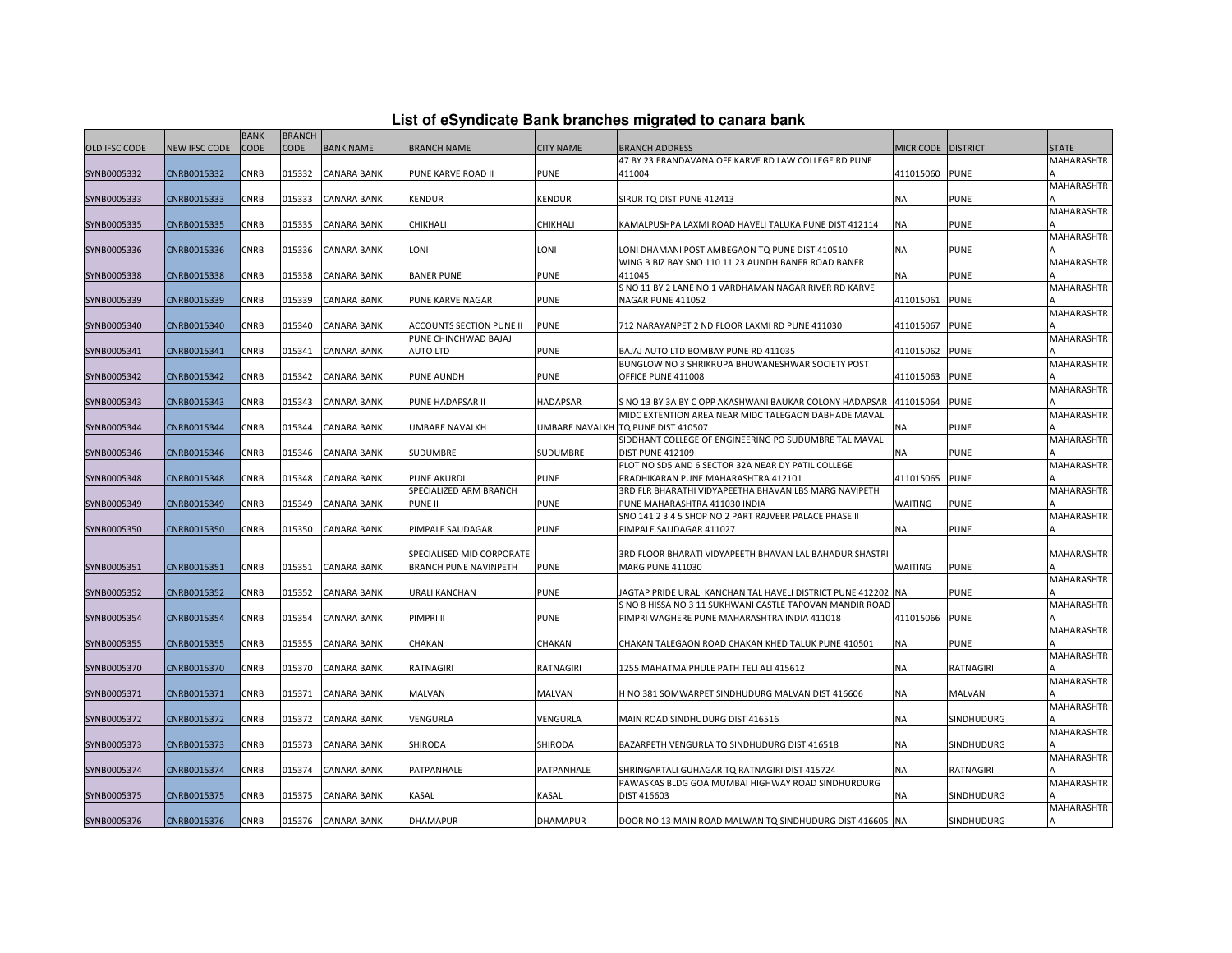|                      |                      | <b>BANK</b> | <b>BRANCH</b> |                    |                           |                  |                                                                   |                    |             |                   |
|----------------------|----------------------|-------------|---------------|--------------------|---------------------------|------------------|-------------------------------------------------------------------|--------------------|-------------|-------------------|
|                      |                      |             |               |                    |                           |                  |                                                                   |                    |             | <b>STATE</b>      |
| <b>OLD IFSC CODE</b> | <b>NEW IFSC CODE</b> | <b>CODE</b> | <b>CODE</b>   | <b>BANK NAME</b>   | <b>BRANCH NAME</b>        | <b>CITY NAME</b> | <b>BRANCH ADDRESS</b>                                             | MICR CODE DISTRICT |             |                   |
|                      |                      |             |               |                    |                           |                  | 47 BY 23 ERANDAVANA OFF KARVE RD LAW COLLEGE RD PUNE              |                    |             | MAHARASHTR        |
| SYNB0005332          | CNRB0015332          | CNRB        | 015332        | <b>CANARA BANK</b> | PUNE KARVE ROAD II        | <b>PUNE</b>      | 411004                                                            | 411015060 PUNE     |             |                   |
|                      |                      |             |               |                    |                           |                  |                                                                   |                    |             | MAHARASHTR        |
| SYNB0005333          | CNRB0015333          | <b>CNRB</b> | 015333        | <b>CANARA BANK</b> | <b>KENDUR</b>             | <b>KENDUR</b>    | SIRUR TQ DIST PUNE 412413                                         | <b>NA</b>          | <b>PUNE</b> | <b>MAHARASHTR</b> |
|                      | CNRB0015335          | CNRB        | 015335        | <b>CANARA BANK</b> | CHIKHALI                  | CHIKHALI         |                                                                   | <b>NA</b>          | <b>PUNE</b> |                   |
| SYNB0005335          |                      |             |               |                    |                           |                  | KAMALPUSHPA LAXMI ROAD HAVELI TALUKA PUNE DIST 412114             |                    |             | MAHARASHTR        |
| SYNB0005336          | CNRB0015336          | CNRB        | 015336        | <b>CANARA BANK</b> | LONI                      | LONI             | LONI DHAMANI POST AMBEGAON TQ PUNE DIST 410510                    | ΝA                 | PUNE        |                   |
|                      |                      |             |               |                    |                           |                  | WING B BIZ BAY SNO 110 11 23 AUNDH BANER ROAD BANER               |                    |             | MAHARASHTR        |
| SYNB0005338          | CNRB0015338          | <b>CNRB</b> | 015338        | <b>CANARA BANK</b> | <b>BANER PUNE</b>         | <b>PUNE</b>      | 411045                                                            | <b>NA</b>          | PUNE        |                   |
|                      |                      |             |               |                    |                           |                  | S NO 11 BY 2 LANE NO 1 VARDHAMAN NAGAR RIVER RD KARVE             |                    |             | MAHARASHTR        |
| SYNB0005339          | CNRB0015339          | <b>CNRB</b> | 015339        | <b>CANARA BANK</b> | PUNE KARVE NAGAR          | <b>PUNE</b>      | NAGAR PUNE 411052                                                 | 411015061          | <b>PUNE</b> |                   |
|                      |                      |             |               |                    |                           |                  |                                                                   |                    |             | MAHARASHTR        |
| SYNB0005340          | CNRB0015340          | CNRB        | 015340        | <b>CANARA BANK</b> | ACCOUNTS SECTION PUNE II  | <b>PUNE</b>      | 712 NARAYANPET 2 ND FLOOR LAXMI RD PUNE 411030                    | 411015067          | <b>PUNE</b> |                   |
|                      |                      |             |               |                    | PUNE CHINCHWAD BAJAJ      |                  |                                                                   |                    |             | MAHARASHTR        |
| SYNB0005341          | CNRB0015341          | CNRB        | 015341        | CANARA BANK        | AUTO LTD                  | <b>PUNE</b>      | BAJAJ AUTO LTD BOMBAY PUNE RD 411035                              | 411015062          | <b>PUNE</b> |                   |
|                      |                      |             |               |                    |                           |                  | BUNGLOW NO 3 SHRIKRUPA BHUWANESHWAR SOCIETY POST                  |                    |             | MAHARASHTR        |
| SYNB0005342          | CNRB0015342          | CNRB        | 015342        | <b>CANARA BANK</b> | <b>PUNE AUNDH</b>         | <b>PUNE</b>      | OFFICE PUNE 411008                                                | 411015063          | <b>PUNE</b> |                   |
|                      |                      |             |               |                    |                           |                  |                                                                   |                    |             | MAHARASHTR        |
| SYNB0005343          | CNRB0015343          | CNRB        | 015343        | <b>CANARA BANK</b> | PUNE HADAPSAR II          | <b>HADAPSAR</b>  | S NO 13 BY 3A BY C OPP AKASHWANI BAUKAR COLONY HADAPSAR 411015064 |                    | <b>PUNE</b> |                   |
|                      |                      |             |               |                    |                           |                  | MIDC EXTENTION AREA NEAR MIDC TALEGAON DABHADE MAVAL              |                    |             | <b>MAHARASHTR</b> |
| SYNB0005344          | CNRB0015344          | CNRB        | 015344        | <b>CANARA BANK</b> | UMBARE NAVALKH            |                  | UMBARE NAVALKH TQ PUNE DIST 410507                                | ΝA                 | PUNE        |                   |
|                      |                      |             |               |                    |                           |                  | SIDDHANT COLLEGE OF ENGINEERING PO SUDUMBRE TAL MAVAL             |                    |             | MAHARASHTR        |
| SYNB0005346          | CNRB0015346          | CNRB        | 015346        | <b>CANARA BANK</b> | SUDUMBRE                  | <b>SUDUMBRE</b>  | <b>DIST PUNE 412109</b>                                           | ΝA                 | <b>PUNE</b> |                   |
|                      |                      |             |               |                    |                           |                  | PLOT NO SD5 AND 6 SECTOR 32A NEAR DY PATIL COLLEGE                |                    |             | MAHARASHTR        |
| SYNB0005348          | CNRB0015348          | <b>CNRB</b> | 015348        | <b>CANARA BANK</b> | <b>PUNE AKURDI</b>        | <b>PUNE</b>      | PRADHIKARAN PUNE MAHARASHTRA 412101                               | 411015065          | <b>PUNE</b> |                   |
|                      |                      |             |               |                    | SPECIALIZED ARM BRANCH    |                  | 3RD FLR BHARATHI VIDYAPEETHA BHAVAN LBS MARG NAVIPETH             |                    |             | MAHARASHTR        |
| SYNB0005349          | CNRB0015349          | CNRB        | 015349        | <b>CANARA BANK</b> | <b>PUNE II</b>            | <b>PUNE</b>      | PUNE MAHARASHTRA 411030 INDIA                                     | WAITING            | PUNE        |                   |
|                      |                      |             |               |                    |                           |                  | SNO 141 2 3 4 5 SHOP NO 2 PART RAJVEER PALACE PHASE II            |                    |             | <b>MAHARASHTR</b> |
| SYNB0005350          | CNRB0015350          | CNRB        | 015350        | <b>CANARA BANK</b> | PIMPALE SAUDAGAR          | <b>PUNE</b>      | PIMPALE SAUDAGAR 411027                                           | NΑ                 | PUNE        |                   |
|                      |                      |             |               |                    |                           |                  |                                                                   |                    |             |                   |
|                      |                      |             |               |                    | SPECIALISED MID CORPORATE |                  | 3RD FLOOR BHARATI VIDYAPEETH BHAVAN LAL BAHADUR SHASTRI           |                    |             | <b>MAHARASHTR</b> |
| SYNB0005351          | CNRB0015351          | <b>CNRB</b> | 015351        | <b>CANARA BANK</b> | BRANCH PUNE NAVINPETH     | <b>PUNE</b>      | MARG PUNE 411030                                                  | WAITING            | PUNE        |                   |
|                      |                      |             |               |                    |                           |                  |                                                                   |                    |             | MAHARASHTR        |
| SYNB0005352          | CNRB0015352          | <b>CNRB</b> | 015352        | <b>CANARA BANK</b> | URALI KANCHAN             | <b>PUNE</b>      | JAGTAP PRIDE URALI KANCHAN TAL HAVELI DISTRICT PUNE 412202 NA     |                    | <b>PUNE</b> |                   |
|                      |                      |             |               |                    |                           |                  | S NO 8 HISSA NO 3 11 SUKHWANI CASTLE TAPOVAN MANDIR ROAD          |                    |             | MAHARASHTR        |
| SYNB0005354          | CNRB0015354          | CNRB        | 015354        | CANARA BANK        | PIMPRI II                 | <b>PUNE</b>      | PIMPRI WAGHERE PUNE MAHARASHTRA INDIA 411018                      | 411015066          | <b>PUNE</b> |                   |
|                      |                      |             |               |                    |                           |                  |                                                                   |                    |             | MAHARASHTR        |
| SYNB0005355          | CNRB0015355          | CNRB        | 015355        | CANARA BANK        | CHAKAN                    | CHAKAN           | CHAKAN TALEGAON ROAD CHAKAN KHED TALUK PUNE 410501                | ΝA                 | PUNE        |                   |
|                      |                      |             |               |                    |                           |                  |                                                                   |                    |             | MAHARASHTR        |
| SYNB0005370          | CNRB0015370          | <b>CNRB</b> | 015370        | <b>CANARA BANK</b> | RATNAGIRI                 | <b>RATNAGIRI</b> | 1255 MAHATMA PHULE PATH TELI ALI 415612                           | <b>NA</b>          | RATNAGIRI   |                   |
|                      |                      |             |               |                    |                           |                  |                                                                   |                    |             | MAHARASHTR        |
| SYNB0005371          | CNRB0015371          | CNRB        | 015371        | CANARA BANK        | MALVAN                    | MALVAN           | H NO 381 SOMWARPET SINDHUDURG MALVAN DIST 416606                  | <b>NA</b>          | MALVAN      |                   |
|                      |                      |             |               |                    |                           |                  |                                                                   |                    |             | MAHARASHTR        |
| SYNB0005372          | CNRB0015372          | CNRB        | 015372        | <b>CANARA BANK</b> | VENGURLA                  | VENGURLA         | MAIN ROAD SINDHUDURG DIST 416516                                  | <b>NA</b>          | SINDHUDURG  |                   |
|                      |                      |             |               |                    |                           |                  |                                                                   |                    |             | MAHARASHTR        |
| SYNB0005373          | CNRB0015373          | <b>CNRB</b> | 015373        | <b>CANARA BANK</b> | SHIRODA                   | <b>SHIRODA</b>   | BAZARPETH VENGURLA TQ SINDHUDURG DIST 416518                      | ΝA                 | SINDHUDURG  |                   |
|                      |                      |             |               |                    |                           |                  |                                                                   |                    |             | MAHARASHTR        |
| SYNB0005374          | CNRB0015374          | <b>CNRB</b> | 015374        | <b>CANARA BANK</b> | PATPANHALE                | PATPANHALE       | SHRINGARTALI GUHAGAR TQ RATNAGIRI DIST 415724                     | NA                 | RATNAGIRI   |                   |
|                      | CNRB0015375          | CNRB        | 015375        |                    |                           |                  | PAWASKAS BLDG GOA MUMBAI HIGHWAY ROAD SINDHURDURG<br>DIST 416603  |                    |             | MAHARASHTR        |
| SYNB0005375          |                      |             |               | <b>CANARA BANK</b> | KASAL                     | KASAL            |                                                                   | ΝA                 | SINDHUDURG  | MAHARASHTR        |
| SYNB0005376          | CNRB0015376          | <b>CNRB</b> |               | 015376 CANARA BANK | <b>DHAMAPUR</b>           | <b>DHAMAPUR</b>  | DOOR NO 13 MAIN ROAD MALWAN TO SINDHUDURG DIST 416605 NA          |                    | SINDHUDURG  |                   |
|                      |                      |             |               |                    |                           |                  |                                                                   |                    |             |                   |

**List of eSyndicate Bank branches migrated to canara bank**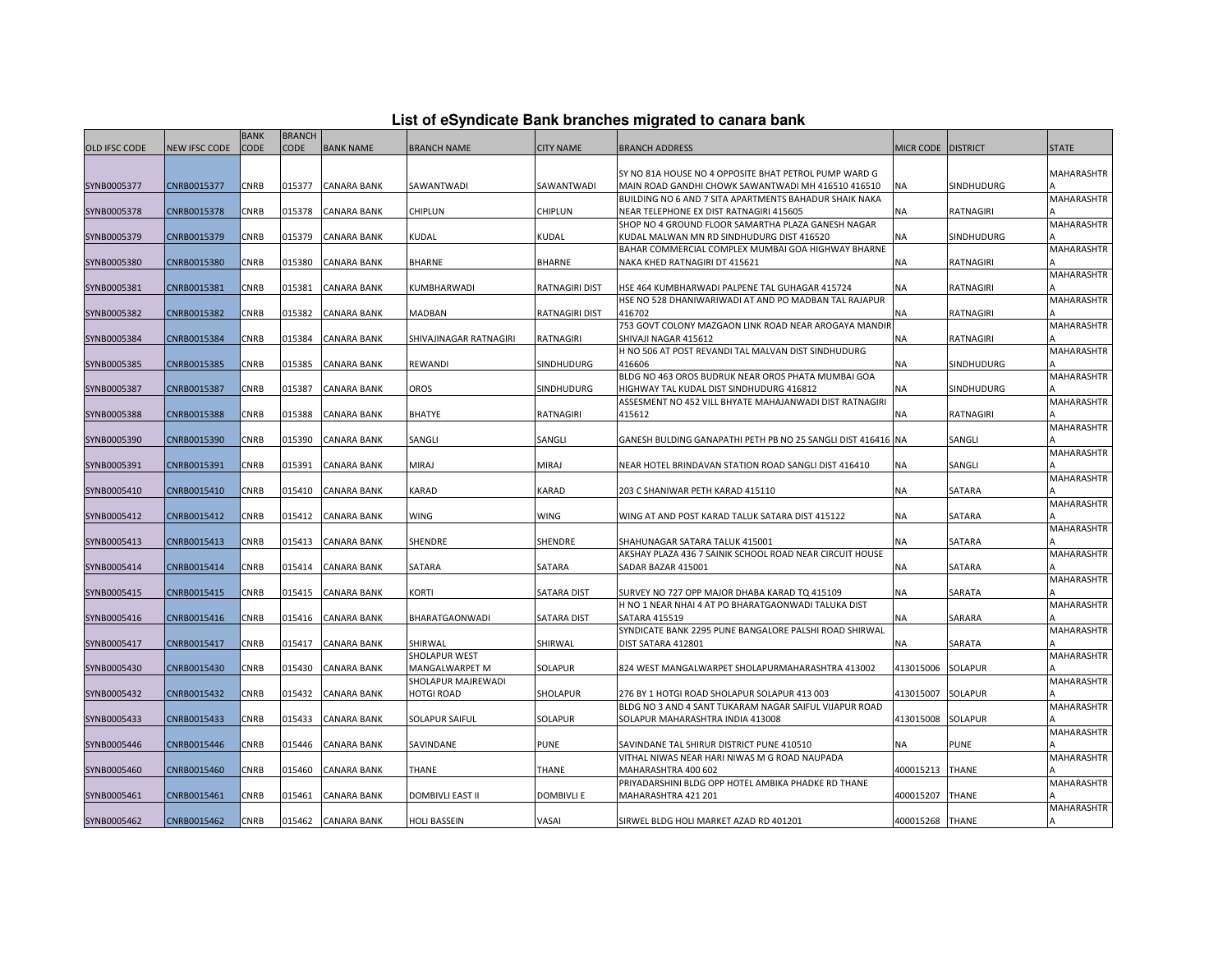| List of eSyndicate Bank branches migrated to canara bank |  |  |
|----------------------------------------------------------|--|--|
|                                                          |  |  |

|                      |               | <b>BANK</b> | <b>BRANCH</b> |                    |                         |                       |                                                              |                 |                  |                   |
|----------------------|---------------|-------------|---------------|--------------------|-------------------------|-----------------------|--------------------------------------------------------------|-----------------|------------------|-------------------|
| <b>OLD IFSC CODE</b> | NEW IFSC CODE | <b>CODE</b> | <b>CODE</b>   | <b>BANK NAME</b>   | <b>BRANCH NAME</b>      | <b>CITY NAME</b>      | <b>BRANCH ADDRESS</b>                                        | MICR CODE       | <b>DISTRICT</b>  | <b>STATE</b>      |
|                      |               |             |               |                    |                         |                       |                                                              |                 |                  |                   |
|                      |               |             |               |                    |                         |                       | SY NO 81A HOUSE NO 4 OPPOSITE BHAT PETROL PUMP WARD G        |                 |                  | MAHARASHTR        |
| SYNB0005377          | CNRB0015377   | CNRB        | 015377        | <b>CANARA BANK</b> | SAWANTWADI              | SAWANTWADI            | MAIN ROAD GANDHI CHOWK SAWANTWADI MH 416510 416510           | NA              | SINDHUDURG       |                   |
|                      |               |             |               |                    |                         |                       | BUILDING NO 6 AND 7 SITA APARTMENTS BAHADUR SHAIK NAKA       |                 |                  | MAHARASHTR        |
| SYNB0005378          | CNRB0015378   | CNRB        | 015378        | <b>CANARA BANK</b> | CHIPLUN                 | <b>CHIPLUN</b>        | NEAR TELEPHONE EX DIST RATNAGIRI 415605                      | NA              | <b>RATNAGIRI</b> |                   |
|                      |               |             |               |                    |                         |                       | SHOP NO 4 GROUND FLOOR SAMARTHA PLAZA GANESH NAGAR           |                 |                  | MAHARASHTR        |
| SYNB0005379          | CNRB0015379   | CNRB        | 015379        | <b>CANARA BANK</b> | KUDAL                   | KUDAL                 | KUDAL MALWAN MN RD SINDHUDURG DIST 416520                    | NA              | SINDHUDURG       |                   |
|                      |               |             |               |                    |                         |                       | BAHAR COMMERCIAL COMPLEX MUMBAI GOA HIGHWAY BHARNE           |                 |                  | MAHARASHTR        |
| SYNB0005380          | CNRB0015380   | CNRB        | 015380        | <b>CANARA BANK</b> | BHARNE                  | <b>BHARNE</b>         | NAKA KHED RATNAGIRI DT 415621                                | NA              | RATNAGIRI        |                   |
|                      |               |             |               |                    |                         |                       |                                                              |                 |                  | MAHARASHTR        |
| SYNB0005381          | CNRB0015381   | <b>CNRB</b> | 015381        | <b>CANARA BANK</b> | KUMBHARWADI             | <b>RATNAGIRI DIST</b> | HSE 464 KUMBHARWADI PALPENE TAL GUHAGAR 415724               | NA              | RATNAGIRI        |                   |
|                      |               |             |               |                    |                         |                       | HSE NO 528 DHANIWARIWADI AT AND PO MADBAN TAL RAJAPUR        |                 |                  | MAHARASHTR        |
|                      |               | CNRB        |               | <b>CANARA BANK</b> |                         |                       | 416702                                                       |                 |                  |                   |
| SYNB0005382          | CNRB0015382   |             | 015382        |                    | MADBAN                  | <b>RATNAGIRI DIST</b> |                                                              | NA              | RATNAGIRI        |                   |
|                      |               |             |               |                    |                         |                       | 753 GOVT COLONY MAZGAON LINK ROAD NEAR AROGAYA MANDIR        |                 |                  | <b>MAHARASHTR</b> |
| SYNB0005384          | CNRB0015384   | CNRB        | 015384        | <b>CANARA BANK</b> | SHIVAJINAGAR RATNAGIRI  | <b>RATNAGIRI</b>      | SHIVAJI NAGAR 415612                                         | NA              | RATNAGIRI        |                   |
|                      |               |             |               |                    |                         |                       | H NO 506 AT POST REVANDI TAL MALVAN DIST SINDHUDURG          |                 |                  | <b>MAHARASHTR</b> |
| SYNB0005385          | CNRB0015385   | CNRB        | 015385        | <b>CANARA BANK</b> | REWANDI                 | SINDHUDURG            | 416606                                                       | <b>NA</b>       | SINDHUDURG       |                   |
|                      |               |             |               |                    |                         |                       | BLDG NO 463 OROS BUDRUK NEAR OROS PHATA MUMBAI GOA           |                 |                  | <b>MAHARASHTR</b> |
| SYNB0005387          | CNRB0015387   | CNRB        | 015387        | <b>CANARA BANK</b> | OROS                    | <b>SINDHUDURG</b>     | HIGHWAY TAL KUDAL DIST SINDHUDURG 416812                     | NA              | SINDHUDURG       |                   |
|                      |               |             |               |                    |                         |                       | ASSESMENT NO 452 VILL BHYATE MAHAJANWADI DIST RATNAGIRI      |                 |                  | <b>MAHARASHTR</b> |
| SYNB0005388          | CNRB0015388   | CNRB        | 015388        | <b>CANARA BANK</b> | <b>BHATYE</b>           | RATNAGIRI             | 415612                                                       | <b>NA</b>       | <b>RATNAGIRI</b> |                   |
|                      |               |             |               |                    |                         |                       |                                                              |                 |                  | <b>MAHARASHTR</b> |
| SYNB0005390          | CNRB0015390   | CNRB        | 015390        | <b>CANARA BANK</b> | SANGLI                  | SANGLI                | GANESH BULDING GANAPATHI PETH PB NO 25 SANGLI DIST 416416 NA |                 | SANGLI           |                   |
|                      |               |             |               |                    |                         |                       |                                                              |                 |                  | MAHARASHTR        |
| SYNB0005391          | CNRB0015391   | <b>CNRB</b> | 015391        | <b>CANARA BANK</b> | <b>MIRAJ</b>            | <b>MIRAJ</b>          | NEAR HOTEL BRINDAVAN STATION ROAD SANGLI DIST 416410         | NA              | SANGLI           |                   |
|                      |               |             |               |                    |                         |                       |                                                              |                 |                  | MAHARASHTR        |
| SYNB0005410          | CNRB0015410   | <b>CNRB</b> | 015410        | <b>CANARA BANK</b> | KARAD                   | <b>KARAD</b>          | 203 C SHANIWAR PETH KARAD 415110                             | NA              | SATARA           |                   |
|                      |               |             |               |                    |                         |                       |                                                              |                 |                  | MAHARASHTR        |
| SYNB0005412          | CNRB0015412   | CNRB        | 015412        | <b>CANARA BANK</b> | <b>WING</b>             | <b>WING</b>           | WING AT AND POST KARAD TALUK SATARA DIST 415122              | ΝA              | SATARA           |                   |
|                      |               |             |               |                    |                         |                       |                                                              |                 |                  | MAHARASHTR        |
|                      |               |             |               |                    |                         |                       |                                                              |                 |                  |                   |
| SYNB0005413          | CNRB0015413   | CNRB        | 015413        | <b>CANARA BANK</b> | SHENDRE                 | SHENDRE               | SHAHUNAGAR SATARA TALUK 415001                               | NA              | SATARA           |                   |
|                      |               |             |               |                    |                         |                       | AKSHAY PLAZA 436 7 SAINIK SCHOOL ROAD NEAR CIRCUIT HOUSE     |                 |                  | MAHARASHTR        |
| SYNB0005414          | CNRB0015414   | CNRB        | 015414        | <b>CANARA BANK</b> | SATARA                  | SATARA                | SADAR BAZAR 415001                                           | NA              | SATARA           |                   |
|                      |               |             |               |                    |                         |                       |                                                              |                 |                  | MAHARASHTR        |
| SYNB0005415          | CNRB0015415   | <b>CNRB</b> | 015415        | <b>CANARA BANK</b> | KORTI                   | SATARA DIST           | SURVEY NO 727 OPP MAJOR DHABA KARAD TQ 415109                | NA              | SARATA           |                   |
|                      |               |             |               |                    |                         |                       | H NO 1 NEAR NHAI 4 AT PO BHARATGAONWADI TALUKA DIST          |                 |                  | MAHARASHTR        |
| SYNB0005416          | CNRB0015416   | CNRB        | 015416        | <b>CANARA BANK</b> | BHARATGAONWADI          | <b>SATARA DIST</b>    | <b>SATARA 415519</b>                                         | <b>NA</b>       | SARARA           |                   |
|                      |               |             |               |                    |                         |                       | SYNDICATE BANK 2295 PUNE BANGALORE PALSHI ROAD SHIRWAL       |                 |                  | MAHARASHTR        |
| SYNB0005417          | CNRB0015417   | CNRB        | 015417        | <b>CANARA BANK</b> | SHIRWAL                 | SHIRWAL               | DIST SATARA 412801                                           | NA              | SARATA           |                   |
|                      |               |             |               |                    | SHOLAPUR WEST           |                       |                                                              |                 |                  | <b>MAHARASHTR</b> |
| SYNB0005430          | CNRB0015430   | CNRB        | 015430        | <b>CANARA BANK</b> | MANGALWARPET M          | <b>SOLAPUR</b>        | 824 WEST MANGALWARPET SHOLAPURMAHARASHTRA 413002             | 413015006       | <b>SOLAPUR</b>   |                   |
|                      |               |             |               |                    | SHOLAPUR MAJREWADI      |                       |                                                              |                 |                  | <b>MAHARASHTR</b> |
| SYNB0005432          | CNRB0015432   | CNRB        | 015432        | <b>CANARA BANK</b> | <b>HOTGI ROAD</b>       | <b>SHOLAPUR</b>       | 276 BY 1 HOTGI ROAD SHOLAPUR SOLAPUR 413 003                 | 413015007       | SOLAPUR          |                   |
|                      |               |             |               |                    |                         |                       | BLDG NO 3 AND 4 SANT TUKARAM NAGAR SAIFUL VIJAPUR ROAD       |                 |                  | MAHARASHTR        |
| SYNB0005433          | CNRB0015433   | CNRB        | 015433        | <b>CANARA BANK</b> | SOLAPUR SAIFUL          | <b>SOLAPUR</b>        | SOLAPUR MAHARASHTRA INDIA 413008                             | 413015008       | SOLAPUR          |                   |
|                      |               |             |               |                    |                         |                       |                                                              |                 |                  | <b>MAHARASHTR</b> |
| SYNB0005446          | CNRB0015446   | CNRB        | 015446        | <b>CANARA BANK</b> | SAVINDANE               | <b>PUNE</b>           | SAVINDANE TAL SHIRUR DISTRICT PUNE 410510                    | NA              | PUNE             |                   |
|                      |               |             |               |                    |                         |                       | VITHAL NIWAS NEAR HARI NIWAS M G ROAD NAUPADA                |                 |                  | <b>MAHARASHTR</b> |
|                      |               |             |               |                    |                         |                       |                                                              |                 |                  |                   |
| SYNB0005460          | CNRB0015460   | CNRB        | 015460        | <b>CANARA BANK</b> | THANE                   | THANE                 | MAHARASHTRA 400 602                                          | 400015213       | THANE            |                   |
|                      |               |             |               |                    |                         |                       | PRIYADARSHINI BLDG OPP HOTEL AMBIKA PHADKE RD THANE          |                 |                  | <b>MAHARASHTR</b> |
| SYNB0005461          | CNRB0015461   | <b>CNRB</b> | 015461        | <b>CANARA BANK</b> | <b>DOMBIVLI EAST II</b> | <b>DOMBIVLI E</b>     | MAHARASHTRA 421 201                                          | 400015207       | <b>THANE</b>     |                   |
|                      |               |             |               |                    |                         |                       |                                                              |                 |                  | <b>MAHARASHTR</b> |
| SYNB0005462          | CNRB0015462   | <b>CNRB</b> |               | 015462 CANARA BANK | <b>HOLI BASSEIN</b>     | VASAI                 | SIRWEL BLDG HOLI MARKET AZAD RD 401201                       | 400015268 THANE |                  |                   |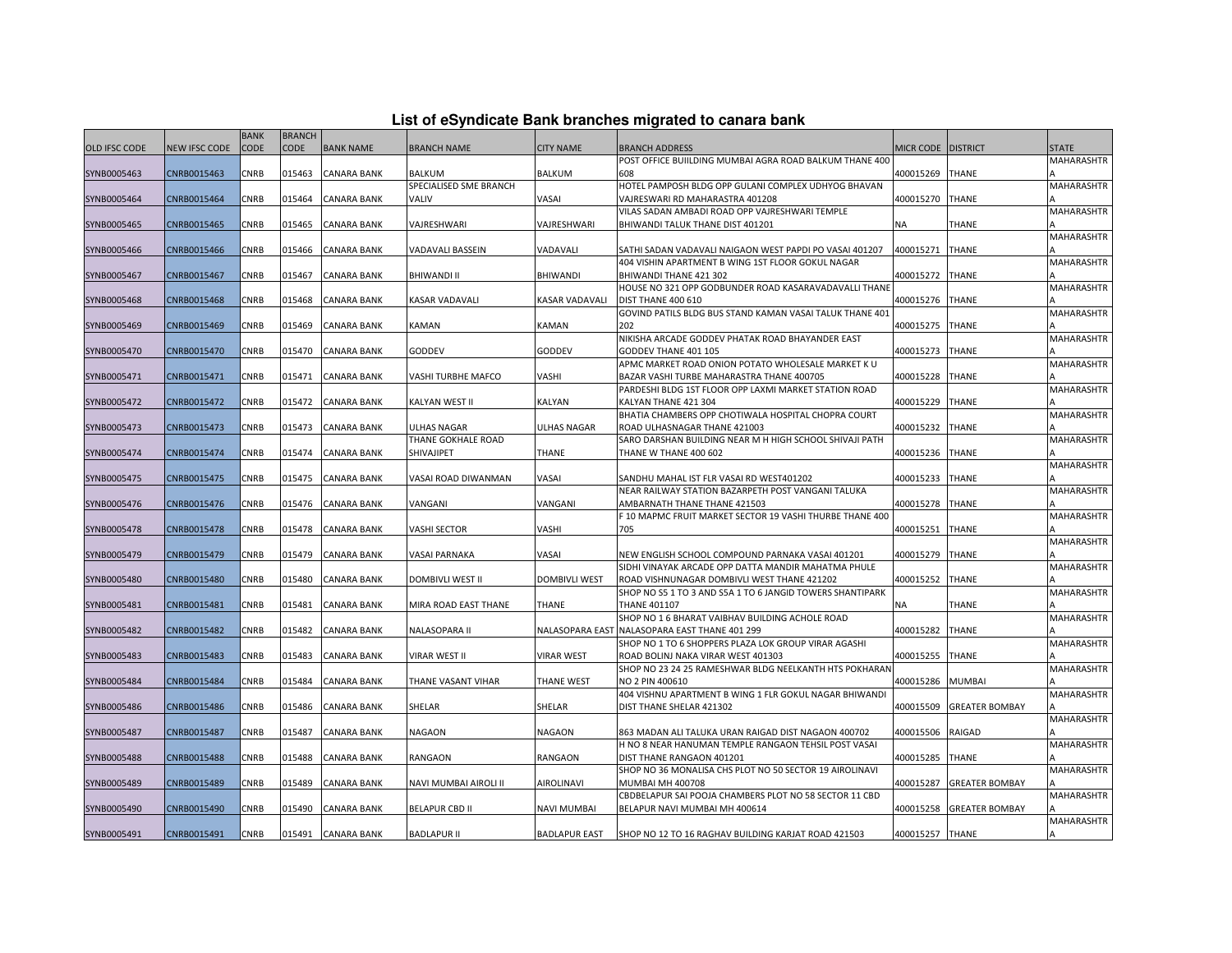|  |  | List of eSyndicate Bank branches migrated to canara bank |  |
|--|--|----------------------------------------------------------|--|
|--|--|----------------------------------------------------------|--|

|               |                      | <b>BANK</b> | <b>BRANCH</b> |                    |                         |                       |                                                           |                    |                       |                   |
|---------------|----------------------|-------------|---------------|--------------------|-------------------------|-----------------------|-----------------------------------------------------------|--------------------|-----------------------|-------------------|
| OLD IFSC CODE | <b>NEW IFSC CODE</b> | <b>CODE</b> | <b>CODE</b>   | <b>BANK NAME</b>   | <b>BRANCH NAME</b>      | <b>CITY NAME</b>      | <b>BRANCH ADDRESS</b>                                     | MICR CODE DISTRICT |                       | <b>STATE</b>      |
|               |                      |             |               |                    |                         |                       | POST OFFICE BUIILDING MUMBAI AGRA ROAD BALKUM THANE 400   |                    |                       | <b>MAHARASHTR</b> |
| SYNB0005463   | CNRB0015463          | CNRB        | 015463        | <b>CANARA BANK</b> | <b>BALKUM</b>           | <b>BALKUM</b>         | 608                                                       | 400015269          | <b>THANE</b>          |                   |
|               |                      |             |               |                    | SPECIALISED SME BRANCH  |                       | HOTEL PAMPOSH BLDG OPP GULANI COMPLEX UDHYOG BHAVAN       |                    |                       | MAHARASHTR        |
| SYNB0005464   | CNRB0015464          | CNRB        | 015464        | <b>CANARA BANK</b> | <b>VALIV</b>            | VASAI                 | VAJRESWARI RD MAHARASTRA 401208                           | 400015270          | <b>THANE</b>          |                   |
|               |                      |             |               |                    |                         |                       | VILAS SADAN AMBADI ROAD OPP VAJRESHWARI TEMPLE            |                    |                       | <b>MAHARASHTR</b> |
| SYNB0005465   | CNRB0015465          | CNRB        | 015465        | <b>CANARA BANK</b> | VAJRESHWARI             | VAJRESHWARI           | BHIWANDI TALUK THANE DIST 401201                          | NA                 | THANE                 |                   |
|               |                      |             |               |                    |                         |                       |                                                           |                    |                       | MAHARASHTR        |
| SYNB0005466   | CNRB0015466          | CNRB        | 015466        | <b>CANARA BANK</b> | VADAVALI BASSEIN        | VADAVALI              | SATHI SADAN VADAVALI NAIGAON WEST PAPDI PO VASAI 401207   | 400015271          | <b>THANE</b>          |                   |
|               |                      |             |               |                    |                         |                       | 404 VISHIN APARTMENT B WING 1ST FLOOR GOKUL NAGAR         |                    |                       | <b>MAHARASHTR</b> |
| SYNB0005467   | CNRB0015467          | <b>CNRB</b> | 015467        | <b>CANARA BANK</b> | <b>BHIWANDI II</b>      | <b>BHIWANDI</b>       | BHIWANDI THANE 421 302                                    | 400015272          | <b>THANE</b>          |                   |
|               |                      |             |               |                    |                         |                       | HOUSE NO 321 OPP GODBUNDER ROAD KASARAVADAVALLI THANE     |                    |                       | <b>MAHARASHTR</b> |
| SYNB0005468   | CNRB0015468          | CNRB        | 015468        | CANARA BANK        | <b>KASAR VADAVALI</b>   | <b>KASAR VADAVALI</b> | <b>DIST THANE 400 610</b>                                 | 400015276          | <b>THANE</b>          |                   |
|               |                      |             |               |                    |                         |                       | GOVIND PATILS BLDG BUS STAND KAMAN VASAI TALUK THANE 401  |                    |                       | MAHARASHTR        |
| SYNB0005469   | CNRB0015469          | <b>CNRB</b> | 015469        | <b>CANARA BANK</b> | <b>KAMAN</b>            | KAMAN                 | 202                                                       | 400015275          | <b>THANE</b>          |                   |
|               |                      |             |               |                    |                         |                       | NIKISHA ARCADE GODDEV PHATAK ROAD BHAYANDER EAST          |                    |                       | MAHARASHTR        |
| SYNB0005470   | CNRB0015470          | <b>CNRB</b> | 015470        | <b>CANARA BANK</b> | GODDEV                  | <b>GODDEV</b>         | GODDEV THANE 401 105                                      | 400015273          | <b>THANE</b>          |                   |
|               |                      |             |               |                    |                         |                       | APMC MARKET ROAD ONION POTATO WHOLESALE MARKET K U        |                    |                       | <b>MAHARASHTR</b> |
| SYNB0005471   | CNRB0015471          | CNRB        | 015471        | <b>CANARA BANK</b> | VASHI TURBHE MAFCO      | VASHI                 | BAZAR VASHI TURBE MAHARASTRA THANE 400705                 | 400015228          | <b>THANE</b>          |                   |
|               |                      |             |               |                    |                         |                       | PARDESHI BLDG 1ST FLOOR OPP LAXMI MARKET STATION ROAD     |                    |                       | MAHARASHTR        |
| SYNB0005472   | CNRB0015472          | <b>CNRB</b> | 015472        | <b>CANARA BANK</b> | <b>KALYAN WEST II</b>   | <b>KALYAN</b>         | KALYAN THANE 421 304                                      | 400015229          | <b>THANE</b>          |                   |
|               |                      |             |               |                    |                         |                       | BHATIA CHAMBERS OPP CHOTIWALA HOSPITAL CHOPRA COURT       |                    |                       | <b>MAHARASHTR</b> |
| SYNB0005473   | CNRB0015473          | <b>CNRB</b> | 015473        | <b>CANARA BANK</b> | <b>ULHAS NAGAR</b>      | <b>ULHAS NAGAR</b>    | ROAD ULHASNAGAR THANE 421003                              | 400015232          | <b>THANE</b>          |                   |
|               |                      |             |               |                    | THANE GOKHALE ROAD      |                       | SARO DARSHAN BUILDING NEAR M H HIGH SCHOOL SHIVAJI PATH   |                    |                       | <b>MAHARASHTR</b> |
| SYNB0005474   | CNRB0015474          | CNRB        | 015474        | CANARA BANK        | SHIVAJIPET              | THANE                 | THANE W THANE 400 602                                     | 400015236          | <b>THANE</b>          |                   |
|               |                      |             |               |                    |                         |                       |                                                           |                    |                       | MAHARASHTR        |
| SYNB0005475   | CNRB0015475          | CNRB        | 015475        | <b>CANARA BANK</b> | VASAI ROAD DIWANMAN     | VASAI                 | SANDHU MAHAL IST FLR VASAI RD WEST401202                  | 400015233          | <b>THANE</b>          |                   |
|               |                      |             |               |                    |                         |                       | NEAR RAILWAY STATION BAZARPETH POST VANGANI TALUKA        |                    |                       | <b>MAHARASHTR</b> |
| SYNB0005476   | CNRB0015476          | CNRB        | 015476        | <b>CANARA BANK</b> | VANGANI                 | VANGANI               | AMBARNATH THANE THANE 421503                              | 400015278          | <b>THANE</b>          |                   |
|               |                      |             |               |                    |                         |                       | F 10 MAPMC FRUIT MARKET SECTOR 19 VASHI THURBE THANE 400  |                    |                       | <b>MAHARASHTR</b> |
| SYNB0005478   | CNRB0015478          | CNRB        | 015478        | CANARA BANK        | <b>VASHI SECTOR</b>     | VASHI                 | 705                                                       | 400015251          | THANE                 |                   |
|               |                      |             |               |                    |                         |                       |                                                           |                    |                       | MAHARASHTR        |
| SYNB0005479   | CNRB0015479          | <b>CNRB</b> | 015479        | <b>CANARA BANK</b> | <b>VASAI PARNAKA</b>    | VASAI                 | NEW ENGLISH SCHOOL COMPOUND PARNAKA VASAI 401201          | 400015279          | <b>THANE</b>          |                   |
|               |                      |             |               |                    |                         |                       | SIDHI VINAYAK ARCADE OPP DATTA MANDIR MAHATMA PHULE       |                    |                       | <b>MAHARASHTR</b> |
| SYNB0005480   | CNRB0015480          | CNRB        | 015480        | <b>CANARA BANK</b> | <b>DOMBIVLI WEST II</b> | <b>DOMBIVLI WEST</b>  | ROAD VISHNUNAGAR DOMBIVLI WEST THANE 421202               | 400015252          | <b>THANE</b>          |                   |
|               |                      |             |               |                    |                         |                       | SHOP NO S5 1 TO 3 AND S5A 1 TO 6 JANGID TOWERS SHANTIPARK |                    |                       | <b>MAHARASHTR</b> |
| SYNB0005481   | CNRB0015481          | CNRB        | 015481        | CANARA BANK        | MIRA ROAD EAST THANE    | THANE                 | <b>THANE 401107</b>                                       | NA                 | THANE                 |                   |
|               |                      |             |               |                    |                         |                       | SHOP NO 1 6 BHARAT VAIBHAV BUILDING ACHOLE ROAD           |                    |                       | <b>MAHARASHTR</b> |
| SYNB0005482   | CNRB0015482          | CNRB        | 015482        | <b>CANARA BANK</b> | <b>NALASOPARA II</b>    |                       | NALASOPARA EAST NALASOPARA EAST THANE 401 299             | 400015282          | <b>THANE</b>          |                   |
|               |                      |             |               |                    |                         |                       | SHOP NO 1 TO 6 SHOPPERS PLAZA LOK GROUP VIRAR AGASHI      |                    |                       | <b>MAHARASHTR</b> |
| SYNB0005483   | CNRB0015483          | CNRB        | 015483        | <b>CANARA BANK</b> | <b>VIRAR WEST II</b>    | <b>VIRAR WEST</b>     | ROAD BOLINJ NAKA VIRAR WEST 401303                        | 400015255          | THANE                 |                   |
|               |                      |             |               |                    |                         |                       | SHOP NO 23 24 25 RAMESHWAR BLDG NEELKANTH HTS POKHARAN    |                    |                       | <b>MAHARASHTR</b> |
| SYNB0005484   | CNRB0015484          | <b>CNRB</b> | 015484        | CANARA BANK        | THANE VASANT VIHAR      | <b>THANE WEST</b>     | NO 2 PIN 400610                                           | 400015286          | <b>MUMBAI</b>         |                   |
|               |                      |             |               |                    |                         |                       | 404 VISHNU APARTMENT B WING 1 FLR GOKUL NAGAR BHIWANDI    |                    |                       | MAHARASHTR        |
| SYNB0005486   | CNRB0015486          | <b>CNRB</b> | 015486        | <b>CANARA BANK</b> | SHELAR                  | SHELAR                | DIST THANE SHELAR 421302                                  | 400015509          | <b>GREATER BOMBAY</b> |                   |
|               |                      |             |               |                    |                         |                       |                                                           |                    |                       | <b>MAHARASHTR</b> |
| SYNB0005487   | CNRB0015487          | CNRB        | 015487        | <b>CANARA BANK</b> | <b>NAGAON</b>           | <b>NAGAON</b>         | 863 MADAN ALI TALUKA URAN RAIGAD DIST NAGAON 400702       | 400015506          | <b>RAIGAD</b>         |                   |
|               |                      |             |               |                    |                         |                       | H NO 8 NEAR HANUMAN TEMPLE RANGAON TEHSIL POST VASAI      |                    |                       | MAHARASHTR        |
| SYNB0005488   | CNRB0015488          | CNRB        | 015488        | CANARA BANK        | RANGAON                 | RANGAON               | DIST THANE RANGAON 401201                                 | 400015285          | <b>THANE</b>          |                   |
|               |                      |             |               |                    |                         |                       | SHOP NO 36 MONALISA CHS PLOT NO 50 SECTOR 19 AIROLINAVI   |                    |                       | <b>MAHARASHTR</b> |
| SYNB0005489   | CNRB0015489          | CNRB        | 015489        | <b>CANARA BANK</b> | NAVI MUMBAI AIROLI II   | <b>AIROLINAVI</b>     | <b>MUMBAI MH 400708</b>                                   | 400015287          | <b>GREATER BOMBAY</b> |                   |
|               |                      |             |               |                    |                         |                       | CBDBELAPUR SAI POOJA CHAMBERS PLOT NO 58 SECTOR 11 CBD    |                    |                       | MAHARASHTR        |
| SYNB0005490   | CNRB0015490          | CNRB        | 015490        | <b>CANARA BANK</b> | <b>BELAPUR CBD II</b>   | <b>NAVI MUMBAI</b>    | BELAPUR NAVI MUMBAI MH 400614                             | 400015258          | <b>GREATER BOMBAY</b> |                   |
|               |                      |             |               |                    |                         |                       |                                                           |                    |                       | <b>MAHARASHTR</b> |
| SYNB0005491   | CNRB0015491          | <b>CNRB</b> | 015491        | <b>CANARA BANK</b> | <b>BADLAPUR II</b>      | <b>BADLAPUR EAST</b>  | SHOP NO 12 TO 16 RAGHAV BUILDING KARJAT ROAD 421503       | 400015257 THANE    |                       |                   |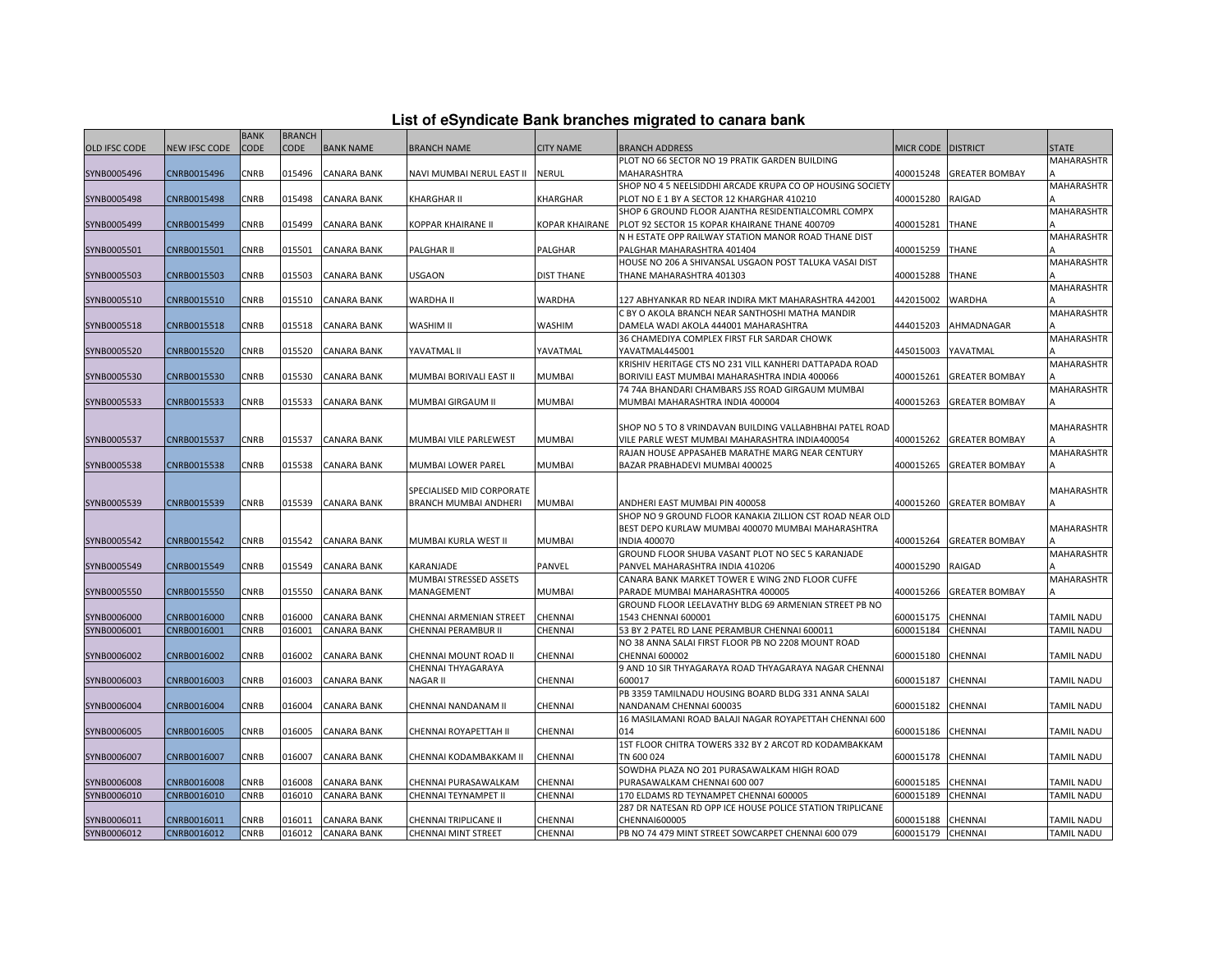| List of eSyndicate Bank branches migrated to canara bank |  |  |  |  |  |  |  |  |  |  |
|----------------------------------------------------------|--|--|--|--|--|--|--|--|--|--|
|----------------------------------------------------------|--|--|--|--|--|--|--|--|--|--|

|                      |                      |                            |                              |                    |                           |                       | List of eSyndicate Bank branches migrated to canara bank                                          |                        |                       |                   |
|----------------------|----------------------|----------------------------|------------------------------|--------------------|---------------------------|-----------------------|---------------------------------------------------------------------------------------------------|------------------------|-----------------------|-------------------|
| <b>OLD IFSC CODE</b> | <b>NEW IFSC CODE</b> | <b>BANK</b><br><b>CODE</b> | <b>BRANCH</b><br><b>CODE</b> | <b>BANK NAME</b>   | <b>BRANCH NAME</b>        | <b>CITY NAME</b>      | <b>BRANCH ADDRESS</b>                                                                             | MICR CODE DISTRICT     |                       | <b>STATE</b>      |
|                      |                      |                            |                              |                    |                           |                       | PLOT NO 66 SECTOR NO 19 PRATIK GARDEN BUILDING                                                    |                        |                       | MAHARASHTR        |
| SYNB0005496          | CNRB0015496          | CNRB                       | 015496                       | <b>CANARA BANK</b> | NAVI MUMBAI NERUL EAST II | <b>NERUL</b>          | MAHARASHTRA                                                                                       | 400015248              | <b>GREATER BOMBAY</b> |                   |
|                      |                      |                            |                              |                    |                           |                       | SHOP NO 4 5 NEELSIDDHI ARCADE KRUPA CO OP HOUSING SOCIETY                                         |                        |                       | MAHARASHTR        |
| SYNB0005498          | CNRB0015498          | CNRB                       | 015498                       | <b>CANARA BANK</b> | KHARGHAR II               | <b>KHARGHAR</b>       | PLOT NO E 1 BY A SECTOR 12 KHARGHAR 410210                                                        | 400015280              | <b>RAIGAD</b>         |                   |
|                      |                      |                            |                              |                    |                           |                       | SHOP 6 GROUND FLOOR AJANTHA RESIDENTIALCOMRL COMPX                                                |                        |                       | <b>MAHARASHTR</b> |
| SYNB0005499          | CNRB0015499          | CNRB                       | 015499                       | <b>CANARA BANK</b> | KOPPAR KHAIRANE II        | <b>KOPAR KHAIRANE</b> | PLOT 92 SECTOR 15 KOPAR KHAIRANE THANE 400709                                                     | 400015281              | <b>THANE</b>          |                   |
|                      |                      |                            |                              |                    |                           |                       | N H ESTATE OPP RAILWAY STATION MANOR ROAD THANE DIST                                              |                        |                       | <b>MAHARASHTR</b> |
| SYNB0005501          | CNRB0015501          | CNRB                       | 015501                       | <b>CANARA BANK</b> | PALGHAR II                | PALGHAR               | PALGHAR MAHARASHTRA 401404                                                                        | 400015259              | <b>THANE</b>          |                   |
|                      |                      |                            |                              |                    |                           |                       | HOUSE NO 206 A SHIVANSAL USGAON POST TALUKA VASAI DIST                                            |                        |                       | MAHARASHTR        |
| SYNB0005503          | CNRB0015503          | CNRB                       | 015503                       | <b>CANARA BANK</b> | <b>USGAON</b>             | <b>DIST THANE</b>     | THANE MAHARASHTRA 401303                                                                          | 400015288              | <b>THANE</b>          |                   |
|                      |                      |                            |                              |                    |                           |                       |                                                                                                   |                        |                       | MAHARASHTR        |
| SYNB0005510          | CNRB0015510          | CNRB                       | 015510                       | <b>CANARA BANK</b> | <b>WARDHA II</b>          | WARDHA                | 127 ABHYANKAR RD NEAR INDIRA MKT MAHARASHTRA 442001                                               | 442015002              | <b>WARDHA</b>         |                   |
|                      |                      |                            |                              |                    |                           |                       | C BY O AKOLA BRANCH NEAR SANTHOSHI MATHA MANDIR                                                   |                        |                       | MAHARASHTR        |
| SYNB0005518          | CNRB0015518          | CNRB                       | 015518                       | <b>CANARA BANK</b> | WASHIM II                 | <b>WASHIM</b>         | DAMELA WADI AKOLA 444001 MAHARASHTRA                                                              | 444015203              | AHMADNAGAR            |                   |
|                      |                      |                            |                              |                    |                           |                       | 36 CHAMEDIYA COMPLEX FIRST FLR SARDAR CHOWK                                                       |                        |                       | MAHARASHTR        |
| SYNB0005520          | CNRB0015520          | CNRB                       | 015520                       | CANARA BANK        | YAVATMAL II               | YAVATMAL              | YAVATMAL445001                                                                                    | 445015003              | YAVATMAL              |                   |
|                      |                      |                            |                              |                    |                           |                       | KRISHIV HERITAGE CTS NO 231 VILL KANHERI DATTAPADA ROAD                                           |                        |                       | <b>MAHARASHTR</b> |
| SYNB0005530          | CNRB0015530          | CNRB                       | 015530                       | <b>CANARA BANK</b> | MUMBAI BORIVALI EAST II   | <b>MUMBAI</b>         | BORIVILI EAST MUMBAI MAHARASHTRA INDIA 400066<br>74 74A BHANDARI CHAMBARS JSS ROAD GIRGAUM MUMBAI | 400015261              | <b>GREATER BOMBAY</b> | MAHARASHTR        |
| SYNB0005533          | CNRB0015533          | CNRB                       | 015533                       | <b>CANARA BANK</b> | MUMBAI GIRGAUM II         | <b>MUMBAI</b>         | MUMBAI MAHARASHTRA INDIA 400004                                                                   | 400015263              | <b>GREATER BOMBAY</b> |                   |
|                      |                      |                            |                              |                    |                           |                       |                                                                                                   |                        |                       |                   |
|                      |                      |                            |                              |                    |                           |                       | SHOP NO 5 TO 8 VRINDAVAN BUILDING VALLABHBHAI PATEL ROAD                                          |                        |                       | <b>MAHARASHTR</b> |
| SYNB0005537          | CNRB0015537          | CNRB                       | 015537                       | <b>CANARA BANK</b> | MUMBAI VILE PARLEWEST     | <b>MUMBAI</b>         | VILE PARLE WEST MUMBAI MAHARASHTRA INDIA400054                                                    | 400015262              | <b>GREATER BOMBAY</b> |                   |
|                      |                      |                            |                              |                    |                           |                       | RAJAN HOUSE APPASAHEB MARATHE MARG NEAR CENTURY                                                   |                        |                       | MAHARASHTR        |
| SYNB0005538          | CNRB0015538          | CNRB                       | 015538                       | <b>CANARA BANK</b> | MUMBAI LOWER PAREL        | <b>MUMBAI</b>         | BAZAR PRABHADEVI MUMBAI 400025                                                                    | 400015265              | <b>GREATER BOMBAY</b> |                   |
|                      |                      |                            |                              |                    |                           |                       |                                                                                                   |                        |                       |                   |
|                      |                      |                            |                              |                    | SPECIALISED MID CORPORATE |                       |                                                                                                   |                        |                       | <b>MAHARASHTR</b> |
| SYNB0005539          | CNRB0015539          | CNRB                       | 015539                       | <b>CANARA BANK</b> | BRANCH MUMBAI ANDHERI     | <b>MUMBAI</b>         | ANDHERI EAST MUMBAI PIN 400058                                                                    | 400015260              | <b>GREATER BOMBAY</b> |                   |
|                      |                      |                            |                              |                    |                           |                       | SHOP NO 9 GROUND FLOOR KANAKIA ZILLION CST ROAD NEAR OLD                                          |                        |                       |                   |
|                      |                      |                            |                              |                    |                           |                       | BEST DEPO KURLAW MUMBAI 400070 MUMBAI MAHARASHTRA                                                 |                        |                       | <b>MAHARASHTR</b> |
| SYNB0005542          | CNRB0015542          | <b>CNRB</b>                | 015542                       | <b>CANARA BANK</b> | MUMBAI KURLA WEST II      | <b>MUMBAI</b>         | <b>INDIA 400070</b>                                                                               | 400015264              | <b>GREATER BOMBAY</b> |                   |
|                      |                      |                            |                              |                    |                           |                       | GROUND FLOOR SHUBA VASANT PLOT NO SEC 5 KARANJADE                                                 |                        |                       | <b>MAHARASHTR</b> |
| SYNB0005549          | CNRB0015549          | CNRB                       | 015549                       | <b>CANARA BANK</b> | KARANJADE                 | PANVEL                | PANVEL MAHARASHTRA INDIA 410206                                                                   | 400015290              | RAIGAD                |                   |
|                      |                      |                            |                              |                    | MUMBAI STRESSED ASSETS    |                       | CANARA BANK MARKET TOWER E WING 2ND FLOOR CUFFE                                                   |                        |                       | MAHARASHTR        |
| SYNB0005550          | CNRB0015550          | CNRB                       | 015550                       | <b>CANARA BANK</b> | MANAGEMENT                | <b>MUMBAI</b>         | PARADE MUMBAI MAHARASHTRA 400005                                                                  | 400015266              | <b>GREATER BOMBAY</b> |                   |
|                      |                      |                            |                              |                    |                           |                       | GROUND FLOOR LEELAVATHY BLDG 69 ARMENIAN STREET PB NO                                             |                        |                       |                   |
| SYNB0006000          | CNRB0016000          | CNRB                       | 016000<br>016001             | <b>CANARA BANK</b> | CHENNAI ARMENIAN STREET   | CHENNAI               | 1543 CHENNAI 600001<br>53 BY 2 PATEL RD LANE PERAMBUR CHENNAI 600011                              | 600015175<br>600015184 | CHENNAI               | <b>TAMIL NADU</b> |
| SYNB0006001          | CNRB0016001          | CNRB                       |                              | CANARA BANK        | CHENNAI PERAMBUR II       | CHENNAI               | NO 38 ANNA SALAI FIRST FLOOR PB NO 2208 MOUNT ROAD                                                |                        | CHENNAI               | TAMIL NADU        |
| SYNB0006002          | CNRB0016002          | CNRB                       | 016002                       | <b>CANARA BANK</b> | CHENNAI MOUNT ROAD II     | CHENNAI               | <b>CHENNAI 600002</b>                                                                             | 600015180              | CHENNAI               | <b>TAMIL NADU</b> |
|                      |                      |                            |                              |                    | CHENNAI THYAGARAYA        |                       | 9 AND 10 SIR THYAGARAYA ROAD THYAGARAYA NAGAR CHENNAI                                             |                        |                       |                   |
| SYNB0006003          | CNRB0016003          | CNRB                       | 016003                       | <b>CANARA BANK</b> | NAGAR II                  | CHENNAI               | 600017                                                                                            | 600015187              | <b>CHENNAI</b>        | <b>TAMIL NADU</b> |
|                      |                      |                            |                              |                    |                           |                       | PB 3359 TAMILNADU HOUSING BOARD BLDG 331 ANNA SALAI                                               |                        |                       |                   |
| SYNB0006004          | CNRB0016004          | CNRB                       | 016004                       | <b>CANARA BANK</b> | CHENNAI NANDANAM II       | CHENNAI               | NANDANAM CHENNAI 600035                                                                           | 600015182              | CHENNAI               | <b>TAMIL NADU</b> |
|                      |                      |                            |                              |                    |                           |                       | 16 MASILAMANI ROAD BALAJI NAGAR ROYAPETTAH CHENNAI 600                                            |                        |                       |                   |
| SYNB0006005          | CNRB0016005          | CNRB                       | 016005                       | <b>CANARA BANK</b> | CHENNAI ROYAPETTAH II     | CHENNAI               | 014                                                                                               | 600015186              | <b>CHENNAI</b>        | <b>TAMIL NADU</b> |
|                      |                      |                            |                              |                    |                           |                       | 1ST FLOOR CHITRA TOWERS 332 BY 2 ARCOT RD KODAMBAKKAM                                             |                        |                       |                   |
| SYNB0006007          | CNRB0016007          | CNRB                       | 016007                       | <b>CANARA BANK</b> | CHENNAI KODAMBAKKAM II    | <b>CHENNAI</b>        | TN 600 024                                                                                        | 600015178              | <b>CHENNAI</b>        | TAMIL NADU        |
|                      |                      |                            |                              |                    |                           |                       | SOWDHA PLAZA NO 201 PURASAWALKAM HIGH ROAD                                                        |                        |                       |                   |
| SYNB0006008          | CNRB0016008          | CNRB                       | 016008                       | <b>CANARA BANK</b> | CHENNAI PURASAWALKAM      | CHENNAI               | PURASAWALKAM CHENNAI 600 007                                                                      | 600015185              | CHENNAI               | <b>TAMIL NADU</b> |
| SYNB0006010          | CNRB0016010          | CNRB                       | 016010                       | <b>CANARA BANK</b> | CHENNAI TEYNAMPET II      | CHENNAI               | 170 ELDAMS RD TEYNAMPET CHENNAI 600005                                                            | 600015189              | CHENNAI               | TAMIL NADU        |
|                      |                      |                            |                              |                    |                           |                       | 287 DR NATESAN RD OPP ICE HOUSE POLICE STATION TRIPLICANE                                         |                        |                       |                   |
| SYNB0006011          | CNRB0016011          | <b>CNRB</b>                | 016011                       | <b>CANARA BANK</b> | CHENNAI TRIPLICANE II     | <b>CHENNAI</b>        | <b>CHENNAI600005</b>                                                                              | 600015188              | <b>CHENNAI</b>        | <b>TAMIL NADU</b> |
| SYNB0006012          | CNRB0016012          | <b>CNRB</b>                |                              | 016012 CANARA BANK | CHENNAI MINT STREET       | CHENNAI               | PB NO 74 479 MINT STREET SOWCARPET CHENNAI 600 079                                                | 600015179 CHENNAI      |                       | <b>TAMIL NADU</b> |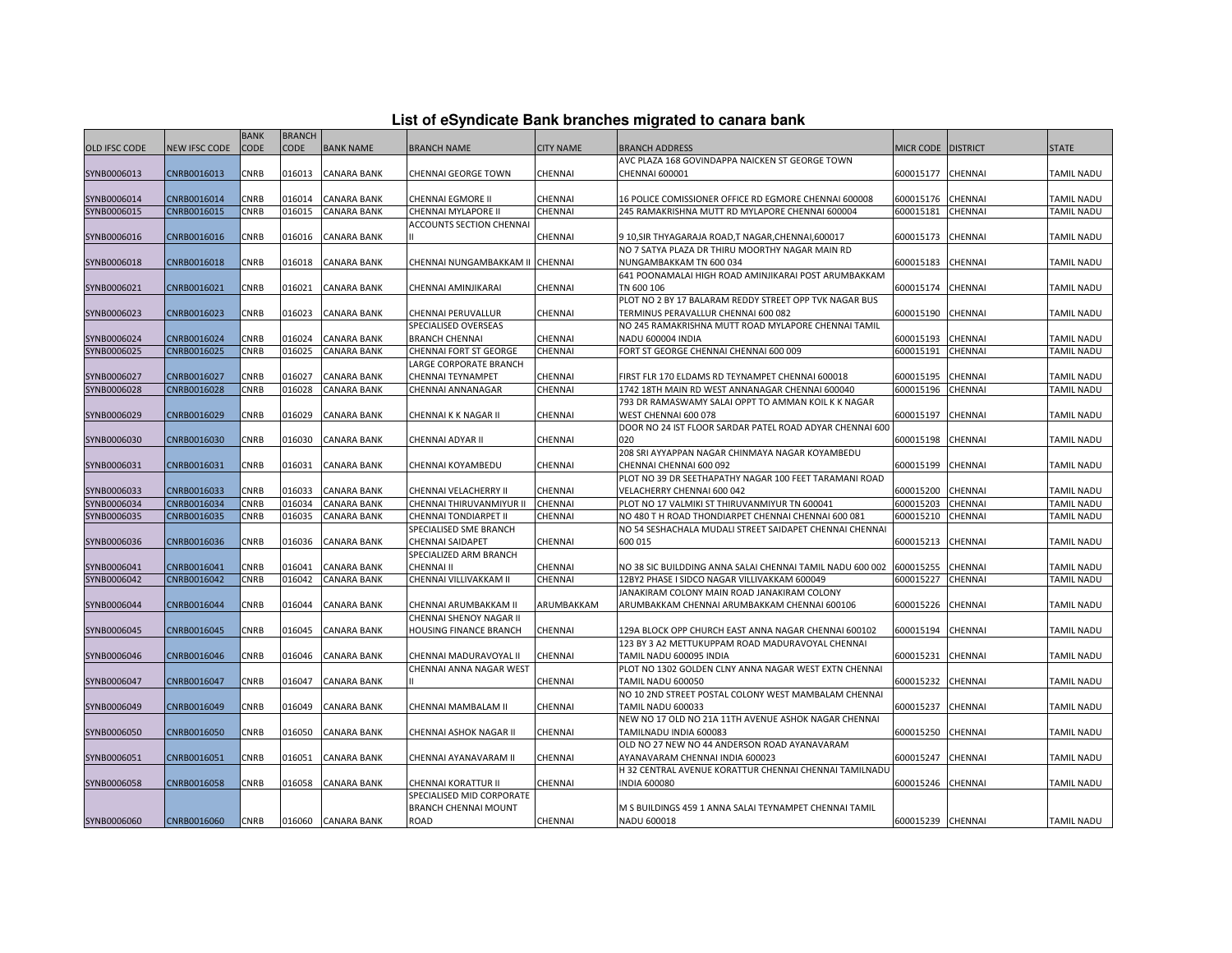| List of eSyndicate Bank branches migrated to canara bank |  |  |  |
|----------------------------------------------------------|--|--|--|
|----------------------------------------------------------|--|--|--|

|               |               | <b>BANK</b> | <b>BRANCH</b> |                    |                             |                  |                                                           |                   |                 |                   |
|---------------|---------------|-------------|---------------|--------------------|-----------------------------|------------------|-----------------------------------------------------------|-------------------|-----------------|-------------------|
| OLD IFSC CODE | NEW IFSC CODE | <b>CODE</b> | <b>CODE</b>   | <b>BANK NAME</b>   | BRANCH NAME                 | <b>CITY NAME</b> | <b>BRANCH ADDRESS</b>                                     | <b>MICR CODE</b>  | <b>DISTRICT</b> | <b>STATE</b>      |
|               |               |             |               |                    |                             |                  | AVC PLAZA 168 GOVINDAPPA NAICKEN ST GEORGE TOWN           |                   |                 |                   |
| SYNB0006013   | CNRB0016013   | CNRB        | 016013        | <b>CANARA BANK</b> | CHENNAI GEORGE TOWN         | CHENNAI          | CHENNAI 600001                                            | 600015177         | CHENNAI         | TAMIL NADU        |
|               |               |             |               |                    |                             |                  |                                                           |                   |                 |                   |
| SYNB0006014   | CNRB0016014   | CNRB        | 016014        | <b>CANARA BANK</b> | CHENNAI EGMORE II           | CHENNAI          | 16 POLICE COMISSIONER OFFICE RD EGMORE CHENNAI 600008     | 600015176         | CHENNAI         | TAMIL NADU        |
| SYNB0006015   | CNRB0016015   | CNRB        | 016015        | <b>CANARA BANK</b> | CHENNAI MYLAPORE II         | CHENNAI          | 245 RAMAKRISHNA MUTT RD MYLAPORE CHENNAI 600004           | 600015181         | CHENNAI         | TAMIL NADU        |
|               |               |             |               |                    | ACCOUNTS SECTION CHENNAI    |                  |                                                           |                   |                 |                   |
| SYNB0006016   | CNRB0016016   | CNRB        | 016016        | <b>CANARA BANK</b> |                             | CHENNAI          | 9 10, SIR THYAGARAJA ROAD, T NAGAR, CHENNAI, 600017       | 600015173         | CHENNAI         | TAMIL NADU        |
|               |               |             |               |                    |                             |                  | NO 7 SATYA PLAZA DR THIRU MOORTHY NAGAR MAIN RD           |                   |                 |                   |
| SYNB0006018   | CNRB0016018   | CNRB        | 016018        | <b>CANARA BANK</b> | CHENNAI NUNGAMBAKKAM II     | CHENNAI          | NUNGAMBAKKAM TN 600 034                                   | 600015183         | CHENNAI         | <b>TAMIL NADU</b> |
|               |               |             |               |                    |                             |                  | 641 POONAMALAI HIGH ROAD AMINJIKARAI POST ARUMBAKKAM      |                   |                 |                   |
| SYNB0006021   | CNRB0016021   | CNRB        | 016021        | CANARA BANK        | CHENNAI AMINJIKARAI         | CHENNAI          | TN 600 106                                                | 600015174         | CHENNAI         | TAMIL NADU        |
|               |               |             |               |                    |                             |                  | PLOT NO 2 BY 17 BALARAM REDDY STREET OPP TVK NAGAR BUS    |                   |                 |                   |
| SYNB0006023   | CNRB0016023   | CNRB        | 016023        | <b>CANARA BANK</b> | CHENNAI PERUVALLUR          | CHENNAI          | TERMINUS PERAVALLUR CHENNAI 600 082                       | 600015190         | CHENNAI         | TAMIL NADU        |
|               |               |             |               |                    | SPECIALISED OVERSEAS        |                  | NO 245 RAMAKRISHNA MUTT ROAD MYLAPORE CHENNAI TAMIL       |                   |                 |                   |
| SYNB0006024   | CNRB0016024   | CNRB        | 016024        | <b>CANARA BANK</b> | <b>BRANCH CHENNAI</b>       | CHENNAI          | NADU 600004 INDIA                                         | 600015193         | CHENNAI         | TAMIL NADU        |
| SYNB0006025   | CNRB0016025   | CNRB        | 016025        | <b>CANARA BANK</b> | CHENNAI FORT ST GEORGE      | CHENNAI          | FORT ST GEORGE CHENNAI CHENNAI 600 009                    | 600015191         | CHENNAI         | TAMIL NADU        |
|               |               |             |               |                    | LARGE CORPORATE BRANCH      |                  |                                                           |                   |                 |                   |
| SYNB0006027   | CNRB0016027   | CNRB        | 016027        | <b>CANARA BANK</b> | CHENNAI TEYNAMPET           | CHENNAI          | FIRST FLR 170 ELDAMS RD TEYNAMPET CHENNAI 600018          | 600015195         | CHENNAI         | TAMIL NADU        |
| SYNB0006028   | CNRB0016028   | CNRB        | 016028        | <b>CANARA BANK</b> | CHENNAI ANNANAGAR           | CHENNAI          | 1742 18TH MAIN RD WEST ANNANAGAR CHENNAI 600040           | 600015196         | CHENNAI         | TAMIL NADU        |
|               |               |             |               |                    |                             |                  | 793 DR RAMASWAMY SALAI OPPT TO AMMAN KOIL K K NAGAR       |                   |                 |                   |
| SYNB0006029   | CNRB0016029   | CNRB        | 016029        | <b>CANARA BANK</b> | CHENNAIKK NAGAR II          | CHENNAI          | WEST CHENNAI 600 078                                      | 600015197         | CHENNAI         | TAMIL NADU        |
|               |               |             |               |                    |                             |                  | DOOR NO 24 IST FLOOR SARDAR PATEL ROAD ADYAR CHENNAI 600  |                   |                 |                   |
| SYNB0006030   | CNRB0016030   | CNRB        | 016030        | <b>CANARA BANK</b> | CHENNAI ADYAR II            | CHENNAI          | 020                                                       | 600015198         | CHENNAI         | TAMIL NADU        |
|               |               |             |               |                    |                             |                  | 208 SRI AYYAPPAN NAGAR CHINMAYA NAGAR KOYAMBEDU           |                   |                 |                   |
| SYNB0006031   | CNRB0016031   | CNRB        | 016031        | <b>CANARA BANK</b> | CHENNAI KOYAMBEDU           | CHENNAI          | CHENNAI CHENNAI 600 092                                   | 600015199         | CHENNAI         | TAMIL NADU        |
|               |               |             |               |                    |                             |                  | PLOT NO 39 DR SEETHAPATHY NAGAR 100 FEET TARAMANI ROAD    |                   |                 |                   |
| SYNB0006033   | CNRB0016033   | CNRB        | 016033        | <b>CANARA BANK</b> | CHENNAI VELACHERRY II       | CHENNAI          | VELACHERRY CHENNAI 600 042                                | 600015200         | CHENNAI         | TAMIL NADU        |
| SYNB0006034   | CNRB0016034   | CNRB        | 016034        | <b>CANARA BANK</b> | CHENNAI THIRUVANMIYUR II    | CHENNAI          | PLOT NO 17 VALMIKI ST THIRUVANMIYUR TN 600041             | 600015203         | CHENNAI         | TAMIL NADU        |
| SYNB0006035   | CNRB0016035   | CNRB        | 016035        | CANARA BANK        | CHENNAI TONDIARPET II       | CHENNAI          | NO 480 T H ROAD THONDIARPET CHENNAI CHENNAI 600 081       | 600015210         | CHENNAI         | TAMIL NADU        |
|               |               |             |               |                    | SPECIALISED SME BRANCH      |                  | NO 54 SESHACHALA MUDALI STREET SAIDAPET CHENNAI CHENNAI   |                   |                 |                   |
| SYNB0006036   | CNRB0016036   | CNRB        | 016036        | <b>CANARA BANK</b> | CHENNAI SAIDAPET            | CHENNAI          | 600 015                                                   | 600015213         | CHENNAI         | TAMIL NADU        |
|               |               |             |               |                    | SPECIALIZED ARM BRANCH      |                  |                                                           |                   |                 |                   |
| SYNB0006041   | CNRB0016041   | CNRB        | 016041        | <b>CANARA BANK</b> | CHENNAI II                  | CHENNAI          | NO 38 SIC BUILDDING ANNA SALAI CHENNAI TAMIL NADU 600 002 | 600015255         | CHENNAI         | TAMIL NADU        |
| SYNB0006042   | CNRB0016042   | CNRB        | 016042        | CANARA BANK        | CHENNAI VILLIVAKKAM II      | CHENNAI          | 12BY2 PHASE I SIDCO NAGAR VILLIVAKKAM 600049              | 600015227         | CHENNAI         | TAMIL NADU        |
|               |               |             |               |                    |                             |                  | JANAKIRAM COLONY MAIN ROAD JANAKIRAM COLONY               |                   |                 |                   |
| SYNB0006044   | CNRB0016044   | CNRB        | 016044        | <b>CANARA BANK</b> | CHENNAI ARUMBAKKAM II       | ARUMBAKKAM       | ARUMBAKKAM CHENNAI ARUMBAKKAM CHENNAI 600106              | 600015226         | CHENNAI         | TAMIL NADU        |
|               |               |             |               |                    | CHENNAI SHENOY NAGAR II     |                  |                                                           |                   |                 |                   |
| SYNB0006045   | CNRB0016045   | CNRB        | 016045        | <b>CANARA BANK</b> | HOUSING FINANCE BRANCH      | CHENNAI          | 129A BLOCK OPP CHURCH EAST ANNA NAGAR CHENNAI 600102      | 600015194         | CHENNAI         | <b>TAMIL NADU</b> |
|               |               |             |               |                    |                             |                  | 123 BY 3 A2 METTUKUPPAM ROAD MADURAVOYAL CHENNAI          |                   |                 |                   |
| SYNB0006046   | CNRB0016046   | CNRB        | 016046        | CANARA BANK        | CHENNAI MADURAVOYAL II      | CHENNAI          | TAMIL NADU 600095 INDIA                                   | 600015231         | CHENNAI         | TAMIL NADU        |
|               |               |             |               |                    | CHENNAI ANNA NAGAR WEST     |                  | PLOT NO 1302 GOLDEN CLNY ANNA NAGAR WEST EXTN CHENNAI     |                   |                 |                   |
| SYNB0006047   | CNRB0016047   | CNRB        | 016047        | <b>CANARA BANK</b> |                             | CHENNAI          | TAMIL NADU 600050                                         | 600015232         | CHENNAI         | TAMIL NADU        |
|               |               |             |               |                    |                             |                  | NO 10 2ND STREET POSTAL COLONY WEST MAMBALAM CHENNAI      |                   |                 |                   |
| SYNB0006049   | CNRB0016049   | CNRB        | 016049        | <b>CANARA BANK</b> | CHENNAI MAMBALAM II         | CHENNAI          | TAMIL NADU 600033                                         | 600015237         | CHENNAI         | <b>TAMIL NADU</b> |
|               |               |             |               |                    |                             |                  | NEW NO 17 OLD NO 21A 11TH AVENUE ASHOK NAGAR CHENNAI      |                   |                 |                   |
| SYNB0006050   | CNRB0016050   | CNRB        | 016050        | <b>CANARA BANK</b> | CHENNAI ASHOK NAGAR II      | CHENNAI          | TAMILNADU INDIA 600083                                    | 600015250         | CHENNAI         | TAMIL NADU        |
|               |               |             |               |                    |                             |                  | OLD NO 27 NEW NO 44 ANDERSON ROAD AYANAVARAM              |                   |                 |                   |
| SYNB0006051   | CNRB0016051   | CNRB        | 016051        | <b>CANARA BANK</b> | CHENNAI AYANAVARAM II       | CHENNAI          | AYANAVARAM CHENNAI INDIA 600023                           | 600015247         | CHENNAI         | TAMIL NADU        |
|               |               |             |               |                    |                             |                  | H 32 CENTRAL AVENUE KORATTUR CHENNAI CHENNAI TAMILNADU    |                   |                 |                   |
| SYNB0006058   | CNRB0016058   | CNRB        | 016058        | <b>CANARA BANK</b> | CHENNAI KORATTUR II         | CHENNAI          | <b>NDIA 600080</b>                                        | 600015246         | CHENNAI         | TAMIL NADU        |
|               |               |             |               |                    | SPECIALISED MID CORPORATE   |                  |                                                           |                   |                 |                   |
|               |               |             |               |                    | <b>BRANCH CHENNAI MOUNT</b> |                  | M S BUILDINGS 459 1 ANNA SALAI TEYNAMPET CHENNAI TAMIL    |                   |                 |                   |
| SYNB0006060   | CNRB0016060   | <b>CNRB</b> |               | 016060 CANARA BANK | ROAD                        | CHENNAI          | NADU 600018                                               | 600015239 CHENNAI |                 | TAMIL NADU        |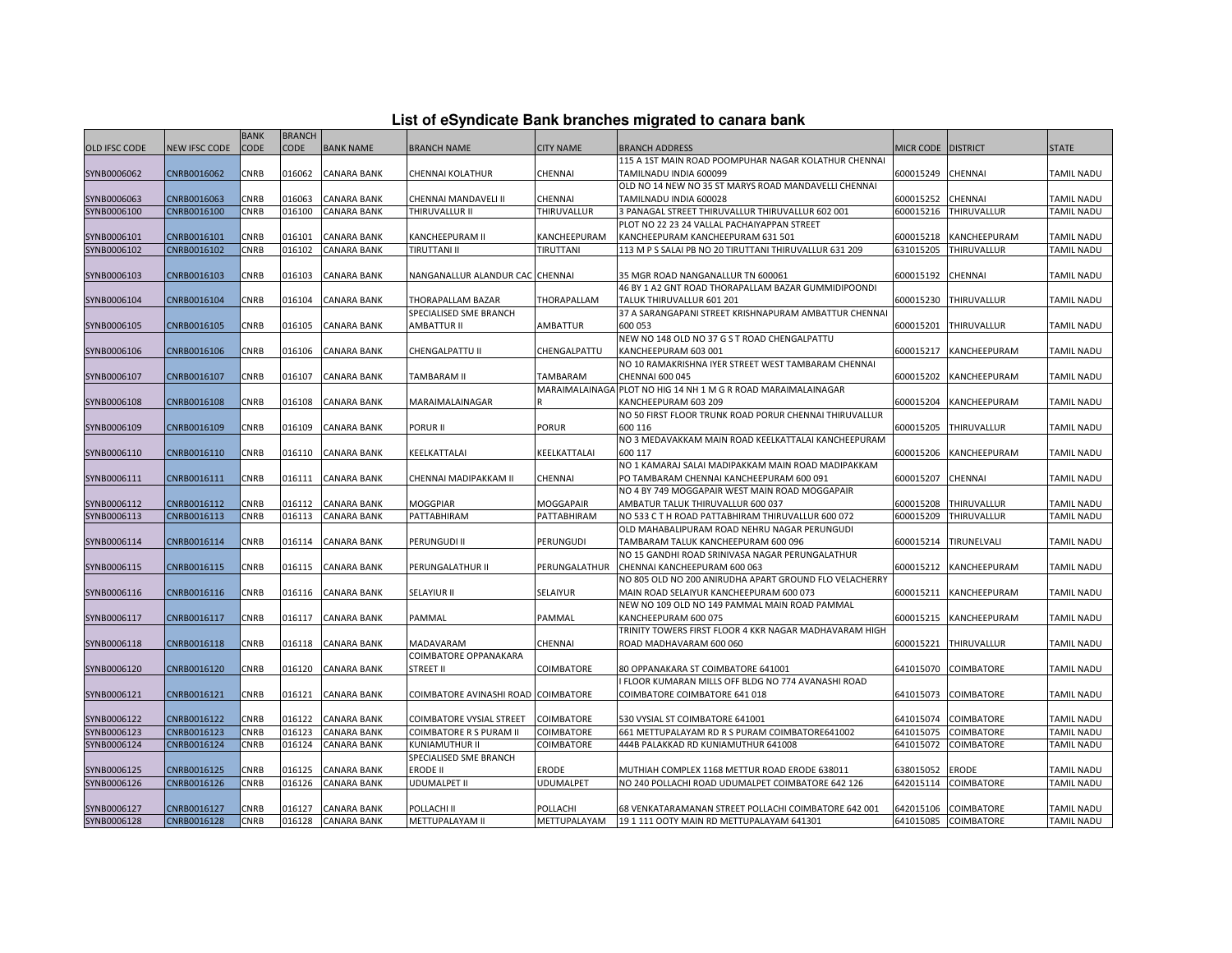| List of eSyndicate Bank branches migrated to canara bank |  |  |
|----------------------------------------------------------|--|--|
|                                                          |  |  |

|                      |               | <b>BANK</b> | <b>BRANCH</b> |                    |                                     |                  |                                                               |                      |                      |                   |
|----------------------|---------------|-------------|---------------|--------------------|-------------------------------------|------------------|---------------------------------------------------------------|----------------------|----------------------|-------------------|
| <b>OLD IFSC CODE</b> | NEW IFSC CODE | <b>CODE</b> | <b>CODE</b>   | <b>BANK NAME</b>   | <b>BRANCH NAME</b>                  | <b>CITY NAME</b> | BRANCH ADDRESS                                                | MICR CODE   DISTRICT |                      | <b>STATE</b>      |
|                      |               |             |               |                    |                                     |                  | 115 A 1ST MAIN ROAD POOMPUHAR NAGAR KOLATHUR CHENNAI          |                      |                      |                   |
| SYNB0006062          | CNRB0016062   | CNRB        | 016062        | <b>CANARA BANK</b> | CHENNAI KOLATHUR                    | <b>CHENNAI</b>   | TAMILNADU INDIA 600099                                        | 600015249            | <b>CHENNAI</b>       | <b>TAMIL NADU</b> |
|                      |               |             |               |                    |                                     |                  | OLD NO 14 NEW NO 35 ST MARYS ROAD MANDAVELLI CHENNAI          |                      |                      |                   |
| SYNB0006063          | CNRB0016063   | CNRB        | 016063        | <b>CANARA BANK</b> | CHENNAI MANDAVELI II                | <b>CHENNAI</b>   | TAMILNADU INDIA 600028                                        | 600015252            | <b>CHENNAI</b>       | <b>TAMIL NADU</b> |
| SYNB0006100          | CNRB0016100   | CNRB        | 016100        | <b>CANARA BANK</b> | THIRUVALLUR II                      | THIRUVALLUR      | 3 PANAGAL STREET THIRUVALLUR THIRUVALLUR 602 001              | 600015216            | THIRUVALLUR          | TAMIL NADU        |
|                      |               |             |               |                    |                                     |                  | PLOT NO 22 23 24 VALLAL PACHAIYAPPAN STREET                   |                      |                      |                   |
| SYNB0006101          | CNRB0016101   | CNRB        | 016101        | <b>CANARA BANK</b> | KANCHEEPURAM II                     | KANCHEEPURAM     | KANCHEEPURAM KANCHEEPURAM 631 501                             | 600015218            | KANCHEEPURAM         | <b>TAMIL NADU</b> |
| SYNB0006102          | CNRB0016102   | CNRB        | 016102        | <b>CANARA BANK</b> | <b>TIRUTTANI II</b>                 | TIRUTTANI        | 113 M P S SALAI PB NO 20 TIRUTTANI THIRUVALLUR 631 209        | 631015205            | THIRUVALLUR          | TAMIL NADU        |
|                      |               |             |               |                    |                                     |                  |                                                               |                      |                      |                   |
| SYNB0006103          | CNRB0016103   | <b>CNRB</b> | 016103        | <b>CANARA BANK</b> | NANGANALLUR ALANDUR CAC CHENNAI     |                  | 35 MGR ROAD NANGANALLUR TN 600061                             | 600015192            | <b>CHENNAI</b>       | <b>TAMIL NADU</b> |
|                      |               |             |               |                    |                                     |                  | 46 BY 1 A2 GNT ROAD THORAPALLAM BAZAR GUMMIDIPOONDI           |                      |                      |                   |
| SYNB0006104          | CNRB0016104   | CNRB        | 016104        | CANARA BANK        | THORAPALLAM BAZAR                   | THORAPALLAM      | TALUK THIRUVALLUR 601 201                                     | 600015230            | THIRUVALLUR          | <b>TAMIL NADU</b> |
|                      |               |             |               |                    | SPECIALISED SME BRANCH              |                  | 37 A SARANGAPANI STREET KRISHNAPURAM AMBATTUR CHENNAI         |                      |                      |                   |
| SYNB0006105          | CNRB0016105   | CNRB        | 016105        | CANARA BANK        | AMBATTUR II                         | AMBATTUR         | 600 053                                                       | 600015201            | THIRUVALLUR          | TAMIL NADU        |
|                      |               |             |               |                    |                                     |                  | NEW NO 148 OLD NO 37 G S T ROAD CHENGALPATTU                  |                      |                      |                   |
| SYNB0006106          | CNRB0016106   | CNRB        | 016106        | <b>CANARA BANK</b> | CHENGALPATTU II                     | CHENGALPATTU     | KANCHEEPURAM 603 001                                          | 600015217            | KANCHEEPURAM         | <b>TAMIL NADU</b> |
|                      |               |             |               |                    |                                     |                  | NO 10 RAMAKRISHNA IYER STREET WEST TAMBARAM CHENNAI           |                      |                      |                   |
| SYNB0006107          | CNRB0016107   | CNRB        | 016107        | <b>CANARA BANK</b> | TAMBARAM II                         | TAMBARAM         | <b>CHENNAI 600 045</b>                                        | 600015202            | KANCHEEPURAM         | <b>TAMIL NADU</b> |
|                      |               |             |               |                    |                                     |                  | MARAIMALAINAGA PLOT NO HIG 14 NH 1 M G R ROAD MARAIMALAINAGAR |                      |                      |                   |
| SYNB0006108          | CNRB0016108   | CNRB        | 016108        | CANARA BANK        | MARAIMALAINAGAR                     |                  | KANCHEEPURAM 603 209                                          | 600015204            | KANCHEEPURAM         | <b>TAMIL NADU</b> |
|                      |               |             |               |                    |                                     |                  | NO 50 FIRST FLOOR TRUNK ROAD PORUR CHENNAI THIRUVALLUR        |                      |                      |                   |
| SYNB0006109          | CNRB0016109   | CNRB        | 016109        | <b>CANARA BANK</b> | PORUR II                            | <b>PORUR</b>     | 600 116                                                       | 600015205            | THIRUVALLUR          | <b>TAMIL NADU</b> |
|                      |               |             |               |                    |                                     |                  | NO 3 MEDAVAKKAM MAIN ROAD KEELKATTALAI KANCHEEPURAM           |                      |                      |                   |
| SYNB0006110          | CNRB0016110   | <b>CNRB</b> | 016110        | <b>CANARA BANK</b> | KEELKATTALAI                        | KEELKATTALAI     | 600 117                                                       | 600015206            | KANCHEEPURAM         | <b>TAMIL NADU</b> |
|                      |               |             |               |                    |                                     |                  | NO 1 KAMARAJ SALAI MADIPAKKAM MAIN ROAD MADIPAKKAM            |                      |                      |                   |
| SYNB0006111          | CNRB0016111   | CNRB        | 016111        | <b>CANARA BANK</b> | CHENNAI MADIPAKKAM II               | CHENNAI          | PO TAMBARAM CHENNAI KANCHEEPURAM 600 091                      | 600015207            | <b>CHENNAI</b>       | <b>TAMIL NADU</b> |
|                      |               |             |               |                    |                                     |                  | NO 4 BY 749 MOGGAPAIR WEST MAIN ROAD MOGGAPAIR                |                      |                      |                   |
| SYNB0006112          | CNRB0016112   | CNRB        | 016112        | <b>CANARA BANK</b> | MOGGPIAR                            | MOGGAPAIR        | AMBATUR TALUK THIRUVALLUR 600 037                             | 600015208            | <b>THIRUVALLUR</b>   | TAMIL NADU        |
| SYNB0006113          | CNRB0016113   | CNRB        | 016113        | <b>CANARA BANK</b> | PATTABHIRAM                         | PATTABHIRAM      | NO 533 C T H ROAD PATTABHIRAM THIRUVALLUR 600 072             | 600015209            | THIRUVALLUR          | TAMIL NADU        |
|                      |               |             |               |                    |                                     |                  | OLD MAHABALIPURAM ROAD NEHRU NAGAR PERUNGUDI                  |                      |                      |                   |
| SYNB0006114          | CNRB0016114   | CNRB        | 016114        | <b>CANARA BANK</b> | PERUNGUDI II                        | <b>PERUNGUDI</b> | TAMBARAM TALUK KANCHEEPURAM 600 096                           | 600015214            | TIRUNELVALI          | <b>TAMIL NADU</b> |
|                      |               |             |               |                    |                                     |                  | NO 15 GANDHI ROAD SRINIVASA NAGAR PERUNGALATHUR               |                      |                      |                   |
| SYNB0006115          | CNRB0016115   | CNRB        | 016115        | <b>CANARA BANK</b> | PERUNGALATHUR II                    | PERUNGALATHUR    | CHENNAI KANCHEEPURAM 600 063                                  | 600015212            | KANCHEEPURAM         | <b>TAMIL NADU</b> |
|                      |               |             |               |                    |                                     |                  | NO 805 OLD NO 200 ANIRUDHA APART GROUND FLO VELACHERRY        |                      |                      |                   |
| SYNB0006116          | CNRB0016116   | CNRB        | 016116        | <b>CANARA BANK</b> | <b>SELAYIUR II</b>                  | SELAIYUR         | MAIN ROAD SELAIYUR KANCHEEPURAM 600 073                       | 600015211            | KANCHEEPURAM         | <b>TAMIL NADU</b> |
|                      |               |             |               |                    |                                     |                  | NEW NO 109 OLD NO 149 PAMMAL MAIN ROAD PAMMAL                 |                      |                      |                   |
| SYNB0006117          | CNRB0016117   | CNRB        | 016117        | <b>CANARA BANK</b> | PAMMAL                              | PAMMAL           | KANCHEEPURAM 600 075                                          | 600015215            | KANCHEEPURAM         | <b>TAMIL NADU</b> |
|                      |               |             |               |                    |                                     |                  | TRINITY TOWERS FIRST FLOOR 4 KKR NAGAR MADHAVARAM HIGH        |                      |                      |                   |
| SYNB0006118          | CNRB0016118   | CNRB        | 016118        | <b>CANARA BANK</b> | MADAVARAM                           | CHENNAI          | ROAD MADHAVARAM 600 060                                       | 600015221            | THIRUVALLUR          | <b>TAMIL NADU</b> |
|                      |               |             |               |                    | COIMBATORE OPPANAKARA               |                  |                                                               |                      |                      |                   |
| SYNB0006120          | CNRB0016120   | CNRB        | 016120        | <b>CANARA BANK</b> | STREET II                           | COIMBATORE       | 80 OPPANAKARA ST COIMBATORE 641001                            | 641015070            | <b>COIMBATORE</b>    | <b>TAMIL NADU</b> |
|                      |               |             |               |                    |                                     |                  | I FLOOR KUMARAN MILLS OFF BLDG NO 774 AVANASHI ROAD           |                      |                      |                   |
| SYNB0006121          | CNRB0016121   | CNRB        | 016121        | <b>CANARA BANK</b> | COIMBATORE AVINASHI ROAD COIMBATORE |                  | COIMBATORE COIMBATORE 641 018                                 | 641015073            | <b>COIMBATORE</b>    | TAMIL NADU        |
|                      |               |             |               |                    |                                     |                  |                                                               |                      |                      |                   |
| SYNB0006122          | CNRB0016122   | CNRB        | 016122        | <b>CANARA BANK</b> | COIMBATORE VYSIAL STREET            | COIMBATORE       | 530 VYSIAL ST COIMBATORE 641001                               | 641015074            | <b>COIMBATORE</b>    | TAMIL NADU        |
| SYNB0006123          | CNRB0016123   | CNRB        | 016123        | <b>CANARA BANK</b> | <b>COIMBATORE R S PURAM II</b>      | COIMBATORE       | 661 METTUPALAYAM RD R S PURAM COIMBATORE641002                | 641015075            | <b>COIMBATORE</b>    | TAMIL NADU        |
| SYNB0006124          | CNRB0016124   | CNRB        | 016124        | CANARA BANK        | KUNIAMUTHUR II                      | COIMBATORE       | 444B PALAKKAD RD KUNIAMUTHUR 641008                           | 641015072            | <b>COIMBATORE</b>    | TAMIL NADU        |
|                      |               |             |               |                    | SPECIALISED SME BRANCH              |                  |                                                               |                      |                      |                   |
| SYNB0006125          | CNRB0016125   | CNRB        | 016125        | <b>CANARA BANK</b> | <b>ERODE II</b>                     | <b>ERODE</b>     | MUTHIAH COMPLEX 1168 METTUR ROAD ERODE 638011                 | 638015052            | <b>ERODE</b>         | <b>TAMIL NADU</b> |
| SYNB0006126          | CNRB0016126   | CNRB        | 016126        | <b>CANARA BANK</b> | UDUMALPET II                        | <b>UDUMALPET</b> | NO 240 POLLACHI ROAD UDUMALPET COIMBATORE 642 126             | 642015114            | <b>COIMBATORE</b>    | <b>TAMIL NADU</b> |
|                      |               |             |               |                    |                                     |                  |                                                               |                      |                      |                   |
| SYNB0006127          | CNRB0016127   | CNRB        | 016127        | <b>CANARA BANK</b> | POLLACHI II                         | POLLACHI         | 68 VENKATARAMANAN STREET POLLACHI COIMBATORE 642 001          | 642015106            | <b>COIMBATORE</b>    | <b>TAMIL NADU</b> |
| SYNB0006128          | CNRB0016128   | CNRB        | 016128        | <b>CANARA BANK</b> | METTUPALAYAM II                     | METTUPALAYAM     | 19 1 111 OOTY MAIN RD METTUPALAYAM 641301                     |                      | 641015085 COIMBATORE | <b>TAMIL NADU</b> |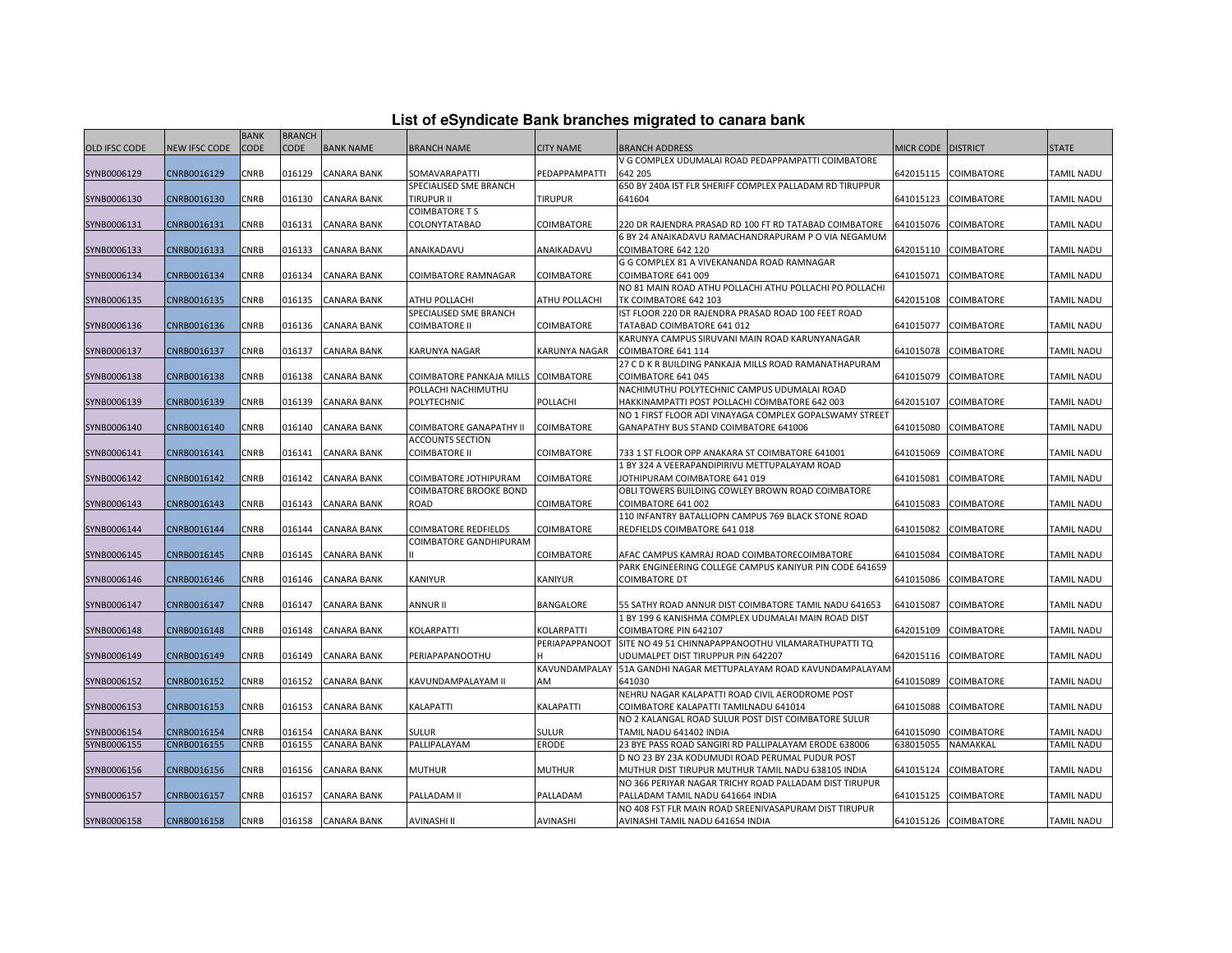| List of eSyndicate Bank branches migrated to canara bank |  |  |  |  |
|----------------------------------------------------------|--|--|--|--|
|----------------------------------------------------------|--|--|--|--|

|               |                      | <b>BANK</b> | <b>BRANCH</b> |                    |                                                    |                      |                                                                                                          |                  |                      |                   |
|---------------|----------------------|-------------|---------------|--------------------|----------------------------------------------------|----------------------|----------------------------------------------------------------------------------------------------------|------------------|----------------------|-------------------|
| OLD IFSC CODE | <b>NEW IFSC CODE</b> | CODE        | <b>CODE</b>   | <b>BANK NAME</b>   | <b>BRANCH NAME</b>                                 | <b>CITY NAME</b>     | BRANCH ADDRESS                                                                                           | <b>MICR CODE</b> | <b>DISTRICT</b>      | <b>STATE</b>      |
|               |                      |             |               |                    |                                                    |                      | V G COMPLEX UDUMALAI ROAD PEDAPPAMPATTI COIMBATORE                                                       |                  |                      |                   |
| SYNB0006129   | CNRB0016129          | <b>CNRB</b> | 016129        | <b>CANARA BANK</b> | SOMAVARAPATTI                                      | PEDAPPAMPATTI        | 642 205                                                                                                  | 642015115        | <b>COIMBATORE</b>    | <b>TAMIL NADU</b> |
|               |                      |             |               |                    | SPECIALISED SME BRANCH                             |                      | 650 BY 240A IST FLR SHERIFF COMPLEX PALLADAM RD TIRUPPUR                                                 |                  |                      |                   |
| SYNB0006130   | CNRB0016130          | <b>CNRB</b> | 016130        | <b>CANARA BANK</b> | <b>TIRUPUR II</b>                                  | <b>TIRUPUR</b>       | 641604                                                                                                   | 641015123        | <b>COIMBATORE</b>    | <b>TAMIL NADU</b> |
|               |                      |             |               |                    | <b>COIMBATORE T S</b>                              |                      |                                                                                                          |                  |                      |                   |
| SYNB0006131   | CNRB0016131          | CNRB        | 016131        | <b>CANARA BANK</b> | COLONYTATABAD                                      | COIMBATORE           | 220 DR RAJENDRA PRASAD RD 100 FT RD TATABAD COIMBATORE                                                   | 641015076        | COIMBATORE           | <b>TAMIL NADU</b> |
|               |                      |             |               |                    |                                                    |                      | 6 BY 24 ANAIKADAVU RAMACHANDRAPURAM P O VIA NEGAMUM                                                      |                  |                      |                   |
| SYNB0006133   | CNRB0016133          | CNRB        | 016133        | <b>CANARA BANK</b> | ANAIKADAVU                                         | ANAIKADAVU           | COIMBATORE 642 120                                                                                       | 642015110        | <b>COIMBATORE</b>    | TAMIL NADU        |
| SYNB0006134   | CNRB0016134          | <b>CNRB</b> | 016134        | <b>CANARA BANK</b> | <b>COIMBATORE RAMNAGAR</b>                         | <b>COIMBATORE</b>    | G G COMPLEX 81 A VIVEKANANDA ROAD RAMNAGAR<br>COIMBATORE 641 009                                         | 641015071        | <b>COIMBATORE</b>    | <b>TAMIL NADU</b> |
|               |                      |             |               |                    |                                                    |                      | NO 81 MAIN ROAD ATHU POLLACHI ATHU POLLACHI PO POLLACHI                                                  |                  |                      |                   |
| SYNB0006135   | CNRB0016135          | CNRB        | 016135        | <b>CANARA BANK</b> | ATHU POLLACHI                                      | ATHU POLLACHI        | TK COIMBATORE 642 103                                                                                    | 642015108        | COIMBATORE           | <b>TAMIL NADU</b> |
|               |                      |             |               |                    | SPECIALISED SME BRANCH                             |                      | IST FLOOR 220 DR RAJENDRA PRASAD ROAD 100 FEET ROAD                                                      |                  |                      |                   |
| SYNB0006136   | CNRB0016136          | CNRB        | 016136        | CANARA BANK        | <b>COIMBATORE II</b>                               | COIMBATORE           | TATABAD COIMBATORE 641 012                                                                               | 641015077        | COIMBATORE           | TAMIL NADU        |
|               |                      |             |               |                    |                                                    |                      | KARUNYA CAMPUS SIRUVANI MAIN ROAD KARUNYANAGAR                                                           |                  |                      |                   |
| SYNB0006137   | CNRB0016137          | <b>CNRB</b> | 016137        | <b>CANARA BANK</b> | KARUNYA NAGAR                                      | <b>KARUNYA NAGAR</b> | COIMBATORE 641 114                                                                                       | 641015078        | <b>COIMBATORE</b>    | <b>TAMIL NADU</b> |
|               |                      |             |               |                    |                                                    |                      | 27 C D K R BUILDING PANKAJA MILLS ROAD RAMANATHAPURAM                                                    |                  |                      |                   |
| SYNB0006138   | CNRB0016138          | <b>CNRB</b> | 016138        | <b>CANARA BANK</b> | COIMBATORE PANKAJA MILLS COIMBATORE                |                      | COIMBATORE 641 045                                                                                       | 641015079        | <b>COIMBATORE</b>    | <b>TAMIL NADU</b> |
|               |                      |             |               |                    | POLLACHI NACHIMUTHU                                |                      | NACHIMUTHU POLYTECHNIC CAMPUS UDUMALAI ROAD                                                              |                  |                      |                   |
| SYNB0006139   | CNRB0016139          | CNRB        | 016139        | <b>CANARA BANK</b> | POLYTECHNIC                                        | POLLACHI             | HAKKINAMPATTI POST POLLACHI COIMBATORE 642 003                                                           | 642015107        | COIMBATORE           | <b>TAMIL NADU</b> |
|               |                      |             |               |                    |                                                    |                      | NO 1 FIRST FLOOR ADI VINAYAGA COMPLEX GOPALSWAMY STREET                                                  |                  |                      |                   |
| SYNB0006140   | CNRB0016140          | CNRB        | 016140        | <b>CANARA BANK</b> | COIMBATORE GANAPATHY II<br><b>ACCOUNTS SECTION</b> | <b>COIMBATORE</b>    | GANAPATHY BUS STAND COIMBATORE 641006                                                                    | 641015080        | <b>COIMBATORE</b>    | TAMIL NADU        |
| SYNB0006141   | CNRB0016141          | <b>CNRB</b> | 016141        | <b>CANARA BANK</b> | <b>COIMBATORE II</b>                               | <b>COIMBATORE</b>    | 733 1 ST FLOOR OPP ANAKARA ST COIMBATORE 641001                                                          | 641015069        | <b>COIMBATORE</b>    | <b>TAMIL NADU</b> |
|               |                      |             |               |                    |                                                    |                      | 1 BY 324 A VEERAPANDIPIRIVU METTUPALAYAM ROAD                                                            |                  |                      |                   |
| SYNB0006142   | CNRB0016142          | CNRB        | 016142        | <b>CANARA BANK</b> | COIMBATORE JOTHIPURAM                              | COIMBATORE           | <b>IOTHIPURAM COIMBATORE 641 019</b>                                                                     | 641015081        | COIMBATORE           | <b>TAMIL NADU</b> |
|               |                      |             |               |                    | <b>COIMBATORE BROOKE BOND</b>                      |                      | OBLI TOWERS BUILDING COWLEY BROWN ROAD COIMBATORE                                                        |                  |                      |                   |
| SYNB0006143   | CNRB0016143          | CNRB        | 016143        | CANARA BANK        | ROAD                                               | COIMBATORE           | COIMBATORE 641 002                                                                                       | 641015083        | COIMBATORE           | TAMIL NADU        |
|               |                      |             |               |                    |                                                    |                      | 110 INFANTRY BATALLIOPN CAMPUS 769 BLACK STONE ROAD                                                      |                  |                      |                   |
| SYNB0006144   | CNRB0016144          | <b>CNRB</b> | 016144        | <b>CANARA BANK</b> | COIMBATORE REDFIELDS                               | COIMBATORE           | REDFIELDS COIMBATORE 641 018                                                                             | 641015082        | COIMBATORE           | <b>TAMIL NADU</b> |
|               |                      |             |               |                    | COIMBATORE GANDHIPURAM                             |                      |                                                                                                          |                  |                      |                   |
| SYNB0006145   | CNRB0016145          | CNRB        | 016145        | <b>CANARA BANK</b> |                                                    | COIMBATORE           | AFAC CAMPUS KAMRAJ ROAD COIMBATORECOIMBATORE                                                             | 641015084        | <b>COIMBATORE</b>    | <b>TAMIL NADU</b> |
|               |                      |             |               |                    |                                                    |                      | PARK ENGINEERING COLLEGE CAMPUS KANIYUR PIN CODE 641659                                                  |                  |                      |                   |
| SYNB0006146   | CNRB0016146          | CNRB        | 016146        | <b>CANARA BANK</b> | KANIYUR                                            | KANIYUR              | COIMBATORE DT                                                                                            | 641015086        | COIMBATORE           | <b>TAMIL NADU</b> |
| SYNB0006147   | CNRB0016147          | CNRB        | 016147        | <b>CANARA BANK</b> | <b>ANNUR II</b>                                    | <b>BANGALORE</b>     | 55 SATHY ROAD ANNUR DIST COIMBATORE TAMIL NADU 641653                                                    | 641015087        | <b>COIMBATORE</b>    | <b>TAMIL NADU</b> |
|               |                      |             |               |                    |                                                    |                      | 1 BY 199 6 KANISHMA COMPLEX UDUMALAI MAIN ROAD DIST                                                      |                  |                      |                   |
| SYNB0006148   | CNRB0016148          | <b>CNRB</b> | 016148        | <b>CANARA BANK</b> | KOLARPATTI                                         | KOLARPATTI           | COIMBATORE PIN 642107                                                                                    | 642015109        | <b>COIMBATORE</b>    | <b>TAMIL NADU</b> |
|               |                      |             |               |                    |                                                    | PERIAPAPPANOOT       | SITE NO 49 51 CHINNAPAPPANOOTHU VILAMARATHUPATTI TQ                                                      |                  |                      |                   |
| SYNB0006149   | CNRB0016149          | CNRB        | 016149        | CANARA BANK        | PERIAPAPANOOTHU                                    |                      | UDUMALPET DIST TIRUPPUR PIN 642207                                                                       | 642015116        | COIMBATORE           | <b>TAMIL NADU</b> |
|               |                      |             |               |                    |                                                    | KAVUNDAMPALAY        | 51A GANDHI NAGAR METTUPALAYAM ROAD KAVUNDAMPALAYAM                                                       |                  |                      |                   |
| SYNB0006152   | CNRB0016152          | <b>CNRB</b> | 016152        | CANARA BANK        | KAVUNDAMPALAYAM II                                 | AM                   | 641030                                                                                                   | 641015089        | COIMBATORE           | TAMIL NADU        |
|               |                      |             |               |                    |                                                    |                      | NEHRU NAGAR KALAPATTI ROAD CIVIL AERODROME POST                                                          |                  |                      |                   |
| SYNB0006153   | CNRB0016153          | CNRB        | 016153        | <b>CANARA BANK</b> | KALAPATTI                                          | KALAPATTI            | COIMBATORE KALAPATTI TAMILNADU 641014                                                                    | 641015088        | <b>COIMBATORE</b>    | <b>TAMIL NADU</b> |
|               |                      |             |               |                    |                                                    |                      | NO 2 KALANGAL ROAD SULUR POST DIST COIMBATORE SULUR                                                      |                  |                      |                   |
| SYNB0006154   | CNRB0016154          | CNRB        | 016154        | <b>CANARA BANK</b> | <b>SULUR</b>                                       | <b>SULUR</b>         | TAMIL NADU 641402 INDIA                                                                                  | 641015090        | <b>COIMBATORE</b>    | <b>TAMIL NADU</b> |
| SYNB0006155   | CNRB0016155          | <b>CNRB</b> | 016155        | <b>CANARA BANK</b> | PALLIPALAYAM                                       | <b>ERODE</b>         | 23 BYE PASS ROAD SANGIRI RD PALLIPALAYAM ERODE 638006<br>D NO 23 BY 23A KODUMUDI ROAD PERUMAL PUDUR POST | 638015055        | NAMAKKAL             | TAMIL NADU        |
| SYNB0006156   | CNRB0016156          | <b>CNRB</b> | 016156        | <b>CANARA BANK</b> | <b>MUTHUR</b>                                      | <b>MUTHUR</b>        | MUTHUR DIST TIRUPUR MUTHUR TAMIL NADU 638105 INDIA                                                       | 641015124        | <b>COIMBATORE</b>    | <b>TAMIL NADU</b> |
|               |                      |             |               |                    |                                                    |                      | NO 366 PERIYAR NAGAR TRICHY ROAD PALLADAM DIST TIRUPUR                                                   |                  |                      |                   |
| SYNB0006157   | CNRB0016157          | CNRB        | 016157        | <b>CANARA BANK</b> | PALLADAM II                                        | PALLADAM             | PALLADAM TAMIL NADU 641664 INDIA                                                                         | 641015125        | <b>COIMBATORE</b>    | <b>TAMIL NADU</b> |
|               |                      |             |               |                    |                                                    |                      | NO 408 FST FLR MAIN ROAD SREENIVASAPURAM DIST TIRUPUR                                                    |                  |                      |                   |
| SYNB0006158   | CNRB0016158          | CNRB        |               | 016158 CANARA BANK | <b>AVINASHI II</b>                                 | <b>AVINASHI</b>      | AVINASHI TAMIL NADU 641654 INDIA                                                                         |                  | 641015126 COIMBATORE | <b>TAMIL NADU</b> |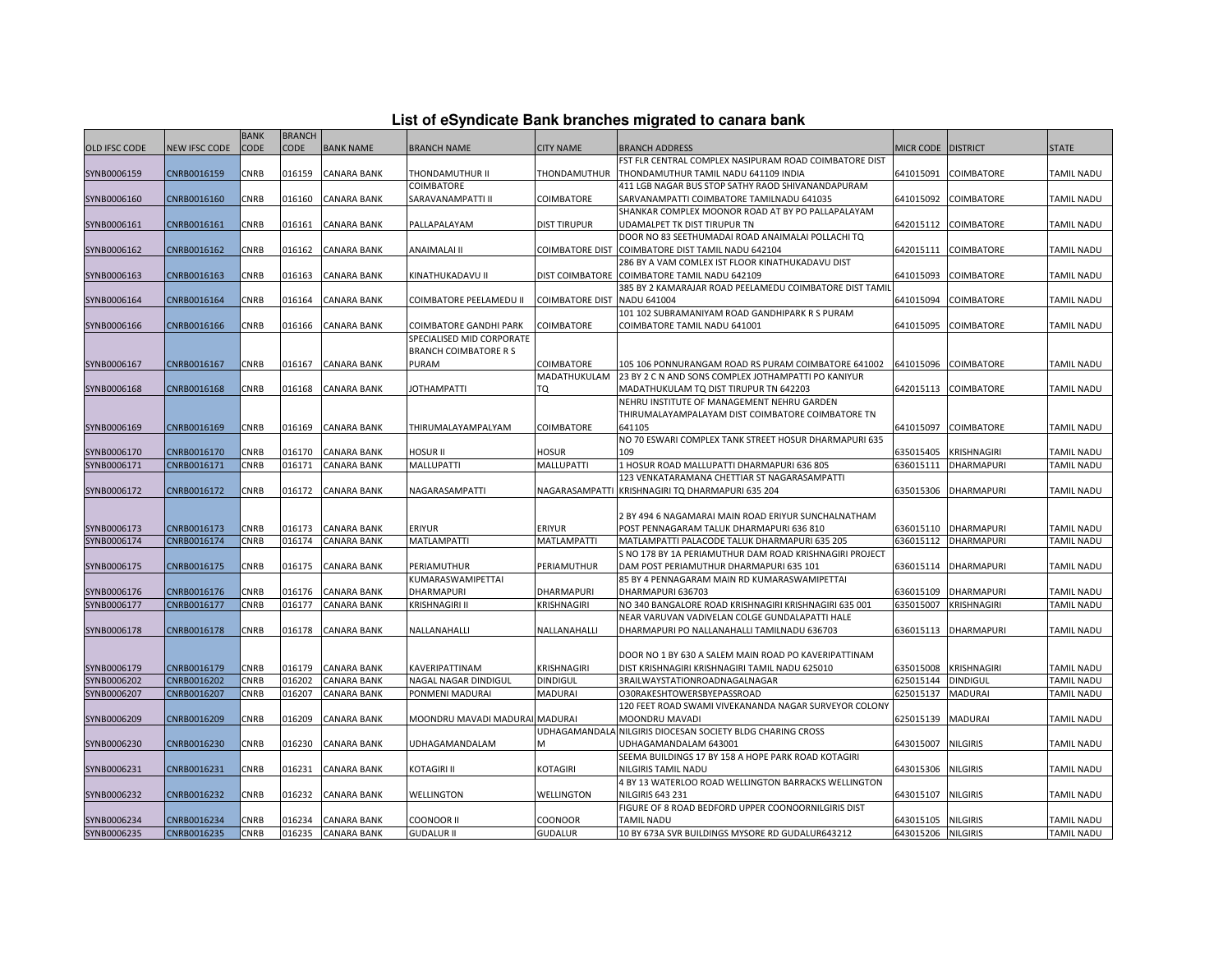| List of eSyndicate Bank branches migrated to canara bank |  |  |
|----------------------------------------------------------|--|--|
|                                                          |  |  |

|                      |               | <b>BANK</b> | <b>BRANCH</b> |                    |                                |                        |                                                         |                      |                    |                   |
|----------------------|---------------|-------------|---------------|--------------------|--------------------------------|------------------------|---------------------------------------------------------|----------------------|--------------------|-------------------|
| <b>OLD IFSC CODE</b> | NEW IFSC CODE | CODE        | <b>CODE</b>   | <b>BANK NAME</b>   | <b>BRANCH NAME</b>             | <b>CITY NAME</b>       | <b>BRANCH ADDRESS</b>                                   | MICR CODE   DISTRICT |                    | <b>STATE</b>      |
|                      |               |             |               |                    |                                |                        | FST FLR CENTRAL COMPLEX NASIPURAM ROAD COIMBATORE DIST  |                      |                    |                   |
| SYNB0006159          | CNRB0016159   | CNRB        | 016159        | <b>CANARA BANK</b> | THONDAMUTHUR II                | THONDAMUTHUR           | THONDAMUTHUR TAMIL NADU 641109 INDIA                    | 641015091            | <b>COIMBATORE</b>  | <b>TAMIL NADU</b> |
|                      |               |             |               |                    | COIMBATORE                     |                        | 411 LGB NAGAR BUS STOP SATHY RAOD SHIVANANDAPURAM       |                      |                    |                   |
| SYNB0006160          | CNRB0016160   | CNRB        | 016160        | CANARA BANK        | SARAVANAMPATTI II              | COIMBATORE             | SARVANAMPATTI COIMBATORE TAMILNADU 641035               | 641015092            | <b>COIMBATORE</b>  | <b>TAMIL NADU</b> |
|                      |               |             |               |                    |                                |                        | SHANKAR COMPLEX MOONOR ROAD AT BY PO PALLAPALAYAM       |                      |                    |                   |
| SYNB0006161          | CNRB0016161   | CNRB        | 016161        | <b>CANARA BANK</b> | PALLAPALAYAM                   | <b>DIST TIRUPUR</b>    | UDAMALPET TK DIST TIRUPUR TN                            | 642015112            | <b>COIMBATORE</b>  | <b>TAMIL NADU</b> |
|                      |               |             |               |                    |                                |                        | DOOR NO 83 SEETHUMADAI ROAD ANAIMALAI POLLACHI TQ       |                      |                    |                   |
| SYNB0006162          | CNRB0016162   | CNRB        | 016162        | <b>CANARA BANK</b> | ANAIMALAI II                   | <b>COIMBATORE DIST</b> | COIMBATORE DIST TAMIL NADU 642104                       | 642015111            | COIMBATORE         | <b>TAMIL NADU</b> |
|                      |               |             |               |                    |                                |                        | 286 BY A VAM COMLEX IST FLOOR KINATHUKADAVU DIST        |                      |                    |                   |
| SYNB0006163          | CNRB0016163   | CNRB        | 016163        | CANARA BANK        | KINATHUKADAVU II               | <b>DIST COIMBATORE</b> | COIMBATORE TAMIL NADU 642109                            | 641015093            | COIMBATORE         | <b>TAMIL NADU</b> |
|                      |               |             |               |                    |                                |                        | 385 BY 2 KAMARAJAR ROAD PEELAMEDU COIMBATORE DIST TAMIL |                      |                    |                   |
| SYNB0006164          | CNRB0016164   | CNRB        | 016164        | CANARA BANK        | COIMBATORE PEELAMEDU II        | <b>COIMBATORE DIST</b> | NADU 641004                                             | 641015094            | COIMBATORE         | <b>TAMIL NADU</b> |
|                      |               |             |               |                    |                                |                        | 101 102 SUBRAMANIYAM ROAD GANDHIPARK R S PURAM          |                      |                    |                   |
| SYNB0006166          | CNRB0016166   | CNRB        | 016166        | <b>CANARA BANK</b> | COIMBATORE GANDHI PARK         | COIMBATORE             | COIMBATORE TAMIL NADU 641001                            | 641015095            | <b>COIMBATORE</b>  | <b>TAMIL NADU</b> |
|                      |               |             |               |                    | SPECIALISED MID CORPORATE      |                        |                                                         |                      |                    |                   |
|                      |               |             |               |                    | <b>BRANCH COIMBATORE R S</b>   |                        |                                                         |                      |                    |                   |
| SYNB0006167          | CNRB0016167   | CNRB        | 016167        | <b>CANARA BANK</b> | PURAM                          | <b>COIMBATORE</b>      | 105 106 PONNURANGAM ROAD RS PURAM COIMBATORE 641002     | 641015096            | <b>COIMBATORE</b>  | <b>TAMIL NADU</b> |
|                      |               |             |               |                    |                                | MADATHUKULAM           | 23 BY 2 C N AND SONS COMPLEX JOTHAMPATTI PO KANIYUR     |                      |                    |                   |
| SYNB0006168          | CNRB0016168   | CNRB        | 016168        | <b>CANARA BANK</b> | <b>JOTHAMPATTI</b>             | TQ                     | MADATHUKULAM TQ DIST TIRUPUR TN 642203                  | 642015113            | <b>COIMBATORE</b>  | <b>TAMIL NADU</b> |
|                      |               |             |               |                    |                                |                        | NEHRU INSTITUTE OF MANAGEMENT NEHRU GARDEN              |                      |                    |                   |
|                      |               |             |               |                    |                                |                        | THIRUMALAYAMPALAYAM DIST COIMBATORE COIMBATORE TN       |                      |                    |                   |
| SYNB0006169          | CNRB0016169   | CNRB        | 016169        | <b>CANARA BANK</b> | THIRUMALAYAMPALYAM             | <b>COIMBATORE</b>      | 641105                                                  | 641015097            | <b>COIMBATORE</b>  | <b>TAMIL NADU</b> |
|                      |               |             |               |                    |                                |                        | NO 70 ESWARI COMPLEX TANK STREET HOSUR DHARMAPURI 635   |                      |                    |                   |
| SYNB0006170          | CNRB0016170   | CNRB        | 016170        | CANARA BANK        | HOSUR II                       | Hosur                  | 109                                                     | 635015405            | <b>KRISHNAGIRI</b> | TAMIL NADU        |
| SYNB0006171          | CNRB0016171   | CNRB        | 016171        | <b>CANARA BANK</b> | <b>MALLUPATTI</b>              | MALLUPATTI             | 1 HOSUR ROAD MALLUPATTI DHARMAPURI 636 805              | 636015111            | <b>DHARMAPURI</b>  | <b>TAMIL NADU</b> |
|                      |               |             |               |                    |                                |                        | 123 VENKATARAMANA CHETTIAR ST NAGARASAMPATTI            |                      |                    |                   |
| SYNB0006172          | CNRB0016172   | CNRB        | 016172        | <b>CANARA BANK</b> | NAGARASAMPATTI                 |                        | NAGARASAMPATTI KRISHNAGIRI TQ DHARMAPURI 635 204        | 635015306            | <b>DHARMAPURI</b>  | <b>TAMIL NADU</b> |
|                      |               |             |               |                    |                                |                        |                                                         |                      |                    |                   |
|                      |               |             |               |                    |                                |                        | 2 BY 494 6 NAGAMARAI MAIN ROAD ERIYUR SUNCHALNATHAM     |                      |                    |                   |
| SYNB0006173          | CNRB0016173   | CNRB        | 016173        | <b>CANARA BANK</b> | ERIYUR                         | <b>ERIYUR</b>          | POST PENNAGARAM TALUK DHARMAPURI 636 810                | 636015110            | <b>DHARMAPURI</b>  | TAMIL NADU        |
| SYNB0006174          | CNRB0016174   | CNRB        | 016174        | <b>CANARA BANK</b> | <b>MATLAMPATTI</b>             | <b>MATLAMPATTI</b>     | MATLAMPATTI PALACODE TALUK DHARMAPURI 635 205           | 636015112            | DHARMAPURI         | <b>TAMIL NADU</b> |
|                      |               |             |               |                    |                                |                        | S NO 178 BY 1A PERIAMUTHUR DAM ROAD KRISHNAGIRI PROJECT |                      |                    |                   |
| SYNB0006175          | CNRB0016175   | CNRB        | 016175        | <b>CANARA BANK</b> | PERIAMUTHUR                    | PERIAMUTHUR            | DAM POST PERIAMUTHUR DHARMAPURI 635 101                 | 636015114            | <b>DHARMAPURI</b>  | TAMIL NADU        |
|                      |               |             |               |                    | KUMARASWAMIPETTAI              |                        | 85 BY 4 PENNAGARAM MAIN RD KUMARASWAMIPETTAI            |                      |                    |                   |
| SYNB0006176          | CNRB0016176   | CNRB        | 016176        | <b>CANARA BANK</b> | DHARMAPURI                     | <b>DHARMAPURI</b>      | DHARMAPURI 636703                                       | 636015109            | <b>DHARMAPURI</b>  | <b>TAMIL NADU</b> |
| SYNB0006177          | CNRB0016177   | CNRB        | 016177        | CANARA BANK        | <b>KRISHNAGIRI II</b>          | KRISHNAGIRI            | NO 340 BANGALORE ROAD KRISHNAGIRI KRISHNAGIRI 635 001   | 635015007            | <b>KRISHNAGIRI</b> | TAMIL NADU        |
|                      |               |             |               |                    |                                |                        | NEAR VARUVAN VADIVELAN COLGE GUNDALAPATTI HALE          |                      |                    |                   |
| SYNB0006178          | CNRB0016178   | CNRB        | 016178        | <b>CANARA BANK</b> | NALLANAHALLI                   | NALLANAHALLI           | DHARMAPURI PO NALLANAHALLI TAMILNADU 636703             | 636015113            | <b>DHARMAPURI</b>  | <b>TAMIL NADU</b> |
|                      |               |             |               |                    |                                |                        |                                                         |                      |                    |                   |
|                      |               |             |               |                    |                                |                        | DOOR NO 1 BY 630 A SALEM MAIN ROAD PO KAVERIPATTINAM    |                      |                    |                   |
| SYNB0006179          | CNRB0016179   | CNRB        | 016179        | <b>CANARA BANK</b> | KAVERIPATTINAM                 | KRISHNAGIRI            | DIST KRISHNAGIRI KRISHNAGIRI TAMIL NADU 625010          | 635015008            | KRISHNAGIRI        | <b>TAMIL NADU</b> |
| SYNB0006202          | CNRB0016202   | CNRB        | 016202        | <b>CANARA BANK</b> | NAGAL NAGAR DINDIGUL           | <b>DINDIGUL</b>        | 3RAILWAYSTATIONROADNAGALNAGAR                           | 625015144            | <b>DINDIGUL</b>    | TAMIL NADU        |
| SYNB0006207          | CNRB0016207   | CNRB        | 016207        | <b>CANARA BANK</b> | PONMENI MADURAI                | <b>MADURAI</b>         | O30RAKESHTOWERSBYEPASSROAD                              | 625015137            | <b>MADURAI</b>     | <b>TAMIL NADU</b> |
|                      |               |             |               |                    |                                |                        | 120 FEET ROAD SWAMI VIVEKANANDA NAGAR SURVEYOR COLONY   |                      |                    |                   |
| SYNB0006209          | CNRB0016209   | CNRB        | 016209        | <b>CANARA BANK</b> | MOONDRU MAVADI MADURAI MADURAI |                        | MOONDRU MAVADI                                          | 625015139            | <b>MADURAI</b>     | <b>TAMIL NADU</b> |
|                      |               |             |               |                    |                                | UDHAGAMANDAL           | A NILGIRIS DIOCESAN SOCIETY BLDG CHARING CROSS          |                      |                    |                   |
| SYNB0006230          | CNRB0016230   | <b>CNRB</b> | 016230        | <b>CANARA BANK</b> | UDHAGAMANDALAM                 | M                      | UDHAGAMANDALAM 643001                                   | 643015007            | <b>NILGIRIS</b>    | <b>TAMIL NADU</b> |
|                      |               |             |               |                    |                                |                        | SEEMA BUILDINGS 17 BY 158 A HOPE PARK ROAD KOTAGIRI     |                      |                    |                   |
| SYNB0006231          | CNRB0016231   | CNRB        | 016231        | CANARA BANK        | KOTAGIRI II                    | KOTAGIRI               | <b>NILGIRIS TAMIL NADU</b>                              | 643015306            | <b>NILGIRIS</b>    | <b>TAMIL NADU</b> |
|                      |               |             |               |                    |                                |                        | 4 BY 13 WATERLOO ROAD WELLINGTON BARRACKS WELLINGTON    |                      |                    |                   |
| SYNB0006232          | CNRB0016232   | CNRB        | 016232        | <b>CANARA BANK</b> | WELLINGTON                     | WELLINGTON             | <b>NILGIRIS 643 231</b>                                 | 643015107            | <b>NILGIRIS</b>    | <b>TAMIL NADU</b> |
|                      |               |             |               |                    |                                |                        | FIGURE OF 8 ROAD BEDFORD UPPER COONOORNILGIRIS DIST     |                      |                    |                   |
| SYNB0006234          | CNRB0016234   | CNRB        | 016234        | <b>CANARA BANK</b> | <b>COONOOR II</b>              | <b>COONOOR</b>         | <b>TAMIL NADU</b>                                       | 643015105            | <b>NILGIRIS</b>    | <b>TAMIL NADU</b> |
| SYNB0006235          | CNRB0016235   | <b>CNRB</b> | 016235        | <b>CANARA BANK</b> | <b>GUDALUR II</b>              | <b>GUDALUR</b>         | 10 BY 673A SVR BUILDINGS MYSORE RD GUDALUR643212        | 643015206            | <b>NILGIRIS</b>    | <b>TAMIL NADU</b> |
|                      |               |             |               |                    |                                |                        |                                                         |                      |                    |                   |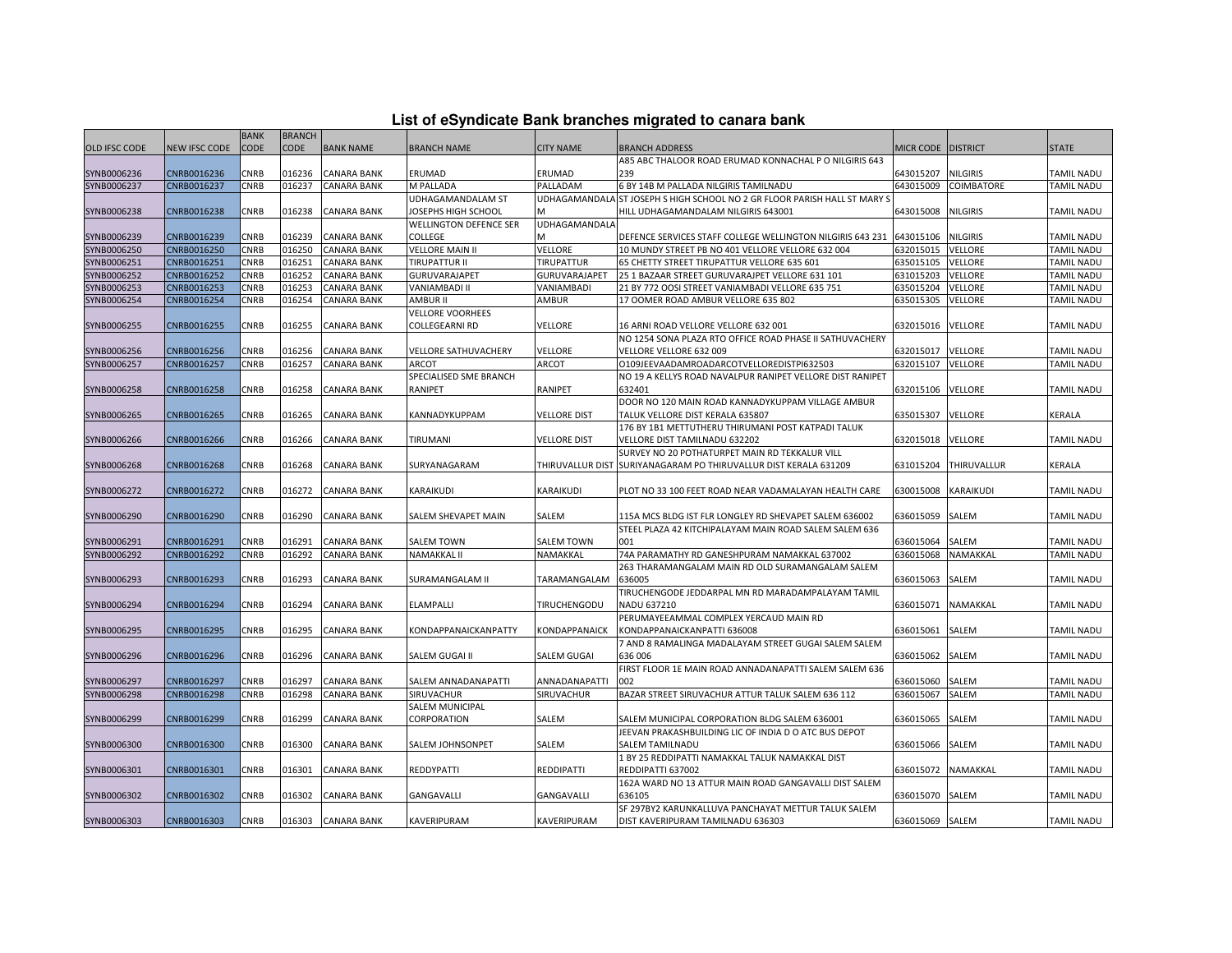|  |  | List of eSyndicate Bank branches migrated to canara bank |  |
|--|--|----------------------------------------------------------|--|
|--|--|----------------------------------------------------------|--|

|               |               | <b>BANK</b> | <b>BRANCH</b> |                    |                               |                      |                                                                           |                 |                 |                   |
|---------------|---------------|-------------|---------------|--------------------|-------------------------------|----------------------|---------------------------------------------------------------------------|-----------------|-----------------|-------------------|
| OLD IFSC CODE | NEW IFSC CODE | <b>CODE</b> | <b>CODE</b>   | <b>BANK NAME</b>   | <b>BRANCH NAME</b>            | CITY NAME            | <b>BRANCH ADDRESS</b>                                                     | MICR CODE       | <b>DISTRICT</b> | <b>STATE</b>      |
|               |               |             |               |                    |                               |                      | A85 ABC THALOOR ROAD ERUMAD KONNACHAL P O NILGIRIS 643                    |                 |                 |                   |
| SYNB0006236   | CNRB0016236   | CNRB        | 016236        | <b>CANARA BANK</b> | ERUMAD                        | ERUMAD               | 239                                                                       | 643015207       | <b>NILGIRIS</b> | <b>TAMIL NADU</b> |
| SYNB0006237   | CNRB0016237   | CNRB        | 016237        | <b>CANARA BANK</b> | M PALLADA                     | PALLADAM             | 6 BY 14B M PALLADA NILGIRIS TAMILNADU                                     | 643015009       | COIMBATORE      | TAMIL NADU        |
|               |               |             |               |                    | UDHAGAMANDALAM ST             |                      | UDHAGAMANDALA ST JOSEPH S HIGH SCHOOL NO 2 GR FLOOR PARISH HALL ST MARY S |                 |                 |                   |
| SYNB0006238   | CNRB0016238   | CNRB        | 016238        | <b>CANARA BANK</b> | JOSEPHS HIGH SCHOOL           |                      | HILL UDHAGAMANDALAM NILGIRIS 643001                                       | 643015008       | NILGIRIS        | <b>TAMIL NADU</b> |
|               |               |             |               |                    | <b>WELLINGTON DEFENCE SER</b> | <b>UDHAGAMANDALA</b> |                                                                           |                 |                 |                   |
| SYNB0006239   | CNRB0016239   | CNRB        | 016239        | <b>CANARA BANK</b> | COLLEGE                       | м                    | DEFENCE SERVICES STAFF COLLEGE WELLINGTON NILGIRIS 643 231                | 643015106       | <b>NILGIRIS</b> | <b>TAMIL NADU</b> |
| SYNB0006250   | CNRB0016250   | CNRB        | 016250        | <b>CANARA BANK</b> | <b>VELLORE MAIN II</b>        | VELLORE              | 10 MUNDY STREET PB NO 401 VELLORE VELLORE 632 004                         | 632015015       | VELLORE         | TAMIL NADU        |
| SYNB0006251   | CNRB0016251   | CNRB        | 016251        | CANARA BANK        | <b>TIRUPATTUR II</b>          | TIRUPATTUR           | 65 CHETTY STREET TIRUPATTUR VELLORE 635 601                               | 635015105       | VELLORE         | TAMIL NADU        |
| SYNB0006252   | CNRB0016252   | CNRB        | 016252        | CANARA BANK        | GURUVARAJAPET                 | GURUVARAJAPET        | 25 1 BAZAAR STREET GURUVARAJPET VELLORE 631 101                           | 631015203       | VELLORE         | TAMIL NADU        |
| SYNB0006253   | CNRB0016253   | CNRB        | 016253        | <b>CANARA BANK</b> | VANIAMBADI II                 | VANIAMBADI           | 21 BY 772 OOSI STREET VANIAMBADI VELLORE 635 751                          | 635015204       | VELLORE         | TAMIL NADU        |
| SYNB0006254   | CNRB0016254   | CNRB        | 016254        | CANARA BANK        | <b>AMBUR II</b>               | AMBUR                | 17 OOMER ROAD AMBUR VELLORE 635 802                                       | 635015305       | VELLORE         | TAMIL NADU        |
|               |               |             |               |                    | VELLORE VOORHEES              |                      |                                                                           |                 |                 |                   |
| SYNB0006255   | CNRB0016255   | CNRB        | 016255        | <b>CANARA BANK</b> | COLLEGEARNI RD                | VELLORE              | 16 ARNI ROAD VELLORE VELLORE 632 001                                      | 632015016       | <b>VELLORE</b>  | TAMIL NADU        |
|               |               |             |               |                    |                               |                      | NO 1254 SONA PLAZA RTO OFFICE ROAD PHASE II SATHUVACHERY                  |                 |                 |                   |
| SYNB0006256   | CNRB0016256   | CNRB        | 016256        | <b>CANARA BANK</b> | VELLORE SATHUVACHERY          | VELLORE              | VELLORE VELLORE 632 009                                                   | 632015017       | VELLORE         | <b>TAMIL NADU</b> |
| SYNB0006257   | CNRB0016257   | CNRB        | 016257        | CANARA BANK        | ARCOT                         | <b>ARCOT</b>         | O109JEEVAADAMROADARCOTVELLOREDISTPI632503                                 | 632015107       | VELLORE         | TAMIL NADU        |
|               |               |             |               |                    | SPECIALISED SME BRANCH        |                      | NO 19 A KELLYS ROAD NAVALPUR RANIPET VELLORE DIST RANIPET                 |                 |                 |                   |
| SYNB0006258   | CNRB0016258   | CNRB        | 016258        | <b>CANARA BANK</b> | RANIPET                       | <b>RANIPET</b>       | 632401                                                                    | 632015106       | VELLORE         | <b>TAMIL NADU</b> |
|               |               |             |               |                    |                               |                      | DOOR NO 120 MAIN ROAD KANNADYKUPPAM VILLAGE AMBUR                         |                 |                 |                   |
| SYNB0006265   | CNRB0016265   | CNRB        | 016265        | <b>CANARA BANK</b> | KANNADYKUPPAM                 | <b>VELLORE DIST</b>  | TALUK VELLORE DIST KERALA 635807                                          | 635015307       | VELLORE         | KERALA            |
|               |               |             |               |                    |                               |                      | 176 BY 1B1 METTUTHERU THIRUMANI POST KATPADI TALUK                        |                 |                 |                   |
| SYNB0006266   | CNRB0016266   | CNRB        | 016266        | <b>CANARA BANK</b> | TIRUMANI                      | <b>VELLORE DIST</b>  | VELLORE DIST TAMILNADU 632202                                             | 632015018       | VELLORE         | <b>TAMIL NADU</b> |
|               |               |             |               |                    |                               |                      | SURVEY NO 20 POTHATURPET MAIN RD TEKKALUR VILL                            |                 |                 |                   |
| SYNB0006268   | CNRB0016268   | CNRB        | 016268        | <b>CANARA BANK</b> | SURYANAGARAM                  |                      | THIRUVALLUR DIST SURIYANAGARAM PO THIRUVALLUR DIST KERALA 631209          | 631015204       | THIRUVALLUR     | KERALA            |
|               |               |             |               |                    |                               |                      |                                                                           |                 |                 |                   |
| SYNB0006272   | CNRB0016272   | CNRB        | 016272        | <b>CANARA BANK</b> | KARAIKUDI                     | KARAIKUDI            | PLOT NO 33 100 FEET ROAD NEAR VADAMALAYAN HEALTH CARE                     | 630015008       | KARAIKUDI       | <b>TAMIL NADU</b> |
|               |               |             |               |                    |                               |                      |                                                                           |                 |                 |                   |
| SYNB0006290   | CNRB0016290   | CNRB        | 016290        | <b>CANARA BANK</b> | SALEM SHEVAPET MAIN           | SALEM                | 115A MCS BLDG IST FLR LONGLEY RD SHEVAPET SALEM 636002                    | 636015059       | SALEM           | <b>TAMIL NADU</b> |
|               |               |             |               |                    |                               |                      | STEEL PLAZA 42 KITCHIPALAYAM MAIN ROAD SALEM SALEM 636                    |                 |                 |                   |
| SYNB0006291   | CNRB0016291   | CNRB        | 016291        | CANARA BANK        | SALEM TOWN                    | SALEM TOWN           | 001                                                                       | 636015064       | SALEM           | TAMIL NADU        |
| SYNB0006292   | CNRB0016292   | CNRB        | 016292        | <b>CANARA BANK</b> | NAMAKKAL II                   | NAMAKKAL             | 74A PARAMATHY RD GANESHPURAM NAMAKKAL 637002                              | 636015068       | NAMAKKAL        | TAMIL NADU        |
|               |               |             |               |                    |                               |                      | 263 THARAMANGALAM MAIN RD OLD SURAMANGALAM SALEM                          |                 |                 |                   |
| SYNB0006293   | CNRB0016293   | CNRB        | 016293        | <b>CANARA BANK</b> | SURAMANGALAM II               | TARAMANGALAM         | 636005                                                                    | 636015063       | SALEM           | TAMIL NADU        |
|               |               |             |               |                    |                               |                      | TIRUCHENGODE JEDDARPAL MN RD MARADAMPALAYAM TAMIL                         |                 |                 |                   |
| SYNB0006294   | CNRB0016294   | CNRB        | 016294        | <b>CANARA BANK</b> | ELAMPALLI                     | TIRUCHENGODU         | NADU 637210                                                               | 636015071       | NAMAKKAL        | <b>TAMIL NADU</b> |
|               |               |             |               |                    |                               |                      | PERUMAYEEAMMAL COMPLEX YERCAUD MAIN RD                                    |                 |                 |                   |
| SYNB0006295   | CNRB0016295   | CNRB        | 016295        | <b>CANARA BANK</b> | KONDAPPANAICKANPATTY          | KONDAPPANAICK        | KONDAPPANAICKANPATTI 636008                                               | 636015061       | SALEM           | <b>TAMIL NADU</b> |
|               |               |             |               |                    |                               |                      | 7 AND 8 RAMALINGA MADALAYAM STREET GUGAI SALEM SALEM                      |                 |                 |                   |
| SYNB0006296   | CNRB0016296   | CNRB        | 016296        | CANARA BANK        | SALEM GUGAI II                | <b>SALEM GUGAI</b>   | 636 006                                                                   | 636015062       | SALEM           | <b>TAMIL NADU</b> |
|               |               |             |               |                    |                               |                      | FIRST FLOOR 1E MAIN ROAD ANNADANAPATTI SALEM SALEM 636                    |                 |                 |                   |
| SYNB0006297   | CNRB0016297   | CNRB        | 016297        | <b>CANARA BANK</b> | SALEM ANNADANAPATTI           | ANNADANAPATTI        | 002                                                                       | 636015060       | SALEM           | TAMIL NADU        |
| SYNB0006298   | CNRB0016298   | CNRB        | 016298        | <b>CANARA BANK</b> | SIRUVACHUR                    | SIRUVACHUR           | BAZAR STREET SIRUVACHUR ATTUR TALUK SALEM 636 112                         | 636015067       | SALEM           | TAMIL NADU        |
|               |               |             |               |                    | SALEM MUNICIPAL               |                      |                                                                           |                 |                 |                   |
| SYNB0006299   | CNRB0016299   | CNRB        | 016299        | CANARA BANK        | CORPORATION                   | SALEM                | SALEM MUNICIPAL CORPORATION BLDG SALEM 636001                             | 636015065       | SALEM           | TAMIL NADU        |
|               |               |             |               |                    |                               |                      | JEEVAN PRAKASHBUILDING LIC OF INDIA D O ATC BUS DEPOT                     |                 |                 |                   |
| SYNB0006300   | CNRB0016300   | CNRB        | 016300        | <b>CANARA BANK</b> | SALEM JOHNSONPET              | SALEM                | <b>SALEM TAMILNADU</b>                                                    | 636015066       | SALEM           | <b>TAMIL NADU</b> |
|               |               |             |               |                    |                               |                      | 1 BY 25 REDDIPATTI NAMAKKAL TALUK NAMAKKAL DIST                           |                 |                 |                   |
| SYNB0006301   | CNRB0016301   | CNRB        | 016301        | <b>CANARA BANK</b> | REDDYPATTI                    | <b>REDDIPATTI</b>    | REDDIPATTI 637002                                                         | 636015072       | NAMAKKAL        | <b>TAMIL NADU</b> |
|               |               |             |               |                    |                               |                      | 162A WARD NO 13 ATTUR MAIN ROAD GANGAVALLI DIST SALEM                     |                 |                 |                   |
| SYNB0006302   | CNRB0016302   | CNRB        | 016302        | <b>CANARA BANK</b> | GANGAVALLI                    | GANGAVALLI           | 636105                                                                    | 636015070       | SALEM           | <b>TAMIL NADU</b> |
|               |               |             |               |                    |                               |                      | SF 297BY2 KARUNKALLUVA PANCHAYAT METTUR TALUK SALEM                       |                 |                 |                   |
| SYNB0006303   | CNRB0016303   | <b>CNRB</b> |               | 016303 CANARA BANK | KAVERIPURAM                   | KAVERIPURAM          | DIST KAVERIPURAM TAMILNADU 636303                                         | 636015069 SALEM |                 | <b>TAMIL NADU</b> |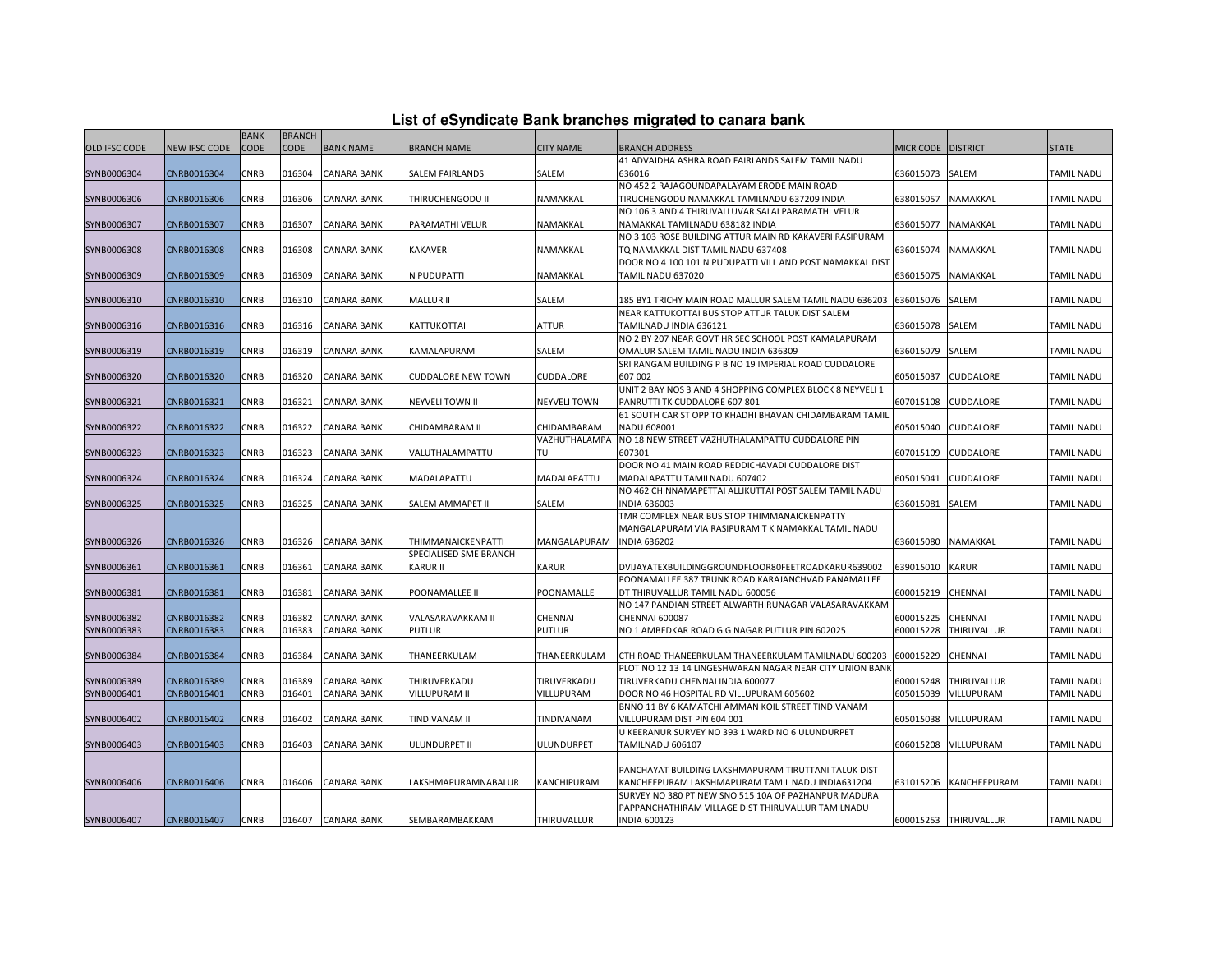|  |  | List of eSyndicate Bank branches migrated to canara bank |  |  |  |
|--|--|----------------------------------------------------------|--|--|--|
|  |  |                                                          |  |  |  |

|                      | List of eSyndicate Bank branches migrated to canara bank |             |               |                    |                           |                     |                                                                                                          |                      |                       |                   |  |  |  |
|----------------------|----------------------------------------------------------|-------------|---------------|--------------------|---------------------------|---------------------|----------------------------------------------------------------------------------------------------------|----------------------|-----------------------|-------------------|--|--|--|
|                      |                                                          | <b>BANK</b> | <b>BRANCH</b> |                    |                           |                     |                                                                                                          |                      |                       |                   |  |  |  |
| <b>OLD IFSC CODE</b> | NEW IFSC CODE                                            | <b>CODE</b> | <b>CODE</b>   | <b>BANK NAME</b>   | <b>BRANCH NAME</b>        | <b>CITY NAME</b>    | <b>BRANCH ADDRESS</b>                                                                                    | MICR CODE   DISTRICT |                       | <b>STATE</b>      |  |  |  |
|                      |                                                          |             |               |                    |                           |                     | 41 ADVAIDHA ASHRA ROAD FAIRLANDS SALEM TAMIL NADU                                                        |                      |                       |                   |  |  |  |
| SYNB0006304          | CNRB0016304                                              | CNRB        | 016304        | <b>CANARA BANK</b> | SALEM FAIRLANDS           | SALEM               | 636016                                                                                                   | 636015073            | SALEM                 | <b>TAMIL NADU</b> |  |  |  |
|                      |                                                          |             |               |                    |                           |                     | NO 452 2 RAJAGOUNDAPALAYAM ERODE MAIN ROAD                                                               |                      |                       |                   |  |  |  |
| SYNB0006306          | CNRB0016306                                              | CNRB        | 016306        | <b>CANARA BANK</b> | THIRUCHENGODU II          | NAMAKKAL            | TIRUCHENGODU NAMAKKAL TAMILNADU 637209 INDIA                                                             | 638015057            | NAMAKKAL              | <b>TAMIL NADU</b> |  |  |  |
|                      |                                                          |             |               |                    |                           |                     | NO 106 3 AND 4 THIRUVALLUVAR SALAI PARAMATHI VELUR                                                       |                      |                       |                   |  |  |  |
| SYNB0006307          | CNRB0016307                                              | CNRB        | 016307        | <b>CANARA BANK</b> | PARAMATHI VELUR           | NAMAKKAL            | NAMAKKAL TAMILNADU 638182 INDIA                                                                          | 636015077            | NAMAKKAL              | TAMIL NADU        |  |  |  |
|                      |                                                          |             |               |                    |                           |                     | NO 3 103 ROSE BUILDING ATTUR MAIN RD KAKAVERI RASIPURAM                                                  |                      |                       |                   |  |  |  |
| SYNB0006308          | CNRB0016308                                              | CNRB        | 016308        | <b>CANARA BANK</b> | KAKAVERI                  | NAMAKKAL            | TQ NAMAKKAL DIST TAMIL NADU 637408                                                                       | 636015074            | NAMAKKAL              | TAMIL NADU        |  |  |  |
|                      |                                                          |             |               |                    |                           |                     | DOOR NO 4 100 101 N PUDUPATTI VILL AND POST NAMAKKAL DIST                                                |                      |                       |                   |  |  |  |
| SYNB0006309          | CNRB0016309                                              | CNRB        | 016309        | <b>CANARA BANK</b> | N PUDUPATTI               | NAMAKKAL            | TAMIL NADU 637020                                                                                        | 636015075            | NAMAKKAL              | <b>TAMIL NADU</b> |  |  |  |
|                      |                                                          |             |               |                    |                           |                     |                                                                                                          |                      |                       |                   |  |  |  |
| SYNB0006310          | CNRB0016310                                              | CNRB        | 016310        | <b>CANARA BANK</b> | MALLUR II                 | SALEM               | 185 BY1 TRICHY MAIN ROAD MALLUR SALEM TAMIL NADU 636203                                                  | 636015076            | SALEM                 | <b>TAMIL NADU</b> |  |  |  |
|                      |                                                          |             |               |                    |                           |                     | NEAR KATTUKOTTAI BUS STOP ATTUR TALUK DIST SALEM                                                         |                      |                       |                   |  |  |  |
| SYNB0006316          | CNRB0016316                                              | CNRB        | 016316        | <b>CANARA BANK</b> | KATTUKOTTAI               | ATTUR               | TAMILNADU INDIA 636121                                                                                   | 636015078            | SALEM                 | TAMIL NADU        |  |  |  |
|                      |                                                          |             |               |                    |                           |                     | NO 2 BY 207 NEAR GOVT HR SEC SCHOOL POST KAMALAPURAM                                                     |                      |                       |                   |  |  |  |
| SYNB0006319          | CNRB0016319                                              | CNRB        | 016319        | <b>CANARA BANK</b> | KAMALAPURAM               | SALEM               | OMALUR SALEM TAMIL NADU INDIA 636309                                                                     | 636015079            | SALEM                 | <b>TAMIL NADU</b> |  |  |  |
|                      |                                                          |             |               |                    |                           |                     | SRI RANGAM BUILDING P B NO 19 IMPERIAL ROAD CUDDALORE                                                    |                      |                       |                   |  |  |  |
| SYNB0006320          | CNRB0016320                                              | CNRB        | 016320        | <b>CANARA BANK</b> | <b>CUDDALORE NEW TOWN</b> | CUDDALORE           | 607 002                                                                                                  | 605015037            | CUDDALORE             | <b>TAMIL NADU</b> |  |  |  |
|                      |                                                          |             |               |                    |                           |                     | UNIT 2 BAY NOS 3 AND 4 SHOPPING COMPLEX BLOCK 8 NEYVELI 1                                                |                      |                       |                   |  |  |  |
| SYNB0006321          | CNRB0016321                                              | CNRB        | 016321        | <b>CANARA BANK</b> | <b>NEYVELI TOWN II</b>    | <b>NEYVELI TOWN</b> | PANRUTTI TK CUDDALORE 607 801                                                                            | 607015108            | CUDDALORE             | TAMIL NADU        |  |  |  |
|                      |                                                          |             |               |                    |                           |                     | 61 SOUTH CAR ST OPP TO KHADHI BHAVAN CHIDAMBARAM TAMIL                                                   |                      |                       |                   |  |  |  |
| SYNB0006322          | CNRB0016322                                              | CNRB        | 016322        | <b>CANARA BANK</b> | CHIDAMBARAM II            | CHIDAMBARAM         | NADU 608001                                                                                              | 605015040            | CUDDALORE             | <b>TAMIL NADU</b> |  |  |  |
|                      |                                                          |             |               |                    |                           | VAZHUTHALAMPA       | NO 18 NEW STREET VAZHUTHALAMPATTU CUDDALORE PIN                                                          |                      |                       |                   |  |  |  |
| SYNB0006323          | CNRB0016323                                              | CNRB        | 016323        | <b>CANARA BANK</b> | VALUTHALAMPATTU           | TU                  | 607301                                                                                                   | 607015109            | CUDDALORE             | <b>TAMIL NADU</b> |  |  |  |
|                      |                                                          |             |               |                    |                           |                     | DOOR NO 41 MAIN ROAD REDDICHAVADI CUDDALORE DIST                                                         |                      |                       |                   |  |  |  |
| SYNB0006324          | CNRB0016324                                              | CNRB        | 016324        | <b>CANARA BANK</b> | MADALAPATTU               | MADALAPATTU         | MADALAPATTU TAMILNADU 607402                                                                             | 605015041            | CUDDALORE             | TAMIL NADU        |  |  |  |
|                      |                                                          |             |               |                    |                           |                     | NO 462 CHINNAMAPETTAI ALLIKUTTAI POST SALEM TAMIL NADU                                                   |                      |                       |                   |  |  |  |
| SYNB0006325          | CNRB0016325                                              | CNRB        | 016325        | <b>CANARA BANK</b> | SALEM AMMAPET II          | SALEM               | <b>INDIA 636003</b>                                                                                      | 636015081            | SALEM                 | <b>TAMIL NADU</b> |  |  |  |
|                      |                                                          |             |               |                    |                           |                     | TMR COMPLEX NEAR BUS STOP THIMMANAICKENPATTY                                                             |                      |                       |                   |  |  |  |
|                      | CNRB0016326                                              | CNRB        | 016326        | <b>CANARA BANK</b> | THIMMANAICKENPATTI        | MANGALAPURAM        | MANGALAPURAM VIA RASIPURAM T K NAMAKKAL TAMIL NADU<br><b>INDIA 636202</b>                                | 636015080            | NAMAKKAL              | <b>TAMIL NADU</b> |  |  |  |
| SYNB0006326          |                                                          |             |               |                    | SPECIALISED SME BRANCH    |                     |                                                                                                          |                      |                       |                   |  |  |  |
|                      |                                                          |             |               |                    |                           |                     |                                                                                                          |                      |                       |                   |  |  |  |
| SYNB0006361          | CNRB0016361                                              | CNRB        | 016361        | <b>CANARA BANK</b> | KARUR II                  | <b>KARUR</b>        | DVIJAYATEXBUILDINGGROUNDFLOOR80FEETROADKARUR639002<br>POONAMALLEE 387 TRUNK ROAD KARAJANCHVAD PANAMALLEE | 639015010            | <b>KARUR</b>          | <b>TAMIL NADU</b> |  |  |  |
| SYNB0006381          | CNRB0016381                                              | CNRB        | 016381        | <b>CANARA BANK</b> | POONAMALLEE II            | POONAMALLE          | DT THIRUVALLUR TAMIL NADU 600056                                                                         | 600015219            | CHENNAI               | TAMIL NADU        |  |  |  |
|                      |                                                          |             |               |                    |                           |                     | NO 147 PANDIAN STREET ALWARTHIRUNAGAR VALASARAVAKKAM                                                     |                      |                       |                   |  |  |  |
| SYNB0006382          | CNRB0016382                                              | CNRB        | 016382        | <b>CANARA BANK</b> | VALASARAVAKKAM II         | CHENNAI             | <b>CHENNAI 600087</b>                                                                                    | 600015225            | CHENNAI               | TAMIL NADU        |  |  |  |
| SYNB0006383          | CNRB0016383                                              | CNRB        | 016383        | <b>CANARA BANK</b> | PUTLUR                    | PUTLUR              | NO 1 AMBEDKAR ROAD G G NAGAR PUTLUR PIN 602025                                                           | 600015228            | THIRUVALLUR           | TAMIL NADU        |  |  |  |
|                      |                                                          |             |               |                    |                           |                     |                                                                                                          |                      |                       |                   |  |  |  |
| SYNB0006384          | CNRB0016384                                              | CNRB        | 016384        | <b>CANARA BANK</b> | THANEERKULAM              | THANEERKULAM        | CTH ROAD THANEERKULAM THANEERKULAM TAMILNADU 600203                                                      | 600015229            | CHENNAI               | <b>TAMIL NADU</b> |  |  |  |
|                      |                                                          |             |               |                    |                           |                     | PLOT NO 12 13 14 LINGESHWARAN NAGAR NEAR CITY UNION BANK                                                 |                      |                       |                   |  |  |  |
| SYNB0006389          | CNRB0016389                                              | CNRB        | 016389        | <b>CANARA BANK</b> | THIRUVERKADU              | TIRUVERKADU         | TIRUVERKADU CHENNAI INDIA 600077                                                                         | 600015248            | THIRUVALLUR           | <b>TAMIL NADU</b> |  |  |  |
| SYNB0006401          | CNRB0016401                                              | CNRB        | 016401        | <b>CANARA BANK</b> | VILLUPURAM II             | VILLUPURAM          | DOOR NO 46 HOSPITAL RD VILLUPURAM 605602                                                                 | 605015039            | VILLUPURAM            | TAMIL NADU        |  |  |  |
|                      |                                                          |             |               |                    |                           |                     | BNNO 11 BY 6 KAMATCHI AMMAN KOIL STREET TINDIVANAM                                                       |                      |                       |                   |  |  |  |
| SYNB0006402          | CNRB0016402                                              | CNRB        | 016402        | <b>CANARA BANK</b> | TINDIVANAM II             | TINDIVANAM          | VILLUPURAM DIST PIN 604 001                                                                              | 605015038            | VILLUPURAM            | <b>TAMIL NADU</b> |  |  |  |
|                      |                                                          |             |               |                    |                           |                     | U KEERANUR SURVEY NO 393 1 WARD NO 6 ULUNDURPET                                                          |                      |                       |                   |  |  |  |
| SYNB0006403          | CNRB0016403                                              | CNRB        | 016403        | <b>CANARA BANK</b> | ULUNDURPET II             | ULUNDURPET          | TAMILNADU 606107                                                                                         | 606015208            | VILLUPURAM            | TAMIL NADU        |  |  |  |
|                      |                                                          |             |               |                    |                           |                     |                                                                                                          |                      |                       |                   |  |  |  |
|                      |                                                          |             |               |                    |                           |                     | PANCHAYAT BUILDING LAKSHMAPURAM TIRUTTANI TALUK DIST                                                     |                      |                       |                   |  |  |  |
| SYNB0006406          | CNRB0016406                                              | CNRB        | 016406        | <b>CANARA BANK</b> | LAKSHMAPURAMNABALUR       | KANCHIPURAM         | KANCHEEPURAM LAKSHMAPURAM TAMIL NADU INDIA631204                                                         | 631015206            | KANCHEEPURAM          | <b>TAMIL NADU</b> |  |  |  |
|                      |                                                          |             |               |                    |                           |                     | SURVEY NO 380 PT NEW SNO 515 10A OF PAZHANPUR MADURA                                                     |                      |                       |                   |  |  |  |
|                      |                                                          |             |               |                    |                           |                     | PAPPANCHATHIRAM VILLAGE DIST THIRUVALLUR TAMILNADU                                                       |                      |                       |                   |  |  |  |
| SYNB0006407          | CNRB0016407                                              | <b>CNRB</b> |               | 016407 CANARA BANK | SEMBARAMBAKKAM            | THIRUVALLUR         | <b>INDIA 600123</b>                                                                                      |                      | 600015253 THIRUVALLUR | <b>TAMIL NADU</b> |  |  |  |
|                      |                                                          |             |               |                    |                           |                     |                                                                                                          |                      |                       |                   |  |  |  |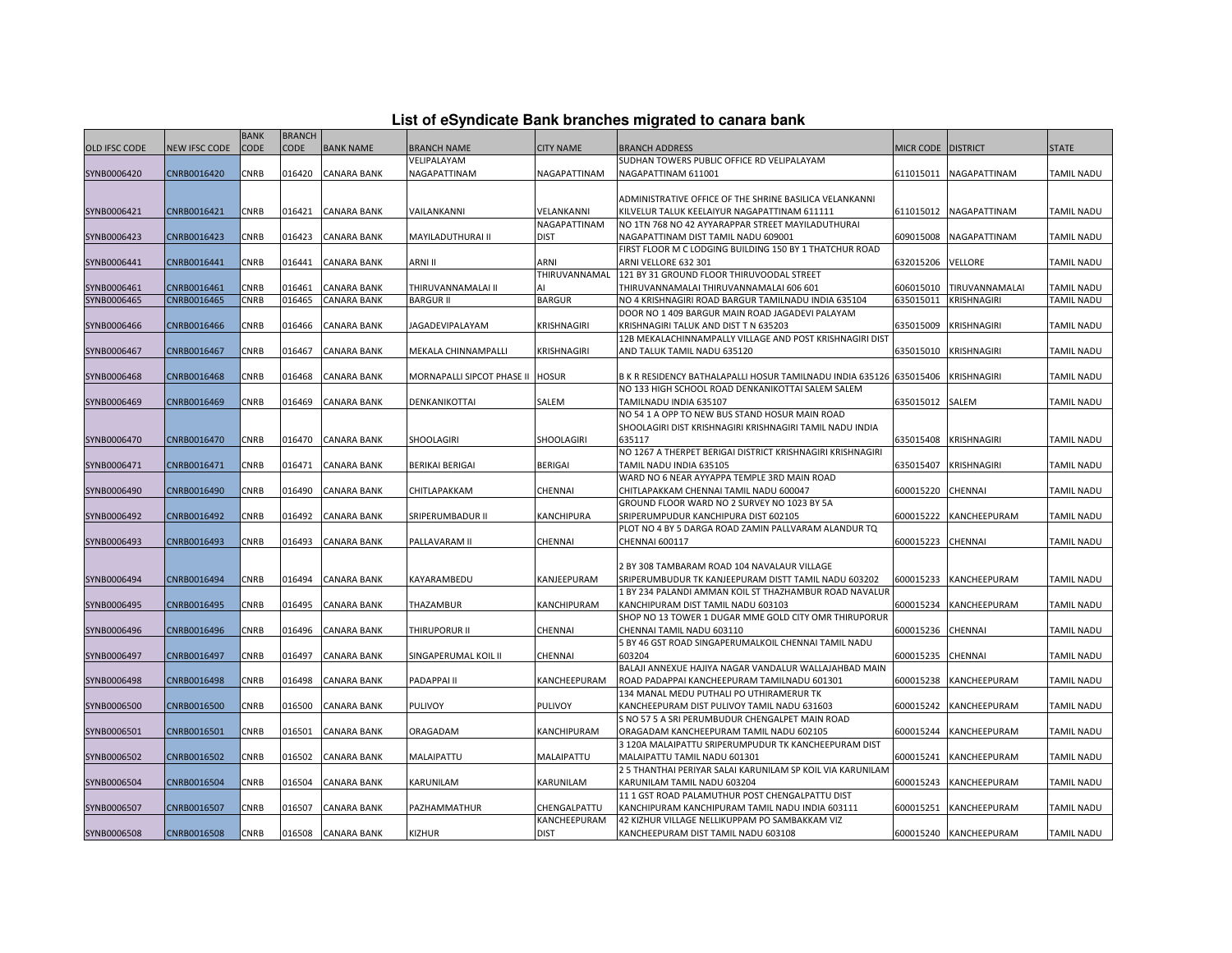| List of eSyndicate Bank branches migrated to canara bank |  |  |  |  |  |  |
|----------------------------------------------------------|--|--|--|--|--|--|
|----------------------------------------------------------|--|--|--|--|--|--|

| List of eSyndicate Bank branches migrated to canara bank |                      |             |               |                    |                                  |                    |                                                                     |                    |                        |                   |  |  |
|----------------------------------------------------------|----------------------|-------------|---------------|--------------------|----------------------------------|--------------------|---------------------------------------------------------------------|--------------------|------------------------|-------------------|--|--|
|                                                          |                      | <b>BANK</b> | <b>BRANCH</b> |                    |                                  |                    |                                                                     |                    |                        |                   |  |  |
| OLD IFSC CODE                                            | <b>NEW IFSC CODE</b> | <b>CODE</b> | <b>CODE</b>   | <b>BANK NAME</b>   | <b>BRANCH NAME</b>               | <b>CITY NAME</b>   | <b>BRANCH ADDRESS</b>                                               | MICR CODE DISTRICT |                        | <b>STATE</b>      |  |  |
|                                                          |                      |             |               |                    | VELIPALAYAM                      |                    | SUDHAN TOWERS PUBLIC OFFICE RD VELIPALAYAM                          |                    |                        |                   |  |  |
| SYNB0006420                                              | CNRB0016420          | CNRB        | 016420        | <b>CANARA BANK</b> | NAGAPATTINAM                     | NAGAPATTINAM       | NAGAPATTINAM 611001                                                 | 611015011          | NAGAPATTINAM           | TAMIL NADU        |  |  |
|                                                          |                      |             |               |                    |                                  |                    |                                                                     |                    |                        |                   |  |  |
|                                                          |                      |             |               |                    |                                  |                    | ADMINISTRATIVE OFFICE OF THE SHRINE BASILICA VELANKANNI             |                    |                        |                   |  |  |
| SYNB0006421                                              | CNRB0016421          | <b>CNRB</b> | 016421        | <b>CANARA BANK</b> | VAILANKANNI                      | VELANKANNI         | KILVELUR TALUK KEELAIYUR NAGAPATTINAM 611111                        | 611015012          | NAGAPATTINAM           | <b>TAMIL NADU</b> |  |  |
|                                                          |                      |             |               |                    |                                  | NAGAPATTINAM       | NO 1TN 768 NO 42 AYYARAPPAR STREET MAYILADUTHURAI                   |                    |                        |                   |  |  |
| SYNB0006423                                              | CNRB0016423          | CNRB        | 016423        | <b>CANARA BANK</b> | MAYILADUTHURAI II                | <b>DIST</b>        | NAGAPATTINAM DIST TAMIL NADU 609001                                 | 609015008          | NAGAPATTINAM           | <b>TAMIL NADU</b> |  |  |
|                                                          |                      |             |               |                    |                                  |                    | FIRST FLOOR M C LODGING BUILDING 150 BY 1 THATCHUR ROAD             |                    |                        |                   |  |  |
| SYNB0006441                                              | CNRB0016441          | CNRB        | 016441        | <b>CANARA BANK</b> | ARNI II                          | ARNI               | ARNI VELLORE 632 301                                                | 632015206          | VELLORE                | TAMIL NADU        |  |  |
|                                                          |                      |             |               |                    |                                  | THIRUVANNAMAL      | 121 BY 31 GROUND FLOOR THIRUVOODAL STREET                           |                    |                        |                   |  |  |
| SYNB0006461                                              | CNRB0016461          | CNRB        | 016461        | <b>CANARA BANK</b> | THIRUVANNAMALAI II               |                    | THIRUVANNAMALAI THIRUVANNAMALAI 606 601                             | 606015010          | TIRUVANNAMALAI         | <b>TAMIL NADU</b> |  |  |
| SYNB0006465                                              | CNRB0016465          | CNRB        | 016465        | <b>CANARA BANK</b> | <b>BARGUR II</b>                 | <b>BARGUR</b>      | NO 4 KRISHNAGIRI ROAD BARGUR TAMILNADU INDIA 635104                 | 635015011          | KRISHNAGIRI            | TAMIL NADU        |  |  |
|                                                          |                      |             |               |                    |                                  |                    | DOOR NO 1 409 BARGUR MAIN ROAD JAGADEVI PALAYAM                     |                    |                        |                   |  |  |
| SYNB0006466                                              | CNRB0016466          | CNRB        | 016466        | <b>CANARA BANK</b> | JAGADEVIPALAYAM                  | <b>KRISHNAGIRI</b> | KRISHNAGIRI TALUK AND DIST T N 635203                               | 635015009          | KRISHNAGIRI            | TAMIL NADU        |  |  |
|                                                          |                      |             |               |                    |                                  |                    | 12B MEKALACHINNAMPALLY VILLAGE AND POST KRISHNAGIRI DIST            |                    |                        |                   |  |  |
| SYNB0006467                                              | CNRB0016467          | CNRB        | 016467        | <b>CANARA BANK</b> | MEKALA CHINNAMPALLI              | <b>KRISHNAGIRI</b> | AND TALUK TAMIL NADU 635120                                         | 635015010          | <b>KRISHNAGIRI</b>     | <b>TAMIL NADU</b> |  |  |
|                                                          |                      |             |               |                    |                                  |                    |                                                                     |                    |                        |                   |  |  |
| SYNB0006468                                              | CNRB0016468          | CNRB        | 016468        | <b>CANARA BANK</b> | MORNAPALLI SIPCOT PHASE II HOSUR |                    | B K R RESIDENCY BATHALAPALLI HOSUR TAMILNADU INDIA 635126 635015406 |                    | <b>KRISHNAGIRI</b>     | TAMIL NADU        |  |  |
|                                                          |                      |             |               |                    |                                  |                    | NO 133 HIGH SCHOOL ROAD DENKANIKOTTAI SALEM SALEM                   |                    |                        |                   |  |  |
|                                                          |                      |             |               |                    |                                  | SALEM              |                                                                     | 635015012          | SALEM                  | <b>TAMIL NADU</b> |  |  |
| SYNB0006469                                              | CNRB0016469          | CNRB        | 016469        | <b>CANARA BANK</b> | DENKANIKOTTAI                    |                    | TAMILNADU INDIA 635107                                              |                    |                        |                   |  |  |
|                                                          |                      |             |               |                    |                                  |                    | NO 54 1 A OPP TO NEW BUS STAND HOSUR MAIN ROAD                      |                    |                        |                   |  |  |
|                                                          |                      |             |               |                    |                                  |                    | SHOOLAGIRI DIST KRISHNAGIRI KRISHNAGIRI TAMIL NADU INDIA            |                    |                        |                   |  |  |
| SYNB0006470                                              | CNRB0016470          | <b>CNRB</b> | 016470        | <b>CANARA BANK</b> | SHOOLAGIRI                       | <b>SHOOLAGIRI</b>  | 635117                                                              | 635015408          | <b>KRISHNAGIRI</b>     | <b>TAMIL NADU</b> |  |  |
|                                                          |                      |             |               |                    |                                  |                    | NO 1267 A THERPET BERIGAI DISTRICT KRISHNAGIRI KRISHNAGIRI          |                    |                        |                   |  |  |
| SYNB0006471                                              | CNRB0016471          | CNRB        | 016471        | <b>CANARA BANK</b> | BERIKAI BERIGAI                  | <b>BERIGAI</b>     | TAMIL NADU INDIA 635105                                             | 635015407          | KRISHNAGIRI            | TAMIL NADU        |  |  |
|                                                          |                      |             |               |                    |                                  |                    | WARD NO 6 NEAR AYYAPPA TEMPLE 3RD MAIN ROAD                         |                    |                        |                   |  |  |
| SYNB0006490                                              | CNRB0016490          | CNRB        | 016490        | <b>CANARA BANK</b> | CHITLAPAKKAM                     | CHENNAI            | CHITLAPAKKAM CHENNAI TAMIL NADU 600047                              | 600015220          | CHENNAI                | TAMIL NADU        |  |  |
|                                                          |                      |             |               |                    |                                  |                    | GROUND FLOOR WARD NO 2 SURVEY NO 1023 BY 5A                         |                    |                        |                   |  |  |
| SYNB0006492                                              | CNRB0016492          | CNRB        | 016492        | <b>CANARA BANK</b> | SRIPERUMBADUR II                 | <b>KANCHIPURA</b>  | SRIPERUMPUDUR KANCHIPURA DIST 602105                                | 600015222          | KANCHEEPURAM           | <b>TAMIL NADU</b> |  |  |
|                                                          |                      |             |               |                    |                                  |                    | PLOT NO 4 BY 5 DARGA ROAD ZAMIN PALLVARAM ALANDUR TQ                |                    |                        |                   |  |  |
| SYNB0006493                                              | CNRB0016493          | CNRB        | 016493        | <b>CANARA BANK</b> | PALLAVARAM II                    | CHENNAI            | CHENNAI 600117                                                      | 600015223          | CHENNAI                | TAMIL NADU        |  |  |
|                                                          |                      |             |               |                    |                                  |                    |                                                                     |                    |                        |                   |  |  |
|                                                          |                      |             |               |                    |                                  |                    | 2 BY 308 TAMBARAM ROAD 104 NAVALAUR VILLAGE                         |                    |                        |                   |  |  |
| SYNB0006494                                              | CNRB0016494          | <b>CNRB</b> | 016494        | <b>CANARA BANK</b> | KAYARAMBEDU                      | KANJEEPURAM        | SRIPERUMBUDUR TK KANJEEPURAM DISTT TAMIL NADU 603202                | 600015233          | KANCHEEPURAM           | <b>TAMIL NADU</b> |  |  |
|                                                          |                      |             |               |                    |                                  |                    | 1 BY 234 PALANDI AMMAN KOIL ST THAZHAMBUR ROAD NAVALUR              |                    |                        |                   |  |  |
| SYNB0006495                                              | CNRB0016495          | CNRB        | 016495        | <b>CANARA BANK</b> | THAZAMBUR                        | KANCHIPURAM        | KANCHIPURAM DIST TAMIL NADU 603103                                  | 600015234          | KANCHEEPURAM           | <b>TAMIL NADU</b> |  |  |
|                                                          |                      |             |               |                    |                                  |                    | SHOP NO 13 TOWER 1 DUGAR MME GOLD CITY OMR THIRUPORUR               |                    |                        |                   |  |  |
| SYNB0006496                                              | CNRB0016496          | CNRB        | 016496        | <b>CANARA BANK</b> | THIRUPORUR II                    | CHENNAI            | CHENNAI TAMIL NADU 603110                                           | 600015236          | CHENNAI                | TAMIL NADU        |  |  |
|                                                          |                      |             |               |                    |                                  |                    | 5 BY 46 GST ROAD SINGAPERUMALKOIL CHENNAI TAMIL NADU                |                    |                        |                   |  |  |
| SYNB0006497                                              | CNRB0016497          | CNRB        | 016497        | <b>CANARA BANK</b> | SINGAPERUMAL KOIL II             | <b>CHENNAI</b>     | 603204                                                              | 600015235          | CHENNAI                | TAMIL NADU        |  |  |
|                                                          |                      |             |               |                    |                                  |                    | BALAJI ANNEXUE HAJIYA NAGAR VANDALUR WALLAJAHBAD MAIN               |                    |                        |                   |  |  |
| SYNB0006498                                              | CNRB0016498          | CNRB        | 016498        | <b>CANARA BANK</b> | PADAPPAI II                      | KANCHEEPURAM       | ROAD PADAPPAI KANCHEEPURAM TAMILNADU 601301                         | 600015238          | KANCHEEPURAM           | TAMIL NADU        |  |  |
|                                                          |                      |             |               |                    |                                  |                    | 134 MANAL MEDU PUTHALI PO UTHIRAMERUR TK                            |                    |                        |                   |  |  |
| SYNB0006500                                              | CNRB0016500          | CNRB        | 016500        | <b>CANARA BANK</b> | <b>PULIVOY</b>                   | <b>PULIVOY</b>     | KANCHEEPURAM DIST PULIVOY TAMIL NADU 631603                         | 500015242          | KANCHEEPURAM           | <b>TAMIL NADU</b> |  |  |
|                                                          |                      |             |               |                    |                                  |                    | S NO 57 5 A SRI PERUMBUDUR CHENGALPET MAIN ROAD                     |                    |                        |                   |  |  |
| SYNB0006501                                              | CNRB0016501          | CNRB        | 016501        | <b>CANARA BANK</b> | ORAGADAM                         | KANCHIPURAM        | ORAGADAM KANCHEEPURAM TAMIL NADU 602105                             | 600015244          | KANCHEEPURAM           | TAMIL NADU        |  |  |
|                                                          |                      |             |               |                    |                                  |                    | 3 120A MALAIPATTU SRIPERUMPUDUR TK KANCHEEPURAM DIST                |                    |                        |                   |  |  |
| SYNB0006502                                              | CNRB0016502          | CNRB        | 016502        | <b>CANARA BANK</b> | MALAIPATTU                       | MALAIPATTU         | MALAIPATTU TAMIL NADU 601301                                        | 600015241          | KANCHEEPURAM           | TAMIL NADU        |  |  |
|                                                          |                      |             |               |                    |                                  |                    | 2 5 THANTHAI PERIYAR SALAI KARUNILAM SP KOIL VIA KARUNILAM          |                    |                        |                   |  |  |
| SYNB0006504                                              | CNRB0016504          | CNRB        | 016504        | <b>CANARA BANK</b> | KARUNILAM                        | KARUNILAM          | KARUNILAM TAMIL NADU 603204                                         | 600015243          | KANCHEEPURAM           | <b>TAMIL NADU</b> |  |  |
|                                                          |                      |             |               |                    |                                  |                    | 11 1 GST ROAD PALAMUTHUR POST CHENGALPATTU DIST                     |                    |                        |                   |  |  |
|                                                          | CNRB0016507          | CNRB        | 016507        | <b>CANARA BANK</b> | PAZHAMMATHUR                     | CHENGALPATTU       | KANCHIPURAM KANCHIPURAM TAMIL NADU INDIA 603111                     | 600015251          | KANCHEEPURAM           | <b>TAMIL NADU</b> |  |  |
| SYNB0006507                                              |                      |             |               |                    |                                  | KANCHEEPURAM       | 42 KIZHUR VILLAGE NELLIKUPPAM PO SAMBAKKAM VIZ                      |                    |                        |                   |  |  |
|                                                          |                      |             |               |                    |                                  |                    |                                                                     |                    |                        |                   |  |  |
| SYNB0006508                                              | CNRB0016508          | <b>CNRB</b> |               | 016508 CANARA BANK | <b>KIZHUR</b>                    | <b>DIST</b>        | KANCHEEPURAM DIST TAMIL NADU 603108                                 |                    | 600015240 KANCHEEPURAM | <b>TAMIL NADU</b> |  |  |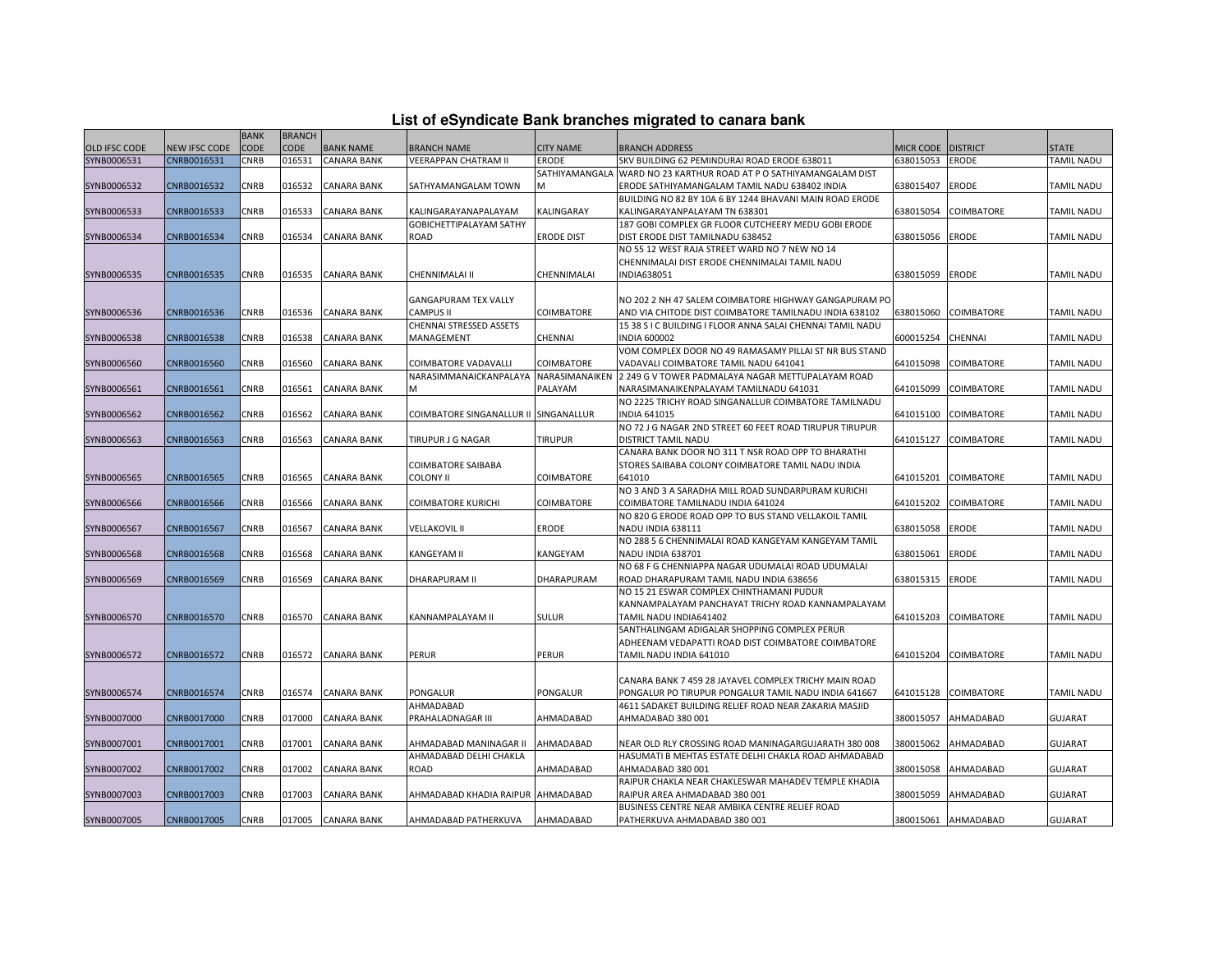|  |  |  | List of eSyndicate Bank branches migrated to canara bank |  |  |
|--|--|--|----------------------------------------------------------|--|--|
|  |  |  |                                                          |  |  |

|               |                      | <b>BANK</b> | <b>BRANCH</b> |                    |                                       |                   |                                                                     |                 |                      |                   |
|---------------|----------------------|-------------|---------------|--------------------|---------------------------------------|-------------------|---------------------------------------------------------------------|-----------------|----------------------|-------------------|
| OLD IFSC CODE | <b>NEW IFSC CODE</b> | CODE        | <b>CODE</b>   | <b>BANK NAME</b>   | <b>BRANCH NAME</b>                    | <b>CITY NAME</b>  | <b>BRANCH ADDRESS</b>                                               | MICR CODE       | <b>DISTRICT</b>      | <b>STATE</b>      |
| SYNB0006531   | CNRB0016531          | CNRB        | 016531        | <b>CANARA BANK</b> | VEERAPPAN CHATRAM II                  | ERODE             | SKV BUILDING 62 PEMINDURAI ROAD ERODE 638011                        | 638015053       | <b>ERODE</b>         | TAMIL NADU        |
|               |                      |             |               |                    |                                       |                   | SATHIYAMANGALA  WARD NO 23 KARTHUR ROAD AT P O SATHIYAMANGALAM DIST |                 |                      |                   |
| SYNB0006532   | CNRB0016532          | CNRB        | 016532        | CANARA BANK        | SATHYAMANGALAM TOWN                   | M                 | ERODE SATHIYAMANGALAM TAMIL NADU 638402 INDIA                       | 638015407       | <b>ERODE</b>         | <b>TAMIL NADU</b> |
|               |                      |             |               |                    |                                       |                   | BUILDING NO 82 BY 10A 6 BY 1244 BHAVANI MAIN ROAD ERODE             |                 |                      |                   |
| SYNB0006533   | CNRB0016533          | CNRB        | 016533        | <b>CANARA BANK</b> | KALINGARAYANAPALAYAM                  | KALINGARAY        | KALINGARAYANPALAYAM TN 638301                                       | 638015054       | COIMBATORE           | <b>TAMIL NADU</b> |
|               |                      |             |               |                    | GOBICHETTIPALAYAM SATHY               |                   | 187 GOBI COMPLEX GR FLOOR CUTCHEERY MEDU GOBI ERODE                 |                 |                      |                   |
| SYNB0006534   | CNRB0016534          | CNRB        | 016534        | <b>CANARA BANK</b> | ROAD                                  | <b>ERODE DIST</b> | DIST ERODE DIST TAMILNADU 638452                                    | 638015056 ERODE |                      | <b>TAMIL NADU</b> |
|               |                      |             |               |                    |                                       |                   | NO 55 12 WEST RAJA STREET WARD NO 7 NEW NO 14                       |                 |                      |                   |
|               |                      |             |               |                    |                                       |                   | CHENNIMALAI DIST ERODE CHENNIMALAI TAMIL NADU                       |                 |                      |                   |
| SYNB0006535   | CNRB0016535          | CNRB        | 016535        | <b>CANARA BANK</b> | CHENNIMALAI II                        | CHENNIMALAI       | INDIA638051                                                         | 638015059       | <b>ERODE</b>         | <b>TAMIL NADU</b> |
|               |                      |             |               |                    |                                       |                   |                                                                     |                 |                      |                   |
|               |                      |             |               |                    | <b>GANGAPURAM TEX VALLY</b>           |                   | NO 202 2 NH 47 SALEM COIMBATORE HIGHWAY GANGAPURAM PO               |                 |                      |                   |
| SYNB0006536   | CNRB0016536          | <b>CNRB</b> | 016536        | <b>CANARA BANK</b> | CAMPUS II                             | COIMBATORE        | AND VIA CHITODE DIST COIMBATORE TAMILNADU INDIA 638102              | 638015060       | <b>COIMBATORE</b>    | <b>TAMIL NADU</b> |
|               |                      |             |               |                    | <b>CHENNAI STRESSED ASSETS</b>        |                   | 15 38 S I C BUILDING I FLOOR ANNA SALAI CHENNAI TAMIL NADU          |                 |                      |                   |
| SYNB0006538   | CNRB0016538          | CNRB        | 016538        | <b>CANARA BANK</b> | MANAGEMENT                            | CHENNAI           | <b>INDIA 600002</b>                                                 | 600015254       | CHENNAI              | <b>TAMIL NADU</b> |
|               |                      |             |               |                    |                                       |                   | VOM COMPLEX DOOR NO 49 RAMASAMY PILLAI ST NR BUS STAND              |                 |                      |                   |
| SYNB0006560   | CNRB0016560          | CNRB        | 016560        | <b>CANARA BANK</b> | COIMBATORE VADAVALLI                  | COIMBATORE        | VADAVALI COIMBATORE TAMIL NADU 641041                               | 641015098       | COIMBATORE           | <b>TAMIL NADU</b> |
|               |                      |             |               |                    | NARASIMMANAICKANPALAYA                |                   | NARASIMANAIKEN 2 249 G V TOWER PADMALAYA NAGAR METTUPALAYAM ROAD    |                 |                      |                   |
| SYNB0006561   | CNRB0016561          | CNRB        | 016561        | <b>CANARA BANK</b> | м                                     | PALAYAM           | NARASIMANAIKENPALAYAM TAMILNADU 641031                              | 641015099       | <b>COIMBATORE</b>    | <b>TAMIL NADU</b> |
|               |                      |             |               |                    |                                       |                   | NO 2225 TRICHY ROAD SINGANALLUR COIMBATORE TAMILNADU                |                 |                      |                   |
| SYNB0006562   | CNRB0016562          | CNRB        | 016562        | <b>CANARA BANK</b> | COIMBATORE SINGANALLUR II SINGANALLUR |                   | <b>INDIA 641015</b>                                                 | 641015100       | <b>COIMBATORE</b>    | <b>TAMIL NADU</b> |
|               |                      |             |               |                    |                                       |                   | NO 72 J G NAGAR 2ND STREET 60 FEET ROAD TIRUPUR TIRUPUR             |                 |                      |                   |
| SYNB0006563   | CNRB0016563          | CNRB        | 016563        | CANARA BANK        | TIRUPUR J G NAGAR                     | <b>TIRUPUR</b>    | <b>DISTRICT TAMIL NADU</b>                                          | 641015127       | <b>COIMBATORE</b>    | <b>TAMIL NADU</b> |
|               |                      |             |               |                    |                                       |                   | CANARA BANK DOOR NO 311 T NSR ROAD OPP TO BHARATHI                  |                 |                      |                   |
|               |                      |             |               |                    | COIMBATORE SAIBABA                    |                   | STORES SAIBABA COLONY COIMBATORE TAMIL NADU INDIA                   |                 |                      |                   |
| SYNB0006565   | CNRB0016565          | CNRB        | 016565        | <b>CANARA BANK</b> | COLONY II                             | COIMBATORE        | 641010                                                              | 641015201       | <b>COIMBATORE</b>    | <b>TAMIL NADU</b> |
|               |                      |             |               |                    |                                       |                   | NO 3 AND 3 A SARADHA MILL ROAD SUNDARPURAM KURICHI                  |                 |                      |                   |
| SYNB0006566   | CNRB0016566          | CNRB        | 016566        | CANARA BANK        | COIMBATORE KURICHI                    | COIMBATORE        | COIMBATORE TAMILNADU INDIA 641024                                   | 641015202       | COIMBATORE           | <b>TAMIL NADU</b> |
|               |                      |             |               |                    |                                       |                   | NO 820 G ERODE ROAD OPP TO BUS STAND VELLAKOIL TAMIL                |                 |                      |                   |
| SYNB0006567   | CNRB0016567          | CNRB        | 016567        | <b>CANARA BANK</b> | <b>VELLAKOVIL II</b>                  | <b>ERODE</b>      | NADU INDIA 638111                                                   | 638015058       | <b>ERODE</b>         | <b>TAMIL NADU</b> |
|               |                      |             |               |                    |                                       |                   | NO 288 5 6 CHENNIMALAI ROAD KANGEYAM KANGEYAM TAMIL                 |                 |                      |                   |
| SYNB0006568   | CNRB0016568          | CNRB        | 016568        | <b>CANARA BANK</b> | KANGEYAM II                           | KANGEYAM          | NADU INDIA 638701                                                   | 638015061       | <b>ERODE</b>         | <b>TAMIL NADU</b> |
|               |                      |             |               |                    |                                       |                   | NO 68 F G CHENNIAPPA NAGAR UDUMALAI ROAD UDUMALAI                   |                 |                      |                   |
| SYNB0006569   | CNRB0016569          | CNRB        | 016569        | <b>CANARA BANK</b> | <b>DHARAPURAM II</b>                  | DHARAPURAM        | ROAD DHARAPURAM TAMIL NADU INDIA 638656                             | 638015315       | <b>ERODE</b>         | <b>TAMIL NADU</b> |
|               |                      |             |               |                    |                                       |                   | NO 15 21 ESWAR COMPLEX CHINTHAMANI PUDUR                            |                 |                      |                   |
|               |                      |             |               |                    |                                       |                   | KANNAMPALAYAM PANCHAYAT TRICHY ROAD KANNAMPALAYAM                   |                 |                      |                   |
| SYNB0006570   | CNRB0016570          | CNRB        | 016570        | <b>CANARA BANK</b> | KANNAMPALAYAM II                      | <b>SULUR</b>      | TAMIL NADU INDIA641402                                              | 641015203       | <b>COIMBATORE</b>    | <b>TAMIL NADU</b> |
|               |                      |             |               |                    |                                       |                   | SANTHALINGAM ADIGALAR SHOPPING COMPLEX PERUR                        |                 |                      |                   |
|               |                      |             |               |                    |                                       |                   | ADHEENAM VEDAPATTI ROAD DIST COIMBATORE COIMBATORE                  |                 |                      |                   |
| SYNB0006572   | CNRB0016572          | CNRB        | 016572        | <b>CANARA BANK</b> | PERUR                                 | <b>PERUR</b>      | TAMIL NADU INDIA 641010                                             | 641015204       | <b>COIMBATORE</b>    | <b>TAMIL NADU</b> |
|               |                      |             |               |                    |                                       |                   |                                                                     |                 |                      |                   |
|               |                      |             |               |                    |                                       |                   | CANARA BANK 7 459 28 JAYAVEL COMPLEX TRICHY MAIN ROAD               |                 |                      |                   |
| SYNB0006574   | CNRB0016574          | CNRB        | 016574        | <b>CANARA BANK</b> | PONGALUR                              | PONGALUR          | PONGALUR PO TIRUPUR PONGALUR TAMIL NADU INDIA 641667                |                 | 641015128 COIMBATORE | <b>TAMIL NADU</b> |
|               |                      |             |               |                    | AHMADABAD                             |                   | 4611 SADAKET BUILDING RELIEF ROAD NEAR ZAKARIA MASJID               |                 |                      |                   |
| SYNB0007000   | CNRB0017000          | CNRB        | 017000        | <b>CANARA BANK</b> | PRAHALADNAGAR III                     | AHMADABAD         | AHMADABAD 380 001                                                   | 380015057       | AHMADABAD            | <b>GUJARAT</b>    |
|               |                      |             |               |                    |                                       |                   |                                                                     |                 |                      |                   |
| SYNB0007001   | CNRB0017001          | CNRB        | 017001        | <b>CANARA BANK</b> | AHMADABAD MANINAGAR II                | AHMADABAD         | NEAR OLD RLY CROSSING ROAD MANINAGARGUJARATH 380 008                | 380015062       | AHMADABAD            | <b>GUJARAT</b>    |
|               |                      |             |               |                    | AHMADABAD DELHI CHAKLA                |                   | HASUMATI B MEHTAS ESTATE DELHI CHAKLA ROAD AHMADABAD                |                 |                      |                   |
| SYNB0007002   | CNRB0017002          | CNRB        | 017002        | <b>CANARA BANK</b> | ROAD                                  | AHMADABAD         | AHMADABAD 380 001                                                   | 380015058       | AHMADABAD            | <b>GUJARAT</b>    |
|               |                      |             |               |                    |                                       |                   | RAIPUR CHAKLA NEAR CHAKLESWAR MAHADEV TEMPLE KHADIA                 |                 |                      |                   |
| SYNB0007003   | CNRB0017003          | CNRB        | 017003        | <b>CANARA BANK</b> | AHMADABAD KHADIA RAIPUR AHMADABAD     |                   | RAIPUR AREA AHMADABAD 380 001                                       | 380015059       | AHMADABAD            | <b>GUJARAT</b>    |
|               |                      |             |               |                    |                                       |                   | BUSINESS CENTRE NEAR AMBIKA CENTRE RELIEF ROAD                      |                 |                      |                   |
| SYNB0007005   | CNRB0017005          | <b>CNRB</b> |               | 017005 CANARA BANK | AHMADABAD PATHERKUVA                  | AHMADABAD         | PATHERKUVA AHMADABAD 380 001                                        |                 | 380015061 AHMADABAD  | <b>GUJARAT</b>    |
|               |                      |             |               |                    |                                       |                   |                                                                     |                 |                      |                   |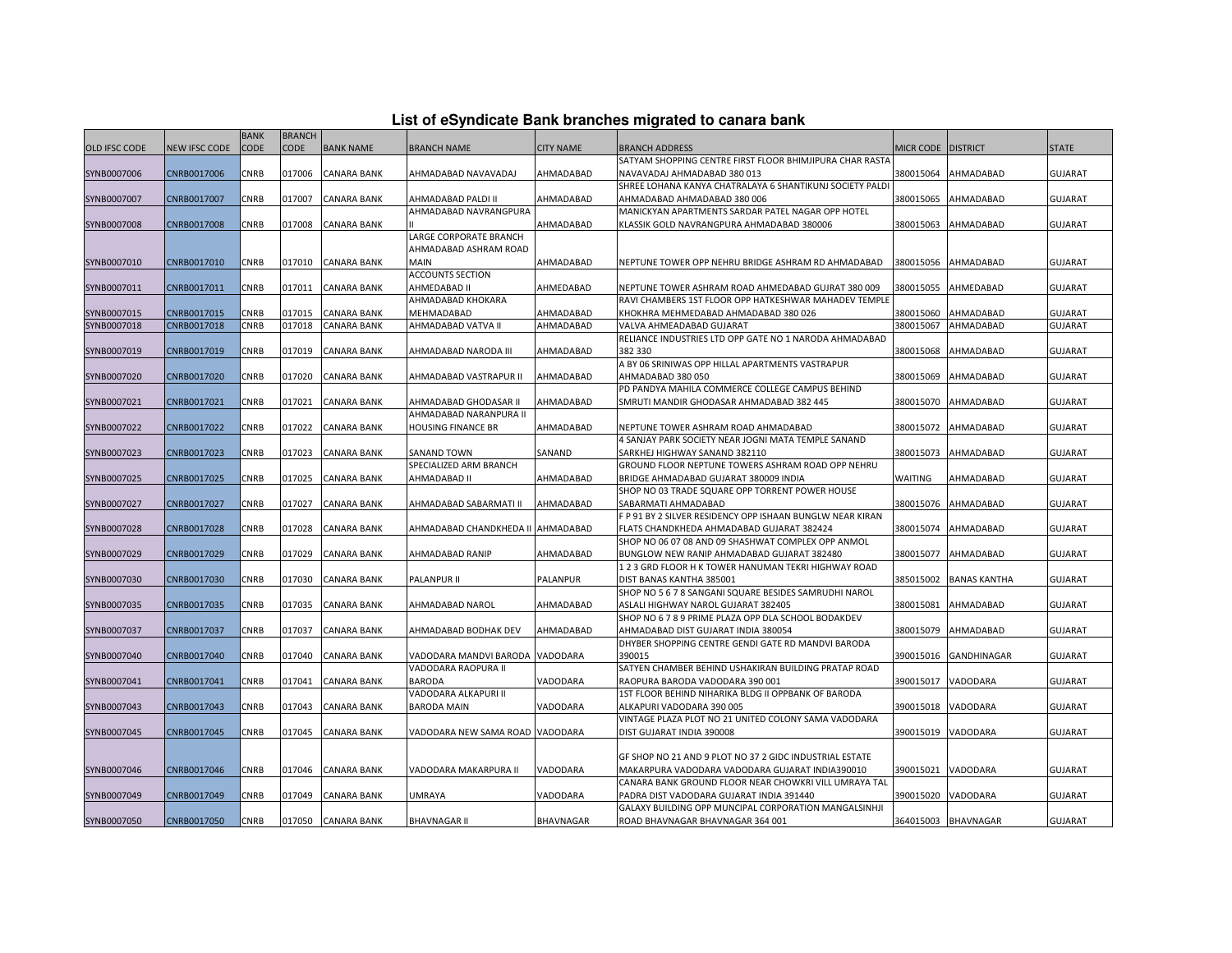|  |  | List of eSyndicate Bank branches migrated to canara bank |  |
|--|--|----------------------------------------------------------|--|
|--|--|----------------------------------------------------------|--|

|               |                            | <b>BANK</b>         | <b>BRANCH</b>    |                                          |                                   |                        |                                                                                            |                        |                        |                                  |
|---------------|----------------------------|---------------------|------------------|------------------------------------------|-----------------------------------|------------------------|--------------------------------------------------------------------------------------------|------------------------|------------------------|----------------------------------|
| OLD IFSC CODE | NEW IFSC CODE              | <b>CODE</b>         | CODE             | <b>BANK NAME</b>                         | <b>BRANCH NAME</b>                | <b>CITY NAME</b>       | BRANCH ADDRESS                                                                             | MICR CODE   DISTRICT   |                        | <b>STATE</b>                     |
|               |                            |                     |                  |                                          |                                   |                        | SATYAM SHOPPING CENTRE FIRST FLOOR BHIMJIPURA CHAR RASTA                                   |                        |                        |                                  |
| SYNB0007006   | CNRB0017006                | CNRB                | 017006           | <b>CANARA BANK</b>                       | AHMADABAD NAVAVADAJ               | AHMADABAD              | NAVAVADAJ AHMADABAD 380 013                                                                | 380015064              | AHMADABAD              | <b>GUJARAT</b>                   |
|               |                            |                     |                  |                                          |                                   |                        | SHREE LOHANA KANYA CHATRALAYA 6 SHANTIKUNJ SOCIETY PALDI                                   |                        |                        |                                  |
| SYNB0007007   | CNRB0017007                | CNRB                | 017007           | <b>CANARA BANK</b>                       | AHMADABAD PALDI II                | AHMADABAD              | AHMADABAD AHMADABAD 380 006                                                                | 380015065              | AHMADABAD              | <b>GUJARAT</b>                   |
|               |                            |                     |                  |                                          | AHMADABAD NAVRANGPURA             |                        | MANICKYAN APARTMENTS SARDAR PATEL NAGAR OPP HOTEL                                          |                        |                        |                                  |
| SYNB0007008   | CNRB0017008                | CNRB                | 017008           | <b>CANARA BANK</b>                       |                                   | AHMADABAD              | KLASSIK GOLD NAVRANGPURA AHMADABAD 380006                                                  | 380015063              | AHMADABAD              | <b>GUJARAT</b>                   |
|               |                            |                     |                  |                                          | LARGE CORPORATE BRANCH            |                        |                                                                                            |                        |                        |                                  |
|               |                            |                     |                  |                                          | AHMADABAD ASHRAM ROAD             |                        |                                                                                            |                        |                        |                                  |
| SYNB0007010   | CNRB0017010                | CNRB                | 017010           | <b>CANARA BANK</b>                       | <b>MAIN</b>                       | AHMADABAD              | NEPTUNE TOWER OPP NEHRU BRIDGE ASHRAM RD AHMADABAD                                         | 380015056              | AHMADABAD              | <b>GUJARAT</b>                   |
|               |                            |                     |                  |                                          | <b>ACCOUNTS SECTION</b>           |                        |                                                                                            |                        |                        |                                  |
| SYNB0007011   | CNRB0017011                | CNRB                | 017011           | <b>CANARA BANK</b>                       | AHMEDABAD II                      | AHMEDABAD              | NEPTUNE TOWER ASHRAM ROAD AHMEDABAD GUJRAT 380 009                                         | 380015055              | AHMEDABAD              | <b>GUJARAT</b>                   |
|               |                            |                     |                  |                                          | AHMADABAD KHOKARA                 |                        | RAVI CHAMBERS 1ST FLOOR OPP HATKESHWAR MAHADEV TEMPLE                                      |                        |                        |                                  |
| SYNB0007015   | CNRB0017015<br>CNRB0017018 | <b>CNRB</b><br>CNRB | 017015<br>017018 | <b>CANARA BANK</b><br><b>CANARA BANK</b> | MEHMADABAD<br>AHMADABAD VATVA II  | AHMADABAD<br>AHMADABAD | KHOKHRA MEHMEDABAD AHMADABAD 380 026<br>VALVA AHMEADABAD GUJARAT                           | 380015060<br>380015067 | AHMADABAD<br>AHMADABAD | <b>GUJARAT</b><br><b>GUJARAT</b> |
| SYNB0007018   |                            |                     |                  |                                          |                                   |                        | RELIANCE INDUSTRIES LTD OPP GATE NO 1 NARODA AHMADABAD                                     |                        |                        |                                  |
| SYNB0007019   | CNRB0017019                | CNRB                | 017019           | <b>CANARA BANK</b>                       | AHMADABAD NARODA III              | AHMADABAD              | 382 330                                                                                    | 380015068              | AHMADABAD              | <b>GUJARAT</b>                   |
|               |                            |                     |                  |                                          |                                   |                        | A BY 06 SRINIWAS OPP HILLAL APARTMENTS VASTRAPUR                                           |                        |                        |                                  |
| SYNB0007020   | CNRB0017020                | CNRB                | 017020           | <b>CANARA BANK</b>                       | AHMADABAD VASTRAPUR II            | AHMADABAD              | AHMADABAD 380 050                                                                          | 380015069              | AHMADABAD              | <b>GUJARAT</b>                   |
|               |                            |                     |                  |                                          |                                   |                        | PD PANDYA MAHILA COMMERCE COLLEGE CAMPUS BEHIND                                            |                        |                        |                                  |
| SYNB0007021   | CNRB0017021                | CNRB                | 017021           | CANARA BANK                              | AHMADABAD GHODASAR II             | AHMADABAD              | SMRUTI MANDIR GHODASAR AHMADABAD 382 445                                                   | 380015070              | AHMADABAD              | <b>GUJARAT</b>                   |
|               |                            |                     |                  |                                          | AHMADABAD NARANPURA II            |                        |                                                                                            |                        |                        |                                  |
| SYNB0007022   | CNRB0017022                | CNRB                | 017022           | <b>CANARA BANK</b>                       | <b>HOUSING FINANCE BR</b>         | AHMADABAD              | NEPTUNE TOWER ASHRAM ROAD AHMADABAD                                                        | 380015072              | AHMADABAD              | <b>GUJARAT</b>                   |
|               |                            |                     |                  |                                          |                                   |                        | 4 SANJAY PARK SOCIETY NEAR JOGNI MATA TEMPLE SANAND                                        |                        |                        |                                  |
| SYNB0007023   | CNRB0017023                | <b>CNRB</b>         | 017023           | <b>CANARA BANK</b>                       | <b>SANAND TOWN</b>                | SANAND                 | SARKHEJ HIGHWAY SANAND 382110                                                              | 380015073              | AHMADABAD              | <b>GUJARAT</b>                   |
|               |                            |                     |                  |                                          | SPECIALIZED ARM BRANCH            |                        | GROUND FLOOR NEPTUNE TOWERS ASHRAM ROAD OPP NEHRU                                          |                        |                        |                                  |
| SYNB0007025   | CNRB0017025                | CNRB                | 017025           | <b>CANARA BANK</b>                       | AHMADABAD II                      | AHMADABAD              | BRIDGE AHMADABAD GUJARAT 380009 INDIA                                                      | <b>WAITING</b>         | AHMADABAD              | <b>GUJARAT</b>                   |
|               |                            |                     |                  |                                          |                                   |                        | SHOP NO 03 TRADE SQUARE OPP TORRENT POWER HOUSE                                            |                        |                        |                                  |
| SYNB0007027   | CNRB0017027                | CNRB                | 017027           | <b>CANARA BANK</b>                       | AHMADABAD SABARMATI II            | AHMADABAD              | SABARMATI AHMADABAD                                                                        | 380015076              | AHMADABAD              | <b>GUJARAT</b>                   |
|               |                            |                     |                  |                                          |                                   |                        | F P 91 BY 2 SILVER RESIDENCY OPP ISHAAN BUNGLW NEAR KIRAN                                  |                        |                        |                                  |
| SYNB0007028   | CNRB0017028                | CNRB                | 017028           | <b>CANARA BANK</b>                       | AHMADABAD CHANDKHEDA II AHMADABAD |                        | FLATS CHANDKHEDA AHMADABAD GUJARAT 382424                                                  | 380015074              | AHMADABAD              | <b>GUJARAT</b>                   |
|               |                            |                     |                  |                                          |                                   |                        | SHOP NO 06 07 08 AND 09 SHASHWAT COMPLEX OPP ANMOL                                         |                        |                        |                                  |
| SYNB0007029   | CNRB0017029                | CNRB                | 017029           | <b>CANARA BANK</b>                       | AHMADABAD RANIP                   | AHMADABAD              | BUNGLOW NEW RANIP AHMADABAD GUJARAT 382480                                                 | 380015077              | AHMADABAD              | <b>GUJARAT</b>                   |
|               |                            |                     |                  |                                          |                                   |                        | 123 GRD FLOOR H K TOWER HANUMAN TEKRI HIGHWAY ROAD                                         |                        |                        |                                  |
| SYNB0007030   | CNRB0017030                | CNRB                | 017030           | <b>CANARA BANK</b>                       | <b>PALANPUR II</b>                | <b>PALANPUR</b>        | DIST BANAS KANTHA 385001                                                                   | 385015002              | <b>BANAS KANTHA</b>    | <b>GUJARAT</b>                   |
|               |                            |                     |                  |                                          |                                   |                        | SHOP NO 5 6 7 8 SANGANI SQUARE BESIDES SAMRUDHI NAROL                                      |                        |                        |                                  |
| SYNB0007035   | CNRB0017035                | CNRB                | 017035           | <b>CANARA BANK</b>                       | AHMADABAD NAROL                   | AHMADABAD              | ASLALI HIGHWAY NAROL GUJARAT 382405                                                        | 380015081              | AHMADABAD              | <b>GUJARAT</b>                   |
| SYNB0007037   | CNRB0017037                | <b>CNRB</b>         | 017037           | <b>CANARA BANK</b>                       | AHMADABAD BODHAK DEV              | AHMADABAD              | SHOP NO 6 7 8 9 PRIME PLAZA OPP DLA SCHOOL BODAKDEV<br>AHMADABAD DIST GUJARAT INDIA 380054 | 380015079              | AHMADABAD              | <b>GUJARAT</b>                   |
|               |                            |                     |                  |                                          |                                   |                        | DHYBER SHOPPING CENTRE GENDI GATE RD MANDVI BARODA                                         |                        |                        |                                  |
| SYNB0007040   | CNRB0017040                | CNRB                | 017040           | <b>CANARA BANK</b>                       | VADODARA MANDVI BARODA VADODARA   |                        | 390015                                                                                     | 390015016              | <b>GANDHINAGAR</b>     | <b>GUJARAT</b>                   |
|               |                            |                     |                  |                                          | VADODARA RAOPURA II               |                        | SATYEN CHAMBER BEHIND USHAKIRAN BUILDING PRATAP ROAD                                       |                        |                        |                                  |
| SYNB0007041   | CNRB0017041                | CNRB                | 017041           | <b>CANARA BANK</b>                       | <b>BARODA</b>                     | VADODARA               | RAOPURA BARODA VADODARA 390 001                                                            | 390015017              | VADODARA               | <b>GUJARAT</b>                   |
|               |                            |                     |                  |                                          | VADODARA ALKAPURI II              |                        | 1ST FLOOR BEHIND NIHARIKA BLDG II OPPBANK OF BARODA                                        |                        |                        |                                  |
| SYNB0007043   | CNRB0017043                | CNRB                | 017043           | <b>CANARA BANK</b>                       | <b>BARODA MAIN</b>                | VADODARA               | ALKAPURI VADODARA 390 005                                                                  | 390015018              | VADODARA               | <b>GUJARAT</b>                   |
|               |                            |                     |                  |                                          |                                   |                        | VINTAGE PLAZA PLOT NO 21 UNITED COLONY SAMA VADODARA                                       |                        |                        |                                  |
| SYNB0007045   | CNRB0017045                | CNRB                | 017045           | <b>CANARA BANK</b>                       | VADODARA NEW SAMA ROAD VADODARA   |                        | DIST GUJARAT INDIA 390008                                                                  | 390015019              | VADODARA               | <b>GUJARAT</b>                   |
|               |                            |                     |                  |                                          |                                   |                        |                                                                                            |                        |                        |                                  |
|               |                            |                     |                  |                                          |                                   |                        | GF SHOP NO 21 AND 9 PLOT NO 37 2 GIDC INDUSTRIAL ESTATE                                    |                        |                        |                                  |
| SYNB0007046   | CNRB0017046                | CNRB                | 017046           | <b>CANARA BANK</b>                       | VADODARA MAKARPURA II             | VADODARA               | MAKARPURA VADODARA VADODARA GUJARAT INDIA390010                                            | 390015021              | VADODARA               | <b>GUJARAT</b>                   |
|               |                            |                     |                  |                                          |                                   |                        | CANARA BANK GROUND FLOOR NEAR CHOWKRI VILL UMRAYA TAL                                      |                        |                        |                                  |
| SYNB0007049   | CNRB0017049                | CNRB                | 017049           | <b>CANARA BANK</b>                       | UMRAYA                            | VADODARA               | PADRA DIST VADODARA GUJARAT INDIA 391440                                                   | 390015020              | VADODARA               | <b>GUJARAT</b>                   |
|               |                            |                     |                  |                                          |                                   |                        | GALAXY BUILDING OPP MUNCIPAL CORPORATION MANGALSINHJI                                      |                        |                        |                                  |
| SYNB0007050   | CNRB0017050                | CNRB                |                  | 017050 CANARA BANK                       | <b>BHAVNAGAR II</b>               | <b>BHAVNAGAR</b>       | ROAD BHAVNAGAR BHAVNAGAR 364 001                                                           |                        | 364015003 BHAVNAGAR    | <b>GUJARAT</b>                   |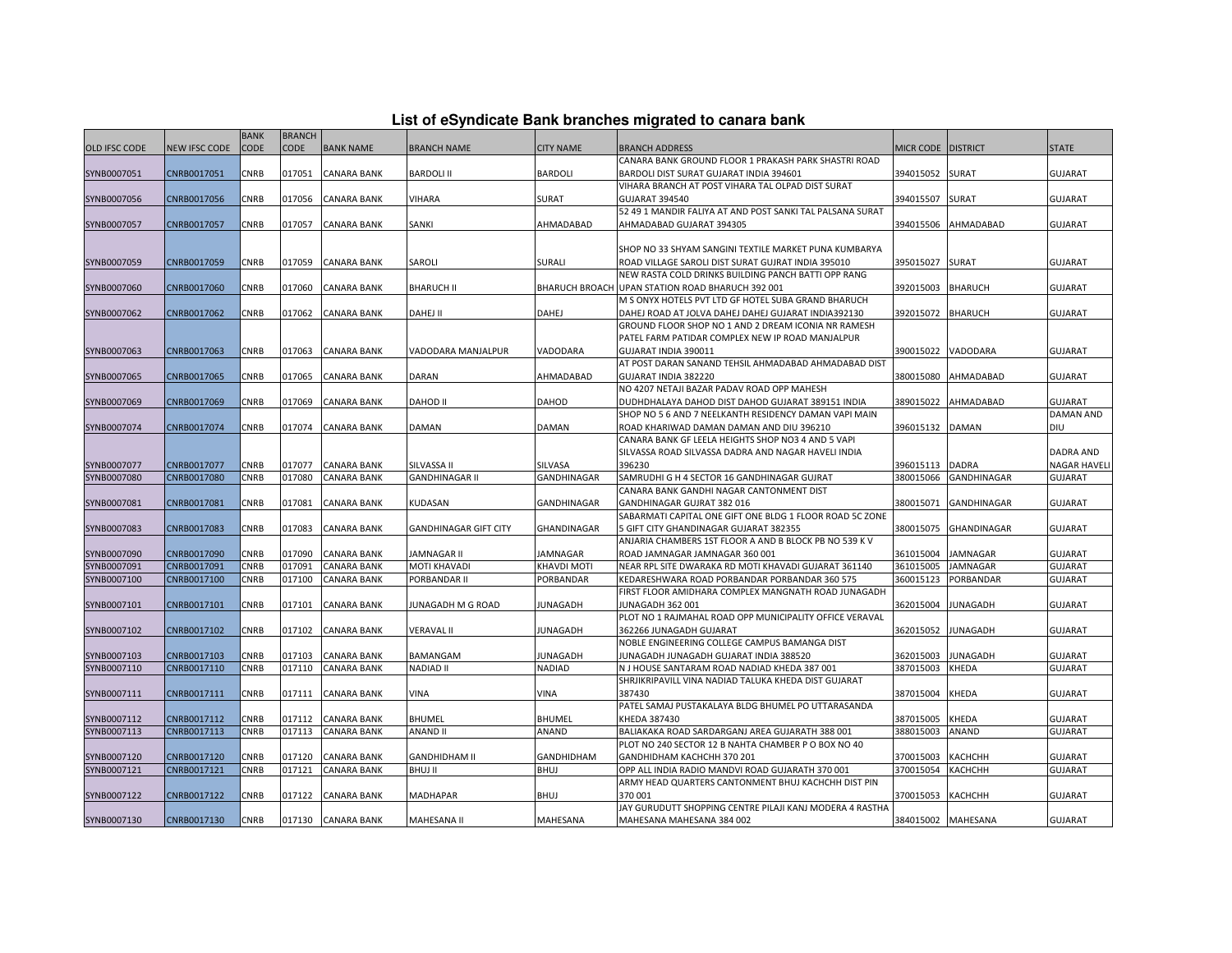| List of eSyndicate Bank branches migrated to canara bank |  |  |  |
|----------------------------------------------------------|--|--|--|
|----------------------------------------------------------|--|--|--|

|               |               | <b>BANK</b> | <b>BRANCH</b> |                    |                              |                    |                                                                                                         |                    |                    |                    |
|---------------|---------------|-------------|---------------|--------------------|------------------------------|--------------------|---------------------------------------------------------------------------------------------------------|--------------------|--------------------|--------------------|
| OLD IFSC CODE | NEW IFSC CODE | <b>CODE</b> | <b>CODE</b>   | <b>BANK NAME</b>   | <b>BRANCH NAME</b>           | <b>CITY NAME</b>   | BRANCH ADDRESS                                                                                          | MICR CODE DISTRICT |                    | <b>STATE</b>       |
|               |               |             |               |                    |                              |                    | CANARA BANK GROUND FLOOR 1 PRAKASH PARK SHASTRI ROAD                                                    |                    |                    |                    |
| SYNB0007051   | CNRB0017051   | CNRB        | 017051        | <b>CANARA BANK</b> | <b>BARDOLI II</b>            | <b>BARDOLI</b>     | BARDOLI DIST SURAT GUJARAT INDIA 394601                                                                 | 394015052          | <b>SURAT</b>       | <b>GUJARAT</b>     |
|               |               |             |               |                    |                              |                    | VIHARA BRANCH AT POST VIHARA TAL OLPAD DIST SURAT                                                       |                    |                    |                    |
| SYNB0007056   | CNRB0017056   | CNRB        | 017056        | <b>CANARA BANK</b> | VIHARA                       | SURAT              | <b>GUJARAT 394540</b>                                                                                   | 394015507          | SURAT              | <b>GUJARAT</b>     |
|               |               |             |               |                    |                              |                    | 52 49 1 MANDIR FALIYA AT AND POST SANKI TAL PALSANA SURAT                                               |                    |                    |                    |
| SYNB0007057   | CNRB0017057   | CNRB        | 017057        | <b>CANARA BANK</b> | SANKI                        | AHMADABAD          | AHMADABAD GUJARAT 394305                                                                                | 394015506          | AHMADABAD          | <b>GUJARAT</b>     |
|               |               |             |               |                    |                              |                    |                                                                                                         |                    |                    |                    |
|               |               |             |               |                    |                              |                    | SHOP NO 33 SHYAM SANGINI TEXTILE MARKET PUNA KUMBARYA                                                   |                    |                    |                    |
| SYNB0007059   | CNRB0017059   | CNRB        | 017059        | <b>CANARA BANK</b> | SAROLI                       | <b>SURALI</b>      | ROAD VILLAGE SAROLI DIST SURAT GUJRAT INDIA 395010                                                      | 395015027          | SURAT              | <b>GUJARAT</b>     |
|               |               |             |               |                    |                              |                    | NEW RASTA COLD DRINKS BUILDING PANCH BATTI OPP RANG                                                     |                    |                    |                    |
| SYNB0007060   | CNRB0017060   | CNRB        | 017060        | <b>CANARA BANK</b> | <b>BHARUCH II</b>            |                    | BHARUCH BROACH UPAN STATION ROAD BHARUCH 392 001<br>M S ONYX HOTELS PVT LTD GF HOTEL SUBA GRAND BHARUCH | 392015003          | <b>BHARUCH</b>     | <b>GUJARAT</b>     |
| SYNB0007062   | CNRB0017062   | <b>CNRB</b> | 017062        | <b>CANARA BANK</b> | DAHEJ II                     | <b>DAHEJ</b>       | DAHEJ ROAD AT JOLVA DAHEJ DAHEJ GUJARAT INDIA392130                                                     | 392015072          | <b>BHARUCH</b>     | <b>GUJARAT</b>     |
|               |               |             |               |                    |                              |                    | GROUND FLOOR SHOP NO 1 AND 2 DREAM ICONIA NR RAMESH                                                     |                    |                    |                    |
|               |               |             |               |                    |                              |                    | PATEL FARM PATIDAR COMPLEX NEW IP ROAD MANJALPUR                                                        |                    |                    |                    |
| SYNB0007063   | CNRB0017063   | <b>CNRB</b> | 017063        | <b>CANARA BANK</b> | VADODARA MANJALPUR           | VADODARA           | GUJARAT INDIA 390011                                                                                    | 390015022          | VADODARA           | <b>GUJARAT</b>     |
|               |               |             |               |                    |                              |                    | AT POST DARAN SANAND TEHSIL AHMADABAD AHMADABAD DIST                                                    |                    |                    |                    |
| SYNB0007065   | CNRB0017065   | CNRB        | 017065        | <b>CANARA BANK</b> | DARAN                        | AHMADABAD          | GUJARAT INDIA 382220                                                                                    | 380015080          | AHMADABAD          | <b>GUJARAT</b>     |
|               |               |             |               |                    |                              |                    | NO 4207 NETAJI BAZAR PADAV ROAD OPP MAHESH                                                              |                    |                    |                    |
| SYNB0007069   | CNRB0017069   | CNRB        | 017069        | <b>CANARA BANK</b> | <b>DAHOD II</b>              | <b>DAHOD</b>       | DUDHDHALAYA DAHOD DIST DAHOD GUJARAT 389151 INDIA                                                       | 389015022          | AHMADABAD          | <b>GUJARAT</b>     |
|               |               |             |               |                    |                              |                    | SHOP NO 5 6 AND 7 NEELKANTH RESIDENCY DAMAN VAPI MAIN                                                   |                    |                    | <b>DAMAN AND</b>   |
| SYNB0007074   | CNRB0017074   | CNRB        |               | 017074 CANARA BANK | DAMAN                        | DAMAN              | ROAD KHARIWAD DAMAN DAMAN AND DIU 396210                                                                | 396015132          | <b>DAMAN</b>       | <b>DIU</b>         |
|               |               |             |               |                    |                              |                    | CANARA BANK GF LEELA HEIGHTS SHOP NO3 4 AND 5 VAPI                                                      |                    |                    |                    |
|               |               |             |               |                    |                              |                    | SILVASSA ROAD SILVASSA DADRA AND NAGAR HAVELI INDIA                                                     |                    |                    | <b>DADRA AND</b>   |
| SYNB0007077   | CNRB0017077   | CNRB        | 017077        | <b>CANARA BANK</b> | SILVASSA II                  | SILVASA            | 396230                                                                                                  | 396015113          | <b>DADRA</b>       | <b>NAGAR HAVEL</b> |
| SYNB0007080   | CNRB0017080   | CNRB        | 017080        | <b>CANARA BANK</b> | <b>GANDHINAGAR II</b>        | GANDHINAGAR        | SAMRUDHI G H 4 SECTOR 16 GANDHINAGAR GUJRAT                                                             | 380015066          | <b>GANDHINAGAR</b> | <b>GUJARAT</b>     |
|               |               |             |               |                    |                              |                    | CANARA BANK GANDHI NAGAR CANTONMENT DIST                                                                |                    |                    |                    |
| SYNB0007081   | CNRB0017081   | CNRB        | 017081        | <b>CANARA BANK</b> | KUDASAN                      | GANDHINAGAR        | GANDHINAGAR GUJRAT 382 016                                                                              | 380015071          | <b>GANDHINAGAR</b> | <b>GUJARAT</b>     |
|               |               |             |               |                    |                              |                    | SABARMATI CAPITAL ONE GIFT ONE BLDG 1 FLOOR ROAD 5C ZONE                                                |                    |                    |                    |
| SYNB0007083   | CNRB0017083   | CNRB        | 017083        | <b>CANARA BANK</b> | <b>GANDHINAGAR GIFT CITY</b> | <b>GHANDINAGAR</b> | 5 GIFT CITY GHANDINAGAR GUJARAT 382355<br>ANJARIA CHAMBERS 1ST FLOOR A AND B BLOCK PB NO 539 K V        | 380015075          | GHANDINAGAR        | <b>GUJARAT</b>     |
| SYNB0007090   | CNRB0017090   | CNRB        | 017090        | <b>CANARA BANK</b> | <b>JAMNAGAR II</b>           | <b>JAMNAGAR</b>    | ROAD JAMNAGAR JAMNAGAR 360 001                                                                          | 361015004          | <b>JAMNAGAR</b>    | <b>GUJARAT</b>     |
| SYNB0007091   | CNRB0017091   | CNRB        | 017091        | <b>CANARA BANK</b> | <b>MOTI KHAVADI</b>          | KHAVDI MOTI        | NEAR RPL SITE DWARAKA RD MOTI KHAVADI GUJARAT 361140                                                    | 361015005          | <b>JAMNAGAR</b>    | <b>GUJARAT</b>     |
| SYNB0007100   | CNRB0017100   | CNRB        | 017100        | <b>CANARA BANK</b> | PORBANDAR II                 | PORBANDAR          | KEDARESHWARA ROAD PORBANDAR PORBANDAR 360 575                                                           | 360015123          | PORBANDAR          | <b>GUJARAT</b>     |
|               |               |             |               |                    |                              |                    | FIRST FLOOR AMIDHARA COMPLEX MANGNATH ROAD JUNAGADH                                                     |                    |                    |                    |
| SYNB0007101   | CNRB0017101   | CNRB        | 017101        | <b>CANARA BANK</b> | JUNAGADH M G ROAD            | <b>JUNAGADH</b>    | JUNAGADH 362 001                                                                                        | 362015004          | <b>JUNAGADH</b>    | <b>GUJARAT</b>     |
|               |               |             |               |                    |                              |                    | PLOT NO 1 RAJMAHAL ROAD OPP MUNICIPALITY OFFICE VERAVAL                                                 |                    |                    |                    |
| SYNB0007102   | CNRB0017102   | CNRB        | 017102        | <b>CANARA BANK</b> | VERAVAL II                   | <b>JUNAGADH</b>    | 362266 JUNAGADH GUJARAT                                                                                 | 362015052          | <b>JUNAGADH</b>    | <b>GUJARAT</b>     |
|               |               |             |               |                    |                              |                    | NOBLE ENGINEERING COLLEGE CAMPUS BAMANGA DIST                                                           |                    |                    |                    |
| SYNB0007103   | CNRB0017103   | CNRB        | 017103        | <b>CANARA BANK</b> | BAMANGAM                     | JUNAGADH           | JUNAGADH JUNAGADH GUJARAT INDIA 388520                                                                  | 362015003          | <b>JUNAGADH</b>    | <b>GUJARAT</b>     |
| SYNB0007110   | CNRB0017110   | CNRB        | 017110        | <b>CANARA BANK</b> | <b>NADIAD II</b>             | NADIAD             | N J HOUSE SANTARAM ROAD NADIAD KHEDA 387 001                                                            | 387015003          | <b>KHEDA</b>       | <b>GUJARAT</b>     |
|               |               |             |               |                    |                              |                    | SHRJIKRIPAVILL VINA NADIAD TALUKA KHEDA DIST GUJARAT                                                    |                    |                    |                    |
| SYNB0007111   | CNRB0017111   | CNRB        | 017111        | <b>CANARA BANK</b> | VINA                         | VINA               | 387430                                                                                                  | 387015004          | KHEDA              | <b>GUJARAT</b>     |
|               |               |             |               |                    |                              |                    | PATEL SAMAJ PUSTAKALAYA BLDG BHUMEL PO UTTARASANDA                                                      |                    |                    |                    |
| SYNB0007112   | CNRB0017112   | CNRB        | 017112        | <b>CANARA BANK</b> | <b>BHUMEL</b>                | <b>BHUMEL</b>      | KHEDA 387430                                                                                            | 387015005          | KHEDA              | <b>GUJARAT</b>     |
| SYNB0007113   | CNRB0017113   | CNRB        | 017113        | <b>CANARA BANK</b> | <b>ANAND II</b>              | ANAND              | BALIAKAKA ROAD SARDARGANJ AREA GUJARATH 388 001                                                         | 388015003          | ANAND              | <b>GUJARAT</b>     |
| SYNB0007120   | CNRB0017120   | CNRB        | 017120        | <b>CANARA BANK</b> | <b>GANDHIDHAM II</b>         | GANDHIDHAM         | PLOT NO 240 SECTOR 12 B NAHTA CHAMBER P O BOX NO 40<br>GANDHIDHAM KACHCHH 370 201                       | 370015003          | <b>КАСНСНН</b>     | <b>GUJARAT</b>     |
| SYNB0007121   | CNRB0017121   | CNRB        | 017121        | <b>CANARA BANK</b> | <b>BHUJ II</b>               | <b>BHUJ</b>        | OPP ALL INDIA RADIO MANDVI ROAD GUJARATH 370 001                                                        | 370015054          | КАСНСНН            | <b>GUJARAT</b>     |
|               |               |             |               |                    |                              |                    | ARMY HEAD QUARTERS CANTONMENT BHUJ KACHCHH DIST PIN                                                     |                    |                    |                    |
| SYNB0007122   | CNRB0017122   | CNRB        | 017122        | <b>CANARA BANK</b> | MADHAPAR                     | <b>BHUJ</b>        | 370 001                                                                                                 | 370015053          | КАСНСНН            | <b>GUJARAT</b>     |
|               |               |             |               |                    |                              |                    | JAY GURUDUTT SHOPPING CENTRE PILAJI KANJ MODERA 4 RASTHA                                                |                    |                    |                    |
| SYNB0007130   | CNRB0017130   | <b>CNRB</b> |               | 017130 CANARA BANK | MAHESANA II                  | MAHESANA           | MAHESANA MAHESANA 384 002                                                                               | 384015002 MAHESANA |                    | <b>GUJARAT</b>     |
|               |               |             |               |                    |                              |                    |                                                                                                         |                    |                    |                    |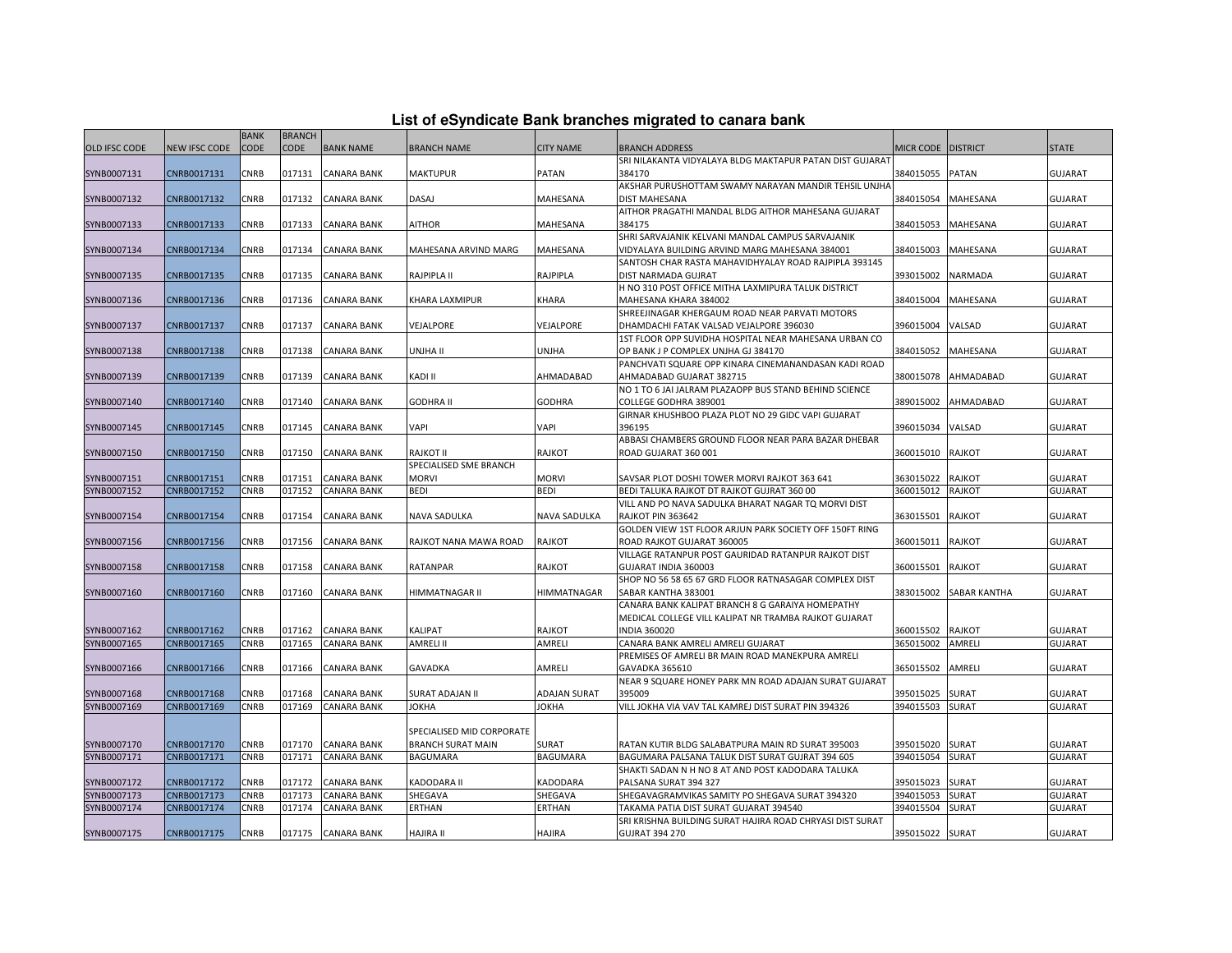| List of eSyndicate Bank branches migrated to canara bank |  |  |
|----------------------------------------------------------|--|--|
|----------------------------------------------------------|--|--|

| List of eSyndicate Bank branches migrated to canara bank |                      |                            |                       |                    |                           |                     |                                                                                           |                    |                     |                |
|----------------------------------------------------------|----------------------|----------------------------|-----------------------|--------------------|---------------------------|---------------------|-------------------------------------------------------------------------------------------|--------------------|---------------------|----------------|
| <b>OLD IFSC CODE</b>                                     | <b>NEW IFSC CODE</b> | <b>BANK</b><br><b>CODE</b> | <b>BRANCH</b><br>CODE | <b>BANK NAME</b>   | <b>BRANCH NAME</b>        | <b>CITY NAME</b>    | <b>BRANCH ADDRESS</b>                                                                     | MICR CODE DISTRICT |                     | <b>STATE</b>   |
|                                                          |                      |                            |                       |                    |                           |                     | SRI NILAKANTA VIDYALAYA BLDG MAKTAPUR PATAN DIST GUJARAT                                  |                    |                     |                |
| SYNB0007131                                              | CNRB0017131          | CNRB                       | 017131                | <b>CANARA BANK</b> | MAKTUPUR                  | PATAN               | 384170                                                                                    | 384015055          | <b>PATAN</b>        | <b>GUJARAT</b> |
|                                                          |                      |                            |                       |                    |                           |                     | AKSHAR PURUSHOTTAM SWAMY NARAYAN MANDIR TEHSIL UNJHA                                      |                    |                     |                |
| SYNB0007132                                              | CNRB0017132          | <b>CNRB</b>                | 017132                | <b>CANARA BANK</b> | DASAJ                     | MAHESANA            | DIST MAHESANA                                                                             | 384015054          | MAHESANA            | <b>GUJARAT</b> |
|                                                          |                      |                            |                       |                    |                           |                     | AITHOR PRAGATHI MANDAL BLDG AITHOR MAHESANA GUJARAT                                       |                    |                     |                |
| SYNB0007133                                              | CNRB0017133          | CNRB                       | 017133                | <b>CANARA BANK</b> | AITHOR                    | MAHESANA            | 384175                                                                                    | 384015053          | MAHESANA            | <b>GUJARAT</b> |
|                                                          |                      |                            |                       |                    |                           |                     | SHRI SARVAJANIK KELVANI MANDAL CAMPUS SARVAJANIK                                          |                    |                     |                |
| SYNB0007134                                              | CNRB0017134          | CNRB                       | 017134                | <b>CANARA BANK</b> | MAHESANA ARVIND MARG      | MAHESANA            | VIDYALAYA BUILDING ARVIND MARG MAHESANA 384001                                            | 384015003          | MAHESANA            | <b>GUJARAT</b> |
|                                                          |                      |                            |                       |                    |                           |                     | SANTOSH CHAR RASTA MAHAVIDHYALAY ROAD RAJPIPLA 393145                                     |                    |                     |                |
| SYNB0007135                                              | CNRB0017135          | CNRB                       | 017135                | <b>CANARA BANK</b> | RAJPIPLA II               | RAJPIPLA            | DIST NARMADA GUJRAT                                                                       | 393015002          | <b>NARMADA</b>      | <b>GUJARAT</b> |
|                                                          |                      |                            |                       |                    |                           |                     | H NO 310 POST OFFICE MITHA LAXMIPURA TALUK DISTRICT                                       |                    |                     |                |
| SYNB0007136                                              | CNRB0017136          | CNRB                       | 017136                | <b>CANARA BANK</b> | KHARA LAXMIPUR            | KHARA               | MAHESANA KHARA 384002                                                                     | 384015004          | MAHESANA            | <b>GUJARAT</b> |
| SYNB0007137                                              | CNRB0017137          | CNRB                       | 017137                | <b>CANARA BANK</b> | VEJALPORE                 | VEJALPORE           | SHREEJINAGAR KHERGAUM ROAD NEAR PARVATI MOTORS<br>DHAMDACHI FATAK VALSAD VEJALPORE 396030 | 396015004          | VALSAD              | <b>GUJARAT</b> |
|                                                          |                      |                            |                       |                    |                           |                     | 1ST FLOOR OPP SUVIDHA HOSPITAL NEAR MAHESANA URBAN CO                                     |                    |                     |                |
| SYNB0007138                                              | CNRB0017138          | CNRB                       | 017138                | <b>CANARA BANK</b> | UNJHA II                  | <b>UNJHA</b>        | OP BANK J P COMPLEX UNJHA GJ 384170                                                       | 384015052          | <b>MAHESANA</b>     | <b>GUJARAT</b> |
|                                                          |                      |                            |                       |                    |                           |                     | PANCHVATI SQUARE OPP KINARA CINEMANANDASAN KADI ROAD                                      |                    |                     |                |
| SYNB0007139                                              | CNRB0017139          | CNRB                       | 017139                | <b>CANARA BANK</b> | KADI II                   | AHMADABAD           | AHMADABAD GUJARAT 382715                                                                  | 380015078          | AHMADABAD           | <b>GUJARAT</b> |
|                                                          |                      |                            |                       |                    |                           |                     | NO 1 TO 6 JAI JALRAM PLAZAOPP BUS STAND BEHIND SCIENCE                                    |                    |                     |                |
| SYNB0007140                                              | CNRB0017140          | CNRB                       | 017140                | <b>CANARA BANK</b> | <b>GODHRA II</b>          | <b>GODHRA</b>       | COLLEGE GODHRA 389001                                                                     | 389015002          | AHMADABAD           | <b>GUJARAT</b> |
|                                                          |                      |                            |                       |                    |                           |                     | GIRNAR KHUSHBOO PLAZA PLOT NO 29 GIDC VAPI GUJARAT                                        |                    |                     |                |
| SYNB0007145                                              | CNRB0017145          | <b>CNRB</b>                | 017145                | <b>CANARA BANK</b> | VAPI                      | VAPI                | 396195                                                                                    | 396015034          | VALSAD              | <b>GUJARAT</b> |
|                                                          |                      |                            |                       |                    |                           |                     | ABBASI CHAMBERS GROUND FLOOR NEAR PARA BAZAR DHEBAR                                       |                    |                     |                |
| SYNB0007150                                              | CNRB0017150          | CNRB                       | 017150                | <b>CANARA BANK</b> | RAJKOT II                 | <b>RAJKOT</b>       | ROAD GUJARAT 360 001                                                                      | 360015010          | <b>RAJKOT</b>       | <b>GUJARAT</b> |
|                                                          |                      |                            |                       |                    | SPECIALISED SME BRANCH    |                     |                                                                                           |                    |                     |                |
| SYNB0007151                                              | CNRB0017151          | CNRB                       | 017151                | <b>CANARA BANK</b> | <b>MORVI</b>              | <b>MORVI</b>        | SAVSAR PLOT DOSHI TOWER MORVI RAJKOT 363 641                                              | 363015022          | RAJKOT              | <b>GUJARAT</b> |
| SYNB0007152                                              | CNRB0017152          | CNRB                       | 017152                | <b>CANARA BANK</b> | <b>BEDI</b>               | <b>BEDI</b>         | BEDI TALUKA RAJKOT DT RAJKOT GUJRAT 360 00                                                | 360015012          | <b>RAJKOT</b>       | <b>GUJARAT</b> |
|                                                          |                      |                            |                       |                    |                           |                     | VILL AND PO NAVA SADULKA BHARAT NAGAR TQ MORVI DIST                                       |                    |                     |                |
| SYNB0007154                                              | CNRB0017154          | CNRB                       | 017154                | <b>CANARA BANK</b> | NAVA SADULKA              | <b>NAVA SADULKA</b> | <b>RAJKOT PIN 363642</b>                                                                  | 363015501          | <b>RAJKOT</b>       | <b>GUJARAT</b> |
|                                                          |                      |                            |                       |                    |                           |                     | GOLDEN VIEW 1ST FLOOR ARJUN PARK SOCIETY OFF 150FT RING                                   |                    |                     |                |
| SYNB0007156                                              | CNRB0017156          | CNRB                       | 017156                | <b>CANARA BANK</b> | RAJKOT NANA MAWA ROAD     | RAJKOT              | ROAD RAJKOT GUJARAT 360005                                                                | 360015011          | <b>RAJKOT</b>       | <b>GUJARAT</b> |
|                                                          |                      |                            |                       |                    |                           |                     | VILLAGE RATANPUR POST GAURIDAD RATANPUR RAJKOT DIST                                       |                    |                     |                |
| SYNB0007158                                              | CNRB0017158          | CNRB                       | 017158                | <b>CANARA BANK</b> | RATANPAR                  | RAJKOT              | GUJARAT INDIA 360003                                                                      | 360015501          | <b>RAJKOT</b>       | <b>GUJARAT</b> |
|                                                          |                      |                            |                       |                    |                           |                     | SHOP NO 56 58 65 67 GRD FLOOR RATNASAGAR COMPLEX DIST                                     |                    |                     |                |
| SYNB0007160                                              | CNRB0017160          | <b>CNRB</b>                | 017160                | <b>CANARA BANK</b> | HIMMATNAGAR II            | <b>HIMMATNAGAR</b>  | SABAR KANTHA 383001                                                                       | 383015002          | <b>SABAR KANTHA</b> | <b>GUJARAT</b> |
|                                                          |                      |                            |                       |                    |                           |                     | CANARA BANK KALIPAT BRANCH 8 G GARAIYA HOMEPATHY                                          |                    |                     |                |
|                                                          |                      |                            |                       |                    |                           |                     | MEDICAL COLLEGE VILL KALIPAT NR TRAMBA RAJKOT GUJARAT                                     |                    |                     |                |
| SYNB0007162                                              | CNRB0017162          | CNRB                       | 017162                | <b>CANARA BANK</b> | KALIPAT                   | RAJKOT              | <b>INDIA 360020</b>                                                                       | 360015502          | RAJKOT              | <b>GUJARAT</b> |
| SYNB0007165                                              | CNRB0017165          | CNRB                       | 017165                | <b>CANARA BANK</b> | <b>AMRELI II</b>          | AMRELI              | CANARA BANK AMRELI AMRELI GUJARAT                                                         | 365015002          | AMRELI              | <b>GUJARAT</b> |
|                                                          |                      |                            |                       |                    |                           |                     | PREMISES OF AMRELI BR MAIN ROAD MANEKPURA AMRELI                                          |                    |                     |                |
| SYNB0007166                                              | CNRB0017166          | CNRB                       | 017166                | <b>CANARA BANK</b> | GAVADKA                   | AMRELI              | GAVADKA 365610<br>NEAR 9 SQUARE HONEY PARK MN ROAD ADAJAN SURAT GUJARAT                   | 365015502          | AMRELI              | <b>GUJARAT</b> |
| SYNB0007168                                              | CNRB0017168          | CNRB                       | 017168                | <b>CANARA BANK</b> | <b>SURAT ADAJAN II</b>    | ADAJAN SURAT        | 395009                                                                                    | 395015025          | <b>SURAT</b>        | <b>GUJARAT</b> |
| SYNB0007169                                              | CNRB0017169          | CNRB                       | 017169                | <b>CANARA BANK</b> | <b>JOKHA</b>              | <b>JOKHA</b>        | VILL JOKHA VIA VAV TAL KAMREJ DIST SURAT PIN 394326                                       | 394015503          | <b>SURAT</b>        | <b>GUJARAT</b> |
|                                                          |                      |                            |                       |                    |                           |                     |                                                                                           |                    |                     |                |
|                                                          |                      |                            |                       |                    | SPECIALISED MID CORPORATE |                     |                                                                                           |                    |                     |                |
| SYNB0007170                                              | CNRB0017170          | CNRB                       | 017170                | <b>CANARA BANK</b> | <b>BRANCH SURAT MAIN</b>  | <b>SURAT</b>        | RATAN KUTIR BLDG SALABATPURA MAIN RD SURAT 395003                                         | 395015020          | <b>SURAT</b>        | <b>GUJARAT</b> |
| SYNB0007171                                              | CNRB0017171          | <b>CNRB</b>                | 017171                | <b>CANARA BANK</b> | <b>BAGUMARA</b>           | <b>BAGUMARA</b>     | BAGUMARA PALSANA TALUK DIST SURAT GUJRAT 394 605                                          | 394015054          | SURAT               | <b>GUJARAT</b> |
|                                                          |                      |                            |                       |                    |                           |                     | SHAKTI SADAN N H NO 8 AT AND POST KADODARA TALUKA                                         |                    |                     |                |
| SYNB0007172                                              | CNRB0017172          | CNRB                       | 017172                | <b>CANARA BANK</b> | KADODARA II               | KADODARA            | PALSANA SURAT 394 327                                                                     | 395015023          | SURAT               | <b>GUJARAT</b> |
| SYNB0007173                                              | CNRB0017173          | CNRB                       | 017173                | <b>CANARA BANK</b> | SHEGAVA                   | SHEGAVA             | SHEGAVAGRAMVIKAS SAMITY PO SHEGAVA SURAT 394320                                           | 394015053          | <b>SURAT</b>        | <b>GUJARAT</b> |
| SYNB0007174                                              | CNRB0017174          | CNRB                       | 017174                | <b>CANARA BANK</b> | ERTHAN                    | ERTHAN              | TAKAMA PATIA DIST SURAT GUJARAT 394540                                                    | 394015504          | SURAT               | <b>GUJARAT</b> |
|                                                          |                      |                            |                       |                    |                           |                     | SRI KRISHNA BUILDING SURAT HAJIRA ROAD CHRYASI DIST SURAT                                 |                    |                     |                |
| SYNB0007175                                              | CNRB0017175          | <b>CNRB</b>                |                       | 017175 CANARA BANK | <b>HAJIRA II</b>          | <b>HAJIRA</b>       | <b>GUJRAT 394 270</b>                                                                     | 395015022 SURAT    |                     | <b>GUJARAT</b> |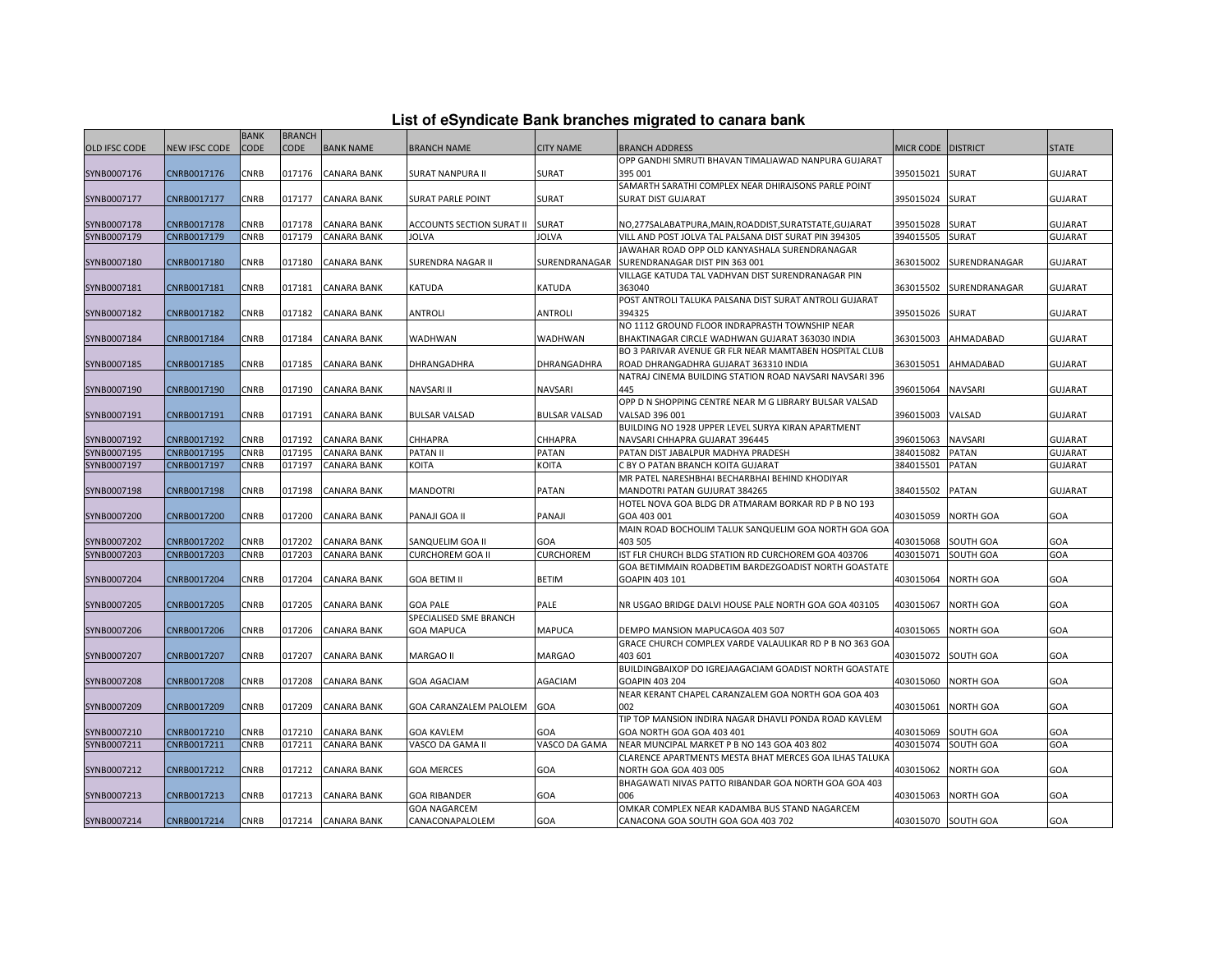|  |  | List of eSyndicate Bank branches migrated to canara bank |  |
|--|--|----------------------------------------------------------|--|
|--|--|----------------------------------------------------------|--|

|                            |                            | <b>BANK</b>         | <b>BRANCH</b>    |                                          |                                  |                      |                                                                               |                        |                       |                                  |
|----------------------------|----------------------------|---------------------|------------------|------------------------------------------|----------------------------------|----------------------|-------------------------------------------------------------------------------|------------------------|-----------------------|----------------------------------|
| <b>OLD IFSC CODE</b>       | NEW IFSC CODE              | CODE                | CODE             | <b>BANK NAME</b>                         | <b>BRANCH NAME</b>               | <b>CITY NAME</b>     | BRANCH ADDRESS                                                                | MICR CODE   DISTRICT   |                       | <b>STATE</b>                     |
|                            |                            |                     |                  |                                          |                                  |                      | OPP GANDHI SMRUTI BHAVAN TIMALIAWAD NANPURA GUJARAT                           |                        |                       |                                  |
| SYNB0007176                | CNRB0017176                | CNRB                | 017176           | <b>CANARA BANK</b>                       | <b>SURAT NANPURA II</b>          | SURAT                | 395 001                                                                       | 395015021              | <b>SURAT</b>          | <b>GUJARAT</b>                   |
|                            |                            |                     |                  |                                          |                                  |                      | SAMARTH SARATHI COMPLEX NEAR DHIRAJSONS PARLE POINT                           |                        |                       |                                  |
| SYNB0007177                | CNRB0017177                | <b>CNRB</b>         | 017177           | <b>CANARA BANK</b>                       | <b>SURAT PARLE POINT</b>         | <b>SURAT</b>         | SURAT DIST GUJARAT                                                            | 395015024              | <b>SURAT</b>          | <b>GUJARAT</b>                   |
|                            |                            |                     |                  |                                          |                                  |                      |                                                                               |                        |                       |                                  |
| SYNB0007178                | CNRB0017178                | CNRB                | 017178           | <b>CANARA BANK</b>                       | <b>ACCOUNTS SECTION SURAT II</b> | <b>SURAT</b>         | NO,277SALABATPURA,MAIN,ROADDIST,SURATSTATE,GUJARAT                            | 395015028              | <b>SURAT</b>          | <b>GUJARAT</b>                   |
| SYNB0007179                | CNRB0017179                | <b>CNRB</b>         | 017179           | <b>CANARA BANK</b>                       | <b>JOLVA</b>                     | <b>JOLVA</b>         | VILL AND POST JOLVA TAL PALSANA DIST SURAT PIN 394305                         | 394015505              | <b>SURAT</b>          | <b>GUJARAT</b>                   |
|                            |                            |                     |                  |                                          |                                  |                      | IAWAHAR ROAD OPP OLD KANYASHALA SURENDRANAGAR                                 |                        |                       |                                  |
| SYNB0007180                | CNRB0017180                | CNRB                | 017180           | <b>CANARA BANK</b>                       | SURENDRA NAGAR II                | SURENDRANAGAR        | SURENDRANAGAR DIST PIN 363 001                                                | 363015002              | SURENDRANAGAR         | <b>GUJARAT</b>                   |
|                            |                            |                     |                  |                                          |                                  |                      | VILLAGE KATUDA TAL VADHVAN DIST SURENDRANAGAR PIN                             |                        |                       |                                  |
| SYNB0007181                | CNRB0017181                | CNRB                | 017181           | <b>CANARA BANK</b>                       | KATUDA                           | <b>KATUDA</b>        | 363040                                                                        | 363015502              | SURENDRANAGAR         | <b>GUJARAT</b>                   |
|                            |                            |                     |                  |                                          |                                  |                      | POST ANTROLI TALUKA PALSANA DIST SURAT ANTROLI GUJARAT                        |                        |                       |                                  |
| SYNB0007182                | CNRB0017182                | CNRB                | 017182           | <b>CANARA BANK</b>                       | <b>ANTROLI</b>                   | <b>ANTROLI</b>       | 394325                                                                        | 395015026              | <b>SURAT</b>          | <b>GUJARAT</b>                   |
|                            |                            |                     |                  |                                          |                                  |                      | NO 1112 GROUND FLOOR INDRAPRASTH TOWNSHIP NEAR                                |                        |                       |                                  |
| SYNB0007184                | CNRB0017184                | CNRB                | 017184           | <b>CANARA BANK</b>                       | WADHWAN                          | WADHWAN              | BHAKTINAGAR CIRCLE WADHWAN GUJARAT 363030 INDIA                               | 363015003              | AHMADABAD             | <b>GUJARAT</b>                   |
|                            |                            |                     |                  |                                          |                                  |                      | BO 3 PARIVAR AVENUE GR FLR NEAR MAMTABEN HOSPITAL CLUB                        |                        |                       |                                  |
| SYNB0007185                | CNRB0017185                | CNRB                | 017185           | CANARA BANK                              | DHRANGADHRA                      | DHRANGADHRA          | ROAD DHRANGADHRA GUJARAT 363310 INDIA                                         | 363015051              | AHMADABAD             | <b>GUJARAT</b>                   |
|                            |                            |                     |                  |                                          |                                  |                      | NATRAJ CINEMA BUILDING STATION ROAD NAVSARI NAVSARI 396                       |                        |                       |                                  |
| SYNB0007190                | CNRB0017190                | CNRB                | 017190           | <b>CANARA BANK</b>                       | <b>NAVSARI II</b>                | <b>NAVSARI</b>       | 445                                                                           | 396015064              | <b>NAVSARI</b>        | <b>GUJARAT</b>                   |
|                            |                            |                     |                  |                                          |                                  |                      | OPP D N SHOPPING CENTRE NEAR M G LIBRARY BULSAR VALSAD                        |                        |                       |                                  |
| SYNB0007191                | CNRB0017191                | <b>CNRB</b>         | 017191           | <b>CANARA BANK</b>                       | <b>BULSAR VALSAD</b>             | <b>BULSAR VALSAD</b> | VALSAD 396 001                                                                | 396015003              | VALSAD                | <b>GUJARAT</b>                   |
|                            |                            |                     |                  |                                          |                                  |                      | BUILDING NO 1928 UPPER LEVEL SURYA KIRAN APARTMENT                            |                        |                       |                                  |
| SYNB0007192                | CNRB0017192<br>CNRB0017195 | CNRB<br><b>CNRB</b> | 017192<br>017195 | <b>CANARA BANK</b>                       | CHHAPRA                          | CHHAPRA              | NAVSARI CHHAPRA GUJARAT 396445                                                | 396015063              | <b>NAVSARI</b>        | <b>GUJARAT</b>                   |
| SYNB0007195<br>SYNB0007197 | CNRB0017197                | CNRB                | 017197           | <b>CANARA BANK</b><br><b>CANARA BANK</b> | <b>PATAN II</b><br><b>KOITA</b>  | PATAN<br>KOITA       | PATAN DIST JABALPUR MADHYA PRADESH<br>C BY O PATAN BRANCH KOITA GUJARAT       | 384015082<br>384015501 | <b>PATAN</b><br>PATAN | <b>GUJARAT</b><br><b>GUJARAT</b> |
|                            |                            |                     |                  |                                          |                                  |                      | MR PATEL NARESHBHAI BECHARBHAI BEHIND KHODIYAR                                |                        |                       |                                  |
| SYNB0007198                | CNRB0017198                | CNRB                | 017198           | <b>CANARA BANK</b>                       | <b>MANDOTRI</b>                  | <b>PATAN</b>         | MANDOTRI PATAN GUJURAT 384265                                                 | 384015502              | <b>PATAN</b>          | <b>GUJARAT</b>                   |
|                            |                            |                     |                  |                                          |                                  |                      | HOTEL NOVA GOA BLDG DR ATMARAM BORKAR RD P B NO 193                           |                        |                       |                                  |
| SYNB0007200                | CNRB0017200                | <b>CNRB</b>         | 017200           | <b>CANARA BANK</b>                       | PANAJI GOA II                    | PANAJI               | GOA 403 001                                                                   | 403015059              | <b>NORTH GOA</b>      | GOA                              |
|                            |                            |                     |                  |                                          |                                  |                      | MAIN ROAD BOCHOLIM TALUK SANQUELIM GOA NORTH GOA GOA                          |                        |                       |                                  |
| SYNB0007202                | CNRB0017202                | <b>CNRB</b>         | 017202           | <b>CANARA BANK</b>                       | SANQUELIM GOA II                 | GOA                  | 403 505                                                                       | 403015068              | <b>SOUTH GOA</b>      | GOA                              |
| SYNB0007203                | CNRB0017203                | CNRB                | 017203           | <b>CANARA BANK</b>                       | <b>CURCHOREM GOA II</b>          | CURCHOREM            | IST FLR CHURCH BLDG STATION RD CURCHOREM GOA 403706                           | 403015071              | SOUTH GOA             | GOA                              |
|                            |                            |                     |                  |                                          |                                  |                      | GOA BETIMMAIN ROADBETIM BARDEZGOADIST NORTH GOASTATE                          |                        |                       |                                  |
| SYNB0007204                | CNRB0017204                | CNRB                | 017204           | <b>CANARA BANK</b>                       | <b>GOA BETIM II</b>              | <b>BETIM</b>         | GOAPIN 403 101                                                                | 403015064              | <b>NORTH GOA</b>      | GOA                              |
|                            |                            |                     |                  |                                          |                                  |                      |                                                                               |                        |                       |                                  |
| SYNB0007205                | CNRB0017205                | CNRB                | 017205           | <b>CANARA BANK</b>                       | <b>GOA PALE</b>                  | PALE                 | NR USGAO BRIDGE DALVI HOUSE PALE NORTH GOA GOA 403105                         | 403015067              | <b>NORTH GOA</b>      | GOA                              |
|                            |                            |                     |                  |                                          | SPECIALISED SME BRANCH           |                      |                                                                               |                        |                       |                                  |
| SYNB0007206                | CNRB0017206                | <b>CNRB</b>         | 017206           | <b>CANARA BANK</b>                       | <b>GOA MAPUCA</b>                | <b>MAPUCA</b>        | DEMPO MANSION MAPUCAGOA 403 507                                               | 403015065              | <b>NORTH GOA</b>      | GOA                              |
|                            |                            |                     |                  |                                          |                                  |                      | GRACE CHURCH COMPLEX VARDE VALAULIKAR RD P B NO 363 GOA                       |                        |                       |                                  |
| SYNB0007207                | CNRB0017207                | CNRB                | 017207           | CANARA BANK                              | MARGAO II                        | <b>MARGAO</b>        | 403 601                                                                       | 403015072              | <b>SOUTH GOA</b>      | GOA                              |
|                            |                            |                     |                  |                                          |                                  |                      | BUILDINGBAIXOP DO IGREJAAGACIAM GOADIST NORTH GOASTATE                        |                        |                       |                                  |
| SYNB0007208                | CNRB0017208                | CNRB                | 017208           | <b>CANARA BANK</b>                       | <b>GOA AGACIAM</b>               | AGACIAM              | GOAPIN 403 204                                                                | 403015060              | <b>NORTH GOA</b>      | GOA                              |
|                            |                            |                     |                  |                                          |                                  |                      | NEAR KERANT CHAPEL CARANZALEM GOA NORTH GOA GOA 403                           |                        |                       |                                  |
| SYNB0007209                | CNRB0017209                | CNRB                | 017209           | <b>CANARA BANK</b>                       | GOA CARANZALEM PALOLEM           | <b>GOA</b>           | 002                                                                           | 403015061              | <b>NORTH GOA</b>      | GOA                              |
|                            |                            |                     |                  |                                          |                                  |                      | TIP TOP MANSION INDIRA NAGAR DHAVLI PONDA ROAD KAVLEM                         |                        |                       |                                  |
| SYNB0007210                | CNRB0017210                | CNRB                | 017210           | <b>CANARA BANK</b>                       | <b>GOA KAVLEM</b>                | GOA                  | GOA NORTH GOA GOA 403 401                                                     | 403015069              | <b>SOUTH GOA</b>      | GOA                              |
| SYNB0007211                | CNRB0017211                | CNRB                | 017211           | <b>CANARA BANK</b>                       | VASCO DA GAMA II                 | VASCO DA GAMA        | NEAR MUNCIPAL MARKET P B NO 143 GOA 403 802                                   | 403015074              | SOUTH GOA             | GOA                              |
|                            |                            |                     |                  |                                          |                                  |                      | CLARENCE APARTMENTS MESTA BHAT MERCES GOA ILHAS TALUKA                        | 403015062              |                       |                                  |
| SYNB0007212                | CNRB0017212                | CNRB                | 017212           | <b>CANARA BANK</b>                       | <b>GOA MERCES</b>                | GOA                  | NORTH GOA GOA 403 005<br>BHAGAWATI NIVAS PATTO RIBANDAR GOA NORTH GOA GOA 403 |                        | <b>NORTH GOA</b>      | GOA                              |
| SYNB0007213                | CNRB0017213                | CNRB                | 017213           | <b>CANARA BANK</b>                       | <b>GOA RIBANDER</b>              | GOA                  | 006                                                                           | 403015063              | <b>NORTH GOA</b>      | GOA                              |
|                            |                            |                     |                  |                                          | <b>GOA NAGARCEM</b>              |                      | OMKAR COMPLEX NEAR KADAMBA BUS STAND NAGARCEM                                 |                        |                       |                                  |
| SYNB0007214                | CNRB0017214                | <b>CNRB</b>         |                  | 017214 CANARA BANK                       | CANACONAPALOLEM                  | GOA                  | CANACONA GOA SOUTH GOA GOA 403 702                                            | 403015070 SOUTH GOA    |                       | GOA                              |
|                            |                            |                     |                  |                                          |                                  |                      |                                                                               |                        |                       |                                  |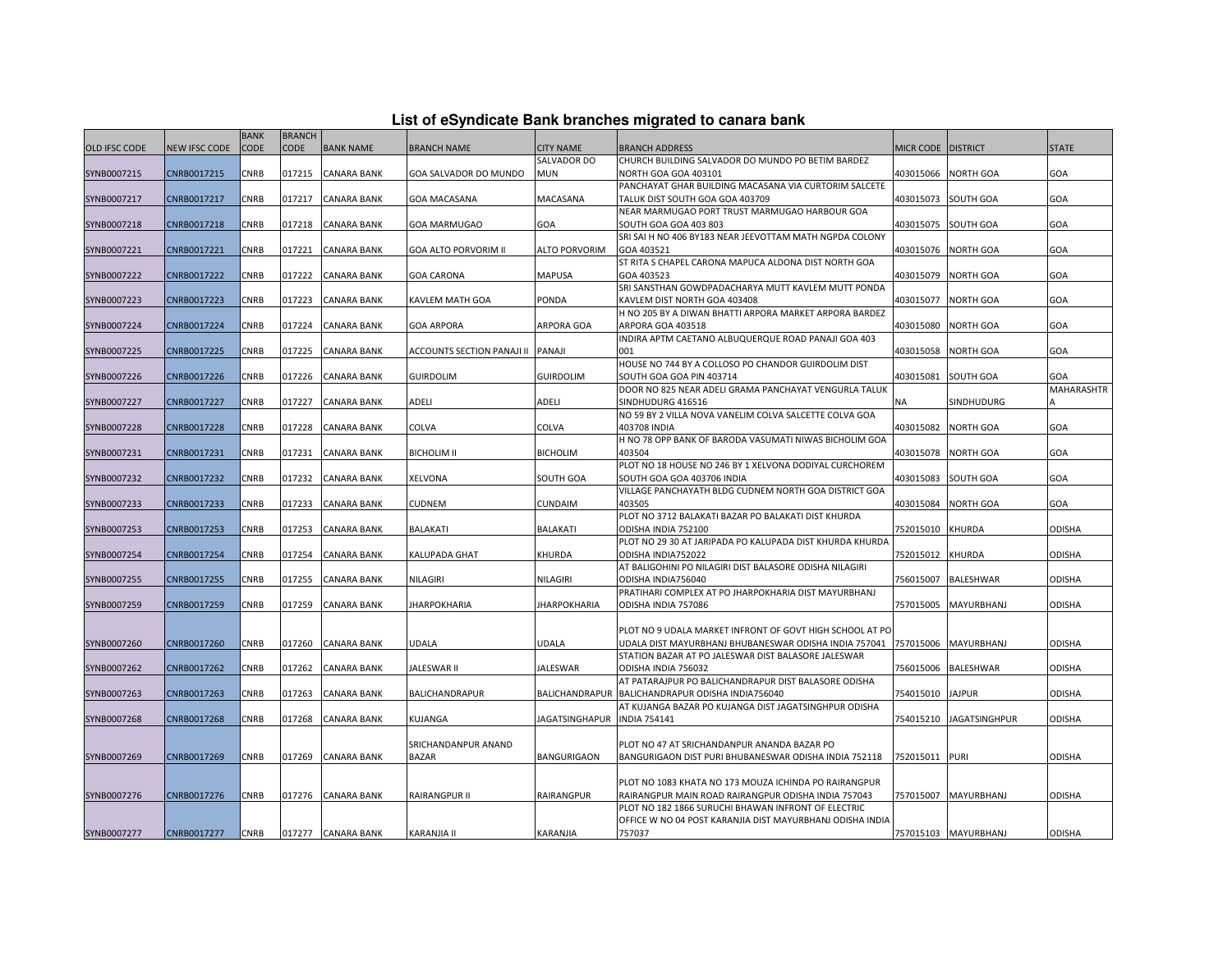| List of eSyndicate Bank branches migrated to canara bank |  |  |  |
|----------------------------------------------------------|--|--|--|
|----------------------------------------------------------|--|--|--|

|                      |                      | <b>BANK</b> | <b>BRANCH</b> |                    |                                   |                       |                                                                               |                    |                      |               |
|----------------------|----------------------|-------------|---------------|--------------------|-----------------------------------|-----------------------|-------------------------------------------------------------------------------|--------------------|----------------------|---------------|
| <b>OLD IFSC CODE</b> | <b>NEW IFSC CODE</b> | CODE        | <b>CODE</b>   | <b>BANK NAME</b>   | <b>BRANCH NAME</b>                | <b>CITY NAME</b>      | <b>BRANCH ADDRESS</b>                                                         | MICR CODE DISTRICT |                      | <b>STATE</b>  |
|                      |                      |             |               |                    |                                   | SALVADOR DO           | CHURCH BUILDING SALVADOR DO MUNDO PO BETIM BARDEZ                             |                    |                      |               |
| SYNB0007215          | CNRB0017215          | CNRB        | 017215        | <b>CANARA BANK</b> | GOA SALVADOR DO MUNDO             | MUN                   | NORTH GOA GOA 403101                                                          | 403015066          | <b>NORTH GOA</b>     | GOA           |
|                      |                      |             |               |                    |                                   |                       | PANCHAYAT GHAR BUILDING MACASANA VIA CURTORIM SALCETE                         |                    |                      |               |
| SYNB0007217          | CNRB0017217          | CNRB        | 017217        | CANARA BANK        | GOA MACASANA                      | MACASANA              | TALUK DIST SOUTH GOA GOA 403709                                               | 403015073          | <b>SOUTH GOA</b>     | GOA           |
|                      |                      |             |               |                    |                                   |                       | NEAR MARMUGAO PORT TRUST MARMUGAO HARBOUR GOA                                 |                    |                      |               |
| SYNB0007218          | CNRB0017218          | CNRB        | 017218        | CANARA BANK        | <b>GOA MARMUGAO</b>               | GOA                   | SOUTH GOA GOA 403 803                                                         | 403015075          | <b>SOUTH GOA</b>     | GOA           |
|                      |                      |             |               |                    |                                   |                       | SRI SAI H NO 406 BY183 NEAR JEEVOTTAM MATH NGPDA COLONY                       |                    |                      |               |
| SYNB0007221          | CNRB0017221          | CNRB        | 017221        | CANARA BANK        | <b>GOA ALTO PORVORIM II</b>       | <b>ALTO PORVORIM</b>  | GOA 403521                                                                    | 403015076          | <b>NORTH GOA</b>     | GOA           |
|                      |                      |             |               |                    |                                   |                       | ST RITA S CHAPEL CARONA MAPUCA ALDONA DIST NORTH GOA                          |                    |                      |               |
| SYNB0007222          | CNRB0017222          | CNRB        | 017222        | <b>CANARA BANK</b> | <b>GOA CARONA</b>                 | <b>MAPUSA</b>         | GOA 403523                                                                    | 403015079          | <b>NORTH GOA</b>     | GOA           |
|                      |                      |             |               |                    |                                   |                       | SRI SANSTHAN GOWDPADACHARYA MUTT KAVLEM MUTT PONDA                            |                    |                      |               |
| SYNB0007223          | CNRB0017223          | CNRB        | 017223        | CANARA BANK        | KAVLEM MATH GOA                   | PONDA                 | KAVLEM DIST NORTH GOA 403408                                                  | 403015077          | <b>NORTH GOA</b>     | GOA           |
| SYNB0007224          | CNRB0017224          | CNRB        | 017224        | <b>CANARA BANK</b> | <b>GOA ARPORA</b>                 | ARPORA GOA            | H NO 205 BY A DIWAN BHATTI ARPORA MARKET ARPORA BARDEZ<br>ARPORA GOA 403518   | 403015080          | <b>NORTH GOA</b>     | GOA           |
|                      |                      |             |               |                    |                                   |                       | INDIRA APTM CAETANO ALBUQUERQUE ROAD PANAJI GOA 403                           |                    |                      |               |
| SYNB0007225          | CNRB0017225          | CNRB        | 017225        | CANARA BANK        | ACCOUNTS SECTION PANAJI II PANAJI |                       | 001                                                                           | 403015058          | <b>NORTH GOA</b>     | GOA           |
|                      |                      |             |               |                    |                                   |                       | HOUSE NO 744 BY A COLLOSO PO CHANDOR GUIRDOLIM DIST                           |                    |                      |               |
| SYNB0007226          | CNRB0017226          | CNRB        | 017226        | CANARA BANK        | <b>GUIRDOLIM</b>                  | <b>GUIRDOLIM</b>      | SOUTH GOA GOA PIN 403714                                                      | 403015081          | SOUTH GOA            | GOA           |
|                      |                      |             |               |                    |                                   |                       | DOOR NO 825 NEAR ADELI GRAMA PANCHAYAT VENGURLA TALUK                         |                    |                      | MAHARASHTR    |
| SYNB0007227          | CNRB0017227          | CNRB        | 017227        | <b>CANARA BANK</b> | ADELI                             | ADELI                 | SINDHUDURG 416516                                                             | NA                 | SINDHUDURG           |               |
|                      |                      |             |               |                    |                                   |                       | NO 59 BY 2 VILLA NOVA VANELIM COLVA SALCETTE COLVA GOA                        |                    |                      |               |
| SYNB0007228          | CNRB0017228          | CNRB        | 017228        | CANARA BANK        | COLVA                             | COLVA                 | 403708 INDIA                                                                  | 403015082          | <b>NORTH GOA</b>     | GOA           |
|                      |                      |             |               |                    |                                   |                       | H NO 78 OPP BANK OF BARODA VASUMATI NIWAS BICHOLIM GOA                        |                    |                      |               |
| SYNB0007231          | CNRB0017231          | CNRB        | 017231        | CANARA BANK        | <b>BICHOLIM II</b>                | <b>BICHOLIM</b>       | 403504                                                                        | 403015078          | <b>NORTH GOA</b>     | GOA           |
|                      |                      |             |               |                    |                                   |                       | PLOT NO 18 HOUSE NO 246 BY 1 XELVONA DODIYAL CURCHOREM                        |                    |                      |               |
| SYNB0007232          | CNRB0017232          | CNRB        | 017232        | CANARA BANK        | XELVONA                           | <b>SOUTH GOA</b>      | SOUTH GOA GOA 403706 INDIA                                                    | 403015083          | <b>SOUTH GOA</b>     | GOA           |
|                      |                      |             |               |                    |                                   |                       | VILLAGE PANCHAYATH BLDG CUDNEM NORTH GOA DISTRICT GOA                         |                    |                      |               |
| SYNB0007233          | CNRB0017233          | CNRB        | 017233        | CANARA BANK        | CUDNEM                            | <b>CUNDAIM</b>        | 403505                                                                        | 403015084          | <b>NORTH GOA</b>     | GOA           |
|                      |                      |             |               |                    |                                   |                       | PLOT NO 3712 BALAKATI BAZAR PO BALAKATI DIST KHURDA                           |                    |                      |               |
| SYNB0007253          | CNRB0017253          | CNRB        | 017253        | CANARA BANK        | <b>BALAKATI</b>                   | <b>BALAKATI</b>       | ODISHA INDIA 752100                                                           | 752015010          | <b>KHURDA</b>        | ODISHA        |
|                      |                      |             |               |                    |                                   |                       | PLOT NO 29 30 AT JARIPADA PO KALUPADA DIST KHURDA KHURDA                      |                    |                      |               |
| SYNB0007254          | CNRB0017254          | CNRB        | 017254        | <b>CANARA BANK</b> | KALUPADA GHAT                     | KHURDA                | ODISHA INDIA752022                                                            | 752015012          | <b>KHURDA</b>        | ODISHA        |
|                      | CNRB0017255          | CNRB        | 017255        | CANARA BANK        | <b>NILAGIRI</b>                   | <b>NILAGIRI</b>       | AT BALIGOHINI PO NILAGIRI DIST BALASORE ODISHA NILAGIRI<br>ODISHA INDIA756040 | 756015007          | <b>BALESHWAR</b>     | ODISHA        |
| SYNB0007255          |                      |             |               |                    |                                   |                       | PRATIHARI COMPLEX AT PO JHARPOKHARIA DIST MAYURBHANJ                          |                    |                      |               |
| SYNB0007259          | CNRB0017259          | CNRB        | 017259        | CANARA BANK        | <b>JHARPOKHARIA</b>               | JHARPOKHARIA          | ODISHA INDIA 757086                                                           | 757015005          | <b>MAYURBHANJ</b>    | ODISHA        |
|                      |                      |             |               |                    |                                   |                       |                                                                               |                    |                      |               |
|                      |                      |             |               |                    |                                   |                       | PLOT NO 9 UDALA MARKET INFRONT OF GOVT HIGH SCHOOL AT PO                      |                    |                      |               |
| SYNB0007260          | CNRB0017260          | CNRB        | 017260        | CANARA BANK        | UDALA                             | <b>UDALA</b>          | UDALA DIST MAYURBHANJ BHUBANESWAR ODISHA INDIA 757041                         | 757015006          | <b>MAYURBHANJ</b>    | <b>ODISHA</b> |
|                      |                      |             |               |                    |                                   |                       | STATION BAZAR AT PO JALESWAR DIST BALASORE JALESWAR                           |                    |                      |               |
| SYNB0007262          | CNRB0017262          | CNRB        | 017262        | <b>CANARA BANK</b> | JALESWAR II                       | JALESWAR              | ODISHA INDIA 756032                                                           | 756015006          | <b>BALESHWAR</b>     | ODISHA        |
|                      |                      |             |               |                    |                                   |                       | AT PATARAJPUR PO BALICHANDRAPUR DIST BALASORE ODISHA                          |                    |                      |               |
| SYNB0007263          | CNRB0017263          | CNRB        | 017263        | CANARA BANK        | <b>BALICHANDRAPUR</b>             | <b>BALICHANDRAPUR</b> | BALICHANDRAPUR ODISHA INDIA756040                                             | 754015010          | <b>JAJPUR</b>        | <b>ODISHA</b> |
|                      |                      |             |               |                    |                                   |                       | AT KUJANGA BAZAR PO KUJANGA DIST JAGATSINGHPUR ODISHA                         |                    |                      |               |
| SYNB0007268          | CNRB0017268          | CNRB        | 017268        | CANARA BANK        | KUJANGA                           | JAGATSINGHAPUR        | <b>NDIA 754141</b>                                                            | 754015210          | <b>JAGATSINGHPUR</b> | ODISHA        |
|                      |                      |             |               |                    |                                   |                       |                                                                               |                    |                      |               |
|                      |                      |             |               |                    | SRICHANDANPUR ANAND               |                       | PLOT NO 47 AT SRICHANDANPUR ANANDA BAZAR PO                                   |                    |                      |               |
| SYNB0007269          | CNRB0017269          | CNRB        | 017269        | CANARA BANK        | <b>BAZAR</b>                      | BANGURIGAON           | BANGURIGAON DIST PURI BHUBANESWAR ODISHA INDIA 752118                         | 752015011          | <b>PURI</b>          | ODISHA        |
|                      |                      |             |               |                    |                                   |                       |                                                                               |                    |                      |               |
|                      |                      |             |               |                    |                                   |                       | PLOT NO 1083 KHATA NO 173 MOUZA ICHINDA PO RAIRANGPUR                         |                    |                      |               |
| SYNB0007276          | CNRB0017276          | CNRB        | 017276        | <b>CANARA BANK</b> | RAIRANGPUR II                     | RAIRANGPUR            | RAIRANGPUR MAIN ROAD RAIRANGPUR ODISHA INDIA 757043                           | 757015007          | <b>MAYURBHANJ</b>    | <b>ODISHA</b> |
|                      |                      |             |               |                    |                                   |                       | PLOT NO 182 1866 SURUCHI BHAWAN INFRONT OF ELECTRIC                           |                    |                      |               |
| SYNB0007277          | CNRB0017277          | CNRB        |               | 017277 CANARA BANK | <b>KARANJIA II</b>                | KARANJIA              | OFFICE W NO 04 POST KARANJIA DIST MAYURBHANJ ODISHA INDIA<br>757037           |                    | 757015103 MAYURBHANJ | ODISHA        |
|                      |                      |             |               |                    |                                   |                       |                                                                               |                    |                      |               |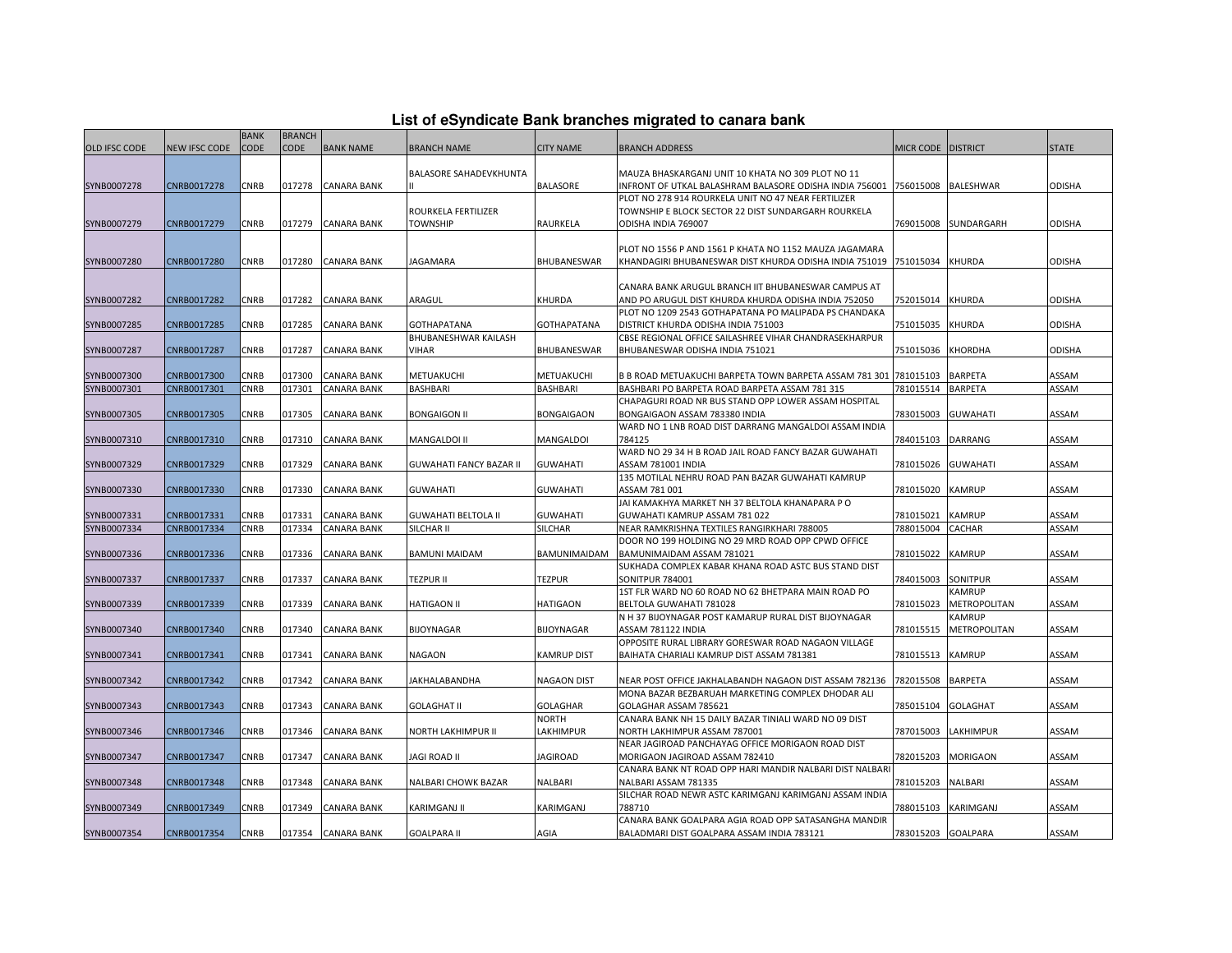## **List of eSyndicate Bank branches migrated to canara bank**

|                      |                      | <b>BANK</b> | <b>BRANCH</b> |                    |                                |                    |                                                                                 |                    |                                  |               |
|----------------------|----------------------|-------------|---------------|--------------------|--------------------------------|--------------------|---------------------------------------------------------------------------------|--------------------|----------------------------------|---------------|
| <b>OLD IFSC CODE</b> | <b>NEW IFSC CODE</b> | <b>CODE</b> | <b>CODE</b>   | <b>BANK NAME</b>   | <b>BRANCH NAME</b>             | <b>CITY NAME</b>   | <b>BRANCH ADDRESS</b>                                                           | MICR CODE DISTRICT |                                  | <b>STATE</b>  |
|                      |                      |             |               |                    |                                |                    |                                                                                 |                    |                                  |               |
|                      |                      |             |               |                    | <b>BALASORE SAHADEVKHUNTA</b>  |                    | MAUZA BHASKARGANJ UNIT 10 KHATA NO 309 PLOT NO 11                               |                    |                                  |               |
| SYNB0007278          | CNRB0017278          | <b>CNRB</b> | 017278        | <b>CANARA BANK</b> |                                | <b>BALASORE</b>    | INFRONT OF UTKAL BALASHRAM BALASORE ODISHA INDIA 756001 756015008               |                    | <b>BALESHWAR</b>                 | <b>ODISHA</b> |
|                      |                      |             |               |                    |                                |                    | PLOT NO 278 914 ROURKELA UNIT NO 47 NEAR FERTILIZER                             |                    |                                  |               |
|                      |                      |             |               |                    | ROURKELA FERTILIZER            |                    | TOWNSHIP E BLOCK SECTOR 22 DIST SUNDARGARH ROURKELA                             |                    |                                  |               |
| SYNB0007279          | CNRB0017279          | CNRB        | 017279        | <b>CANARA BANK</b> | <b>TOWNSHIP</b>                | RAURKELA           | ODISHA INDIA 769007                                                             | 769015008          | SUNDARGARH                       | <b>ODISHA</b> |
|                      |                      |             |               |                    |                                |                    |                                                                                 |                    |                                  |               |
|                      |                      |             |               |                    |                                |                    | PLOT NO 1556 P AND 1561 P KHATA NO 1152 MAUZA JAGAMARA                          |                    |                                  |               |
| SYNB0007280          | CNRB0017280          | <b>CNRB</b> | 017280        | <b>CANARA BANK</b> | JAGAMARA                       | BHUBANESWAR        | KHANDAGIRI BHUBANESWAR DIST KHURDA ODISHA INDIA 751019   751015034              |                    | <b>KHURDA</b>                    | <b>ODISHA</b> |
|                      |                      |             |               |                    |                                |                    |                                                                                 |                    |                                  |               |
|                      |                      |             |               |                    |                                |                    | CANARA BANK ARUGUL BRANCH IIT BHUBANESWAR CAMPUS AT                             |                    |                                  |               |
| SYNB0007282          | CNRB0017282          | <b>CNRB</b> | 017282        | <b>CANARA BANK</b> | ARAGUL                         | KHURDA             | AND PO ARUGUL DIST KHURDA KHURDA ODISHA INDIA 752050                            | 752015014          | <b>KHURDA</b>                    | <b>ODISHA</b> |
|                      |                      |             |               |                    |                                |                    | PLOT NO 1209 2543 GOTHAPATANA PO MALIPADA PS CHANDAKA                           |                    |                                  |               |
| SYNB0007285          | CNRB0017285          | CNRB        | 017285        | <b>CANARA BANK</b> | <b>GOTHAPATANA</b>             | <b>GOTHAPATANA</b> | DISTRICT KHURDA ODISHA INDIA 751003                                             | 751015035          | <b>KHURDA</b>                    | <b>ODISHA</b> |
|                      |                      |             |               |                    | BHUBANESHWAR KAILASH           |                    | CBSE REGIONAL OFFICE SAILASHREE VIHAR CHANDRASEKHARPUR                          |                    |                                  |               |
| SYNB0007287          | CNRB0017287          | CNRB        | 017287        | <b>CANARA BANK</b> | VIHAR                          | BHUBANESWAR        | BHUBANESWAR ODISHA INDIA 751021                                                 | 751015036          | KHORDHA                          | <b>ODISHA</b> |
|                      |                      |             |               |                    |                                |                    |                                                                                 |                    |                                  |               |
| SYNB0007300          | CNRB0017300          | CNRB        | 017300        | <b>CANARA BANK</b> | METUAKUCHI                     | METUAKUCHI         | B B ROAD METUAKUCHI BARPETA TOWN BARPETA ASSAM 781 301 781015103                |                    | <b>BARPETA</b>                   | ASSAM         |
| SYNB0007301          | CNRB0017301          | CNRB        | 017301        | <b>CANARA BANK</b> | <b>BASHBARI</b>                | <b>BASHBARI</b>    | BASHBARI PO BARPETA ROAD BARPETA ASSAM 781 315                                  | 781015514          | <b>BARPETA</b>                   | ASSAM         |
|                      |                      |             |               |                    |                                |                    | CHAPAGURI ROAD NR BUS STAND OPP LOWER ASSAM HOSPITAL                            |                    |                                  |               |
| SYNB0007305          | CNRB0017305          | CNRB        | 017305        | <b>CANARA BANK</b> | <b>BONGAIGON II</b>            | BONGAIGAON         | BONGAIGAON ASSAM 783380 INDIA                                                   | 783015003          | <b>GUWAHATI</b>                  | ASSAM         |
|                      |                      |             |               |                    |                                |                    | WARD NO 1 LNB ROAD DIST DARRANG MANGALDOI ASSAM INDIA                           |                    |                                  |               |
| SYNB0007310          | CNRB0017310          | CNRB        | 017310        | <b>CANARA BANK</b> | MANGALDOI II                   | MANGALDOI          | 784125                                                                          | 784015103          | <b>DARRANG</b>                   | ASSAM         |
|                      |                      |             |               |                    |                                |                    | WARD NO 29 34 H B ROAD JAIL ROAD FANCY BAZAR GUWAHATI                           |                    |                                  |               |
| SYNB0007329          | CNRB0017329          | CNRB        | 017329        | <b>CANARA BANK</b> | <b>GUWAHATI FANCY BAZAR II</b> | <b>GUWAHATI</b>    | ASSAM 781001 INDIA                                                              | 781015026          | <b>GUWAHATI</b>                  | ASSAM         |
|                      |                      |             |               |                    |                                |                    | 135 MOTILAL NEHRU ROAD PAN BAZAR GUWAHATI KAMRUP                                |                    |                                  |               |
| SYNB0007330          | CNRB0017330          | CNRB        | 017330        | <b>CANARA BANK</b> | <b>GUWAHATI</b>                | <b>GUWAHATI</b>    | ASSAM 781 001                                                                   | 781015020          | <b>KAMRUP</b>                    | ASSAM         |
|                      |                      |             |               |                    |                                |                    | JAI KAMAKHYA MARKET NH 37 BELTOLA KHANAPARA P O                                 |                    |                                  |               |
| SYNB0007331          | CNRB0017331          | <b>CNRB</b> | 017331        | <b>CANARA BANK</b> | <b>GUWAHATI BELTOLA II</b>     | <b>GUWAHATI</b>    | GUWAHATI KAMRUP ASSAM 781 022                                                   | 781015021          | <b>KAMRUP</b>                    | ASSAM         |
| SYNB0007334          | CNRB0017334          | CNRB        | 017334        | <b>CANARA BANK</b> | SILCHAR II                     | SILCHAR            | NEAR RAMKRISHNA TEXTILES RANGIRKHARI 788005                                     | 788015004          | CACHAR                           | ASSAM         |
|                      |                      |             |               |                    |                                |                    | DOOR NO 199 HOLDING NO 29 MRD ROAD OPP CPWD OFFICE                              |                    |                                  |               |
| SYNB0007336          | CNRB0017336          | CNRB        | 017336        | <b>CANARA BANK</b> | <b>BAMUNI MAIDAM</b>           | BAMUNIMAIDAM       | BAMUNIMAIDAM ASSAM 781021                                                       | 781015022          | <b>KAMRUP</b>                    | ASSAM         |
|                      |                      |             |               |                    |                                |                    | SUKHADA COMPLEX KABAR KHANA ROAD ASTC BUS STAND DIST                            |                    |                                  |               |
| SYNB0007337          | CNRB0017337          | CNRB        | 017337        | <b>CANARA BANK</b> | <b>TEZPUR II</b>               | <b>TEZPUR</b>      | SONITPUR 784001<br>1ST FLR WARD NO 60 ROAD NO 62 BHETPARA MAIN ROAD PO          | 784015003          | <b>SONITPUR</b><br><b>KAMRUP</b> | ASSAM         |
| SYNB0007339          | CNRB0017339          | CNRB        | 017339        | <b>CANARA BANK</b> | <b>HATIGAON II</b>             | <b>HATIGAON</b>    |                                                                                 | 781015023          | METROPOLITAN                     | ASSAM         |
|                      |                      |             |               |                    |                                |                    | BELTOLA GUWAHATI 781028<br>N H 37 BIJOYNAGAR POST KAMARUP RURAL DIST BIJOYNAGAR |                    | KAMRUP                           |               |
| SYNB0007340          | CNRB0017340          | <b>CNRB</b> | 017340        | <b>CANARA BANK</b> | <b>BIJOYNAGAR</b>              | <b>BIJOYNAGAR</b>  | ASSAM 781122 INDIA                                                              | 781015515          | METROPOLITAN                     | ASSAM         |
|                      |                      |             |               |                    |                                |                    | OPPOSITE RURAL LIBRARY GORESWAR ROAD NAGAON VILLAGE                             |                    |                                  |               |
| SYNB0007341          | CNRB0017341          | CNRB        | 017341        | <b>CANARA BANK</b> | <b>NAGAON</b>                  | <b>KAMRUP DIST</b> | BAIHATA CHARIALI KAMRUP DIST ASSAM 781381                                       | 781015513          | <b>KAMRUP</b>                    | ASSAM         |
|                      |                      |             |               |                    |                                |                    |                                                                                 |                    |                                  |               |
| SYNB0007342          | CNRB0017342          | CNRB        | 017342        | <b>CANARA BANK</b> | JAKHALABANDHA                  | <b>NAGAON DIST</b> | NEAR POST OFFICE JAKHALABANDH NAGAON DIST ASSAM 782136                          | 782015508          | <b>BARPETA</b>                   | ASSAM         |
|                      |                      |             |               |                    |                                |                    | MONA BAZAR BEZBARUAH MARKETING COMPLEX DHODAR ALI                               |                    |                                  |               |
| SYNB0007343          | CNRB0017343          | CNRB        | 017343        | <b>CANARA BANK</b> | <b>GOLAGHAT II</b>             | <b>GOLAGHAR</b>    | GOLAGHAR ASSAM 785621                                                           | 785015104          | <b>GOLAGHAT</b>                  | ASSAM         |
|                      |                      |             |               |                    |                                | NORTH              | CANARA BANK NH 15 DAILY BAZAR TINIALI WARD NO 09 DIST                           |                    |                                  |               |
| SYNB0007346          | CNRB0017346          | CNRB        | 017346        | <b>CANARA BANK</b> | NORTH LAKHIMPUR II             | LAKHIMPUR          | NORTH LAKHIMPUR ASSAM 787001                                                    | 787015003          | <b>LAKHIMPUR</b>                 | ASSAM         |
|                      |                      |             |               |                    |                                |                    | NEAR JAGIROAD PANCHAYAG OFFICE MORIGAON ROAD DIST                               |                    |                                  |               |
| SYNB0007347          | CNRB0017347          | CNRB        | 017347        | <b>CANARA BANK</b> | JAGI ROAD II                   | <b>JAGIROAD</b>    | MORIGAON JAGIROAD ASSAM 782410                                                  | 782015203          | <b>MORIGAON</b>                  | ASSAM         |
|                      |                      |             |               |                    |                                |                    | CANARA BANK NT ROAD OPP HARI MANDIR NALBARI DIST NALBARI                        |                    |                                  |               |
| SYNB0007348          | CNRB0017348          | CNRB        | 017348        | <b>CANARA BANK</b> | NALBARI CHOWK BAZAR            | <b>NALBARI</b>     | NALBARI ASSAM 781335                                                            | 781015203          | <b>NALBARI</b>                   | ASSAM         |
|                      |                      |             |               |                    |                                |                    | SILCHAR ROAD NEWR ASTC KARIMGANJ KARIMGANJ ASSAM INDIA                          |                    |                                  |               |
| SYNB0007349          | CNRB0017349          | CNRB        | 017349        | <b>CANARA BANK</b> | KARIMGANJ II                   | KARIMGANJ          | 788710                                                                          | 788015103          | KARIMGANJ                        | ASSAM         |
|                      |                      |             |               |                    |                                |                    | CANARA BANK GOALPARA AGIA ROAD OPP SATASANGHA MANDIR                            |                    |                                  |               |
| SYNB0007354          | CNRB0017354          | <b>CNRB</b> |               | 017354 CANARA BANK | <b>GOALPARA II</b>             | AGIA               | BALADMARI DIST GOALPARA ASSAM INDIA 783121                                      | 783015203 GOALPARA |                                  | ASSAM         |
|                      |                      |             |               |                    |                                |                    |                                                                                 |                    |                                  |               |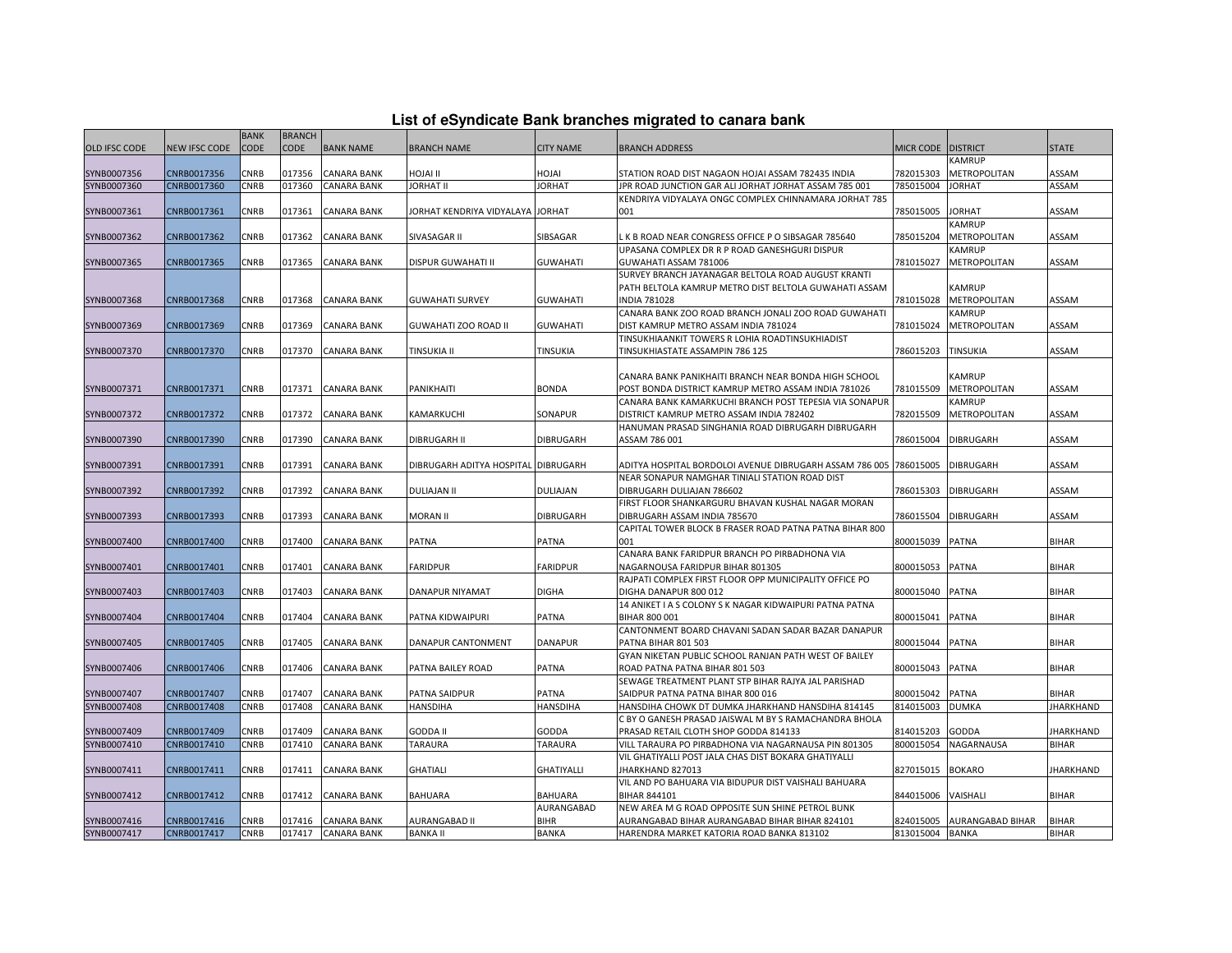|  |  | List of eSyndicate Bank branches migrated to canara bank |  |
|--|--|----------------------------------------------------------|--|
|--|--|----------------------------------------------------------|--|

|                      |                      | <b>BANK</b> | <b>BRANCH</b> |                    |                                     |                   |                                                                                         |                 |                         |                  |
|----------------------|----------------------|-------------|---------------|--------------------|-------------------------------------|-------------------|-----------------------------------------------------------------------------------------|-----------------|-------------------------|------------------|
| <b>OLD IFSC CODE</b> | <b>NEW IFSC CODE</b> | <b>CODE</b> | <b>CODE</b>   | <b>BANK NAME</b>   | <b>BRANCH NAME</b>                  | <b>CITY NAME</b>  | <b>BRANCH ADDRESS</b>                                                                   | MICR CODE       | <b>DISTRICT</b>         | <b>STATE</b>     |
|                      |                      |             |               |                    |                                     |                   |                                                                                         |                 | KAMRUP                  |                  |
| SYNB0007356          | CNRB0017356          | CNRB        | 017356        | <b>CANARA BANK</b> | <b>II IALOH</b>                     | IALOH             | STATION ROAD DIST NAGAON HOJAI ASSAM 782435 INDIA                                       | 782015303       | <b>METROPOLITAN</b>     | ASSAM            |
| SYNB0007360          | CNRB0017360          | CNRB        | 017360        | <b>CANARA BANK</b> | <b>JORHAT II</b>                    | <b>JORHAT</b>     | JPR ROAD JUNCTION GAR ALI JORHAT JORHAT ASSAM 785 001                                   | 785015004       | <b>JORHAT</b>           | ASSAM            |
|                      |                      |             |               |                    |                                     |                   | KENDRIYA VIDYALAYA ONGC COMPLEX CHINNAMARA JORHAT 785                                   |                 |                         |                  |
| SYNB0007361          | CNRB0017361          | CNRB        | 017361        | <b>CANARA BANK</b> | IORHAT KENDRIYA VIDYALAYA JORHAT    |                   | 001                                                                                     | 785015005       | <b>JORHAT</b>           | ASSAM            |
|                      |                      |             |               |                    |                                     |                   |                                                                                         |                 | KAMRUP                  |                  |
| SYNB0007362          | CNRB0017362          | CNRB        | 017362        | <b>CANARA BANK</b> | SIVASAGAR II                        | SIBSAGAR          | . K B ROAD NEAR CONGRESS OFFICE P O SIBSAGAR 785640                                     | 785015204       | METROPOLITAN            | ASSAM            |
|                      |                      |             |               |                    |                                     |                   | UPASANA COMPLEX DR R P ROAD GANESHGURI DISPUR                                           |                 | KAMRUP                  |                  |
| SYNB0007365          | CNRB0017365          | CNRB        | 017365        | <b>CANARA BANK</b> | DISPUR GUWAHATI II                  | <b>GUWAHATI</b>   | GUWAHATI ASSAM 781006                                                                   | 781015027       | <b>METROPOLITAN</b>     | ASSAM            |
|                      |                      |             |               |                    |                                     |                   | SURVEY BRANCH JAYANAGAR BELTOLA ROAD AUGUST KRANTI                                      |                 |                         |                  |
|                      |                      |             |               |                    |                                     |                   | PATH BELTOLA KAMRUP METRO DIST BELTOLA GUWAHATI ASSAM                                   |                 | KAMRUP                  |                  |
| SYNB0007368          | CNRB0017368          | CNRB        | 017368        | <b>CANARA BANK</b> | <b>GUWAHATI SURVEY</b>              | <b>GUWAHATI</b>   | <b>INDIA 781028</b>                                                                     | 781015028       | <b>METROPOLITAN</b>     | ASSAM            |
|                      |                      |             |               |                    |                                     |                   | CANARA BANK ZOO ROAD BRANCH JONALI ZOO ROAD GUWAHATI                                    |                 | KAMRUP                  |                  |
| SYNB0007369          | CNRB0017369          | CNRB        | 017369        | <b>CANARA BANK</b> | GUWAHATI ZOO ROAD II                | <b>GUWAHATI</b>   | DIST KAMRUP METRO ASSAM INDIA 781024                                                    | 781015024       | <b>METROPOLITAN</b>     | ASSAM            |
|                      |                      |             |               |                    |                                     |                   | TINSUKHIAANKIT TOWERS R LOHIA ROADTINSUKHIADIST                                         |                 |                         |                  |
| SYNB0007370          | CNRB0017370          | CNRB        | 017370        | <b>CANARA BANK</b> | TINSUKIA II                         | <b>TINSUKIA</b>   | TINSUKHIASTATE ASSAMPIN 786 125                                                         | 786015203       | <b>TINSUKIA</b>         | ASSAM            |
|                      |                      |             |               |                    |                                     |                   |                                                                                         |                 |                         |                  |
|                      |                      |             |               |                    |                                     |                   | CANARA BANK PANIKHAITI BRANCH NEAR BONDA HIGH SCHOOL                                    |                 | KAMRUP                  |                  |
| SYNB0007371          | CNRB0017371          | CNRB        | 017371        | <b>CANARA BANK</b> | PANIKHAITI                          | <b>BONDA</b>      | POST BONDA DISTRICT KAMRUP METRO ASSAM INDIA 781026                                     | 781015509       | <b>METROPOLITAN</b>     | ASSAM            |
|                      |                      |             |               |                    |                                     |                   | CANARA BANK KAMARKUCHI BRANCH POST TEPESIA VIA SONAPUR                                  |                 | KAMRUP                  |                  |
| SYNB0007372          | CNRB0017372          | CNRB        | 017372        | <b>CANARA BANK</b> | KAMARKUCHI                          | SONAPUR           | DISTRICT KAMRUP METRO ASSAM INDIA 782402                                                | 782015509       | <b>METROPOLITAN</b>     | ASSAM            |
|                      |                      |             |               |                    |                                     |                   | HANUMAN PRASAD SINGHANIA ROAD DIBRUGARH DIBRUGARH                                       |                 |                         |                  |
| SYNB0007390          | CNRB0017390          | CNRB        | 017390        | <b>CANARA BANK</b> | <b>DIBRUGARH II</b>                 | <b>DIBRUGARH</b>  | ASSAM 786 001                                                                           | 786015004       | <b>DIBRUGARH</b>        | ASSAM            |
|                      |                      |             |               |                    |                                     |                   |                                                                                         |                 |                         |                  |
| SYNB0007391          | CNRB0017391          | CNRB        | 017391        | <b>CANARA BANK</b> | DIBRUGARH ADITYA HOSPITAL DIBRUGARH |                   | ADITYA HOSPITAL BORDOLOI AVENUE DIBRUGARH ASSAM 786 005                                 | 786015005       | <b>DIBRUGARH</b>        | ASSAM            |
|                      |                      |             |               |                    |                                     |                   | NEAR SONAPUR NAMGHAR TINIALI STATION ROAD DIST                                          |                 |                         |                  |
| SYNB0007392          | CNRB0017392          | CNRB        | 017392        | <b>CANARA BANK</b> | <b>DULIAJAN II</b>                  | <b>DULIAJAN</b>   | DIBRUGARH DULIAJAN 786602                                                               | 786015303       | <b>DIBRUGARH</b>        | ASSAM            |
|                      |                      |             |               |                    |                                     |                   | FIRST FLOOR SHANKARGURU BHAVAN KUSHAL NAGAR MORAN                                       |                 |                         |                  |
| SYNB0007393          | CNRB0017393          | CNRB        | 017393        | <b>CANARA BANK</b> | <b>MORAN II</b>                     | <b>DIBRUGARH</b>  | DIBRUGARH ASSAM INDIA 785670                                                            | 786015504       | <b>DIBRUGARH</b>        | ASSAM            |
|                      |                      |             |               |                    |                                     |                   | CAPITAL TOWER BLOCK B FRASER ROAD PATNA PATNA BIHAR 800                                 |                 |                         |                  |
| SYNB0007400          | CNRB0017400          | CNRB        | 017400        | <b>CANARA BANK</b> | PATNA                               | PATNA             | 001                                                                                     | 800015039       | <b>PATNA</b>            | <b>BIHAR</b>     |
|                      |                      |             |               |                    |                                     |                   | CANARA BANK FARIDPUR BRANCH PO PIRBADHONA VIA                                           |                 |                         |                  |
| SYNB0007401          | CNRB0017401          | CNRB        | 017401        | <b>CANARA BANK</b> | <b>FARIDPUR</b>                     | <b>FARIDPUR</b>   | NAGARNOUSA FARIDPUR BIHAR 801305                                                        | 800015053       | <b>PATNA</b>            | <b>BIHAR</b>     |
|                      |                      |             |               |                    |                                     |                   | RAJPATI COMPLEX FIRST FLOOR OPP MUNICIPALITY OFFICE PO                                  |                 |                         |                  |
| SYNB0007403          | CNRB0017403          | <b>CNRB</b> | 017403        | <b>CANARA BANK</b> | DANAPUR NIYAMAT                     | <b>DIGHA</b>      | DIGHA DANAPUR 800 012                                                                   | 800015040       | <b>PATNA</b>            | <b>BIHAR</b>     |
|                      |                      |             |               |                    |                                     |                   | 14 ANIKET I A S COLONY S K NAGAR KIDWAIPURI PATNA PATNA                                 |                 |                         |                  |
| SYNB0007404          | CNRB0017404          | CNRB        | 017404        | <b>CANARA BANK</b> | PATNA KIDWAIPURI                    | <b>PATNA</b>      | BIHAR 800 001                                                                           | 800015041       | PATNA                   | <b>BIHAR</b>     |
|                      |                      |             |               |                    |                                     |                   | CANTONMENT BOARD CHAVANI SADAN SADAR BAZAR DANAPUR                                      |                 |                         |                  |
| SYNB0007405          | CNRB0017405          | CNRB        | 017405        | CANARA BANK        | DANAPUR CANTONMENT                  | <b>DANAPUR</b>    | PATNA BIHAR 801 503                                                                     | 800015044       | <b>PATNA</b>            | <b>BIHAR</b>     |
| SYNB0007406          | CNRB0017406          | CNRB        | 017406        | <b>CANARA BANK</b> | PATNA BAILEY ROAD                   | <b>PATNA</b>      | GYAN NIKETAN PUBLIC SCHOOL RANJAN PATH WEST OF BAILEY<br>ROAD PATNA PATNA BIHAR 801 503 | 800015043       | <b>PATNA</b>            | <b>BIHAR</b>     |
|                      |                      |             |               |                    |                                     |                   | SEWAGE TREATMENT PLANT STP BIHAR RAJYA JAL PARISHAD                                     |                 |                         |                  |
| SYNB0007407          | CNRB0017407          | CNRB        | 017407        | CANARA BANK        | PATNA SAIDPUR                       | <b>PATNA</b>      | SAIDPUR PATNA PATNA BIHAR 800 016                                                       | 800015042       | PATNA                   | <b>BIHAR</b>     |
| SYNB0007408          | CNRB0017408          | CNRB        | 017408        | <b>CANARA BANK</b> | <b>HANSDIHA</b>                     | <b>HANSDIHA</b>   | HANSDIHA CHOWK DT DUMKA JHARKHAND HANSDIHA 814145                                       | 814015003       | <b>DUMKA</b>            | <b>JHARKHAND</b> |
|                      |                      |             |               |                    |                                     |                   | C BY O GANESH PRASAD JAISWAL M BY S RAMACHANDRA BHOLA                                   |                 |                         |                  |
| SYNB0007409          | CNRB0017409          | CNRB        | 017409        | <b>CANARA BANK</b> | <b>GODDA II</b>                     | GODDA             | PRASAD RETAIL CLOTH SHOP GODDA 814133                                                   | 814015203       | <b>GODDA</b>            | <b>JHARKHAND</b> |
| SYNB0007410          | CNRB0017410          | CNRB        | 017410        | <b>CANARA BANK</b> | <b>TARAURA</b>                      | <b>TARAURA</b>    | VILL TARAURA PO PIRBADHONA VIA NAGARNAUSA PIN 801305                                    | 800015054       | NAGARNAUSA              | <b>BIHAR</b>     |
|                      |                      |             |               |                    |                                     |                   | VIL GHATIYALLI POST JALA CHAS DIST BOKARA GHATIYALLI                                    |                 |                         |                  |
| SYNB0007411          | CNRB0017411          | CNRB        | 017411        | <b>CANARA BANK</b> | <b>GHATIALI</b>                     | <b>GHATIYALLI</b> | JHARKHAND 827013                                                                        | 827015015       | <b>BOKARO</b>           | JHARKHAND        |
|                      |                      |             |               |                    |                                     |                   | VIL AND PO BAHUARA VIA BIDUPUR DIST VAISHALI BAHUARA                                    |                 |                         |                  |
| SYNB0007412          | CNRB0017412          | CNRB        | 017412        | <b>CANARA BANK</b> | <b>BAHUARA</b>                      | <b>BAHUARA</b>    | <b>BIHAR 844101</b>                                                                     | 844015006       | VAISHALI                | <b>BIHAR</b>     |
|                      |                      |             |               |                    |                                     | AURANGABAD        | NEW AREA M G ROAD OPPOSITE SUN SHINE PETROL BUNK                                        |                 |                         |                  |
| SYNB0007416          | CNRB0017416          | <b>CNRB</b> | 017416        | <b>CANARA BANK</b> | AURANGABAD II                       | <b>BIHR</b>       | AURANGABAD BIHAR AURANGABAD BIHAR BIHAR 824101                                          | 824015005       | <b>AURANGABAD BIHAR</b> | <b>BIHAR</b>     |
| SYNB0007417          | CNRB0017417          | CNRB        | 017417        | <b>CANARA BANK</b> | <b>BANKA II</b>                     | <b>BANKA</b>      | HARENDRA MARKET KATORIA ROAD BANKA 813102                                               | 813015004 BANKA |                         | <b>BIHAR</b>     |
|                      |                      |             |               |                    |                                     |                   |                                                                                         |                 |                         |                  |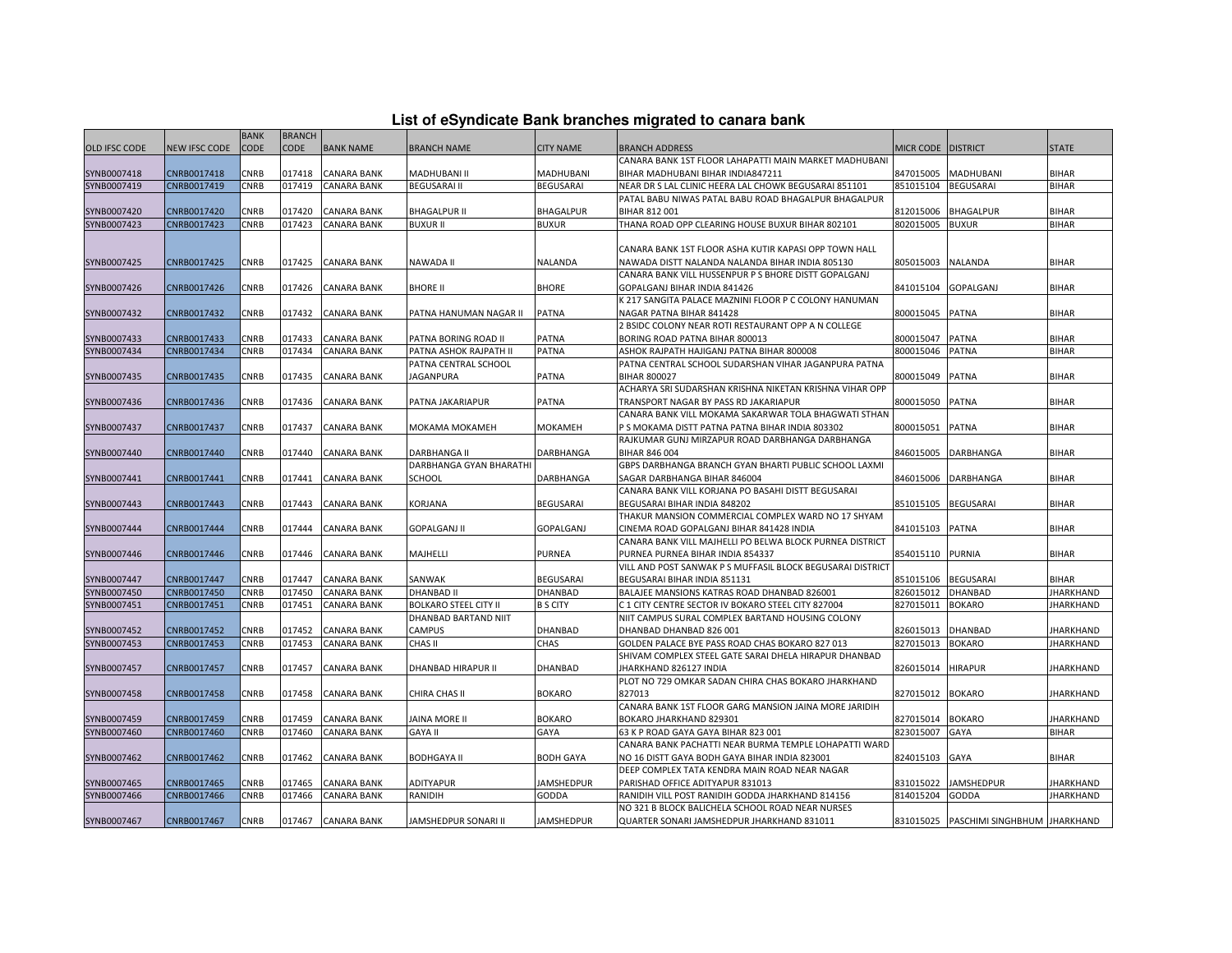| List of eSyndicate Bank branches migrated to canara bank |  |  |
|----------------------------------------------------------|--|--|
|----------------------------------------------------------|--|--|

|                      | List of eSyndicate Bank branches migrated to canara bank |             |               |                    |                              |                   |                                                                                               |                    |                                        |                  |  |
|----------------------|----------------------------------------------------------|-------------|---------------|--------------------|------------------------------|-------------------|-----------------------------------------------------------------------------------------------|--------------------|----------------------------------------|------------------|--|
|                      |                                                          | <b>BANK</b> | <b>BRANCH</b> |                    |                              |                   |                                                                                               |                    |                                        |                  |  |
| <b>OLD IFSC CODE</b> | <b>VEW IFSC CODE</b>                                     | <b>CODE</b> | CODE          | <b>BANK NAME</b>   | <b>BRANCH NAME</b>           | <b>CITY NAME</b>  | <b>BRANCH ADDRESS</b>                                                                         | MICR CODE DISTRICT |                                        | <b>STATE</b>     |  |
|                      |                                                          |             |               |                    |                              |                   | CANARA BANK 1ST FLOOR LAHAPATTI MAIN MARKET MADHUBANI                                         |                    |                                        |                  |  |
| SYNB0007418          | CNRB0017418                                              | CNRB        | 017418        | <b>CANARA BANK</b> | MADHUBANI II                 | MADHUBANI         | BIHAR MADHUBANI BIHAR INDIA847211                                                             | 847015005          | MADHUBANI                              | <b>BIHAR</b>     |  |
| SYNB0007419          | CNRB0017419                                              | CNRB        | 017419        | <b>CANARA BANK</b> | <b>BEGUSARAI II</b>          | <b>BEGUSARAI</b>  | NEAR DR S LAL CLINIC HEERA LAL CHOWK BEGUSARAI 851101                                         | 851015104          | <b>BEGUSARAI</b>                       | <b>BIHAR</b>     |  |
|                      |                                                          |             |               |                    |                              |                   | PATAL BABU NIWAS PATAL BABU ROAD BHAGALPUR BHAGALPUR                                          |                    |                                        |                  |  |
| SYNB0007420          | CNRB0017420                                              | CNRB        | 017420        | <b>CANARA BANK</b> | <b>BHAGALPUR II</b>          | <b>BHAGALPUR</b>  | BIHAR 812 001                                                                                 | 812015006          | BHAGALPUR                              | <b>BIHAR</b>     |  |
| SYNB0007423          | CNRB0017423                                              | CNRB        | 017423        | <b>CANARA BANK</b> | <b>BUXUR II</b>              | <b>BUXUR</b>      | THANA ROAD OPP CLEARING HOUSE BUXUR BIHAR 802101                                              | 802015005          | <b>BUXUR</b>                           | <b>BIHAR</b>     |  |
|                      |                                                          |             |               |                    |                              |                   |                                                                                               |                    |                                        |                  |  |
|                      |                                                          |             |               |                    |                              |                   | CANARA BANK 1ST FLOOR ASHA KUTIR KAPASI OPP TOWN HALL                                         |                    |                                        |                  |  |
| SYNB0007425          | CNRB0017425                                              | CNRB        | 017425        | <b>CANARA BANK</b> | NAWADA II                    | <b>NALANDA</b>    | NAWADA DISTT NALANDA NALANDA BIHAR INDIA 805130                                               | 805015003          | <b>NALANDA</b>                         | <b>BIHAR</b>     |  |
|                      |                                                          |             |               |                    |                              |                   | CANARA BANK VILL HUSSENPUR P S BHORE DISTT GOPALGANJ                                          |                    |                                        |                  |  |
| SYNB0007426          | CNRB0017426                                              | CNRB        | 017426        | <b>CANARA BANK</b> | <b>BHORE II</b>              | <b>BHORE</b>      | GOPALGANJ BIHAR INDIA 841426                                                                  | 841015104          | GOPALGANJ                              | <b>BIHAR</b>     |  |
|                      |                                                          |             |               |                    |                              |                   | K 217 SANGITA PALACE MAZNINI FLOOR P C COLONY HANUMAN                                         |                    |                                        |                  |  |
| SYNB0007432          | CNRB0017432                                              | CNRB        | 017432        | <b>CANARA BANK</b> | PATNA HANUMAN NAGAR II       | <b>PATNA</b>      | NAGAR PATNA BIHAR 841428                                                                      | 800015045          | PATNA                                  | <b>BIHAR</b>     |  |
|                      |                                                          |             |               |                    |                              |                   | 2 BSIDC COLONY NEAR ROTI RESTAURANT OPP A N COLLEGE                                           |                    |                                        |                  |  |
| SYNB0007433          | CNRB0017433                                              | CNRB        | 017433        | <b>CANARA BANK</b> | PATNA BORING ROAD II         | <b>PATNA</b>      | BORING ROAD PATNA BIHAR 800013                                                                | 800015047          | PATNA                                  | <b>BIHAR</b>     |  |
| SYNB0007434          | CNRB0017434                                              | CNRB        | 017434        | <b>CANARA BANK</b> | PATNA ASHOK RAJPATH II       | PATNA             | ASHOK RAJPATH HAJIGANJ PATNA BIHAR 800008                                                     | 800015046          | PATNA                                  | <b>BIHAR</b>     |  |
|                      |                                                          |             |               |                    | PATNA CENTRAL SCHOOL         |                   | PATNA CENTRAL SCHOOL SUDARSHAN VIHAR JAGANPURA PATNA                                          |                    |                                        |                  |  |
| SYNB0007435          | CNRB0017435                                              | CNRB        | 017435        | <b>CANARA BANK</b> | <b>JAGANPURA</b>             | PATNA             | BIHAR 800027                                                                                  | 800015049          | PATNA                                  | <b>BIHAR</b>     |  |
|                      |                                                          |             |               |                    |                              |                   | ACHARYA SRI SUDARSHAN KRISHNA NIKETAN KRISHNA VIHAR OPP                                       |                    |                                        |                  |  |
| SYNB0007436          | CNRB0017436                                              | CNRB        | 017436        | <b>CANARA BANK</b> | PATNA JAKARIAPUR             | PATNA             | TRANSPORT NAGAR BY PASS RD JAKARIAPUR<br>CANARA BANK VILL MOKAMA SAKARWAR TOLA BHAGWATI STHAN | 800015050          | PATNA                                  | <b>BIHAR</b>     |  |
|                      |                                                          | CNRB        | 017437        | <b>CANARA BANK</b> | MOKAMA MOKAMEH               | <b>MOKAMEH</b>    | P S MOKAMA DISTT PATNA PATNA BIHAR INDIA 803302                                               | 800015051          | PATNA                                  | <b>BIHAR</b>     |  |
| SYNB0007437          | CNRB0017437                                              |             |               |                    |                              |                   | RAJKUMAR GUNJ MIRZAPUR ROAD DARBHANGA DARBHANGA                                               |                    |                                        |                  |  |
| SYNB0007440          | CNRB0017440                                              | CNRB        | 017440        | <b>CANARA BANK</b> | <b>DARBHANGA II</b>          | DARBHANGA         | BIHAR 846 004                                                                                 | 846015005          | <b>DARBHANGA</b>                       | <b>BIHAR</b>     |  |
|                      |                                                          |             |               |                    | DARBHANGA GYAN BHARATHI      |                   | GBPS DARBHANGA BRANCH GYAN BHARTI PUBLIC SCHOOL LAXMI                                         |                    |                                        |                  |  |
| SYNB0007441          | CNRB0017441                                              | CNRB        | 017441        | <b>CANARA BANK</b> | SCHOOL                       | DARBHANGA         | SAGAR DARBHANGA BIHAR 846004                                                                  | 846015006          | DARBHANGA                              | <b>BIHAR</b>     |  |
|                      |                                                          |             |               |                    |                              |                   | CANARA BANK VILL KORJANA PO BASAHI DISTT BEGUSARAI                                            |                    |                                        |                  |  |
| SYNB0007443          | CNRB0017443                                              | CNRB        | 017443        | <b>CANARA BANK</b> | KORJANA                      | <b>BEGUSARAI</b>  | BEGUSARAI BIHAR INDIA 848202                                                                  | 851015105          | BEGUSARAI                              | <b>BIHAR</b>     |  |
|                      |                                                          |             |               |                    |                              |                   | THAKUR MANSION COMMERCIAL COMPLEX WARD NO 17 SHYAM                                            |                    |                                        |                  |  |
| SYNB0007444          | CNRB0017444                                              | CNRB        | 017444        | <b>CANARA BANK</b> | <b>GOPALGANJ II</b>          | GOPALGANJ         | CINEMA ROAD GOPALGANJ BIHAR 841428 INDIA                                                      | 841015103          | <b>PATNA</b>                           | <b>BIHAR</b>     |  |
|                      |                                                          |             |               |                    |                              |                   | CANARA BANK VILL MAJHELLI PO BELWA BLOCK PURNEA DISTRICT                                      |                    |                                        |                  |  |
| SYNB0007446          | CNRB0017446                                              | CNRB        | 017446        | <b>CANARA BANK</b> | MAJHELLI                     | <b>PURNEA</b>     | PURNEA PURNEA BIHAR INDIA 854337                                                              | 854015110          | <b>PURNIA</b>                          | <b>BIHAR</b>     |  |
|                      |                                                          |             |               |                    |                              |                   | VILL AND POST SANWAK P S MUFFASIL BLOCK BEGUSARAI DISTRICT                                    |                    |                                        |                  |  |
| SYNB0007447          | CNRB0017447                                              | CNRB        | 017447        | <b>CANARA BANK</b> | SANWAK                       | <b>BEGUSARAI</b>  | BEGUSARAI BIHAR INDIA 851131                                                                  | 851015106          | <b>BEGUSARAI</b>                       | <b>BIHAR</b>     |  |
| SYNB0007450          | CNRB0017450                                              | <b>CNRB</b> | 017450        | <b>CANARA BANK</b> | DHANBAD II                   | DHANBAD           | BALAJEE MANSIONS KATRAS ROAD DHANBAD 826001                                                   | 826015012          | <b>DHANBAD</b>                         | <b>JHARKHAND</b> |  |
| SYNB0007451          | CNRB0017451                                              | CNRB        | 017451        | <b>CANARA BANK</b> | <b>BOLKARO STEEL CITY II</b> | <b>B S CITY</b>   | C 1 CITY CENTRE SECTOR IV BOKARO STEEL CITY 827004                                            | 827015011          | <b>BOKARO</b>                          | <b>JHARKHAND</b> |  |
|                      |                                                          |             |               |                    | DHANBAD BARTAND NIIT         |                   | NIIT CAMPUS SURAL COMPLEX BARTAND HOUSING COLONY                                              |                    |                                        |                  |  |
| SYNB0007452          | CNRB0017452                                              | CNRB        | 017452        | <b>CANARA BANK</b> | <b>CAMPUS</b>                | <b>DHANBAD</b>    | DHANBAD DHANBAD 826 001                                                                       | 826015013          | <b>DHANBAD</b>                         | JHARKHAND        |  |
| SYNB0007453          | CNRB0017453                                              | CNRB        | 017453        | <b>CANARA BANK</b> | CHAS II                      | CHAS              | GOLDEN PALACE BYE PASS ROAD CHAS BOKARO 827 013                                               | 827015013          | <b>BOKARO</b>                          | <b>JHARKHAND</b> |  |
|                      |                                                          |             |               |                    |                              |                   | SHIVAM COMPLEX STEEL GATE SARAI DHELA HIRAPUR DHANBAD                                         |                    |                                        |                  |  |
| SYNB0007457          | CNRB0017457                                              | CNRB        | 017457        | CANARA BANK        | DHANBAD HIRAPUR II           | DHANBAD           | JHARKHAND 826127 INDIA                                                                        | 826015014          | <b>HIRAPUR</b>                         | JHARKHAND        |  |
|                      |                                                          |             |               |                    |                              |                   | PLOT NO 729 OMKAR SADAN CHIRA CHAS BOKARO JHARKHAND                                           |                    |                                        |                  |  |
| SYNB0007458          | CNRB0017458                                              | CNRB        | 017458        | <b>CANARA BANK</b> | CHIRA CHAS II                | <b>BOKARO</b>     | 827013                                                                                        | 827015012          | <b>BOKARO</b>                          | <b>JHARKHAND</b> |  |
|                      |                                                          |             |               |                    |                              |                   | CANARA BANK 1ST FLOOR GARG MANSION JAINA MORE JARIDIH                                         |                    |                                        |                  |  |
| SYNB0007459          | CNRB0017459                                              | CNRB        | 017459        | <b>CANARA BANK</b> | <b>JAINA MORE II</b>         | <b>BOKARO</b>     | BOKARO JHARKHAND 829301                                                                       | 827015014          | <b>BOKARO</b>                          | <b>JHARKHAND</b> |  |
| SYNB0007460          | CNRB0017460                                              | CNRB        | 017460        | <b>CANARA BANK</b> | <b>GAYA II</b>               | GAYA              | 63 K P ROAD GAYA GAYA BIHAR 823 001                                                           | 823015007          | <b>GAYA</b>                            | <b>BIHAR</b>     |  |
|                      |                                                          |             |               |                    |                              |                   | CANARA BANK PACHATTI NEAR BURMA TEMPLE LOHAPATTI WARD                                         |                    |                                        |                  |  |
| SYNB0007462          | CNRB0017462                                              | CNRB        | 017462        | <b>CANARA BANK</b> | <b>BODHGAYA II</b>           | <b>BODH GAYA</b>  | NO 16 DISTT GAYA BODH GAYA BIHAR INDIA 823001                                                 | 824015103          | GAYA                                   | <b>BIHAR</b>     |  |
|                      |                                                          |             |               |                    |                              |                   | DEEP COMPLEX TATA KENDRA MAIN ROAD NEAR NAGAR                                                 |                    |                                        |                  |  |
| SYNB0007465          | CNRB0017465                                              | CNRB        | 017465        | <b>CANARA BANK</b> | ADITYAPUR                    | JAMSHEDPUR        | PARISHAD OFFICE ADITYAPUR 831013                                                              | 831015022          | <b>JAMSHEDPUR</b>                      | JHARKHAND        |  |
| SYNB0007466          | CNRB0017466                                              | CNRB        | 017466        | <b>CANARA BANK</b> | RANIDIH                      | GODDA             | RANIDIH VILL POST RANIDIH GODDA JHARKHAND 814156                                              | 814015204          | <b>GODDA</b>                           | <b>JHARKHAND</b> |  |
|                      |                                                          |             |               |                    |                              |                   | NO 321 B BLOCK BALICHELA SCHOOL ROAD NEAR NURSES                                              |                    |                                        |                  |  |
| SYNB0007467          | CNRB0017467                                              | CNRB        |               | 017467 CANARA BANK | JAMSHEDPUR SONARI II         | <b>JAMSHEDPUR</b> | QUARTER SONARI JAMSHEDPUR JHARKHAND 831011                                                    |                    | 831015025 PASCHIMI SINGHBHUM JHARKHAND |                  |  |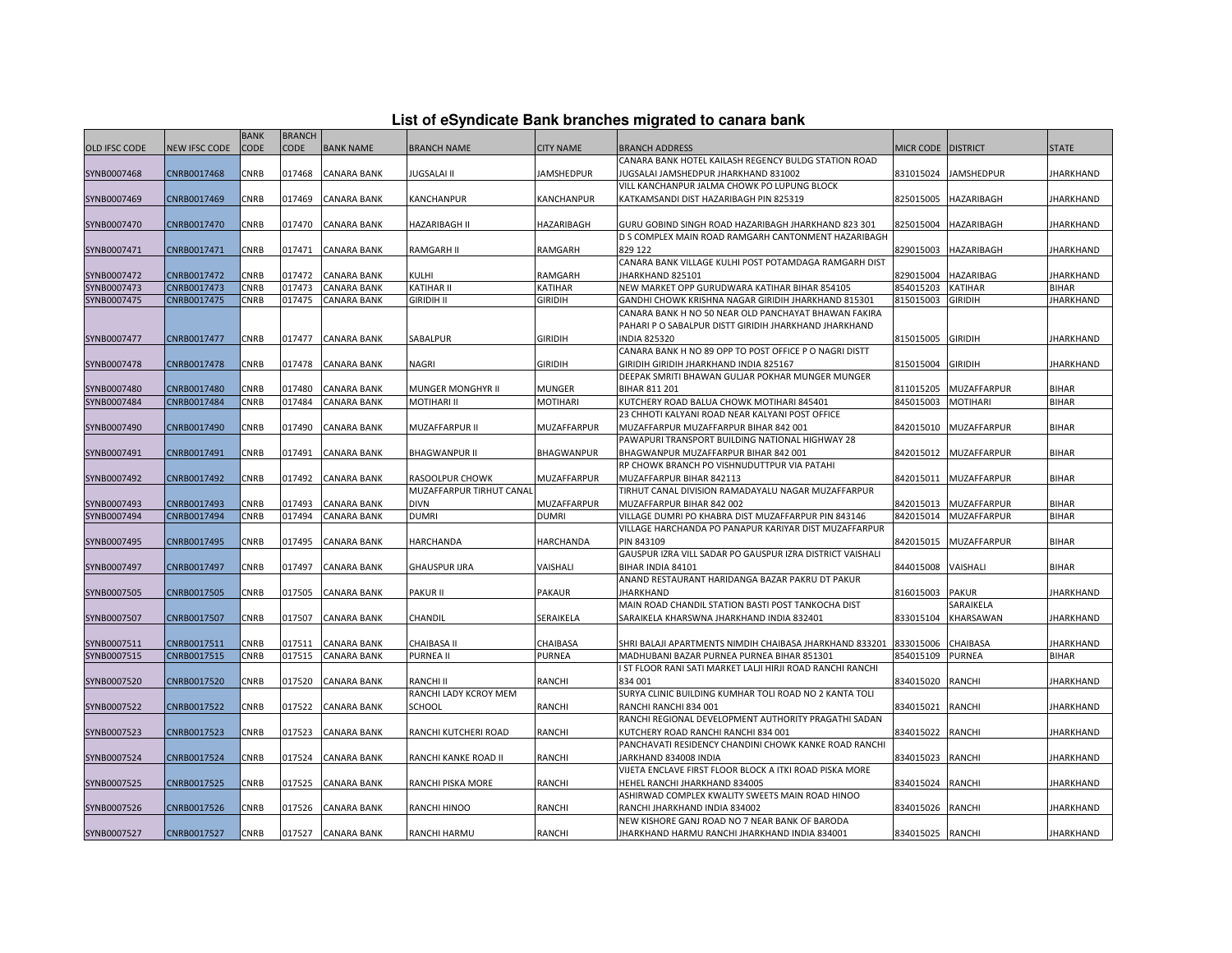| List of eSyndicate Bank branches migrated to canara bank |  |  |  |  |  |  |  |
|----------------------------------------------------------|--|--|--|--|--|--|--|
|----------------------------------------------------------|--|--|--|--|--|--|--|

|                            | List of eSyndicate Bank branches migrated to canara bank |              |                  |                                          |                            |                    |                                                                                                      |                        |                             |                           |  |
|----------------------------|----------------------------------------------------------|--------------|------------------|------------------------------------------|----------------------------|--------------------|------------------------------------------------------------------------------------------------------|------------------------|-----------------------------|---------------------------|--|
|                            |                                                          | <b>BANK</b>  | <b>BRANCH</b>    |                                          |                            |                    |                                                                                                      |                        |                             |                           |  |
| OLD IFSC CODE              | <b>NEW IFSC CODE</b>                                     | <b>CODE</b>  | CODE             | <b>BANK NAME</b>                         | <b>BRANCH NAME</b>         | <b>CITY NAME</b>   | <b>BRANCH ADDRESS</b>                                                                                | MICR CODE DISTRICT     |                             | <b>STATE</b>              |  |
|                            |                                                          |              |                  |                                          |                            |                    | CANARA BANK HOTEL KAILASH REGENCY BULDG STATION ROAD                                                 |                        |                             |                           |  |
| SYNB0007468                | CNRB0017468                                              | CNRB         | 017468           | <b>CANARA BANK</b>                       | JUGSALAI II                | JAMSHEDPUR         | JUGSALAI JAMSHEDPUR JHARKHAND 831002                                                                 | 831015024              | <b>JAMSHEDPUR</b>           | <b>JHARKHAND</b>          |  |
|                            |                                                          |              |                  |                                          |                            |                    | VILL KANCHANPUR JALMA CHOWK PO LUPUNG BLOCK                                                          |                        |                             |                           |  |
| SYNB0007469                | CNRB0017469                                              | CNRB         | 017469           | <b>CANARA BANK</b>                       | <b>KANCHANPUR</b>          | KANCHANPUR         | KATKAMSANDI DIST HAZARIBAGH PIN 825319                                                               | 825015005              | HAZARIBAGH                  | <b>JHARKHAND</b>          |  |
|                            |                                                          |              |                  |                                          |                            |                    |                                                                                                      |                        |                             |                           |  |
| SYNB0007470                | CNRB0017470                                              | CNRB         | 017470           | <b>CANARA BANK</b>                       | HAZARIBAGH II              | HAZARIBAGH         | GURU GOBIND SINGH ROAD HAZARIBAGH JHARKHAND 823 301                                                  | 825015004              | HAZARIBAGH                  | JHARKHAND                 |  |
|                            |                                                          |              |                  |                                          |                            |                    | D S COMPLEX MAIN ROAD RAMGARH CANTONMENT HAZARIBAGH                                                  |                        |                             |                           |  |
| SYNB0007471                | CNRB0017471                                              | CNRB         | 017471           | <b>CANARA BANK</b>                       | <b>RAMGARH II</b>          | RAMGARH            | 829 122                                                                                              |                        | 829015003 HAZARIBAGH        | <b>JHARKHAND</b>          |  |
|                            |                                                          |              |                  |                                          |                            |                    | CANARA BANK VILLAGE KULHI POST POTAMDAGA RAMGARH DIST                                                |                        |                             |                           |  |
| SYNB0007472<br>SYNB0007473 | CNRB0017472<br>CNRB0017473                               | CNRB<br>CNRB | 017472<br>017473 | <b>CANARA BANK</b><br><b>CANARA BANK</b> | KULHI<br><b>KATIHAR II</b> | RAMGARH<br>KATIHAR | JHARKHAND 825101                                                                                     | 829015004<br>854015203 | HAZARIBAG<br><b>KATIHAR</b> | JHARKHAND<br><b>BIHAR</b> |  |
|                            |                                                          |              |                  |                                          | <b>GIRIDIH II</b>          |                    | NEW MARKET OPP GURUDWARA KATIHAR BIHAR 854105<br>GANDHI CHOWK KRISHNA NAGAR GIRIDIH JHARKHAND 815301 |                        |                             |                           |  |
| SYNB0007475                | CNRB0017475                                              | CNRB         | 017475           | <b>CANARA BANK</b>                       |                            | GIRIDIH            | CANARA BANK H NO 50 NEAR OLD PANCHAYAT BHAWAN FAKIRA                                                 | 815015003              | <b>GIRIDIH</b>              | JHARKHAND                 |  |
|                            |                                                          |              |                  |                                          |                            |                    | PAHARI P O SABALPUR DISTT GIRIDIH JHARKHAND JHARKHAND                                                |                        |                             |                           |  |
| SYNB0007477                | CNRB0017477                                              | CNRB         | 017477           | <b>CANARA BANK</b>                       | SABALPUR                   | <b>GIRIDIH</b>     | <b>INDIA 825320</b>                                                                                  | 815015005              | <b>GIRIDIH</b>              | <b>JHARKHAND</b>          |  |
|                            |                                                          |              |                  |                                          |                            |                    | CANARA BANK H NO 89 OPP TO POST OFFICE P O NAGRI DISTT                                               |                        |                             |                           |  |
| SYNB0007478                | CNRB0017478                                              | CNRB         | 017478           | <b>CANARA BANK</b>                       | <b>NAGRI</b>               | <b>GIRIDIH</b>     | GIRIDIH GIRIDIH JHARKHAND INDIA 825167                                                               | 815015004 GIRIDIH      |                             | <b>JHARKHAND</b>          |  |
|                            |                                                          |              |                  |                                          |                            |                    | DEEPAK SMRITI BHAWAN GULJAR POKHAR MUNGER MUNGER                                                     |                        |                             |                           |  |
| SYNB0007480                | CNRB0017480                                              | CNRB         | 017480           | CANARA BANK                              | MUNGER MONGHYR II          | <b>MUNGER</b>      | BIHAR 811 201                                                                                        | 811015205              | MUZAFFARPUR                 | <b>BIHAR</b>              |  |
| SYNB0007484                | CNRB0017484                                              | CNRB         | 017484           | <b>CANARA BANK</b>                       | MOTIHARI II                | <b>MOTIHARI</b>    | KUTCHERY ROAD BALUA CHOWK MOTIHARI 845401                                                            | 845015003              | <b>MOTIHARI</b>             | <b>BIHAR</b>              |  |
|                            |                                                          |              |                  |                                          |                            |                    | 23 CHHOTI KALYANI ROAD NEAR KALYANI POST OFFICE                                                      |                        |                             |                           |  |
| SYNB0007490                | CNRB0017490                                              | CNRB         | 017490           | <b>CANARA BANK</b>                       | MUZAFFARPUR II             | MUZAFFARPUR        | MUZAFFARPUR MUZAFFARPUR BIHAR 842 001                                                                | 842015010              | <b>MUZAFFARPUR</b>          | <b>BIHAR</b>              |  |
|                            |                                                          |              |                  |                                          |                            |                    | PAWAPURI TRANSPORT BUILDING NATIONAL HIGHWAY 28                                                      |                        |                             |                           |  |
| SYNB0007491                | CNRB0017491                                              | <b>CNRB</b>  | 017491           | <b>CANARA BANK</b>                       | <b>BHAGWANPUR II</b>       | <b>BHAGWANPUR</b>  | BHAGWANPUR MUZAFFARPUR BIHAR 842 001                                                                 | 842015012              | <b>MUZAFFARPUR</b>          | <b>BIHAR</b>              |  |
|                            |                                                          |              |                  |                                          |                            |                    | RP CHOWK BRANCH PO VISHNUDUTTPUR VIA PATAHI                                                          |                        |                             |                           |  |
| SYNB0007492                | CNRB0017492                                              | CNRB         | 017492           | <b>CANARA BANK</b>                       | RASOOLPUR CHOWK            | MUZAFFARPUR        | MUZAFFARPUR BIHAR 842113                                                                             | 842015011              | MUZAFFARPUR                 | <b>BIHAR</b>              |  |
|                            |                                                          |              |                  |                                          | MUZAFFARPUR TIRHUT CANAL   |                    | TIRHUT CANAL DIVISION RAMADAYALU NAGAR MUZAFFARPUR                                                   |                        |                             |                           |  |
| SYNB0007493                | CNRB0017493                                              | CNRB         | 017493           | <b>CANARA BANK</b>                       | <b>DIVN</b>                | MUZAFFARPUR        | MUZAFFARPUR BIHAR 842 002                                                                            | 842015013              | MUZAFFARPUR                 | BIHAR                     |  |
| SYNB0007494                | CNRB0017494                                              | CNRB         | 017494           | <b>CANARA BANK</b>                       | <b>DUMRI</b>               | <b>DUMRI</b>       | VILLAGE DUMRI PO KHABRA DIST MUZAFFARPUR PIN 843146                                                  | 842015014              | <b>MUZAFFARPUR</b>          | <b>BIHAR</b>              |  |
|                            |                                                          |              |                  |                                          |                            |                    | VILLAGE HARCHANDA PO PANAPUR KARIYAR DIST MUZAFFARPUR                                                |                        |                             |                           |  |
| SYNB0007495                | CNRB0017495                                              | CNRB         | 017495           | <b>CANARA BANK</b>                       | HARCHANDA                  | HARCHANDA          | PIN 843109                                                                                           | 842015015              | MUZAFFARPUR                 | <b>BIHAR</b>              |  |
|                            |                                                          |              |                  |                                          |                            |                    | GAUSPUR IZRA VILL SADAR PO GAUSPUR IZRA DISTRICT VAISHALI                                            |                        |                             |                           |  |
| SYNB0007497                | CNRB0017497                                              | CNRB         | 017497           | <b>CANARA BANK</b>                       | <b>GHAUSPUR IJRA</b>       | VAISHALI           | BIHAR INDIA 84101                                                                                    | 844015008              | VAISHALI                    | <b>BIHAR</b>              |  |
|                            |                                                          |              |                  |                                          |                            |                    | ANAND RESTAURANT HARIDANGA BAZAR PAKRU DT PAKUR                                                      |                        |                             |                           |  |
| SYNB0007505                | CNRB0017505                                              | CNRB         | 017505           | <b>CANARA BANK</b>                       | <b>PAKUR II</b>            | <b>PAKAUR</b>      | <b>JHARKHAND</b>                                                                                     | 816015003              | <b>PAKUR</b>                | JHARKHAND                 |  |
|                            |                                                          |              |                  |                                          |                            |                    | MAIN ROAD CHANDIL STATION BASTI POST TANKOCHA DIST                                                   |                        | SARAIKELA                   |                           |  |
| SYNB0007507                | CNRB0017507                                              | CNRB         | 017507           | <b>CANARA BANK</b>                       | CHANDIL                    | SERAIKELA          | SARAIKELA KHARSWNA JHARKHAND INDIA 832401                                                            | 833015104              | KHARSAWAN                   | <b>JHARKHAND</b>          |  |
|                            |                                                          |              |                  |                                          |                            |                    |                                                                                                      |                        |                             |                           |  |
| SYNB0007511                | CNRB0017511                                              | CNRB         | 017511           | <b>CANARA BANK</b>                       | CHAIBASA II                | CHAIBASA           | SHRI BALAJI APARTMENTS NIMDIH CHAIBASA JHARKHAND 833201                                              | 833015006              | CHAIBASA                    | JHARKHAND                 |  |
| SYNB0007515                | CNRB0017515                                              | CNRB         | 017515           | <b>CANARA BANK</b>                       | <b>PURNEA II</b>           | <b>PURNEA</b>      | MADHUBANI BAZAR PURNEA PURNEA BIHAR 851301                                                           | 854015109              | <b>PURNEA</b>               | <b>BIHAR</b>              |  |
|                            |                                                          |              |                  |                                          |                            |                    | I ST FLOOR RANI SATI MARKET LALJI HIRJI ROAD RANCHI RANCHI                                           |                        |                             |                           |  |
| SYNB0007520                | CNRB0017520                                              | CNRB         | 017520           | <b>CANARA BANK</b>                       | RANCHI II                  | <b>RANCHI</b>      | 834 001                                                                                              | 834015020              | <b>RANCHI</b>               | JHARKHAND                 |  |
|                            |                                                          |              |                  |                                          | RANCHI LADY KCROY MEM      |                    | SURYA CLINIC BUILDING KUMHAR TOLI ROAD NO 2 KANTA TOLI                                               |                        |                             |                           |  |
| SYNB0007522                | CNRB0017522                                              | CNRB         | 017522           | <b>CANARA BANK</b>                       | SCHOOL                     | RANCHI             | RANCHI RANCHI 834 001                                                                                | 834015021              | <b>RANCHI</b>               | <b>JHARKHAND</b>          |  |
|                            |                                                          |              |                  |                                          |                            |                    | RANCHI REGIONAL DEVELOPMENT AUTHORITY PRAGATHI SADAN                                                 |                        |                             |                           |  |
| SYNB0007523                | CNRB0017523                                              | <b>CNRB</b>  | 017523           | <b>CANARA BANK</b>                       | RANCHI KUTCHERI ROAD       | RANCHI             | KUTCHERY ROAD RANCHI RANCHI 834 001                                                                  | 834015022              | <b>RANCHI</b>               | <b>JHARKHAND</b>          |  |
|                            |                                                          |              |                  |                                          |                            |                    | PANCHAVATI RESIDENCY CHANDINI CHOWK KANKE ROAD RANCHI                                                |                        |                             |                           |  |
| SYNB0007524                | CNRB0017524                                              | CNRB         | 017524           | <b>CANARA BANK</b>                       | RANCHI KANKE ROAD II       | <b>RANCHI</b>      | JARKHAND 834008 INDIA                                                                                | 834015023              | <b>RANCHI</b>               | JHARKHAND                 |  |
|                            |                                                          |              |                  |                                          |                            |                    | VIJETA ENCLAVE FIRST FLOOR BLOCK A ITKI ROAD PISKA MORE                                              |                        |                             |                           |  |
| SYNB0007525                | CNRB0017525                                              | CNRB         | 017525           | <b>CANARA BANK</b>                       | RANCHI PISKA MORE          | RANCHI             | HEHEL RANCHI JHARKHAND 834005                                                                        | 834015024              | <b>RANCHI</b>               | <b>JHARKHAND</b>          |  |
|                            |                                                          |              |                  |                                          |                            |                    | ASHIRWAD COMPLEX KWALITY SWEETS MAIN ROAD HINOO                                                      |                        |                             |                           |  |
| SYNB0007526                | CNRB0017526                                              | CNRB         | 017526           | <b>CANARA BANK</b>                       | RANCHI HINOO               | RANCHI             | RANCHI JHARKHAND INDIA 834002                                                                        | 834015026              | <b>RANCHI</b>               | JHARKHAND                 |  |
|                            |                                                          |              |                  |                                          |                            |                    | NEW KISHORE GANJ ROAD NO 7 NEAR BANK OF BARODA                                                       |                        |                             |                           |  |
| SYNB0007527                | CNRB0017527                                              | <b>CNRB</b>  |                  | 017527 CANARA BANK                       | RANCHI HARMU               | <b>RANCHI</b>      | JHARKHAND HARMU RANCHI JHARKHAND INDIA 834001                                                        | 834015025 RANCHI       |                             | <b>JHARKHAND</b>          |  |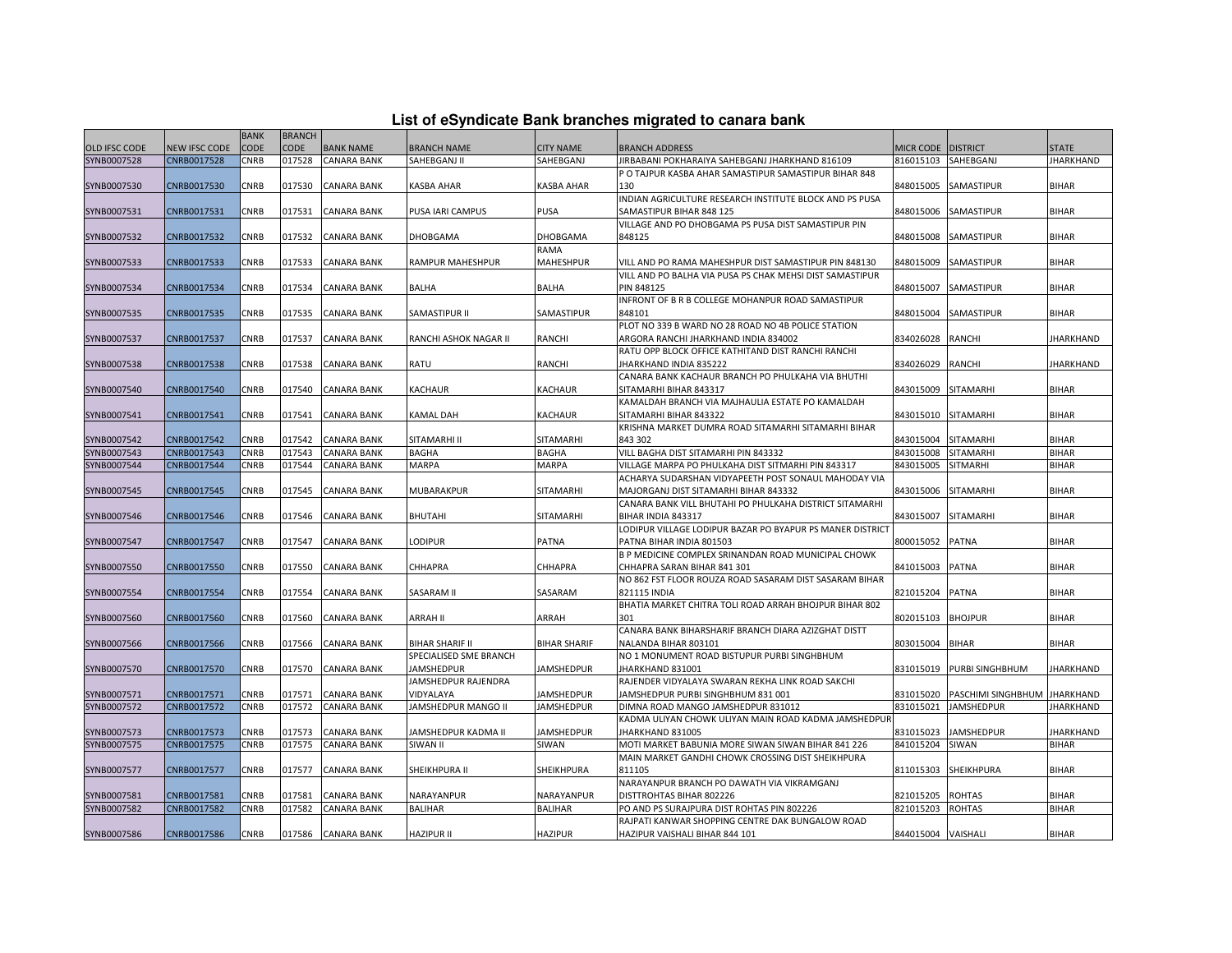|  |  | List of eSyndicate Bank branches migrated to canara bank |  |
|--|--|----------------------------------------------------------|--|
|--|--|----------------------------------------------------------|--|

|                      |               | <b>BANK</b> | <b>BRANCH</b> |                    |                        |                     |                                                           |                      |                              |                  |
|----------------------|---------------|-------------|---------------|--------------------|------------------------|---------------------|-----------------------------------------------------------|----------------------|------------------------------|------------------|
| <b>OLD IFSC CODE</b> | NEW IFSC CODE | CODE        | <b>CODE</b>   | <b>BANK NAME</b>   | <b>BRANCH NAME</b>     | <b>CITY NAME</b>    | <b>BRANCH ADDRESS</b>                                     | MICR CODE   DISTRICT |                              | <b>STATE</b>     |
| SYNB0007528          | CNRB0017528   | CNRB        | 017528        | <b>CANARA BANK</b> | SAHEBGANJ II           | SAHEBGANJ           | JIRBABANI POKHARAIYA SAHEBGANJ JHARKHAND 816109           | 816015103            | SAHEBGANJ                    | <b>JHARKHAND</b> |
|                      |               |             |               |                    |                        |                     | P O TAJPUR KASBA AHAR SAMASTIPUR SAMASTIPUR BIHAR 848     |                      |                              |                  |
| SYNB0007530          | CNRB0017530   | CNRB        | 017530        | <b>CANARA BANK</b> | KASBA AHAR             | KASBA AHAR          | 130                                                       | 848015005            | SAMASTIPUR                   | <b>BIHAR</b>     |
|                      |               |             |               |                    |                        |                     | INDIAN AGRICULTURE RESEARCH INSTITUTE BLOCK AND PS PUSA   |                      |                              |                  |
| SYNB0007531          | CNRB0017531   | <b>CNRB</b> | 017531        | <b>CANARA BANK</b> | PUSA IARI CAMPUS       | <b>PUSA</b>         | SAMASTIPUR BIHAR 848 125                                  | 848015006            | SAMASTIPUR                   | <b>BIHAR</b>     |
|                      |               |             |               |                    |                        |                     | VILLAGE AND PO DHOBGAMA PS PUSA DIST SAMASTIPUR PIN       |                      |                              |                  |
| SYNB0007532          | CNRB0017532   | CNRB        | 017532        | CANARA BANK        | DHOBGAMA               | <b>DHOBGAMA</b>     | 848125                                                    | 848015008            | SAMASTIPUR                   | <b>BIHAR</b>     |
|                      |               |             |               |                    |                        | RAMA                |                                                           |                      |                              |                  |
| SYNB0007533          | CNRB0017533   | CNRB        | 017533        | <b>CANARA BANK</b> | RAMPUR MAHESHPUR       | <b>MAHESHPUR</b>    | VILL AND PO RAMA MAHESHPUR DIST SAMASTIPUR PIN 848130     | 848015009            | SAMASTIPUR                   | <b>BIHAR</b>     |
|                      |               |             |               |                    |                        |                     | VILL AND PO BALHA VIA PUSA PS CHAK MEHSI DIST SAMASTIPUR  |                      |                              |                  |
| SYNB0007534          | CNRB0017534   | CNRB        | 017534        | <b>CANARA BANK</b> | BALHA                  | <b>BALHA</b>        | <b>PIN 848125</b>                                         | 848015007            | SAMASTIPUR                   | <b>BIHAR</b>     |
|                      |               |             |               |                    |                        |                     | INFRONT OF B R B COLLEGE MOHANPUR ROAD SAMASTIPUR         |                      |                              |                  |
| SYNB0007535          | CNRB0017535   | CNRB        | 017535        | CANARA BANK        | SAMASTIPUR II          | SAMASTIPUR          | 848101                                                    | 848015004            | SAMASTIPUR                   | <b>BIHAR</b>     |
|                      |               |             |               |                    |                        |                     | PLOT NO 339 B WARD NO 28 ROAD NO 4B POLICE STATION        |                      |                              |                  |
| SYNB0007537          | CNRB0017537   | CNRB        | 017537        | <b>CANARA BANK</b> | RANCHI ASHOK NAGAR II  | RANCHI              | ARGORA RANCHI JHARKHAND INDIA 834002                      | 834026028            | <b>RANCHI</b>                | <b>JHARKHAND</b> |
|                      |               |             |               |                    |                        |                     | RATU OPP BLOCK OFFICE KATHITAND DIST RANCHI RANCHI        |                      |                              |                  |
| SYNB0007538          | CNRB0017538   | <b>CNRB</b> | 017538        | <b>CANARA BANK</b> | RATU                   | <b>RANCHI</b>       | JHARKHAND INDIA 835222                                    | 834026029            | <b>RANCHI</b>                | <b>JHARKHAND</b> |
|                      |               |             |               |                    |                        |                     | CANARA BANK KACHAUR BRANCH PO PHULKAHA VIA BHUTHI         |                      |                              |                  |
| SYNB0007540          | CNRB0017540   | CNRB        | 017540        | CANARA BANK        | <b>KACHAUR</b>         | <b>KACHAUR</b>      | SITAMARHI BIHAR 843317                                    | 843015009            | SITAMARHI                    | <b>BIHAR</b>     |
|                      |               |             |               |                    |                        |                     | KAMALDAH BRANCH VIA MAJHAULIA ESTATE PO KAMALDAH          |                      |                              |                  |
| SYNB0007541          | CNRB0017541   | CNRB        | 017541        | <b>CANARA BANK</b> | KAMAL DAH              | KACHAUR             | SITAMARHI BIHAR 843322                                    | 843015010            | <b>SITAMARHI</b>             | <b>BIHAR</b>     |
|                      |               |             |               |                    |                        |                     | KRISHNA MARKET DUMRA ROAD SITAMARHI SITAMARHI BIHAR       |                      |                              |                  |
| SYNB0007542          | CNRB0017542   | CNRB        | 017542        | <b>CANARA BANK</b> | SITAMARHI II           | <b>SITAMARHI</b>    | 843 302                                                   | 843015004            | <b>SITAMARHI</b>             | <b>BIHAR</b>     |
| SYNB0007543          | CNRB0017543   | CNRB        | 017543        | <b>CANARA BANK</b> | <b>BAGHA</b>           | <b>BAGHA</b>        | VILL BAGHA DIST SITAMARHI PIN 843332                      | 843015008            | <b>SITAMARHI</b>             | <b>BIHAR</b>     |
| SYNB0007544          | CNRB0017544   | CNRB        | 017544        | CANARA BANK        | MARPA                  | MARPA               | VILLAGE MARPA PO PHULKAHA DIST SITMARHI PIN 843317        | 843015005            | SITMARHI                     | <b>BIHAR</b>     |
|                      |               |             |               |                    |                        |                     | ACHARYA SUDARSHAN VIDYAPEETH POST SONAUL MAHODAY VIA      |                      |                              |                  |
| SYNB0007545          | CNRB0017545   | CNRB        | 017545        | <b>CANARA BANK</b> | MUBARAKPUR             | SITAMARHI           | MAJORGANJ DIST SITAMARHI BIHAR 843332                     | 843015006            | <b>SITAMARHI</b>             | <b>BIHAR</b>     |
|                      |               |             |               |                    |                        |                     | CANARA BANK VILL BHUTAHI PO PHULKAHA DISTRICT SITAMARHI   |                      |                              |                  |
| SYNB0007546          | CNRB0017546   | <b>CNRB</b> | 017546        | <b>CANARA BANK</b> | BHUTAHI                | <b>SITAMARHI</b>    | BIHAR INDIA 843317                                        | 843015007            | <b>SITAMARHI</b>             | <b>BIHAR</b>     |
|                      |               |             |               |                    |                        |                     | LODIPUR VILLAGE LODIPUR BAZAR PO BYAPUR PS MANER DISTRICT |                      |                              |                  |
| SYNB0007547          | CNRB0017547   | CNRB        | 017547        | CANARA BANK        | LODIPUR                | <b>PATNA</b>        | PATNA BIHAR INDIA 801503                                  | 800015052            | <b>PATNA</b>                 | <b>BIHAR</b>     |
|                      |               |             |               |                    |                        |                     | B P MEDICINE COMPLEX SRINANDAN ROAD MUNICIPAL CHOWK       |                      |                              |                  |
| SYNB0007550          | CNRB0017550   | CNRB        | 017550        | CANARA BANK        | CHHAPRA                | CHHAPRA             | CHHAPRA SARAN BIHAR 841 301                               | 841015003            | <b>PATNA</b>                 | BIHAR            |
|                      |               |             |               |                    |                        |                     | NO 862 FST FLOOR ROUZA ROAD SASARAM DIST SASARAM BIHAR    |                      |                              |                  |
| SYNB0007554          | CNRB0017554   | CNRB        | 017554        | <b>CANARA BANK</b> | SASARAM II             | SASARAM             | 821115 INDIA                                              | 821015204            | <b>PATNA</b>                 | <b>BIHAR</b>     |
|                      |               |             |               |                    |                        |                     | BHATIA MARKET CHITRA TOLI ROAD ARRAH BHOJPUR BIHAR 802    |                      |                              |                  |
| SYNB0007560          | CNRB0017560   | CNRB        | 017560        | CANARA BANK        | ARRAH II               | ARRAH               | 301                                                       | 802015103            | <b>BHOJPUR</b>               | <b>BIHAR</b>     |
|                      |               |             |               |                    |                        |                     | CANARA BANK BIHARSHARIF BRANCH DIARA AZIZGHAT DISTT       |                      |                              |                  |
| SYNB0007566          | CNRB0017566   | CNRB        | 017566        | <b>CANARA BANK</b> | <b>BIHAR SHARIF II</b> | <b>BIHAR SHARIF</b> | NALANDA BIHAR 803101                                      | 803015004            | <b>BIHAR</b>                 | <b>BIHAR</b>     |
|                      |               |             |               |                    | SPECIALISED SME BRANCH |                     | NO 1 MONUMENT ROAD BISTUPUR PURBI SINGHBHUM               |                      |                              |                  |
| SYNB0007570          | CNRB0017570   | <b>CNRB</b> | 017570        | <b>CANARA BANK</b> | JAMSHEDPUR             | <b>JAMSHEDPUR</b>   | JHARKHAND 831001                                          | 831015019            | PURBI SINGHBHUM              | <b>JHARKHAND</b> |
|                      |               |             |               |                    | JAMSHEDPUR RAJENDRA    |                     | RAJENDER VIDYALAYA SWARAN REKHA LINK ROAD SAKCHI          |                      |                              |                  |
| SYNB0007571          | CNRB0017571   | CNRB        | 017571        | CANARA BANK        | VIDYALAYA              | JAMSHEDPUR          | JAMSHEDPUR PURBI SINGHBHUM 831 001                        | 831015020            | PASCHIMI SINGHBHUM JHARKHAND |                  |
| SYNB0007572          | CNRB0017572   | <b>CNRB</b> | 017572        | <b>CANARA BANK</b> | JAMSHEDPUR MANGO II    | <b>JAMSHEDPUR</b>   | DIMNA ROAD MANGO JAMSHEDPUR 831012                        | 831015021            | <b>JAMSHEDPUR</b>            | <b>JHARKHAND</b> |
|                      |               |             |               |                    |                        |                     | KADMA ULIYAN CHOWK ULIYAN MAIN ROAD KADMA JAMSHEDPUR      |                      |                              |                  |
| SYNB0007573          | CNRB0017573   | CNRB        | 017573        | CANARA BANK        | JAMSHEDPUR KADMA II    | <b>JAMSHEDPUR</b>   | JHARKHAND 831005                                          | 831015023            | <b>JAMSHEDPUR</b>            | JHARKHAND        |
| SYNB0007575          | CNRB0017575   | CNRB        | 017575        | <b>CANARA BANK</b> | SIWAN II               | SIWAN               | MOTI MARKET BABUNIA MORE SIWAN SIWAN BIHAR 841 226        | 841015204            | SIWAN                        | <b>BIHAR</b>     |
|                      |               |             |               |                    |                        |                     | MAIN MARKET GANDHI CHOWK CROSSING DIST SHEIKHPURA         |                      |                              |                  |
| SYNB0007577          | CNRB0017577   | CNRB        | 017577        | CANARA BANK        | SHEIKHPURA II          | <b>SHEIKHPURA</b>   | 811105                                                    | 811015303            | <b>SHEIKHPURA</b>            | <b>BIHAR</b>     |
|                      |               |             |               |                    |                        |                     | NARAYANPUR BRANCH PO DAWATH VIA VIKRAMGANJ                |                      |                              |                  |
| SYNB0007581          | CNRB0017581   | CNRB        | 017581        | <b>CANARA BANK</b> | NARAYANPUR             | NARAYANPUR          | DISTTROHTAS BIHAR 802226                                  | 821015205            | <b>ROHTAS</b>                | BIHAR            |
| SYNB0007582          | CNRB0017582   | CNRB        | 017582        | CANARA BANK        | <b>BALIHAR</b>         | <b>BALIHAR</b>      | PO AND PS SURAJPURA DIST ROHTAS PIN 802226                | 821015203            | <b>ROHTAS</b>                | <b>BIHAR</b>     |
|                      |               |             |               |                    |                        |                     | RAJPATI KANWAR SHOPPING CENTRE DAK BUNGALOW ROAD          |                      |                              |                  |
| SYNB0007586          | CNRB0017586   | <b>CNRB</b> |               | 017586 CANARA BANK | <b>HAZIPUR II</b>      | <b>HAZIPUR</b>      | HAZIPUR VAISHALI BIHAR 844 101                            | 844015004 VAISHALI   |                              | <b>BIHAR</b>     |
|                      |               |             |               |                    |                        |                     |                                                           |                      |                              |                  |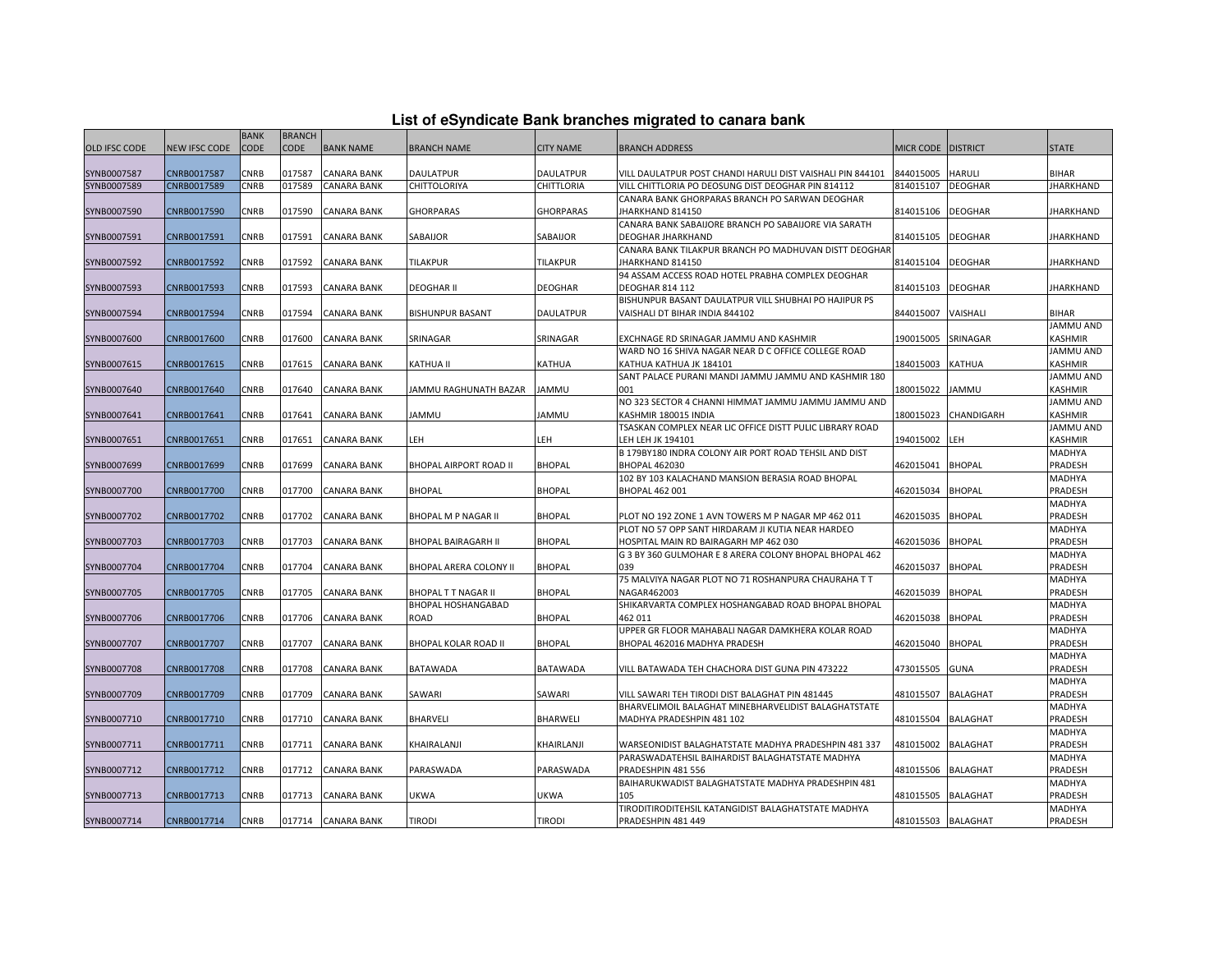|  |  | List of eSyndicate Bank branches migrated to canara bank |  |  |  |
|--|--|----------------------------------------------------------|--|--|--|
|  |  |                                                          |  |  |  |

|                      | List of eSyndicate Bank branches migrated to canara bank |             |               |                    |                                                  |                  |                                                                                  |                    |                 |                   |  |
|----------------------|----------------------------------------------------------|-------------|---------------|--------------------|--------------------------------------------------|------------------|----------------------------------------------------------------------------------|--------------------|-----------------|-------------------|--|
|                      |                                                          | <b>BANK</b> | <b>BRANCH</b> |                    |                                                  |                  |                                                                                  |                    |                 |                   |  |
| <b>OLD IFSC CODE</b> | <b>NEW IFSC CODE</b>                                     | <b>CODE</b> | <b>CODE</b>   | <b>BANK NAME</b>   | <b>BRANCH NAME</b>                               | <b>CITY NAME</b> | <b>BRANCH ADDRESS</b>                                                            | MICR CODE DISTRICT |                 | <b>STATE</b>      |  |
|                      |                                                          |             |               |                    |                                                  |                  |                                                                                  |                    |                 |                   |  |
| SYNB0007587          | CNRB0017587                                              | CNRB        | 017587        | <b>CANARA BANK</b> | DAULATPUR                                        | DAULATPUR        | VILL DAULATPUR POST CHANDI HARULI DIST VAISHALI PIN 844101                       | 844015005          | HARULI          | <b>BIHAR</b>      |  |
| SYNB0007589          | CNRB0017589                                              | <b>CNRB</b> | 017589        | <b>CANARA BANK</b> | CHITTOLORIYA                                     | CHITTLORIA       | VILL CHITTLORIA PO DEOSUNG DIST DEOGHAR PIN 814112                               | 814015107          | <b>DEOGHAR</b>  | <b>JHARKHAND</b>  |  |
|                      |                                                          |             |               |                    |                                                  |                  | CANARA BANK GHORPARAS BRANCH PO SARWAN DEOGHAR                                   |                    |                 |                   |  |
| SYNB0007590          | CNRB0017590                                              | <b>CNRB</b> | 017590        | <b>CANARA BANK</b> | <b>GHORPARAS</b>                                 | <b>GHORPARAS</b> | JHARKHAND 814150                                                                 | 814015106          | <b>DEOGHAR</b>  | <b>JHARKHAND</b>  |  |
|                      |                                                          | <b>CNRB</b> |               |                    |                                                  |                  | CANARA BANK SABAIJORE BRANCH PO SABAIJORE VIA SARATH<br><b>DEOGHAR JHARKHAND</b> |                    | <b>DEOGHAR</b>  |                   |  |
| SYNB0007591          | CNRB0017591                                              |             | 017591        | <b>CANARA BANK</b> | SABAIJOR                                         | SABAIJOR         | CANARA BANK TILAKPUR BRANCH PO MADHUVAN DISTT DEOGHAR                            | 814015105          |                 | JHARKHAND         |  |
| SYNB0007592          | CNRB0017592                                              | CNRB        | 017592        | <b>CANARA BANK</b> | TILAKPUR                                         | TILAKPUR         | JHARKHAND 814150                                                                 | 814015104          | <b>DEOGHAR</b>  | <b>JHARKHAND</b>  |  |
|                      |                                                          |             |               |                    |                                                  |                  | 94 ASSAM ACCESS ROAD HOTEL PRABHA COMPLEX DEOGHAR                                |                    |                 |                   |  |
| SYNB0007593          | CNRB0017593                                              | CNRB        | 017593        | <b>CANARA BANK</b> | <b>DEOGHAR II</b>                                | DEOGHAR          | <b>DEOGHAR 814 112</b>                                                           | 814015103          | DEOGHAR         | <b>JHARKHAND</b>  |  |
|                      |                                                          |             |               |                    |                                                  |                  | BISHUNPUR BASANT DAULATPUR VILL SHUBHAI PO HAJIPUR PS                            |                    |                 |                   |  |
| SYNB0007594          | CNRB0017594                                              | <b>CNRB</b> | 017594        | <b>CANARA BANK</b> | <b>BISHUNPUR BASANT</b>                          | <b>DAULATPUR</b> | VAISHALI DT BIHAR INDIA 844102                                                   | 844015007          | VAISHALI        | <b>BIHAR</b>      |  |
|                      |                                                          |             |               |                    |                                                  |                  |                                                                                  |                    |                 | JAMMU AND         |  |
| SYNB0007600          | CNRB0017600                                              | CNRB        | 017600        | <b>CANARA BANK</b> | SRINAGAR                                         | SRINAGAR         | EXCHNAGE RD SRINAGAR JAMMU AND KASHMIR                                           | 190015005          | SRINAGAR        | KASHMIR           |  |
|                      |                                                          |             |               |                    |                                                  |                  | WARD NO 16 SHIVA NAGAR NEAR D C OFFICE COLLEGE ROAD                              |                    |                 | JAMMU AND         |  |
| SYNB0007615          | CNRB0017615                                              | CNRB        | 017615        | <b>CANARA BANK</b> | KATHUA II                                        | KATHUA           | KATHUA KATHUA JK 184101                                                          | 184015003          | KATHUA          | KASHMIR           |  |
|                      |                                                          |             |               |                    |                                                  |                  | SANT PALACE PURANI MANDI JAMMU JAMMU AND KASHMIR 180                             |                    |                 | JAMMU AND         |  |
| SYNB0007640          | CNRB0017640                                              | CNRB        | 017640        | <b>CANARA BANK</b> | JAMMU RAGHUNATH BAZAR                            | JAMMU            | 001                                                                              | 180015022          | JAMMU           | KASHMIR           |  |
|                      |                                                          |             |               |                    |                                                  |                  | NO 323 SECTOR 4 CHANNI HIMMAT JAMMU JAMMU JAMMU AND                              |                    |                 | JAMMU AND         |  |
| SYNB0007641          | CNRB0017641                                              | CNRB        | 017641        | <b>CANARA BANK</b> | <b>JAMMU</b>                                     | <b>JAMMU</b>     | KASHMIR 180015 INDIA                                                             | 180015023          | CHANDIGARH      | KASHMIR           |  |
|                      |                                                          |             |               |                    |                                                  |                  | TSASKAN COMPLEX NEAR LIC OFFICE DISTT PULIC LIBRARY ROAD                         |                    |                 | JAMMU AND         |  |
| SYNB0007651          | CNRB0017651                                              | CNRB        | 017651        | CANARA BANK        | LEH                                              | LEH              | LEH LEH JK 194101                                                                | 194015002          | LEH             | KASHMIR           |  |
|                      |                                                          |             |               |                    |                                                  |                  | B 179BY180 INDRA COLONY AIR PORT ROAD TEHSIL AND DIST                            |                    |                 | MADHYA            |  |
| SYNB0007699          | CNRB0017699                                              | CNRB        | 017699        | <b>CANARA BANK</b> | BHOPAL AIRPORT ROAD II                           | <b>BHOPAL</b>    | <b>BHOPAL 462030</b>                                                             | 462015041          | <b>BHOPAL</b>   | PRADESH           |  |
|                      |                                                          |             |               |                    |                                                  |                  | 102 BY 103 KALACHAND MANSION BERASIA ROAD BHOPAL                                 |                    |                 | MADHYA            |  |
| SYNB0007700          | CNRB0017700                                              | CNRB        | 017700        | <b>CANARA BANK</b> | <b>BHOPAL</b>                                    | <b>BHOPAL</b>    | <b>BHOPAL 462 001</b>                                                            | 462015034          | <b>BHOPAL</b>   | PRADESH           |  |
|                      |                                                          |             |               |                    |                                                  |                  |                                                                                  |                    |                 | MADHYA            |  |
| SYNB0007702          | CNRB0017702                                              | CNRB        | 017702        | <b>CANARA BANK</b> | BHOPAL M P NAGAR II                              | <b>BHOPAL</b>    | PLOT NO 192 ZONE 1 AVN TOWERS M P NAGAR MP 462 011                               | 462015035          | <b>BHOPAL</b>   | PRADESH           |  |
|                      |                                                          |             |               |                    |                                                  |                  | PLOT NO 57 OPP SANT HIRDARAM JI KUTIA NEAR HARDEO                                |                    |                 | MADHYA            |  |
| SYNB0007703          | CNRB0017703                                              | CNRB        | 017703        | <b>CANARA BANK</b> | <b>BHOPAL BAIRAGARH II</b>                       | <b>BHOPAL</b>    | HOSPITAL MAIN RD BAIRAGARH MP 462 030                                            | 462015036          | <b>BHOPAL</b>   | PRADESH           |  |
|                      |                                                          |             |               |                    |                                                  |                  | G 3 BY 360 GULMOHAR E 8 ARERA COLONY BHOPAL BHOPAL 462                           |                    |                 | MADHYA            |  |
| SYNB0007704          | CNRB0017704                                              | CNRB        | 017704        | <b>CANARA BANK</b> | BHOPAL ARERA COLONY II                           | <b>BHOPAL</b>    | 039                                                                              | 462015037          | <b>BHOPAL</b>   | PRADESH           |  |
|                      |                                                          | CNRB        | 017705        |                    |                                                  | <b>BHOPAL</b>    | 75 MALVIYA NAGAR PLOT NO 71 ROSHANPURA CHAURAHA T T<br>NAGAR462003               | 462015039          | <b>BHOPAL</b>   | MADHYA<br>PRADESH |  |
| SYNB0007705          | CNRB0017705                                              |             |               | <b>CANARA BANK</b> | <b>BHOPAL T T NAGAR II</b><br>BHOPAL HOSHANGABAD |                  | SHIKARVARTA COMPLEX HOSHANGABAD ROAD BHOPAL BHOPAL                               |                    |                 | MADHYA            |  |
| SYNB0007706          | CNRB0017706                                              | <b>CNRB</b> | 017706        | <b>CANARA BANK</b> | ROAD                                             | <b>BHOPAL</b>    | 462 011                                                                          | 462015038          | <b>BHOPAL</b>   | PRADESH           |  |
|                      |                                                          |             |               |                    |                                                  |                  | UPPER GR FLOOR MAHABALI NAGAR DAMKHERA KOLAR ROAD                                |                    |                 | MADHYA            |  |
| SYNB0007707          | CNRB0017707                                              | CNRB        | 017707        | <b>CANARA BANK</b> | BHOPAL KOLAR ROAD II                             | <b>BHOPAL</b>    | BHOPAL 462016 MADHYA PRADESH                                                     | 462015040          | <b>BHOPAL</b>   | PRADESH           |  |
|                      |                                                          |             |               |                    |                                                  |                  |                                                                                  |                    |                 | MADHYA            |  |
| SYNB0007708          | CNRB0017708                                              | CNRB        | 017708        | <b>CANARA BANK</b> | BATAWADA                                         | BATAWADA         | VILL BATAWADA TEH CHACHORA DIST GUNA PIN 473222                                  | 473015505          | <b>GUNA</b>     | PRADESH           |  |
|                      |                                                          |             |               |                    |                                                  |                  |                                                                                  |                    |                 | MADHYA            |  |
| SYNB0007709          | CNRB0017709                                              | <b>CNRB</b> | 017709        | <b>CANARA BANK</b> | SAWARI                                           | SAWARI           | VILL SAWARI TEH TIRODI DIST BALAGHAT PIN 481445                                  | 481015507          | <b>BALAGHAT</b> | PRADESH           |  |
|                      |                                                          |             |               |                    |                                                  |                  | BHARVELIMOIL BALAGHAT MINEBHARVELIDIST BALAGHATSTATE                             |                    |                 | MADHYA            |  |
| SYNB0007710          | CNRB0017710                                              | CNRB        | 017710        | <b>CANARA BANK</b> | BHARVELI                                         | <b>BHARWELI</b>  | MADHYA PRADESHPIN 481 102                                                        | 481015504          | <b>BALAGHAT</b> | PRADESH           |  |
|                      |                                                          |             |               |                    |                                                  |                  |                                                                                  |                    |                 | MADHYA            |  |
| SYNB0007711          | CNRB0017711                                              | <b>CNRB</b> | 017711        | <b>CANARA BANK</b> | KHAIRALANJI                                      | KHAIRLANJI       | WARSEONIDIST BALAGHATSTATE MADHYA PRADESHPIN 481 337                             | 481015002          | <b>BALAGHAT</b> | PRADESH           |  |
|                      |                                                          |             |               |                    |                                                  |                  | PARASWADATEHSIL BAIHARDIST BALAGHATSTATE MADHYA                                  |                    |                 | MADHYA            |  |
| SYNB0007712          | CNRB0017712                                              | <b>CNRB</b> | 017712        | <b>CANARA BANK</b> | PARASWADA                                        | PARASWADA        | PRADESHPIN 481 556                                                               | 481015506          | BALAGHAT        | PRADESH           |  |
|                      |                                                          |             |               |                    |                                                  |                  | BAIHARUKWADIST BALAGHATSTATE MADHYA PRADESHPIN 481                               |                    |                 | MADHYA            |  |
| SYNB0007713          | CNRB0017713                                              | CNRB        | 017713        | <b>CANARA BANK</b> | UKWA                                             | UKWA             | 105                                                                              | 481015505          | <b>BALAGHAT</b> | PRADESH           |  |
|                      |                                                          |             |               |                    |                                                  |                  | TIRODITIRODITEHSIL KATANGIDIST BALAGHATSTATE MADHYA                              |                    |                 | MADHYA            |  |
| SYNB0007714          | CNRB0017714                                              | <b>CNRB</b> |               | 017714 CANARA BANK | <b>TIRODI</b>                                    | <b>TIRODI</b>    | PRADESHPIN 481 449                                                               | 481015503 BALAGHAT |                 | PRADESH           |  |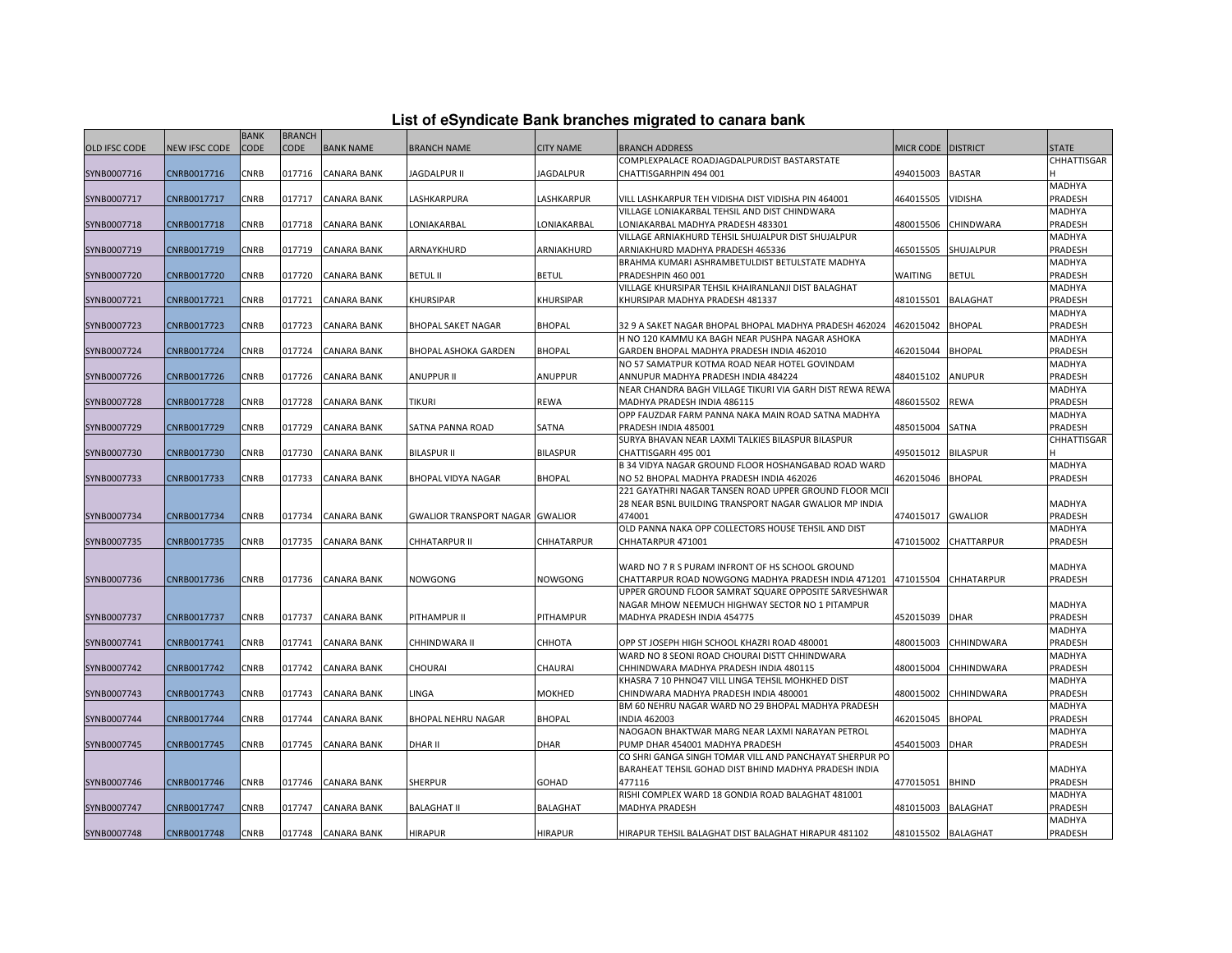| List of eSyndicate Bank branches migrated to canara bank |
|----------------------------------------------------------|
|----------------------------------------------------------|

|               | List of eSyndicate Bank branches migrated to canara bank |             |               |                    |                                        |                  |                                                                                   |                    |                 |                   |  |
|---------------|----------------------------------------------------------|-------------|---------------|--------------------|----------------------------------------|------------------|-----------------------------------------------------------------------------------|--------------------|-----------------|-------------------|--|
|               |                                                          | <b>BANK</b> | <b>BRANCH</b> |                    |                                        |                  |                                                                                   |                    |                 |                   |  |
| OLD IFSC CODE | <b>NEW IFSC CODE</b>                                     | CODE        | <b>CODE</b>   | <b>BANK NAME</b>   | <b>BRANCH NAME</b>                     | <b>CITY NAME</b> | <b>BRANCH ADDRESS</b>                                                             | MICR CODE DISTRICT |                 | <b>STATE</b>      |  |
|               |                                                          |             |               |                    |                                        |                  | COMPLEXPALACE ROADJAGDALPURDIST BASTARSTATE                                       |                    |                 | CHHATTISGAR       |  |
| SYNB0007716   | CNRB0017716                                              | CNRB        | 017716        | <b>CANARA BANK</b> | JAGDALPUR II                           | JAGDALPUR        | CHATTISGARHPIN 494 001                                                            | 494015003          | <b>BASTAR</b>   |                   |  |
|               |                                                          |             |               |                    |                                        |                  |                                                                                   |                    |                 | MADHYA            |  |
| SYNB0007717   | CNRB0017717                                              | <b>CNRB</b> | 017717        | <b>CANARA BANK</b> | LASHKARPURA                            | LASHKARPUR       | VILL LASHKARPUR TEH VIDISHA DIST VIDISHA PIN 464001                               | 464015505          | VIDISHA         | PRADESH           |  |
|               |                                                          |             |               |                    |                                        |                  | VILLAGE LONIAKARBAL TEHSIL AND DIST CHINDWARA                                     |                    |                 | MADHYA            |  |
| SYNB0007718   | CNRB0017718                                              | CNRB        | 017718        | <b>CANARA BANK</b> | LONIAKARBAL                            | LONIAKARBAL      | LONIAKARBAL MADHYA PRADESH 483301                                                 | 480015506          | CHINDWARA       | PRADESH           |  |
|               |                                                          |             |               |                    |                                        |                  | VILLAGE ARNIAKHURD TEHSIL SHUJALPUR DIST SHUJALPUR                                |                    |                 | MADHYA            |  |
| SYNB0007719   | CNRB0017719                                              | CNRB        | 017719        | <b>CANARA BANK</b> | ARNAYKHURD                             | ARNIAKHURD       | ARNIAKHURD MADHYA PRADESH 465336                                                  | 465015505          | SHUJALPUR       | PRADESH           |  |
|               |                                                          |             |               |                    |                                        |                  | BRAHMA KUMARI ASHRAMBETULDIST BETULSTATE MADHYA                                   |                    |                 | MADHYA            |  |
| SYNB0007720   | CNRB0017720                                              | CNRB        | 017720        | <b>CANARA BANK</b> | <b>BETUL II</b>                        | <b>BETUL</b>     | PRADESHPIN 460 001                                                                | WAITING            | <b>BETUL</b>    | PRADESH           |  |
|               |                                                          |             |               |                    |                                        |                  | VILLAGE KHURSIPAR TEHSIL KHAIRANLANJI DIST BALAGHAT                               |                    |                 | MADHYA            |  |
| SYNB0007721   | CNRB0017721                                              | CNRB        | 017721        | <b>CANARA BANK</b> | KHURSIPAR                              | KHURSIPAR        | KHURSIPAR MADHYA PRADESH 481337                                                   | 481015501          | <b>BALAGHAT</b> | PRADESH           |  |
|               |                                                          |             |               |                    |                                        |                  |                                                                                   |                    |                 | MADHYA            |  |
| SYNB0007723   | CNRB0017723                                              | <b>CNRB</b> | 017723        | <b>CANARA BANK</b> | <b>BHOPAL SAKET NAGAR</b>              | <b>BHOPAL</b>    | 32 9 A SAKET NAGAR BHOPAL BHOPAL MADHYA PRADESH 462024                            | 462015042          | <b>BHOPAL</b>   | PRADESH           |  |
|               |                                                          |             |               |                    |                                        |                  | H NO 120 KAMMU KA BAGH NEAR PUSHPA NAGAR ASHOKA                                   |                    |                 | MADHYA            |  |
| SYNB0007724   | CNRB0017724                                              | CNRB        | 017724        | <b>CANARA BANK</b> | BHOPAL ASHOKA GARDEN                   | <b>BHOPAL</b>    | GARDEN BHOPAL MADHYA PRADESH INDIA 462010                                         | 462015044          | <b>BHOPAL</b>   | PRADESH           |  |
|               |                                                          |             |               |                    |                                        |                  | NO 57 SAMATPUR KOTMA ROAD NEAR HOTEL GOVINDAM                                     |                    |                 | MADHYA            |  |
| SYNB0007726   | CNRB0017726                                              | CNRB        | 017726        | <b>CANARA BANK</b> | <b>ANUPPUR II</b>                      | ANUPPUR          | ANNUPUR MADHYA PRADESH INDIA 484224                                               | 484015102          | ANUPUR          | PRADESH           |  |
|               |                                                          | <b>CNRB</b> |               |                    | <b>TIKURI</b>                          |                  | NEAR CHANDRA BAGH VILLAGE TIKURI VIA GARH DIST REWA REWA                          |                    |                 | MADHYA            |  |
| SYNB0007728   | CNRB0017728                                              |             | 017728        | <b>CANARA BANK</b> |                                        | REWA             | MADHYA PRADESH INDIA 486115<br>OPP FAUZDAR FARM PANNA NAKA MAIN ROAD SATNA MADHYA | 486015502          | <b>REWA</b>     | PRADESH<br>MADHYA |  |
|               |                                                          | CNRB        | 017729        | <b>CANARA BANK</b> | SATNA PANNA ROAD                       | SATNA            |                                                                                   | 485015004          | SATNA           | PRADESH           |  |
| SYNB0007729   | CNRB0017729                                              |             |               |                    |                                        |                  | PRADESH INDIA 485001<br>SURYA BHAVAN NEAR LAXMI TALKIES BILASPUR BILASPUR         |                    |                 | CHHATTISGAR       |  |
| SYNB0007730   | CNRB0017730                                              | CNRB        | 017730        | <b>CANARA BANK</b> | <b>BILASPUR II</b>                     | <b>BILASPUR</b>  | CHATTISGARH 495 001                                                               | 495015012          | <b>BILASPUR</b> |                   |  |
|               |                                                          |             |               |                    |                                        |                  | B 34 VIDYA NAGAR GROUND FLOOR HOSHANGABAD ROAD WARD                               |                    |                 | <b>MADHYA</b>     |  |
| SYNB0007733   | CNRB0017733                                              | <b>CNRB</b> | 017733        | <b>CANARA BANK</b> | <b>BHOPAL VIDYA NAGAR</b>              | <b>BHOPAL</b>    | NO 52 BHOPAL MADHYA PRADESH INDIA 462026                                          | 462015046          | <b>BHOPAL</b>   | PRADESH           |  |
|               |                                                          |             |               |                    |                                        |                  | 221 GAYATHRI NAGAR TANSEN ROAD UPPER GROUND FLOOR MCII                            |                    |                 |                   |  |
|               |                                                          |             |               |                    |                                        |                  | 28 NEAR BSNL BUILDING TRANSPORT NAGAR GWALIOR MP INDIA                            |                    |                 | MADHYA            |  |
| SYNB0007734   | CNRB0017734                                              | CNRB        | 017734        | <b>CANARA BANK</b> | <b>GWALIOR TRANSPORT NAGAR GWALIOR</b> |                  | 474001                                                                            | 474015017          | <b>GWALIOR</b>  | PRADESH           |  |
|               |                                                          |             |               |                    |                                        |                  | OLD PANNA NAKA OPP COLLECTORS HOUSE TEHSIL AND DIST                               |                    |                 | MADHYA            |  |
| SYNB0007735   | CNRB0017735                                              | <b>CNRB</b> |               | 017735 CANARA BANK | CHHATARPUR II                          | CHHATARPUR       | CHHATARPUR 471001                                                                 | 471015002          | CHATTARPUR      | PRADESH           |  |
|               |                                                          |             |               |                    |                                        |                  |                                                                                   |                    |                 |                   |  |
|               |                                                          |             |               |                    |                                        |                  | WARD NO 7 R S PURAM INFRONT OF HS SCHOOL GROUND                                   |                    |                 | MADHYA            |  |
| SYNB0007736   | CNRB0017736                                              | <b>CNRB</b> |               | 017736 CANARA BANK | NOWGONG                                | <b>NOWGONG</b>   | CHATTARPUR ROAD NOWGONG MADHYA PRADESH INDIA 471201                               | 471015504          | CHHATARPUR      | PRADESH           |  |
|               |                                                          |             |               |                    |                                        |                  | UPPER GROUND FLOOR SAMRAT SQUARE OPPOSITE SARVESHWAR                              |                    |                 |                   |  |
|               |                                                          |             |               |                    |                                        |                  | NAGAR MHOW NEEMUCH HIGHWAY SECTOR NO 1 PITAMPUR                                   |                    |                 | MADHYA            |  |
| SYNB0007737   | CNRB0017737                                              | <b>CNRB</b> | 017737        | <b>CANARA BANK</b> | PITHAMPUR II                           | PITHAMPUR        | MADHYA PRADESH INDIA 454775                                                       | 452015039          | <b>DHAR</b>     | PRADESH           |  |
|               |                                                          |             |               |                    |                                        |                  |                                                                                   |                    |                 | MADHYA            |  |
| SYNB0007741   | CNRB0017741                                              | CNRB        | 017741        | <b>CANARA BANK</b> | CHHINDWARA II                          | СННОТА           | OPP ST JOSEPH HIGH SCHOOL KHAZRI ROAD 480001                                      | 480015003          | CHHINDWARA      | PRADESH           |  |
|               |                                                          |             |               |                    |                                        |                  | WARD NO 8 SEONI ROAD CHOURAI DISTT CHHINDWARA                                     |                    |                 | MADHYA            |  |
| SYNB0007742   | CNRB0017742                                              | CNRB        | 017742        | <b>CANARA BANK</b> | CHOURAI                                | CHAURAI          | CHHINDWARA MADHYA PRADESH INDIA 480115                                            | 480015004          | CHHINDWARA      | PRADESH           |  |
|               |                                                          |             |               |                    |                                        |                  | KHASRA 7 10 PHNO47 VILL LINGA TEHSIL MOHKHED DIST                                 |                    |                 | MADHYA            |  |
| SYNB0007743   | CNRB0017743                                              | <b>CNRB</b> | 017743        | <b>CANARA BANK</b> | LINGA                                  | MOKHED           | CHINDWARA MADHYA PRADESH INDIA 480001                                             | 480015002          | CHHINDWARA      | PRADESH           |  |
|               |                                                          |             |               |                    |                                        |                  | BM 60 NEHRU NAGAR WARD NO 29 BHOPAL MADHYA PRADESH                                |                    |                 | MADHYA            |  |
| SYNB0007744   | CNRB0017744                                              | CNRB        | 017744        | <b>CANARA BANK</b> | BHOPAL NEHRU NAGAR                     | <b>BHOPAL</b>    | <b>INDIA 462003</b>                                                               | 462015045          | <b>BHOPAL</b>   | PRADESH           |  |
|               |                                                          |             |               |                    |                                        |                  | NAOGAON BHAKTWAR MARG NEAR LAXMI NARAYAN PETROL                                   |                    |                 | MADHYA            |  |
| SYNB0007745   | CNRB0017745                                              | CNRB        | 017745        | <b>CANARA BANK</b> | DHAR II                                | <b>DHAR</b>      | PUMP DHAR 454001 MADHYA PRADESH                                                   | 454015003          | <b>DHAR</b>     | PRADESH           |  |
|               |                                                          |             |               |                    |                                        |                  | CO SHRI GANGA SINGH TOMAR VILL AND PANCHAYAT SHERPUR PO                           |                    |                 |                   |  |
|               |                                                          |             |               |                    |                                        |                  | BARAHEAT TEHSIL GOHAD DIST BHIND MADHYA PRADESH INDIA                             |                    |                 | MADHYA            |  |
| SYNB0007746   | CNRB0017746                                              | CNRB        | 017746        | <b>CANARA BANK</b> | <b>SHERPUR</b>                         | GOHAD            | 477116                                                                            | 477015051          | <b>BHIND</b>    | PRADESH           |  |
|               |                                                          |             |               |                    |                                        |                  | RISHI COMPLEX WARD 18 GONDIA ROAD BALAGHAT 481001                                 |                    |                 | MADHYA            |  |
| SYNB0007747   | CNRB0017747                                              | CNRB        | 017747        | <b>CANARA BANK</b> | <b>BALAGHAT II</b>                     | <b>BALAGHAT</b>  | <b>MADHYA PRADESH</b>                                                             | 481015003          | <b>BALAGHAT</b> | PRADESH           |  |
|               |                                                          |             |               |                    |                                        |                  |                                                                                   |                    |                 | MADHYA            |  |
| SYNB0007748   | CNRB0017748                                              | <b>CNRB</b> |               | 017748 CANARA BANK | <b>HIRAPUR</b>                         | HIRAPUR          | HIRAPUR TEHSIL BALAGHAT DIST BALAGHAT HIRAPUR 481102                              | 481015502 BALAGHAT |                 | PRADESH           |  |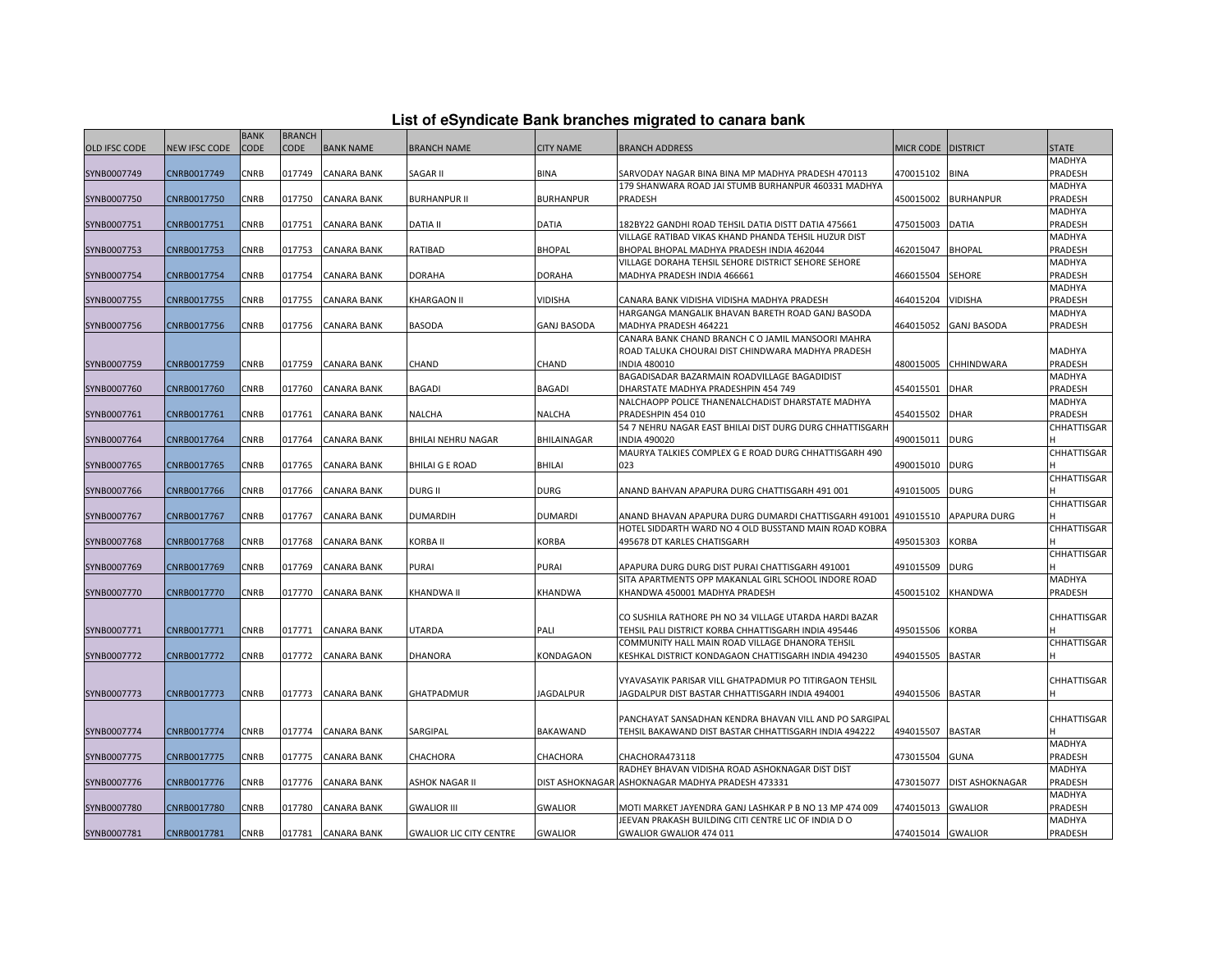| List of eSyndicate Bank branches migrated to canara bank |  |  |
|----------------------------------------------------------|--|--|
|                                                          |  |  |

|                      |               | <b>BANK</b> | <b>BRANCH</b> |                    |                                |                    |                                                          |                   |                        |              |
|----------------------|---------------|-------------|---------------|--------------------|--------------------------------|--------------------|----------------------------------------------------------|-------------------|------------------------|--------------|
| <b>OLD IFSC CODE</b> | NEW IFSC CODE | CODE        | CODE          | <b>BANK NAME</b>   | <b>BRANCH NAME</b>             | <b>CITY NAME</b>   | <b>BRANCH ADDRESS</b>                                    | MICR CODE         | <b>DISTRICT</b>        | <b>STATE</b> |
|                      |               |             |               |                    |                                |                    |                                                          |                   |                        | MADHYA       |
| SYNB0007749          | CNRB0017749   | CNRB        | 017749        | <b>CANARA BANK</b> | SAGAR II                       | BINA               | SARVODAY NAGAR BINA BINA MP MADHYA PRADESH 470113        | 470015102         | <b>BINA</b>            | PRADESH      |
|                      |               |             |               |                    |                                |                    | 179 SHANWARA ROAD JAI STUMB BURHANPUR 460331 MADHYA      |                   |                        | MADHYA       |
| SYNB0007750          | CNRB0017750   | CNRB        | 017750        | <b>CANARA BANK</b> | <b>BURHANPUR II</b>            | <b>BURHANPUR</b>   | <b>PRADESH</b>                                           | 450015002         | <b>BURHANPUR</b>       | PRADESH      |
|                      |               |             |               |                    |                                |                    |                                                          |                   |                        | MADHYA       |
| SYNB0007751          | CNRB0017751   | CNRB        | 017751        | <b>CANARA BANK</b> | <b>DATIA II</b>                | <b>DATIA</b>       | 182BY22 GANDHI ROAD TEHSIL DATIA DISTT DATIA 475661      | 475015003         | DATIA                  | PRADESH      |
|                      |               |             |               |                    |                                |                    | VILLAGE RATIBAD VIKAS KHAND PHANDA TEHSIL HUZUR DIST     |                   |                        | MADHYA       |
| SYNB0007753          | CNRB0017753   | CNRB        | 017753        | <b>CANARA BANK</b> | RATIBAD                        | <b>BHOPAL</b>      | BHOPAL BHOPAL MADHYA PRADESH INDIA 462044                | 462015047         | <b>BHOPAL</b>          | PRADESH      |
|                      |               |             |               |                    |                                |                    | VILLAGE DORAHA TEHSIL SEHORE DISTRICT SEHORE SEHORE      |                   |                        | MADHYA       |
| SYNB0007754          | CNRB0017754   | CNRB        | 017754        | <b>CANARA BANK</b> | <b>DORAHA</b>                  | <b>DORAHA</b>      | MADHYA PRADESH INDIA 466661                              | 466015504         | <b>SEHORE</b>          | PRADESH      |
|                      |               |             |               |                    |                                |                    |                                                          |                   |                        | MADHYA       |
| SYNB0007755          | CNRB0017755   | CNRB        | 017755        | <b>CANARA BANK</b> | KHARGAON II                    | VIDISHA            | CANARA BANK VIDISHA VIDISHA MADHYA PRADESH               | 464015204         | VIDISHA                | PRADESH      |
|                      |               |             |               |                    |                                |                    | HARGANGA MANGALIK BHAVAN BARETH ROAD GANJ BASODA         |                   |                        | MADHYA       |
| SYNB0007756          | CNRB0017756   | CNRB        | 017756        | <b>CANARA BANK</b> | BASODA                         | <b>GANJ BASODA</b> | MADHYA PRADESH 464221                                    | 464015052         | <b>GANJ BASODA</b>     | PRADESH      |
|                      |               |             |               |                    |                                |                    | CANARA BANK CHAND BRANCH C O JAMIL MANSOORI MAHRA        |                   |                        |              |
|                      |               |             |               |                    |                                |                    | ROAD TALUKA CHOURAI DIST CHINDWARA MADHYA PRADESH        |                   |                        | MADHYA       |
| SYNB0007759          | CNRB0017759   | CNRB        | 017759        | <b>CANARA BANK</b> | CHAND                          | CHAND              | <b>INDIA 480010</b>                                      | 480015005         | CHHINDWARA             | PRADESH      |
|                      |               |             |               |                    |                                |                    | BAGADISADAR BAZARMAIN ROADVILLAGE BAGADIDIST             |                   |                        | MADHYA       |
| SYNB0007760          | CNRB0017760   | CNRB        | 017760        | <b>CANARA BANK</b> | BAGADI                         | BAGADI             | DHARSTATE MADHYA PRADESHPIN 454 749                      | 454015501         | DHAR                   | PRADESH      |
|                      |               |             |               |                    |                                |                    | NALCHAOPP POLICE THANENALCHADIST DHARSTATE MADHYA        |                   |                        | MADHYA       |
| SYNB0007761          | CNRB0017761   | CNRB        | 017761        | <b>CANARA BANK</b> | NALCHA                         | NALCHA             | PRADESHPIN 454 010                                       | 454015502         | <b>DHAR</b>            | PRADESH      |
|                      |               |             |               |                    |                                |                    | 54 7 NEHRU NAGAR EAST BHILAI DIST DURG DURG CHHATTISGARH |                   |                        | CHHATTISGAR  |
| SYNB0007764          | CNRB0017764   | CNRB        | 017764        | <b>CANARA BANK</b> | BHILAI NEHRU NAGAR             | BHILAINAGAR        | <b>INDIA 490020</b>                                      | 490015011         | <b>DURG</b>            |              |
|                      |               |             |               |                    |                                |                    | MAURYA TALKIES COMPLEX G E ROAD DURG CHHATTISGARH 490    |                   |                        | CHHATTISGAR  |
| SYNB0007765          | CNRB0017765   | CNRB        | 017765        | <b>CANARA BANK</b> | <b>BHILAI G E ROAD</b>         | BHILAI             | 023                                                      | 490015010         | <b>DURG</b>            |              |
|                      |               |             |               |                    |                                |                    |                                                          |                   |                        | CHHATTISGAR  |
| SYNB0007766          | CNRB0017766   | CNRB        | 017766        | <b>CANARA BANK</b> | <b>DURG II</b>                 | <b>DURG</b>        | ANAND BAHVAN APAPURA DURG CHATTISGARH 491 001            | 491015005         | <b>DURG</b>            |              |
|                      |               |             |               |                    |                                |                    |                                                          |                   |                        | CHHATTISGAR  |
| SYNB0007767          | CNRB0017767   | CNRB        | 017767        | <b>CANARA BANK</b> | <b>DUMARDIH</b>                | <b>DUMARDI</b>     | ANAND BHAVAN APAPURA DURG DUMARDI CHATTISGARH 491001     | 491015510         | APAPURA DURG           |              |
|                      |               |             |               |                    |                                |                    | HOTEL SIDDARTH WARD NO 4 OLD BUSSTAND MAIN ROAD KOBRA    |                   |                        | CHHATTISGAR  |
| SYNB0007768          | CNRB0017768   | CNRB        | 017768        | <b>CANARA BANK</b> | KORBA II                       | KORBA              | 495678 DT KARLES CHATISGARH                              | 495015303         | KORBA                  |              |
|                      |               |             |               |                    |                                |                    |                                                          |                   |                        | CHHATTISGAR  |
| SYNB0007769          | CNRB0017769   | CNRB        | 017769        | <b>CANARA BANK</b> | PURAI                          | PURAI              | APAPURA DURG DURG DIST PURAI CHATTISGARH 491001          | 491015509         | <b>DURG</b>            |              |
|                      |               |             |               |                    |                                |                    | SITA APARTMENTS OPP MAKANLAL GIRL SCHOOL INDORE ROAD     |                   |                        | MADHYA       |
| SYNB0007770          | CNRB0017770   | CNRB        | 017770        | <b>CANARA BANK</b> | KHANDWA II                     | KHANDWA            | KHANDWA 450001 MADHYA PRADESH                            | 450015102         | KHANDWA                | PRADESH      |
|                      |               |             |               |                    |                                |                    |                                                          |                   |                        |              |
|                      |               |             |               |                    |                                |                    | CO SUSHILA RATHORE PH NO 34 VILLAGE UTARDA HARDI BAZAR   |                   |                        | CHHATTISGAR  |
| SYNB0007771          | CNRB0017771   | <b>CNRB</b> | 017771        | <b>CANARA BANK</b> | UTARDA                         | PALI               | TEHSIL PALI DISTRICT KORBA CHHATTISGARH INDIA 495446     | 495015506         | KORBA                  |              |
|                      |               |             |               |                    |                                |                    | COMMUNITY HALL MAIN ROAD VILLAGE DHANORA TEHSIL          |                   |                        | CHHATTISGAR  |
| SYNB0007772          | CNRB0017772   | CNRB        | 017772        | <b>CANARA BANK</b> | DHANORA                        | KONDAGAON          | KESHKAL DISTRICT KONDAGAON CHATTISGARH INDIA 494230      | 494015505         | <b>BASTAR</b>          |              |
|                      |               |             |               |                    |                                |                    |                                                          |                   |                        |              |
|                      |               |             |               |                    |                                |                    | VYAVASAYIK PARISAR VILL GHATPADMUR PO TITIRGAON TEHSIL   |                   |                        | CHHATTISGAR  |
| SYNB0007773          | CNRB0017773   | <b>CNRB</b> |               | 017773 CANARA BANK | GHATPADMUR                     | <b>JAGDALPUR</b>   | JAGDALPUR DIST BASTAR CHHATTISGARH INDIA 494001          | 494015506         | <b>BASTAR</b>          |              |
|                      |               |             |               |                    |                                |                    |                                                          |                   |                        |              |
|                      |               |             |               |                    |                                |                    | PANCHAYAT SANSADHAN KENDRA BHAVAN VILL AND PO SARGIPAL   |                   |                        | CHHATTISGAR  |
| SYNB0007774          | CNRB0017774   | CNRB        | 017774        | <b>CANARA BANK</b> | SARGIPAL                       | BAKAWAND           | TEHSIL BAKAWAND DIST BASTAR CHHATTISGARH INDIA 494222    | 494015507         | <b>BASTAR</b>          |              |
|                      |               |             |               |                    |                                |                    |                                                          |                   |                        | MADHYA       |
| SYNB0007775          | CNRB0017775   | CNRB        | 017775        | <b>CANARA BANK</b> | CHACHORA                       | CHACHORA           | CHACHORA473118                                           | 473015504         | GUNA                   | PRADESH      |
|                      |               |             |               |                    |                                |                    | RADHEY BHAVAN VIDISHA ROAD ASHOKNAGAR DIST DIST          |                   |                        | MADHYA       |
| SYNB0007776          | CNRB0017776   | <b>CNRB</b> | 017776        | <b>CANARA BANK</b> | <b>ASHOK NAGAR II</b>          |                    | DIST ASHOKNAGAR ASHOKNAGAR MADHYA PRADESH 473331         | 473015077         | <b>DIST ASHOKNAGAR</b> | PRADESH      |
|                      |               |             |               |                    |                                |                    |                                                          |                   |                        | MADHYA       |
| SYNB0007780          | CNRB0017780   | CNRB        | 017780        | <b>CANARA BANK</b> | <b>GWALIOR III</b>             | <b>GWALIOR</b>     | MOTI MARKET JAYENDRA GANJ LASHKAR P B NO 13 MP 474 009   | 474015013         | <b>GWALIOR</b>         | PRADESH      |
|                      |               |             |               |                    |                                |                    | JEEVAN PRAKASH BUILDING CITI CENTRE LIC OF INDIA DO      |                   |                        | MADHYA       |
| SYNB0007781          | CNRB0017781   | <b>CNRB</b> |               | 017781 CANARA BANK | <b>GWALIOR LIC CITY CENTRE</b> | <b>GWALIOR</b>     | GWALIOR GWALIOR 474 011                                  | 474015014 GWALIOR |                        | PRADESH      |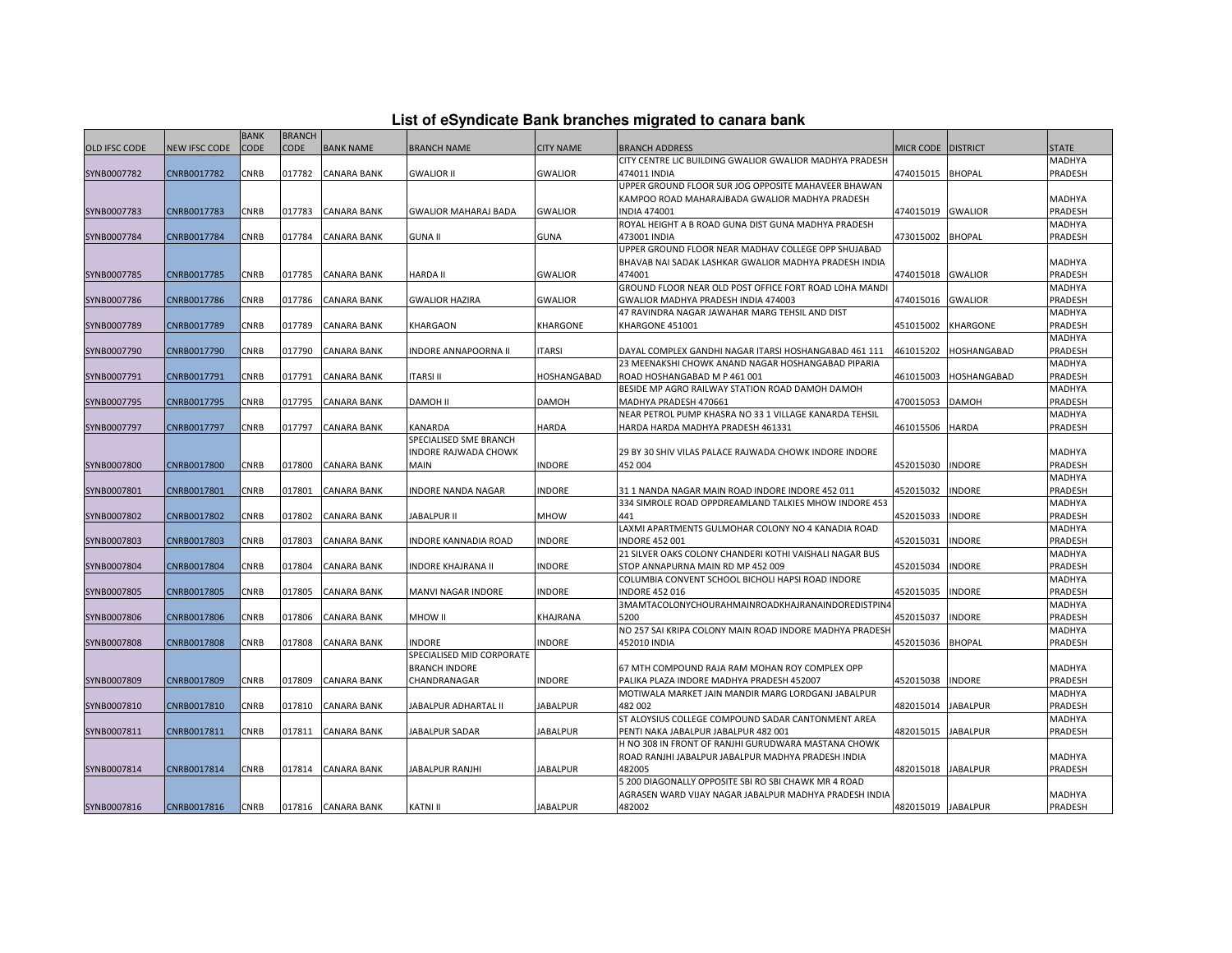| List of eSyndicate Bank branches migrated to canara bank |  |  |
|----------------------------------------------------------|--|--|
|                                                          |  |  |
|                                                          |  |  |

|               |                      | <b>BANK</b> | <b>BRANCH</b> |                    |                             |                  |                                                         |                    |                 |              |
|---------------|----------------------|-------------|---------------|--------------------|-----------------------------|------------------|---------------------------------------------------------|--------------------|-----------------|--------------|
| OLD IFSC CODE | <b>NEW IFSC CODE</b> | CODE        | <b>CODE</b>   | <b>BANK NAME</b>   | <b>BRANCH NAME</b>          | <b>CITY NAME</b> | <b>BRANCH ADDRESS</b>                                   | <b>MICR CODE</b>   | <b>DISTRICT</b> | <b>STATE</b> |
|               |                      |             |               |                    |                             |                  | CITY CENTRE LIC BUILDING GWALIOR GWALIOR MADHYA PRADESH |                    |                 | MADHYA       |
| SYNB0007782   | CNRB0017782          | CNRB        | 017782        | <b>CANARA BANK</b> | <b>GWALIOR II</b>           | <b>GWALIOR</b>   | 474011 INDIA                                            | 474015015          | <b>BHOPAL</b>   | PRADESH      |
|               |                      |             |               |                    |                             |                  | UPPER GROUND FLOOR SUR JOG OPPOSITE MAHAVEER BHAWAN     |                    |                 |              |
|               |                      |             |               |                    |                             |                  | KAMPOO ROAD MAHARAJBADA GWALIOR MADHYA PRADESH          |                    |                 | MADHYA       |
| SYNB0007783   | CNRB0017783          | CNRB        | 017783        | <b>CANARA BANK</b> | <b>GWALIOR MAHARAJ BADA</b> | <b>GWALIOR</b>   | <b>INDIA 474001</b>                                     | 474015019          | <b>GWALIOR</b>  | PRADESH      |
|               |                      |             |               |                    |                             |                  | ROYAL HEIGHT A B ROAD GUNA DIST GUNA MADHYA PRADESH     |                    |                 | MADHYA       |
| SYNB0007784   | CNRB0017784          | CNRB        | 017784        | <b>CANARA BANK</b> | <b>GUNA II</b>              | <b>GUNA</b>      | 473001 INDIA                                            | 473015002          | <b>BHOPAL</b>   | PRADESH      |
|               |                      |             |               |                    |                             |                  | UPPER GROUND FLOOR NEAR MADHAV COLLEGE OPP SHUJABAD     |                    |                 |              |
|               |                      |             |               |                    |                             |                  | BHAVAB NAI SADAK LASHKAR GWALIOR MADHYA PRADESH INDIA   |                    |                 | MADHYA       |
| SYNB0007785   | CNRB0017785          | CNRB        | 017785        | <b>CANARA BANK</b> | <b>HARDA II</b>             | <b>GWALIOR</b>   | 474001                                                  | 474015018          | <b>GWALIOR</b>  | PRADESH      |
|               |                      |             |               |                    |                             |                  | GROUND FLOOR NEAR OLD POST OFFICE FORT ROAD LOHA MANDI  |                    |                 | MADHYA       |
| SYNB0007786   | CNRB0017786          | CNRB        | 017786        | <b>CANARA BANK</b> | <b>GWALIOR HAZIRA</b>       | <b>GWALIOR</b>   | GWALIOR MADHYA PRADESH INDIA 474003                     | 474015016          | <b>GWALIOR</b>  | PRADESH      |
|               |                      |             |               |                    |                             |                  | 47 RAVINDRA NAGAR JAWAHAR MARG TEHSIL AND DIST          |                    |                 | MADHYA       |
| SYNB0007789   | CNRB0017789          | <b>CNRB</b> | 017789        | <b>CANARA BANK</b> | KHARGAON                    | KHARGONE         | KHARGONE 451001                                         | 451015002          | KHARGONE        | PRADESH      |
|               |                      |             |               |                    |                             |                  |                                                         |                    |                 | MADHYA       |
| SYNB0007790   | CNRB0017790          | <b>CNRB</b> | 017790        | <b>CANARA BANK</b> | INDORE ANNAPOORNA II        | <b>ITARSI</b>    | DAYAL COMPLEX GANDHI NAGAR ITARSI HOSHANGABAD 461 111   | 461015202          | HOSHANGABAD     | PRADESH      |
|               |                      |             |               |                    |                             |                  | 23 MEENAKSHI CHOWK ANAND NAGAR HOSHANGABAD PIPARIA      |                    |                 | MADHYA       |
| SYNB0007791   | CNRB0017791          | CNRB        | 017791        | <b>CANARA BANK</b> | <b>ITARSI II</b>            | HOSHANGABAD      | ROAD HOSHANGABAD M P 461 001                            | 461015003          | HOSHANGABAD     | PRADESH      |
|               |                      |             |               |                    |                             |                  | BESIDE MP AGRO RAILWAY STATION ROAD DAMOH DAMOH         |                    |                 | MADHYA       |
| SYNB0007795   | CNRB0017795          | CNRB        | 017795        | <b>CANARA BANK</b> | <b>DAMOH II</b>             | <b>DAMOH</b>     | MADHYA PRADESH 470661                                   | 470015053          | <b>DAMOH</b>    | PRADESH      |
|               |                      |             |               |                    |                             |                  | NEAR PETROL PUMP KHASRA NO 33 1 VILLAGE KANARDA TEHSIL  |                    |                 | MADHYA       |
| SYNB0007797   | CNRB0017797          | CNRB        | 017797        | CANARA BANK        | KANARDA                     | <b>HARDA</b>     | HARDA HARDA MADHYA PRADESH 461331                       | 461015506          | <b>HARDA</b>    | PRADESH      |
|               |                      |             |               |                    | SPECIALISED SME BRANCH      |                  |                                                         |                    |                 |              |
|               |                      |             |               |                    | INDORE RAJWADA CHOWK        |                  | 29 BY 30 SHIV VILAS PALACE RAJWADA CHOWK INDORE INDORE  |                    |                 | MADHYA       |
| SYNB0007800   | CNRB0017800          | CNRB        | 017800        | <b>CANARA BANK</b> | <b>MAIN</b>                 | <b>INDORE</b>    | 452 004                                                 | 452015030          | INDORE          | PRADESH      |
|               |                      |             |               |                    |                             |                  |                                                         |                    |                 | MADHYA       |
| SYNB0007801   | CNRB0017801          | <b>CNRB</b> | 017801        | <b>CANARA BANK</b> | <b>INDORE NANDA NAGAR</b>   | INDORE           | 31 1 NANDA NAGAR MAIN ROAD INDORE INDORE 452 011        | 452015032          | <b>INDORE</b>   | PRADESH      |
|               |                      |             |               |                    |                             |                  | 334 SIMROLE ROAD OPPDREAMLAND TALKIES MHOW INDORE 453   |                    |                 | MADHYA       |
| SYNB0007802   | CNRB0017802          | <b>CNRB</b> | 017802        | <b>CANARA BANK</b> | JABALPUR II                 | <b>MHOW</b>      | 441                                                     | 452015033          | INDORE          | PRADESH      |
|               |                      |             |               |                    |                             |                  | LAXMI APARTMENTS GULMOHAR COLONY NO 4 KANADIA ROAD      |                    |                 | MADHYA       |
| SYNB0007803   | CNRB0017803          | <b>CNRB</b> | 017803        | <b>CANARA BANK</b> | INDORE KANNADIA ROAD        | INDORE           | <b>INDORE 452 001</b>                                   | 452015031          | INDORE          | PRADESH      |
|               |                      |             |               |                    |                             |                  | 21 SILVER OAKS COLONY CHANDERI KOTHI VAISHALI NAGAR BUS |                    |                 | MADHYA       |
| SYNB0007804   | CNRB0017804          | CNRB        | 017804        | <b>CANARA BANK</b> | INDORE KHAJRANA II          | <b>INDORE</b>    | STOP ANNAPURNA MAIN RD MP 452 009                       | 452015034          | <b>INDORE</b>   | PRADESH      |
|               |                      |             |               |                    |                             |                  | COLUMBIA CONVENT SCHOOL BICHOLI HAPSI ROAD INDORE       |                    |                 | MADHYA       |
| SYNB0007805   | CNRB0017805          | CNRB        | 017805        | <b>CANARA BANK</b> | MANVI NAGAR INDORE          | <b>INDORE</b>    | <b>INDORE 452 016</b>                                   | 452015035          | INDORE          | PRADESH      |
|               |                      |             |               |                    |                             |                  | 3MAMTACOLONYCHOURAHMAINROADKHAJRANAINDOREDISTPIN4       |                    |                 | MADHYA       |
| SYNB0007806   | CNRB0017806          | <b>CNRB</b> | 017806        | <b>CANARA BANK</b> | <b>MHOW II</b>              | <b>KHAJRANA</b>  | 5200                                                    | 452015037          | INDORE          | PRADESH      |
|               |                      |             |               |                    |                             |                  | NO 257 SAI KRIPA COLONY MAIN ROAD INDORE MADHYA PRADESH |                    |                 | MADHYA       |
| SYNB0007808   | CNRB0017808          | CNRB        | 017808        | CANARA BANK        | INDORE                      | INDORE           | 452010 INDIA                                            | 452015036          | <b>BHOPAL</b>   | PRADESH      |
|               |                      |             |               |                    | SPECIALISED MID CORPORATE   |                  |                                                         |                    |                 |              |
|               |                      |             |               |                    | <b>BRANCH INDORE</b>        |                  | 67 MTH COMPOUND RAJA RAM MOHAN ROY COMPLEX OPP          |                    |                 | MADHYA       |
| SYNB0007809   | CNRB0017809          | <b>CNRB</b> | 017809        | <b>CANARA BANK</b> | CHANDRANAGAR                | <b>INDORE</b>    | PALIKA PLAZA INDORE MADHYA PRADESH 452007               | 452015038          | INDORE          | PRADESH      |
|               |                      |             |               |                    |                             |                  | MOTIWALA MARKET JAIN MANDIR MARG LORDGANJ JABALPUR      |                    |                 | MADHYA       |
| SYNB0007810   | CNRB0017810          | <b>CNRB</b> | 017810        | <b>CANARA BANK</b> | JABALPUR ADHARTAL II        | <b>JABALPUR</b>  | 482 002                                                 | 482015014          | JABALPUR        | PRADESH      |
|               |                      |             |               |                    |                             |                  | ST ALOYSIUS COLLEGE COMPOUND SADAR CANTONMENT AREA      |                    |                 | MADHYA       |
| SYNB0007811   | CNRB0017811          | CNRB        | 017811        | <b>CANARA BANK</b> | JABALPUR SADAR              | <b>JABALPUR</b>  | PENTI NAKA JABALPUR JABALPUR 482 001                    | 482015015          | <b>JABALPUR</b> | PRADESH      |
|               |                      |             |               |                    |                             |                  | H NO 308 IN FRONT OF RANJHI GURUDWARA MASTANA CHOWK     |                    |                 |              |
|               |                      |             |               |                    |                             |                  | ROAD RANJHI JABALPUR JABALPUR MADHYA PRADESH INDIA      |                    |                 | MADHYA       |
| SYNB0007814   | CNRB0017814          | <b>CNRB</b> | 017814        | <b>CANARA BANK</b> | JABALPUR RANJHI             | <b>JABALPUR</b>  | 482005                                                  | 482015018          | JABALPUR        | PRADESH      |
|               |                      |             |               |                    |                             |                  | 5 200 DIAGONALLY OPPOSITE SBI RO SBI CHAWK MR 4 ROAD    |                    |                 |              |
|               |                      |             |               |                    |                             |                  | AGRASEN WARD VIJAY NAGAR JABALPUR MADHYA PRADESH INDIA  |                    |                 | MADHYA       |
| SYNB0007816   | CNRB0017816          | CNRB        |               | 017816 CANARA BANK | KATNI II                    | <b>JABALPUR</b>  | 482002                                                  | 482015019 JABALPUR |                 | PRADESH      |
|               |                      |             |               |                    |                             |                  |                                                         |                    |                 |              |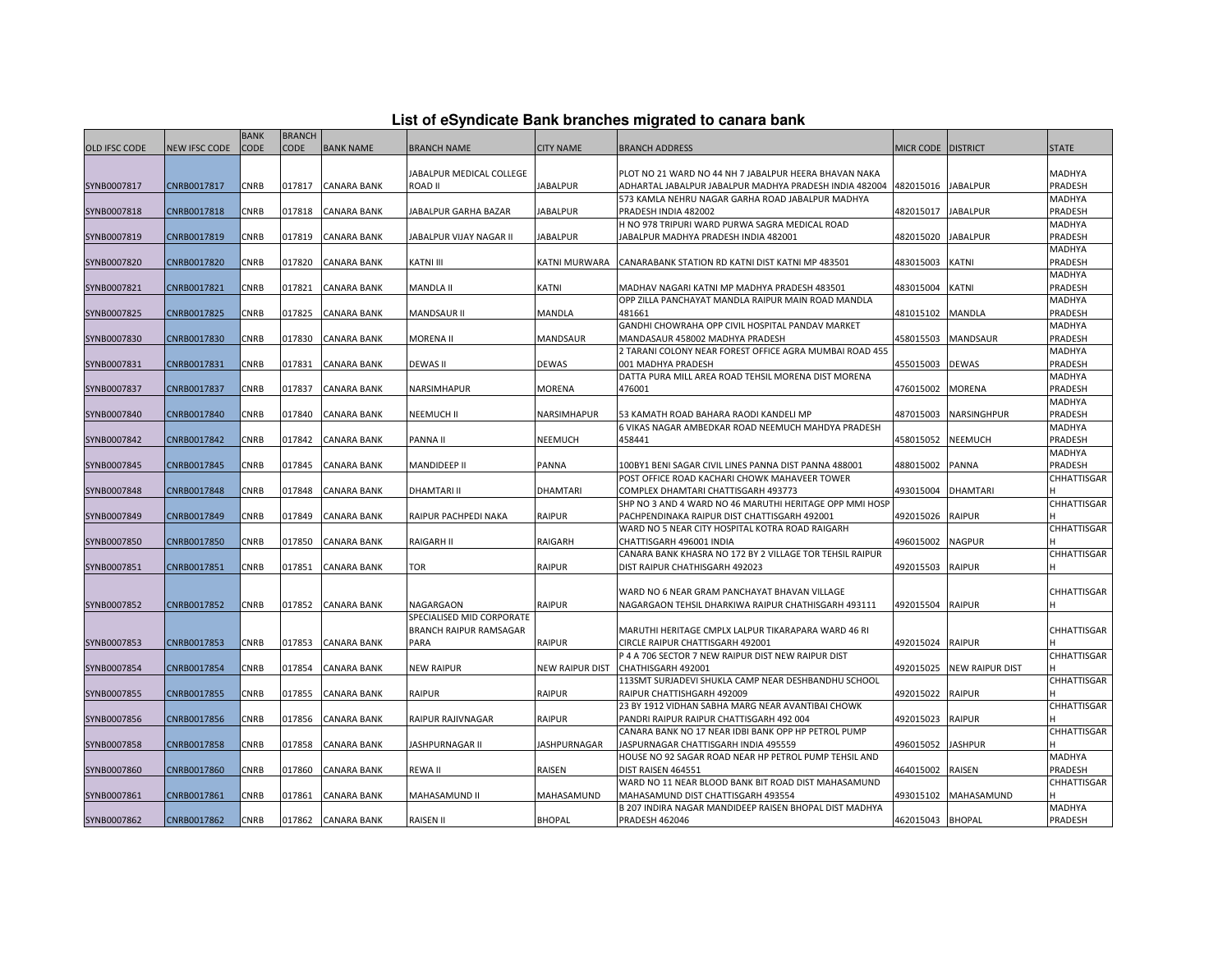| List of eSyndicate Bank branches migrated to canara bank |  |  |  |  |
|----------------------------------------------------------|--|--|--|--|
|----------------------------------------------------------|--|--|--|--|

|                      |                      | <b>BANK</b> | <b>BRANCH</b> |                    |                           |                        |                                                          |                    |                 |                    |
|----------------------|----------------------|-------------|---------------|--------------------|---------------------------|------------------------|----------------------------------------------------------|--------------------|-----------------|--------------------|
| <b>OLD IFSC CODE</b> | <b>NEW IFSC CODE</b> | CODE        | CODE          | <b>BANK NAME</b>   | <b>BRANCH NAME</b>        | <b>CITY NAME</b>       | BRANCH ADDRESS                                           | MICR CODE DISTRICT |                 | <b>STATE</b>       |
|                      |                      |             |               |                    |                           |                        |                                                          |                    |                 |                    |
|                      |                      |             |               |                    | JABALPUR MEDICAL COLLEGE  |                        | PLOT NO 21 WARD NO 44 NH 7 JABALPUR HEERA BHAVAN NAKA    |                    |                 | MADHYA             |
| SYNB0007817          | CNRB0017817          | CNRB        | 017817        | <b>CANARA BANK</b> | <b>ROAD II</b>            | <b>JABALPUR</b>        | ADHARTAL JABALPUR JABALPUR MADHYA PRADESH INDIA 482004   | 482015016          | <b>JABALPUR</b> | PRADESH            |
|                      |                      |             |               |                    |                           |                        |                                                          |                    |                 |                    |
|                      |                      |             |               |                    |                           |                        | 573 KAMLA NEHRU NAGAR GARHA ROAD JABALPUR MADHYA         |                    |                 | <b>MADHYA</b>      |
| SYNB0007818          | CNRB0017818          | CNRB        | 017818        | <b>CANARA BANK</b> | JABALPUR GARHA BAZAR      | <b>JABALPUR</b>        | PRADESH INDIA 482002                                     | 482015017          | <b>JABALPUR</b> | PRADESH            |
|                      |                      |             |               |                    |                           |                        | H NO 978 TRIPURI WARD PURWA SAGRA MEDICAL ROAD           |                    |                 | MADHYA             |
| SYNB0007819          | CNRB0017819          | CNRB        | 017819        | <b>CANARA BANK</b> | JABALPUR VIJAY NAGAR II   | <b>JABALPUR</b>        | IABALPUR MADHYA PRADESH INDIA 482001                     | 482015020          | <b>JABALPUR</b> | PRADESH            |
|                      |                      |             |               |                    |                           |                        |                                                          |                    |                 | MADHYA             |
| SYNB0007820          | CNRB0017820          | CNRB        | 017820        | <b>CANARA BANK</b> | KATNI III                 | <b>KATNI MURWARA</b>   | CANARABANK STATION RD KATNI DIST KATNI MP 483501         | 483015003          | KATNI           | PRADESH            |
|                      |                      |             |               |                    |                           |                        |                                                          |                    |                 | MADHYA             |
| SYNB0007821          | CNRB0017821          | CNRB        | 017821        | <b>CANARA BANK</b> | MANDLA II                 | KATNI                  | MADHAV NAGARI KATNI MP MADHYA PRADESH 483501             | 483015004          | <b>KATNI</b>    | PRADESH            |
|                      |                      |             |               |                    |                           |                        | OPP ZILLA PANCHAYAT MANDLA RAIPUR MAIN ROAD MANDLA       |                    |                 | MADHYA             |
| SYNB0007825          | CNRB0017825          | <b>CNRB</b> | 017825        | <b>CANARA BANK</b> | <b>MANDSAUR II</b>        | <b>MANDLA</b>          | 481661                                                   | 481015102          | <b>MANDLA</b>   | PRADESH            |
|                      |                      |             |               |                    |                           |                        | GANDHI CHOWRAHA OPP CIVIL HOSPITAL PANDAV MARKET         |                    |                 | MADHYA             |
| SYNB0007830          | CNRB0017830          | CNRB        | 017830        | <b>CANARA BANK</b> | MORENA II                 | <b>MANDSAUR</b>        | MANDASAUR 458002 MADHYA PRADESH                          | 458015503          | <b>MANDSAUR</b> | PRADESH            |
|                      |                      |             |               |                    |                           |                        | 2 TARANI COLONY NEAR FOREST OFFICE AGRA MUMBAI ROAD 455  |                    |                 | <b>MADHYA</b>      |
| SYNB0007831          | CNRB0017831          | CNRB        | 017831        | <b>CANARA BANK</b> | <b>DEWAS II</b>           | <b>DEWAS</b>           | 001 MADHYA PRADESH                                       | 455015003          | <b>DEWAS</b>    | PRADESH            |
|                      |                      |             |               |                    |                           |                        | DATTA PURA MILL AREA ROAD TEHSIL MORENA DIST MORENA      |                    |                 | MADHYA             |
|                      |                      |             |               |                    |                           |                        |                                                          |                    |                 |                    |
| SYNB0007837          | CNRB0017837          | CNRB        | 017837        | <b>CANARA BANK</b> | NARSIMHAPUR               | <b>MORENA</b>          | 476001                                                   | 476015002          | <b>MORENA</b>   | PRADESH            |
|                      |                      |             |               |                    |                           |                        |                                                          |                    |                 | MADHYA             |
| SYNB0007840          | CNRB0017840          | CNRB        | 017840        | CANARA BANK        | <b>NEEMUCH II</b>         | NARSIMHAPUR            | 53 KAMATH ROAD BAHARA RAODI KANDELI MP                   | 487015003          | NARSINGHPUR     | PRADESH            |
|                      |                      |             |               |                    |                           |                        | 6 VIKAS NAGAR AMBEDKAR ROAD NEEMUCH MAHDYA PRADESH       |                    |                 | MADHYA             |
| SYNB0007842          | CNRB0017842          | CNRB        | 017842        | <b>CANARA BANK</b> | PANNA II                  | <b>NEEMUCH</b>         | 458441                                                   | 458015052          | <b>NEEMUCH</b>  | PRADESH            |
|                      |                      |             |               |                    |                           |                        |                                                          |                    |                 | MADHYA             |
| SYNB0007845          | CNRB0017845          | CNRB        | 017845        | CANARA BANK        | MANDIDEEP II              | PANNA                  | 100BY1 BENI SAGAR CIVIL LINES PANNA DIST PANNA 488001    | 488015002          | <b>PANNA</b>    | PRADESH            |
|                      |                      |             |               |                    |                           |                        | POST OFFICE ROAD KACHARI CHOWK MAHAVEER TOWER            |                    |                 | CHHATTISGAR        |
| SYNB0007848          | CNRB0017848          | CNRB        | 017848        | <b>CANARA BANK</b> | <b>DHAMTARI II</b>        | <b>DHAMTARI</b>        | COMPLEX DHAMTARI CHATTISGARH 493773                      | 493015004          | <b>DHAMTARI</b> |                    |
|                      |                      |             |               |                    |                           |                        | SHP NO 3 AND 4 WARD NO 46 MARUTHI HERITAGE OPP MMI HOSP  |                    |                 | CHHATTISGAR        |
| SYNB0007849          | CNRB0017849          | CNRB        | 017849        | <b>CANARA BANK</b> | RAIPUR PACHPEDI NAKA      | RAIPUR                 | PACHPENDINAKA RAIPUR DIST CHATTISGARH 492001             | 492015026          | <b>RAIPUR</b>   |                    |
|                      |                      |             |               |                    |                           |                        | WARD NO 5 NEAR CITY HOSPITAL KOTRA ROAD RAIGARH          |                    |                 | CHHATTISGAR        |
| SYNB0007850          | CNRB0017850          | CNRB        | 017850        | <b>CANARA BANK</b> | <b>RAIGARH II</b>         | RAIGARH                | CHATTISGARH 496001 INDIA                                 | 496015002          | <b>NAGPUR</b>   |                    |
|                      |                      |             |               |                    |                           |                        | CANARA BANK KHASRA NO 172 BY 2 VILLAGE TOR TEHSIL RAIPUR |                    |                 | <b>CHHATTISGAR</b> |
|                      | CNRB0017851          | CNRB        | 017851        | <b>CANARA BANK</b> | <b>TOR</b>                | <b>RAIPUR</b>          | DIST RAIPUR CHATHISGARH 492023                           | 492015503          | <b>RAIPUR</b>   |                    |
| SYNB0007851          |                      |             |               |                    |                           |                        |                                                          |                    |                 |                    |
|                      |                      |             |               |                    |                           |                        |                                                          |                    |                 |                    |
|                      |                      |             |               |                    |                           |                        | WARD NO 6 NEAR GRAM PANCHAYAT BHAVAN VILLAGE             |                    |                 | <b>CHHATTISGAR</b> |
| SYNB0007852          | CNRB0017852          | <b>CNRB</b> | 017852        | <b>CANARA BANK</b> | NAGARGAON                 | RAIPUR                 | NAGARGAON TEHSIL DHARKIWA RAIPUR CHATHISGARH 493111      | 492015504          | <b>RAIPUR</b>   |                    |
|                      |                      |             |               |                    | SPECIALISED MID CORPORATE |                        |                                                          |                    |                 |                    |
|                      |                      |             |               |                    | BRANCH RAIPUR RAMSAGAR    |                        | MARUTHI HERITAGE CMPLX LALPUR TIKARAPARA WARD 46 RI      |                    |                 | <b>CHHATTISGAR</b> |
| SYNB0007853          | CNRB0017853          | <b>CNRB</b> | 017853        | <b>CANARA BANK</b> | PARA                      | <b>RAIPUR</b>          | CIRCLE RAIPUR CHATTISGARH 492001                         | 492015024          | <b>RAIPUR</b>   |                    |
|                      |                      |             |               |                    |                           |                        | P 4 A 706 SECTOR 7 NEW RAIPUR DIST NEW RAIPUR DIST       |                    |                 | CHHATTISGAR        |
| SYNB0007854          | CNRB0017854          | <b>CNRB</b> | 017854        | <b>CANARA BANK</b> | <b>NEW RAIPUR</b>         | <b>NEW RAIPUR DIST</b> | CHATHISGARH 492001                                       | 492015025          | NEW RAIPUR DIST |                    |
|                      |                      |             |               |                    |                           |                        | 113SMT SURJADEVI SHUKLA CAMP NEAR DESHBANDHU SCHOOL      |                    |                 | CHHATTISGAR        |
| SYNB0007855          | CNRB0017855          | CNRB        | 017855        | <b>CANARA BANK</b> | <b>RAIPUR</b>             | <b>RAIPUR</b>          | RAIPUR CHATTISHGARH 492009                               | 492015022          | <b>RAIPUR</b>   |                    |
|                      |                      |             |               |                    |                           |                        | 23 BY 1912 VIDHAN SABHA MARG NEAR AVANTIBAI CHOWK        |                    |                 | CHHATTISGAR        |
| SYNB0007856          | CNRB0017856          | CNRB        | 017856        | <b>CANARA BANK</b> | RAIPUR RAJIVNAGAR         | <b>RAIPUR</b>          | PANDRI RAIPUR RAIPUR CHATTISGARH 492 004                 | 492015023          | <b>RAIPUR</b>   |                    |
|                      |                      |             |               |                    |                           |                        | CANARA BANK NO 17 NEAR IDBI BANK OPP HP PETROL PUMP      |                    |                 | CHHATTISGAR        |
| SYNB0007858          | CNRB0017858          | CNRB        | 017858        | <b>CANARA BANK</b> | JASHPURNAGAR II           | <b>JASHPURNAGAR</b>    | IASPURNAGAR CHATTISGARH INDIA 495559                     | 496015052          | <b>JASHPUR</b>  |                    |
|                      |                      |             |               |                    |                           |                        | HOUSE NO 92 SAGAR ROAD NEAR HP PETROL PUMP TEHSIL AND    |                    |                 | MADHYA             |
|                      |                      |             |               |                    |                           |                        |                                                          |                    |                 |                    |
| SYNB0007860          | CNRB0017860          | CNRB        | 017860        | CANARA BANK        | <b>REWAII</b>             | <b>RAISEN</b>          | DIST RAISEN 464551                                       | 464015002          | <b>RAISEN</b>   | PRADESH            |
|                      |                      |             |               |                    |                           |                        | WARD NO 11 NEAR BLOOD BANK BIT ROAD DIST MAHASAMUND      |                    |                 | CHHATTISGAR        |
| SYNB0007861          | CNRB0017861          | CNRB        | 017861        | <b>CANARA BANK</b> | MAHASAMUND II             | MAHASAMUND             | MAHASAMUND DIST CHATTISGARH 493554                       | 493015102          | MAHASAMUND      |                    |
|                      |                      |             |               |                    |                           |                        | B 207 INDIRA NAGAR MANDIDEEP RAISEN BHOPAL DIST MADHYA   |                    |                 | <b>MADHYA</b>      |
| SYNB0007862          | CNRB0017862          | <b>CNRB</b> | 017862        | <b>CANARA BANK</b> | <b>RAISEN II</b>          | <b>BHOPAL</b>          | <b>PRADESH 462046</b>                                    | 462015043 BHOPAL   |                 | PRADESH            |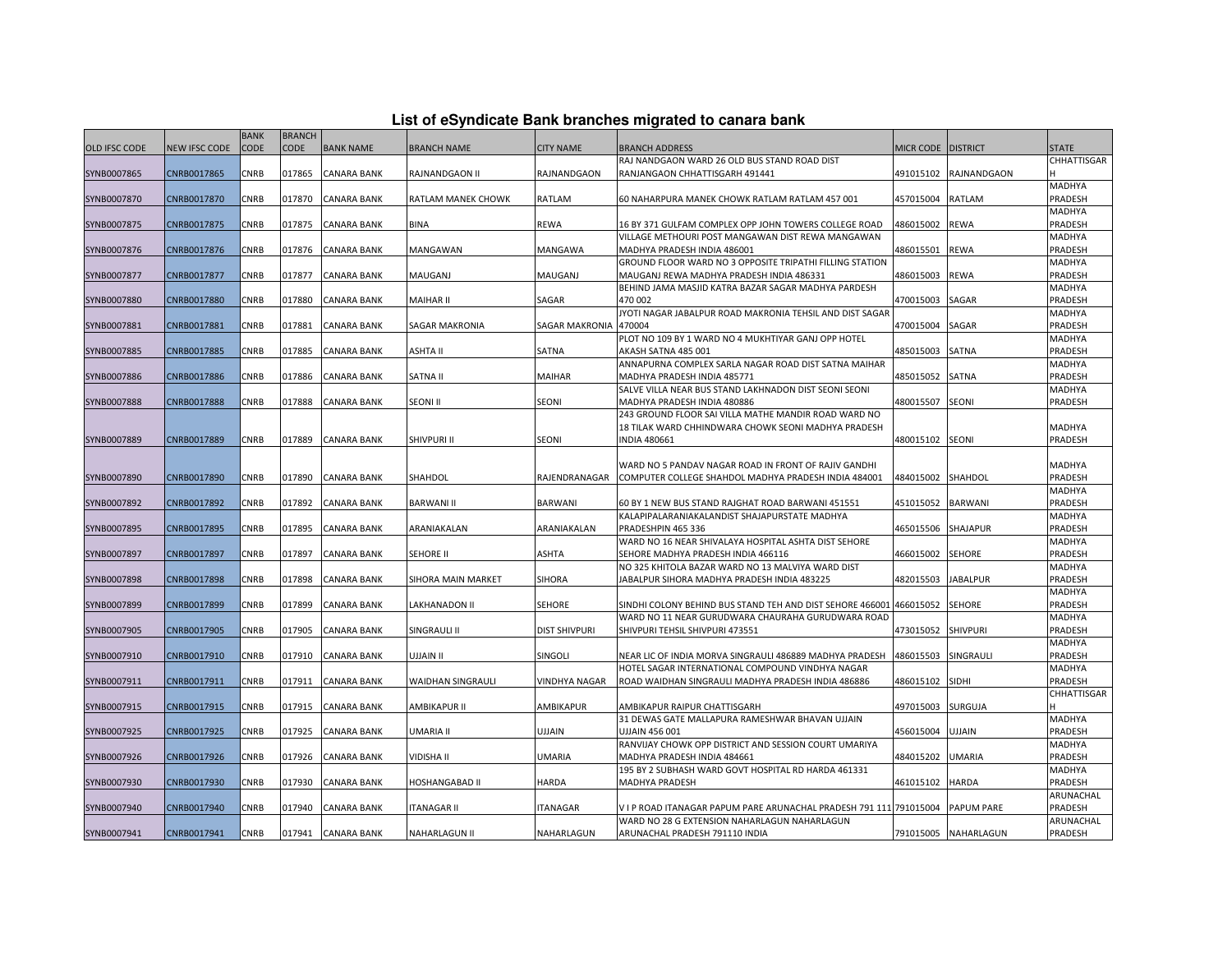| List of eSyndicate Bank branches migrated to canara bank |  |  |
|----------------------------------------------------------|--|--|
|                                                          |  |  |

| CODE<br><b>CODE</b><br><b>BANK NAME</b><br><b>OLD IFSC CODE</b><br>NEW IFSC CODE<br><b>BRANCH NAME</b><br><b>CITY NAME</b><br><b>BRANCH ADDRESS</b><br><b>MICR CODE</b><br><b>DISTRICT</b><br><b>STATE</b><br>RAJ NANDGAON WARD 26 OLD BUS STAND ROAD DIST<br>CHHATTISGAR<br>CNRB0017865<br><b>CNRB</b><br>017865<br>SYNB0007865<br><b>CANARA BANK</b><br>RAJNANDGAON II<br>RAJNANDGAON<br>RANJANGAON CHHATTISGARH 491441<br>491015102<br>RAJNANDGAON<br>MADHYA<br>CNRB<br>017870<br><b>CANARA BANK</b><br>457015004<br>RATLAM<br>PRADESH<br>SYNB0007870<br>CNRB0017870<br>RATLAM MANEK CHOWK<br>RATLAM<br>60 NAHARPURA MANEK CHOWK RATLAM RATLAM 457 001<br>MADHYA<br>SYNB0007875<br>CNRB0017875<br>CNRB<br>017875<br><b>CANARA BANK</b><br><b>BINA</b><br><b>REWA</b><br>16 BY 371 GULFAM COMPLEX OPP JOHN TOWERS COLLEGE ROAD<br>486015002<br><b>REWA</b><br>PRADESH<br>VILLAGE METHOURI POST MANGAWAN DIST REWA MANGAWAN<br>MADHYA<br>SYNB0007876<br>CNRB0017876<br>CNRB<br>017876<br><b>CANARA BANK</b><br>MANGAWAN<br>MANGAWA<br>MADHYA PRADESH INDIA 486001<br>486015501<br><b>REWA</b><br>PRADESH<br>GROUND FLOOR WARD NO 3 OPPOSITE TRIPATHI FILLING STATION<br>MADHYA<br>PRADESH<br>SYNB0007877<br>CNRB0017877<br>CNRB<br>017877<br><b>CANARA BANK</b><br>MAUGANJ<br>MAUGANJ<br>MAUGANJ REWA MADHYA PRADESH INDIA 486331<br>486015003<br>REWA<br>BEHIND JAMA MASJID KATRA BAZAR SAGAR MADHYA PARDESH<br>MADHYA<br>SYNB0007880<br>CNRB0017880<br>CNRB<br>017880<br><b>CANARA BANK</b><br>MAIHAR II<br>SAGAR<br>470 002<br>470015003<br>SAGAR<br>PRADESH<br>JYOTI NAGAR JABALPUR ROAD MAKRONIA TEHSIL AND DIST SAGAR<br>MADHYA<br><b>CNRB</b><br>470004<br>470015004<br>SAGAR<br>PRADESH<br>SYNB0007881<br>CNRB0017881<br>017881<br><b>CANARA BANK</b><br>SAGAR MAKRONIA<br><b>SAGAR MAKRONIA</b><br>PLOT NO 109 BY 1 WARD NO 4 MUKHTIYAR GANJ OPP HOTEL<br>MADHYA<br>SYNB0007885<br>CNRB0017885<br>CNRB<br>017885<br><b>CANARA BANK</b><br>ASHTA II<br>SATNA<br>AKASH SATNA 485 001<br>485015003<br>SATNA<br>PRADESH<br>ANNAPURNA COMPLEX SARLA NAGAR ROAD DIST SATNA MAIHAR<br>MADHYA<br>SYNB0007886<br>CNRB<br>SATNA II<br>MAIHAR<br>MADHYA PRADESH INDIA 485771<br>485015052<br>SATNA<br>PRADESH<br>CNRB0017886<br>017886<br><b>CANARA BANK</b><br>SALVE VILLA NEAR BUS STAND LAKHNADON DIST SEONI SEONI<br>MADHYA<br><b>SEONI</b><br>SYNB0007888<br>CNRB0017888<br>CNRB<br>017888<br>SEONI II<br><b>SEONI</b><br>MADHYA PRADESH INDIA 480886<br>480015507<br>PRADESH<br><b>CANARA BANK</b><br>243 GROUND FLOOR SAI VILLA MATHE MANDIR ROAD WARD NO<br>MADHYA<br>18 TILAK WARD CHHINDWARA CHOWK SEONI MADHYA PRADESH<br>CNRB<br>SHIVPURI II<br><b>SEONI</b><br><b>INDIA 480661</b><br>SEONI<br>PRADESH<br>SYNB0007889<br>CNRB0017889<br>017889<br><b>CANARA BANK</b><br>480015102<br>WARD NO 5 PANDAV NAGAR ROAD IN FRONT OF RAJIV GANDHI<br>MADHYA<br>CNRB0017890<br><b>CNRB</b><br><b>CANARA BANK</b><br>SHAHDOL<br>RAJENDRANAGAR<br>COMPUTER COLLEGE SHAHDOL MADHYA PRADESH INDIA 484001<br>SHAHDOL<br>PRADESH<br>SYNB0007890<br>017890<br>484015002<br>MADHYA<br>SYNB0007892<br>CNRB0017892<br>CNRB<br>017892<br><b>CANARA BANK</b><br><b>BARWANI II</b><br><b>BARWANI</b><br>60 BY 1 NEW BUS STAND RAJGHAT ROAD BARWANI 451551<br>451015052<br><b>BARWANI</b><br>PRADESH<br>MADHYA<br>KALAPIPALARANIAKALANDIST SHAJAPURSTATE MADHYA<br>PRADESH<br>SYNB0007895<br>CNRB0017895<br>CNRB<br>017895<br>ARANIAKALAN<br>PRADESHPIN 465 336<br>465015506<br>SHAJAPUR<br>CANARA BANK<br>ARANIAKALAN<br>WARD NO 16 NEAR SHIVALAYA HOSPITAL ASHTA DIST SEHORE<br>MADHYA<br><b>CNRB</b><br>017897<br><b>CANARA BANK</b><br>SEHORE II<br><b>ASHTA</b><br>SEHORE MADHYA PRADESH INDIA 466116<br>466015002<br><b>SEHORE</b><br>PRADESH<br>SYNB0007897<br>CNRB0017897<br>NO 325 KHITOLA BAZAR WARD NO 13 MALVIYA WARD DIST<br>MADHYA<br>SYNB0007898<br>CNRB0017898<br>CNRB<br>017898<br><b>CANARA BANK</b><br>SIHORA MAIN MARKET<br><b>SIHORA</b><br>JABALPUR SIHORA MADHYA PRADESH INDIA 483225<br>482015503<br>JABALPUR<br>PRADESH<br>MADHYA<br>CNRB<br><b>SEHORE</b><br>PRADESH<br>SYNB0007899<br>CNRB0017899<br>017899<br>CANARA BANK<br>LAKHANADON II<br>SEHORE<br>SINDHI COLONY BEHIND BUS STAND TEH AND DIST SEHORE 466001 466015052<br>WARD NO 11 NEAR GURUDWARA CHAURAHA GURUDWARA ROAD<br>MADHYA<br>PRADESH<br>SYNB0007905<br>CNRB0017905<br>CNRB<br>017905<br><b>CANARA BANK</b><br>SINGRAULI II<br><b>DIST SHIVPURI</b><br>SHIVPURI TEHSIL SHIVPURI 473551<br>473015052<br><b>SHIVPURI</b><br>MADHYA<br>SYNB0007910<br>CNRB0017910<br>CNRB<br>017910<br><b>CANARA BANK</b><br>II <i>VIALLU</i><br>SINGOLI<br>NEAR LIC OF INDIA MORVA SINGRAULI 486889 MADHYA PRADESH<br>486015503<br>SINGRAULI<br>PRADESH<br>HOTEL SAGAR INTERNATIONAL COMPOUND VINDHYA NAGAR<br>MADHYA<br>CNRB<br>017911<br>486015102<br>SIDHI<br>PRADESH<br>SYNB0007911<br>CNRB0017911<br>CANARA BANK<br>WAIDHAN SINGRAULI<br>VINDHYA NAGAR<br>ROAD WAIDHAN SINGRAULI MADHYA PRADESH INDIA 486886<br>CHHATTISGAR<br>SYNB0007915<br>CNRB0017915<br><b>CNRB</b><br>017915<br><b>CANARA BANK</b><br><b>AMBIKAPUR II</b><br>AMBIKAPUR<br>AMBIKAPUR RAIPUR CHATTISGARH<br>497015003<br>SURGUJA<br>31 DEWAS GATE MALLAPURA RAMESHWAR BHAVAN UJJAIN<br>MADHYA<br>CNRB0017925<br>CNRB<br>017925<br>UJJAIN<br>456015004<br>PRADESH<br>SYNB0007925<br><b>CANARA BANK</b><br>UMARIA II<br>UJJAIN 456 001<br>UJJAIN<br>RANVIJAY CHOWK OPP DISTRICT AND SESSION COURT UMARIYA<br>MADHYA<br>PRADESH<br>SYNB0007926<br>CNRB0017926<br>CNRB<br>017926<br><b>CANARA BANK</b><br>VIDISHA II<br><b>JMARIA</b><br>MADHYA PRADESH INDIA 484661<br>484015202<br>UMARIA<br>195 BY 2 SUBHASH WARD GOVT HOSPITAL RD HARDA 461331<br>MADHYA<br>CNRB0017930<br><b>CNRB</b><br><b>CANARA BANK</b><br><b>HOSHANGABAD II</b><br><b>HARDA</b><br>461015102<br><b>HARDA</b><br>PRADESH<br>SYNB0007930<br>017930<br><b>MADHYA PRADESH</b><br>ARUNACHAL<br>SYNB0007940<br>CNRB0017940<br>CNRB<br>017940<br>CANARA BANK<br><b>ITANAGAR II</b><br><b>ITANAGAR</b><br>V I P ROAD ITANAGAR PAPUM PARE ARUNACHAL PRADESH 791 111 791015004<br><b>PAPUM PARE</b><br><b>PRADESH</b><br>WARD NO 28 G EXTENSION NAHARLAGUN NAHARLAGUN<br>ARUNACHAL<br><b>CNRB</b><br>791015005 NAHARLAGUN<br>PRADESH<br>SYNB0007941<br>CNRB0017941<br>017941 CANARA BANK<br><b>NAHARLAGUN II</b><br>NAHARLAGUN<br>ARUNACHAL PRADESH 791110 INDIA |  | <b>BANK</b> | <b>BRANCH</b> |  |  |  |  |
|----------------------------------------------------------------------------------------------------------------------------------------------------------------------------------------------------------------------------------------------------------------------------------------------------------------------------------------------------------------------------------------------------------------------------------------------------------------------------------------------------------------------------------------------------------------------------------------------------------------------------------------------------------------------------------------------------------------------------------------------------------------------------------------------------------------------------------------------------------------------------------------------------------------------------------------------------------------------------------------------------------------------------------------------------------------------------------------------------------------------------------------------------------------------------------------------------------------------------------------------------------------------------------------------------------------------------------------------------------------------------------------------------------------------------------------------------------------------------------------------------------------------------------------------------------------------------------------------------------------------------------------------------------------------------------------------------------------------------------------------------------------------------------------------------------------------------------------------------------------------------------------------------------------------------------------------------------------------------------------------------------------------------------------------------------------------------------------------------------------------------------------------------------------------------------------------------------------------------------------------------------------------------------------------------------------------------------------------------------------------------------------------------------------------------------------------------------------------------------------------------------------------------------------------------------------------------------------------------------------------------------------------------------------------------------------------------------------------------------------------------------------------------------------------------------------------------------------------------------------------------------------------------------------------------------------------------------------------------------------------------------------------------------------------------------------------------------------------------------------------------------------------------------------------------------------------------------------------------------------------------------------------------------------------------------------------------------------------------------------------------------------------------------------------------------------------------------------------------------------------------------------------------------------------------------------------------------------------------------------------------------------------------------------------------------------------------------------------------------------------------------------------------------------------------------------------------------------------------------------------------------------------------------------------------------------------------------------------------------------------------------------------------------------------------------------------------------------------------------------------------------------------------------------------------------------------------------------------------------------------------------------------------------------------------------------------------------------------------------------------------------------------------------------------------------------------------------------------------------------------------------------------------------------------------------------------------------------------------------------------------------------------------------------------------------------------------------------------------------------------------------------------------------------------------------------------------------------------------------------------------------------------------------------------------------------------------------------------------------------------------------------------------------------------------------------------------------------------------------------------------------------------------------------------------------------------------------------------------------------------------------------------------------------------------------------------------------------------------------------------------------------------------------------------------------------------------------------------------------------------------------------------------------------------------------------------------------------------------------------------------------------------------------------------------------------------------------------------------------------------------------------------------------------------------------------------------------------------------------------------------------------------------------------------------------------------------------------------------------------------------------------------------------------------------------------------------------------------------------------------------------------------------------------------------------------------------------------------------------------------------------------------------------------------------------------------------------------------------------------------|--|-------------|---------------|--|--|--|--|
|                                                                                                                                                                                                                                                                                                                                                                                                                                                                                                                                                                                                                                                                                                                                                                                                                                                                                                                                                                                                                                                                                                                                                                                                                                                                                                                                                                                                                                                                                                                                                                                                                                                                                                                                                                                                                                                                                                                                                                                                                                                                                                                                                                                                                                                                                                                                                                                                                                                                                                                                                                                                                                                                                                                                                                                                                                                                                                                                                                                                                                                                                                                                                                                                                                                                                                                                                                                                                                                                                                                                                                                                                                                                                                                                                                                                                                                                                                                                                                                                                                                                                                                                                                                                                                                                                                                                                                                                                                                                                                                                                                                                                                                                                                                                                                                                                                                                                                                                                                                                                                                                                                                                                                                                                                                                                                                                                                                                                                                                                                                                                                                                                                                                                                                                                                                                                                                                                                                                                                                                                                                                                                                                                                                                                                                                                                                                                                      |  |             |               |  |  |  |  |
|                                                                                                                                                                                                                                                                                                                                                                                                                                                                                                                                                                                                                                                                                                                                                                                                                                                                                                                                                                                                                                                                                                                                                                                                                                                                                                                                                                                                                                                                                                                                                                                                                                                                                                                                                                                                                                                                                                                                                                                                                                                                                                                                                                                                                                                                                                                                                                                                                                                                                                                                                                                                                                                                                                                                                                                                                                                                                                                                                                                                                                                                                                                                                                                                                                                                                                                                                                                                                                                                                                                                                                                                                                                                                                                                                                                                                                                                                                                                                                                                                                                                                                                                                                                                                                                                                                                                                                                                                                                                                                                                                                                                                                                                                                                                                                                                                                                                                                                                                                                                                                                                                                                                                                                                                                                                                                                                                                                                                                                                                                                                                                                                                                                                                                                                                                                                                                                                                                                                                                                                                                                                                                                                                                                                                                                                                                                                                                      |  |             |               |  |  |  |  |
|                                                                                                                                                                                                                                                                                                                                                                                                                                                                                                                                                                                                                                                                                                                                                                                                                                                                                                                                                                                                                                                                                                                                                                                                                                                                                                                                                                                                                                                                                                                                                                                                                                                                                                                                                                                                                                                                                                                                                                                                                                                                                                                                                                                                                                                                                                                                                                                                                                                                                                                                                                                                                                                                                                                                                                                                                                                                                                                                                                                                                                                                                                                                                                                                                                                                                                                                                                                                                                                                                                                                                                                                                                                                                                                                                                                                                                                                                                                                                                                                                                                                                                                                                                                                                                                                                                                                                                                                                                                                                                                                                                                                                                                                                                                                                                                                                                                                                                                                                                                                                                                                                                                                                                                                                                                                                                                                                                                                                                                                                                                                                                                                                                                                                                                                                                                                                                                                                                                                                                                                                                                                                                                                                                                                                                                                                                                                                                      |  |             |               |  |  |  |  |
|                                                                                                                                                                                                                                                                                                                                                                                                                                                                                                                                                                                                                                                                                                                                                                                                                                                                                                                                                                                                                                                                                                                                                                                                                                                                                                                                                                                                                                                                                                                                                                                                                                                                                                                                                                                                                                                                                                                                                                                                                                                                                                                                                                                                                                                                                                                                                                                                                                                                                                                                                                                                                                                                                                                                                                                                                                                                                                                                                                                                                                                                                                                                                                                                                                                                                                                                                                                                                                                                                                                                                                                                                                                                                                                                                                                                                                                                                                                                                                                                                                                                                                                                                                                                                                                                                                                                                                                                                                                                                                                                                                                                                                                                                                                                                                                                                                                                                                                                                                                                                                                                                                                                                                                                                                                                                                                                                                                                                                                                                                                                                                                                                                                                                                                                                                                                                                                                                                                                                                                                                                                                                                                                                                                                                                                                                                                                                                      |  |             |               |  |  |  |  |
|                                                                                                                                                                                                                                                                                                                                                                                                                                                                                                                                                                                                                                                                                                                                                                                                                                                                                                                                                                                                                                                                                                                                                                                                                                                                                                                                                                                                                                                                                                                                                                                                                                                                                                                                                                                                                                                                                                                                                                                                                                                                                                                                                                                                                                                                                                                                                                                                                                                                                                                                                                                                                                                                                                                                                                                                                                                                                                                                                                                                                                                                                                                                                                                                                                                                                                                                                                                                                                                                                                                                                                                                                                                                                                                                                                                                                                                                                                                                                                                                                                                                                                                                                                                                                                                                                                                                                                                                                                                                                                                                                                                                                                                                                                                                                                                                                                                                                                                                                                                                                                                                                                                                                                                                                                                                                                                                                                                                                                                                                                                                                                                                                                                                                                                                                                                                                                                                                                                                                                                                                                                                                                                                                                                                                                                                                                                                                                      |  |             |               |  |  |  |  |
|                                                                                                                                                                                                                                                                                                                                                                                                                                                                                                                                                                                                                                                                                                                                                                                                                                                                                                                                                                                                                                                                                                                                                                                                                                                                                                                                                                                                                                                                                                                                                                                                                                                                                                                                                                                                                                                                                                                                                                                                                                                                                                                                                                                                                                                                                                                                                                                                                                                                                                                                                                                                                                                                                                                                                                                                                                                                                                                                                                                                                                                                                                                                                                                                                                                                                                                                                                                                                                                                                                                                                                                                                                                                                                                                                                                                                                                                                                                                                                                                                                                                                                                                                                                                                                                                                                                                                                                                                                                                                                                                                                                                                                                                                                                                                                                                                                                                                                                                                                                                                                                                                                                                                                                                                                                                                                                                                                                                                                                                                                                                                                                                                                                                                                                                                                                                                                                                                                                                                                                                                                                                                                                                                                                                                                                                                                                                                                      |  |             |               |  |  |  |  |
|                                                                                                                                                                                                                                                                                                                                                                                                                                                                                                                                                                                                                                                                                                                                                                                                                                                                                                                                                                                                                                                                                                                                                                                                                                                                                                                                                                                                                                                                                                                                                                                                                                                                                                                                                                                                                                                                                                                                                                                                                                                                                                                                                                                                                                                                                                                                                                                                                                                                                                                                                                                                                                                                                                                                                                                                                                                                                                                                                                                                                                                                                                                                                                                                                                                                                                                                                                                                                                                                                                                                                                                                                                                                                                                                                                                                                                                                                                                                                                                                                                                                                                                                                                                                                                                                                                                                                                                                                                                                                                                                                                                                                                                                                                                                                                                                                                                                                                                                                                                                                                                                                                                                                                                                                                                                                                                                                                                                                                                                                                                                                                                                                                                                                                                                                                                                                                                                                                                                                                                                                                                                                                                                                                                                                                                                                                                                                                      |  |             |               |  |  |  |  |
|                                                                                                                                                                                                                                                                                                                                                                                                                                                                                                                                                                                                                                                                                                                                                                                                                                                                                                                                                                                                                                                                                                                                                                                                                                                                                                                                                                                                                                                                                                                                                                                                                                                                                                                                                                                                                                                                                                                                                                                                                                                                                                                                                                                                                                                                                                                                                                                                                                                                                                                                                                                                                                                                                                                                                                                                                                                                                                                                                                                                                                                                                                                                                                                                                                                                                                                                                                                                                                                                                                                                                                                                                                                                                                                                                                                                                                                                                                                                                                                                                                                                                                                                                                                                                                                                                                                                                                                                                                                                                                                                                                                                                                                                                                                                                                                                                                                                                                                                                                                                                                                                                                                                                                                                                                                                                                                                                                                                                                                                                                                                                                                                                                                                                                                                                                                                                                                                                                                                                                                                                                                                                                                                                                                                                                                                                                                                                                      |  |             |               |  |  |  |  |
|                                                                                                                                                                                                                                                                                                                                                                                                                                                                                                                                                                                                                                                                                                                                                                                                                                                                                                                                                                                                                                                                                                                                                                                                                                                                                                                                                                                                                                                                                                                                                                                                                                                                                                                                                                                                                                                                                                                                                                                                                                                                                                                                                                                                                                                                                                                                                                                                                                                                                                                                                                                                                                                                                                                                                                                                                                                                                                                                                                                                                                                                                                                                                                                                                                                                                                                                                                                                                                                                                                                                                                                                                                                                                                                                                                                                                                                                                                                                                                                                                                                                                                                                                                                                                                                                                                                                                                                                                                                                                                                                                                                                                                                                                                                                                                                                                                                                                                                                                                                                                                                                                                                                                                                                                                                                                                                                                                                                                                                                                                                                                                                                                                                                                                                                                                                                                                                                                                                                                                                                                                                                                                                                                                                                                                                                                                                                                                      |  |             |               |  |  |  |  |
|                                                                                                                                                                                                                                                                                                                                                                                                                                                                                                                                                                                                                                                                                                                                                                                                                                                                                                                                                                                                                                                                                                                                                                                                                                                                                                                                                                                                                                                                                                                                                                                                                                                                                                                                                                                                                                                                                                                                                                                                                                                                                                                                                                                                                                                                                                                                                                                                                                                                                                                                                                                                                                                                                                                                                                                                                                                                                                                                                                                                                                                                                                                                                                                                                                                                                                                                                                                                                                                                                                                                                                                                                                                                                                                                                                                                                                                                                                                                                                                                                                                                                                                                                                                                                                                                                                                                                                                                                                                                                                                                                                                                                                                                                                                                                                                                                                                                                                                                                                                                                                                                                                                                                                                                                                                                                                                                                                                                                                                                                                                                                                                                                                                                                                                                                                                                                                                                                                                                                                                                                                                                                                                                                                                                                                                                                                                                                                      |  |             |               |  |  |  |  |
|                                                                                                                                                                                                                                                                                                                                                                                                                                                                                                                                                                                                                                                                                                                                                                                                                                                                                                                                                                                                                                                                                                                                                                                                                                                                                                                                                                                                                                                                                                                                                                                                                                                                                                                                                                                                                                                                                                                                                                                                                                                                                                                                                                                                                                                                                                                                                                                                                                                                                                                                                                                                                                                                                                                                                                                                                                                                                                                                                                                                                                                                                                                                                                                                                                                                                                                                                                                                                                                                                                                                                                                                                                                                                                                                                                                                                                                                                                                                                                                                                                                                                                                                                                                                                                                                                                                                                                                                                                                                                                                                                                                                                                                                                                                                                                                                                                                                                                                                                                                                                                                                                                                                                                                                                                                                                                                                                                                                                                                                                                                                                                                                                                                                                                                                                                                                                                                                                                                                                                                                                                                                                                                                                                                                                                                                                                                                                                      |  |             |               |  |  |  |  |
|                                                                                                                                                                                                                                                                                                                                                                                                                                                                                                                                                                                                                                                                                                                                                                                                                                                                                                                                                                                                                                                                                                                                                                                                                                                                                                                                                                                                                                                                                                                                                                                                                                                                                                                                                                                                                                                                                                                                                                                                                                                                                                                                                                                                                                                                                                                                                                                                                                                                                                                                                                                                                                                                                                                                                                                                                                                                                                                                                                                                                                                                                                                                                                                                                                                                                                                                                                                                                                                                                                                                                                                                                                                                                                                                                                                                                                                                                                                                                                                                                                                                                                                                                                                                                                                                                                                                                                                                                                                                                                                                                                                                                                                                                                                                                                                                                                                                                                                                                                                                                                                                                                                                                                                                                                                                                                                                                                                                                                                                                                                                                                                                                                                                                                                                                                                                                                                                                                                                                                                                                                                                                                                                                                                                                                                                                                                                                                      |  |             |               |  |  |  |  |
|                                                                                                                                                                                                                                                                                                                                                                                                                                                                                                                                                                                                                                                                                                                                                                                                                                                                                                                                                                                                                                                                                                                                                                                                                                                                                                                                                                                                                                                                                                                                                                                                                                                                                                                                                                                                                                                                                                                                                                                                                                                                                                                                                                                                                                                                                                                                                                                                                                                                                                                                                                                                                                                                                                                                                                                                                                                                                                                                                                                                                                                                                                                                                                                                                                                                                                                                                                                                                                                                                                                                                                                                                                                                                                                                                                                                                                                                                                                                                                                                                                                                                                                                                                                                                                                                                                                                                                                                                                                                                                                                                                                                                                                                                                                                                                                                                                                                                                                                                                                                                                                                                                                                                                                                                                                                                                                                                                                                                                                                                                                                                                                                                                                                                                                                                                                                                                                                                                                                                                                                                                                                                                                                                                                                                                                                                                                                                                      |  |             |               |  |  |  |  |
|                                                                                                                                                                                                                                                                                                                                                                                                                                                                                                                                                                                                                                                                                                                                                                                                                                                                                                                                                                                                                                                                                                                                                                                                                                                                                                                                                                                                                                                                                                                                                                                                                                                                                                                                                                                                                                                                                                                                                                                                                                                                                                                                                                                                                                                                                                                                                                                                                                                                                                                                                                                                                                                                                                                                                                                                                                                                                                                                                                                                                                                                                                                                                                                                                                                                                                                                                                                                                                                                                                                                                                                                                                                                                                                                                                                                                                                                                                                                                                                                                                                                                                                                                                                                                                                                                                                                                                                                                                                                                                                                                                                                                                                                                                                                                                                                                                                                                                                                                                                                                                                                                                                                                                                                                                                                                                                                                                                                                                                                                                                                                                                                                                                                                                                                                                                                                                                                                                                                                                                                                                                                                                                                                                                                                                                                                                                                                                      |  |             |               |  |  |  |  |
|                                                                                                                                                                                                                                                                                                                                                                                                                                                                                                                                                                                                                                                                                                                                                                                                                                                                                                                                                                                                                                                                                                                                                                                                                                                                                                                                                                                                                                                                                                                                                                                                                                                                                                                                                                                                                                                                                                                                                                                                                                                                                                                                                                                                                                                                                                                                                                                                                                                                                                                                                                                                                                                                                                                                                                                                                                                                                                                                                                                                                                                                                                                                                                                                                                                                                                                                                                                                                                                                                                                                                                                                                                                                                                                                                                                                                                                                                                                                                                                                                                                                                                                                                                                                                                                                                                                                                                                                                                                                                                                                                                                                                                                                                                                                                                                                                                                                                                                                                                                                                                                                                                                                                                                                                                                                                                                                                                                                                                                                                                                                                                                                                                                                                                                                                                                                                                                                                                                                                                                                                                                                                                                                                                                                                                                                                                                                                                      |  |             |               |  |  |  |  |
|                                                                                                                                                                                                                                                                                                                                                                                                                                                                                                                                                                                                                                                                                                                                                                                                                                                                                                                                                                                                                                                                                                                                                                                                                                                                                                                                                                                                                                                                                                                                                                                                                                                                                                                                                                                                                                                                                                                                                                                                                                                                                                                                                                                                                                                                                                                                                                                                                                                                                                                                                                                                                                                                                                                                                                                                                                                                                                                                                                                                                                                                                                                                                                                                                                                                                                                                                                                                                                                                                                                                                                                                                                                                                                                                                                                                                                                                                                                                                                                                                                                                                                                                                                                                                                                                                                                                                                                                                                                                                                                                                                                                                                                                                                                                                                                                                                                                                                                                                                                                                                                                                                                                                                                                                                                                                                                                                                                                                                                                                                                                                                                                                                                                                                                                                                                                                                                                                                                                                                                                                                                                                                                                                                                                                                                                                                                                                                      |  |             |               |  |  |  |  |
|                                                                                                                                                                                                                                                                                                                                                                                                                                                                                                                                                                                                                                                                                                                                                                                                                                                                                                                                                                                                                                                                                                                                                                                                                                                                                                                                                                                                                                                                                                                                                                                                                                                                                                                                                                                                                                                                                                                                                                                                                                                                                                                                                                                                                                                                                                                                                                                                                                                                                                                                                                                                                                                                                                                                                                                                                                                                                                                                                                                                                                                                                                                                                                                                                                                                                                                                                                                                                                                                                                                                                                                                                                                                                                                                                                                                                                                                                                                                                                                                                                                                                                                                                                                                                                                                                                                                                                                                                                                                                                                                                                                                                                                                                                                                                                                                                                                                                                                                                                                                                                                                                                                                                                                                                                                                                                                                                                                                                                                                                                                                                                                                                                                                                                                                                                                                                                                                                                                                                                                                                                                                                                                                                                                                                                                                                                                                                                      |  |             |               |  |  |  |  |
|                                                                                                                                                                                                                                                                                                                                                                                                                                                                                                                                                                                                                                                                                                                                                                                                                                                                                                                                                                                                                                                                                                                                                                                                                                                                                                                                                                                                                                                                                                                                                                                                                                                                                                                                                                                                                                                                                                                                                                                                                                                                                                                                                                                                                                                                                                                                                                                                                                                                                                                                                                                                                                                                                                                                                                                                                                                                                                                                                                                                                                                                                                                                                                                                                                                                                                                                                                                                                                                                                                                                                                                                                                                                                                                                                                                                                                                                                                                                                                                                                                                                                                                                                                                                                                                                                                                                                                                                                                                                                                                                                                                                                                                                                                                                                                                                                                                                                                                                                                                                                                                                                                                                                                                                                                                                                                                                                                                                                                                                                                                                                                                                                                                                                                                                                                                                                                                                                                                                                                                                                                                                                                                                                                                                                                                                                                                                                                      |  |             |               |  |  |  |  |
|                                                                                                                                                                                                                                                                                                                                                                                                                                                                                                                                                                                                                                                                                                                                                                                                                                                                                                                                                                                                                                                                                                                                                                                                                                                                                                                                                                                                                                                                                                                                                                                                                                                                                                                                                                                                                                                                                                                                                                                                                                                                                                                                                                                                                                                                                                                                                                                                                                                                                                                                                                                                                                                                                                                                                                                                                                                                                                                                                                                                                                                                                                                                                                                                                                                                                                                                                                                                                                                                                                                                                                                                                                                                                                                                                                                                                                                                                                                                                                                                                                                                                                                                                                                                                                                                                                                                                                                                                                                                                                                                                                                                                                                                                                                                                                                                                                                                                                                                                                                                                                                                                                                                                                                                                                                                                                                                                                                                                                                                                                                                                                                                                                                                                                                                                                                                                                                                                                                                                                                                                                                                                                                                                                                                                                                                                                                                                                      |  |             |               |  |  |  |  |
|                                                                                                                                                                                                                                                                                                                                                                                                                                                                                                                                                                                                                                                                                                                                                                                                                                                                                                                                                                                                                                                                                                                                                                                                                                                                                                                                                                                                                                                                                                                                                                                                                                                                                                                                                                                                                                                                                                                                                                                                                                                                                                                                                                                                                                                                                                                                                                                                                                                                                                                                                                                                                                                                                                                                                                                                                                                                                                                                                                                                                                                                                                                                                                                                                                                                                                                                                                                                                                                                                                                                                                                                                                                                                                                                                                                                                                                                                                                                                                                                                                                                                                                                                                                                                                                                                                                                                                                                                                                                                                                                                                                                                                                                                                                                                                                                                                                                                                                                                                                                                                                                                                                                                                                                                                                                                                                                                                                                                                                                                                                                                                                                                                                                                                                                                                                                                                                                                                                                                                                                                                                                                                                                                                                                                                                                                                                                                                      |  |             |               |  |  |  |  |
|                                                                                                                                                                                                                                                                                                                                                                                                                                                                                                                                                                                                                                                                                                                                                                                                                                                                                                                                                                                                                                                                                                                                                                                                                                                                                                                                                                                                                                                                                                                                                                                                                                                                                                                                                                                                                                                                                                                                                                                                                                                                                                                                                                                                                                                                                                                                                                                                                                                                                                                                                                                                                                                                                                                                                                                                                                                                                                                                                                                                                                                                                                                                                                                                                                                                                                                                                                                                                                                                                                                                                                                                                                                                                                                                                                                                                                                                                                                                                                                                                                                                                                                                                                                                                                                                                                                                                                                                                                                                                                                                                                                                                                                                                                                                                                                                                                                                                                                                                                                                                                                                                                                                                                                                                                                                                                                                                                                                                                                                                                                                                                                                                                                                                                                                                                                                                                                                                                                                                                                                                                                                                                                                                                                                                                                                                                                                                                      |  |             |               |  |  |  |  |
|                                                                                                                                                                                                                                                                                                                                                                                                                                                                                                                                                                                                                                                                                                                                                                                                                                                                                                                                                                                                                                                                                                                                                                                                                                                                                                                                                                                                                                                                                                                                                                                                                                                                                                                                                                                                                                                                                                                                                                                                                                                                                                                                                                                                                                                                                                                                                                                                                                                                                                                                                                                                                                                                                                                                                                                                                                                                                                                                                                                                                                                                                                                                                                                                                                                                                                                                                                                                                                                                                                                                                                                                                                                                                                                                                                                                                                                                                                                                                                                                                                                                                                                                                                                                                                                                                                                                                                                                                                                                                                                                                                                                                                                                                                                                                                                                                                                                                                                                                                                                                                                                                                                                                                                                                                                                                                                                                                                                                                                                                                                                                                                                                                                                                                                                                                                                                                                                                                                                                                                                                                                                                                                                                                                                                                                                                                                                                                      |  |             |               |  |  |  |  |
|                                                                                                                                                                                                                                                                                                                                                                                                                                                                                                                                                                                                                                                                                                                                                                                                                                                                                                                                                                                                                                                                                                                                                                                                                                                                                                                                                                                                                                                                                                                                                                                                                                                                                                                                                                                                                                                                                                                                                                                                                                                                                                                                                                                                                                                                                                                                                                                                                                                                                                                                                                                                                                                                                                                                                                                                                                                                                                                                                                                                                                                                                                                                                                                                                                                                                                                                                                                                                                                                                                                                                                                                                                                                                                                                                                                                                                                                                                                                                                                                                                                                                                                                                                                                                                                                                                                                                                                                                                                                                                                                                                                                                                                                                                                                                                                                                                                                                                                                                                                                                                                                                                                                                                                                                                                                                                                                                                                                                                                                                                                                                                                                                                                                                                                                                                                                                                                                                                                                                                                                                                                                                                                                                                                                                                                                                                                                                                      |  |             |               |  |  |  |  |
|                                                                                                                                                                                                                                                                                                                                                                                                                                                                                                                                                                                                                                                                                                                                                                                                                                                                                                                                                                                                                                                                                                                                                                                                                                                                                                                                                                                                                                                                                                                                                                                                                                                                                                                                                                                                                                                                                                                                                                                                                                                                                                                                                                                                                                                                                                                                                                                                                                                                                                                                                                                                                                                                                                                                                                                                                                                                                                                                                                                                                                                                                                                                                                                                                                                                                                                                                                                                                                                                                                                                                                                                                                                                                                                                                                                                                                                                                                                                                                                                                                                                                                                                                                                                                                                                                                                                                                                                                                                                                                                                                                                                                                                                                                                                                                                                                                                                                                                                                                                                                                                                                                                                                                                                                                                                                                                                                                                                                                                                                                                                                                                                                                                                                                                                                                                                                                                                                                                                                                                                                                                                                                                                                                                                                                                                                                                                                                      |  |             |               |  |  |  |  |
|                                                                                                                                                                                                                                                                                                                                                                                                                                                                                                                                                                                                                                                                                                                                                                                                                                                                                                                                                                                                                                                                                                                                                                                                                                                                                                                                                                                                                                                                                                                                                                                                                                                                                                                                                                                                                                                                                                                                                                                                                                                                                                                                                                                                                                                                                                                                                                                                                                                                                                                                                                                                                                                                                                                                                                                                                                                                                                                                                                                                                                                                                                                                                                                                                                                                                                                                                                                                                                                                                                                                                                                                                                                                                                                                                                                                                                                                                                                                                                                                                                                                                                                                                                                                                                                                                                                                                                                                                                                                                                                                                                                                                                                                                                                                                                                                                                                                                                                                                                                                                                                                                                                                                                                                                                                                                                                                                                                                                                                                                                                                                                                                                                                                                                                                                                                                                                                                                                                                                                                                                                                                                                                                                                                                                                                                                                                                                                      |  |             |               |  |  |  |  |
|                                                                                                                                                                                                                                                                                                                                                                                                                                                                                                                                                                                                                                                                                                                                                                                                                                                                                                                                                                                                                                                                                                                                                                                                                                                                                                                                                                                                                                                                                                                                                                                                                                                                                                                                                                                                                                                                                                                                                                                                                                                                                                                                                                                                                                                                                                                                                                                                                                                                                                                                                                                                                                                                                                                                                                                                                                                                                                                                                                                                                                                                                                                                                                                                                                                                                                                                                                                                                                                                                                                                                                                                                                                                                                                                                                                                                                                                                                                                                                                                                                                                                                                                                                                                                                                                                                                                                                                                                                                                                                                                                                                                                                                                                                                                                                                                                                                                                                                                                                                                                                                                                                                                                                                                                                                                                                                                                                                                                                                                                                                                                                                                                                                                                                                                                                                                                                                                                                                                                                                                                                                                                                                                                                                                                                                                                                                                                                      |  |             |               |  |  |  |  |
|                                                                                                                                                                                                                                                                                                                                                                                                                                                                                                                                                                                                                                                                                                                                                                                                                                                                                                                                                                                                                                                                                                                                                                                                                                                                                                                                                                                                                                                                                                                                                                                                                                                                                                                                                                                                                                                                                                                                                                                                                                                                                                                                                                                                                                                                                                                                                                                                                                                                                                                                                                                                                                                                                                                                                                                                                                                                                                                                                                                                                                                                                                                                                                                                                                                                                                                                                                                                                                                                                                                                                                                                                                                                                                                                                                                                                                                                                                                                                                                                                                                                                                                                                                                                                                                                                                                                                                                                                                                                                                                                                                                                                                                                                                                                                                                                                                                                                                                                                                                                                                                                                                                                                                                                                                                                                                                                                                                                                                                                                                                                                                                                                                                                                                                                                                                                                                                                                                                                                                                                                                                                                                                                                                                                                                                                                                                                                                      |  |             |               |  |  |  |  |
|                                                                                                                                                                                                                                                                                                                                                                                                                                                                                                                                                                                                                                                                                                                                                                                                                                                                                                                                                                                                                                                                                                                                                                                                                                                                                                                                                                                                                                                                                                                                                                                                                                                                                                                                                                                                                                                                                                                                                                                                                                                                                                                                                                                                                                                                                                                                                                                                                                                                                                                                                                                                                                                                                                                                                                                                                                                                                                                                                                                                                                                                                                                                                                                                                                                                                                                                                                                                                                                                                                                                                                                                                                                                                                                                                                                                                                                                                                                                                                                                                                                                                                                                                                                                                                                                                                                                                                                                                                                                                                                                                                                                                                                                                                                                                                                                                                                                                                                                                                                                                                                                                                                                                                                                                                                                                                                                                                                                                                                                                                                                                                                                                                                                                                                                                                                                                                                                                                                                                                                                                                                                                                                                                                                                                                                                                                                                                                      |  |             |               |  |  |  |  |
|                                                                                                                                                                                                                                                                                                                                                                                                                                                                                                                                                                                                                                                                                                                                                                                                                                                                                                                                                                                                                                                                                                                                                                                                                                                                                                                                                                                                                                                                                                                                                                                                                                                                                                                                                                                                                                                                                                                                                                                                                                                                                                                                                                                                                                                                                                                                                                                                                                                                                                                                                                                                                                                                                                                                                                                                                                                                                                                                                                                                                                                                                                                                                                                                                                                                                                                                                                                                                                                                                                                                                                                                                                                                                                                                                                                                                                                                                                                                                                                                                                                                                                                                                                                                                                                                                                                                                                                                                                                                                                                                                                                                                                                                                                                                                                                                                                                                                                                                                                                                                                                                                                                                                                                                                                                                                                                                                                                                                                                                                                                                                                                                                                                                                                                                                                                                                                                                                                                                                                                                                                                                                                                                                                                                                                                                                                                                                                      |  |             |               |  |  |  |  |
|                                                                                                                                                                                                                                                                                                                                                                                                                                                                                                                                                                                                                                                                                                                                                                                                                                                                                                                                                                                                                                                                                                                                                                                                                                                                                                                                                                                                                                                                                                                                                                                                                                                                                                                                                                                                                                                                                                                                                                                                                                                                                                                                                                                                                                                                                                                                                                                                                                                                                                                                                                                                                                                                                                                                                                                                                                                                                                                                                                                                                                                                                                                                                                                                                                                                                                                                                                                                                                                                                                                                                                                                                                                                                                                                                                                                                                                                                                                                                                                                                                                                                                                                                                                                                                                                                                                                                                                                                                                                                                                                                                                                                                                                                                                                                                                                                                                                                                                                                                                                                                                                                                                                                                                                                                                                                                                                                                                                                                                                                                                                                                                                                                                                                                                                                                                                                                                                                                                                                                                                                                                                                                                                                                                                                                                                                                                                                                      |  |             |               |  |  |  |  |
|                                                                                                                                                                                                                                                                                                                                                                                                                                                                                                                                                                                                                                                                                                                                                                                                                                                                                                                                                                                                                                                                                                                                                                                                                                                                                                                                                                                                                                                                                                                                                                                                                                                                                                                                                                                                                                                                                                                                                                                                                                                                                                                                                                                                                                                                                                                                                                                                                                                                                                                                                                                                                                                                                                                                                                                                                                                                                                                                                                                                                                                                                                                                                                                                                                                                                                                                                                                                                                                                                                                                                                                                                                                                                                                                                                                                                                                                                                                                                                                                                                                                                                                                                                                                                                                                                                                                                                                                                                                                                                                                                                                                                                                                                                                                                                                                                                                                                                                                                                                                                                                                                                                                                                                                                                                                                                                                                                                                                                                                                                                                                                                                                                                                                                                                                                                                                                                                                                                                                                                                                                                                                                                                                                                                                                                                                                                                                                      |  |             |               |  |  |  |  |
|                                                                                                                                                                                                                                                                                                                                                                                                                                                                                                                                                                                                                                                                                                                                                                                                                                                                                                                                                                                                                                                                                                                                                                                                                                                                                                                                                                                                                                                                                                                                                                                                                                                                                                                                                                                                                                                                                                                                                                                                                                                                                                                                                                                                                                                                                                                                                                                                                                                                                                                                                                                                                                                                                                                                                                                                                                                                                                                                                                                                                                                                                                                                                                                                                                                                                                                                                                                                                                                                                                                                                                                                                                                                                                                                                                                                                                                                                                                                                                                                                                                                                                                                                                                                                                                                                                                                                                                                                                                                                                                                                                                                                                                                                                                                                                                                                                                                                                                                                                                                                                                                                                                                                                                                                                                                                                                                                                                                                                                                                                                                                                                                                                                                                                                                                                                                                                                                                                                                                                                                                                                                                                                                                                                                                                                                                                                                                                      |  |             |               |  |  |  |  |
|                                                                                                                                                                                                                                                                                                                                                                                                                                                                                                                                                                                                                                                                                                                                                                                                                                                                                                                                                                                                                                                                                                                                                                                                                                                                                                                                                                                                                                                                                                                                                                                                                                                                                                                                                                                                                                                                                                                                                                                                                                                                                                                                                                                                                                                                                                                                                                                                                                                                                                                                                                                                                                                                                                                                                                                                                                                                                                                                                                                                                                                                                                                                                                                                                                                                                                                                                                                                                                                                                                                                                                                                                                                                                                                                                                                                                                                                                                                                                                                                                                                                                                                                                                                                                                                                                                                                                                                                                                                                                                                                                                                                                                                                                                                                                                                                                                                                                                                                                                                                                                                                                                                                                                                                                                                                                                                                                                                                                                                                                                                                                                                                                                                                                                                                                                                                                                                                                                                                                                                                                                                                                                                                                                                                                                                                                                                                                                      |  |             |               |  |  |  |  |
|                                                                                                                                                                                                                                                                                                                                                                                                                                                                                                                                                                                                                                                                                                                                                                                                                                                                                                                                                                                                                                                                                                                                                                                                                                                                                                                                                                                                                                                                                                                                                                                                                                                                                                                                                                                                                                                                                                                                                                                                                                                                                                                                                                                                                                                                                                                                                                                                                                                                                                                                                                                                                                                                                                                                                                                                                                                                                                                                                                                                                                                                                                                                                                                                                                                                                                                                                                                                                                                                                                                                                                                                                                                                                                                                                                                                                                                                                                                                                                                                                                                                                                                                                                                                                                                                                                                                                                                                                                                                                                                                                                                                                                                                                                                                                                                                                                                                                                                                                                                                                                                                                                                                                                                                                                                                                                                                                                                                                                                                                                                                                                                                                                                                                                                                                                                                                                                                                                                                                                                                                                                                                                                                                                                                                                                                                                                                                                      |  |             |               |  |  |  |  |
|                                                                                                                                                                                                                                                                                                                                                                                                                                                                                                                                                                                                                                                                                                                                                                                                                                                                                                                                                                                                                                                                                                                                                                                                                                                                                                                                                                                                                                                                                                                                                                                                                                                                                                                                                                                                                                                                                                                                                                                                                                                                                                                                                                                                                                                                                                                                                                                                                                                                                                                                                                                                                                                                                                                                                                                                                                                                                                                                                                                                                                                                                                                                                                                                                                                                                                                                                                                                                                                                                                                                                                                                                                                                                                                                                                                                                                                                                                                                                                                                                                                                                                                                                                                                                                                                                                                                                                                                                                                                                                                                                                                                                                                                                                                                                                                                                                                                                                                                                                                                                                                                                                                                                                                                                                                                                                                                                                                                                                                                                                                                                                                                                                                                                                                                                                                                                                                                                                                                                                                                                                                                                                                                                                                                                                                                                                                                                                      |  |             |               |  |  |  |  |
|                                                                                                                                                                                                                                                                                                                                                                                                                                                                                                                                                                                                                                                                                                                                                                                                                                                                                                                                                                                                                                                                                                                                                                                                                                                                                                                                                                                                                                                                                                                                                                                                                                                                                                                                                                                                                                                                                                                                                                                                                                                                                                                                                                                                                                                                                                                                                                                                                                                                                                                                                                                                                                                                                                                                                                                                                                                                                                                                                                                                                                                                                                                                                                                                                                                                                                                                                                                                                                                                                                                                                                                                                                                                                                                                                                                                                                                                                                                                                                                                                                                                                                                                                                                                                                                                                                                                                                                                                                                                                                                                                                                                                                                                                                                                                                                                                                                                                                                                                                                                                                                                                                                                                                                                                                                                                                                                                                                                                                                                                                                                                                                                                                                                                                                                                                                                                                                                                                                                                                                                                                                                                                                                                                                                                                                                                                                                                                      |  |             |               |  |  |  |  |
|                                                                                                                                                                                                                                                                                                                                                                                                                                                                                                                                                                                                                                                                                                                                                                                                                                                                                                                                                                                                                                                                                                                                                                                                                                                                                                                                                                                                                                                                                                                                                                                                                                                                                                                                                                                                                                                                                                                                                                                                                                                                                                                                                                                                                                                                                                                                                                                                                                                                                                                                                                                                                                                                                                                                                                                                                                                                                                                                                                                                                                                                                                                                                                                                                                                                                                                                                                                                                                                                                                                                                                                                                                                                                                                                                                                                                                                                                                                                                                                                                                                                                                                                                                                                                                                                                                                                                                                                                                                                                                                                                                                                                                                                                                                                                                                                                                                                                                                                                                                                                                                                                                                                                                                                                                                                                                                                                                                                                                                                                                                                                                                                                                                                                                                                                                                                                                                                                                                                                                                                                                                                                                                                                                                                                                                                                                                                                                      |  |             |               |  |  |  |  |
|                                                                                                                                                                                                                                                                                                                                                                                                                                                                                                                                                                                                                                                                                                                                                                                                                                                                                                                                                                                                                                                                                                                                                                                                                                                                                                                                                                                                                                                                                                                                                                                                                                                                                                                                                                                                                                                                                                                                                                                                                                                                                                                                                                                                                                                                                                                                                                                                                                                                                                                                                                                                                                                                                                                                                                                                                                                                                                                                                                                                                                                                                                                                                                                                                                                                                                                                                                                                                                                                                                                                                                                                                                                                                                                                                                                                                                                                                                                                                                                                                                                                                                                                                                                                                                                                                                                                                                                                                                                                                                                                                                                                                                                                                                                                                                                                                                                                                                                                                                                                                                                                                                                                                                                                                                                                                                                                                                                                                                                                                                                                                                                                                                                                                                                                                                                                                                                                                                                                                                                                                                                                                                                                                                                                                                                                                                                                                                      |  |             |               |  |  |  |  |
|                                                                                                                                                                                                                                                                                                                                                                                                                                                                                                                                                                                                                                                                                                                                                                                                                                                                                                                                                                                                                                                                                                                                                                                                                                                                                                                                                                                                                                                                                                                                                                                                                                                                                                                                                                                                                                                                                                                                                                                                                                                                                                                                                                                                                                                                                                                                                                                                                                                                                                                                                                                                                                                                                                                                                                                                                                                                                                                                                                                                                                                                                                                                                                                                                                                                                                                                                                                                                                                                                                                                                                                                                                                                                                                                                                                                                                                                                                                                                                                                                                                                                                                                                                                                                                                                                                                                                                                                                                                                                                                                                                                                                                                                                                                                                                                                                                                                                                                                                                                                                                                                                                                                                                                                                                                                                                                                                                                                                                                                                                                                                                                                                                                                                                                                                                                                                                                                                                                                                                                                                                                                                                                                                                                                                                                                                                                                                                      |  |             |               |  |  |  |  |
|                                                                                                                                                                                                                                                                                                                                                                                                                                                                                                                                                                                                                                                                                                                                                                                                                                                                                                                                                                                                                                                                                                                                                                                                                                                                                                                                                                                                                                                                                                                                                                                                                                                                                                                                                                                                                                                                                                                                                                                                                                                                                                                                                                                                                                                                                                                                                                                                                                                                                                                                                                                                                                                                                                                                                                                                                                                                                                                                                                                                                                                                                                                                                                                                                                                                                                                                                                                                                                                                                                                                                                                                                                                                                                                                                                                                                                                                                                                                                                                                                                                                                                                                                                                                                                                                                                                                                                                                                                                                                                                                                                                                                                                                                                                                                                                                                                                                                                                                                                                                                                                                                                                                                                                                                                                                                                                                                                                                                                                                                                                                                                                                                                                                                                                                                                                                                                                                                                                                                                                                                                                                                                                                                                                                                                                                                                                                                                      |  |             |               |  |  |  |  |
|                                                                                                                                                                                                                                                                                                                                                                                                                                                                                                                                                                                                                                                                                                                                                                                                                                                                                                                                                                                                                                                                                                                                                                                                                                                                                                                                                                                                                                                                                                                                                                                                                                                                                                                                                                                                                                                                                                                                                                                                                                                                                                                                                                                                                                                                                                                                                                                                                                                                                                                                                                                                                                                                                                                                                                                                                                                                                                                                                                                                                                                                                                                                                                                                                                                                                                                                                                                                                                                                                                                                                                                                                                                                                                                                                                                                                                                                                                                                                                                                                                                                                                                                                                                                                                                                                                                                                                                                                                                                                                                                                                                                                                                                                                                                                                                                                                                                                                                                                                                                                                                                                                                                                                                                                                                                                                                                                                                                                                                                                                                                                                                                                                                                                                                                                                                                                                                                                                                                                                                                                                                                                                                                                                                                                                                                                                                                                                      |  |             |               |  |  |  |  |
|                                                                                                                                                                                                                                                                                                                                                                                                                                                                                                                                                                                                                                                                                                                                                                                                                                                                                                                                                                                                                                                                                                                                                                                                                                                                                                                                                                                                                                                                                                                                                                                                                                                                                                                                                                                                                                                                                                                                                                                                                                                                                                                                                                                                                                                                                                                                                                                                                                                                                                                                                                                                                                                                                                                                                                                                                                                                                                                                                                                                                                                                                                                                                                                                                                                                                                                                                                                                                                                                                                                                                                                                                                                                                                                                                                                                                                                                                                                                                                                                                                                                                                                                                                                                                                                                                                                                                                                                                                                                                                                                                                                                                                                                                                                                                                                                                                                                                                                                                                                                                                                                                                                                                                                                                                                                                                                                                                                                                                                                                                                                                                                                                                                                                                                                                                                                                                                                                                                                                                                                                                                                                                                                                                                                                                                                                                                                                                      |  |             |               |  |  |  |  |
|                                                                                                                                                                                                                                                                                                                                                                                                                                                                                                                                                                                                                                                                                                                                                                                                                                                                                                                                                                                                                                                                                                                                                                                                                                                                                                                                                                                                                                                                                                                                                                                                                                                                                                                                                                                                                                                                                                                                                                                                                                                                                                                                                                                                                                                                                                                                                                                                                                                                                                                                                                                                                                                                                                                                                                                                                                                                                                                                                                                                                                                                                                                                                                                                                                                                                                                                                                                                                                                                                                                                                                                                                                                                                                                                                                                                                                                                                                                                                                                                                                                                                                                                                                                                                                                                                                                                                                                                                                                                                                                                                                                                                                                                                                                                                                                                                                                                                                                                                                                                                                                                                                                                                                                                                                                                                                                                                                                                                                                                                                                                                                                                                                                                                                                                                                                                                                                                                                                                                                                                                                                                                                                                                                                                                                                                                                                                                                      |  |             |               |  |  |  |  |
|                                                                                                                                                                                                                                                                                                                                                                                                                                                                                                                                                                                                                                                                                                                                                                                                                                                                                                                                                                                                                                                                                                                                                                                                                                                                                                                                                                                                                                                                                                                                                                                                                                                                                                                                                                                                                                                                                                                                                                                                                                                                                                                                                                                                                                                                                                                                                                                                                                                                                                                                                                                                                                                                                                                                                                                                                                                                                                                                                                                                                                                                                                                                                                                                                                                                                                                                                                                                                                                                                                                                                                                                                                                                                                                                                                                                                                                                                                                                                                                                                                                                                                                                                                                                                                                                                                                                                                                                                                                                                                                                                                                                                                                                                                                                                                                                                                                                                                                                                                                                                                                                                                                                                                                                                                                                                                                                                                                                                                                                                                                                                                                                                                                                                                                                                                                                                                                                                                                                                                                                                                                                                                                                                                                                                                                                                                                                                                      |  |             |               |  |  |  |  |
|                                                                                                                                                                                                                                                                                                                                                                                                                                                                                                                                                                                                                                                                                                                                                                                                                                                                                                                                                                                                                                                                                                                                                                                                                                                                                                                                                                                                                                                                                                                                                                                                                                                                                                                                                                                                                                                                                                                                                                                                                                                                                                                                                                                                                                                                                                                                                                                                                                                                                                                                                                                                                                                                                                                                                                                                                                                                                                                                                                                                                                                                                                                                                                                                                                                                                                                                                                                                                                                                                                                                                                                                                                                                                                                                                                                                                                                                                                                                                                                                                                                                                                                                                                                                                                                                                                                                                                                                                                                                                                                                                                                                                                                                                                                                                                                                                                                                                                                                                                                                                                                                                                                                                                                                                                                                                                                                                                                                                                                                                                                                                                                                                                                                                                                                                                                                                                                                                                                                                                                                                                                                                                                                                                                                                                                                                                                                                                      |  |             |               |  |  |  |  |
|                                                                                                                                                                                                                                                                                                                                                                                                                                                                                                                                                                                                                                                                                                                                                                                                                                                                                                                                                                                                                                                                                                                                                                                                                                                                                                                                                                                                                                                                                                                                                                                                                                                                                                                                                                                                                                                                                                                                                                                                                                                                                                                                                                                                                                                                                                                                                                                                                                                                                                                                                                                                                                                                                                                                                                                                                                                                                                                                                                                                                                                                                                                                                                                                                                                                                                                                                                                                                                                                                                                                                                                                                                                                                                                                                                                                                                                                                                                                                                                                                                                                                                                                                                                                                                                                                                                                                                                                                                                                                                                                                                                                                                                                                                                                                                                                                                                                                                                                                                                                                                                                                                                                                                                                                                                                                                                                                                                                                                                                                                                                                                                                                                                                                                                                                                                                                                                                                                                                                                                                                                                                                                                                                                                                                                                                                                                                                                      |  |             |               |  |  |  |  |
|                                                                                                                                                                                                                                                                                                                                                                                                                                                                                                                                                                                                                                                                                                                                                                                                                                                                                                                                                                                                                                                                                                                                                                                                                                                                                                                                                                                                                                                                                                                                                                                                                                                                                                                                                                                                                                                                                                                                                                                                                                                                                                                                                                                                                                                                                                                                                                                                                                                                                                                                                                                                                                                                                                                                                                                                                                                                                                                                                                                                                                                                                                                                                                                                                                                                                                                                                                                                                                                                                                                                                                                                                                                                                                                                                                                                                                                                                                                                                                                                                                                                                                                                                                                                                                                                                                                                                                                                                                                                                                                                                                                                                                                                                                                                                                                                                                                                                                                                                                                                                                                                                                                                                                                                                                                                                                                                                                                                                                                                                                                                                                                                                                                                                                                                                                                                                                                                                                                                                                                                                                                                                                                                                                                                                                                                                                                                                                      |  |             |               |  |  |  |  |
|                                                                                                                                                                                                                                                                                                                                                                                                                                                                                                                                                                                                                                                                                                                                                                                                                                                                                                                                                                                                                                                                                                                                                                                                                                                                                                                                                                                                                                                                                                                                                                                                                                                                                                                                                                                                                                                                                                                                                                                                                                                                                                                                                                                                                                                                                                                                                                                                                                                                                                                                                                                                                                                                                                                                                                                                                                                                                                                                                                                                                                                                                                                                                                                                                                                                                                                                                                                                                                                                                                                                                                                                                                                                                                                                                                                                                                                                                                                                                                                                                                                                                                                                                                                                                                                                                                                                                                                                                                                                                                                                                                                                                                                                                                                                                                                                                                                                                                                                                                                                                                                                                                                                                                                                                                                                                                                                                                                                                                                                                                                                                                                                                                                                                                                                                                                                                                                                                                                                                                                                                                                                                                                                                                                                                                                                                                                                                                      |  |             |               |  |  |  |  |
|                                                                                                                                                                                                                                                                                                                                                                                                                                                                                                                                                                                                                                                                                                                                                                                                                                                                                                                                                                                                                                                                                                                                                                                                                                                                                                                                                                                                                                                                                                                                                                                                                                                                                                                                                                                                                                                                                                                                                                                                                                                                                                                                                                                                                                                                                                                                                                                                                                                                                                                                                                                                                                                                                                                                                                                                                                                                                                                                                                                                                                                                                                                                                                                                                                                                                                                                                                                                                                                                                                                                                                                                                                                                                                                                                                                                                                                                                                                                                                                                                                                                                                                                                                                                                                                                                                                                                                                                                                                                                                                                                                                                                                                                                                                                                                                                                                                                                                                                                                                                                                                                                                                                                                                                                                                                                                                                                                                                                                                                                                                                                                                                                                                                                                                                                                                                                                                                                                                                                                                                                                                                                                                                                                                                                                                                                                                                                                      |  |             |               |  |  |  |  |
|                                                                                                                                                                                                                                                                                                                                                                                                                                                                                                                                                                                                                                                                                                                                                                                                                                                                                                                                                                                                                                                                                                                                                                                                                                                                                                                                                                                                                                                                                                                                                                                                                                                                                                                                                                                                                                                                                                                                                                                                                                                                                                                                                                                                                                                                                                                                                                                                                                                                                                                                                                                                                                                                                                                                                                                                                                                                                                                                                                                                                                                                                                                                                                                                                                                                                                                                                                                                                                                                                                                                                                                                                                                                                                                                                                                                                                                                                                                                                                                                                                                                                                                                                                                                                                                                                                                                                                                                                                                                                                                                                                                                                                                                                                                                                                                                                                                                                                                                                                                                                                                                                                                                                                                                                                                                                                                                                                                                                                                                                                                                                                                                                                                                                                                                                                                                                                                                                                                                                                                                                                                                                                                                                                                                                                                                                                                                                                      |  |             |               |  |  |  |  |
|                                                                                                                                                                                                                                                                                                                                                                                                                                                                                                                                                                                                                                                                                                                                                                                                                                                                                                                                                                                                                                                                                                                                                                                                                                                                                                                                                                                                                                                                                                                                                                                                                                                                                                                                                                                                                                                                                                                                                                                                                                                                                                                                                                                                                                                                                                                                                                                                                                                                                                                                                                                                                                                                                                                                                                                                                                                                                                                                                                                                                                                                                                                                                                                                                                                                                                                                                                                                                                                                                                                                                                                                                                                                                                                                                                                                                                                                                                                                                                                                                                                                                                                                                                                                                                                                                                                                                                                                                                                                                                                                                                                                                                                                                                                                                                                                                                                                                                                                                                                                                                                                                                                                                                                                                                                                                                                                                                                                                                                                                                                                                                                                                                                                                                                                                                                                                                                                                                                                                                                                                                                                                                                                                                                                                                                                                                                                                                      |  |             |               |  |  |  |  |
|                                                                                                                                                                                                                                                                                                                                                                                                                                                                                                                                                                                                                                                                                                                                                                                                                                                                                                                                                                                                                                                                                                                                                                                                                                                                                                                                                                                                                                                                                                                                                                                                                                                                                                                                                                                                                                                                                                                                                                                                                                                                                                                                                                                                                                                                                                                                                                                                                                                                                                                                                                                                                                                                                                                                                                                                                                                                                                                                                                                                                                                                                                                                                                                                                                                                                                                                                                                                                                                                                                                                                                                                                                                                                                                                                                                                                                                                                                                                                                                                                                                                                                                                                                                                                                                                                                                                                                                                                                                                                                                                                                                                                                                                                                                                                                                                                                                                                                                                                                                                                                                                                                                                                                                                                                                                                                                                                                                                                                                                                                                                                                                                                                                                                                                                                                                                                                                                                                                                                                                                                                                                                                                                                                                                                                                                                                                                                                      |  |             |               |  |  |  |  |
|                                                                                                                                                                                                                                                                                                                                                                                                                                                                                                                                                                                                                                                                                                                                                                                                                                                                                                                                                                                                                                                                                                                                                                                                                                                                                                                                                                                                                                                                                                                                                                                                                                                                                                                                                                                                                                                                                                                                                                                                                                                                                                                                                                                                                                                                                                                                                                                                                                                                                                                                                                                                                                                                                                                                                                                                                                                                                                                                                                                                                                                                                                                                                                                                                                                                                                                                                                                                                                                                                                                                                                                                                                                                                                                                                                                                                                                                                                                                                                                                                                                                                                                                                                                                                                                                                                                                                                                                                                                                                                                                                                                                                                                                                                                                                                                                                                                                                                                                                                                                                                                                                                                                                                                                                                                                                                                                                                                                                                                                                                                                                                                                                                                                                                                                                                                                                                                                                                                                                                                                                                                                                                                                                                                                                                                                                                                                                                      |  |             |               |  |  |  |  |
|                                                                                                                                                                                                                                                                                                                                                                                                                                                                                                                                                                                                                                                                                                                                                                                                                                                                                                                                                                                                                                                                                                                                                                                                                                                                                                                                                                                                                                                                                                                                                                                                                                                                                                                                                                                                                                                                                                                                                                                                                                                                                                                                                                                                                                                                                                                                                                                                                                                                                                                                                                                                                                                                                                                                                                                                                                                                                                                                                                                                                                                                                                                                                                                                                                                                                                                                                                                                                                                                                                                                                                                                                                                                                                                                                                                                                                                                                                                                                                                                                                                                                                                                                                                                                                                                                                                                                                                                                                                                                                                                                                                                                                                                                                                                                                                                                                                                                                                                                                                                                                                                                                                                                                                                                                                                                                                                                                                                                                                                                                                                                                                                                                                                                                                                                                                                                                                                                                                                                                                                                                                                                                                                                                                                                                                                                                                                                                      |  |             |               |  |  |  |  |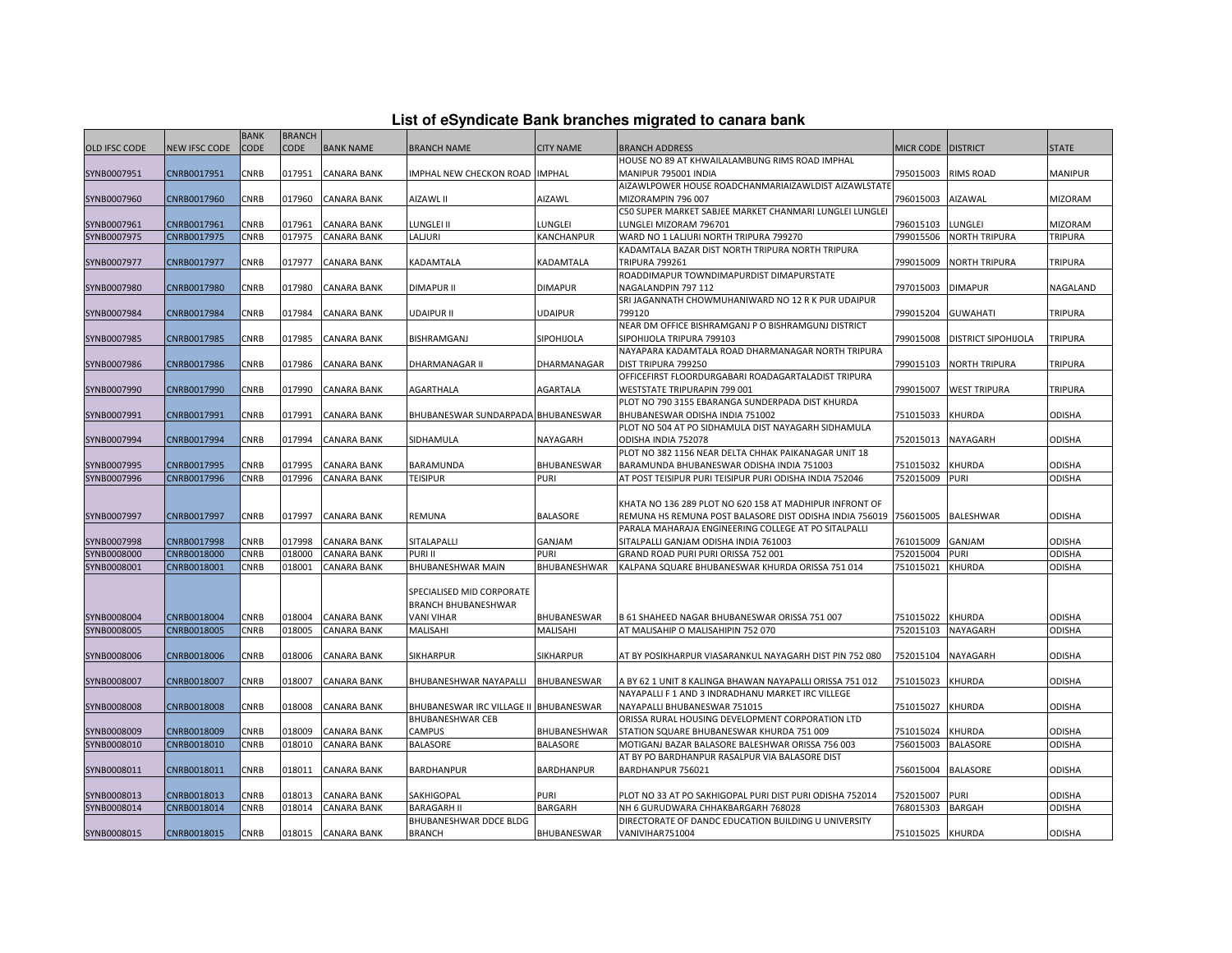| List of eSyndicate Bank branches migrated to canara bank |  |  |  |
|----------------------------------------------------------|--|--|--|
|----------------------------------------------------------|--|--|--|

|                      |                      | <b>BANK</b> | <b>BRANCH</b> |                    |                                        |                    |                                                          |                  |                            |                |
|----------------------|----------------------|-------------|---------------|--------------------|----------------------------------------|--------------------|----------------------------------------------------------|------------------|----------------------------|----------------|
| <b>OLD IFSC CODE</b> | <b>NEW IFSC CODE</b> | <b>CODE</b> | <b>CODE</b>   | <b>BANK NAME</b>   | <b>BRANCH NAME</b>                     | <b>CITY NAME</b>   | <b>BRANCH ADDRESS</b>                                    | <b>MICR CODE</b> | <b>DISTRICT</b>            | <b>STATE</b>   |
|                      |                      |             |               |                    |                                        |                    | HOUSE NO 89 AT KHWAILALAMBUNG RIMS ROAD IMPHAL           |                  |                            |                |
| SYNB0007951          | CNRB0017951          | CNRB        | 017951        | <b>CANARA BANK</b> | IMPHAL NEW CHECKON ROAD IMPHAL         |                    | MANIPUR 795001 INDIA                                     | 795015003        | <b>RIMS ROAD</b>           | <b>MANIPUR</b> |
|                      |                      |             |               |                    |                                        |                    | AIZAWLPOWER HOUSE ROADCHANMARIAIZAWLDIST AIZAWLSTATE     |                  |                            |                |
| SYNB0007960          | CNRB0017960          | CNRB        | 017960        | CANARA BANK        | AIZAWL II                              | AIZAWL             | MIZORAMPIN 796 007                                       | 796015003        | AIZAWAL                    | <b>MIZORAM</b> |
|                      |                      |             |               |                    |                                        |                    | C50 SUPER MARKET SABJEE MARKET CHANMARI LUNGLEI LUNGLEI  |                  |                            |                |
| SYNB0007961          | CNRB0017961          | <b>CNRB</b> | 017961        | <b>CANARA BANK</b> | LUNGLEI II                             | LUNGLEI            | LUNGLEI MIZORAM 796701                                   | 796015103        | LUNGLEI                    | <b>MIZORAM</b> |
| SYNB0007975          | CNRB0017975          | CNRB        | 017975        | <b>CANARA BANK</b> | LALJURI                                | KANCHANPUR         | WARD NO 1 LALJURI NORTH TRIPURA 799270                   | 799015506        | <b>NORTH TRIPURA</b>       | TRIPURA        |
|                      |                      |             |               |                    |                                        |                    | KADAMTALA BAZAR DIST NORTH TRIPURA NORTH TRIPURA         |                  |                            |                |
| SYNB0007977          | CNRB0017977          | CNRB        | 017977        | <b>CANARA BANK</b> | KADAMTALA                              | KADAMTALA          | <b>TRIPURA 799261</b>                                    | 799015009        | <b>NORTH TRIPURA</b>       | <b>TRIPURA</b> |
|                      |                      |             |               |                    |                                        |                    | ROADDIMAPUR TOWNDIMAPURDIST DIMAPURSTATE                 |                  |                            |                |
| SYNB0007980          | CNRB0017980          | CNRB        | 017980        | <b>CANARA BANK</b> | <b>DIMAPUR II</b>                      | <b>DIMAPUR</b>     | NAGALANDPIN 797 112                                      | 797015003        | <b>DIMAPUR</b>             | NAGALAND       |
|                      |                      |             |               |                    |                                        |                    | SRI JAGANNATH CHOWMUHANIWARD NO 12 R K PUR UDAIPUR       |                  |                            |                |
| SYNB0007984          | CNRB0017984          | CNRB        | 017984        | CANARA BANK        | UDAIPUR II                             | <b>UDAIPUR</b>     | 799120                                                   | 799015204        | <b>GUWAHATI</b>            | <b>TRIPURA</b> |
|                      |                      |             |               |                    |                                        |                    | NEAR DM OFFICE BISHRAMGANJ P O BISHRAMGUNJ DISTRICT      |                  |                            |                |
| SYNB0007985          | CNRB0017985          | CNRB        | 017985        | CANARA BANK        | BISHRAMGANJ                            | SIPOHIJOLA         | SIPOHIJOLA TRIPURA 799103                                | 799015008        | <b>DISTRICT SIPOHIJOLA</b> | <b>TRIPURA</b> |
|                      |                      |             |               |                    |                                        |                    | NAYAPARA KADAMTALA ROAD DHARMANAGAR NORTH TRIPURA        |                  |                            |                |
| SYNB0007986          | CNRB0017986          | CNRB        | 017986        | <b>CANARA BANK</b> | DHARMANAGAR II                         | DHARMANAGAR        | DIST TRIPURA 799250                                      | 799015103        | <b>NORTH TRIPURA</b>       | <b>TRIPURA</b> |
|                      |                      |             |               |                    |                                        |                    | OFFICEFIRST FLOORDURGABARI ROADAGARTALADIST TRIPURA      |                  |                            |                |
| SYNB0007990          | CNRB0017990          | CNRB        | 017990        | CANARA BANK        | AGARTHALA                              | AGARTALA           | WESTSTATE TRIPURAPIN 799 001                             | 799015007        | <b>WEST TRIPURA</b>        | <b>TRIPURA</b> |
|                      |                      |             |               |                    |                                        |                    | PLOT NO 790 3155 EBARANGA SUNDERPADA DIST KHURDA         |                  |                            |                |
| SYNB0007991          | CNRB0017991          | CNRB        | 017991        | <b>CANARA BANK</b> | BHUBANESWAR SUNDARPADA BHUBANESWAR     |                    | BHUBANESWAR ODISHA INDIA 751002                          | 751015033        | <b>KHURDA</b>              | <b>ODISHA</b>  |
|                      |                      |             |               |                    |                                        |                    | PLOT NO 504 AT PO SIDHAMULA DIST NAYAGARH SIDHAMULA      |                  |                            |                |
| SYNB0007994          | CNRB0017994          | CNRB        | 017994        | <b>CANARA BANK</b> | SIDHAMULA                              | NAYAGARH           | ODISHA INDIA 752078                                      | 752015013        | NAYAGARH                   | <b>ODISHA</b>  |
|                      |                      |             |               |                    |                                        |                    | PLOT NO 382 1156 NEAR DELTA CHHAK PAIKANAGAR UNIT 18     |                  |                            |                |
| SYNB0007995          | CNRB0017995          | CNRB        | 017995        | <b>CANARA BANK</b> | BARAMUNDA                              | BHUBANESWAR        | BARAMUNDA BHUBANESWAR ODISHA INDIA 751003                | 751015032        | <b>KHURDA</b>              | <b>ODISHA</b>  |
| SYNB0007996          | CNRB0017996          | CNRB        | 017996        | <b>CANARA BANK</b> | <b>TEISIPUR</b>                        | <b>PURI</b>        | AT POST TEISIPUR PURI TEISIPUR PURI ODISHA INDIA 752046  | 752015009        | <b>PURI</b>                | <b>ODISHA</b>  |
|                      |                      |             |               |                    |                                        |                    |                                                          |                  |                            |                |
|                      |                      |             |               |                    |                                        |                    | KHATA NO 136 289 PLOT NO 620 158 AT MADHIPUR INFRONT OF  |                  |                            |                |
| SYNB0007997          | CNRB0017997          | CNRB        | 017997        | <b>CANARA BANK</b> | REMUNA                                 | <b>BALASORE</b>    | REMUNA HS REMUNA POST BALASORE DIST ODISHA INDIA 756019  | 756015005        | BALESHWAR                  | <b>ODISHA</b>  |
|                      |                      |             |               |                    |                                        |                    | PARALA MAHARAJA ENGINEERING COLLEGE AT PO SITALPALLI     |                  |                            |                |
| SYNB0007998          | CNRB0017998          | CNRB        | 017998        | CANARA BANK        | SITALAPALLI                            | GANJAM             | SITALPALLI GANJAM ODISHA INDIA 761003                    | 761015009        | GANJAM                     | <b>ODISHA</b>  |
| SYNB0008000          | CNRB0018000          | CNRB        | 018000        | <b>CANARA BANK</b> | PURI II                                | <b>PURI</b>        | GRAND ROAD PURI PURI ORISSA 752 001                      | 752015004        | <b>PURI</b>                | <b>ODISHA</b>  |
| SYNB0008001          | CNRB0018001          | CNRB        | 018001        | CANARA BANK        | BHUBANESHWAR MAIN                      | BHUBANESHWAR       | KALPANA SQUARE BHUBANESWAR KHURDA ORISSA 751 014         | 751015021        | KHURDA                     | <b>ODISHA</b>  |
|                      |                      |             |               |                    |                                        |                    |                                                          |                  |                            |                |
|                      |                      |             |               |                    | SPECIALISED MID CORPORATE              |                    |                                                          |                  |                            |                |
|                      |                      |             |               |                    | BRANCH BHUBANESHWAR                    |                    |                                                          |                  |                            |                |
| SYNB0008004          | CNRB0018004          | CNRB        | 018004        | <b>CANARA BANK</b> | VANI VIHAR                             | <b>BHUBANESWAR</b> | B 61 SHAHEED NAGAR BHUBANESWAR ORISSA 751 007            | 751015022        | <b>KHURDA</b>              | ODISHA         |
| SYNB0008005          | CNRB0018005          | <b>CNRB</b> | 018005        | <b>CANARA BANK</b> | MALISAHI                               | MALISAHI           | AT MALISAHIP O MALISAHIPIN 752 070                       | 752015103        | <b>NAYAGARH</b>            | <b>ODISHA</b>  |
|                      |                      |             |               |                    |                                        |                    |                                                          |                  |                            |                |
| SYNB0008006          | CNRB0018006          | CNRB        | 018006        | CANARA BANK        | SIKHARPUR                              | <b>SIKHARPUR</b>   | AT BY POSIKHARPUR VIASARANKUL NAYAGARH DIST PIN 752 080  | 752015104        | NAYAGARH                   | ODISHA         |
|                      |                      |             |               |                    |                                        |                    |                                                          |                  |                            |                |
| SYNB0008007          | CNRB0018007          | CNRB        | 018007        | CANARA BANK        | BHUBANESHWAR NAYAPALLI                 | <b>BHUBANESWAR</b> | A BY 62 1 UNIT 8 KALINGA BHAWAN NAYAPALLI ORISSA 751 012 | 751015023        | KHURDA                     | <b>ODISHA</b>  |
|                      |                      |             |               |                    |                                        |                    | NAYAPALLI F 1 AND 3 INDRADHANU MARKET IRC VILLEGE        |                  |                            |                |
| SYNB0008008          | CNRB0018008          | CNRB        | 018008        | <b>CANARA BANK</b> | BHUBANESWAR IRC VILLAGE II BHUBANESWAR |                    | NAYAPALLI BHUBANESWAR 751015                             | 751015027        | <b>KHURDA</b>              | <b>ODISHA</b>  |
|                      |                      |             |               |                    | BHUBANESHWAR CEB                       |                    | ORISSA RURAL HOUSING DEVELOPMENT CORPORATION LTD         |                  |                            |                |
| SYNB0008009          | CNRB0018009          | CNRB        | 018009        | <b>CANARA BANK</b> | CAMPUS                                 | BHUBANESHWAR       | STATION SQUARE BHUBANESWAR KHURDA 751 009                | 751015024        | KHURDA                     | <b>ODISHA</b>  |
| SYNB0008010          | CNRB0018010          | <b>CNRB</b> | 018010        | <b>CANARA BANK</b> | <b>BALASORE</b>                        | <b>BALASORE</b>    | MOTIGANJ BAZAR BALASORE BALESHWAR ORISSA 756 003         | 756015003        | <b>BALASORE</b>            | <b>ODISHA</b>  |
|                      |                      |             |               |                    |                                        |                    | AT BY PO BARDHANPUR RASALPUR VIA BALASORE DIST           |                  |                            |                |
| SYNB0008011          | CNRB0018011          | CNRB        | 018011        | CANARA BANK        | BARDHANPUR                             | <b>BARDHANPUR</b>  | BARDHANPUR 756021                                        | 756015004        | <b>BALASORE</b>            | <b>ODISHA</b>  |
|                      |                      |             |               |                    |                                        |                    |                                                          |                  |                            |                |
| SYNB0008013          | CNRB0018013          | CNRB        | 018013        | CANARA BANK        | SAKHIGOPAL                             | PURI               | PLOT NO 33 AT PO SAKHIGOPAL PURI DIST PURI ODISHA 752014 | 752015007        | <b>PURI</b>                | ODISHA         |
| SYNB0008014          | CNRB0018014          | CNRB        | 018014        | CANARA BANK        | <b>BARAGARH II</b>                     | <b>BARGARH</b>     | NH 6 GURUDWARA CHHAKBARGARH 768028                       | 768015303        | <b>BARGAH</b>              | ODISHA         |
|                      |                      |             |               |                    | BHUBANESHWAR DDCE BLDG                 |                    | DIRECTORATE OF DANDC EDUCATION BUILDING U UNIVERSITY     |                  |                            |                |
| SYNB0008015          | CNRB0018015          | CNRB        |               | 018015 CANARA BANK | <b>BRANCH</b>                          | BHUBANESWAR        | VANIVIHAR751004                                          | 751015025 KHURDA |                            | <b>ODISHA</b>  |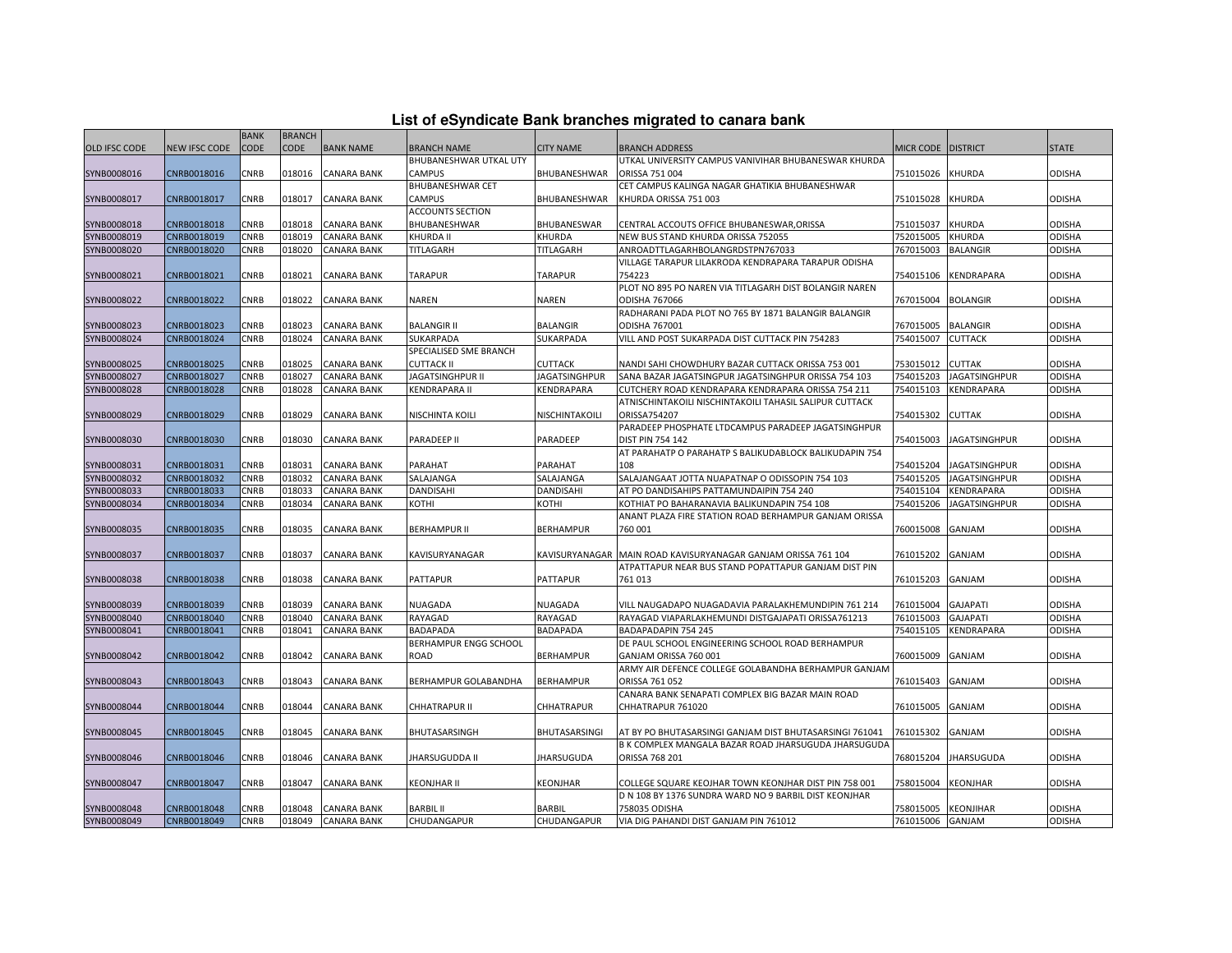|  |  | List of eSyndicate Bank branches migrated to canara bank |  |
|--|--|----------------------------------------------------------|--|
|--|--|----------------------------------------------------------|--|

|                            |                            | <b>BANK</b>         | <b>BRANCH</b>    |                                          |                                   |                                 |                                                                                                            |                        |                                    |                         |
|----------------------------|----------------------------|---------------------|------------------|------------------------------------------|-----------------------------------|---------------------------------|------------------------------------------------------------------------------------------------------------|------------------------|------------------------------------|-------------------------|
| OLD IFSC CODE              | NEW IFSC CODE              | CODE                | <b>CODE</b>      | <b>BANK NAME</b>                         | BRANCH NAME                       | <b>CITY NAME</b>                | <b>BRANCH ADDRESS</b>                                                                                      | <b>MICR CODE</b>       | <b>DISTRICT</b>                    | <b>STATE</b>            |
|                            |                            |                     |                  |                                          | BHUBANESHWAR UTKAL UTY            |                                 | UTKAL UNIVERSITY CAMPUS VANIVIHAR BHUBANESWAR KHURDA                                                       |                        |                                    |                         |
| SYNB0008016                | CNRB0018016                | CNRB                | 018016           | <b>CANARA BANK</b>                       | CAMPUS                            | BHUBANESHWAR                    | ORISSA 751 004                                                                                             | 751015026              | KHURDA                             | <b>ODISHA</b>           |
|                            |                            |                     |                  |                                          | BHUBANESHWAR CET                  |                                 | CET CAMPUS KALINGA NAGAR GHATIKIA BHUBANESHWAR                                                             |                        |                                    |                         |
| SYNB0008017                | CNRB0018017                | CNRB                | 018017           | <b>CANARA BANK</b>                       | CAMPUS                            | BHUBANESHWAR                    | KHURDA ORISSA 751 003                                                                                      | 751015028              | <b>KHURDA</b>                      | <b>ODISHA</b>           |
|                            |                            |                     |                  |                                          | <b>ACCOUNTS SECTION</b>           |                                 |                                                                                                            |                        |                                    |                         |
| SYNB0008018                | CNRB0018018                | CNRB                | 018018           | <b>CANARA BANK</b>                       | <b>BHUBANESHWAR</b>               | BHUBANESWAR                     | CENTRAL ACCOUTS OFFICE BHUBANESWAR.ORISSA                                                                  | 751015037              | <b>KHURDA</b>                      | <b>ODISHA</b>           |
| SYNB0008019                | CNRB0018019                | CNRB                | 018019           | <b>CANARA BANK</b>                       | KHURDA II                         | KHURDA                          | NEW BUS STAND KHURDA ORISSA 752055                                                                         | 752015005              | <b>KHURDA</b>                      | <b>ODISHA</b>           |
| SYNB0008020                | CNRB0018020                | CNRB                | 018020           | CANARA BANK                              | TITLAGARH                         | TITLAGARH                       | ANROADTTLAGARHBOLANGRDSTPN767033                                                                           | 767015003              | <b>BALANGIR</b>                    | ODISHA                  |
|                            |                            |                     |                  |                                          |                                   |                                 | VILLAGE TARAPUR LILAKRODA KENDRAPARA TARAPUR ODISHA                                                        |                        |                                    |                         |
| SYNB0008021                | CNRB0018021                | CNRB                | 018021           | <b>CANARA BANK</b>                       | TARAPUR                           | <b>TARAPUR</b>                  | 754223                                                                                                     | 754015106              | KENDRAPARA                         | <b>ODISHA</b>           |
|                            |                            |                     |                  |                                          |                                   |                                 | PLOT NO 895 PO NAREN VIA TITLAGARH DIST BOLANGIR NAREN                                                     |                        |                                    |                         |
| SYNB0008022                | CNRB0018022                | CNRB                | 018022           | CANARA BANK                              | NAREN                             | NAREN                           | ODISHA 767066                                                                                              | 767015004              | <b>BOLANGIR</b>                    | <b>ODISHA</b>           |
|                            |                            |                     |                  |                                          |                                   |                                 | RADHARANI PADA PLOT NO 765 BY 1871 BALANGIR BALANGIR                                                       |                        |                                    |                         |
| SYNB0008023                | CNRB0018023                | CNRB                | 018023           | <b>CANARA BANK</b>                       | <b>BALANGIR II</b>                | <b>BALANGIR</b>                 | ODISHA 767001                                                                                              | 767015005              | <b>BALANGIR</b>                    | <b>ODISHA</b>           |
| SYNB0008024                | CNRB0018024                | CNRB                | 018024           | <b>CANARA BANK</b>                       | SUKARPADA                         | SUKARPADA                       | VILL AND POST SUKARPADA DIST CUTTACK PIN 754283                                                            | 754015007              | <b>CUTTACK</b>                     | <b>ODISHA</b>           |
|                            |                            |                     |                  |                                          | SPECIALISED SME BRANCH            |                                 |                                                                                                            |                        | <b>CUTTAK</b>                      |                         |
| SYNB0008025<br>SYNB0008027 | CNRB0018025<br>CNRB0018027 | CNRB<br><b>CNRB</b> | 018025<br>018027 | <b>CANARA BANK</b><br><b>CANARA BANK</b> | <b>CUTTACK II</b>                 | <b>CUTTACK</b><br>JAGATSINGHPUR | NANDI SAHI CHOWDHURY BAZAR CUTTACK ORISSA 753 001                                                          | 753015012<br>754015203 |                                    | <b>ODISHA</b>           |
| SYNB0008028                | CNRB0018028                | CNRB                | 018028           | CANARA BANK                              | JAGATSINGHPUR II<br>KENDRAPARA II | KENDRAPARA                      | SANA BAZAR JAGATSINGPUR JAGATSINGHPUR ORISSA 754 103<br>CUTCHERY ROAD KENDRAPARA KENDRAPARA ORISSA 754 211 | 754015103              | <b>JAGATSINGHPUR</b><br>KENDRAPARA | ODISHA<br><b>ODISHA</b> |
|                            |                            |                     |                  |                                          |                                   |                                 | ATNISCHINTAKOILI NISCHINTAKOILI TAHASIL SALIPUR CUTTACK                                                    |                        |                                    |                         |
| SYNB0008029                | CNRB0018029                | CNRB                | 018029           | <b>CANARA BANK</b>                       | NISCHINTA KOILI                   | NISCHINTAKOILI                  | ORISSA754207                                                                                               | 754015302              | <b>CUTTAK</b>                      | <b>ODISHA</b>           |
|                            |                            |                     |                  |                                          |                                   |                                 | PARADEEP PHOSPHATE LTDCAMPUS PARADEEP JAGATSINGHPUR                                                        |                        |                                    |                         |
| SYNB0008030                | CNRB0018030                | CNRB                | 018030           | CANARA BANK                              | PARADEEP II                       | PARADEEP                        | <b>DIST PIN 754 142</b>                                                                                    | 754015003              | <b>JAGATSINGHPUR</b>               | ODISHA                  |
|                            |                            |                     |                  |                                          |                                   |                                 | AT PARAHATP O PARAHATP S BALIKUDABLOCK BALIKUDAPIN 754                                                     |                        |                                    |                         |
| SYNB0008031                | CNRB0018031                | <b>CNRB</b>         | 018031           | <b>CANARA BANK</b>                       | PARAHAT                           | PARAHAT                         | 108                                                                                                        | 754015204              | <b>JAGATSINGHPUR</b>               | <b>ODISHA</b>           |
| SYNB0008032                | CNRB0018032                | CNRB                | 018032           | <b>CANARA BANK</b>                       | SALAJANGA                         | SALAJANGA                       | SALAJANGAAT JOTTA NUAPATNAP O ODISSOPIN 754 103                                                            | 754015205              | JAGATSINGHPUR                      | <b>ODISHA</b>           |
| SYNB0008033                | CNRB0018033                | CNRB                | 018033           | CANARA BANK                              | DANDISAHI                         | DANDISAHI                       | AT PO DANDISAHIPS PATTAMUNDAIPIN 754 240                                                                   | 754015104              | KENDRAPARA                         | <b>ODISHA</b>           |
| SYNB0008034                | CNRB0018034                | CNRB                | 018034           | CANARA BANK                              | KOTHI                             | KOTHI                           | KOTHIAT PO BAHARANAVIA BALIKUNDAPIN 754 108                                                                | 754015206              | <b>JAGATSINGHPUR</b>               | <b>ODISHA</b>           |
|                            |                            |                     |                  |                                          |                                   |                                 | ANANT PLAZA FIRE STATION ROAD BERHAMPUR GANJAM ORISSA                                                      |                        |                                    |                         |
| SYNB0008035                | CNRB0018035                | CNRB                | 018035           | <b>CANARA BANK</b>                       | <b>BERHAMPUR II</b>               | <b>BERHAMPUR</b>                | 760 001                                                                                                    | 760015008              | <b>GANJAM</b>                      | <b>ODISHA</b>           |
|                            |                            |                     |                  |                                          |                                   |                                 |                                                                                                            |                        |                                    |                         |
| SYNB0008037                | CNRB0018037                | CNRB                | 018037           | <b>CANARA BANK</b>                       | KAVISURYANAGAR                    |                                 | KAVISURYANAGAR MAIN ROAD KAVISURYANAGAR GANJAM ORISSA 761 104                                              | 761015202              | GANJAM                             | <b>ODISHA</b>           |
|                            |                            |                     |                  |                                          |                                   |                                 | ATPATTAPUR NEAR BUS STAND POPATTAPUR GANJAM DIST PIN                                                       |                        |                                    |                         |
| SYNB0008038                | CNRB0018038                | CNRB                | 018038           | CANARA BANK                              | <b>PATTAPUR</b>                   | <b>PATTAPUR</b>                 | 761013                                                                                                     | 761015203              | GANJAM                             | <b>ODISHA</b>           |
|                            |                            |                     |                  |                                          |                                   |                                 |                                                                                                            |                        |                                    |                         |
| SYNB0008039                | CNRB0018039                | CNRB                | 018039           | <b>CANARA BANK</b>                       | NUAGADA                           | NUAGADA                         | VILL NAUGADAPO NUAGADAVIA PARALAKHEMUNDIPIN 761 214                                                        | 761015004              | <b>GAJAPATI</b>                    | ODISHA                  |
| SYNB0008040                | CNRB0018040                | CNRB                | 018040           | CANARA BANK                              | RAYAGAD                           | RAYAGAD                         | RAYAGAD VIAPARLAKHEMUNDI DISTGAJAPATI ORISSA761213                                                         | 761015003              | <b>GAJAPATI</b>                    | <b>ODISHA</b>           |
| SYNB0008041                | CNRB0018041                | CNRB                | 018041           | <b>CANARA BANK</b>                       | BADAPADA<br>BERHAMPUR ENGG SCHOOL | BADAPADA                        | BADAPADAPIN 754 245<br>DE PAUL SCHOOL ENGINEERING SCHOOL ROAD BERHAMPUR                                    | 754015105              | KENDRAPARA                         | <b>ODISHA</b>           |
| SYNB0008042                | CNRB0018042                | CNRB                | 018042           | CANARA BANK                              | ROAD                              | <b>BERHAMPUR</b>                | GANJAM ORISSA 760 001                                                                                      | 760015009              | GANJAM                             | <b>ODISHA</b>           |
|                            |                            |                     |                  |                                          |                                   |                                 | ARMY AIR DEFENCE COLLEGE GOLABANDHA BERHAMPUR GANJAM                                                       |                        |                                    |                         |
| SYNB0008043                | CNRB0018043                | CNRB                | 018043           | CANARA BANK                              | BERHAMPUR GOLABANDHA              | <b>BERHAMPUR</b>                | ORISSA 761 052                                                                                             | 761015403              | GANJAM                             | <b>ODISHA</b>           |
|                            |                            |                     |                  |                                          |                                   |                                 | CANARA BANK SENAPATI COMPLEX BIG BAZAR MAIN ROAD                                                           |                        |                                    |                         |
| SYNB0008044                | CNRB0018044                | CNRB                | 018044           | <b>CANARA BANK</b>                       | CHHATRAPUR II                     | CHHATRAPUR                      | CHHATRAPUR 761020                                                                                          | 761015005              | GANJAM                             | <b>ODISHA</b>           |
|                            |                            |                     |                  |                                          |                                   |                                 |                                                                                                            |                        |                                    |                         |
| SYNB0008045                | CNRB0018045                | CNRB                | 018045           | CANARA BANK                              | BHUTASARSINGH                     | BHUTASARSINGI                   | AT BY PO BHUTASARSINGI GANJAM DIST BHUTASARSINGI 761041                                                    | 761015302              | GANJAM                             | <b>ODISHA</b>           |
|                            |                            |                     |                  |                                          |                                   |                                 | B K COMPLEX MANGALA BAZAR ROAD JHARSUGUDA JHARSUGUDA                                                       |                        |                                    |                         |
| SYNB0008046                | CNRB0018046                | CNRB                | 018046           | <b>CANARA BANK</b>                       | JHARSUGUDDA II                    | <b>IHARSUGUDA</b>               | ORISSA 768 201                                                                                             | 768015204              | <b>JHARSUGUDA</b>                  | <b>ODISHA</b>           |
|                            |                            |                     |                  |                                          |                                   |                                 |                                                                                                            |                        |                                    |                         |
| SYNB0008047                | CNRB0018047                | CNRB                | 018047           | <b>CANARA BANK</b>                       | KEONJHAR II                       | KEONJHAR                        | COLLEGE SQUARE KEOJHAR TOWN KEONJHAR DIST PIN 758 001                                                      | 758015004              | <b>KEONJHAR</b>                    | <b>ODISHA</b>           |
|                            |                            |                     |                  |                                          |                                   |                                 | D N 108 BY 1376 SUNDRA WARD NO 9 BARBIL DIST KEONJHAR                                                      |                        |                                    |                         |
| SYNB0008048                | CNRB0018048                | <b>CNRB</b>         | 018048           | <b>CANARA BANK</b>                       | <b>BARBIL II</b>                  | <b>BARBIL</b>                   | 758035 ODISHA                                                                                              | 758015005              | <b>KEONJIHAR</b>                   | <b>ODISHA</b>           |
| SYNB0008049                | CNRB0018049                | CNRB                | 018049           | <b>CANARA BANK</b>                       | CHUDANGAPUR                       | CHUDANGAPUR                     | VIA DIG PAHANDI DIST GANJAM PIN 761012                                                                     | 761015006 GANJAM       |                                    | <b>ODISHA</b>           |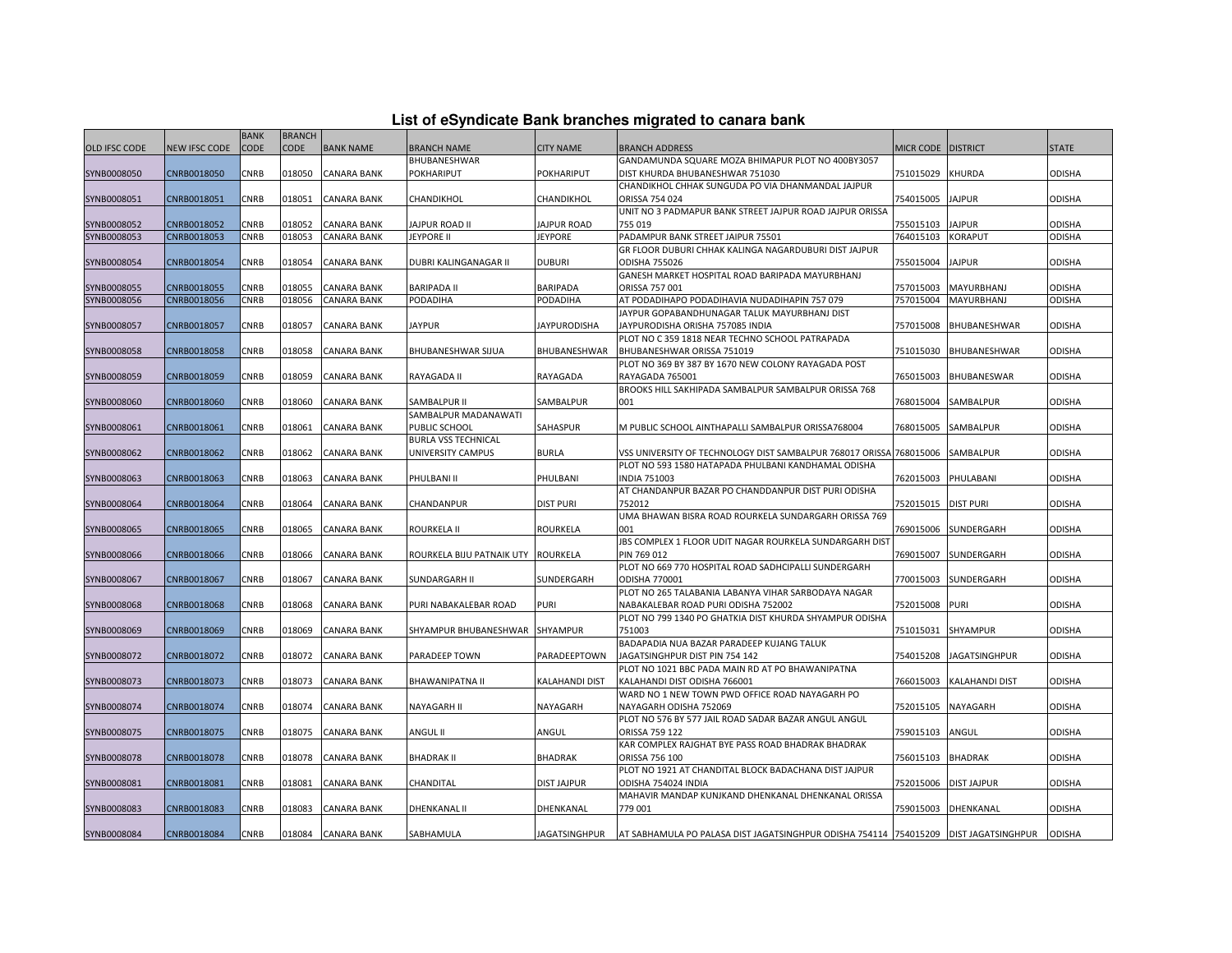| List of eSyndicate Bank branches migrated to canara bank |  |  |  |  |  |  |  |  |  |
|----------------------------------------------------------|--|--|--|--|--|--|--|--|--|
|----------------------------------------------------------|--|--|--|--|--|--|--|--|--|

|               | List of eSyndicate Bank branches migrated to canara bank |                     |                              |                    |                                    |                       |                                                                                        |                    |                       |               |  |  |
|---------------|----------------------------------------------------------|---------------------|------------------------------|--------------------|------------------------------------|-----------------------|----------------------------------------------------------------------------------------|--------------------|-----------------------|---------------|--|--|
| OLD IFSC CODE | <b>NEW IFSC CODE</b>                                     | <b>BANK</b><br>CODE | <b>BRANCH</b><br><b>CODE</b> | <b>BANK NAME</b>   | <b>BRANCH NAME</b>                 | <b>CITY NAME</b>      | <b>BRANCH ADDRESS</b>                                                                  | MICR CODE DISTRICT |                       | <b>STATE</b>  |  |  |
|               |                                                          |                     |                              |                    | BHUBANESHWAR                       |                       | GANDAMUNDA SQUARE MOZA BHIMAPUR PLOT NO 400BY3057                                      |                    |                       |               |  |  |
| SYNB0008050   | CNRB0018050                                              | CNRB                | 018050                       | CANARA BANK        | POKHARIPUT                         | POKHARIPUT            | DIST KHURDA BHUBANESHWAR 751030                                                        | 751015029          | <b>KHURDA</b>         | ODISHA        |  |  |
|               |                                                          |                     |                              |                    |                                    |                       | CHANDIKHOL CHHAK SUNGUDA PO VIA DHANMANDAL JAJPUR                                      |                    |                       |               |  |  |
| SYNB0008051   | CNRB0018051                                              | CNRB                | 018051                       | <b>CANARA BANK</b> | CHANDIKHOL                         | CHANDIKHOL            | ORISSA 754 024                                                                         | 754015005          | <b>JAJPUR</b>         | ODISHA        |  |  |
|               |                                                          |                     |                              |                    |                                    |                       | UNIT NO 3 PADMAPUR BANK STREET JAJPUR ROAD JAJPUR ORISSA                               |                    |                       |               |  |  |
| SYNB0008052   | CNRB0018052                                              | CNRB                | 018052                       | CANARA BANK        | JAJPUR ROAD II                     | JAJPUR ROAD           | 755 019                                                                                | 755015103          | <b>JAJPUR</b>         | <b>ODISHA</b> |  |  |
| SYNB0008053   | CNRB0018053                                              | CNRB                | 018053                       | <b>CANARA BANK</b> | <b>JEYPORE II</b>                  | <b>JEYPORE</b>        | PADAMPUR BANK STREET JAIPUR 75501                                                      | 764015103          | <b>KORAPUT</b>        | <b>ODISHA</b> |  |  |
|               |                                                          |                     |                              |                    |                                    |                       | GR FLOOR DUBURI CHHAK KALINGA NAGARDUBURI DIST JAJPUR                                  |                    |                       |               |  |  |
| SYNB0008054   | CNRB0018054                                              | CNRB                | 018054                       | CANARA BANK        | DUBRI KALINGANAGAR II              | <b>DUBURI</b>         | <b>ODISHA 755026</b>                                                                   | 755015004          | <b>JAJPUR</b>         | ODISHA        |  |  |
|               |                                                          |                     |                              |                    |                                    |                       | GANESH MARKET HOSPITAL ROAD BARIPADA MAYURBHANJ                                        |                    |                       |               |  |  |
| SYNB0008055   | CNRB0018055                                              | CNRB                | 018055                       | CANARA BANK        | <b>BARIPADA II</b>                 | <b>BARIPADA</b>       | ORISSA 757 001                                                                         | 757015003          | MAYURBHANJ            | ODISHA        |  |  |
| SYNB0008056   | CNRB0018056                                              | CNRB                | 018056                       | <b>CANARA BANK</b> | PODADIHA                           | PODADIHA              | AT PODADIHAPO PODADIHAVIA NUDADIHAPIN 757 079                                          | 757015004          | MAYURBHANJ            | ODISHA        |  |  |
|               |                                                          |                     |                              |                    |                                    |                       | JAYPUR GOPABANDHUNAGAR TALUK MAYURBHANJ DIST                                           |                    |                       |               |  |  |
| SYNB0008057   | CNRB0018057                                              | CNRB                | 018057                       | <b>CANARA BANK</b> | <b>JAYPUR</b>                      | <b>JAYPURODISHA</b>   | JAYPURODISHA ORISHA 757085 INDIA                                                       | 757015008          | <b>BHUBANESHWAR</b>   | <b>ODISHA</b> |  |  |
|               |                                                          |                     |                              |                    |                                    |                       | PLOT NO C 359 1818 NEAR TECHNO SCHOOL PATRAPADA                                        |                    |                       |               |  |  |
| SYNB0008058   | CNRB0018058                                              | CNRB                | 018058                       | CANARA BANK        | BHUBANESHWAR SIJUA                 | BHUBANESHWAR          | BHUBANESHWAR ORISSA 751019                                                             | 751015030          | BHUBANESHWAR          | <b>ODISHA</b> |  |  |
|               |                                                          |                     |                              |                    |                                    |                       | PLOT NO 369 BY 387 BY 1670 NEW COLONY RAYAGADA POST                                    |                    |                       |               |  |  |
| SYNB0008059   | CNRB0018059                                              | CNRB                | 018059                       | CANARA BANK        | RAYAGADA II                        | RAYAGADA              | RAYAGADA 765001                                                                        | 765015003          | BHUBANESWAR           | ODISHA        |  |  |
|               |                                                          |                     |                              |                    |                                    |                       | BROOKS HILL SAKHIPADA SAMBALPUR SAMBALPUR ORISSA 768                                   |                    |                       |               |  |  |
| SYNB0008060   | CNRB0018060                                              | CNRB                | 018060                       | CANARA BANK        | SAMBALPUR II                       | SAMBALPUR             | 001                                                                                    | 768015004          | SAMBALPUR             | ODISHA        |  |  |
|               |                                                          |                     |                              |                    | SAMBALPUR MADANAWATI               |                       |                                                                                        |                    |                       |               |  |  |
| SYNB0008061   | CNRB0018061                                              | CNRB                | 018061                       | CANARA BANK        | PUBLIC SCHOOL                      | SAHASPUR              | M PUBLIC SCHOOL AINTHAPALLI SAMBALPUR ORISSA768004                                     | 768015005          | SAMBALPUR             | ODISHA        |  |  |
|               |                                                          |                     |                              |                    | <b>BURLA VSS TECHNICAL</b>         |                       |                                                                                        |                    |                       |               |  |  |
| SYNB0008062   | CNRB0018062                                              | CNRB                | 018062                       | CANARA BANK        | UNIVERSITY CAMPUS                  | <b>BURLA</b>          | VSS UNIVERSITY OF TECHNOLOGY DIST SAMBALPUR 768017 ORISSA 768015006                    |                    | SAMBALPUR             | <b>ODISHA</b> |  |  |
|               |                                                          |                     |                              |                    |                                    |                       | PLOT NO 593 1580 HATAPADA PHULBANI KANDHAMAL ODISHA                                    |                    |                       |               |  |  |
| SYNB0008063   | CNRB0018063                                              | CNRB                | 018063                       | CANARA BANK        | PHULBANI II                        | PHULBANI              | <b>NDIA 751003</b>                                                                     | 762015003          | PHULABANI             | ODISHA        |  |  |
|               |                                                          |                     |                              |                    |                                    |                       | AT CHANDANPUR BAZAR PO CHANDDANPUR DIST PURI ODISHA                                    |                    |                       |               |  |  |
| SYNB0008064   | CNRB0018064                                              | CNRB                | 018064                       | CANARA BANK        | CHANDANPUR                         | <b>DIST PURI</b>      | 752012                                                                                 | 752015015          | <b>DIST PURI</b>      | ODISHA        |  |  |
|               |                                                          |                     |                              |                    |                                    |                       | UMA BHAWAN BISRA ROAD ROURKELA SUNDARGARH ORISSA 769                                   |                    |                       |               |  |  |
| SYNB0008065   | CNRB0018065                                              | CNRB                | 018065                       | CANARA BANK        | ROURKELA II                        | <b>ROURKELA</b>       | 001                                                                                    | 769015006          | SUNDERGARH            | ODISHA        |  |  |
|               |                                                          |                     |                              |                    |                                    |                       | JBS COMPLEX 1 FLOOR UDIT NAGAR ROURKELA SUNDARGARH DIST                                |                    |                       |               |  |  |
| SYNB0008066   | CNRB0018066                                              | CNRB                | 018066                       | CANARA BANK        | ROURKELA BIJU PATNAIK UTY ROURKELA |                       | PIN 769 012                                                                            | 769015007          | SUNDERGARH            | ODISHA        |  |  |
|               |                                                          |                     |                              |                    |                                    |                       | PLOT NO 669 770 HOSPITAL ROAD SADHCIPALLI SUNDERGARH                                   |                    |                       |               |  |  |
| SYNB0008067   | CNRB0018067                                              | CNRB                | 018067                       | CANARA BANK        | SUNDARGARH II                      | SUNDERGARH            | ODISHA 770001                                                                          | 770015003          | SUNDERGARH            | <b>ODISHA</b> |  |  |
|               |                                                          |                     |                              |                    |                                    |                       | PLOT NO 265 TALABANIA LABANYA VIHAR SARBODAYA NAGAR                                    |                    |                       |               |  |  |
| SYNB0008068   | CNRB0018068                                              | CNRB                | 018068                       | CANARA BANK        | PURI NABAKALEBAR ROAD              | PURI                  | NABAKALEBAR ROAD PURI ODISHA 752002                                                    | 752015008          | <b>PURI</b>           | ODISHA        |  |  |
|               |                                                          |                     |                              |                    |                                    |                       | PLOT NO 799 1340 PO GHATKIA DIST KHURDA SHYAMPUR ODISHA                                |                    |                       |               |  |  |
| SYNB0008069   | CNRB0018069                                              | CNRB                | 018069                       | CANARA BANK        | SHYAMPUR BHUBANESHWAR              | SHYAMPUR              | 751003                                                                                 | 751015031          | <b>SHYAMPUR</b>       | ODISHA        |  |  |
|               |                                                          |                     |                              |                    |                                    |                       | BADAPADIA NUA BAZAR PARADEEP KUJANG TALUK                                              |                    |                       |               |  |  |
| SYNB0008072   | CNRB0018072                                              | CNRB                | 018072                       | <b>CANARA BANK</b> | PARADEEP TOWN                      | PARADEEPTOWN          | JAGATSINGHPUR DIST PIN 754 142                                                         | 754015208          | <b>JAGATSINGHPUR</b>  | ODISHA        |  |  |
|               |                                                          |                     |                              |                    |                                    |                       | PLOT NO 1021 BBC PADA MAIN RD AT PO BHAWANIPATNA                                       |                    |                       |               |  |  |
| SYNB0008073   | CNRB0018073                                              | CNRB                | 018073                       | CANARA BANK        | BHAWANIPATNA II                    | <b>KALAHANDI DIST</b> | KALAHANDI DIST ODISHA 766001                                                           | 766015003          | <b>KALAHANDI DIST</b> | ODISHA        |  |  |
|               |                                                          |                     |                              |                    |                                    |                       | WARD NO 1 NEW TOWN PWD OFFICE ROAD NAYAGARH PO                                         |                    |                       |               |  |  |
| SYNB0008074   | CNRB0018074                                              | CNRB                | 018074                       | CANARA BANK        | NAYAGARH II                        | NAYAGARH              | NAYAGARH ODISHA 752069                                                                 | 752015105          | NAYAGARH              | ODISHA        |  |  |
|               |                                                          |                     |                              |                    |                                    |                       | PLOT NO 576 BY 577 JAIL ROAD SADAR BAZAR ANGUL ANGUL                                   |                    |                       |               |  |  |
| SYNB0008075   | CNRB0018075                                              | CNRB                | 018075                       | CANARA BANK        | ANGUL II                           | ANGUL                 | ORISSA 759 122                                                                         | 759015103          | ANGUL                 | ODISHA        |  |  |
|               |                                                          |                     |                              |                    |                                    |                       | KAR COMPLEX RAJGHAT BYE PASS ROAD BHADRAK BHADRAK                                      |                    |                       |               |  |  |
| SYNB0008078   | CNRB0018078                                              | CNRB                | 018078                       | CANARA BANK        | <b>BHADRAK II</b>                  | <b>BHADRAK</b>        | ORISSA 756 100                                                                         | 756015103          | <b>BHADRAK</b>        | ODISHA        |  |  |
|               |                                                          |                     |                              |                    |                                    |                       | PLOT NO 1921 AT CHANDITAL BLOCK BADACHANA DIST JAJPUR                                  |                    |                       |               |  |  |
| SYNB0008081   | CNRB0018081                                              | CNRB                | 018081                       | <b>CANARA BANK</b> | CHANDITAL                          | <b>DIST JAJPUR</b>    | ODISHA 754024 INDIA                                                                    | 752015006          | <b>DIST JAJPUR</b>    | ODISHA        |  |  |
|               |                                                          |                     |                              |                    |                                    |                       | MAHAVIR MANDAP KUNJKAND DHENKANAL DHENKANAL ORISSA                                     |                    |                       |               |  |  |
| SYNB0008083   | CNRB0018083                                              | CNRB                | 018083                       | CANARA BANK        | DHENKANAL II                       | DHENKANAL             | 779 001                                                                                | 759015003          | DHENKANAL             | ODISHA        |  |  |
|               |                                                          |                     |                              |                    |                                    |                       |                                                                                        |                    |                       |               |  |  |
| SYNB0008084   | CNRB0018084                                              | CNRB                | 018084                       | <b>CANARA BANK</b> | SABHAMULA                          | JAGATSINGHPUR         | AT SABHAMULA PO PALASA DIST JAGATSINGHPUR ODISHA 754114 754015209   DIST JAGATSINGHPUR |                    |                       | <b>ODISHA</b> |  |  |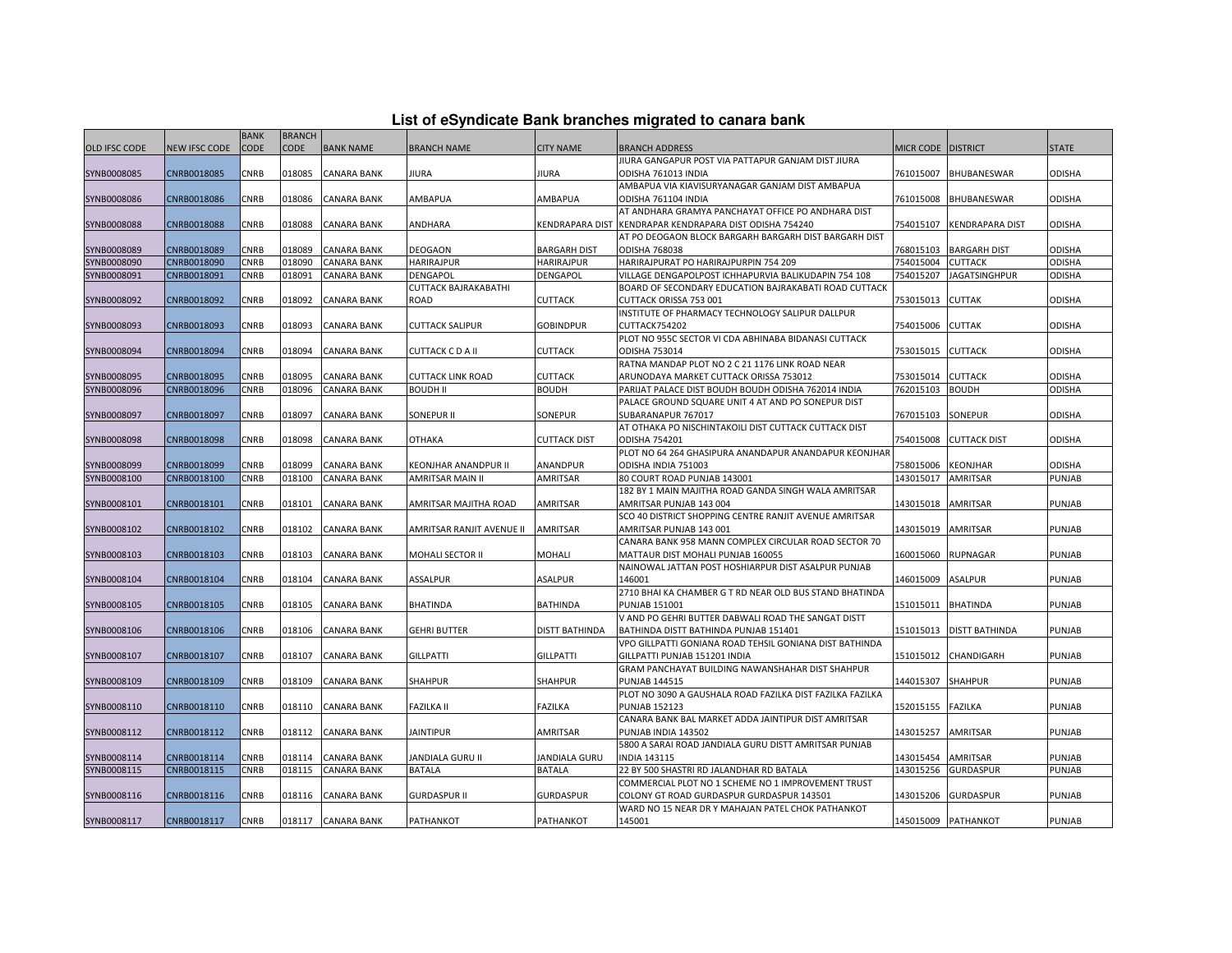| List of eSyndicate Bank branches migrated to canara bank |  |  |  |
|----------------------------------------------------------|--|--|--|
|----------------------------------------------------------|--|--|--|

|                            |                            | <b>BANK</b> | <b>BRANCH</b>    |                    |                                                 |                             |                                                                                                |                        |                                    |               |
|----------------------------|----------------------------|-------------|------------------|--------------------|-------------------------------------------------|-----------------------------|------------------------------------------------------------------------------------------------|------------------------|------------------------------------|---------------|
| <b>OLD IFSC CODE</b>       | <b>NEW IFSC CODE</b>       | <b>CODE</b> | CODE             | <b>BANK NAME</b>   | <b>BRANCH NAME</b>                              | <b>CITY NAME</b>            | BRANCH ADDRESS                                                                                 | <b>MICR CODE</b>       | <b>DISTRICT</b>                    | <b>STATE</b>  |
|                            |                            |             |                  |                    |                                                 |                             | IIURA GANGAPUR POST VIA PATTAPUR GANJAM DIST JIURA                                             |                        |                                    |               |
| SYNB0008085                | CNRB0018085                | CNRB        | 018085           | <b>CANARA BANK</b> | JIURA                                           | <b>JIURA</b>                | ODISHA 761013 INDIA                                                                            | 761015007              | BHUBANESWAR                        | <b>ODISHA</b> |
|                            |                            |             |                  |                    |                                                 |                             | AMBAPUA VIA KIAVISURYANAGAR GANJAM DIST AMBAPUA                                                |                        |                                    |               |
| SYNB0008086                | CNRB0018086                | CNRB        | 018086           | <b>CANARA BANK</b> | AMBAPUA                                         | AMBAPUA                     | ODISHA 761104 INDIA                                                                            | 761015008              | BHUBANESWAR                        | <b>ODISHA</b> |
|                            |                            |             |                  |                    |                                                 |                             | AT ANDHARA GRAMYA PANCHAYAT OFFICE PO ANDHARA DIST                                             |                        |                                    |               |
| SYNB0008088                | CNRB0018088                | CNRB        | 018088           | <b>CANARA BANK</b> | ANDHARA                                         | <b>KENDRAPARA DIST</b>      | KENDRAPAR KENDRAPARA DIST ODISHA 754240                                                        | 754015107              | <b>KENDRAPARA DIST</b>             | <b>ODISHA</b> |
|                            |                            |             |                  |                    |                                                 |                             | AT PO DEOGAON BLOCK BARGARH BARGARH DIST BARGARH DIST                                          |                        |                                    |               |
| SYNB0008089                | CNRB0018089                | CNRB        | 018089           | <b>CANARA BANK</b> | <b>DEOGAON</b>                                  | <b>BARGARH DIST</b>         | <b>ODISHA 768038</b>                                                                           | 768015103              | <b>BARGARH DIST</b>                | <b>ODISHA</b> |
| SYNB0008090                | CNRB0018090                | CNRB        | 018090           | <b>CANARA BANK</b> | <b>HARIRAJPUR</b>                               | <b>HARIRAJPUR</b>           | HARIRAJPURAT PO HARIRAJPURPIN 754 209                                                          | 754015004              | <b>CUTTACK</b>                     | ODISHA        |
| SYNB0008091                | CNRB0018091                | CNRB        | 018091           | <b>CANARA BANK</b> | <b>DENGAPOL</b>                                 | DENGAPOL                    | VILLAGE DENGAPOLPOST ICHHAPURVIA BALIKUDAPIN 754 108                                           | 754015207              | <b>JAGATSINGHPUR</b>               | ODISHA        |
|                            |                            |             |                  |                    | <b>CUTTACK BAJRAKABATHI</b>                     |                             | BOARD OF SECONDARY EDUCATION BAJRAKABATI ROAD CUTTACK                                          |                        |                                    |               |
| SYNB0008092                | CNRB0018092                | CNRB        | 018092           | CANARA BANK        | ROAD                                            | <b>CUTTACK</b>              | CUTTACK ORISSA 753 001                                                                         | 753015013              | <b>CUTTAK</b>                      | <b>ODISHA</b> |
|                            |                            |             |                  |                    |                                                 |                             | INSTITUTE OF PHARMACY TECHNOLOGY SALIPUR DALLPUR                                               |                        |                                    |               |
| SYNB0008093                | CNRB0018093                | CNRB        | 018093           | <b>CANARA BANK</b> | <b>CUTTACK SALIPUR</b>                          | <b>GOBINDPUR</b>            | CUTTACK754202                                                                                  | 754015006              | <b>CUTTAK</b>                      | <b>ODISHA</b> |
|                            |                            |             |                  |                    |                                                 |                             | PLOT NO 955C SECTOR VI CDA ABHINABA BIDANASI CUTTACK                                           |                        |                                    |               |
| SYNB0008094                | CNRB0018094                | CNRB        | 018094           | <b>CANARA BANK</b> | CUTTACK C D A II                                | <b>CUTTACK</b>              | ODISHA 753014                                                                                  | 753015015              | <b>CUTTACK</b>                     | <b>ODISHA</b> |
|                            |                            |             |                  |                    |                                                 |                             | RATNA MANDAP PLOT NO 2 C 21 1176 LINK ROAD NEAR                                                |                        |                                    |               |
| SYNB0008095                | CNRB0018095                | CNRB        | 018095           | <b>CANARA BANK</b> | <b>CUTTACK LINK ROAD</b>                        | <b>CUTTACK</b>              | ARUNODAYA MARKET CUTTACK ORISSA 753012                                                         | 753015014              | <b>CUTTACK</b>                     | <b>ODISHA</b> |
| SYNB0008096                | CNRB0018096                | CNRB        | 018096           | <b>CANARA BANK</b> | <b>BOUDH II</b>                                 | <b>BOUDH</b>                | PARIJAT PALACE DIST BOUDH BOUDH ODISHA 762014 INDIA                                            | 762015103              | <b>BOUDH</b>                       | <b>ODISHA</b> |
|                            |                            |             |                  |                    |                                                 |                             | PALACE GROUND SQUARE UNIT 4 AT AND PO SONEPUR DIST                                             |                        |                                    |               |
| SYNB0008097                | CNRB0018097                | CNRB        | 018097           | <b>CANARA BANK</b> | SONEPUR II                                      | SONEPUR                     | SUBARANAPUR 767017                                                                             | 767015103              | <b>SONEPUR</b>                     | <b>ODISHA</b> |
|                            |                            |             |                  |                    |                                                 |                             | AT OTHAKA PO NISCHINTAKOILI DIST CUTTACK CUTTACK DIST                                          |                        |                                    |               |
| SYNB0008098                | CNRB0018098                | CNRB        | 018098           | <b>CANARA BANK</b> | <b>OTHAKA</b>                                   | <b>CUTTACK DIST</b>         | <b>ODISHA 754201</b><br>PLOT NO 64 264 GHASIPURA ANANDAPUR ANANDAPUR KEONJHAR                  | 754015008              | <b>CUTTACK DIST</b>                | <b>ODISHA</b> |
|                            |                            | CNRB        | 18099            | <b>CANARA BANK</b> |                                                 |                             |                                                                                                | 758015006              |                                    | <b>ODISHA</b> |
| SYNB0008099<br>SYNB0008100 | CNRB0018099<br>CNRB0018100 | CNRB        | 018100           | <b>CANARA BANK</b> | KEONJHAR ANANDPUR II<br><b>AMRITSAR MAIN II</b> | ANANDPUR<br><b>AMRITSAR</b> | ODISHA INDIA 751003<br>80 COURT ROAD PUNJAB 143001                                             | 143015017              | <b>KEONJHAR</b><br><b>AMRITSAR</b> | PUNJAB        |
|                            |                            |             |                  |                    |                                                 |                             | 182 BY 1 MAIN MAJITHA ROAD GANDA SINGH WALA AMRITSAR                                           |                        |                                    |               |
| SYNB0008101                | CNRB0018101                | CNRB        | 018101           | <b>CANARA BANK</b> | AMRITSAR MAJITHA ROAD                           | AMRITSAR                    | AMRITSAR PUNJAB 143 004                                                                        | 143015018              | <b>AMRITSAR</b>                    | <b>PUNJAB</b> |
|                            |                            |             |                  |                    |                                                 |                             | SCO 40 DISTRICT SHOPPING CENTRE RANJIT AVENUE AMRITSAR                                         |                        |                                    |               |
| SYNB0008102                | CNRB0018102                | CNRB        | 018102           | <b>CANARA BANK</b> | AMRITSAR RANJIT AVENUE II                       | <b>AMRITSAR</b>             | AMRITSAR PUNJAB 143 001                                                                        | 143015019              | <b>AMRITSAR</b>                    | <b>PUNJAB</b> |
|                            |                            |             |                  |                    |                                                 |                             | CANARA BANK 958 MANN COMPLEX CIRCULAR ROAD SECTOR 70                                           |                        |                                    |               |
| SYNB0008103                | CNRB0018103                | CNRB        | 018103           | <b>CANARA BANK</b> | <b>MOHALI SECTOR II</b>                         | <b>MOHALI</b>               | MATTAUR DIST MOHALI PUNJAB 160055                                                              | 160015060              | <b>RUPNAGAR</b>                    | PUNJAB        |
|                            |                            |             |                  |                    |                                                 |                             | NAINOWAL JATTAN POST HOSHIARPUR DIST ASALPUR PUNJAB                                            |                        |                                    |               |
| SYNB0008104                | CNRB0018104                | CNRB        | 018104           | <b>CANARA BANK</b> | ASSALPUR                                        | ASALPUR                     | 146001                                                                                         | 146015009              | <b>ASALPUR</b>                     | <b>PUNJAB</b> |
|                            |                            |             |                  |                    |                                                 |                             | 2710 BHAI KA CHAMBER G T RD NEAR OLD BUS STAND BHATINDA                                        |                        |                                    |               |
| SYNB0008105                | CNRB0018105                | CNRB        | 018105           | <b>CANARA BANK</b> | BHATINDA                                        | <b>BATHINDA</b>             | <b>PUNJAB 151001</b>                                                                           | 151015011              | <b>BHATINDA</b>                    | <b>PUNJAB</b> |
|                            |                            |             |                  |                    |                                                 |                             | V AND PO GEHRI BUTTER DABWALI ROAD THE SANGAT DISTT                                            |                        |                                    |               |
| SYNB0008106                | CNRB0018106                | <b>CNRB</b> | 018106           | <b>CANARA BANK</b> | <b>GEHRI BUTTER</b>                             | <b>DISTT BATHINDA</b>       | BATHINDA DISTT BATHINDA PUNJAB 151401                                                          | 151015013              | <b>DISTT BATHINDA</b>              | <b>PUNJAB</b> |
|                            |                            |             |                  |                    |                                                 |                             | VPO GILLPATTI GONIANA ROAD TEHSIL GONIANA DIST BATHINDA                                        |                        |                                    |               |
| SYNB0008107                | CNRB0018107                | CNRB        | 018107           | CANARA BANK        | <b>GILLPATTI</b>                                | <b>GILLPATTI</b>            | GILLPATTI PUNJAB 151201 INDIA                                                                  | 151015012              | CHANDIGARH                         | <b>PUNJAB</b> |
|                            |                            |             |                  |                    |                                                 |                             | GRAM PANCHAYAT BUILDING NAWANSHAHAR DIST SHAHPUR                                               |                        |                                    |               |
| SYNB0008109                | CNRB0018109                | CNRB        | 018109           | <b>CANARA BANK</b> | <b>SHAHPUR</b>                                  | <b>SHAHPUR</b>              | <b>PUNJAB 144515</b>                                                                           | 144015307              | <b>SHAHPUR</b>                     | <b>PUNJAB</b> |
|                            |                            |             |                  |                    |                                                 |                             | PLOT NO 3090 A GAUSHALA ROAD FAZILKA DIST FAZILKA FAZILKA                                      |                        |                                    |               |
| SYNB0008110                | CNRB0018110                | <b>CNRB</b> | 018110           | <b>CANARA BANK</b> | <b>FAZILKA II</b>                               | FAZILKA                     | <b>PUNJAB 152123</b>                                                                           | 152015155              | <b>FAZILKA</b>                     | PUNJAB        |
|                            |                            |             |                  |                    |                                                 |                             | CANARA BANK BAL MARKET ADDA JAINTIPUR DIST AMRITSAR                                            |                        |                                    |               |
| SYNB0008112                | CNRB0018112                | CNRB        | 018112           | <b>CANARA BANK</b> | <b>JAINTIPUR</b>                                | AMRITSAR                    | PUNJAB INDIA 143502                                                                            | 143015257              | <b>AMRITSAR</b>                    | PUNJAB        |
|                            |                            |             |                  |                    |                                                 |                             | 5800 A SARAI ROAD JANDIALA GURU DISTT AMRITSAR PUNJAB                                          |                        |                                    |               |
| SYNB0008114                | CNRB0018114                | CNRB        | 018114<br>018115 | <b>CANARA BANK</b> | JANDIALA GURU II                                | <b>JANDIALA GURU</b>        | <b>INDIA 143115</b>                                                                            | 143015454<br>143015256 | <b>AMRITSAR</b>                    | <b>PUNJAB</b> |
| SYNB0008115                | CNRB0018115                | CNRB        |                  | <b>CANARA BANK</b> | <b>BATALA</b>                                   | <b>BATALA</b>               | 22 BY 500 SHASTRI RD JALANDHAR RD BATALA<br>COMMERCIAL PLOT NO 1 SCHEME NO 1 IMPROVEMENT TRUST |                        | <b>GURDASPUR</b>                   | PUNJAB        |
| SYNB0008116                | CNRB0018116                | CNRB        | 018116           | <b>CANARA BANK</b> | <b>GURDASPUR II</b>                             | <b>GURDASPUR</b>            | COLONY GT ROAD GURDASPUR GURDASPUR 143501                                                      | 143015206              | <b>GURDASPUR</b>                   | PUNJAB        |
|                            |                            |             |                  |                    |                                                 |                             | WARD NO 15 NEAR DR Y MAHAJAN PATEL CHOK PATHANKOT                                              |                        |                                    |               |
| SYNB0008117                | CNRB0018117                | <b>CNRB</b> |                  | 018117 CANARA BANK | PATHANKOT                                       | PATHANKOT                   | 145001                                                                                         |                        | 145015009 PATHANKOT                | PUNJAB        |
|                            |                            |             |                  |                    |                                                 |                             |                                                                                                |                        |                                    |               |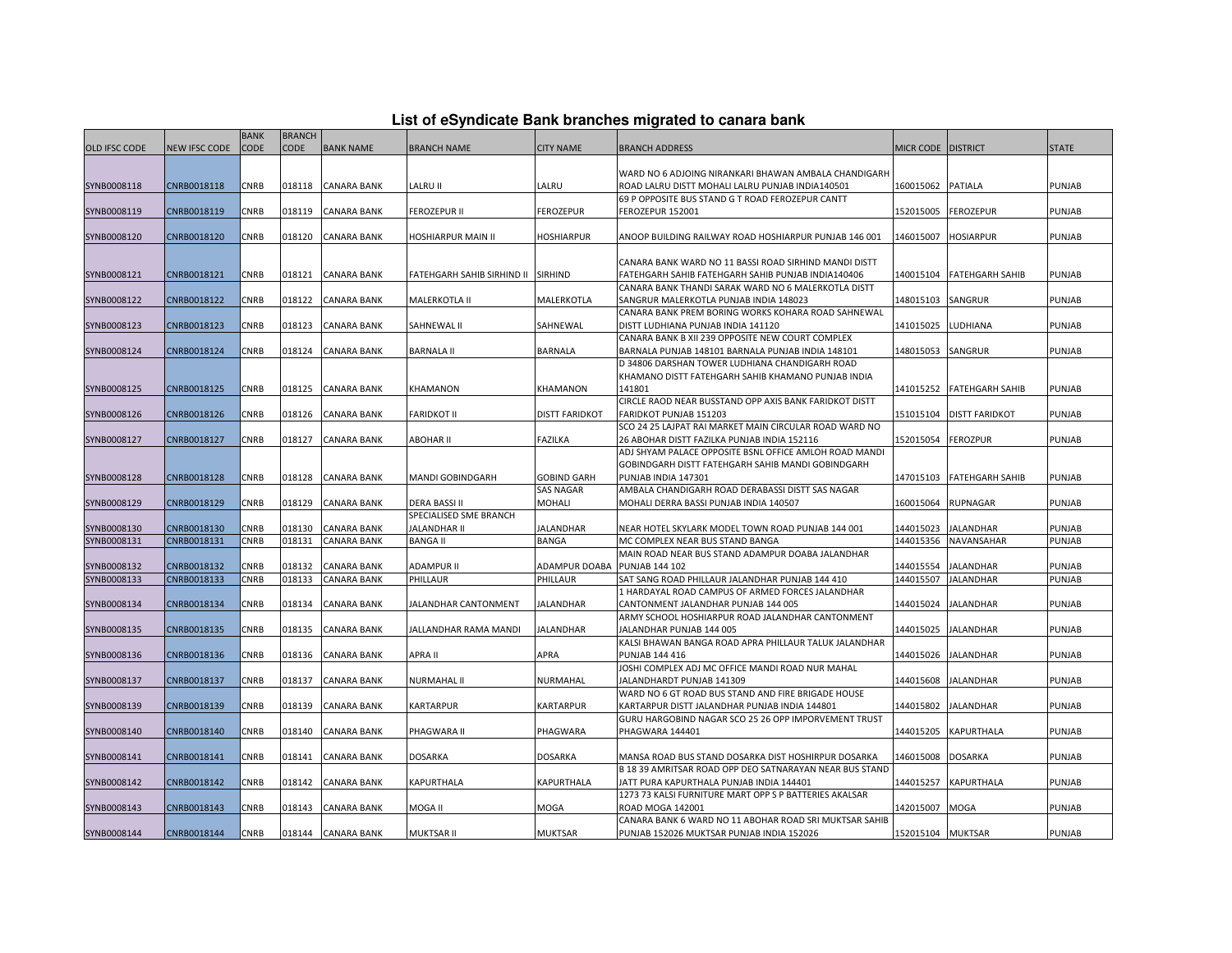| List of eSyndicate Bank branches migrated to canara bank |  |  |
|----------------------------------------------------------|--|--|
|                                                          |  |  |

|                      |                      | <b>BANK</b> | <b>BRANCH</b> |                    |                                    |                       |                                                         |                    |                           |               |
|----------------------|----------------------|-------------|---------------|--------------------|------------------------------------|-----------------------|---------------------------------------------------------|--------------------|---------------------------|---------------|
| <b>OLD IFSC CODE</b> | <b>NEW IFSC CODE</b> | <b>CODE</b> | <b>CODE</b>   | <b>BANK NAME</b>   | <b>BRANCH NAME</b>                 | <b>CITY NAME</b>      | <b>BRANCH ADDRESS</b>                                   | MICR CODE DISTRICT |                           | <b>STATE</b>  |
|                      |                      |             |               |                    |                                    |                       |                                                         |                    |                           |               |
|                      |                      |             |               |                    |                                    |                       | WARD NO 6 ADJOING NIRANKARI BHAWAN AMBALA CHANDIGARH    |                    |                           |               |
| SYNB0008118          | CNRB0018118          | CNRB        | 018118        | <b>CANARA BANK</b> | LALRU II                           | LALRU                 | ROAD LALRU DISTT MOHALI LALRU PUNJAB INDIA140501        | 160015062          | PATIALA                   | <b>PUNJAB</b> |
|                      |                      |             |               |                    |                                    |                       | 69 P OPPOSITE BUS STAND G T ROAD FEROZEPUR CANTT        |                    |                           |               |
| SYNB0008119          | CNRB0018119          | CNRB        | 018119        | <b>CANARA BANK</b> | <b>FEROZEPUR II</b>                | <b>FEROZEPUR</b>      | FEROZEPUR 152001                                        | 152015005          | <b>FEROZEPUR</b>          | PUNJAB        |
|                      |                      |             |               |                    |                                    |                       |                                                         |                    |                           |               |
| SYNB0008120          | CNRB0018120          | CNRB        | 018120        | <b>CANARA BANK</b> | HOSHIARPUR MAIN II                 | <b>HOSHIARPUR</b>     | ANOOP BUILDING RAILWAY ROAD HOSHIARPUR PUNJAB 146 001   | 146015007          | <b>HOSIARPUR</b>          | PUNJAB        |
|                      |                      |             |               |                    |                                    |                       |                                                         |                    |                           |               |
|                      |                      |             |               |                    |                                    |                       | CANARA BANK WARD NO 11 BASSI ROAD SIRHIND MANDI DISTT   |                    |                           |               |
| SYNB0008121          | CNRB0018121          | <b>CNRB</b> | 018121        | <b>CANARA BANK</b> | FATEHGARH SAHIB SIRHIND II SIRHIND |                       | FATEHGARH SAHIB FATEHGARH SAHIB PUNJAB INDIA140406      |                    | 140015104 FATEHGARH SAHIB | <b>PUNJAB</b> |
|                      |                      |             |               |                    |                                    |                       | CANARA BANK THANDI SARAK WARD NO 6 MALERKOTLA DISTT     |                    |                           |               |
| SYNB0008122          | CNRB0018122          | CNRB        | 018122        | <b>CANARA BANK</b> | MALERKOTLA II                      | MALERKOTLA            | SANGRUR MALERKOTLA PUNJAB INDIA 148023                  | 148015103          | SANGRUR                   | <b>PUNJAB</b> |
|                      |                      |             |               |                    |                                    |                       | CANARA BANK PREM BORING WORKS KOHARA ROAD SAHNEWAL      |                    |                           |               |
| SYNB0008123          | CNRB0018123          | CNRB        | 018123        | <b>CANARA BANK</b> | SAHNEWAL II                        | SAHNEWAL              | DISTT LUDHIANA PUNJAB INDIA 141120                      | 141015025          | <b>LUDHIANA</b>           | <b>PUNJAB</b> |
|                      |                      |             |               |                    |                                    |                       | CANARA BANK B XII 239 OPPOSITE NEW COURT COMPLEX        |                    |                           |               |
| SYNB0008124          | CNRB0018124          | CNRB        | 018124        | <b>CANARA BANK</b> | <b>BARNALA II</b>                  | <b>BARNALA</b>        | BARNALA PUNJAB 148101 BARNALA PUNJAB INDIA 148101       | 148015053          | SANGRUR                   | PUNJAB        |
|                      |                      |             |               |                    |                                    |                       | D 34806 DARSHAN TOWER LUDHIANA CHANDIGARH ROAD          |                    |                           |               |
|                      |                      |             |               |                    |                                    |                       | KHAMANO DISTT FATEHGARH SAHIB KHAMANO PUNJAB INDIA      |                    |                           |               |
| SYNB0008125          | CNRB0018125          | CNRB        | 018125        | <b>CANARA BANK</b> | <b>KHAMANON</b>                    | <b>KHAMANON</b>       | 141801                                                  | 141015252          | <b>FATEHGARH SAHIB</b>    | <b>PUNJAB</b> |
|                      |                      |             |               |                    |                                    |                       | CIRCLE RAOD NEAR BUSSTAND OPP AXIS BANK FARIDKOT DISTT  |                    |                           |               |
| SYNB0008126          | CNRB0018126          | CNRB        | 018126        | <b>CANARA BANK</b> | <b>FARIDKOT II</b>                 | <b>DISTT FARIDKOT</b> | FARIDKOT PUNJAB 151203                                  | 151015104          | <b>DISTT FARIDKOT</b>     | PUNJAB        |
|                      |                      |             |               |                    |                                    |                       | SCO 24 25 LAJPAT RAI MARKET MAIN CIRCULAR ROAD WARD NO  |                    |                           |               |
| SYNB0008127          | CNRB0018127          | CNRB        | 018127        | <b>CANARA BANK</b> | ABOHAR II                          | <b>FAZILKA</b>        | 26 ABOHAR DISTT FAZILKA PUNJAB INDIA 152116             | 152015054          | <b>FEROZPUR</b>           | PUNJAB        |
|                      |                      |             |               |                    |                                    |                       | ADJ SHYAM PALACE OPPOSITE BSNL OFFICE AMLOH ROAD MANDI  |                    |                           |               |
|                      |                      |             |               |                    |                                    |                       | GOBINDGARH DISTT FATEHGARH SAHIB MANDI GOBINDGARH       |                    |                           |               |
| SYNB0008128          | CNRB0018128          | <b>CNRB</b> | 018128        | <b>CANARA BANK</b> | MANDI GOBINDGARH                   | <b>GOBIND GARH</b>    | PUNJAB INDIA 147301                                     | 147015103          | <b>FATEHGARH SAHIB</b>    | PUNJAB        |
|                      |                      |             |               |                    |                                    | <b>SAS NAGAR</b>      | AMBALA CHANDIGARH ROAD DERABASSI DISTT SAS NAGAR        |                    |                           |               |
| SYNB0008129          | CNRB0018129          | CNRB        | 018129        | <b>CANARA BANK</b> | <b>DERA BASSI II</b>               | MOHALI                | MOHALI DERRA BASSI PUNJAB INDIA 140507                  | 160015064          | <b>RUPNAGAR</b>           | PUNJAB        |
|                      |                      |             |               |                    | SPECIALISED SME BRANCH             |                       |                                                         |                    |                           |               |
| SYNB0008130          | CNRB0018130          | CNRB        | 018130        | <b>CANARA BANK</b> | JALANDHAR II                       | JALANDHAR             | NEAR HOTEL SKYLARK MODEL TOWN ROAD PUNJAB 144 001       | 144015023          | <b>JALANDHAR</b>          | PUNJAB        |
| SYNB0008131          | CNRB0018131          | CNRB        | 018131        | <b>CANARA BANK</b> | <b>BANGA II</b>                    | <b>BANGA</b>          | MC COMPLEX NEAR BUS STAND BANGA                         | 144015356          | NAVANSAHAR                | PUNJAB        |
|                      |                      |             |               |                    |                                    |                       | MAIN ROAD NEAR BUS STAND ADAMPUR DOABA JALANDHAR        |                    |                           |               |
| SYNB0008132          | CNRB0018132          | CNRB        | 018132        | <b>CANARA BANK</b> | ADAMPUR II                         | ADAMPUR DOABA         | <b>PUNJAB 144 102</b>                                   | 144015554          | <b>JALANDHAR</b>          | PUNJAB        |
| SYNB0008133          | CNRB0018133          | CNRB        | 018133        | <b>CANARA BANK</b> | PHILLAUR                           | PHILLAUR              | SAT SANG ROAD PHILLAUR JALANDHAR PUNJAB 144 410         | 144015507          | <b>JALANDHAR</b>          | PUNJAB        |
|                      |                      |             |               |                    |                                    |                       | 1 HARDAYAL ROAD CAMPUS OF ARMED FORCES JALANDHAR        |                    |                           |               |
| SYNB0008134          | CNRB0018134          | CNRB        | )18134        | <b>CANARA BANK</b> | JALANDHAR CANTONMENT               | JALANDHAR             | CANTONMENT JALANDHAR PUNJAB 144 005                     | 144015024          | <b>JALANDHAR</b>          | <b>PUNJAB</b> |
|                      |                      |             |               |                    |                                    |                       | ARMY SCHOOL HOSHIARPUR ROAD JALANDHAR CANTONMENT        |                    |                           |               |
| SYNB0008135          | CNRB0018135          | <b>CNRB</b> | 018135        | <b>CANARA BANK</b> | JALLANDHAR RAMA MANDI              | <b>JALANDHAR</b>      | JALANDHAR PUNJAB 144 005                                | 144015025          | <b>JALANDHAR</b>          | <b>PUNJAB</b> |
|                      |                      |             |               |                    |                                    |                       | KALSI BHAWAN BANGA ROAD APRA PHILLAUR TALUK JALANDHAR   |                    |                           |               |
| SYNB0008136          | CNRB0018136          | CNRB        | 018136        | <b>CANARA BANK</b> | APRA II                            | APRA                  | PUNJAB 144 416                                          | 144015026          | <b>JALANDHAR</b>          | PUNJAB        |
|                      |                      |             |               |                    |                                    |                       | JOSHI COMPLEX ADJ MC OFFICE MANDI ROAD NUR MAHAL        |                    |                           |               |
| SYNB0008137          | CNRB0018137          | <b>CNRB</b> | 018137        | <b>CANARA BANK</b> | NURMAHAL II                        | NURMAHAL              | IALANDHARDT PUNJAB 141309                               | 144015608          | <b>JALANDHAR</b>          | PUNJAB        |
|                      |                      |             |               |                    |                                    |                       | WARD NO 6 GT ROAD BUS STAND AND FIRE BRIGADE HOUSE      |                    |                           |               |
| SYNB0008139          | CNRB0018139          | CNRB        | 018139        | <b>CANARA BANK</b> | <b>KARTARPUR</b>                   | <b>KARTARPUR</b>      | KARTARPUR DISTT JALANDHAR PUNJAB INDIA 144801           | 144015802          | JALANDHAR                 | PUNJAB        |
|                      |                      |             |               |                    |                                    |                       | GURU HARGOBIND NAGAR SCO 25 26 OPP IMPORVEMENT TRUST    |                    |                           |               |
| SYNB0008140          | CNRB0018140          | CNRB        | 018140        | <b>CANARA BANK</b> | PHAGWARA II                        | PHAGWARA              | PHAGWARA 144401                                         | 144015205          | KAPURTHALA                | PUNJAB        |
|                      |                      |             |               |                    |                                    |                       |                                                         |                    |                           |               |
| SYNB0008141          | CNRB0018141          | CNRB        | 18141         | CANARA BANK        | <b>DOSARKA</b>                     | <b>DOSARKA</b>        | MANSA ROAD BUS STAND DOSARKA DIST HOSHIRPUR DOSARKA     | 146015008          | <b>DOSARKA</b>            | PUNJAB        |
|                      |                      |             |               |                    |                                    |                       | B 18 39 AMRITSAR ROAD OPP DEO SATNARAYAN NEAR BUS STAND |                    |                           |               |
| SYNB0008142          | CNRB0018142          | CNRB        | 018142        | <b>CANARA BANK</b> | KAPURTHALA                         | KAPURTHALA            | JATT PURA KAPURTHALA PUNJAB INDIA 144401                | 144015257          | KAPURTHALA                | PUNJAB        |
|                      |                      |             |               |                    |                                    |                       | 1273 73 KALSI FURNITURE MART OPP S P BATTERIES AKALSAR  |                    |                           |               |
| SYNB0008143          | CNRB0018143          | CNRB        | 018143        | <b>CANARA BANK</b> | MOGA II                            | MOGA                  | ROAD MOGA 142001                                        | 142015007          | <b>MOGA</b>               | PUNJAB        |
|                      |                      |             |               |                    |                                    |                       | CANARA BANK 6 WARD NO 11 ABOHAR ROAD SRI MUKTSAR SAHIB  |                    |                           |               |
| SYNB0008144          | CNRB0018144          | <b>CNRB</b> |               | 018144 CANARA BANK | MUKTSAR II                         | <b>MUKTSAR</b>        | PUNJAB 152026 MUKTSAR PUNJAB INDIA 152026               | 152015104 MUKTSAR  |                           | PUNJAB        |
|                      |                      |             |               |                    |                                    |                       |                                                         |                    |                           |               |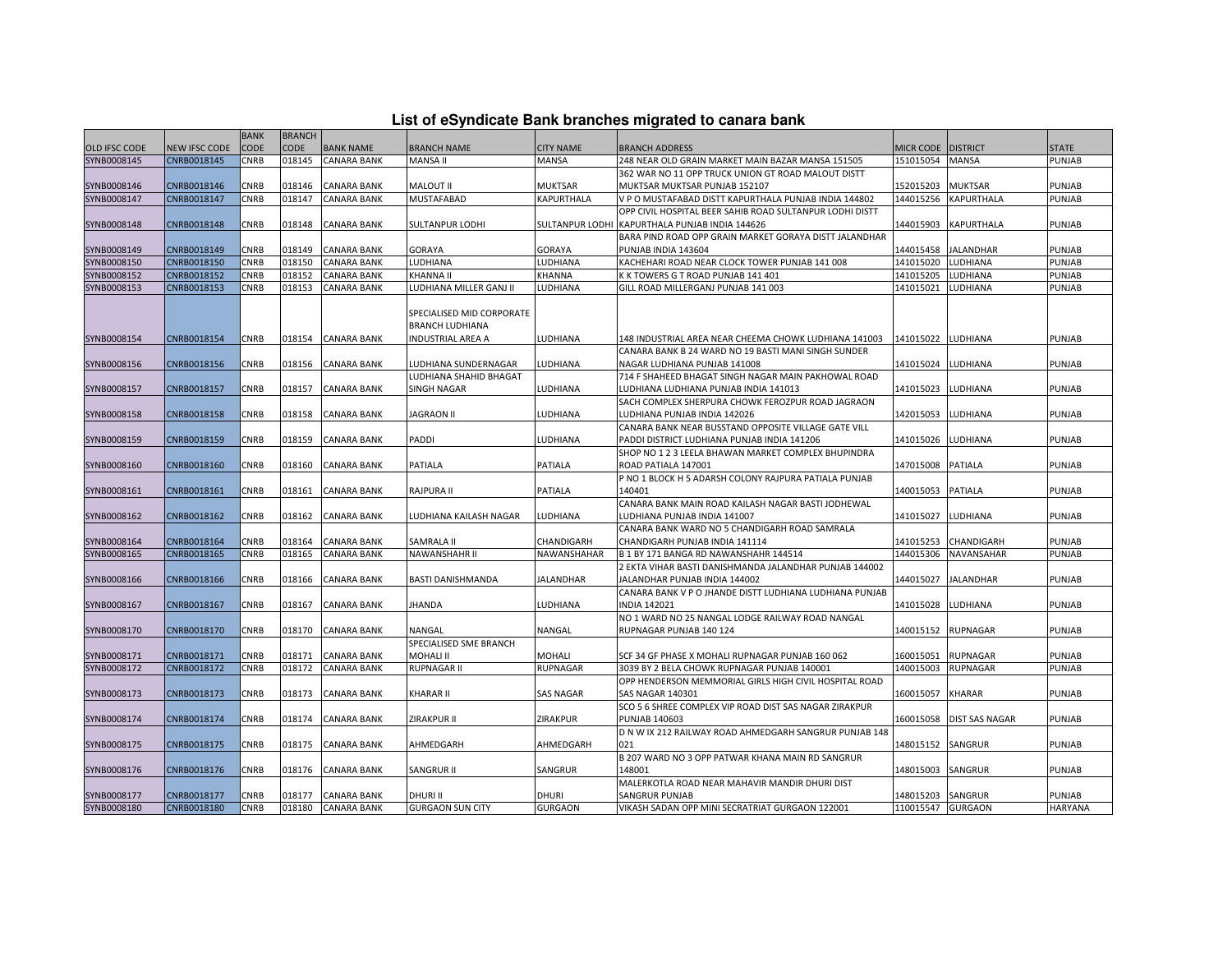|  | List of eSyndicate Bank branches migrated to canara bank |  |  |  |  |
|--|----------------------------------------------------------|--|--|--|--|
|  |                                                          |  |  |  |  |

|                      |               |             |               |                    |                                                                                 |                  | List of eSyndicate Bank branches migrated to canara bank |                   |                       |                |
|----------------------|---------------|-------------|---------------|--------------------|---------------------------------------------------------------------------------|------------------|----------------------------------------------------------|-------------------|-----------------------|----------------|
|                      |               | <b>BANK</b> | <b>BRANCH</b> |                    |                                                                                 |                  |                                                          |                   |                       |                |
| <b>OLD IFSC CODE</b> | NEW IFSC CODE | <b>CODE</b> | CODE          | <b>BANK NAME</b>   | <b>BRANCH NAME</b>                                                              | <b>CITY NAME</b> | <b>BRANCH ADDRESS</b>                                    | <b>MICR CODE</b>  | <b>DISTRICT</b>       | <b>STATE</b>   |
| SYNB0008145          | CNRB0018145   | CNRB        | 018145        | <b>CANARA BANK</b> | MANSA II                                                                        | MANSA            | 248 NEAR OLD GRAIN MARKET MAIN BAZAR MANSA 151505        | 151015054         | <b>MANSA</b>          | PUNJAB         |
|                      |               |             |               |                    |                                                                                 |                  | 362 WAR NO 11 OPP TRUCK UNION GT ROAD MALOUT DISTT       |                   |                       |                |
| SYNB0008146          | CNRB0018146   | CNRB        | 018146        | <b>CANARA BANK</b> | MALOUT II                                                                       | <b>MUKTSAR</b>   | MUKTSAR MUKTSAR PUNJAB 152107                            | 152015203         | <b>MUKTSAR</b>        | PUNJAB         |
| SYNB0008147          | CNRB0018147   | CNRB        | 018147        | <b>CANARA BANK</b> | <b>MUSTAFABAD</b>                                                               | KAPURTHALA       | V P O MUSTAFABAD DISTT KAPURTHALA PUNJAB INDIA 144802    | 144015256         | <b>KAPURTHALA</b>     | PUNJAB         |
|                      |               |             |               |                    |                                                                                 |                  | OPP CIVIL HOSPITAL BEER SAHIB ROAD SULTANPUR LODHI DISTT |                   |                       |                |
| SYNB0008148          | CNRB0018148   | CNRB        | 018148        | <b>CANARA BANK</b> | SULTANPUR LODHI                                                                 |                  | SULTANPUR LODHI KAPURTHALA PUNJAB INDIA 144626           | 144015903         | <b>KAPURTHALA</b>     | PUNJAB         |
|                      |               |             |               |                    |                                                                                 |                  | BARA PIND ROAD OPP GRAIN MARKET GORAYA DISTT JALANDHAR   |                   |                       |                |
| SYNB0008149          | CNRB0018149   | <b>CNRB</b> | 018149        | <b>CANARA BANK</b> | <b>GORAYA</b>                                                                   | <b>GORAYA</b>    | PUNJAB INDIA 143604                                      | 144015458         | <b>JALANDHAR</b>      | PUNJAB         |
| SYNB0008150          | CNRB0018150   | CNRB        | 018150        | <b>CANARA BANK</b> | LUDHIANA                                                                        | LUDHIANA         | KACHEHARI ROAD NEAR CLOCK TOWER PUNJAB 141 008           | 141015020         | LUDHIANA              | PUNJAB         |
| SYNB0008152          | CNRB0018152   | CNRB        | 018152        | CANARA BANK        | <b>KHANNA II</b>                                                                | KHANNA           | K K TOWERS G T ROAD PUNJAB 141 401                       | 141015205         | LUDHIANA              | PUNJAB         |
| SYNB0008153          | CNRB0018153   | CNRB        | 018153        | <b>CANARA BANK</b> | LUDHIANA MILLER GANJ II                                                         | LUDHIANA         | GILL ROAD MILLERGANJ PUNJAB 141 003                      | 141015021         | LUDHIANA              | PUNJAB         |
| SYNB0008154          | CNRB0018154   | CNRB        | 018154        | <b>CANARA BANK</b> | SPECIALISED MID CORPORATE<br><b>BRANCH LUDHIANA</b><br><b>INDUSTRIAL AREA A</b> | LUDHIANA         | 148 INDUSTRIAL AREA NEAR CHEEMA CHOWK LUDHIANA 141003    | 141015022         | LUDHIANA              | PUNJAB         |
|                      |               |             |               |                    |                                                                                 |                  | CANARA BANK B 24 WARD NO 19 BASTI MANI SINGH SUNDER      |                   |                       |                |
| SYNB0008156          | CNRB0018156   | CNRB        | 018156        |                    |                                                                                 | LUDHIANA         |                                                          | 141015024         | LUDHIANA              | PUNJAB         |
|                      |               |             |               | <b>CANARA BANK</b> | LUDHIANA SUNDERNAGAR                                                            |                  | NAGAR LUDHIANA PUNJAB 141008                             |                   |                       |                |
|                      |               |             |               |                    | LUDHIANA SHAHID BHAGAT                                                          |                  | 714 F SHAHEED BHAGAT SINGH NAGAR MAIN PAKHOWAL ROAD      |                   |                       |                |
| SYNB0008157          | CNRB0018157   | CNRB        | 018157        | CANARA BANK        | <b>SINGH NAGAR</b>                                                              | LUDHIANA         | LUDHIANA LUDHIANA PUNJAB INDIA 141013                    | 141015023         | LUDHIANA              | PUNJAB         |
|                      |               |             |               |                    |                                                                                 |                  | SACH COMPLEX SHERPURA CHOWK FEROZPUR ROAD JAGRAON        |                   |                       |                |
| SYNB0008158          | CNRB0018158   | CNRB        | 018158        | <b>CANARA BANK</b> | <b>JAGRAON II</b>                                                               | LUDHIANA         | LUDHIANA PUNJAB INDIA 142026                             | 142015053         | LUDHIANA              | PUNJAB         |
|                      |               |             |               |                    |                                                                                 |                  | CANARA BANK NEAR BUSSTAND OPPOSITE VILLAGE GATE VILL     |                   |                       |                |
| SYNB0008159          | CNRB0018159   | CNRB        | 018159        | <b>CANARA BANK</b> | PADDI                                                                           | LUDHIANA         | PADDI DISTRICT LUDHIANA PUNJAB INDIA 141206              | 141015026         | LUDHIANA              | <b>PUNJAB</b>  |
|                      |               |             |               |                    |                                                                                 |                  | SHOP NO 1 2 3 LEELA BHAWAN MARKET COMPLEX BHUPINDRA      |                   |                       |                |
| SYNB0008160          | CNRB0018160   | CNRB        | 018160        | CANARA BANK        | PATIALA                                                                         | PATIALA          | ROAD PATIALA 147001                                      | 147015008         | PATIALA               | PUNJAB         |
|                      |               |             |               |                    |                                                                                 |                  | P NO 1 BLOCK H 5 ADARSH COLONY RAJPURA PATIALA PUNJAB    |                   |                       |                |
| SYNB0008161          | CNRB0018161   | CNRB        | 018161        | <b>CANARA BANK</b> | <b>RAJPURA II</b>                                                               | PATIALA          | 140401                                                   | 140015053         | <b>PATIALA</b>        | <b>PUNJAB</b>  |
|                      |               |             |               |                    |                                                                                 |                  | CANARA BANK MAIN ROAD KAILASH NAGAR BASTI JODHEWAL       |                   |                       |                |
| SYNB0008162          | CNRB0018162   | CNRB        | 018162        | <b>CANARA BANK</b> | LUDHIANA KAILASH NAGAR                                                          | LUDHIANA         | LUDHIANA PUNJAB INDIA 141007                             | 141015027         | LUDHIANA              | PUNJAB         |
|                      |               |             |               |                    |                                                                                 |                  | CANARA BANK WARD NO 5 CHANDIGARH ROAD SAMRALA            |                   |                       |                |
| SYNB0008164          | CNRB0018164   | <b>CNRB</b> | 018164        | <b>CANARA BANK</b> | SAMRALA II                                                                      | CHANDIGARH       | CHANDIGARH PUNJAB INDIA 141114                           | 141015253         | CHANDIGARH            | PUNJAB         |
| SYNB0008165          | CNRB0018165   | CNRB        | 018165        | <b>CANARA BANK</b> | NAWANSHAHR II                                                                   | NAWANSHAHAR      | B 1 BY 171 BANGA RD NAWANSHAHR 144514                    | 144015306         | <b>NAVANSAHAR</b>     | PUNJAB         |
|                      |               |             |               |                    |                                                                                 |                  | 2 EKTA VIHAR BASTI DANISHMANDA JALANDHAR PUNJAB 144002   |                   |                       |                |
| SYNB0008166          | CNRB0018166   | CNRB        | 018166        | CANARA BANK        | BASTI DANISHMANDA                                                               | JALANDHAR        | JALANDHAR PUNJAB INDIA 144002                            | 144015027         | <b>JALANDHAR</b>      | PUNJAB         |
|                      |               |             |               |                    |                                                                                 |                  | CANARA BANK V P O JHANDE DISTT LUDHIANA LUDHIANA PUNJAB  |                   |                       |                |
| SYNB0008167          | CNRB0018167   | <b>CNRB</b> | 018167        | <b>CANARA BANK</b> | <b>JHANDA</b>                                                                   | LUDHIANA         | <b>INDIA 142021</b>                                      | 141015028         | LUDHIANA              | PUNJAB         |
|                      |               |             |               |                    |                                                                                 |                  | NO 1 WARD NO 25 NANGAL LODGE RAILWAY ROAD NANGAL         |                   |                       |                |
| SYNB0008170          | CNRB0018170   | CNRB        | 018170        | CANARA BANK        | NANGAL                                                                          | NANGAL           | RUPNAGAR PUNJAB 140 124                                  | 140015152         | <b>RUPNAGAR</b>       | <b>PUNJAB</b>  |
|                      |               |             |               |                    | SPECIALISED SME BRANCH                                                          |                  |                                                          |                   |                       |                |
| SYNB0008171          | CNRB0018171   | CNRB        | 018171        | CANARA BANK        | <b>MOHALI II</b>                                                                | MOHALI           | SCF 34 GF PHASE X MOHALI RUPNAGAR PUNJAB 160 062         | 160015051         | RUPNAGAR              | PUNJAB         |
| SYNB0008172          | CNRB0018172   | CNRB        | 018172        | <b>CANARA BANK</b> | RUPNAGAR II                                                                     | RUPNAGAR         | 3039 BY 2 BELA CHOWK RUPNAGAR PUNJAB 140001              | 140015003         | <b>RUPNAGAR</b>       | PUNJAB         |
|                      |               |             |               |                    |                                                                                 |                  | OPP HENDERSON MEMMORIAL GIRLS HIGH CIVIL HOSPITAL ROAD   |                   |                       |                |
|                      |               |             |               |                    |                                                                                 |                  |                                                          |                   |                       |                |
| SYNB0008173          | CNRB0018173   | CNRB        | 018173        | <b>CANARA BANK</b> | <b>KHARAR II</b>                                                                | <b>SAS NAGAR</b> | <b>SAS NAGAR 140301</b>                                  | 160015057         | KHARAR                | PUNJAB         |
|                      |               |             |               |                    |                                                                                 |                  | SCO 5 6 SHREE COMPLEX VIP ROAD DIST SAS NAGAR ZIRAKPUR   |                   |                       |                |
| SYNB0008174          | CNRB0018174   | <b>CNRB</b> | 018174        | <b>CANARA BANK</b> | ZIRAKPUR II                                                                     | ZIRAKPUR         | <b>PUNJAB 140603</b>                                     | 160015058         | <b>DIST SAS NAGAR</b> | PUNJAB         |
|                      |               |             |               |                    |                                                                                 |                  | D N W IX 212 RAILWAY ROAD AHMEDGARH SANGRUR PUNJAB 148   |                   |                       |                |
| SYNB0008175          | CNRB0018175   | CNRB        | 018175        | CANARA BANK        | AHMEDGARH                                                                       | AHMEDGARH        | 021                                                      | 148015152         | SANGRUR               | <b>PUNJAB</b>  |
|                      |               |             |               |                    |                                                                                 |                  | B 207 WARD NO 3 OPP PATWAR KHANA MAIN RD SANGRUR         |                   |                       |                |
| SYNB0008176          | CNRB0018176   | CNRB        | 018176        | <b>CANARA BANK</b> | <b>SANGRUR II</b>                                                               | SANGRUR          | 148001                                                   | 148015003         | SANGRUR               | PUNJAB         |
|                      |               |             |               |                    |                                                                                 |                  | MALERKOTLA ROAD NEAR MAHAVIR MANDIR DHURI DIST           |                   |                       |                |
| SYNB0008177          | CNRB0018177   | CNRB        | 018177        | <b>CANARA BANK</b> | <b>DHURI II</b>                                                                 | <b>DHURI</b>     | <b>SANGRUR PUNJAB</b>                                    | 148015203         | SANGRUR               | PUNJAB         |
| SYNB0008180          | CNRB0018180   | CNRB        | 018180        | <b>CANARA BANK</b> | <b>GURGAON SUN CITY</b>                                                         | <b>GURGAON</b>   | VIKASH SADAN OPP MINI SECRATRIAT GURGAON 122001          | 110015547 GURGAON |                       | <b>HARYANA</b> |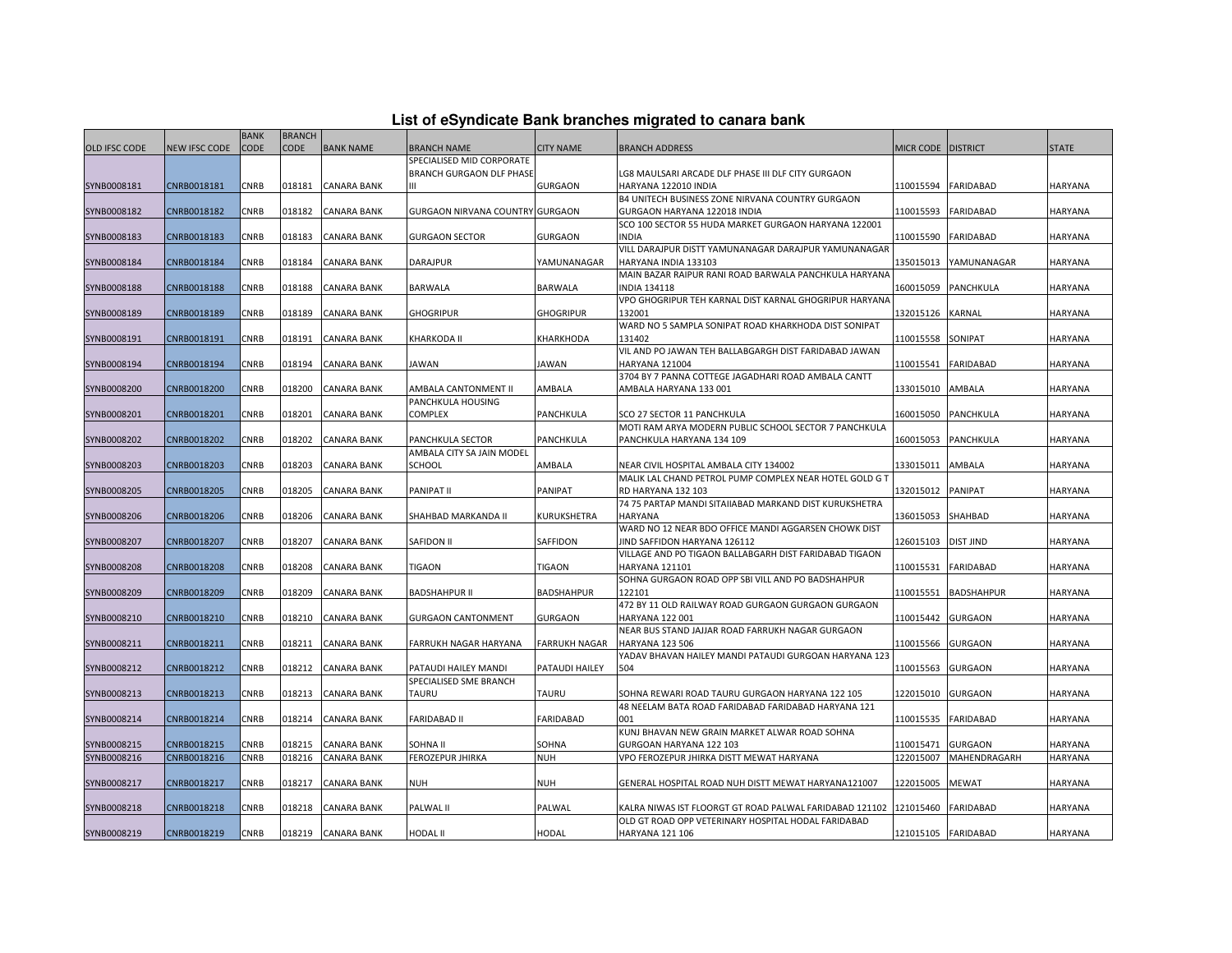|                      |               | <b>BANK</b> | <b>BRANCH</b> |                    |                                 |                      |                                                                              |                      |                   |                |
|----------------------|---------------|-------------|---------------|--------------------|---------------------------------|----------------------|------------------------------------------------------------------------------|----------------------|-------------------|----------------|
| <b>OLD IFSC CODE</b> | NEW IFSC CODE | <b>CODE</b> | <b>CODE</b>   | <b>BANK NAME</b>   | <b>BRANCH NAME</b>              | <b>CITY NAME</b>     | <b>BRANCH ADDRESS</b>                                                        | MICR CODE   DISTRICT |                   | <b>STATE</b>   |
|                      |               |             |               |                    | SPECIALISED MID CORPORATE       |                      |                                                                              |                      |                   |                |
|                      |               |             |               |                    | BRANCH GURGAON DLF PHASE        |                      | LG8 MAULSARI ARCADE DLF PHASE III DLF CITY GURGAON                           |                      |                   |                |
| SYNB0008181          | CNRB0018181   | CNRB        | 018181        | <b>CANARA BANK</b> |                                 | <b>GURGAON</b>       | HARYANA 122010 INDIA                                                         | 110015594            | <b>FARIDABAD</b>  | HARYANA        |
|                      |               |             |               |                    |                                 |                      | B4 UNITECH BUSINESS ZONE NIRVANA COUNTRY GURGAON                             |                      |                   |                |
| SYNB0008182          | CNRB0018182   | <b>CNRB</b> | 018182        | <b>CANARA BANK</b> | GURGAON NIRVANA COUNTRY GURGAON |                      | GURGAON HARYANA 122018 INDIA                                                 | 110015593            | <b>FARIDABAD</b>  | HARYANA        |
|                      |               |             |               |                    |                                 |                      | SCO 100 SECTOR 55 HUDA MARKET GURGAON HARYANA 122001                         |                      |                   |                |
| SYNB0008183          | CNRB0018183   | CNRB        | 018183        | <b>CANARA BANK</b> | <b>GURGAON SECTOR</b>           | <b>GURGAON</b>       | <b>INDIA</b>                                                                 | 110015590            | <b>FARIDABAD</b>  | HARYANA        |
|                      |               |             |               |                    |                                 |                      | VILL DARAJPUR DISTT YAMUNANAGAR DARAJPUR YAMUNANAGAR                         |                      |                   |                |
| SYNB0008184          | CNRB0018184   | CNRB        | 018184        | <b>CANARA BANK</b> | DARAJPUR                        | YAMUNANAGAR          | HARYANA INDIA 133103                                                         | 135015013            | YAMUNANAGAR       | HARYANA        |
|                      |               |             |               |                    |                                 |                      | MAIN BAZAR RAIPUR RANI ROAD BARWALA PANCHKULA HARYANA                        |                      |                   |                |
| SYNB0008188          | CNRB0018188   | CNRB        | 018188        | <b>CANARA BANK</b> | BARWALA                         | <b>BARWALA</b>       | <b>INDIA 134118</b>                                                          | 160015059            | PANCHKULA         | <b>HARYANA</b> |
|                      |               |             |               |                    |                                 |                      | VPO GHOGRIPUR TEH KARNAL DIST KARNAL GHOGRIPUR HARYANA                       |                      |                   |                |
| SYNB0008189          | CNRB0018189   | CNRB        | 018189        | <b>CANARA BANK</b> | <b>GHOGRIPUR</b>                | <b>GHOGRIPUR</b>     | 132001                                                                       | 132015126            | <b>KARNAL</b>     | HARYANA        |
|                      |               |             |               |                    |                                 |                      | WARD NO 5 SAMPLA SONIPAT ROAD KHARKHODA DIST SONIPAT                         |                      |                   |                |
| SYNB0008191          | CNRB0018191   | CNRB        | 018191        | <b>CANARA BANK</b> | KHARKODA II                     | KHARKHODA            | 131402                                                                       | 110015558            | SONIPAT           | HARYANA        |
|                      |               |             |               |                    |                                 |                      | VIL AND PO JAWAN TEH BALLABGARGH DIST FARIDABAD JAWAN                        |                      |                   |                |
| SYNB0008194          | CNRB0018194   | <b>CNRB</b> | 018194        | <b>CANARA BANK</b> | JAWAN                           | JAWAN                | <b>HARYANA 121004</b>                                                        | 110015541            | <b>FARIDABAD</b>  | <b>HARYANA</b> |
|                      |               |             |               |                    |                                 |                      | 3704 BY 7 PANNA COTTEGE JAGADHARI ROAD AMBALA CANTT                          |                      |                   |                |
| SYNB0008200          | CNRB0018200   | CNRB        | 018200        | <b>CANARA BANK</b> | AMBALA CANTONMENT II            | AMBALA               | AMBALA HARYANA 133 001                                                       | 133015010            | AMBALA            | HARYANA        |
|                      |               |             |               |                    | PANCHKULA HOUSING               |                      |                                                                              |                      |                   |                |
| SYNB0008201          | CNRB0018201   | CNRB        | 018201        | CANARA BANK        | <b>COMPLEX</b>                  | PANCHKULA            | SCO 27 SECTOR 11 PANCHKULA                                                   | 160015050            | PANCHKULA         | HARYANA        |
|                      |               |             |               |                    |                                 |                      | MOTI RAM ARYA MODERN PUBLIC SCHOOL SECTOR 7 PANCHKULA                        |                      |                   |                |
| SYNB0008202          | CNRB0018202   | <b>CNRB</b> | 018202        | <b>CANARA BANK</b> | PANCHKULA SECTOR                | PANCHKULA            | PANCHKULA HARYANA 134 109                                                    | 160015053            | PANCHKULA         | HARYANA        |
|                      |               |             |               |                    | AMBALA CITY SA JAIN MODEL       |                      |                                                                              |                      |                   |                |
| SYNB0008203          | CNRB0018203   | CNRB        | 018203        | <b>CANARA BANK</b> | SCHOOL                          | AMBALA               | NEAR CIVIL HOSPITAL AMBALA CITY 134002                                       | 133015011            | AMBALA            | HARYANA        |
|                      |               |             |               |                    |                                 |                      | MALIK LAL CHAND PETROL PUMP COMPLEX NEAR HOTEL GOLD G T                      |                      |                   |                |
| SYNB0008205          | CNRB0018205   | CNRB        | 018205        | <b>CANARA BANK</b> | PANIPAT II                      | PANIPAT              | RD HARYANA 132 103<br>74 75 PARTAP MANDI SITAIIABAD MARKAND DIST KURUKSHETRA | 132015012            | <b>PANIPAT</b>    | HARYANA        |
|                      |               |             |               |                    |                                 |                      |                                                                              |                      |                   |                |
| SYNB0008206          | CNRB0018206   | CNRB        | 018206        | <b>CANARA BANK</b> | SHAHBAD MARKANDA II             | KURUKSHETRA          | HARYANA<br>WARD NO 12 NEAR BDO OFFICE MANDI AGGARSEN CHOWK DIST              | 136015053            | SHAHBAD           | HARYANA        |
| SYNB0008207          | CNRB0018207   | CNRB        | 018207        | <b>CANARA BANK</b> | SAFIDON II                      | SAFFIDON             | IIND SAFFIDON HARYANA 126112                                                 | 126015103            | <b>DIST JIND</b>  | HARYANA        |
|                      |               |             |               |                    |                                 |                      | VILLAGE AND PO TIGAON BALLABGARH DIST FARIDABAD TIGAON                       |                      |                   |                |
| SYNB0008208          | CNRB0018208   | CNRB        | 018208        | <b>CANARA BANK</b> | TIGAON                          | TIGAON               | HARYANA 121101                                                               | 110015531            | FARIDABAD         | HARYANA        |
|                      |               |             |               |                    |                                 |                      | SOHNA GURGAON ROAD OPP SBI VILL AND PO BADSHAHPUR                            |                      |                   |                |
| SYNB0008209          | CNRB0018209   | CNRB        | 018209        | <b>CANARA BANK</b> | <b>BADSHAHPUR II</b>            | <b>BADSHAHPUR</b>    | 122101                                                                       | 110015551            | <b>BADSHAHPUR</b> | HARYANA        |
|                      |               |             |               |                    |                                 |                      | 472 BY 11 OLD RAILWAY ROAD GURGAON GURGAON GURGAON                           |                      |                   |                |
| SYNB0008210          | CNRB0018210   | CNRB        | 018210        | <b>CANARA BANK</b> | <b>GURGAON CANTONMENT</b>       | <b>GURGAON</b>       | HARYANA 122 001                                                              | 110015442            | <b>GURGAON</b>    | HARYANA        |
|                      |               |             |               |                    |                                 |                      | NEAR BUS STAND JAJJAR ROAD FARRUKH NAGAR GURGAON                             |                      |                   |                |
| SYNB0008211          | CNRB0018211   | CNRB        | 018211        | <b>CANARA BANK</b> | FARRUKH NAGAR HARYANA           | <b>FARRUKH NAGAR</b> | <b>HARYANA 123 506</b>                                                       | 110015566            | <b>GURGAON</b>    | HARYANA        |
|                      |               |             |               |                    |                                 |                      | YADAV BHAVAN HAILEY MANDI PATAUDI GURGOAN HARYANA 123                        |                      |                   |                |
| SYNB0008212          | CNRB0018212   | <b>CNRB</b> | 018212        | <b>CANARA BANK</b> | PATAUDI HAILEY MANDI            | PATAUDI HAILEY       | 504                                                                          | 110015563            | <b>GURGAON</b>    | HARYANA        |
|                      |               |             |               |                    | SPECIALISED SME BRANCH          |                      |                                                                              |                      |                   |                |
| SYNB0008213          | CNRB0018213   | CNRB        | 018213        | <b>CANARA BANK</b> | TAURU                           | TAURU                | SOHNA REWARI ROAD TAURU GURGAON HARYANA 122 105                              | 122015010            | <b>GURGAON</b>    | HARYANA        |
|                      |               |             |               |                    |                                 |                      | 48 NEELAM BATA ROAD FARIDABAD FARIDABAD HARYANA 121                          |                      |                   |                |
| SYNB0008214          | CNRB0018214   | CNRB        | 018214        | CANARA BANK        | FARIDABAD II                    | FARIDABAD            | 001                                                                          | 110015535            | FARIDABAD         | HARYANA        |
|                      |               |             |               |                    |                                 |                      | KUNJ BHAVAN NEW GRAIN MARKET ALWAR ROAD SOHNA                                |                      |                   |                |
| SYNB0008215          | CNRB0018215   | <b>CNRB</b> | 018215        | <b>CANARA BANK</b> | SOHNA II                        | SOHNA                | GURGOAN HARYANA 122 103                                                      | 110015471            | <b>GURGAON</b>    | HARYANA        |
| SYNB0008216          | CNRB0018216   | CNRB        | 018216        | <b>CANARA BANK</b> | FEROZEPUR JHIRKA                | <b>NUH</b>           | VPO FEROZEPUR JHIRKA DISTT MEWAT HARYANA                                     | 122015007            | MAHENDRAGARH      | HARYANA        |
|                      |               |             |               |                    |                                 |                      |                                                                              |                      |                   |                |
| SYNB0008217          | CNRB0018217   | CNRB        | 018217        | <b>CANARA BANK</b> | <b>NUH</b>                      | <b>NUH</b>           | GENERAL HOSPITAL ROAD NUH DISTT MEWAT HARYANA121007                          | 122015005            | <b>MEWAT</b>      | HARYANA        |
|                      |               |             |               |                    |                                 |                      |                                                                              |                      |                   |                |
| SYNB0008218          | CNRB0018218   | CNRB        | 018218        | <b>CANARA BANK</b> | PALWAL II                       | PALWAL               | KALRA NIWAS IST FLOORGT GT ROAD PALWAL FARIDABAD 121102 121015460            |                      | <b>FARIDABAD</b>  | HARYANA        |
|                      |               |             |               |                    |                                 |                      | OLD GT ROAD OPP VETERINARY HOSPITAL HODAL FARIDABAD                          |                      |                   |                |
| SYNB0008219          | CNRB0018219   | <b>CNRB</b> |               | 018219 CANARA BANK | <b>HODAL II</b>                 | HODAL                | HARYANA 121 106                                                              | 121015105            | <b>FARIDABAD</b>  | HARYANA        |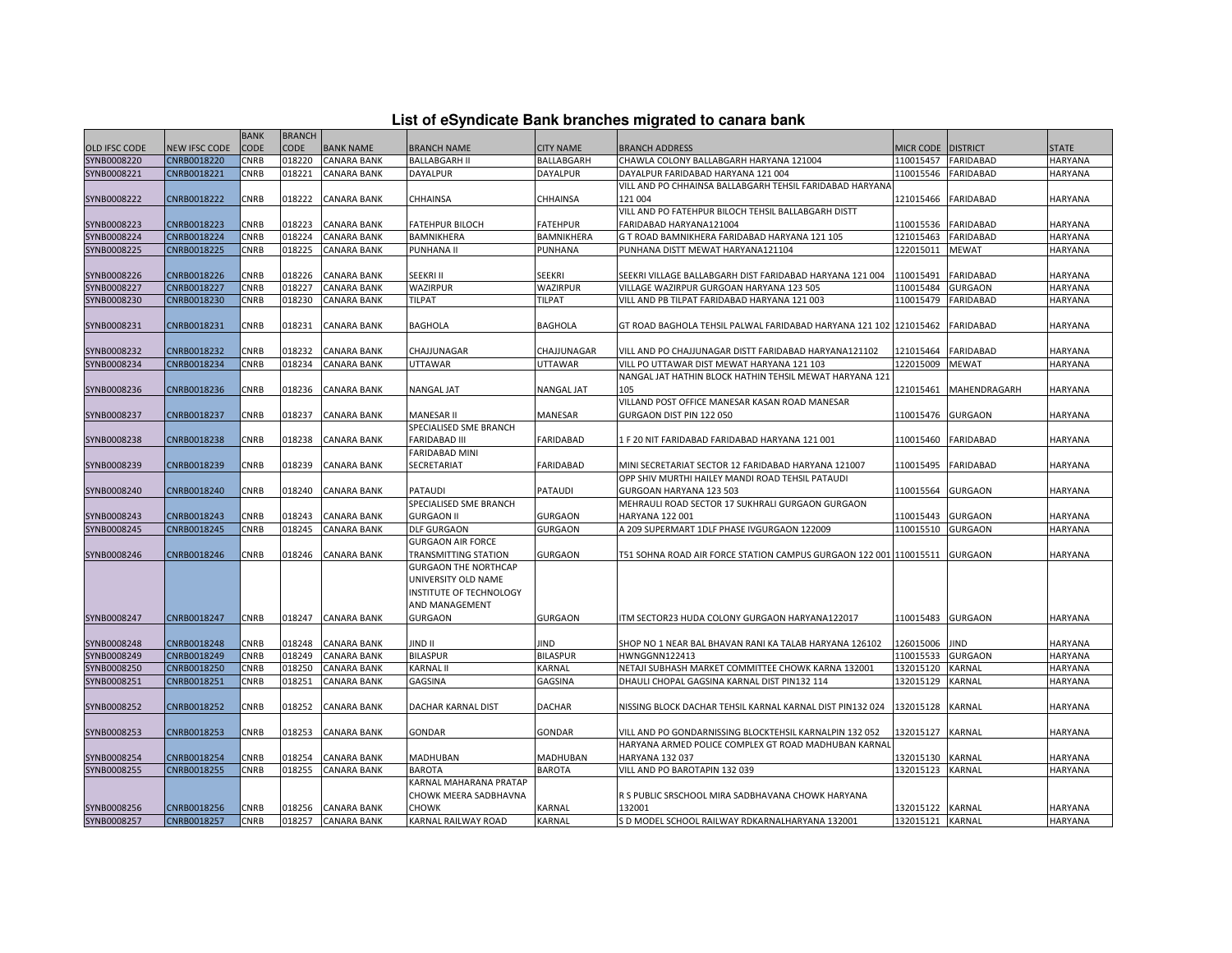|  | List of eSyndicate Bank branches migrated to canara bank |  |
|--|----------------------------------------------------------|--|
|  |                                                          |  |

|                      |                      | <b>BANK</b> | <b>BRANCH</b> |                    |                               |                   |                                                                   |                    |                  |                |
|----------------------|----------------------|-------------|---------------|--------------------|-------------------------------|-------------------|-------------------------------------------------------------------|--------------------|------------------|----------------|
| <b>OLD IFSC CODE</b> | <b>NEW IFSC CODE</b> | CODE        | <b>CODE</b>   | <b>BANK NAME</b>   | <b>BRANCH NAME</b>            | <b>CITY NAME</b>  | <b>BRANCH ADDRESS</b>                                             | MICR CODE DISTRICT |                  | <b>STATE</b>   |
| SYNB0008220          | CNRB0018220          | CNRB        | 018220        | <b>CANARA BANK</b> | <b>BALLABGARH II</b>          | BALLABGARH        | CHAWLA COLONY BALLABGARH HARYANA 121004                           | 110015457          | <b>FARIDABAD</b> | HARYANA        |
| SYNB0008221          | CNRB0018221          | CNRB        | 018221        | <b>CANARA BANK</b> | DAYALPUR                      | <b>DAYALPUR</b>   | DAYALPUR FARIDABAD HARYANA 121 004                                | 110015546          | <b>FARIDABAD</b> | <b>HARYANA</b> |
|                      |                      |             |               |                    |                               |                   | VILL AND PO CHHAINSA BALLABGARH TEHSIL FARIDABAD HARYANA          |                    |                  |                |
| SYNB0008222          | CNRB0018222          | CNRB        | 018222        | CANARA BANK        | CHHAINSA                      | CHHAINSA          | 121 004                                                           | 121015466          | <b>FARIDABAD</b> | <b>HARYANA</b> |
|                      |                      |             |               |                    |                               |                   | VILL AND PO FATEHPUR BILOCH TEHSIL BALLABGARH DISTT               |                    |                  |                |
| SYNB0008223          | CNRB0018223          | CNRB        | 018223        | <b>CANARA BANK</b> | <b>FATEHPUR BILOCH</b>        | <b>FATEHPUR</b>   | FARIDABAD HARYANA121004                                           | 110015536          | <b>FARIDABAD</b> | <b>HARYANA</b> |
| SYNB0008224          | CNRB0018224          | CNRB        | 018224        | <b>CANARA BANK</b> | BAMNIKHERA                    | BAMNIKHERA        | G T ROAD BAMNIKHERA FARIDABAD HARYANA 121 105                     | 121015463          | <b>FARIDABAD</b> | <b>HARYANA</b> |
| SYNB0008225          | CNRB0018225          | CNRB        | 018225        | <b>CANARA BANK</b> | PUNHANA II                    | PUNHANA           | PUNHANA DISTT MEWAT HARYANA121104                                 | 122015011          | <b>MEWAT</b>     | HARYANA        |
|                      |                      |             |               |                    |                               |                   |                                                                   |                    |                  |                |
| SYNB0008226          | CNRB0018226          | CNRB        | 018226        | CANARA BANK        | SEEKRI II                     | <b>SEEKRI</b>     | SEEKRI VILLAGE BALLABGARH DIST FARIDABAD HARYANA 121 004          | 110015491          | <b>FARIDABAD</b> | <b>HARYANA</b> |
| SYNB0008227          | CNRB0018227          | CNRB        | 018227        | CANARA BANK        | WAZIRPUR                      | WAZIRPUR          | VILLAGE WAZIRPUR GURGOAN HARYANA 123 505                          | 110015484          | <b>GURGAON</b>   | <b>HARYANA</b> |
| SYNB0008230          | CNRB0018230          | CNRB        | 018230        | CANARA BANK        | TILPAT                        | <b>TILPAT</b>     | VILL AND PB TILPAT FARIDABAD HARYANA 121 003                      | 110015479          | <b>FARIDABAD</b> | <b>HARYANA</b> |
|                      |                      |             |               |                    |                               |                   |                                                                   |                    |                  |                |
| SYNB0008231          | CNRB0018231          | CNRB        | 018231        | CANARA BANK        | <b>BAGHOLA</b>                | <b>BAGHOLA</b>    | GT ROAD BAGHOLA TEHSIL PALWAL FARIDABAD HARYANA 121 102 121015462 |                    | <b>FARIDABAD</b> | <b>HARYANA</b> |
|                      |                      |             |               |                    |                               |                   |                                                                   |                    |                  |                |
| SYNB0008232          | CNRB0018232          | CNRB        | 018232        | <b>CANARA BANK</b> | CHAJJUNAGAR                   | CHAJJUNAGAR       | VILL AND PO CHAJJUNAGAR DISTT FARIDABAD HARYANA121102             | 121015464          | <b>FARIDABAD</b> | <b>HARYANA</b> |
| SYNB0008234          | CNRB0018234          | CNRB        | 018234        | <b>CANARA BANK</b> | UTTAWAR                       | UTTAWAR           | VILL PO UTTAWAR DIST MEWAT HARYANA 121 103                        | 122015009          | <b>MEWAT</b>     | HARYANA        |
|                      |                      |             |               |                    |                               |                   | NANGAL JAT HATHIN BLOCK HATHIN TEHSIL MEWAT HARYANA 121           |                    |                  |                |
| SYNB0008236          | CNRB0018236          | CNRB        | 018236        | <b>CANARA BANK</b> | <b>NANGAL JAT</b>             | <b>NANGAL JAT</b> | 105                                                               | 121015461          | MAHENDRAGARH     | <b>HARYANA</b> |
|                      |                      |             |               |                    |                               |                   | VILLAND POST OFFICE MANESAR KASAN ROAD MANESAR                    |                    |                  |                |
| SYNB0008237          | CNRB0018237          | CNRB        | 018237        | CANARA BANK        | MANESAR II                    | MANESAR           | GURGAON DIST PIN 122 050                                          | 110015476          | <b>GURGAON</b>   | <b>HARYANA</b> |
|                      |                      |             |               |                    | SPECIALISED SME BRANCH        |                   |                                                                   |                    |                  |                |
| SYNB0008238          | CNRB0018238          | CNRB        | 018238        | CANARA BANK        | <b>FARIDABAD III</b>          | <b>FARIDABAD</b>  | 1 F 20 NIT FARIDABAD FARIDABAD HARYANA 121 001                    | 110015460          | <b>FARIDABAD</b> | <b>HARYANA</b> |
|                      |                      |             |               |                    | <b>FARIDABAD MINI</b>         |                   |                                                                   |                    |                  |                |
| SYNB0008239          | CNRB0018239          | CNRB        | 018239        | <b>CANARA BANK</b> | SECRETARIAT                   | <b>FARIDABAD</b>  | MINI SECRETARIAT SECTOR 12 FARIDABAD HARYANA 121007               | 110015495          | <b>FARIDABAD</b> | <b>HARYANA</b> |
|                      |                      |             |               |                    |                               |                   | OPP SHIV MURTHI HAILEY MANDI ROAD TEHSIL PATAUDI                  |                    |                  |                |
| SYNB0008240          | CNRB0018240          | <b>CNRB</b> | 018240        | <b>CANARA BANK</b> | <b>PATAUDI</b>                | <b>PATAUDI</b>    | GURGOAN HARYANA 123 503                                           | 110015564          | <b>GURGAON</b>   | <b>HARYANA</b> |
|                      |                      |             |               |                    | SPECIALISED SME BRANCH        |                   | MEHRAULI ROAD SECTOR 17 SUKHRALI GURGAON GURGAON                  |                    |                  |                |
| SYNB0008243          | CNRB0018243          | CNRB        | 018243        | <b>CANARA BANK</b> | <b>GURGAON II</b>             | <b>GURGAON</b>    | HARYANA 122 001                                                   | 110015443          | <b>GURGAON</b>   | <b>HARYANA</b> |
| SYNB0008245          | CNRB0018245          | CNRB        | 018245        | <b>CANARA BANK</b> | <b>DLF GURGAON</b>            | <b>GURGAON</b>    | A 209 SUPERMART 1DLF PHASE IVGURGAON 122009                       | 110015510          | <b>GURGAON</b>   | <b>HARYANA</b> |
|                      |                      |             |               |                    | <b>GURGAON AIR FORCE</b>      |                   |                                                                   |                    |                  |                |
| SYNB0008246          | CNRB0018246          | CNRB        | 018246        | CANARA BANK        | <b>TRANSMITTING STATION</b>   | <b>GURGAON</b>    | T51 SOHNA ROAD AIR FORCE STATION CAMPUS GURGAON 122 001 110015511 |                    | <b>GURGAON</b>   | <b>HARYANA</b> |
|                      |                      |             |               |                    | <b>GURGAON THE NORTHCAP</b>   |                   |                                                                   |                    |                  |                |
|                      |                      |             |               |                    | UNIVERSITY OLD NAME           |                   |                                                                   |                    |                  |                |
|                      |                      |             |               |                    | INSTITUTE OF TECHNOLOGY       |                   |                                                                   |                    |                  |                |
|                      |                      |             |               |                    | AND MANAGEMENT                |                   |                                                                   |                    |                  |                |
| SYNB0008247          | CNRB0018247          | CNRB        | 018247        | <b>CANARA BANK</b> | <b>GURGAON</b>                | <b>GURGAON</b>    | ITM SECTOR23 HUDA COLONY GURGAON HARYANA122017                    | 110015483          | <b>GURGAON</b>   | <b>HARYANA</b> |
|                      |                      |             |               |                    |                               |                   |                                                                   |                    |                  |                |
| SYNB0008248          | CNRB0018248          | CNRB        | 018248        | CANARA BANK        | <b>JIND II</b>                | JIND              | SHOP NO 1 NEAR BAL BHAVAN RANI KA TALAB HARYANA 126102            | 126015006          | <b>JIND</b>      | <b>HARYANA</b> |
| SYNB0008249          | CNRB0018249          | CNRB        | 018249        | CANARA BANK        | <b>BILASPUR</b>               | <b>BILASPUR</b>   | HWNGGNN122413                                                     | 110015533          | <b>GURGAON</b>   | <b>HARYANA</b> |
| SYNB0008250          | CNRB0018250          | CNRB        | 018250        | CANARA BANK        | <b>KARNAL II</b>              | KARNAL            | NETAJI SUBHASH MARKET COMMITTEE CHOWK KARNA 132001                | 132015120          | KARNAL           | <b>HARYANA</b> |
| SYNB0008251          | CNRB0018251          | CNRB        | 018251        | CANARA BANK        | GAGSINA                       | GAGSINA           | DHAULI CHOPAL GAGSINA KARNAL DIST PIN132 114                      | 132015129          | KARNAL           | <b>HARYANA</b> |
|                      |                      |             |               |                    |                               |                   |                                                                   |                    |                  |                |
| SYNB0008252          | CNRB0018252          | <b>CNRB</b> | 018252        | <b>CANARA BANK</b> | DACHAR KARNAL DIST            | <b>DACHAR</b>     | NISSING BLOCK DACHAR TEHSIL KARNAL KARNAL DIST PIN132 024         | 132015128          | KARNAL           | <b>HARYANA</b> |
|                      |                      |             |               |                    |                               |                   |                                                                   |                    |                  |                |
| SYNB0008253          | CNRB0018253          | CNRB        | 018253        | <b>CANARA BANK</b> | <b>GONDAR</b>                 | <b>GONDAR</b>     | VILL AND PO GONDARNISSING BLOCKTEHSIL KARNALPIN 132 052           | 132015127          | KARNAL           | <b>HARYANA</b> |
|                      |                      |             |               |                    |                               |                   | HARYANA ARMED POLICE COMPLEX GT ROAD MADHUBAN KARNAL              |                    |                  |                |
| SYNB0008254          | CNRB0018254          | CNRB        | 018254        | <b>CANARA BANK</b> | MADHUBAN                      | <b>MADHUBAN</b>   | <b>HARYANA 132 037</b>                                            | 132015130          | KARNAL           | <b>HARYANA</b> |
| SYNB0008255          | CNRB0018255          | CNRB        | 018255        | <b>CANARA BANK</b> | <b>BAROTA</b>                 | <b>BAROTA</b>     | VILL AND PO BAROTAPIN 132 039                                     | 132015123          | KARNAL           | <b>HARYANA</b> |
|                      |                      |             |               |                    | <b>KARNAL MAHARANA PRATAP</b> |                   |                                                                   |                    |                  |                |
|                      |                      |             |               |                    | CHOWK MEERA SADBHAVNA         |                   | R S PUBLIC SRSCHOOL MIRA SADBHAVANA CHOWK HARYANA                 |                    |                  |                |
| SYNB0008256          | CNRB0018256          | <b>CNRB</b> | 018256        | <b>CANARA BANK</b> | <b>CHOWK</b>                  | <b>KARNAL</b>     | 132001                                                            | 132015122          | <b>KARNAL</b>    | <b>HARYANA</b> |
| SYNB0008257          | CNRB0018257          | CNRB        | 018257        | <b>CANARA BANK</b> | KARNAL RAILWAY ROAD           | <b>KARNAL</b>     | S D MODEL SCHOOL RAILWAY RDKARNALHARYANA 132001                   | 132015121 KARNAL   |                  | <b>HARYANA</b> |
|                      |                      |             |               |                    |                               |                   |                                                                   |                    |                  |                |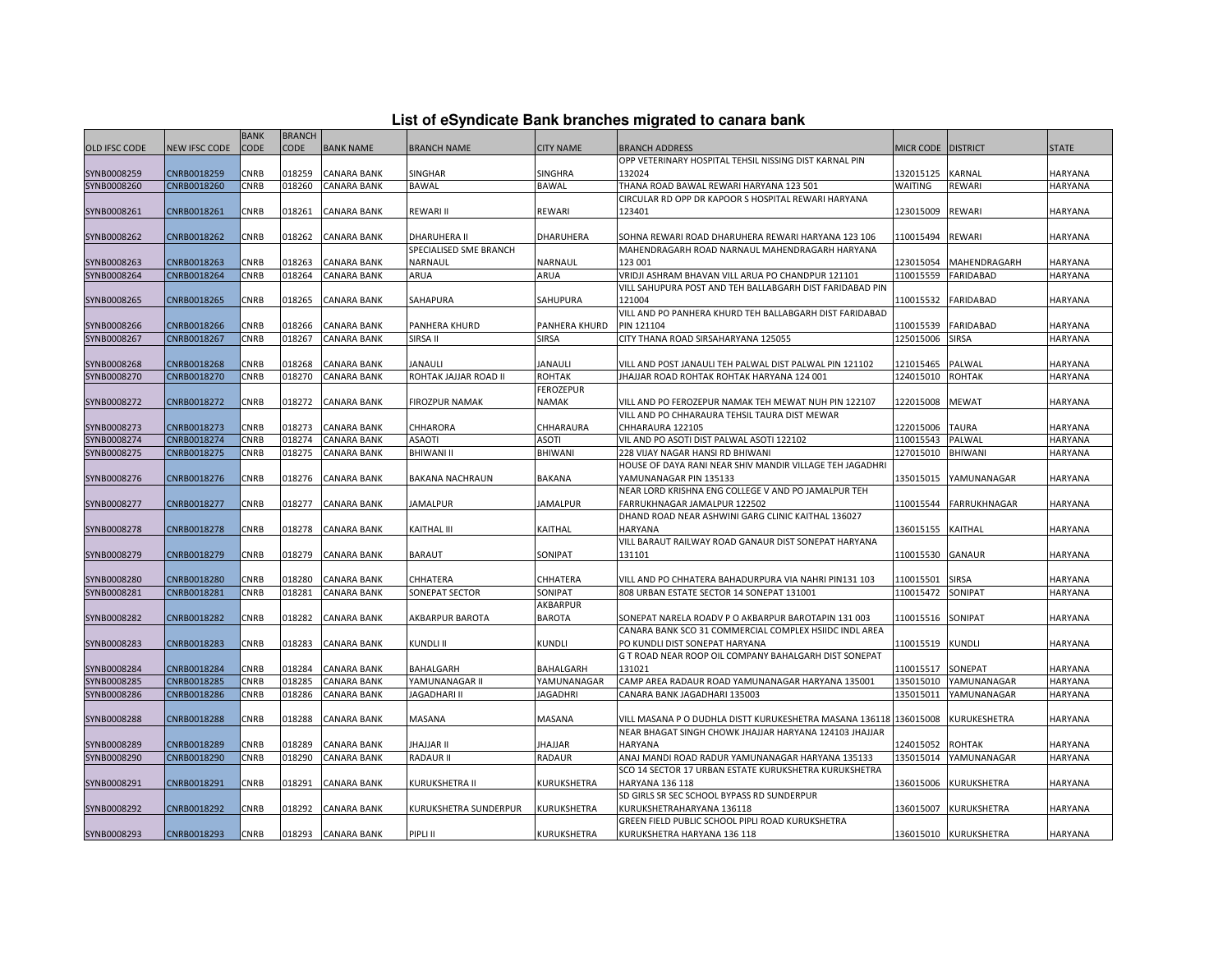|  |  | List of eSyndicate Bank branches migrated to canara bank |  |
|--|--|----------------------------------------------------------|--|
|--|--|----------------------------------------------------------|--|

|                      |               | <b>BANK</b> | <b>BRANCH</b> |                    |                        |                      |                                                                   |                    |                       |                |
|----------------------|---------------|-------------|---------------|--------------------|------------------------|----------------------|-------------------------------------------------------------------|--------------------|-----------------------|----------------|
| <b>OLD IFSC CODE</b> | NEW IFSC CODE | <b>CODE</b> | <b>CODE</b>   | <b>BANK NAME</b>   | <b>BRANCH NAME</b>     | <b>CITY NAME</b>     | <b>BRANCH ADDRESS</b>                                             | MICR CODE DISTRICT |                       | <b>STATE</b>   |
|                      |               |             |               |                    |                        |                      | OPP VETERINARY HOSPITAL TEHSIL NISSING DIST KARNAL PIN            |                    |                       |                |
| SYNB0008259          | CNRB0018259   | CNRB        | 018259        | <b>CANARA BANK</b> | <b>SINGHAR</b>         | SINGHRA              | 132024                                                            | 132015125          | <b>KARNAL</b>         | <b>HARYANA</b> |
| SYNB0008260          | CNRB0018260   | CNRB        | 018260        | <b>CANARA BANK</b> | <b>BAWAL</b>           | <b>BAWAL</b>         | THANA ROAD BAWAL REWARI HARYANA 123 501                           | <b>WAITING</b>     | REWARI                | HARYANA        |
|                      |               |             |               |                    |                        |                      | CIRCULAR RD OPP DR KAPOOR S HOSPITAL REWARI HARYANA               |                    |                       |                |
| SYNB0008261          | CNRB0018261   | <b>CNRB</b> | 018261        | <b>CANARA BANK</b> | REWARI II              | <b>REWARI</b>        | 123401                                                            | 123015009          | <b>REWARI</b>         | <b>HARYANA</b> |
|                      |               |             |               |                    |                        |                      |                                                                   |                    |                       |                |
| SYNB0008262          | CNRB0018262   | CNRB        | 018262        | CANARA BANK        | <b>DHARUHERA II</b>    | <b>DHARUHERA</b>     | SOHNA REWARI ROAD DHARUHERA REWARI HARYANA 123 106                | 110015494          | <b>REWARI</b>         | <b>HARYANA</b> |
|                      |               |             |               |                    | SPECIALISED SME BRANCH |                      | MAHENDRAGARH ROAD NARNAUL MAHENDRAGARH HARYANA                    |                    |                       |                |
| SYNB0008263          | CNRB0018263   | CNRB        | 018263        | CANARA BANK        | NARNAUL                | NARNAUL              | 123 001                                                           | 123015054          | MAHENDRAGARH          | HARYANA        |
| SYNB0008264          | CNRB0018264   | CNRB        | 018264        | CANARA BANK        | ARUA                   | ARUA                 | VRIDJI ASHRAM BHAVAN VILL ARUA PO CHANDPUR 121101                 | 110015559          | <b>FARIDABAD</b>      | <b>HARYANA</b> |
|                      |               |             |               |                    |                        |                      | VILL SAHUPURA POST AND TEH BALLABGARH DIST FARIDABAD PIN          |                    |                       |                |
| SYNB0008265          | CNRB0018265   | CNRB        | 018265        | <b>CANARA BANK</b> | SAHAPURA               | SAHUPURA             | 121004                                                            | 110015532          | <b>FARIDABAD</b>      | <b>HARYANA</b> |
|                      |               |             |               |                    |                        |                      | VILL AND PO PANHERA KHURD TEH BALLABGARH DIST FARIDABAD           |                    |                       |                |
| SYNB0008266          | CNRB0018266   | <b>CNRB</b> | 018266        | <b>CANARA BANK</b> | PANHERA KHURD          | <b>PANHERA KHURD</b> | <b>PIN 121104</b>                                                 | 110015539          | <b>FARIDABAD</b>      | <b>HARYANA</b> |
| SYNB0008267          | CNRB0018267   | CNRB        | 018267        | <b>CANARA BANK</b> | SIRSA II               | SIRSA                | CITY THANA ROAD SIRSAHARYANA 125055                               | 125015006          | <b>SIRSA</b>          | <b>HARYANA</b> |
|                      |               |             |               |                    |                        |                      |                                                                   |                    |                       |                |
| SYNB0008268          | CNRB0018268   | <b>CNRB</b> | 018268        | <b>CANARA BANK</b> | <b>JANAULI</b>         | <b>JANAULI</b>       | VILL AND POST JANAULI TEH PALWAL DIST PALWAL PIN 121102           | 121015465          | PALWAL                | <b>HARYANA</b> |
| SYNB0008270          | CNRB0018270   | CNRB        | 018270        | <b>CANARA BANK</b> | ROHTAK JAJJAR ROAD II  | <b>ROHTAK</b>        | JHAJJAR ROAD ROHTAK ROHTAK HARYANA 124 001                        | 124015010          | <b>ROHTAK</b>         | <b>HARYANA</b> |
|                      |               |             |               |                    |                        | <b>FEROZEPUR</b>     |                                                                   |                    |                       |                |
| SYNB0008272          | CNRB0018272   | CNRB        | 018272        | <b>CANARA BANK</b> | <b>FIROZPUR NAMAK</b>  | <b>NAMAK</b>         | VILL AND PO FEROZEPUR NAMAK TEH MEWAT NUH PIN 122107              | 122015008          | <b>MEWAT</b>          | <b>HARYANA</b> |
|                      |               |             |               |                    |                        |                      | VILL AND PO CHHARAURA TEHSIL TAURA DIST MEWAR                     |                    |                       |                |
| SYNB0008273          | CNRB0018273   | CNRB        | 018273        | <b>CANARA BANK</b> | CHHARORA               | CHHARAURA            | CHHARAURA 122105                                                  | 122015006          | <b>TAURA</b>          | <b>HARYANA</b> |
| SYNB0008274          | CNRB0018274   | <b>CNRB</b> | 018274        | <b>CANARA BANK</b> | <b>ASAOTI</b>          | <b>ASOTI</b>         | VIL AND PO ASOTI DIST PALWAL ASOTI 122102                         | 110015543          | PALWAL                | <b>HARYANA</b> |
| SYNB0008275          | CNRB0018275   | CNRB        | 018275        | CANARA BANK        | <b>BHIWANI II</b>      | BHIWANI              | 228 VIJAY NAGAR HANSI RD BHIWANI                                  | 127015010          | <b>BHIWANI</b>        | <b>HARYANA</b> |
|                      |               |             |               |                    |                        |                      | HOUSE OF DAYA RANI NEAR SHIV MANDIR VILLAGE TEH JAGADHRI          |                    |                       |                |
| SYNB0008276          | CNRB0018276   | <b>CNRB</b> | 018276        | <b>CANARA BANK</b> | BAKANA NACHRAUN        | <b>BAKANA</b>        | YAMUNANAGAR PIN 135133                                            | 135015015          | YAMUNANAGAR           | <b>HARYANA</b> |
|                      |               |             |               |                    |                        |                      | NEAR LORD KRISHNA ENG COLLEGE V AND PO JAMALPUR TEH               |                    |                       |                |
| SYNB0008277          | CNRB0018277   | CNRB        | 018277        | CANARA BANK        | <b>JAMALPUR</b>        | <b>JAMALPUR</b>      | FARRUKHNAGAR JAMALPUR 122502                                      | 110015544          | <b>FARRUKHNAGAR</b>   | <b>HARYANA</b> |
|                      |               |             |               |                    |                        |                      | DHAND ROAD NEAR ASHWINI GARG CLINIC KAITHAL 136027                |                    |                       |                |
| SYNB0008278          | CNRB0018278   | CNRB        | 018278        | <b>CANARA BANK</b> | KAITHAL III            | KAITHAL              | <b>HARYANA</b>                                                    | 136015155          | KAITHAL               | <b>HARYANA</b> |
|                      |               |             |               |                    |                        |                      | VILL BARAUT RAILWAY ROAD GANAUR DIST SONEPAT HARYANA              |                    |                       |                |
| SYNB0008279          | CNRB0018279   | <b>CNRB</b> | 018279        | <b>CANARA BANK</b> | <b>BARAUT</b>          | SONIPAT              | 131101                                                            | 110015530          | <b>GANAUR</b>         | <b>HARYANA</b> |
|                      |               |             |               |                    |                        |                      |                                                                   |                    |                       |                |
| SYNB0008280          | CNRB0018280   | CNRB        | 018280        | <b>CANARA BANK</b> | CHHATERA               | CHHATERA             | VILL AND PO CHHATERA BAHADURPURA VIA NAHRI PIN131 103             | 110015501          | <b>SIRSA</b>          | <b>HARYANA</b> |
| SYNB0008281          | CNRB0018281   | <b>CNRB</b> | 018281        | <b>CANARA BANK</b> | SONEPAT SECTOR         | SONIPAT              | 808 URBAN ESTATE SECTOR 14 SONEPAT 131001                         | 110015472          | SONIPAT               | <b>HARYANA</b> |
|                      |               |             |               |                    |                        | AKBARPUR             |                                                                   |                    |                       |                |
| SYNB0008282          | CNRB0018282   | CNRB        | 018282        | CANARA BANK        | AKBARPUR BAROTA        | <b>BAROTA</b>        | SONEPAT NARELA ROADV P O AKBARPUR BAROTAPIN 131 003               | 110015516          | SONIPAT               | <b>HARYANA</b> |
|                      |               |             |               |                    |                        |                      | CANARA BANK SCO 31 COMMERCIAL COMPLEX HSIIDC INDL AREA            |                    |                       |                |
| SYNB0008283          | CNRB0018283   | CNRB        | 018283        | <b>CANARA BANK</b> | KUNDLI II              | KUNDLI               | PO KUNDLI DIST SONEPAT HARYANA                                    | 110015519          | KUNDLI                | <b>HARYANA</b> |
|                      |               |             |               |                    |                        |                      | G T ROAD NEAR ROOP OIL COMPANY BAHALGARH DIST SONEPAT             |                    |                       |                |
| SYNB0008284          | CNRB0018284   | <b>CNRB</b> | 018284        | <b>CANARA BANK</b> | BAHALGARH              | BAHALGARH            | 131021                                                            | 110015517          | SONEPAT               | <b>HARYANA</b> |
| SYNB0008285          | CNRB0018285   | CNRB        | 018285        | <b>CANARA BANK</b> | YAMUNANAGAR II         | YAMUNANAGAR          | CAMP AREA RADAUR ROAD YAMUNANAGAR HARYANA 135001                  | 135015010          | YAMUNANAGAR           | <b>HARYANA</b> |
| SYNB0008286          | CNRB0018286   | CNRB        | 018286        | CANARA BANK        | <b>JAGADHARI II</b>    | JAGADHRI             | CANARA BANK JAGADHARI 135003                                      | 135015011          | YAMUNANAGAR           | <b>HARYANA</b> |
|                      |               |             |               |                    |                        |                      |                                                                   |                    |                       |                |
| SYNB0008288          | CNRB0018288   | CNRB        | 018288        | CANARA BANK        | MASANA                 | MASANA               | VILL MASANA P O DUDHLA DISTT KURUKESHETRA MASANA 136118 136015008 |                    | KURUKESHETRA          | HARYANA        |
|                      |               |             |               |                    |                        |                      | NEAR BHAGAT SINGH CHOWK JHAJJAR HARYANA 124103 JHAJJAR            |                    |                       |                |
| SYNB0008289          | CNRB0018289   | CNRB        | 018289        | <b>CANARA BANK</b> | <b>JHAJJAR II</b>      | <b>JHAJJAR</b>       | <b>HARYANA</b>                                                    | 124015052          | <b>ROHTAK</b>         | <b>HARYANA</b> |
| SYNB0008290          | CNRB0018290   | CNRB        | 018290        | <b>CANARA BANK</b> | <b>RADAUR II</b>       | RADAUR               | ANAJ MANDI ROAD RADUR YAMUNANAGAR HARYANA 135133                  | 135015014          | YAMUNANAGAR           | HARYANA        |
|                      |               |             |               |                    |                        |                      | SCO 14 SECTOR 17 URBAN ESTATE KURUKSHETRA KURUKSHETRA             |                    |                       |                |
| SYNB0008291          | CNRB0018291   | CNRB        | 018291        | <b>CANARA BANK</b> | KURUKSHETRA II         | KURUKSHETRA          | HARYANA 136 118                                                   | 136015006          | <b>KURUKSHETRA</b>    | <b>HARYANA</b> |
|                      |               |             |               |                    |                        |                      | SD GIRLS SR SEC SCHOOL BYPASS RD SUNDERPUR                        |                    |                       |                |
| SYNB0008292          | CNRB0018292   | CNRB        | 018292        | CANARA BANK        | KURUKSHETRA SUNDERPUR  | KURUKSHETRA          | KURUKSHETRAHARYANA 136118                                         | 136015007          | KURUKSHETRA           | <b>HARYANA</b> |
|                      |               |             |               |                    |                        |                      | GREEN FIELD PUBLIC SCHOOL PIPLI ROAD KURUKSHETRA                  |                    |                       |                |
| SYNB0008293          | CNRB0018293   | <b>CNRB</b> |               | 018293 CANARA BANK | PIPLI II               | KURUKSHETRA          | KURUKSHETRA HARYANA 136 118                                       |                    | 136015010 KURUKSHETRA | <b>HARYANA</b> |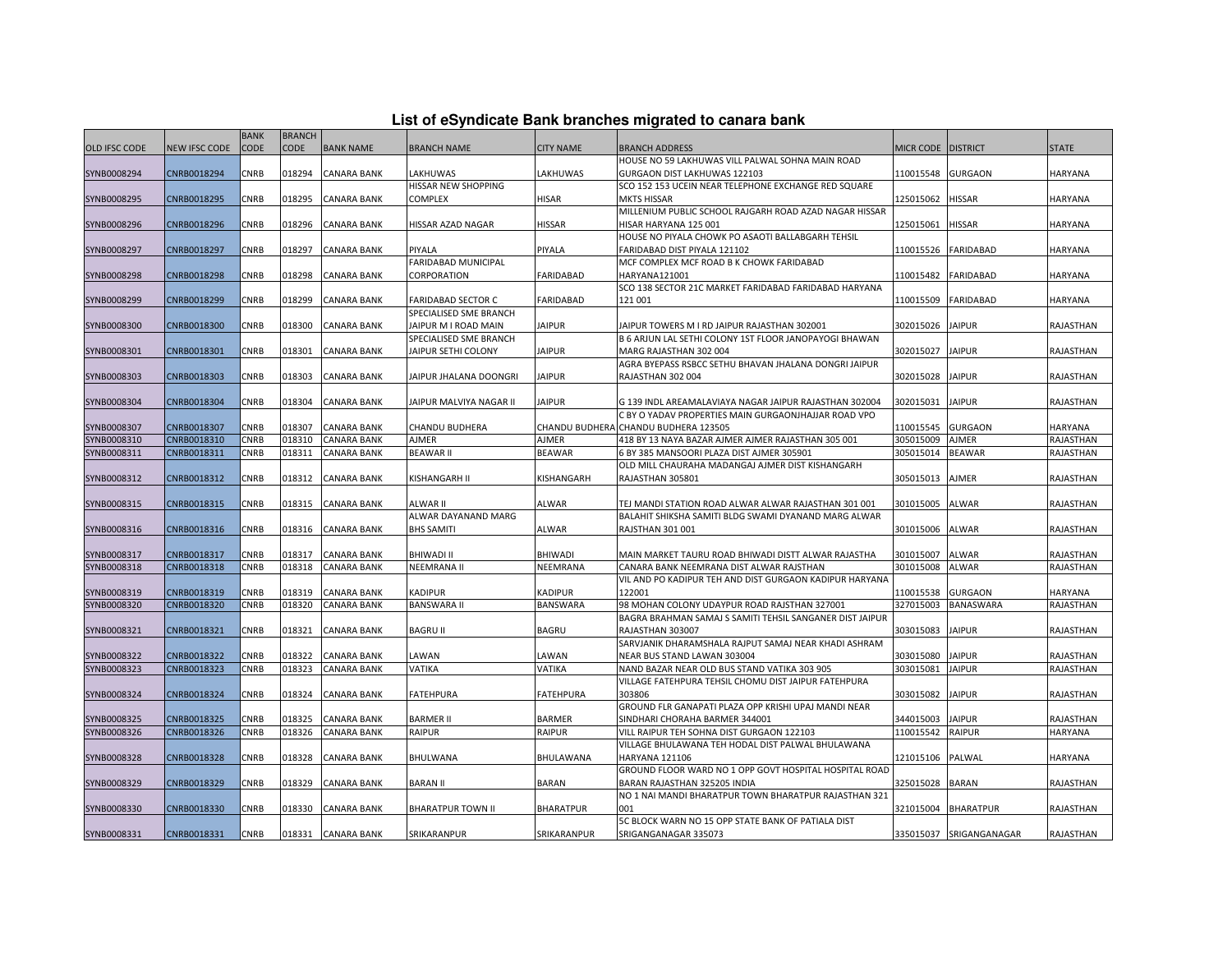|  |  | List of eSyndicate Bank branches migrated to canara bank |  |
|--|--|----------------------------------------------------------|--|
|--|--|----------------------------------------------------------|--|

|                      |                      | <b>BANK</b> | <b>BRANCH</b> |                    |                                                     |                       |                                                                                       |                    |                         |                  |
|----------------------|----------------------|-------------|---------------|--------------------|-----------------------------------------------------|-----------------------|---------------------------------------------------------------------------------------|--------------------|-------------------------|------------------|
| <b>OLD IFSC CODE</b> | <b>NEW IFSC CODE</b> | <b>CODE</b> | <b>CODE</b>   | <b>BANK NAME</b>   | <b>BRANCH NAME</b>                                  | <b>CITY NAME</b>      | <b>BRANCH ADDRESS</b>                                                                 | MICR CODE DISTRICT |                         | <b>STATE</b>     |
|                      |                      |             |               |                    |                                                     |                       | HOUSE NO 59 LAKHUWAS VILL PALWAL SOHNA MAIN ROAD                                      |                    |                         |                  |
| SYNB0008294          | CNRB0018294          | <b>CNRB</b> | 018294        | <b>CANARA BANK</b> | LAKHUWAS                                            | LAKHUWAS              | GURGAON DIST LAKHUWAS 122103                                                          | 110015548          | <b>GURGAON</b>          | <b>HARYANA</b>   |
|                      |                      |             |               |                    | HISSAR NEW SHOPPING                                 |                       | SCO 152 153 UCEIN NEAR TELEPHONE EXCHANGE RED SQUARE                                  |                    |                         |                  |
| SYNB0008295          | CNRB0018295          | CNRB        | 018295        | <b>CANARA BANK</b> | <b>COMPLEX</b>                                      | <b>HISAR</b>          | <b>MKTS HISSAR</b>                                                                    | 125015062          | <b>HISSAR</b>           | <b>HARYANA</b>   |
|                      |                      |             |               |                    |                                                     |                       | MILLENIUM PUBLIC SCHOOL RAJGARH ROAD AZAD NAGAR HISSAR                                |                    |                         |                  |
| SYNB0008296          | CNRB0018296          | CNRB        | 018296        | <b>CANARA BANK</b> | HISSAR AZAD NAGAR                                   | <b>HISSAR</b>         | HISAR HARYANA 125 001                                                                 | 125015061          | HISSAR                  | HARYANA          |
|                      |                      |             |               |                    |                                                     |                       | HOUSE NO PIYALA CHOWK PO ASAOTI BALLABGARH TEHSIL                                     |                    |                         |                  |
| SYNB0008297          | CNRB0018297          | CNRB        | 018297        | <b>CANARA BANK</b> | PIYALA                                              | PIYALA                | FARIDABAD DIST PIYALA 121102                                                          | 110015526          | <b>FARIDABAD</b>        | HARYANA          |
|                      |                      |             |               |                    | FARIDABAD MUNICIPAL                                 |                       | MCF COMPLEX MCF ROAD B K CHOWK FARIDABAD                                              |                    |                         |                  |
| SYNB0008298          | CNRB0018298          | <b>CNRB</b> | 018298        | <b>CANARA BANK</b> | CORPORATION                                         | <b>FARIDABAD</b>      | HARYANA121001                                                                         | 110015482          | <b>FARIDABAD</b>        | <b>HARYANA</b>   |
|                      |                      | CNRB        | 018299        |                    |                                                     |                       | SCO 138 SECTOR 21C MARKET FARIDABAD FARIDABAD HARYANA<br>121 001                      |                    |                         |                  |
| SYNB0008299          | CNRB0018299          |             |               | CANARA BANK        | <b>FARIDABAD SECTOR C</b><br>SPECIALISED SME BRANCH | <b>FARIDABAD</b>      |                                                                                       | 110015509          | <b>FARIDABAD</b>        | HARYANA          |
| SYNB0008300          | CNRB0018300          | <b>CNRB</b> | 018300        | <b>CANARA BANK</b> | JAIPUR M I ROAD MAIN                                | <b>JAIPUR</b>         | JAIPUR TOWERS M I RD JAIPUR RAJASTHAN 302001                                          | 302015026          | <b>JAIPUR</b>           | <b>RAJASTHAN</b> |
|                      |                      |             |               |                    | SPECIALISED SME BRANCH                              |                       | B 6 ARJUN LAL SETHI COLONY 1ST FLOOR JANOPAYOGI BHAWAN                                |                    |                         |                  |
| SYNB0008301          | CNRB0018301          | <b>CNRB</b> | 018301        | <b>CANARA BANK</b> | JAIPUR SETHI COLONY                                 | <b>JAIPUR</b>         | MARG RAJASTHAN 302 004                                                                | 302015027          | <b>JAIPUR</b>           | RAJASTHAN        |
|                      |                      |             |               |                    |                                                     |                       | AGRA BYEPASS RSBCC SETHU BHAVAN JHALANA DONGRI JAIPUR                                 |                    |                         |                  |
| SYNB0008303          | CNRB0018303          | CNRB        | 018303        | CANARA BANK        | JAIPUR JHALANA DOONGRI                              | <b>JAIPUR</b>         | RAJASTHAN 302 004                                                                     | 302015028          | <b>JAIPUR</b>           | RAJASTHAN        |
|                      |                      |             |               |                    |                                                     |                       |                                                                                       |                    |                         |                  |
| SYNB0008304          | CNRB0018304          | <b>CNRB</b> | 018304        | <b>CANARA BANK</b> | JAIPUR MALVIYA NAGAR II                             | <b>JAIPUR</b>         | G 139 INDL AREAMALAVIAYA NAGAR JAIPUR RAJASTHAN 302004                                | 302015031          | <b>JAIPUR</b>           | RAJASTHAN        |
|                      |                      |             |               |                    |                                                     |                       | C BY O YADAV PROPERTIES MAIN GURGAONJHAJJAR ROAD VPO                                  |                    |                         |                  |
| SYNB0008307          | CNRB0018307          | <b>CNRB</b> | 018307        | <b>CANARA BANK</b> | <b>CHANDU BUDHERA</b>                               | <b>CHANDU BUDHERA</b> | CHANDU BUDHERA 123505                                                                 | 110015545          | <b>GURGAON</b>          | HARYANA          |
| SYNB0008310          | CNRB0018310          | <b>CNRB</b> | 018310        | <b>CANARA BANK</b> | AJMER                                               | AJMER                 | 418 BY 13 NAYA BAZAR AJMER AJMER RAJASTHAN 305 001                                    | 305015009          | <b>AJMER</b>            | RAJASTHAN        |
| SYNB0008311          | CNRB0018311          | CNRB        | 018311        | <b>CANARA BANK</b> | <b>BEAWAR II</b>                                    | <b>BEAWAR</b>         | 6 BY 385 MANSOORI PLAZA DIST AJMER 305901                                             | 305015014          | <b>BEAWAR</b>           | RAJASTHAN        |
|                      |                      |             |               |                    |                                                     |                       | OLD MILL CHAURAHA MADANGAJ AJMER DIST KISHANGARH                                      |                    |                         |                  |
| SYNB0008312          | CNRB0018312          | <b>CNRB</b> | 018312        | <b>CANARA BANK</b> | KISHANGARH II                                       | KISHANGARH            | RAJASTHAN 305801                                                                      | 305015013          | <b>AJMER</b>            | RAJASTHAN        |
|                      |                      |             |               |                    |                                                     |                       |                                                                                       |                    |                         |                  |
| SYNB0008315          | CNRB0018315          | CNRB        | 018315        | <b>CANARA BANK</b> | <b>ALWAR II</b>                                     | ALWAR                 | TEJ MANDI STATION ROAD ALWAR ALWAR RAJASTHAN 301 001                                  | 301015005          | ALWAR                   | RAJASTHAN        |
|                      |                      |             |               |                    | ALWAR DAYANAND MARG                                 |                       | BALAHIT SHIKSHA SAMITI BLDG SWAMI DYANAND MARG ALWAR                                  |                    |                         |                  |
| SYNB0008316          | CNRB0018316          | CNRB        | 018316        | <b>CANARA BANK</b> | <b>BHS SAMITI</b>                                   | ALWAR                 | RAJSTHAN 301 001                                                                      | 301015006          | <b>ALWAR</b>            | RAJASTHAN        |
| SYNB0008317          | CNRB0018317          | <b>CNRB</b> | 018317        | <b>CANARA BANK</b> | <b>BHIWADI II</b>                                   | <b>BHIWADI</b>        | MAIN MARKET TAURU ROAD BHIWADI DISTT ALWAR RAJASTHA                                   | 301015007          | <b>ALWAR</b>            | RAJASTHAN        |
| SYNB0008318          | CNRB0018318          | CNRB        | 018318        | <b>CANARA BANK</b> | <b>NEEMRANA II</b>                                  | NEEMRANA              | CANARA BANK NEEMRANA DIST ALWAR RAJSTHAN                                              | 301015008          | <b>ALWAR</b>            | RAJASTHAN        |
|                      |                      |             |               |                    |                                                     |                       | VIL AND PO KADIPUR TEH AND DIST GURGAON KADIPUR HARYANA                               |                    |                         |                  |
| SYNB0008319          | CNRB0018319          | CNRB        | 018319        | <b>CANARA BANK</b> | <b>KADIPUR</b>                                      | <b>KADIPUR</b>        | 122001                                                                                | 110015538          | <b>GURGAON</b>          | HARYANA          |
| SYNB0008320          | CNRB0018320          | CNRB        | 018320        | <b>CANARA BANK</b> | <b>BANSWARA II</b>                                  | <b>BANSWARA</b>       | 98 MOHAN COLONY UDAYPUR ROAD RAJSTHAN 327001                                          | 327015003          | <b>BANASWARA</b>        | RAJASTHAN        |
|                      |                      |             |               |                    |                                                     |                       | BAGRA BRAHMAN SAMAJ S SAMITI TEHSIL SANGANER DIST JAIPUR                              |                    |                         |                  |
| SYNB0008321          | CNRB0018321          | <b>CNRB</b> | 018321        | <b>CANARA BANK</b> | <b>BAGRU II</b>                                     | <b>BAGRU</b>          | RAJASTHAN 303007                                                                      | 303015083          | <b>JAIPUR</b>           | RAJASTHAN        |
|                      |                      |             |               |                    |                                                     |                       | SARVJANIK DHARAMSHALA RAJPUT SAMAJ NEAR KHADI ASHRAM                                  |                    |                         |                  |
| SYNB0008322          | CNRB0018322          | CNRB        | 018322        | <b>CANARA BANK</b> | LAWAN                                               | LAWAN                 | NEAR BUS STAND LAWAN 303004                                                           | 303015080          | <b>JAIPUR</b>           | RAJASTHAN        |
| SYNB0008323          | CNRB0018323          | <b>CNRB</b> | 018323        | <b>CANARA BANK</b> | <b>VATIKA</b>                                       | VATIKA                | NAND BAZAR NEAR OLD BUS STAND VATIKA 303 905                                          | 303015081          | <b>JAIPUR</b>           | RAJASTHAN        |
|                      |                      |             |               |                    |                                                     |                       | VILLAGE FATEHPURA TEHSIL CHOMU DIST JAIPUR FATEHPURA                                  |                    |                         |                  |
| SYNB0008324          | CNRB0018324          | <b>CNRB</b> | 018324        | <b>CANARA BANK</b> | <b>FATEHPURA</b>                                    | <b>FATEHPURA</b>      | 303806                                                                                | 303015082          | <b>JAIPUR</b>           | RAJASTHAN        |
|                      |                      |             |               |                    |                                                     |                       | GROUND FLR GANAPATI PLAZA OPP KRISHI UPAJ MANDI NEAR                                  |                    |                         |                  |
| SYNB0008325          | CNRB0018325          | CNRB        | 018325        | CANARA BANK        | <b>BARMER II</b>                                    | <b>BARMER</b>         | SINDHARI CHORAHA BARMER 344001                                                        | 344015003          | <b>JAIPUR</b>           | RAJASTHAN        |
| SYNB0008326          | CNRB0018326          | CNRB        | 018326        | <b>CANARA BANK</b> | <b>RAIPUR</b>                                       | <b>RAIPUR</b>         | VILL RAIPUR TEH SOHNA DIST GURGAON 122103                                             | 110015542          | <b>RAIPUR</b>           | HARYANA          |
|                      |                      |             |               |                    |                                                     |                       | VILLAGE BHULAWANA TEH HODAL DIST PALWAL BHULAWANA                                     |                    |                         |                  |
| SYNB0008328          | CNRB0018328          | <b>CNRB</b> | 018328        | CANARA BANK        | BHULWANA                                            | BHULAWANA             | HARYANA 121106                                                                        | 121015106          | PALWAL                  | HARYANA          |
|                      |                      |             |               |                    |                                                     |                       | GROUND FLOOR WARD NO 1 OPP GOVT HOSPITAL HOSPITAL ROAD                                |                    |                         |                  |
| SYNB0008329          | CNRB0018329          | CNRB        | 018329        | <b>CANARA BANK</b> | <b>BARAN II</b>                                     | <b>BARAN</b>          | BARAN RAJASTHAN 325205 INDIA<br>NO 1 NAI MANDI BHARATPUR TOWN BHARATPUR RAJASTHAN 321 | 325015028          | <b>BARAN</b>            | RAJASTHAN        |
| SYNB0008330          | CNRB0018330          | CNRB        | 018330        | <b>CANARA BANK</b> | <b>BHARATPUR TOWN II</b>                            | <b>BHARATPUR</b>      | 001                                                                                   | 321015004          | <b>BHARATPUR</b>        | RAJASTHAN        |
|                      |                      |             |               |                    |                                                     |                       | 5C BLOCK WARN NO 15 OPP STATE BANK OF PATIALA DIST                                    |                    |                         |                  |
| SYNB0008331          | CNRB0018331          | <b>CNRB</b> | 018331        | <b>CANARA BANK</b> | SRIKARANPUR                                         | SRIKARANPUR           | SRIGANGANAGAR 335073                                                                  |                    | 335015037 SRIGANGANAGAR | RAJASTHAN        |
|                      |                      |             |               |                    |                                                     |                       |                                                                                       |                    |                         |                  |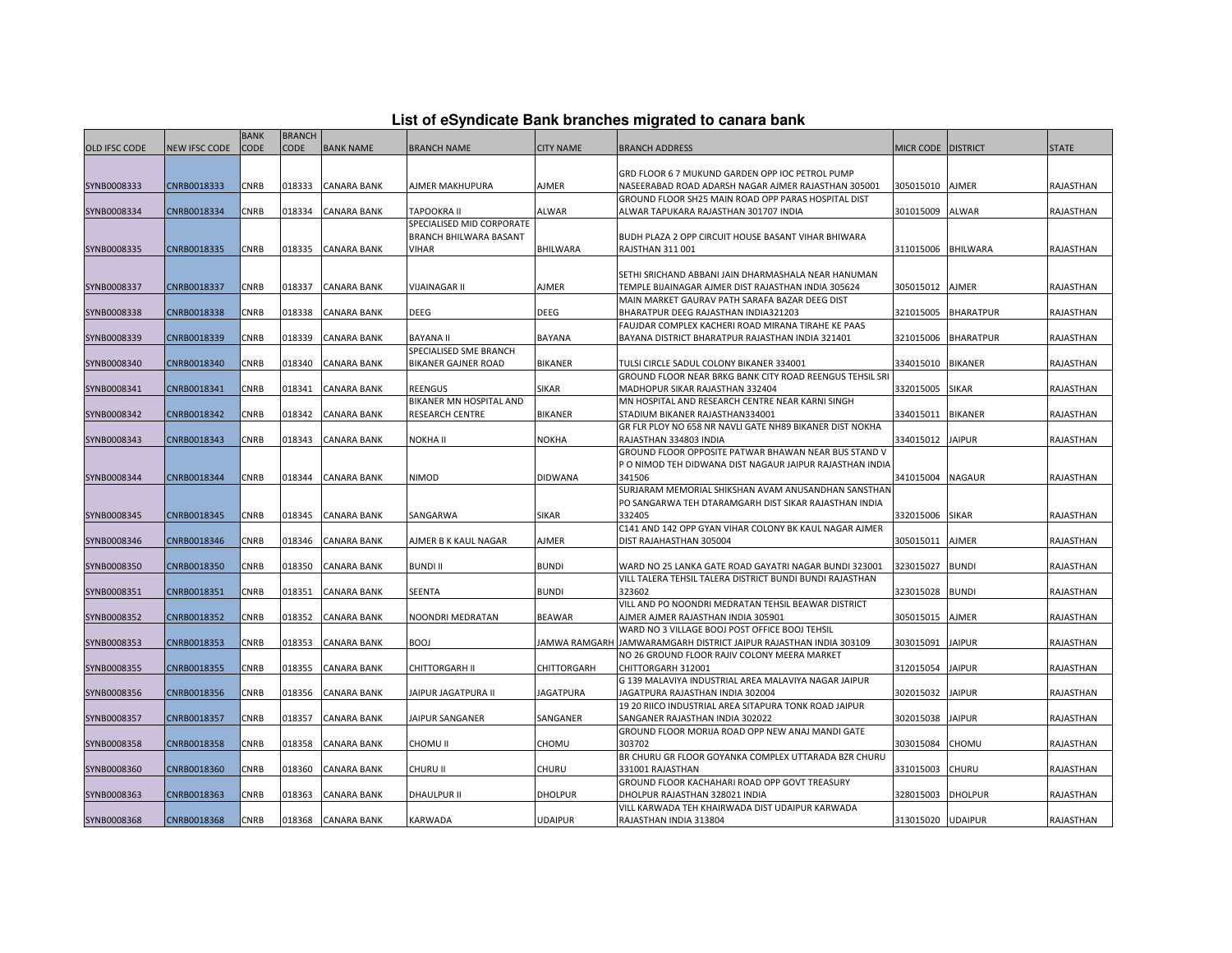| List of eSyndicate Bank branches migrated to canara bank |  |  |
|----------------------------------------------------------|--|--|
|                                                          |  |  |

|               |                      | <b>BANK</b> | <b>BRANCH</b> |                    |                               |                    |                                                                    |                      |                  |              |
|---------------|----------------------|-------------|---------------|--------------------|-------------------------------|--------------------|--------------------------------------------------------------------|----------------------|------------------|--------------|
| OLD IFSC CODE | <b>NEW IFSC CODE</b> | <b>CODE</b> | <b>CODE</b>   | <b>BANK NAME</b>   | <b>BRANCH NAME</b>            | <b>CITY NAME</b>   | BRANCH ADDRESS                                                     | MICR CODE   DISTRICT |                  | <b>STATE</b> |
|               |                      |             |               |                    |                               |                    |                                                                    |                      |                  |              |
|               |                      |             |               |                    |                               |                    | GRD FLOOR 6 7 MUKUND GARDEN OPP IOC PETROL PUMP                    |                      |                  |              |
| SYNB0008333   | CNRB0018333          | CNRB        | 018333        | <b>CANARA BANK</b> | AJMER MAKHUPURA               | AJMER              | NASEERABAD ROAD ADARSH NAGAR AJMER RAJASTHAN 305001                | 305015010            | <b>AJMER</b>     | RAJASTHAN    |
|               |                      |             |               |                    |                               |                    | GROUND FLOOR SH25 MAIN ROAD OPP PARAS HOSPITAL DIST                |                      |                  |              |
| SYNB0008334   | CNRB0018334          | CNRB        | 018334        | <b>CANARA BANK</b> | TAPOOKRA II                   | ALWAR              | ALWAR TAPUKARA RAJASTHAN 301707 INDIA                              | 301015009 ALWAR      |                  | RAJASTHAN    |
|               |                      |             |               |                    | SPECIALISED MID CORPORATE     |                    |                                                                    |                      |                  |              |
|               |                      |             |               |                    | <b>BRANCH BHILWARA BASANT</b> |                    | <b>BUDH PLAZA 2 OPP CIRCUIT HOUSE BASANT VIHAR BHIWARA</b>         |                      |                  |              |
| SYNB0008335   | CNRB0018335          | CNRB        |               | 018335 CANARA BANK | VIHAR                         | <b>BHILWARA</b>    | <b>RAJSTHAN 311 001</b>                                            | 311015006 BHILWARA   |                  | RAJASTHAN    |
|               |                      |             |               |                    |                               |                    |                                                                    |                      |                  |              |
|               |                      |             |               |                    |                               |                    | SETHI SRICHAND ABBANI JAIN DHARMASHALA NEAR HANUMAN                |                      |                  |              |
| SYNB0008337   | CNRB0018337          | CNRB        | 018337        | <b>CANARA BANK</b> | VIJAINAGAR II                 | AJMER              | TEMPLE BIJAINAGAR AJMER DIST RAJASTHAN INDIA 305624                | 305015012            | <b>AJMER</b>     | RAJASTHAN    |
|               |                      |             |               |                    |                               |                    | MAIN MARKET GAURAV PATH SARAFA BAZAR DEEG DIST                     |                      |                  |              |
| SYNB0008338   | CNRB0018338          | CNRB        | 018338        | <b>CANARA BANK</b> | DEEG                          | <b>DEEG</b>        | BHARATPUR DEEG RAJASTHAN INDIA321203                               | 321015005            | <b>BHARATPUR</b> | RAJASTHAN    |
|               |                      |             |               |                    |                               |                    | FAUJDAR COMPLEX KACHERI ROAD MIRANA TIRAHE KE PAAS                 |                      |                  |              |
| SYNB0008339   | CNRB0018339          | CNRB        | 018339        | <b>CANARA BANK</b> | <b>BAYANA II</b>              | <b>BAYANA</b>      | BAYANA DISTRICT BHARATPUR RAJASTHAN INDIA 321401                   | 321015006            | <b>BHARATPUR</b> | RAJASTHAN    |
|               |                      |             |               |                    | SPECIALISED SME BRANCH        |                    |                                                                    |                      |                  |              |
| SYNB0008340   | CNRB0018340          | CNRB        | 018340        | <b>CANARA BANK</b> | <b>BIKANER GAJNER ROAD</b>    | <b>BIKANER</b>     | TULSI CIRCLE SADUL COLONY BIKANER 334001                           | 334015010            | <b>BIKANER</b>   | RAJASTHAN    |
|               |                      |             |               |                    |                               |                    | GROUND FLOOR NEAR BRKG BANK CITY ROAD REENGUS TEHSIL SRI           |                      |                  |              |
| SYNB0008341   | CNRB0018341          | CNRB        | 018341        | <b>CANARA BANK</b> | REENGUS                       | SIKAR              | MADHOPUR SIKAR RAJASTHAN 332404                                    | 332015005            | <b>SIKAR</b>     | RAJASTHAN    |
|               |                      |             |               |                    | BIKANER MN HOSPITAL AND       |                    | MN HOSPITAL AND RESEARCH CENTRE NEAR KARNI SINGH                   |                      |                  |              |
| SYNB0008342   | CNRB0018342          | CNRB        | 018342        | <b>CANARA BANK</b> | <b>RESEARCH CENTRE</b>        | <b>BIKANER</b>     | STADIUM BIKANER RAJASTHAN334001                                    | 334015011            | <b>BIKANER</b>   | RAJASTHAN    |
|               |                      |             |               |                    |                               |                    | GR FLR PLOY NO 658 NR NAVLI GATE NH89 BIKANER DIST NOKHA           |                      |                  |              |
| SYNB0008343   | CNRB0018343          | CNRB        | 018343        | <b>CANARA BANK</b> | NOKHA II                      | <b>NOKHA</b>       | RAJASTHAN 334803 INDIA                                             | 334015012            | <b>JAIPUR</b>    | RAJASTHAN    |
|               |                      |             |               |                    |                               |                    | GROUND FLOOR OPPOSITE PATWAR BHAWAN NEAR BUS STAND V               |                      |                  |              |
|               |                      |             |               |                    |                               |                    |                                                                    |                      |                  |              |
| SYNB0008344   | CNRB0018344          | CNRB        | 018344        | <b>CANARA BANK</b> | NIMOD                         | <b>DIDWANA</b>     | P O NIMOD TEH DIDWANA DIST NAGAUR JAIPUR RAJASTHAN INDIA<br>341506 | 341015004            |                  | RAJASTHAN    |
|               |                      |             |               |                    |                               |                    | SURJARAM MEMORIAL SHIKSHAN AVAM ANUSANDHAN SANSTHAN                |                      | <b>NAGAUR</b>    |              |
|               |                      |             |               |                    |                               |                    |                                                                    |                      |                  |              |
| SYNB0008345   | CNRB0018345          | CNRB        | 018345        | <b>CANARA BANK</b> | SANGARWA                      | SIKAR              | PO SANGARWA TEH DTARAMGARH DIST SIKAR RAJASTHAN INDIA<br>332405    | 332015006            | <b>SIKAR</b>     | RAJASTHAN    |
|               |                      |             |               |                    |                               |                    | C141 AND 142 OPP GYAN VIHAR COLONY BK KAUL NAGAR AJMER             |                      |                  |              |
|               |                      |             |               |                    |                               |                    |                                                                    |                      |                  |              |
| SYNB0008346   | CNRB0018346          | CNRB        | 018346        | <b>CANARA BANK</b> | AJMER B K KAUL NAGAR          | AJMER              | DIST RAJAHASTHAN 305004                                            | 305015011            | <b>AJMER</b>     | RAJASTHAN    |
|               |                      |             |               |                    |                               |                    |                                                                    |                      |                  |              |
| SYNB0008350   | CNRB0018350          | CNRB        | 018350        | <b>CANARA BANK</b> | <b>BUNDI II</b>               | <b>BUNDI</b>       | WARD NO 25 LANKA GATE ROAD GAYATRI NAGAR BUNDI 323001              | 323015027            | <b>BUNDI</b>     | RAJASTHAN    |
|               |                      |             |               |                    |                               |                    | VILL TALERA TEHSIL TALERA DISTRICT BUNDI BUNDI RAJASTHAN           |                      |                  |              |
| SYNB0008351   | CNRB0018351          | CNRB        | 018351        | <b>CANARA BANK</b> | SEENTA                        | <b>BUNDI</b>       | 323602                                                             | 323015028            | <b>BUNDI</b>     | RAJASTHAN    |
|               |                      |             |               |                    |                               |                    | VILL AND PO NOONDRI MEDRATAN TEHSIL BEAWAR DISTRICT                |                      |                  |              |
| SYNB0008352   | CNRB0018352          | CNRB        | 018352        | CANARA BANK        | NOONDRI MEDRATAN              | <b>BEAWAR</b>      | AJMER AJMER RAJASTHAN INDIA 305901                                 | 305015015            | AJMER            | RAJASTHAN    |
|               |                      |             |               |                    |                               |                    | WARD NO 3 VILLAGE BOOJ POST OFFICE BOOJ TEHSIL                     |                      |                  |              |
| SYNB0008353   | CNRB0018353          | CNRB        | 018353        | <b>CANARA BANK</b> | <b>BOOJ</b>                   |                    | JAMWA RAMGARH JAMWARAMGARH DISTRICT JAIPUR RAJASTHAN INDIA 303109  | 303015091            | <b>JAIPUR</b>    | RAJASTHAN    |
|               |                      |             |               |                    |                               |                    | NO 26 GROUND FLOOR RAJIV COLONY MEERA MARKET                       |                      |                  |              |
| SYNB0008355   | CNRB0018355          | CNRB        | 018355        | <b>CANARA BANK</b> | <b>CHITTORGARH II</b>         | <b>CHITTORGARH</b> | CHITTORGARH 312001                                                 | 312015054            | <b>JAIPUR</b>    | RAJASTHAN    |
|               |                      |             |               |                    |                               |                    | G 139 MALAVIYA INDUSTRIAL AREA MALAVIYA NAGAR JAIPUR               |                      |                  |              |
| SYNB0008356   | CNRB0018356          | CNRB        | 018356        | <b>CANARA BANK</b> | JAIPUR JAGATPURA II           | <b>JAGATPURA</b>   | JAGATPURA RAJASTHAN INDIA 302004                                   | 302015032            | <b>JAIPUR</b>    | RAJASTHAN    |
|               |                      |             |               |                    |                               |                    | 19 20 RIICO INDUSTRIAL AREA SITAPURA TONK ROAD JAIPUR              |                      |                  |              |
| SYNB0008357   | CNRB0018357          | CNRB        | 018357        | <b>CANARA BANK</b> | JAIPUR SANGANER               | SANGANER           | SANGANER RAJASTHAN INDIA 302022                                    | 302015038            | <b>JAIPUR</b>    | RAJASTHAN    |
|               |                      |             |               |                    |                               |                    | GROUND FLOOR MORIJA ROAD OPP NEW ANAJ MANDI GATE                   |                      |                  |              |
| SYNB0008358   | CNRB0018358          | CNRB        | 018358        | <b>CANARA BANK</b> | CHOMU II                      | CHOMU              | 303702                                                             | 303015084            | <b>CHOMU</b>     | RAJASTHAN    |
|               |                      |             |               |                    |                               |                    | BR CHURU GR FLOOR GOYANKA COMPLEX UTTARADA BZR CHURU               |                      |                  |              |
| SYNB0008360   | CNRB0018360          | CNRB        | 018360        | <b>CANARA BANK</b> | CHURU II                      | CHURU              | 331001 RAJASTHAN                                                   | 331015003            | <b>CHURU</b>     | RAJASTHAN    |
|               |                      |             |               |                    |                               |                    | GROUND FLOOR KACHAHARI ROAD OPP GOVT TREASURY                      |                      |                  |              |
| SYNB0008363   | CNRB0018363          | CNRB        | 018363        | <b>CANARA BANK</b> | <b>DHAULPUR II</b>            | <b>DHOLPUR</b>     | DHOLPUR RAJASTHAN 328021 INDIA                                     | 328015003            | <b>DHOLPUR</b>   | RAJASTHAN    |
|               |                      |             |               |                    |                               |                    | VILL KARWADA TEH KHAIRWADA DIST UDAIPUR KARWADA                    |                      |                  |              |
| SYNB0008368   | CNRB0018368          | <b>CNRB</b> |               | 018368 CANARA BANK | KARWADA                       | <b>UDAIPUR</b>     | RAJASTHAN INDIA 313804                                             | 313015020 UDAIPUR    |                  | RAJASTHAN    |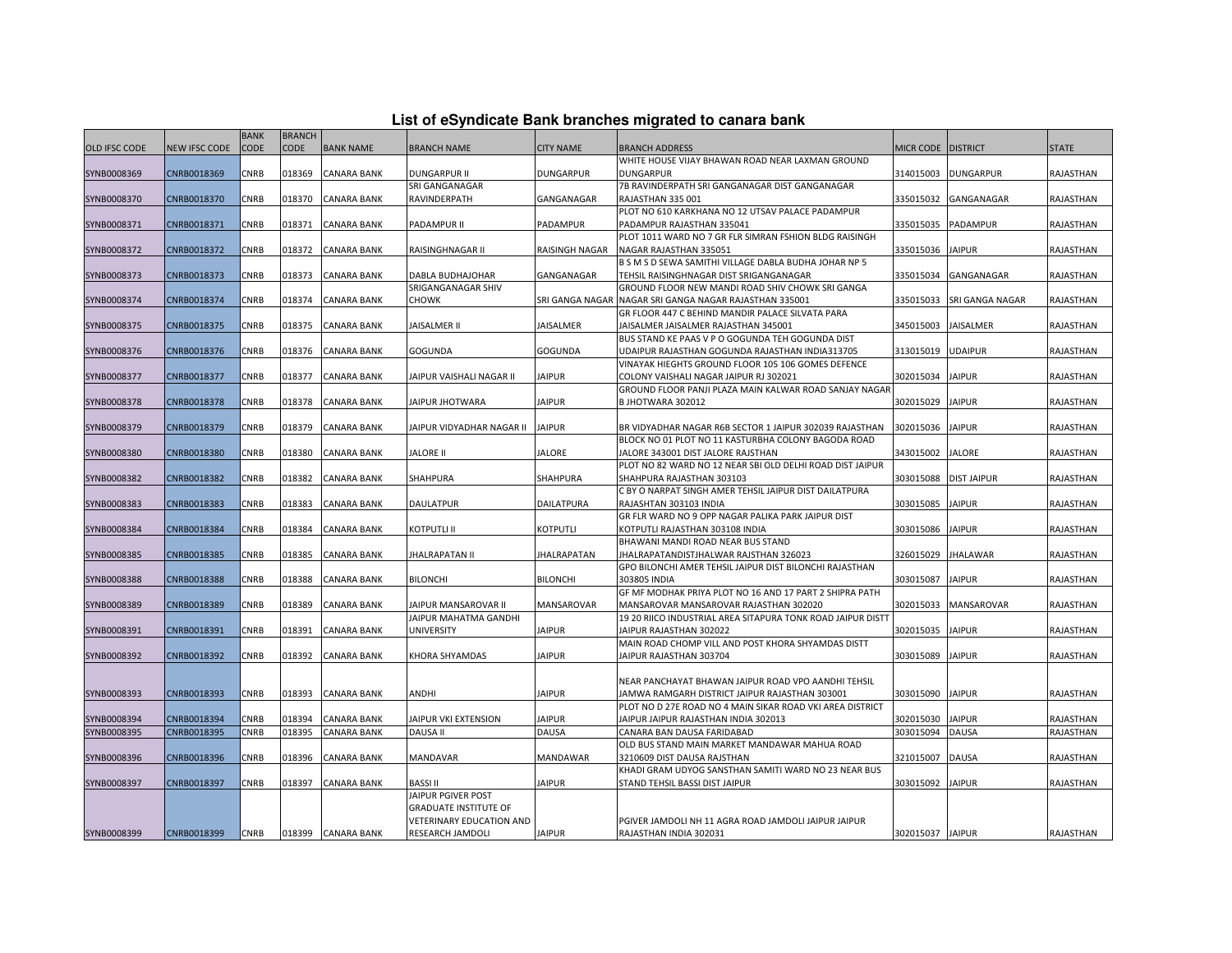| List of eSyndicate Bank branches migrated to canara bank |  |  |
|----------------------------------------------------------|--|--|
|                                                          |  |  |
|                                                          |  |  |

|                      |                      | <b>BANK</b> | <b>BRANCH</b> |                    |                              |                    |                                                                               |                      |                    |                  |
|----------------------|----------------------|-------------|---------------|--------------------|------------------------------|--------------------|-------------------------------------------------------------------------------|----------------------|--------------------|------------------|
| <b>OLD IFSC CODE</b> | <b>NEW IFSC CODE</b> | <b>CODE</b> | <b>CODE</b>   | <b>BANK NAME</b>   | <b>BRANCH NAME</b>           | <b>CITY NAME</b>   | <b>BRANCH ADDRESS</b>                                                         | MICR CODE   DISTRICT |                    | <b>STATE</b>     |
|                      |                      |             |               |                    |                              |                    | WHITE HOUSE VIJAY BHAWAN ROAD NEAR LAXMAN GROUND                              |                      |                    |                  |
| SYNB0008369          | CNRB0018369          | CNRB        | 018369        | CANARA BANK        | <b>DUNGARPUR II</b>          | <b>DUNGARPUR</b>   | <b>DUNGARPUR</b>                                                              | 314015003            | <b>DUNGARPUR</b>   | RAJASTHAN        |
|                      |                      |             |               |                    | SRI GANGANAGAR               |                    | 7B RAVINDERPATH SRI GANGANAGAR DIST GANGANAGAR                                |                      |                    |                  |
| SYNB0008370          | CNRB0018370          | CNRB        | 018370        | CANARA BANK        | RAVINDERPATH                 | GANGANAGAR         | RAJASTHAN 335 001                                                             | 335015032            | GANGANAGAR         | RAJASTHAN        |
|                      |                      |             |               |                    |                              |                    | PLOT NO 610 KARKHANA NO 12 UTSAV PALACE PADAMPUR                              |                      |                    |                  |
| SYNB0008371          | CNRB0018371          | CNRB        | 018371        | CANARA BANK        | PADAMPUR II                  | <b>PADAMPUR</b>    | PADAMPUR RAJASTHAN 335041                                                     | 335015035            | PADAMPUR           | RAJASTHAN        |
|                      |                      |             |               |                    |                              |                    | PLOT 1011 WARD NO 7 GR FLR SIMRAN FSHION BLDG RAISINGH                        |                      |                    |                  |
| SYNB0008372          | CNRB0018372          | CNRB        | 018372        | CANARA BANK        | RAISINGHNAGAR II             | RAISINGH NAGAR     | NAGAR RAJASTHAN 335051                                                        | 335015036            | <b>JAIPUR</b>      | RAJASTHAN        |
|                      |                      |             |               |                    |                              |                    | B S M S D SEWA SAMITHI VILLAGE DABLA BUDHA JOHAR NP 5                         |                      |                    |                  |
| SYNB0008373          | CNRB0018373          | CNRB        | 018373        | CANARA BANK        | DABLA BUDHAJOHAR             | GANGANAGAR         | TEHSIL RAISINGHNAGAR DIST SRIGANGANAGAR                                       | 335015034            | GANGANAGAR         | RAJASTHAN        |
|                      |                      |             |               |                    | SRIGANGANAGAR SHIV           |                    | GROUND FLOOR NEW MANDI ROAD SHIV CHOWK SRI GANGA                              |                      |                    |                  |
| SYNB0008374          | CNRB0018374          | CNRB        | 018374        | CANARA BANK        | <b>CHOWK</b>                 | SRI GANGA NAGAR    | NAGAR SRI GANGA NAGAR RAJASTHAN 335001                                        | 335015033            | SRI GANGA NAGAR    | RAJASTHAN        |
|                      |                      |             |               |                    |                              |                    | GR FLOOR 447 C BEHIND MANDIR PALACE SILVATA PARA                              |                      |                    |                  |
| SYNB0008375          | CNRB0018375          | CNRB        | 018375        | CANARA BANK        | JAISALMER II                 | <b>JAISALMER</b>   | JAISALMER JAISALMER RAJASTHAN 345001                                          | 345015003            | <b>JAISALMER</b>   | RAJASTHAN        |
|                      |                      |             |               |                    |                              |                    | BUS STAND KE PAAS V P O GOGUNDA TEH GOGUNDA DIST                              |                      |                    |                  |
| SYNB0008376          | CNRB0018376          | CNRB        | 018376        | CANARA BANK        | <b>GOGUNDA</b>               | <b>GOGUNDA</b>     | UDAIPUR RAJASTHAN GOGUNDA RAJASTHAN INDIA313705                               | 313015019            | <b>UDAIPUR</b>     | RAJASTHAN        |
|                      |                      |             |               |                    |                              |                    | VINAYAK HIEGHTS GROUND FLOOR 105 106 GOMES DEFENCE                            |                      |                    |                  |
| SYNB0008377          | CNRB0018377          | <b>CNRB</b> | 018377        | CANARA BANK        | JAIPUR VAISHALI NAGAR II     | <b>JAIPUR</b>      | COLONY VAISHALI NAGAR JAIPUR RJ 302021                                        | 302015034            | <b>JAIPUR</b>      | RAJASTHAN        |
|                      |                      |             |               |                    |                              |                    | GROUND FLOOR PANJI PLAZA MAIN KALWAR ROAD SANJAY NAGAR                        |                      |                    |                  |
| SYNB0008378          | CNRB0018378          | CNRB        | 018378        | CANARA BANK        | JAIPUR JHOTWARA              | <b>JAIPUR</b>      | B JHOTWARA 302012                                                             | 302015029            | <b>JAIPUR</b>      | RAJASTHAN        |
|                      |                      |             |               |                    |                              |                    |                                                                               |                      |                    |                  |
| SYNB0008379          | CNRB0018379          | CNRB        | 018379        | CANARA BANK        | JAIPUR VIDYADHAR NAGAR II    | <b>JAIPUR</b>      | BR VIDYADHAR NAGAR R6B SECTOR 1 JAIPUR 302039 RAJASTHAN                       | 302015036            | <b>JAIPUR</b>      | RAJASTHAN        |
|                      |                      |             |               |                    |                              |                    | BLOCK NO 01 PLOT NO 11 KASTURBHA COLONY BAGODA ROAD                           |                      |                    |                  |
| SYNB0008380          | CNRB0018380          | CNRB        | 018380        | CANARA BANK        | JALORE II                    | JALORE             | JALORE 343001 DIST JALORE RAJSTHAN                                            | 343015002            | JALORE             | RAJASTHAN        |
|                      |                      |             |               |                    |                              |                    | PLOT NO 82 WARD NO 12 NEAR SBI OLD DELHI ROAD DIST JAIPUR                     |                      |                    |                  |
| SYNB0008382          | CNRB0018382          | CNRB        | 018382        | CANARA BANK        | SHAHPURA                     | <b>SHAHPURA</b>    | SHAHPURA RAJASTHAN 303103                                                     | 303015088            | <b>DIST JAIPUR</b> | RAJASTHAN        |
|                      |                      |             |               |                    |                              |                    | C BY O NARPAT SINGH AMER TEHSIL JAIPUR DIST DAILATPURA                        |                      |                    |                  |
| SYNB0008383          | CNRB0018383          | CNRB        | 018383        | CANARA BANK        | <b>DAULATPUR</b>             | <b>DAILATPURA</b>  | RAJASHTAN 303103 INDIA                                                        | 303015085            | <b>JAIPUR</b>      | RAJASTHAN        |
|                      |                      |             |               |                    |                              |                    | GR FLR WARD NO 9 OPP NAGAR PALIKA PARK JAIPUR DIST                            |                      |                    |                  |
| SYNB0008384          | CNRB0018384          | CNRB        | 018384        | CANARA BANK        | <b>KOTPUTLI II</b>           | <b>KOTPUTLI</b>    | KOTPUTLI RAJASTHAN 303108 INDIA                                               | 303015086            | <b>JAIPUR</b>      | RAJASTHAN        |
|                      |                      |             |               |                    |                              |                    | BHAWANI MANDI ROAD NEAR BUS STAND                                             |                      |                    |                  |
| SYNB0008385          | CNRB0018385          | CNRB        | 018385        | <b>CANARA BANK</b> | <b>JHALRAPATAN II</b>        | <b>JHALRAPATAN</b> | JHALRAPATANDISTJHALWAR RAJSTHAN 326023                                        | 326015029            | <b>JHALAWAR</b>    | RAJASTHAN        |
|                      |                      |             |               |                    |                              |                    | GPO BILONCHI AMER TEHSIL JAIPUR DIST BILONCHI RAJASTHAN                       |                      |                    |                  |
| SYNB0008388          | CNRB0018388          | CNRB        | 018388        | CANARA BANK        | <b>BILONCHI</b>              | <b>BILONCHI</b>    | 303805 INDIA                                                                  | 303015087            | <b>JAIPUR</b>      | RAJASTHAN        |
|                      |                      |             |               |                    |                              |                    | GF MF MODHAK PRIYA PLOT NO 16 AND 17 PART 2 SHIPRA PATH                       |                      |                    |                  |
| SYNB0008389          | CNRB0018389          | CNRB        | 018389        | CANARA BANK        | JAIPUR MANSAROVAR II         | MANSAROVAR         | MANSAROVAR MANSAROVAR RAJASTHAN 302020                                        | 302015033            | MANSAROVAR         | RAJASTHAN        |
|                      |                      |             |               |                    | JAIPUR MAHATMA GANDHI        |                    | 19 20 RIICO INDUSTRIAL AREA SITAPURA TONK ROAD JAIPUR DISTT                   |                      |                    |                  |
| SYNB0008391          | CNRB0018391          | CNRB        | 018391        | CANARA BANK        | <b>UNIVERSITY</b>            | <b>JAIPUR</b>      | JAIPUR RAJASTHAN 302022<br>MAIN ROAD CHOMP VILL AND POST KHORA SHYAMDAS DISTT | 302015035            | <b>JAIPUR</b>      | RAJASTHAN        |
| SYNB0008392          | CNRB0018392          | CNRB        | 018392        | CANARA BANK        | KHORA SHYAMDAS               | <b>JAIPUR</b>      | JAIPUR RAJASTHAN 303704                                                       | 303015089            | <b>JAIPUR</b>      | RAJASTHAN        |
|                      |                      |             |               |                    |                              |                    |                                                                               |                      |                    |                  |
|                      |                      |             |               |                    |                              |                    | NEAR PANCHAYAT BHAWAN JAIPUR ROAD VPO AANDHI TEHSIL                           |                      |                    |                  |
| SYNB0008393          | CNRB0018393          | CNRB        | 018393        | <b>CANARA BANK</b> | ANDHI                        | <b>JAIPUR</b>      | JAMWA RAMGARH DISTRICT JAIPUR RAJASTHAN 303001                                | 303015090            | <b>JAIPUR</b>      | <b>RAJASTHAN</b> |
|                      |                      |             |               |                    |                              |                    | PLOT NO D 27E ROAD NO 4 MAIN SIKAR ROAD VKI AREA DISTRICT                     |                      |                    |                  |
| SYNB0008394          | CNRB0018394          | <b>CNRB</b> | 018394        | CANARA BANK        | JAIPUR VKI EXTENSION         | <b>JAIPUR</b>      | JAIPUR JAIPUR RAJASTHAN INDIA 302013                                          | 302015030            | <b>JAIPUR</b>      | RAJASTHAN        |
| SYNB0008395          | CNRB0018395          | CNRB        | 018395        | CANARA BANK        | <b>DAUSA II</b>              | DAUSA              | CANARA BAN DAUSA FARIDABAD                                                    | 303015094            | <b>DAUSA</b>       | RAJASTHAN        |
|                      |                      |             |               |                    |                              |                    | OLD BUS STAND MAIN MARKET MANDAWAR MAHUA ROAD                                 |                      |                    |                  |
| SYNB0008396          | CNRB0018396          | CNRB        | 018396        | CANARA BANK        | MANDAVAR                     | MANDAWAR           | 3210609 DIST DAUSA RAJSTHAN                                                   | 321015007            | <b>DAUSA</b>       | RAJASTHAN        |
|                      |                      |             |               |                    |                              |                    | KHADI GRAM UDYOG SANSTHAN SAMITI WARD NO 23 NEAR BUS                          |                      |                    |                  |
| SYNB0008397          | CNRB0018397          | CNRB        | 018397        | CANARA BANK        | <b>BASSI II</b>              | <b>JAIPUR</b>      | STAND TEHSIL BASSI DIST JAIPUR                                                | 303015092            | <b>JAIPUR</b>      | RAJASTHAN        |
|                      |                      |             |               |                    | JAIPUR PGIVER POST           |                    |                                                                               |                      |                    |                  |
|                      |                      |             |               |                    | <b>GRADUATE INSTITUTE OF</b> |                    |                                                                               |                      |                    |                  |
|                      |                      |             |               |                    | VETERINARY EDUCATION AND     |                    | PGIVER JAMDOLI NH 11 AGRA ROAD JAMDOLI JAIPUR JAIPUR                          |                      |                    |                  |
| SYNB0008399          | CNRB0018399          | CNRB        |               | 018399 CANARA BANK | RESEARCH JAMDOLI             | <b>JAIPUR</b>      | RAJASTHAN INDIA 302031                                                        | 302015037 JAIPUR     |                    | RAJASTHAN        |
|                      |                      |             |               |                    |                              |                    |                                                                               |                      |                    |                  |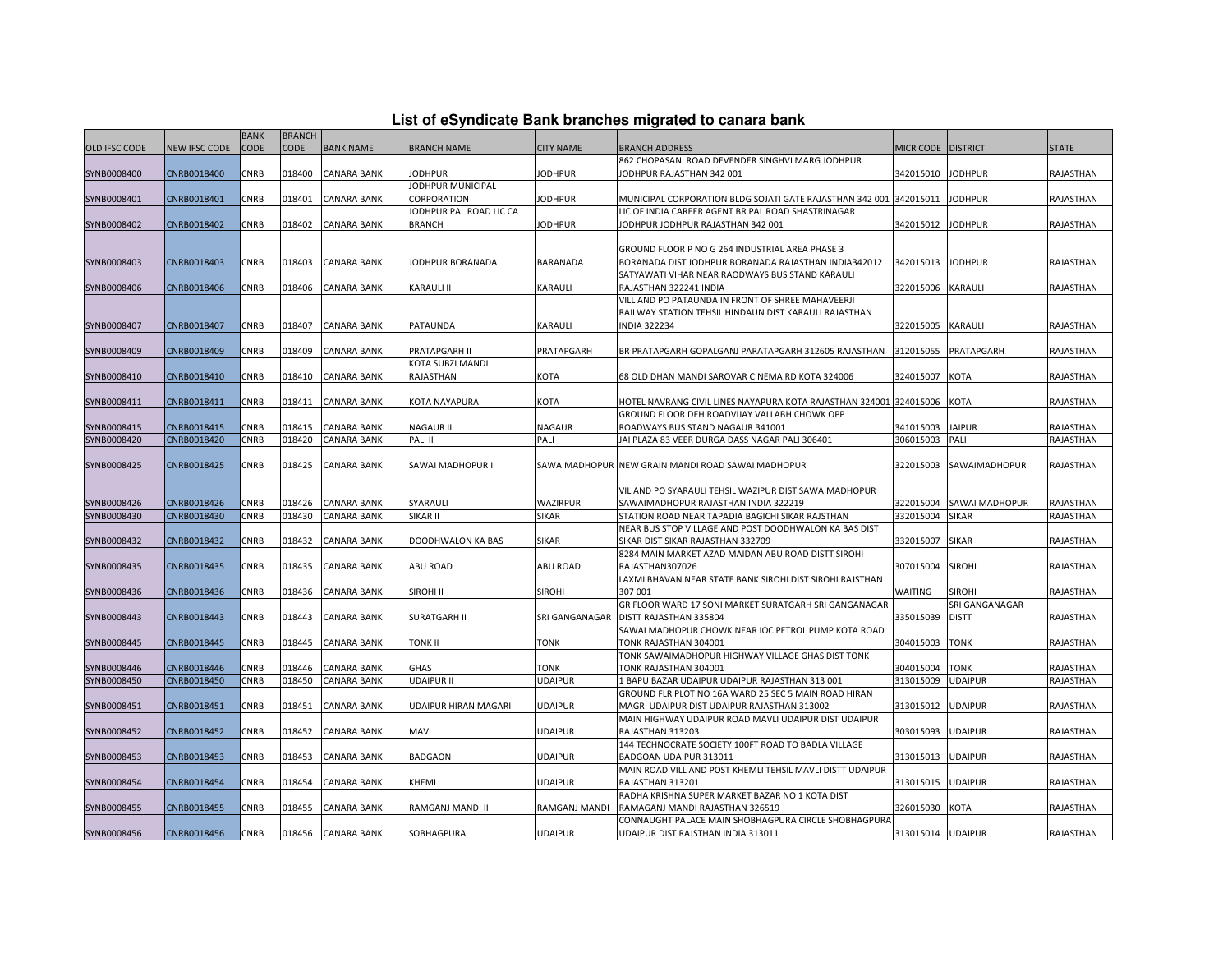| List of eSyndicate Bank branches migrated to canara bank |  |  |  |  |  |  |  |  |  |
|----------------------------------------------------------|--|--|--|--|--|--|--|--|--|
|----------------------------------------------------------|--|--|--|--|--|--|--|--|--|

|                      | List of eSyndicate Bank branches migrated to canara bank |             |               |                    |                         |                  |                                                                                                         |                    |                       |              |  |
|----------------------|----------------------------------------------------------|-------------|---------------|--------------------|-------------------------|------------------|---------------------------------------------------------------------------------------------------------|--------------------|-----------------------|--------------|--|
|                      |                                                          | <b>BANK</b> | <b>BRANCH</b> |                    |                         |                  |                                                                                                         |                    |                       |              |  |
| <b>OLD IFSC CODE</b> | NEW IFSC CODE                                            | <b>CODE</b> | <b>CODE</b>   | <b>BANK NAME</b>   | <b>BRANCH NAME</b>      | <b>CITY NAME</b> | <b>BRANCH ADDRESS</b>                                                                                   | MICR CODE DISTRICT |                       | <b>STATE</b> |  |
|                      |                                                          |             |               |                    |                         |                  | 862 CHOPASANI ROAD DEVENDER SINGHVI MARG JODHPUR                                                        |                    |                       |              |  |
| SYNB0008400          | CNRB0018400                                              | CNRB        | 018400        | <b>CANARA BANK</b> | <b>JODHPUR</b>          | JODHPUR          | JODHPUR RAJASTHAN 342 001                                                                               | 342015010          | <b>JODHPUR</b>        | RAJASTHAN    |  |
|                      |                                                          |             |               |                    | JODHPUR MUNICIPAL       |                  |                                                                                                         |                    |                       |              |  |
| SYNB0008401          | CNRB0018401                                              | CNRB        | 018401        | <b>CANARA BANK</b> | CORPORATION             | <b>JODHPUR</b>   | MUNICIPAL CORPORATION BLDG SOJATI GATE RAJASTHAN 342 001 342015011                                      |                    | <b>JODHPUR</b>        | RAJASTHAN    |  |
|                      |                                                          |             |               |                    | JODHPUR PAL ROAD LIC CA |                  | LIC OF INDIA CAREER AGENT BR PAL ROAD SHASTRINAGAR                                                      |                    |                       |              |  |
| SYNB0008402          | CNRB0018402                                              | CNRB        | 018402        | <b>CANARA BANK</b> | <b>BRANCH</b>           | <b>JODHPUR</b>   | JODHPUR JODHPUR RAJASTHAN 342 001                                                                       | 342015012          | <b>JODHPUR</b>        | RAJASTHAN    |  |
|                      |                                                          |             |               |                    |                         |                  |                                                                                                         |                    |                       |              |  |
| SYNB0008403          | CNRB0018403                                              | CNRB        | 018403        | <b>CANARA BANK</b> | JODHPUR BORANADA        | <b>BARANADA</b>  | GROUND FLOOR P NO G 264 INDUSTRIAL AREA PHASE 3<br>BORANADA DIST JODHPUR BORANADA RAJASTHAN INDIA342012 | 342015013          | <b>JODHPUR</b>        | RAJASTHAN    |  |
|                      |                                                          |             |               |                    |                         |                  | SATYAWATI VIHAR NEAR RAODWAYS BUS STAND KARAULI                                                         |                    |                       |              |  |
| SYNB0008406          | CNRB0018406                                              | CNRB        | 018406        | <b>CANARA BANK</b> | <b>KARAULI II</b>       | <b>KARAULI</b>   | RAJASTHAN 322241 INDIA                                                                                  | 322015006          | <b>KARAULI</b>        | RAJASTHAN    |  |
|                      |                                                          |             |               |                    |                         |                  | VILL AND PO PATAUNDA IN FRONT OF SHREE MAHAVEERJI                                                       |                    |                       |              |  |
|                      |                                                          |             |               |                    |                         |                  | RAILWAY STATION TEHSIL HINDAUN DIST KARAULI RAJASTHAN                                                   |                    |                       |              |  |
| SYNB0008407          | CNRB0018407                                              | CNRB        | 018407        | <b>CANARA BANK</b> | PATAUNDA                | <b>KARAULI</b>   | <b>INDIA 322234</b>                                                                                     | 322015005          | <b>KARAULI</b>        | RAJASTHAN    |  |
|                      |                                                          |             |               |                    |                         |                  |                                                                                                         |                    |                       |              |  |
| SYNB0008409          | CNRB0018409                                              | CNRB        | 018409        | CANARA BANK        | PRATAPGARH II           | PRATAPGARH       | BR PRATAPGARH GOPALGANJ PARATAPGARH 312605 RAJASTHAN                                                    | 312015055          | PRATAPGARH            | RAJASTHAN    |  |
|                      |                                                          |             |               |                    | KOTA SUBZI MANDI        |                  |                                                                                                         |                    |                       |              |  |
| SYNB0008410          | CNRB0018410                                              | CNRB        | 018410        | <b>CANARA BANK</b> | RAJASTHAN               | <b>KOTA</b>      | 68 OLD DHAN MANDI SAROVAR CINEMA RD KOTA 324006                                                         | 324015007          | <b>KOTA</b>           | RAJASTHAN    |  |
|                      |                                                          |             |               |                    |                         |                  |                                                                                                         |                    |                       |              |  |
| SYNB0008411          | CNRB0018411                                              | CNRB        | 018411        | <b>CANARA BANK</b> | KOTA NAYAPURA           | KOTA             | HOTEL NAVRANG CIVIL LINES NAYAPURA KOTA RAJASTHAN 324001 324015006                                      |                    | <b>KOTA</b>           | RAJASTHAN    |  |
|                      |                                                          |             |               |                    |                         |                  | GROUND FLOOR DEH ROADVIJAY VALLABH CHOWK OPP                                                            |                    |                       |              |  |
| SYNB0008415          | CNRB0018415                                              | <b>CNRB</b> | 018415        | <b>CANARA BANK</b> | <b>NAGAUR II</b>        | <b>NAGAUR</b>    | ROADWAYS BUS STAND NAGAUR 341001                                                                        | 341015003          | <b>JAIPUR</b>         | RAJASTHAN    |  |
| SYNB0008420          | CNRB0018420                                              | CNRB        | 018420        | <b>CANARA BANK</b> | PALI II                 | PALI             | JAI PLAZA 83 VEER DURGA DASS NAGAR PALI 306401                                                          | 306015003          | PALI                  | RAJASTHAN    |  |
|                      |                                                          |             |               |                    |                         |                  |                                                                                                         |                    |                       |              |  |
| SYNB0008425          | CNRB0018425                                              | CNRB        | 018425        | <b>CANARA BANK</b> | SAWAI MADHOPUR II       |                  | SAWAIMADHOPUR NEW GRAIN MANDI ROAD SAWAI MADHOPUR                                                       | 322015003          | SAWAIMADHOPUR         | RAJASTHAN    |  |
|                      |                                                          |             |               |                    |                         |                  |                                                                                                         |                    |                       |              |  |
|                      |                                                          |             |               |                    |                         |                  | VIL AND PO SYARAULI TEHSIL WAZIPUR DIST SAWAIMADHOPUR                                                   |                    |                       |              |  |
| SYNB0008426          | CNRB0018426                                              | CNRB        | 018426        | <b>CANARA BANK</b> | SYARAULI                | <b>WAZIRPUR</b>  | SAWAIMADHOPUR RAJASTHAN INDIA 322219                                                                    | 322015004          | <b>SAWAI MADHOPUR</b> | RAJASTHAN    |  |
| SYNB0008430          | CNRB0018430                                              | CNRB        | 018430        | <b>CANARA BANK</b> | SIKAR II                | <b>SIKAR</b>     | STATION ROAD NEAR TAPADIA BAGICHI SIKAR RAJSTHAN                                                        | 332015004          | <b>SIKAR</b>          | RAJASTHAN    |  |
|                      | CNRB0018432                                              | CNRB        | 018432        | <b>CANARA BANK</b> | DOODHWALON KA BAS       | <b>SIKAR</b>     | NEAR BUS STOP VILLAGE AND POST DOODHWALON KA BAS DIST<br>SIKAR DIST SIKAR RAJASTHAN 332709              | 332015007          | <b>SIKAR</b>          | RAJASTHAN    |  |
| SYNB0008432          |                                                          |             |               |                    |                         |                  | 8284 MAIN MARKET AZAD MAIDAN ABU ROAD DISTT SIROHI                                                      |                    |                       |              |  |
| SYNB0008435          | CNRB0018435                                              | CNRB        | 018435        | <b>CANARA BANK</b> | <b>ABU ROAD</b>         | ABU ROAD         | RAJASTHAN307026                                                                                         | 307015004          | <b>SIROHI</b>         | RAJASTHAN    |  |
|                      |                                                          |             |               |                    |                         |                  | LAXMI BHAVAN NEAR STATE BANK SIROHI DIST SIROHI RAJSTHAN                                                |                    |                       |              |  |
| SYNB0008436          | CNRB0018436                                              | CNRB        | 018436        | <b>CANARA BANK</b> | SIROHI II               | <b>SIROHI</b>    | 307 001                                                                                                 | <b>WAITING</b>     | <b>SIROHI</b>         | RAJASTHAN    |  |
|                      |                                                          |             |               |                    |                         |                  | GR FLOOR WARD 17 SONI MARKET SURATGARH SRI GANGANAGAR                                                   |                    | SRI GANGANAGAR        |              |  |
| SYNB0008443          | CNRB0018443                                              | CNRB        | 018443        | <b>CANARA BANK</b> | <b>SURATGARH II</b>     | SRI GANGANAGAR   | DISTT RAJASTHAN 335804                                                                                  | 335015039          | <b>DISTT</b>          | RAJASTHAN    |  |
|                      |                                                          |             |               |                    |                         |                  | SAWAI MADHOPUR CHOWK NEAR IOC PETROL PUMP KOTA ROAD                                                     |                    |                       |              |  |
| SYNB0008445          | CNRB0018445                                              | CNRB        | 018445        | <b>CANARA BANK</b> | TONK II                 | <b>TONK</b>      | TONK RAJASTHAN 304001                                                                                   | 304015003          | <b>TONK</b>           | RAJASTHAN    |  |
|                      |                                                          |             |               |                    |                         |                  | TONK SAWAIMADHOPUR HIGHWAY VILLAGE GHAS DIST TONK                                                       |                    |                       |              |  |
| SYNB0008446          | CNRB0018446                                              | CNRB        | 018446        | <b>CANARA BANK</b> | GHAS                    | TONK             | TONK RAJASTHAN 304001                                                                                   | 304015004          | <b>TONK</b>           | RAJASTHAN    |  |
| SYNB0008450          | CNRB0018450                                              | CNRB        | 018450        | <b>CANARA BANK</b> | UDAIPUR II              | <b>UDAIPUR</b>   | 1 BAPU BAZAR UDAIPUR UDAIPUR RAJASTHAN 313 001                                                          | 313015009          | <b>UDAIPUR</b>        | RAJASTHAN    |  |
|                      |                                                          |             |               |                    |                         |                  | GROUND FLR PLOT NO 16A WARD 25 SEC 5 MAIN ROAD HIRAN                                                    |                    |                       |              |  |
| SYNB0008451          | CNRB0018451                                              | CNRB        | 018451        | <b>CANARA BANK</b> | UDAIPUR HIRAN MAGARI    | <b>UDAIPUR</b>   | MAGRI UDAIPUR DIST UDAIPUR RAJASTHAN 313002                                                             | 313015012 UDAIPUR  |                       | RAJASTHAN    |  |
|                      |                                                          |             |               |                    |                         |                  | MAIN HIGHWAY UDAIPUR ROAD MAVLI UDAIPUR DIST UDAIPUR                                                    |                    |                       |              |  |
| SYNB0008452          | CNRB0018452                                              | CNRB        | 018452        | <b>CANARA BANK</b> | MAVLI                   | <b>UDAIPUR</b>   | RAJASTHAN 313203                                                                                        | 303015093          | <b>UDAIPUR</b>        | RAJASTHAN    |  |
|                      |                                                          |             |               |                    |                         |                  | 144 TECHNOCRATE SOCIETY 100FT ROAD TO BADLA VILLAGE                                                     |                    |                       |              |  |
| SYNB0008453          | CNRB0018453                                              | CNRB        | 018453        | <b>CANARA BANK</b> | BADGAON                 | <b>UDAIPUR</b>   | BADGOAN UDAIPUR 313011                                                                                  | 313015013          | <b>UDAIPUR</b>        | RAJASTHAN    |  |
|                      |                                                          |             |               |                    |                         |                  | MAIN ROAD VILL AND POST KHEMLI TEHSIL MAVLI DISTT UDAIPUR                                               |                    |                       |              |  |
| SYNB0008454          | CNRB0018454                                              | CNRB        | 018454        | <b>CANARA BANK</b> | KHEMLI                  | <b>UDAIPUR</b>   | RAJASTHAN 313201                                                                                        | 313015015          | <b>UDAIPUR</b>        | RAJASTHAN    |  |
|                      |                                                          |             |               |                    |                         |                  | RADHA KRISHNA SUPER MARKET BAZAR NO 1 KOTA DIST                                                         |                    |                       |              |  |
| SYNB0008455          | CNRB0018455                                              | CNRB        | 018455        | <b>CANARA BANK</b> | RAMGANJ MANDI II        | RAMGANJ MANDI    | RAMAGANJ MANDI RAJASTHAN 326519                                                                         | 326015030          | <b>KOTA</b>           | RAJASTHAN    |  |
|                      |                                                          |             |               |                    |                         |                  | CONNAUGHT PALACE MAIN SHOBHAGPURA CIRCLE SHOBHAGPURA                                                    |                    |                       |              |  |
| SYNB0008456          | CNRB0018456                                              | CNRB        |               | 018456 CANARA BANK | SOBHAGPURA              | <b>UDAIPUR</b>   | UDAIPUR DIST RAJSTHAN INDIA 313011                                                                      | 313015014 UDAIPUR  |                       | RAJASTHAN    |  |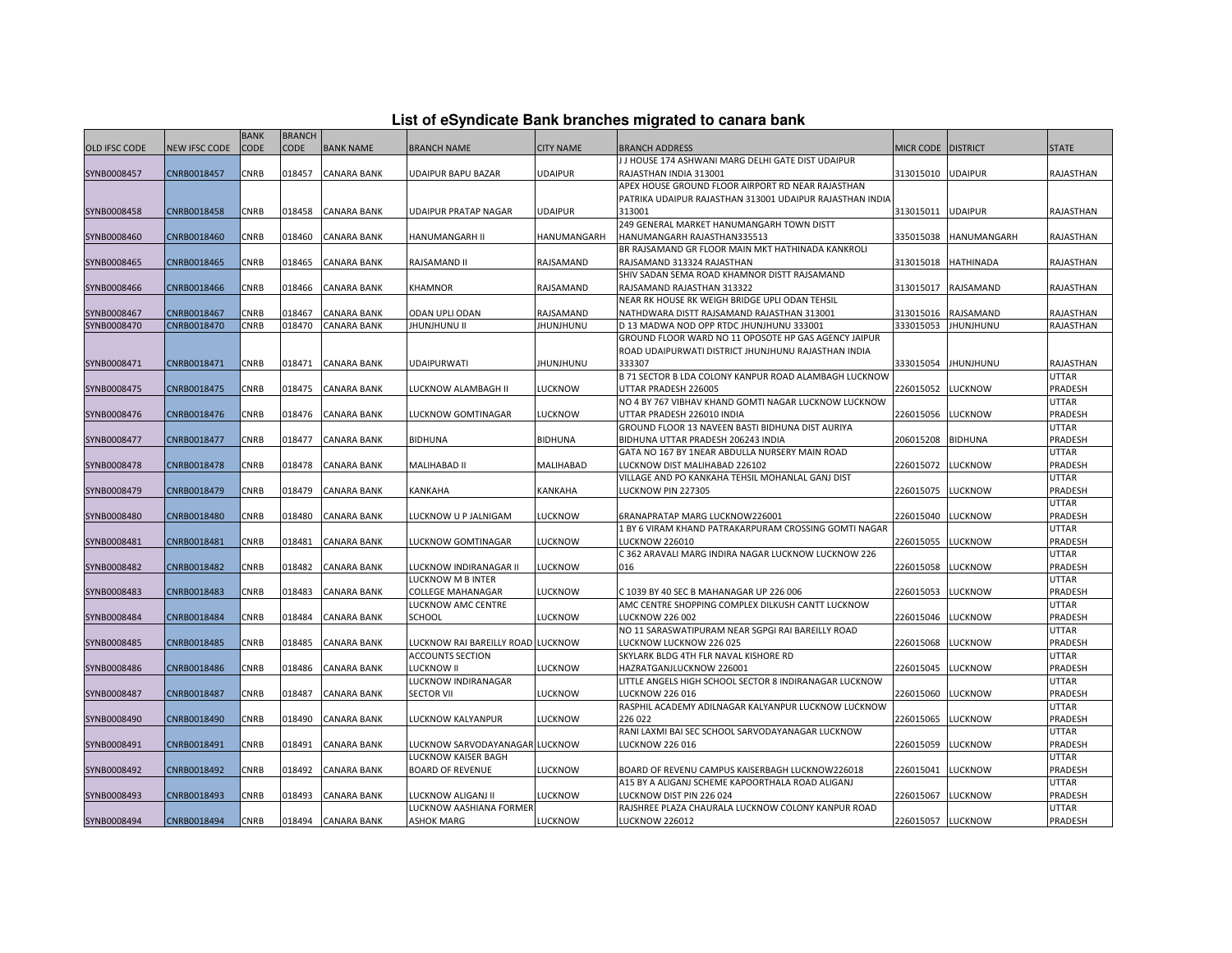|  |  | List of eSyndicate Bank branches migrated to canara bank |  |
|--|--|----------------------------------------------------------|--|
|--|--|----------------------------------------------------------|--|

|                      |               | <b>BANK</b> | <b>BRANCH</b> |                    |                                   |                  |                                                                                   |                  |                  |                         |
|----------------------|---------------|-------------|---------------|--------------------|-----------------------------------|------------------|-----------------------------------------------------------------------------------|------------------|------------------|-------------------------|
| <b>OLD IFSC CODE</b> | NEW IFSC CODE | CODE        | CODE          | <b>BANK NAME</b>   | <b>BRANCH NAME</b>                | <b>CITY NAME</b> | BRANCH ADDRESS                                                                    | <b>MICR CODE</b> | <b>DISTRICT</b>  | <b>STATE</b>            |
|                      |               |             |               |                    |                                   |                  | J J HOUSE 174 ASHWANI MARG DELHI GATE DIST UDAIPUR                                |                  |                  |                         |
| SYNB0008457          | CNRB0018457   | CNRB        | 018457        | <b>CANARA BANK</b> | UDAIPUR BAPU BAZAR                | <b>UDAIPUR</b>   | RAJASTHAN INDIA 313001                                                            | 313015010        | <b>UDAIPUR</b>   | RAJASTHAN               |
|                      |               |             |               |                    |                                   |                  | APEX HOUSE GROUND FLOOR AIRPORT RD NEAR RAJASTHAN                                 |                  |                  |                         |
|                      |               |             |               |                    |                                   |                  | PATRIKA UDAIPUR RAJASTHAN 313001 UDAIPUR RAJASTHAN INDIA                          |                  |                  |                         |
| SYNB0008458          | CNRB0018458   | CNRB        | 018458        | <b>CANARA BANK</b> | UDAIPUR PRATAP NAGAR              | <b>UDAIPUR</b>   | 313001                                                                            | 313015011        | <b>UDAIPUR</b>   | RAJASTHAN               |
|                      |               |             |               |                    |                                   |                  | 249 GENERAL MARKET HANUMANGARH TOWN DISTT                                         |                  |                  |                         |
| SYNB0008460          | CNRB0018460   | CNRB        | 018460        | <b>CANARA BANK</b> | HANUMANGARH II                    | HANUMANGARH      | HANUMANGARH RAJASTHAN335513                                                       | 335015038        | HANUMANGARH      | RAJASTHAN               |
|                      |               |             |               |                    |                                   |                  | BR RAJSAMAND GR FLOOR MAIN MKT HATHINADA KANKROLI                                 |                  |                  |                         |
| SYNB0008465          | CNRB0018465   | CNRB        | 018465        | <b>CANARA BANK</b> | RAJSAMAND II                      | RAJSAMAND        | RAJSAMAND 313324 RAJASTHAN                                                        | 313015018        | HATHINADA        | RAJASTHAN               |
|                      |               |             |               |                    |                                   |                  | SHIV SADAN SEMA ROAD KHAMNOR DISTT RAJSAMAND                                      |                  |                  |                         |
| SYNB0008466          | CNRB0018466   | CNRB        | 018466        | <b>CANARA BANK</b> | KHAMNOR                           | RAJSAMAND        | RAJSAMAND RAJASTHAN 313322                                                        | 313015017        | RAJSAMAND        | RAJASTHAN               |
|                      |               |             |               |                    |                                   |                  | NEAR RK HOUSE RK WEIGH BRIDGE UPLI ODAN TEHSIL                                    |                  |                  |                         |
| SYNB0008467          | CNRB0018467   | <b>CNRB</b> | 018467        | <b>CANARA BANK</b> | ODAN UPLI ODAN                    | RAJSAMAND        | NATHDWARA DISTT RAJSAMAND RAJASTHAN 313001                                        | 313015016        | RAJSAMAND        | RAJASTHAN               |
| SYNB0008470          | CNRB0018470   | CNRB        | 018470        | <b>CANARA BANK</b> | <b>IHUNJHUNU II</b>               | JHUNJHUNU        | D 13 MADWA NOD OPP RTDC JHUNJHUNU 333001                                          | 333015053        | <b>JHUNJHUNU</b> | RAJASTHAN               |
|                      |               |             |               |                    |                                   |                  | GROUND FLOOR WARD NO 11 OPOSOTE HP GAS AGENCY JAIPUR                              |                  |                  |                         |
|                      |               |             |               |                    |                                   |                  | ROAD UDAIPURWATI DISTRICT JHUNJHUNU RAJASTHAN INDIA                               |                  |                  |                         |
| SYNB0008471          | CNRB0018471   | CNRB        | 018471        | <b>CANARA BANK</b> | <b>UDAIPURWATI</b>                | <b>JHUNJHUNU</b> | 333307                                                                            | 333015054        | <b>JHUNJHUNU</b> | RAJASTHAN               |
|                      |               |             |               |                    |                                   |                  | B 71 SECTOR B LDA COLONY KANPUR ROAD ALAMBAGH LUCKNOW                             |                  |                  | <b>UTTAR</b>            |
| SYNB0008475          | CNRB0018475   | CNRB        | 018475        | <b>CANARA BANK</b> | LUCKNOW ALAMBAGH II               | <b>LUCKNOW</b>   | UTTAR PRADESH 226005                                                              | 226015052        | <b>LUCKNOW</b>   | PRADESH                 |
|                      |               |             |               |                    |                                   |                  | NO 4 BY 767 VIBHAV KHAND GOMTI NAGAR LUCKNOW LUCKNOW                              |                  |                  | <b>UTTAR</b>            |
| SYNB0008476          | CNRB0018476   | CNRB        | 018476        | <b>CANARA BANK</b> | LUCKNOW GOMTINAGAR                | <b>LUCKNOW</b>   | UTTAR PRADESH 226010 INDIA                                                        | 226015056        | LUCKNOW          | PRADESH                 |
|                      |               |             |               |                    |                                   |                  | GROUND FLOOR 13 NAVEEN BASTI BIDHUNA DIST AURIYA                                  |                  |                  | <b>UTTAR</b>            |
| SYNB0008477          | CNRB0018477   | CNRB        | 018477        | <b>CANARA BANK</b> | <b>BIDHUNA</b>                    | <b>BIDHUNA</b>   | BIDHUNA UTTAR PRADESH 206243 INDIA                                                | 206015208        | <b>BIDHUNA</b>   | PRADESH                 |
|                      |               |             |               |                    |                                   |                  | GATA NO 167 BY 1NEAR ABDULLA NURSERY MAIN ROAD                                    |                  |                  | <b>UTTAR</b><br>PRADESH |
| SYNB0008478          | CNRB0018478   | CNRB        | 018478        | <b>CANARA BANK</b> | MALIHABAD II                      | <b>MALIHABAD</b> | LUCKNOW DIST MALIHABAD 226102<br>VILLAGE AND PO KANKAHA TEHSIL MOHANLAL GANJ DIST | 226015072        | LUCKNOW          | UTTAR                   |
| SYNB0008479          | CNRB0018479   | CNRB        | 018479        | <b>CANARA BANK</b> | KANKAHA                           | <b>KANKAHA</b>   | LUCKNOW PIN 227305                                                                | 226015075        | LUCKNOW          | PRADESH                 |
|                      |               |             |               |                    |                                   |                  |                                                                                   |                  |                  | <b>UTTAR</b>            |
| SYNB0008480          | CNRB0018480   | CNRB        | 018480        | <b>CANARA BANK</b> | LUCKNOW U P JALNIGAM              | <b>LUCKNOW</b>   | 6RANAPRATAP MARG LUCKNOW226001                                                    | 226015040        | LUCKNOW          | PRADESH                 |
|                      |               |             |               |                    |                                   |                  | 1 BY 6 VIRAM KHAND PATRAKARPURAM CROSSING GOMTI NAGAR                             |                  |                  | <b>UTTAR</b>            |
| SYNB0008481          | CNRB0018481   | CNRB        | 018481        | <b>CANARA BANK</b> | LUCKNOW GOMTINAGAR                | LUCKNOW          | <b>LUCKNOW 226010</b>                                                             | 226015055        | LUCKNOW          | PRADESH                 |
|                      |               |             |               |                    |                                   |                  | C 362 ARAVALI MARG INDIRA NAGAR LUCKNOW LUCKNOW 226                               |                  |                  | <b>UTTAR</b>            |
| SYNB0008482          | CNRB0018482   | CNRB        | 018482        | <b>CANARA BANK</b> | LUCKNOW INDIRANAGAR II            | <b>LUCKNOW</b>   | 016                                                                               | 226015058        | LUCKNOW          | PRADESH                 |
|                      |               |             |               |                    | LUCKNOW M B INTER                 |                  |                                                                                   |                  |                  | <b>UTTAR</b>            |
| SYNB0008483          | CNRB0018483   | CNRB        | 018483        | <b>CANARA BANK</b> | COLLEGE MAHANAGAR                 | LUCKNOW          | C 1039 BY 40 SEC B MAHANAGAR UP 226 006                                           | 226015053        | LUCKNOW          | PRADESH                 |
|                      |               |             |               |                    | LUCKNOW AMC CENTRE                |                  | AMC CENTRE SHOPPING COMPLEX DILKUSH CANTT LUCKNOW                                 |                  |                  | UTTAR                   |
| SYNB0008484          | CNRB0018484   | CNRB        | 018484        | CANARA BANK        | <b>SCHOOL</b>                     | <b>LUCKNOW</b>   | <b>LUCKNOW 226 002</b>                                                            | 226015046        | LUCKNOW          | PRADESH                 |
|                      |               |             |               |                    |                                   |                  | NO 11 SARASWATIPURAM NEAR SGPGI RAI BAREILLY ROAD                                 |                  |                  | UTTAR                   |
| SYNB0008485          | CNRB0018485   | CNRB        | 018485        | <b>CANARA BANK</b> | LUCKNOW RAI BAREILLY ROAD LUCKNOW |                  | LUCKNOW LUCKNOW 226 025                                                           | 226015068        | LUCKNOW          | PRADESH                 |
|                      |               |             |               |                    | <b>ACCOUNTS SECTION</b>           |                  | SKYLARK BLDG 4TH FLR NAVAL KISHORE RD                                             |                  |                  | UTTAR                   |
| SYNB0008486          | CNRB0018486   | <b>CNRB</b> | 018486        | <b>CANARA BANK</b> | LUCKNOW II                        | <b>LUCKNOW</b>   | HAZRATGANJLUCKNOW 226001                                                          | 226015045        | LUCKNOW          | PRADESH                 |
|                      |               |             |               |                    | LUCKNOW INDIRANAGAR               |                  | LITTLE ANGELS HIGH SCHOOL SECTOR 8 INDIRANAGAR LUCKNOW                            |                  |                  | <b>UTTAR</b>            |
| SYNB0008487          | CNRB0018487   | CNRB        | 018487        | <b>CANARA BANK</b> | <b>SECTOR VII</b>                 | <b>LUCKNOW</b>   | <b>LUCKNOW 226 016</b>                                                            | 226015060        | LUCKNOW          | PRADESH                 |
|                      |               |             |               |                    |                                   |                  | RASPHIL ACADEMY ADILNAGAR KALYANPUR LUCKNOW LUCKNOW                               |                  |                  | <b>UTTAR</b>            |
| SYNB0008490          | CNRB0018490   | CNRB        | 018490        | <b>CANARA BANK</b> | LUCKNOW KALYANPUR                 | LUCKNOW          | 226 022                                                                           | 226015065        | LUCKNOW          | PRADESH                 |
|                      |               |             |               |                    |                                   |                  | RANI LAXMI BAI SEC SCHOOL SARVODAYANAGAR LUCKNOW                                  |                  |                  | <b>UTTAR</b>            |
| SYNB0008491          | CNRB0018491   | CNRB        | 018491        | <b>CANARA BANK</b> | LUCKNOW SARVODAYANAGAR LUCKNOW    |                  | <b>LUCKNOW 226 016</b>                                                            | 226015059        | <b>UCKNOW</b>    | PRADESH                 |
|                      |               |             |               |                    | LUCKNOW KAISER BAGH               |                  |                                                                                   |                  |                  | <b>UTTAR</b>            |
| SYNB0008492          | CNRB0018492   | CNRB        | 018492        | <b>CANARA BANK</b> | <b>BOARD OF REVENUE</b>           | <b>LUCKNOW</b>   | BOARD OF REVENU CAMPUS KAISERBAGH LUCKNOW226018                                   | 226015041        | LUCKNOW          | PRADESH                 |
|                      |               |             |               |                    |                                   |                  | A15 BY A ALIGANJ SCHEME KAPOORTHALA ROAD ALIGANJ                                  |                  |                  | UTTAR                   |
| SYNB0008493          | CNRB0018493   | CNRB        | 018493        | <b>CANARA BANK</b> | LUCKNOW ALIGANJ II                | <b>LUCKNOW</b>   | LUCKNOW DIST PIN 226 024                                                          | 226015067        | LUCKNOW          | PRADESH                 |
|                      |               |             |               |                    | LUCKNOW AASHIANA FORMER           |                  | RAJSHREE PLAZA CHAURALA LUCKNOW COLONY KANPUR ROAD                                |                  |                  | <b>UTTAR</b>            |
| SYNB0008494          | CNRB0018494   | <b>CNRB</b> | 018494        | <b>CANARA BANK</b> | <b>ASHOK MARG</b>                 | <b>LUCKNOW</b>   | <b>LUCKNOW 226012</b>                                                             | 226015057        | <b>LUCKNOW</b>   | PRADESH                 |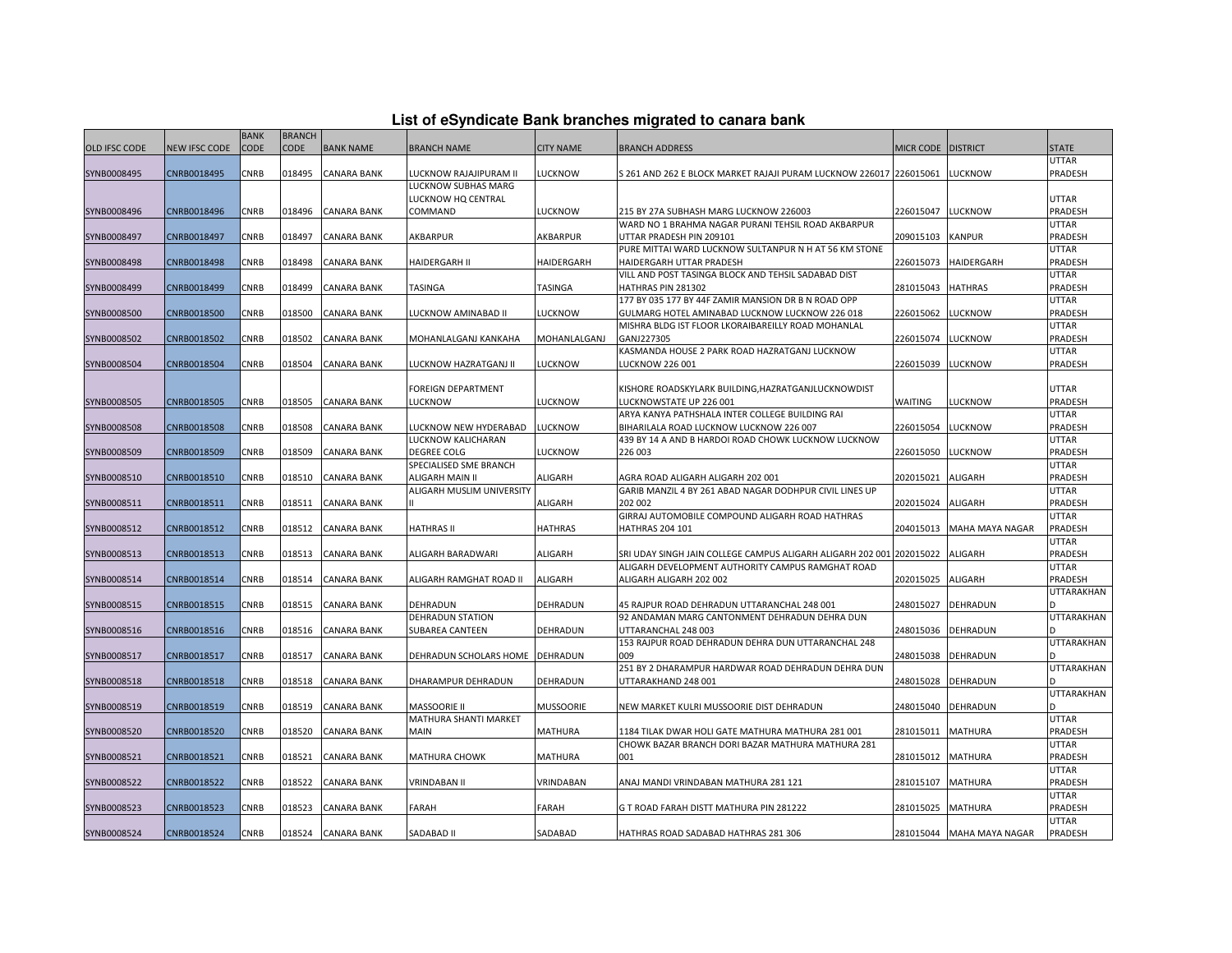| List of eSyndicate Bank branches migrated to canara bank |  |  |
|----------------------------------------------------------|--|--|
|                                                          |  |  |

|                      |               | <b>BANK</b> | <b>BRANCH</b> |                    |                                 |                  |                                                                                                                           |                    |                           |                         |
|----------------------|---------------|-------------|---------------|--------------------|---------------------------------|------------------|---------------------------------------------------------------------------------------------------------------------------|--------------------|---------------------------|-------------------------|
| <b>OLD IFSC CODE</b> | NEW IFSC CODE | <b>CODE</b> | <b>CODE</b>   | <b>BANK NAME</b>   | <b>BRANCH NAME</b>              | <b>CITY NAME</b> | <b>BRANCH ADDRESS</b>                                                                                                     | MICR CODE DISTRICT |                           | <b>STATE</b>            |
|                      |               |             |               |                    |                                 |                  |                                                                                                                           |                    |                           | <b>UTTAR</b>            |
| SYNB0008495          | CNRB0018495   | <b>CNRB</b> | 018495        | <b>CANARA BANK</b> | LUCKNOW RAJAJIPURAM II          | <b>LUCKNOW</b>   | S 261 AND 262 E BLOCK MARKET RAJAJI PURAM LUCKNOW 226017 226015061                                                        |                    | <b>LUCKNOW</b>            | PRADESH                 |
|                      |               |             |               |                    | LUCKNOW SUBHAS MARG             |                  |                                                                                                                           |                    |                           |                         |
|                      |               |             |               |                    | LUCKNOW HQ CENTRAL              |                  |                                                                                                                           |                    |                           | <b>UTTAR</b>            |
| SYNB0008496          | CNRB0018496   | <b>CNRB</b> | 018496        | <b>CANARA BANK</b> | COMMAND                         | <b>LUCKNOW</b>   | 215 BY 27A SUBHASH MARG LUCKNOW 226003                                                                                    | 226015047          | <b>LUCKNOW</b>            | PRADESH                 |
|                      |               |             |               |                    |                                 |                  | WARD NO 1 BRAHMA NAGAR PURANI TEHSIL ROAD AKBARPUR                                                                        |                    |                           | <b>UTTAR</b>            |
| SYNB0008497          | CNRB0018497   | CNRB        | 018497        | CANARA BANK        | AKBARPUR                        | AKBARPUR         | UTTAR PRADESH PIN 209101                                                                                                  | 209015103          | <b>KANPUR</b>             | <b>PRADESH</b>          |
|                      |               |             |               |                    |                                 |                  | PURE MITTAI WARD LUCKNOW SULTANPUR N H AT 56 KM STONE                                                                     |                    |                           | <b>UTTAR</b>            |
| SYNB0008498          | CNRB0018498   | CNRB        | 018498        | <b>CANARA BANK</b> | HAIDERGARH II                   | HAIDERGARH       | HAIDERGARH UTTAR PRADESH                                                                                                  | 226015073          | HAIDERGARH                | PRADESH                 |
|                      |               |             |               |                    |                                 |                  | VILL AND POST TASINGA BLOCK AND TEHSIL SADABAD DIST                                                                       |                    |                           | <b>UTTAR</b>            |
| SYNB0008499          | CNRB0018499   | <b>CNRB</b> | 018499        | <b>CANARA BANK</b> | <b>TASINGA</b>                  | <b>TASINGA</b>   | HATHRAS PIN 281302                                                                                                        | 281015043          | <b>HATHRAS</b>            | PRADESH                 |
|                      |               |             |               |                    |                                 |                  | 177 BY 035 177 BY 44F ZAMIR MANSION DR B N ROAD OPP                                                                       |                    |                           | <b>UTTAR</b>            |
| SYNB0008500          | CNRB0018500   | CNRB        | 018500        | CANARA BANK        | LUCKNOW AMINABAD II             | <b>LUCKNOW</b>   | GULMARG HOTEL AMINABAD LUCKNOW LUCKNOW 226 018<br>MISHRA BLDG IST FLOOR LKORAIBAREILLY ROAD MOHANLAL                      | 226015062          | <b>LUCKNOW</b>            | PRADESH<br><b>UTTAR</b> |
| SYNB0008502          | CNRB0018502   | CNRB        | 018502        | CANARA BANK        | MOHANLALGANJ KANKAHA            | MOHANLALGANJ     | GANJ227305                                                                                                                | 226015074          | <b>LUCKNOW</b>            | PRADESH                 |
|                      |               |             |               |                    |                                 |                  | KASMANDA HOUSE 2 PARK ROAD HAZRATGANJ LUCKNOW                                                                             |                    |                           | <b>UTTAR</b>            |
| SYNB0008504          | CNRB0018504   | CNRB        | 018504        | <b>CANARA BANK</b> | LUCKNOW HAZRATGANJ II           | <b>LUCKNOW</b>   | <b>LUCKNOW 226 001</b>                                                                                                    | 226015039          | <b>LUCKNOW</b>            | PRADESH                 |
|                      |               |             |               |                    |                                 |                  |                                                                                                                           |                    |                           |                         |
|                      |               |             |               |                    | FOREIGN DEPARTMENT              |                  | KISHORE ROADSKYLARK BUILDING, HAZRATGANJLUCKNOWDIST                                                                       |                    |                           | <b>UTTAR</b>            |
| SYNB0008505          | CNRB0018505   | <b>CNRB</b> | 018505        | <b>CANARA BANK</b> | LUCKNOW                         | LUCKNOW          | LUCKNOWSTATE UP 226 001                                                                                                   | <b>WAITING</b>     | <b>LUCKNOW</b>            | PRADESH                 |
|                      |               |             |               |                    |                                 |                  | ARYA KANYA PATHSHALA INTER COLLEGE BUILDING RAI                                                                           |                    |                           | <b>UTTAR</b>            |
| SYNB0008508          | CNRB0018508   | CNRB        | 018508        | CANARA BANK        | LUCKNOW NEW HYDERABAD           | <b>UCKNOW</b>    | BIHARILALA ROAD LUCKNOW LUCKNOW 226 007                                                                                   | 226015054          | <b>LUCKNOW</b>            | PRADESH                 |
|                      |               |             |               |                    | LUCKNOW KALICHARAN              |                  | 439 BY 14 A AND B HARDOI ROAD CHOWK LUCKNOW LUCKNOW                                                                       |                    |                           | <b>UTTAR</b>            |
| SYNB0008509          | CNRB0018509   | CNRB        | 018509        | <b>CANARA BANK</b> | <b>DEGREE COLG</b>              | LUCKNOW          | 226 003                                                                                                                   | 226015050          | <b>LUCKNOW</b>            | PRADESH                 |
|                      |               |             |               |                    | SPECIALISED SME BRANCH          |                  |                                                                                                                           |                    |                           | <b>UTTAR</b>            |
| SYNB0008510          | CNRB0018510   | <b>CNRB</b> | 018510        | <b>CANARA BANK</b> | ALIGARH MAIN II                 | <b>ALIGARH</b>   | AGRA ROAD ALIGARH ALIGARH 202 001                                                                                         | 202015021          | <b>ALIGARH</b>            | PRADESH                 |
|                      |               |             |               |                    | ALIGARH MUSLIM UNIVERSITY       |                  | GARIB MANZIL 4 BY 261 ABAD NAGAR DODHPUR CIVIL LINES UP                                                                   |                    |                           | <b>UTTAR</b>            |
| SYNB0008511          | CNRB0018511   | CNRB        | 018511        | CANARA BANK        |                                 | ALIGARH          | 202 002                                                                                                                   | 202015024          | ALIGARH                   | PRADESH                 |
|                      |               |             |               |                    |                                 |                  | GIRRAJ AUTOMOBILE COMPOUND ALIGARH ROAD HATHRAS                                                                           |                    |                           | <b>UTTAR</b>            |
| SYNB0008512          | CNRB0018512   | CNRB        | 018512        | <b>CANARA BANK</b> | HATHRAS II                      | HATHRAS          | <b>HATHRAS 204 101</b>                                                                                                    | 204015013          | MAHA MAYA NAGAR           | PRADESH                 |
|                      |               |             |               |                    |                                 |                  |                                                                                                                           |                    |                           | <b>UTTAR</b>            |
| SYNB0008513          | CNRB0018513   | <b>CNRB</b> | 018513        | <b>CANARA BANK</b> | ALIGARH BARADWARI               | <b>ALIGARH</b>   | SRI UDAY SINGH JAIN COLLEGE CAMPUS ALIGARH ALIGARH 202 001 202015022<br>ALIGARH DEVELOPMENT AUTHORITY CAMPUS RAMGHAT ROAD |                    | <b>ALIGARH</b>            | PRADESH<br><b>UTTAR</b> |
| SYNB0008514          | CNRB0018514   | CNRB        | 018514        | CANARA BANK        | ALIGARH RAMGHAT ROAD II         | <b>ALIGARH</b>   | ALIGARH ALIGARH 202 002                                                                                                   | 202015025          | ALIGARH                   | PRADESH                 |
|                      |               |             |               |                    |                                 |                  |                                                                                                                           |                    |                           | <b>UTTARAKHAN</b>       |
| SYNB0008515          | CNRB0018515   | CNRB        | 018515        | <b>CANARA BANK</b> | DEHRADUN                        | DEHRADUN         | 45 RAJPUR ROAD DEHRADUN UTTARANCHAL 248 001                                                                               | 248015027          | <b>DEHRADUN</b>           |                         |
|                      |               |             |               |                    | DEHRADUN STATION                |                  | 92 ANDAMAN MARG CANTONMENT DEHRADUN DEHRA DUN                                                                             |                    |                           | <b>UTTARAKHAN</b>       |
| SYNB0008516          | CNRB0018516   | CNRB        | 018516        | <b>CANARA BANK</b> | <b>SUBAREA CANTEEN</b>          | DEHRADUN         | UTTARANCHAL 248 003                                                                                                       | 248015036          | DEHRADUN                  |                         |
|                      |               |             |               |                    |                                 |                  | 153 RAJPUR ROAD DEHRADUN DEHRA DUN UTTARANCHAL 248                                                                        |                    |                           | <b>UTTARAKHAN</b>       |
| SYNB0008517          | CNRB0018517   | CNRB        | 018517        | CANARA BANK        | DEHRADUN SCHOLARS HOME DEHRADUN |                  | 009                                                                                                                       | 248015038          | DEHRADUN                  |                         |
|                      |               |             |               |                    |                                 |                  | 251 BY 2 DHARAMPUR HARDWAR ROAD DEHRADUN DEHRA DUN                                                                        |                    |                           | <b>UTTARAKHAN</b>       |
| SYNB0008518          | CNRB0018518   | CNRB        | 018518        | <b>CANARA BANK</b> | DHARAMPUR DEHRADUN              | DEHRADUN         | UTTARAKHAND 248 001                                                                                                       | 248015028          | <b>DEHRADUN</b>           |                         |
|                      |               |             |               |                    |                                 |                  |                                                                                                                           |                    |                           | <b>UTTARAKHAN</b>       |
| SYNB0008519          | CNRB0018519   | <b>CNRB</b> | 018519        | <b>CANARA BANK</b> | <b>MASSOORIE II</b>             | <b>MUSSOORIE</b> | NEW MARKET KULRI MUSSOORIE DIST DEHRADUN                                                                                  | 248015040          | <b>DEHRADUN</b>           |                         |
|                      |               |             |               |                    | MATHURA SHANTI MARKET           |                  |                                                                                                                           |                    |                           | <b>UTTAR</b>            |
| SYNB0008520          | CNRB0018520   | CNRB        | 018520        | CANARA BANK        | <b>MAIN</b>                     | <b>MATHURA</b>   | 1184 TILAK DWAR HOLI GATE MATHURA MATHURA 281 001                                                                         | 281015011          | <b>MATHURA</b>            | PRADESH                 |
|                      |               |             |               |                    |                                 |                  | CHOWK BAZAR BRANCH DORI BAZAR MATHURA MATHURA 281                                                                         |                    |                           | <b>UTTAR</b>            |
| SYNB0008521          | CNRB0018521   | CNRB        | 018521        | CANARA BANK        | MATHURA CHOWK                   | MATHURA          | 001                                                                                                                       | 281015012          | <b>MATHURA</b>            | PRADESH                 |
|                      |               |             |               |                    |                                 |                  |                                                                                                                           |                    |                           | <b>UTTAR</b>            |
| SYNB0008522          | CNRB0018522   | CNRB        | 018522        | <b>CANARA BANK</b> | <b>VRINDABAN II</b>             | VRINDABAN        | ANAJ MANDI VRINDABAN MATHURA 281 121                                                                                      | 281015107          | <b>MATHURA</b>            | PRADESH                 |
|                      |               |             |               |                    |                                 |                  |                                                                                                                           |                    |                           | <b>UTTAR</b>            |
| SYNB0008523          | CNRB0018523   | CNRB        | 018523        | CANARA BANK        | FARAH                           | <b>FARAH</b>     | G T ROAD FARAH DISTT MATHURA PIN 281222                                                                                   | 281015025          | <b>MATHURA</b>            | PRADESH                 |
|                      |               |             |               |                    |                                 |                  |                                                                                                                           |                    |                           | <b>UTTAR</b>            |
| SYNB0008524          | CNRB0018524   | CNRB        |               | 018524 CANARA BANK | SADABAD II                      | SADABAD          | HATHRAS ROAD SADABAD HATHRAS 281 306                                                                                      |                    | 281015044 MAHA MAYA NAGAR | <b>PRADESH</b>          |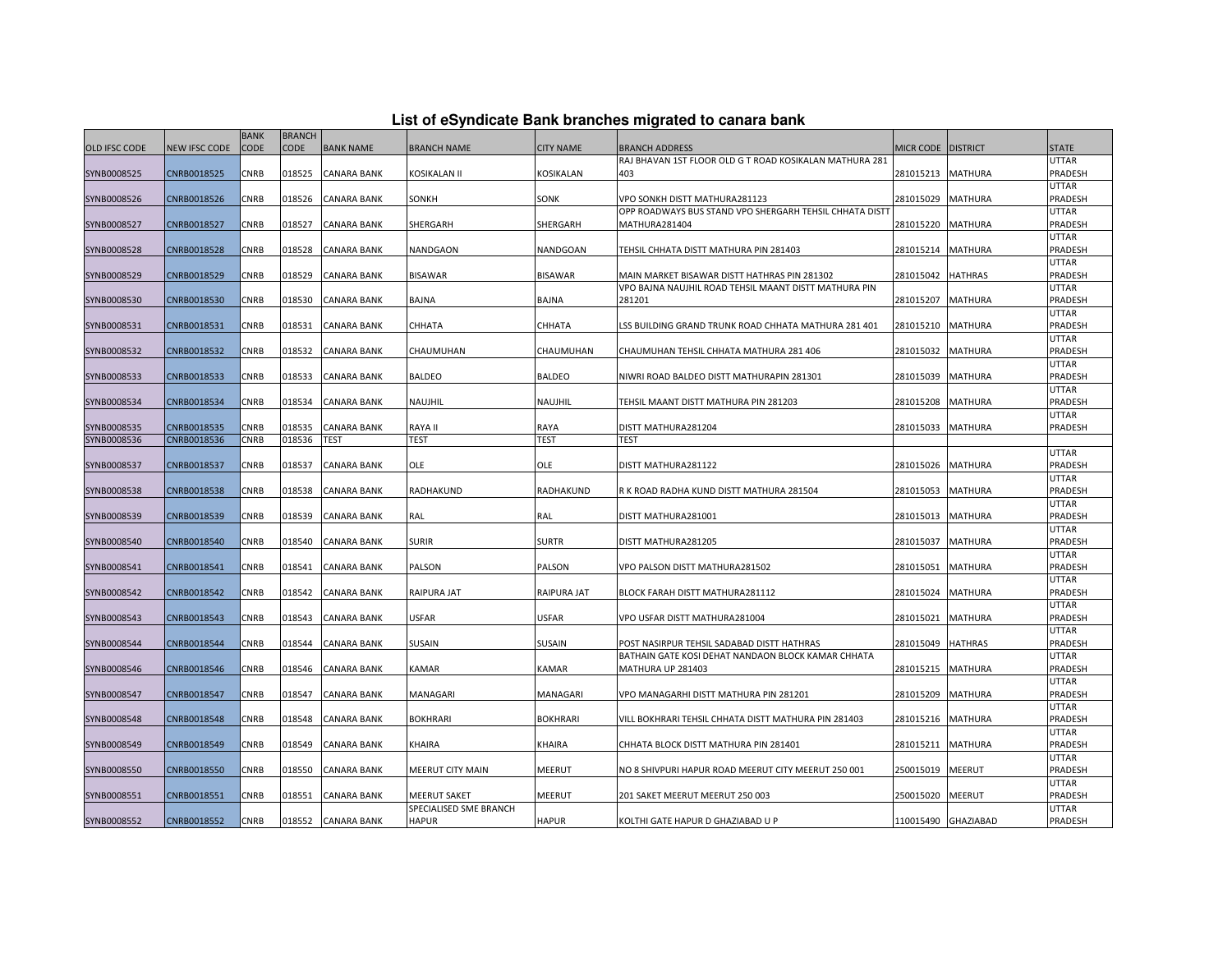| List of eSyndicate Bank branches migrated to canara bank |  |  |
|----------------------------------------------------------|--|--|
|                                                          |  |  |

|                      |               | <b>BANK</b> | <b>BRANCH</b> |                    |                                               |                  |                                                         |                  |                 |                         |
|----------------------|---------------|-------------|---------------|--------------------|-----------------------------------------------|------------------|---------------------------------------------------------|------------------|-----------------|-------------------------|
| <b>OLD IFSC CODE</b> | NEW IFSC CODE | <b>CODE</b> | CODE          | <b>BANK NAME</b>   | <b>BRANCH NAME</b>                            | <b>CITY NAME</b> | BRANCH ADDRESS                                          | <b>MICR CODE</b> | <b>DISTRICT</b> | <b>STATE</b>            |
|                      |               |             |               |                    |                                               |                  | RAJ BHAVAN 1ST FLOOR OLD G T ROAD KOSIKALAN MATHURA 281 |                  |                 | UTTAR                   |
| SYNB0008525          | CNRB0018525   | CNRB        | 018525        | CANARA BANK        | KOSIKALAN II                                  | KOSIKALAN        | 403                                                     | 281015213        | <b>MATHURA</b>  | PRADESH                 |
|                      |               |             |               |                    |                                               |                  |                                                         |                  |                 | UTTAR                   |
| SYNB0008526          | CNRB0018526   | CNRB        | 018526        | CANARA BANK        | SONKH                                         | SONK             | VPO SONKH DISTT MATHURA281123                           | 281015029        | <b>MATHURA</b>  | PRADESH                 |
|                      |               |             |               |                    |                                               |                  | OPP ROADWAYS BUS STAND VPO SHERGARH TEHSIL CHHATA DIST  |                  |                 | UTTAR                   |
| SYNB0008527          | CNRB0018527   | <b>CNRB</b> | 018527        | CANARA BANK        | SHERGARH                                      | SHERGARH         | MATHURA281404                                           | 281015220        | <b>MATHURA</b>  | PRADESH                 |
|                      |               |             |               |                    |                                               |                  |                                                         |                  |                 | UTTAR                   |
| SYNB0008528          | CNRB0018528   | CNRB        | 018528        | CANARA BANK        | NANDGAON                                      | <b>NANDGOAN</b>  | TEHSIL CHHATA DISTT MATHURA PIN 281403                  | 281015214        | <b>MATHURA</b>  | PRADESH                 |
|                      |               |             |               |                    |                                               |                  |                                                         |                  |                 | UTTAR                   |
| SYNB0008529          | CNRB0018529   | <b>CNRB</b> | 018529        | <b>CANARA BANK</b> | <b>BISAWAR</b>                                | <b>BISAWAR</b>   | MAIN MARKET BISAWAR DISTT HATHRAS PIN 281302            | 281015042        | <b>HATHRAS</b>  | PRADESH                 |
|                      |               |             |               |                    |                                               |                  | VPO BAJNA NAUJHIL ROAD TEHSIL MAANT DISTT MATHURA PIN   |                  |                 | UTTAR<br>PRADESH        |
| SYNB0008530          | CNRB0018530   | CNRB        | 018530        | CANARA BANK        | BAJNA                                         | BAJNA            | 281201                                                  | 281015207        | MATHURA         | UTTAR                   |
| SYNB0008531          | CNRB0018531   | CNRB        | 018531        | CANARA BANK        | CHHATA                                        | CHHATA           | LSS BUILDING GRAND TRUNK ROAD CHHATA MATHURA 281 401    | 281015210        | <b>MATHURA</b>  | PRADESH                 |
|                      |               |             |               |                    |                                               |                  |                                                         |                  |                 | <b>UTTAR</b>            |
| SYNB0008532          | CNRB0018532   | CNRB        | 018532        | CANARA BANK        | CHAUMUHAN                                     | CHAUMUHAN        | CHAUMUHAN TEHSIL CHHATA MATHURA 281 406                 | 281015032        | <b>MATHURA</b>  | PRADESH                 |
|                      |               |             |               |                    |                                               |                  |                                                         |                  |                 | UTTAR                   |
| SYNB0008533          | CNRB0018533   | <b>CNRB</b> | 018533        | CANARA BANK        | <b>BALDEO</b>                                 | <b>BALDEO</b>    | NIWRI ROAD BALDEO DISTT MATHURAPIN 281301               | 281015039        | <b>MATHURA</b>  | PRADESH                 |
|                      |               |             |               |                    |                                               |                  |                                                         |                  |                 | UTTAR                   |
| SYNB0008534          | CNRB0018534   | <b>CNRB</b> | 018534        | CANARA BANK        | NAUJHIL                                       | NAUJHIL          | TEHSIL MAANT DISTT MATHURA PIN 281203                   | 281015208        | <b>MATHURA</b>  | PRADESH                 |
|                      |               |             |               |                    |                                               |                  |                                                         |                  |                 | UTTAR                   |
| SYNB0008535          | CNRB0018535   | <b>CNRB</b> | 018535        | CANARA BANK        | <b>RAYA II</b>                                | RAYA             | DISTT MATHURA281204                                     | 281015033        | <b>MATHURA</b>  | PRADESH                 |
| SYNB0008536          | CNRB0018536   | CNRB        | 018536        | TEST               | <b>TEST</b>                                   | <b>TEST</b>      | <b>TEST</b>                                             |                  |                 |                         |
|                      |               |             |               |                    |                                               |                  |                                                         |                  |                 | UTTAR                   |
| SYNB0008537          | CNRB0018537   | <b>CNRB</b> | 018537        | CANARA BANK        | OLE                                           | OLE              | DISTT MATHURA281122                                     | 281015026        | <b>MATHURA</b>  | PRADESH                 |
|                      |               |             |               |                    |                                               |                  |                                                         |                  |                 | <b>UTTAR</b>            |
| SYNB0008538          | CNRB0018538   | CNRB        | 018538        | CANARA BANK        | RADHAKUND                                     | <b>RADHAKUND</b> | R K ROAD RADHA KUND DISTT MATHURA 281504                | 281015053        | <b>MATHURA</b>  | PRADESH                 |
|                      |               |             |               |                    |                                               |                  |                                                         |                  |                 | UTTAR                   |
| SYNB0008539          | CNRB0018539   | CNRB        | 018539        | CANARA BANK        | RAL                                           | RAL              | DISTT MATHURA281001                                     | 281015013        | <b>MATHURA</b>  | PRADESH                 |
|                      |               |             |               |                    |                                               |                  |                                                         |                  |                 | UTTAR                   |
| SYNB0008540          | CNRB0018540   | <b>CNRB</b> | 018540        | CANARA BANK        | <b>SURIR</b>                                  | <b>SURTR</b>     | DISTT MATHURA281205                                     | 281015037        | MATHURA         | PRADESH                 |
| SYNB0008541          | CNRB0018541   | <b>CNRB</b> | 018541        | CANARA BANK        | PALSON                                        | <b>PALSON</b>    | VPO PALSON DISTT MATHURA281502                          | 281015051        | <b>MATHURA</b>  | UTTAR<br><b>PRADESH</b> |
|                      |               |             |               |                    |                                               |                  |                                                         |                  |                 | UTTAR                   |
| SYNB0008542          | CNRB0018542   | CNRB        | 018542        | CANARA BANK        | <b>RAIPURA JAT</b>                            | RAIPURA JAT      | BLOCK FARAH DISTT MATHURA281112                         | 281015024        | <b>MATHURA</b>  | PRADESH                 |
|                      |               |             |               |                    |                                               |                  |                                                         |                  |                 | UTTAR                   |
| SYNB0008543          | CNRB0018543   | CNRB        | 018543        | CANARA BANK        | <b>USFAR</b>                                  | <b>USFAR</b>     | VPO USFAR DISTT MATHURA281004                           | 281015021        | MATHURA         | PRADESH                 |
|                      |               |             |               |                    |                                               |                  |                                                         |                  |                 | UTTAR                   |
| SYNB0008544          | CNRB0018544   | <b>CNRB</b> | 018544        | CANARA BANK        | SUSAIN                                        | <b>SUSAIN</b>    | POST NASIRPUR TEHSIL SADABAD DISTT HATHRAS              | 281015049        | <b>HATHRAS</b>  | PRADESH                 |
|                      |               |             |               |                    |                                               |                  | BATHAIN GATE KOSI DEHAT NANDAON BLOCK KAMAR CHHATA      |                  |                 | UTTAR                   |
| SYNB0008546          | CNRB0018546   | <b>CNRB</b> | 018546        | CANARA BANK        | <b>KAMAR</b>                                  | <b>KAMAR</b>     | MATHURA UP 281403                                       | 281015215        | <b>MATHURA</b>  | PRADESH                 |
|                      |               |             |               |                    |                                               |                  |                                                         |                  |                 | UTTAR                   |
| SYNB0008547          | CNRB0018547   | <b>CNRB</b> | 018547        | CANARA BANK        | MANAGARI                                      | MANAGARI         | VPO MANAGARHI DISTT MATHURA PIN 281201                  | 281015209        | MATHURA         | PRADESH                 |
|                      |               |             |               |                    |                                               |                  |                                                         |                  |                 | UTTAR                   |
| SYNB0008548          | CNRB0018548   | <b>CNRB</b> | 018548        | CANARA BANK        | <b>BOKHRARI</b>                               | <b>BOKHRARI</b>  | VILL BOKHRARI TEHSIL CHHATA DISTT MATHURA PIN 281403    | 281015216        | <b>MATHURA</b>  | PRADESH                 |
|                      |               |             |               |                    |                                               |                  |                                                         |                  |                 | UTTAR                   |
| SYNB0008549          | CNRB0018549   | <b>CNRB</b> | 018549        | CANARA BANK        | <b>KHAIRA</b>                                 | KHAIRA           | CHHATA BLOCK DISTT MATHURA PIN 281401                   | 281015211        | <b>MATHURA</b>  | PRADESH                 |
|                      |               |             |               |                    |                                               |                  |                                                         |                  |                 | UTTAR                   |
| SYNB0008550          | CNRB0018550   | CNRB        | 018550        | CANARA BANK        | MEERUT CITY MAIN                              | <b>MEERUT</b>    | NO 8 SHIVPURI HAPUR ROAD MEERUT CITY MEERUT 250 001     | 250015019        | MEERUT          | PRADESH                 |
|                      |               |             |               |                    |                                               |                  |                                                         |                  |                 | UTTAR                   |
| SYNB0008551          | CNRB0018551   | CNRB        | 018551        | CANARA BANK        | <b>MEERUT SAKET</b><br>SPECIALISED SME BRANCH | <b>MEERUT</b>    | 201 SAKET MEERUT MEERUT 250 003                         | 250015020        | MEERUT          | PRADESH<br>UTTAR        |
| SYNB0008552          | CNRB0018552   | CNRB        | 018552        | <b>CANARA BANK</b> | <b>HAPUR</b>                                  | <b>HAPUR</b>     | KOLTHI GATE HAPUR D GHAZIABAD U P                       | 110015490        | GHAZIABAD       | PRADESH                 |
|                      |               |             |               |                    |                                               |                  |                                                         |                  |                 |                         |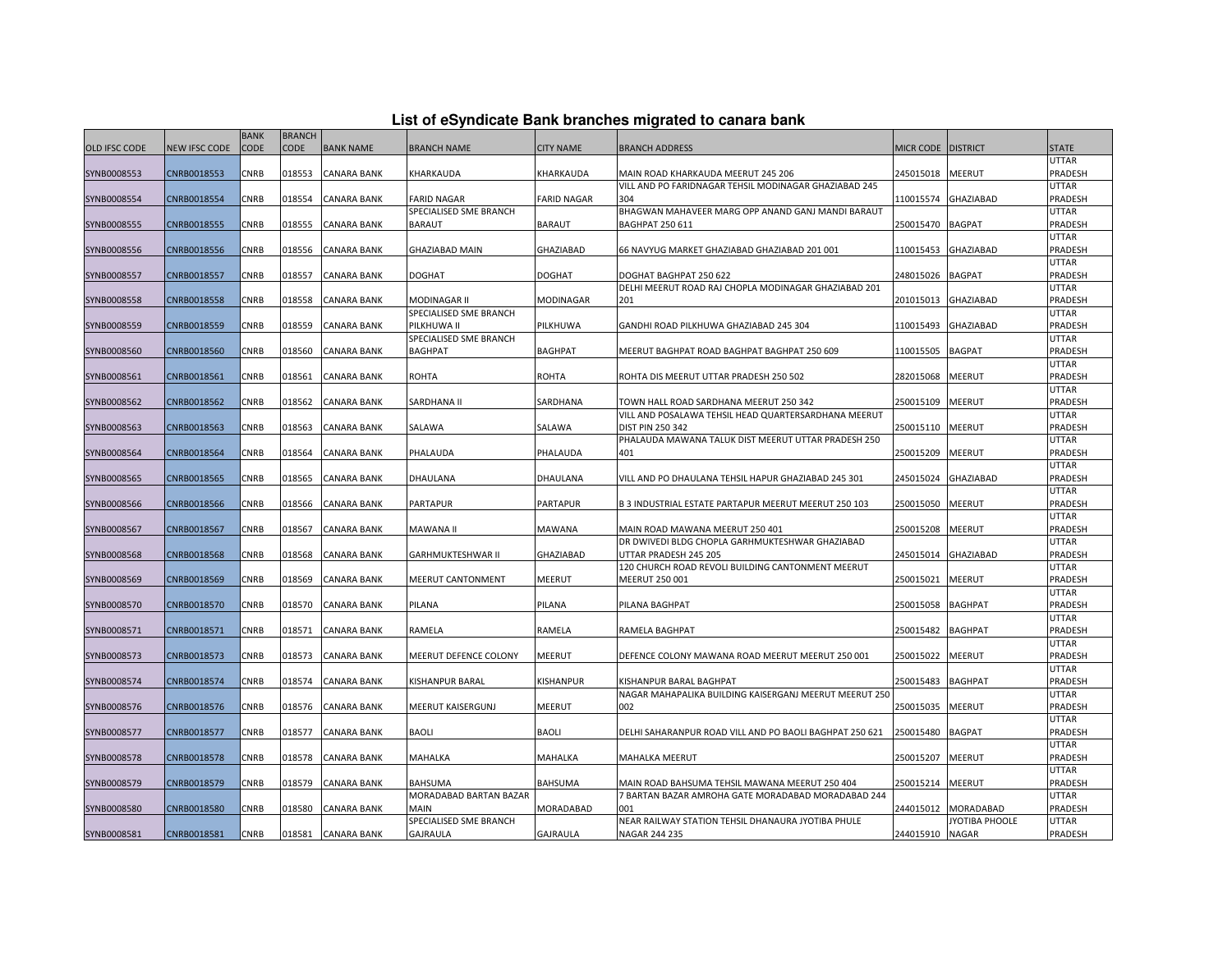| List of eSyndicate Bank branches migrated to canara bank |  |  |
|----------------------------------------------------------|--|--|
|                                                          |  |  |

|                      |                      | <b>BANK</b> | <b>BRANCH</b> |                    |                          |                    |                                                             |                  |                 |                  |
|----------------------|----------------------|-------------|---------------|--------------------|--------------------------|--------------------|-------------------------------------------------------------|------------------|-----------------|------------------|
| <b>OLD IFSC CODE</b> | <b>NEW IFSC CODE</b> | CODE        | CODE          | <b>BANK NAME</b>   | <b>BRANCH NAME</b>       | <b>CITY NAME</b>   | <b>BRANCH ADDRESS</b>                                       | <b>MICR CODE</b> | <b>DISTRICT</b> | <b>STATE</b>     |
|                      |                      |             |               |                    |                          |                    |                                                             |                  |                 | UTTAR            |
| SYNB0008553          | CNRB0018553          | <b>CNRB</b> | 018553        | CANARA BANK        | KHARKAUDA                | KHARKAUDA          | MAIN ROAD KHARKAUDA MEERUT 245 206                          | 245015018        | <b>MEERUT</b>   | PRADESH          |
|                      |                      |             |               |                    |                          |                    | VILL AND PO FARIDNAGAR TEHSIL MODINAGAR GHAZIABAD 245       |                  |                 | UTTAR            |
| SYNB0008554          | CNRB0018554          | CNRB        | 018554        | CANARA BANK        | <b>FARID NAGAR</b>       | <b>FARID NAGAR</b> | 304                                                         | 110015574        | GHAZIABAD       | PRADESH          |
|                      |                      |             |               |                    | SPECIALISED SME BRANCH   |                    | BHAGWAN MAHAVEER MARG OPP ANAND GANJ MANDI BARAUT           |                  |                 | UTTAR            |
| SYNB0008555          | CNRB0018555          | <b>CNRB</b> | 018555        | CANARA BANK        | <b>BARAUT</b>            | <b>BARAUT</b>      | BAGHPAT 250 611                                             | 250015470        | <b>BAGPAT</b>   | PRADESH          |
|                      |                      |             |               |                    |                          |                    |                                                             |                  |                 | UTTAR            |
| SYNB0008556          | CNRB0018556          | CNRB        | 018556        | CANARA BANK        | <b>GHAZIABAD MAIN</b>    | GHAZIABAD          | 66 NAVYUG MARKET GHAZIABAD GHAZIABAD 201 001                | 110015453        | GHAZIABAD       | PRADESH          |
|                      |                      |             |               |                    |                          |                    |                                                             |                  |                 | UTTAR            |
| SYNB0008557          | CNRB0018557          | <b>CNRB</b> | 018557        | CANARA BANK        | <b>DOGHAT</b>            | <b>DOGHAT</b>      | DOGHAT BAGHPAT 250 622                                      | 248015026        | <b>BAGPAT</b>   | PRADESH<br>UTTAR |
| SYNB0008558          | CNRB0018558          | <b>CNRB</b> | 018558        | CANARA BANK        | MODINAGAR II             | MODINAGAR          | DELHI MEERUT ROAD RAJ CHOPLA MODINAGAR GHAZIABAD 201<br>201 | 201015013        | GHAZIABAD       | PRADESH          |
|                      |                      |             |               |                    | SPECIALISED SME BRANCH   |                    |                                                             |                  |                 | UTTAR            |
| SYNB0008559          | CNRB0018559          | CNRB        | 018559        | CANARA BANK        | PILKHUWA II              | PILKHUWA           | GANDHI ROAD PILKHUWA GHAZIABAD 245 304                      | 110015493        | GHAZIABAD       | PRADESH          |
|                      |                      |             |               |                    | SPECIALISED SME BRANCH   |                    |                                                             |                  |                 | UTTAR            |
| SYNB0008560          | CNRB0018560          | <b>CNRB</b> | 018560        | CANARA BANK        | <b>BAGHPAT</b>           | <b>BAGHPAT</b>     | MEERUT BAGHPAT ROAD BAGHPAT BAGHPAT 250 609                 | 110015505        | <b>BAGPAT</b>   | PRADESH          |
|                      |                      |             |               |                    |                          |                    |                                                             |                  |                 | UTTAR            |
| SYNB0008561          | CNRB0018561          | <b>CNRB</b> | 018561        | CANARA BANK        | <b>ROHTA</b>             | <b>ROHTA</b>       | ROHTA DIS MEERUT UTTAR PRADESH 250 502                      | 282015068        | MEERUT          | PRADESH          |
|                      |                      |             |               |                    |                          |                    |                                                             |                  |                 | UTTAR            |
| SYNB0008562          | CNRB0018562          | CNRB        | 018562        | CANARA BANK        | SARDHANA II              | SARDHANA           | TOWN HALL ROAD SARDHANA MEERUT 250 342                      | 250015109        | MEERUT          | PRADESH          |
|                      |                      |             |               |                    |                          |                    | VILL AND POSALAWA TEHSIL HEAD QUARTERSARDHANA MEERUT        |                  |                 | UTTAR            |
| SYNB0008563          | CNRB0018563          | CNRB        | 018563        | CANARA BANK        | SALAWA                   | SALAWA             | DIST PIN 250 342                                            | 250015110        | MEERUT          | PRADESH          |
|                      |                      |             |               |                    |                          |                    | PHALAUDA MAWANA TALUK DIST MEERUT UTTAR PRADESH 250         |                  |                 | UTTAR            |
| SYNB0008564          | CNRB0018564          | CNRB        | 018564        | CANARA BANK        | PHALAUDA                 | PHALAUDA           | 401                                                         | 250015209        | MEERUT          | PRADESH          |
|                      |                      |             |               |                    |                          |                    |                                                             |                  |                 | UTTAR            |
| SYNB0008565          | CNRB0018565          | <b>CNRB</b> | 018565        | CANARA BANK        | DHAULANA                 | <b>DHAULANA</b>    | VILL AND PO DHAULANA TEHSIL HAPUR GHAZIABAD 245 301         | 245015024        | GHAZIABAD       | PRADESH<br>UTTAR |
| SYNB0008566          | CNRB0018566          | CNRB        | 018566        | CANARA BANK        | <b>PARTAPUR</b>          | PARTAPUR           | B 3 INDUSTRIAL ESTATE PARTAPUR MEERUT MEERUT 250 103        | 250015050        | MEERUT          | PRADESH          |
|                      |                      |             |               |                    |                          |                    |                                                             |                  |                 | UTTAR            |
| SYNB0008567          | CNRB0018567          | <b>CNRB</b> | 018567        | CANARA BANK        | MAWANA II                | <b>MAWANA</b>      | MAIN ROAD MAWANA MEERUT 250 401                             | 250015208        | MEERUT          | PRADESH          |
|                      |                      |             |               |                    |                          |                    | DR DWIVEDI BLDG CHOPLA GARHMUKTESHWAR GHAZIABAD             |                  |                 | UTTAR            |
| SYNB0008568          | CNRB0018568          | CNRB        | 018568        | CANARA BANK        | <b>GARHMUKTESHWAR II</b> | GHAZIABAD          | UTTAR PRADESH 245 205                                       | 245015014        | GHAZIABAD       | PRADESH          |
|                      |                      |             |               |                    |                          |                    | 120 CHURCH ROAD REVOLI BUILDING CANTONMENT MEERUT           |                  |                 | UTTAR            |
| SYNB0008569          | CNRB0018569          | CNRB        | 018569        | CANARA BANK        | MEERUT CANTONMENT        | <b>MEERUT</b>      | MEERUT 250 001                                              | 250015021        | MEERUT          | PRADESH          |
|                      |                      |             |               |                    |                          |                    |                                                             |                  |                 | UTTAR            |
| SYNB0008570          | CNRB0018570          | <b>CNRB</b> | 018570        | CANARA BANK        | PILANA                   | PILANA             | PILANA BAGHPAT                                              | 250015058        | BAGHPAT         | PRADESH          |
|                      |                      |             |               |                    |                          |                    |                                                             |                  |                 | UTTAR            |
| SYNB0008571          | CNRB0018571          | CNRB        | 018571        | CANARA BANK        | RAMELA                   | RAMELA             | RAMELA BAGHPAT                                              | 250015482        | <b>BAGHPAT</b>  | PRADESH          |
|                      |                      |             |               |                    |                          |                    |                                                             |                  |                 | UTTAR            |
| SYNB0008573          | CNRB0018573          | CNRB        | 018573        | CANARA BANK        | MEERUT DEFENCE COLONY    | <b>MEERUT</b>      | DEFENCE COLONY MAWANA ROAD MEERUT MEERUT 250 001            | 250015022        | MEERUT          | PRADESH          |
| SYNB0008574          | CNRB0018574          | <b>CNRB</b> | 018574        | CANARA BANK        | KISHANPUR BARAL          | KISHANPUR          | (ISHANPUR BARAL BAGHPAT                                     | 250015483        | BAGHPAT         | UTTAR<br>PRADESH |
|                      |                      |             |               |                    |                          |                    | NAGAR MAHAPALIKA BUILDING KAISERGANJ MEERUT MEERUT 250      |                  |                 | UTTAR            |
| SYNB0008576          | CNRB0018576          | CNRB        | 018576        | CANARA BANK        | MEERUT KAISERGUNJ        | <b>MEERUT</b>      | 002                                                         | 250015035        | MEERUT          | PRADESH          |
|                      |                      |             |               |                    |                          |                    |                                                             |                  |                 | UTTAR            |
| SYNB0008577          | CNRB0018577          | CNRB        | 018577        | CANARA BANK        | <b>BAOLI</b>             | <b>BAOLI</b>       | DELHI SAHARANPUR ROAD VILL AND PO BAOLI BAGHPAT 250 621     | 250015480        | <b>BAGPAT</b>   | PRADESH          |
|                      |                      |             |               |                    |                          |                    |                                                             |                  |                 | UTTAR            |
| SYNB0008578          | CNRB0018578          | CNRB        | 018578        | CANARA BANK        | MAHALKA                  | MAHALKA            | MAHALKA MEERUT                                              | 250015207        | MEERUT          | PRADESH          |
|                      |                      |             |               |                    |                          |                    |                                                             |                  |                 | UTTAR            |
| SYNB0008579          | CNRB0018579          | CNRB        | 018579        | CANARA BANK        | <b>BAHSUMA</b>           | <b>BAHSUMA</b>     | MAIN ROAD BAHSUMA TEHSIL MAWANA MEERUT 250 404              | 250015214        | MEERUT          | PRADESH          |
|                      |                      |             |               |                    | MORADABAD BARTAN BAZAR   |                    | 7 BARTAN BAZAR AMROHA GATE MORADABAD MORADABAD 244          |                  |                 | UTTAR            |
| SYNB0008580          | CNRB0018580          | CNRB        | 018580        | CANARA BANK        | <b>MAIN</b>              | <b>MORADABAD</b>   | 001                                                         | 244015012        | MORADABAD       | <b>PRADESH</b>   |
|                      |                      |             |               |                    | SPECIALISED SME BRANCH   |                    | NEAR RAILWAY STATION TEHSIL DHANAURA JYOTIBA PHULE          |                  | JYOTIBA PHOOLE  | UTTAR            |
| SYNB0008581          | CNRB0018581          | <b>CNRB</b> | 018581        | <b>CANARA BANK</b> | <b>GAJRAULA</b>          | <b>GAJRAULA</b>    | NAGAR 244 235                                               | 244015910        | <b>NAGAR</b>    | PRADESH          |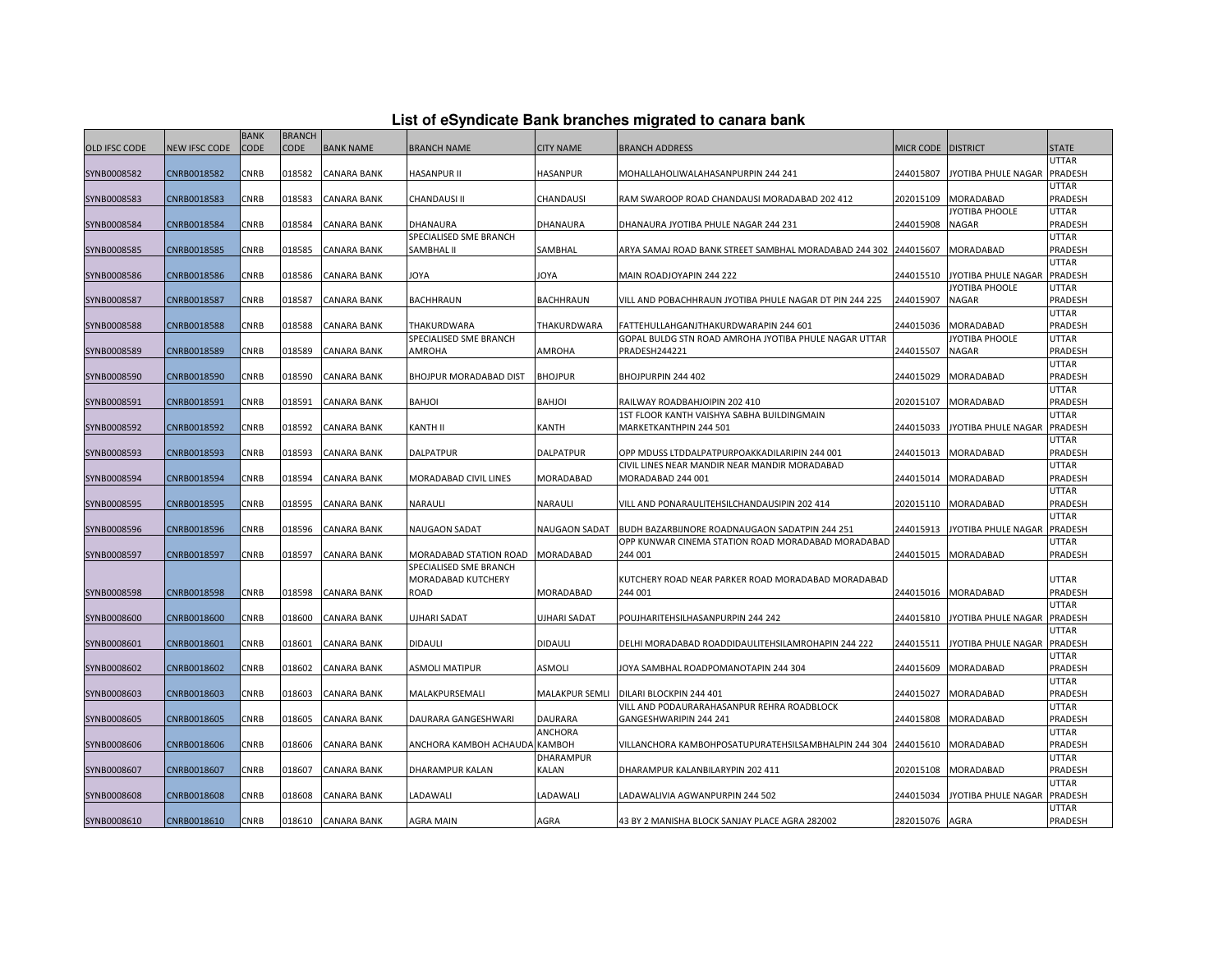|               |               | <b>BANK</b> | <b>BRANCH</b> |                    |                                                  |                      |                                                         |                |                             |                         |
|---------------|---------------|-------------|---------------|--------------------|--------------------------------------------------|----------------------|---------------------------------------------------------|----------------|-----------------------------|-------------------------|
| OLD IFSC CODE | NEW IFSC CODE | <b>CODE</b> | <b>CODE</b>   | <b>BANK NAME</b>   | <b>BRANCH NAME</b>                               | <b>CITY NAME</b>     | <b>BRANCH ADDRESS</b>                                   | MICR CODE      | <b>DISTRICT</b>             | <b>STATE</b>            |
|               |               |             |               |                    |                                                  |                      |                                                         |                |                             | <b>UTTAR</b>            |
| SYNB0008582   | CNRB0018582   | CNRB        | 018582        | <b>CANARA BANK</b> | HASANPUR II                                      | <b>HASANPUR</b>      | MOHALLAHOLIWALAHASANPURPIN 244 241                      | 244015807      | JYOTIBA PHULE NAGAR PRADESH |                         |
|               |               |             |               |                    |                                                  |                      |                                                         |                |                             | <b>UTTAR</b>            |
| SYNB0008583   | CNRB0018583   | CNRB        | 018583        | CANARA BANK        | CHANDAUSI II                                     | CHANDAUSI            | RAM SWAROOP ROAD CHANDAUSI MORADABAD 202 412            | 202015109      | MORADABAD                   | PRADESH                 |
|               |               |             |               |                    |                                                  |                      |                                                         |                | JYOTIBA PHOOLE              | <b>UTTAR</b>            |
| SYNB0008584   | CNRB0018584   | CNRB        | 018584        | CANARA BANK        | DHANAURA                                         | DHANAURA             | DHANAURA JYOTIBA PHULE NAGAR 244 231                    | 244015908      | <b>NAGAR</b>                | <b>PRADESH</b>          |
|               |               |             |               |                    | SPECIALISED SME BRANCH                           |                      |                                                         |                |                             | <b>UTTAR</b>            |
| SYNB0008585   | CNRB0018585   | CNRB        | 018585        | <b>CANARA BANK</b> | SAMBHAL II                                       | SAMBHAL              | ARYA SAMAJ ROAD BANK STREET SAMBHAL MORADABAD 244 302   | 244015607      | <b>MORADABAD</b>            | PRADESH                 |
|               |               |             |               |                    |                                                  |                      |                                                         |                |                             | <b>UTTAR</b>            |
| SYNB0008586   | CNRB0018586   | <b>CNRB</b> | 018586        | <b>CANARA BANK</b> | <b>AYOL</b>                                      | <b>AYOL</b>          | MAIN ROADJOYAPIN 244 222                                | 244015510      | JYOTIBA PHULE NAGAR PRADESH |                         |
|               |               |             |               |                    |                                                  |                      |                                                         |                | JYOTIBA PHOOLE              | <b>UTTAR</b>            |
| SYNB0008587   | CNRB0018587   | CNRB        | 018587        | CANARA BANK        | <b>BACHHRAUN</b>                                 | <b>BACHHRAUN</b>     | VILL AND POBACHHRAUN JYOTIBA PHULE NAGAR DT PIN 244 225 | 244015907      | <b>NAGAR</b>                | PRADESH<br><b>UTTAR</b> |
| SYNB0008588   | CNRB0018588   | CNRB        | 018588        | CANARA BANK        | THAKURDWARA                                      | THAKURDWARA          | FATTEHULLAHGANJTHAKURDWARAPIN 244 601                   | 244015036      | MORADABAD                   | PRADESH                 |
|               |               |             |               |                    | SPECIALISED SME BRANCH                           |                      | GOPAL BULDG STN ROAD AMROHA JYOTIBA PHULE NAGAR UTTAR   |                | JYOTIBA PHOOLE              | <b>UTTAR</b>            |
| SYNB0008589   | CNRB0018589   | CNRB        | 018589        | <b>CANARA BANK</b> | AMROHA                                           | <b>AMROHA</b>        | PRADESH244221                                           | 244015507      | <b>NAGAR</b>                | PRADESH                 |
|               |               |             |               |                    |                                                  |                      |                                                         |                |                             | <b>UTTAR</b>            |
| SYNB0008590   | CNRB0018590   | CNRB        | 018590        | CANARA BANK        | BHOJPUR MORADABAD DIST                           | <b>BHOJPUR</b>       | BHOJPURPIN 244 402                                      | 244015029      | MORADABAD                   | PRADESH                 |
|               |               |             |               |                    |                                                  |                      |                                                         |                |                             | <b>UTTAR</b>            |
| SYNB0008591   | CNRB0018591   | CNRB        | 018591        | <b>CANARA BANK</b> | <b>BAHJOI</b>                                    | <b>BAHJOI</b>        | RAILWAY ROADBAHJOIPIN 202 410                           | 202015107      | <b>MORADABAD</b>            | PRADESH                 |
|               |               |             |               |                    |                                                  |                      | 1ST FLOOR KANTH VAISHYA SABHA BUILDINGMAIN              |                |                             | <b>UTTAR</b>            |
| SYNB0008592   | CNRB0018592   | CNRB        | 018592        | <b>CANARA BANK</b> | KANTH II                                         | KANTH                | MARKETKANTHPIN 244 501                                  | 244015033      | JYOTIBA PHULE NAGAR PRADESH |                         |
|               |               |             |               |                    |                                                  |                      |                                                         |                |                             | <b>UTTAR</b>            |
| SYNB0008593   | CNRB0018593   | <b>CNRB</b> | 018593        | <b>CANARA BANK</b> | <b>DALPATPUR</b>                                 | <b>DALPATPUR</b>     | OPP MDUSS LTDDALPATPURPOAKKADILARIPIN 244 001           | 244015013      | <b>MORADABAD</b>            | PRADESH                 |
|               |               |             |               |                    |                                                  |                      | CIVIL LINES NEAR MANDIR NEAR MANDIR MORADABAD           |                |                             | <b>UTTAR</b>            |
| SYNB0008594   | CNRB0018594   | CNRB        | 018594        | CANARA BANK        | MORADABAD CIVIL LINES                            | MORADABAD            | MORADABAD 244 001                                       | 244015014      | MORADABAD                   | PRADESH                 |
|               |               |             |               |                    |                                                  |                      |                                                         |                |                             | <b>UTTAR</b>            |
| SYNB0008595   | CNRB0018595   | CNRB        | 018595        | CANARA BANK        | NARAULI                                          | NARAULI              | VILL AND PONARAULITEHSILCHANDAUSIPIN 202 414            | 202015110      | MORADABAD                   | PRADESH                 |
|               |               |             |               |                    |                                                  |                      |                                                         |                |                             | <b>UTTAR</b>            |
| SYNB0008596   | CNRB0018596   | CNRB        | 018596        | <b>CANARA BANK</b> | NAUGAON SADAT                                    | <b>NAUGAON SADAT</b> | <b>BUDH BAZARBIJNORE ROADNAUGAON SADATPIN 244 251</b>   | 244015913      | JYOTIBA PHULE NAGAR PRADESH |                         |
|               |               | CNRB        |               |                    |                                                  |                      | OPP KUNWAR CINEMA STATION ROAD MORADABAD MORADABAD      |                |                             | <b>UTTAR</b>            |
| SYNB0008597   | CNRB0018597   |             | 018597        | CANARA BANK        | MORADABAD STATION ROAD<br>SPECIALISED SME BRANCH | <b>MORADABAD</b>     | 244 001                                                 | 244015015      | MORADABAD                   | PRADESH                 |
|               |               |             |               |                    | MORADABAD KUTCHERY                               |                      | KUTCHERY ROAD NEAR PARKER ROAD MORADABAD MORADABAD      |                |                             | <b>UTTAR</b>            |
| SYNB0008598   | CNRB0018598   | CNRB        | 018598        | <b>CANARA BANK</b> | ROAD                                             | MORADABAD            | 244 001                                                 | 244015016      | <b>MORADABAD</b>            | PRADESH                 |
|               |               |             |               |                    |                                                  |                      |                                                         |                |                             | <b>UTTAR</b>            |
| SYNB0008600   | CNRB0018600   | CNRB        | 018600        | CANARA BANK        | <b>UJHARI SADAT</b>                              | <b>UJHARI SADAT</b>  | POUJHARITEHSILHASANPURPIN 244 242                       | 244015810      | JYOTIBA PHULE NAGAR PRADESH |                         |
|               |               |             |               |                    |                                                  |                      |                                                         |                |                             | <b>UTTAR</b>            |
| SYNB0008601   | CNRB0018601   | CNRB        | 018601        | CANARA BANK        | DIDAULI                                          | <b>DIDAULI</b>       | DELHI MORADABAD ROADDIDAULITEHSILAMROHAPIN 244 222      | 244015511      | JYOTIBA PHULE NAGAR PRADESH |                         |
|               |               |             |               |                    |                                                  |                      |                                                         |                |                             | <b>UTTAR</b>            |
| SYNB0008602   | CNRB0018602   | CNRB        | 018602        | <b>CANARA BANK</b> | <b>ASMOLI MATIPUR</b>                            | ASMOLI               | JOYA SAMBHAL ROADPOMANOTAPIN 244 304                    | 244015609      | MORADABAD                   | PRADESH                 |
|               |               |             |               |                    |                                                  |                      |                                                         |                |                             | <b>UTTAR</b>            |
| SYNB0008603   | CNRB0018603   | CNRB        | 018603        | CANARA BANK        | MALAKPURSEMALI                                   | MALAKPUR SEMLI       | DILARI BLOCKPIN 244 401                                 | 244015027      | <b>MORADABAD</b>            | PRADESH                 |
|               |               |             |               |                    |                                                  |                      | VILL AND PODAURARAHASANPUR REHRA ROADBLOCK              |                |                             | <b>UTTAR</b>            |
| SYNB0008605   | CNRB0018605   | CNRB        | 018605        | <b>CANARA BANK</b> | DAURARA GANGESHWARI                              | DAURARA              | GANGESHWARIPIN 244 241                                  | 244015808      | <b>MORADABAD</b>            | PRADESH                 |
|               |               |             |               |                    |                                                  | ANCHORA              |                                                         |                |                             | <b>UTTAR</b>            |
| SYNB0008606   | CNRB0018606   | CNRB        | 018606        | <b>CANARA BANK</b> | ANCHORA KAMBOH ACHAUDA KAMBOH                    |                      | VILLANCHORA KAMBOHPOSATUPURATEHSILSAMBHALPIN 244 304    | 244015610      | <b>MORADABAD</b>            | PRADESH                 |
|               |               | <b>CNRB</b> |               |                    |                                                  | DHARAMPUR            |                                                         |                |                             | <b>UTTAR</b>            |
| SYNB0008607   | CNRB0018607   |             | 018607        | <b>CANARA BANK</b> | DHARAMPUR KALAN                                  | KALAN                | DHARAMPUR KALANBILARYPIN 202 411                        | 202015108      | <b>MORADABAD</b>            | PRADESH<br><b>UTTAR</b> |
| SYNB0008608   | CNRB0018608   | <b>CNRB</b> | 018608        | <b>CANARA BANK</b> | LADAWALI                                         | LADAWALI             | LADAWALIVIA AGWANPURPIN 244 502                         | 244015034      | JYOTIBA PHULE NAGAR PRADESH |                         |
|               |               |             |               |                    |                                                  |                      |                                                         |                |                             | <b>UTTAR</b>            |
| SYNB0008610   | CNRB0018610   | CNRB        |               | 018610 CANARA BANK | <b>AGRA MAIN</b>                                 | AGRA                 | 43 BY 2 MANISHA BLOCK SANJAY PLACE AGRA 282002          | 282015076 AGRA |                             | PRADESH                 |
|               |               |             |               |                    |                                                  |                      |                                                         |                |                             |                         |

**List of eSyndicate Bank branches migrated to canara bank**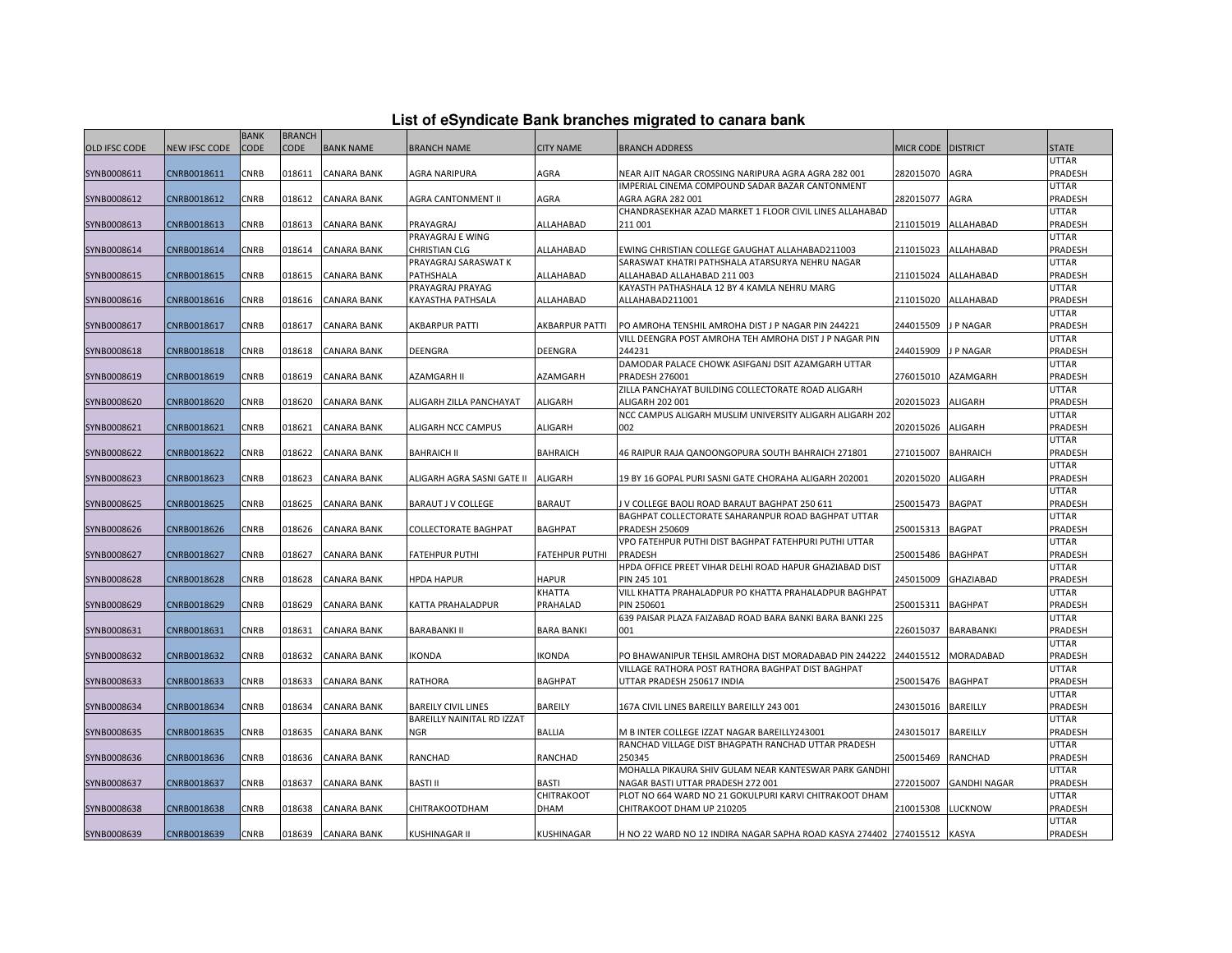| List of eSyndicate Bank branches migrated to canara bank |  |  |
|----------------------------------------------------------|--|--|
|                                                          |  |  |

|                      |                      | <b>BANK</b> | <b>BRANCH</b> |                    |                            |                       |                                                                         |                  |                     |              |
|----------------------|----------------------|-------------|---------------|--------------------|----------------------------|-----------------------|-------------------------------------------------------------------------|------------------|---------------------|--------------|
| <b>OLD IFSC CODE</b> | <b>NEW IFSC CODE</b> | CODE        | <b>CODE</b>   | <b>BANK NAME</b>   | <b>BRANCH NAME</b>         | <b>CITY NAME</b>      | <b>BRANCH ADDRESS</b>                                                   | <b>MICR CODE</b> | <b>DISTRICT</b>     | <b>STATE</b> |
|                      |                      |             |               |                    |                            |                       |                                                                         |                  |                     | UTTAR        |
| SYNB0008611          | CNRB0018611          | <b>CNRB</b> | 018611        | <b>CANARA BANK</b> | AGRA NARIPURA              | AGRA                  | NEAR AJIT NAGAR CROSSING NARIPURA AGRA AGRA 282 001                     | 282015070        | AGRA                | PRADESH      |
|                      |                      |             |               |                    |                            |                       | IMPERIAL CINEMA COMPOUND SADAR BAZAR CANTONMENT                         |                  |                     | UTTAR        |
| SYNB0008612          | CNRB0018612          | CNRB        | 018612        | <b>CANARA BANK</b> | AGRA CANTONMENT II         | AGRA                  | AGRA AGRA 282 001                                                       | 282015077        | AGRA                | PRADESH      |
|                      |                      |             |               |                    |                            |                       | CHANDRASEKHAR AZAD MARKET 1 FLOOR CIVIL LINES ALLAHABAD                 |                  |                     | UTTAR        |
| SYNB0008613          | CNRB0018613          | <b>CNRB</b> | 018613        | <b>CANARA BANK</b> | PRAYAGRAJ                  | ALLAHABAD             | 211 001                                                                 | 211015019        | ALLAHABAD           | PRADESH      |
|                      |                      |             |               |                    | PRAYAGRAJ E WING           |                       |                                                                         |                  |                     | UTTAR        |
| SYNB0008614          | CNRB0018614          | <b>CNRB</b> | 018614        | CANARA BANK        | CHRISTIAN CLG              | ALLAHABAD             | EWING CHRISTIAN COLLEGE GAUGHAT ALLAHABAD211003                         | 211015023        | ALLAHABAD           | PRADESH      |
|                      |                      |             |               |                    | PRAYAGRAJ SARASWAT K       |                       | SARASWAT KHATRI PATHSHALA ATARSURYA NEHRU NAGAR                         |                  |                     | UTTAR        |
| SYNB0008615          | CNRB0018615          | <b>CNRB</b> | 018615        | <b>CANARA BANK</b> | PATHSHALA                  | ALLAHABAD             | ALLAHABAD ALLAHABAD 211 003                                             | 211015024        | ALLAHABAD           | PRADESH      |
|                      |                      |             |               |                    | PRAYAGRAJ PRAYAG           |                       | KAYASTH PATHASHALA 12 BY 4 KAMLA NEHRU MARG                             |                  |                     | UTTAR        |
| SYNB0008616          | CNRB0018616          | <b>CNRB</b> | 018616        | <b>CANARA BANK</b> | KAYASTHA PATHSALA          | ALLAHABAD             | ALLAHABAD211001                                                         | 211015020        | ALLAHABAD           | PRADESH      |
|                      |                      |             |               |                    |                            |                       |                                                                         |                  |                     | UTTAR        |
| SYNB0008617          | CNRB0018617          | CNRB        | 018617        | <b>CANARA BANK</b> | AKBARPUR PATTI             | <b>AKBARPUR PATTI</b> | PO AMROHA TENSHIL AMROHA DIST J P NAGAR PIN 244221                      | 244015509        | J P NAGAR           | PRADESH      |
|                      |                      |             |               |                    |                            |                       | VILL DEENGRA POST AMROHA TEH AMROHA DIST J P NAGAR PIN                  |                  |                     | UTTAR        |
| SYNB0008618          | CNRB0018618          | <b>CNRB</b> | 018618        | <b>CANARA BANK</b> | DEENGRA                    | <b>DEENGRA</b>        | 244231                                                                  | 244015909        | J P NAGAR           | PRADESH      |
|                      |                      |             |               |                    |                            |                       | DAMODAR PALACE CHOWK ASIFGANJ DSIT AZAMGARH UTTAR                       |                  |                     | UTTAR        |
| SYNB0008619          | CNRB0018619          | CNRB        | 018619        | <b>CANARA BANK</b> | AZAMGARH II                | <b>AZAMGARH</b>       | <b>PRADESH 276001</b>                                                   | 276015010        | AZAMGARH            | PRADESH      |
|                      |                      |             |               |                    |                            |                       | ZILLA PANCHAYAT BUILDING COLLECTORATE ROAD ALIGARH                      |                  |                     | UTTAR        |
| SYNB0008620          | CNRB0018620          | CNRB        | 018620        | <b>CANARA BANK</b> | ALIGARH ZILLA PANCHAYAT    | <b>ALIGARH</b>        | <b>ALIGARH 202 001</b>                                                  | 202015023        | ALIGARH             | PRADESH      |
|                      |                      |             |               |                    |                            |                       | NCC CAMPUS ALIGARH MUSLIM UNIVERSITY ALIGARH ALIGARH 202                |                  |                     | <b>UTTAR</b> |
| SYNB0008621          | CNRB0018621          | CNRB        | 018621        | <b>CANARA BANK</b> | ALIGARH NCC CAMPUS         | ALIGARH               | 002                                                                     | 202015026        | ALIGARH             | PRADESH      |
|                      |                      |             |               |                    |                            |                       |                                                                         |                  |                     | UTTAR        |
| SYNB0008622          | CNRB0018622          | <b>CNRB</b> | 018622        | <b>CANARA BANK</b> | <b>BAHRAICH II</b>         | <b>BAHRAICH</b>       | 46 RAIPUR RAJA QANOONGOPURA SOUTH BAHRAICH 271801                       | 271015007        | BAHRAICH            | PRADESH      |
|                      |                      |             |               |                    |                            |                       |                                                                         |                  |                     | UTTAR        |
| SYNB0008623          | CNRB0018623          | <b>CNRB</b> | 018623        | <b>CANARA BANK</b> | ALIGARH AGRA SASNI GATE II | <b>ALIGARH</b>        | 19 BY 16 GOPAL PURI SASNI GATE CHORAHA ALIGARH 202001                   | 202015020        | ALIGARH             | PRADESH      |
|                      |                      |             |               |                    |                            |                       |                                                                         |                  |                     | UTTAR        |
| SYNB0008625          | CNRB0018625          | CNRB        | 018625        | <b>CANARA BANK</b> | BARAUT J V COLLEGE         | <b>BARAUT</b>         | J V COLLEGE BAOLI ROAD BARAUT BAGHPAT 250 611                           | 250015473        | <b>BAGPAT</b>       | PRADESH      |
|                      |                      |             |               |                    |                            |                       | BAGHPAT COLLECTORATE SAHARANPUR ROAD BAGHPAT UTTAR                      |                  |                     | UTTAR        |
| SYNB0008626          | CNRB0018626          | <b>CNRB</b> | 018626        | <b>CANARA BANK</b> | COLLECTORATE BAGHPAT       | <b>BAGHPAT</b>        | <b>PRADESH 250609</b>                                                   | 250015313        | <b>BAGPAT</b>       | PRADESH      |
|                      |                      |             |               |                    |                            |                       | VPO FATEHPUR PUTHI DIST BAGHPAT FATEHPURI PUTHI UTTAR                   |                  |                     | UTTAR        |
| SYNB0008627          | CNRB0018627          | CNRB        | 018627        | <b>CANARA BANK</b> | <b>FATEHPUR PUTHI</b>      | <b>FATEHPUR PUTHI</b> | <b>PRADESH</b>                                                          | 250015486        | <b>BAGHPAT</b>      | PRADESH      |
|                      |                      |             |               |                    |                            |                       | HPDA OFFICE PREET VIHAR DELHI ROAD HAPUR GHAZIABAD DIST                 |                  |                     | UTTAR        |
| SYNB0008628          | CNRB0018628          | CNRB        | 018628        | <b>CANARA BANK</b> | <b>HPDA HAPUR</b>          | <b>HAPUR</b>          | PIN 245 101                                                             | 245015009        | <b>GHAZIABAD</b>    | PRADESH      |
|                      |                      |             |               |                    |                            | <b>KHATTA</b>         | VILL KHATTA PRAHALADPUR PO KHATTA PRAHALADPUR BAGHPAT                   |                  |                     | UTTAR        |
| SYNB0008629          | CNRB0018629          | CNRB        | 018629        | CANARA BANK        | KATTA PRAHALADPUR          | PRAHALAD              | <b>PIN 250601</b>                                                       | 250015311        | <b>BAGHPAT</b>      | PRADESH      |
|                      |                      |             |               |                    |                            |                       | 639 PAISAR PLAZA FAIZABAD ROAD BARA BANKI BARA BANKI 225                |                  |                     | UTTAR        |
| SYNB0008631          | CNRB0018631          | CNRB        | 018631        | <b>CANARA BANK</b> | <b>BARABANKI II</b>        | <b>BARA BANKI</b>     | 001                                                                     | 226015037        | BARABANKI           | PRADESH      |
|                      |                      |             |               |                    |                            |                       |                                                                         |                  |                     | UTTAR        |
| SYNB0008632          | CNRB0018632          | CNRB        | 018632        | <b>CANARA BANK</b> | IKONDA                     | KONDA                 | PO BHAWANIPUR TEHSIL AMROHA DIST MORADABAD PIN 244222                   | 244015512        | MORADABAD           | PRADESH      |
|                      |                      |             |               |                    |                            |                       | VILLAGE RATHORA POST RATHORA BAGHPAT DIST BAGHPAT                       |                  |                     | UTTAR        |
| SYNB0008633          | CNRB0018633          | CNRB        | 018633        | CANARA BANK        | RATHORA                    | <b>BAGHPAT</b>        | UTTAR PRADESH 250617 INDIA                                              | 250015476        | <b>BAGHPAT</b>      | PRADESH      |
|                      |                      |             |               |                    |                            |                       |                                                                         |                  |                     | UTTAR        |
| SYNB0008634          | CNRB0018634          | CNRB        | 018634        | <b>CANARA BANK</b> | <b>BAREILY CIVIL LINES</b> | <b>BAREILY</b>        | 167A CIVIL LINES BAREILLY BAREILLY 243 001                              | 243015016        | <b>BAREILLY</b>     | PRADESH      |
|                      |                      |             |               |                    | BAREILLY NAINITAL RD IZZAT |                       |                                                                         |                  |                     | UTTAR        |
| SYNB0008635          | CNRB0018635          | CNRB        | 018635        | <b>CANARA BANK</b> | NGR                        | <b>BALLIA</b>         | M B INTER COLLEGE IZZAT NAGAR BAREILLY243001                            | 243015017        | <b>BAREILLY</b>     | PRADESH      |
|                      |                      |             |               |                    |                            |                       | RANCHAD VILLAGE DIST BHAGPATH RANCHAD UTTAR PRADESH                     |                  |                     | UTTAR        |
| SYNB0008636          | CNRB0018636          | CNRB        | 018636        | CANARA BANK        | RANCHAD                    | RANCHAD               | 250345                                                                  | 250015469        | RANCHAD             | PRADESH      |
|                      |                      |             |               |                    |                            |                       | MOHALLA PIKAURA SHIV GULAM NEAR KANTESWAR PARK GANDHI                   |                  |                     | UTTAR        |
| SYNB0008637          | CNRB0018637          | CNRB        | 018637        | <b>CANARA BANK</b> | <b>BASTI II</b>            | <b>BASTI</b>          | NAGAR BASTI UTTAR PRADESH 272 001                                       | 272015007        | <b>GANDHI NAGAR</b> | PRADESH      |
|                      |                      |             |               |                    |                            | CHITRAKOOT            | PLOT NO 664 WARD NO 21 GOKULPURI KARVI CHITRAKOOT DHAM                  |                  |                     | UTTAR        |
| SYNB0008638          | CNRB0018638          | CNRB        | 018638        | CANARA BANK        | <b>CHITRAKOOTDHAM</b>      | <b>DHAM</b>           | CHITRAKOOT DHAM UP 210205                                               | 210015308        | LUCKNOW             | PRADESH      |
|                      |                      |             |               |                    |                            |                       |                                                                         |                  |                     | UTTAR        |
| SYNB0008639          | CNRB0018639          | <b>CNRB</b> | 018639        | <b>CANARA BANK</b> | KUSHINAGAR II              | <b>KUSHINAGAR</b>     | H NO 22 WARD NO 12 INDIRA NAGAR SAPHA ROAD KASYA 274402 274015512 KASYA |                  |                     | PRADESH      |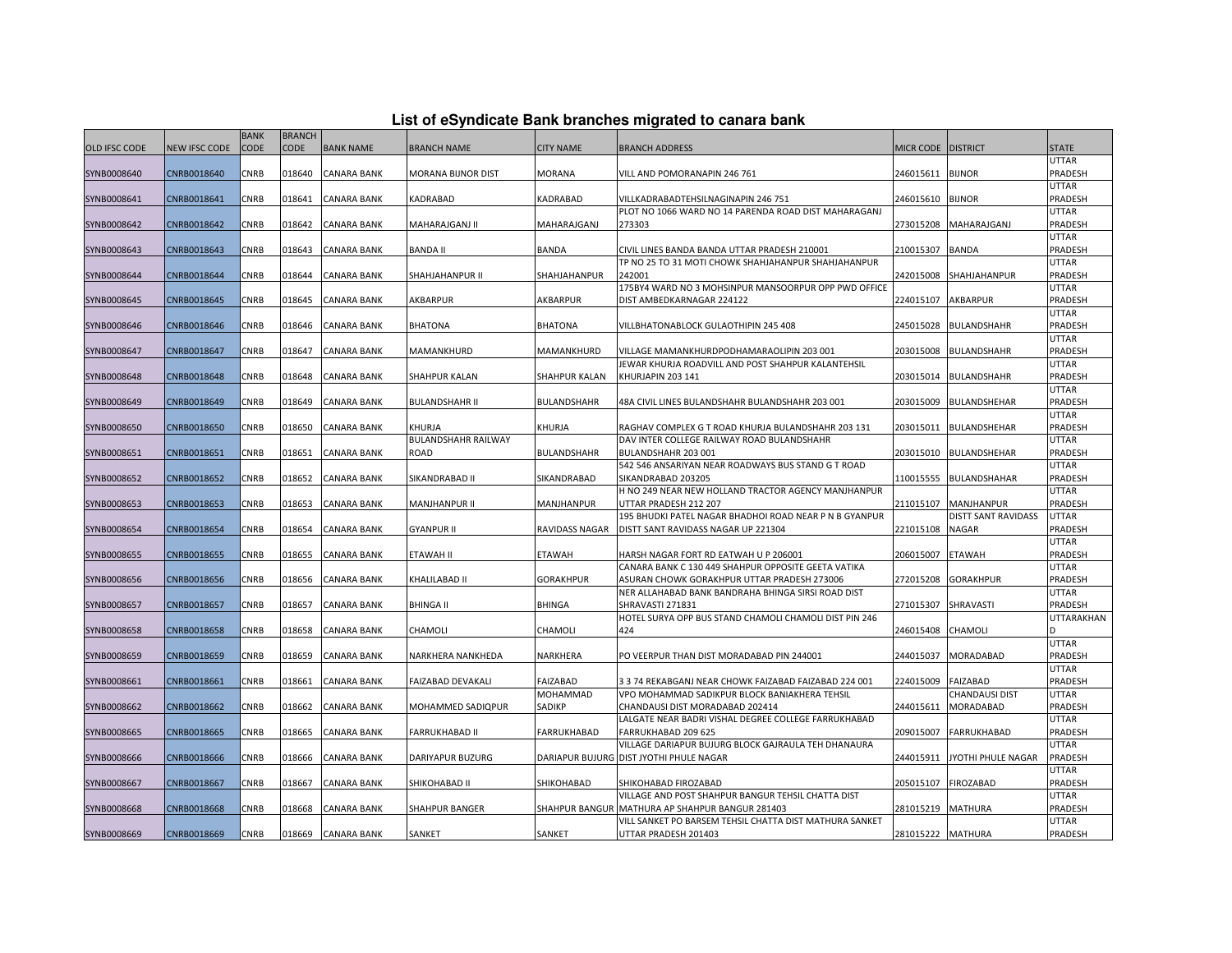| List of eSyndicate Bank branches migrated to canara bank |  |  |
|----------------------------------------------------------|--|--|
|                                                          |  |  |

|                      |                      | <b>BANK</b> | <b>BRANCH</b> |                    |                            |                      |                                                               |                   |                            |                  |
|----------------------|----------------------|-------------|---------------|--------------------|----------------------------|----------------------|---------------------------------------------------------------|-------------------|----------------------------|------------------|
| <b>OLD IFSC CODE</b> | <b>NEW IFSC CODE</b> | CODE        | CODE          | <b>BANK NAME</b>   | <b>BRANCH NAME</b>         | <b>CITY NAME</b>     | <b>BRANCH ADDRESS</b>                                         | MICR CODE         | <b>DISTRICT</b>            | <b>STATE</b>     |
|                      |                      |             |               |                    |                            |                      |                                                               |                   |                            | UTTAR            |
| SYNB0008640          | CNRB0018640          | CNRB        | 018640        | CANARA BANK        | <b>MORANA BIJNOR DIST</b>  | <b>MORANA</b>        | VILL AND POMORANAPIN 246 761                                  | 246015611         | <b>BIJNOR</b>              | PRADESH          |
|                      |                      |             |               |                    |                            |                      |                                                               |                   |                            | UTTAR            |
| SYNB0008641          | CNRB0018641          | CNRB        | 018641        | <b>CANARA BANK</b> | KADRABAD                   | KADRABAD             | VILLKADRABADTEHSILNAGINAPIN 246 751                           | 246015610         | <b>BIJNOR</b>              | PRADESH          |
|                      |                      |             |               |                    |                            |                      | PLOT NO 1066 WARD NO 14 PARENDA ROAD DIST MAHARAGANJ          |                   |                            | UTTAR            |
| SYNB0008642          | CNRB0018642          | <b>CNRB</b> | 018642        | <b>CANARA BANK</b> | MAHARAJGANJ II             | MAHARAJGANJ          | 273303                                                        | 273015208         | MAHARAJGANJ                | PRADESH          |
|                      |                      |             |               |                    |                            |                      |                                                               |                   |                            | UTTAR            |
| SYNB0008643          | CNRB0018643          | <b>CNRB</b> | 018643        | <b>CANARA BANK</b> | <b>BANDA II</b>            | <b>BANDA</b>         | CIVIL LINES BANDA BANDA UTTAR PRADESH 210001                  | 210015307         | <b>BANDA</b>               | PRADESH          |
|                      |                      |             |               |                    |                            |                      | TP NO 25 TO 31 MOTI CHOWK SHAHJAHANPUR SHAHJAHANPUR           |                   |                            | <b>UTTAR</b>     |
| SYNB0008644          | CNRB0018644          | CNRB        | 018644        | <b>CANARA BANK</b> | SHAHJAHANPUR II            | SHAHJAHANPUR         | 242001                                                        | 242015008         | SHAHJAHANPUR               | PRADESH          |
|                      |                      |             |               |                    |                            |                      | 175BY4 WARD NO 3 MOHSINPUR MANSOORPUR OPP PWD OFFICE          |                   |                            | UTTAR            |
| SYNB0008645          | CNRB0018645          | <b>CNRB</b> | 018645        | <b>CANARA BANK</b> | AKBARPUR                   | AKBARPUR             | DIST AMBEDKARNAGAR 224122                                     | 224015107         | AKBARPUR                   | PRADESH          |
|                      |                      |             |               |                    |                            |                      |                                                               |                   |                            | UTTAR            |
| SYNB0008646          | CNRB0018646          | CNRB        | 018646        | <b>CANARA BANK</b> | <b>BHATONA</b>             | <b>BHATONA</b>       | VILLBHATONABLOCK GULAOTHIPIN 245 408                          | 245015028         | <b>BULANDSHAHR</b>         | PRADESH          |
|                      |                      |             |               |                    |                            |                      |                                                               |                   |                            | UTTAR            |
| SYNB0008647          | CNRB0018647          | CNRB        | 018647        | CANARA BANK        | MAMANKHURD                 | MAMANKHURD           | VILLAGE MAMANKHURDPODHAMARAOLIPIN 203 001                     | 203015008         | <b>BULANDSHAHR</b>         | PRADESH          |
|                      |                      |             |               |                    |                            |                      | JEWAR KHURJA ROADVILL AND POST SHAHPUR KALANTEHSIL            |                   |                            | UTTAR            |
| SYNB0008648          | CNRB0018648          | <b>CNRB</b> | 018648        | <b>CANARA BANK</b> | SHAHPUR KALAN              | <b>SHAHPUR KALAN</b> | KHURJAPIN 203 141                                             | 203015014         | BULANDSHAHR                | PRADESH          |
|                      |                      |             |               |                    |                            |                      |                                                               |                   |                            | UTTAR            |
| SYNB0008649          | CNRB0018649          | <b>CNRB</b> | 018649        | <b>CANARA BANK</b> | <b>BULANDSHAHR II</b>      | <b>BULANDSHAHR</b>   | 48A CIVIL LINES BULANDSHAHR BULANDSHAHR 203 001               | 203015009         | BULANDSHEHAR               | PRADESH          |
|                      |                      |             |               |                    |                            |                      |                                                               |                   |                            | UTTAR            |
| SYNB0008650          | CNRB0018650          | <b>CNRB</b> | 018650        | CANARA BANK        | KHURJA                     | <b>KHURJA</b>        | RAGHAV COMPLEX G T ROAD KHURJA BULANDSHAHR 203 131            | 203015011         | <b>BULANDSHEHAR</b>        | PRADESH          |
|                      |                      |             |               |                    | <b>BULANDSHAHR RAILWAY</b> |                      | DAV INTER COLLEGE RAILWAY ROAD BULANDSHAHR                    |                   |                            | UTTAR            |
| SYNB0008651          | CNRB0018651          | <b>CNRB</b> | 018651        | CANARA BANK        | ROAD                       | <b>BULANDSHAHR</b>   | BULANDSHAHR 203 001                                           | 203015010         | BULANDSHEHAR               | PRADESH          |
|                      |                      |             |               |                    |                            |                      | 542 546 ANSARIYAN NEAR ROADWAYS BUS STAND G T ROAD            |                   |                            | UTTAR            |
| SYNB0008652          | CNRB0018652          | <b>CNRB</b> | 018652        | <b>CANARA BANK</b> | SIKANDRABAD II             | SIKANDRABAD          | SIKANDRABAD 203205                                            | 110015555         | <b>BULANDSHAHAR</b>        | PRADESH          |
|                      |                      |             |               |                    |                            |                      | H NO 249 NEAR NEW HOLLAND TRACTOR AGENCY MANJHANPUR           |                   |                            | UTTAR            |
| SYNB0008653          | CNRB0018653          | CNRB        | 018653        | <b>CANARA BANK</b> | <b>MANJHANPUR II</b>       | MANJHANPUR           | UTTAR PRADESH 212 207                                         | 211015107         | MANJHANPUR                 | PRADESH          |
|                      |                      |             |               |                    |                            |                      | 195 BHUDKI PATEL NAGAR BHADHOI ROAD NEAR P N B GYANPUR        |                   | <b>DISTT SANT RAVIDASS</b> | <b>UTTAR</b>     |
| SYNB0008654          | CNRB0018654          | CNRB        | 018654        | CANARA BANK        | <b>GYANPUR II</b>          | RAVIDASS NAGAR       | DISTT SANT RAVIDASS NAGAR UP 221304                           | 221015108         | <b>NAGAR</b>               | PRADESH          |
|                      |                      |             |               |                    |                            |                      |                                                               |                   |                            | UTTAR            |
| SYNB0008655          | CNRB0018655          | CNRB        | 018655        | <b>CANARA BANK</b> | ETAWAH II                  | <b>ETAWAH</b>        | HARSH NAGAR FORT RD EATWAH U P 206001                         | 206015007         | <b>ETAWAH</b>              | PRADESH          |
|                      |                      |             |               |                    |                            |                      | CANARA BANK C 130 449 SHAHPUR OPPOSITE GEETA VATIKA           |                   |                            | UTTAR            |
| SYNB0008656          | CNRB0018656          | CNRB        | 018656        | <b>CANARA BANK</b> | KHALILABAD II              | <b>GORAKHPUR</b>     | ASURAN CHOWK GORAKHPUR UTTAR PRADESH 273006                   | 272015208         | <b>GORAKHPUR</b>           | PRADESH          |
|                      |                      |             |               |                    |                            |                      | NER ALLAHABAD BANK BANDRAHA BHINGA SIRSI ROAD DIST            |                   |                            | UTTAR            |
| SYNB0008657          | CNRB0018657          | <b>CNRB</b> | 018657        | <b>CANARA BANK</b> | <b>BHINGA II</b>           | <b>BHINGA</b>        | SHRAVASTI 271831                                              | 271015307         | SHRAVASTI                  | PRADESH          |
|                      |                      | CNRB        | 018658        | <b>CANARA BANK</b> |                            |                      | HOTEL SURYA OPP BUS STAND CHAMOLI CHAMOLI DIST PIN 246<br>424 |                   |                            | UTTARAKHAN<br>D. |
| SYNB0008658          | CNRB0018658          |             |               |                    | CHAMOLI                    | CHAMOLI              |                                                               | 246015408         | CHAMOLI                    | UTTAR            |
| SYNB0008659          | CNRB0018659          | CNRB        | 018659        | CANARA BANK        | NARKHERA NANKHEDA          | NARKHERA             | PO VEERPUR THAN DIST MORADABAD PIN 244001                     | 244015037         | MORADABAD                  | PRADESH          |
|                      |                      |             |               |                    |                            |                      |                                                               |                   |                            | UTTAR            |
| SYNB0008661          | CNRB0018661          | <b>CNRB</b> | 018661        | CANARA BANK        | FAIZABAD DEVAKALI          | FAIZABAD             | 3 3 74 REKABGANJ NEAR CHOWK FAIZABAD FAIZABAD 224 001         | 224015009         | FAIZABAD                   | PRADESH          |
|                      |                      |             |               |                    |                            | MOHAMMAD             | VPO MOHAMMAD SADIKPUR BLOCK BANIAKHERA TEHSIL                 |                   | CHANDAUSI DIST             | UTTAR            |
| SYNB0008662          | CNRB0018662          | CNRB        | 018662        | <b>CANARA BANK</b> | MOHAMMED SADIQPUR          | SADIKP               | CHANDAUSI DIST MORADABAD 202414                               | 244015611         | MORADABAD                  | PRADESH          |
|                      |                      |             |               |                    |                            |                      | LALGATE NEAR BADRI VISHAL DEGREE COLLEGE FARRUKHABAD          |                   |                            | UTTAR            |
| SYNB0008665          | CNRB0018665          | CNRB        | 018665        | <b>CANARA BANK</b> | <b>FARRUKHABAD II</b>      | <b>FARRUKHABAD</b>   | FARRUKHABAD 209 625                                           | 209015007         | FARRUKHABAD                | PRADESH          |
|                      |                      |             |               |                    |                            |                      | VILLAGE DARIAPUR BUJURG BLOCK GAJRAULA TEH DHANAURA           |                   |                            | UTTAR            |
| SYNB0008666          | CNRB0018666          | <b>CNRB</b> | 018666        | CANARA BANK        | DARIYAPUR BUZURG           |                      | DARIAPUR BUJURG DIST JYOTHI PHULE NAGAR                       | 244015911         | JYOTHI PHULE NAGAR         | PRADESH          |
|                      |                      |             |               |                    |                            |                      |                                                               |                   |                            | UTTAR            |
| SYNB0008667          | CNRB0018667          | CNRB        | 018667        | <b>CANARA BANK</b> | SHIKOHABAD II              | SHIKOHABAD           | SHIKOHABAD FIROZABAD                                          | 205015107         | <b>FIROZABAD</b>           | PRADESH          |
|                      |                      |             |               |                    |                            |                      | VILLAGE AND POST SHAHPUR BANGUR TEHSIL CHATTA DIST            |                   |                            | UTTAR            |
| SYNB0008668          | CNRB0018668          | CNRB        | 018668        | CANARA BANK        | <b>SHAHPUR BANGER</b>      |                      | SHAHPUR BANGUR MATHURA AP SHAHPUR BANGUR 281403               | 281015219         | MATHURA                    | PRADESH          |
|                      |                      |             |               |                    |                            |                      | VILL SANKET PO BARSEM TEHSIL CHATTA DIST MATHURA SANKET       |                   |                            | UTTAR            |
| SYNB0008669          | CNRB0018669          | CNRB        | 018669        | <b>CANARA BANK</b> | SANKET                     | SANKET               | UTTAR PRADESH 201403                                          | 281015222 MATHURA |                            | PRADESH          |
|                      |                      |             |               |                    |                            |                      |                                                               |                   |                            |                  |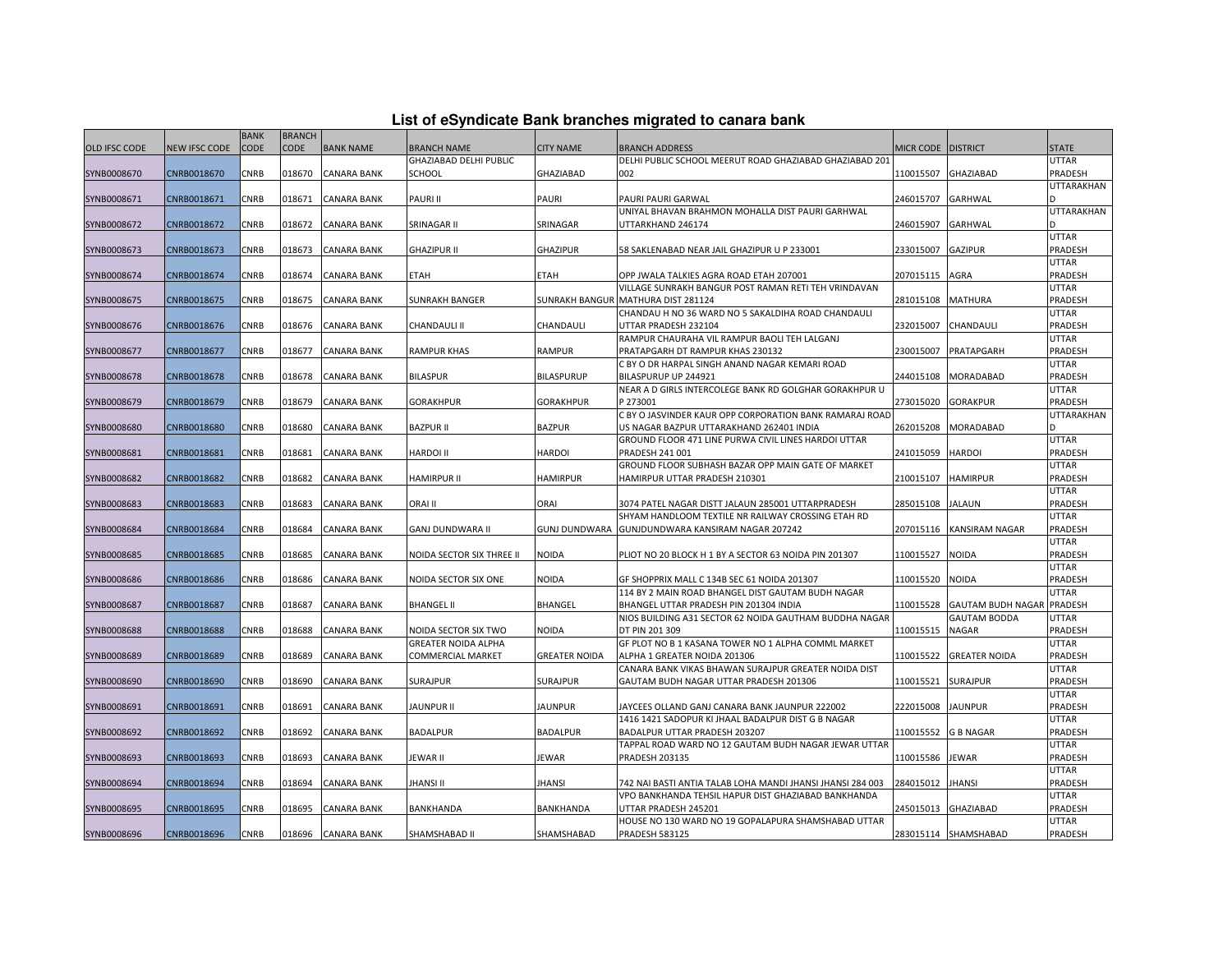| List of eSyndicate Bank branches migrated to canara bank |  |  |
|----------------------------------------------------------|--|--|
|                                                          |  |  |

|                      |                      | <b>BANK</b> | <b>BRANCH</b> |                    |                            |                      |                                                            |                  |                                  |                  |
|----------------------|----------------------|-------------|---------------|--------------------|----------------------------|----------------------|------------------------------------------------------------|------------------|----------------------------------|------------------|
| <b>OLD IFSC CODE</b> | <b>NEW IFSC CODE</b> | CODE        | CODE          | <b>BANK NAME</b>   | <b>BRANCH NAME</b>         | <b>CITY NAME</b>     | <b>BRANCH ADDRESS</b>                                      | <b>MICR CODE</b> | <b>DISTRICT</b>                  | <b>STATE</b>     |
|                      |                      |             |               |                    | GHAZIABAD DELHI PUBLIC     |                      | DELHI PUBLIC SCHOOL MEERUT ROAD GHAZIABAD GHAZIABAD 201    |                  |                                  | UTTAR            |
| SYNB0008670          | CNRB0018670          | CNRB        | 018670        | CANARA BANK        | <b>SCHOOL</b>              | <b>GHAZIABAD</b>     | 002                                                        | 110015507        | GHAZIABAD                        | PRADESH          |
|                      |                      |             |               |                    |                            |                      |                                                            |                  |                                  | UTTARAKHAN       |
| SYNB0008671          | CNRB0018671          | CNRB        | 018671        | CANARA BANK        | PAURI II                   | PAURI                | PAURI PAURI GARWAL                                         | 246015707        | GARHWAL                          |                  |
|                      |                      |             |               |                    |                            |                      | UNIYAL BHAVAN BRAHMON MOHALLA DIST PAURI GARHWAL           |                  |                                  | UTTARAKHAN       |
| SYNB0008672          | CNRB0018672          | <b>CNRB</b> | 018672        | CANARA BANK        | <b>SRINAGAR II</b>         | SRINAGAR             | UTTARKHAND 246174                                          | 246015907        | GARHWAL                          | n.               |
|                      |                      |             |               |                    |                            |                      |                                                            |                  |                                  | UTTAR            |
| SYNB0008673          | CNRB0018673          | CNRB        | 018673        | CANARA BANK        | <b>GHAZIPUR II</b>         | <b>GHAZIPUR</b>      | 58 SAKLENABAD NEAR JAIL GHAZIPUR U P 233001                | 233015007        | <b>GAZIPUR</b>                   | PRADESH          |
|                      |                      |             |               |                    |                            |                      |                                                            |                  |                                  | UTTAR            |
| SYNB0008674          | CNRB0018674          | <b>CNRB</b> | 018674        | CANARA BANK        | <b>ETAH</b>                | <b>ETAH</b>          | OPP JWALA TALKIES AGRA ROAD ETAH 207001                    | 207015115        | AGRA                             | PRADESH          |
|                      |                      |             |               |                    |                            |                      | VILLAGE SUNRAKH BANGUR POST RAMAN RETI TEH VRINDAVAN       |                  |                                  | UTTAR            |
| SYNB0008675          | CNRB0018675          | <b>CNRB</b> | 018675        | CANARA BANK        | <b>SUNRAKH BANGER</b>      |                      | SUNRAKH BANGUR MATHURA DIST 281124                         | 281015108        | MATHURA                          | PRADESH          |
|                      |                      |             |               |                    |                            |                      | CHANDAU H NO 36 WARD NO 5 SAKALDIHA ROAD CHANDAULI         |                  |                                  | UTTAR            |
| SYNB0008676          | CNRB0018676          | CNRB        | 018676        | CANARA BANK        | <b>CHANDAULI II</b>        | CHANDAULI            | UTTAR PRADESH 232104                                       | 232015007        | CHANDAULI                        | PRADESH          |
|                      |                      |             |               |                    |                            |                      | RAMPUR CHAURAHA VIL RAMPUR BAOLI TEH LALGANJ               |                  |                                  | UTTAR            |
| SYNB0008677          | CNRB0018677          | CNRB        | 018677        | CANARA BANK        | <b>RAMPUR KHAS</b>         | <b>RAMPUR</b>        | PRATAPGARH DT RAMPUR KHAS 230132                           | 230015007        | PRATAPGARH                       | PRADESH          |
|                      |                      |             |               |                    |                            |                      | C BY O DR HARPAL SINGH ANAND NAGAR KEMARI ROAD             |                  |                                  | UTTAR            |
| SYNB0008678          | CNRB0018678          | CNRB        | 018678        | CANARA BANK        | <b>BILASPUR</b>            | <b>BILASPURUP</b>    | BILASPURUP UP 244921                                       | 244015108        | MORADABAD                        | PRADESH          |
|                      |                      |             |               |                    |                            |                      | NEAR A D GIRLS INTERCOLEGE BANK RD GOLGHAR GORAKHPUR U     |                  |                                  | UTTAR            |
| SYNB0008679          | CNRB0018679          | CNRB        | 018679        | CANARA BANK        | <b>GORAKHPUR</b>           | <b>GORAKHPUR</b>     | P 273001                                                   | 273015020        | <b>GORAKPUR</b>                  | PRADESH          |
|                      |                      |             |               |                    |                            |                      | C BY O JASVINDER KAUR OPP CORPORATION BANK RAMARAJ ROAD    |                  |                                  | UTTARAKHAN       |
| SYNB0008680          | CNRB0018680          | CNRB        | 018680        | CANARA BANK        | <b>BAZPUR II</b>           | <b>BAZPUR</b>        | US NAGAR BAZPUR UTTARAKHAND 262401 INDIA                   | 262015208        | MORADABAD                        |                  |
|                      |                      |             |               |                    |                            |                      | GROUND FLOOR 471 LINE PURWA CIVIL LINES HARDOI UTTAR       |                  |                                  | UTTAR            |
| SYNB0008681          | CNRB0018681          | <b>CNRB</b> | 018681        | CANARA BANK        | <b>HARDOI II</b>           | <b>HARDOI</b>        | PRADESH 241 001                                            | 241015059        | <b>HARDOI</b>                    | PRADESH          |
|                      |                      | <b>CNRB</b> | 018682        |                    |                            |                      | GROUND FLOOR SUBHASH BAZAR OPP MAIN GATE OF MARKET         |                  | <b>HAMIRPUR</b>                  | UTTAR            |
| SYNB0008682          | CNRB0018682          |             |               | CANARA BANK        | <b>HAMIRPUR II</b>         | <b>HAMIRPUR</b>      | HAMIRPUR UTTAR PRADESH 210301                              | 210015107        |                                  | PRADESH<br>UTTAR |
| SYNB0008683          | CNRB0018683          | CNRB        | 018683        | CANARA BANK        | ORAI II                    | ORAI                 | 3074 PATEL NAGAR DISTT JALAUN 285001 UTTARPRADESH          | 285015108        | JALAUN                           | PRADESH          |
|                      |                      |             |               |                    |                            |                      | SHYAM HANDLOOM TEXTILE NR RAILWAY CROSSING ETAH RD         |                  |                                  | UTTAR            |
| SYNB0008684          | CNRB0018684          | <b>CNRB</b> | 018684        | CANARA BANK        | GANJ DUNDWARA II           | <b>GUNJ DUNDWARA</b> | GUNJDUNDWARA KANSIRAM NAGAR 207242                         | 207015116        | KANSIRAM NAGAR                   | PRADESH          |
|                      |                      |             |               |                    |                            |                      |                                                            |                  |                                  | UTTAR            |
| SYNB0008685          | CNRB0018685          | CNRB        | 018685        | CANARA BANK        | NOIDA SECTOR SIX THREE II  | <b>NOIDA</b>         | PLIOT NO 20 BLOCK H 1 BY A SECTOR 63 NOIDA PIN 201307      | 110015527        | <b>NOIDA</b>                     | PRADESH          |
|                      |                      |             |               |                    |                            |                      |                                                            |                  |                                  | UTTAR            |
| SYNB0008686          | CNRB0018686          | CNRB        | 018686        | CANARA BANK        | NOIDA SECTOR SIX ONE       | <b>NOIDA</b>         | GF SHOPPRIX MALL C 134B SEC 61 NOIDA 201307                | 110015520        | NOIDA                            | PRADESH          |
|                      |                      |             |               |                    |                            |                      | 114 BY 2 MAIN ROAD BHANGEL DIST GAUTAM BUDH NAGAR          |                  |                                  | UTTAR            |
| SYNB0008687          | CNRB0018687          | <b>CNRB</b> | 018687        | CANARA BANK        | <b>BHANGEL II</b>          | BHANGEL              | BHANGEL UTTAR PRADESH PIN 201304 INDIA                     | 110015528        | <b>GAUTAM BUDH NAGAR PRADESH</b> |                  |
|                      |                      |             |               |                    |                            |                      | NIOS BUILDING A31 SECTOR 62 NOIDA GAUTHAM BUDDHA NAGAR     |                  | <b>GAUTAM BODDA</b>              | UTTAR            |
| SYNB0008688          | CNRB0018688          | CNRB        | 018688        | CANARA BANK        | NOIDA SECTOR SIX TWO       | <b>NOIDA</b>         | DT PIN 201 309                                             | 110015515        | <b>NAGAR</b>                     | PRADESH          |
|                      |                      |             |               |                    | <b>GREATER NOIDA ALPHA</b> |                      | GF PLOT NO B 1 KASANA TOWER NO 1 ALPHA COMML MARKET        |                  |                                  | UTTAR            |
| SYNB0008689          | CNRB0018689          | CNRB        | 018689        | CANARA BANK        | COMMERCIAL MARKET          | <b>GREATER NOIDA</b> | ALPHA 1 GREATER NOIDA 201306                               | 110015522        | <b>GREATER NOIDA</b>             | PRADESH          |
|                      |                      |             |               |                    |                            |                      | CANARA BANK VIKAS BHAWAN SURAJPUR GREATER NOIDA DIST       |                  |                                  | UTTAR            |
| SYNB0008690          | CNRB0018690          | <b>CNRB</b> | 018690        | CANARA BANK        | <b>SURAJPUR</b>            | SURAJPUR             | GAUTAM BUDH NAGAR UTTAR PRADESH 201306                     | 110015521        | <b>SURAJPUR</b>                  | PRADESH          |
|                      |                      |             |               |                    |                            |                      |                                                            |                  |                                  | UTTAR            |
| SYNB0008691          | CNRB0018691          | CNRB        | 018691        | CANARA BANK        | <b>JAUNPUR II</b>          | <b>JAUNPUR</b>       | JAYCEES OLLAND GANJ CANARA BANK JAUNPUR 222002             | 222015008        | <b>JAUNPUR</b>                   | PRADESH          |
|                      |                      |             |               |                    |                            |                      | 1416 1421 SADOPUR KI JHAAL BADALPUR DIST G B NAGAR         |                  |                                  | UTTAR            |
| SYNB0008692          | CNRB0018692          | CNRB        | 018692        | CANARA BANK        | <b>BADALPUR</b>            | <b>BADALPUR</b>      | BADALPUR UTTAR PRADESH 203207                              | 110015552        | <b>GB NAGAR</b>                  | PRADESH          |
|                      |                      |             |               |                    |                            |                      | TAPPAL ROAD WARD NO 12 GAUTAM BUDH NAGAR JEWAR UTTAR       |                  |                                  | UTTAR            |
| SYNB0008693          | CNRB0018693          | CNRB        | 018693        | CANARA BANK        | JEWAR II                   | JEWAR                | PRADESH 203135                                             | 110015586        | JEWAR                            | PRADESH          |
|                      |                      |             |               |                    |                            |                      |                                                            |                  |                                  | UTTAR            |
| SYNB0008694          | CNRB0018694          | CNRB        | 018694        | CANARA BANK        | <b>JHANSI II</b>           | <b>JHANSI</b>        | 742 NAI BASTI ANTIA TALAB LOHA MANDI JHANSI JHANSI 284 003 | 284015012        | <b>JHANSI</b>                    | PRADESH          |
|                      |                      |             |               |                    |                            |                      | VPO BANKHANDA TEHSIL HAPUR DIST GHAZIABAD BANKHANDA        |                  |                                  | UTTAR            |
| SYNB0008695          | CNRB0018695          | CNRB        | 018695        | CANARA BANK        | <b>BANKHANDA</b>           | <b>BANKHANDA</b>     | JTTAR PRADESH 245201                                       | 245015013        | <b>GHAZIABAD</b>                 | PRADESH          |
|                      |                      |             |               |                    |                            |                      | HOUSE NO 130 WARD NO 19 GOPALAPURA SHAMSHABAD UTTAR        |                  |                                  | UTTAR            |
| SYNB0008696          | CNRB0018696          | <b>CNRB</b> | 018696        | <b>CANARA BANK</b> | SHAMSHABAD II              | SHAMSHABAD           | <b>PRADESH 583125</b>                                      |                  | 283015114 SHAMSHABAD             | PRADESH          |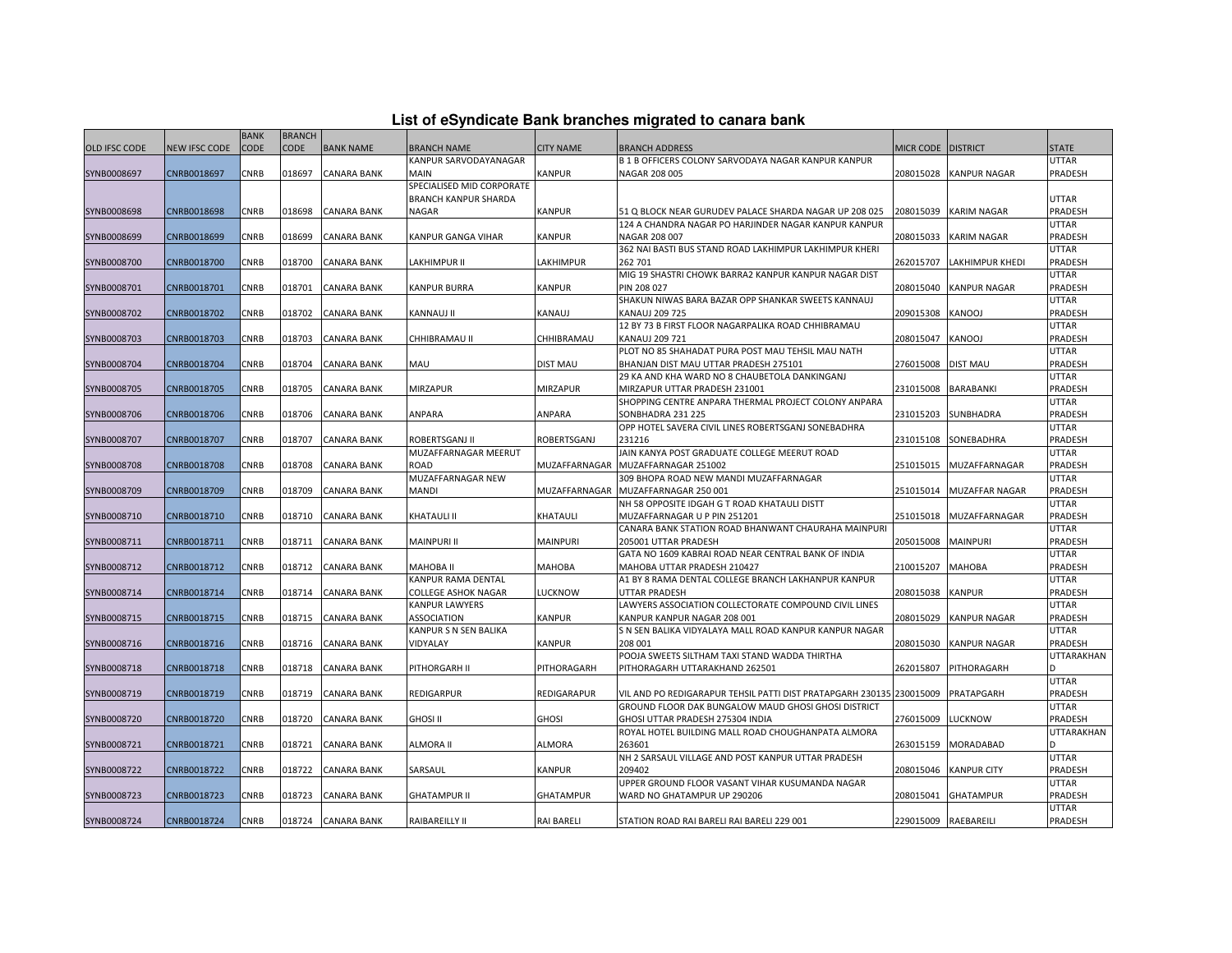| List of eSyndicate Bank branches migrated to canara bank |  |  |
|----------------------------------------------------------|--|--|
|                                                          |  |  |

|               |                      | <b>BANK</b> | <b>BRANCH</b> |                    |                             |                    |                                                                      |                      |                     |                |
|---------------|----------------------|-------------|---------------|--------------------|-----------------------------|--------------------|----------------------------------------------------------------------|----------------------|---------------------|----------------|
| OLD IFSC CODE | <b>NEW IFSC CODE</b> | <b>CODE</b> | <b>CODE</b>   | <b>BANK NAME</b>   | BRANCH NAME                 | <b>CITY NAME</b>   | <b>BRANCH ADDRESS</b>                                                | <b>MICR CODE</b>     | <b>DISTRICT</b>     | STATE          |
|               |                      |             |               |                    | KANPUR SARVODAYANAGAR       |                    | <b>B 1 B OFFICERS COLONY SARVODAYA NAGAR KANPUR KANPUR</b>           |                      |                     | UTTAR          |
| SYNB0008697   | CNRB0018697          | CNRB        | 018697        | <b>CANARA BANK</b> | MAIN                        | <b>KANPUR</b>      | NAGAR 208 005                                                        | 208015028            | <b>KANPUR NAGAR</b> | PRADESH        |
|               |                      |             |               |                    | SPECIALISED MID CORPORATE   |                    |                                                                      |                      |                     |                |
|               |                      |             |               |                    | <b>BRANCH KANPUR SHARDA</b> |                    |                                                                      |                      |                     | UTTAR          |
| SYNB0008698   | CNRB0018698          | <b>CNRB</b> | 018698        | CANARA BANK        | NAGAR                       | <b>KANPUR</b>      | 51 Q BLOCK NEAR GURUDEV PALACE SHARDA NAGAR UP 208 025               | 208015039            | KARIM NAGAR         | PRADESH        |
|               |                      |             |               |                    |                             |                    | 124 A CHANDRA NAGAR PO HARJINDER NAGAR KANPUR KANPUR                 |                      |                     | UTTAR          |
| SYNB0008699   | CNRB0018699          | <b>CNRB</b> | 018699        | <b>CANARA BANK</b> | KANPUR GANGA VIHAR          | <b>KANPUR</b>      | NAGAR 208 007                                                        | 208015033            | KARIM NAGAR         | PRADESH        |
|               |                      |             |               |                    |                             |                    | 362 NAI BASTI BUS STAND ROAD LAKHIMPUR LAKHIMPUR KHERI               |                      |                     | UTTAR          |
| SYNB0008700   | CNRB0018700          | CNRB        | 018700        | <b>CANARA BANK</b> | LAKHIMPUR II                | LAKHIMPUR          | 262 701                                                              | 262015707            | LAKHIMPUR KHEDI     | PRADESH        |
|               |                      |             |               |                    |                             |                    | MIG 19 SHASTRI CHOWK BARRA2 KANPUR KANPUR NAGAR DIST                 |                      |                     | UTTAR          |
| SYNB0008701   | CNRB0018701          | CNRB        | 018701        | <b>CANARA BANK</b> | KANPUR BURRA                | <b>KANPUR</b>      | PIN 208 027                                                          | 208015040            | KANPUR NAGAR        | PRADESH        |
|               |                      |             |               |                    |                             |                    | SHAKUN NIWAS BARA BAZAR OPP SHANKAR SWEETS KANNAUJ                   |                      |                     | UTTAR          |
| SYNB0008702   | CNRB0018702          | CNRB        | 018702        | <b>CANARA BANK</b> | <b>KANNAUJ II</b>           | <b>KANAUJ</b>      | <b>KANAUJ 209 725</b>                                                | 209015308            | KANOOJ              | PRADESH        |
|               |                      |             |               |                    |                             |                    | 12 BY 73 B FIRST FLOOR NAGARPALIKA ROAD CHHIBRAMAU                   |                      |                     | UTTAR          |
| SYNB0008703   | CNRB0018703          | CNRB        | 018703        | <b>CANARA BANK</b> | CHHIBRAMAU II               | CHHIBRAMAU         | <b>KANAUJ 209 721</b>                                                | 208015047            | KANOOJ              | PRADESH        |
|               |                      |             |               |                    |                             |                    | PLOT NO 85 SHAHADAT PURA POST MAU TEHSIL MAU NATH                    |                      |                     | UTTAR          |
| SYNB0008704   | CNRB0018704          | <b>CNRB</b> | 018704        | <b>CANARA BANK</b> | MAU                         | <b>DIST MAU</b>    | BHANJAN DIST MAU UTTAR PRADESH 275101                                | 276015008            | <b>DIST MAU</b>     | PRADESH        |
|               |                      |             |               |                    |                             |                    | 29 KA AND KHA WARD NO 8 CHAUBETOLA DANKINGANJ                        |                      |                     | UTTAR          |
| SYNB0008705   | CNRB0018705          | <b>CNRB</b> | 018705        | <b>CANARA BANK</b> | <b>MIRZAPUR</b>             | <b>MIRZAPUR</b>    | MIRZAPUR UTTAR PRADESH 231001                                        | 231015008            | BARABANKI           | PRADESH        |
|               |                      |             |               |                    |                             |                    | SHOPPING CENTRE ANPARA THERMAL PROJECT COLONY ANPARA                 |                      |                     | UTTAR          |
| SYNB0008706   | CNRB0018706          | <b>CNRB</b> | 018706        | <b>CANARA BANK</b> | ANPARA                      | ANPARA             | SONBHADRA 231 225                                                    | 231015203            | SUNBHADRA           | PRADESH        |
|               |                      |             |               |                    |                             |                    | OPP HOTEL SAVERA CIVIL LINES ROBERTSGANJ SONEBADHRA                  |                      |                     | UTTAR          |
| SYNB0008707   | CNRB0018707          | <b>CNRB</b> | 018707        | <b>CANARA BANK</b> | ROBERTSGANJ II              | <b>ROBERTSGANJ</b> | 231216                                                               | 231015108            | SONEBADHRA          | PRADESH        |
|               |                      |             |               |                    | MUZAFFARNAGAR MEERUT        |                    | JAIN KANYA POST GRADUATE COLLEGE MEERUT ROAD                         |                      |                     | UTTAR          |
| SYNB0008708   | CNRB0018708          | <b>CNRB</b> | 018708        | CANARA BANK        | ROAD                        | MUZAFFARNAGAR      | MUZAFFARNAGAR 251002                                                 | 251015015            | MUZAFFARNAGAR       | <b>PRADESH</b> |
|               |                      |             |               |                    | MUZAFFARNAGAR NEW           |                    | 309 BHOPA ROAD NEW MANDI MUZAFFARNAGAR                               |                      |                     | UTTAR          |
| SYNB0008709   | CNRB0018709          | <b>CNRB</b> | 018709        | <b>CANARA BANK</b> | <b>MANDI</b>                | MUZAFFARNAGAR      | MUZAFFARNAGAR 250 001                                                | 251015014            | MUZAFFAR NAGAR      | PRADESH        |
|               |                      |             |               |                    |                             |                    | NH 58 OPPOSITE IDGAH G T ROAD KHATAULI DISTT                         |                      |                     | UTTAR          |
| SYNB0008710   | CNRB0018710          | <b>CNRB</b> | 018710        | <b>CANARA BANK</b> | KHATAULI II                 | KHATAULI           | MUZAFFARNAGAR U P PIN 251201                                         | 251015018            | MUZAFFARNAGAR       | PRADESH        |
|               |                      |             |               |                    |                             |                    | CANARA BANK STATION ROAD BHANWANT CHAURAHA MAINPURI                  |                      |                     | UTTAR          |
| SYNB0008711   | CNRB0018711          | <b>CNRB</b> | 018711        | <b>CANARA BANK</b> | <b>MAINPURI II</b>          | <b>MAINPURI</b>    | 205001 UTTAR PRADESH                                                 | 205015008            | MAINPURI            | PRADESH        |
|               |                      |             |               |                    |                             |                    | GATA NO 1609 KABRAI ROAD NEAR CENTRAL BANK OF INDIA                  |                      |                     | UTTAR          |
| SYNB0008712   | CNRB0018712          | <b>CNRB</b> | 018712        | <b>CANARA BANK</b> | <b>MAHOBA II</b>            | <b>МАНОВА</b>      | MAHOBA UTTAR PRADESH 210427                                          | 210015207            | MAHOBA              | PRADESH        |
|               |                      |             |               |                    | KANPUR RAMA DENTAL          |                    | A1 BY 8 RAMA DENTAL COLLEGE BRANCH LAKHANPUR KANPUR                  |                      |                     | UTTAR          |
| SYNB0008714   | CNRB0018714          | <b>CNRB</b> | 018714        | <b>CANARA BANK</b> | <b>COLLEGE ASHOK NAGAR</b>  | LUCKNOW            | <b>UTTAR PRADESH</b>                                                 | 208015038            | <b>KANPUR</b>       | PRADESH        |
|               |                      |             |               |                    | KANPUR LAWYERS              |                    | LAWYERS ASSOCIATION COLLECTORATE COMPOUND CIVIL LINES                |                      |                     | UTTAR          |
| SYNB0008715   | CNRB0018715          | <b>CNRB</b> | 018715        | <b>CANARA BANK</b> | ASSOCIATION                 | <b>KANPUR</b>      | KANPUR KANPUR NAGAR 208 001                                          | 208015029            | KANPUR NAGAR        | PRADESH        |
|               |                      |             |               |                    | KANPUR S N SEN BALIKA       |                    | S N SEN BALIKA VIDYALAYA MALL ROAD KANPUR KANPUR NAGAR               |                      |                     | UTTAR          |
| SYNB0008716   | CNRB0018716          | <b>CNRB</b> | 018716        | <b>CANARA BANK</b> | VIDYALAY                    | <b>KANPUR</b>      | 208 001                                                              | 208015030            | <b>KANPUR NAGAR</b> | PRADESH        |
|               |                      |             |               |                    |                             |                    | POOJA SWEETS SILTHAM TAXI STAND WADDA THIRTHA                        |                      |                     | UTTARAKHAN     |
| SYNB0008718   | CNRB0018718          | CNRB        | 018718        | <b>CANARA BANK</b> | PITHORGARH II               | PITHORAGARH        | PITHORAGARH UTTARAKHAND 262501                                       | 262015807            | PITHORAGARH         | D.             |
|               |                      |             |               |                    |                             |                    |                                                                      |                      |                     | UTTAR          |
| SYNB0008719   | CNRB0018719          | CNRB        | 018719        | <b>CANARA BANK</b> | REDIGARPUR                  | <b>REDIGARAPUR</b> | VIL AND PO REDIGARAPUR TEHSIL PATTI DIST PRATAPGARH 230135 230015009 |                      | PRATAPGARH          | PRADESH        |
|               |                      |             |               |                    |                             |                    | GROUND FLOOR DAK BUNGALOW MAUD GHOSI GHOSI DISTRICT                  |                      |                     | UTTAR          |
| SYNB0008720   | CNRB0018720          | <b>CNRB</b> | 018720        | <b>CANARA BANK</b> | <b>GHOSI II</b>             | <b>GHOSI</b>       | GHOSI UTTAR PRADESH 275304 INDIA                                     | 276015009            | LUCKNOW             | PRADESH        |
|               |                      |             |               |                    |                             |                    | ROYAL HOTEL BUILDING MALL ROAD CHOUGHANPATA ALMORA                   |                      |                     | UTTARAKHAN     |
| SYNB0008721   | CNRB0018721          | <b>CNRB</b> | 018721        | <b>CANARA BANK</b> | ALMORA II                   | <b>ALMORA</b>      | 263601                                                               | 263015159            | MORADABAD           |                |
|               |                      |             |               |                    |                             |                    | NH 2 SARSAUL VILLAGE AND POST KANPUR UTTAR PRADESH                   |                      |                     | UTTAR          |
| SYNB0008722   | CNRB0018722          | <b>CNRB</b> | 018722        | <b>CANARA BANK</b> | SARSAUL                     | <b>KANPUR</b>      | 209402                                                               | 208015046            | <b>KANPUR CITY</b>  | PRADESH        |
|               |                      |             |               |                    |                             |                    | UPPER GROUND FLOOR VASANT VIHAR KUSUMANDA NAGAR                      |                      |                     | UTTAR          |
| SYNB0008723   | CNRB0018723          | <b>CNRB</b> | 018723        | <b>CANARA BANK</b> | <b>GHATAMPUR II</b>         | <b>GHATAMPUR</b>   | WARD NO GHATAMPUR UP 290206                                          | 208015041            | GHATAMPUR           | PRADESH        |
|               |                      |             |               |                    |                             |                    |                                                                      |                      |                     | UTTAR          |
| SYNB0008724   |                      | <b>CNRB</b> | 018724        |                    |                             | <b>RAI BARELI</b>  |                                                                      | 229015009 RAEBAREILI |                     | PRADESH        |
|               | CNRB0018724          |             |               | <b>CANARA BANK</b> | RAIBAREILLY II              |                    | STATION ROAD RAI BARELI RAI BARELI 229 001                           |                      |                     |                |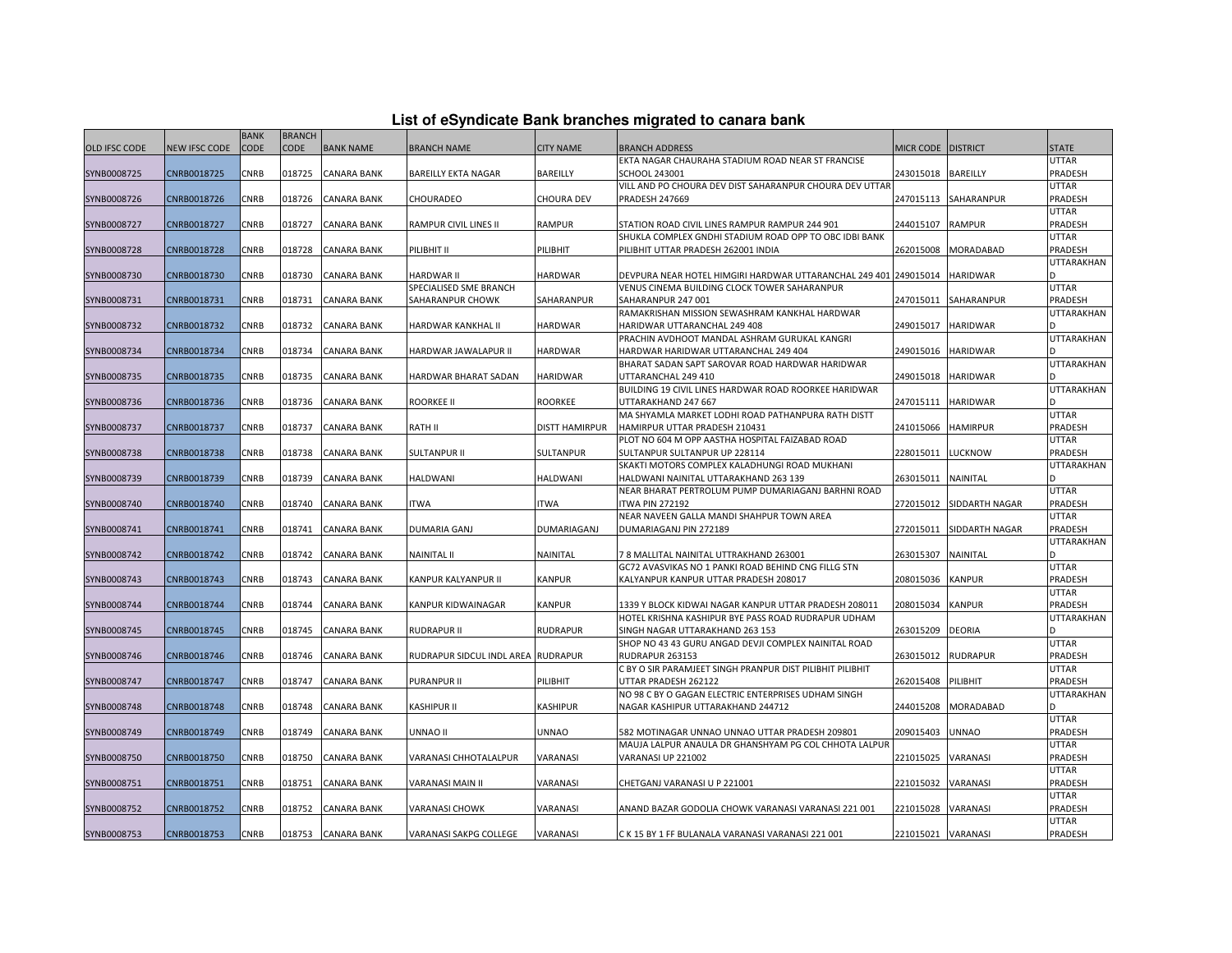|  |  | List of eSyndicate Bank branches migrated to canara bank |  |  |  |
|--|--|----------------------------------------------------------|--|--|--|
|  |  |                                                          |  |  |  |

|               | List of eSyndicate Bank branches migrated to canara bank |             |               |                    |                                    |                       |                                                                                  |                    |                 |              |  |
|---------------|----------------------------------------------------------|-------------|---------------|--------------------|------------------------------------|-----------------------|----------------------------------------------------------------------------------|--------------------|-----------------|--------------|--|
|               |                                                          | <b>BANK</b> | <b>BRANCH</b> |                    |                                    |                       |                                                                                  |                    |                 |              |  |
| OLD IFSC CODE | <b>NEW IFSC CODE</b>                                     | <b>CODE</b> | <b>CODE</b>   | <b>BANK NAME</b>   | <b>BRANCH NAME</b>                 | <b>CITY NAME</b>      | <b>BRANCH ADDRESS</b>                                                            | MICR CODE DISTRICT |                 | <b>STATE</b> |  |
|               |                                                          |             |               |                    |                                    |                       | EKTA NAGAR CHAURAHA STADIUM ROAD NEAR ST FRANCISE                                |                    |                 | UTTAR        |  |
| SYNB0008725   | CNRB0018725                                              | CNRB        | 018725        | <b>CANARA BANK</b> | <b>BAREILLY EKTA NAGAR</b>         | BAREILLY              | SCHOOL 243001                                                                    | 243015018          | <b>BAREILLY</b> | PRADESH      |  |
|               |                                                          |             |               |                    |                                    |                       | VILL AND PO CHOURA DEV DIST SAHARANPUR CHOURA DEV UTTAF                          |                    |                 | UTTAR        |  |
| SYNB0008726   | CNRB0018726                                              | <b>CNRB</b> | 018726        | <b>CANARA BANK</b> | CHOURADEO                          | <b>CHOURA DEV</b>     | <b>PRADESH 247669</b>                                                            | 247015113          | SAHARANPUR      | PRADESH      |  |
|               |                                                          |             |               |                    |                                    |                       |                                                                                  |                    |                 | UTTAR        |  |
| SYNB0008727   | CNRB0018727                                              | CNRB        | 018727        | <b>CANARA BANK</b> | RAMPUR CIVIL LINES II              | <b>RAMPUR</b>         | STATION ROAD CIVIL LINES RAMPUR RAMPUR 244 901                                   | 244015107          | <b>RAMPUR</b>   | PRADESH      |  |
|               |                                                          |             |               |                    |                                    |                       | SHUKLA COMPLEX GNDHI STADIUM ROAD OPP TO OBC IDBI BANK                           |                    |                 | UTTAR        |  |
| SYNB0008728   | CNRB0018728                                              | CNRB        | 018728        | <b>CANARA BANK</b> | PILIBHIT II                        | PILIBHIT              | PILIBHIT UTTAR PRADESH 262001 INDIA                                              | 262015008          | MORADABAD       | PRADESH      |  |
|               |                                                          |             |               |                    |                                    |                       |                                                                                  |                    |                 | UTTARAKHAN   |  |
| SYNB0008730   | CNRB0018730                                              | CNRB        | 018730        | <b>CANARA BANK</b> | <b>HARDWAR II</b>                  | <b>HARDWAR</b>        | DEVPURA NEAR HOTEL HIMGIRI HARDWAR UTTARANCHAL 249 401 249015014                 |                    | <b>HARIDWAR</b> |              |  |
|               |                                                          |             |               |                    | SPECIALISED SME BRANCH             |                       | VENUS CINEMA BUILDING CLOCK TOWER SAHARANPUR                                     |                    |                 | UTTAR        |  |
| SYNB0008731   | CNRB0018731                                              | <b>CNRB</b> | 018731        | <b>CANARA BANK</b> | SAHARANPUR CHOWK                   | SAHARANPUR            | SAHARANPUR 247 001                                                               | 247015011          | SAHARANPUR      | PRADESH      |  |
|               |                                                          |             |               |                    |                                    |                       | RAMAKRISHAN MISSION SEWASHRAM KANKHAL HARDWAR                                    |                    |                 | UTTARAKHAN   |  |
| SYNB0008732   | CNRB0018732                                              | CNRB        | 018732        | <b>CANARA BANK</b> | HARDWAR KANKHAL II                 | <b>HARDWAR</b>        | HARIDWAR UTTARANCHAL 249 408                                                     | 249015017          | <b>HARIDWAR</b> |              |  |
|               |                                                          |             |               |                    |                                    |                       | PRACHIN AVDHOOT MANDAL ASHRAM GURUKAL KANGRI                                     |                    |                 | UTTARAKHAN   |  |
| SYNB0008734   | CNRB0018734                                              | CNRB        | 018734        | <b>CANARA BANK</b> | HARDWAR JAWALAPUR II               | <b>HARDWAR</b>        | HARDWAR HARIDWAR UTTARANCHAL 249 404                                             | 249015016          | <b>HARIDWAR</b> |              |  |
|               |                                                          |             |               |                    |                                    |                       | BHARAT SADAN SAPT SAROVAR ROAD HARDWAR HARIDWAR                                  |                    |                 | UTTARAKHAN   |  |
| SYNB0008735   | CNRB0018735                                              | <b>CNRB</b> | 018735        | <b>CANARA BANK</b> | HARDWAR BHARAT SADAN               | <b>HARIDWAR</b>       | UTTARANCHAL 249 410<br>BUILDING 19 CIVIL LINES HARDWAR ROAD ROORKEE HARIDWAR     | 249015018          | <b>HARIDWAR</b> | UTTARAKHAN   |  |
|               | CNRB0018736                                              | <b>CNRB</b> | 018736        |                    | <b>ROORKEE II</b>                  | <b>ROORKEE</b>        |                                                                                  |                    | <b>HARIDWAR</b> |              |  |
| SYNB0008736   |                                                          |             |               | <b>CANARA BANK</b> |                                    |                       | UTTARAKHAND 247 667<br>MA SHYAMLA MARKET LODHI ROAD PATHANPURA RATH DISTT        | 247015111          |                 | UTTAR        |  |
|               | CNRB0018737                                              | <b>CNRB</b> |               |                    |                                    |                       |                                                                                  |                    |                 | PRADESH      |  |
| SYNB0008737   |                                                          |             | 018737        | <b>CANARA BANK</b> | RATH II                            | <b>DISTT HAMIRPUR</b> | HAMIRPUR UTTAR PRADESH 210431<br>PLOT NO 604 M OPP AASTHA HOSPITAL FAIZABAD ROAD | 241015066          | <b>HAMIRPUR</b> | UTTAR        |  |
| SYNB0008738   | CNRB0018738                                              | <b>CNRB</b> | 018738        | <b>CANARA BANK</b> | SULTANPUR II                       | <b>SULTANPUR</b>      | SULTANPUR SULTANPUR UP 228114                                                    | 228015011          | <b>LUCKNOW</b>  | PRADESH      |  |
|               |                                                          |             |               |                    |                                    |                       | SKAKTI MOTORS COMPLEX KALADHUNGI ROAD MUKHANI                                    |                    |                 | UTTARAKHAN   |  |
| SYNB0008739   | CNRB0018739                                              | CNRB        | 018739        | <b>CANARA BANK</b> | <b>HALDWANI</b>                    | HALDWANI              | HALDWANI NAINITAL UTTARAKHAND 263 139                                            | 263015011          | NAINITAL        |              |  |
|               |                                                          |             |               |                    |                                    |                       | NEAR BHARAT PERTROLUM PUMP DUMARIAGANJ BARHNI ROAD                               |                    |                 | UTTAR        |  |
| SYNB0008740   | CNRB0018740                                              | CNRB        | 018740        | <b>CANARA BANK</b> | ITWA                               | ITWA                  | <b>ITWA PIN 272192</b>                                                           | 272015012          | SIDDARTH NAGAR  | PRADESH      |  |
|               |                                                          |             |               |                    |                                    |                       | NEAR NAVEEN GALLA MANDI SHAHPUR TOWN AREA                                        |                    |                 | UTTAR        |  |
| SYNB0008741   | CNRB0018741                                              | <b>CNRB</b> | 018741        | <b>CANARA BANK</b> | <b>DUMARIA GANJ</b>                | <b>DUMARIAGANJ</b>    | DUMARIAGANJ PIN 272189                                                           | 272015011          | SIDDARTH NAGAR  | PRADESH      |  |
|               |                                                          |             |               |                    |                                    |                       |                                                                                  |                    |                 | UTTARAKHAN   |  |
| SYNB0008742   | CNRB0018742                                              | CNRB        | 018742        | <b>CANARA BANK</b> | <b>NAINITAL II</b>                 | NAINITAL              | 78 MALLITAL NAINITAL UTTRAKHAND 263001                                           | 263015307          | NAINITAL        | <sub>D</sub> |  |
|               |                                                          |             |               |                    |                                    |                       | GC72 AVASVIKAS NO 1 PANKI ROAD BEHIND CNG FILLG STN                              |                    |                 | UTTAR        |  |
| SYNB0008743   | CNRB0018743                                              | CNRB        | 018743        | <b>CANARA BANK</b> | KANPUR KALYANPUR II                | <b>KANPUR</b>         | KALYANPUR KANPUR UTTAR PRADESH 208017                                            | 208015036          | <b>KANPUR</b>   | PRADESH      |  |
|               |                                                          |             |               |                    |                                    |                       |                                                                                  |                    |                 | UTTAR        |  |
| SYNB0008744   | CNRB0018744                                              | CNRB        | 018744        | <b>CANARA BANK</b> | KANPUR KIDWAINAGAR                 | <b>KANPUR</b>         | 1339 Y BLOCK KIDWAI NAGAR KANPUR UTTAR PRADESH 208011                            | 208015034          | <b>KANPUR</b>   | PRADESH      |  |
|               |                                                          |             |               |                    |                                    |                       | HOTEL KRISHNA KASHIPUR BYE PASS ROAD RUDRAPUR UDHAM                              |                    |                 | UTTARAKHAN   |  |
| SYNB0008745   | CNRB0018745                                              | CNRB        | 018745        | <b>CANARA BANK</b> | <b>RUDRAPUR II</b>                 | <b>RUDRAPUR</b>       | SINGH NAGAR UTTARAKHAND 263 153                                                  | 263015209          | <b>DEORIA</b>   |              |  |
|               |                                                          |             |               |                    |                                    |                       | SHOP NO 43 43 GURU ANGAD DEVJI COMPLEX NAINITAL ROAD                             |                    |                 | UTTAR        |  |
| SYNB0008746   | CNRB0018746                                              | <b>CNRB</b> | 018746        | <b>CANARA BANK</b> | RUDRAPUR SIDCUL INDL AREA RUDRAPUR |                       | RUDRAPUR 263153                                                                  | 263015012          | <b>RUDRAPUR</b> | PRADESH      |  |
|               |                                                          |             |               |                    |                                    |                       | C BY O SIR PARAMJEET SINGH PRANPUR DIST PILIBHIT PILIBHIT                        |                    |                 | UTTAR        |  |
| SYNB0008747   | CNRB0018747                                              | CNRB        | 018747        | <b>CANARA BANK</b> | PURANPUR II                        | PILIBHIT              | UTTAR PRADESH 262122                                                             | 262015408          | PILIBHIT        | PRADESH      |  |
|               |                                                          |             |               |                    |                                    |                       | NO 98 C BY O GAGAN ELECTRIC ENTERPRISES UDHAM SINGH                              |                    |                 | UTTARAKHAN   |  |
| SYNB0008748   | CNRB0018748                                              | CNRB        | 018748        | <b>CANARA BANK</b> | KASHIPUR II                        | KASHIPUR              | NAGAR KASHIPUR UTTARAKHAND 244712                                                | 244015208          | MORADABAD       |              |  |
|               |                                                          |             |               |                    |                                    |                       |                                                                                  |                    |                 | UTTAR        |  |
| SYNB0008749   | CNRB0018749                                              | CNRB        | 018749        | <b>CANARA BANK</b> | UNNAO II                           | <b>UNNAO</b>          | 582 MOTINAGAR UNNAO UNNAO UTTAR PRADESH 209801                                   | 209015403          | <b>UNNAO</b>    | PRADESH      |  |
|               |                                                          |             |               |                    |                                    |                       | MAUJA LALPUR ANAULA DR GHANSHYAM PG COL CHHOTA LALPUR                            |                    |                 | UTTAR        |  |
| SYNB0008750   | CNRB0018750                                              | <b>CNRB</b> | 018750        | <b>CANARA BANK</b> | VARANASI CHHOTALALPUR              | VARANASI              | VARANASI UP 221002                                                               | 221015025          | VARANASI        | PRADESH      |  |
|               |                                                          |             |               |                    |                                    |                       |                                                                                  |                    |                 | UTTAR        |  |
| SYNB0008751   | CNRB0018751                                              | CNRB        | 018751        | <b>CANARA BANK</b> | VARANASI MAIN II                   | VARANASI              | CHETGANJ VARANASI U P 221001                                                     | 221015032          | VARANASI        | PRADESH      |  |
|               |                                                          |             |               |                    |                                    |                       |                                                                                  |                    |                 | UTTAR        |  |
| SYNB0008752   | CNRB0018752                                              | <b>CNRB</b> | 018752        | <b>CANARA BANK</b> | VARANASI CHOWK                     | VARANASI              | ANAND BAZAR GODOLIA CHOWK VARANASI VARANASI 221 001                              | 221015028          | VARANASI        | PRADESH      |  |
|               |                                                          |             |               |                    |                                    |                       |                                                                                  |                    |                 | UTTAR        |  |
| SYNB0008753   | CNRB0018753                                              | <b>CNRB</b> |               | 018753 CANARA BANK | VARANASI SAKPG COLLEGE             | VARANASI              | C K 15 BY 1 FF BULANALA VARANASI VARANASI 221 001                                | 221015021 VARANASI |                 | PRADESH      |  |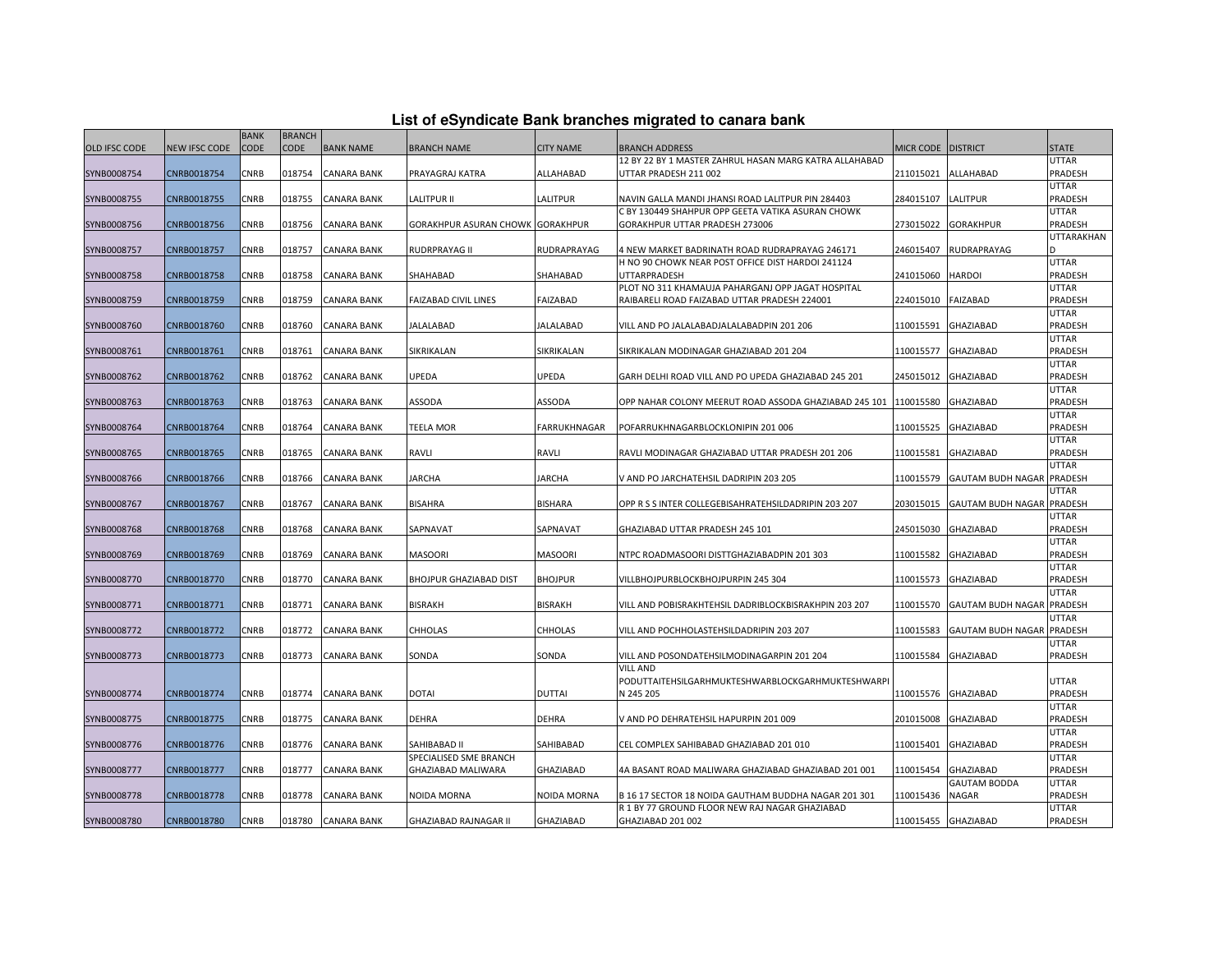|  |  | List of eSyndicate Bank branches migrated to canara bank |  |  |  |
|--|--|----------------------------------------------------------|--|--|--|
|  |  |                                                          |  |  |  |

|               | List of eSyndicate Bank branches migrated to canara bank |             |               |                    |                                  |                     |                                                                                                        |                      |                                  |                         |  |  |
|---------------|----------------------------------------------------------|-------------|---------------|--------------------|----------------------------------|---------------------|--------------------------------------------------------------------------------------------------------|----------------------|----------------------------------|-------------------------|--|--|
|               |                                                          | <b>BANK</b> | <b>BRANCH</b> |                    |                                  |                     |                                                                                                        |                      |                                  |                         |  |  |
| OLD IFSC CODE | NEW IFSC CODE                                            | <b>CODE</b> | <b>CODE</b>   | <b>BANK NAME</b>   | <b>BRANCH NAME</b>               | <b>CITY NAME</b>    | <b>BRANCH ADDRESS</b>                                                                                  | MICR CODE   DISTRICT |                                  | <b>STATE</b>            |  |  |
|               |                                                          |             |               |                    |                                  |                     | 12 BY 22 BY 1 MASTER ZAHRUL HASAN MARG KATRA ALLAHABAD                                                 |                      |                                  | <b>UTTAR</b>            |  |  |
| SYNB0008754   | CNRB0018754                                              | CNRB        | 018754        | CANARA BANK        | PRAYAGRAJ KATRA                  | ALLAHABAD           | UTTAR PRADESH 211 002                                                                                  | 211015021            | ALLAHABAD                        | PRADESH                 |  |  |
|               |                                                          |             |               |                    |                                  |                     |                                                                                                        |                      |                                  | <b>UTTAR</b>            |  |  |
| SYNB0008755   | CNRB0018755                                              | CNRB        | 018755        | <b>CANARA BANK</b> | <b>LALITPUR II</b>               | LALITPUR            | NAVIN GALLA MANDI JHANSI ROAD LALITPUR PIN 284403<br>C BY 130449 SHAHPUR OPP GEETA VATIKA ASURAN CHOWK | 284015107            | LALITPUR                         | PRADESH                 |  |  |
| SYNB0008756   | CNRB0018756                                              | <b>CNRB</b> | 018756        | <b>CANARA BANK</b> | GORAKHPUR ASURAN CHOWK GORAKHPUR |                     | GORAKHPUR UTTAR PRADESH 273006                                                                         | 273015022            | <b>GORAKHPUR</b>                 | <b>UTTAR</b><br>PRADESH |  |  |
|               |                                                          |             |               |                    |                                  |                     |                                                                                                        |                      |                                  | UTTARAKHAN              |  |  |
| SYNB0008757   | CNRB0018757                                              | <b>CNRB</b> | 018757        | <b>CANARA BANK</b> | RUDRPRAYAG II                    | RUDRAPRAYAG         | 4 NEW MARKET BADRINATH ROAD RUDRAPRAYAG 246171                                                         | 246015407            | RUDRAPRAYAG                      |                         |  |  |
|               |                                                          |             |               |                    |                                  |                     | H NO 90 CHOWK NEAR POST OFFICE DIST HARDOI 241124                                                      |                      |                                  | <b>UTTAR</b>            |  |  |
| SYNB0008758   | CNRB0018758                                              | <b>CNRB</b> | 018758        | <b>CANARA BANK</b> | SHAHABAD                         | SHAHABAD            | UTTARPRADESH                                                                                           | 241015060            | <b>HARDOI</b>                    | PRADESH                 |  |  |
|               |                                                          |             |               |                    |                                  |                     | PLOT NO 311 KHAMAUJA PAHARGANJ OPP JAGAT HOSPITAL                                                      |                      |                                  | <b>UTTAR</b>            |  |  |
| SYNB0008759   | CNRB0018759                                              | CNRB        | 018759        | CANARA BANK        | <b>FAIZABAD CIVIL LINES</b>      | FAIZABAD            | RAIBARELI ROAD FAIZABAD UTTAR PRADESH 224001                                                           | 224015010            | <b>FAIZABAD</b>                  | PRADESH                 |  |  |
|               |                                                          |             |               |                    |                                  |                     |                                                                                                        |                      |                                  | <b>UTTAR</b>            |  |  |
| SYNB0008760   | CNRB0018760                                              | <b>CNRB</b> | 018760        | <b>CANARA BANK</b> | <b>JALALABAD</b>                 | <b>JALALABAD</b>    | VILL AND PO JALALABADJALALABADPIN 201 206                                                              | 110015591            | <b>GHAZIABAD</b>                 | PRADESH                 |  |  |
|               |                                                          |             |               |                    |                                  |                     |                                                                                                        |                      |                                  | <b>UTTAR</b>            |  |  |
| SYNB0008761   | CNRB0018761                                              | CNRB        | 018761        | <b>CANARA BANK</b> | SIKRIKALAN                       | SIKRIKALAN          | SIKRIKALAN MODINAGAR GHAZIABAD 201 204                                                                 | 110015577            | <b>GHAZIABAD</b>                 | PRADESH                 |  |  |
|               |                                                          |             |               |                    |                                  |                     |                                                                                                        |                      |                                  | <b>UTTAR</b>            |  |  |
| SYNB0008762   | CNRB0018762                                              | CNRB        | 018762        | <b>CANARA BANK</b> | <b>UPEDA</b>                     | UPEDA               | GARH DELHI ROAD VILL AND PO UPEDA GHAZIABAD 245 201                                                    | 245015012            | <b>GHAZIABAD</b>                 | PRADESH                 |  |  |
|               |                                                          |             |               |                    |                                  |                     |                                                                                                        |                      |                                  | <b>UTTAR</b>            |  |  |
| SYNB0008763   | CNRB0018763                                              | CNRB        | 018763        | CANARA BANK        | ASSODA                           | <b>ASSODA</b>       | OPP NAHAR COLONY MEERUT ROAD ASSODA GHAZIABAD 245 101                                                  | 110015580            | <b>GHAZIABAD</b>                 | PRADESH<br><b>UTTAR</b> |  |  |
| SYNB0008764   | CNRB0018764                                              | <b>CNRB</b> | 018764        | <b>CANARA BANK</b> | TEELA MOR                        | <b>FARRUKHNAGAR</b> | POFARRUKHNAGARBLOCKLONIPIN 201 006                                                                     | 110015525            | <b>GHAZIABAD</b>                 | PRADESH                 |  |  |
|               |                                                          |             |               |                    |                                  |                     |                                                                                                        |                      |                                  | <b>UTTAR</b>            |  |  |
| SYNB0008765   | CNRB0018765                                              | CNRB        | 018765        | <b>CANARA BANK</b> | RAVLI                            | RAVLI               | RAVLI MODINAGAR GHAZIABAD UTTAR PRADESH 201 206                                                        | 110015581            | <b>GHAZIABAD</b>                 | PRADESH                 |  |  |
|               |                                                          |             |               |                    |                                  |                     |                                                                                                        |                      |                                  | <b>UTTAR</b>            |  |  |
| SYNB0008766   | CNRB0018766                                              | CNRB        | 018766        | CANARA BANK        | <b>JARCHA</b>                    | <b>JARCHA</b>       | V AND PO JARCHATEHSIL DADRIPIN 203 205                                                                 | 110015579            | GAUTAM BUDH NAGAR PRADESH        |                         |  |  |
|               |                                                          |             |               |                    |                                  |                     |                                                                                                        |                      |                                  | <b>UTTAR</b>            |  |  |
| SYNB0008767   | CNRB0018767                                              | CNRB        | 018767        | <b>CANARA BANK</b> | <b>BISAHRA</b>                   | <b>BISHARA</b>      | OPP R S S INTER COLLEGEBISAHRATEHSILDADRIPIN 203 207                                                   | 203015015            | <b>GAUTAM BUDH NAGAR PRADESH</b> |                         |  |  |
|               |                                                          |             |               |                    |                                  |                     |                                                                                                        |                      |                                  | UTTAR                   |  |  |
| SYNB0008768   | CNRB0018768                                              | CNRB        | 018768        | <b>CANARA BANK</b> | SAPNAVAT                         | SAPNAVAT            | GHAZIABAD UTTAR PRADESH 245 101                                                                        | 245015030            | <b>GHAZIABAD</b>                 | PRADESH                 |  |  |
|               |                                                          |             |               |                    |                                  |                     |                                                                                                        |                      |                                  | <b>UTTAR</b>            |  |  |
| SYNB0008769   | CNRB0018769                                              | CNRB        | 018769        | CANARA BANK        | <b>MASOORI</b>                   | <b>MASOORI</b>      | NTPC ROADMASOORI DISTTGHAZIABADPIN 201 303                                                             | 110015582            | GHAZIABAD                        | PRADESH                 |  |  |
|               |                                                          |             |               |                    |                                  |                     |                                                                                                        |                      |                                  | <b>UTTAR</b>            |  |  |
| SYNB0008770   | CNRB0018770                                              | CNRB        | 018770        | <b>CANARA BANK</b> | BHOJPUR GHAZIABAD DIST           | <b>BHOJPUR</b>      | VILLBHOJPURBLOCKBHOJPURPIN 245 304                                                                     | 110015573            | <b>GHAZIABAD</b>                 | PRADESH<br><b>UTTAR</b> |  |  |
| SYNB0008771   | CNRB0018771                                              | <b>CNRB</b> | 018771        | <b>CANARA BANK</b> | <b>BISRAKH</b>                   | <b>BISRAKH</b>      | VILL AND POBISRAKHTEHSIL DADRIBLOCKBISRAKHPIN 203 207                                                  | 110015570            | GAUTAM BUDH NAGAR PRADESH        |                         |  |  |
|               |                                                          |             |               |                    |                                  |                     |                                                                                                        |                      |                                  | <b>UTTAR</b>            |  |  |
| SYNB0008772   | CNRB0018772                                              | CNRB        | 018772        | CANARA BANK        | <b>CHHOLAS</b>                   | <b>CHHOLAS</b>      | VILL AND POCHHOLASTEHSILDADRIPIN 203 207                                                               | 110015583            | <b>GAUTAM BUDH NAGAR PRADESH</b> |                         |  |  |
|               |                                                          |             |               |                    |                                  |                     |                                                                                                        |                      |                                  | UTTAR                   |  |  |
| SYNB0008773   | CNRB0018773                                              | CNRB        | 018773        | <b>CANARA BANK</b> | SONDA                            | SONDA               | VILL AND POSONDATEHSILMODINAGARPIN 201 204                                                             | 110015584            | <b>GHAZIABAD</b>                 | PRADESH                 |  |  |
|               |                                                          |             |               |                    |                                  |                     | VILL AND                                                                                               |                      |                                  |                         |  |  |
|               |                                                          |             |               |                    |                                  |                     | PODUTTAITEHSILGARHMUKTESHWARBLOCKGARHMUKTESHWARPI                                                      |                      |                                  | <b>UTTAR</b>            |  |  |
| SYNB0008774   | CNRB0018774                                              | CNRB        | 018774        | <b>CANARA BANK</b> | <b>DOTAI</b>                     | <b>DUTTAI</b>       | N 245 205                                                                                              | 110015576            | GHAZIABAD                        | PRADESH                 |  |  |
|               |                                                          |             |               |                    |                                  |                     |                                                                                                        |                      |                                  | <b>UTTAR</b>            |  |  |
| SYNB0008775   | CNRB0018775                                              | <b>CNRB</b> | 018775        | <b>CANARA BANK</b> | <b>DEHRA</b>                     | <b>DEHRA</b>        | V AND PO DEHRATEHSIL HAPURPIN 201 009                                                                  | 201015008            | <b>GHAZIABAD</b>                 | PRADESH                 |  |  |
|               |                                                          |             |               |                    |                                  |                     |                                                                                                        |                      |                                  | <b>UTTAR</b>            |  |  |
| SYNB0008776   | CNRB0018776                                              | CNRB        | 018776        | CANARA BANK        | SAHIBABAD II                     | SAHIBABAD           | CEL COMPLEX SAHIBABAD GHAZIABAD 201 010                                                                | 110015401            | GHAZIABAD                        | PRADESH                 |  |  |
|               |                                                          |             |               |                    | SPECIALISED SME BRANCH           |                     |                                                                                                        |                      |                                  | <b>UTTAR</b>            |  |  |
| SYNB0008777   | CNRB0018777                                              | CNRB        | 018777        | CANARA BANK        | GHAZIABAD MALIWARA               | GHAZIABAD           | 4A BASANT ROAD MALIWARA GHAZIABAD GHAZIABAD 201 001                                                    | 110015454            | GHAZIABAD<br><b>GAUTAM BODDA</b> | PRADESH<br><b>UTTAR</b> |  |  |
| SYNB0008778   | CNRB0018778                                              | CNRB        | 018778        | <b>CANARA BANK</b> | <b>NOIDA MORNA</b>               | NOIDA MORNA         | B 16 17 SECTOR 18 NOIDA GAUTHAM BUDDHA NAGAR 201 301                                                   | 110015436            | <b>NAGAR</b>                     | PRADESH                 |  |  |
|               |                                                          |             |               |                    |                                  |                     | R 1 BY 77 GROUND FLOOR NEW RAJ NAGAR GHAZIABAD                                                         |                      |                                  | <b>UTTAR</b>            |  |  |
| SYNB0008780   | CNRB0018780                                              | CNRB        | 018780        | <b>CANARA BANK</b> | GHAZIABAD RAJNAGAR II            | GHAZIABAD           | GHAZIABAD 201 002                                                                                      |                      | 110015455 GHAZIABAD              | PRADESH                 |  |  |
|               |                                                          |             |               |                    |                                  |                     |                                                                                                        |                      |                                  |                         |  |  |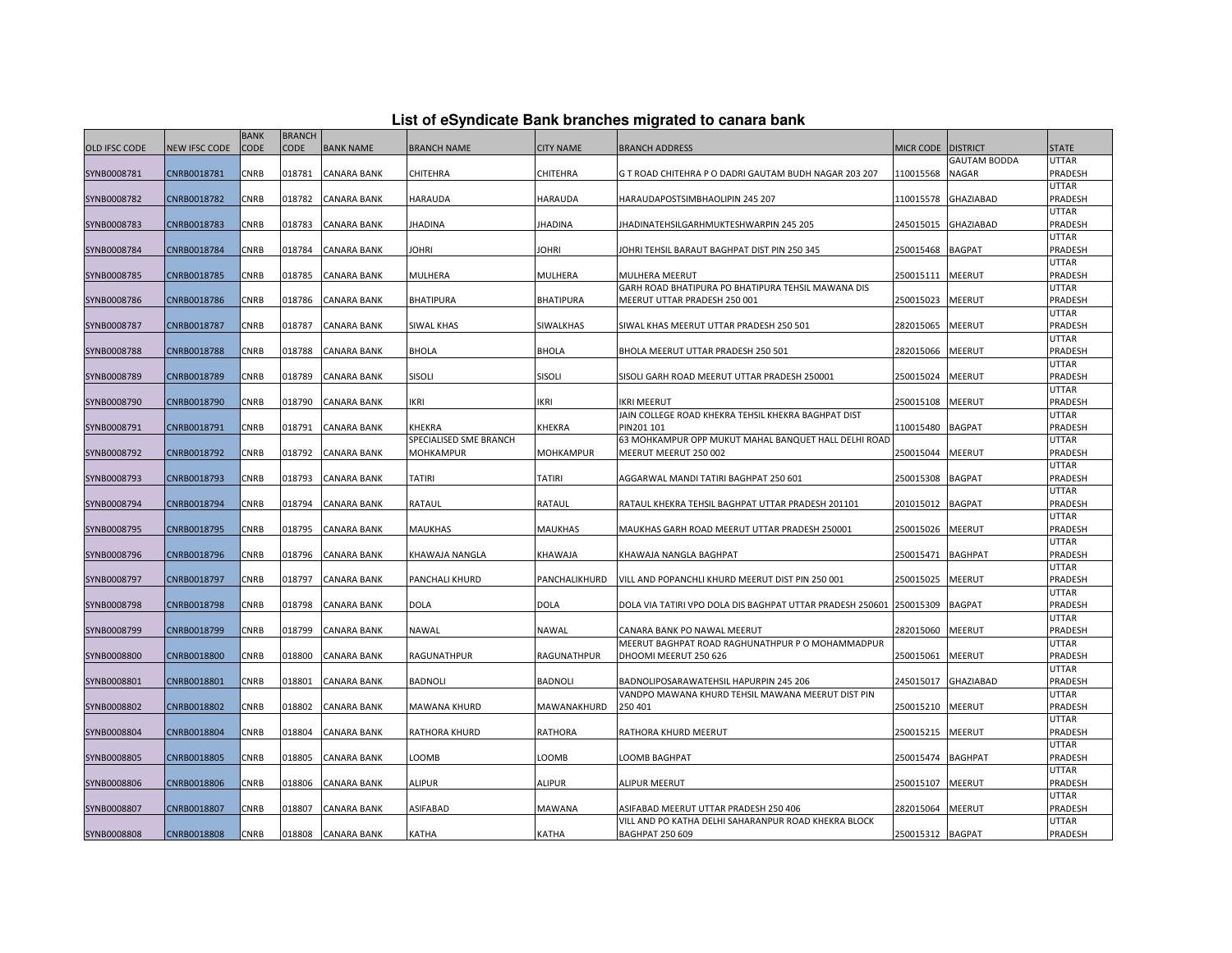|               |               | <b>BANK</b> | <b>BRANCH</b> |                    |                                  |                  |                                                                               |                    |                     |                         |
|---------------|---------------|-------------|---------------|--------------------|----------------------------------|------------------|-------------------------------------------------------------------------------|--------------------|---------------------|-------------------------|
| OLD IFSC CODE | NEW IFSC CODE | <b>CODE</b> | <b>CODE</b>   | <b>BANK NAME</b>   | <b>BRANCH NAME</b>               | <b>CITY NAME</b> | BRANCH ADDRESS                                                                | MICR CODE DISTRICT |                     | <b>STATE</b>            |
|               |               |             |               |                    |                                  |                  |                                                                               |                    | <b>GAUTAM BODDA</b> | <b>UTTAR</b>            |
| SYNB0008781   | CNRB0018781   | <b>CNRB</b> | 018781        | <b>CANARA BANK</b> | CHITEHRA                         | CHITEHRA         | G T ROAD CHITEHRA P O DADRI GAUTAM BUDH NAGAR 203 207                         | 110015568          | <b>NAGAR</b>        | PRADESH                 |
|               |               |             |               |                    |                                  |                  |                                                                               |                    |                     | <b>UTTAR</b>            |
| SYNB0008782   | CNRB0018782   | CNRB        | 018782        | CANARA BANK        | HARAUDA                          | <b>HARAUDA</b>   | HARAUDAPOSTSIMBHAOLIPIN 245 207                                               | 110015578          | <b>GHAZIABAD</b>    | PRADESH                 |
|               |               |             |               |                    |                                  |                  |                                                                               |                    |                     | UTTAR                   |
| SYNB0008783   | CNRB0018783   | CNRB        | 018783        | <b>CANARA BANK</b> | JHADINA                          | <b>JHADINA</b>   | JHADINATEHSILGARHMUKTESHWARPIN 245 205                                        | 245015015          | <b>GHAZIABAD</b>    | PRADESH                 |
|               |               |             |               |                    |                                  |                  |                                                                               |                    |                     | UTTAR                   |
| SYNB0008784   | CNRB0018784   | CNRB        | 018784        | <b>CANARA BANK</b> | <b>JOHRI</b>                     | JOHRI            | JOHRI TEHSIL BARAUT BAGHPAT DIST PIN 250 345                                  | 250015468          | <b>BAGPAT</b>       | PRADESH                 |
|               |               |             |               |                    |                                  |                  |                                                                               |                    |                     | UTTAR                   |
| SYNB0008785   | CNRB0018785   | CNRB        | 018785        | CANARA BANK        | MULHERA                          | <b>MULHERA</b>   | <b>MULHERA MEERUT</b>                                                         | 250015111          | MEERUT              | PRADESH                 |
|               |               |             |               |                    |                                  |                  | GARH ROAD BHATIPURA PO BHATIPURA TEHSIL MAWANA DIS                            |                    |                     | <b>UTTAR</b>            |
| SYNB0008786   | CNRB0018786   | CNRB        | 018786        | CANARA BANK        | BHATIPURA                        | <b>BHATIPURA</b> | MEERUT UTTAR PRADESH 250 001                                                  | 250015023          | <b>MEERUT</b>       | PRADESH                 |
|               |               |             |               |                    |                                  |                  |                                                                               |                    |                     | UTTAR                   |
| SYNB0008787   | CNRB0018787   | <b>CNRB</b> | 018787        | <b>CANARA BANK</b> | SIWAL KHAS                       | <b>SIWALKHAS</b> | SIWAL KHAS MEERUT UTTAR PRADESH 250 501                                       | 282015065          | <b>MEERUT</b>       | PRADESH                 |
|               |               |             |               |                    |                                  |                  |                                                                               |                    |                     | UTTAR                   |
| SYNB0008788   | CNRB0018788   | CNRB        | 018788        | CANARA BANK        | BHOLA                            | <b>BHOLA</b>     | BHOLA MEERUT UTTAR PRADESH 250 501                                            | 282015066          | MEERUT              | PRADESH                 |
|               |               |             |               |                    |                                  |                  |                                                                               |                    |                     | UTTAR                   |
| SYNB0008789   | CNRB0018789   | CNRB        | 018789        | CANARA BANK        | <b>SISOLI</b>                    | <b>SISOLI</b>    | SISOLI GARH ROAD MEERUT UTTAR PRADESH 250001                                  | 250015024          | MEERUT              | PRADESH                 |
|               |               |             |               |                    |                                  |                  |                                                                               |                    |                     | UTTAR                   |
| SYNB0008790   | CNRB0018790   | <b>CNRB</b> | 018790        | <b>CANARA BANK</b> | <b>IKRI</b>                      | IKRI             | <b>IKRI MEERUT</b>                                                            | 250015108          | <b>MEERUT</b>       | PRADESH                 |
|               |               |             |               |                    |                                  |                  | JAIN COLLEGE ROAD KHEKRA TEHSIL KHEKRA BAGHPAT DIST                           |                    |                     | UTTAR                   |
| SYNB0008791   | CNRB0018791   | CNRB        | 018791        | CANARA BANK        | KHEKRA<br>SPECIALISED SME BRANCH | KHEKRA           | PIN201 101                                                                    | 110015480          | <b>BAGPAT</b>       | PRADESH<br><b>UTTAR</b> |
| SYNB0008792   | CNRB0018792   | CNRB        | 018792        | CANARA BANK        | MOHKAMPUR                        | MOHKAMPUR        | 63 MOHKAMPUR OPP MUKUT MAHAL BANQUET HALL DELHI ROAD<br>MEERUT MEERUT 250 002 | 250015044          | MEERUT              | <b>PRADESH</b>          |
|               |               |             |               |                    |                                  |                  |                                                                               |                    |                     | UTTAR                   |
| SYNB0008793   | CNRB0018793   | <b>CNRB</b> | 018793        | <b>CANARA BANK</b> | TATIRI                           | <b>TATIRI</b>    | AGGARWAL MANDI TATIRI BAGHPAT 250 601                                         | 250015308          | <b>BAGPAT</b>       | PRADESH                 |
|               |               |             |               |                    |                                  |                  |                                                                               |                    |                     | UTTAR                   |
| SYNB0008794   | CNRB0018794   | CNRB        | 018794        | CANARA BANK        | RATAUL                           | RATAUL           | RATAUL KHEKRA TEHSIL BAGHPAT UTTAR PRADESH 201101                             | 201015012          | <b>BAGPAT</b>       | PRADESH                 |
|               |               |             |               |                    |                                  |                  |                                                                               |                    |                     | <b>UTTAR</b>            |
| SYNB0008795   | CNRB0018795   | CNRB        | 018795        | <b>CANARA BANK</b> | MAUKHAS                          | <b>MAUKHAS</b>   | MAUKHAS GARH ROAD MEERUT UTTAR PRADESH 250001                                 | 250015026          | <b>MEERUT</b>       | PRADESH                 |
|               |               |             |               |                    |                                  |                  |                                                                               |                    |                     | UTTAR                   |
| SYNB0008796   | CNRB0018796   | CNRB        | 018796        | <b>CANARA BANK</b> | KHAWAJA NANGLA                   | <b>KHAWAJA</b>   | KHAWAJA NANGLA BAGHPAT                                                        | 250015471          | <b>BAGHPAT</b>      | PRADESH                 |
|               |               |             |               |                    |                                  |                  |                                                                               |                    |                     | UTTAR                   |
| SYNB0008797   | CNRB0018797   | CNRB        | 018797        | CANARA BANK        | PANCHALI KHURD                   | PANCHALIKHURD    | VILL AND POPANCHLI KHURD MEERUT DIST PIN 250 001                              | 250015025          | MEERUT              | PRADESH                 |
|               |               |             |               |                    |                                  |                  |                                                                               |                    |                     | <b>UTTAR</b>            |
| SYNB0008798   | CNRB0018798   | CNRB        | 018798        | CANARA BANK        | DOLA                             | <b>DOLA</b>      | DOLA VIA TATIRI VPO DOLA DIS BAGHPAT UTTAR PRADESH 250601 250015309           |                    | <b>BAGPAT</b>       | <b>PRADESH</b>          |
|               |               |             |               |                    |                                  |                  |                                                                               |                    |                     | <b>UTTAR</b>            |
| SYNB0008799   | CNRB0018799   | CNRB        | 018799        | <b>CANARA BANK</b> | NAWAL                            | NAWAL            | CANARA BANK PO NAWAL MEERUT                                                   | 282015060          | MEERUT              | PRADESH                 |
|               |               |             |               |                    |                                  |                  | MEERUT BAGHPAT ROAD RAGHUNATHPUR P O MOHAMMADPUR                              |                    |                     | UTTAR                   |
| SYNB0008800   | CNRB0018800   | CNRB        | 018800        | CANARA BANK        | RAGUNATHPUR                      | RAGUNATHPUR      | DHOOMI MEERUT 250 626                                                         | 250015061          | MEERUT              | PRADESH                 |
|               |               |             |               |                    |                                  |                  |                                                                               |                    |                     | <b>UTTAR</b>            |
| SYNB0008801   | CNRB0018801   | CNRB        | 018801        | <b>CANARA BANK</b> | <b>BADNOLI</b>                   | <b>BADNOLI</b>   | BADNOLIPOSARAWATEHSIL HAPURPIN 245 206                                        | 245015017          | GHAZIABAD           | PRADESH                 |
|               |               |             |               |                    |                                  |                  | VANDPO MAWANA KHURD TEHSIL MAWANA MEERUT DIST PIN                             |                    |                     | <b>UTTAR</b>            |
| SYNB0008802   | CNRB0018802   | CNRB        | 018802        | CANARA BANK        | MAWANA KHURD                     | MAWANAKHURD      | 250 401                                                                       | 250015210          | <b>MEERUT</b>       | PRADESH                 |
|               |               |             |               |                    |                                  |                  |                                                                               |                    |                     | UTTAR                   |
| SYNB0008804   | CNRB0018804   | CNRB        | 018804        | CANARA BANK        | RATHORA KHURD                    | RATHORA          | RATHORA KHURD MEERUT                                                          | 250015215          | MEERUT              | PRADESH                 |
|               |               |             |               |                    |                                  |                  |                                                                               |                    |                     | <b>UTTAR</b>            |
| SYNB0008805   | CNRB0018805   | CNRB        | 018805        | CANARA BANK        | LOOMB                            | LOOMB            | LOOMB BAGHPAT                                                                 | 250015474          | <b>BAGHPAT</b>      | PRADESH                 |
|               |               |             |               |                    |                                  |                  |                                                                               |                    |                     | <b>UTTAR</b>            |
| SYNB0008806   | CNRB0018806   | <b>CNRB</b> | 018806        | CANARA BANK        | <b>ALIPUR</b>                    | <b>ALIPUR</b>    | <b>ALIPUR MEERUT</b>                                                          | 250015107          | <b>MEERUT</b>       | PRADESH                 |
|               |               |             |               |                    |                                  |                  |                                                                               |                    |                     | UTTAR                   |
| SYNB0008807   | CNRB0018807   | CNRB        | 018807        | CANARA BANK        | <b>ASIFABAD</b>                  | MAWANA           | ASIFABAD MEERUT UTTAR PRADESH 250 406                                         | 282015064          | MEERUT              | PRADESH                 |
|               |               |             |               |                    |                                  |                  | VILL AND PO KATHA DELHI SAHARANPUR ROAD KHEKRA BLOCK                          |                    |                     | UTTAR                   |
| SYNB0008808   | CNRB0018808   | CNRB        | 018808        | <b>CANARA BANK</b> | KATHA                            | KATHA            | <b>BAGHPAT 250 609</b>                                                        | 250015312 BAGPAT   |                     | PRADESH                 |

## **List of eSyndicate Bank branches migrated to canara bank**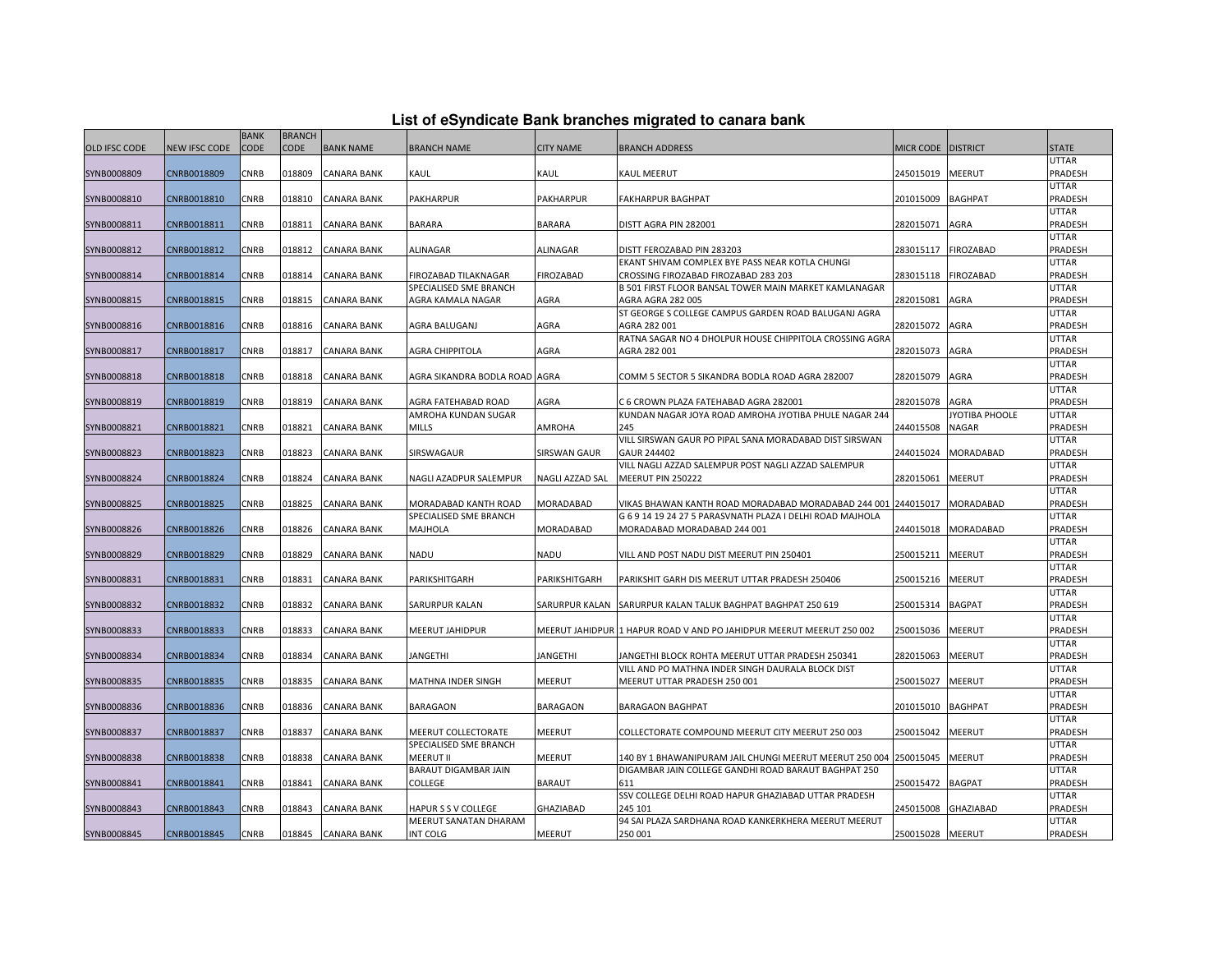|                      |                      | <b>BANK</b> | <b>BRANCH</b> |                    |                               |                        |                                                                      |                  |                  |              |
|----------------------|----------------------|-------------|---------------|--------------------|-------------------------------|------------------------|----------------------------------------------------------------------|------------------|------------------|--------------|
| <b>OLD IFSC CODE</b> | <b>NEW IFSC CODE</b> | CODE        | <b>CODE</b>   | <b>BANK NAME</b>   | <b>BRANCH NAME</b>            | <b>CITY NAME</b>       | <b>BRANCH ADDRESS</b>                                                | <b>MICR CODE</b> | <b>DISTRICT</b>  | <b>STATE</b> |
|                      |                      |             |               |                    |                               |                        |                                                                      |                  |                  | UTTAR        |
| SYNB0008809          | CNRB0018809          | CNRB        | 018809        | CANARA BANK        | KAUL                          | KAUL                   | <b>KAUL MEERUT</b>                                                   | 245015019        | MEERUT           | PRADESH      |
|                      |                      |             |               |                    |                               |                        |                                                                      |                  |                  | UTTAR        |
| SYNB0008810          | CNRB0018810          | <b>CNRB</b> | 018810        | CANARA BANK        | PAKHARPUR                     | <b>PAKHARPUR</b>       | <b>FAKHARPUR BAGHPAT</b>                                             | 201015009        | <b>BAGHPAT</b>   | PRADESH      |
|                      |                      |             |               |                    |                               |                        |                                                                      |                  |                  | UTTAR        |
| SYNB0008811          | CNRB0018811          | <b>CNRB</b> | 018811        | <b>CANARA BANK</b> | <b>BARARA</b>                 | <b>BARARA</b>          | DISTT AGRA PIN 282001                                                | 282015071        | AGRA             | PRADESH      |
|                      |                      |             |               |                    |                               |                        |                                                                      |                  |                  | UTTAR        |
| SYNB0008812          | CNRB0018812          | <b>CNRB</b> | 018812        | <b>CANARA BANK</b> | <b>ALINAGAR</b>               | <b>ALINAGAR</b>        | DISTT FEROZABAD PIN 283203                                           | 283015117        | <b>FIROZABAD</b> | PRADESH      |
|                      |                      |             |               |                    |                               |                        | EKANT SHIVAM COMPLEX BYE PASS NEAR KOTLA CHUNGI                      |                  |                  | UTTAR        |
| SYNB0008814          | CNRB0018814          | CNRB        | 018814        | <b>CANARA BANK</b> | FIROZABAD TILAKNAGAR          | <b>FIROZABAD</b>       | CROSSING FIROZABAD FIROZABAD 283 203                                 | 283015118        | <b>FIROZABAD</b> | PRADESH      |
|                      |                      |             |               |                    | SPECIALISED SME BRANCH        |                        | B 501 FIRST FLOOR BANSAL TOWER MAIN MARKET KAMLANAGAR                |                  |                  | UTTAR        |
| SYNB0008815          | CNRB0018815          | <b>CNRB</b> | 018815        | <b>CANARA BANK</b> | AGRA KAMALA NAGAR             | AGRA                   | <b>AGRA AGRA 282 005</b>                                             | 282015081        | AGRA             | PRADESH      |
|                      |                      |             |               |                    |                               |                        | ST GEORGE S COLLEGE CAMPUS GARDEN ROAD BALUGANJ AGRA                 |                  |                  | UTTAR        |
| SYNB0008816          | CNRB0018816          | CNRB        | 018816        | <b>CANARA BANK</b> | AGRA BALUGANJ                 | AGRA                   | AGRA 282 001                                                         | 282015072        | AGRA             | PRADESH      |
|                      |                      |             |               |                    |                               |                        | RATNA SAGAR NO 4 DHOLPUR HOUSE CHIPPITOLA CROSSING AGRA              |                  |                  | UTTAR        |
| SYNB0008817          | CNRB0018817          | CNRB        | 018817        | CANARA BANK        | AGRA CHIPPITOLA               | AGRA                   | AGRA 282 001                                                         | 282015073        | AGRA             | PRADESH      |
|                      |                      |             |               |                    |                               |                        |                                                                      |                  |                  | UTTAR        |
| SYNB0008818          | CNRB0018818          | <b>CNRB</b> | 018818        | <b>CANARA BANK</b> | AGRA SIKANDRA BODLA ROAD AGRA |                        | COMM 5 SECTOR 5 SIKANDRA BODLA ROAD AGRA 282007                      | 282015079        | AGRA             | PRADESH      |
|                      |                      |             |               |                    |                               |                        |                                                                      |                  |                  | UTTAR        |
| SYNB0008819          | CNRB0018819          | <b>CNRB</b> | 018819        | <b>CANARA BANK</b> | AGRA FATEHABAD ROAD           | AGRA                   | C 6 CROWN PLAZA FATEHABAD AGRA 282001                                | 282015078        | AGRA             | PRADESH      |
|                      |                      |             |               |                    | AMROHA KUNDAN SUGAR           |                        | KUNDAN NAGAR JOYA ROAD AMROHA JYOTIBA PHULE NAGAR 244                |                  | JYOTIBA PHOOLE   | UTTAR        |
| SYNB0008821          | CNRB0018821          | <b>CNRB</b> | 018821        | CANARA BANK        | <b>MILLS</b>                  | <b>AMROHA</b>          | 245                                                                  | 244015508        | <b>NAGAR</b>     | PRADESH      |
|                      |                      |             |               |                    |                               |                        | VILL SIRSWAN GAUR PO PIPAL SANA MORADABAD DIST SIRSWAN               |                  |                  | <b>UTTAR</b> |
| SYNB0008823          | CNRB0018823          | <b>CNRB</b> | 018823        | <b>CANARA BANK</b> | SIRSWAGAUR                    | SIRSWAN GAUR           | <b>GAUR 244402</b>                                                   | 244015024        | MORADABAD        | PRADESH      |
|                      |                      |             |               |                    |                               |                        | VILL NAGLI AZZAD SALEMPUR POST NAGLI AZZAD SALEMPUR                  |                  |                  | UTTAR        |
| SYNB0008824          | CNRB0018824          | <b>CNRB</b> | 018824        | <b>CANARA BANK</b> | NAGLI AZADPUR SALEMPUR        | <b>NAGLI AZZAD SAL</b> | MEERUT PIN 250222                                                    | 282015061        | MEERUT           | PRADESH      |
|                      |                      |             |               |                    |                               |                        |                                                                      |                  |                  | UTTAR        |
| SYNB0008825          | CNRB0018825          | <b>CNRB</b> | 018825        | <b>CANARA BANK</b> | MORADABAD KANTH ROAD          | MORADABAD              | VIKAS BHAWAN KANTH ROAD MORADABAD MORADABAD 244 001                  | 244015017        | MORADABAD        | PRADESH      |
|                      |                      |             |               |                    | SPECIALISED SME BRANCH        |                        | G 6 9 14 19 24 27 5 PARASVNATH PLAZA I DELHI ROAD MAJHOLA            |                  |                  | UTTAR        |
| SYNB0008826          | CNRB0018826          | <b>CNRB</b> | 018826        | CANARA BANK        | MAJHOLA                       | MORADABAD              | MORADABAD MORADABAD 244 001                                          | 244015018        | MORADABAD        | PRADESH      |
|                      |                      |             |               |                    |                               |                        |                                                                      |                  |                  | UTTAR        |
| SYNB0008829          | CNRB0018829          | CNRB        | 018829        | <b>CANARA BANK</b> | <b>NADU</b>                   | <b>NADU</b>            | VILL AND POST NADU DIST MEERUT PIN 250401                            | 250015211        | MEERUT           | PRADESH      |
|                      |                      |             |               |                    |                               |                        |                                                                      |                  |                  | UTTAR        |
| SYNB0008831          | CNRB0018831          | <b>CNRB</b> | 018831        | <b>CANARA BANK</b> | PARIKSHITGARH                 | PARIKSHITGARH          | PARIKSHIT GARH DIS MEERUT UTTAR PRADESH 250406                       | 250015216        | MEERUT           | PRADESH      |
|                      |                      |             |               |                    |                               |                        |                                                                      |                  |                  | UTTAR        |
| SYNB0008832          | CNRB0018832          | <b>CNRB</b> | 018832        | <b>CANARA BANK</b> | SARURPUR KALAN                |                        | SARURPUR KALAN SARURPUR KALAN TALUK BAGHPAT BAGHPAT 250 619          | 250015314        | <b>BAGPAT</b>    | PRADESH      |
|                      |                      |             |               |                    |                               |                        |                                                                      |                  |                  | UTTAR        |
| SYNB0008833          | CNRB0018833          | CNRB        | 018833        | <b>CANARA BANK</b> | MEERUT JAHIDPUR               |                        | MEERUT JAHIDPUR 1 HAPUR ROAD V AND PO JAHIDPUR MEERUT MEERUT 250 002 | 250015036        | MEERUT           | PRADESH      |
|                      |                      |             |               |                    |                               |                        |                                                                      |                  |                  | UTTAR        |
| SYNB0008834          | CNRB0018834          | CNRB        | 018834        | CANARA BANK        | <b>JANGETHI</b>               | <b>JANGETHI</b>        | JANGETHI BLOCK ROHTA MEERUT UTTAR PRADESH 250341                     | 282015063        | MEERUT           | PRADESH      |
|                      |                      |             |               |                    |                               |                        | VILL AND PO MATHNA INDER SINGH DAURALA BLOCK DIST                    |                  |                  | UTTAR        |
| SYNB0008835          | CNRB0018835          | <b>CNRB</b> | 018835        | <b>CANARA BANK</b> | MATHNA INDER SINGH            | <b>MEERUT</b>          | MEERUT UTTAR PRADESH 250 001                                         | 250015027        | MEERUT           | PRADESH      |
|                      |                      |             |               |                    |                               |                        |                                                                      |                  |                  | UTTAR        |
| SYNB0008836          | CNRB0018836          | <b>CNRB</b> | 018836        | <b>CANARA BANK</b> | <b>BARAGAON</b>               | <b>BARAGAON</b>        | <b>BARAGAON BAGHPAT</b>                                              | 201015010        | <b>BAGHPAT</b>   | PRADESH      |
|                      |                      |             |               |                    |                               |                        |                                                                      |                  |                  | UTTAR        |
| SYNB0008837          | CNRB0018837          | <b>CNRB</b> | 018837        | <b>CANARA BANK</b> | MEERUT COLLECTORATE           | MEERUT                 | COLLECTORATE COMPOUND MEERUT CITY MEERUT 250 003                     | 250015042        | MEERUT           | PRADESH      |
|                      |                      |             |               |                    | SPECIALISED SME BRANCH        |                        |                                                                      |                  |                  | UTTAR        |
| SYNB0008838          | CNRB0018838          | <b>CNRB</b> | 018838        | CANARA BANK        | <b>MEERUT II</b>              | <b>MEERUT</b>          | 140 BY 1 BHAWANIPURAM JAIL CHUNGI MEERUT MEERUT 250 004 250015045    |                  | MEERUT           | PRADESH      |
|                      |                      |             |               |                    | <b>BARAUT DIGAMBAR JAIN</b>   |                        | DIGAMBAR JAIN COLLEGE GANDHI ROAD BARAUT BAGHPAT 250                 |                  |                  | UTTAR        |
| SYNB0008841          | CNRB0018841          | CNRB        | 018841        | <b>CANARA BANK</b> | COLLEGE                       | <b>BARAUT</b>          | 611                                                                  | 250015472        | <b>BAGPAT</b>    | PRADESH      |
|                      |                      |             |               |                    |                               |                        | SSV COLLEGE DELHI ROAD HAPUR GHAZIABAD UTTAR PRADESH                 |                  |                  | UTTAR        |
| SYNB0008843          | CNRB0018843          | CNRB        | 018843        | <b>CANARA BANK</b> | <b>HAPUR S S V COLLEGE</b>    | <b>GHAZIABAD</b>       | 245 101                                                              | 245015008        | GHAZIABAD        | PRADESH      |
|                      |                      |             |               |                    | MEERUT SANATAN DHARAM         |                        | 94 SAI PLAZA SARDHANA ROAD KANKERKHERA MEERUT MEERUT                 |                  |                  | UTTAR        |
| SYNB0008845          | CNRB0018845          | CNRB        | 018845        | <b>CANARA BANK</b> | <b>INT COLG</b>               | <b>MEERUT</b>          | 250 001                                                              | 250015028        | <b>MEERUT</b>    | PRADESH      |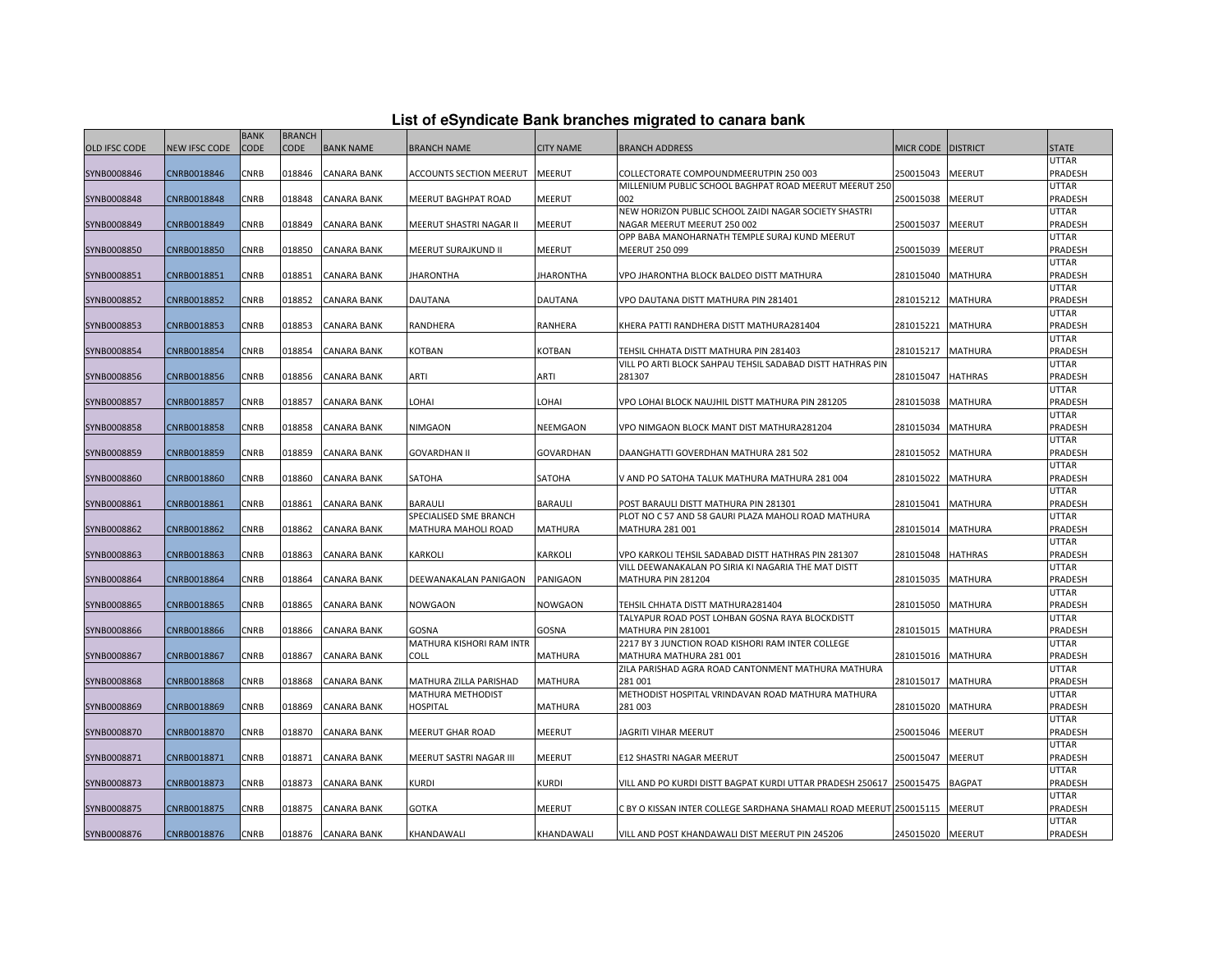| <b>OLD IFSC CODE</b> | <b>NEW IFSC CODE</b> | <b>BANK</b><br>CODE | <b>BRANCH</b><br><b>CODE</b> | <b>BANK NAME</b>   | <b>BRANCH NAME</b>       | <b>CITY NAME</b> | <b>BRANCH ADDRESS</b>                                                        | MICR CODE DISTRICT |                | <b>STATE</b>            |
|----------------------|----------------------|---------------------|------------------------------|--------------------|--------------------------|------------------|------------------------------------------------------------------------------|--------------------|----------------|-------------------------|
|                      |                      |                     |                              |                    |                          |                  |                                                                              |                    |                | <b>UTTAR</b>            |
| SYNB0008846          | CNRB0018846          | CNRB                | 018846                       | <b>CANARA BANK</b> | ACCOUNTS SECTION MEERUT  | MEERUT           | COLLECTORATE COMPOUNDMEERUTPIN 250 003                                       | 250015043          | <b>MEERUT</b>  | PRADESH                 |
|                      |                      |                     |                              |                    |                          |                  | MILLENIUM PUBLIC SCHOOL BAGHPAT ROAD MEERUT MEERUT 250                       |                    |                | UTTAR                   |
| SYNB0008848          | CNRB0018848          | CNRB                | 018848                       | <b>CANARA BANK</b> | MEERUT BAGHPAT ROAD      | MEERUT           | 002                                                                          | 250015038          | MEERUT         | PRADESH                 |
|                      |                      |                     |                              |                    |                          |                  | NEW HORIZON PUBLIC SCHOOL ZAIDI NAGAR SOCIETY SHASTRI                        |                    |                | UTTAR                   |
| SYNB0008849          | CNRB0018849          | CNRB                | 018849                       | CANARA BANK        | MEERUT SHASTRI NAGAR II  | <b>MEERUT</b>    | NAGAR MEERUT MEERUT 250 002<br>OPP BABA MANOHARNATH TEMPLE SURAJ KUND MEERUT | 250015037          | MEERUT         | PRADESH<br>UTTAR        |
| SYNB0008850          | CNRB0018850          | CNRB                | 018850                       | CANARA BANK        | MEERUT SURAJKUND II      | MEERUT           | MEERUT 250 099                                                               | 250015039          | MEERUT         | PRADESH                 |
|                      |                      |                     |                              |                    |                          |                  |                                                                              |                    |                | UTTAR                   |
| SYNB0008851          | CNRB0018851          | <b>CNRB</b>         | 018851                       | <b>CANARA BANK</b> | <b>JHARONTHA</b>         | <b>JHARONTHA</b> | VPO JHARONTHA BLOCK BALDEO DISTT MATHURA                                     | 281015040          | <b>MATHURA</b> | PRADESH                 |
|                      |                      |                     |                              |                    |                          |                  |                                                                              |                    |                | <b>UTTAR</b>            |
| SYNB0008852          | CNRB0018852          | CNRB                | 018852                       | CANARA BANK        | DAUTANA                  | <b>DAUTANA</b>   | VPO DAUTANA DISTT MATHURA PIN 281401                                         | 281015212          | MATHURA        | PRADESH                 |
|                      |                      |                     |                              |                    |                          |                  |                                                                              |                    |                | <b>UTTAR</b>            |
| SYNB0008853          | CNRB0018853          | CNRB                | 018853                       | <b>CANARA BANK</b> | RANDHERA                 | RANHERA          | KHERA PATTI RANDHERA DISTT MATHURA281404                                     | 281015221          | <b>MATHURA</b> | PRADESH                 |
|                      |                      |                     |                              |                    |                          |                  |                                                                              |                    |                | <b>UTTAR</b>            |
| SYNB0008854          | CNRB0018854          | <b>CNRB</b>         | 018854                       | <b>CANARA BANK</b> | KOTBAN                   | KOTBAN           | TEHSIL CHHATA DISTT MATHURA PIN 281403                                       | 281015217          | <b>MATHURA</b> | PRADESH                 |
|                      |                      |                     |                              |                    |                          |                  | VILL PO ARTI BLOCK SAHPAU TEHSIL SADABAD DISTT HATHRAS PIN                   |                    |                | <b>UTTAR</b>            |
| SYNB0008856          | CNRB0018856          | CNRB                | 018856                       | CANARA BANK        | ARTI                     | ARTI             | 281307                                                                       | 281015047          | <b>HATHRAS</b> | PRADESH                 |
|                      |                      | CNRB                |                              |                    | LOHAI                    | LOHAI            |                                                                              |                    |                | UTTAR                   |
| SYNB0008857          | CNRB0018857          |                     | 018857                       | CANARA BANK        |                          |                  | VPO LOHAI BLOCK NAUJHIL DISTT MATHURA PIN 281205                             | 281015038          | MATHURA        | PRADESH<br><b>UTTAR</b> |
| SYNB0008858          | CNRB0018858          | <b>CNRB</b>         | 018858                       | <b>CANARA BANK</b> | NIMGAON                  | NEEMGAON         | VPO NIMGAON BLOCK MANT DIST MATHURA281204                                    | 281015034          | MATHURA        | PRADESH                 |
|                      |                      |                     |                              |                    |                          |                  |                                                                              |                    |                | UTTAR                   |
| SYNB0008859          | CNRB0018859          | CNRB                | 018859                       | CANARA BANK        | <b>GOVARDHAN II</b>      | GOVARDHAN        | DAANGHATTI GOVERDHAN MATHURA 281 502                                         | 281015052          | <b>MATHURA</b> | PRADESH                 |
|                      |                      |                     |                              |                    |                          |                  |                                                                              |                    |                | UTTAR                   |
| SYNB0008860          | CNRB0018860          | <b>CNRB</b>         | 018860                       | CANARA BANK        | SATOHA                   | SATOHA           | V AND PO SATOHA TALUK MATHURA MATHURA 281 004                                | 281015022          | MATHURA        | <b>PRADESH</b>          |
|                      |                      |                     |                              |                    |                          |                  |                                                                              |                    |                | UTTAR                   |
| SYNB0008861          | CNRB0018861          | CNRB                | 018861                       | CANARA BANK        | <b>BARAULI</b>           | <b>BARAULI</b>   | POST BARAULI DISTT MATHURA PIN 281301                                        | 281015041          | MATHURA        | PRADESH                 |
|                      |                      |                     |                              |                    | SPECIALISED SME BRANCH   |                  | PLOT NO C 57 AND 58 GAURI PLAZA MAHOLI ROAD MATHURA                          |                    |                | UTTAR                   |
| SYNB0008862          | CNRB0018862          | CNRB                | 018862                       | CANARA BANK        | MATHURA MAHOLI ROAD      | <b>MATHURA</b>   | MATHURA 281 001                                                              | 281015014          | MATHURA        | PRADESH                 |
|                      |                      |                     |                              |                    |                          |                  |                                                                              |                    |                | UTTAR                   |
| SYNB0008863          | CNRB0018863          | CNRB                | 018863                       | <b>CANARA BANK</b> | KARKOLI                  | KARKOLI          | VPO KARKOLI TEHSIL SADABAD DISTT HATHRAS PIN 281307                          | 281015048          | HATHRAS        | PRADESH                 |
| SYNB0008864          | CNRB0018864          | CNRB                | 018864                       | CANARA BANK        | DEEWANAKALAN PANIGAON    | PANIGAON         | VILL DEEWANAKALAN PO SIRIA KI NAGARIA THE MAT DISTT<br>MATHURA PIN 281204    | 281015035          | MATHURA        | UTTAR<br>PRADESH        |
|                      |                      |                     |                              |                    |                          |                  |                                                                              |                    |                | UTTAR                   |
| SYNB0008865          | CNRB0018865          | CNRB                | 018865                       | CANARA BANK        | NOWGAON                  | NOWGAON          | TEHSIL CHHATA DISTT MATHURA281404                                            | 281015050          | MATHURA        | PRADESH                 |
|                      |                      |                     |                              |                    |                          |                  | TALYAPUR ROAD POST LOHBAN GOSNA RAYA BLOCKDISTT                              |                    |                | <b>UTTAR</b>            |
| SYNB0008866          | CNRB0018866          | CNRB                | 018866                       | CANARA BANK        | GOSNA                    | <b>GOSNA</b>     | MATHURA PIN 281001                                                           | 281015015          | <b>MATHURA</b> | PRADESH                 |
|                      |                      |                     |                              |                    | MATHURA KISHORI RAM INTR |                  | 2217 BY 3 JUNCTION ROAD KISHORI RAM INTER COLLEGE                            |                    |                | <b>UTTAR</b>            |
| SYNB0008867          | CNRB0018867          | CNRB                | 018867                       | CANARA BANK        | COLL                     | <b>MATHURA</b>   | MATHURA MATHURA 281 001                                                      | 281015016          | MATHURA        | PRADESH                 |
|                      |                      |                     |                              |                    |                          |                  | ZILA PARISHAD AGRA ROAD CANTONMENT MATHURA MATHURA                           |                    |                | UTTAR                   |
| SYNB0008868          | CNRB0018868          | CNRB                | 018868                       | CANARA BANK        | MATHURA ZILLA PARISHAD   | <b>MATHURA</b>   | 281001                                                                       | 281015017          | MATHURA        | PRADESH                 |
|                      |                      |                     |                              |                    | MATHURA METHODIST        |                  | METHODIST HOSPITAL VRINDAVAN ROAD MATHURA MATHURA                            |                    |                | <b>UTTAR</b>            |
| SYNB0008869          | CNRB0018869          | CNRB                | 018869                       | <b>CANARA BANK</b> | <b>HOSPITAL</b>          | <b>MATHURA</b>   | 281 003                                                                      | 281015020          | <b>MATHURA</b> | PRADESH                 |
|                      |                      |                     |                              |                    |                          |                  |                                                                              |                    |                | UTTAR                   |
| SYNB0008870          | CNRB0018870          | CNRB                | 018870                       | CANARA BANK        | MEERUT GHAR ROAD         | MEERUT           | JAGRITI VIHAR MEERUT                                                         | 250015046          | MEERUT         | PRADESH<br><b>UTTAR</b> |
| SYNB0008871          | CNRB0018871          | CNRB                | 018871                       | CANARA BANK        | MEERUT SASTRI NAGAR III  | MEERUT           | E12 SHASTRI NAGAR MEERUT                                                     | 250015047          | MEERUT         | PRADESH                 |
|                      |                      |                     |                              |                    |                          |                  |                                                                              |                    |                | <b>UTTAR</b>            |
| SYNB0008873          | CNRB0018873          | CNRB                | 018873                       | <b>CANARA BANK</b> | <b>KURDI</b>             | <b>KURDI</b>     | VILL AND PO KURDI DISTT BAGPAT KURDI UTTAR PRADESH 250617 250015475          |                    | <b>BAGPAT</b>  | PRADESH                 |
|                      |                      |                     |                              |                    |                          |                  |                                                                              |                    |                | UTTAR                   |
| SYNB0008875          | CNRB0018875          | CNRB                | 018875                       | CANARA BANK        | GOTKA                    | MEERUT           | C BY O KISSAN INTER COLLEGE SARDHANA SHAMALI ROAD MEERUT 250015115           |                    | MEERUT         | PRADESH                 |
|                      |                      |                     |                              |                    |                          |                  |                                                                              |                    |                | UTTAR                   |
| SYNB0008876          | CNRB0018876          | <b>CNRB</b>         | 018876                       | <b>CANARA BANK</b> | KHANDAWALI               | KHANDAWALI       | VILL AND POST KHANDAWALI DIST MEERUT PIN 245206                              | 245015020          | <b>MEERUT</b>  | PRADESH                 |

## **List of eSyndicate Bank branches migrated to canara bank**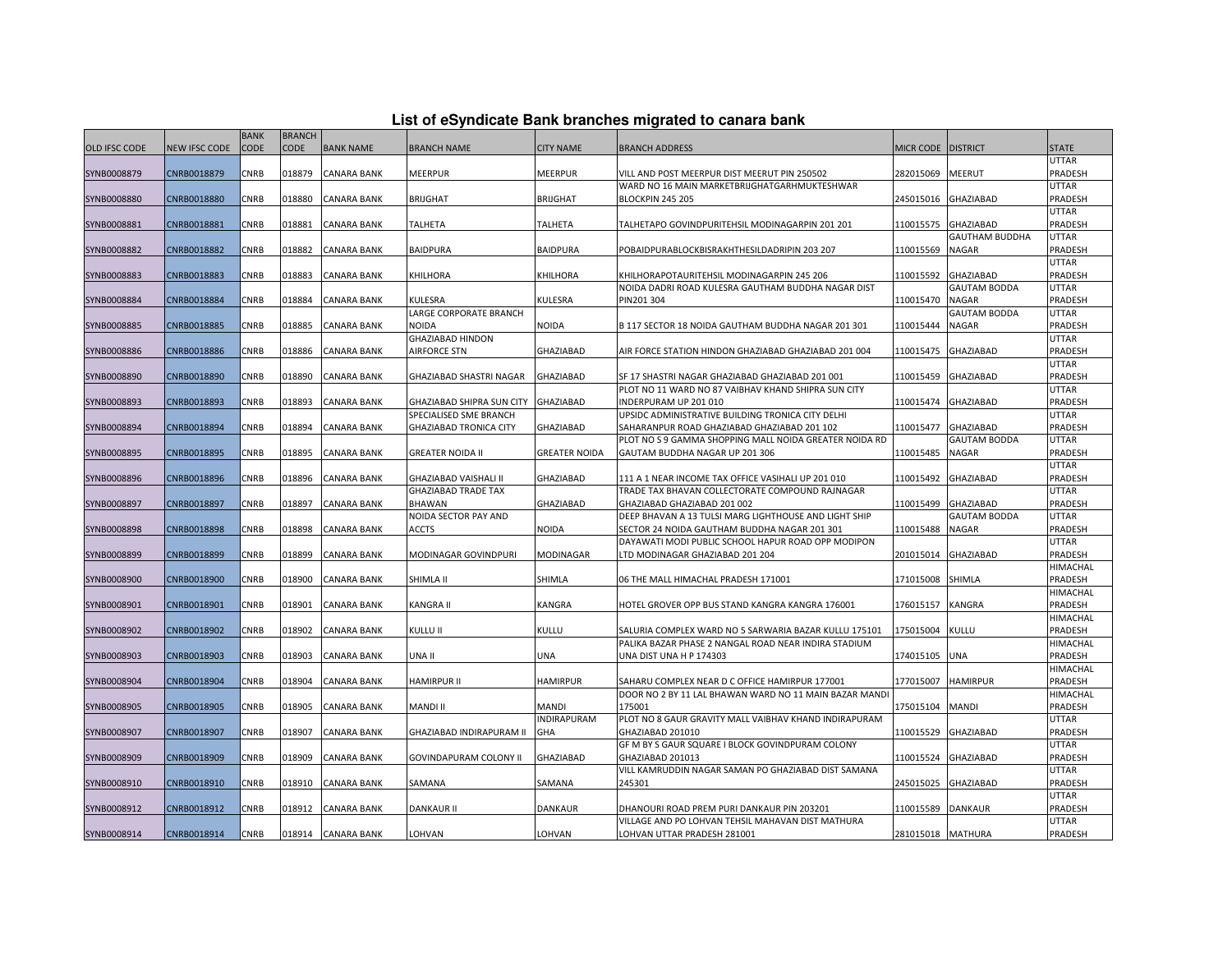|  |  | List of eSyndicate Bank branches migrated to canara bank |  |
|--|--|----------------------------------------------------------|--|
|--|--|----------------------------------------------------------|--|

|               |               | <b>BANK</b> | <b>BRANCH</b> |                    |                               |                  |                                                                         |                   |                       |                  |
|---------------|---------------|-------------|---------------|--------------------|-------------------------------|------------------|-------------------------------------------------------------------------|-------------------|-----------------------|------------------|
| OLD IFSC CODE | NEW IFSC CODE | CODE        | <b>CODE</b>   | <b>BANK NAME</b>   | <b>BRANCH NAME</b>            | <b>CITY NAME</b> | <b>BRANCH ADDRESS</b>                                                   | <b>MICR CODE</b>  | <b>DISTRICT</b>       | <b>STATE</b>     |
|               |               |             |               |                    |                               |                  |                                                                         |                   |                       | UTTAR            |
| SYNB0008879   | CNRB0018879   | <b>CNRB</b> | 018879        | <b>CANARA BANK</b> | MEERPUR                       | MEERPUR          | VILL AND POST MEERPUR DIST MEERUT PIN 250502                            | 282015069         | <b>MEERUT</b>         | PRADESH          |
|               |               |             |               |                    |                               |                  | WARD NO 16 MAIN MARKETBRIJGHATGARHMUKTESHWAR                            |                   |                       | UTTAR            |
| SYNB0008880   | CNRB0018880   | CNRB        | 018880        | <b>CANARA BANK</b> | BRIJGHAT                      | <b>BRIJGHAT</b>  | <b>BLOCKPIN 245 205</b>                                                 | 245015016         | GHAZIABAD             | PRADESH          |
|               |               |             |               |                    |                               |                  |                                                                         |                   |                       | UTTAR            |
| SYNB0008881   | CNRB0018881   | CNRB        | 018881        | <b>CANARA BANK</b> | TALHETA                       | TALHETA          | TALHETAPO GOVINDPURITEHSIL MODINAGARPIN 201 201                         | 110015575         | GHAZIABAD             | PRADESH          |
|               |               |             |               |                    |                               |                  |                                                                         |                   | <b>GAUTHAM BUDDHA</b> | UTTAR            |
| SYNB0008882   | CNRB0018882   | <b>CNRB</b> | 018882        | <b>CANARA BANK</b> | <b>BAIDPURA</b>               | <b>BAIDPURA</b>  | POBAIDPURABLOCKBISRAKHTHESILDADRIPIN 203 207                            | 110015569         | NAGAR                 | PRADESH          |
|               |               |             |               |                    |                               |                  |                                                                         |                   |                       | UTTAR            |
| SYNB0008883   | CNRB0018883   | CNRB        | 018883        | <b>CANARA BANK</b> | KHILHORA                      | KHILHORA         | KHILHORAPOTAURITEHSIL MODINAGARPIN 245 206                              | 110015592         | GHAZIABAD             | PRADESH          |
|               |               |             |               |                    |                               |                  | NOIDA DADRI ROAD KULESRA GAUTHAM BUDDHA NAGAR DIST                      |                   | <b>GAUTAM BODDA</b>   | UTTAR            |
| SYNB0008884   | CNRB0018884   | CNRB        | 018884        | <b>CANARA BANK</b> | KULESRA                       | KULESRA          | PIN201 304                                                              | 110015470         | <b>NAGAR</b>          | PRADESH          |
|               |               |             |               |                    | LARGE CORPORATE BRANCH        |                  |                                                                         |                   | <b>GAUTAM BODDA</b>   | UTTAR            |
| SYNB0008885   | CNRB0018885   | CNRB        | 018885        | <b>CANARA BANK</b> | NOIDA                         | NOIDA            | B 117 SECTOR 18 NOIDA GAUTHAM BUDDHA NAGAR 201 301                      | 110015444         | NAGAR                 | PRADESH          |
|               |               |             |               |                    | <b>GHAZIABAD HINDON</b>       |                  |                                                                         |                   |                       | UTTAR            |
| SYNB0008886   | CNRB0018886   | CNRB        | 018886        | <b>CANARA BANK</b> | <b>AIRFORCE STN</b>           | GHAZIABAD        | AIR FORCE STATION HINDON GHAZIABAD GHAZIABAD 201 004                    | 110015475         | GHAZIABAD             | PRADESH          |
|               |               |             |               |                    |                               |                  |                                                                         |                   |                       | UTTAR            |
| SYNB0008890   | CNRB0018890   | CNRB        | 018890        | <b>CANARA BANK</b> | GHAZIABAD SHASTRI NAGAR       | <b>GHAZIABAD</b> | SF 17 SHASTRI NAGAR GHAZIABAD GHAZIABAD 201 001                         | 110015459         | GHAZIABAD             | PRADESH          |
|               |               |             |               |                    |                               |                  | PLOT NO 11 WARD NO 87 VAIBHAV KHAND SHIPRA SUN CITY                     |                   |                       | UTTAR            |
| SYNB0008893   | CNRB0018893   | CNRB        | 018893        | <b>CANARA BANK</b> | GHAZIABAD SHIPRA SUN CITY     | <b>GHAZIABAD</b> | INDERPURAM UP 201 010                                                   | 110015474         | GHAZIABAD             | PRADESH          |
|               |               |             |               |                    | SPECIALISED SME BRANCH        |                  | UPSIDC ADMINISTRATIVE BUILDING TRONICA CITY DELHI                       |                   |                       | UTTAR            |
| SYNB0008894   | CNRB0018894   | CNRB        | 018894        | CANARA BANK        | <b>GHAZIABAD TRONICA CITY</b> | GHAZIABAD        | SAHARANPUR ROAD GHAZIABAD GHAZIABAD 201 102                             | 110015477         | GHAZIABAD             | PRADESH          |
|               |               |             |               |                    |                               |                  | PLOT NO S 9 GAMMA SHOPPING MALL NOIDA GREATER NOIDA RD                  |                   | <b>GAUTAM BODDA</b>   | <b>UTTAR</b>     |
| SYNB0008895   | CNRB0018895   | CNRB        | 018895        | <b>CANARA BANK</b> | GREATER NOIDA II              | GREATER NOIDA    | GAUTAM BUDDHA NAGAR UP 201 306                                          | 110015485         | NAGAR                 | PRADESH          |
|               |               |             |               |                    |                               |                  |                                                                         |                   |                       | UTTAR            |
| SYNB0008896   | CNRB0018896   | CNRB        | 018896        | <b>CANARA BANK</b> | GHAZIABAD VAISHALI II         | <b>GHAZIABAD</b> | 111 A 1 NEAR INCOME TAX OFFICE VASIHALI UP 201 010                      | 110015492         | GHAZIABAD             | PRADESH          |
|               |               |             |               |                    | <b>GHAZIABAD TRADE TAX</b>    |                  | TRADE TAX BHAVAN COLLECTORATE COMPOUND RAJNAGAR                         |                   |                       | UTTAR            |
| SYNB0008897   | CNRB0018897   | CNRB        | 018897        | CANARA BANK        | BHAWAN                        | GHAZIABAD        | GHAZIABAD GHAZIABAD 201 002                                             | 110015499         | GHAZIABAD             | PRADESH          |
|               |               |             |               |                    | NOIDA SECTOR PAY AND          |                  | DEEP BHAVAN A 13 TULSI MARG LIGHTHOUSE AND LIGHT SHIP                   |                   | <b>GAUTAM BODDA</b>   | UTTAR            |
| SYNB0008898   | CNRB0018898   | CNRB        | 018898        | CANARA BANK        | <b>ACCTS</b>                  | NOIDA            | SECTOR 24 NOIDA GAUTHAM BUDDHA NAGAR 201 301                            | 110015488         | NAGAR                 | PRADESH          |
|               |               |             |               |                    |                               |                  | DAYAWATI MODI PUBLIC SCHOOL HAPUR ROAD OPP MODIPON                      |                   |                       | UTTAR            |
| SYNB0008899   | CNRB0018899   | CNRB        | 018899        | <b>CANARA BANK</b> | MODINAGAR GOVINDPURI          | MODINAGAR        | TD MODINAGAR GHAZIABAD 201 204                                          | 201015014         | GHAZIABAD             | PRADESH          |
|               |               |             |               |                    |                               |                  |                                                                         |                   |                       | HIMACHAL         |
| SYNB0008900   | CNRB0018900   | CNRB        | 018900        | CANARA BANK        | SHIMLA II                     | SHIMLA           | 06 THE MALL HIMACHAL PRADESH 171001                                     | 171015008         | SHIMLA                | PRADESH          |
|               |               |             |               |                    |                               |                  |                                                                         |                   |                       | HIMACHAL         |
| SYNB0008901   | CNRB0018901   | CNRB        | 018901        | CANARA BANK        | KANGRA II                     | KANGRA           | HOTEL GROVER OPP BUS STAND KANGRA KANGRA 176001                         | 176015157         | KANGRA                | PRADESH          |
|               |               |             |               |                    |                               |                  |                                                                         |                   |                       | HIMACHAL         |
| SYNB0008902   | CNRB0018902   | CNRB        | 018902        | <b>CANARA BANK</b> | Kullu II                      | KULLU            | SALURIA COMPLEX WARD NO 5 SARWARIA BAZAR KULLU 175101                   | 175015004         | KULLU                 | PRADESH          |
|               |               |             |               |                    |                               |                  | PALIKA BAZAR PHASE 2 NANGAL ROAD NEAR INDIRA STADIUM                    |                   |                       | HIMACHAL         |
| SYNB0008903   | CNRB0018903   | CNRB        | 018903        | CANARA BANK        | UNA II                        | UNA              | UNA DIST UNA H P 174303                                                 | 174015105         | UNA                   | PRADESH          |
|               |               |             |               |                    |                               |                  |                                                                         |                   |                       | HIMACHAL         |
| SYNB0008904   | CNRB0018904   | CNRB        | 018904        | CANARA BANK        | HAMIRPUR II                   | HAMIRPUR         | SAHARU COMPLEX NEAR D C OFFICE HAMIRPUR 177001                          | 177015007         | <b>HAMIRPUR</b>       | PRADESH          |
|               |               |             |               |                    |                               |                  | DOOR NO 2 BY 11 LAL BHAWAN WARD NO 11 MAIN BAZAR MANDI                  |                   |                       | HIMACHAL         |
| SYNB0008905   | CNRB0018905   | CNRB        | 018905        | <b>CANARA BANK</b> | MANDI II                      | MANDI            | 175001                                                                  | 175015104         | <b>MANDI</b>          | PRADESH          |
|               |               |             |               |                    |                               | INDIRAPURAM      | PLOT NO 8 GAUR GRAVITY MALL VAIBHAV KHAND INDIRAPURAM                   |                   |                       | UTTAR            |
| SYNB0008907   | CNRB0018907   | CNRB        | 018907        | CANARA BANK        | GHAZIABAD INDIRAPURAM II      | GHA              | GHAZIABAD 201010                                                        | 110015529         | GHAZIABAD             | PRADESH          |
| SYNB0008909   | CNRB0018909   | CNRB        | 018909        |                    |                               | <b>GHAZIABAD</b> | GF M BY S GAUR SQUARE I BLOCK GOVINDPURAM COLONY                        | 110015524         | GHAZIABAD             | UTTAR<br>PRADESH |
|               |               |             |               | CANARA BANK        | GOVINDAPURAM COLONY II        |                  | GHAZIABAD 201013<br>VILL KAMRUDDIN NAGAR SAMAN PO GHAZIABAD DIST SAMANA |                   |                       | UTTAR            |
| SYNB0008910   | CNRB0018910   | CNRB        | 018910        | <b>CANARA BANK</b> | SAMANA                        | SAMANA           | 245301                                                                  | 245015025         | <b>GHAZIABAD</b>      | PRADESH          |
|               |               |             |               |                    |                               |                  |                                                                         |                   |                       | UTTAR            |
| SYNB0008912   | CNRB0018912   | CNRB        | 018912        | CANARA BANK        | DANKAUR II                    | DANKAUR          | DHANOURI ROAD PREM PURI DANKAUR PIN 203201                              | 110015589         | DANKAUR               | PRADESH          |
|               |               |             |               |                    |                               |                  | VILLAGE AND PO LOHVAN TEHSIL MAHAVAN DIST MATHURA                       |                   |                       | UTTAR            |
| SYNB0008914   | CNRB0018914   | CNRB        | 018914        | <b>CANARA BANK</b> | LOHVAN                        | LOHVAN           | LOHVAN UTTAR PRADESH 281001                                             | 281015018 MATHURA |                       | PRADESH          |
|               |               |             |               |                    |                               |                  |                                                                         |                   |                       |                  |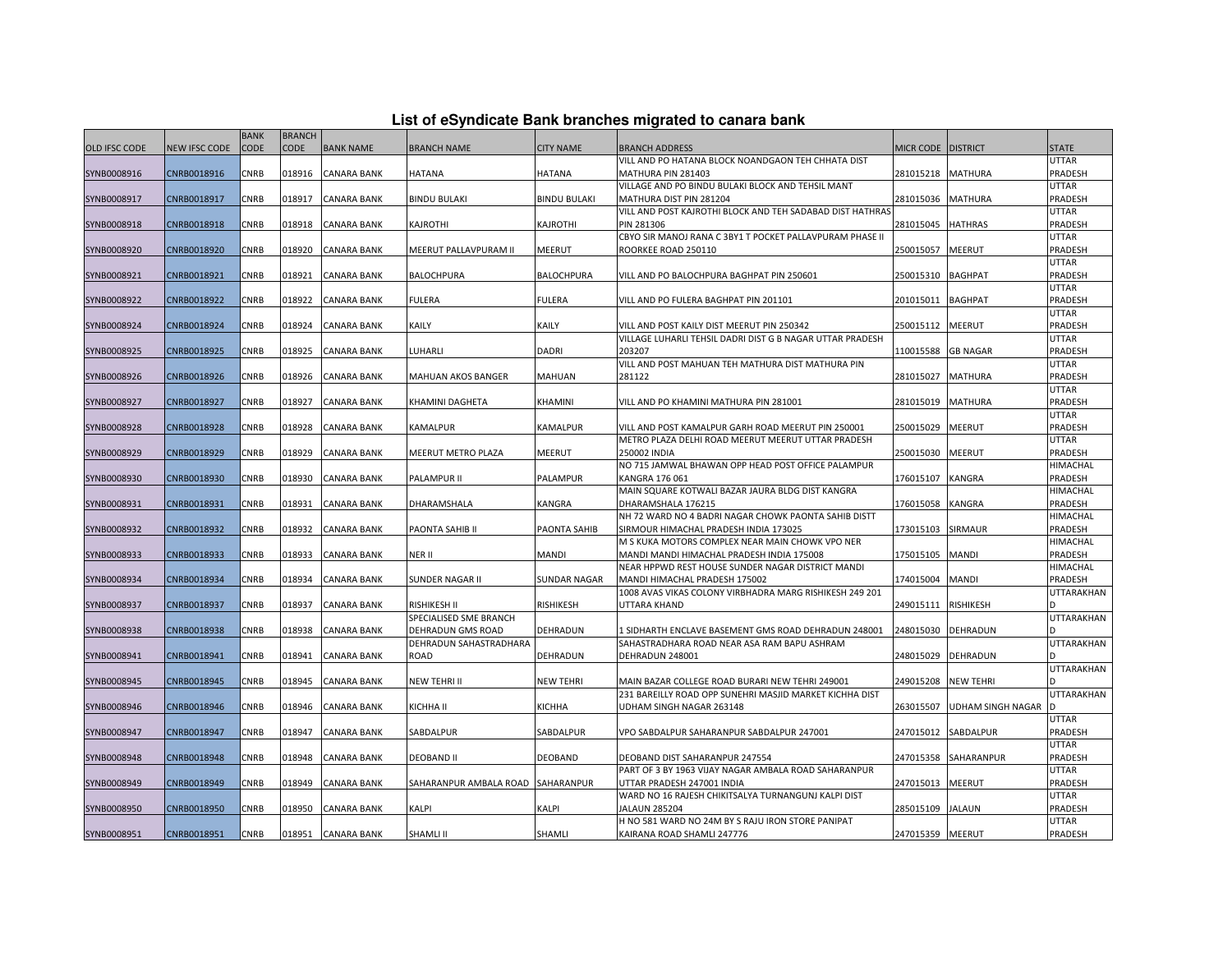|               |                      |             |               |                    |                                        |                     | List of eSyndicate Bank branches migrated to canara bank                 |                    |                      |                         |
|---------------|----------------------|-------------|---------------|--------------------|----------------------------------------|---------------------|--------------------------------------------------------------------------|--------------------|----------------------|-------------------------|
|               |                      | <b>BANK</b> | <b>BRANCH</b> |                    |                                        |                     |                                                                          |                    |                      |                         |
| OLD IFSC CODE | <b>NEW IFSC CODE</b> | <b>CODE</b> | <b>CODE</b>   | <b>BANK NAME</b>   | <b>BRANCH NAME</b>                     | <b>CITY NAME</b>    | <b>BRANCH ADDRESS</b>                                                    | MICR CODE DISTRICT |                      | <b>STATE</b>            |
| SYNB0008916   | CNRB0018916          | CNRB        | 018916        | CANARA BANK        | HATANA                                 | HATANA              | VILL AND PO HATANA BLOCK NOANDGAON TEH CHHATA DIST<br>MATHURA PIN 281403 | 281015218          | <b>MATHURA</b>       | <b>UTTAR</b><br>PRADESH |
|               |                      |             |               |                    |                                        |                     | VILLAGE AND PO BINDU BULAKI BLOCK AND TEHSIL MANT                        |                    |                      | <b>UTTAR</b>            |
| SYNB0008917   | CNRB0018917          | CNRB        | 018917        | CANARA BANK        | <b>BINDU BULAKI</b>                    | <b>BINDU BULAKI</b> | MATHURA DIST PIN 281204                                                  | 281015036          | <b>MATHURA</b>       | PRADESH                 |
|               |                      |             |               |                    |                                        |                     | VILL AND POST KAJROTHI BLOCK AND TEH SADABAD DIST HATHRAS                |                    |                      | UTTAR                   |
| SYNB0008918   | CNRB0018918          | <b>CNRB</b> | 018918        | <b>CANARA BANK</b> | KAJROTHI                               | <b>KAJROTHI</b>     | PIN 281306                                                               | 281015045          | <b>HATHRAS</b>       | PRADESH                 |
|               |                      |             |               |                    |                                        |                     | CBYO SIR MANOJ RANA C 3BY1 T POCKET PALLAVPURAM PHASE II                 |                    |                      | UTTAR                   |
| SYNB0008920   | CNRB0018920          | CNRB        | 018920        | CANARA BANK        | MEERUT PALLAVPURAM II                  | MEERUT              | ROORKEE ROAD 250110                                                      | 250015057          | <b>MEERUT</b>        | PRADESH                 |
|               |                      |             |               |                    |                                        |                     |                                                                          |                    |                      | UTTAR                   |
| SYNB0008921   | CNRB0018921          | <b>CNRB</b> | 018921        | CANARA BANK        | BALOCHPURA                             | <b>BALOCHPURA</b>   | VILL AND PO BALOCHPURA BAGHPAT PIN 250601                                | 250015310          | <b>BAGHPAT</b>       | PRADESH                 |
|               |                      |             |               |                    |                                        |                     |                                                                          |                    |                      | UTTAR                   |
| SYNB0008922   | CNRB0018922          | CNRB        | 018922        | CANARA BANK        | <b>FULERA</b>                          | <b>FULERA</b>       | VILL AND PO FULERA BAGHPAT PIN 201101                                    | 201015011          | <b>BAGHPAT</b>       | PRADESH                 |
| SYNB0008924   | CNRB0018924          | CNRB        | 018924        | CANARA BANK        | KAILY                                  | KAILY               | VILL AND POST KAILY DIST MEERUT PIN 250342                               | 250015112          | <b>MEERUT</b>        | UTTAR<br>PRADESH        |
|               |                      |             |               |                    |                                        |                     | VILLAGE LUHARLI TEHSIL DADRI DIST G B NAGAR UTTAR PRADESH                |                    |                      | UTTAR                   |
| SYNB0008925   | CNRB0018925          | <b>CNRB</b> | 018925        | <b>CANARA BANK</b> | LUHARLI                                | <b>DADRI</b>        | 203207                                                                   | 110015588          | <b>GB NAGAR</b>      | PRADESH                 |
|               |                      |             |               |                    |                                        |                     | VILL AND POST MAHUAN TEH MATHURA DIST MATHURA PIN                        |                    |                      | UTTAR                   |
| SYNB0008926   | CNRB0018926          | CNRB        | 018926        | CANARA BANK        | MAHUAN AKOS BANGER                     | <b>MAHUAN</b>       | 281122                                                                   | 281015027          | <b>MATHURA</b>       | PRADESH                 |
|               |                      |             |               |                    |                                        |                     |                                                                          |                    |                      | UTTAR                   |
| SYNB0008927   | CNRB0018927          | <b>CNRB</b> | 018927        | CANARA BANK        | KHAMINI DAGHETA                        | KHAMINI             | VILL AND PO KHAMINI MATHURA PIN 281001                                   | 281015019          | <b>MATHURA</b>       | PRADESH                 |
|               |                      |             |               |                    |                                        |                     |                                                                          |                    |                      | UTTAR                   |
| SYNB0008928   | CNRB0018928          | CNRB        | 018928        | CANARA BANK        | KAMALPUR                               | KAMALPUR            | VILL AND POST KAMALPUR GARH ROAD MEERUT PIN 250001                       | 250015029          | <b>MEERUT</b>        | PRADESH                 |
|               |                      |             |               |                    |                                        |                     | METRO PLAZA DELHI ROAD MEERUT MEERUT UTTAR PRADESH                       |                    |                      | UTTAR                   |
| SYNB0008929   | CNRB0018929          | CNRB        | 018929        | CANARA BANK        | MEERUT METRO PLAZA                     | MEERUT              | 250002 INDIA<br>NO 715 JAMWAL BHAWAN OPP HEAD POST OFFICE PALAMPUR       | 250015030          | <b>MEERUT</b>        | PRADESH<br>HIMACHAL     |
| SYNB0008930   | CNRB0018930          | <b>CNRB</b> | 018930        | <b>CANARA BANK</b> | PALAMPUR II                            | PALAMPUR            | KANGRA 176 061                                                           | 176015107          | <b>KANGRA</b>        | PRADESH                 |
|               |                      |             |               |                    |                                        |                     | MAIN SQUARE KOTWALI BAZAR JAURA BLDG DIST KANGRA                         |                    |                      | HIMACHAL                |
| SYNB0008931   | CNRB0018931          | CNRB        | 018931        | CANARA BANK        | DHARAMSHALA                            | KANGRA              | DHARAMSHALA 176215                                                       | 176015058          | <b><i>CANGRA</i></b> | PRADESH                 |
|               |                      |             |               |                    |                                        |                     | NH 72 WARD NO 4 BADRI NAGAR CHOWK PAONTA SAHIB DISTT                     |                    |                      | HIMACHAL                |
| SYNB0008932   | CNRB0018932          | <b>CNRB</b> | 018932        | CANARA BANK        | PAONTA SAHIB II                        | PAONTA SAHIB        | SIRMOUR HIMACHAL PRADESH INDIA 173025                                    | 173015103          | SIRMAUR              | PRADESH                 |
|               |                      |             |               |                    |                                        |                     | M S KUKA MOTORS COMPLEX NEAR MAIN CHOWK VPO NER                          |                    |                      | HIMACHAL                |
| SYNB0008933   | CNRB0018933          | CNRB        | 018933        | CANARA BANK        | NER II                                 | <b>MANDI</b>        | MANDI MANDI HIMACHAL PRADESH INDIA 175008                                | 175015105          | <b>MANDI</b>         | PRADESH                 |
|               |                      |             |               |                    |                                        |                     | NEAR HPPWD REST HOUSE SUNDER NAGAR DISTRICT MANDI                        |                    |                      | HIMACHAL                |
| SYNB0008934   | CNRB0018934          | <b>CNRB</b> | 018934        | CANARA BANK        | SUNDER NAGAR II                        | SUNDAR NAGAR        | MANDI HIMACHAL PRADESH 175002                                            | 174015004          | <b>MANDI</b>         | PRADESH                 |
|               |                      |             |               |                    |                                        | <b>RISHIKESH</b>    | 1008 AVAS VIKAS COLONY VIRBHADRA MARG RISHIKESH 249 201                  |                    |                      | UTTARAKHAN              |
| SYNB0008937   | CNRB0018937          | <b>CNRB</b> | 018937        | CANARA BANK        | RISHIKESH II<br>SPECIALISED SME BRANCH |                     | UTTARA KHAND                                                             | 249015111          | <b>RISHIKESH</b>     | UTTARAKHAN              |
| SYNB0008938   | CNRB0018938          | CNRB        | 018938        | CANARA BANK        | DEHRADUN GMS ROAD                      | DEHRADUN            | 1 SIDHARTH ENCLAVE BASEMENT GMS ROAD DEHRADUN 248001                     | 248015030          | <b>DEHRADUN</b>      |                         |
|               |                      |             |               |                    | DEHRADUN SAHASTRADHARA                 |                     | SAHASTRADHARA ROAD NEAR ASA RAM BAPU ASHRAM                              |                    |                      | UTTARAKHAN              |
| SYNB0008941   | CNRB0018941          | <b>CNRB</b> | 018941        | CANARA BANK        | ROAD                                   | DEHRADUN            | DEHRADUN 248001                                                          | 248015029          | <b>DEHRADUN</b>      |                         |
|               |                      |             |               |                    |                                        |                     |                                                                          |                    |                      | <b>UTTARAKHAN</b>       |
| SYNB0008945   | CNRB0018945          | CNRB        | 018945        | CANARA BANK        | NEW TEHRI II                           | <b>NEW TEHRI</b>    | MAIN BAZAR COLLEGE ROAD BURARI NEW TEHRI 249001                          | 249015208          | <b>NEW TEHRI</b>     |                         |
|               |                      |             |               |                    |                                        |                     | 231 BAREILLY ROAD OPP SUNEHRI MASJID MARKET KICHHA DIST                  |                    |                      | UTTARAKHAN              |
| SYNB0008946   | CNRB0018946          | CNRB        | 018946        | CANARA BANK        | KICHHA II                              | KICHHA              | UDHAM SINGH NAGAR 263148                                                 | 263015507          | UDHAM SINGH NAGAR    |                         |
|               |                      |             |               |                    |                                        |                     |                                                                          |                    |                      | <b>UTTAR</b>            |
| SYNB0008947   | CNRB0018947          | <b>CNRB</b> | 018947        | <b>CANARA BANK</b> | SABDALPUR                              | <b>SABDALPUR</b>    | VPO SABDALPUR SAHARANPUR SABDALPUR 247001                                | 247015012          | SABDALPUR            | PRADESH                 |
| SYNB0008948   | CNRB0018948          | CNRB        | 018948        | CANARA BANK        | <b>DEOBAND II</b>                      | DEOBAND             | DEOBAND DIST SAHARANPUR 247554                                           | 247015358          | SAHARANPUR           | <b>UTTAR</b><br>PRADESH |
|               |                      |             |               |                    |                                        |                     | PART OF 3 BY 1963 VIJAY NAGAR AMBALA ROAD SAHARANPUR                     |                    |                      | UTTAR                   |
| SYNB0008949   | CNRB0018949          | <b>CNRB</b> | 018949        | CANARA BANK        | SAHARANPUR AMBALA ROAD SAHARANPUR      |                     | UTTAR PRADESH 247001 INDIA                                               | 247015013          | <b>MEERUT</b>        | PRADESH                 |
|               |                      |             |               |                    |                                        |                     | WARD NO 16 RAJESH CHIKITSALYA TURNANGUNJ KALPI DIST                      |                    |                      | UTTAR                   |
| SYNB0008950   | CNRB0018950          | <b>CNRB</b> | 018950        | CANARA BANK        | KALPI                                  | KALPI               | <b>IALAUN 285204</b>                                                     | 285015109          | <b>JALAUN</b>        | PRADESH                 |
|               |                      |             |               |                    |                                        |                     | H NO 581 WARD NO 24M BY S RAJU IRON STORE PANIPAT                        |                    |                      | <b>UTTAR</b>            |
| SYNB0008951   | CNRB0018951          | <b>CNRB</b> | 018951        | <b>CANARA BANK</b> | SHAMLI II                              | SHAMLI              | KAIRANA ROAD SHAMLI 247776                                               | 247015359 MEERUT   |                      | PRADESH                 |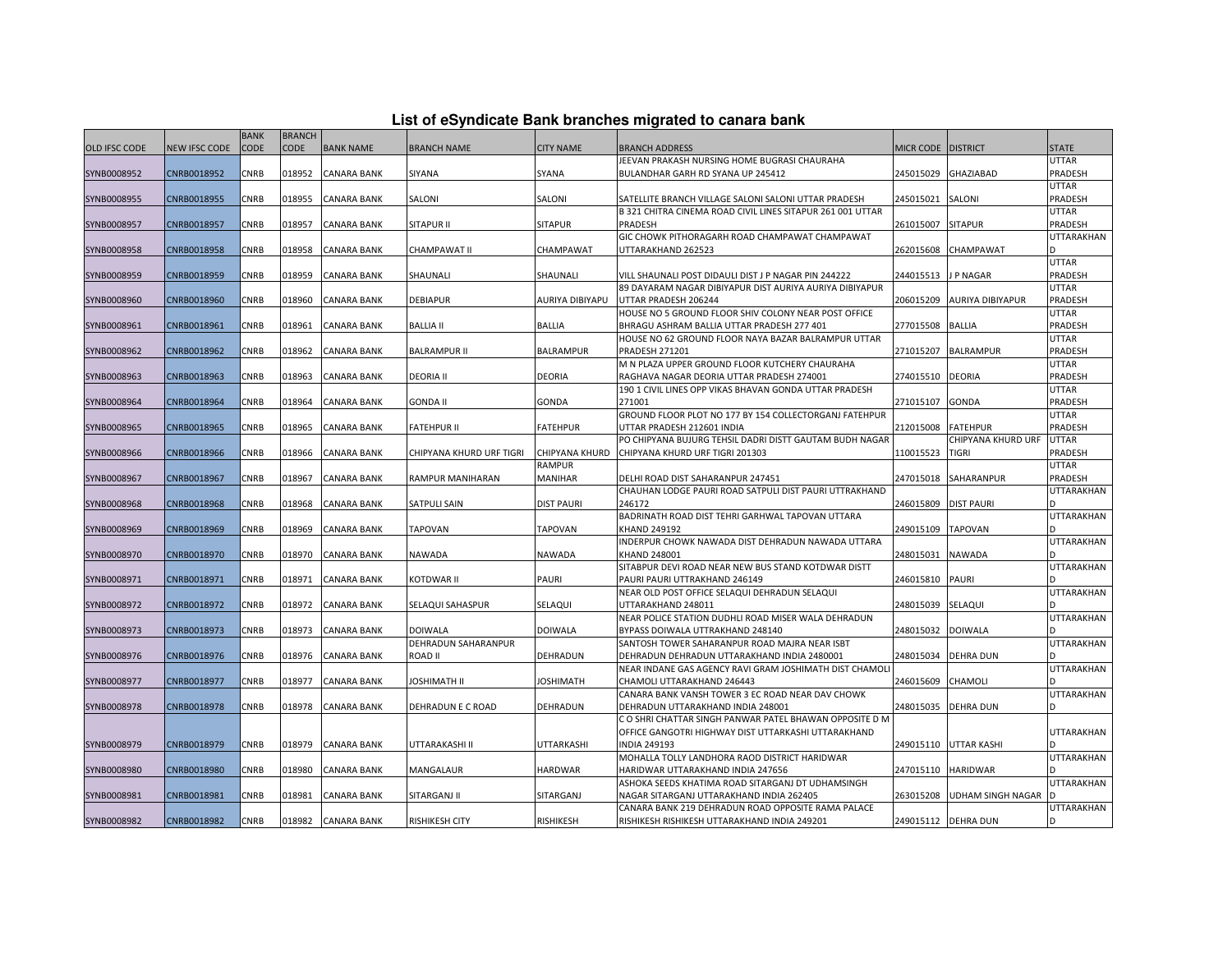|  |  | List of eSyndicate Bank branches migrated to canara bank |  |  |  |
|--|--|----------------------------------------------------------|--|--|--|
|  |  |                                                          |  |  |  |

|                      | List of eSyndicate Bank branches migrated to canara bank |             |               |                    |                          |                       |                                                            |                    |                         |                   |  |  |
|----------------------|----------------------------------------------------------|-------------|---------------|--------------------|--------------------------|-----------------------|------------------------------------------------------------|--------------------|-------------------------|-------------------|--|--|
|                      |                                                          | <b>BANK</b> | <b>BRANCH</b> |                    |                          |                       |                                                            |                    |                         |                   |  |  |
| <b>OLD IFSC CODE</b> | NEW IFSC CODE                                            | <b>CODE</b> | <b>CODE</b>   | <b>BANK NAME</b>   | <b>BRANCH NAME</b>       | <b>CITY NAME</b>      | <b>BRANCH ADDRESS</b>                                      | MICR CODE DISTRICT |                         | <b>STATE</b>      |  |  |
|                      |                                                          |             |               |                    |                          |                       | JEEVAN PRAKASH NURSING HOME BUGRASI CHAURAHA               |                    |                         | <b>UTTAR</b>      |  |  |
| SYNB0008952          | CNRB0018952                                              | CNRB        | 018952        | <b>CANARA BANK</b> | SIYANA                   | SYANA                 | BULANDHAR GARH RD SYANA UP 245412                          | 245015029          | <b>GHAZIABAD</b>        | PRADESH           |  |  |
|                      |                                                          |             |               |                    |                          |                       |                                                            |                    |                         | <b>UTTAR</b>      |  |  |
| SYNB0008955          | CNRB0018955                                              | CNRB        | 018955        | <b>CANARA BANK</b> | SALONI                   | SALONI                | SATELLITE BRANCH VILLAGE SALONI SALONI UTTAR PRADESH       | 245015021          | SALONI                  | PRADESH           |  |  |
|                      |                                                          |             |               |                    |                          |                       | B 321 CHITRA CINEMA ROAD CIVIL LINES SITAPUR 261 001 UTTAR |                    |                         | <b>UTTAR</b>      |  |  |
| SYNB0008957          | CNRB0018957                                              | CNRB        | 018957        | <b>CANARA BANK</b> | SITAPUR II               | <b>SITAPUR</b>        | PRADESH                                                    | 261015007          | <b>SITAPUR</b>          | PRADESH           |  |  |
|                      |                                                          |             |               |                    |                          |                       | GIC CHOWK PITHORAGARH ROAD CHAMPAWAT CHAMPAWAT             |                    |                         | <b>UTTARAKHAN</b> |  |  |
| SYNB0008958          | CNRB0018958                                              | CNRB        | 018958        | <b>CANARA BANK</b> | CHAMPAWAT II             | CHAMPAWAT             | UTTARAKHAND 262523                                         | 262015608          | CHAMPAWAT               |                   |  |  |
|                      |                                                          |             |               |                    |                          |                       |                                                            |                    |                         | <b>UTTAR</b>      |  |  |
| SYNB0008959          | CNRB0018959                                              | CNRB        | 018959        | <b>CANARA BANK</b> | SHAUNALI                 | SHAUNALI              | VILL SHAUNALI POST DIDAULI DIST J P NAGAR PIN 244222       | 244015513          | J P NAGAR               | PRADESH           |  |  |
|                      |                                                          |             |               |                    |                          |                       | 89 DAYARAM NAGAR DIBIYAPUR DIST AURIYA AURIYA DIBIYAPUR    |                    |                         | <b>UTTAR</b>      |  |  |
| SYNB0008960          | CNRB0018960                                              | CNRB        | 018960        | <b>CANARA BANK</b> | <b>DEBIAPUR</b>          | AURIYA DIBIYAPU       | UTTAR PRADESH 206244                                       | 206015209          | <b>AURIYA DIBIYAPUR</b> | PRADESH           |  |  |
|                      |                                                          |             |               |                    |                          |                       | HOUSE NO 5 GROUND FLOOR SHIV COLONY NEAR POST OFFICE       |                    |                         | <b>UTTAR</b>      |  |  |
| SYNB0008961          | CNRB0018961                                              | CNRB        | 018961        | <b>CANARA BANK</b> | <b>BALLIA II</b>         | <b>BALLIA</b>         | BHRAGU ASHRAM BALLIA UTTAR PRADESH 277 401                 | 277015508          | <b>BALLIA</b>           | PRADESH           |  |  |
|                      |                                                          |             |               |                    |                          |                       | HOUSE NO 62 GROUND FLOOR NAYA BAZAR BALRAMPUR UTTAR        |                    |                         | <b>UTTAR</b>      |  |  |
| SYNB0008962          | CNRB0018962                                              | CNRB        | 018962        | <b>CANARA BANK</b> | <b>BALRAMPUR II</b>      | <b>BALRAMPUR</b>      | <b>PRADESH 271201</b>                                      | 271015207          | <b>BALRAMPUR</b>        | PRADESH           |  |  |
|                      |                                                          |             |               |                    |                          |                       | M N PLAZA UPPER GROUND FLOOR KUTCHERY CHAURAHA             |                    |                         | <b>UTTAR</b>      |  |  |
| SYNB0008963          | CNRB0018963                                              | CNRB        | 018963        | <b>CANARA BANK</b> | <b>DEORIA II</b>         | DEORIA                | RAGHAVA NAGAR DEORIA UTTAR PRADESH 274001                  | 274015510          | <b>DEORIA</b>           | PRADESH           |  |  |
|                      |                                                          |             |               |                    |                          |                       | 190 1 CIVIL LINES OPP VIKAS BHAVAN GONDA UTTAR PRADESH     |                    |                         | <b>UTTAR</b>      |  |  |
| SYNB0008964          | CNRB0018964                                              | CNRB        | 018964        | <b>CANARA BANK</b> | GONDA II                 | GONDA                 | 271001                                                     | 271015107          | <b>GONDA</b>            | PRADESH           |  |  |
|                      |                                                          |             |               |                    |                          |                       | GROUND FLOOR PLOT NO 177 BY 154 COLLECTORGANJ FATEHPUR     |                    |                         | <b>UTTAR</b>      |  |  |
| SYNB0008965          | CNRB0018965                                              | CNRB        | 018965        | <b>CANARA BANK</b> | <b>FATEHPUR II</b>       | <b>FATEHPUR</b>       | UTTAR PRADESH 212601 INDIA                                 | 212015008          | <b>FATEHPUR</b>         | PRADESH           |  |  |
|                      |                                                          |             |               |                    |                          |                       | PO CHIPYANA BUJURG TEHSIL DADRI DISTT GAUTAM BUDH NAGAR    |                    | CHIPYANA KHURD URF      | <b>UTTAR</b>      |  |  |
| SYNB0008966          | CNRB0018966                                              | CNRB        | 018966        | <b>CANARA BANK</b> | CHIPYANA KHURD URF TIGRI | <b>CHIPYANA KHURD</b> | CHIPYANA KHURD URF TIGRI 201303                            | 110015523          | <b>TIGRI</b>            | PRADESH           |  |  |
|                      |                                                          |             |               |                    |                          | RAMPUR                |                                                            |                    |                         | <b>UTTAR</b>      |  |  |
| SYNB0008967          | CNRB0018967                                              | CNRB        | 018967        | <b>CANARA BANK</b> | RAMPUR MANIHARAN         | <b>MANIHAR</b>        | DELHI ROAD DIST SAHARANPUR 247451                          | 247015018          | SAHARANPUR              | PRADESH           |  |  |
|                      |                                                          |             |               |                    |                          |                       | CHAUHAN LODGE PAURI ROAD SATPULI DIST PAURI UTTRAKHAND     |                    |                         | <b>UTTARAKHAN</b> |  |  |
| SYNB0008968          | CNRB0018968                                              | CNRB        | 018968        | <b>CANARA BANK</b> | SATPULI SAIN             | <b>DIST PAURI</b>     | 246172                                                     | 246015809          | <b>DIST PAURI</b>       |                   |  |  |
|                      |                                                          |             |               |                    |                          |                       | BADRINATH ROAD DIST TEHRI GARHWAL TAPOVAN UTTARA           |                    |                         | <b>UTTARAKHAN</b> |  |  |
| SYNB0008969          | CNRB0018969                                              | CNRB        | 018969        | <b>CANARA BANK</b> | <b>TAPOVAN</b>           | <b>TAPOVAN</b>        | KHAND 249192                                               | 249015109          | <b>TAPOVAN</b>          |                   |  |  |
|                      |                                                          |             |               |                    |                          |                       | INDERPUR CHOWK NAWADA DIST DEHRADUN NAWADA UTTARA          |                    |                         | <b>UTTARAKHAN</b> |  |  |
| SYNB0008970          | CNRB0018970                                              | CNRB        | 018970        | <b>CANARA BANK</b> | NAWADA                   | NAWADA                | <b>KHAND 248001</b>                                        | 248015031          | <b>NAWADA</b>           |                   |  |  |
|                      |                                                          |             |               |                    |                          |                       | SITABPUR DEVI ROAD NEAR NEW BUS STAND KOTDWAR DISTT        |                    |                         | <b>UTTARAKHAN</b> |  |  |
| SYNB0008971          | CNRB0018971                                              | CNRB        | 018971        | <b>CANARA BANK</b> | KOTDWAR II               | <b>PAURI</b>          | PAURI PAURI UTTRAKHAND 246149                              | 246015810          | <b>PAURI</b>            |                   |  |  |
|                      |                                                          |             |               |                    |                          |                       | NEAR OLD POST OFFICE SELAQUI DEHRADUN SELAQUI              |                    |                         | <b>UTTARAKHAN</b> |  |  |
| SYNB0008972          | CNRB0018972                                              | CNRB        | 018972        | <b>CANARA BANK</b> | SELAQUI SAHASPUR         | SELAQUI               | UTTARAKHAND 248011                                         | 248015039          | SELAQUI                 |                   |  |  |
|                      |                                                          |             |               |                    |                          |                       | NEAR POLICE STATION DUDHLI ROAD MISER WALA DEHRADUN        |                    |                         | <b>UTTARAKHAN</b> |  |  |
| SYNB0008973          | CNRB0018973                                              | CNRB        | 018973        | <b>CANARA BANK</b> | DOIWALA                  | <b>DOIWALA</b>        | BYPASS DOIWALA UTTRAKHAND 248140                           | 248015032          | <b>DOIWALA</b>          |                   |  |  |
|                      |                                                          |             |               |                    | DEHRADUN SAHARANPUR      |                       | SANTOSH TOWER SAHARANPUR ROAD MAJRA NEAR ISBT              |                    |                         | <b>UTTARAKHAN</b> |  |  |
| SYNB0008976          | CNRB0018976                                              | CNRB        | 018976        | <b>CANARA BANK</b> | ROAD II                  | DEHRADUN              | DEHRADUN DEHRADUN UTTARAKHAND INDIA 2480001                | 248015034          | <b>DEHRA DUN</b>        |                   |  |  |
|                      |                                                          |             |               |                    |                          |                       | NEAR INDANE GAS AGENCY RAVI GRAM JOSHIMATH DIST CHAMOLI    |                    |                         | <b>UTTARAKHAN</b> |  |  |
| SYNB0008977          | CNRB0018977                                              | CNRB        | 018977        | <b>CANARA BANK</b> | <b>JOSHIMATH II</b>      | <b>JOSHIMATH</b>      | CHAMOLI UTTARAKHAND 246443                                 | 246015609          | CHAMOLI                 |                   |  |  |
|                      |                                                          |             |               |                    |                          |                       | CANARA BANK VANSH TOWER 3 EC ROAD NEAR DAV CHOWK           |                    |                         | <b>UTTARAKHAN</b> |  |  |
| SYNB0008978          | CNRB0018978                                              | CNRB        | 018978        | <b>CANARA BANK</b> | DEHRADUN E C ROAD        | DEHRADUN              | DEHRADUN UTTARAKHAND INDIA 248001                          | 248015035          | <b>DEHRA DUN</b>        |                   |  |  |
|                      |                                                          |             |               |                    |                          |                       | C O SHRI CHATTAR SINGH PANWAR PATEL BHAWAN OPPOSITE D M    |                    |                         |                   |  |  |
|                      |                                                          |             |               |                    |                          |                       | OFFICE GANGOTRI HIGHWAY DIST UTTARKASHI UTTARAKHAND        |                    |                         | UTTARAKHAN        |  |  |
| SYNB0008979          | CNRB0018979                                              | CNRB        | 018979        | <b>CANARA BANK</b> | UTTARAKASHI II           | UTTARKASHI            | <b>INDIA 249193</b>                                        | 249015110          | <b>UTTAR KASHI</b>      |                   |  |  |
|                      |                                                          |             |               |                    |                          |                       | MOHALLA TOLLY LANDHORA RAOD DISTRICT HARIDWAR              |                    |                         | UTTARAKHAN        |  |  |
| SYNB0008980          | CNRB0018980                                              | CNRB        | 018980        | <b>CANARA BANK</b> | MANGALAUR                | <b>HARDWAR</b>        | HARIDWAR UTTARAKHAND INDIA 247656                          | 247015110          | <b>HARIDWAR</b>         |                   |  |  |
|                      |                                                          |             |               |                    |                          |                       | ASHOKA SEEDS KHATIMA ROAD SITARGANJ DT UDHAMSINGH          |                    |                         | UTTARAKHAN        |  |  |
| SYNB0008981          | CNRB0018981                                              | CNRB        | 018981        | CANARA BANK        | SITARGANJ II             | SITARGANJ             | NAGAR SITARGANJ UTTARAKHAND INDIA 262405                   | 263015208          | UDHAM SINGH NAGAR I     |                   |  |  |
|                      |                                                          |             |               |                    |                          |                       | CANARA BANK 219 DEHRADUN ROAD OPPOSITE RAMA PALACE         |                    |                         | UTTARAKHAN        |  |  |
| SYNB0008982          | CNRB0018982                                              | <b>CNRB</b> |               | 018982 CANARA BANK | RISHIKESH CITY           | <b>RISHIKESH</b>      | RISHIKESH RISHIKESH UTTARAKHAND INDIA 249201               |                    | 249015112 DEHRA DUN     |                   |  |  |
|                      |                                                          |             |               |                    |                          |                       |                                                            |                    |                         |                   |  |  |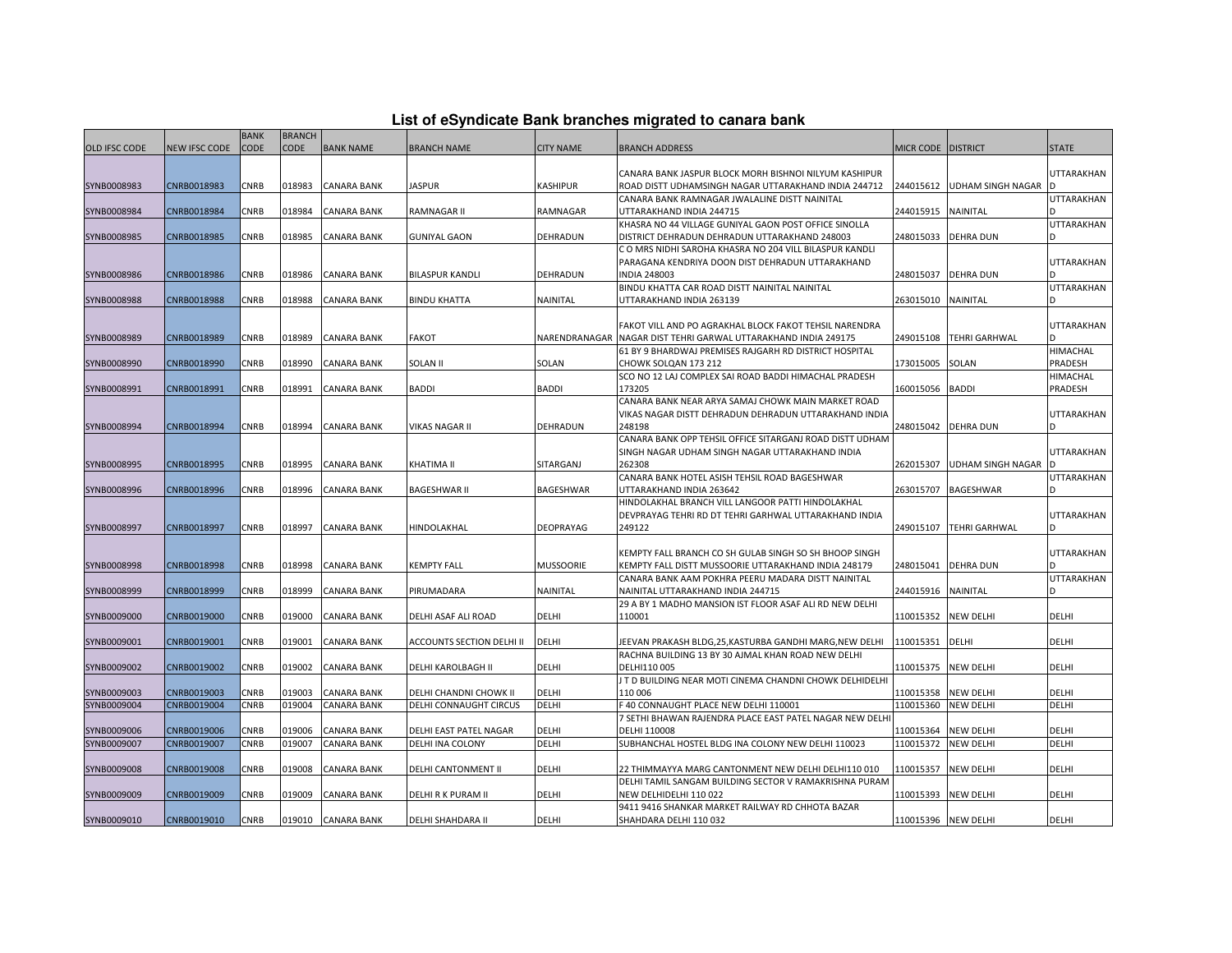| List of eSyndicate Bank branches migrated to canara bank |  |  |
|----------------------------------------------------------|--|--|
|----------------------------------------------------------|--|--|

|               | List of eSyndicate Bank branches migrated to canara bank |             |               |                    |                                  |                  |                                                                 |                      |                               |                   |  |  |
|---------------|----------------------------------------------------------|-------------|---------------|--------------------|----------------------------------|------------------|-----------------------------------------------------------------|----------------------|-------------------------------|-------------------|--|--|
|               |                                                          | <b>BANK</b> | <b>BRANCH</b> |                    |                                  |                  |                                                                 |                      |                               |                   |  |  |
| OLD IFSC CODE | NEW IFSC CODE                                            | <b>CODE</b> | <b>CODE</b>   | <b>BANK NAME</b>   | <b>BRANCH NAME</b>               | <b>CITY NAME</b> | <b>BRANCH ADDRESS</b>                                           | MICR CODE   DISTRICT |                               | <b>STATE</b>      |  |  |
|               |                                                          |             |               |                    |                                  |                  |                                                                 |                      |                               |                   |  |  |
|               |                                                          |             |               |                    |                                  |                  | CANARA BANK JASPUR BLOCK MORH BISHNOI NILYUM KASHIPUR           |                      |                               | <b>UTTARAKHAN</b> |  |  |
| SYNB0008983   | CNRB0018983                                              | CNRB        | 018983        | <b>CANARA BANK</b> | JASPUR                           | KASHIPUR         | ROAD DISTT UDHAMSINGH NAGAR UTTARAKHAND INDIA 244712            |                      | 244015612 UDHAM SINGH NAGAR D |                   |  |  |
|               |                                                          |             |               |                    |                                  |                  | CANARA BANK RAMNAGAR JWALALINE DISTT NAINITAL                   |                      |                               | <b>UTTARAKHAN</b> |  |  |
| SYNB0008984   | CNRB0018984                                              | CNRB        | 018984        | <b>CANARA BANK</b> | RAMNAGAR II                      | RAMNAGAR         | UTTARAKHAND INDIA 244715                                        | 244015915            | NAINITAL                      |                   |  |  |
|               |                                                          |             |               |                    |                                  |                  | KHASRA NO 44 VILLAGE GUNIYAL GAON POST OFFICE SINOLLA           |                      |                               | <b>UTTARAKHAN</b> |  |  |
| SYNB0008985   | CNRB0018985                                              | CNRB        | 018985        | CANARA BANK        | <b>GUNIYAL GAON</b>              | DEHRADUN         | DISTRICT DEHRADUN DEHRADUN UTTARAKHAND 248003                   | 248015033            | <b>DEHRA DUN</b>              |                   |  |  |
|               |                                                          |             |               |                    |                                  |                  | C O MRS NIDHI SAROHA KHASRA NO 204 VILL BILASPUR KANDLI         |                      |                               |                   |  |  |
|               |                                                          |             |               |                    |                                  |                  | PARAGANA KENDRIYA DOON DIST DEHRADUN UTTARAKHAND                |                      |                               | <b>UTTARAKHAN</b> |  |  |
| SYNB0008986   | CNRB0018986                                              | CNRB        | 018986        | <b>CANARA BANK</b> | <b>BILASPUR KANDLI</b>           | <b>DEHRADUN</b>  | <b>INDIA 248003</b>                                             | 248015037            | <b>DEHRA DUN</b>              |                   |  |  |
|               |                                                          |             |               |                    |                                  |                  | BINDU KHATTA CAR ROAD DISTT NAINITAL NAINITAL                   |                      |                               | <b>UTTARAKHAN</b> |  |  |
| SYNB0008988   | CNRB0018988                                              | CNRB        | 018988        | <b>CANARA BANK</b> | <b>BINDU KHATTA</b>              | NAINITAL         | UTTARAKHAND INDIA 263139                                        | 263015010            | <b>NAINITAL</b>               |                   |  |  |
|               |                                                          |             |               |                    |                                  |                  |                                                                 |                      |                               |                   |  |  |
|               |                                                          |             |               |                    |                                  |                  | FAKOT VILL AND PO AGRAKHAL BLOCK FAKOT TEHSIL NARENDRA          |                      |                               | <b>UTTARAKHAN</b> |  |  |
| SYNB0008989   | CNRB0018989                                              | CNRB        | 018989        | <b>CANARA BANK</b> | FAKOT                            |                  | NARENDRANAGAR NAGAR DIST TEHRI GARWAL UTTARAKHAND INDIA 249175  | 249015108            | <b>TEHRI GARHWAL</b>          |                   |  |  |
|               |                                                          |             |               |                    |                                  |                  | 61 BY 9 BHARDWAJ PREMISES RAJGARH RD DISTRICT HOSPITAL          |                      |                               | <b>HIMACHAL</b>   |  |  |
| SYNB0008990   | CNRB0018990                                              | CNRB        | 018990        | <b>CANARA BANK</b> | SOLAN II                         | SOLAN            | CHOWK SOLQAN 173 212                                            | 173015005            | SOLAN                         | PRADESH           |  |  |
|               |                                                          |             |               |                    |                                  |                  | SCO NO 12 LAJ COMPLEX SAI ROAD BADDI HIMACHAL PRADESH           |                      |                               | <b>HIMACHAL</b>   |  |  |
| SYNB0008991   | CNRB0018991                                              | CNRB        | 018991        | <b>CANARA BANK</b> | <b>BADDI</b>                     | <b>BADDI</b>     | 173205                                                          | 160015056            | <b>BADDI</b>                  | PRADESH           |  |  |
|               |                                                          |             |               |                    |                                  |                  | CANARA BANK NEAR ARYA SAMAJ CHOWK MAIN MARKET ROAD              |                      |                               |                   |  |  |
|               | CNRB0018994                                              | CNRB        | 018994        | <b>CANARA BANK</b> | VIKAS NAGAR II                   | <b>DEHRADUN</b>  | VIKAS NAGAR DISTT DEHRADUN DEHRADUN UTTARAKHAND INDIA<br>248198 | 248015042            |                               | <b>UTTARAKHAN</b> |  |  |
| SYNB0008994   |                                                          |             |               |                    |                                  |                  | CANARA BANK OPP TEHSIL OFFICE SITARGANJ ROAD DISTT UDHAM        |                      | <b>DEHRA DUN</b>              |                   |  |  |
|               |                                                          |             |               |                    |                                  |                  | SINGH NAGAR UDHAM SINGH NAGAR UTTARAKHAND INDIA                 |                      |                               | UTTARAKHAN        |  |  |
| SYNB0008995   | CNRB0018995                                              | CNRB        | 018995        | <b>CANARA BANK</b> | KHATIMA II                       | SITARGANJ        | 262308                                                          | 262015307            | <b>UDHAM SINGH NAGAR</b>      |                   |  |  |
|               |                                                          |             |               |                    |                                  |                  | CANARA BANK HOTEL ASISH TEHSIL ROAD BAGESHWAR                   |                      |                               | <b>UTTARAKHAN</b> |  |  |
| SYNB0008996   | CNRB0018996                                              | CNRB        | 018996        | <b>CANARA BANK</b> | <b>BAGESHWAR II</b>              | <b>BAGESHWAR</b> | UTTARAKHAND INDIA 263642                                        | 263015707            | <b>BAGESHWAR</b>              |                   |  |  |
|               |                                                          |             |               |                    |                                  |                  | HINDOLAKHAL BRANCH VILL LANGOOR PATTI HINDOLAKHAL               |                      |                               |                   |  |  |
|               |                                                          |             |               |                    |                                  |                  | DEVPRAYAG TEHRI RD DT TEHRI GARHWAL UTTARAKHAND INDIA           |                      |                               | <b>UTTARAKHAN</b> |  |  |
| SYNB0008997   | CNRB0018997                                              | CNRB        | 018997        | <b>CANARA BANK</b> | HINDOLAKHAL                      | DEOPRAYAG        | 249122                                                          |                      | 249015107 TEHRI GARHWAL       |                   |  |  |
|               |                                                          |             |               |                    |                                  |                  |                                                                 |                      |                               |                   |  |  |
|               |                                                          |             |               |                    |                                  |                  | KEMPTY FALL BRANCH CO SH GULAB SINGH SO SH BHOOP SINGH          |                      |                               | <b>UTTARAKHAN</b> |  |  |
| SYNB0008998   | CNRB0018998                                              | CNRB        | 018998        | <b>CANARA BANK</b> | <b>KEMPTY FALL</b>               | <b>MUSSOORIE</b> | KEMPTY FALL DISTT MUSSOORIE UTTARAKHAND INDIA 248179            | 248015041            | <b>DEHRA DUN</b>              |                   |  |  |
|               |                                                          |             |               |                    |                                  |                  | CANARA BANK AAM POKHRA PEERU MADARA DISTT NAINITAL              |                      |                               | <b>UTTARAKHAN</b> |  |  |
| SYNB0008999   | CNRB0018999                                              | CNRB        | 018999        | <b>CANARA BANK</b> | PIRUMADARA                       | NAINITAL         | NAINITAL UTTARAKHAND INDIA 244715                               | 244015916            | <b>NAINITAL</b>               |                   |  |  |
|               |                                                          |             |               |                    |                                  |                  | 29 A BY 1 MADHO MANSION IST FLOOR ASAF ALI RD NEW DELHI         |                      |                               |                   |  |  |
| SYNB0009000   | CNRB0019000                                              | CNRB        | 019000        | <b>CANARA BANK</b> | DELHI ASAF ALI ROAD              | <b>DELHI</b>     | 110001                                                          | 110015352            | <b>NEW DELHI</b>              | DELHI             |  |  |
|               |                                                          |             |               |                    |                                  |                  |                                                                 |                      |                               |                   |  |  |
| SYNB0009001   | CNRB0019001                                              | CNRB        | 019001        | <b>CANARA BANK</b> | <b>ACCOUNTS SECTION DELHI II</b> | <b>DELHI</b>     | JEEVAN PRAKASH BLDG,25, KASTURBA GANDHI MARG, NEW DELHI         | 110015351            | DELHI                         | DELHI             |  |  |
|               |                                                          |             |               |                    |                                  |                  | RACHNA BUILDING 13 BY 30 AJMAL KHAN ROAD NEW DELHI              |                      |                               |                   |  |  |
| SYNB0009002   | CNRB0019002                                              | CNRB        | 019002        | <b>CANARA BANK</b> | DELHI KAROLBAGH II               | DELHI            | DELHI110 005                                                    | 110015375            | <b>NEW DELHI</b>              | DELHI             |  |  |
|               |                                                          |             |               |                    |                                  |                  | J T D BUILDING NEAR MOTI CINEMA CHANDNI CHOWK DELHIDELHI        |                      |                               |                   |  |  |
| SYNB0009003   | CNRB0019003                                              | CNRB        | 019003        | <b>CANARA BANK</b> | DELHI CHANDNI CHOWK II           | DELHI            | 110 006                                                         | 110015358            | <b>NEW DELHI</b>              | DELHI             |  |  |
| SYNB0009004   | CNRB0019004                                              | CNRB        | 019004        | <b>CANARA BANK</b> | DELHI CONNAUGHT CIRCUS           | DELHI            | F 40 CONNAUGHT PLACE NEW DELHI 110001                           | 110015360            | <b>NEW DELHI</b>              | DELHI             |  |  |
|               |                                                          |             |               |                    |                                  |                  | 7 SETHI BHAWAN RAJENDRA PLACE EAST PATEL NAGAR NEW DELHI        |                      |                               |                   |  |  |
| SYNB0009006   | CNRB0019006                                              | CNRB        | 019006        | <b>CANARA BANK</b> | DELHI EAST PATEL NAGAR           | <b>DELHI</b>     | DELHI 110008                                                    | 110015364            | <b>NEW DELHI</b>              | DELHI             |  |  |
| SYNB0009007   | CNRB0019007                                              | CNRB        | 019007        | <b>CANARA BANK</b> | DELHI INA COLONY                 | DELHI            | SUBHANCHAL HOSTEL BLDG INA COLONY NEW DELHI 110023              | 110015372            | <b>NEW DELHI</b>              | DELHI             |  |  |
|               |                                                          |             |               |                    |                                  |                  |                                                                 |                      |                               |                   |  |  |
| SYNB0009008   | CNRB0019008                                              | CNRB        | 019008        | <b>CANARA BANK</b> | DELHI CANTONMENT II              | DELHI            | 22 THIMMAYYA MARG CANTONMENT NEW DELHI DELHI110 010             | 110015357            | <b>NEW DELHI</b>              | DELHI             |  |  |
|               |                                                          |             |               |                    |                                  |                  | DELHI TAMIL SANGAM BUILDING SECTOR V RAMAKRISHNA PURAM          |                      |                               |                   |  |  |
| SYNB0009009   | CNRB0019009                                              | CNRB        | 019009        | CANARA BANK        | DELHI R K PURAM II               | DELHI            | NEW DELHIDELHI 110 022                                          | 110015393            | <b>NEW DELHI</b>              | DELHI             |  |  |
|               |                                                          |             |               |                    |                                  |                  | 9411 9416 SHANKAR MARKET RAILWAY RD CHHOTA BAZAR                |                      |                               |                   |  |  |
| SYNB0009010   | CNRB0019010                                              | <b>CNRB</b> |               | 019010 CANARA BANK | DELHI SHAHDARA II                | DELHI            | SHAHDARA DELHI 110 032                                          | 110015396 NEW DELHI  |                               | DELHI             |  |  |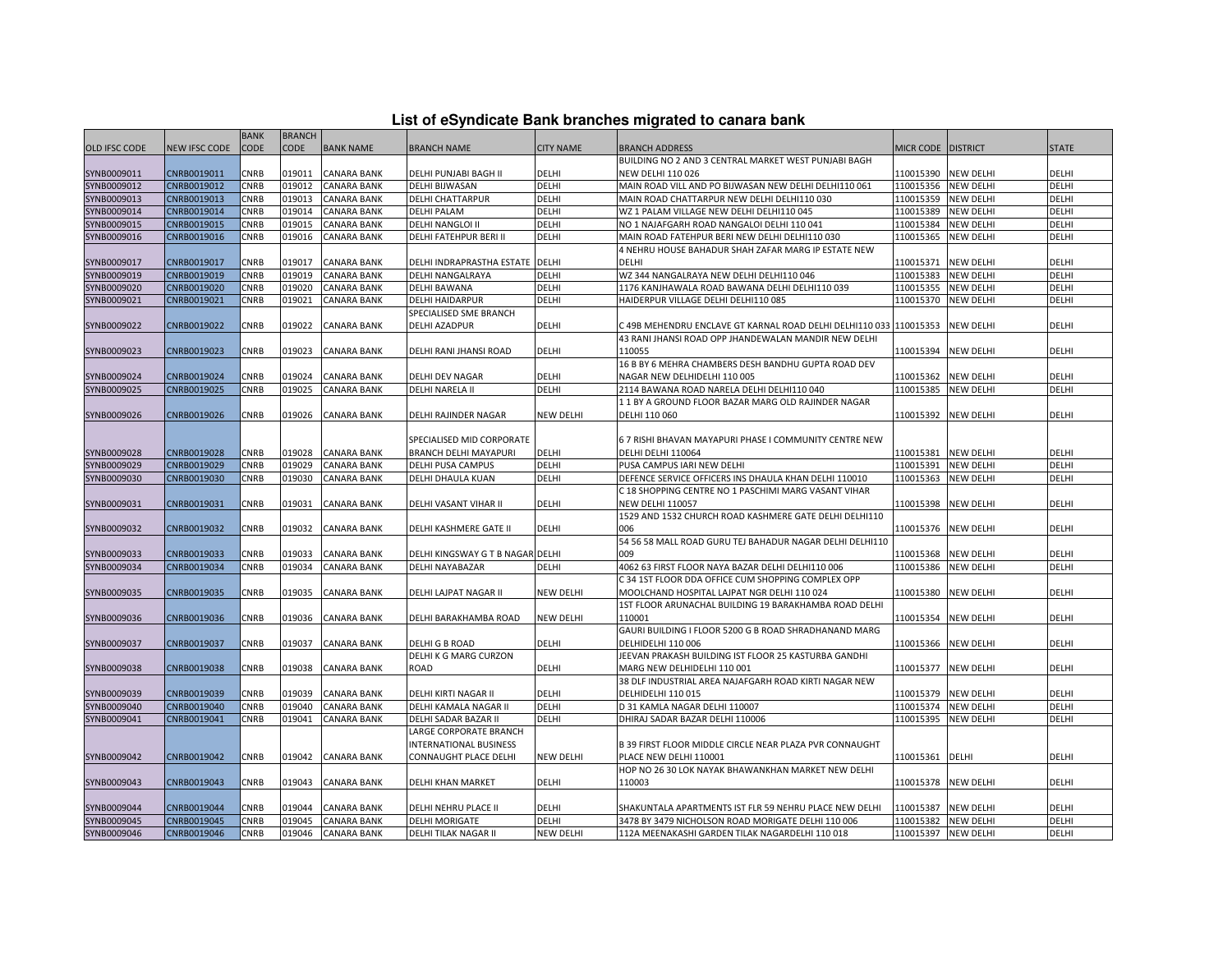| List of eSyndicate Bank branches migrated to canara bank |  |  |
|----------------------------------------------------------|--|--|
|----------------------------------------------------------|--|--|

|                      |               |             |               |                    |                                  |                  | List of eSyndicate Bank branches migrated to canara bank |                    |                  |              |
|----------------------|---------------|-------------|---------------|--------------------|----------------------------------|------------------|----------------------------------------------------------|--------------------|------------------|--------------|
|                      |               | <b>BANK</b> | <b>BRANCH</b> |                    |                                  |                  |                                                          |                    |                  |              |
| <b>OLD IFSC CODE</b> | NEW IFSC CODE | CODE        | <b>CODE</b>   | <b>BANK NAME</b>   | <b>BRANCH NAME</b>               | <b>CITY NAME</b> | <b>BRANCH ADDRESS</b>                                    | MICR CODE DISTRICT |                  | <b>STATE</b> |
|                      |               |             |               |                    |                                  |                  | BUILDING NO 2 AND 3 CENTRAL MARKET WEST PUNJABI BAGH     |                    |                  |              |
| SYNB0009011          | CNRB0019011   | <b>CNRB</b> | 019011        | <b>CANARA BANK</b> | DELHI PUNJABI BAGH II            | <b>DELHI</b>     | <b>NEW DELHI 110 026</b>                                 | 110015390          | <b>NEW DELHI</b> | DELHI        |
| SYNB0009012          | CNRB0019012   | CNRB        | 019012        | <b>CANARA BANK</b> | DELHI BIJWASAN                   | DELHI            | MAIN ROAD VILL AND PO BIJWASAN NEW DELHI DELHI110 061    | 110015356          | <b>NEW DELHI</b> | DELHI        |
| SYNB0009013          | CNRB0019013   | CNRB        | 019013        | CANARA BANK        | DELHI CHATTARPUR                 | DELHI            | MAIN ROAD CHATTARPUR NEW DELHI DELHI110 030              | 110015359          | <b>NEW DELHI</b> | DELHI        |
| SYNB0009014          | CNRB0019014   | CNRB        | 019014        | CANARA BANK        | <b>DELHI PALAM</b>               | DELHI            | WZ 1 PALAM VILLAGE NEW DELHI DELHI110 045                | 110015389          | <b>NEW DELHI</b> | DELHI        |
| SYNB0009015          | CNRB0019015   | CNRB        | 019015        | <b>CANARA BANK</b> | <b>DELHI NANGLOI II</b>          | DELHI            | NO 1 NAJAFGARH ROAD NANGALOI DELHI 110 041               | 110015384          | <b>NEW DELHI</b> | DELHI        |
| SYNB0009016          | CNRB0019016   | CNRB        | 019016        | CANARA BANK        | DELHI FATEHPUR BERI II           | DELHI            | MAIN ROAD FATEHPUR BERI NEW DELHI DELHI110 030           | 110015365          | <b>NEW DELHI</b> | DELHI        |
|                      |               |             |               |                    |                                  |                  | 4 NEHRU HOUSE BAHADUR SHAH ZAFAR MARG IP ESTATE NEW      |                    |                  |              |
| SYNB0009017          | CNRB0019017   | CNRB        | 019017        | CANARA BANK        | DELHI INDRAPRASTHA ESTATE DELHI  |                  | <b>DELHI</b>                                             | 110015371          | <b>NEW DELHI</b> | DELHI        |
| SYNB0009019          | CNRB0019019   | CNRB        | 019019        | CANARA BANK        | DELHI NANGALRAYA                 | DELHI            | WZ 344 NANGALRAYA NEW DELHI DELHI110 046                 | 110015383          | <b>NEW DELHI</b> | DELHI        |
| SYNB0009020          | CNRB0019020   | CNRB        | 019020        | CANARA BANK        | <b>DELHI BAWANA</b>              | DELHI            | 1176 KANJHAWALA ROAD BAWANA DELHI DELHI110 039           | 110015355          | <b>NEW DELHI</b> | DELHI        |
| SYNB0009021          | CNRB0019021   | CNRB        | 019021        | CANARA BANK        | <b>DELHI HAIDARPUR</b>           | DELHI            | HAIDERPUR VILLAGE DELHI DELHI110 085                     | 110015370          | <b>NEW DELHI</b> | DELHI        |
|                      |               |             |               |                    | SPECIALISED SME BRANCH           |                  |                                                          |                    |                  |              |
| SYNB0009022          | CNRB0019022   | CNRB        | 019022        | CANARA BANK        | <b>DELHI AZADPUR</b>             | <b>DELHI</b>     | C 49B MEHENDRU ENCLAVE GT KARNAL ROAD DELHI DELHI110 033 | 110015353          | <b>NEW DELHI</b> | <b>DELHI</b> |
|                      |               |             |               |                    |                                  |                  | 43 RANI JHANSI ROAD OPP JHANDEWALAN MANDIR NEW DELHI     |                    |                  |              |
| SYNB0009023          | CNRB0019023   | CNRB        | 019023        | <b>CANARA BANK</b> | DELHI RANI JHANSI ROAD           | DELHI            | 110055                                                   | 110015394          | <b>NEW DELHI</b> | DELHI        |
|                      |               |             |               |                    |                                  |                  | 16 B BY 6 MEHRA CHAMBERS DESH BANDHU GUPTA ROAD DEV      |                    |                  |              |
| SYNB0009024          | CNRB0019024   | CNRB        | 019024        | CANARA BANK        | DELHI DEV NAGAR                  | DELHI            | NAGAR NEW DELHIDELHI 110 005                             | 110015362          | <b>NEW DELHI</b> | DELHI        |
| SYNB0009025          | CNRB0019025   | CNRB        | 019025        | <b>CANARA BANK</b> | <b>DELHI NARELA II</b>           | DELHI            | 2114 BAWANA ROAD NARELA DELHI DELHI110 040               | 110015385          | <b>NEW DELHI</b> | DELHI        |
|                      |               |             |               |                    |                                  |                  | 11 BY A GROUND FLOOR BAZAR MARG OLD RAJINDER NAGAR       |                    |                  |              |
| SYNB0009026          | CNRB0019026   | CNRB        | 019026        | CANARA BANK        | DELHI RAJINDER NAGAR             | <b>NEW DELHI</b> | DELHI 110 060                                            | 110015392          | <b>NEW DELHI</b> | DELHI        |
|                      |               |             |               |                    |                                  |                  |                                                          |                    |                  |              |
|                      |               |             |               |                    | SPECIALISED MID CORPORATE        |                  | 6 7 RISHI BHAVAN MAYAPURI PHASE I COMMUNITY CENTRE NEW   |                    |                  |              |
| SYNB0009028          | CNRB0019028   | CNRB        | 019028        | <b>CANARA BANK</b> | BRANCH DELHI MAYAPURI            | DELHI            | DELHI DELHI 110064                                       | 110015381          | <b>NEW DELHI</b> | DELHI        |
| SYNB0009029          | CNRB0019029   | CNRB        | 019029        | <b>CANARA BANK</b> | DELHI PUSA CAMPUS                | DELHI            | PUSA CAMPUS IARI NEW DELHI                               | 110015391          | <b>NEW DELHI</b> | DELHI        |
| SYNB0009030          | CNRB0019030   | CNRB        | 019030        | CANARA BANK        | DELHI DHAULA KUAN                | DELHI            | DEFENCE SERVICE OFFICERS INS DHAULA KHAN DELHI 110010    | 110015363          | <b>NEW DELHI</b> | DELHI        |
|                      |               |             |               |                    |                                  |                  | C 18 SHOPPING CENTRE NO 1 PASCHIMI MARG VASANT VIHAR     |                    |                  |              |
| SYNB0009031          | CNRB0019031   | CNRB        | 019031        | CANARA BANK        | DELHI VASANT VIHAR II            | DELHI            | <b>NEW DELHI 110057</b>                                  | 110015398          | <b>NEW DELHI</b> | DELHI        |
|                      |               |             |               |                    |                                  |                  | 1529 AND 1532 CHURCH ROAD KASHMERE GATE DELHI DELHI110   |                    |                  |              |
| SYNB0009032          | CNRB0019032   | CNRB        | 019032        | <b>CANARA BANK</b> | DELHI KASHMERE GATE II           | DELHI            | 006                                                      | 110015376          | <b>NEW DELHI</b> | DELHI        |
|                      |               |             |               |                    |                                  |                  | 54 56 58 MALL ROAD GURU TEJ BAHADUR NAGAR DELHI DELHI110 |                    |                  |              |
| SYNB0009033          | CNRB0019033   | CNRB        | 019033        | <b>CANARA BANK</b> | DELHI KINGSWAY G T B NAGAR DELHI |                  | 009                                                      | 110015368          | <b>NEW DELHI</b> | DELHI        |
| SYNB0009034          | CNRB0019034   | CNRB        | 019034        | CANARA BANK        | DELHI NAYABAZAR                  | DELHI            | 4062 63 FIRST FLOOR NAYA BAZAR DELHI DELHI110 006        | 110015386          | <b>NEW DELHI</b> | DELHI        |
|                      |               |             |               |                    |                                  |                  | C 34 1ST FLOOR DDA OFFICE CUM SHOPPING COMPLEX OPP       |                    |                  |              |
| SYNB0009035          | CNRB0019035   | CNRB        | 019035        | CANARA BANK        | DELHI LAJPAT NAGAR II            | <b>NEW DELHI</b> | MOOLCHAND HOSPITAL LAJPAT NGR DELHI 110 024              | 110015380          | <b>NEW DELHI</b> | DELHI        |
|                      |               |             |               |                    |                                  |                  | 1ST FLOOR ARUNACHAL BUILDING 19 BARAKHAMBA ROAD DELHI    |                    |                  |              |
| SYNB0009036          | CNRB0019036   | CNRB        | 019036        | CANARA BANK        | DELHI BARAKHAMBA ROAD            | NEW DELHI        | 110001                                                   | 110015354          | <b>NEW DELHI</b> | DELHI        |
|                      |               |             |               |                    |                                  |                  | GAURI BUILDING I FLOOR 5200 G B ROAD SHRADHANAND MARG    |                    |                  |              |
| SYNB0009037          | CNRB0019037   | CNRB        | 019037        | <b>CANARA BANK</b> | DELHI G B ROAD                   | DELHI            | DELHIDELHI 110 006                                       | 110015366          | <b>NEW DELHI</b> | DELHI        |
|                      |               |             |               |                    | DELHI K G MARG CURZON            |                  | JEEVAN PRAKASH BUILDING IST FLOOR 25 KASTURBA GANDHI     |                    |                  |              |
| SYNB0009038          | CNRB0019038   | CNRB        | 019038        | CANARA BANK        | ROAD                             | DELHI            | MARG NEW DELHIDELHI 110 001                              | 110015377          | <b>NEW DELHI</b> | DELHI        |
|                      |               |             |               |                    |                                  |                  | 38 DLF INDUSTRIAL AREA NAJAFGARH ROAD KIRTI NAGAR NEW    |                    |                  |              |
| SYNB0009039          | CNRB0019039   | CNRB        | 019039        | <b>CANARA BANK</b> | DELHI KIRTI NAGAR II             | DELHI            | DELHIDELHI 110 015                                       | 110015379          | <b>NEW DELHI</b> | DELHI        |
| SYNB0009040          | CNRB0019040   | CNRB        | 019040        | <b>CANARA BANK</b> | DELHI KAMALA NAGAR II            | DELHI            | D 31 KAMLA NAGAR DELHI 110007                            | 110015374          | <b>NEW DELHI</b> | DELHI        |
| SYNB0009041          | CNRB0019041   | CNRB        | 019041        | CANARA BANK        | DELHI SADAR BAZAR II             | DELHI            | DHIRAJ SADAR BAZAR DELHI 110006                          | 110015395          | <b>NEW DELHI</b> | DELHI        |
|                      |               |             |               |                    | LARGE CORPORATE BRANCH           |                  |                                                          |                    |                  |              |
|                      |               |             |               |                    | INTERNATIONAL BUSINESS           |                  | B 39 FIRST FLOOR MIDDLE CIRCLE NEAR PLAZA PVR CONNAUGHT  |                    |                  |              |
| SYNB0009042          | CNRB0019042   | CNRB        | 019042        | CANARA BANK        | CONNAUGHT PLACE DELHI            | <b>NEW DELHI</b> | PLACE NEW DELHI 110001                                   | 110015361          | DELHI            | DELHI        |
|                      |               |             |               |                    |                                  |                  | HOP NO 26 30 LOK NAYAK BHAWANKHAN MARKET NEW DELHI       |                    |                  |              |
| SYNB0009043          | CNRB0019043   | CNRB        | 019043        | <b>CANARA BANK</b> | DELHI KHAN MARKET                | <b>DELHI</b>     | 110003                                                   | 110015378          | <b>NEW DELHI</b> | DELHI        |
|                      |               |             |               |                    |                                  |                  |                                                          |                    |                  |              |
| SYNB0009044          | CNRB0019044   | CNRB        | 019044        | CANARA BANK        | DELHI NEHRU PLACE II             | DELHI            | SHAKUNTALA APARTMENTS IST FLR 59 NEHRU PLACE NEW DELHI   | 110015387          | <b>NEW DELHI</b> | DELHI        |
| SYNB0009045          | CNRB0019045   | CNRB        | 019045        | <b>CANARA BANK</b> | <b>DELHI MORIGATE</b>            | <b>DELHI</b>     | 3478 BY 3479 NICHOLSON ROAD MORIGATE DELHI 110 006       | 110015382          | <b>NEW DELHI</b> | DELHI        |
| SYNB0009046          | CNRB0019046   | CNRB        | 019046        | <b>CANARA BANK</b> | <b>DELHI TILAK NAGAR II</b>      | <b>NEW DELHI</b> | 112A MEENAKASHI GARDEN TILAK NAGARDELHI 110 018          | 110015397          | <b>NEW DELHI</b> | DELHI        |
|                      |               |             |               |                    |                                  |                  |                                                          |                    |                  |              |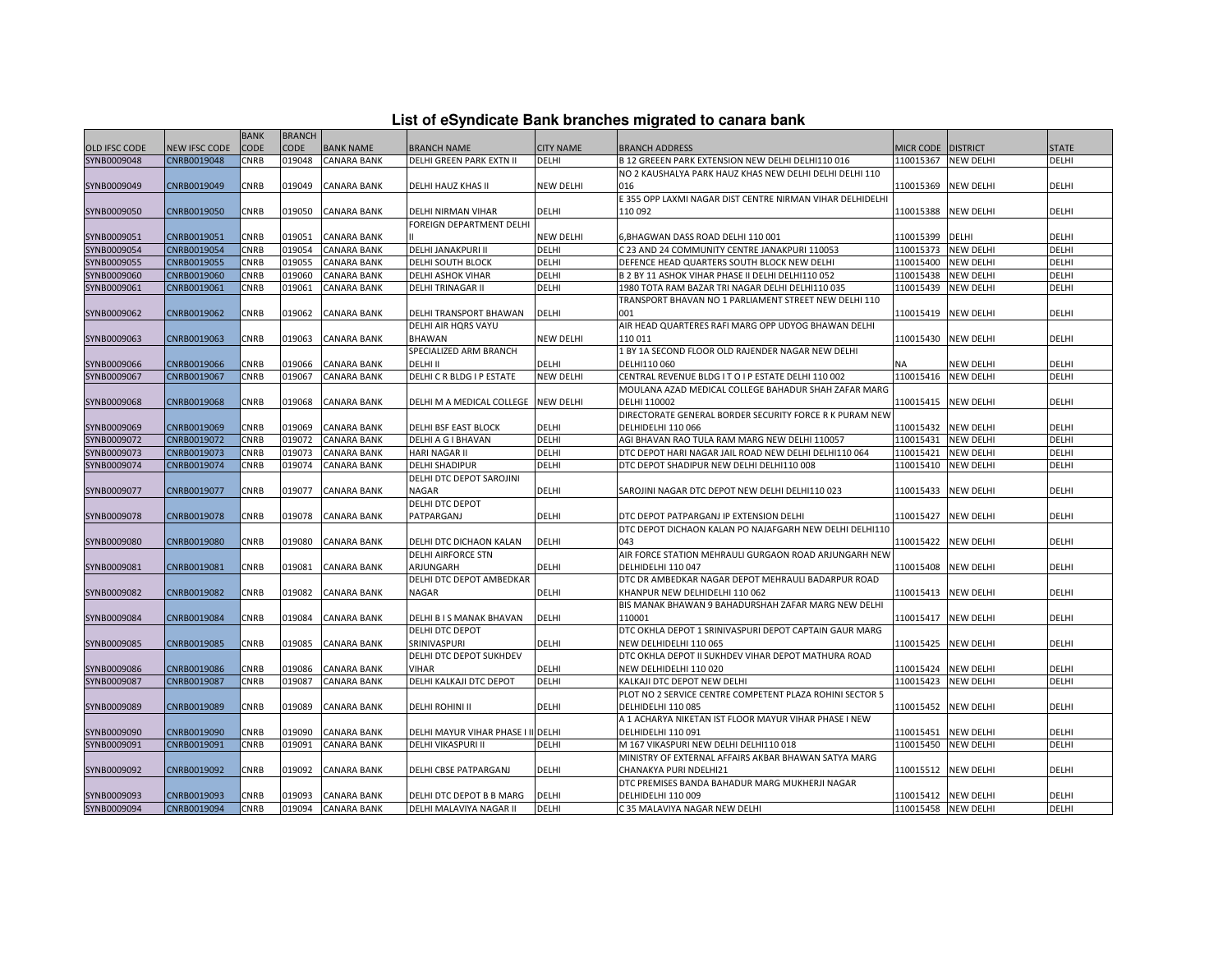|  |  | List of eSyndicate Bank branches migrated to canara bank |  |
|--|--|----------------------------------------------------------|--|
|--|--|----------------------------------------------------------|--|

|                      |               | <b>BANK</b> | <b>BRANCH</b> |                    |                                     |                  |                                                           |                     |                  |              |
|----------------------|---------------|-------------|---------------|--------------------|-------------------------------------|------------------|-----------------------------------------------------------|---------------------|------------------|--------------|
| <b>OLD IFSC CODE</b> | NEW IFSC CODE | <b>CODE</b> | CODE          | <b>BANK NAME</b>   | <b>BRANCH NAME</b>                  | <b>CITY NAME</b> | <b>BRANCH ADDRESS</b>                                     | <b>MICR CODE</b>    | <b>DISTRICT</b>  | <b>STATE</b> |
| SYNB0009048          | CNRB0019048   | <b>CNRB</b> | 019048        | <b>CANARA BANK</b> | DELHI GREEN PARK EXTN II            | DELHI            | B 12 GREEEN PARK EXTENSION NEW DELHI DELHI110 016         | 110015367           | <b>NEW DELHI</b> | <b>DELHI</b> |
|                      |               |             |               |                    |                                     |                  | NO 2 KAUSHALYA PARK HAUZ KHAS NEW DELHI DELHI DELHI 110   |                     |                  |              |
| SYNB0009049          | CNRB0019049   | CNRB        | 019049        | <b>CANARA BANK</b> | DELHI HAUZ KHAS II                  | <b>NEW DELHI</b> | 016                                                       | 110015369           | <b>NEW DELHI</b> | DELHI        |
|                      |               |             |               |                    |                                     |                  | E 355 OPP LAXMI NAGAR DIST CENTRE NIRMAN VIHAR DELHIDELHI |                     |                  |              |
| SYNB0009050          | CNRB0019050   | CNRB        | 019050        | <b>CANARA BANK</b> | DELHI NIRMAN VIHAR                  | DELHI            | 110 092                                                   | 110015388           | <b>NEW DELHI</b> | <b>DELHI</b> |
|                      |               |             |               |                    | FOREIGN DEPARTMENT DELHI            |                  |                                                           |                     |                  |              |
| SYNB0009051          | CNRB0019051   | <b>CNRB</b> | 019051        | <b>CANARA BANK</b> |                                     | <b>NEW DELHI</b> | 6, BHAGWAN DASS ROAD DELHI 110 001                        | 110015399           | <b>DELHI</b>     | DELHI        |
| SYNB0009054          | CNRB0019054   | <b>CNRB</b> | 019054        | <b>CANARA BANK</b> | <b>DELHI JANAKPURI II</b>           | <b>DELHI</b>     | C 23 AND 24 COMMUNITY CENTRE JANAKPURI 110053             | 110015373           | <b>NEW DELHI</b> | <b>DELHI</b> |
| SYNB0009055          | CNRB0019055   | CNRB        | 019055        | <b>CANARA BANK</b> | <b>DELHI SOUTH BLOCK</b>            | DELHI            | DEFENCE HEAD QUARTERS SOUTH BLOCK NEW DELHI               | 110015400           | <b>NEW DELHI</b> | DELHI        |
| SYNB0009060          | CNRB0019060   | <b>CNRB</b> | 019060        | <b>CANARA BANK</b> | <b>DELHI ASHOK VIHAR</b>            | <b>DELHI</b>     | B 2 BY 11 ASHOK VIHAR PHASE II DELHI DELHI110 052         | 110015438           | <b>NEW DELHI</b> | DELHI        |
| SYNB0009061          | CNRB0019061   | CNRB        | 019061        | <b>CANARA BANK</b> | <b>DELHI TRINAGAR II</b>            | DELHI            | 1980 TOTA RAM BAZAR TRI NAGAR DELHI DELHI110 035          | 110015439           | <b>NEW DELHI</b> | DELHI        |
|                      |               |             |               |                    |                                     |                  | TRANSPORT BHAVAN NO 1 PARLIAMENT STREET NEW DELHI 110     |                     |                  |              |
| SYNB0009062          | CNRB0019062   | CNRB        | 019062        | <b>CANARA BANK</b> | DELHI TRANSPORT BHAWAN              | <b>DELHI</b>     | 001                                                       | 110015419           | <b>NEW DELHI</b> | DELHI        |
|                      |               |             |               |                    | DELHI AIR HQRS VAYU                 |                  | AIR HEAD QUARTERES RAFI MARG OPP UDYOG BHAWAN DELHI       |                     |                  |              |
|                      |               |             |               |                    |                                     |                  |                                                           |                     |                  |              |
| SYNB0009063          | CNRB0019063   | CNRB        | 019063        | <b>CANARA BANK</b> | <b>BHAWAN</b>                       | <b>NEW DELHI</b> | 110 011                                                   | 110015430           | <b>NEW DELHI</b> | DELHI        |
|                      |               |             |               |                    | SPECIALIZED ARM BRANCH              |                  | 1 BY 1A SECOND FLOOR OLD RAJENDER NAGAR NEW DELHI         |                     |                  |              |
| SYNB0009066          | CNRB0019066   | CNRB        | 019066        | <b>CANARA BANK</b> | DELHI II                            | DELHI            | DELHI110 060                                              | <b>NA</b>           | NEW DELHI        | DELHI        |
| SYNB0009067          | CNRB0019067   | <b>CNRB</b> | 019067        | <b>CANARA BANK</b> | DELHI C R BLDG I P ESTATE           | <b>NEW DELHI</b> | CENTRAL REVENUE BLDG I T O I P ESTATE DELHI 110 002       | 110015416           | <b>NEW DELHI</b> | DELHI        |
|                      |               |             |               |                    |                                     |                  | MOULANA AZAD MEDICAL COLLEGE BAHADUR SHAH ZAFAR MARG      |                     |                  |              |
| SYNB0009068          | CNRB0019068   | CNRB        | 019068        | <b>CANARA BANK</b> | DELHI M A MEDICAL COLLEGE NEW DELHI |                  | DELHI 110002                                              | 110015415           | <b>NEW DELHI</b> | DELHI        |
|                      |               |             |               |                    |                                     |                  | DIRECTORATE GENERAL BORDER SECURITY FORCE R K PURAM NEW   |                     |                  |              |
| SYNB0009069          | CNRB0019069   | CNRB        | 019069        | <b>CANARA BANK</b> | DELHI BSF EAST BLOCK                | DELHI            | DELHIDELHI 110 066                                        | 110015432           | <b>NEW DELHI</b> | DELHI        |
| SYNB0009072          | CNRB0019072   | CNRB        | 019072        | <b>CANARA BANK</b> | DELHI A G I BHAVAN                  | DELHI            | AGI BHAVAN RAO TULA RAM MARG NEW DELHI 110057             | 110015431           | <b>NEW DELHI</b> | DELHI        |
| SYNB0009073          | CNRB0019073   | <b>CNRB</b> | 019073        | <b>CANARA BANK</b> | HARI NAGAR II                       | <b>DELHI</b>     | DTC DEPOT HARI NAGAR JAIL ROAD NEW DELHI DELHI110 064     | 110015421           | <b>NEW DELHI</b> | DELHI        |
| SYNB0009074          | CNRB0019074   | <b>CNRB</b> | 019074        | <b>CANARA BANK</b> | <b>DELHI SHADIPUR</b>               | <b>DELHI</b>     | DTC DEPOT SHADIPUR NEW DELHI DELHI110 008                 | 110015410           | <b>NEW DELHI</b> | <b>DELHI</b> |
|                      |               |             |               |                    | DELHI DTC DEPOT SAROJINI            |                  |                                                           |                     |                  |              |
| SYNB0009077          | CNRB0019077   | CNRB        | 019077        | <b>CANARA BANK</b> | NAGAR                               | <b>DELHI</b>     | SAROJINI NAGAR DTC DEPOT NEW DELHI DELHI110 023           | 110015433           | <b>NEW DELHI</b> | <b>DELHI</b> |
|                      |               |             |               |                    | DELHI DTC DEPOT                     |                  |                                                           |                     |                  |              |
| SYNB0009078          | CNRB0019078   | CNRB        | 019078        | <b>CANARA BANK</b> | PATPARGANJ                          | <b>DELHI</b>     | DTC DEPOT PATPARGANJ IP EXTENSION DELHI                   | 110015427           | <b>NEW DELHI</b> | DELHI        |
|                      |               |             |               |                    |                                     |                  | DTC DEPOT DICHAON KALAN PO NAJAFGARH NEW DELHI DELHI110   |                     |                  |              |
| SYNB0009080          | CNRB0019080   | CNRB        | 019080        | <b>CANARA BANK</b> | DELHI DTC DICHAON KALAN             | <b>DELHI</b>     | 043                                                       | 110015422           | <b>NEW DELHI</b> | <b>DELHI</b> |
|                      |               |             |               |                    | <b>DELHI AIRFORCE STN</b>           |                  | AIR FORCE STATION MEHRAULI GURGAON ROAD ARJUNGARH NEW     |                     |                  |              |
| SYNB0009081          | CNRB0019081   | <b>CNRB</b> | 019081        | <b>CANARA BANK</b> | ARJUNGARH                           | <b>DELHI</b>     | DELHIDELHI 110 047                                        | 110015408           | <b>NEW DELHI</b> | DELHI        |
|                      |               |             |               |                    | DELHI DTC DEPOT AMBEDKAR            |                  | DTC DR AMBEDKAR NAGAR DEPOT MEHRAULI BADARPUR ROAD        |                     |                  |              |
| SYNB0009082          | CNRB0019082   | CNRB        | 019082        | <b>CANARA BANK</b> | NAGAR                               | DELHI            | KHANPUR NEW DELHIDELHI 110 062                            | 110015413           | <b>NEW DELHI</b> | DELHI        |
|                      |               |             |               |                    |                                     |                  | BIS MANAK BHAWAN 9 BAHADURSHAH ZAFAR MARG NEW DELHI       |                     |                  |              |
| SYNB0009084          | CNRB0019084   | CNRB        | 019084        | <b>CANARA BANK</b> | DELHI B I S MANAK BHAVAN            | <b>DELHI</b>     | 110001                                                    | 110015417           | <b>NEW DELHI</b> | DELHI        |
|                      |               |             |               |                    | DELHI DTC DEPOT                     |                  | DTC OKHLA DEPOT 1 SRINIVASPURI DEPOT CAPTAIN GAUR MARG    |                     |                  |              |
| SYNB0009085          | CNRB0019085   | CNRB        | 019085        | <b>CANARA BANK</b> | SRINIVASPURI                        | DELHI            | NEW DELHIDELHI 110 065                                    | 110015425           | <b>NEW DELHI</b> | DELHI        |
|                      |               |             |               |                    | DELHI DTC DEPOT SUKHDEV             |                  | DTC OKHLA DEPOT II SUKHDEV VIHAR DEPOT MATHURA ROAD       |                     |                  |              |
| SYNB0009086          | CNRB0019086   | <b>CNRB</b> | 019086        | <b>CANARA BANK</b> | <b>VIHAR</b>                        | <b>DELHI</b>     | NEW DELHIDELHI 110 020                                    | 110015424           | <b>NEW DELHI</b> | DELHI        |
| SYNB0009087          | CNRB0019087   | CNRB        | 019087        | <b>CANARA BANK</b> | DELHI KALKAJI DTC DEPOT             | <b>DELHI</b>     | KALKAJI DTC DEPOT NEW DELHI                               | 110015423           | <b>NEW DELHI</b> | <b>DELHI</b> |
|                      |               |             |               |                    |                                     |                  | PLOT NO 2 SERVICE CENTRE COMPETENT PLAZA ROHINI SECTOR 5  |                     |                  |              |
| SYNB0009089          | CNRB0019089   | CNRB        | 019089        | <b>CANARA BANK</b> | <b>DELHI ROHINI II</b>              | <b>DELHI</b>     | DELHIDELHI 110 085                                        | 110015452           | <b>NEW DELHI</b> | <b>DELHI</b> |
|                      |               |             |               |                    |                                     |                  | A 1 ACHARYA NIKETAN IST FLOOR MAYUR VIHAR PHASE I NEW     |                     |                  |              |
|                      |               |             |               |                    |                                     |                  |                                                           |                     |                  |              |
| SYNB0009090          | CNRB0019090   | <b>CNRB</b> | 019090        | <b>CANARA BANK</b> | DELHI MAYUR VIHAR PHASE I II DELHI  |                  | DELHIDELHI 110 091                                        | 110015451           | <b>NEW DELHI</b> | DELHI        |
| SYNB0009091          | CNRB0019091   | CNRB        | 019091        | <b>CANARA BANK</b> | DELHI VIKASPURI II                  | <b>DELHI</b>     | M 167 VIKASPURI NEW DELHI DELHI110 018                    | 110015450           | <b>NEW DELHI</b> | DELHI        |
|                      |               |             |               |                    |                                     |                  | MINISTRY OF EXTERNAL AFFAIRS AKBAR BHAWAN SATYA MARG      |                     |                  |              |
| SYNB0009092          | CNRB0019092   | CNRB        | 019092        | <b>CANARA BANK</b> | DELHI CBSE PATPARGANJ               | DELHI            | CHANAKYA PURI NDELHI21                                    | 110015512           | <b>NEW DELHI</b> | DELHI        |
|                      |               |             |               |                    |                                     |                  | DTC PREMISES BANDA BAHADUR MARG MUKHERJI NAGAR            |                     |                  |              |
| SYNB0009093          | CNRB0019093   | <b>CNRB</b> | 019093        | <b>CANARA BANK</b> | DELHI DTC DEPOT B B MARG            | <b>DELHI</b>     | DELHIDELHI 110 009                                        | 110015412           | <b>NEW DELHI</b> | DELHI        |
| SYNB0009094          | CNRB0019094   | <b>CNRB</b> |               | 019094 CANARA BANK | DELHI MALAVIYA NAGAR II             | <b>DELHI</b>     | C 35 MALAVIYA NAGAR NEW DELHI                             | 110015458 NEW DELHI |                  | DELHI        |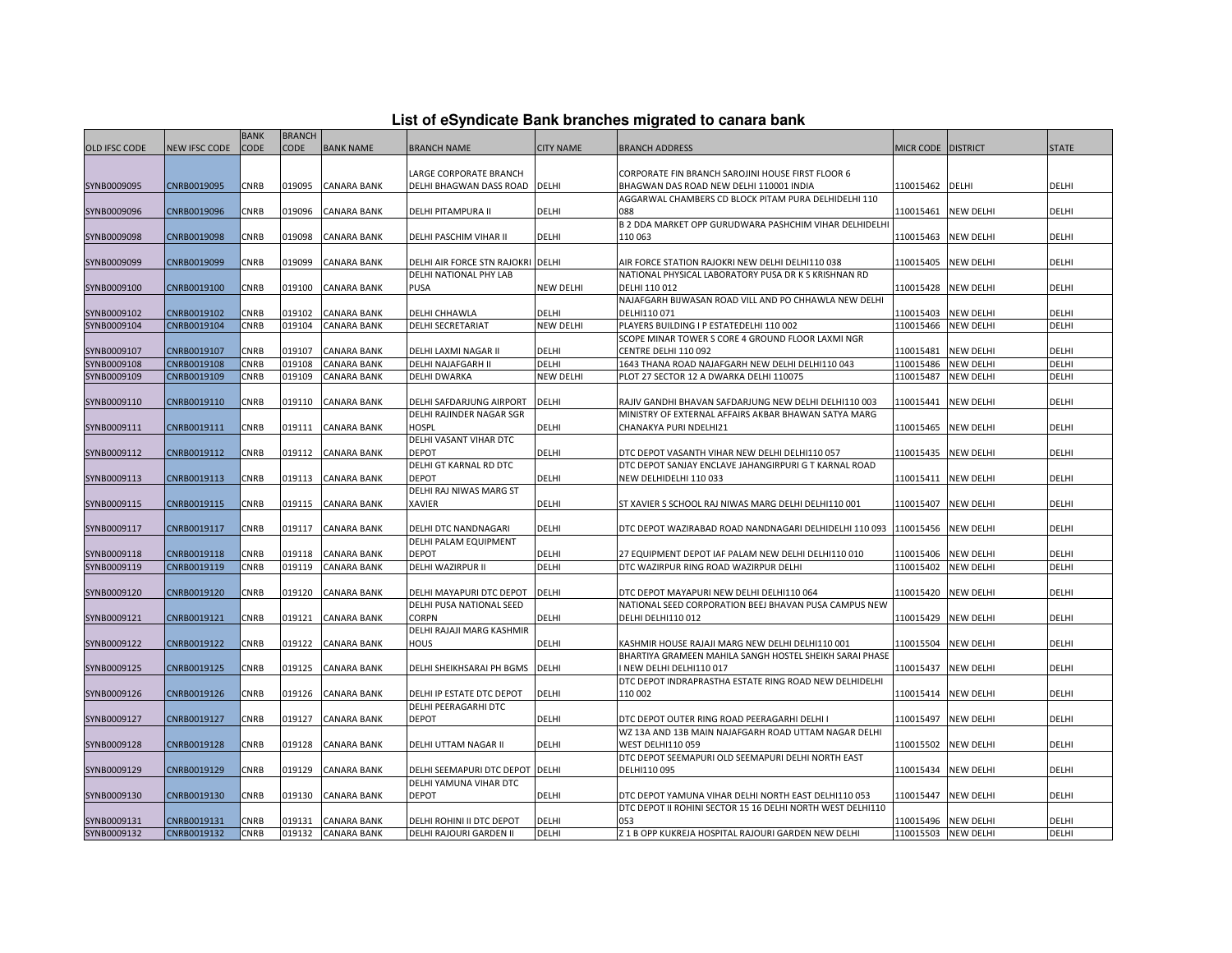|  |  | List of eSyndicate Bank branches migrated to canara bank |  |  |  |
|--|--|----------------------------------------------------------|--|--|--|
|  |  |                                                          |  |  |  |

|               |               | <b>BANK</b> | <b>BRANCH</b> |                    |                                          |                  | List of eSyndicate Bank branches migrated to canara bank                       |                    |                     |              |
|---------------|---------------|-------------|---------------|--------------------|------------------------------------------|------------------|--------------------------------------------------------------------------------|--------------------|---------------------|--------------|
| OLD IFSC CODE | NEW IFSC CODE | CODE        | CODE          | <b>BANK NAME</b>   | <b>BRANCH NAME</b>                       | <b>CITY NAME</b> | <b>BRANCH ADDRESS</b>                                                          | MICR CODE DISTRICT |                     | <b>STATE</b> |
|               |               |             |               |                    |                                          |                  |                                                                                |                    |                     |              |
|               |               |             |               |                    | LARGE CORPORATE BRANCH                   |                  | CORPORATE FIN BRANCH SAROJINI HOUSE FIRST FLOOR 6                              |                    |                     |              |
| SYNB0009095   | CNRB0019095   | CNRB        | 019095        | <b>CANARA BANK</b> | DELHI BHAGWAN DASS ROAD DELHI            |                  | BHAGWAN DAS ROAD NEW DELHI 110001 INDIA                                        | 110015462          | DELHI               | DELHI        |
|               |               |             |               |                    |                                          |                  | AGGARWAL CHAMBERS CD BLOCK PITAM PURA DELHIDELHI 110                           |                    |                     |              |
| SYNB0009096   | CNRB0019096   | CNRB        | 019096        | <b>CANARA BANK</b> | DELHI PITAMPURA II                       | DELHI            | 088                                                                            | 110015461          | <b>NEW DELHI</b>    | DELHI        |
|               |               |             |               |                    |                                          |                  | B 2 DDA MARKET OPP GURUDWARA PASHCHIM VIHAR DELHIDELHI                         |                    |                     |              |
| SYNB0009098   | CNRB0019098   | CNRB        | 019098        | <b>CANARA BANK</b> | DELHI PASCHIM VIHAR II                   | DELHI            | 110 063                                                                        | 110015463          | <b>NEW DELHI</b>    | DELHI        |
|               |               |             |               |                    |                                          |                  |                                                                                |                    |                     |              |
| SYNB0009099   | CNRB0019099   | CNRB        | 019099        | <b>CANARA BANK</b> | DELHI AIR FORCE STN RAJOKRI DELHI        |                  | AIR FORCE STATION RAJOKRI NEW DELHI DELHI110 038                               | 110015405          | <b>NEW DELHI</b>    | DELHI        |
|               |               |             |               |                    | DELHI NATIONAL PHY LAB                   |                  | NATIONAL PHYSICAL LABORATORY PUSA DR K S KRISHNAN RD                           |                    |                     |              |
| SYNB0009100   | CNRB0019100   | CNRB        | 019100        | <b>CANARA BANK</b> | <b>PUSA</b>                              | <b>NEW DELHI</b> | DELHI 110 012                                                                  | 110015428          | <b>NEW DELHI</b>    | DELHI        |
|               |               |             |               |                    |                                          |                  | NAJAFGARH BIJWASAN ROAD VILL AND PO CHHAWLA NEW DELHI                          |                    |                     |              |
| SYNB0009102   | CNRB0019102   | CNRB        | 019102        | <b>CANARA BANK</b> | DELHI CHHAWLA                            | DELHI            | DELHI110 071                                                                   | 110015403          | <b>NEW DELHI</b>    | DELHI        |
| SYNB0009104   | CNRB0019104   | CNRB        | 019104        | <b>CANARA BANK</b> | <b>DELHI SECRETARIAT</b>                 | <b>NEW DELHI</b> | PLAYERS BUILDING I P ESTATEDELHI 110 002                                       | 110015466          | <b>NEW DELHI</b>    | DELHI        |
|               |               |             |               |                    |                                          |                  | SCOPE MINAR TOWER S CORE 4 GROUND FLOOR LAXMI NGR                              |                    |                     |              |
| SYNB0009107   | CNRB0019107   | <b>CNRB</b> | 019107        | <b>CANARA BANK</b> | DELHI LAXMI NAGAR II                     | DELHI            | CENTRE DELHI 110 092                                                           | 110015481          | <b>NEW DELHI</b>    | DELHI        |
| SYNB0009108   | CNRB0019108   | <b>CNRB</b> | 019108        | <b>CANARA BANK</b> | DELHI NAJAFGARH II                       | DELHI            | 1643 THANA ROAD NAJAFGARH NEW DELHI DELHI110 043                               | 110015486          | <b>NEW DELHI</b>    | DELHI        |
| SYNB0009109   | CNRB0019109   | CNRB        | 019109        | <b>CANARA BANK</b> | <b>DELHI DWARKA</b>                      | <b>NEW DELHI</b> | PLOT 27 SECTOR 12 A DWARKA DELHI 110075                                        | 110015487          | <b>NEW DELHI</b>    | DELHI        |
|               |               |             |               |                    |                                          |                  |                                                                                |                    |                     |              |
| SYNB0009110   | CNRB0019110   | CNRB        | 019110        | <b>CANARA BANK</b> | DELHI SAFDARJUNG AIRPORT                 | DELHI            | RAJIV GANDHI BHAVAN SAFDARJUNG NEW DELHI DELHI110 003                          | 110015441          | <b>NEW DELHI</b>    | DELHI        |
| SYNB0009111   | CNRB0019111   | CNRB        | 019111        | <b>CANARA BANK</b> | DELHI RAJINDER NAGAR SGR<br><b>HOSPL</b> | DELHI            | MINISTRY OF EXTERNAL AFFAIRS AKBAR BHAWAN SATYA MARG<br>CHANAKYA PURI NDELHI21 | 110015465          | <b>NEW DELHI</b>    | DELHI        |
|               |               |             |               |                    | DELHI VASANT VIHAR DTC                   |                  |                                                                                |                    |                     |              |
| SYNB0009112   | CNRB0019112   | CNRB        | 019112        | <b>CANARA BANK</b> | DEPOT                                    | DELHI            | DTC DEPOT VASANTH VIHAR NEW DELHI DELHI110 057                                 | 110015435          | <b>NEW DELHI</b>    | DELHI        |
|               |               |             |               |                    | DELHI GT KARNAL RD DTC                   |                  | DTC DEPOT SANJAY ENCLAVE JAHANGIRPURI G T KARNAL ROAD                          |                    |                     |              |
| SYNB0009113   | CNRB0019113   | CNRB        | 019113        | <b>CANARA BANK</b> | DEPOT                                    | DELHI            | NEW DELHIDELHI 110 033                                                         | 110015411          | <b>NEW DELHI</b>    | DELHI        |
|               |               |             |               |                    | DELHI RAJ NIWAS MARG ST                  |                  |                                                                                |                    |                     |              |
| SYNB0009115   | CNRB0019115   | <b>CNRB</b> | 019115        | <b>CANARA BANK</b> | <b>XAVIER</b>                            | DELHI            | ST XAVIER S SCHOOL RAJ NIWAS MARG DELHI DELHI110 001                           | 110015407          | <b>NEW DELHI</b>    | DELHI        |
|               |               |             |               |                    |                                          |                  |                                                                                |                    |                     |              |
| SYNB0009117   | CNRB0019117   | CNRB        | 019117        | <b>CANARA BANK</b> | DELHI DTC NANDNAGARI                     | DELHI            | DTC DEPOT WAZIRABAD ROAD NANDNAGARI DELHIDELHI 110 093                         | 110015456          | <b>NEW DELHI</b>    | DELHI        |
|               |               |             |               |                    | DELHI PALAM EQUIPMENT                    |                  |                                                                                |                    |                     |              |
| SYNB0009118   | CNRB0019118   | <b>CNRB</b> | 019118        | <b>CANARA BANK</b> | <b>DEPOT</b>                             | <b>DELHI</b>     | 27 EQUIPMENT DEPOT IAF PALAM NEW DELHI DELHI110 010                            | 110015406          | <b>NEW DELHI</b>    | DELHI        |
| SYNB0009119   | CNRB0019119   | <b>CNRB</b> | 019119        | <b>CANARA BANK</b> | DELHI WAZIRPUR II                        | DELHI            | DTC WAZIRPUR RING ROAD WAZIRPUR DELHI                                          | 110015402          | <b>NEW DELHI</b>    | DELHI        |
|               |               |             |               |                    |                                          |                  |                                                                                |                    |                     |              |
| SYNB0009120   | CNRB0019120   | CNRB        | 019120        | <b>CANARA BANK</b> | DELHI MAYAPURI DTC DEPOT                 | <b>DELHI</b>     | DTC DEPOT MAYAPURI NEW DELHI DELHI110 064                                      | 110015420          | <b>NEW DELHI</b>    | DELHI        |
|               |               |             |               |                    | DELHI PUSA NATIONAL SEED                 |                  | NATIONAL SEED CORPORATION BEEJ BHAVAN PUSA CAMPUS NEW                          |                    |                     |              |
| SYNB0009121   | CNRB0019121   | CNRB        | 019121        | <b>CANARA BANK</b> | CORPN                                    | DELHI            | DELHI DELHI110 012                                                             |                    | 110015429 NEW DELHI | DELHI        |
|               |               |             |               |                    | DELHI RAJAJI MARG KASHMIR                |                  |                                                                                |                    |                     |              |
| SYNB0009122   | CNRB0019122   | CNRB        | 019122        | <b>CANARA BANK</b> | HOUS                                     | DELHI            | KASHMIR HOUSE RAJAJI MARG NEW DELHI DELHI110 001                               | 110015504          | <b>NEW DELHI</b>    | DELHI        |
|               |               |             |               |                    |                                          |                  | BHARTIYA GRAMEEN MAHILA SANGH HOSTEL SHEIKH SARAI PHASE                        |                    |                     |              |
| SYNB0009125   | CNRB0019125   | CNRB        | 019125        | <b>CANARA BANK</b> | DELHI SHEIKHSARAI PH BGMS                | <b>DELHI</b>     | I NEW DELHI DELHI110 017                                                       | 110015437          | <b>NEW DELHI</b>    | DELHI        |
|               |               |             |               |                    |                                          |                  | DTC DEPOT INDRAPRASTHA ESTATE RING ROAD NEW DELHIDELHI                         |                    |                     |              |
| SYNB0009126   | CNRB0019126   | CNRB        | 019126        | <b>CANARA BANK</b> | DELHI IP ESTATE DTC DEPOT                | DELHI            | 110 002                                                                        | 110015414          | <b>NEW DELHI</b>    | DELHI        |
|               |               |             |               |                    | DELHI PEERAGARHI DTC                     |                  |                                                                                |                    |                     |              |
| SYNB0009127   | CNRB0019127   | <b>CNRB</b> | 019127        | <b>CANARA BANK</b> | <b>DEPOT</b>                             | DELHI            | DTC DEPOT OUTER RING ROAD PEERAGARHI DELHI I                                   | 110015497          | <b>NEW DELHI</b>    | DELHI        |
|               |               |             |               |                    |                                          |                  | WZ 13A AND 13B MAIN NAJAFGARH ROAD UTTAM NAGAR DELHI                           |                    |                     |              |
| SYNB0009128   | CNRB0019128   | CNRB        | 019128        | <b>CANARA BANK</b> | DELHI UTTAM NAGAR II                     | DELHI            | <b>WEST DELHI110 059</b>                                                       | 110015502          | <b>NEW DELHI</b>    | DELHI        |
|               |               |             |               |                    |                                          |                  | DTC DEPOT SEEMAPURI OLD SEEMAPURI DELHI NORTH EAST                             |                    |                     |              |
|               | CNRB0019129   | CNRB        | 019129        | <b>CANARA BANK</b> | DELHI SEEMAPURI DTC DEPOT DELHI          |                  | DELHI110 095                                                                   | 110015434          | <b>NEW DELHI</b>    | DELHI        |
| SYNB0009129   |               |             |               |                    | DELHI YAMUNA VIHAR DTC                   |                  |                                                                                |                    |                     |              |
|               |               |             |               |                    |                                          |                  |                                                                                |                    |                     |              |
| SYNB0009130   | CNRB0019130   | CNRB        | 019130        | <b>CANARA BANK</b> | DEPOT                                    | DELHI            | DTC DEPOT YAMUNA VIHAR DELHI NORTH EAST DELHI110 053                           |                    | 110015447 NEW DELHI | DELHI        |
| SYNB0009131   | CNRB0019131   | <b>CNRB</b> | 019131        | <b>CANARA BANK</b> | DELHI ROHINI II DTC DEPOT                | DELHI            | DTC DEPOT II ROHINI SECTOR 15 16 DELHI NORTH WEST DELHI110<br>053              |                    | 110015496 NEW DELHI | DELHI        |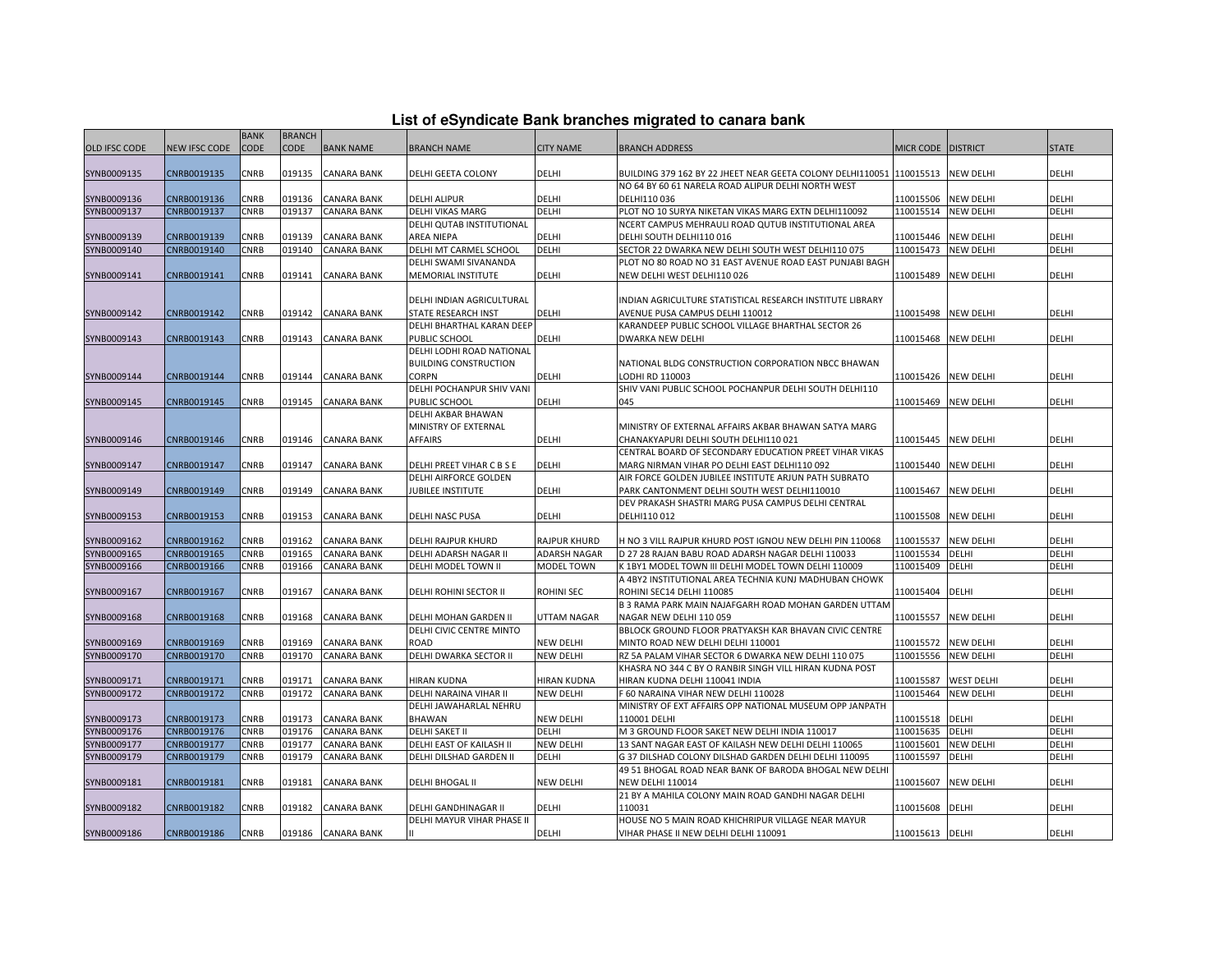|                      |                      | <b>BANK</b> | <b>BRANCH</b> |                    |                              |                     |                                                            |                  |                   |              |
|----------------------|----------------------|-------------|---------------|--------------------|------------------------------|---------------------|------------------------------------------------------------|------------------|-------------------|--------------|
| <b>OLD IFSC CODE</b> | <b>NEW IFSC CODE</b> | CODE        | <b>CODE</b>   | <b>BANK NAME</b>   | <b>BRANCH NAME</b>           | <b>CITY NAME</b>    | <b>BRANCH ADDRESS</b>                                      | <b>MICR CODE</b> | <b>DISTRICT</b>   | <b>STATE</b> |
|                      |                      |             |               |                    |                              |                     |                                                            |                  |                   |              |
| SYNB0009135          | CNRB0019135          | CNRB        | 019135        | <b>CANARA BANK</b> | DELHI GEETA COLONY           | DELHI               | BUILDING 379 162 BY 22 JHEET NEAR GEETA COLONY DELHI110051 | 110015513        | <b>NEW DELHI</b>  | DELHI        |
|                      |                      |             |               |                    |                              |                     | NO 64 BY 60 61 NARELA ROAD ALIPUR DELHI NORTH WEST         |                  |                   |              |
| SYNB0009136          | CNRB0019136          | CNRB        | 019136        | <b>CANARA BANK</b> | <b>DELHI ALIPUR</b>          | DELHI               | DELHI110 036                                               | 110015506        | <b>NEW DELHI</b>  | <b>DELHI</b> |
| SYNB0009137          | CNRB0019137          | CNRB        | 019137        | <b>CANARA BANK</b> | DELHI VIKAS MARG             | DELHI               | PLOT NO 10 SURYA NIKETAN VIKAS MARG EXTN DELHI110092       | 110015514        | <b>NEW DELHI</b>  | DELHI        |
|                      |                      |             |               |                    | DELHI QUTAB INSTITUTIONAL    |                     | NCERT CAMPUS MEHRAULI ROAD QUTUB INSTITUTIONAL AREA        |                  |                   |              |
| SYNB0009139          | CNRB0019139          | CNRB        | 019139        | CANARA BANK        | AREA NIEPA                   | <b>DELHI</b>        | DELHI SOUTH DELHI110 016                                   | 110015446        | <b>NEW DELHI</b>  | <b>DELHI</b> |
| SYNB0009140          | CNRB0019140          | CNRB        | 019140        | <b>CANARA BANK</b> | DELHI MT CARMEL SCHOOL       | DELHI               | SECTOR 22 DWARKA NEW DELHI SOUTH WEST DELHI110 075         | 110015473        | <b>NEW DELHI</b>  | DELHI        |
|                      |                      |             |               |                    | DELHI SWAMI SIVANANDA        |                     | PLOT NO 80 ROAD NO 31 EAST AVENUE ROAD EAST PUNJABI BAGH   |                  |                   |              |
| SYNB0009141          | CNRB0019141          | CNRB        | 019141        | <b>CANARA BANK</b> | MEMORIAL INSTITUTE           | DELHI               | NEW DELHI WEST DELHI110 026                                | 110015489        | <b>NEW DELHI</b>  | DELHI        |
|                      |                      |             |               |                    |                              |                     |                                                            |                  |                   |              |
|                      |                      |             |               |                    | DELHI INDIAN AGRICULTURAL    |                     | INDIAN AGRICULTURE STATISTICAL RESEARCH INSTITUTE LIBRARY  |                  |                   |              |
| SYNB0009142          | CNRB0019142          | CNRB        | 019142        | <b>CANARA BANK</b> | STATE RESEARCH INST          | <b>DELHI</b>        | AVENUE PUSA CAMPUS DELHI 110012                            | 110015498        | <b>NEW DELHI</b>  | DELHI        |
|                      |                      |             |               |                    | DELHI BHARTHAL KARAN DEEP    |                     | KARANDEEP PUBLIC SCHOOL VILLAGE BHARTHAL SECTOR 26         |                  |                   |              |
| SYNB0009143          | CNRB0019143          | CNRB        | 019143        | <b>CANARA BANK</b> | PUBLIC SCHOOL                | DELHI               | <b>DWARKA NEW DELHI</b>                                    | 110015468        | <b>NEW DELHI</b>  | DELHI        |
|                      |                      |             |               |                    | DELHI LODHI ROAD NATIONAL    |                     |                                                            |                  |                   |              |
|                      |                      |             |               |                    | <b>BUILDING CONSTRUCTION</b> |                     | NATIONAL BLDG CONSTRUCTION CORPORATION NBCC BHAWAN         |                  |                   |              |
| SYNB0009144          | CNRB0019144          | CNRB        | 019144        | <b>CANARA BANK</b> | <b>CORPN</b>                 | DELHI               | LODHI RD 110003                                            | 110015426        | <b>NEW DELHI</b>  | <b>DELHI</b> |
|                      |                      |             |               |                    | DELHI POCHANPUR SHIV VANI    |                     | SHIV VANI PUBLIC SCHOOL POCHANPUR DELHI SOUTH DELHI110     |                  |                   |              |
| SYNB0009145          | CNRB0019145          | <b>CNRB</b> | 019145        | <b>CANARA BANK</b> | PUBLIC SCHOOL                | <b>DELHI</b>        | 045                                                        | 110015469        | <b>NEW DELHI</b>  | <b>DELHI</b> |
|                      |                      |             |               |                    | DELHI AKBAR BHAWAN           |                     |                                                            |                  |                   |              |
|                      |                      |             |               |                    | MINISTRY OF EXTERNAL         |                     | MINISTRY OF EXTERNAL AFFAIRS AKBAR BHAWAN SATYA MARG       |                  |                   |              |
| SYNB0009146          | CNRB0019146          | CNRB        | 019146        | <b>CANARA BANK</b> | <b>AFFAIRS</b>               | DELHI               | CHANAKYAPURI DELHI SOUTH DELHI110 021                      | 110015445        | <b>NEW DELHI</b>  | DELHI        |
|                      |                      |             |               |                    |                              |                     | CENTRAL BOARD OF SECONDARY EDUCATION PREET VIHAR VIKAS     |                  |                   |              |
| SYNB0009147          | CNRB0019147          | CNRB        | 019147        | CANARA BANK        | DELHI PREET VIHAR C B S E    | <b>DELHI</b>        | MARG NIRMAN VIHAR PO DELHI EAST DELHI110 092               | 110015440        | <b>NEW DELHI</b>  | <b>DELHI</b> |
|                      |                      |             |               |                    | DELHI AIRFORCE GOLDEN        |                     | AIR FORCE GOLDEN JUBILEE INSTITUTE ARJUN PATH SUBRATO      |                  |                   |              |
| SYNB0009149          | CNRB0019149          | CNRB        | 019149        | <b>CANARA BANK</b> | JUBILEE INSTITUTE            | DELHI               | PARK CANTONMENT DELHI SOUTH WEST DELHI110010               | 110015467        | <b>NEW DELHI</b>  | DELHI        |
|                      |                      |             |               |                    |                              |                     | DEV PRAKASH SHASTRI MARG PUSA CAMPUS DELHI CENTRAL         |                  |                   |              |
| SYNB0009153          | CNRB0019153          | <b>CNRB</b> | 019153        | <b>CANARA BANK</b> | DELHI NASC PUSA              | <b>DELHI</b>        | DELHI110 012                                               | 110015508        | <b>NEW DELHI</b>  | <b>DELHI</b> |
|                      |                      |             |               |                    |                              |                     |                                                            |                  |                   |              |
| SYNB0009162          | CNRB0019162          | CNRB        | 019162        | <b>CANARA BANK</b> | DELHI RAJPUR KHURD           | <b>RAJPUR KHURD</b> | H NO 3 VILL RAJPUR KHURD POST IGNOU NEW DELHI PIN 110068   | 110015537        | <b>NEW DELHI</b>  | DELHI        |
| SYNB0009165          | CNRB0019165          | <b>CNRB</b> | 019165        | <b>CANARA BANK</b> | DELHI ADARSH NAGAR II        | <b>ADARSH NAGAR</b> | D 27 28 RAJAN BABU ROAD ADARSH NAGAR DELHI 110033          | 110015534        | DELHI             | DELHI        |
| SYNB0009166          | CNRB0019166          | CNRB        | 019166        | CANARA BANK        | DELHI MODEL TOWN II          | MODEL TOWN          | K 1BY1 MODEL TOWN III DELHI MODEL TOWN DELHI 110009        | 110015409        | DELHI             | DELHI        |
|                      |                      |             |               |                    |                              |                     | A 4BY2 INSTITUTIONAL AREA TECHNIA KUNJ MADHUBAN CHOWK      |                  |                   |              |
| SYNB0009167          | CNRB0019167          | <b>CNRB</b> | 019167        | <b>CANARA BANK</b> | DELHI ROHINI SECTOR II       | <b>ROHINI SEC</b>   | ROHINI SEC14 DELHI 110085                                  | 110015404        | DELHI             | <b>DELHI</b> |
|                      |                      |             |               |                    |                              |                     | B 3 RAMA PARK MAIN NAJAFGARH ROAD MOHAN GARDEN UTTAM       |                  |                   |              |
| SYNB0009168          | CNRB0019168          | CNRB        | 019168        | CANARA BANK        | DELHI MOHAN GARDEN II        | UTTAM NAGAR         | NAGAR NEW DELHI 110 059                                    | 110015557        | <b>NEW DELHI</b>  | DELHI        |
|                      |                      |             |               |                    | DELHI CIVIC CENTRE MINTO     |                     | BBLOCK GROUND FLOOR PRATYAKSH KAR BHAVAN CIVIC CENTRE      |                  |                   |              |
| SYNB0009169          | CNRB0019169          | CNRB        | 019169        | CANARA BANK        | ROAD                         | <b>NEW DELHI</b>    | MINTO ROAD NEW DELHI DELHI 110001                          | 110015572        | <b>NEW DELHI</b>  | DELHI        |
| SYNB0009170          | CNRB0019170          | CNRB        | 019170        | CANARA BANK        | DELHI DWARKA SECTOR II       | <b>NEW DELHI</b>    | RZ 5A PALAM VIHAR SECTOR 6 DWARKA NEW DELHI 110 075        | 110015556        | <b>NEW DELHI</b>  | DELHI        |
|                      |                      |             |               |                    |                              |                     | KHASRA NO 344 C BY O RANBIR SINGH VILL HIRAN KUDNA POST    |                  |                   |              |
| SYNB0009171          | CNRB0019171          | CNRB        | 019171        | CANARA BANK        | HIRAN KUDNA                  | HIRAN KUDNA         | HIRAN KUDNA DELHI 110041 INDIA                             | 110015587        | <b>WEST DELHI</b> | DELHI        |
| SYNB0009172          | CNRB0019172          | CNRB        | 019172        | CANARA BANK        | DELHI NARAINA VIHAR II       | <b>NEW DELHI</b>    | F 60 NARAINA VIHAR NEW DELHI 110028                        | 110015464        | <b>NEW DELHI</b>  | DELHI        |
|                      |                      |             |               |                    | DELHI JAWAHARLAL NEHRU       |                     | MINISTRY OF EXT AFFAIRS OPP NATIONAL MUSEUM OPP JANPATH    |                  |                   |              |
| SYNB0009173          | CNRB0019173          | CNRB        | 019173        | <b>CANARA BANK</b> | <b>BHAWAN</b>                | NEW DELHI           | 110001 DELHI                                               | 110015518        | DELHI             | DELHI        |
| SYNB0009176          | CNRB0019176          | CNRB        | 019176        | <b>CANARA BANK</b> | DELHI SAKET II               | DELHI               | M 3 GROUND FLOOR SAKET NEW DELHI INDIA 110017              | 110015635        | DELHI             | DELHI        |
| SYNB0009177          | CNRB0019177          | <b>CNRB</b> | 019177        | <b>CANARA BANK</b> | DELHI EAST OF KAILASH II     | <b>NEW DELHI</b>    | 13 SANT NAGAR EAST OF KAILASH NEW DELHI DELHI 110065       | 110015601        | <b>NEW DELHI</b>  | DELHI        |
| SYNB0009179          | CNRB0019179          | CNRB        | 019179        | <b>CANARA BANK</b> | DELHI DILSHAD GARDEN II      | DELHI               | G 37 DILSHAD COLONY DILSHAD GARDEN DELHI DELHI 110095      | 110015597        | DELHI             | DELHI        |
|                      |                      |             |               |                    |                              |                     | 49 51 BHOGAL ROAD NEAR BANK OF BARODA BHOGAL NEW DELH      |                  |                   |              |
| SYNB0009181          | CNRB0019181          | CNRB        | 019181        | <b>CANARA BANK</b> | DELHI BHOGAL II              | <b>NEW DELHI</b>    | <b>NEW DELHI 110014</b>                                    | 110015607        | <b>NEW DELHI</b>  | DELHI        |
|                      |                      |             |               |                    |                              |                     | 21 BY A MAHILA COLONY MAIN ROAD GANDHI NAGAR DELHI         |                  |                   |              |
|                      | CNRB0019182          | CNRB        | 019182        |                    |                              | DELHI               | 110031                                                     |                  | <b>DELHI</b>      | <b>DELHI</b> |
| SYNB0009182          |                      |             |               | <b>CANARA BANK</b> | DELHI GANDHINAGAR II         |                     |                                                            | 110015608        |                   |              |
|                      |                      |             |               |                    | DELHI MAYUR VIHAR PHASE II   |                     | HOUSE NO 5 MAIN ROAD KHICHRIPUR VILLAGE NEAR MAYUR         |                  |                   |              |
| SYNB0009186          | CNRB0019186          | CNRB        |               | 019186 CANARA BANK |                              | DELHI               | VIHAR PHASE II NEW DELHI DELHI 110091                      | 110015613 DELHI  |                   | DELHI        |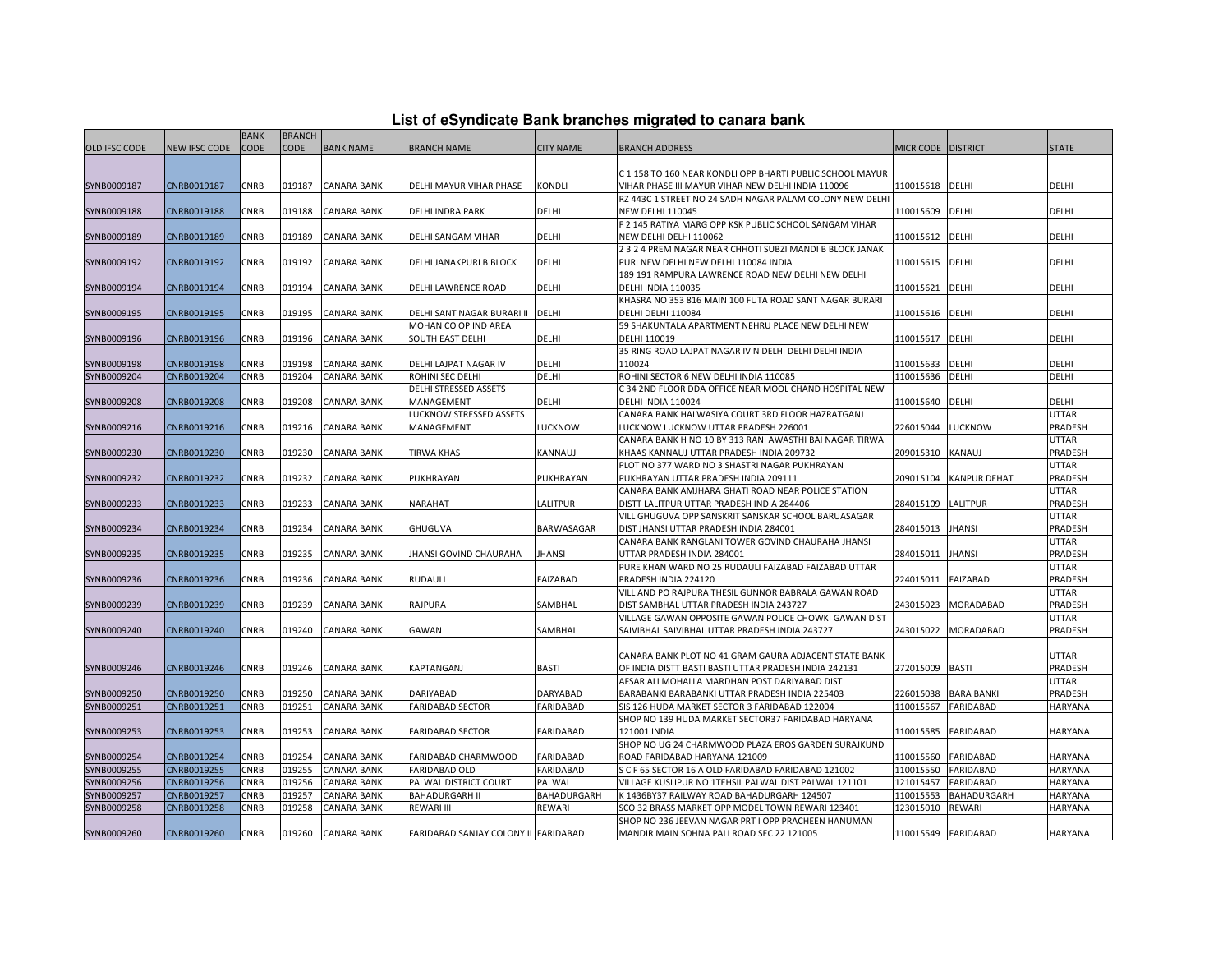| List of eSyndicate Bank branches migrated to canara bank |  |  |  |
|----------------------------------------------------------|--|--|--|
|----------------------------------------------------------|--|--|--|

|               |               | <b>BANK</b> | <b>BRANCH</b> |                    |                                      |                  |                                                                                                         |                        |                     |                |
|---------------|---------------|-------------|---------------|--------------------|--------------------------------------|------------------|---------------------------------------------------------------------------------------------------------|------------------------|---------------------|----------------|
| OLD IFSC CODE | NEW IFSC CODE | <b>CODE</b> | <b>CODE</b>   | <b>BANK NAME</b>   | <b>BRANCH NAME</b>                   | <b>CITY NAME</b> | <b>BRANCH ADDRESS</b>                                                                                   | MICR CODE DISTRICT     |                     | <b>STATE</b>   |
|               |               |             |               |                    |                                      |                  |                                                                                                         |                        |                     |                |
|               |               |             |               |                    |                                      |                  | C 1 158 TO 160 NEAR KONDLI OPP BHARTI PUBLIC SCHOOL MAYUR                                               |                        |                     |                |
| SYNB0009187   | CNRB0019187   | CNRB        | 019187        | CANARA BANK        | DELHI MAYUR VIHAR PHASE              | Kondli           | VIHAR PHASE III MAYUR VIHAR NEW DELHI INDIA 110096                                                      | 110015618              | DELHI               | DELHI          |
|               |               |             |               |                    |                                      |                  | RZ 443C 1 STREET NO 24 SADH NAGAR PALAM COLONY NEW DELHI                                                |                        |                     |                |
| SYNB0009188   | CNRB0019188   | CNRB        | 019188        | <b>CANARA BANK</b> | DELHI INDRA PARK                     | <b>DELHI</b>     | <b>NEW DELHI 110045</b>                                                                                 | 110015609              | DELHI               | DELHI          |
|               |               |             |               |                    |                                      |                  | F 2 145 RATIYA MARG OPP KSK PUBLIC SCHOOL SANGAM VIHAR                                                  |                        |                     |                |
| SYNB0009189   | CNRB0019189   | CNRB        | 019189        | <b>CANARA BANK</b> | DELHI SANGAM VIHAR                   | DELHI            | NEW DELHI DELHI 110062                                                                                  | 110015612              | DELHI               | DELHI          |
|               |               |             |               |                    |                                      |                  | 2 3 2 4 PREM NAGAR NEAR CHHOTI SUBZI MANDI B BLOCK JANAK                                                |                        |                     |                |
| SYNB0009192   | CNRB0019192   | CNRB        | 019192        | CANARA BANK        | DELHI JANAKPURI B BLOCK              | DELHI            | PURI NEW DELHI NEW DELHI 110084 INDIA                                                                   | 110015615              | DELHI               | DELHI          |
|               |               |             |               |                    |                                      |                  | 189 191 RAMPURA LAWRENCE ROAD NEW DELHI NEW DELHI                                                       |                        |                     |                |
| SYNB0009194   | CNRB0019194   | CNRB        | 019194        | <b>CANARA BANK</b> | DELHI LAWRENCE ROAD                  | DELHI            | DELHI INDIA 110035                                                                                      | 110015621              | <b>DELHI</b>        | DELHI          |
|               |               |             |               |                    |                                      |                  | KHASRA NO 353 816 MAIN 100 FUTA ROAD SANT NAGAR BURARI                                                  |                        |                     |                |
| SYNB0009195   | CNRB0019195   | CNRB        | 019195        | <b>CANARA BANK</b> | DELHI SANT NAGAR BURARI II           | <b>DELHI</b>     | DELHI DELHI 110084                                                                                      | 110015616              | DELHI               | DELHI          |
|               |               |             |               |                    | MOHAN CO OP IND AREA                 |                  | 59 SHAKUNTALA APARTMENT NEHRU PLACE NEW DELHI NEW                                                       |                        |                     |                |
| SYNB0009196   | CNRB0019196   | CNRB        | 019196        | CANARA BANK        | SOUTH EAST DELHI                     | DELHI            | DELHI 110019                                                                                            | 110015617              | DELHI               | DELHI          |
|               |               |             |               |                    |                                      |                  | 35 RING ROAD LAJPAT NAGAR IV N DELHI DELHI DELHI INDIA                                                  |                        |                     |                |
| SYNB0009198   | CNRB0019198   | CNRB        | 019198        | <b>CANARA BANK</b> | DELHI LAJPAT NAGAR IV                | DELHI            | 110024                                                                                                  | 110015633              | DELHI               | DELHI          |
| SYNB0009204   | CNRB0019204   | CNRB        | 019204        | CANARA BANK        | ROHINI SEC DELHI                     | DELHI            | ROHINI SECTOR 6 NEW DELHI INDIA 110085                                                                  | 110015636              | <b>DELHI</b>        | DELHI          |
|               |               |             |               |                    | DELHI STRESSED ASSETS                |                  | C 34 2ND FLOOR DDA OFFICE NEAR MOOL CHAND HOSPITAL NEW                                                  |                        |                     |                |
| SYNB0009208   | CNRB0019208   | CNRB        | 019208        | <b>CANARA BANK</b> | MANAGEMENT                           | <b>DELHI</b>     | DELHI INDIA 110024                                                                                      | 110015640              | <b>DELHI</b>        | DELHI          |
|               |               |             |               |                    | LUCKNOW STRESSED ASSETS              |                  | CANARA BANK HALWASIYA COURT 3RD FLOOR HAZRATGANJ                                                        |                        |                     | <b>UTTAR</b>   |
| SYNB0009216   | CNRB0019216   | CNRB        | 019216        | CANARA BANK        | MANAGEMENT                           | LUCKNOW          | LUCKNOW LUCKNOW UTTAR PRADESH 226001                                                                    | 226015044              | LUCKNOW             | <b>PRADESH</b> |
|               |               |             |               |                    |                                      |                  | CANARA BANK H NO 10 BY 313 RANI AWASTHI BAI NAGAR TIRWA                                                 |                        |                     | <b>UTTAR</b>   |
| SYNB0009230   | CNRB0019230   | CNRB        | 019230        | <b>CANARA BANK</b> | TIRWA KHAS                           | KANNAUJ          | KHAAS KANNAUJ UTTAR PRADESH INDIA 209732                                                                | 209015310              | <b>KANAUJ</b>       | PRADESH        |
|               |               |             |               |                    |                                      |                  | PLOT NO 377 WARD NO 3 SHASTRI NAGAR PUKHRAYAN                                                           |                        |                     | <b>UTTAR</b>   |
| SYNB0009232   | CNRB0019232   | <b>CNRB</b> | 019232        | <b>CANARA BANK</b> | PUKHRAYAN                            | PUKHRAYAN        | PUKHRAYAN UTTAR PRADESH INDIA 209111                                                                    | 209015104              | <b>KANPUR DEHAT</b> | PRADESH        |
|               |               |             |               |                    |                                      |                  | CANARA BANK AMJHARA GHATI ROAD NEAR POLICE STATION                                                      |                        |                     | <b>UTTAR</b>   |
| SYNB0009233   | CNRB0019233   | CNRB        | 019233        | <b>CANARA BANK</b> | NARAHAT                              | LALITPUR         | DISTT LALITPUR UTTAR PRADESH INDIA 284406                                                               | 284015109              | <b>LALITPUR</b>     | PRADESH        |
|               |               |             |               |                    |                                      |                  | VILL GHUGUVA OPP SANSKRIT SANSKAR SCHOOL BARUASAGAR                                                     |                        |                     | <b>UTTAR</b>   |
| SYNB0009234   | CNRB0019234   | CNRB        | 019234        | CANARA BANK        | GHUGUVA                              | BARWASAGAR       | DIST JHANSI UTTAR PRADESH INDIA 284001                                                                  | 284015013              | <b>JHANSI</b>       | PRADESH        |
|               |               |             |               |                    |                                      |                  | CANARA BANK RANGLANI TOWER GOVIND CHAURAHA JHANSI                                                       |                        |                     | <b>UTTAR</b>   |
| SYNB0009235   | CNRB0019235   | CNRB        | 019235        | <b>CANARA BANK</b> | <b>JHANSI GOVIND CHAURAHA</b>        | <b>JHANSI</b>    | UTTAR PRADESH INDIA 284001                                                                              | 284015011              | <b>JHANSI</b>       | PRADESH        |
|               |               |             |               |                    |                                      |                  | PURE KHAN WARD NO 25 RUDAULI FAIZABAD FAIZABAD UTTAR                                                    |                        |                     | <b>UTTAR</b>   |
| SYNB0009236   | CNRB0019236   | CNRB        | 019236        | CANARA BANK        | RUDAULI                              | <b>FAIZABAD</b>  | PRADESH INDIA 224120                                                                                    | 224015011              | <b>FAIZABAD</b>     | PRADESH        |
|               |               |             |               |                    |                                      |                  | VILL AND PO RAJPURA THESIL GUNNOR BABRALA GAWAN ROAD                                                    |                        |                     | <b>UTTAR</b>   |
| SYNB0009239   | CNRB0019239   | CNRB        | 019239        | <b>CANARA BANK</b> | RAJPURA                              | SAMBHAL          | DIST SAMBHAL UTTAR PRADESH INDIA 243727                                                                 | 243015023              | MORADABAD           | PRADESH        |
|               |               |             |               |                    |                                      |                  | VILLAGE GAWAN OPPOSITE GAWAN POLICE CHOWKI GAWAN DIST                                                   |                        |                     | <b>UTTAR</b>   |
| SYNB0009240   | CNRB0019240   | <b>CNRB</b> | 019240        | <b>CANARA BANK</b> | GAWAN                                | SAMBHAL          | SAIVIBHAL SAIVIBHAL UTTAR PRADESH INDIA 243727                                                          | 243015022              | <b>MORADABAD</b>    | <b>PRADESH</b> |
|               |               |             |               |                    |                                      |                  |                                                                                                         |                        |                     |                |
|               |               |             |               |                    |                                      |                  | CANARA BANK PLOT NO 41 GRAM GAURA ADJACENT STATE BANK                                                   |                        |                     | <b>UTTAR</b>   |
| SYNB0009246   | CNRB0019246   | <b>CNRB</b> | 019246        | <b>CANARA BANK</b> | KAPTANGANJ                           | <b>BASTI</b>     | OF INDIA DISTT BASTI BASTI UTTAR PRADESH INDIA 242131                                                   | 272015009              | <b>BASTI</b>        | PRADESH        |
|               |               |             |               |                    |                                      |                  | AFSAR ALI MOHALLA MARDHAN POST DARIYABAD DIST                                                           |                        |                     | <b>UTTAR</b>   |
| SYNB0009250   | CNRB0019250   | CNRB        | 019250        | <b>CANARA BANK</b> | DARIYABAD                            | <b>DARYABAD</b>  | BARABANKI BARABANKI UTTAR PRADESH INDIA 225403                                                          | 226015038              | <b>BARA BANKI</b>   | <b>PRADESH</b> |
| SYNB0009251   | CNRB0019251   | <b>CNRB</b> | 019251        | <b>CANARA BANK</b> | <b>FARIDABAD SECTOR</b>              | FARIDABAD        | SIS 126 HUDA MARKET SECTOR 3 FARIDABAD 122004                                                           | 110015567              | <b>FARIDABAD</b>    | <b>HARYANA</b> |
|               |               |             |               |                    |                                      |                  | SHOP NO 139 HUDA MARKET SECTOR37 FARIDABAD HARYANA                                                      |                        |                     |                |
| SYNB0009253   | CNRB0019253   | CNRB        | 019253        | <b>CANARA BANK</b> | FARIDABAD SECTOR                     | FARIDABAD        | 121001 INDIA                                                                                            | 110015585              | <b>FARIDABAD</b>    | <b>HARYANA</b> |
|               |               |             |               |                    |                                      |                  | SHOP NO UG 24 CHARMWOOD PLAZA EROS GARDEN SURAJKUND                                                     |                        |                     |                |
| SYNB0009254   | CNRB0019254   | CNRB        | 019254        | <b>CANARA BANK</b> | FARIDABAD CHARMWOOD                  | <b>FARIDABAD</b> | ROAD FARIDABAD HARYANA 121009                                                                           | 110015560              | <b>FARIDABAD</b>    | <b>HARYANA</b> |
| SYNB0009255   | CNRB0019255   | CNRB        | 019255        | CANARA BANK        | <b>FARIDABAD OLD</b>                 | <b>FARIDABAD</b> | S C F 65 SECTOR 16 A OLD FARIDABAD FARIDABAD 121002                                                     | 110015550              | <b>FARIDABAD</b>    | <b>HARYANA</b> |
| SYNB0009256   | CNRB0019256   | CNRB        | 019256        | CANARA BANK        | PALWAL DISTRICT COURT                | PALWAL           | VILLAGE KUSLIPUR NO 1TEHSIL PALWAL DIST PALWAL 121101                                                   | 121015457              | <b>FARIDABAD</b>    | <b>HARYANA</b> |
| SYNB0009257   | CNRB0019257   | CNRB        | 019257        |                    | <b>BAHADURGARH II</b>                |                  |                                                                                                         |                        |                     |                |
|               |               |             |               | CANARA BANK        |                                      | BAHADURGARH      | K 1436BY37 RAILWAY ROAD BAHADURGARH 124507                                                              | 110015553<br>123015010 | BAHADURGARH         | <b>HARYANA</b> |
| SYNB0009258   | CNRB0019258   | CNRB        | 019258        | CANARA BANK        | REWARI III                           | REWARI           | SCO 32 BRASS MARKET OPP MODEL TOWN REWARI 123401<br>SHOP NO 236 JEEVAN NAGAR PRT I OPP PRACHEEN HANUMAN |                        | <b>REWARI</b>       | HARYANA        |
|               |               |             |               |                    |                                      |                  |                                                                                                         |                        |                     |                |
| SYNB0009260   | CNRB0019260   | CNRB        | 019260        | <b>CANARA BANK</b> | FARIDABAD SANJAY COLONY II FARIDABAD |                  | MANDIR MAIN SOHNA PALI ROAD SEC 22 121005                                                               |                        | 110015549 FARIDABAD | <b>HARYANA</b> |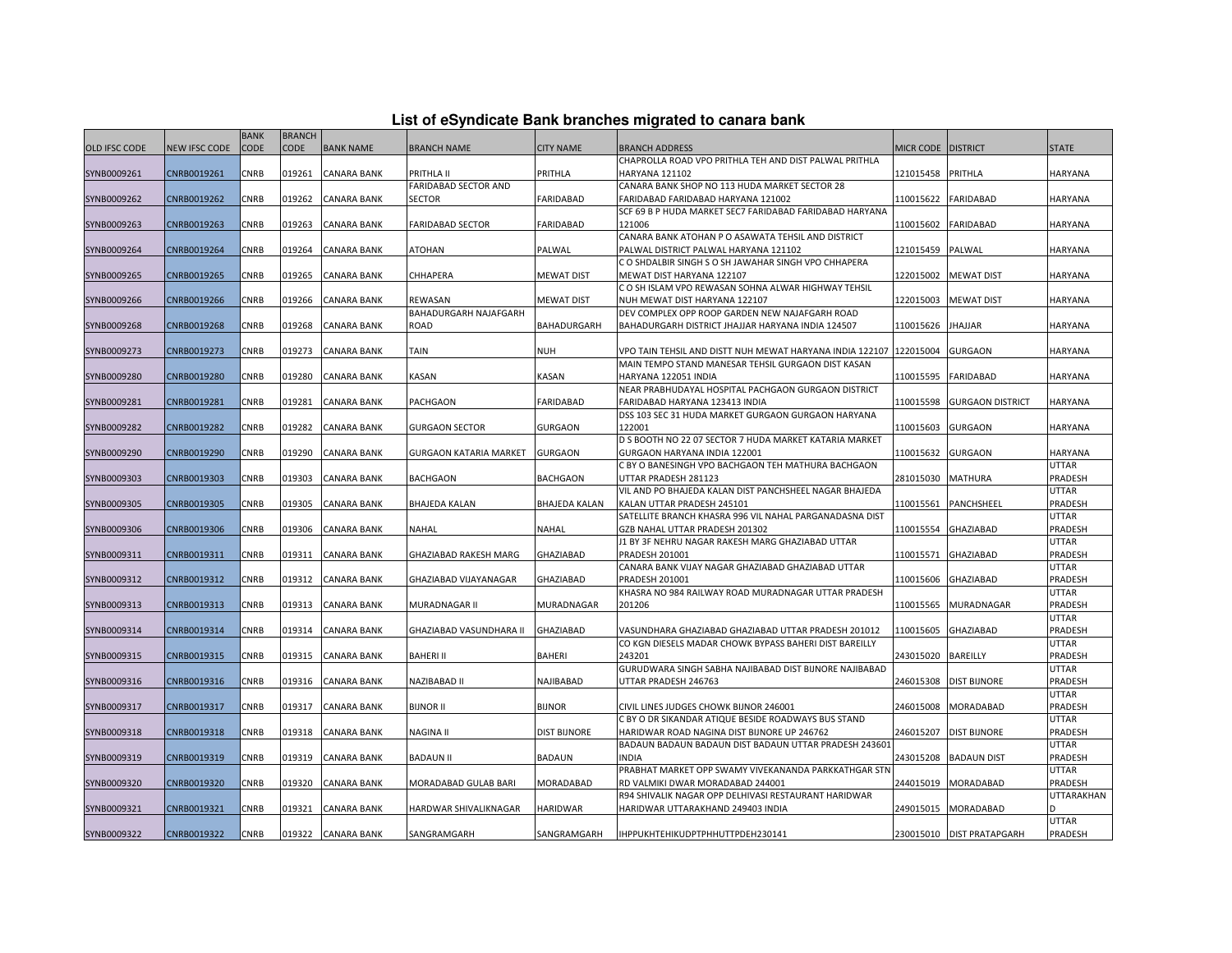| List of eSyndicate Bank branches migrated to canara bank |  |  |  |  |  |  |  |
|----------------------------------------------------------|--|--|--|--|--|--|--|
|----------------------------------------------------------|--|--|--|--|--|--|--|

|               | List of eSyndicate Bank branches migrated to canara bank |                            |                              |                    |                                  |                      |                                                                                                     |                      |                           |                         |  |  |
|---------------|----------------------------------------------------------|----------------------------|------------------------------|--------------------|----------------------------------|----------------------|-----------------------------------------------------------------------------------------------------|----------------------|---------------------------|-------------------------|--|--|
| OLD IFSC CODE | <b>NEW IFSC CODE</b>                                     | <b>BANK</b><br><b>CODE</b> | <b>BRANCH</b><br><b>CODE</b> | <b>BANK NAME</b>   | <b>BRANCH NAME</b>               | <b>CITY NAME</b>     | <b>BRANCH ADDRESS</b>                                                                               | MICR CODE   DISTRICT |                           | <b>STATE</b>            |  |  |
|               |                                                          |                            |                              |                    |                                  |                      | CHAPROLLA ROAD VPO PRITHLA TEH AND DIST PALWAL PRITHLA                                              |                      |                           |                         |  |  |
| SYNB0009261   | CNRB0019261                                              | CNRB                       | 019261                       | CANARA BANK        | PRITHLA II                       | PRITHLA              | HARYANA 121102                                                                                      | 121015458 PRITHLA    |                           | HARYANA                 |  |  |
|               |                                                          |                            |                              |                    | FARIDABAD SECTOR AND             |                      | CANARA BANK SHOP NO 113 HUDA MARKET SECTOR 28                                                       |                      |                           |                         |  |  |
| SYNB0009262   | CNRB0019262                                              | CNRB                       | 019262                       | <b>CANARA BANK</b> | <b>SECTOR</b>                    | <b>FARIDABAD</b>     | FARIDABAD FARIDABAD HARYANA 121002                                                                  | 110015622            | <b>FARIDABAD</b>          | <b>HARYANA</b>          |  |  |
|               |                                                          |                            |                              |                    |                                  |                      | SCF 69 B P HUDA MARKET SEC7 FARIDABAD FARIDABAD HARYANA                                             |                      |                           |                         |  |  |
| SYNB0009263   | CNRB0019263                                              | CNRB                       | 019263                       | <b>CANARA BANK</b> | <b>FARIDABAD SECTOR</b>          | FARIDABAD            | 121006                                                                                              | 110015602            | <b>FARIDABAD</b>          | <b>HARYANA</b>          |  |  |
|               |                                                          |                            |                              |                    |                                  |                      | CANARA BANK ATOHAN P O ASAWATA TEHSIL AND DISTRICT                                                  |                      |                           |                         |  |  |
| SYNB0009264   | CNRB0019264                                              | CNRB                       | 019264                       | <b>CANARA BANK</b> | <b>ATOHAN</b>                    | PALWAL               | PALWAL DISTRICT PALWAL HARYANA 121102                                                               | 121015459            | PALWAL                    | <b>HARYANA</b>          |  |  |
|               |                                                          |                            |                              |                    |                                  |                      | C O SHDALBIR SINGH S O SH JAWAHAR SINGH VPO CHHAPERA                                                |                      |                           |                         |  |  |
| SYNB0009265   | CNRB0019265                                              | CNRB                       | 019265                       | <b>CANARA BANK</b> | CHHAPERA                         | <b>MEWAT DIST</b>    | MEWAT DIST HARYANA 122107                                                                           | 122015002            | <b>MEWAT DIST</b>         | <b>HARYANA</b>          |  |  |
|               |                                                          |                            |                              |                    |                                  |                      | C O SH ISLAM VPO REWASAN SOHNA ALWAR HIGHWAY TEHSIL                                                 |                      |                           |                         |  |  |
| SYNB0009266   | CNRB0019266                                              | CNRB                       | 019266                       | <b>CANARA BANK</b> | REWASAN<br>BAHADURGARH NAJAFGARH | <b>MEWAT DIST</b>    | NUH MEWAT DIST HARYANA 122107                                                                       | 122015003            | <b>MEWAT DIST</b>         | HARYANA                 |  |  |
| SYNB0009268   | CNRB0019268                                              | CNRB                       | 019268                       | <b>CANARA BANK</b> | <b>ROAD</b>                      | BAHADURGARH          | DEV COMPLEX OPP ROOP GARDEN NEW NAJAFGARH ROAD<br>BAHADURGARH DISTRICT JHAJJAR HARYANA INDIA 124507 | 110015626            | <b>JHAJJAR</b>            | HARYANA                 |  |  |
|               |                                                          |                            |                              |                    |                                  |                      |                                                                                                     |                      |                           |                         |  |  |
| SYNB0009273   | CNRB0019273                                              | CNRB                       | 019273                       | <b>CANARA BANK</b> | TAIN                             | <b>NUH</b>           | VPO TAIN TEHSIL AND DISTT NUH MEWAT HARYANA INDIA 122107                                            | 122015004            | <b>GURGAON</b>            | HARYANA                 |  |  |
|               |                                                          |                            |                              |                    |                                  |                      | MAIN TEMPO STAND MANESAR TEHSIL GURGAON DIST KASAN                                                  |                      |                           |                         |  |  |
| SYNB0009280   | CNRB0019280                                              | CNRB                       | 019280                       | <b>CANARA BANK</b> | KASAN                            | KASAN                | HARYANA 122051 INDIA                                                                                | 110015595            | <b>FARIDABAD</b>          | HARYANA                 |  |  |
|               |                                                          |                            |                              |                    |                                  |                      | NEAR PRABHUDAYAL HOSPITAL PACHGAON GURGAON DISTRICT                                                 |                      |                           |                         |  |  |
| SYNB0009281   | CNRB0019281                                              | CNRB                       | 019281                       | <b>CANARA BANK</b> | PACHGAON                         | FARIDABAD            | FARIDABAD HARYANA 123413 INDIA                                                                      | 110015598            | <b>GURGAON DISTRICT</b>   | <b>HARYANA</b>          |  |  |
|               |                                                          |                            |                              |                    |                                  |                      | DSS 103 SEC 31 HUDA MARKET GURGAON GURGAON HARYANA                                                  |                      |                           |                         |  |  |
| SYNB0009282   | CNRB0019282                                              | CNRB                       | 019282                       | <b>CANARA BANK</b> | <b>GURGAON SECTOR</b>            | <b>GURGAON</b>       | 122001                                                                                              | 110015603            | <b>GURGAON</b>            | <b>HARYANA</b>          |  |  |
|               |                                                          |                            |                              |                    |                                  |                      | D S BOOTH NO 22 07 SECTOR 7 HUDA MARKET KATARIA MARKET                                              |                      |                           |                         |  |  |
| SYNB0009290   | CNRB0019290                                              | <b>CNRB</b>                | 019290                       | <b>CANARA BANK</b> | <b>GURGAON KATARIA MARKET</b>    | <b>GURGAON</b>       | GURGAON HARYANA INDIA 122001                                                                        | 110015632            | <b>GURGAON</b>            | <b>HARYANA</b>          |  |  |
|               |                                                          |                            |                              |                    |                                  |                      | C BY O BANESINGH VPO BACHGAON TEH MATHURA BACHGAON                                                  |                      |                           | <b>UTTAR</b>            |  |  |
| SYNB0009303   | CNRB0019303                                              | CNRB                       | 019303                       | <b>CANARA BANK</b> | <b>BACHGAON</b>                  | <b>BACHGAON</b>      | UTTAR PRADESH 281123                                                                                | 281015030            | <b>MATHURA</b>            | PRADESH                 |  |  |
|               |                                                          |                            |                              |                    |                                  |                      | VIL AND PO BHAJEDA KALAN DIST PANCHSHEEL NAGAR BHAJEDA                                              |                      |                           | <b>UTTAR</b>            |  |  |
| SYNB0009305   | CNRB0019305                                              | CNRB                       | 019305                       | CANARA BANK        | <b>BHAJEDA KALAN</b>             | <b>BHAJEDA KALAN</b> | KALAN UTTAR PRADESH 245101                                                                          | 110015561            | PANCHSHEEL                | PRADESH                 |  |  |
|               |                                                          |                            |                              |                    |                                  |                      | SATELLITE BRANCH KHASRA 996 VIL NAHAL PARGANADASNA DIST                                             |                      |                           | <b>UTTAR</b>            |  |  |
| SYNB0009306   | CNRB0019306                                              | <b>CNRB</b>                | 019306                       | <b>CANARA BANK</b> | <b>NAHAL</b>                     | NAHAL                | GZB NAHAL UTTAR PRADESH 201302                                                                      | 110015554            | <b>GHAZIABAD</b>          | PRADESH                 |  |  |
|               |                                                          |                            |                              |                    |                                  |                      | J1 BY 3F NEHRU NAGAR RAKESH MARG GHAZIABAD UTTAR                                                    |                      |                           | <b>UTTAR</b>            |  |  |
| SYNB0009311   | CNRB0019311                                              | CNRB                       | 019311                       | <b>CANARA BANK</b> | GHAZIABAD RAKESH MARG            | GHAZIABAD            | PRADESH 201001                                                                                      | 110015571            | <b>GHAZIABAD</b>          | PRADESH                 |  |  |
|               |                                                          |                            |                              |                    |                                  |                      | CANARA BANK VIJAY NAGAR GHAZIABAD GHAZIABAD UTTAR                                                   |                      |                           | <b>UTTAR</b>            |  |  |
| SYNB0009312   | CNRB0019312                                              | CNRB                       | 019312                       | <b>CANARA BANK</b> | GHAZIABAD VIJAYANAGAR            | GHAZIABAD            | PRADESH 201001                                                                                      |                      | 110015606 GHAZIABAD       | PRADESH                 |  |  |
|               |                                                          |                            |                              |                    |                                  |                      | KHASRA NO 984 RAILWAY ROAD MURADNAGAR UTTAR PRADESH                                                 |                      |                           | <b>UTTAR</b>            |  |  |
| SYNB0009313   | CNRB0019313                                              | CNRB                       | 019313                       | CANARA BANK        | MURADNAGAR II                    | MURADNAGAR           | 201206                                                                                              | 110015565            | MURADNAGAR                | PRADESH                 |  |  |
|               |                                                          |                            |                              |                    |                                  |                      |                                                                                                     |                      |                           | <b>UTTAR</b>            |  |  |
| SYNB0009314   | CNRB0019314                                              | CNRB                       | 019314                       | <b>CANARA BANK</b> | GHAZIABAD VASUNDHARA II          | GHAZIABAD            | VASUNDHARA GHAZIABAD GHAZIABAD UTTAR PRADESH 201012                                                 | 110015605            | <b>GHAZIABAD</b>          | PRADESH                 |  |  |
|               |                                                          |                            |                              |                    |                                  |                      | CO KGN DIESELS MADAR CHOWK BYPASS BAHERI DIST BAREILLY                                              |                      |                           | UTTAR                   |  |  |
| SYNB0009315   | CNRB0019315                                              | CNRB                       | 019315                       | <b>CANARA BANK</b> | <b>BAHERI II</b>                 | <b>BAHERI</b>        | 243201                                                                                              | 243015020            | <b>BAREILLY</b>           | PRADESH<br><b>UTTAR</b> |  |  |
|               | CNRB0019316                                              | CNRB                       | 019316                       | <b>CANARA BANK</b> | NAZIBABAD II                     | NAJIBABAD            | GURUDWARA SINGH SABHA NAJIBABAD DIST BIJNORE NAJIBABAD<br>UTTAR PRADESH 246763                      | 246015308            | <b>DIST BIJNORE</b>       | PRADESH                 |  |  |
| SYNB0009316   |                                                          |                            |                              |                    |                                  |                      |                                                                                                     |                      |                           | <b>UTTAR</b>            |  |  |
| SYNB0009317   | CNRB0019317                                              | CNRB                       | 019317                       | <b>CANARA BANK</b> | <b>BIJNOR II</b>                 | <b>BIJNOR</b>        | CIVIL LINES JUDGES CHOWK BIJNOR 246001                                                              |                      | 246015008 MORADABAD       | PRADESH                 |  |  |
|               |                                                          |                            |                              |                    |                                  |                      | C BY O DR SIKANDAR ATIQUE BESIDE ROADWAYS BUS STAND                                                 |                      |                           | UTTAR                   |  |  |
| SYNB0009318   | CNRB0019318                                              | CNRB                       | 019318                       | <b>CANARA BANK</b> | <b>NAGINA II</b>                 | <b>DIST BIJNORE</b>  | HARIDWAR ROAD NAGINA DIST BIJNORE UP 246762                                                         |                      | 246015207 DIST BIJNORE    | PRADESH                 |  |  |
|               |                                                          |                            |                              |                    |                                  |                      | BADAUN BADAUN BADAUN DIST BADAUN UTTAR PRADESH 243601                                               |                      |                           | <b>UTTAR</b>            |  |  |
| SYNB0009319   | CNRB0019319                                              | <b>CNRB</b>                | 019319                       | <b>CANARA BANK</b> | <b>BADAUN II</b>                 | <b>BADAUN</b>        | <b>INDIA</b>                                                                                        | 243015208            | <b>BADAUN DIST</b>        | PRADESH                 |  |  |
|               |                                                          |                            |                              |                    |                                  |                      | PRABHAT MARKET OPP SWAMY VIVEKANANDA PARKKATHGAR STN                                                |                      |                           | <b>UTTAR</b>            |  |  |
| SYNB0009320   | CNRB0019320                                              | CNRB                       | 019320                       | <b>CANARA BANK</b> | MORADABAD GULAB BARI             | MORADABAD            | RD VALMIKI DWAR MORADABAD 244001                                                                    | 244015019            | <b>MORADABAD</b>          | PRADESH                 |  |  |
|               |                                                          |                            |                              |                    |                                  |                      | R94 SHIVALIK NAGAR OPP DELHIVASI RESTAURANT HARIDWAR                                                |                      |                           | UTTARAKHAN              |  |  |
| SYNB0009321   | CNRB0019321                                              | CNRB                       | 019321                       | <b>CANARA BANK</b> | HARDWAR SHIVALIKNAGAR            | <b>HARIDWAR</b>      | HARIDWAR UTTARAKHAND 249403 INDIA                                                                   | 249015015            | MORADABAD                 |                         |  |  |
|               |                                                          |                            |                              |                    |                                  |                      |                                                                                                     |                      |                           | <b>UTTAR</b>            |  |  |
| SYNB0009322   | CNRB0019322                                              | CNRB                       | 019322                       | <b>CANARA BANK</b> | SANGRAMGARH                      | SANGRAMGARH          | IHPPUKHTEHIKUDPTPHHUTTPDEH230141                                                                    |                      | 230015010 DIST PRATAPGARH | PRADESH                 |  |  |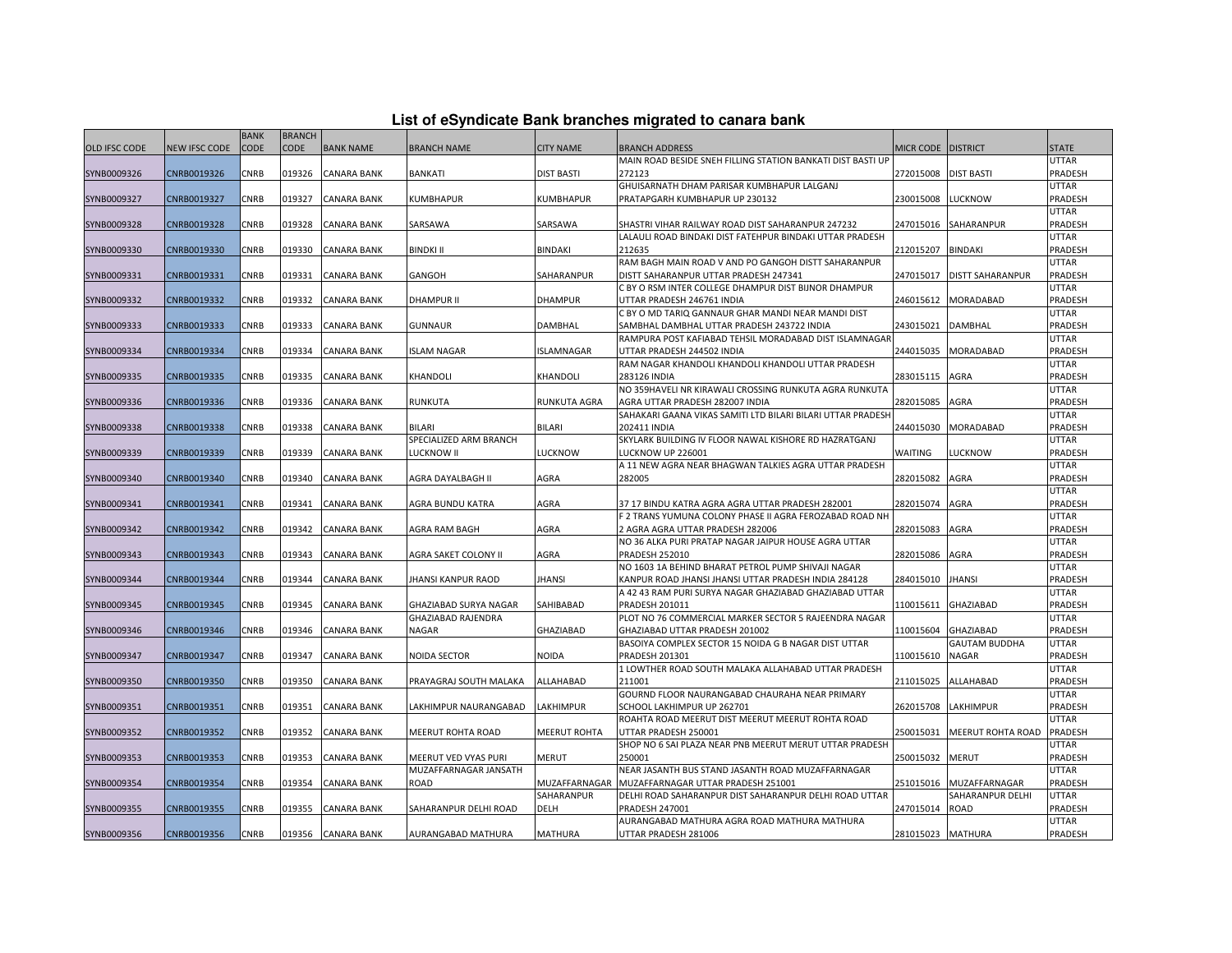| List of eSyndicate Bank branches migrated to canara bank |  |  |
|----------------------------------------------------------|--|--|
|                                                          |  |  |

|                      |                      | <b>BANK</b> | <b>BRANCH</b> |                    |                        |                     |                                                                                                            |                  |                         |                  |
|----------------------|----------------------|-------------|---------------|--------------------|------------------------|---------------------|------------------------------------------------------------------------------------------------------------|------------------|-------------------------|------------------|
| <b>OLD IFSC CODE</b> | <b>NEW IFSC CODE</b> | <b>CODE</b> | <b>CODE</b>   | <b>BANK NAME</b>   | <b>BRANCH NAME</b>     | <b>CITY NAME</b>    | <b>BRANCH ADDRESS</b>                                                                                      | <b>MICR CODE</b> | <b>DISTRICT</b>         | <b>STATE</b>     |
|                      |                      |             |               |                    |                        |                     | MAIN ROAD BESIDE SNEH FILLING STATION BANKATI DIST BASTI UP                                                |                  |                         | UTTAR            |
| SYNB0009326          | CNRB0019326          | <b>CNRB</b> | 019326        | <b>CANARA BANK</b> | <b>BANKATI</b>         | <b>DIST BASTI</b>   | 272123                                                                                                     | 272015008        | <b>DIST BASTI</b>       | PRADESH          |
|                      |                      |             |               |                    |                        |                     | GHUISARNATH DHAM PARISAR KUMBHAPUR LALGANJ                                                                 |                  |                         | <b>UTTAR</b>     |
| SYNB0009327          | CNRB0019327          | CNRB        | 019327        | <b>CANARA BANK</b> | KUMBHAPUR              | KUMBHAPUR           | PRATAPGARH KUMBHAPUR UP 230132                                                                             | 230015008        | LUCKNOW                 | PRADESH          |
|                      |                      |             |               |                    |                        |                     |                                                                                                            |                  |                         | UTTAR            |
| SYNB0009328          | CNRB0019328          | CNRB        | 019328        | <b>CANARA BANK</b> | SARSAWA                | SARSAWA             | SHASTRI VIHAR RAILWAY ROAD DIST SAHARANPUR 247232                                                          | 247015016        | SAHARANPUR              | PRADESH          |
|                      |                      |             |               |                    |                        |                     | LALAULI ROAD BINDAKI DIST FATEHPUR BINDAKI UTTAR PRADESH                                                   |                  |                         | UTTAR            |
| SYNB0009330          | CNRB0019330          | <b>CNRB</b> | 019330        | <b>CANARA BANK</b> | <b>BINDKI II</b>       | <b>BINDAKI</b>      | 212635                                                                                                     | 212015207        | <b>BINDAKI</b>          | PRADESH          |
|                      |                      |             |               |                    |                        |                     | RAM BAGH MAIN ROAD V AND PO GANGOH DISTT SAHARANPUR                                                        |                  |                         | UTTAR            |
| SYNB0009331          | CNRB0019331          | CNRB        | 019331        | <b>CANARA BANK</b> | GANGOH                 | SAHARANPUR          | DISTT SAHARANPUR UTTAR PRADESH 247341                                                                      | 247015017        | <b>DISTT SAHARANPUR</b> | PRADESH          |
|                      |                      |             |               |                    |                        |                     | C BY O RSM INTER COLLEGE DHAMPUR DIST BIJNOR DHAMPUR                                                       |                  |                         | UTTAR            |
| SYNB0009332          | CNRB0019332          | CNRB        | 019332        | <b>CANARA BANK</b> | DHAMPUR II             | <b>DHAMPUR</b>      | UTTAR PRADESH 246761 INDIA                                                                                 | 246015612        | MORADABAD               | PRADESH          |
|                      |                      | <b>CNRB</b> | 019333        |                    |                        |                     | C BY O MD TARIQ GANNAUR GHAR MANDI NEAR MANDI DIST                                                         | 243015021        |                         | UTTAR<br>PRADESH |
| SYNB0009333          | CNRB0019333          |             |               | <b>CANARA BANK</b> | <b>GUNNAUR</b>         | DAMBHAL             | SAMBHAL DAMBHAL UTTAR PRADESH 243722 INDIA<br>RAMPURA POST KAFIABAD TEHSIL MORADABAD DIST ISLAMNAGAR       |                  | DAMBHAL                 | <b>UTTAR</b>     |
| SYNB0009334          | CNRB0019334          | CNRB        | 019334        | <b>CANARA BANK</b> | <b>SLAM NAGAR</b>      | ISLAMNAGAR          | UTTAR PRADESH 244502 INDIA                                                                                 | 244015035        | MORADABAD               | PRADESH          |
|                      |                      |             |               |                    |                        |                     | RAM NAGAR KHANDOLI KHANDOLI KHANDOLI UTTAR PRADESH                                                         |                  |                         | UTTAR            |
| SYNB0009335          | CNRB0019335          | CNRB        | 019335        | <b>CANARA BANK</b> | KHANDOLI               | KHANDOLI            | 283126 INDIA                                                                                               | 283015115        | AGRA                    | PRADESH          |
|                      |                      |             |               |                    |                        |                     | NO 359HAVELI NR KIRAWALI CROSSING RUNKUTA AGRA RUNKUTA                                                     |                  |                         | UTTAR            |
| SYNB0009336          | CNRB0019336          | CNRB        | 019336        | <b>CANARA BANK</b> | RUNKUTA                | RUNKUTA AGRA        | AGRA UTTAR PRADESH 282007 INDIA                                                                            | 282015085        | AGRA                    | PRADESH          |
|                      |                      |             |               |                    |                        |                     | SAHAKARI GAANA VIKAS SAMITI LTD BILARI BILARI UTTAR PRADESH                                                |                  |                         | <b>UTTAR</b>     |
| SYNB0009338          | CNRB0019338          | CNRB        | 019338        | <b>CANARA BANK</b> | <b>BILARI</b>          | BILARI              | 202411 INDIA                                                                                               | 244015030        | MORADABAD               | PRADESH          |
|                      |                      |             |               |                    | SPECIALIZED ARM BRANCH |                     | SKYLARK BUILDING IV FLOOR NAWAL KISHORE RD HAZRATGANJ                                                      |                  |                         | UTTAR            |
| SYNB0009339          | CNRB0019339          | CNRB        | 019339        | <b>CANARA BANK</b> | LUCKNOW II             | LUCKNOW             | LUCKNOW UP 226001                                                                                          | <b>WAITING</b>   | LUCKNOW                 | PRADESH          |
|                      |                      |             |               |                    |                        |                     | A 11 NEW AGRA NEAR BHAGWAN TALKIES AGRA UTTAR PRADESH                                                      |                  |                         | UTTAR            |
| SYNB0009340          | CNRB0019340          | <b>CNRB</b> | 019340        | <b>CANARA BANK</b> | AGRA DAYALBAGH II      | AGRA                | 282005                                                                                                     | 282015082        | AGRA                    | PRADESH          |
|                      |                      |             |               |                    |                        |                     |                                                                                                            |                  |                         | UTTAR            |
| SYNB0009341          | CNRB0019341          | CNRB        | 019341        | <b>CANARA BANK</b> | AGRA BUNDU KATRA       | AGRA                | 37 17 BINDU KATRA AGRA AGRA UTTAR PRADESH 282001                                                           | 282015074        | AGRA                    | PRADESH          |
|                      |                      |             |               |                    |                        |                     | F 2 TRANS YUMUNA COLONY PHASE II AGRA FEROZABAD ROAD NH                                                    |                  |                         | UTTAR            |
| SYNB0009342          | CNRB0019342          | CNRB        | 019342        | <b>CANARA BANK</b> | AGRA RAM BAGH          | AGRA                | 2 AGRA AGRA UTTAR PRADESH 282006                                                                           | 282015083        | AGRA                    | PRADESH          |
|                      |                      |             |               |                    |                        |                     | NO 36 ALKA PURI PRATAP NAGAR JAIPUR HOUSE AGRA UTTAR                                                       |                  |                         | UTTAR            |
| SYNB0009343          | CNRB0019343          | CNRB        | 019343        | <b>CANARA BANK</b> | AGRA SAKET COLONY II   | AGRA                | <b>PRADESH 252010</b>                                                                                      | 282015086        | AGRA                    | PRADESH          |
| SYNB0009344          | CNRB0019344          | CNRB        | 019344        | <b>CANARA BANK</b> | JHANSI KANPUR RAOD     | JHANSI              | NO 1603 1A BEHIND BHARAT PETROL PUMP SHIVAJI NAGAR<br>KANPUR ROAD JHANSI JHANSI UTTAR PRADESH INDIA 284128 | 284015010        | <b>JHANSI</b>           | UTTAR<br>PRADESH |
|                      |                      |             |               |                    |                        |                     | A 42 43 RAM PURI SURYA NAGAR GHAZIABAD GHAZIABAD UTTAR                                                     |                  |                         | UTTAR            |
| SYNB0009345          | CNRB0019345          | CNRB        | 019345        | CANARA BANK        | GHAZIABAD SURYA NAGAR  | SAHIBABAD           | PRADESH 201011                                                                                             | 110015611        | GHAZIABAD               | PRADESH          |
|                      |                      |             |               |                    | GHAZIABAD RAJENDRA     |                     | PLOT NO 76 COMMERCIAL MARKER SECTOR 5 RAJEENDRA NAGAR                                                      |                  |                         | UTTAR            |
| SYNB0009346          | CNRB0019346          | CNRB        | 019346        | <b>CANARA BANK</b> | NAGAR                  | GHAZIABAD           | GHAZIABAD UTTAR PRADESH 201002                                                                             | 110015604        | GHAZIABAD               | PRADESH          |
|                      |                      |             |               |                    |                        |                     | BASOIYA COMPLEX SECTOR 15 NOIDA G B NAGAR DIST UTTAR                                                       |                  | <b>GAUTAM BUDDHA</b>    | <b>UTTAR</b>     |
| SYNB0009347          | CNRB0019347          | CNRB        | 019347        | <b>CANARA BANK</b> | NOIDA SECTOR           | NOIDA               | <b>PRADESH 201301</b>                                                                                      | 110015610        | NAGAR                   | PRADESH          |
|                      |                      |             |               |                    |                        |                     | 1 LOWTHER ROAD SOUTH MALAKA ALLAHABAD UTTAR PRADESH                                                        |                  |                         | UTTAR            |
| SYNB0009350          | CNRB0019350          | CNRB        | 019350        | CANARA BANK        | PRAYAGRAJ SOUTH MALAKA | ALLAHABAD           | 211001                                                                                                     | 211015025        | ALLAHABAD               | PRADESH          |
|                      |                      |             |               |                    |                        |                     | GOURND FLOOR NAURANGABAD CHAURAHA NEAR PRIMARY                                                             |                  |                         | UTTAR            |
| SYNB0009351          | CNRB0019351          | <b>CNRB</b> | 019351        | <b>CANARA BANK</b> | LAKHIMPUR NAURANGABAD  | LAKHIMPUR           | SCHOOL LAKHIMPUR UP 262701                                                                                 | 262015708        | LAKHIMPUR               | PRADESH          |
|                      |                      |             |               |                    |                        |                     | ROAHTA ROAD MEERUT DIST MEERUT MEERUT ROHTA ROAD                                                           |                  |                         | UTTAR            |
| SYNB0009352          | CNRB0019352          | CNRB        | 019352        | <b>CANARA BANK</b> | MEERUT ROHTA ROAD      | <b>MEERUT ROHTA</b> | UTTAR PRADESH 250001                                                                                       | 250015031        | MEERUT ROHTA ROAD       | PRADESH          |
|                      |                      |             |               |                    |                        |                     | SHOP NO 6 SAI PLAZA NEAR PNB MEERUT MERUT UTTAR PRADESH                                                    |                  |                         | UTTAR            |
| SYNB0009353          | CNRB0019353          | CNRB        | 019353        | <b>CANARA BANK</b> | MEERUT VED VYAS PURI   | MERUT               | 250001                                                                                                     | 250015032        | MERUT                   | PRADESH          |
|                      |                      |             |               |                    | MUZAFFARNAGAR JANSATH  |                     | NEAR JASANTH BUS STAND JASANTH ROAD MUZAFFARNAGAR                                                          |                  |                         | UTTAR            |
| SYNB0009354          | CNRB0019354          | <b>CNRB</b> | 019354        | <b>CANARA BANK</b> | ROAD                   | MUZAFFARNAGAR       | MUZAFFARNAGAR UTTAR PRADESH 251001                                                                         | 251015016        | MUZAFFARNAGAR           | PRADESH          |
|                      |                      |             |               |                    |                        | SAHARANPUR          | DELHI ROAD SAHARANPUR DIST SAHARANPUR DELHI ROAD UTTAR                                                     |                  | SAHARANPUR DELHI        | UTTAR            |
| SYNB0009355          | CNRB0019355          | CNRB        | 019355        | <b>CANARA BANK</b> | SAHARANPUR DELHI ROAD  | <b>DELH</b>         | <b>PRADESH 247001</b>                                                                                      | 247015014        | ROAD                    | PRADESH          |
|                      |                      |             |               |                    |                        |                     | AURANGABAD MATHURA AGRA ROAD MATHURA MATHURA                                                               |                  |                         | UTTAR            |
| SYNB0009356          | CNRB0019356          | <b>CNRB</b> |               | 019356 CANARA BANK | AURANGABAD MATHURA     | <b>MATHURA</b>      | UTTAR PRADESH 281006                                                                                       | 281015023        | <b>MATHURA</b>          | <b>PRADESH</b>   |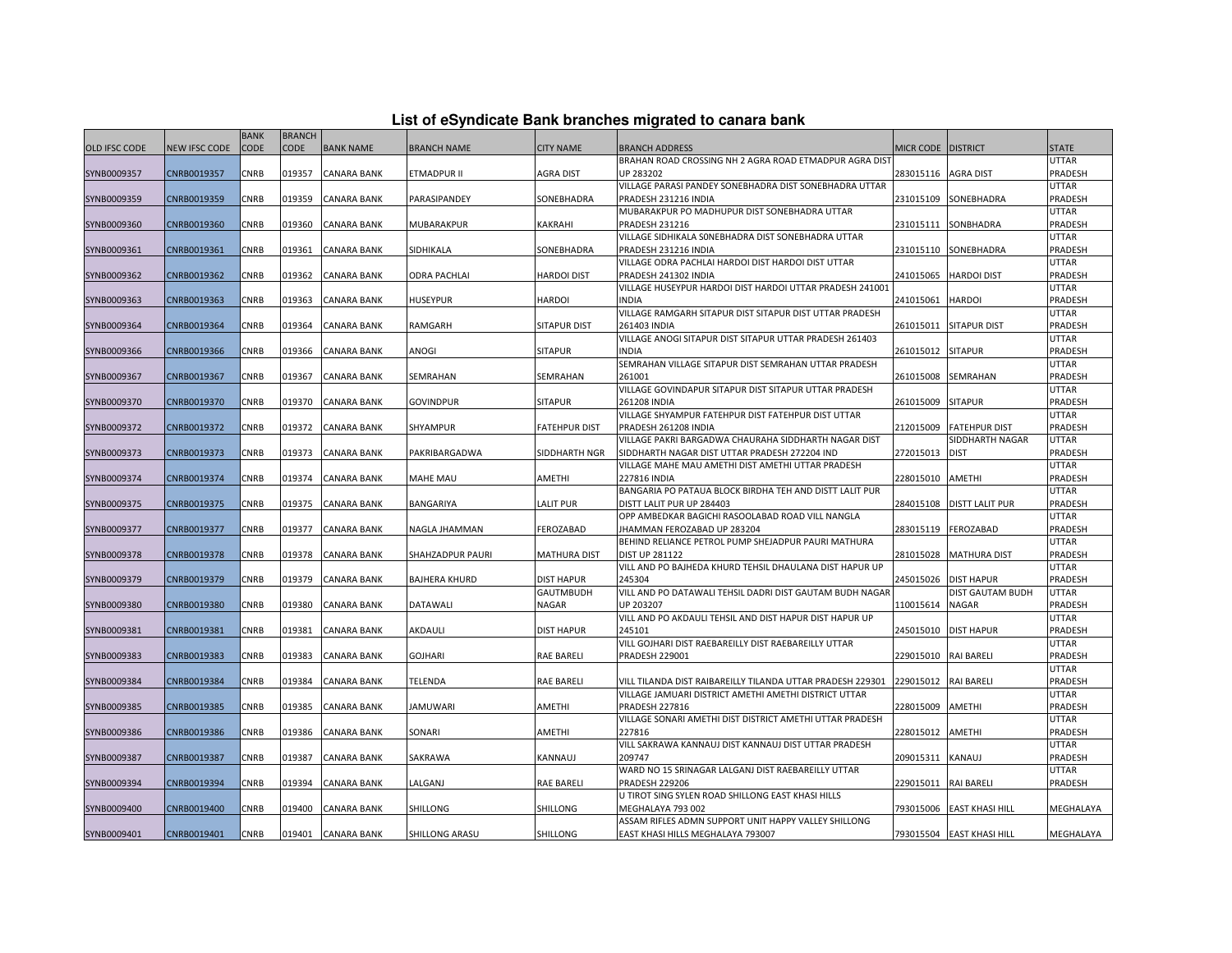| List of eSyndicate Bank branches migrated to canara bank |  |  |
|----------------------------------------------------------|--|--|
|----------------------------------------------------------|--|--|

|                      | List of eSyndicate Bank branches migrated to canara bank |             |               |                    |                    |                      |                                                                         |                    |                           |                         |  |  |
|----------------------|----------------------------------------------------------|-------------|---------------|--------------------|--------------------|----------------------|-------------------------------------------------------------------------|--------------------|---------------------------|-------------------------|--|--|
|                      |                                                          | <b>BANK</b> | <b>BRANCH</b> |                    |                    |                      |                                                                         |                    |                           |                         |  |  |
| <b>OLD IFSC CODE</b> | <b>NEW IFSC CODE</b>                                     | <b>CODE</b> | <b>CODE</b>   | <b>BANK NAME</b>   | <b>BRANCH NAME</b> | <b>CITY NAME</b>     | <b>BRANCH ADDRESS</b>                                                   | MICR CODE DISTRICT |                           | <b>STATE</b>            |  |  |
|                      |                                                          |             |               |                    |                    |                      | BRAHAN ROAD CROSSING NH 2 AGRA ROAD ETMADPUR AGRA DIS'                  |                    |                           | <b>UTTAR</b>            |  |  |
| SYNB0009357          | CNRB0019357                                              | CNRB        | 019357        | <b>CANARA BANK</b> | ETMADPUR II        | AGRA DIST            | UP 283202                                                               | 283015116          | <b>AGRA DIST</b>          | PRADESH                 |  |  |
|                      |                                                          |             |               |                    |                    |                      | VILLAGE PARASI PANDEY SONEBHADRA DIST SONEBHADRA UTTAR                  |                    |                           | <b>UTTAR</b>            |  |  |
| SYNB0009359          | CNRB0019359                                              | CNRB        | 019359        | <b>CANARA BANK</b> | PARASIPANDEY       | SONEBHADRA           | PRADESH 231216 INDIA                                                    | 231015109          | SONEBHADRA                | PRADESH                 |  |  |
|                      |                                                          |             |               |                    |                    |                      | MUBARAKPUR PO MADHUPUR DIST SONEBHADRA UTTAR                            |                    |                           | UTTAR                   |  |  |
| SYNB0009360          | CNRB0019360                                              | CNRB        | 019360        | <b>CANARA BANK</b> | MUBARAKPUR         | <b>KAKRAHI</b>       | <b>PRADESH 231216</b>                                                   | 231015111          | SONBHADRA                 | PRADESH                 |  |  |
|                      |                                                          |             |               |                    |                    |                      | VILLAGE SIDHIKALA SONEBHADRA DIST SONEBHADRA UTTAR                      |                    |                           | <b>UTTAR</b>            |  |  |
| SYNB0009361          | CNRB0019361                                              | CNRB        | 019361        | <b>CANARA BANK</b> | SIDHIKALA          | SONEBHADRA           | PRADESH 231216 INDIA                                                    | 231015110          | SONEBHADRA                | PRADESH                 |  |  |
|                      |                                                          |             |               |                    |                    |                      | VILLAGE ODRA PACHLAI HARDOI DIST HARDOI DIST UTTAR                      |                    |                           | <b>UTTAR</b>            |  |  |
| SYNB0009362          | CNRB0019362                                              | CNRB        | 019362        | <b>CANARA BANK</b> | ODRA PACHLAI       | <b>HARDOI DIST</b>   | PRADESH 241302 INDIA                                                    | 241015065          | <b>HARDOI DIST</b>        | PRADESH                 |  |  |
|                      |                                                          |             |               |                    |                    |                      | VILLAGE HUSEYPUR HARDOI DIST HARDOI UTTAR PRADESH 241001                |                    |                           | UTTAR                   |  |  |
| SYNB0009363          | CNRB0019363                                              | CNRB        | 019363        | <b>CANARA BANK</b> | HUSEYPUR           | HARDOI               | <b>INDIA</b>                                                            | 241015061          | <b>HARDOI</b>             | PRADESH                 |  |  |
|                      |                                                          | CNRB        | 019364        |                    |                    |                      | VILLAGE RAMGARH SITAPUR DIST SITAPUR DIST UTTAR PRADESH                 |                    |                           | <b>UTTAR</b>            |  |  |
| SYNB0009364          | CNRB0019364                                              |             |               | <b>CANARA BANK</b> | RAMGARH            | <b>SITAPUR DIST</b>  | 261403 INDIA<br>VILLAGE ANOGI SITAPUR DIST SITAPUR UTTAR PRADESH 261403 | 261015011          | <b>SITAPUR DIST</b>       | PRADESH<br><b>UTTAR</b> |  |  |
| SYNB0009366          | CNRB0019366                                              | CNRB        | 019366        | CANARA BANK        | ANOGI              | <b>SITAPUR</b>       | <b>INDIA</b>                                                            | 261015012          | <b>SITAPUR</b>            | PRADESH                 |  |  |
|                      |                                                          |             |               |                    |                    |                      | SEMRAHAN VILLAGE SITAPUR DIST SEMRAHAN UTTAR PRADESH                    |                    |                           | UTTAR                   |  |  |
| SYNB0009367          | CNRB0019367                                              | CNRB        | 019367        | <b>CANARA BANK</b> | SEMRAHAN           | SEMRAHAN             | 261001                                                                  | 261015008          | SEMRAHAN                  | PRADESH                 |  |  |
|                      |                                                          |             |               |                    |                    |                      | VILLAGE GOVINDAPUR SITAPUR DIST SITAPUR UTTAR PRADESH                   |                    |                           | UTTAR                   |  |  |
| SYNB0009370          | CNRB0019370                                              | CNRB        | 019370        | <b>CANARA BANK</b> | <b>GOVINDPUR</b>   | <b>SITAPUR</b>       | 261208 INDIA                                                            | 261015009          | <b>SITAPUR</b>            | PRADESH                 |  |  |
|                      |                                                          |             |               |                    |                    |                      | VILLAGE SHYAMPUR FATEHPUR DIST FATEHPUR DIST UTTAR                      |                    |                           | <b>UTTAR</b>            |  |  |
| SYNB0009372          | CNRB0019372                                              | CNRB        | 019372        | <b>CANARA BANK</b> | SHYAMPUR           | <b>FATEHPUR DIST</b> | PRADESH 261208 INDIA                                                    | 212015009          | <b>FATEHPUR DIST</b>      | PRADESH                 |  |  |
|                      |                                                          |             |               |                    |                    |                      | VILLAGE PAKRI BARGADWA CHAURAHA SIDDHARTH NAGAR DIST                    |                    | SIDDHARTH NAGAR           | UTTAR                   |  |  |
| SYNB0009373          | CNRB0019373                                              | CNRB        | 019373        | <b>CANARA BANK</b> | PAKRIBARGADWA      | SIDDHARTH NGR        | SIDDHARTH NAGAR DIST UTTAR PRADESH 272204 IND                           | 272015013          | <b>DIST</b>               | PRADESH                 |  |  |
|                      |                                                          |             |               |                    |                    |                      | VILLAGE MAHE MAU AMETHI DIST AMETHI UTTAR PRADESH                       |                    |                           | <b>UTTAR</b>            |  |  |
| SYNB0009374          | CNRB0019374                                              | CNRB        | 019374        | <b>CANARA BANK</b> | MAHE MAU           | AMETHI               | <b>227816 INDIA</b>                                                     | 228015010          | <b>AMETHI</b>             | PRADESH                 |  |  |
|                      |                                                          |             |               |                    |                    |                      | BANGARIA PO PATAUA BLOCK BIRDHA TEH AND DISTT LALIT PUR                 |                    |                           | <b>UTTAR</b>            |  |  |
| SYNB0009375          | CNRB0019375                                              | CNRB        | 019375        | <b>CANARA BANK</b> | BANGARIYA          | <b>LALIT PUR</b>     | DISTT LALIT PUR UP 284403                                               | 284015108          | <b>DISTT LALIT PUR</b>    | PRADESH                 |  |  |
|                      |                                                          |             |               |                    |                    |                      | OPP AMBEDKAR BAGICHI RASOOLABAD ROAD VILL NANGLA                        |                    |                           | UTTAR                   |  |  |
| SYNB0009377          | CNRB0019377                                              | CNRB        | 019377        | <b>CANARA BANK</b> | NAGLA JHAMMAN      | FEROZABAD            | JHAMMAN FEROZABAD UP 283204                                             | 283015119          | FEROZABAD                 | PRADESH                 |  |  |
|                      |                                                          |             |               |                    |                    |                      | BEHIND RELIANCE PETROL PUMP SHEJADPUR PAURI MATHURA                     |                    |                           | UTTAR                   |  |  |
| SYNB0009378          | CNRB0019378                                              | CNRB        | 019378        | <b>CANARA BANK</b> | SHAHZADPUR PAURI   | <b>MATHURA DIST</b>  | <b>DIST UP 281122</b>                                                   | 281015028          | <b>MATHURA DIST</b>       | PRADESH                 |  |  |
|                      |                                                          |             |               |                    |                    |                      | VILL AND PO BAJHEDA KHURD TEHSIL DHAULANA DIST HAPUR UP                 |                    |                           | UTTAR                   |  |  |
| SYNB0009379          | CNRB0019379                                              | CNRB        | 019379        | <b>CANARA BANK</b> | BAJHERA KHURD      | <b>DIST HAPUR</b>    | 245304                                                                  | 245015026          | <b>DIST HAPUR</b>         | PRADESH                 |  |  |
|                      |                                                          |             |               |                    |                    | <b>GAUTMBUDH</b>     | VILL AND PO DATAWALI TEHSIL DADRI DIST GAUTAM BUDH NAGAR                |                    | DIST GAUTAM BUDH          | <b>UTTAR</b>            |  |  |
| SYNB0009380          | CNRB0019380                                              | CNRB        | 019380        | <b>CANARA BANK</b> | DATAWALI           | NAGAR                | UP 203207                                                               | 110015614          | <b>NAGAR</b>              | PRADESH                 |  |  |
|                      |                                                          |             |               |                    |                    |                      | VILL AND PO AKDAULI TEHSIL AND DIST HAPUR DIST HAPUR UP                 |                    |                           | UTTAR                   |  |  |
| SYNB0009381          | CNRB0019381                                              | CNRB        | 019381        | <b>CANARA BANK</b> | AKDAULI            | DIST HAPUR           | 245101                                                                  | 245015010          | <b>DIST HAPUR</b>         | PRADESH                 |  |  |
|                      |                                                          |             |               |                    |                    |                      | VILL GOJHARI DIST RAEBAREILLY DIST RAEBAREILLY UTTAR                    |                    |                           | <b>UTTAR</b>            |  |  |
| SYNB0009383          | CNRB0019383                                              | CNRB        | 019383        | <b>CANARA BANK</b> | <b>GOJHARI</b>     | RAE BARELI           | <b>PRADESH 229001</b>                                                   | 229015010          | <b>RAI BARELI</b>         | PRADESH                 |  |  |
|                      |                                                          |             |               |                    |                    |                      |                                                                         |                    |                           | <b>UTTAR</b>            |  |  |
| SYNB0009384          | CNRB0019384                                              | CNRB        | 019384        | CANARA BANK        | TELENDA            | RAE BARELI           | VILL TILANDA DIST RAIBAREILLY TILANDA UTTAR PRADESH 229301              | 229015012          | <b>RAI BARELI</b>         | PRADESH                 |  |  |
|                      |                                                          |             |               |                    |                    |                      | VILLAGE JAMUARI DISTRICT AMETHI AMETHI DISTRICT UTTAR                   |                    |                           | <b>UTTAR</b>            |  |  |
| SYNB0009385          | CNRB0019385                                              | CNRB        | 019385        | <b>CANARA BANK</b> | <b>JAMUWARI</b>    | AMETHI               | <b>PRADESH 227816</b>                                                   | 228015009          | AMETHI                    | PRADESH                 |  |  |
|                      |                                                          |             |               |                    |                    |                      | VILLAGE SONARI AMETHI DIST DISTRICT AMETHI UTTAR PRADESH                |                    |                           | <b>UTTAR</b>            |  |  |
| SYNB0009386          | CNRB0019386                                              | CNRB        | 019386        | <b>CANARA BANK</b> | SONARI             | AMETHI               | 227816<br>VILL SAKRAWA KANNAUJ DIST KANNAUJ DIST UTTAR PRADESH          | 228015012          | <b>AMETHI</b>             | PRADESH<br><b>UTTAR</b> |  |  |
| SYNB0009387          | CNRB0019387                                              | CNRB        | 019387        | <b>CANARA BANK</b> | SAKRAWA            | KANNAUJ              | 209747                                                                  | 209015311          | KANAUJ                    | PRADESH                 |  |  |
|                      |                                                          |             |               |                    |                    |                      | WARD NO 15 SRINAGAR LALGANJ DIST RAEBAREILLY UTTAR                      |                    |                           | UTTAR                   |  |  |
| SYNB0009394          | CNRB0019394                                              | CNRB        | 019394        | <b>CANARA BANK</b> | LALGANJ            | <b>RAE BARELI</b>    | <b>PRADESH 229206</b>                                                   | 229015011          | <b>RAI BARELI</b>         | PRADESH                 |  |  |
|                      |                                                          |             |               |                    |                    |                      | U TIROT SING SYLEN ROAD SHILLONG EAST KHASI HILLS                       |                    |                           |                         |  |  |
| SYNB0009400          | CNRB0019400                                              | CNRB        | 019400        | <b>CANARA BANK</b> | SHILLONG           | SHILLONG             | MEGHALAYA 793 002                                                       | 793015006          | <b>EAST KHASI HILL</b>    | MEGHALAYA               |  |  |
|                      |                                                          |             |               |                    |                    |                      | ASSAM RIFLES ADMN SUPPORT UNIT HAPPY VALLEY SHILLONG                    |                    |                           |                         |  |  |
| SYNB0009401          | CNRB0019401                                              | CNRB        |               | 019401 CANARA BANK | SHILLONG ARASU     | <b>SHILLONG</b>      | EAST KHASI HILLS MEGHALAYA 793007                                       |                    | 793015504 EAST KHASI HILL | MEGHALAYA               |  |  |
|                      |                                                          |             |               |                    |                    |                      |                                                                         |                    |                           |                         |  |  |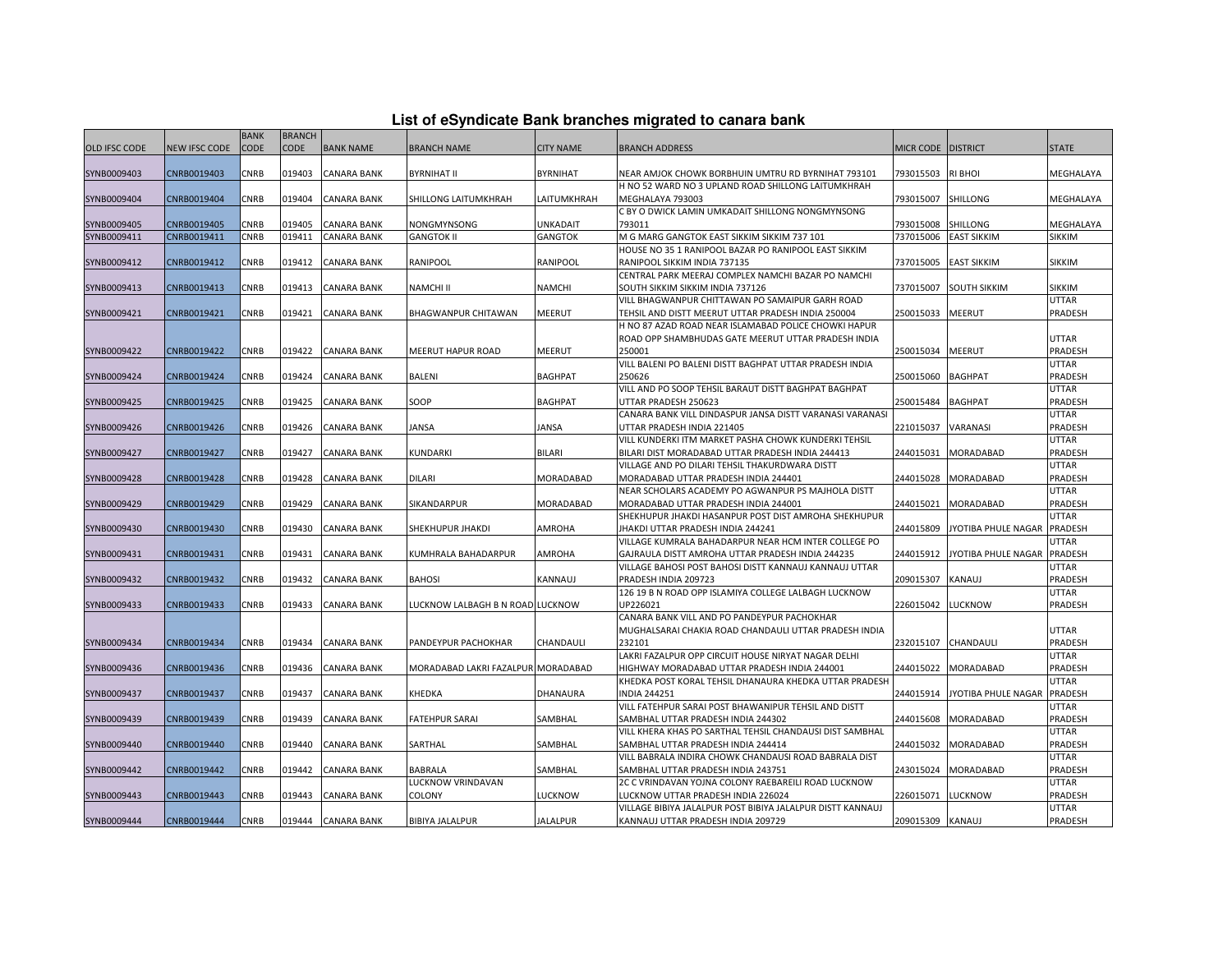| List of eSyndicate Bank branches migrated to canara bank |  |  |
|----------------------------------------------------------|--|--|
|                                                          |  |  |

|                      |               | <b>BANK</b> | <b>BRANCH</b> |                    |                                    |                  |                                                                                                       |                  |                             |                         |
|----------------------|---------------|-------------|---------------|--------------------|------------------------------------|------------------|-------------------------------------------------------------------------------------------------------|------------------|-----------------------------|-------------------------|
| <b>OLD IFSC CODE</b> | NEW IFSC CODE | <b>CODE</b> | CODE          | <b>BANK NAME</b>   | BRANCH NAME                        | <b>CITY NAME</b> | <b>BRANCH ADDRESS</b>                                                                                 | MICR CODE        | <b>DISTRICT</b>             | <b>STATE</b>            |
|                      |               |             |               |                    |                                    |                  |                                                                                                       |                  |                             |                         |
| SYNB0009403          | CNRB0019403   | CNRB        | 019403        | <b>CANARA BANK</b> | BYRNIHAT II                        | <b>BYRNIHAT</b>  | NEAR AMJOK CHOWK BORBHUIN UMTRU RD BYRNIHAT 793101                                                    | 793015503        | <b>RI BHOI</b>              | MEGHALAYA               |
|                      |               |             |               |                    |                                    |                  | H NO 52 WARD NO 3 UPLAND ROAD SHILLONG LAITUMKHRAH                                                    |                  |                             |                         |
| SYNB0009404          | CNRB0019404   | <b>CNRB</b> | 019404        | <b>CANARA BANK</b> | SHILLONG LAITUMKHRAH               | LAITUMKHRAH      | MEGHALAYA 793003                                                                                      | 793015007        | <b>SHILLONG</b>             | MEGHALAYA               |
|                      |               |             |               |                    |                                    |                  | C BY O DWICK LAMIN UMKADAIT SHILLONG NONGMYNSONG                                                      |                  |                             |                         |
| SYNB0009405          | CNRB0019405   | CNRB        | 019405        | <b>CANARA BANK</b> | NONGMYNSONG                        | UNKADAIT         | 793011                                                                                                | 793015008        | SHILLONG                    | MEGHALAYA               |
| SYNB0009411          | CNRB0019411   | <b>CNRB</b> | 019411        | <b>CANARA BANK</b> | <b>GANGTOK II</b>                  | <b>GANGTOK</b>   | M G MARG GANGTOK EAST SIKKIM SIKKIM 737 101                                                           | 737015006        | <b>EAST SIKKIM</b>          | <b>SIKKIM</b>           |
|                      |               |             |               |                    |                                    |                  | HOUSE NO 35 1 RANIPOOL BAZAR PO RANIPOOL EAST SIKKIM                                                  |                  |                             |                         |
| SYNB0009412          | CNRB0019412   | CNRB        | 019412        | <b>CANARA BANK</b> | RANIPOOL                           | RANIPOOL         | RANIPOOL SIKKIM INDIA 737135                                                                          | 737015005        | <b>EAST SIKKIM</b>          | <b>SIKKIM</b>           |
|                      |               |             |               |                    |                                    |                  | CENTRAL PARK MEERAJ COMPLEX NAMCHI BAZAR PO NAMCHI                                                    |                  |                             |                         |
| SYNB0009413          | CNRB0019413   | CNRB        | 019413        | <b>CANARA BANK</b> | NAMCHI II                          | <b>NAMCHI</b>    | SOUTH SIKKIM SIKKIM INDIA 737126                                                                      | 737015007        | <b>SOUTH SIKKIM</b>         | SIKKIM<br><b>UTTAR</b>  |
| SYNB0009421          | CNRB0019421   | CNRB        | 019421        | <b>CANARA BANK</b> | BHAGWANPUR CHITAWAN                | MEERUT           | VILL BHAGWANPUR CHITTAWAN PO SAMAIPUR GARH ROAD<br>TEHSIL AND DISTT MEERUT UTTAR PRADESH INDIA 250004 | 250015033        | <b>MEERUT</b>               | <b>PRADESH</b>          |
|                      |               |             |               |                    |                                    |                  | H NO 87 AZAD ROAD NEAR ISLAMABAD POLICE CHOWKI HAPUR                                                  |                  |                             |                         |
|                      |               |             |               |                    |                                    |                  | ROAD OPP SHAMBHUDAS GATE MEERUT UTTAR PRADESH INDIA                                                   |                  |                             | <b>UTTAR</b>            |
| SYNB0009422          | CNRB0019422   | <b>CNRB</b> |               | 019422 CANARA BANK | MEERUT HAPUR ROAD                  | <b>MEERUT</b>    | 250001                                                                                                | 250015034        | <b>MEERUT</b>               | <b>PRADESH</b>          |
|                      |               |             |               |                    |                                    |                  | VILL BALENI PO BALENI DISTT BAGHPAT UTTAR PRADESH INDIA                                               |                  |                             | <b>UTTAR</b>            |
| SYNB0009424          | CNRB0019424   | <b>CNRB</b> | 019424        | <b>CANARA BANK</b> | BALENI                             | <b>BAGHPAT</b>   | 250626                                                                                                | 250015060        | <b>BAGHPAT</b>              | <b>PRADESH</b>          |
|                      |               |             |               |                    |                                    |                  | VILL AND PO SOOP TEHSIL BARAUT DISTT BAGHPAT BAGHPAT                                                  |                  |                             | <b>UTTAR</b>            |
| SYNB0009425          | CNRB0019425   | CNRB        | 019425        | <b>CANARA BANK</b> | SOOP                               | <b>BAGHPAT</b>   | UTTAR PRADESH 250623                                                                                  | 250015484        | <b>BAGHPAT</b>              | <b>PRADESH</b>          |
|                      |               |             |               |                    |                                    |                  | CANARA BANK VILL DINDASPUR JANSA DISTT VARANASI VARANASI                                              |                  |                             | <b>UTTAR</b>            |
| SYNB0009426          | CNRB0019426   | CNRB        | 019426        | <b>CANARA BANK</b> | JANSA                              | JANSA            | UTTAR PRADESH INDIA 221405                                                                            | 221015037        | VARANASI                    | <b>PRADESH</b>          |
|                      |               |             |               |                    |                                    |                  | VILL KUNDERKI ITM MARKET PASHA CHOWK KUNDERKI TEHSIL                                                  |                  |                             | <b>UTTAR</b>            |
| SYNB0009427          | CNRB0019427   | CNRB        | 019427        | <b>CANARA BANK</b> | KUNDARKI                           | <b>BILARI</b>    | BILARI DIST MORADABAD UTTAR PRADESH INDIA 244413                                                      | 244015031        | MORADABAD                   | PRADESH                 |
|                      |               |             |               |                    |                                    |                  | /ILLAGE AND PO DILARI TEHSIL THAKURDWARA DISTT                                                        |                  |                             | <b>UTTAR</b>            |
| SYNB0009428          | CNRB0019428   | CNRB        | 019428        | <b>CANARA BANK</b> | DILARI                             | <b>MORADABAD</b> | <b>MORADABAD UTTAR PRADESH INDIA 244401</b>                                                           | 244015028        | <b>MORADABAD</b>            | PRADESH                 |
|                      |               |             |               |                    |                                    |                  | NEAR SCHOLARS ACADEMY PO AGWANPUR PS MAJHOLA DISTT                                                    |                  |                             | <b>UTTAR</b>            |
| SYNB0009429          | CNRB0019429   | <b>CNRB</b> | 019429        | <b>CANARA BANK</b> | SIKANDARPUR                        | MORADABAD        | MORADABAD UTTAR PRADESH INDIA 244001                                                                  | 244015021        | MORADABAD                   | PRADESH                 |
|                      |               |             |               |                    |                                    |                  | SHEKHUPUR JHAKDI HASANPUR POST DIST AMROHA SHEKHUPUR                                                  |                  |                             | <b>UTTAR</b>            |
| SYNB0009430          | CNRB0019430   | CNRB        | 019430        | <b>CANARA BANK</b> | SHEKHUPUR JHAKDI                   | AMROHA           | IHAKDI UTTAR PRADESH INDIA 244241                                                                     | 244015809        | JYOTIBA PHULE NAGAR         | <b>PRADESH</b>          |
|                      |               |             |               |                    |                                    |                  | VILLAGE KUMRALA BAHADARPUR NEAR HCM INTER COLLEGE PO                                                  |                  |                             | <b>UTTAR</b>            |
| SYNB0009431          | CNRB0019431   | CNRB        | 019431        | <b>CANARA BANK</b> | KUMHRALA BAHADARPUR                | AMROHA           | GAJRAULA DISTT AMROHA UTTAR PRADESH INDIA 244235                                                      | 244015912        | JYOTIBA PHULE NAGAR PRADESH |                         |
| SYNB0009432          | CNRB0019432   | CNRB        | 019432        | <b>CANARA BANK</b> | <b>BAHOSI</b>                      | KANNAUJ          | VILLAGE BAHOSI POST BAHOSI DISTT KANNAUJ KANNAUJ UTTAR<br>PRADESH INDIA 209723                        | 209015307        | KANAUJ                      | <b>UTTAR</b><br>PRADESH |
|                      |               |             |               |                    |                                    |                  | 126 19 B N ROAD OPP ISLAMIYA COLLEGE LALBAGH LUCKNOW                                                  |                  |                             | <b>UTTAR</b>            |
| SYNB0009433          | CNRB0019433   | CNRB        | 019433        | <b>CANARA BANK</b> | LUCKNOW LALBAGH B N ROAD LUCKNOW   |                  | JP226021                                                                                              | 226015042        | <b>LUCKNOW</b>              | PRADESH                 |
|                      |               |             |               |                    |                                    |                  | CANARA BANK VILL AND PO PANDEYPUR PACHOKHAR                                                           |                  |                             |                         |
|                      |               |             |               |                    |                                    |                  | MUGHALSARAI CHAKIA ROAD CHANDAULI UTTAR PRADESH INDIA                                                 |                  |                             | <b>UTTAR</b>            |
| SYNB0009434          | CNRB0019434   | CNRB        | 019434        | <b>CANARA BANK</b> | PANDEYPUR PACHOKHAR                | CHANDAULI        | 232101                                                                                                | 232015107        | CHANDAULI                   | PRADESH                 |
|                      |               |             |               |                    |                                    |                  | LAKRI FAZALPUR OPP CIRCUIT HOUSE NIRYAT NAGAR DELHI                                                   |                  |                             | <b>UTTAR</b>            |
| SYNB0009436          | CNRB0019436   | <b>CNRB</b> | 019436        | <b>CANARA BANK</b> | MORADABAD LAKRI FAZALPUR MORADABAD |                  | HIGHWAY MORADABAD UTTAR PRADESH INDIA 244001                                                          | 244015022        | <b>MORADABAD</b>            | PRADESH                 |
|                      |               |             |               |                    |                                    |                  | KHEDKA POST KORAL TEHSIL DHANAURA KHEDKA UTTAR PRADESH                                                |                  |                             | <b>UTTAR</b>            |
| SYNB0009437          | CNRB0019437   | CNRB        | 019437        | <b>CANARA BANK</b> | KHEDKA                             | DHANAURA         | <b>INDIA 244251</b>                                                                                   | 244015914        | JYOTIBA PHULE NAGAR         | PRADESH                 |
|                      |               |             |               |                    |                                    |                  | VILL FATEHPUR SARAI POST BHAWANIPUR TEHSIL AND DISTT                                                  |                  |                             | <b>UTTAR</b>            |
| SYNB0009439          | CNRB0019439   | CNRB        | 019439        | <b>CANARA BANK</b> | FATEHPUR SARAI                     | SAMBHAL          | SAMBHAL UTTAR PRADESH INDIA 244302                                                                    | 244015608        | MORADABAD                   | PRADESH                 |
|                      |               |             |               |                    |                                    |                  | VILL KHERA KHAS PO SARTHAL TEHSIL CHANDAUSI DIST SAMBHAL                                              |                  |                             | <b>UTTAR</b>            |
| SYNB0009440          | CNRB0019440   | CNRB        | 019440        | <b>CANARA BANK</b> | SARTHAL                            | SAMBHAL          | SAMBHAL UTTAR PRADESH INDIA 244414                                                                    | 244015032        | MORADABAD                   | <b>PRADESH</b>          |
|                      |               |             |               |                    |                                    |                  | VILL BABRALA INDIRA CHOWK CHANDAUSI ROAD BABRALA DIST                                                 |                  |                             | <b>UTTAR</b>            |
| SYNB0009442          | CNRB0019442   | CNRB        | 019442        | <b>CANARA BANK</b> | BABRALA                            | SAMBHAL          | SAMBHAL UTTAR PRADESH INDIA 243751                                                                    | 243015024        | MORADABAD                   | PRADESH                 |
|                      |               |             |               |                    | LUCKNOW VRINDAVAN                  |                  | 2C C VRINDAVAN YOJNA COLONY RAEBAREILI ROAD LUCKNOW                                                   |                  |                             | <b>UTTAR</b>            |
| SYNB0009443          | CNRB0019443   | CNRB        | 019443        | <b>CANARA BANK</b> | COLONY                             | LUCKNOW          | LUCKNOW UTTAR PRADESH INDIA 226024                                                                    | 226015071        | <b>LUCKNOW</b>              | PRADESH                 |
|                      |               |             |               |                    |                                    |                  | VILLAGE BIBIYA JALALPUR POST BIBIYA JALALPUR DISTT KANNAUJ                                            |                  |                             | <b>UTTAR</b>            |
| SYNB0009444          | CNRB0019444   | <b>CNRB</b> |               | 019444 CANARA BANK | <b>BIBIYA JALALPUR</b>             | <b>JALALPUR</b>  | KANNAUJ UTTAR PRADESH INDIA 209729                                                                    | 209015309 KANAUJ |                             | PRADESH                 |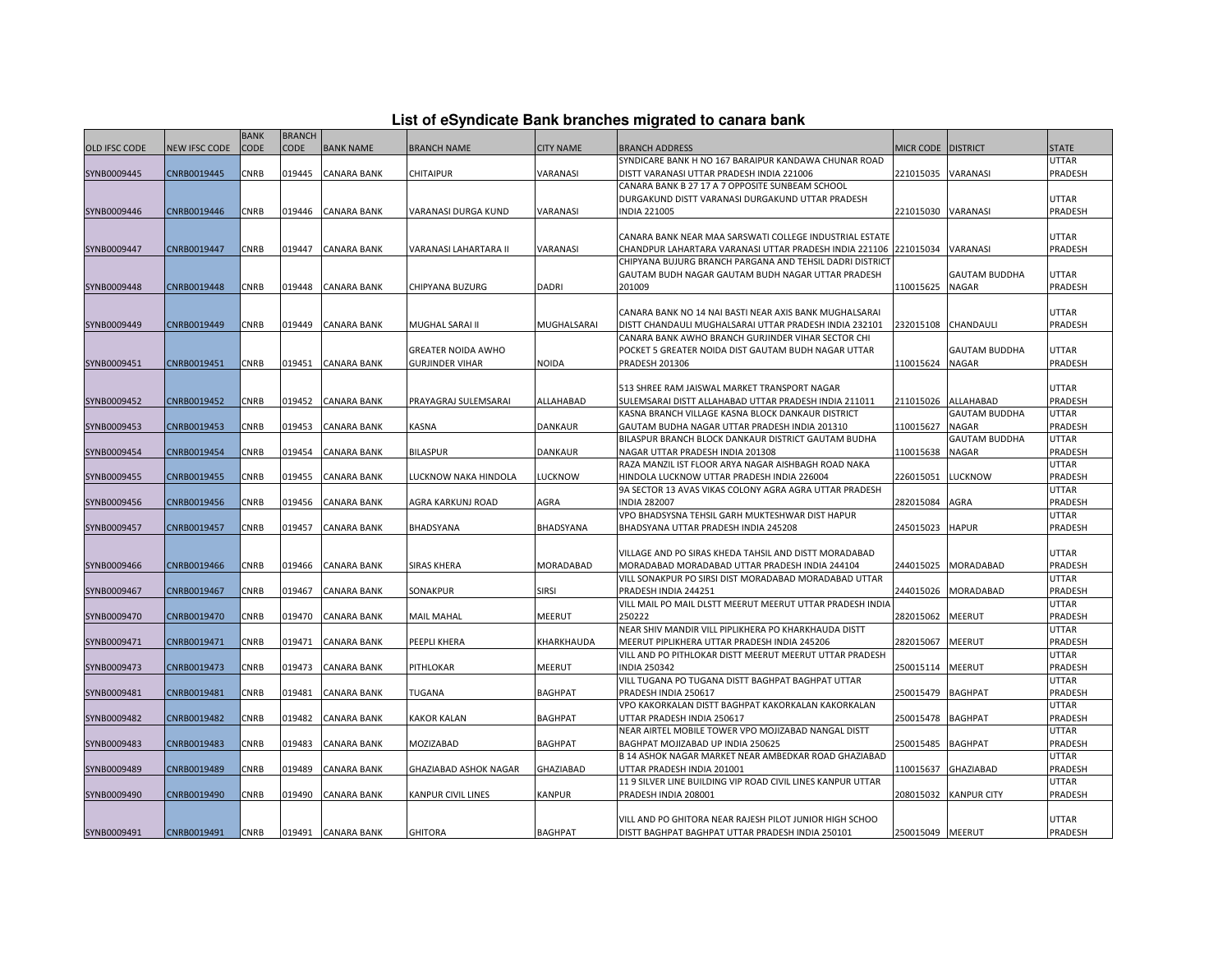| List of eSyndicate Bank branches migrated to canara bank |  |  |
|----------------------------------------------------------|--|--|
|                                                          |  |  |

|                      |               | <b>BANK</b> | <b>BRANCH</b> |                    |                       |                  |                                                                                                      |                      |                        |                  |
|----------------------|---------------|-------------|---------------|--------------------|-----------------------|------------------|------------------------------------------------------------------------------------------------------|----------------------|------------------------|------------------|
| <b>OLD IFSC CODE</b> | NEW IFSC CODE | CODE        | <b>CODE</b>   | <b>BANK NAME</b>   | <b>BRANCH NAME</b>    | <b>CITY NAME</b> | <b>BRANCH ADDRESS</b>                                                                                | MICR CODE   DISTRICT |                        | <b>STATE</b>     |
|                      |               |             |               |                    |                       |                  | SYNDICARE BANK H NO 167 BARAIPUR KANDAWA CHUNAR ROAD                                                 |                      |                        | UTTAR            |
| SYNB0009445          | CNRB0019445   | CNRB        | 019445        | <b>CANARA BANK</b> | CHITAIPUR             | VARANASI         | DISTT VARANASI UTTAR PRADESH INDIA 221006                                                            | 221015035            | VARANASI               | PRADESH          |
|                      |               |             |               |                    |                       |                  | CANARA BANK B 27 17 A 7 OPPOSITE SUNBEAM SCHOOL                                                      |                      |                        |                  |
|                      |               |             |               |                    |                       |                  | DURGAKUND DISTT VARANASI DURGAKUND UTTAR PRADESH                                                     |                      |                        | UTTAR            |
| SYNB0009446          | CNRB0019446   | CNRB        | 019446        | <b>CANARA BANK</b> | VARANASI DURGA KUND   | VARANASI         | <b>NDIA 221005</b>                                                                                   | 221015030            | VARANASI               | PRADESH          |
|                      |               |             |               |                    |                       |                  |                                                                                                      |                      |                        |                  |
|                      |               |             |               |                    |                       |                  | CANARA BANK NEAR MAA SARSWATI COLLEGE INDUSTRIAL ESTATE                                              |                      |                        | UTTAR            |
| SYNB0009447          | CNRB0019447   | CNRB        | 019447        | <b>CANARA BANK</b> | VARANASI LAHARTARA II | VARANASI         | CHANDPUR LAHARTARA VARANASI UTTAR PRADESH INDIA 221106 221015034                                     |                      | VARANASI               | PRADESH          |
|                      |               |             |               |                    |                       |                  | CHIPYANA BUJURG BRANCH PARGANA AND TEHSIL DADRI DISTRICT                                             |                      |                        |                  |
|                      |               |             |               |                    |                       |                  | GAUTAM BUDH NAGAR GAUTAM BUDH NAGAR UTTAR PRADESH                                                    |                      | GAUTAM BUDDHA          | UTTAR            |
| SYNB0009448          | CNRB0019448   | CNRB        | 019448        | <b>CANARA BANK</b> | CHIPYANA BUZURG       | DADRI            | 201009                                                                                               | 110015625            | <b>NAGAR</b>           | PRADESH          |
|                      |               |             |               |                    |                       |                  |                                                                                                      |                      |                        |                  |
|                      |               |             |               |                    |                       |                  | CANARA BANK NO 14 NAI BASTI NEAR AXIS BANK MUGHALSARAI                                               |                      |                        | UTTAR            |
| SYNB0009449          | CNRB0019449   | CNRB        | 019449        | <b>CANARA BANK</b> | MUGHAL SARAI II       | MUGHALSARAI      | DISTT CHANDAULI MUGHALSARAI UTTAR PRADESH INDIA 232101                                               | 232015108            | CHANDAULI              | PRADESH          |
|                      |               |             |               |                    |                       |                  | CANARA BANK AWHO BRANCH GURJINDER VIHAR SECTOR CHI                                                   |                      |                        |                  |
|                      |               |             |               |                    | GREATER NOIDA AWHO    |                  | POCKET 5 GREATER NOIDA DIST GAUTAM BUDH NAGAR UTTAR                                                  |                      | <b>GAUTAM BUDDHA</b>   | UTTAR            |
| SYNB0009451          | CNRB0019451   | CNRB        | 019451        | <b>CANARA BANK</b> | GURJINDER VIHAR       | <b>NOIDA</b>     | <b>PRADESH 201306</b>                                                                                | 110015624            | <b>NAGAR</b>           | PRADESH          |
|                      |               |             |               |                    |                       |                  |                                                                                                      |                      |                        |                  |
|                      |               |             |               |                    |                       |                  | 513 SHREE RAM JAISWAL MARKET TRANSPORT NAGAR                                                         |                      |                        | UTTAR            |
| SYNB0009452          | CNRB0019452   | CNRB        | 019452        | <b>CANARA BANK</b> | PRAYAGRAJ SULEMSARAI  | ALLAHABAD        | SULEMSARAI DISTT ALLAHABAD UTTAR PRADESH INDIA 211011                                                | 211015026            | ALLAHABAD              | PRADESH          |
|                      |               | CNRB        |               |                    |                       |                  | KASNA BRANCH VILLAGE KASNA BLOCK DANKAUR DISTRICT                                                    |                      | <b>GAUTAM BUDDHA</b>   | UTTAR            |
| SYNB0009453          | CNRB0019453   |             | 019453        | <b>CANARA BANK</b> | KASNA                 | <b>DANKAUR</b>   | GAUTAM BUDHA NAGAR UTTAR PRADESH INDIA 201310<br>BILASPUR BRANCH BLOCK DANKAUR DISTRICT GAUTAM BUDHA | 110015627            | NAGAR<br>GAUTAM BUDDHA | PRADESH<br>UTTAR |
| SYNB0009454          | CNRB0019454   | CNRB        | 019454        | <b>CANARA BANK</b> | <b>BILASPUR</b>       | DANKAUR          | NAGAR UTTAR PRADESH INDIA 201308                                                                     | 110015638            | NAGAR                  | PRADESH          |
|                      |               |             |               |                    |                       |                  | RAZA MANZIL IST FLOOR ARYA NAGAR AISHBAGH ROAD NAKA                                                  |                      |                        | <b>UTTAR</b>     |
| SYNB0009455          | CNRB0019455   | CNRB        | 019455        | <b>CANARA BANK</b> | LUCKNOW NAKA HINDOLA  | LUCKNOW          | HINDOLA LUCKNOW UTTAR PRADESH INDIA 226004                                                           | 226015051            | LUCKNOW                | PRADESH          |
|                      |               |             |               |                    |                       |                  | 9A SECTOR 13 AVAS VIKAS COLONY AGRA AGRA UTTAR PRADESH                                               |                      |                        | UTTAR            |
| SYNB0009456          | CNRB0019456   | CNRB        | 019456        | <b>CANARA BANK</b> | AGRA KARKUNJ ROAD     | AGRA             | <b>NDIA 282007</b>                                                                                   | 282015084            | AGRA                   | PRADESH          |
|                      |               |             |               |                    |                       |                  | VPO BHADSYSNA TEHSIL GARH MUKTESHWAR DIST HAPUR                                                      |                      |                        | UTTAR            |
| SYNB0009457          | CNRB0019457   | CNRB        | 019457        | <b>CANARA BANK</b> | BHADSYANA             | BHADSYANA        | BHADSYANA UTTAR PRADESH INDIA 245208                                                                 | 245015023            | <b>HAPUR</b>           | PRADESH          |
|                      |               |             |               |                    |                       |                  |                                                                                                      |                      |                        |                  |
|                      |               |             |               |                    |                       |                  | VILLAGE AND PO SIRAS KHEDA TAHSIL AND DISTT MORADABAD                                                |                      |                        | UTTAR            |
| SYNB0009466          | CNRB0019466   | CNRB        | 019466        | <b>CANARA BANK</b> | SIRAS KHERA           | MORADABAD        | MORADABAD MORADABAD UTTAR PRADESH INDIA 244104                                                       | 244015025            | MORADABAD              | PRADESH          |
|                      |               |             |               |                    |                       |                  | VILL SONAKPUR PO SIRSI DIST MORADABAD MORADABAD UTTAR                                                |                      |                        | UTTAR            |
| SYNB0009467          | CNRB0019467   | CNRB        | 019467        | <b>CANARA BANK</b> | SONAKPUR              | <b>SIRSI</b>     | PRADESH INDIA 244251                                                                                 | 244015026            | MORADABAD              | PRADESH          |
|                      |               |             |               |                    |                       |                  | VILL MAIL PO MAIL DLSTT MEERUT MEERUT UTTAR PRADESH INDIA                                            |                      |                        | UTTAR            |
| SYNB0009470          | CNRB0019470   | CNRB        | 019470        | <b>CANARA BANK</b> | MAIL MAHAL            | <b>MEERUT</b>    | 250222                                                                                               | 282015062            | MEERUT                 | PRADESH          |
|                      |               |             |               |                    |                       |                  | NEAR SHIV MANDIR VILL PIPLIKHERA PO KHARKHAUDA DISTT                                                 |                      |                        | UTTAR            |
| SYNB0009471          | CNRB0019471   | CNRB        | 019471        | <b>CANARA BANK</b> | PEEPLI KHERA          | KHARKHAUDA       | MEERUT PIPLIKHERA UTTAR PRADESH INDIA 245206                                                         | 282015067            | MEERUT                 | PRADESH          |
|                      |               |             |               |                    |                       |                  | VILL AND PO PITHLOKAR DISTT MEERUT MEERUT UTTAR PRADESH                                              |                      |                        | UTTAR            |
| SYNB0009473          | CNRB0019473   | CNRB        | 019473        | <b>CANARA BANK</b> | PITHLOKAR             | MEERUT           | <b>NDIA 250342</b>                                                                                   | 250015114            | MEERUT                 | PRADESH          |
|                      |               |             |               |                    |                       |                  | VILL TUGANA PO TUGANA DISTT BAGHPAT BAGHPAT UTTAR                                                    |                      |                        | UTTAR            |
| SYNB0009481          | CNRB0019481   | CNRB        | 019481        | <b>CANARA BANK</b> | TUGANA                | <b>BAGHPAT</b>   | PRADESH INDIA 250617                                                                                 | 250015479            | <b>BAGHPAT</b>         | PRADESH          |
|                      |               |             |               |                    |                       |                  | VPO KAKORKALAN DISTT BAGHPAT KAKORKALAN KAKORKALAN                                                   |                      |                        | UTTAR            |
| SYNB0009482          | CNRB0019482   | CNRB        | 019482        | <b>CANARA BANK</b> | KAKOR KALAN           | <b>BAGHPAT</b>   | UTTAR PRADESH INDIA 250617                                                                           | 250015478            | <b>BAGHPAT</b>         | PRADESH          |
|                      |               |             |               |                    |                       |                  | NEAR AIRTEL MOBILE TOWER VPO MOJIZABAD NANGAL DISTT                                                  |                      |                        | UTTAR            |
| SYNB0009483          | CNRB0019483   | CNRB        | 019483        | <b>CANARA BANK</b> | MOZIZABAD             | <b>BAGHPAT</b>   | BAGHPAT MOJIZABAD UP INDIA 250625                                                                    | 250015485            | <b>BAGHPAT</b>         | PRADESH          |
|                      |               |             |               |                    |                       |                  | B 14 ASHOK NAGAR MARKET NEAR AMBEDKAR ROAD GHAZIABAD                                                 |                      |                        | UTTAR            |
| SYNB0009489          | CNRB0019489   | CNRB        | 019489        | CANARA BANK        | GHAZIABAD ASHOK NAGAR | GHAZIABAD        | UTTAR PRADESH INDIA 201001                                                                           | 110015637            | GHAZIABAD              | PRADESH          |
|                      |               |             |               |                    |                       |                  | 11 9 SILVER LINE BUILDING VIP ROAD CIVIL LINES KANPUR UTTAR                                          |                      |                        | UTTAR            |
| SYNB0009490          | CNRB0019490   | CNRB        | 019490        | <b>CANARA BANK</b> | KANPUR CIVIL LINES    | <b>KANPUR</b>    | PRADESH INDIA 208001                                                                                 | 208015032            | <b>KANPUR CITY</b>     | PRADESH          |
|                      |               |             |               |                    |                       |                  |                                                                                                      |                      |                        |                  |
|                      |               |             |               |                    |                       |                  | VILL AND PO GHITORA NEAR RAJESH PILOT JUNIOR HIGH SCHOO                                              |                      |                        | UTTAR            |
| SYNB0009491          | CNRB0019491   | CNRB        |               | 019491 CANARA BANK | <b>GHITORA</b>        | <b>BAGHPAT</b>   | DISTT BAGHPAT BAGHPAT UTTAR PRADESH INDIA 250101                                                     | 250015049 MEERUT     |                        | PRADESH          |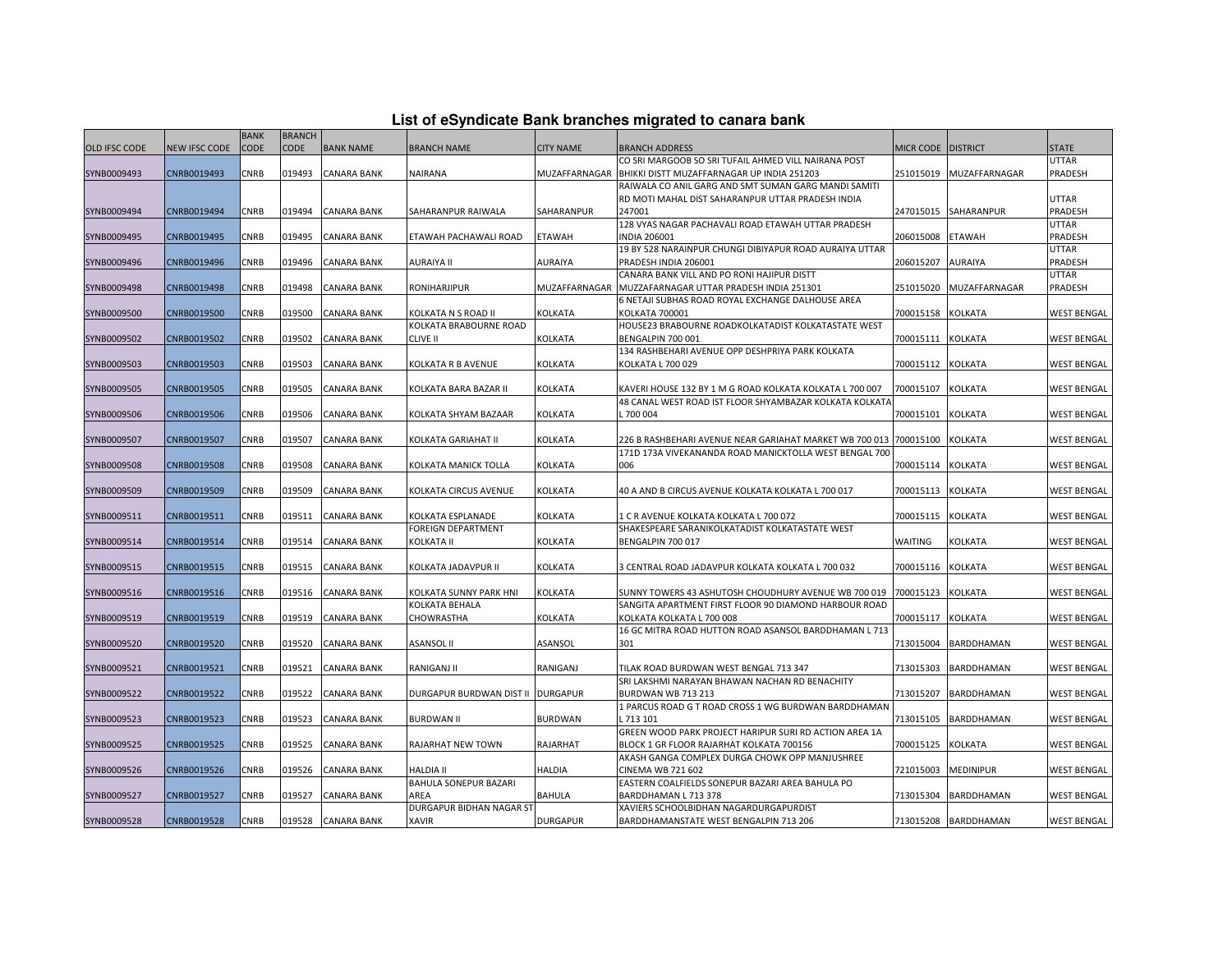| List of eSyndicate Bank branches migrated to canara bank |  |  |  |  |
|----------------------------------------------------------|--|--|--|--|
|----------------------------------------------------------|--|--|--|--|

|               |               | <b>BANK</b> | <b>BRANCH</b> |                    |                                   |                  |                                                                   |                      |                      |                    |
|---------------|---------------|-------------|---------------|--------------------|-----------------------------------|------------------|-------------------------------------------------------------------|----------------------|----------------------|--------------------|
| OLD IFSC CODE | NEW IFSC CODE | <b>CODE</b> | <b>CODE</b>   | <b>BANK NAME</b>   | <b>BRANCH NAME</b>                | <b>CITY NAME</b> | <b>BRANCH ADDRESS</b>                                             | MICR CODE   DISTRICT |                      | <b>STATE</b>       |
|               |               |             |               |                    |                                   |                  | CO SRI MARGOOB SO SRI TUFAIL AHMED VILL NAIRANA POST              |                      |                      | <b>UTTAR</b>       |
| SYNB0009493   | CNRB0019493   | CNRB        | 019493        | <b>CANARA BANK</b> | <b>NAIRANA</b>                    | MUZAFFARNAGAR    | BHIKKI DISTT MUZAFFARNAGAR UP INDIA 251203                        | 251015019            | MUZAFFARNAGAR        | PRADESH            |
|               |               |             |               |                    |                                   |                  | RAIWALA CO ANIL GARG AND SMT SUMAN GARG MANDI SAMITI              |                      |                      |                    |
|               |               |             |               |                    |                                   |                  | RD MOTI MAHAL DIST SAHARANPUR UTTAR PRADESH INDIA                 |                      |                      | <b>UTTAR</b>       |
| SYNB0009494   | CNRB0019494   | CNRB        | 019494        | <b>CANARA BANK</b> | SAHARANPUR RAIWALA                | SAHARANPUR       | 247001                                                            | 247015015            | SAHARANPUR           | <b>PRADESH</b>     |
|               |               |             |               |                    |                                   |                  | 128 VYAS NAGAR PACHAVALI ROAD ETAWAH UTTAR PRADESH                |                      |                      | <b>UTTAR</b>       |
| SYNB0009495   | CNRB0019495   | CNRB        | 019495        | CANARA BANK        | ETAWAH PACHAWALI ROAD             | <b>ETAWAH</b>    | <b>INDIA 206001</b>                                               | 206015008            | <b>ETAWAH</b>        | PRADESH            |
|               |               |             |               |                    |                                   |                  | 19 BY 528 NARAINPUR CHUNGI DIBIYAPUR ROAD AURAIYA UTTAR           |                      |                      | <b>UTTAR</b>       |
| SYNB0009496   | CNRB0019496   | <b>CNRB</b> | 019496        | CANARA BANK        | AURAIYA II                        | AURAIYA          | PRADESH INDIA 206001                                              | 206015207            | <b>AURAIYA</b>       | PRADESH            |
|               |               |             |               |                    |                                   |                  | CANARA BANK VILL AND PO RONI HAJIPUR DISTT                        |                      |                      | <b>UTTAR</b>       |
| SYNB0009498   | CNRB0019498   | CNRB        | 019498        | <b>CANARA BANK</b> | RONIHARJIPUR                      | MUZAFFARNAGAR    | MUZZAFARNAGAR UTTAR PRADESH INDIA 251301                          | 251015020            | MUZAFFARNAGAR        | PRADESH            |
|               |               |             |               |                    |                                   |                  | 6 NETAJI SUBHAS ROAD ROYAL EXCHANGE DALHOUSE AREA                 |                      |                      |                    |
| SYNB0009500   | CNRB0019500   | CNRB        | 019500        | CANARA BANK        | KOLKATA N S ROAD II               | KOLKATA          | KOLKATA 700001                                                    | 700015158            | <b>KOLKATA</b>       | <b>WEST BENGAL</b> |
|               |               |             |               |                    | KOLKATA BRABOURNE ROAD            |                  | HOUSE23 BRABOURNE ROADKOLKATADIST KOLKATASTATE WEST               |                      |                      |                    |
| SYNB0009502   | CNRB0019502   | CNRB        | 019502        | CANARA BANK        | <b>CLIVE II</b>                   | KOLKATA          | BENGALPIN 700 001                                                 | 700015111            | <b>KOLKATA</b>       | <b>WEST BENGAL</b> |
|               |               |             |               |                    |                                   |                  | 134 RASHBEHARI AVENUE OPP DESHPRIYA PARK KOLKATA                  |                      |                      |                    |
| SYNB0009503   | CNRB0019503   | CNRB        | 019503        | CANARA BANK        | KOLKATA R B AVENUE                | KOLKATA          | KOLKATA L 700 029                                                 | 700015112            | <b>KOLKATA</b>       | <b>WEST BENGAL</b> |
|               |               |             |               |                    |                                   |                  |                                                                   |                      |                      |                    |
| SYNB0009505   | CNRB0019505   | CNRB        | 019505        | CANARA BANK        | KOLKATA BARA BAZAR II             | KOLKATA          | KAVERI HOUSE 132 BY 1 M G ROAD KOLKATA KOLKATA L 700 007          | 700015107            | <b>KOLKATA</b>       | <b>WEST BENGAL</b> |
|               |               |             |               |                    |                                   |                  | 48 CANAL WEST ROAD IST FLOOR SHYAMBAZAR KOLKATA KOLKATA           |                      |                      |                    |
| SYNB0009506   | CNRB0019506   | CNRB        | 019506        | CANARA BANK        | KOLKATA SHYAM BAZAAR              | KOLKATA          | 5700 004                                                          | 700015101            | <b>KOLKATA</b>       | <b>WEST BENGAL</b> |
|               |               |             |               |                    |                                   |                  | 226 B RASHBEHARI AVENUE NEAR GARIAHAT MARKET WB 700 013 700015100 |                      |                      |                    |
| SYNB0009507   | CNRB0019507   | CNRB        | 019507        | CANARA BANK        | KOLKATA GARIAHAT II               | KOLKATA          | 171D 173A VIVEKANANDA ROAD MANICKTOLLA WEST BENGAL 700            |                      | <b>KOLKATA</b>       | <b>WEST BENGAL</b> |
| SYNB0009508   |               | CNRB        | 019508        | CANARA BANK        |                                   | KOLKATA          | 006                                                               | 700015114 KOLKATA    |                      | <b>WEST BENGAL</b> |
|               | CNRB0019508   |             |               |                    | KOLKATA MANICK TOLLA              |                  |                                                                   |                      |                      |                    |
| SYNB0009509   | CNRB0019509   | <b>CNRB</b> | 019509        | <b>CANARA BANK</b> | KOLKATA CIRCUS AVENUE             | <b>KOLKATA</b>   | 40 A AND B CIRCUS AVENUE KOLKATA KOLKATA L 700 017                | 700015113            | <b>KOLKATA</b>       | <b>WEST BENGAL</b> |
|               |               |             |               |                    |                                   |                  |                                                                   |                      |                      |                    |
| SYNB0009511   | CNRB0019511   | CNRB        | 019511        | <b>CANARA BANK</b> | KOLKATA ESPLANADE                 | KOLKATA          | 1 C R AVENUE KOLKATA KOLKATA L 700 072                            | 700015115            | <b>KOLKATA</b>       | <b>WEST BENGAL</b> |
|               |               |             |               |                    | <b>FOREIGN DEPARTMENT</b>         |                  | SHAKESPEARE SARANIKOLKATADIST KOLKATASTATE WEST                   |                      |                      |                    |
| SYNB0009514   | CNRB0019514   | CNRB        | 019514        | CANARA BANK        | <b>KOLKATA II</b>                 | KOLKATA          | BENGALPIN 700 017                                                 | WAITING              | KOLKATA              | WEST BENGAI        |
|               |               |             |               |                    |                                   |                  |                                                                   |                      |                      |                    |
| SYNB0009515   | CNRB0019515   | <b>CNRB</b> | 019515        | <b>CANARA BANK</b> | KOLKATA JADAVPUR II               | KOLKATA          | 3 CENTRAL ROAD JADAVPUR KOLKATA KOLKATA L 700 032                 | 700015116            | <b>KOLKATA</b>       | <b>WEST BENGAL</b> |
|               |               |             |               |                    |                                   |                  |                                                                   |                      |                      |                    |
| SYNB0009516   | CNRB0019516   | CNRB        | 019516        | <b>CANARA BANK</b> | KOLKATA SUNNY PARK HNI            | KOLKATA          | SUNNY TOWERS 43 ASHUTOSH CHOUDHURY AVENUE WB 700 019              | 700015123            | <b>KOLKATA</b>       | <b>WEST BENGAL</b> |
|               |               |             |               |                    | KOLKATA BEHALA                    |                  | SANGITA APARTMENT FIRST FLOOR 90 DIAMOND HARBOUR ROAD             |                      |                      |                    |
| SYNB0009519   | CNRB0019519   | CNRB        | 019519        | CANARA BANK        | CHOWRASTHA                        | KOLKATA          | KOLKATA KOLKATA L 700 008                                         | 700015117            | <b>KOLKATA</b>       | <b>WEST BENGAL</b> |
|               |               |             |               |                    |                                   |                  | 16 GC MITRA ROAD HUTTON ROAD ASANSOL BARDDHAMAN L 713             |                      |                      |                    |
| SYNB0009520   | CNRB0019520   | CNRB        | 019520        | <b>CANARA BANK</b> | <b>ASANSOL II</b>                 | ASANSOL          | 301                                                               | 713015004            | BARDDHAMAN           | <b>WEST BENGAL</b> |
|               |               |             |               |                    |                                   |                  |                                                                   |                      |                      |                    |
| SYNB0009521   | CNRB0019521   | CNRB        | 019521        | <b>CANARA BANK</b> | RANIGANJ II                       | RANIGANJ         | TILAK ROAD BURDWAN WEST BENGAL 713 347                            | 713015303            | BARDDHAMAN           | <b>WEST BENGAL</b> |
|               |               |             |               |                    |                                   |                  | SRI LAKSHMI NARAYAN BHAWAN NACHAN RD BENACHITY                    |                      |                      |                    |
| SYNB0009522   | CNRB0019522   | CNRB        | 019522        | <b>CANARA BANK</b> | DURGAPUR BURDWAN DIST II DURGAPUR |                  | BURDWAN WB 713 213                                                | 713015207            | BARDDHAMAN           | <b>WEST BENGAL</b> |
|               |               |             |               |                    |                                   |                  | 1 PARCUS ROAD G T ROAD CROSS 1 WG BURDWAN BARDDHAMAN              |                      |                      |                    |
| SYNB0009523   | CNRB0019523   | <b>CNRB</b> | 019523        | CANARA BANK        | <b>BURDWAN II</b>                 | <b>BURDWAN</b>   | 1713 101                                                          | 713015105            | BARDDHAMAN           | WEST BENGAI        |
|               |               |             |               |                    |                                   |                  | GREEN WOOD PARK PROJECT HARIPUR SURI RD ACTION AREA 1A            |                      |                      |                    |
| SYNB0009525   | CNRB0019525   | <b>CNRB</b> | 019525        | <b>CANARA BANK</b> | RAJARHAT NEW TOWN                 | RAJARHAT         | BLOCK 1 GR FLOOR RAJARHAT KOLKATA 700156                          | 700015125            | <b>KOLKATA</b>       | <b>WEST BENGAL</b> |
|               |               |             |               |                    |                                   |                  | AKASH GANGA COMPLEX DURGA CHOWK OPP MANJUSHREE                    |                      |                      |                    |
| SYNB0009526   | CNRB0019526   | CNRB        | 019526        | CANARA BANK        | <b>HALDIA II</b>                  | HALDIA           | CINEMA WB 721 602                                                 | 721015003            | <b>MEDINIPUR</b>     | <b>WEST BENGAL</b> |
|               |               | CNRB        | 019527        | <b>CANARA BANK</b> | BAHULA SONEPUR BAZARI             |                  | EASTERN COALFIELDS SONEPUR BAZARI AREA BAHULA PO                  |                      |                      |                    |
| SYNB0009527   | CNRB0019527   |             |               |                    | AREA<br>DURGAPUR BIDHAN NAGAR ST  | <b>BAHULA</b>    | BARDDHAMAN L 713 378<br>XAVIERS SCHOOLBIDHAN NAGARDURGAPURDIST    | 713015304            | BARDDHAMAN           | <b>WEST BENGAL</b> |
|               |               | CNRB        |               |                    |                                   |                  |                                                                   |                      |                      |                    |
| SYNB0009528   | CNRB0019528   |             | 019528        | <b>CANARA BANK</b> | XAVIR                             | <b>DURGAPUR</b>  | BARDDHAMANSTATE WEST BENGALPIN 713 206                            |                      | 713015208 BARDDHAMAN | <b>WEST BENGAL</b> |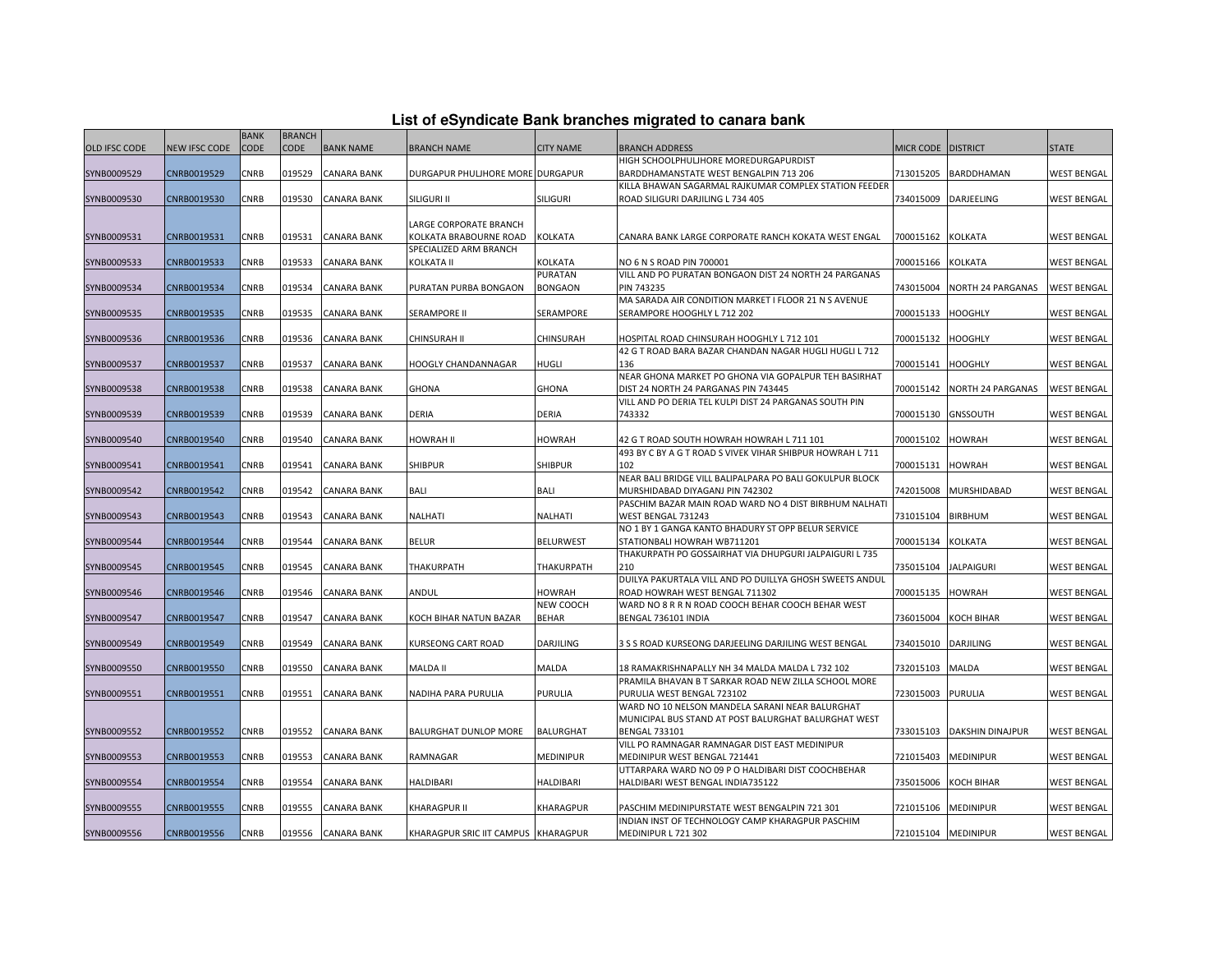|  |  | List of eSyndicate Bank branches migrated to canara bank |  |
|--|--|----------------------------------------------------------|--|
|--|--|----------------------------------------------------------|--|

|                      |                      | <b>BANK</b> | <b>BRANCH</b> |                    |                                     |                  |                                                                                         |                     |                          |                    |
|----------------------|----------------------|-------------|---------------|--------------------|-------------------------------------|------------------|-----------------------------------------------------------------------------------------|---------------------|--------------------------|--------------------|
| <b>OLD IFSC CODE</b> | <b>NEW IFSC CODE</b> | CODE        | <b>CODE</b>   | <b>BANK NAME</b>   | <b>BRANCH NAME</b>                  | <b>CITY NAME</b> | <b>BRANCH ADDRESS</b>                                                                   | <b>MICR CODE</b>    | <b>DISTRICT</b>          | <b>STATE</b>       |
|                      |                      |             |               |                    |                                     |                  | HIGH SCHOOLPHULJHORE MOREDURGAPURDIST                                                   |                     |                          |                    |
| SYNB0009529          | CNRB0019529          | <b>CNRB</b> | 019529        | <b>CANARA BANK</b> | DURGAPUR PHULJHORE MORE DURGAPUR    |                  | BARDDHAMANSTATE WEST BENGALPIN 713 206                                                  | 713015205           | BARDDHAMAN               | <b>WEST BENGAL</b> |
|                      |                      |             |               |                    |                                     |                  | KILLA BHAWAN SAGARMAL RAJKUMAR COMPLEX STATION FEEDER                                   |                     |                          |                    |
| SYNB0009530          | CNRB0019530          | CNRB        | 019530        | <b>CANARA BANK</b> | SILIGURI II                         | <b>SILIGURI</b>  | ROAD SILIGURI DARJILING L 734 405                                                       | 734015009           | DARJEELING               | <b>WEST BENGAL</b> |
|                      |                      |             |               |                    |                                     |                  |                                                                                         |                     |                          |                    |
|                      |                      |             |               |                    | LARGE CORPORATE BRANCH              |                  |                                                                                         |                     |                          |                    |
| SYNB0009531          | CNRB0019531          | CNRB        | 019531        | <b>CANARA BANK</b> | KOLKATA BRABOURNE ROAD              | KOLKATA          | CANARA BANK LARGE CORPORATE RANCH KOKATA WEST ENGAL                                     | 700015162           | KOLKATA                  | <b>WEST BENGAL</b> |
|                      |                      |             |               |                    | SPECIALIZED ARM BRANCH              |                  |                                                                                         |                     |                          |                    |
| SYNB0009533          | CNRB0019533          | CNRB        | 019533        | <b>CANARA BANK</b> | KOLKATA II                          | KOLKATA          | NO 6 N S ROAD PIN 700001                                                                | 700015166           | KOLKATA                  | <b>WEST BENGAL</b> |
|                      |                      |             |               |                    |                                     | PURATAN          | VILL AND PO PURATAN BONGAON DIST 24 NORTH 24 PARGANAS                                   |                     |                          |                    |
| SYNB0009534          | CNRB0019534          | CNRB        | 019534        | <b>CANARA BANK</b> | PURATAN PURBA BONGAON               | <b>BONGAON</b>   | PIN 743235                                                                              | 743015004           | NORTH 24 PARGANAS        | <b>WEST BENGAL</b> |
|                      |                      |             |               | <b>CANARA BANK</b> |                                     | SERAMPORE        | MA SARADA AIR CONDITION MARKET I FLOOR 21 N S AVENUE                                    |                     |                          |                    |
| SYNB0009535          | CNRB0019535          | CNRB        | 019535        |                    | <b>SERAMPORE II</b>                 |                  | SERAMPORE HOOGHLY L 712 202                                                             | 700015133           | <b>HOOGHLY</b>           | <b>WEST BENGAL</b> |
| SYNB0009536          | CNRB0019536          | CNRB        | 019536        | <b>CANARA BANK</b> | CHINSURAH II                        | CHINSURAH        | HOSPITAL ROAD CHINSURAH HOOGHLY L 712 101                                               | 700015132           | HOOGHLY                  | <b>WEST BENGAL</b> |
|                      |                      |             |               |                    |                                     |                  | 42 G T ROAD BARA BAZAR CHANDAN NAGAR HUGLI HUGLI L 712                                  |                     |                          |                    |
| SYNB0009537          | CNRB0019537          | CNRB        | 019537        | <b>CANARA BANK</b> | HOOGLY CHANDANNAGAR                 | <b>HUGLI</b>     | 136                                                                                     | 700015141           | <b>HOOGHLY</b>           | <b>WEST BENGAL</b> |
|                      |                      |             |               |                    |                                     |                  | NEAR GHONA MARKET PO GHONA VIA GOPALPUR TEH BASIRHAT                                    |                     |                          |                    |
| SYNB0009538          | CNRB0019538          | CNRB        | 019538        | <b>CANARA BANK</b> | <b>GHONA</b>                        | <b>GHONA</b>     | DIST 24 NORTH 24 PARGANAS PIN 743445                                                    | 700015142           | <b>NORTH 24 PARGANAS</b> | <b>WEST BENGAL</b> |
|                      |                      |             |               |                    |                                     |                  | VILL AND PO DERIA TEL KULPI DIST 24 PARGANAS SOUTH PIN                                  |                     |                          |                    |
| SYNB0009539          | CNRB0019539          | CNRB        | 019539        | CANARA BANK        | DERIA                               | DERIA            | 743332                                                                                  | 700015130           | GNSSOUTH                 | WEST BENGAL        |
|                      |                      |             |               |                    |                                     |                  |                                                                                         |                     |                          |                    |
| SYNB0009540          | CNRB0019540          | CNRB        | 019540        | <b>CANARA BANK</b> | HOWRAH II                           | <b>HOWRAH</b>    | 42 G T ROAD SOUTH HOWRAH HOWRAH L 711 101                                               | 700015102           | <b>HOWRAH</b>            | <b>WEST BENGAL</b> |
|                      |                      |             |               |                    |                                     |                  | 493 BY C BY A G T ROAD S VIVEK VIHAR SHIBPUR HOWRAH L 711                               |                     |                          |                    |
| SYNB0009541          | CNRB0019541          | CNRB        | 019541        | <b>CANARA BANK</b> | <b>SHIBPUR</b>                      | <b>SHIBPUR</b>   | 102                                                                                     | 700015131           | HOWRAH                   | <b>WEST BENGAL</b> |
|                      |                      |             |               |                    |                                     |                  | NEAR BALI BRIDGE VILL BALIPALPARA PO BALI GOKULPUR BLOCK                                |                     |                          |                    |
| SYNB0009542          | CNRB0019542          | CNRB        | 019542        | CANARA BANK        | BALI                                | BALI             | MURSHIDABAD DIYAGANJ PIN 742302                                                         | 742015008           | MURSHIDABAD              | WEST BENGAL        |
|                      |                      |             |               |                    |                                     |                  | PASCHIM BAZAR MAIN ROAD WARD NO 4 DIST BIRBHUM NALHATI                                  |                     |                          |                    |
| SYNB0009543          | CNRB0019543          | CNRB        | 019543        | <b>CANARA BANK</b> | NALHATI                             | NALHATI          | WEST BENGAL 731243                                                                      | 731015104           | <b>BIRBHUM</b>           | <b>WEST BENGAL</b> |
|                      |                      |             |               |                    |                                     |                  | NO 1 BY 1 GANGA KANTO BHADURY ST OPP BELUR SERVICE                                      |                     |                          |                    |
| SYNB0009544          | CNRB0019544          | CNRB        | 019544        | <b>CANARA BANK</b> | <b>BELUR</b>                        | <b>BELURWEST</b> | STATIONBALI HOWRAH WB711201<br>THAKURPATH PO GOSSAIRHAT VIA DHUPGURI JALPAIGURI L 735   | 700015134           | KOLKATA                  | <b>WEST BENGAL</b> |
| SYNB0009545          | CNRB0019545          | CNRB        | 019545        | <b>CANARA BANK</b> | THAKURPATH                          | THAKURPATH       | 210                                                                                     | 735015104           | <b>JALPAIGURI</b>        | <b>WEST BENGAL</b> |
|                      |                      |             |               |                    |                                     |                  | DUILYA PAKURTALA VILL AND PO DUILLYA GHOSH SWEETS ANDUL                                 |                     |                          |                    |
| SYNB0009546          | CNRB0019546          | CNRB        | 019546        | <b>CANARA BANK</b> | ANDUL                               | HOWRAH           | ROAD HOWRAH WEST BENGAL 711302                                                          | 700015135           | <b>HOWRAH</b>            | <b>WEST BENGAL</b> |
|                      |                      |             |               |                    |                                     | NEW COOCH        | WARD NO 8 R R N ROAD COOCH BEHAR COOCH BEHAR WEST                                       |                     |                          |                    |
| SYNB0009547          | CNRB0019547          | CNRB        | 019547        | <b>CANARA BANK</b> | KOCH BIHAR NATUN BAZAR              | <b>BEHAR</b>     | BENGAL 736101 INDIA                                                                     | 736015004           | KOCH BIHAR               | <b>WEST BENGAL</b> |
|                      |                      |             |               |                    |                                     |                  |                                                                                         |                     |                          |                    |
| SYNB0009549          | CNRB0019549          | CNRB        | 019549        | <b>CANARA BANK</b> | KURSEONG CART ROAD                  | DARJILING        | 3 S S ROAD KURSEONG DARJEELING DARJILING WEST BENGAL                                    | 734015010           | DARJILING                | WEST BENGAL        |
|                      |                      |             |               |                    |                                     |                  |                                                                                         |                     |                          |                    |
| SYNB0009550          | CNRB0019550          | CNRB        | 019550        | <b>CANARA BANK</b> | MALDA II                            | <b>MALDA</b>     | 18 RAMAKRISHNAPALLY NH 34 MALDA MALDA L 732 102                                         | 732015103           | MALDA                    | <b>WEST BENGAL</b> |
|                      |                      |             |               |                    |                                     |                  | PRAMILA BHAVAN B T SARKAR ROAD NEW ZILLA SCHOOL MORE                                    |                     |                          |                    |
| SYNB0009551          | CNRB0019551          | CNRB        | 019551        | <b>CANARA BANK</b> | NADIHA PARA PURULIA                 | <b>PURULIA</b>   | PURULIA WEST BENGAL 723102                                                              | 723015003           | PURULIA                  | <b>WEST BENGAL</b> |
|                      |                      |             |               |                    |                                     |                  | WARD NO 10 NELSON MANDELA SARANI NEAR BALURGHAT                                         |                     |                          |                    |
|                      |                      |             |               |                    |                                     |                  | MUNICIPAL BUS STAND AT POST BALURGHAT BALURGHAT WEST                                    |                     |                          |                    |
| SYNB0009552          | CNRB0019552          | CNRB        | 019552        | <b>CANARA BANK</b> | BALURGHAT DUNLOP MORE               | <b>BALURGHAT</b> | <b>BENGAL 733101</b>                                                                    | 733015103           | DAKSHIN DINAJPUR         | <b>WEST BENGAL</b> |
|                      |                      |             |               |                    |                                     |                  | VILL PO RAMNAGAR RAMNAGAR DIST EAST MEDINIPUR                                           |                     |                          |                    |
| SYNB0009553          | CNRB0019553          | CNRB        | 019553        | <b>CANARA BANK</b> | RAMNAGAR                            | MEDINIPUR        | MEDINIPUR WEST BENGAL 721441                                                            | 721015403           | MEDINIPUR                | <b>WEST BENGAL</b> |
| SYNB0009554          | CNRB0019554          | <b>CNRB</b> | 019554        | <b>CANARA BANK</b> | <b>HALDIBARI</b>                    | <b>HALDIBARI</b> | UTTARPARA WARD NO 09 P O HALDIBARI DIST COOCHBEHAR<br>HALDIBARI WEST BENGAL INDIA735122 | 735015006           | <b>KOCH BIHAR</b>        | <b>WEST BENGAL</b> |
|                      |                      |             |               |                    |                                     |                  |                                                                                         |                     |                          |                    |
| SYNB0009555          | CNRB0019555          | CNRB        | 019555        | <b>CANARA BANK</b> | KHARAGPUR II                        | KHARAGPUR        | PASCHIM MEDINIPURSTATE WEST BENGALPIN 721 301                                           | 721015106           | MEDINIPUR                | <b>WEST BENGAL</b> |
|                      |                      |             |               |                    |                                     |                  | INDIAN INST OF TECHNOLOGY CAMP KHARAGPUR PASCHIM                                        |                     |                          |                    |
| SYNB0009556          | CNRB0019556          | <b>CNRB</b> |               | 019556 CANARA BANK | KHARAGPUR SRIC IIT CAMPUS KHARAGPUR |                  | MEDINIPUR L 721 302                                                                     | 721015104 MEDINIPUR |                          | <b>WEST BENGAL</b> |
|                      |                      |             |               |                    |                                     |                  |                                                                                         |                     |                          |                    |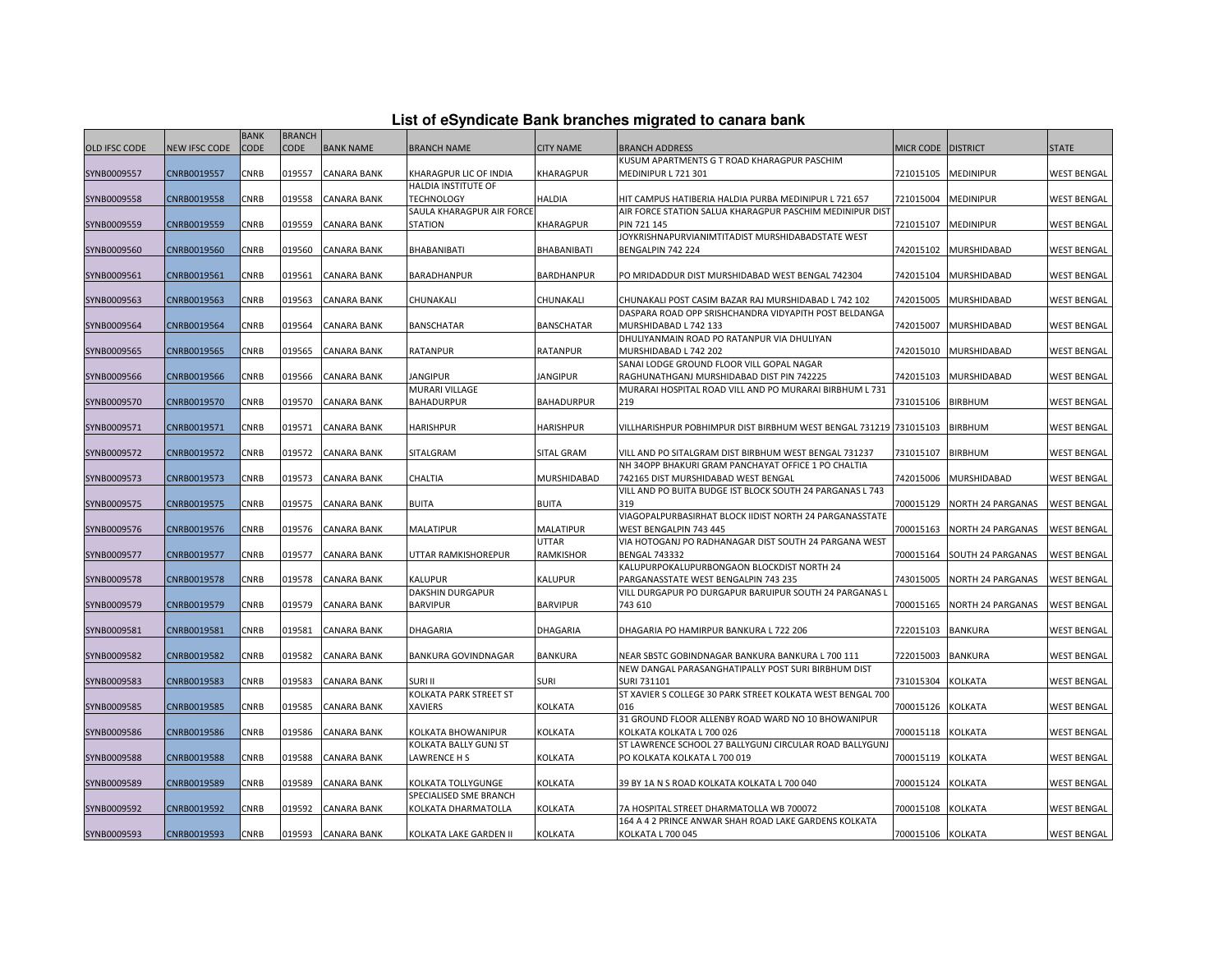| List of eSyndicate Bank branches migrated to canara bank |  |  |
|----------------------------------------------------------|--|--|
|                                                          |  |  |

|                      |                      | <b>BANK</b> | <b>BRANCH</b> |                    |                           |                    |                                                                   |                   |                   |                    |
|----------------------|----------------------|-------------|---------------|--------------------|---------------------------|--------------------|-------------------------------------------------------------------|-------------------|-------------------|--------------------|
| <b>OLD IFSC CODE</b> | <b>NEW IFSC CODE</b> | CODE        | <b>CODE</b>   | <b>BANK NAME</b>   | <b>BRANCH NAME</b>        | <b>CITY NAME</b>   | <b>BRANCH ADDRESS</b>                                             | <b>MICR CODE</b>  | <b>DISTRICT</b>   | <b>STATE</b>       |
|                      |                      |             |               |                    |                           |                    | KUSUM APARTMENTS G T ROAD KHARAGPUR PASCHIM                       |                   |                   |                    |
| SYNB0009557          | CNRB0019557          | CNRB        | 019557        | <b>CANARA BANK</b> | KHARAGPUR LIC OF INDIA    | <b>KHARAGPUR</b>   | MEDINIPUR L 721 301                                               | 721015105         | <b>MEDINIPUR</b>  | <b>WEST BENGAL</b> |
|                      |                      |             |               |                    | HALDIA INSTITUTE OF       |                    |                                                                   |                   |                   |                    |
| SYNB0009558          | CNRB0019558          | CNRB        | 019558        | <b>CANARA BANK</b> | <b>TECHNOLOGY</b>         | <b>HALDIA</b>      | HIT CAMPUS HATIBERIA HALDIA PURBA MEDINIPUR L 721 657             | 721015004         | MEDINIPUR         | <b>WEST BENGAL</b> |
|                      |                      |             |               |                    | SAULA KHARAGPUR AIR FORCE |                    | AIR FORCE STATION SALUA KHARAGPUR PASCHIM MEDINIPUR DIST          |                   |                   |                    |
| SYNB0009559          | CNRB0019559          | <b>CNRB</b> | 019559        | <b>CANARA BANK</b> | STATION                   | <b>KHARAGPUR</b>   | <b>PIN 721 145</b>                                                | 721015107         | MEDINIPUR         | WEST BENGAL        |
|                      |                      |             |               |                    |                           |                    | JOYKRISHNAPURVIANIMTITADIST MURSHIDABADSTATE WEST                 |                   |                   |                    |
| SYNB0009560          | CNRB0019560          | CNRB        | 019560        | <b>CANARA BANK</b> | BHABANIBATI               | BHABANIBATI        | BENGALPIN 742 224                                                 | 742015102         | MURSHIDABAD       | <b>WEST BENGAL</b> |
|                      |                      |             |               |                    |                           |                    |                                                                   |                   |                   |                    |
| SYNB0009561          | CNRB0019561          | <b>CNRB</b> | 019561        | <b>CANARA BANK</b> | <b>BARADHANPUR</b>        | <b>BARDHANPUR</b>  | PO MRIDADDUR DIST MURSHIDABAD WEST BENGAL 742304                  | 742015104         | MURSHIDABAD       | <b>WEST BENGAL</b> |
|                      |                      |             |               |                    |                           |                    |                                                                   |                   |                   |                    |
| SYNB0009563          | CNRB0019563          | <b>CNRB</b> | 019563        | CANARA BANK        | CHUNAKALI                 | CHUNAKALI          | CHUNAKALI POST CASIM BAZAR RAJ MURSHIDABAD L 742 102              | 742015005         | MURSHIDABAD       | WEST BENGAL        |
|                      |                      |             |               |                    |                           |                    | DASPARA ROAD OPP SRISHCHANDRA VIDYAPITH POST BELDANGA             |                   |                   |                    |
| SYNB0009564          | CNRB0019564          | <b>CNRB</b> | 019564        | <b>CANARA BANK</b> | <b>BANSCHATAR</b>         | <b>BANSCHATAR</b>  | MURSHIDABAD L 742 133                                             | 742015007         | MURSHIDABAD       | <b>WEST BENGAL</b> |
|                      |                      |             |               |                    |                           |                    | DHULIYANMAIN ROAD PO RATANPUR VIA DHULIYAN                        |                   |                   |                    |
| SYNB0009565          | CNRB0019565          | CNRB        | 019565        | <b>CANARA BANK</b> | RATANPUR                  | <b>RATANPUR</b>    | MURSHIDABAD L 742 202                                             | 742015010         | MURSHIDABAD       | <b>WEST BENGAL</b> |
|                      |                      |             |               |                    |                           |                    | SANAI LODGE GROUND FLOOR VILL GOPAL NAGAR                         |                   |                   |                    |
| SYNB0009566          | CNRB0019566          | <b>CNRB</b> | 019566        | <b>CANARA BANK</b> | JANGIPUR                  | <b>JANGIPUR</b>    | RAGHUNATHGANJ MURSHIDABAD DIST PIN 742225                         | 742015103         | MURSHIDABAD       | <b>WEST BENGAL</b> |
|                      |                      |             |               |                    | MURARI VILLAGE            |                    | MURARAI HOSPITAL ROAD VILL AND PO MURARAI BIRBHUM L 731           |                   |                   |                    |
| SYNB0009570          | CNRB0019570          | CNRB        | 019570        | <b>CANARA BANK</b> | <b>BAHADURPUR</b>         | <b>BAHADURPUR</b>  | 219                                                               | 731015106         | BIRBHUM           | <b>WEST BENGAL</b> |
|                      |                      |             |               |                    |                           |                    |                                                                   |                   |                   |                    |
| SYNB0009571          | CNRB0019571          | CNRB        | 019571        | <b>CANARA BANK</b> | <b>HARISHPUR</b>          | <b>HARISHPUR</b>   | VILLHARISHPUR POBHIMPUR DIST BIRBHUM WEST BENGAL 731219 731015103 |                   | <b>BIRBHUM</b>    | <b>WEST BENGAL</b> |
|                      |                      |             |               |                    |                           |                    |                                                                   |                   |                   |                    |
| SYNB0009572          | CNRB0019572          | <b>CNRB</b> | 019572        | <b>CANARA BANK</b> | SITALGRAM                 | SITAL GRAM         | VILL AND PO SITALGRAM DIST BIRBHUM WEST BENGAL 731237             | 731015107         | <b>BIRBHUM</b>    | <b>WEST BENGAL</b> |
|                      |                      |             |               |                    |                           |                    | NH 34OPP BHAKURI GRAM PANCHAYAT OFFICE 1 PO CHALTIA               |                   |                   |                    |
| SYNB0009573          | CNRB0019573          | CNRB        | 019573        | <b>CANARA BANK</b> | CHALTIA                   | <b>MURSHIDABAD</b> | 742165 DIST MURSHIDABAD WEST BENGAL                               | 742015006         | MURSHIDABAD       | <b>WEST BENGAL</b> |
|                      |                      |             |               |                    |                           |                    | VILL AND PO BUITA BUDGE IST BLOCK SOUTH 24 PARGANAS L 743         |                   |                   |                    |
| SYNB0009575          | CNRB0019575          | CNRB        | 019575        | <b>CANARA BANK</b> | <b>BUITA</b>              | <b>BUITA</b>       | 319                                                               | 700015129         | NORTH 24 PARGANAS | <b>WEST BENGAL</b> |
|                      |                      |             |               |                    |                           |                    | VIAGOPALPURBASIRHAT BLOCK IIDIST NORTH 24 PARGANASSTATE           |                   |                   |                    |
| SYNB0009576          | CNRB0019576          | <b>CNRB</b> | 019576        | <b>CANARA BANK</b> | MALATIPUR                 | <b>MALATIPUR</b>   | WEST BENGALPIN 743 445                                            | 700015163         | NORTH 24 PARGANAS | <b>WEST BENGAL</b> |
|                      |                      |             |               |                    |                           | <b>UTTAR</b>       | VIA HOTOGANJ PO RADHANAGAR DIST SOUTH 24 PARGANA WEST             |                   |                   |                    |
| SYNB0009577          | CNRB0019577          | <b>CNRB</b> | 019577        | <b>CANARA BANK</b> | UTTAR RAMKISHOREPUR       | <b>RAMKISHOR</b>   | <b>BENGAL 743332</b>                                              | 700015164         | SOUTH 24 PARGANAS | <b>WEST BENGAL</b> |
|                      |                      |             |               |                    |                           |                    | KALUPURPOKALUPURBONGAON BLOCKDIST NORTH 24                        |                   |                   |                    |
| SYNB0009578          | CNRB0019578          | CNRB        | 019578        | <b>CANARA BANK</b> | KALUPUR                   | <b>KALUPUR</b>     | PARGANASSTATE WEST BENGALPIN 743 235                              | 743015005         | NORTH 24 PARGANAS | <b>WEST BENGAL</b> |
|                      |                      |             |               |                    | DAKSHIN DURGAPUR          |                    | VILL DURGAPUR PO DURGAPUR BARUIPUR SOUTH 24 PARGANAS L            |                   |                   |                    |
| SYNB0009579          | CNRB0019579          | <b>CNRB</b> | 019579        | <b>CANARA BANK</b> | <b>BARVIPUR</b>           | <b>BARVIPUR</b>    | 743 610                                                           | 700015165         | NORTH 24 PARGANAS | <b>WEST BENGAL</b> |
|                      |                      |             |               |                    |                           |                    |                                                                   |                   |                   |                    |
| SYNB0009581          | CNRB0019581          | <b>CNRB</b> | 019581        | <b>CANARA BANK</b> | <b>DHAGARIA</b>           | <b>DHAGARIA</b>    | DHAGARIA PO HAMIRPUR BANKURA L 722 206                            | 722015103         | <b>BANKURA</b>    | <b>WEST BENGAL</b> |
|                      |                      |             |               |                    |                           |                    |                                                                   |                   |                   |                    |
| SYNB0009582          | CNRB0019582          | <b>CNRB</b> | 019582        | <b>CANARA BANK</b> | BANKURA GOVINDNAGAR       | <b>BANKURA</b>     | NEAR SBSTC GOBINDNAGAR BANKURA BANKURA L 700 111                  | 722015003         | <b>BANKURA</b>    | <b>WEST BENGAL</b> |
|                      |                      |             |               |                    |                           |                    | NEW DANGAL PARASANGHATIPALLY POST SURI BIRBHUM DIST               |                   |                   |                    |
| SYNB0009583          | CNRB0019583          | <b>CNRB</b> | 019583        | CANARA BANK        | SURI II                   | <b>SURI</b>        | SURI 731101                                                       | 731015304         | KOLKATA           | WEST BENGAL        |
|                      |                      |             |               |                    | KOLKATA PARK STREET ST    |                    | ST XAVIER S COLLEGE 30 PARK STREET KOLKATA WEST BENGAL 700        |                   |                   |                    |
| SYNB0009585          | CNRB0019585          | CNRB        | 019585        | <b>CANARA BANK</b> | <b>XAVIERS</b>            | KOLKATA            | 016                                                               | 700015126         | KOLKATA           | <b>WEST BENGAL</b> |
|                      |                      |             |               |                    |                           |                    | 31 GROUND FLOOR ALLENBY ROAD WARD NO 10 BHOWANIPUR                |                   |                   |                    |
| SYNB0009586          | CNRB0019586          | CNRB        | 019586        | <b>CANARA BANK</b> | KOLKATA BHOWANIPUR        | <b>KOLKATA</b>     | KOLKATA KOLKATA L 700 026                                         | 700015118         | KOLKATA           | <b>WEST BENGAL</b> |
|                      |                      |             |               |                    | KOLKATA BALLY GUNJ ST     |                    | ST LAWRENCE SCHOOL 27 BALLYGUNJ CIRCULAR ROAD BALLYGUN.           |                   |                   |                    |
| SYNB0009588          | CNRB0019588          | CNRB        | 019588        | <b>CANARA BANK</b> | LAWRENCE H S              | <b>KOLKATA</b>     | PO KOLKATA KOLKATA L 700 019                                      | 700015119         | KOLKATA           | <b>WEST BENGAL</b> |
|                      |                      |             |               |                    |                           |                    |                                                                   |                   |                   |                    |
| SYNB0009589          | CNRB0019589          | CNRB        | 019589        | <b>CANARA BANK</b> | KOLKATA TOLLYGUNGE        | KOLKATA            | 39 BY 1A N S ROAD KOLKATA KOLKATA L 700 040                       | 700015124         | KOLKATA           | <b>WEST BENGAL</b> |
|                      |                      |             |               |                    | SPECIALISED SME BRANCH    |                    |                                                                   |                   |                   |                    |
| SYNB0009592          | CNRB0019592          | CNRB        | 019592        | <b>CANARA BANK</b> | KOLKATA DHARMATOLLA       | <b>KOLKATA</b>     | 7A HOSPITAL STREET DHARMATOLLA WB 700072                          | 700015108         | KOLKATA           | <b>WEST BENGAL</b> |
|                      |                      |             |               |                    |                           |                    | 164 A 4 2 PRINCE ANWAR SHAH ROAD LAKE GARDENS KOLKATA             |                   |                   |                    |
| SYNB0009593          | CNRB0019593          | CNRB        | 019593        | <b>CANARA BANK</b> | KOLKATA LAKE GARDEN II    | <b>KOLKATA</b>     | KOLKATA L 700 045                                                 | 700015106 KOLKATA |                   | <b>WEST BENGAL</b> |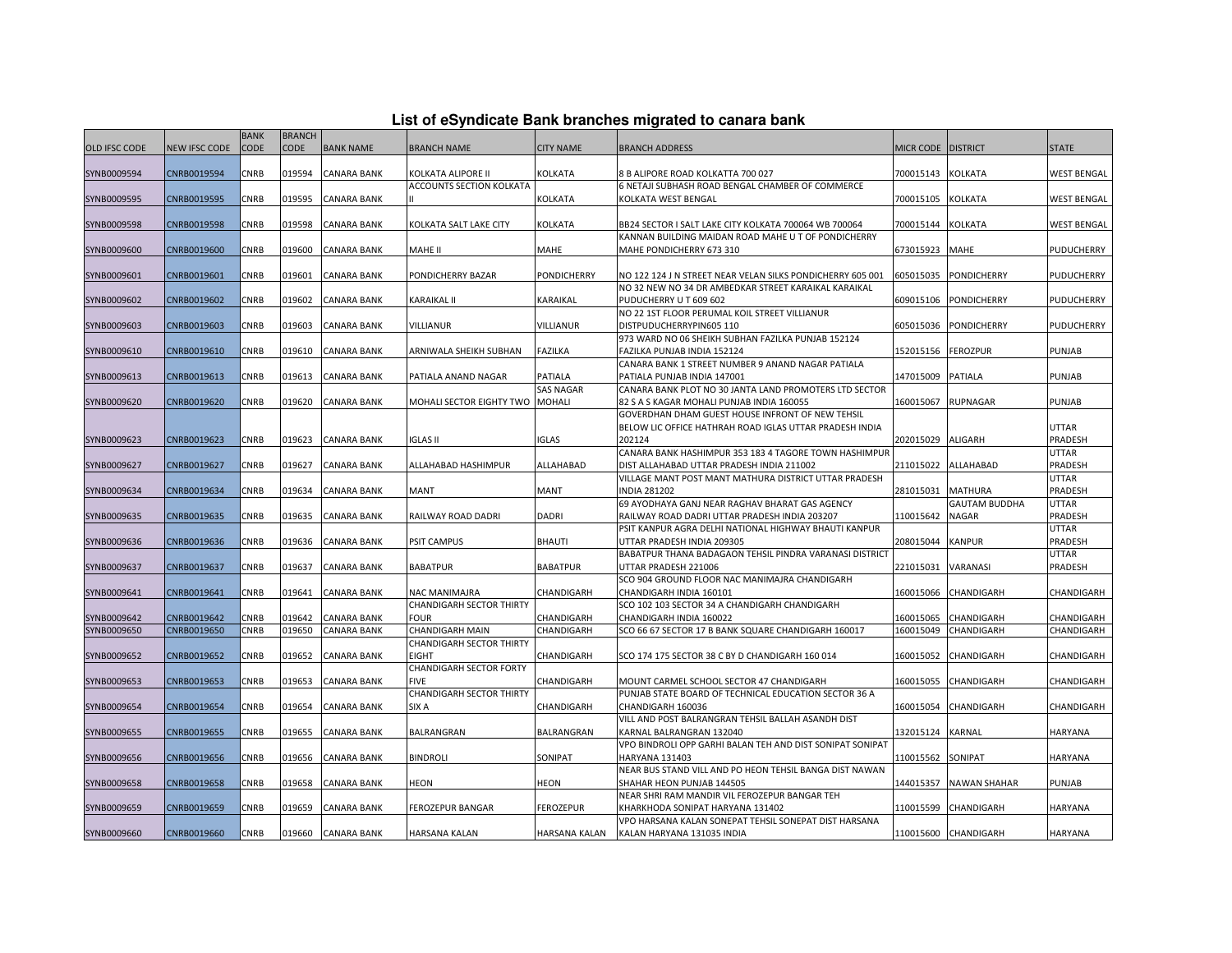| List of eSyndicate Bank branches migrated to canara bank |  |  |  |  |  |  |  |
|----------------------------------------------------------|--|--|--|--|--|--|--|
|----------------------------------------------------------|--|--|--|--|--|--|--|

|                      |                      | <b>BANK</b> | <b>BRANCH</b> |                    |                                 |                    |                                                                             |           |                                        |                    |
|----------------------|----------------------|-------------|---------------|--------------------|---------------------------------|--------------------|-----------------------------------------------------------------------------|-----------|----------------------------------------|--------------------|
| <b>OLD IFSC CODE</b> | <b>NEW IFSC CODE</b> | CODE        | <b>CODE</b>   | <b>BANK NAME</b>   | <b>BRANCH NAME</b>              | <b>CITY NAME</b>   | <b>BRANCH ADDRESS</b>                                                       | MICR CODE | <b>DISTRICT</b>                        | <b>STATE</b>       |
| SYNB0009594          | CNRB0019594          | CNRB        | 019594        | <b>CANARA BANK</b> | KOLKATA ALIPORE II              | KOLKATA            | 8 B ALIPORE ROAD KOLKATTA 700 027                                           | 700015143 | KOLKATA                                | WEST BENGAL        |
|                      |                      |             |               |                    |                                 |                    |                                                                             |           |                                        |                    |
|                      |                      |             |               |                    | ACCOUNTS SECTION KOLKATA        |                    | 6 NETAJI SUBHASH ROAD BENGAL CHAMBER OF COMMERCE                            |           |                                        |                    |
| SYNB0009595          | CNRB0019595          | <b>CNRB</b> | 019595        | <b>CANARA BANK</b> |                                 | KOLKATA            | KOLKATA WEST BENGAL                                                         | 700015105 | KOLKATA                                | <b>WEST BENGAL</b> |
| SYNB0009598          | CNRB0019598          | CNRB        | 019598        | <b>CANARA BANK</b> | KOLKATA SALT LAKE CITY          | <b>KOLKATA</b>     | BB24 SECTOR I SALT LAKE CITY KOLKATA 700064 WB 700064                       | 700015144 | KOLKATA                                | <b>WEST BENGAL</b> |
|                      |                      |             |               |                    |                                 |                    | KANNAN BUILDING MAIDAN ROAD MAHE U T OF PONDICHERRY                         |           |                                        |                    |
| SYNB0009600          | CNRB0019600          | CNRB        | 019600        | <b>CANARA BANK</b> | MAHE II                         | MAHE               | MAHE PONDICHERRY 673 310                                                    | 673015923 | MAHE                                   | PUDUCHERRY         |
|                      |                      |             |               |                    |                                 |                    |                                                                             |           |                                        |                    |
| SYNB0009601          | CNRB0019601          | CNRB        | 019601        | <b>CANARA BANK</b> | PONDICHERRY BAZAR               | <b>PONDICHERRY</b> | NO 122 124 J N STREET NEAR VELAN SILKS PONDICHERRY 605 001                  | 605015035 | PONDICHERRY                            | PUDUCHERRY         |
|                      |                      |             |               |                    |                                 |                    | NO 32 NEW NO 34 DR AMBEDKAR STREET KARAIKAL KARAIKAL                        |           |                                        |                    |
| SYNB0009602          | CNRB0019602          | CNRB        | 019602        | <b>CANARA BANK</b> | KARAIKAL II                     | KARAIKAL           | PUDUCHERRY U T 609 602                                                      | 609015106 | PONDICHERRY                            | PUDUCHERRY         |
|                      |                      |             |               |                    |                                 |                    | NO 22 1ST FLOOR PERUMAL KOIL STREET VILLIANUR                               |           |                                        |                    |
| SYNB0009603          | CNRB0019603          | <b>CNRB</b> | 019603        | <b>CANARA BANK</b> | VILLIANUR                       | <b>VILLIANUR</b>   | DISTPUDUCHERRYPIN605 110                                                    | 605015036 | PONDICHERRY                            | PUDUCHERRY         |
|                      |                      |             |               |                    |                                 |                    | 973 WARD NO 06 SHEIKH SUBHAN FAZILKA PUNJAB 152124                          |           |                                        |                    |
| SYNB0009610          | CNRB0019610          | CNRB        | 019610        | CANARA BANK        | ARNIWALA SHEIKH SUBHAN          | <b>FAZILKA</b>     | FAZILKA PUNJAB INDIA 152124                                                 | 152015156 | <b>FEROZPUR</b>                        | PUNJAB             |
|                      |                      |             |               |                    |                                 |                    | CANARA BANK 1 STREET NUMBER 9 ANAND NAGAR PATIALA                           |           |                                        |                    |
| SYNB0009613          | CNRB0019613          | CNRB        | 019613        | <b>CANARA BANK</b> | PATIALA ANAND NAGAR             | PATIALA            | PATIALA PUNJAB INDIA 147001                                                 | 147015009 | PATIALA                                | PUNJAB             |
|                      |                      |             |               |                    |                                 | <b>SAS NAGAR</b>   | CANARA BANK PLOT NO 30 JANTA LAND PROMOTERS LTD SECTOR                      |           |                                        |                    |
| SYNB0009620          | CNRB0019620          | CNRB        | 019620        | <b>CANARA BANK</b> | MOHALI SECTOR EIGHTY TWO MOHALI |                    | 82 S A S KAGAR MOHALI PUNJAB INDIA 160055                                   | 160015067 | RUPNAGAR                               | <b>PUNJAB</b>      |
|                      |                      |             |               |                    |                                 |                    | GOVERDHAN DHAM GUEST HOUSE INFRONT OF NEW TEHSIL                            |           |                                        |                    |
|                      |                      |             |               |                    |                                 |                    | BELOW LIC OFFICE HATHRAH ROAD IGLAS UTTAR PRADESH INDIA                     |           |                                        | UTTAR              |
| SYNB0009623          | CNRB0019623          | <b>CNRB</b> | 019623        | <b>CANARA BANK</b> | <b>IGLAS II</b>                 | <b>IGLAS</b>       | 202124                                                                      | 202015029 | ALIGARH                                | PRADESH            |
|                      |                      |             |               |                    |                                 |                    | CANARA BANK HASHIMPUR 353 183 4 TAGORE TOWN HASHIMPUR                       |           |                                        | UTTAR              |
| SYNB0009627          | CNRB0019627          | <b>CNRB</b> | 019627        | CANARA BANK        | ALLAHABAD HASHIMPUR             | ALLAHABAD          | DIST ALLAHABAD UTTAR PRADESH INDIA 211002                                   | 211015022 | ALLAHABAD                              | PRADESH            |
|                      |                      |             |               |                    |                                 |                    | VILLAGE MANT POST MANT MATHURA DISTRICT UTTAR PRADESH                       |           |                                        | UTTAR              |
| SYNB0009634          | CNRB0019634          | <b>CNRB</b> | 019634        | CANARA BANK        | MANT                            | <b>MANT</b>        | <b>INDIA 281202</b><br>69 AYODHAYA GANJ NEAR RAGHAV BHARAT GAS AGENCY       | 281015031 | <b>MATHURA</b><br><b>GAUTAM BUDDHA</b> | PRADESH<br>UTTAR   |
| SYNB0009635          | CNRB0019635          | <b>CNRB</b> | 019635        | CANARA BANK        | RAILWAY ROAD DADRI              | <b>DADRI</b>       | RAILWAY ROAD DADRI UTTAR PRADESH INDIA 203207                               | 110015642 | NAGAR                                  | PRADESH            |
|                      |                      |             |               |                    |                                 |                    | PSIT KANPUR AGRA DELHI NATIONAL HIGHWAY BHAUTI KANPUR                       |           |                                        | UTTAR              |
| SYNB0009636          | CNRB0019636          | <b>CNRB</b> | 019636        | <b>CANARA BANK</b> | PSIT CAMPUS                     | <b>BHAUTI</b>      | UTTAR PRADESH INDIA 209305                                                  | 208015044 | KANPUR                                 | PRADESH            |
|                      |                      |             |               |                    |                                 |                    | BABATPUR THANA BADAGAON TEHSIL PINDRA VARANASI DISTRICT                     |           |                                        | UTTAR              |
| SYNB0009637          | CNRB0019637          | <b>CNRB</b> | 019637        | CANARA BANK        | <b>BABATPUR</b>                 | <b>BABATPUR</b>    | UTTAR PRADESH 221006                                                        | 221015031 | VARANASI                               | PRADESH            |
|                      |                      |             |               |                    |                                 |                    | SCO 904 GROUND FLOOR NAC MANIMAJRA CHANDIGARH                               |           |                                        |                    |
| SYNB0009641          | CNRB0019641          | CNRB        | 019641        | <b>CANARA BANK</b> | NAC MANIMAJRA                   | CHANDIGARH         | CHANDIGARH INDIA 160101                                                     | 160015066 | CHANDIGARH                             | CHANDIGARH         |
|                      |                      |             |               |                    | <b>CHANDIGARH SECTOR THIRTY</b> |                    | SCO 102 103 SECTOR 34 A CHANDIGARH CHANDIGARH                               |           |                                        |                    |
| SYNB0009642          | CNRB0019642          | <b>CNRB</b> | 019642        | <b>CANARA BANK</b> | <b>FOUR</b>                     | CHANDIGARH         | CHANDIGARH INDIA 160022                                                     | 160015065 | CHANDIGARH                             | CHANDIGARH         |
| SYNB0009650          | CNRB0019650          | <b>CNRB</b> | 019650        | <b>CANARA BANK</b> | <b>CHANDIGARH MAIN</b>          | CHANDIGARH         | SCO 66 67 SECTOR 17 B BANK SQUARE CHANDIGARH 160017                         | 160015049 | CHANDIGARH                             | CHANDIGARH         |
|                      |                      |             |               |                    | <b>CHANDIGARH SECTOR THIRTY</b> |                    |                                                                             |           |                                        |                    |
| SYNB0009652          | CNRB0019652          | CNRB        | 019652        | <b>CANARA BANK</b> | <b>EIGHT</b>                    | CHANDIGARH         | SCO 174 175 SECTOR 38 C BY D CHANDIGARH 160 014                             | 160015052 | CHANDIGARH                             | CHANDIGARH         |
|                      |                      |             |               |                    | CHANDIGARH SECTOR FORTY         |                    |                                                                             |           |                                        |                    |
| SYNB0009653          | CNRB0019653          | <b>CNRB</b> | 019653        | <b>CANARA BANK</b> | <b>FIVE</b>                     | CHANDIGARH         | MOUNT CARMEL SCHOOL SECTOR 47 CHANDIGARH                                    | 160015055 | CHANDIGARH                             | CHANDIGARH         |
|                      |                      |             |               |                    | <b>CHANDIGARH SECTOR THIRTY</b> |                    | PUNJAB STATE BOARD OF TECHNICAL EDUCATION SECTOR 36 A                       |           |                                        |                    |
| SYNB0009654          | CNRB0019654          | CNRB        | 019654        | <b>CANARA BANK</b> | SIX A                           | CHANDIGARH         | CHANDIGARH 160036                                                           | 160015054 | CHANDIGARH                             | CHANDIGARH         |
|                      |                      |             |               |                    |                                 |                    | VILL AND POST BALRANGRAN TEHSIL BALLAH ASANDH DIST                          |           |                                        |                    |
| SYNB0009655          | CNRB0019655          | <b>CNRB</b> | 019655        | <b>CANARA BANK</b> | BALRANGRAN                      | <b>BALRANGRAN</b>  | KARNAL BALRANGRAN 132040                                                    | 132015124 | KARNAL                                 | HARYANA            |
| SYNB0009656          | CNRB0019656          | <b>CNRB</b> | 019656        | CANARA BANK        | <b>BINDROLI</b>                 | SONIPAT            | VPO BINDROLI OPP GARHI BALAN TEH AND DIST SONIPAT SONIPAT<br>HARYANA 131403 | 110015562 | SONIPAT                                | HARYANA            |
|                      |                      |             |               |                    |                                 |                    | NEAR BUS STAND VILL AND PO HEON TEHSIL BANGA DIST NAWAN                     |           |                                        |                    |
| SYNB0009658          | CNRB0019658          | CNRB        | 019658        | <b>CANARA BANK</b> | HEON                            | <b>HEON</b>        | SHAHAR HEON PUNJAB 144505                                                   | 144015357 | <b>NAWAN SHAHAR</b>                    | PUNJAB             |
|                      |                      |             |               |                    |                                 |                    | NEAR SHRI RAM MANDIR VIL FEROZEPUR BANGAR TEH                               |           |                                        |                    |
| SYNB0009659          | CNRB0019659          | CNRB        | 019659        | CANARA BANK        | <b>FEROZEPUR BANGAR</b>         | <b>FEROZEPUR</b>   | KHARKHODA SONIPAT HARYANA 131402                                            | 110015599 | CHANDIGARH                             | HARYANA            |
|                      |                      |             |               |                    |                                 |                    | VPO HARSANA KALAN SONEPAT TEHSIL SONEPAT DIST HARSANA                       |           |                                        |                    |
| SYNB0009660          | CNRB0019660          | CNRB        | 019660        | <b>CANARA BANK</b> | HARSANA KALAN                   | HARSANA KALAN      | KALAN HARYANA 131035 INDIA                                                  |           | 110015600 CHANDIGARH                   | HARYANA            |
|                      |                      |             |               |                    |                                 |                    |                                                                             |           |                                        |                    |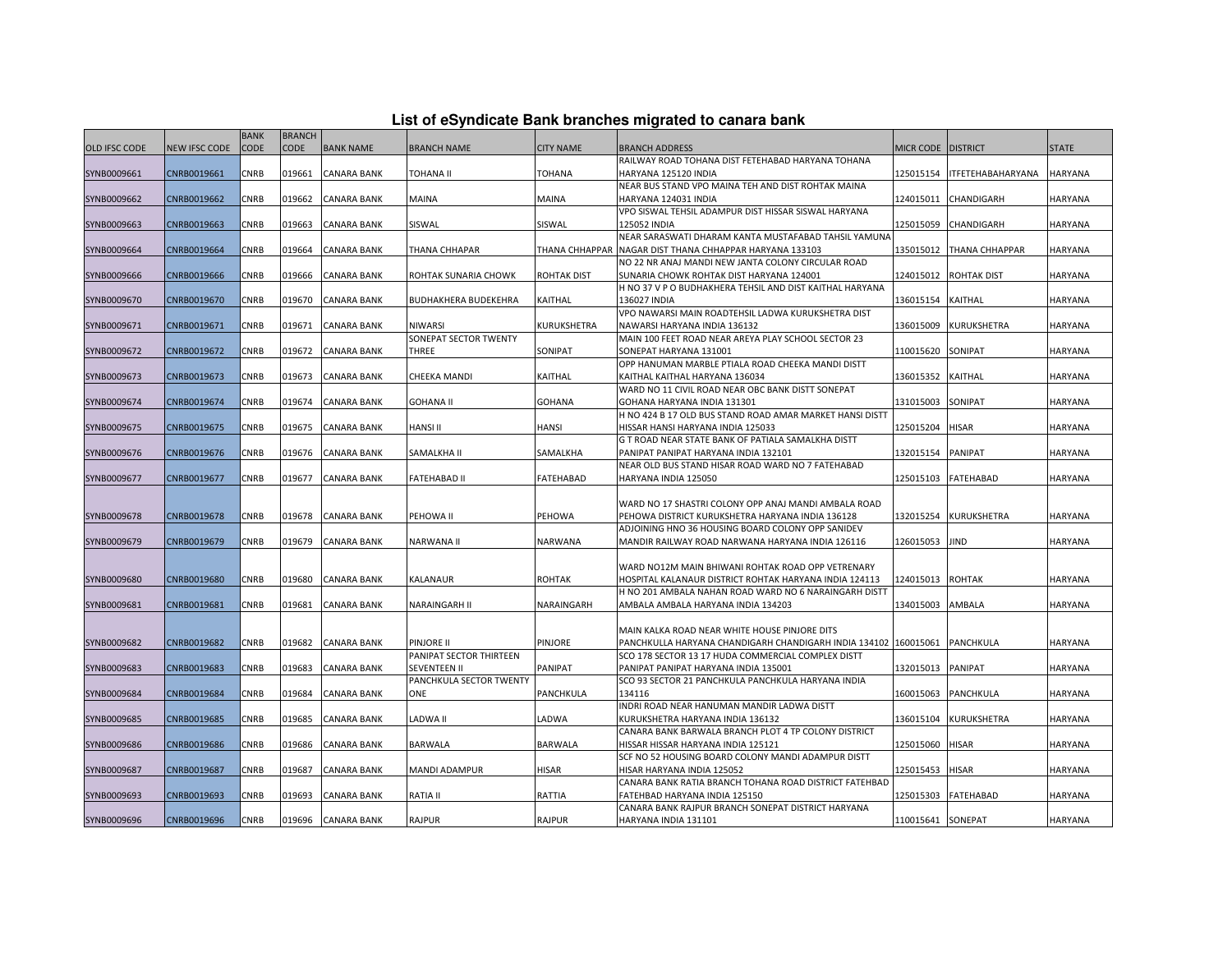| List of eSyndicate Bank branches migrated to canara bank |  |  |  |
|----------------------------------------------------------|--|--|--|
|----------------------------------------------------------|--|--|--|

|                      |               | <b>BANK</b> | <b>BRANCH</b> |                    |                             |                    |                                                                                    |                    |                          |                |
|----------------------|---------------|-------------|---------------|--------------------|-----------------------------|--------------------|------------------------------------------------------------------------------------|--------------------|--------------------------|----------------|
| <b>OLD IFSC CODE</b> | NEW IFSC CODE | <b>CODE</b> | <b>CODE</b>   | <b>BANK NAME</b>   | <b>BRANCH NAME</b>          | <b>CITY NAME</b>   | <b>BRANCH ADDRESS</b>                                                              | MICR CODE DISTRICT |                          | <b>STATE</b>   |
|                      |               |             |               |                    |                             |                    | RAILWAY ROAD TOHANA DIST FETEHABAD HARYANA TOHANA                                  |                    |                          |                |
| SYNB0009661          | CNRB0019661   | CNRB        | 019661        | <b>CANARA BANK</b> | TOHANA II                   | TOHANA             | HARYANA 125120 INDIA                                                               | 125015154          | <b>ITFETEHABAHARYANA</b> | <b>HARYANA</b> |
|                      |               |             |               |                    |                             |                    | NEAR BUS STAND VPO MAINA TEH AND DIST ROHTAK MAINA                                 |                    |                          |                |
| SYNB0009662          | CNRB0019662   | CNRB        | 019662        | <b>CANARA BANK</b> | <b>MAINA</b>                | MAINA              | HARYANA 124031 INDIA                                                               | 124015011          | CHANDIGARH               | <b>HARYANA</b> |
|                      |               |             |               |                    |                             |                    | VPO SISWAL TEHSIL ADAMPUR DIST HISSAR SISWAL HARYANA                               |                    |                          |                |
| SYNB0009663          | CNRB0019663   | <b>CNRB</b> | 019663        | <b>CANARA BANK</b> | SISWAL                      | SISWAL             | 125052 INDIA                                                                       | 125015059          | CHANDIGARH               | <b>HARYANA</b> |
|                      |               |             |               |                    |                             |                    | NEAR SARASWATI DHARAM KANTA MUSTAFABAD TAHSIL YAMUNA                               |                    |                          |                |
| SYNB0009664          | CNRB0019664   | CNRB        | 019664        | <b>CANARA BANK</b> | THANA CHHAPAR               | THANA CHHAPPAR     | NAGAR DIST THANA CHHAPPAR HARYANA 133103                                           | 135015012          | THANA CHHAPPAR           | <b>HARYANA</b> |
|                      |               |             |               |                    |                             |                    | NO 22 NR ANAJ MANDI NEW JANTA COLONY CIRCULAR ROAD                                 |                    |                          |                |
| SYNB0009666          | CNRB0019666   | CNRB        | 019666        | <b>CANARA BANK</b> | ROHTAK SUNARIA CHOWK        | <b>ROHTAK DIST</b> | SUNARIA CHOWK ROHTAK DIST HARYANA 124001                                           | 124015012          | <b>ROHTAK DIST</b>       | <b>HARYANA</b> |
|                      |               |             |               |                    |                             |                    | H NO 37 V P O BUDHAKHERA TEHSIL AND DIST KAITHAL HARYANA                           |                    |                          |                |
| SYNB0009670          | CNRB0019670   | CNRB        | 019670        | CANARA BANK        | <b>BUDHAKHERA BUDEKEHRA</b> | KAITHAL            | 136027 INDIA                                                                       | 136015154          | KAITHAL                  | <b>HARYANA</b> |
|                      |               | CNRB        | 019671        | <b>CANARA BANK</b> | <b>NIWARSI</b>              | KURUKSHETRA        | VPO NAWARSI MAIN ROADTEHSIL LADWA KURUKSHETRA DIST<br>NAWARSI HARYANA INDIA 136132 | 136015009          | <b>KURUKSHETRA</b>       | <b>HARYANA</b> |
| SYNB0009671          | CNRB0019671   |             |               |                    | SONEPAT SECTOR TWENTY       |                    | MAIN 100 FEET ROAD NEAR AREYA PLAY SCHOOL SECTOR 23                                |                    |                          |                |
| SYNB0009672          | CNRB0019672   | CNRB        | 019672        | <b>CANARA BANK</b> | THREE                       | SONIPAT            | SONEPAT HARYANA 131001                                                             | 110015620          | SONIPAT                  | <b>HARYANA</b> |
|                      |               |             |               |                    |                             |                    | OPP HANUMAN MARBLE PTIALA ROAD CHEEKA MANDI DISTT                                  |                    |                          |                |
| SYNB0009673          | CNRB0019673   | CNRB        | 019673        | <b>CANARA BANK</b> | <b>CHEEKA MANDI</b>         | KAITHAL            | KAITHAL KAITHAL HARYANA 136034                                                     | 136015352          | <b>KAITHAL</b>           | <b>HARYANA</b> |
|                      |               |             |               |                    |                             |                    | WARD NO 11 CIVIL ROAD NEAR OBC BANK DISTT SONEPAT                                  |                    |                          |                |
| SYNB0009674          | CNRB0019674   | CNRB        | 019674        | <b>CANARA BANK</b> | <b>GOHANA II</b>            | <b>GOHANA</b>      | GOHANA HARYANA INDIA 131301                                                        | 131015003          | SONIPAT                  | HARYANA        |
|                      |               |             |               |                    |                             |                    | H NO 424 B 17 OLD BUS STAND ROAD AMAR MARKET HANSI DISTT                           |                    |                          |                |
| SYNB0009675          | CNRB0019675   | CNRB        | 019675        | <b>CANARA BANK</b> | <b>HANSI II</b>             | HANSI              | HISSAR HANSI HARYANA INDIA 125033                                                  | 125015204          | <b>HISAR</b>             | HARYANA        |
|                      |               |             |               |                    |                             |                    | G T ROAD NEAR STATE BANK OF PATIALA SAMALKHA DISTT                                 |                    |                          |                |
| SYNB0009676          | CNRB0019676   | CNRB        | 019676        | <b>CANARA BANK</b> | SAMALKHA II                 | SAMALKHA           | PANIPAT PANIPAT HARYANA INDIA 132101                                               | 132015154          | <b>PANIPAT</b>           | <b>HARYANA</b> |
|                      |               |             |               |                    |                             |                    | NEAR OLD BUS STAND HISAR ROAD WARD NO 7 FATEHABAD                                  |                    |                          |                |
| SYNB0009677          | CNRB0019677   | CNRB        | 019677        | CANARA BANK        | <b>FATEHABAD II</b>         | FATEHABAD          | HARYANA INDIA 125050                                                               | 125015103          | <b>FATEHABAD</b>         | <b>HARYANA</b> |
|                      |               |             |               |                    |                             |                    |                                                                                    |                    |                          |                |
|                      |               |             |               |                    |                             |                    | WARD NO 17 SHASTRI COLONY OPP ANAJ MANDI AMBALA ROAD                               |                    |                          |                |
| SYNB0009678          | CNRB0019678   | CNRB        | 019678        | <b>CANARA BANK</b> | PEHOWA II                   | PEHOWA             | PEHOWA DISTRICT KURUKSHETRA HARYANA INDIA 136128                                   | 132015254          | <b>KURUKSHETRA</b>       | <b>HARYANA</b> |
|                      |               |             |               |                    |                             |                    | ADJOINING HNO 36 HOUSING BOARD COLONY OPP SANIDEV                                  |                    |                          |                |
| SYNB0009679          | CNRB0019679   | CNRB        | 019679        | <b>CANARA BANK</b> | <b>NARWANA II</b>           | <b>NARWANA</b>     | MANDIR RAILWAY ROAD NARWANA HARYANA INDIA 126116                                   | 126015053          | <b>JIND</b>              | <b>HARYANA</b> |
|                      |               |             |               |                    |                             |                    |                                                                                    |                    |                          |                |
|                      |               |             |               |                    |                             |                    | WARD NO12M MAIN BHIWANI ROHTAK ROAD OPP VETRENARY                                  |                    |                          |                |
| SYNB0009680          | CNRB0019680   | CNRB        | 019680        | <b>CANARA BANK</b> | KALANAUR                    | <b>ROHTAK</b>      | HOSPITAL KALANAUR DISTRICT ROHTAK HARYANA INDIA 124113                             | 124015013          | <b>ROHTAK</b>            | <b>HARYANA</b> |
|                      |               |             |               |                    |                             |                    | H NO 201 AMBALA NAHAN ROAD WARD NO 6 NARAINGARH DISTT                              |                    |                          |                |
| SYNB0009681          | CNRB0019681   | CNRB        | 019681        | <b>CANARA BANK</b> | <b>NARAINGARH II</b>        | NARAINGARH         | AMBALA AMBALA HARYANA INDIA 134203                                                 | 134015003          | <b>AMBALA</b>            | HARYANA        |
|                      |               |             |               |                    |                             |                    | MAIN KALKA ROAD NEAR WHITE HOUSE PINJORE DITS                                      |                    |                          |                |
| SYNB0009682          | CNRB0019682   | CNRB        | 019682        | CANARA BANK        | PINJORE II                  | PINJORE            | PANCHKULLA HARYANA CHANDIGARH CHANDIGARH INDIA 134102 160015061                    |                    | <b>PANCHKULA</b>         | <b>HARYANA</b> |
|                      |               |             |               |                    | PANIPAT SECTOR THIRTEEN     |                    | SCO 178 SECTOR 13 17 HUDA COMMERCIAL COMPLEX DISTT                                 |                    |                          |                |
| SYNB0009683          | CNRB0019683   | CNRB        | 019683        | <b>CANARA BANK</b> | <b>SEVENTEEN II</b>         | PANIPAT            | PANIPAT PANIPAT HARYANA INDIA 135001                                               | 132015013          | <b>PANIPAT</b>           | <b>HARYANA</b> |
|                      |               |             |               |                    | PANCHKULA SECTOR TWENTY     |                    | SCO 93 SECTOR 21 PANCHKULA PANCHKULA HARYANA INDIA                                 |                    |                          |                |
| SYNB0009684          | CNRB0019684   | CNRB        | 019684        | CANARA BANK        | ONE                         | PANCHKULA          | 134116                                                                             | 160015063          | PANCHKULA                | HARYANA        |
|                      |               |             |               |                    |                             |                    | INDRI ROAD NEAR HANUMAN MANDIR LADWA DISTT                                         |                    |                          |                |
| SYNB0009685          | CNRB0019685   | CNRB        | 019685        | <b>CANARA BANK</b> | <b>LADWA II</b>             | LADWA              | KURUKSHETRA HARYANA INDIA 136132                                                   | 136015104          | KURUKSHETRA              | HARYANA        |
|                      |               |             |               |                    |                             |                    | CANARA BANK BARWALA BRANCH PLOT 4 TP COLONY DISTRICT                               |                    |                          |                |
| SYNB0009686          | CNRB0019686   | <b>CNRB</b> | 019686        | <b>CANARA BANK</b> | <b>BARWALA</b>              | <b>BARWALA</b>     | HISSAR HISSAR HARYANA INDIA 125121                                                 | 125015060          | <b>HISAR</b>             | <b>HARYANA</b> |
|                      |               |             |               |                    |                             |                    | SCF NO 52 HOUSING BOARD COLONY MANDI ADAMPUR DISTT                                 |                    |                          |                |
| SYNB0009687          | CNRB0019687   | CNRB        | 019687        | CANARA BANK        | <b>MANDI ADAMPUR</b>        | <b>HISAR</b>       | HISAR HARYANA INDIA 125052                                                         | 125015453          | <b>HISAR</b>             | <b>HARYANA</b> |
|                      |               |             |               |                    |                             |                    | CANARA BANK RATIA BRANCH TOHANA ROAD DISTRICT FATEHBAD                             |                    |                          |                |
| SYNB0009693          | CNRB0019693   | CNRB        | 019693        | <b>CANARA BANK</b> | <b>RATIA II</b>             | RATTIA             | FATEHBAD HARYANA INDIA 125150                                                      | 125015303          | <b>FATEHABAD</b>         | <b>HARYANA</b> |
|                      |               |             |               |                    |                             |                    | CANARA BANK RAJPUR BRANCH SONEPAT DISTRICT HARYANA                                 |                    |                          |                |
| SYNB0009696          | CNRB0019696   | CNRB        | 019696        | <b>CANARA BANK</b> | <b>RAJPUR</b>               | <b>RAJPUR</b>      | HARYANA INDIA 131101                                                               | 110015641 SONEPAT  |                          | <b>HARYANA</b> |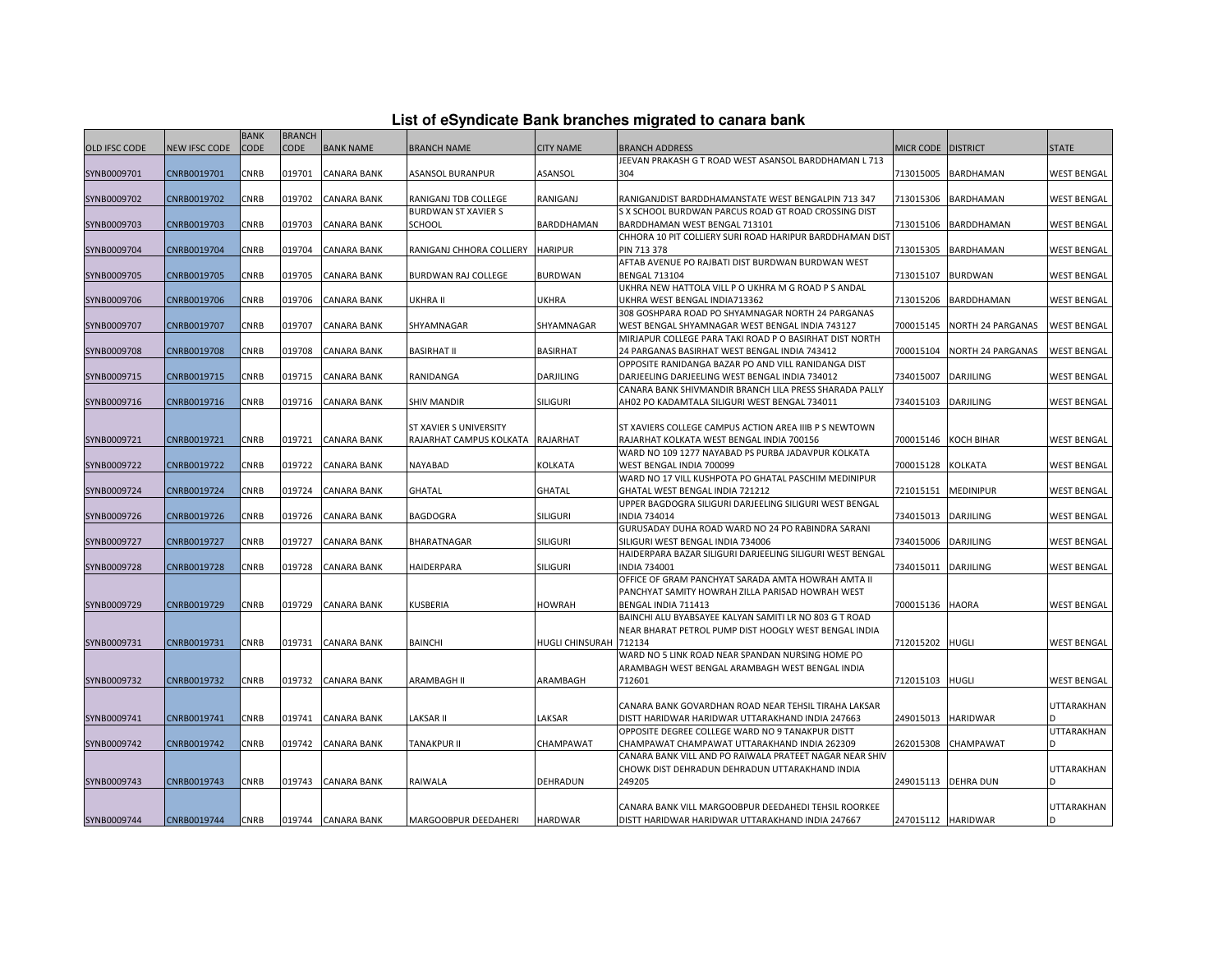| List of eSyndicate Bank branches migrated to canara bank |  |  |  |  |  |  |  |
|----------------------------------------------------------|--|--|--|--|--|--|--|
|----------------------------------------------------------|--|--|--|--|--|--|--|

|                      |               | <b>BANK</b> | <b>BRANCH</b> |                    |                                  |                        |                                                           |                    |                     |                    |
|----------------------|---------------|-------------|---------------|--------------------|----------------------------------|------------------------|-----------------------------------------------------------|--------------------|---------------------|--------------------|
| <b>OLD IFSC CODE</b> | NEW IFSC CODE | <b>CODE</b> | CODE          | <b>BANK NAME</b>   | <b>BRANCH NAME</b>               | <b>CITY NAME</b>       | BRANCH ADDRESS                                            | <b>MICR CODE</b>   | <b>DISTRICT</b>     | <b>STATE</b>       |
|                      |               |             |               |                    |                                  |                        | JEEVAN PRAKASH G T ROAD WEST ASANSOL BARDDHAMAN L 713     |                    |                     |                    |
| SYNB0009701          | CNRB0019701   | <b>CNRB</b> | 019701        | CANARA BANK        | <b>ASANSOL BURANPUR</b>          | ASANSOL                | 304                                                       | 713015005          | BARDHAMAN           | <b>WEST BENGAL</b> |
|                      |               |             |               |                    |                                  |                        |                                                           |                    |                     |                    |
| SYNB0009702          | CNRB0019702   | <b>CNRB</b> | 019702        | CANARA BANK        | RANIGANJ TDB COLLEGE             | RANIGANJ               | RANIGANJDIST BARDDHAMANSTATE WEST BENGALPIN 713 347       | 713015306          | BARDHAMAN           | WEST BENGAL        |
|                      |               |             |               |                    | <b>BURDWAN ST XAVIER S</b>       |                        | S X SCHOOL BURDWAN PARCUS ROAD GT ROAD CROSSING DIST      |                    |                     |                    |
| SYNB0009703          | CNRB0019703   | CNRB        | 019703        | CANARA BANK        | <b>SCHOOL</b>                    | BARDDHAMAN             | BARDDHAMAN WEST BENGAL 713101                             | 713015106          | BARDDHAMAN          | <b>WEST BENGAL</b> |
|                      |               |             |               |                    |                                  |                        | CHHORA 10 PIT COLLIERY SURI ROAD HARIPUR BARDDHAMAN DIST  |                    |                     |                    |
| SYNB0009704          | CNRB0019704   | CNRB        | 019704        | CANARA BANK        | RANIGANJ CHHORA COLLIERY         | <b>HARIPUR</b>         | PIN 713 378                                               | 713015305          | BARDHAMAN           | WEST BENGAL        |
|                      |               |             |               |                    |                                  |                        | AFTAB AVENUE PO RAJBATI DIST BURDWAN BURDWAN WEST         |                    |                     |                    |
| SYNB0009705          | CNRB0019705   | <b>CNRB</b> | 019705        | CANARA BANK        | BURDWAN RAJ COLLEGE              | <b>BURDWAN</b>         | <b>BENGAL 713104</b>                                      | 713015107          | <b>BURDWAN</b>      | <b>WEST BENGAL</b> |
|                      |               |             |               |                    |                                  |                        | UKHRA NEW HATTOLA VILL P O UKHRA M G ROAD P S ANDAL       |                    |                     |                    |
| SYNB0009706          | CNRB0019706   | <b>CNRB</b> | 019706        | CANARA BANK        | <b>UKHRA II</b>                  | <b>UKHRA</b>           | UKHRA WEST BENGAL INDIA713362                             | 713015206          | BARDDHAMAN          | <b>WEST BENGAL</b> |
|                      |               |             |               |                    |                                  |                        | 308 GOSHPARA ROAD PO SHYAMNAGAR NORTH 24 PARGANAS         |                    |                     |                    |
| SYNB0009707          | CNRB0019707   | <b>CNRB</b> | 019707        | CANARA BANK        | SHYAMNAGAR                       | SHYAMNAGAR             | WEST BENGAL SHYAMNAGAR WEST BENGAL INDIA 743127           | 700015145          | NORTH 24 PARGANAS   | <b>WEST BENGAL</b> |
|                      |               |             |               |                    |                                  |                        | MIRJAPUR COLLEGE PARA TAKI ROAD P O BASIRHAT DIST NORTH   |                    |                     |                    |
| SYNB0009708          | CNRB0019708   | <b>CNRB</b> | 019708        | <b>CANARA BANK</b> | <b>BASIRHAT II</b>               | <b>BASIRHAT</b>        | 24 PARGANAS BASIRHAT WEST BENGAL INDIA 743412             | 700015104          | NORTH 24 PARGANAS   | <b>WEST BENGAL</b> |
|                      |               |             |               |                    |                                  |                        | OPPOSITE RANIDANGA BAZAR PO AND VILL RANIDANGA DIST       |                    |                     |                    |
| SYNB0009715          | CNRB0019715   | <b>CNRB</b> | 019715        | <b>CANARA BANK</b> | RANIDANGA                        | DARJILING              | DARJEELING DARJEELING WEST BENGAL INDIA 734012            | 734015007          | DARJILING           | <b>WEST BENGAL</b> |
|                      |               |             |               |                    |                                  |                        | CANARA BANK SHIVMANDIR BRANCH LILA PRESS SHARADA PALLY    |                    |                     |                    |
| SYNB0009716          | CNRB0019716   | CNRB        | 019716        | <b>CANARA BANK</b> | <b>SHIV MANDIR</b>               | <b>SILIGURI</b>        | AH02 PO KADAMTALA SILIGURI WEST BENGAL 734011             | 734015103          | DARJILING           | <b>WEST BENGAL</b> |
|                      |               |             |               |                    |                                  |                        |                                                           |                    |                     |                    |
|                      |               |             |               |                    | ST XAVIER S UNIVERSITY           |                        | ST XAVIERS COLLEGE CAMPUS ACTION AREA IIIB P S NEWTOWN    |                    |                     |                    |
| SYNB0009721          | CNRB0019721   | <b>CNRB</b> | 019721        | <b>CANARA BANK</b> | RAJARHAT CAMPUS KOLKATA RAJARHAT |                        | RAJARHAT KOLKATA WEST BENGAL INDIA 700156                 | 700015146          | <b>KOCH BIHAR</b>   | <b>WEST BENGAL</b> |
|                      |               |             |               |                    |                                  |                        | WARD NO 109 1277 NAYABAD PS PURBA JADAVPUR KOLKATA        |                    |                     |                    |
| SYNB0009722          | CNRB0019722   | <b>CNRB</b> | 019722        | CANARA BANK        | NAYABAD                          | KOLKATA                | WEST BENGAL INDIA 700099                                  | 700015128          | KOLKATA             | <b>WEST BENGAL</b> |
|                      |               |             |               |                    |                                  |                        | WARD NO 17 VILL KUSHPOTA PO GHATAL PASCHIM MEDINIPUR      |                    |                     |                    |
| SYNB0009724          | CNRB0019724   | CNRB        | 019724        | <b>CANARA BANK</b> | <b>GHATAL</b>                    | <b>GHATAL</b>          | GHATAL WEST BENGAL INDIA 721212                           | 721015151          | <b>MEDINIPUR</b>    | <b>WEST BENGAL</b> |
|                      |               |             |               |                    |                                  |                        | UPPER BAGDOGRA SILIGURI DARJEELING SILIGURI WEST BENGAL   |                    |                     |                    |
| SYNB0009726          | CNRB0019726   | <b>CNRB</b> | 019726        | CANARA BANK        | <b>BAGDOGRA</b>                  | <b>SILIGURI</b>        | <b>INDIA 734014</b>                                       | 734015013          | <b>DARJILING</b>    | <b>WEST BENGAL</b> |
|                      |               |             |               |                    |                                  |                        | GURUSADAY DUHA ROAD WARD NO 24 PO RABINDRA SARANI         |                    |                     |                    |
| SYNB0009727          | CNRB0019727   | CNRB        | 019727        | CANARA BANK        | BHARATNAGAR                      | <b>SILIGURI</b>        | SILIGURI WEST BENGAL INDIA 734006                         | 734015006          | <b>DARJILING</b>    | <b>WEST BENGAL</b> |
|                      |               |             |               |                    |                                  |                        | HAIDERPARA BAZAR SILIGURI DARJEELING SILIGURI WEST BENGAL |                    |                     |                    |
| SYNB0009728          | CNRB0019728   | CNRB        | 019728        | CANARA BANK        | <b>HAIDERPARA</b>                | <b>SILIGURI</b>        | <b>INDIA 734001</b>                                       | 734015011          | <b>DARJILING</b>    | <b>WEST BENGAL</b> |
|                      |               |             |               |                    |                                  |                        | OFFICE OF GRAM PANCHYAT SARADA AMTA HOWRAH AMTA II        |                    |                     |                    |
|                      |               |             |               |                    |                                  |                        | PANCHYAT SAMITY HOWRAH ZILLA PARISAD HOWRAH WEST          |                    |                     |                    |
| SYNB0009729          | CNRB0019729   | CNRB        | 019729        | <b>CANARA BANK</b> | KUSBERIA                         | <b>HOWRAH</b>          | BENGAL INDIA 711413                                       | 700015136          | <b>HAORA</b>        | <b>WEST BENGAL</b> |
|                      |               |             |               |                    |                                  |                        | BAINCHI ALU BYABSAYEE KALYAN SAMITI LR NO 803 G T ROAD    |                    |                     |                    |
|                      |               |             |               |                    |                                  |                        | NEAR BHARAT PETROL PUMP DIST HOOGLY WEST BENGAL INDIA     |                    |                     |                    |
| SYNB0009731          | CNRB0019731   | <b>CNRB</b> | 019731        | <b>CANARA BANK</b> | <b>BAINCHI</b>                   | HUGLI CHINSURAH 712134 |                                                           | 712015202          | <b>HUGLI</b>        | <b>WEST BENGAL</b> |
|                      |               |             |               |                    |                                  |                        | WARD NO 5 LINK ROAD NEAR SPANDAN NURSING HOME PO          |                    |                     |                    |
|                      |               |             |               |                    |                                  |                        | ARAMBAGH WEST BENGAL ARAMBAGH WEST BENGAL INDIA           |                    |                     |                    |
| SYNB0009732          | CNRB0019732   | <b>CNRB</b> | 019732        | <b>CANARA BANK</b> | <b>ARAMBAGH II</b>               | ARAMBAGH               | 712601                                                    | 712015103          | HUGLI               | <b>WEST BENGAL</b> |
|                      |               |             |               |                    |                                  |                        |                                                           |                    |                     |                    |
|                      |               |             |               |                    |                                  |                        | CANARA BANK GOVARDHAN ROAD NEAR TEHSIL TIRAHA LAKSAR      |                    |                     | UTTARAKHAN         |
| SYNB0009741          | CNRB0019741   | CNRB        | 019741        | <b>CANARA BANK</b> | <b>LAKSAR II</b>                 | LAKSAR                 | DISTT HARIDWAR HARIDWAR UTTARAKHAND INDIA 247663          | 249015013          | <b>HARIDWAR</b>     |                    |
|                      |               |             |               |                    |                                  |                        | OPPOSITE DEGREE COLLEGE WARD NO 9 TANAKPUR DISTT          |                    |                     | UTTARAKHAN         |
| SYNB0009742          | CNRB0019742   | <b>CNRB</b> | 019742        | CANARA BANK        | <b>TANAKPUR II</b>               | CHAMPAWAT              | CHAMPAWAT CHAMPAWAT UTTARAKHAND INDIA 262309              | 262015308          | CHAMPAWAT           |                    |
|                      |               |             |               |                    |                                  |                        | CANARA BANK VILL AND PO RAIWALA PRATEET NAGAR NEAR SHIV   |                    |                     |                    |
|                      |               |             |               |                    |                                  |                        | CHOWK DIST DEHRADUN DEHRADUN UTTARAKHAND INDIA            |                    |                     | UTTARAKHAN         |
| SYNB0009743          | CNRB0019743   | <b>CNRB</b> | 019743        | CANARA BANK        | RAIWALA                          | DEHRADUN               | 249205                                                    |                    | 249015113 DEHRA DUN |                    |
|                      |               |             |               |                    |                                  |                        |                                                           |                    |                     |                    |
|                      |               |             |               |                    |                                  |                        | CANARA BANK VILL MARGOOBPUR DEEDAHEDI TEHSIL ROORKEE      |                    |                     | UTTARAKHAN         |
| SYNB0009744          | CNRB0019744   | <b>CNRB</b> |               | 019744 CANARA BANK | MARGOOBPUR DEEDAHERI             | <b>HARDWAR</b>         | DISTT HARIDWAR HARIDWAR UTTARAKHAND INDIA 247667          | 247015112 HARIDWAR |                     |                    |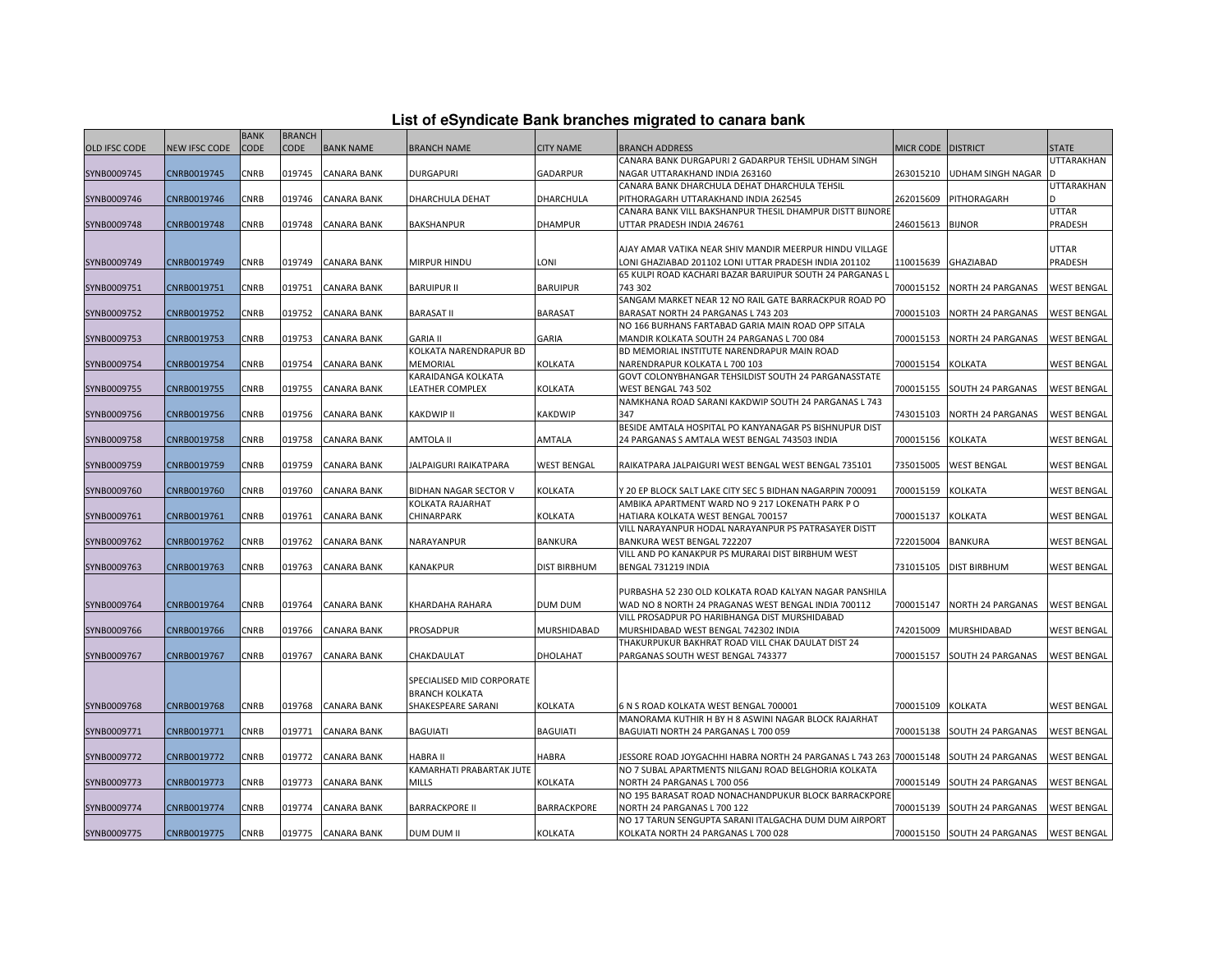|  |  | List of eSyndicate Bank branches migrated to canara bank |  |  |  |
|--|--|----------------------------------------------------------|--|--|--|
|  |  |                                                          |  |  |  |

|                      | List of eSyndicate Bank branches migrated to canara bank |             |               |                    |                           |                    |                                                                    |                    |                             |                    |  |
|----------------------|----------------------------------------------------------|-------------|---------------|--------------------|---------------------------|--------------------|--------------------------------------------------------------------|--------------------|-----------------------------|--------------------|--|
|                      |                                                          | <b>BANK</b> | <b>BRANCH</b> |                    |                           |                    |                                                                    |                    |                             |                    |  |
| <b>OLD IFSC CODE</b> | <b>NEW IFSC CODE</b>                                     | <b>CODE</b> | <b>CODE</b>   | <b>BANK NAME</b>   | <b>BRANCH NAME</b>        | <b>CITY NAME</b>   | <b>BRANCH ADDRESS</b>                                              | MICR CODE DISTRICT |                             | <b>STATE</b>       |  |
|                      |                                                          |             |               |                    |                           |                    | CANARA BANK DURGAPURI 2 GADARPUR TEHSIL UDHAM SINGH                |                    |                             | UTTARAKHAN         |  |
| SYNB0009745          | CNRB0019745                                              | CNRB        | 019745        | <b>CANARA BANK</b> | DURGAPURI                 | GADARPUR           | NAGAR UTTARAKHAND INDIA 263160                                     | 263015210          | <b>UDHAM SINGH NAGAR</b>    |                    |  |
|                      |                                                          |             |               |                    |                           |                    | CANARA BANK DHARCHULA DEHAT DHARCHULA TEHSIL                       |                    |                             | UTTARAKHAN         |  |
| SYNB0009746          | CNRB0019746                                              | CNRB        | 019746        | <b>CANARA BANK</b> | DHARCHULA DEHAT           | DHARCHULA          | PITHORAGARH UTTARAKHAND INDIA 262545                               | 262015609          | PITHORAGARH                 |                    |  |
|                      |                                                          |             |               |                    |                           |                    | CANARA BANK VILL BAKSHANPUR THESIL DHAMPUR DISTT BIJNORE           |                    |                             | UTTAR              |  |
| SYNB0009748          | CNRB0019748                                              | CNRB        | 019748        | <b>CANARA BANK</b> | <b>BAKSHANPUR</b>         | <b>DHAMPUR</b>     | UTTAR PRADESH INDIA 246761                                         | 246015613          | <b>BIJNOR</b>               | PRADESH            |  |
|                      |                                                          |             |               |                    |                           |                    |                                                                    |                    |                             |                    |  |
|                      |                                                          |             |               |                    |                           |                    | AJAY AMAR VATIKA NEAR SHIV MANDIR MEERPUR HINDU VILLAGE            |                    |                             | UTTAR              |  |
| SYNB0009749          | CNRB0019749                                              | CNRB        | 019749        | <b>CANARA BANK</b> | MIRPUR HINDU              | LONI               | LONI GHAZIABAD 201102 LONI UTTAR PRADESH INDIA 201102              | 110015639          | GHAZIABAD                   | PRADESH            |  |
|                      |                                                          |             |               |                    |                           |                    | 65 KULPI ROAD KACHARI BAZAR BARUIPUR SOUTH 24 PARGANAS L           |                    |                             |                    |  |
| SYNB0009751          | CNRB0019751                                              | CNRB        | 019751        | <b>CANARA BANK</b> | <b>BARUIPUR II</b>        | <b>BARUIPUR</b>    | 743 302                                                            | 700015152          | NORTH 24 PARGANAS           | <b>WEST BENGAL</b> |  |
|                      |                                                          |             |               |                    |                           |                    | SANGAM MARKET NEAR 12 NO RAIL GATE BARRACKPUR ROAD PO              |                    |                             |                    |  |
| SYNB0009752          | CNRB0019752                                              | CNRB        | 019752        | <b>CANARA BANK</b> | <b>BARASAT II</b>         | <b>BARASAT</b>     | BARASAT NORTH 24 PARGANAS L 743 203                                | 700015103          | <b>NORTH 24 PARGANAS</b>    | <b>WEST BENGAL</b> |  |
|                      |                                                          |             |               |                    |                           |                    | NO 166 BURHANS FARTABAD GARIA MAIN ROAD OPP SITALA                 |                    |                             |                    |  |
| SYNB0009753          | CNRB0019753                                              | CNRB        | 019753        | <b>CANARA BANK</b> | <b>GARIA II</b>           | GARIA              | MANDIR KOLKATA SOUTH 24 PARGANAS L 700 084                         | 700015153          | NORTH 24 PARGANAS           | <b>WEST BENGAL</b> |  |
|                      |                                                          |             |               |                    | KOLKATA NARENDRAPUR BD    |                    | BD MEMORIAL INSTITUTE NARENDRAPUR MAIN ROAD                        |                    |                             |                    |  |
| SYNB0009754          | CNRB0019754                                              | CNRB        | 019754        | <b>CANARA BANK</b> | MEMORIAL                  | <b>KOLKATA</b>     | NARENDRAPUR KOLKATA L 700 103                                      | 700015154          | <b>KOLKATA</b>              | <b>WEST BENGAL</b> |  |
|                      |                                                          |             |               |                    | KARAIDANGA KOLKATA        |                    | GOVT COLONYBHANGAR TEHSILDIST SOUTH 24 PARGANASSTATE               |                    |                             |                    |  |
| SYNB0009755          | CNRB0019755                                              | CNRB        | 019755        | <b>CANARA BANK</b> | LEATHER COMPLEX           | KOLKATA            | WEST BENGAL 743 502                                                | 700015155          | SOUTH 24 PARGANAS           | <b>WEST BENGAL</b> |  |
|                      |                                                          | CNRB        |               |                    |                           | KAKDWIP            | NAMKHANA ROAD SARANI KAKDWIP SOUTH 24 PARGANAS L 743<br>347        |                    |                             |                    |  |
| SYNB0009756          | CNRB0019756                                              |             | 019756        | <b>CANARA BANK</b> | KAKDWIP II                |                    | BESIDE AMTALA HOSPITAL PO KANYANAGAR PS BISHNUPUR DIST             | 743015103          | NORTH 24 PARGANAS           | <b>WEST BENGAL</b> |  |
|                      | CNRB0019758                                              |             | 019758        | <b>CANARA BANK</b> | AMTOLA II                 | AMTALA             |                                                                    | 700015156          |                             |                    |  |
| SYNB0009758          |                                                          | CNRB        |               |                    |                           |                    | 24 PARGANAS S AMTALA WEST BENGAL 743503 INDIA                      |                    | <b>KOLKATA</b>              | <b>WEST BENGAL</b> |  |
|                      |                                                          | CNRB        | 019759        |                    |                           |                    |                                                                    | 735015005          |                             |                    |  |
| SYNB0009759          | CNRB0019759                                              |             |               | <b>CANARA BANK</b> | JALPAIGURI RAIKATPARA     | <b>WEST BENGAL</b> | RAIKATPARA JALPAIGURI WEST BENGAL WEST BENGAL 735101               |                    | <b>WEST BENGAL</b>          | WEST BENGAL        |  |
| SYNB0009760          | CNRB0019760                                              | CNRB        | 019760        | <b>CANARA BANK</b> | BIDHAN NAGAR SECTOR V     | KOLKATA            | Y 20 EP BLOCK SALT LAKE CITY SEC 5 BIDHAN NAGARPIN 700091          | 700015159          | KOLKATA                     | <b>WEST BENGAL</b> |  |
|                      |                                                          |             |               |                    | KOLKATA RAJARHAT          |                    | AMBIKA APARTMENT WARD NO 9 217 LOKENATH PARK P O                   |                    |                             |                    |  |
| SYNB0009761          | CNRB0019761                                              | CNRB        | 019761        | <b>CANARA BANK</b> | CHINARPARK                | KOLKATA            | HATIARA KOLKATA WEST BENGAL 700157                                 | 700015137          | KOLKATA                     | <b>WEST BENGAL</b> |  |
|                      |                                                          |             |               |                    |                           |                    | VILL NARAYANPUR HODAL NARAYANPUR PS PATRASAYER DISTT               |                    |                             |                    |  |
| SYNB0009762          | CNRB0019762                                              | CNRB        | 019762        | <b>CANARA BANK</b> | NARAYANPUR                | <b>BANKURA</b>     | BANKURA WEST BENGAL 722207                                         | 722015004          | <b>BANKURA</b>              | <b>WEST BENGAL</b> |  |
|                      |                                                          |             |               |                    |                           |                    | VILL AND PO KANAKPUR PS MURARAI DIST BIRBHUM WEST                  |                    |                             |                    |  |
| SYNB0009763          | CNRB0019763                                              | CNRB        | 019763        | <b>CANARA BANK</b> | KANAKPUR                  | DIST BIRBHUM       | BENGAL 731219 INDIA                                                | 731015105          | <b>DIST BIRBHUM</b>         | <b>WEST BENGAL</b> |  |
|                      |                                                          |             |               |                    |                           |                    |                                                                    |                    |                             |                    |  |
|                      |                                                          |             |               |                    |                           |                    | PURBASHA 52 230 OLD KOLKATA ROAD KALYAN NAGAR PANSHILA             |                    |                             |                    |  |
| SYNB0009764          | CNRB0019764                                              | CNRB        | 019764        | <b>CANARA BANK</b> | KHARDAHA RAHARA           | DUM DUM            | WAD NO 8 NORTH 24 PRAGANAS WEST BENGAL INDIA 700112                | 700015147          | <b>NORTH 24 PARGANAS</b>    | <b>WEST BENGAL</b> |  |
|                      |                                                          |             |               |                    |                           |                    | VILL PROSADPUR PO HARIBHANGA DIST MURSHIDABAD                      |                    |                             |                    |  |
| SYNB0009766          | CNRB0019766                                              | CNRB        | 019766        | <b>CANARA BANK</b> | PROSADPUR                 | MURSHIDABAD        | MURSHIDABAD WEST BENGAL 742302 INDIA                               | 742015009          | MURSHIDABAD                 | WEST BENGAL        |  |
|                      |                                                          |             |               |                    |                           |                    | THAKURPUKUR BAKHRAT ROAD VILL CHAK DAULAT DIST 24                  |                    |                             |                    |  |
| SYNB0009767          | CNRB0019767                                              | CNRB        | 019767        | <b>CANARA BANK</b> | CHAKDAULAT                | DHOLAHAT           | PARGANAS SOUTH WEST BENGAL 743377                                  | 700015157          | SOUTH 24 PARGANAS           | <b>WEST BENGAL</b> |  |
|                      |                                                          |             |               |                    |                           |                    |                                                                    |                    |                             |                    |  |
|                      |                                                          |             |               |                    | SPECIALISED MID CORPORATE |                    |                                                                    |                    |                             |                    |  |
|                      |                                                          |             |               |                    | <b>BRANCH KOLKATA</b>     |                    |                                                                    |                    |                             |                    |  |
| SYNB0009768          | CNRB0019768                                              | CNRB        |               | 019768 CANARA BANK | SHAKESPEARE SARANI        | KOLKATA            | 6 N S ROAD KOLKATA WEST BENGAL 700001                              | 700015109          | <b>KOLKATA</b>              | <b>WEST BENGAL</b> |  |
|                      |                                                          |             |               |                    |                           |                    | MANORAMA KUTHIR H BY H 8 ASWINI NAGAR BLOCK RAJARHAT               |                    |                             |                    |  |
| SYNB0009771          | CNRB0019771                                              | CNRB        | 019771        | <b>CANARA BANK</b> | <b>BAGUIATI</b>           | <b>BAGUIATI</b>    | BAGUIATI NORTH 24 PARGANAS L 700 059                               | 700015138          | SOUTH 24 PARGANAS           | <b>WEST BENGAL</b> |  |
|                      |                                                          |             |               |                    |                           |                    |                                                                    |                    |                             |                    |  |
| SYNB0009772          | CNRB0019772                                              | CNRB        | 019772        | <b>CANARA BANK</b> | HABRA II                  | HABRA              | JESSORE ROAD JOYGACHHI HABRA NORTH 24 PARGANAS L 743 263 700015148 |                    | SOUTH 24 PARGANAS           | <b>WEST BENGAL</b> |  |
|                      |                                                          |             |               |                    | KAMARHATI PRABARTAK JUTE  |                    | NO 7 SUBAL APARTMENTS NILGANJ ROAD BELGHORIA KOLKATA               |                    |                             |                    |  |
| SYNB0009773          | CNRB0019773                                              | CNRB        | 019773        | <b>CANARA BANK</b> | MILLS                     | KOLKATA            | NORTH 24 PARGANAS L 700 056                                        | 700015149          | SOUTH 24 PARGANAS           | <b>WEST BENGAL</b> |  |
|                      |                                                          |             |               |                    |                           |                    | NO 195 BARASAT ROAD NONACHANDPUKUR BLOCK BARRACKPORE               |                    |                             |                    |  |
| SYNB0009774          | CNRB0019774                                              | CNRB        | 019774        | <b>CANARA BANK</b> | <b>BARRACKPORE II</b>     | BARRACKPORE        | NORTH 24 PARGANAS L 700 122                                        | 700015139          | SOUTH 24 PARGANAS           | <b>WEST BENGAL</b> |  |
|                      |                                                          |             |               |                    |                           |                    | NO 17 TARUN SENGUPTA SARANI ITALGACHA DUM DUM AIRPORT              |                    |                             |                    |  |
| SYNB0009775          | CNRB0019775                                              | CNRB        |               | 019775 CANARA BANK | DUM DUM II                | <b>KOLKATA</b>     | KOLKATA NORTH 24 PARGANAS L 700 028                                |                    | 700015150 SOUTH 24 PARGANAS | <b>WEST BENGAL</b> |  |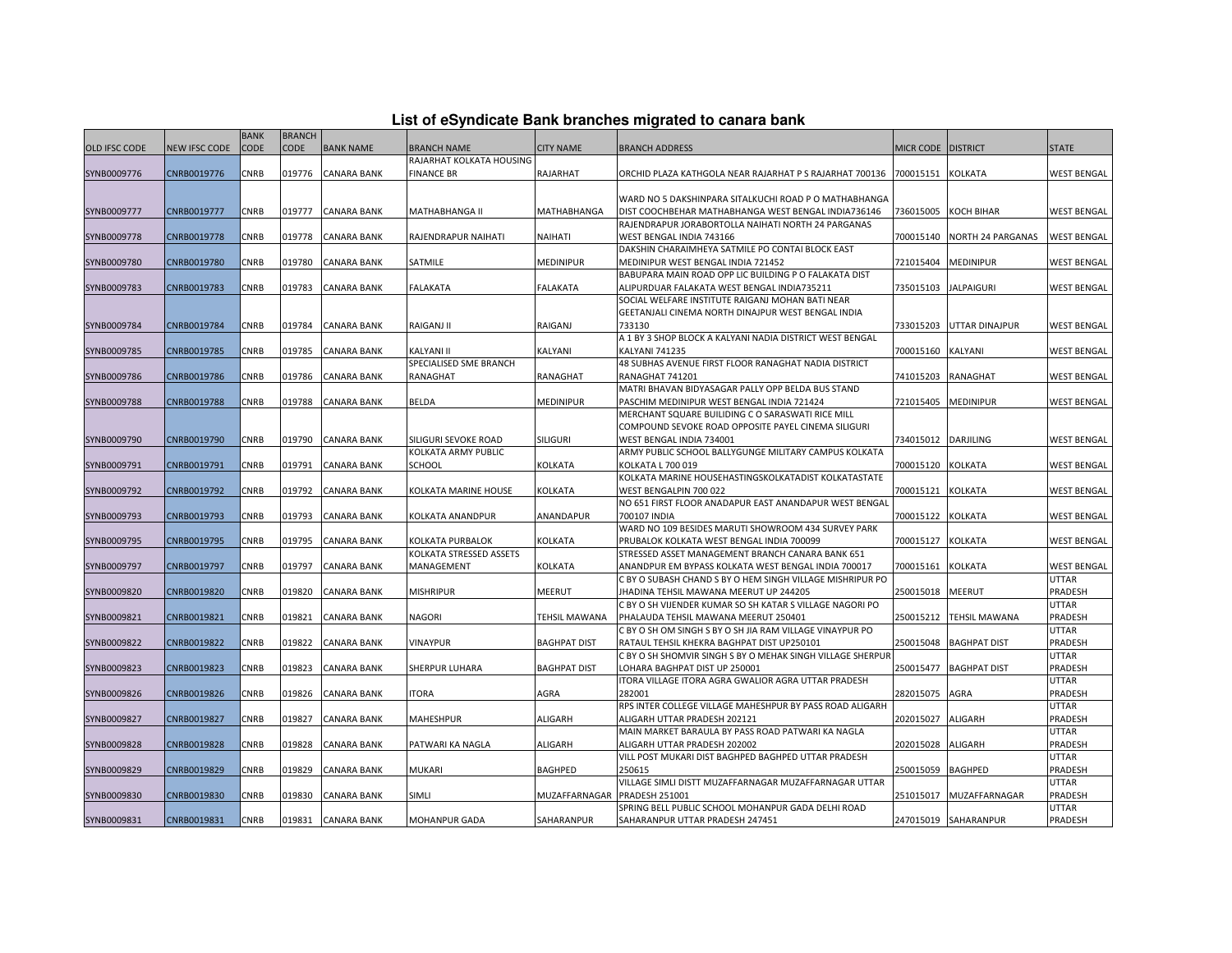| List of eSyndicate Bank branches migrated to canara bank |  |  |
|----------------------------------------------------------|--|--|
|                                                          |  |  |

|               |                      | <b>BANK</b> | <b>BRANCH</b> |                    |                          |                      |                                                                                   |           |                      |                    |
|---------------|----------------------|-------------|---------------|--------------------|--------------------------|----------------------|-----------------------------------------------------------------------------------|-----------|----------------------|--------------------|
| OLD IFSC CODE | <b>NEW IFSC CODE</b> | <b>CODE</b> | <b>CODE</b>   | <b>BANK NAME</b>   | <b>BRANCH NAME</b>       | <b>CITY NAME</b>     | <b>BRANCH ADDRESS</b>                                                             | MICR CODE | <b>DISTRICT</b>      | STATE              |
|               |                      |             |               |                    | RAJARHAT KOLKATA HOUSING |                      |                                                                                   |           |                      |                    |
| SYNB0009776   | CNRB0019776          | CNRB        | 019776        | <b>CANARA BANK</b> | <b>FINANCE BR</b>        | RAJARHAT             | ORCHID PLAZA KATHGOLA NEAR RAJARHAT P S RAJARHAT 700136                           | 700015151 | KOLKATA              | <b>WEST BENGAL</b> |
|               |                      |             |               |                    |                          |                      |                                                                                   |           |                      |                    |
|               |                      |             |               |                    |                          |                      | WARD NO 5 DAKSHINPARA SITALKUCHI ROAD P O MATHABHANGA                             |           |                      |                    |
| SYNB0009777   | CNRB0019777          | <b>CNRB</b> | 019777        | <b>CANARA BANK</b> | MATHABHANGA II           | <b>MATHABHANGA</b>   | DIST COOCHBEHAR MATHABHANGA WEST BENGAL INDIA736146                               | 736015005 | KOCH BIHAR           | <b>WEST BENGAL</b> |
|               |                      |             |               |                    |                          |                      | RAJENDRAPUR JORABORTOLLA NAIHATI NORTH 24 PARGANAS                                |           |                      |                    |
| SYNB0009778   | CNRB0019778          | <b>CNRB</b> | 019778        | <b>CANARA BANK</b> | RAJENDRAPUR NAIHATI      | NAIHATI              | WEST BENGAL INDIA 743166                                                          | 700015140 | NORTH 24 PARGANAS    | <b>WEST BENGAL</b> |
|               |                      |             |               |                    |                          |                      | DAKSHIN CHARAIMHEYA SATMILE PO CONTAI BLOCK EAST                                  |           |                      |                    |
| SYNB0009780   | CNRB0019780          | CNRB        | 019780        | <b>CANARA BANK</b> | SATMILE                  | <b>MEDINIPUR</b>     | MEDINIPUR WEST BENGAL INDIA 721452                                                | 721015404 | MEDINIPUR            | <b>WEST BENGAL</b> |
|               |                      |             |               |                    |                          |                      | BABUPARA MAIN ROAD OPP LIC BUILDING P O FALAKATA DIST                             |           |                      |                    |
| SYNB0009783   | CNRB0019783          | CNRB        | 019783        | <b>CANARA BANK</b> | <b>FALAKATA</b>          | <b>FALAKATA</b>      | ALIPURDUAR FALAKATA WEST BENGAL INDIA735211                                       | 735015103 | <b>JALPAIGURI</b>    | <b>WEST BENGAL</b> |
|               |                      |             |               |                    |                          |                      | SOCIAL WELFARE INSTITUTE RAIGANJ MOHAN BATI NEAR                                  |           |                      |                    |
|               |                      |             |               |                    |                          |                      | GEETANJALI CINEMA NORTH DINAJPUR WEST BENGAL INDIA                                |           |                      |                    |
| SYNB0009784   | CNRB0019784          | <b>CNRB</b> | 019784        | <b>CANARA BANK</b> | RAIGANJ II               | RAIGANJ              | 733130                                                                            | 733015203 | UTTAR DINAJPUR       | <b>WEST BENGAL</b> |
|               |                      |             |               |                    |                          |                      | A 1 BY 3 SHOP BLOCK A KALYANI NADIA DISTRICT WEST BENGAL                          |           |                      |                    |
| SYNB0009785   | CNRB0019785          | CNRB        | 019785        | <b>CANARA BANK</b> | KALYANI II               | KALYANI              | <b>KALYANI 741235</b>                                                             | 700015160 | KALYANI              | <b>WEST BENGAL</b> |
|               |                      |             |               |                    | SPECIALISED SME BRANCH   |                      | 48 SUBHAS AVENUE FIRST FLOOR RANAGHAT NADIA DISTRICT                              |           |                      |                    |
| SYNB0009786   | CNRB0019786          | CNRB        | 019786        | CANARA BANK        | RANAGHAT                 | <b>RANAGHAT</b>      | RANAGHAT 741201                                                                   | 741015203 | RANAGHAT             | <b>WEST BENGAL</b> |
|               |                      |             |               |                    |                          |                      | MATRI BHAVAN BIDYASAGAR PALLY OPP BELDA BUS STAND                                 |           |                      |                    |
| SYNB0009788   | CNRB0019788          | <b>CNRB</b> | 019788        | <b>CANARA BANK</b> | BELDA                    | <b>MEDINIPUR</b>     | PASCHIM MEDINIPUR WEST BENGAL INDIA 721424                                        | 721015405 | <b>MEDINIPUR</b>     | <b>WEST BENGAL</b> |
|               |                      |             |               |                    |                          |                      | MERCHANT SQUARE BUILIDING C O SARASWATI RICE MILL                                 |           |                      |                    |
|               |                      |             |               |                    |                          |                      | COMPOUND SEVOKE ROAD OPPOSITE PAYEL CINEMA SILIGURI                               |           |                      |                    |
| SYNB0009790   | CNRB0019790          | CNRB        | 019790        | <b>CANARA BANK</b> | SILIGURI SEVOKE ROAD     | <b>SILIGURI</b>      | WEST BENGAL INDIA 734001                                                          | 734015012 | DARJILING            | <b>WEST BENGAL</b> |
|               |                      |             |               |                    | KOLKATA ARMY PUBLIC      |                      | ARMY PUBLIC SCHOOL BALLYGUNGE MILITARY CAMPUS KOLKATA                             |           |                      |                    |
| SYNB0009791   | CNRB0019791          | CNRB        | 019791        | <b>CANARA BANK</b> | SCHOOL                   | <b>KOLKATA</b>       | KOLKATA L 700 019                                                                 | 700015120 | <b>KOLKATA</b>       | <b>WEST BENGAL</b> |
|               |                      |             |               |                    |                          |                      | KOLKATA MARINE HOUSEHASTINGSKOLKATADIST KOLKATASTATE                              |           |                      |                    |
| SYNB0009792   | CNRB0019792          | <b>CNRB</b> | 019792        | <b>CANARA BANK</b> | KOLKATA MARINE HOUSE     | <b>KOLKATA</b>       | WEST BENGALPIN 700 022                                                            | 700015121 | <b>KOLKATA</b>       | <b>WEST BENGAL</b> |
|               |                      |             |               |                    |                          |                      | NO 651 FIRST FLOOR ANADAPUR EAST ANANDAPUR WEST BENGAL                            |           |                      |                    |
| SYNB0009793   | CNRB0019793          | CNRB        | 019793        | <b>CANARA BANK</b> | KOLKATA ANANDPUR         | ANANDAPUR            | 700107 INDIA                                                                      | 700015122 | KOLKATA              | <b>WEST BENGAL</b> |
|               |                      |             |               |                    |                          |                      | WARD NO 109 BESIDES MARUTI SHOWROOM 434 SURVEY PARK                               |           |                      |                    |
| SYNB0009795   | CNRB0019795          | CNRB        | 019795        | CANARA BANK        | KOLKATA PURBALOK         | <b>KOLKATA</b>       | PRUBALOK KOLKATA WEST BENGAL INDIA 700099                                         | 700015127 | KOLKATA              | WEST BENGAL        |
|               |                      |             |               |                    | KOLKATA STRESSED ASSETS  |                      | STRESSED ASSET MANAGEMENT BRANCH CANARA BANK 651                                  |           |                      |                    |
| SYNB0009797   | CNRB0019797          | <b>CNRB</b> | 019797        | <b>CANARA BANK</b> | MANAGEMENT               | <b>KOLKATA</b>       | ANANDPUR EM BYPASS KOLKATA WEST BENGAL INDIA 700017                               | 700015161 | KOLKATA              | <b>WEST BENGAL</b> |
|               |                      |             |               |                    |                          |                      | C BY O SUBASH CHAND S BY O HEM SINGH VILLAGE MISHRIPUR PO                         |           |                      | UTTAR              |
| SYNB0009820   | CNRB0019820          | CNRB        | 019820        | <b>CANARA BANK</b> | <b>MISHRIPUR</b>         | <b>MEERUT</b>        | JHADINA TEHSIL MAWANA MEERUT UP 244205                                            | 250015018 | MEERUT               | PRADESH            |
|               |                      |             |               |                    |                          |                      | C BY O SH VIJENDER KUMAR SO SH KATAR S VILLAGE NAGORI PO                          |           |                      | UTTAR              |
| SYNB0009821   | CNRB0019821          | CNRB        | 019821        | <b>CANARA BANK</b> | <b>NAGORI</b>            | <b>TEHSIL MAWANA</b> | PHALAUDA TEHSIL MAWANA MEERUT 250401                                              | 250015212 | TEHSIL MAWANA        | PRADESH            |
|               |                      |             |               |                    |                          |                      | C BY O SH OM SINGH S BY O SH JIA RAM VILLAGE VINAYPUR PO                          |           |                      | UTTAR              |
| SYNB0009822   | CNRB0019822          | CNRB        | 019822        | <b>CANARA BANK</b> | VINAYPUR                 | <b>BAGHPAT DIST</b>  | RATAUL TEHSIL KHEKRA BAGHPAT DIST UP250101                                        | 250015048 | <b>BAGHPAT DIST</b>  | PRADESH            |
|               |                      |             |               |                    |                          |                      | C BY O SH SHOMVIR SINGH S BY O MEHAK SINGH VILLAGE SHERPUF                        |           |                      | UTTAR              |
| SYNB0009823   | CNRB0019823          | <b>CNRB</b> | 019823        | <b>CANARA BANK</b> | SHERPUR LUHARA           | <b>BAGHPAT DIST</b>  | LOHARA BAGHPAT DIST UP 250001                                                     | 250015477 | <b>BAGHPAT DIST</b>  | PRADESH            |
|               |                      |             |               |                    |                          |                      | ITORA VILLAGE ITORA AGRA GWALIOR AGRA UTTAR PRADESH                               |           |                      | UTTAR              |
| SYNB0009826   | CNRB0019826          | CNRB        | 019826        | <b>CANARA BANK</b> | <b>ITORA</b>             | AGRA                 | 282001<br>RPS INTER COLLEGE VILLAGE MAHESHPUR BY PASS ROAD ALIGARH                | 282015075 | AGRA                 | PRADESH<br>UTTAR   |
|               |                      |             |               |                    |                          |                      |                                                                                   |           |                      |                    |
| SYNB0009827   | CNRB0019827          | <b>CNRB</b> | 019827        | <b>CANARA BANK</b> | <b>MAHESHPUR</b>         | <b>ALIGARH</b>       | ALIGARH UTTAR PRADESH 202121<br>MAIN MARKET BARAULA BY PASS ROAD PATWARI KA NAGLA | 202015027 | ALIGARH              | PRADESH<br>UTTAR   |
|               |                      | <b>CNRB</b> |               |                    |                          |                      | ALIGARH UTTAR PRADESH 202002                                                      |           |                      | PRADESH            |
| SYNB0009828   | CNRB0019828          |             | 019828        | <b>CANARA BANK</b> | PATWARI KA NAGLA         | <b>ALIGARH</b>       | VILL POST MUKARI DIST BAGHPED BAGHPED UTTAR PRADESH                               | 202015028 | ALIGARH              | UTTAR              |
| SYNB0009829   | CNRB0019829          | <b>CNRB</b> | 019829        | CANARA BANK        | MUKARI                   | <b>BAGHPED</b>       | 250615                                                                            | 250015059 | <b>BAGHPED</b>       | PRADESH            |
|               |                      |             |               |                    |                          |                      | VILLAGE SIMLI DISTT MUZAFFARNAGAR MUZAFFARNAGAR UTTAR                             |           |                      | UTTAR              |
| SYNB0009830   | CNRB0019830          | <b>CNRB</b> | 019830        | <b>CANARA BANK</b> | <b>SIMLI</b>             | MUZAFFARNAGAR        | <b>PRADESH 251001</b>                                                             | 251015017 | MUZAFFARNAGAR        | PRADESH            |
|               |                      |             |               |                    |                          |                      | SPRING BELL PUBLIC SCHOOL MOHANPUR GADA DELHI ROAD                                |           |                      | UTTAR              |
| SYNB0009831   | CNRB0019831          | <b>CNRB</b> |               | 019831 CANARA BANK | MOHANPUR GADA            | SAHARANPUR           | SAHARANPUR UTTAR PRADESH 247451                                                   |           | 247015019 SAHARANPUR | PRADESH            |
|               |                      |             |               |                    |                          |                      |                                                                                   |           |                      |                    |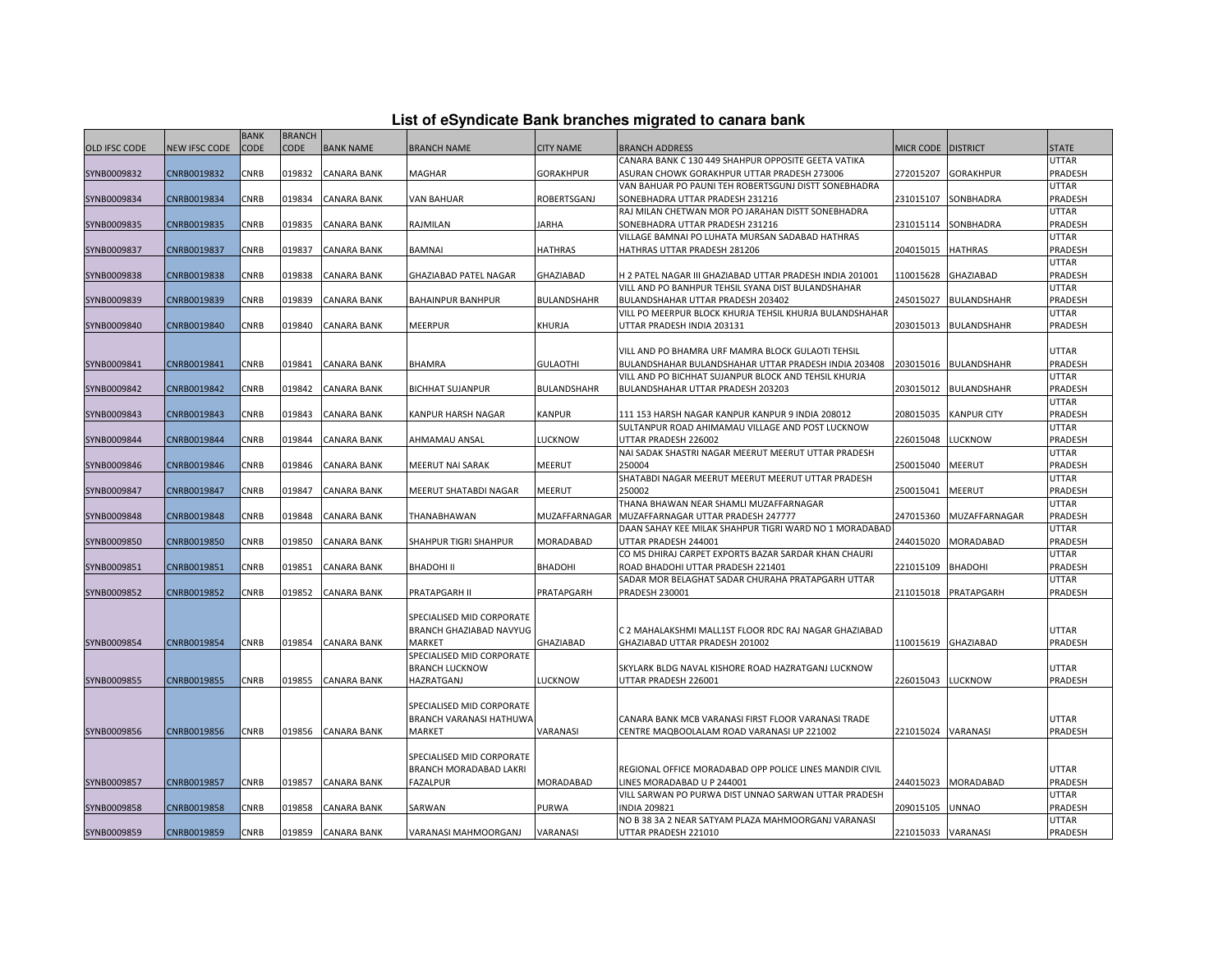|  |  |  | List of eSyndicate Bank branches migrated to canara bank |  |  |
|--|--|--|----------------------------------------------------------|--|--|
|  |  |  |                                                          |  |  |

|                      |               | <b>BANK</b> | <b>BRANCH</b> |                    |                           |                    |                                                          |                    |                    |              |
|----------------------|---------------|-------------|---------------|--------------------|---------------------------|--------------------|----------------------------------------------------------|--------------------|--------------------|--------------|
| <b>OLD IFSC CODE</b> | NEW IFSC CODE | <b>CODE</b> | <b>CODE</b>   | <b>BANK NAME</b>   | <b>BRANCH NAME</b>        | <b>CITY NAME</b>   | <b>BRANCH ADDRESS</b>                                    | <b>MICR CODE</b>   | <b>DISTRICT</b>    | <b>STATE</b> |
|                      |               |             |               |                    |                           |                    | CANARA BANK C 130 449 SHAHPUR OPPOSITE GEETA VATIKA      |                    |                    | UTTAR        |
| SYNB0009832          | CNRB0019832   | CNRB        | 019832        | <b>CANARA BANK</b> | MAGHAR                    | <b>GORAKHPUR</b>   | ASURAN CHOWK GORAKHPUR UTTAR PRADESH 273006              | 272015207          | <b>GORAKHPUR</b>   | PRADESH      |
|                      |               |             |               |                    |                           |                    | VAN BAHUAR PO PAUNI TEH ROBERTSGUNJ DISTT SONEBHADRA     |                    |                    | UTTAR        |
| SYNB0009834          | CNRB0019834   | CNRB        | 019834        | CANARA BANK        | VAN BAHUAR                | ROBERTSGANJ        | SONEBHADRA UTTAR PRADESH 231216                          | 231015107          | SONBHADRA          | PRADESH      |
|                      |               |             |               |                    |                           |                    | RAJ MILAN CHETWAN MOR PO JARAHAN DISTT SONEBHADRA        |                    |                    | UTTAR        |
| SYNB0009835          | CNRB0019835   | CNRB        | 019835        | <b>CANARA BANK</b> | RAJMILAN                  | <b>JARHA</b>       | SONEBHADRA UTTAR PRADESH 231216                          | 231015114          | SONBHADRA          | PRADESH      |
|                      |               |             |               |                    |                           |                    | VILLAGE BAMNAI PO LUHATA MURSAN SADABAD HATHRAS          |                    |                    | <b>UTTAR</b> |
| SYNB0009837          | CNRB0019837   | CNRB        | 019837        | CANARA BANK        | BAMNAI                    | <b>HATHRAS</b>     | HATHRAS UTTAR PRADESH 281206                             | 204015015          | <b>HATHRAS</b>     | PRADESH      |
|                      |               |             |               |                    |                           |                    |                                                          |                    |                    | UTTAR        |
| SYNB0009838          | CNRB0019838   | CNRB        | 019838        | CANARA BANK        | GHAZIABAD PATEL NAGAR     | GHAZIABAD          | H 2 PATEL NAGAR III GHAZIABAD UTTAR PRADESH INDIA 201001 | 110015628          | GHAZIABAD          | PRADESH      |
|                      |               |             |               |                    |                           |                    | VILL AND PO BANHPUR TEHSIL SYANA DIST BULANDSHAHAR       |                    |                    | UTTAR        |
| SYNB0009839          | CNRB0019839   | CNRB        | 019839        | <b>CANARA BANK</b> | <b>BAHAINPUR BANHPUR</b>  | BULANDSHAHR        | BULANDSHAHAR UTTAR PRADESH 203402                        | 245015027          | BULANDSHAHR        | PRADESH      |
|                      |               | CNRB        |               |                    |                           |                    | VILL PO MEERPUR BLOCK KHURJA TEHSIL KHURJA BULANDSHAHAR  |                    |                    | UTTAR        |
| SYNB0009840          | CNRB0019840   |             | 019840        | <b>CANARA BANK</b> | MEERPUR                   | KHURJA             | UTTAR PRADESH INDIA 203131                               | 203015013          | <b>BULANDSHAHR</b> | PRADESH      |
|                      |               |             |               |                    |                           |                    | VILL AND PO BHAMRA URF MAMRA BLOCK GULAOTI TEHSIL        |                    |                    | UTTAR        |
| SYNB0009841          | CNRB0019841   | CNRB        | 019841        | <b>CANARA BANK</b> | <b>BHAMRA</b>             | <b>GULAOTHI</b>    | BULANDSHAHAR BULANDSHAHAR UTTAR PRADESH INDIA 203408     | 203015016          | <b>BULANDSHAHR</b> | PRADESH      |
|                      |               |             |               |                    |                           |                    | VILL AND PO BICHHAT SUJANPUR BLOCK AND TEHSIL KHURJA     |                    |                    | <b>UTTAR</b> |
| SYNB0009842          | CNRB0019842   | CNRB        | 019842        | <b>CANARA BANK</b> | <b>BICHHAT SUJANPUR</b>   | <b>BULANDSHAHR</b> | BULANDSHAHAR UTTAR PRADESH 203203                        | 203015012          | BULANDSHAHR        | PRADESH      |
|                      |               |             |               |                    |                           |                    |                                                          |                    |                    | UTTAR        |
| SYNB0009843          | CNRB0019843   | CNRB        | 019843        | CANARA BANK        | KANPUR HARSH NAGAR        | KANPUR             | 111 153 HARSH NAGAR KANPUR KANPUR 9 INDIA 208012         | 208015035          | <b>KANPUR CITY</b> | PRADESH      |
|                      |               |             |               |                    |                           |                    | SULTANPUR ROAD AHIMAMAU VILLAGE AND POST LUCKNOW         |                    |                    | UTTAR        |
| SYNB0009844          | CNRB0019844   | CNRB        | 019844        | <b>CANARA BANK</b> | AHMAMAU ANSAL             | LUCKNOW            | UTTAR PRADESH 226002                                     | 226015048          | LUCKNOW            | PRADESH      |
|                      |               |             |               |                    |                           |                    | NAI SADAK SHASTRI NAGAR MEERUT MEERUT UTTAR PRADESH      |                    |                    | UTTAR        |
| SYNB0009846          | CNRB0019846   | CNRB        | 019846        | <b>CANARA BANK</b> | MEERUT NAI SARAK          | MEERUT             | 250004                                                   | 250015040          | MEERUT             | PRADESH      |
|                      |               |             |               |                    |                           |                    | SHATABDI NAGAR MEERUT MEERUT MEERUT UTTAR PRADESH        |                    |                    | UTTAR        |
| SYNB0009847          | CNRB0019847   | CNRB        | 019847        | CANARA BANK        | MEERUT SHATABDI NAGAR     | MEERUT             | 250002                                                   | 250015041          | MEERUT             | PRADESH      |
|                      |               |             |               |                    |                           |                    | THANA BHAWAN NEAR SHAMLI MUZAFFARNAGAR                   |                    |                    | UTTAR        |
| SYNB0009848          | CNRB0019848   | CNRB        | 019848        | <b>CANARA BANK</b> | THANABHAWAN               | MUZAFFARNAGAR      | MUZAFFARNAGAR UTTAR PRADESH 247777                       | 247015360          | MUZAFFARNAGAR      | PRADESH      |
|                      |               |             |               |                    |                           |                    | DAAN SAHAY KEE MILAK SHAHPUR TIGRI WARD NO 1 MORADABAD   |                    |                    | UTTAR        |
| SYNB0009850          | CNRB0019850   | CNRB        | 019850        | <b>CANARA BANK</b> | SHAHPUR TIGRI SHAHPUR     | MORADABAD          | UTTAR PRADESH 244001                                     | 244015020          | MORADABAD          | PRADESH      |
|                      |               |             |               |                    |                           |                    | CO MS DHIRAJ CARPET EXPORTS BAZAR SARDAR KHAN CHAURI     |                    |                    | UTTAR        |
| SYNB0009851          | CNRB0019851   | CNRB        | 019851        | <b>CANARA BANK</b> | BHADOHI II                | BHADOHI            | ROAD BHADOHI UTTAR PRADESH 221401                        | 221015109          | BHADOHI            | PRADESH      |
|                      |               |             |               |                    |                           |                    | SADAR MOR BELAGHAT SADAR CHURAHA PRATAPGARH UTTAR        |                    |                    | UTTAR        |
| SYNB0009852          | CNRB0019852   | CNRB        | 019852        | <b>CANARA BANK</b> | PRATAPGARH II             | PRATAPGARH         | PRADESH 230001                                           | 211015018          | PRATAPGARH         | PRADESH      |
|                      |               |             |               |                    | SPECIALISED MID CORPORATE |                    |                                                          |                    |                    |              |
|                      |               |             |               |                    | BRANCH GHAZIABAD NAVYUG   |                    | C 2 MAHALAKSHMI MALL1ST FLOOR RDC RAJ NAGAR GHAZIABAD    |                    |                    | UTTAR        |
| SYNB0009854          | CNRB0019854   | CNRB        | 019854        | <b>CANARA BANK</b> | MARKET                    | GHAZIABAD          | GHAZIABAD UTTAR PRADESH 201002                           | 110015619          | GHAZIABAD          | PRADESH      |
|                      |               |             |               |                    | SPECIALISED MID CORPORATE |                    |                                                          |                    |                    |              |
|                      |               |             |               |                    | <b>BRANCH LUCKNOW</b>     |                    | SKYLARK BLDG NAVAL KISHORE ROAD HAZRATGANJ LUCKNOW       |                    |                    | UTTAR        |
| SYNB0009855          | CNRB0019855   | CNRB        | 019855        | <b>CANARA BANK</b> | HAZRATGANJ                | LUCKNOW            | UTTAR PRADESH 226001                                     | 226015043          | <b>LUCKNOW</b>     | PRADESH      |
|                      |               |             |               |                    |                           |                    |                                                          |                    |                    |              |
|                      |               |             |               |                    | SPECIALISED MID CORPORATE |                    |                                                          |                    |                    |              |
|                      |               |             |               |                    | BRANCH VARANASI HATHUWA   |                    | CANARA BANK MCB VARANASI FIRST FLOOR VARANASI TRADE      |                    |                    | UTTAR        |
| SYNB0009856          | CNRB0019856   | CNRB        |               | 019856 CANARA BANK | MARKET                    | VARANASI           | CENTRE MAQBOOLALAM ROAD VARANASI UP 221002               | 221015024          | VARANASI           | PRADESH      |
|                      |               |             |               |                    |                           |                    |                                                          |                    |                    |              |
|                      |               |             |               |                    | SPECIALISED MID CORPORATE |                    |                                                          |                    |                    |              |
|                      |               |             |               |                    | BRANCH MORADABAD LAKRI    |                    | REGIONAL OFFICE MORADABAD OPP POLICE LINES MANDIR CIVIL  |                    |                    | UTTAR        |
| SYNB0009857          | CNRB0019857   | CNRB        | 019857        | <b>CANARA BANK</b> | <b>FAZALPUR</b>           | MORADABAD          | INES MORADABAD U P 244001                                | 244015023          | MORADABAD          | PRADESH      |
|                      |               |             |               |                    |                           |                    | VILL SARWAN PO PURWA DIST UNNAO SARWAN UTTAR PRADESH     |                    |                    | UTTAR        |
| SYNB0009858          | CNRB0019858   | CNRB        | 019858        | CANARA BANK        | SARWAN                    | PURWA              | <b>INDIA 209821</b>                                      | 209015105          | <b>UNNAO</b>       | PRADESH      |
|                      |               |             |               |                    |                           |                    | NO B 38 3A 2 NEAR SATYAM PLAZA MAHMOORGANJ VARANASI      |                    |                    | UTTAR        |
| SYNB0009859          | CNRB0019859   | CNRB        |               | 019859 CANARA BANK | VARANASI MAHMOORGANJ      | VARANASI           | UTTAR PRADESH 221010                                     | 221015033 VARANASI |                    | PRADESH      |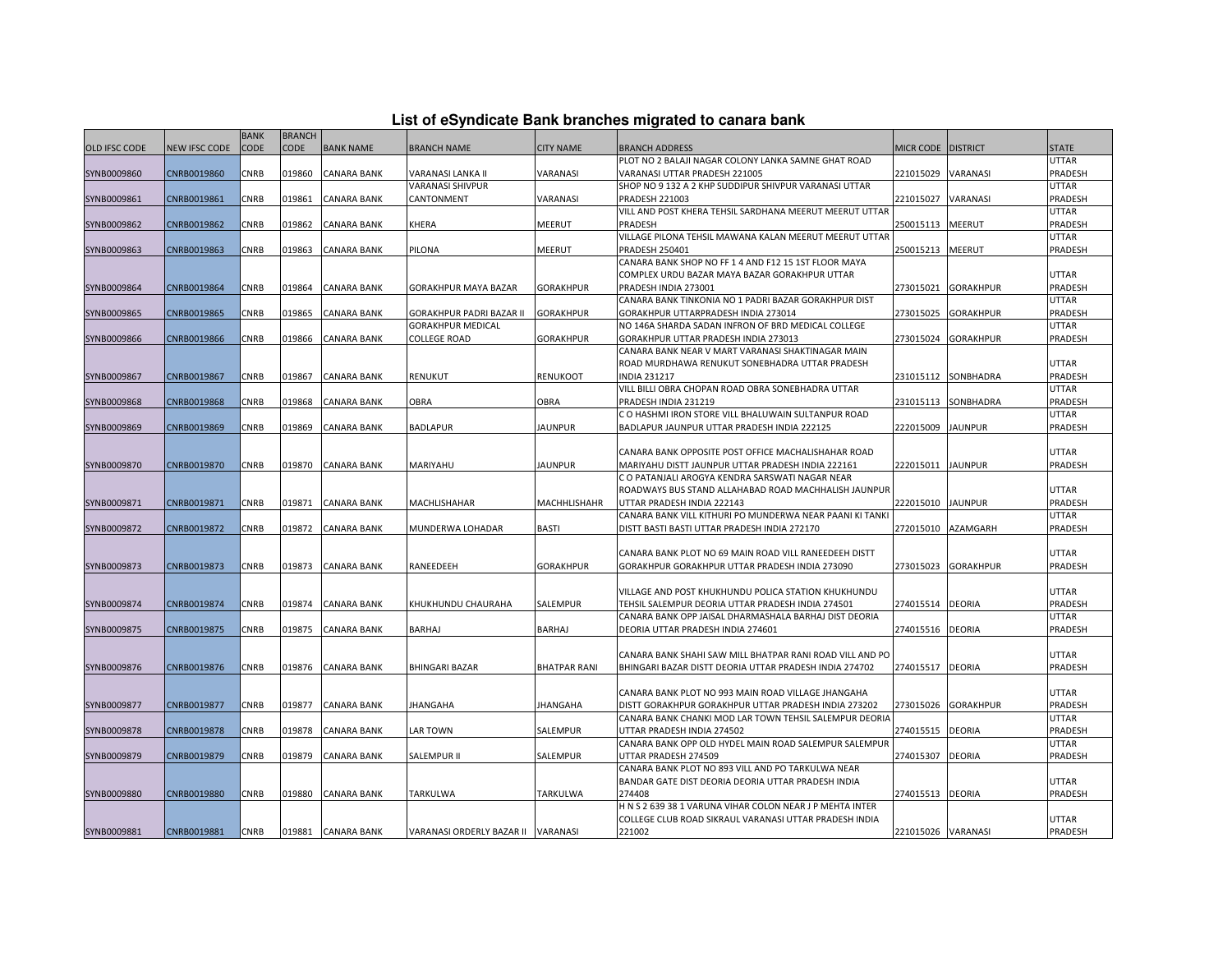| List of eSyndicate Bank branches migrated to canara bank |  |  |  |
|----------------------------------------------------------|--|--|--|
|----------------------------------------------------------|--|--|--|

|                      |               | <b>BANK</b> | <b>BRANCH</b> |                    |                                    |                     |                                                          |                    |                  |              |
|----------------------|---------------|-------------|---------------|--------------------|------------------------------------|---------------------|----------------------------------------------------------|--------------------|------------------|--------------|
| <b>OLD IFSC CODE</b> | NEW IFSC CODE | CODE        | CODE          | <b>BANK NAME</b>   | <b>BRANCH NAME</b>                 | <b>CITY NAME</b>    | <b>BRANCH ADDRESS</b>                                    | <b>MICR CODE</b>   | <b>DISTRICT</b>  | <b>STATE</b> |
|                      |               |             |               |                    |                                    |                     | PLOT NO 2 BALAJI NAGAR COLONY LANKA SAMNE GHAT ROAD      |                    |                  | <b>UTTAR</b> |
| SYNB0009860          | CNRB0019860   | CNRB        | 019860        | <b>CANARA BANK</b> | VARANASI LANKA II                  | VARANASI            | VARANASI UTTAR PRADESH 221005                            | 221015029          | VARANASI         | PRADESH      |
|                      |               |             |               |                    | VARANASI SHIVPUR                   |                     | SHOP NO 9 132 A 2 KHP SUDDIPUR SHIVPUR VARANASI UTTAR    |                    |                  | <b>UTTAR</b> |
| SYNB0009861          | CNRB0019861   | <b>CNRB</b> | 019861        | <b>CANARA BANK</b> | CANTONMENT                         | VARANASI            | <b>PRADESH 221003</b>                                    | 221015027          | VARANASI         | PRADESH      |
|                      |               |             |               |                    |                                    |                     | VILL AND POST KHERA TEHSIL SARDHANA MEERUT MEERUT UTTAR  |                    |                  | <b>UTTAR</b> |
| SYNB0009862          | CNRB0019862   | CNRB        | 019862        | <b>CANARA BANK</b> | KHERA                              | MEERUT              | PRADESH                                                  | 250015113          | MEERUT           | PRADESH      |
|                      |               |             |               |                    |                                    |                     | VILLAGE PILONA TEHSIL MAWANA KALAN MEERUT MEERUT UTTAR   |                    |                  | UTTAR        |
| SYNB0009863          | CNRB0019863   | CNRB        | 019863        | <b>CANARA BANK</b> | PILONA                             | <b>MEERUT</b>       | <b>PRADESH 250401</b>                                    | 250015213          | MEERUT           | PRADESH      |
|                      |               |             |               |                    |                                    |                     | CANARA BANK SHOP NO FF 1 4 AND F12 15 1ST FLOOR MAYA     |                    |                  |              |
|                      |               |             |               |                    |                                    |                     | COMPLEX URDU BAZAR MAYA BAZAR GORAKHPUR UTTAR            |                    |                  | UTTAR        |
| SYNB0009864          | CNRB0019864   | CNRB        | 019864        | <b>CANARA BANK</b> | GORAKHPUR MAYA BAZAR               | <b>GORAKHPUR</b>    | PRADESH INDIA 273001                                     | 273015021          | <b>GORAKHPUR</b> | PRADESH      |
|                      |               |             |               |                    |                                    |                     | CANARA BANK TINKONIA NO 1 PADRI BAZAR GORAKHPUR DIST     |                    |                  | <b>UTTAR</b> |
| SYNB0009865          | CNRB0019865   | CNRB        | 019865        | <b>CANARA BANK</b> | GORAKHPUR PADRI BAZAR II           | <b>GORAKHPUR</b>    | GORAKHPUR UTTARPRADESH INDIA 273014                      | 273015025          | <b>GORAKHPUR</b> | PRADESH      |
|                      |               |             |               |                    | GORAKHPUR MEDICAL                  |                     | NO 146A SHARDA SADAN INFRON OF BRD MEDICAL COLLEGE       |                    |                  | <b>UTTAR</b> |
| SYNB0009866          | CNRB0019866   | CNRB        | 019866        | <b>CANARA BANK</b> | COLLEGE ROAD                       | GORAKHPUR           | GORAKHPUR UTTAR PRADESH INDIA 273013                     | 273015024          | GORAKHPUR        | PRADESH      |
|                      |               |             |               |                    |                                    |                     | CANARA BANK NEAR V MART VARANASI SHAKTINAGAR MAIN        |                    |                  |              |
|                      |               |             |               |                    |                                    |                     | ROAD MURDHAWA RENUKUT SONEBHADRA UTTAR PRADESH           |                    |                  | <b>UTTAR</b> |
| SYNB0009867          | CNRB0019867   | CNRB        | 019867        | <b>CANARA BANK</b> | RENUKUT                            | RENUKOOT            | <b>INDIA 231217</b>                                      | 231015112          | SONBHADRA        | PRADESH      |
|                      |               |             |               |                    |                                    |                     | VILL BILLI OBRA CHOPAN ROAD OBRA SONEBHADRA UTTAR        |                    |                  | UTTAR        |
| SYNB0009868          | CNRB0019868   | CNRB        | 019868        | <b>CANARA BANK</b> | <b>OBRA</b>                        | <b>OBRA</b>         | PRADESH INDIA 231219                                     | 231015113          | SONBHADRA        | PRADESH      |
|                      |               |             |               |                    |                                    |                     | C O HASHMI IRON STORE VILL BHALUWAIN SULTANPUR ROAD      |                    |                  | <b>UTTAR</b> |
| SYNB0009869          | CNRB0019869   | CNRB        | 019869        | <b>CANARA BANK</b> | <b>BADLAPUR</b>                    | <b>JAUNPUR</b>      | BADLAPUR JAUNPUR UTTAR PRADESH INDIA 222125              | 222015009          | <b>JAUNPUR</b>   | PRADESH      |
|                      |               |             |               |                    |                                    |                     |                                                          |                    |                  |              |
|                      |               |             |               |                    |                                    |                     | CANARA BANK OPPOSITE POST OFFICE MACHALISHAHAR ROAD      |                    |                  | <b>UTTAR</b> |
| SYNB0009870          | CNRB0019870   | <b>CNRB</b> | 019870        | <b>CANARA BANK</b> | MARIYAHU                           | <b>JAUNPUR</b>      | MARIYAHU DISTT JAUNPUR UTTAR PRADESH INDIA 222161        | 222015011          | <b>JAUNPUR</b>   | PRADESH      |
|                      |               |             |               |                    |                                    |                     | C O PATANJALI AROGYA KENDRA SARSWATI NAGAR NEAR          |                    |                  |              |
|                      |               |             |               |                    |                                    |                     | ROADWAYS BUS STAND ALLAHABAD ROAD MACHHALISH JAUNPUR     |                    |                  | <b>UTTAR</b> |
| SYNB0009871          | CNRB0019871   | <b>CNRB</b> | 019871        | <b>CANARA BANK</b> | MACHLISHAHAR                       | <b>MACHHLISHAHR</b> | UTTAR PRADESH INDIA 222143                               | 222015010          | <b>JAUNPUR</b>   | PRADESH      |
|                      |               |             |               |                    |                                    |                     | CANARA BANK VILL KITHURI PO MUNDERWA NEAR PAANI KI TANKI |                    |                  | <b>UTTAR</b> |
| SYNB0009872          | CNRB0019872   | CNRB        | 019872        | <b>CANARA BANK</b> | MUNDERWA LOHADAR                   | BASTI               | DISTT BASTI BASTI UTTAR PRADESH INDIA 272170             | 272015010          | AZAMGARH         | PRADESH      |
|                      |               |             |               |                    |                                    |                     |                                                          |                    |                  |              |
|                      |               |             |               |                    |                                    |                     | CANARA BANK PLOT NO 69 MAIN ROAD VILL RANEEDEEH DISTT    |                    |                  | <b>UTTAR</b> |
| SYNB0009873          | CNRB0019873   | <b>CNRB</b> |               | 019873 CANARA BANK | RANEEDEEH                          | <b>GORAKHPUR</b>    | GORAKHPUR GORAKHPUR UTTAR PRADESH INDIA 273090           | 273015023          | <b>GORAKHPUR</b> | PRADESH      |
|                      |               |             |               |                    |                                    |                     |                                                          |                    |                  |              |
|                      |               |             |               |                    |                                    |                     | VILLAGE AND POST KHUKHUNDU POLICA STATION KHUKHUNDU      |                    |                  | <b>UTTAR</b> |
| SYNB0009874          | CNRB0019874   | <b>CNRB</b> | 019874        | <b>CANARA BANK</b> | KHUKHUNDU CHAURAHA                 | SALEMPUR            | TEHSIL SALEMPUR DEORIA UTTAR PRADESH INDIA 274501        | 274015514          | <b>DEORIA</b>    | PRADESH      |
|                      |               |             |               |                    |                                    |                     | CANARA BANK OPP JAISAL DHARMASHALA BARHAJ DIST DEORIA    |                    |                  | <b>UTTAR</b> |
| SYNB0009875          | CNRB0019875   | CNRB        | 019875        | <b>CANARA BANK</b> | BARHAJ                             | <b>BARHAJ</b>       | DEORIA UTTAR PRADESH INDIA 274601                        | 274015516          | <b>DEORIA</b>    | PRADESH      |
|                      |               |             |               |                    |                                    |                     |                                                          |                    |                  |              |
|                      |               |             |               |                    |                                    |                     | CANARA BANK SHAHI SAW MILL BHATPAR RANI ROAD VILL AND PO |                    |                  | UTTAR        |
| SYNB0009876          | CNRB0019876   | <b>CNRB</b> | 019876        | <b>CANARA BANK</b> | <b>BHINGARI BAZAR</b>              | <b>BHATPAR RANI</b> | BHINGARI BAZAR DISTT DEORIA UTTAR PRADESH INDIA 274702   | 274015517          | <b>DEORIA</b>    | PRADESH      |
|                      |               |             |               |                    |                                    |                     |                                                          |                    |                  |              |
|                      |               |             |               |                    |                                    |                     | CANARA BANK PLOT NO 993 MAIN ROAD VILLAGE JHANGAHA       |                    |                  | UTTAR        |
| SYNB0009877          | CNRB0019877   | <b>CNRB</b> | 019877        | <b>CANARA BANK</b> | <b>JHANGAHA</b>                    | <b>JHANGAHA</b>     | DISTT GORAKHPUR GORAKHPUR UTTAR PRADESH INDIA 273202     | 273015026          | <b>GORAKHPUR</b> | PRADESH      |
|                      |               |             |               |                    |                                    |                     | CANARA BANK CHANKI MOD LAR TOWN TEHSIL SALEMPUR DEORIA   |                    |                  | UTTAR        |
| SYNB0009878          | CNRB0019878   | CNRB        | 019878        | <b>CANARA BANK</b> | LAR TOWN                           | SALEMPUR            | UTTAR PRADESH INDIA 274502                               | 274015515          | DEORIA           | PRADESH      |
|                      |               |             |               |                    |                                    |                     | CANARA BANK OPP OLD HYDEL MAIN ROAD SALEMPUR SALEMPUR    |                    |                  | <b>UTTAR</b> |
| SYNB0009879          | CNRB0019879   | CNRB        | 019879        | CANARA BANK        | SALEMPUR II                        | SALEMPUR            | UTTAR PRADESH 274509                                     | 274015307          | <b>DEORIA</b>    | PRADESH      |
|                      |               |             |               |                    |                                    |                     | CANARA BANK PLOT NO 893 VILL AND PO TARKULWA NEAR        |                    |                  |              |
|                      |               |             |               |                    |                                    |                     | BANDAR GATE DIST DEORIA DEORIA UTTAR PRADESH INDIA       |                    |                  | <b>UTTAR</b> |
| SYNB0009880          | CNRB0019880   | <b>CNRB</b> | 019880        | <b>CANARA BANK</b> | TARKULWA                           | TARKULWA            | 274408                                                   | 274015513          | <b>DEORIA</b>    | PRADESH      |
|                      |               |             |               |                    |                                    |                     | H N S 2 639 38 1 VARUNA VIHAR COLON NEAR J P MEHTA INTER |                    |                  |              |
|                      |               |             |               |                    |                                    |                     | COLLEGE CLUB ROAD SIKRAUL VARANASI UTTAR PRADESH INDIA   |                    |                  | <b>UTTAR</b> |
| SYNB0009881          | CNRB0019881   | <b>CNRB</b> |               | 019881 CANARA BANK | VARANASI ORDERLY BAZAR II VARANASI |                     | 221002                                                   | 221015026 VARANASI |                  | PRADESH      |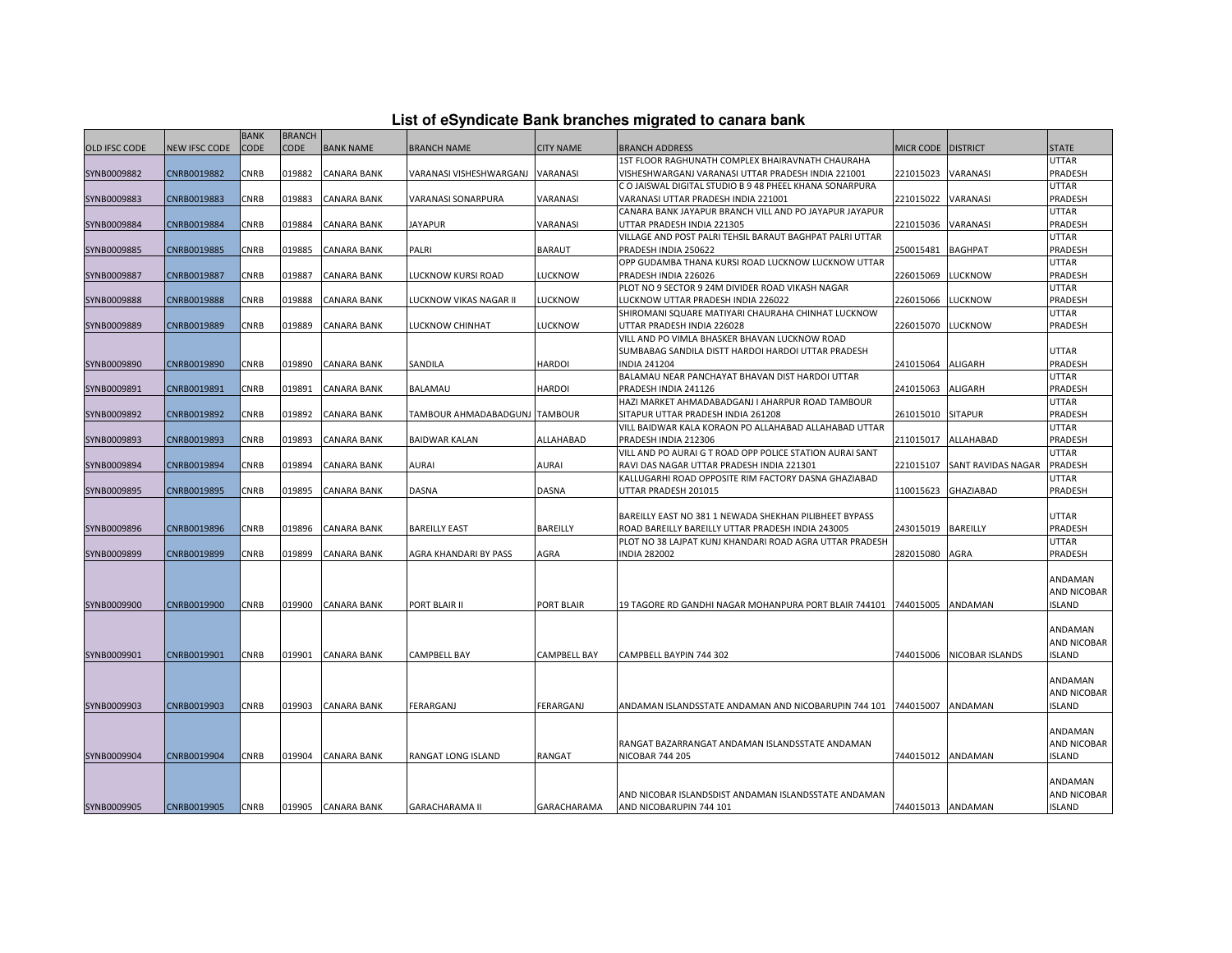| List of eSyndicate Bank branches migrated to canara bank |  |  |  |
|----------------------------------------------------------|--|--|--|
|----------------------------------------------------------|--|--|--|

|               |                      | <b>BANK</b> | <b>BRANCH</b> |                    |                                  |                     |                                                          |                    |                           |                    |
|---------------|----------------------|-------------|---------------|--------------------|----------------------------------|---------------------|----------------------------------------------------------|--------------------|---------------------------|--------------------|
| OLD IFSC CODE | <b>NEW IFSC CODE</b> | CODE        | <b>CODE</b>   | <b>BANK NAME</b>   | <b>BRANCH NAME</b>               | <b>CITY NAME</b>    | <b>BRANCH ADDRESS</b>                                    | MICR CODE DISTRICT |                           | <b>STATE</b>       |
|               |                      |             |               |                    |                                  |                     | 1ST FLOOR RAGHUNATH COMPLEX BHAIRAVNATH CHAURAHA         |                    |                           | <b>UTTAR</b>       |
| SYNB0009882   | CNRB0019882          | CNRB        | 019882        | <b>CANARA BANK</b> | VARANASI VISHESHWARGANJ VARANASI |                     | VISHESHWARGANJ VARANASI UTTAR PRADESH INDIA 221001       | 221015023          | VARANASI                  | PRADESH            |
|               |                      |             |               |                    |                                  |                     | C O JAISWAL DIGITAL STUDIO B 9 48 PHEEL KHANA SONARPURA  |                    |                           | <b>UTTAR</b>       |
| SYNB0009883   | CNRB0019883          | <b>CNRB</b> | 019883        | <b>CANARA BANK</b> | VARANASI SONARPURA               | VARANASI            | VARANASI UTTAR PRADESH INDIA 221001                      | 221015022          | VARANASI                  | PRADESH            |
|               |                      |             |               |                    |                                  |                     | CANARA BANK JAYAPUR BRANCH VILL AND PO JAYAPUR JAYAPUR   |                    |                           | <b>UTTAR</b>       |
| SYNB0009884   | CNRB0019884          | CNRB        | 019884        | <b>CANARA BANK</b> | <b>JAYAPUR</b>                   | VARANASI            | UTTAR PRADESH INDIA 221305                               | 221015036          | VARANASI                  | PRADESH            |
|               |                      |             |               |                    |                                  |                     | VILLAGE AND POST PALRI TEHSIL BARAUT BAGHPAT PALRI UTTAR |                    |                           | <b>UTTAR</b>       |
| SYNB0009885   | CNRB0019885          | CNRB        | 019885        | CANARA BANK        | PALRI                            | <b>BARAUT</b>       | PRADESH INDIA 250622                                     | 250015481          | <b>BAGHPAT</b>            | PRADESH            |
|               |                      |             |               |                    |                                  |                     | OPP GUDAMBA THANA KURSI ROAD LUCKNOW LUCKNOW UTTAR       |                    |                           | <b>UTTAR</b>       |
| SYNB0009887   | CNRB0019887          | CNRB        | 019887        | CANARA BANK        | LUCKNOW KURSI ROAD               | LUCKNOW             | PRADESH INDIA 226026                                     | 226015069          | <b>LUCKNOW</b>            | PRADESH            |
|               |                      |             |               |                    |                                  |                     | PLOT NO 9 SECTOR 9 24M DIVIDER ROAD VIKASH NAGAR         |                    |                           | <b>UTTAR</b>       |
| SYNB0009888   | CNRB0019888          | CNRB        | 019888        | CANARA BANK        | LUCKNOW VIKAS NAGAR II           | <b>LUCKNOW</b>      | LUCKNOW UTTAR PRADESH INDIA 226022                       | 226015066          | <b>LUCKNOW</b>            | PRADESH            |
|               |                      |             |               |                    |                                  |                     | SHIROMANI SQUARE MATIYARI CHAURAHA CHINHAT LUCKNOW       |                    |                           | <b>UTTAR</b>       |
| SYNB0009889   | CNRB0019889          | CNRB        | 019889        | CANARA BANK        | LUCKNOW CHINHAT                  | <b>LUCKNOW</b>      | UTTAR PRADESH INDIA 226028                               | 226015070          | <b>LUCKNOW</b>            | PRADESH            |
|               |                      |             |               |                    |                                  |                     | VILL AND PO VIMLA BHASKER BHAVAN LUCKNOW ROAD            |                    |                           |                    |
|               |                      |             |               |                    |                                  |                     | SUMBABAG SANDILA DISTT HARDOI HARDOI UTTAR PRADESH       |                    |                           | <b>UTTAR</b>       |
| SYNB0009890   | CNRB0019890          | CNRB        | 019890        | <b>CANARA BANK</b> | SANDILA                          | <b>HARDOI</b>       | <b>INDIA 241204</b>                                      | 241015064          | <b>ALIGARH</b>            | PRADESH            |
|               |                      |             |               |                    |                                  |                     | BALAMAU NEAR PANCHAYAT BHAVAN DIST HARDOI UTTAR          |                    |                           | <b>UTTAR</b>       |
| SYNB0009891   | CNRB0019891          | CNRB        | 019891        | CANARA BANK        | BALAMAU                          | HARDOI              | PRADESH INDIA 241126                                     | 241015063          | <b>ALIGARH</b>            | PRADESH            |
|               |                      |             |               |                    |                                  |                     | HAZI MARKET AHMADABADGANJ I AHARPUR ROAD TAMBOUR         |                    |                           | <b>UTTAR</b>       |
| SYNB0009892   | CNRB0019892          | CNRB        | 019892        | <b>CANARA BANK</b> | TAMBOUR AHMADABADGUNJ TAMBOUR    |                     | SITAPUR UTTAR PRADESH INDIA 261208                       | 261015010          | <b>SITAPUR</b>            | <b>PRADESH</b>     |
|               |                      |             |               |                    |                                  |                     | VILL BAIDWAR KALA KORAON PO ALLAHABAD ALLAHABAD UTTAR    |                    |                           | <b>UTTAR</b>       |
| SYNB0009893   | CNRB0019893          | CNRB        | 019893        | CANARA BANK        | <b>BAIDWAR KALAN</b>             | ALLAHABAD           | PRADESH INDIA 212306                                     | 211015017          | ALLAHABAD                 | PRADESH            |
|               |                      |             |               |                    |                                  |                     | VILL AND PO AURAI G T ROAD OPP POLICE STATION AURAI SANT |                    |                           | <b>UTTAR</b>       |
| SYNB0009894   | CNRB0019894          | CNRB        | 019894        | <b>CANARA BANK</b> | AURAI                            | <b>AURAI</b>        | RAVI DAS NAGAR UTTAR PRADESH INDIA 221301                | 221015107          | <b>SANT RAVIDAS NAGAR</b> | <b>PRADESH</b>     |
|               |                      |             |               |                    |                                  |                     | KALLUGARHI ROAD OPPOSITE RIM FACTORY DASNA GHAZIABAD     |                    |                           | <b>UTTAR</b>       |
| SYNB0009895   | CNRB0019895          | CNRB        | 019895        | <b>CANARA BANK</b> | DASNA                            | <b>DASNA</b>        | UTTAR PRADESH 201015                                     | 110015623          | <b>GHAZIABAD</b>          | PRADESH            |
|               |                      |             |               |                    |                                  |                     |                                                          |                    |                           |                    |
|               |                      |             |               |                    |                                  |                     | BAREILLY EAST NO 381 1 NEWADA SHEKHAN PILIBHEET BYPASS   |                    |                           | <b>UTTAR</b>       |
| SYNB0009896   | CNRB0019896          | <b>CNRB</b> | 019896        | <b>CANARA BANK</b> | <b>BAREILLY EAST</b>             | <b>BAREILLY</b>     | ROAD BAREILLY BAREILLY UTTAR PRADESH INDIA 243005        | 243015019          | <b>BAREILLY</b>           | PRADESH            |
|               |                      |             |               |                    |                                  |                     | PLOT NO 38 LAJPAT KUNJ KHANDARI ROAD AGRA UTTAR PRADESH  |                    |                           | <b>UTTAR</b>       |
| SYNB0009899   | CNRB0019899          | CNRB        | 019899        | <b>CANARA BANK</b> | AGRA KHANDARI BY PASS            | AGRA                | <b>INDIA 282002</b>                                      | 282015080          | AGRA                      | PRADESH            |
|               |                      |             |               |                    |                                  |                     |                                                          |                    |                           |                    |
|               |                      |             |               |                    |                                  |                     |                                                          |                    |                           | ANDAMAN            |
|               |                      |             |               |                    |                                  |                     |                                                          |                    |                           | AND NICOBAR        |
| SYNB0009900   | CNRB0019900          | <b>CNRB</b> |               | 019900 CANARA BANK | PORT BLAIR II                    | <b>PORT BLAIR</b>   | 19 TAGORE RD GANDHI NAGAR MOHANPURA PORT BLAIR 744101    | 744015005          | ANDAMAN                   | <b>ISLAND</b>      |
|               |                      |             |               |                    |                                  |                     |                                                          |                    |                           |                    |
|               |                      |             |               |                    |                                  |                     |                                                          |                    |                           | ANDAMAN            |
|               |                      |             |               |                    |                                  |                     |                                                          |                    |                           | AND NICOBAR        |
| SYNB0009901   | CNRB0019901          | CNRB        | 019901        | <b>CANARA BANK</b> | CAMPBELL BAY                     | <b>CAMPBELL BAY</b> | CAMPBELL BAYPIN 744 302                                  |                    | 744015006 NICOBAR ISLANDS | <b>ISLAND</b>      |
|               |                      |             |               |                    |                                  |                     |                                                          |                    |                           | ANDAMAN            |
|               |                      |             |               |                    |                                  |                     |                                                          |                    |                           | <b>AND NICOBAR</b> |
| SYNB0009903   | CNRB0019903          | CNRB        | 019903        | <b>CANARA BANK</b> | FERARGANJ                        | FERARGANJ           | ANDAMAN ISLANDSSTATE ANDAMAN AND NICOBARUPIN 744 101     | 744015007          | <b>ANDAMAN</b>            | <b>ISLAND</b>      |
|               |                      |             |               |                    |                                  |                     |                                                          |                    |                           |                    |
|               |                      |             |               |                    |                                  |                     |                                                          |                    |                           | ANDAMAN            |
|               |                      |             |               |                    |                                  |                     | RANGAT BAZARRANGAT ANDAMAN ISLANDSSTATE ANDAMAN          |                    |                           | <b>AND NICOBAR</b> |
| SYNB0009904   | CNRB0019904          | CNRB        | 019904        | <b>CANARA BANK</b> | <b>RANGAT LONG ISLAND</b>        | RANGAT              | <b>NICOBAR 744 205</b>                                   | 744015012 ANDAMAN  |                           | <b>ISLAND</b>      |
|               |                      |             |               |                    |                                  |                     |                                                          |                    |                           |                    |
|               |                      |             |               |                    |                                  |                     |                                                          |                    |                           | ANDAMAN            |
|               |                      |             |               |                    |                                  |                     | AND NICOBAR ISLANDSDIST ANDAMAN ISLANDSSTATE ANDAMAN     |                    |                           | AND NICOBAR        |
| SYNB0009905   | CNRB0019905          | <b>CNRB</b> |               | 019905 CANARA BANK | <b>GARACHARAMA II</b>            | GARACHARAMA         | AND NICOBARUPIN 744 101                                  | 744015013 ANDAMAN  |                           | <b>ISLAND</b>      |
|               |                      |             |               |                    |                                  |                     |                                                          |                    |                           |                    |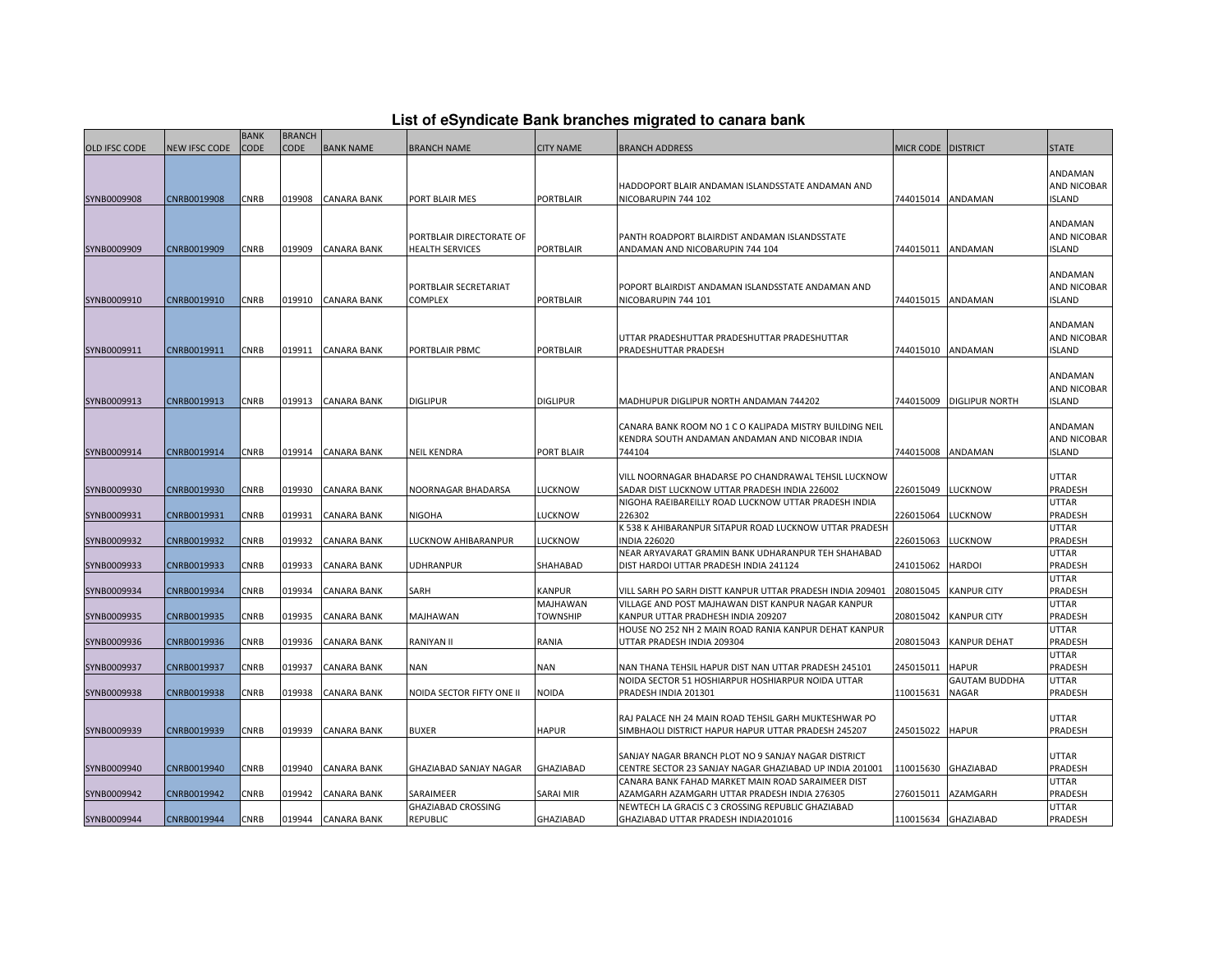## **List of eSyndicate Bank branches migrated to canara bank**

|                            |                            | <b>BANK</b> | <b>BRANCH</b> |                                   |                                                    |                             |                                                                                                                                                               |                    |                               |                                         |
|----------------------------|----------------------------|-------------|---------------|-----------------------------------|----------------------------------------------------|-----------------------------|---------------------------------------------------------------------------------------------------------------------------------------------------------------|--------------------|-------------------------------|-----------------------------------------|
| <b>OLD IFSC CODE</b>       | <b>NEW IFSC CODE</b>       | <b>CODE</b> | <b>CODE</b>   | <b>BANK NAME</b>                  | <b>BRANCH NAME</b>                                 | <b>CITY NAME</b>            | <b>BRANCH ADDRESS</b>                                                                                                                                         | MICR CODE DISTRICT |                               | <b>STATE</b>                            |
| SYNB0009908                | CNRB0019908                | CNRB        | 019908        | <b>CANARA BANK</b>                | PORT BLAIR MES                                     | <b>PORTBLAIR</b>            | HADDOPORT BLAIR ANDAMAN ISLANDSSTATE ANDAMAN AND<br>NICOBARUPIN 744 102                                                                                       | 744015014          | ANDAMAN                       | ANDAMAN<br>AND NICOBAR<br><b>ISLAND</b> |
| SYNB0009909                | CNRB0019909                | <b>CNRB</b> | 019909        | <b>CANARA BANK</b>                | PORTBLAIR DIRECTORATE OF<br><b>HEALTH SERVICES</b> | <b>PORTBLAIR</b>            | PANTH ROADPORT BLAIRDIST ANDAMAN ISLANDSSTATE<br>ANDAMAN AND NICOBARUPIN 744 104                                                                              | 744015011          | ANDAMAN                       | ANDAMAN<br>AND NICOBAR<br><b>ISLAND</b> |
| SYNB0009910                | CNRB0019910                | CNRB        | 019910        | <b>CANARA BANK</b>                | PORTBLAIR SECRETARIAT<br><b>COMPLEX</b>            | <b>PORTBLAIR</b>            | POPORT BLAIRDIST ANDAMAN ISLANDSSTATE ANDAMAN AND<br>NICOBARUPIN 744 101                                                                                      | 744015015          | ANDAMAN                       | ANDAMAN<br>AND NICOBAR<br><b>ISLAND</b> |
| SYNB0009911                | CNRB0019911                | CNRB        |               | 019911 CANARA BANK                | PORTBLAIR PBMC                                     | <b>PORTBLAIR</b>            | UTTAR PRADESHUTTAR PRADESHUTTAR PRADESHUTTAR<br>PRADESHUTTAR PRADESH                                                                                          | 744015010          | ANDAMAN                       | ANDAMAN<br>AND NICOBAR<br><b>ISLAND</b> |
| SYNB0009913                | CNRB0019913                | CNRB        | 019913        | <b>CANARA BANK</b>                | <b>DIGLIPUR</b>                                    | <b>DIGLIPUR</b>             | MADHUPUR DIGLIPUR NORTH ANDAMAN 744202                                                                                                                        | 744015009          | <b>DIGLIPUR NORTH</b>         | ANDAMAN<br>AND NICOBAR<br><b>ISLAND</b> |
| SYNB0009914                | CNRB0019914                | CNRB        | 019914        | <b>CANARA BANK</b>                | <b>NEIL KENDRA</b>                                 | <b>PORT BLAIR</b>           | CANARA BANK ROOM NO 1 C O KALIPADA MISTRY BUILDING NEIL<br>KENDRA SOUTH ANDAMAN ANDAMAN AND NICOBAR INDIA<br>744104                                           | 744015008          | ANDAMAN                       | ANDAMAN<br>AND NICOBAR<br><b>ISLAND</b> |
| SYNB0009930                | CNRB0019930                | <b>CNRB</b> | 019930        | <b>CANARA BANK</b>                | NOORNAGAR BHADARSA                                 | <b>LUCKNOW</b>              | VILL NOORNAGAR BHADARSE PO CHANDRAWAL TEHSIL LUCKNOW<br>SADAR DIST LUCKNOW UTTAR PRADESH INDIA 226002<br>NIGOHA RAEIBAREILLY ROAD LUCKNOW UTTAR PRADESH INDIA | 226015049          | <b>LUCKNOW</b>                | <b>UTTAR</b><br>PRADESH<br>UTTAR        |
| SYNB0009931                | CNRB0019931                | CNRB        | 019931        | <b>CANARA BANK</b>                | <b>NIGOHA</b>                                      | <b>LUCKNOW</b>              | 226302                                                                                                                                                        | 226015064          | LUCKNOW                       | PRADESH                                 |
|                            |                            | <b>CNRB</b> | 019932        |                                   |                                                    |                             | K 538 K AHIBARANPUR SITAPUR ROAD LUCKNOW UTTAR PRADESH                                                                                                        | 226015063          | LUCKNOW                       | UTTAR<br>PRADESH                        |
| SYNB0009932<br>SYNB0009933 | CNRB0019932<br>CNRB0019933 | <b>CNRB</b> | 019933        | CANARA BANK<br><b>CANARA BANK</b> | LUCKNOW AHIBARANPUR<br><b>UDHRANPUR</b>            | LUCKNOW<br>SHAHABAD         | <b>INDIA 226020</b><br>NEAR ARYAVARAT GRAMIN BANK UDHARANPUR TEH SHAHABAD<br>DIST HARDOI UTTAR PRADESH INDIA 241124                                           | 241015062          | <b>HARDOI</b>                 | UTTAR<br>PRADESH                        |
| SYNB0009934                | CNRB0019934                | CNRB        | 019934        | CANARA BANK                       | SARH                                               | <b>KANPUR</b>               | VILL SARH PO SARH DISTT KANPUR UTTAR PRADESH INDIA 209401                                                                                                     | 208015045          | <b>KANPUR CITY</b>            | UTTAR<br>PRADESH                        |
| SYNB0009935                | CNRB0019935                | CNRB        | 019935        | CANARA BANK                       | MAJHAWAN                                           | MAJHAWAN<br><b>TOWNSHIP</b> | VILLAGE AND POST MAJHAWAN DIST KANPUR NAGAR KANPUR<br>KANPUR UTTAR PRADHESH INDIA 209207                                                                      | 208015042          | <b>KANPUR CITY</b>            | UTTAR<br>PRADESH                        |
| SYNB0009936                | CNRB0019936                | <b>CNRB</b> | 019936        | <b>CANARA BANK</b>                | RANIYAN II                                         | RANIA                       | HOUSE NO 252 NH 2 MAIN ROAD RANIA KANPUR DEHAT KANPUR<br>UTTAR PRADESH INDIA 209304                                                                           | 208015043          | KANPUR DEHAT                  | UTTAR<br>PRADESH                        |
| SYNB0009937                | CNRB0019937                | CNRB        | 019937        | <b>CANARA BANK</b>                | <b>NAN</b>                                         | <b>NAN</b>                  | NAN THANA TEHSIL HAPUR DIST NAN UTTAR PRADESH 245101                                                                                                          | 245015011          | <b>HAPUR</b>                  | UTTAR<br>PRADESH                        |
| SYNB0009938                | CNRB0019938                | CNRB        | 019938        | <b>CANARA BANK</b>                | NOIDA SECTOR FIFTY ONE II                          | <b>NOIDA</b>                | NOIDA SECTOR 51 HOSHIARPUR HOSHIARPUR NOIDA UTTAR<br>PRADESH INDIA 201301                                                                                     | 110015631          | <b>GAUTAM BUDDHA</b><br>NAGAR | UTTAR<br>PRADESH                        |
| SYNB0009939                | CNRB0019939                | CNRB        | 019939        | <b>CANARA BANK</b>                | <b>BUXER</b>                                       | <b>HAPUR</b>                | RAJ PALACE NH 24 MAIN ROAD TEHSIL GARH MUKTESHWAR PO<br>SIMBHAOLI DISTRICT HAPUR HAPUR UTTAR PRADESH 245207                                                   | 245015022          | <b>HAPUR</b>                  | UTTAR<br>PRADESH                        |
| SYNB0009940                | CNRB0019940                | CNRB        | 019940        | <b>CANARA BANK</b>                | GHAZIABAD SANJAY NAGAR                             | <b>GHAZIABAD</b>            | SANJAY NAGAR BRANCH PLOT NO 9 SANJAY NAGAR DISTRICT<br>CENTRE SECTOR 23 SANJAY NAGAR GHAZIABAD UP INDIA 201001                                                | 110015630          | GHAZIABAD                     | UTTAR<br>PRADESH                        |
| SYNB0009942                | CNRB0019942                | <b>CNRB</b> | 019942        | CANARA BANK                       | SARAIMEER                                          | SARAI MIR                   | CANARA BANK FAHAD MARKET MAIN ROAD SARAIMEER DIST<br>AZAMGARH AZAMGARH UTTAR PRADESH INDIA 276305                                                             | 276015011          | AZAMGARH                      | UTTAR<br>PRADESH                        |
| SYNB0009944                | CNRB0019944                | CNRB        | 019944        | <b>CANARA BANK</b>                | GHAZIABAD CROSSING<br>REPUBLIC                     | <b>GHAZIABAD</b>            | NEWTECH LA GRACIS C 3 CROSSING REPUBLIC GHAZIABAD<br>GHAZIABAD UTTAR PRADESH INDIA201016                                                                      |                    | 110015634 GHAZIABAD           | UTTAR<br>PRADESH                        |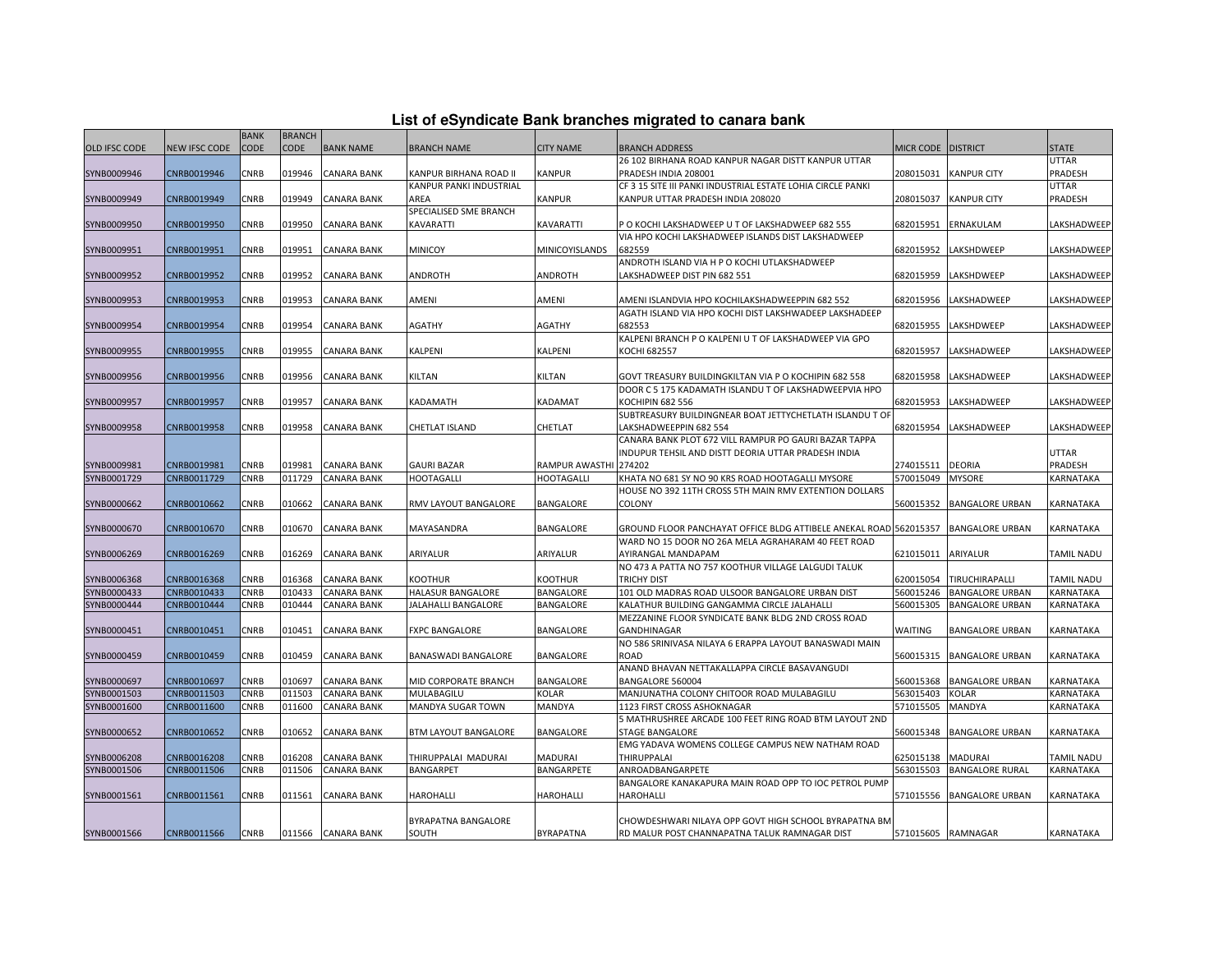| List of eSyndicate Bank branches migrated to canara bank |  |  |
|----------------------------------------------------------|--|--|
|                                                          |  |  |

|                            |                            | <b>BANK</b>  | <b>BRANCH</b>    |                    |                                |                       |                                                                              |                        |                                |                         |
|----------------------------|----------------------------|--------------|------------------|--------------------|--------------------------------|-----------------------|------------------------------------------------------------------------------|------------------------|--------------------------------|-------------------------|
| <b>OLD IFSC CODE</b>       | NEW IFSC CODE              | CODE         | <b>CODE</b>      | <b>BANK NAME</b>   | <b>BRANCH NAME</b>             | <b>CITY NAME</b>      | <b>BRANCH ADDRESS</b>                                                        | MICR CODE DISTRICT     |                                | <b>STATE</b>            |
|                            |                            |              |                  |                    |                                |                       | 26 102 BIRHANA ROAD KANPUR NAGAR DISTT KANPUR UTTAR                          |                        |                                | <b>UTTAR</b>            |
| SYNB0009946                | CNRB0019946                | CNRB         | 019946           | <b>CANARA BANK</b> | KANPUR BIRHANA ROAD II         | <b>KANPUR</b>         | PRADESH INDIA 208001                                                         | 208015031              | <b>KANPUR CITY</b>             | PRADESH                 |
|                            |                            |              |                  |                    | <b>KANPUR PANKI INDUSTRIAL</b> |                       | CF 3 15 SITE III PANKI INDUSTRIAL ESTATE LOHIA CIRCLE PANKI                  |                        |                                | <b>UTTAR</b>            |
| SYNB0009949                | CNRB0019949                | CNRB         | 019949           | CANARA BANK        | AREA                           | <b>KANPUR</b>         | KANPUR UTTAR PRADESH INDIA 208020                                            | 208015037              | <b>KANPUR CITY</b>             | PRADESH                 |
|                            |                            |              |                  |                    | SPECIALISED SME BRANCH         |                       |                                                                              |                        |                                |                         |
| SYNB0009950                | CNRB0019950                | CNRB         | 019950           | <b>CANARA BANK</b> | KAVARATTI                      | <b>KAVARATTI</b>      | P O KOCHI LAKSHADWEEP U T OF LAKSHADWEEP 682 555                             | 682015951              | <b>ERNAKULAM</b>               | LAKSHADWEEF             |
|                            |                            |              |                  |                    |                                |                       | VIA HPO KOCHI LAKSHADWEEP ISLANDS DIST LAKSHADWEEP                           |                        |                                |                         |
| SYNB0009951                | CNRB0019951                | CNRB         | 019951           | <b>CANARA BANK</b> | <b>MINICOY</b>                 | MINICOYISLANDS        | 682559                                                                       | 682015952              | LAKSHDWEEP                     | LAKSHADWEEF             |
| SYNB0009952                | CNRB0019952                | CNRB         | 019952           | CANARA BANK        | ANDROTH                        | ANDROTH               | ANDROTH ISLAND VIA H P O KOCHI UTLAKSHADWEEP<br>LAKSHADWEEP DIST PIN 682 551 | 682015959              | LAKSHDWEEP                     | LAKSHADWEEP             |
|                            |                            |              |                  |                    |                                |                       |                                                                              |                        |                                |                         |
| SYNB0009953                | CNRB0019953                | CNRB         | 019953           | CANARA BANK        | AMENI                          | AMENI                 | AMENI ISLANDVIA HPO KOCHILAKSHADWEEPPIN 682 552                              | 682015956              | LAKSHADWEEP                    | LAKSHADWEEF             |
|                            |                            |              |                  |                    |                                |                       | AGATH ISLAND VIA HPO KOCHI DIST LAKSHWADEEP LAKSHADEEP                       |                        |                                |                         |
| SYNB0009954                | CNRB0019954                | CNRB         | 019954           | <b>CANARA BANK</b> | AGATHY                         | <b>AGATHY</b>         | 682553                                                                       | 682015955              | LAKSHDWEEP                     | LAKSHADWEEF             |
|                            |                            |              |                  |                    |                                |                       | KALPENI BRANCH P O KALPENI U T OF LAKSHADWEEP VIA GPO                        |                        |                                |                         |
| SYNB0009955                | CNRB0019955                | CNRB         | 019955           | CANARA BANK        | KALPENI                        | KALPENI               | KOCHI 682557                                                                 | 682015957              | LAKSHADWEEP                    | LAKSHADWEEP             |
|                            |                            |              |                  |                    |                                |                       |                                                                              |                        |                                |                         |
| SYNB0009956                | CNRB0019956                | CNRB         | 019956           | <b>CANARA BANK</b> | KILTAN                         | KILTAN                | GOVT TREASURY BUILDINGKILTAN VIA P O KOCHIPIN 682 558                        | 682015958              | LAKSHADWEEP                    | LAKSHADWEEF             |
|                            |                            |              |                  |                    |                                |                       | DOOR C 5 175 KADAMATH ISLANDU T OF LAKSHADWEEPVIA HPO                        |                        |                                |                         |
| SYNB0009957                | CNRB0019957                | CNRB         | 019957           | <b>CANARA BANK</b> | KADAMATH                       | KADAMAT               | <b>KOCHIPIN 682 556</b>                                                      | 682015953              | LAKSHADWEEP                    | LAKSHADWEEP             |
|                            |                            |              |                  |                    |                                |                       | SUBTREASURY BUILDINGNEAR BOAT JETTYCHETLATH ISLANDU TO                       |                        |                                |                         |
| SYNB0009958                | CNRB0019958                | CNRB         | 019958           | <b>CANARA BANK</b> | CHETLAT ISLAND                 | CHETLAT               | LAKSHADWEEPPIN 682 554                                                       | 682015954              | LAKSHADWEEP                    | LAKSHADWEEP             |
|                            |                            |              |                  |                    |                                |                       | CANARA BANK PLOT 672 VILL RAMPUR PO GAURI BAZAR TAPPA                        |                        |                                |                         |
|                            |                            |              |                  | <b>CANARA BANK</b> | <b>GAURI BAZAR</b>             | RAMPUR AWASTHI 274202 | INDUPUR TEHSIL AND DISTT DEORIA UTTAR PRADESH INDIA                          |                        |                                | <b>UTTAR</b><br>PRADESH |
| SYNB0009981<br>SYNB0001729 | CNRB0019981<br>CNRB0011729 | CNRB<br>CNRB | 019981<br>011729 | <b>CANARA BANK</b> | <b>HOOTAGALLI</b>              | HOOTAGALLI            | KHATA NO 681 SY NO 90 KRS ROAD HOOTAGALLI MYSORE                             | 274015511<br>570015049 | <b>DEORIA</b><br><b>MYSORE</b> | KARNATAKA               |
|                            |                            |              |                  |                    |                                |                       | HOUSE NO 392 11TH CROSS 5TH MAIN RMV EXTENTION DOLLARS                       |                        |                                |                         |
| SYNB0000662                | CNRB0010662                | CNRB         | 010662           | CANARA BANK        | RMV LAYOUT BANGALORE           | BANGALORE             | COLONY                                                                       | 560015352              | <b>BANGALORE URBAN</b>         | KARNATAKA               |
|                            |                            |              |                  |                    |                                |                       |                                                                              |                        |                                |                         |
| SYNB0000670                | CNRB0010670                | CNRB         | 010670           | CANARA BANK        | MAYASANDRA                     | BANGALORE             | GROUND FLOOR PANCHAYAT OFFICE BLDG ATTIBELE ANEKAL ROAD 562015357            |                        | <b>BANGALORE URBAN</b>         | KARNATAKA               |
|                            |                            |              |                  |                    |                                |                       | WARD NO 15 DOOR NO 26A MELA AGRAHARAM 40 FEET ROAD                           |                        |                                |                         |
| SYNB0006269                | CNRB0016269                | CNRB         | 016269           | <b>CANARA BANK</b> | ARIYALUR                       | ARIYALUR              | AYIRANGAL MANDAPAM                                                           | 621015011              | ARIYALUR                       | <b>TAMIL NADU</b>       |
|                            |                            |              |                  |                    |                                |                       | NO 473 A PATTA NO 757 KOOTHUR VILLAGE LALGUDI TALUK                          |                        |                                |                         |
| SYNB0006368                | CNRB0016368                | CNRB         | 016368           | CANARA BANK        | KOOTHUR                        | <b>KOOTHUR</b>        | <b>TRICHY DIST</b>                                                           | 620015054              | TIRUCHIRAPALLI                 | <b>TAMIL NADU</b>       |
| SYNB0000433                | CNRB0010433                | CNRB         | 010433           | CANARA BANK        | HALASUR BANGALORE              | <b>BANGALORE</b>      | 101 OLD MADRAS ROAD ULSOOR BANGALORE URBAN DIST                              | 560015246              | <b>BANGALORE URBAN</b>         | KARNATAKA               |
| SYNB0000444                | CNRB0010444                | CNRB         | 010444           | CANARA BANK        | JALAHALLI BANGALORE            | <b>BANGALORE</b>      | KALATHUR BUILDING GANGAMMA CIRCLE JALAHALLI                                  | 560015305              | <b>BANGALORE URBAN</b>         | KARNATAKA               |
|                            |                            |              |                  |                    |                                |                       | MEZZANINE FLOOR SYNDICATE BANK BLDG 2ND CROSS ROAD                           |                        |                                |                         |
| SYNB0000451                | CNRB0010451                | CNRB         | 010451           | <b>CANARA BANK</b> | <b>FXPC BANGALORE</b>          | <b>BANGALORE</b>      | <b>GANDHINAGAR</b><br>NO 586 SRINIVASA NILAYA 6 ERAPPA LAYOUT BANASWADI MAIN | <b>WAITING</b>         | <b>BANGALORE URBAN</b>         | KARNATAKA               |
| SYNB0000459                | CNRB0010459                | CNRB         | 010459           | CANARA BANK        | BANASWADI BANGALORE            | BANGALORE             | ROAD                                                                         | 560015315              | <b>BANGALORE URBAN</b>         | KARNATAKA               |
|                            |                            |              |                  |                    |                                |                       | ANAND BHAVAN NETTAKALLAPPA CIRCLE BASAVANGUDI                                |                        |                                |                         |
| SYNB0000697                | CNRB0010697                | CNRB         | 010697           | <b>CANARA BANK</b> | MID CORPORATE BRANCH           | <b>BANGALORE</b>      | BANGALORE 560004                                                             | 560015368              | <b>BANGALORE URBAN</b>         | KARNATAKA               |
| SYNB0001503                | CNRB0011503                | CNRB         | 011503           | <b>CANARA BANK</b> | MULABAGILU                     | KOLAR                 | MANJUNATHA COLONY CHITOOR ROAD MULABAGILU                                    | 563015403              | <b>KOLAR</b>                   | KARNATAKA               |
| SYNB0001600                | CNRB0011600                | CNRB         | 011600           | CANARA BANK        | MANDYA SUGAR TOWN              | MANDYA                | 1123 FIRST CROSS ASHOKNAGAR                                                  | 571015505              | MANDYA                         | KARNATAKA               |
|                            |                            |              |                  |                    |                                |                       | 5 MATHRUSHREE ARCADE 100 FEET RING ROAD BTM LAYOUT 2ND                       |                        |                                |                         |
| SYNB0000652                | CNRB0010652                | CNRB         | 010652           | CANARA BANK        | <b>BTM LAYOUT BANGALORE</b>    | <b>BANGALORE</b>      | STAGE BANGALORE                                                              | 560015348              | <b>BANGALORE URBAN</b>         | KARNATAKA               |
|                            |                            |              |                  |                    |                                |                       | EMG YADAVA WOMENS COLLEGE CAMPUS NEW NATHAM ROAD                             |                        |                                |                         |
| SYNB0006208                | CNRB0016208                | CNRB         | 016208           | CANARA BANK        | THIRUPPALAI MADURAI            | MADURAI               | THIRUPPALAI                                                                  | 625015138              | <b>MADURAI</b>                 | TAMIL NADU              |
| SYNB0001506                | CNRB0011506                | CNRB         | 011506           | CANARA BANK        | BANGARPET                      | BANGARPETE            | ANROADBANGARPETE                                                             | 563015503              | <b>BANGALORE RURAL</b>         | KARNATAKA               |
|                            |                            |              |                  |                    |                                |                       | BANGALORE KANAKAPURA MAIN ROAD OPP TO IOC PETROL PUMP                        |                        |                                |                         |
| SYNB0001561                | CNRB0011561                | CNRB         | 011561           | <b>CANARA BANK</b> | HAROHALLI                      | HAROHALLI             | <b>HAROHALLI</b>                                                             | 571015556              | <b>BANGALORE URBAN</b>         | KARNATAKA               |
|                            |                            |              |                  |                    |                                |                       |                                                                              |                        |                                |                         |
|                            |                            |              |                  |                    | BYRAPATNA BANGALORE            |                       | CHOWDESHWARI NILAYA OPP GOVT HIGH SCHOOL BYRAPATNA BM                        |                        |                                |                         |
| SYNB0001566                | CNRB0011566                | <b>CNRB</b>  |                  | 011566 CANARA BANK | SOUTH                          | <b>BYRAPATNA</b>      | RD MALUR POST CHANNAPATNA TALUK RAMNAGAR DIST                                |                        | 571015605 RAMNAGAR             | KARNATAKA               |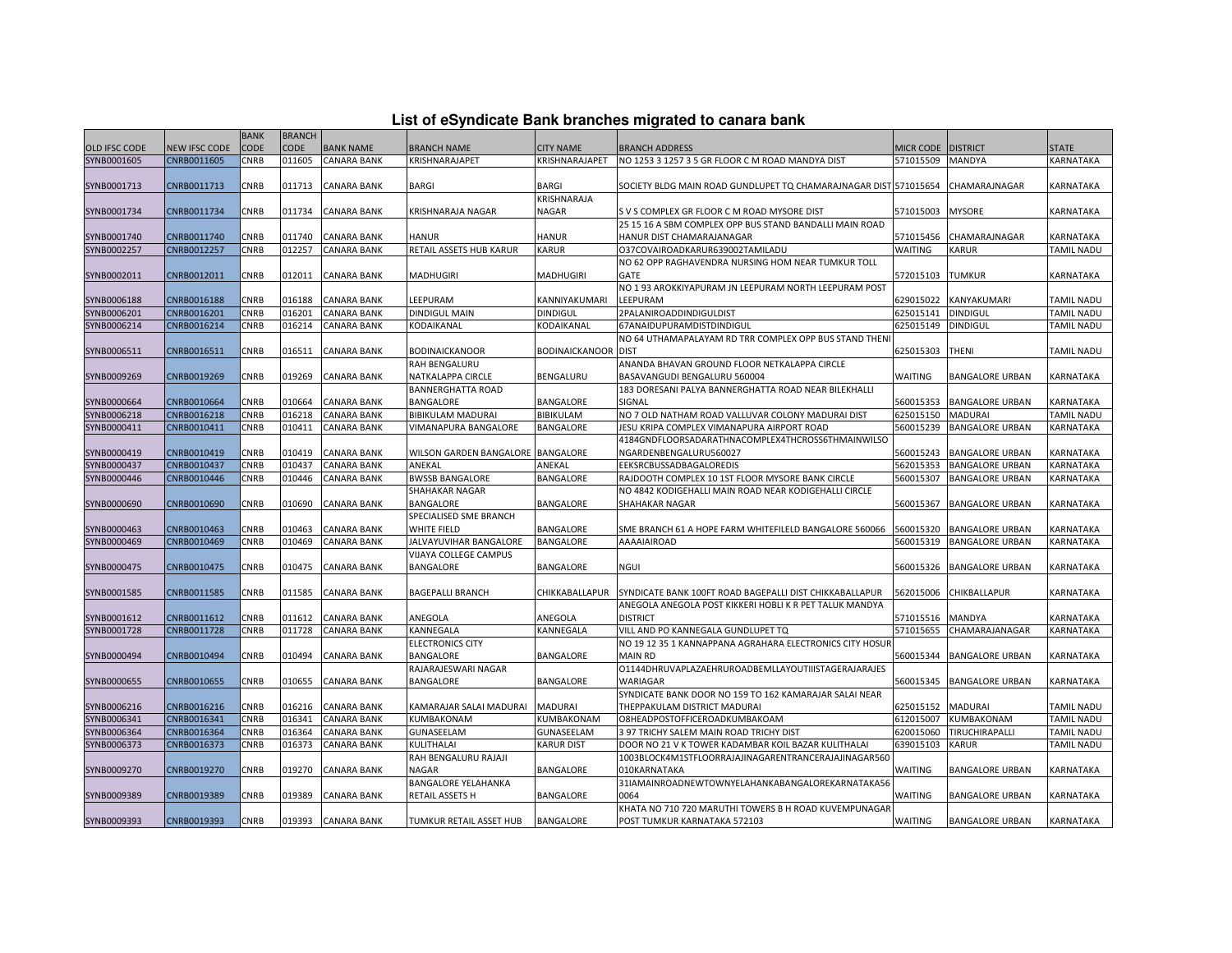| List of eSyndicate Bank branches migrated to canara bank |  |  |
|----------------------------------------------------------|--|--|
|                                                          |  |  |

|                      |               | <b>BANK</b> | <b>BRANCH</b> |                    |                                   |                       |                                                                  |                  |                        |              |
|----------------------|---------------|-------------|---------------|--------------------|-----------------------------------|-----------------------|------------------------------------------------------------------|------------------|------------------------|--------------|
| <b>OLD IFSC CODE</b> | NEW IFSC CODE | CODE        | <b>CODE</b>   | <b>BANK NAME</b>   | BRANCH NAME                       | CITY NAME             | <b>BRANCH ADDRESS</b>                                            | <b>MICR CODE</b> | <b>DISTRICT</b>        | <b>STATE</b> |
| SYNB0001605          | CNRB0011605   | CNRB        | 011605        | <b>CANARA BANK</b> | KRISHNARAJAPET                    | KRISHNARAJAPET        | NO 1253 3 1257 3 5 GR FLOOR C M ROAD MANDYA DIST                 | 571015509        | MANDYA                 | KARNATAKA    |
|                      |               |             |               |                    |                                   |                       |                                                                  |                  |                        |              |
| SYNB0001713          | CNRB0011713   | CNRB        | 011713        | <b>CANARA BANK</b> | BARGI                             | <b>BARGI</b>          | SOCIETY BLDG MAIN ROAD GUNDLUPET TQ CHAMARAJNAGAR DIST 571015654 |                  | CHAMARAJNAGAR          | KARNATAKA    |
|                      |               |             |               |                    |                                   | KRISHNARAJA           |                                                                  |                  |                        |              |
| SYNB0001734          | CNRB0011734   | CNRB        | 011734        | <b>CANARA BANK</b> | KRISHNARAJA NAGAR                 | NAGAR                 | S V S COMPLEX GR FLOOR C M ROAD MYSORE DIST                      | 571015003        | <b>MYSORE</b>          | KARNATAKA    |
|                      |               |             |               |                    |                                   |                       | 25 15 16 A SBM COMPLEX OPP BUS STAND BANDALLI MAIN ROAD          |                  |                        |              |
| SYNB0001740          | CNRB0011740   | CNRB        | 011740        | <b>CANARA BANK</b> | <b>HANUR</b>                      | HANUR                 | HANUR DIST CHAMARAJANAGAR                                        | 571015456        | CHAMARAJNAGAR          | KARNATAKA    |
| SYNB0002257          | CNRB0012257   | CNRB        | 012257        | CANARA BANK        | RETAIL ASSETS HUB KARUR           | KARUR                 | 037COVAIROADKARUR639002TAMILADU                                  | WAITING          | KARUR                  | TAMIL NADU   |
|                      |               |             |               |                    |                                   |                       | NO 62 OPP RAGHAVENDRA NURSING HOM NEAR TUMKUR TOLL               |                  |                        |              |
| SYNB0002011          | CNRB0012011   | CNRB        | 012011        | <b>CANARA BANK</b> | MADHUGIRI                         | <b>MADHUGIRI</b>      | GATE                                                             | 572015103        | <b>TUMKUR</b>          | KARNATAKA    |
|                      |               |             |               |                    |                                   |                       | NO 193 AROKKIYAPURAM JN LEEPURAM NORTH LEEPURAM POST             |                  |                        |              |
| SYNB0006188          | CNRB0016188   | CNRB        | 016188        | <b>CANARA BANK</b> | LEEPURAM                          | KANNIYAKUMARI         | LEEPURAM                                                         | 629015022        | KANYAKUMARI            | TAMIL NADU   |
| SYNB0006201          | CNRB0016201   | CNRB        | 016201        | <b>CANARA BANK</b> | DINDIGUL MAIN                     | <b>DINDIGUL</b>       | 2PALANIROADDINDIGULDIST                                          | 625015141        | <b>DINDIGUL</b>        | TAMIL NADU   |
| SYNB0006214          | CNRB0016214   | CNRB        | 016214        | CANARA BANK        | KODAIKANAL                        | KODAIKANAL            | 67ANAIDUPURAMDISTDINDIGUL                                        | 625015149        | <b>DINDIGUL</b>        | TAMIL NADU   |
|                      |               |             |               |                    |                                   |                       | NO 64 UTHAMAPALAYAM RD TRR COMPLEX OPP BUS STAND THEN            |                  |                        |              |
| SYNB0006511          | CNRB0016511   | CNRB        | 016511        | <b>CANARA BANK</b> | BODINAICKANOOR                    | <b>BODINAICKANOOF</b> | <b>DIST</b>                                                      | 625015303        | THENI                  | TAMIL NADU   |
|                      |               |             |               |                    | RAH BENGALURU                     |                       | ANANDA BHAVAN GROUND FLOOR NETKALAPPA CIRCLE                     |                  |                        |              |
| SYNB0009269          | CNRB0019269   | CNRB        | 019269        | CANARA BANK        | NATKALAPPA CIRCLE                 | BENGALURU             | BASAVANGUDI BENGALURU 560004                                     | WAITING          | <b>BANGALORE URBAN</b> | KARNATAKA    |
|                      |               |             |               |                    | BANNERGHATTA ROAD                 |                       | 183 DORESANI PALYA BANNERGHATTA ROAD NEAR BILEKHALLI             |                  |                        |              |
| SYNB0000664          | CNRB0010664   | CNRB        | 010664        | <b>CANARA BANK</b> | BANGALORE                         | <b>BANGALORE</b>      | SIGNAL                                                           | 560015353        | <b>BANGALORE URBAN</b> | KARNATAKA    |
| SYNB0006218          | CNRB0016218   | CNRB        | 016218        | <b>CANARA BANK</b> | BIBIKULAM MADURAI                 | BIBIKULAM             | NO 7 OLD NATHAM ROAD VALLUVAR COLONY MADURAI DIST                | 625015150        | <b>MADURAI</b>         | TAMIL NADU   |
| SYNB0000411          | CNRB0010411   | CNRB        | 010411        | CANARA BANK        | VIMANAPURA BANGALORE              | BANGALORE             | JESU KRIPA COMPLEX VIMANAPURA AIRPORT ROAD                       | 560015239        | <b>BANGALORE URBAN</b> | KARNATAKA    |
|                      |               |             |               |                    |                                   |                       | 4184GNDFLOORSADARATHNACOMPLEX4THCROSS6THMAINWILSO                |                  |                        |              |
| SYNB0000419          | CNRB0010419   | CNRB        | 010419        | <b>CANARA BANK</b> | WILSON GARDEN BANGALORE BANGALORE |                       | NGARDENBENGALURU560027                                           | 560015243        | <b>BANGALORE URBAN</b> | KARNATAKA    |
| SYNB0000437          | CNRB0010437   | CNRB        | 010437        | CANARA BANK        | ANEKAL                            | ANEKAL                | EEKSRCBUSSADBAGALOREDIS                                          | 562015353        | <b>BANGALORE URBAN</b> | KARNATAKA    |
| SYNB0000446          | CNRB0010446   | CNRB        | 010446        | CANARA BANK        | <b>BWSSB BANGALORE</b>            | BANGALORE             | RAJDOOTH COMPLEX 10 1ST FLOOR MYSORE BANK CIRCLE                 | 560015307        | <b>BANGALORE URBAN</b> | KARNATAKA    |
|                      |               |             |               |                    | SHAHAKAR NAGAR                    |                       | NO 4842 KODIGEHALLI MAIN ROAD NEAR KODIGEHALLI CIRCLE            |                  |                        |              |
| SYNB0000690          | CNRB0010690   | CNRB        | 010690        | CANARA BANK        | BANGALORE                         | BANGALORE             | SHAHAKAR NAGAR                                                   | 560015367        | <b>BANGALORE URBAN</b> | KARNATAKA    |
|                      |               |             |               |                    | SPECIALISED SME BRANCH            |                       |                                                                  |                  |                        |              |
| SYNB0000463          | CNRB0010463   | CNRB        | 010463        | <b>CANARA BANK</b> | WHITE FIELD                       | <b>BANGALORE</b>      | SME BRANCH 61 A HOPE FARM WHITEFILELD BANGALORE 560066           | 560015320        | <b>BANGALORE URBAN</b> | KARNATAKA    |
| SYNB0000469          | CNRB0010469   | CNRB        | 010469        | <b>CANARA BANK</b> | JALVAYUVIHAR BANGALORE            | <b>BANGALORE</b>      | AAAAIAIROAD                                                      | 560015319        | <b>BANGALORE URBAN</b> | KARNATAKA    |
|                      |               |             |               |                    | VIJAYA COLLEGE CAMPUS             |                       |                                                                  |                  |                        |              |
| SYNB0000475          | CNRB0010475   | CNRB        | 010475        | <b>CANARA BANK</b> | BANGALORE                         | BANGALORE             | NGUI                                                             | 560015326        | <b>BANGALORE URBAN</b> | KARNATAKA    |
|                      |               |             |               |                    |                                   |                       |                                                                  |                  |                        |              |
| SYNB0001585          | CNRB0011585   | CNRB        | 011585        | <b>CANARA BANK</b> | <b>BAGEPALLI BRANCH</b>           | CHIKKABALLAPUR        | SYNDICATE BANK 100FT ROAD BAGEPALLI DIST CHIKKABALLAPUR          | 562015006        | CHIKBALLAPUR           | KARNATAKA    |
|                      |               |             |               |                    |                                   |                       | ANEGOLA ANEGOLA POST KIKKERI HOBLI K R PET TALUK MANDYA          |                  |                        |              |
| SYNB0001612          | CNRB0011612   | CNRB        | 011612        | <b>CANARA BANK</b> | ANEGOLA                           | ANEGOLA               | <b>DISTRICT</b>                                                  | 571015516        | MANDYA                 | KARNATAKA    |
| SYNB0001728          | CNRB0011728   | CNRB        | 011728        | <b>CANARA BANK</b> | KANNEGALA                         | KANNEGALA             | VILL AND PO KANNEGALA GUNDLUPET TQ                               | 571015655        | CHAMARAJANAGAR         | KARNATAKA    |
|                      |               |             |               |                    | <b>ELECTRONICS CITY</b>           |                       | NO 19 12 35 1 KANNAPPANA AGRAHARA ELECTRONICS CITY HOSUR         |                  |                        |              |
| SYNB0000494          | CNRB0010494   | CNRB        | 010494        | CANARA BANK        | BANGALORE                         | BANGALORE             | MAIN RD                                                          | 560015344        | <b>BANGALORE URBAN</b> | KARNATAKA    |
|                      |               |             |               |                    | RAJARAJESWARI NAGAR               |                       | O1144DHRUVAPLAZAEHRUROADBEMLLAYOUTIIISTAGERAJARAJES              |                  |                        |              |
| SYNB0000655          | CNRB0010655   | CNRB        | 010655        | CANARA BANK        | BANGALORE                         | BANGALORE             | WARIAGAR                                                         | 560015345        | <b>BANGALORE URBAN</b> | KARNATAKA    |
|                      |               |             |               |                    |                                   |                       | SYNDICATE BANK DOOR NO 159 TO 162 KAMARAJAR SALAI NEAR           |                  |                        |              |
| SYNB0006216          | CNRB0016216   | CNRB        | 016216        | <b>CANARA BANK</b> | KAMARAJAR SALAI MADURAI           | <b>MADURAI</b>        | THEPPAKULAM DISTRICT MADURAI                                     | 625015152        | <b>MADURAI</b>         | TAMIL NADU   |
| SYNB0006341          | CNRB0016341   | CNRB        | 016341        | <b>CANARA BANK</b> | KUMBAKONAM                        | KUMBAKONAM            | O8HEADPOSTOFFICEROADKUMBAKOAM                                    | 612015007        | KUMBAKONAM             | TAMIL NADU   |
| SYNB0006364          | CNRB0016364   | CNRB        | 016364        | CANARA BANK        | GUNASEELAM                        | GUNASEELAM            | 3 97 TRICHY SALEM MAIN ROAD TRICHY DIST                          | 620015060        | TIRUCHIRAPALLI         | TAMIL NADU   |
| SYNB0006373          | CNRB0016373   | CNRB        | 016373        | CANARA BANK        | KULITHALAI                        | <b>KARUR DIST</b>     | DOOR NO 21 V K TOWER KADAMBAR KOIL BAZAR KULITHALAI              | 639015103        | KARUR                  | TAMIL NADU   |
|                      |               |             |               |                    | RAH BENGALURU RAJAJI              |                       | 1003BLOCK4M1STFLOORRAJAJINAGARENTRANCERAJAJINAGAR560             |                  |                        |              |
| SYNB0009270          | CNRB0019270   | CNRB        | 019270        | CANARA BANK        | NAGAR                             | BANGALORE             | 010KARNATAKA                                                     | WAITING          | BANGALORE URBAN        | KARNATAKA    |
|                      |               |             |               |                    | <b>BANGALORE YELAHANKA</b>        |                       | 31IAMAINROADNEWTOWNYELAHANKABANGALOREKARNATAKA56                 |                  |                        |              |
| SYNB0009389          | CNRB0019389   | CNRB        | 019389        | <b>CANARA BANK</b> | RETAIL ASSETS H                   | <b>BANGALORE</b>      | 0064                                                             | WAITING          | <b>BANGALORE URBAN</b> | KARNATAKA    |
|                      |               |             |               |                    |                                   |                       | KHATA NO 710 720 MARUTHI TOWERS B H ROAD KUVEMPUNAGAR            |                  |                        |              |
| SYNB0009393          | CNRB0019393   | <b>CNRB</b> |               | 019393 CANARA BANK | TUMKUR RETAIL ASSET HUB           | BANGALORE             | POST TUMKUR KARNATAKA 572103                                     | WAITING          | <b>BANGALORE URBAN</b> | KARNATAKA    |
|                      |               |             |               |                    |                                   |                       |                                                                  |                  |                        |              |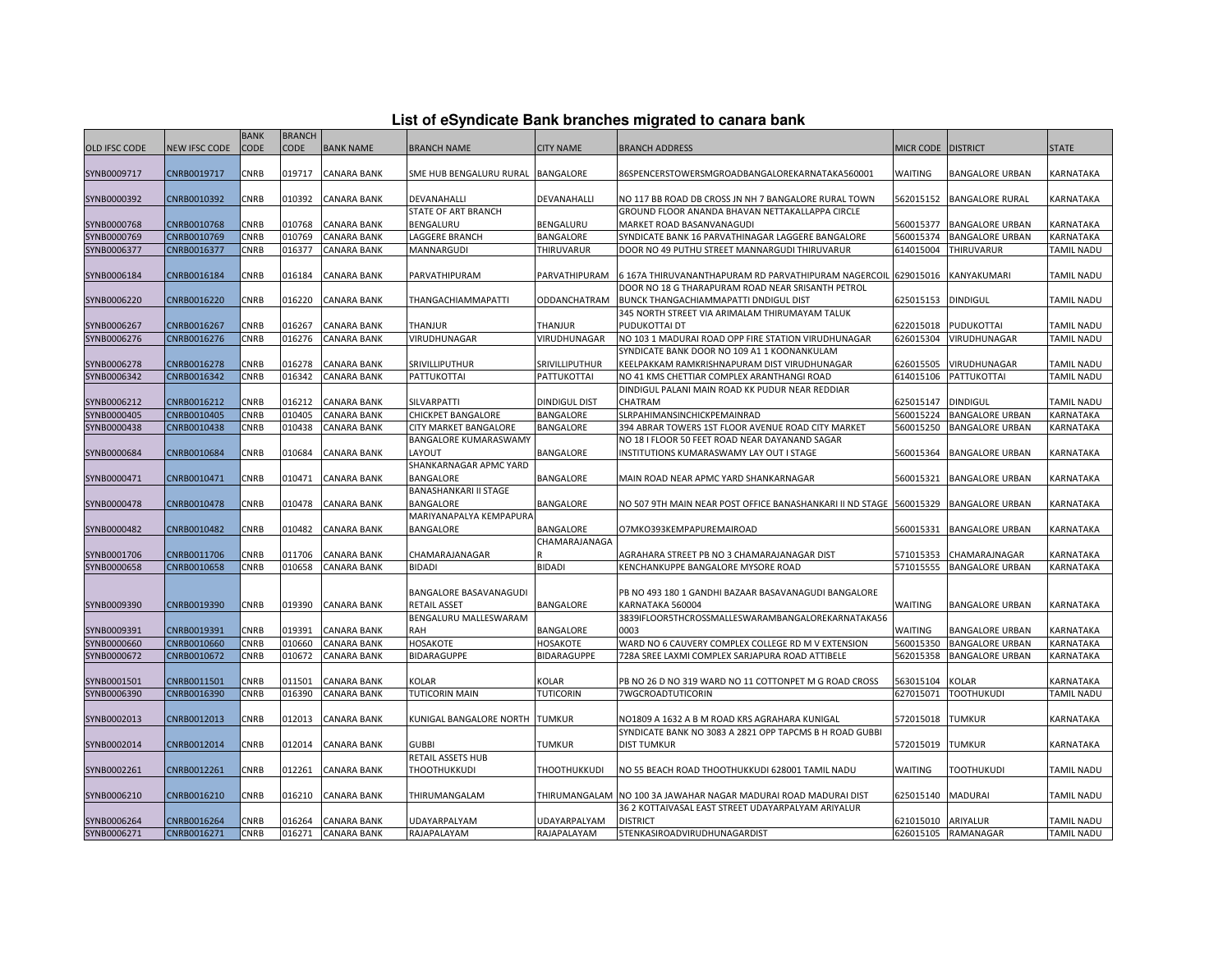|  |  |  |  |  | List of eSyndicate Bank branches migrated to canara bank |  |  |  |  |
|--|--|--|--|--|----------------------------------------------------------|--|--|--|--|
|--|--|--|--|--|----------------------------------------------------------|--|--|--|--|

|                            |                            | <b>BANK</b>  | <b>BRANCH</b>    |                                          |                                               |                                   | List of eSyndicate Bank branches migrated to canara bank                                                               |                        |                                                  |                                |
|----------------------------|----------------------------|--------------|------------------|------------------------------------------|-----------------------------------------------|-----------------------------------|------------------------------------------------------------------------------------------------------------------------|------------------------|--------------------------------------------------|--------------------------------|
| OLD IFSC CODE              | <b>VEW IFSC CODE</b>       | CODE         | CODE             | <b>BANK NAME</b>                         | <b>BRANCH NAME</b>                            | <b>CITY NAME</b>                  | <b>BRANCH ADDRESS</b>                                                                                                  | MICR CODE DISTRICT     |                                                  | <b>STATE</b>                   |
|                            |                            |              |                  |                                          |                                               |                                   |                                                                                                                        |                        |                                                  |                                |
| SYNB0009717                | CNRB0019717                | CNRB         | 019717           | <b>CANARA BANK</b>                       | SME HUB BENGALURU RURAL BANGALORE             |                                   | 86SPENCERSTOWERSMGROADBANGALOREKARNATAKA560001                                                                         | WAITING                | <b>BANGALORE URBAN</b>                           | KARNATAKA                      |
|                            |                            |              |                  |                                          |                                               |                                   |                                                                                                                        |                        |                                                  |                                |
| SYNB0000392                | CNRB0010392                | CNRB         | 010392           | CANARA BANK                              | DEVANAHALLI                                   | DEVANAHALLI                       | NO 117 BB ROAD DB CROSS JN NH 7 BANGALORE RURAL TOWN                                                                   | 562015152              | <b>BANGALORE RURAL</b>                           | KARNATAKA                      |
|                            |                            |              |                  |                                          | STATE OF ART BRANCH                           |                                   | GROUND FLOOR ANANDA BHAVAN NETTAKALLAPPA CIRCLE                                                                        |                        |                                                  |                                |
| SYNB0000768<br>SYNB0000769 | CNRB0010768<br>CNRB0010769 | CNRB<br>CNRB | 010768<br>010769 | <b>CANARA BANK</b><br>CANARA BANK        | BENGALURU<br>LAGGERE BRANCH                   | BENGALURU<br>BANGALORE            | MARKET ROAD BASANVANAGUDI<br>SYNDICATE BANK 16 PARVATHINAGAR LAGGERE BANGALORE                                         | 560015377<br>560015374 | <b>BANGALORE URBAN</b><br><b>BANGALORE URBAN</b> | KARNATAKA<br>KARNATAKA         |
| SYNB0006377                | CNRB0016377                | CNRB         | 016377           | CANARA BANK                              | MANNARGUDI                                    | THIRUVARUR                        | DOOR NO 49 PUTHU STREET MANNARGUDI THIRUVARUR                                                                          | 614015004              | THIRUVARUR                                       | TAMIL NADU                     |
|                            |                            |              |                  |                                          |                                               |                                   |                                                                                                                        |                        |                                                  |                                |
| SYNB0006184                | CNRB0016184                | CNRB         | 016184           | CANARA BANK                              | PARVATHIPURAM                                 | PARVATHIPURAM                     | 6 167A THIRUVANANTHAPURAM RD PARVATHIPURAM NAGERCOIL 629015016                                                         |                        | KANYAKUMARI                                      | <b>TAMIL NADU</b>              |
|                            |                            |              |                  |                                          |                                               |                                   | DOOR NO 18 G THARAPURAM ROAD NEAR SRISANTH PETROL                                                                      |                        |                                                  |                                |
| SYNB0006220                | CNRB0016220                | CNRB         | 016220           | CANARA BANK                              | THANGACHIAMMAPATTI                            | ODDANCHATRAM                      | BUNCK THANGACHIAMMAPATTI DNDIGUL DIST                                                                                  | 625015153              | <b>DINDIGUL</b>                                  | <b>TAMIL NADU</b>              |
|                            |                            |              |                  |                                          |                                               |                                   | 345 NORTH STREET VIA ARIMALAM THIRUMAYAM TALUK                                                                         |                        |                                                  |                                |
| SYNB0006267                | CNRB0016267                | <b>CNRB</b>  | 016267           | <b>CANARA BANK</b>                       | THANJUR                                       | THANJUR                           | PUDUKOTTAI DT                                                                                                          | 622015018              | PUDUKOTTAI                                       | <b>TAMIL NADU</b>              |
| SYNB0006276                | CNRB0016276                | CNRB         | 016276           | <b>CANARA BANK</b>                       | <b>VIRUDHUNAGAR</b>                           | VIRUDHUNAGAR                      | NO 103 1 MADURAI ROAD OPP FIRE STATION VIRUDHUNAGAR                                                                    | 626015304              | VIRUDHUNAGAR                                     | <b>TAMIL NADU</b>              |
|                            |                            |              |                  |                                          |                                               |                                   | SYNDICATE BANK DOOR NO 109 A1 1 KOONANKULAM                                                                            |                        |                                                  |                                |
| SYNB0006278                | CNRB0016278                | CNRB         | 016278           | CANARA BANK                              | SRIVILLIPUTHUR                                | SRIVILLIPUTHUR                    | KEELPAKKAM RAMKRISHNAPURAM DIST VIRUDHUNAGAR                                                                           | 626015505              | VIRUDHUNAGAR                                     | <b>TAMIL NADU</b>              |
| SYNB0006342                | CNRB0016342                | CNRB         | 016342           | <b>CANARA BANK</b>                       | PATTUKOTTAI                                   | PATTUKOTTAI                       | NO 41 KMS CHETTIAR COMPLEX ARANTHANGI ROAD                                                                             | 614015106              | PATTUKOTTAI                                      | <b>TAMIL NADU</b>              |
|                            |                            |              |                  |                                          |                                               |                                   | DINDIGUL PALANI MAIN ROAD KK PUDUR NEAR REDDIAR                                                                        |                        |                                                  |                                |
| SYNB0006212<br>SYNB0000405 | CNRB0016212<br>CNRB0010405 | CNRB<br>CNRB | 016212<br>010405 | <b>CANARA BANK</b><br><b>CANARA BANK</b> | <b>SILVARPATTI</b><br>CHICKPET BANGALORE      | <b>DINDIGUL DIST</b><br>BANGALORE | CHATRAM<br>SLRPAHIMANSINCHICKPEMAINRAD                                                                                 | 625015147<br>560015224 | <b>DINDIGUL</b><br><b>BANGALORE URBAN</b>        | <b>TAMIL NADU</b><br>KARNATAKA |
| SYNB0000438                | CNRB0010438                | CNRB         | 010438           | CANARA BANK                              | CITY MARKET BANGALORE                         | BANGALORE                         | 394 ABRAR TOWERS 1ST FLOOR AVENUE ROAD CITY MARKET                                                                     | 560015250              | <b>BANGALORE URBAN</b>                           | KARNATAKA                      |
|                            |                            |              |                  |                                          | <b>BANGALORE KUMARASWAMY</b>                  |                                   | NO 18 I FLOOR 50 FEET ROAD NEAR DAYANAND SAGAR                                                                         |                        |                                                  |                                |
| SYNB0000684                | CNRB0010684                | CNRB         | 010684           | CANARA BANK                              | LAYOUT                                        | BANGALORE                         | INSTITUTIONS KUMARASWAMY LAY OUT I STAGE                                                                               | 560015364              | <b>BANGALORE URBAN</b>                           | KARNATAKA                      |
|                            |                            |              |                  |                                          | SHANKARNAGAR APMC YARD                        |                                   |                                                                                                                        |                        |                                                  |                                |
| SYNB0000471                | CNRB0010471                | CNRB         | 010471           | CANARA BANK                              | BANGALORE                                     | BANGALORE                         | MAIN ROAD NEAR APMC YARD SHANKARNAGAR                                                                                  | 560015321              | <b>BANGALORE URBAN</b>                           | KARNATAKA                      |
|                            |                            |              |                  |                                          | <b>BANASHANKARI II STAGE</b>                  |                                   |                                                                                                                        |                        |                                                  |                                |
| SYNB0000478                | CNRB0010478                | <b>CNRB</b>  | 010478           | <b>CANARA BANK</b>                       | BANGALORE                                     | BANGALORE                         | NO 507 9TH MAIN NEAR POST OFFICE BANASHANKARI II ND STAGE 560015329                                                    |                        | <b>BANGALORE URBAN</b>                           | <b>KARNATAKA</b>               |
|                            |                            |              |                  |                                          | MARIYANAPALYA KEMPAPURA                       |                                   |                                                                                                                        |                        |                                                  |                                |
| SYNB0000482                | CNRB0010482                | CNRB         | 010482           | CANARA BANK                              | BANGALORE                                     | BANGALORE                         | O7MKO393KEMPAPUREMAIROAD                                                                                               | 560015331              | <b>BANGALORE URBAN</b>                           | KARNATAKA                      |
|                            |                            |              |                  |                                          |                                               | CHAMARAJANAGA                     |                                                                                                                        |                        |                                                  |                                |
| SYNB0001706                | CNRB0011706                | CNRB         | 011706           | CANARA BANK                              | CHAMARAJANAGAR                                |                                   | AGRAHARA STREET PB NO 3 CHAMARAJANAGAR DIST                                                                            | 571015353              | CHAMARAJNAGAR                                    | KARNATAKA                      |
| SYNB0000658                | CNRB0010658                | <b>CNRB</b>  | 010658           | CANARA BANK                              | <b>BIDADI</b>                                 | <b>BIDADI</b>                     | KENCHANKUPPE BANGALORE MYSORE ROAD                                                                                     | 571015555              | <b>BANGALORE URBAN</b>                           | KARNATAKA                      |
|                            |                            |              |                  |                                          |                                               |                                   |                                                                                                                        |                        |                                                  |                                |
| SYNB0009390                | CNRB0019390                | CNRB         | 019390           | CANARA BANK                              | <b>BANGALORE BASAVANAGUDI</b><br>RETAIL ASSET | BANGALORE                         | PB NO 493 180 1 GANDHI BAZAAR BASAVANAGUDI BANGALORE<br>KARNATAKA 560004                                               | WAITING                | <b>BANGALORE URBAN</b>                           | KARNATAKA                      |
|                            |                            |              |                  |                                          | BENGALURU MALLESWARAM                         |                                   | 3839IFLOOR5THCROSSMALLESWARAMBANGALOREKARNATAKA56                                                                      |                        |                                                  |                                |
| SYNB0009391                | CNRB0019391                | <b>CNRB</b>  | 019391           | <b>CANARA BANK</b>                       | RAH                                           | BANGALORE                         | 0003                                                                                                                   | <b>WAITING</b>         | <b>BANGALORE URBAN</b>                           | <b>KARNATAKA</b>               |
| SYNB0000660                | CNRB0010660                | CNRB         | 010660           | <b>CANARA BANK</b>                       | HOSAKOTE                                      | <b>HOSAKOTE</b>                   | WARD NO 6 CAUVERY COMPLEX COLLEGE RD M V EXTENSION                                                                     | 560015350              | <b>BANGALORE URBAN</b>                           | <b>KARNATAKA</b>               |
| SYNB0000672                | CNRB0010672                | CNRB         | 010672           | CANARA BANK                              | BIDARAGUPPE                                   | BIDARAGUPPE                       | 728A SREE LAXMI COMPLEX SARJAPURA ROAD ATTIBELE                                                                        | 562015358              | <b>BANGALORE URBAN</b>                           | KARNATAKA                      |
|                            |                            |              |                  |                                          |                                               |                                   |                                                                                                                        |                        |                                                  |                                |
| SYNB0001501                | CNRB0011501                | CNRB         | 011501           | <b>CANARA BANK</b>                       | KOLAR                                         | KOLAR                             | PB NO 26 D NO 319 WARD NO 11 COTTONPET M G ROAD CROSS                                                                  | 563015104              | <b>KOLAR</b>                                     | KARNATAKA                      |
| SYNB0006390                | CNRB0016390                | CNRB         | 016390           | CANARA BANK                              | TUTICORIN MAIN                                | <b>TUTICORIN</b>                  | 7WGCROADTUTICORIN                                                                                                      | 627015071              | <b>TOOTHUKUDI</b>                                | TAMIL NADU                     |
|                            |                            |              |                  |                                          |                                               |                                   |                                                                                                                        |                        |                                                  |                                |
| SYNB0002013                | CNRB0012013                | CNRB         | 012013           | CANARA BANK                              | KUNIGAL BANGALORE NORTH                       | <b>TUMKUR</b>                     | NO1809 A 1632 A B M ROAD KRS AGRAHARA KUNIGAL                                                                          | 572015018              | <b>TUMKUR</b>                                    | KARNATAKA                      |
|                            |                            |              |                  |                                          |                                               |                                   | SYNDICATE BANK NO 3083 A 2821 OPP TAPCMS B H ROAD GUBBI                                                                |                        |                                                  |                                |
| SYNB0002014                | CNRB0012014                | CNRB         | 012014           | CANARA BANK                              | <b>GUBBI</b>                                  | TUMKUR                            | <b>DIST TUMKUR</b>                                                                                                     | 572015019              | <b>TUMKUR</b>                                    | KARNATAKA                      |
|                            |                            |              |                  |                                          | RETAIL ASSETS HUB                             |                                   |                                                                                                                        |                        |                                                  |                                |
| SYNB0002261                | CNRB0012261                | CNRB         | 012261           | CANARA BANK                              | THOOTHUKKUDI                                  | THOOTHUKKUDI                      | NO 55 BEACH ROAD THOOTHUKKUDI 628001 TAMIL NADU                                                                        | WAITING                | <b>TOOTHUKUDI</b>                                | <b>TAMIL NADU</b>              |
| SYNB0006210                | CNRB0016210                | CNRB         | 016210           | CANARA BANK                              | THIRUMANGALAM                                 |                                   |                                                                                                                        | 625015140              | <b>MADURAI</b>                                   | <b>TAMIL NADU</b>              |
|                            |                            |              |                  |                                          |                                               |                                   | THIRUMANGALAM  NO 100 3A JAWAHAR NAGAR MADURAI ROAD MADURAI DIST<br>36 2 KOTTAIVASAL EAST STREET UDAYARPALYAM ARIYALUR |                        |                                                  |                                |
| SYNB0006264                | CNRB0016264                | <b>CNRB</b>  | 016264           | <b>CANARA BANK</b>                       | JDAYARPALYAM                                  | UDAYARPALYAM                      | <b>DISTRICT</b>                                                                                                        | 621015010              | ARIYALUR                                         | TAMIL NADU                     |
| SYNB0006271                | CNRB0016271                | <b>CNRB</b>  | 016271           | <b>CANARA BANK</b>                       | RAJAPALAYAM                                   | RAJAPALAYAM                       | 5TENKASIROADVIRUDHUNAGARDIST                                                                                           |                        | 626015105 RAMANAGAR                              | <b>TAMIL NADU</b>              |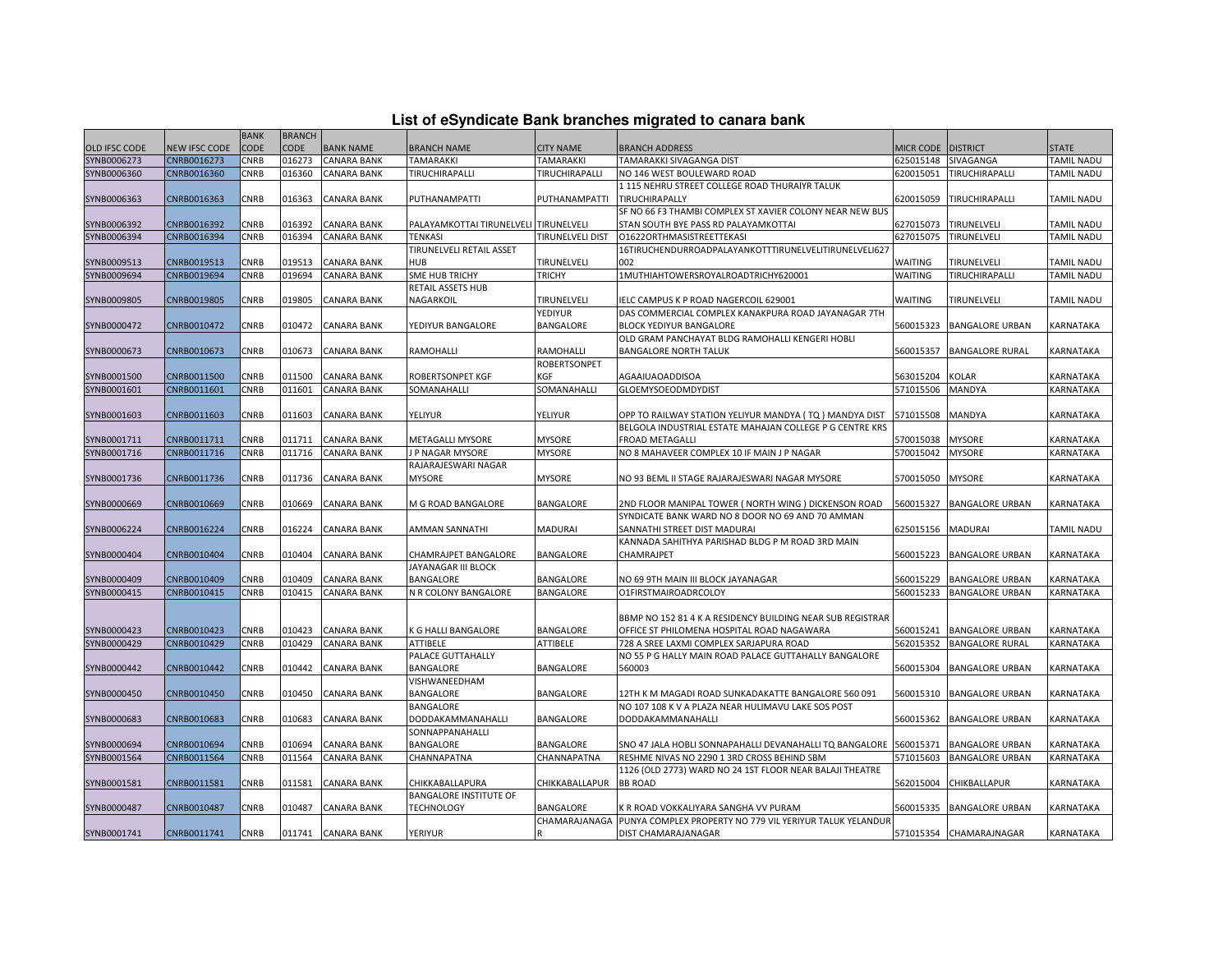| List of eSyndicate Bank branches migrated to canara bank |  |  |
|----------------------------------------------------------|--|--|
|----------------------------------------------------------|--|--|

|                      | List of eSyndicate Bank branches migrated to canara bank |             |               |                    |                                       |                     |                                                                                                                      |                    |                         |              |  |
|----------------------|----------------------------------------------------------|-------------|---------------|--------------------|---------------------------------------|---------------------|----------------------------------------------------------------------------------------------------------------------|--------------------|-------------------------|--------------|--|
|                      |                                                          | <b>BANK</b> | <b>BRANCH</b> |                    |                                       |                     |                                                                                                                      |                    |                         |              |  |
| <b>OLD IFSC CODE</b> | <b>NEW IFSC CODE</b>                                     | CODE        | <b>CODE</b>   | <b>BANK NAME</b>   | <b>BRANCH NAME</b>                    | <b>CITY NAME</b>    | <b>BRANCH ADDRESS</b>                                                                                                | MICR CODE DISTRICT |                         | <b>STATE</b> |  |
| SYNB0006273          | CNRB0016273                                              | CNRB        | 016273        | <b>CANARA BANK</b> | TAMARAKKI                             | TAMARAKKI           | TAMARAKKI SIVAGANGA DIST                                                                                             | 625015148          | SIVAGANGA               | TAMIL NADU   |  |
| SYNB0006360          | CNRB0016360                                              | CNRB        | 016360        | CANARA BANK        | TIRUCHIRAPALLI                        | TIRUCHIRAPALLI      | NO 146 WEST BOULEWARD ROAD                                                                                           | 620015051          | TIRUCHIRAPALLI          | TAMIL NADU   |  |
|                      |                                                          |             |               |                    |                                       |                     | 1115 NEHRU STREET COLLEGE ROAD THURAIYR TALUK                                                                        |                    |                         |              |  |
| SYNB0006363          | CNRB0016363                                              | CNRB        | 016363        | <b>CANARA BANK</b> | PUTHANAMPATTI                         | PUTHANAMPATTI       | TIRUCHIRAPALLY                                                                                                       | 620015059          | TIRUCHIRAPALLI          | TAMIL NADU   |  |
|                      |                                                          |             |               |                    |                                       |                     | SF NO 66 F3 THAMBI COMPLEX ST XAVIER COLONY NEAR NEW BUS                                                             |                    |                         |              |  |
| SYNB0006392          | CNRB0016392                                              | CNRB        | 016392        | <b>CANARA BANK</b> | PALAYAMKOTTAI TIRUNELVELI TIRUNELVELI |                     | STAN SOUTH BYE PASS RD PALAYAMKOTTAI                                                                                 | 627015073          | TIRUNELVELI             | TAMIL NADU   |  |
| SYNB0006394          | CNRB0016394                                              | CNRB        | 016394        | <b>CANARA BANK</b> | TENKASI                               | TIRUNELVELI DIST    | O1622ORTHMASISTREETTEKASI                                                                                            | 627015075          | TIRUNELVELI             | TAMIL NADU   |  |
|                      |                                                          |             |               |                    | TIRUNELVELI RETAIL ASSET              |                     | 16TIRUCHENDURROADPALAYANKOTTTIRUNELVELITIRUNELVELI627                                                                |                    |                         |              |  |
| SYNB0009513          | CNRB0019513                                              | CNRB        | 019513        | <b>CANARA BANK</b> | HUB                                   | TIRUNELVELI         | 002                                                                                                                  | WAITING            | TIRUNELVELI             | TAMIL NADU   |  |
| SYNB0009694          | CNRB0019694                                              | CNRB        | 019694        | <b>CANARA BANK</b> | SME HUB TRICHY                        | <b>TRICHY</b>       | 1MUTHIAHTOWERSROYALROADTRICHY620001                                                                                  | WAITING            | <b>TIRUCHIRAPALLI</b>   | TAMIL NADU   |  |
|                      |                                                          |             |               |                    | RETAIL ASSETS HUB                     |                     |                                                                                                                      |                    |                         |              |  |
| SYNB0009805          | CNRB0019805                                              | CNRB        | 019805        | CANARA BANK        | NAGARKOIL                             | TIRUNELVELI         | ELC CAMPUS K P ROAD NAGERCOIL 629001                                                                                 | WAITING            | TIRUNELVELI             | TAMIL NADU   |  |
|                      |                                                          |             |               |                    |                                       | YEDIYUR             | DAS COMMERCIAL COMPLEX KANAKPURA ROAD JAYANAGAR 7TH                                                                  |                    |                         |              |  |
| SYNB0000472          | CNRB0010472                                              | CNRB        | 010472        | <b>CANARA BANK</b> | YEDIYUR BANGALORE                     | BANGALORE           | <b>BLOCK YEDIYUR BANGALORE</b>                                                                                       | 560015323          | <b>BANGALORE URBAN</b>  | KARNATAKA    |  |
|                      |                                                          |             |               |                    |                                       |                     | OLD GRAM PANCHAYAT BLDG RAMOHALLI KENGERI HOBLI                                                                      |                    |                         |              |  |
| SYNB0000673          | CNRB0010673                                              | CNRB        | 010673        | CANARA BANK        | RAMOHALLI                             | RAMOHALLI           | <b>BANGALORE NORTH TALUK</b>                                                                                         | 560015357          | <b>BANGALORE RURAL</b>  | KARNATAKA    |  |
|                      |                                                          |             |               |                    |                                       | <b>ROBERTSONPET</b> |                                                                                                                      |                    |                         |              |  |
| SYNB0001500          | CNRB0011500                                              | CNRB        | 011500        | <b>CANARA BANK</b> | ROBERTSONPET KGF                      | KGF                 | AGAAIUAOADDISOA                                                                                                      | 563015204          | KOLAR                   | KARNATAKA    |  |
| SYNB0001601          | CNRB0011601                                              | CNRB        | 011601        | <b>CANARA BANK</b> | SOMANAHALLI                           | SOMANAHALLI         | GLOEMYSOEODMDYDIST                                                                                                   | 571015506          | MANDYA                  | KARNATAKA    |  |
|                      |                                                          |             |               |                    |                                       |                     |                                                                                                                      |                    |                         |              |  |
|                      |                                                          |             |               |                    |                                       |                     |                                                                                                                      |                    |                         |              |  |
| SYNB0001603          | CNRB0011603                                              | CNRB        | 011603        | <b>CANARA BANK</b> | YELIYUR                               | YELIYUR             | OPP TO RAILWAY STATION YELIYUR MANDYA ( TQ ) MANDYA DIST<br>BELGOLA INDUSTRIAL ESTATE MAHAJAN COLLEGE P G CENTRE KRS | 571015508          | MANDYA                  | KARNATAKA    |  |
|                      |                                                          |             |               |                    |                                       |                     |                                                                                                                      |                    |                         |              |  |
| SYNB0001711          | CNRB0011711                                              | CNRB        | 011711        | <b>CANARA BANK</b> | METAGALLI MYSORE                      | <b>MYSORE</b>       | FROAD METAGALLI                                                                                                      | 570015038          | <b>MYSORE</b>           | KARNATAKA    |  |
| SYNB0001716          | CNRB0011716                                              | CNRB        | 011716        | <b>CANARA BANK</b> | J P NAGAR MYSORE                      | <b>MYSORE</b>       | NO 8 MAHAVEER COMPLEX 10 IF MAIN J P NAGAR                                                                           | 570015042          | <b>MYSORE</b>           | KARNATAKA    |  |
|                      |                                                          |             |               |                    | RAJARAJESWARI NAGAR                   |                     |                                                                                                                      |                    |                         |              |  |
| SYNB0001736          | CNRB0011736                                              | CNRB        | 011736        | <b>CANARA BANK</b> | MYSORE                                | <b>MYSORE</b>       | NO 93 BEML II STAGE RAJARAJESWARI NAGAR MYSORE                                                                       | 570015050          | <b>MYSORE</b>           | KARNATAKA    |  |
|                      |                                                          |             |               |                    |                                       |                     |                                                                                                                      |                    |                         |              |  |
| SYNB0000669          | CNRB0010669                                              | CNRB        | 010669        | <b>CANARA BANK</b> | M G ROAD BANGALORE                    | BANGALORE           | 2ND FLOOR MANIPAL TOWER ( NORTH WING ) DICKENSON ROAD                                                                | 560015327          | <b>BANGALORE URBAN</b>  | KARNATAKA    |  |
|                      |                                                          |             |               |                    |                                       |                     | SYNDICATE BANK WARD NO 8 DOOR NO 69 AND 70 AMMAN                                                                     |                    |                         |              |  |
| SYNB0006224          | CNRB0016224                                              | CNRB        | 016224        | <b>CANARA BANK</b> | AMMAN SANNATHI                        | MADURAI             | SANNATHI STREET DIST MADURAI                                                                                         | 625015156          | <b>MADURAI</b>          | TAMIL NADU   |  |
|                      |                                                          |             |               |                    |                                       |                     | KANNADA SAHITHYA PARISHAD BLDG P M ROAD 3RD MAIN                                                                     |                    |                         |              |  |
| SYNB0000404          | CNRB0010404                                              | CNRB        | 010404        | <b>CANARA BANK</b> | CHAMRAJPET BANGALORE                  | BANGALORE           | CHAMRAJPET                                                                                                           | 560015223          | <b>BANGALORE URBAN</b>  | KARNATAKA    |  |
|                      |                                                          |             |               |                    | JAYANAGAR III BLOCK                   |                     |                                                                                                                      |                    |                         |              |  |
| SYNB0000409          | CNRB0010409                                              | CNRB        | 010409        | <b>CANARA BANK</b> | BANGALORE                             | BANGALORE           | NO 69 9TH MAIN III BLOCK JAYANAGAR                                                                                   | 560015229          | <b>BANGALORE URBAN</b>  | KARNATAKA    |  |
| SYNB0000415          | CNRB0010415                                              | CNRB        | 010415        | <b>CANARA BANK</b> | N R COLONY BANGALORE                  | BANGALORE           | O1FIRSTMAIROADRCOLOY                                                                                                 | 560015233          | <b>BANGALORE URBAN</b>  | KARNATAKA    |  |
|                      |                                                          |             |               |                    |                                       |                     |                                                                                                                      |                    |                         |              |  |
|                      |                                                          |             |               |                    |                                       |                     | BBMP NO 152 81 4 K A RESIDENCY BUILDING NEAR SUB REGISTRAR                                                           |                    |                         |              |  |
| SYNB0000423          | CNRB0010423                                              | CNRB        | 010423        | <b>CANARA BANK</b> | K G HALLI BANGALORE                   | BANGALORE           | OFFICE ST PHILOMENA HOSPITAL ROAD NAGAWARA                                                                           | 560015241          | <b>BANGALORE URBAN</b>  | KARNATAKA    |  |
| SYNB0000429          | CNRB0010429                                              | CNRB        | 010429        | <b>CANARA BANK</b> | <b>ATTIBELE</b>                       | ATTIBELE            | 728 A SREE LAXMI COMPLEX SARJAPURA ROAD                                                                              | 562015352          | <b>BANGALORE RURAL</b>  | KARNATAKA    |  |
|                      |                                                          |             |               |                    | PALACE GUTTAHALLY                     |                     | NO 55 P G HALLY MAIN ROAD PALACE GUTTAHALLY BANGALORE                                                                |                    |                         |              |  |
| SYNB0000442          | CNRB0010442                                              | CNRB        | 010442        | <b>CANARA BANK</b> | BANGALORE                             | BANGALORE           | 560003                                                                                                               | 560015304          | <b>BANGALORE URBAN</b>  | KARNATAKA    |  |
|                      |                                                          |             |               |                    | VISHWANEEDHAM                         |                     |                                                                                                                      |                    |                         |              |  |
| SYNB0000450          | CNRB0010450                                              | CNRB        | 010450        | <b>CANARA BANK</b> | BANGALORE                             | BANGALORE           | 12TH K M MAGADI ROAD SUNKADAKATTE BANGALORE 560 091                                                                  | 560015310          | <b>BANGALORE URBAN</b>  | KARNATAKA    |  |
|                      |                                                          |             |               |                    | BANGALORE                             |                     | NO 107 108 K V A PLAZA NEAR HULIMAVU LAKE SOS POST                                                                   |                    |                         |              |  |
| SYNB0000683          | CNRB0010683                                              | CNRB        | 010683        | <b>CANARA BANK</b> | DODDAKAMMANAHALLI                     | BANGALORE           | DODDAKAMMANAHALLI                                                                                                    | 560015362          | <b>BANGALORE URBAN</b>  | KARNATAKA    |  |
|                      |                                                          |             |               |                    | SONNAPPANAHALLI                       |                     |                                                                                                                      |                    |                         |              |  |
| SYNB0000694          | CNRB0010694                                              | CNRB        | 010694        | <b>CANARA BANK</b> | BANGALORE                             | BANGALORE           | SNO 47 JALA HOBLI SONNAPAHALLI DEVANAHALLI TQ BANGALORE                                                              | 560015371          | <b>BANGALORE URBAN</b>  | KARNATAKA    |  |
| SYNB0001564          | CNRB0011564                                              | CNRB        | 011564        | <b>CANARA BANK</b> | CHANNAPATNA                           | CHANNAPATNA         | RESHME NIVAS NO 2290 1 3RD CROSS BEHIND SBM                                                                          | 571015603          | <b>BANGALORE URBAN</b>  | KARNATAKA    |  |
|                      |                                                          |             |               |                    |                                       |                     | 1126 (OLD 2773) WARD NO 24 1ST FLOOR NEAR BALAJI THEATRE                                                             |                    |                         |              |  |
| SYNB0001581          | CNRB0011581                                              | CNRB        | 011581        | <b>CANARA BANK</b> | CHIKKABALLAPURA                       | CHIKKABALLAPUR      | <b>BB ROAD</b>                                                                                                       | 562015004          | CHIKBALLAPUR            | KARNATAKA    |  |
|                      |                                                          |             |               |                    | BANGALORE INSTITUTE OF                |                     |                                                                                                                      |                    |                         |              |  |
| SYNB0000487          | CNRB0010487                                              | CNRB        | 010487        | CANARA BANK        | <b>TECHNOLOGY</b>                     | BANGALORE           | K R ROAD VOKKALIYARA SANGHA VV PURAM                                                                                 | 560015335          | <b>BANGALORE URBAN</b>  | KARNATAKA    |  |
|                      |                                                          |             |               |                    |                                       | CHAMARAJANAGA       | PUNYA COMPLEX PROPERTY NO 779 VIL YERIYUR TALUK YELANDUR                                                             |                    |                         |              |  |
| SYNB0001741          | CNRB0011741                                              | CNRB        |               | 011741 CANARA BANK | YERIYUR                               |                     | DIST CHAMARAJANAGAR                                                                                                  |                    | 571015354 CHAMARAJNAGAR | KARNATAKA    |  |
|                      |                                                          |             |               |                    |                                       |                     |                                                                                                                      |                    |                         |              |  |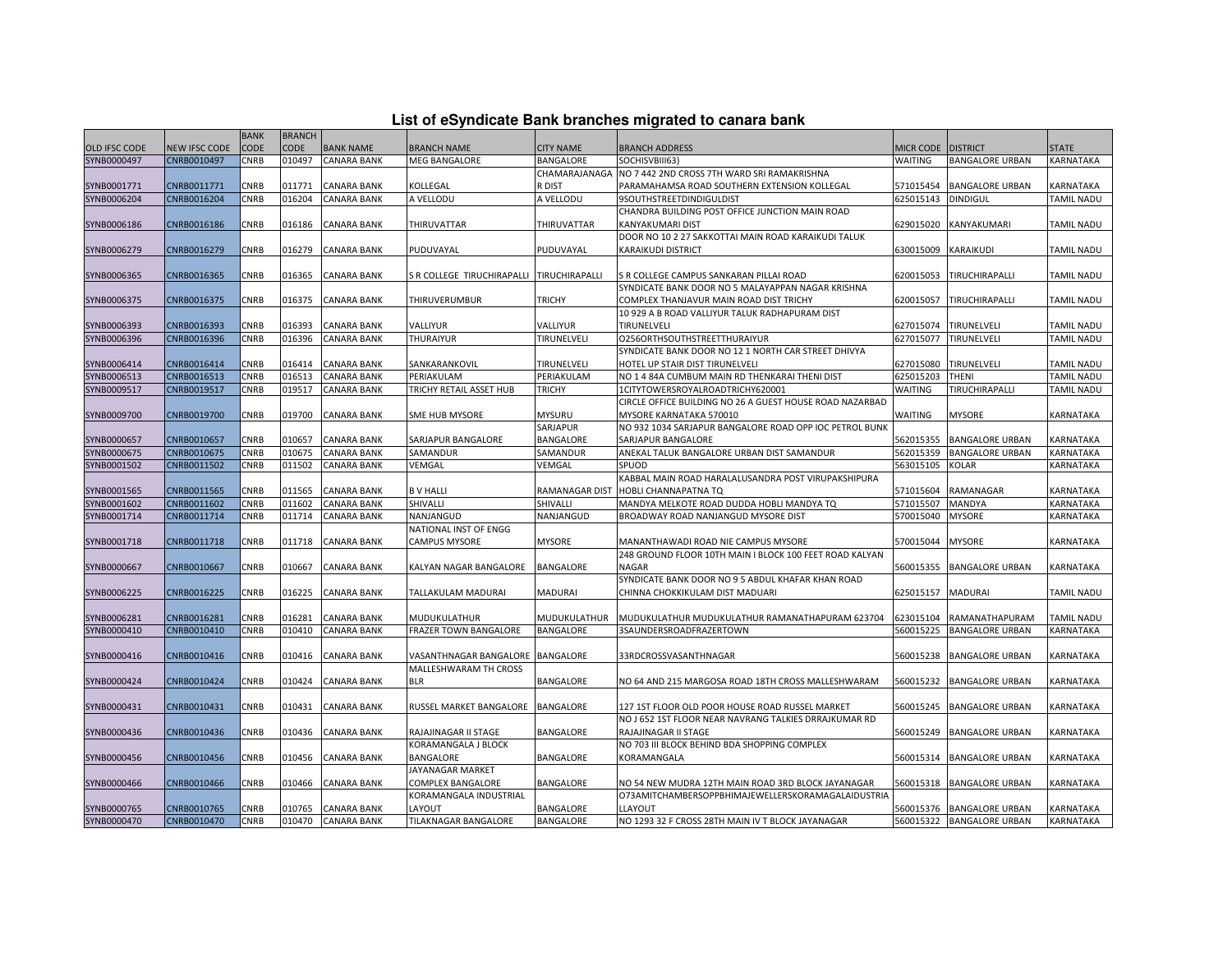|  |  | List of eSyndicate Bank branches migrated to canara bank |  |
|--|--|----------------------------------------------------------|--|
|--|--|----------------------------------------------------------|--|

|               |               | <b>BANK</b> | <b>BRANCH</b> |                    |                            |                  |                                                                                      |                |                           |                   |
|---------------|---------------|-------------|---------------|--------------------|----------------------------|------------------|--------------------------------------------------------------------------------------|----------------|---------------------------|-------------------|
| OLD IFSC CODE | NEW IFSC CODE | CODE        | <b>CODE</b>   | <b>BANK NAME</b>   | BRANCH NAME                | <b>CITY NAME</b> | <b>BRANCH ADDRESS</b>                                                                | MICR CODE      | <b>DISTRICT</b>           | <b>STATE</b>      |
| SYNB0000497   | CNRB0010497   | CNRB        | 010497        | <b>CANARA BANK</b> | MEG BANGALORE              | <b>BANGALORE</b> | SOCHISVBIII63)                                                                       | <b>WAITING</b> | <b>BANGALORE URBAN</b>    | KARNATAKA         |
|               |               |             |               |                    |                            | CHAMARAJANAGA    | NO 7 442 2ND CROSS 7TH WARD SRI RAMAKRISHNA                                          |                |                           |                   |
| SYNB0001771   | CNRB0011771   | CNRB        | 011771        | <b>CANARA BANK</b> | KOLLEGAL                   | r dist           | PARAMAHAMSA ROAD SOUTHERN EXTENSION KOLLEGAL                                         | 571015454      | <b>BANGALORE URBAN</b>    | KARNATAKA         |
| SYNB0006204   | CNRB0016204   | CNRB        | 016204        | CANARA BANK        | A VELLODU                  | A VELLODU        | 9SOUTHSTREETDINDIGULDIST                                                             | 625015143      | <b>DINDIGUL</b>           | <b>TAMIL NADU</b> |
|               |               |             |               |                    |                            |                  | CHANDRA BUILDING POST OFFICE JUNCTION MAIN ROAD                                      |                |                           |                   |
| SYNB0006186   | CNRB0016186   | CNRB        | 016186        | CANARA BANK        | THIRUVATTAR                | THIRUVATTAR      | KANYAKUMARI DIST                                                                     | 629015020      | KANYAKUMARI               | TAMIL NADU        |
|               |               |             |               |                    |                            |                  | DOOR NO 10 2 27 SAKKOTTAI MAIN ROAD KARAIKUDI TALUK                                  |                |                           |                   |
| SYNB0006279   | CNRB0016279   | CNRB        | 016279        | CANARA BANK        | PUDUVAYAL                  | PUDUVAYAL        | KARAIKUDI DISTRICT                                                                   | 630015009      | KARAIKUDI                 | TAMIL NADU        |
|               |               |             |               |                    |                            |                  |                                                                                      |                |                           |                   |
| SYNB0006365   | CNRB0016365   | CNRB        | 016365        | <b>CANARA BANK</b> | S R COLLEGE TIRUCHIRAPALLI | TIRUCHIRAPALLI   | S R COLLEGE CAMPUS SANKARAN PILLAI ROAD                                              | 620015053      | TIRUCHIRAPALLI            | TAMIL NADU        |
|               |               |             |               |                    |                            |                  | SYNDICATE BANK DOOR NO 5 MALAYAPPAN NAGAR KRISHNA                                    |                |                           |                   |
| SYNB0006375   | CNRB0016375   | CNRB        | 016375        | CANARA BANK        | THIRUVERUMBUR              | <b>TRICHY</b>    | COMPLEX THANJAVUR MAIN ROAD DIST TRICHY                                              | 620015057      | TIRUCHIRAPALLI            | TAMIL NADU        |
|               |               |             |               |                    |                            |                  | 10 929 A B ROAD VALLIYUR TALUK RADHAPURAM DIST                                       |                |                           |                   |
| SYNB0006393   | CNRB0016393   | CNRB        | 016393        | <b>CANARA BANK</b> | VALLIYUR                   | VALLIYUR         | <b>TIRUNELVELI</b>                                                                   | 627015074      | TIRUNELVELI               | TAMIL NADU        |
| SYNB0006396   | CNRB0016396   | CNRB        | 016396        | <b>CANARA BANK</b> | THURAIYUR                  | TIRUNELVELI      | O256ORTHSOUTHSTREETTHURAIYUR                                                         | 627015077      | TIRUNELVELI               | TAMIL NADU        |
|               |               |             |               |                    |                            |                  | SYNDICATE BANK DOOR NO 12 1 NORTH CAR STREET DHIVYA                                  |                |                           |                   |
| SYNB0006414   | CNRB0016414   | CNRB        | 016414        | <b>CANARA BANK</b> | SANKARANKOVIL              | TIRUNELVELI      | HOTEL UP STAIR DIST TIRUNELVELI                                                      | 627015080      | TIRUNELVELI               | TAMIL NADU        |
| SYNB0006513   | CNRB0016513   | CNRB        | 016513        | <b>CANARA BANK</b> | PERIAKULAM                 | PERIAKULAM       | NO 1 4 84A CUMBUM MAIN RD THENKARAI THENI DIST                                       | 625015203      | <b>THENI</b>              | TAMIL NADU        |
| SYNB0009517   | CNRB0019517   | CNRB        | 019517        | CANARA BANK        | TRICHY RETAIL ASSET HUB    | TRICHY           | 1CITYTOWERSROYALROADTRICHY620001                                                     | <b>WAITING</b> | TIRUCHIRAPALLI            | TAMIL NADU        |
|               |               |             |               |                    |                            |                  | CIRCLE OFFICE BUILDING NO 26 A GUEST HOUSE ROAD NAZARBAD                             |                |                           |                   |
| SYNB0009700   | CNRB0019700   | CNRB        | 019700        | <b>CANARA BANK</b> | SME HUB MYSORE             | MYSURU           | MYSORE KARNATAKA 570010                                                              | <b>WAITING</b> | <b>MYSORE</b>             | KARNATAKA         |
|               |               |             |               |                    |                            | SARJAPUR         | NO 932 1034 SARJAPUR BANGALORE ROAD OPP IOC PETROL BUNK                              |                |                           |                   |
| SYNB0000657   | CNRB0010657   | CNRB        | 010657        | <b>CANARA BANK</b> | SARJAPUR BANGALORE         | <b>BANGALORE</b> | SARJAPUR BANGALORE                                                                   | 562015355      | <b>BANGALORE URBAN</b>    | KARNATAKA         |
| SYNB0000675   | CNRB0010675   | <b>CNRB</b> | 010675        | <b>CANARA BANK</b> | SAMANDUR                   | SAMANDUR         | ANEKAL TALUK BANGALORE URBAN DIST SAMANDUR                                           | 562015359      | <b>BANGALORE URBAN</b>    | KARNATAKA         |
| SYNB0001502   | CNRB0011502   | CNRB        | 011502        | <b>CANARA BANK</b> | VEMGAL                     | VEMGAL           | SPUOD                                                                                | 563015105      | KOLAR                     | KARNATAKA         |
|               |               |             |               |                    |                            |                  | KABBAL MAIN ROAD HARALALUSANDRA POST VIRUPAKSHIPURA                                  |                |                           |                   |
| SYNB0001565   | CNRB0011565   | CNRB        | 011565        | CANARA BANK        | <b>B V HALLI</b>           | RAMANAGAR DIST   | HOBLI CHANNAPATNA TQ                                                                 | 571015604      | RAMANAGAR                 | KARNATAKA         |
| SYNB0001602   | CNRB0011602   | CNRB        | 011602        | CANARA BANK        | SHIVALLI                   | SHIVALLI         | MANDYA MELKOTE ROAD DUDDA HOBLI MANDYA TQ                                            | 571015507      | MANDYA                    | KARNATAKA         |
| SYNB0001714   | CNRB0011714   | CNRB        | 011714        | CANARA BANK        | NANJANGUD                  | NANJANGUD        | BROADWAY ROAD NANJANGUD MYSORE DIST                                                  | 570015040      | <b>MYSORE</b>             | KARNATAKA         |
|               |               |             |               |                    | NATIONAL INST OF ENGG      |                  |                                                                                      |                |                           |                   |
| SYNB0001718   | CNRB0011718   | CNRB        | 011718        | <b>CANARA BANK</b> | <b>CAMPUS MYSORE</b>       | <b>MYSORE</b>    | MANANTHAWADI ROAD NIE CAMPUS MYSORE                                                  | 570015044      | <b>MYSORE</b>             | KARNATAKA         |
|               |               |             |               |                    |                            |                  |                                                                                      |                |                           |                   |
|               |               |             |               |                    |                            |                  | 248 GROUND FLOOR 10TH MAIN I BLOCK 100 FEET ROAD KALYAN<br>NAGAR                     |                |                           |                   |
| SYNB0000667   | CNRB0010667   | CNRB        | 010667        | <b>CANARA BANK</b> | KALYAN NAGAR BANGALORE     | BANGALORE        |                                                                                      | 560015355      | <b>BANGALORE URBAN</b>    | KARNATAKA         |
| SYNB0006225   |               | CNRB        | 016225        | <b>CANARA BANK</b> | TALLAKULAM MADURAI         | <b>MADURAI</b>   | SYNDICATE BANK DOOR NO 9 5 ABDUL KHAFAR KHAN ROAD<br>CHINNA CHOKKIKULAM DIST MADUARI | 625015157      | <b>MADURAI</b>            | TAMIL NADU        |
|               | CNRB0016225   |             |               |                    |                            |                  |                                                                                      |                |                           |                   |
|               |               |             |               |                    |                            |                  |                                                                                      |                |                           |                   |
| SYNB0006281   | CNRB0016281   | CNRB        | 016281        | <b>CANARA BANK</b> | MUDUKULATHUR               | MUDUKULATHUR     | MUDUKULATHUR MUDUKULATHUR RAMANATHAPURAM 623704                                      | 623015104      | RAMANATHAPURAM            | TAMIL NADU        |
| SYNB0000410   | CNRB0010410   | CNRB        | 010410        | <b>CANARA BANK</b> | FRAZER TOWN BANGALORE      | BANGALORE        | 3SAUNDERSROADFRAZERTOWN                                                              | 560015225      | <b>BANGALORE URBAN</b>    | KARNATAKA         |
|               |               |             |               |                    |                            |                  |                                                                                      |                |                           |                   |
| SYNB0000416   | CNRB0010416   | CNRB        | 010416        | CANARA BANK        | VASANTHNAGAR BANGALORE     | <b>BANGALORE</b> | 33RDCROSSVASANTHNAGAR                                                                | 560015238      | <b>BANGALORE URBAN</b>    | KARNATAKA         |
|               |               |             |               |                    | MALLESHWARAM TH CROSS      |                  |                                                                                      |                |                           |                   |
| SYNB0000424   | CNRB0010424   | CNRB        | 010424        | CANARA BANK        | <b>BLR</b>                 | BANGALORE        | NO 64 AND 215 MARGOSA ROAD 18TH CROSS MALLESHWARAM                                   | 560015232      | <b>BANGALORE URBAN</b>    | KARNATAKA         |
|               |               |             |               |                    |                            |                  |                                                                                      |                |                           |                   |
| SYNB0000431   | CNRB0010431   | CNRB        | 010431        | <b>CANARA BANK</b> | RUSSEL MARKET BANGALORE    | <b>BANGALORE</b> | 127 1ST FLOOR OLD POOR HOUSE ROAD RUSSEL MARKET                                      | 560015245      | <b>BANGALORE URBAN</b>    | KARNATAKA         |
|               |               |             |               |                    |                            |                  | NO J 652 1ST FLOOR NEAR NAVRANG TALKIES DRRAJKUMAR RD                                |                |                           |                   |
| SYNB0000436   | CNRB0010436   | CNRB        | 010436        | CANARA BANK        | RAJAJINAGAR II STAGE       | BANGALORE        | RAJAJINAGAR II STAGE                                                                 | 560015249      | <b>BANGALORE URBAN</b>    | KARNATAKA         |
|               |               |             |               |                    | KORAMANGALA J BLOCK        |                  | NO 703 III BLOCK BEHIND BDA SHOPPING COMPLEX                                         |                |                           |                   |
| SYNB0000456   | CNRB0010456   | CNRB        | 010456        | <b>CANARA BANK</b> | BANGALORE                  | BANGALORE        | KORAMANGALA                                                                          | 560015314      | BANGALORE URBAN           | KARNATAKA         |
|               |               |             |               |                    | JAYANAGAR MARKET           |                  |                                                                                      |                |                           |                   |
| SYNB0000466   | CNRB0010466   | CNRB        | 010466        | <b>CANARA BANK</b> | COMPLEX BANGALORE          | BANGALORE        | NO 54 NEW MUDRA 12TH MAIN ROAD 3RD BLOCK JAYANAGAR                                   | 560015318      | <b>BANGALORE URBAN</b>    | KARNATAKA         |
|               |               |             |               |                    | KORAMANGALA INDUSTRIAL     |                  | O73AMITCHAMBERSOPPBHIMAJEWELLERSKORAMAGALAIDUSTRIA                                   |                |                           |                   |
| SYNB0000765   | CNRB0010765   | CNRB        | 010765        | <b>CANARA BANK</b> | LAYOUT                     | BANGALORE        | LLAYOUT                                                                              | 560015376      | <b>BANGALORE URBAN</b>    | KARNATAKA         |
| SYNB0000470   | CNRB0010470   | CNRB        | 010470        | <b>CANARA BANK</b> | TILAKNAGAR BANGALORE       | <b>BANGALORE</b> | NO 1293 32 F CROSS 28TH MAIN IV T BLOCK JAYANAGAR                                    |                | 560015322 BANGALORE URBAN | KARNATAKA         |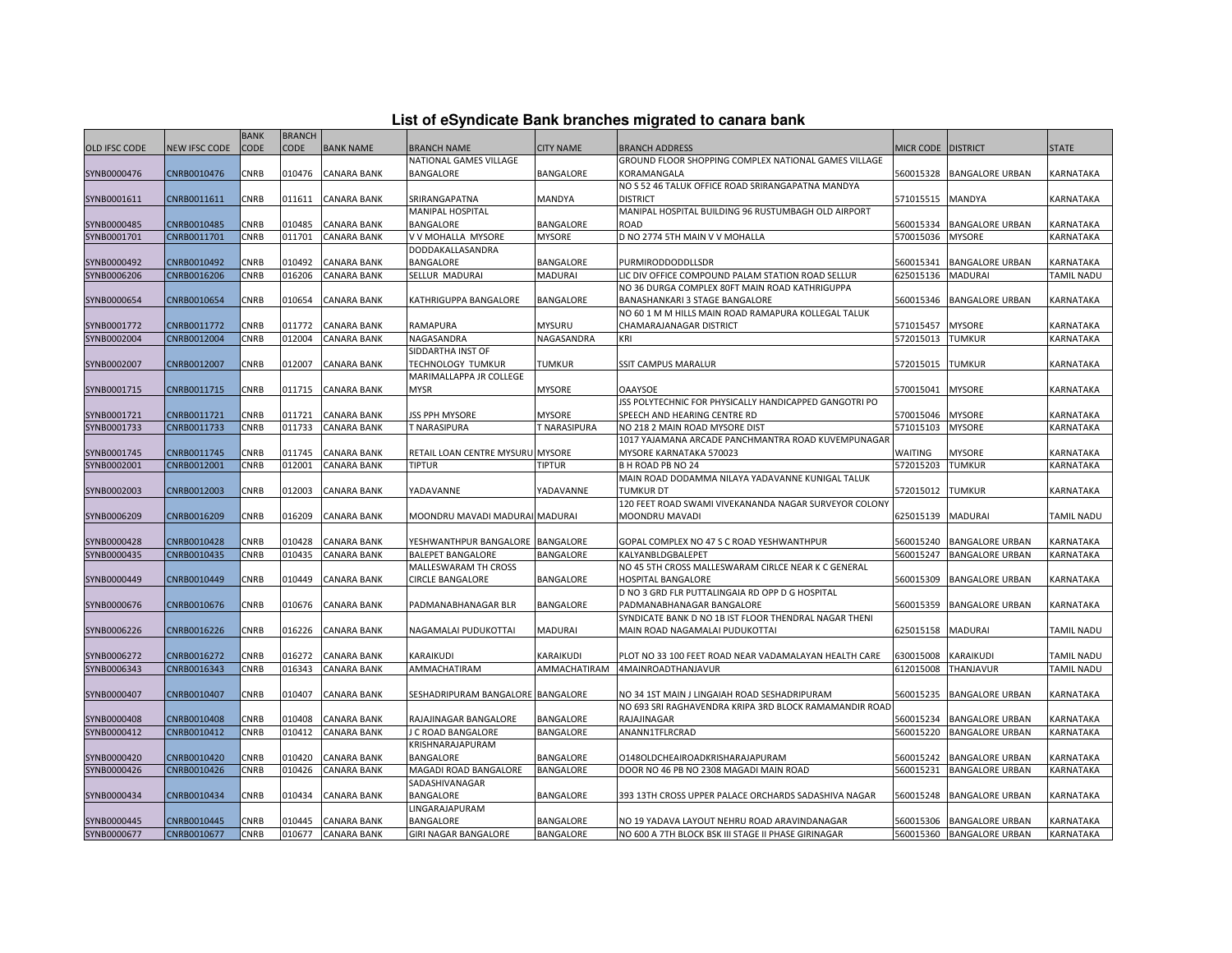| List of eSyndicate Bank branches migrated to canara bank |  |  |
|----------------------------------------------------------|--|--|
|                                                          |  |  |

|               |               | <b>BANK</b> | <b>BRANCH</b> |                    |                                   |                     |                                                        |           |                           |                   |
|---------------|---------------|-------------|---------------|--------------------|-----------------------------------|---------------------|--------------------------------------------------------|-----------|---------------------------|-------------------|
| OLD IFSC CODE | NEW IFSC CODE | CODE        | <b>CODE</b>   | <b>BANK NAME</b>   | <b>BRANCH NAME</b>                | <b>CITY NAME</b>    | <b>BRANCH ADDRESS</b>                                  | MICR CODE | <b>DISTRICT</b>           | <b>STATE</b>      |
|               |               |             |               |                    | NATIONAL GAMES VILLAGE            |                     | GROUND FLOOR SHOPPING COMPLEX NATIONAL GAMES VILLAGE   |           |                           |                   |
| SYNB0000476   | CNRB0010476   | CNRB        | 010476        | <b>CANARA BANK</b> | BANGALORE                         | BANGALORE           | KORAMANGALA                                            | 560015328 | <b>BANGALORE URBAN</b>    | KARNATAKA         |
|               |               |             |               |                    |                                   |                     | NO S 52 46 TALUK OFFICE ROAD SRIRANGAPATNA MANDYA      |           |                           |                   |
| SYNB0001611   | CNRB0011611   | CNRB        | 011611        | <b>CANARA BANK</b> | SRIRANGAPATNA                     | MANDYA              | <b>DISTRICT</b>                                        | 571015515 | MANDYA                    | KARNATAKA         |
|               |               |             |               |                    | MANIPAL HOSPITAL                  |                     | MANIPAL HOSPITAL BUILDING 96 RUSTUMBAGH OLD AIRPORT    |           |                           |                   |
| SYNB0000485   | CNRB0010485   | CNRB        | 010485        | <b>CANARA BANK</b> | BANGALORE                         | BANGALORE           | <b>ROAD</b>                                            | 560015334 | <b>BANGALORE URBAN</b>    | KARNATAKA         |
| SYNB0001701   | CNRB0011701   | CNRB        | 011701        | <b>CANARA BANK</b> | V V MOHALLA MYSORE                | <b>MYSORE</b>       | D NO 2774 5TH MAIN V V MOHALLA                         | 570015036 | <b>MYSORE</b>             | KARNATAKA         |
|               |               |             |               |                    | DODDAKALLASANDRA                  |                     |                                                        |           |                           |                   |
| SYNB0000492   | CNRB0010492   | CNRB        | 010492        | <b>CANARA BANK</b> | BANGALORE                         | BANGALORE           | PURMIRODDODDLLSDR                                      | 560015341 | <b>BANGALORE URBAN</b>    | KARNATAKA         |
| SYNB0006206   | CNRB0016206   | <b>CNRB</b> | 016206        | <b>CANARA BANK</b> | SELLUR MADURAI                    | MADURAI             | LIC DIV OFFICE COMPOUND PALAM STATION ROAD SELLUR      | 625015136 | <b>MADURAI</b>            | TAMIL NADU        |
|               |               |             |               |                    |                                   |                     | NO 36 DURGA COMPLEX 80FT MAIN ROAD KATHRIGUPPA         |           |                           |                   |
| SYNB0000654   | CNRB0010654   | CNRB        | 010654        | <b>CANARA BANK</b> | KATHRIGUPPA BANGALORE             | BANGALORE           | BANASHANKARI 3 STAGE BANGALORE                         | 560015346 | <b>BANGALORE URBAN</b>    | KARNATAKA         |
|               |               |             |               |                    |                                   |                     | NO 60 1 M M HILLS MAIN ROAD RAMAPURA KOLLEGAL TALUK    |           |                           |                   |
| SYNB0001772   | CNRB0011772   | CNRB        | 011772        | <b>CANARA BANK</b> | RAMAPURA                          | <b>MYSURU</b>       | CHAMARAJANAGAR DISTRICT                                | 571015457 | <b>MYSORE</b>             | KARNATAKA         |
| SYNB0002004   | CNRB0012004   | CNRB        | 012004        | <b>CANARA BANK</b> | NAGASANDRA                        | NAGASANDRA          | KRI                                                    | 572015013 | <b>TUMKUR</b>             | KARNATAKA         |
|               |               |             |               |                    | SIDDARTHA INST OF                 |                     |                                                        |           |                           |                   |
| SYNB0002007   | CNRB0012007   | CNRB        | 012007        | <b>CANARA BANK</b> | TECHNOLOGY TUMKUR                 | TUMKUR              | SSIT CAMPUS MARALUR                                    | 572015015 | TUMKUR                    | KARNATAKA         |
|               |               |             |               |                    | MARIMALLAPPA JR COLLEGE           |                     |                                                        |           |                           |                   |
| SYNB0001715   | CNRB0011715   | CNRB        | 011715        | <b>CANARA BANK</b> | <b>MYSR</b>                       | <b>MYSORE</b>       | <b>OAAYSOE</b>                                         | 570015041 | <b>MYSORE</b>             | KARNATAKA         |
|               |               |             |               |                    |                                   |                     | JSS POLYTECHNIC FOR PHYSICALLY HANDICAPPED GANGOTRI PO |           |                           |                   |
| SYNB0001721   | CNRB0011721   | CNRB        | 011721        | <b>CANARA BANK</b> | <b>JSS PPH MYSORE</b>             | MYSORE              | SPEECH AND HEARING CENTRE RD                           | 570015046 | <b>MYSORE</b>             | KARNATAKA         |
| SYNB0001733   | CNRB0011733   | <b>CNRB</b> | 011733        | <b>CANARA BANK</b> | T NARASIPURA                      | <b>T NARASIPURA</b> | NO 218 2 MAIN ROAD MYSORE DIST                         | 571015103 | <b>MYSORE</b>             | KARNATAKA         |
|               |               |             |               |                    |                                   |                     | 1017 YAJAMANA ARCADE PANCHMANTRA ROAD KUVEMPUNAGAR     |           |                           |                   |
| SYNB0001745   | CNRB0011745   | CNRB        | 011745        | <b>CANARA BANK</b> | RETAIL LOAN CENTRE MYSURU MYSORE  |                     | MYSORE KARNATAKA 570023                                | WAITING   | MYSORE                    | KARNATAKA         |
| SYNB0002001   | CNRB0012001   | CNRB        | 012001        | <b>CANARA BANK</b> | <b>TIPTUR</b>                     | <b>TIPTUR</b>       | B H ROAD PB NO 24                                      | 572015203 | <b>TUMKUR</b>             | KARNATAKA         |
|               |               |             |               |                    |                                   |                     | MAIN ROAD DODAMMA NILAYA YADAVANNE KUNIGAL TALUK       |           |                           |                   |
| SYNB0002003   | CNRB0012003   | CNRB        | 012003        | CANARA BANK        | YADAVANNE                         | YADAVANNE           | <b>TUMKUR DT</b>                                       | 572015012 | TUMKUR                    | KARNATAKA         |
|               |               |             |               |                    |                                   |                     | 120 FEET ROAD SWAMI VIVEKANANDA NAGAR SURVEYOR COLONY  |           |                           |                   |
| SYNB0006209   | CNRB0016209   | CNRB        | 016209        | <b>CANARA BANK</b> | MOONDRU MAVADI MADURAI MADURAI    |                     | MOONDRU MAVADI                                         | 625015139 | <b>MADURAI</b>            | <b>TAMIL NADU</b> |
|               |               |             |               |                    |                                   |                     |                                                        |           |                           |                   |
| SYNB0000428   | CNRB0010428   | CNRB        | 010428        | <b>CANARA BANK</b> | YESHWANTHPUR BANGALORE            | <b>BANGALORE</b>    | GOPAL COMPLEX NO 47 S C ROAD YESHWANTHPUR              | 560015240 | <b>BANGALORE URBAN</b>    | KARNATAKA         |
| SYNB0000435   | CNRB0010435   | CNRB        | 010435        | <b>CANARA BANK</b> | <b>BALEPET BANGALORE</b>          | BANGALORE           | KALYANBLDGBALEPET                                      | 560015247 | <b>BANGALORE URBAN</b>    | KARNATAKA         |
|               |               |             |               |                    | <b>MALLESWARAM TH CROSS</b>       |                     | NO 45 5TH CROSS MALLESWARAM CIRLCE NEAR K C GENERAL    |           |                           |                   |
| SYNB0000449   | CNRB0010449   | CNRB        | 010449        | CANARA BANK        | CIRCLE BANGALORE                  | BANGALORE           | <b>HOSPITAL BANGALORE</b>                              | 560015309 | <b>BANGALORE URBAN</b>    | KARNATAKA         |
|               |               |             |               |                    |                                   |                     | D NO 3 GRD FLR PUTTALINGAIA RD OPP D G HOSPITAL        |           |                           |                   |
| SYNB0000676   | CNRB0010676   | CNRB        | 010676        | CANARA BANK        | PADMANABHANAGAR BLR               | BANGALORE           | PADMANABHANAGAR BANGALORE                              | 560015359 | BANGALORE URBAN           | KARNATAKA         |
|               |               |             |               |                    |                                   |                     | SYNDICATE BANK D NO 1B IST FLOOR THENDRAL NAGAR THENI  |           |                           |                   |
| SYNB0006226   | CNRB0016226   | CNRB        | 016226        | <b>CANARA BANK</b> | NAGAMALAI PUDUKOTTAI              | MADURAI             | MAIN ROAD NAGAMALAI PUDUKOTTAI                         | 625015158 | <b>MADURAI</b>            | TAMIL NADU        |
|               |               |             |               |                    |                                   |                     |                                                        |           |                           |                   |
| SYNB0006272   | CNRB0016272   | CNRB        | 016272        | CANARA BANK        | KARAIKUDI                         | <b>KARAIKUDI</b>    | PLOT NO 33 100 FEET ROAD NEAR VADAMALAYAN HEALTH CARE  | 630015008 | KARAIKUDI                 | TAMIL NADU        |
| SYNB0006343   | CNRB0016343   | CNRB        | 016343        | <b>CANARA BANK</b> | AMMACHATIRAM                      | AMMACHATIRAM        | 4MAINROADTHANJAVUR                                     | 612015008 | THANJAVUR                 | TAMIL NADU        |
|               |               |             |               |                    |                                   |                     |                                                        |           |                           |                   |
| SYNB0000407   | CNRB0010407   | CNRB        | 010407        | CANARA BANK        | SESHADRIPURAM BANGALORE BANGALORE |                     | NO 34 1ST MAIN J LINGAIAH ROAD SESHADRIPURAM           | 560015235 | <b>BANGALORE URBAN</b>    | KARNATAKA         |
|               |               |             |               |                    |                                   |                     | NO 693 SRI RAGHAVENDRA KRIPA 3RD BLOCK RAMAMANDIR ROAD |           |                           |                   |
| SYNB0000408   | CNRB0010408   | CNRB        | 010408        | <b>CANARA BANK</b> | RAJAJINAGAR BANGALORE             | BANGALORE           | RAJAJINAGAR                                            | 560015234 | <b>BANGALORE URBAN</b>    | KARNATAKA         |
| SYNB0000412   | CNRB0010412   | CNRB        | 010412        | <b>CANARA BANK</b> | <b>C ROAD BANGALORE</b>           | BANGALORE           | ANANN1TFLRCRAD                                         | 560015220 | <b>BANGALORE URBAN</b>    | KARNATAKA         |
|               |               |             |               |                    | KRISHNARAJAPURAM                  |                     |                                                        |           |                           |                   |
| SYNB0000420   | CNRB0010420   | CNRB        | 010420        | <b>CANARA BANK</b> | BANGALORE                         | BANGALORE           | 01480LDCHEAIROADKRISHARAJAPURAM                        | 560015242 | <b>BANGALORE URBAN</b>    | KARNATAKA         |
| SYNB0000426   | CNRB0010426   | CNRB        | 010426        | <b>CANARA BANK</b> | MAGADI ROAD BANGALORE             | BANGALORE           | DOOR NO 46 PB NO 2308 MAGADI MAIN ROAD                 | 560015231 | <b>BANGALORE URBAN</b>    | KARNATAKA         |
|               |               |             |               |                    | SADASHIVANAGAR                    |                     |                                                        |           |                           |                   |
| SYNB0000434   | CNRB0010434   | CNRB        | 010434        | CANARA BANK        | BANGALORE                         | BANGALORE           | 393 13TH CROSS UPPER PALACE ORCHARDS SADASHIVA NAGAR   | 560015248 | <b>BANGALORE URBAN</b>    | KARNATAKA         |
|               |               |             |               |                    | LINGARAJAPURAM                    |                     |                                                        |           |                           |                   |
| SYNB0000445   | CNRB0010445   | <b>CNRB</b> | 010445        | <b>CANARA BANK</b> | BANGALORE                         | BANGALORE           | NO 19 YADAVA LAYOUT NEHRU ROAD ARAVINDANAGAR           | 560015306 | <b>BANGALORE URBAN</b>    | KARNATAKA         |
| SYNB0000677   | CNRB0010677   | <b>CNRB</b> | 010677        | <b>CANARA BANK</b> | <b>GIRI NAGAR BANGALORE</b>       | <b>BANGALORE</b>    | NO 600 A 7TH BLOCK BSK III STAGE II PHASE GIRINAGAR    |           | 560015360 BANGALORE URBAN | KARNATAKA         |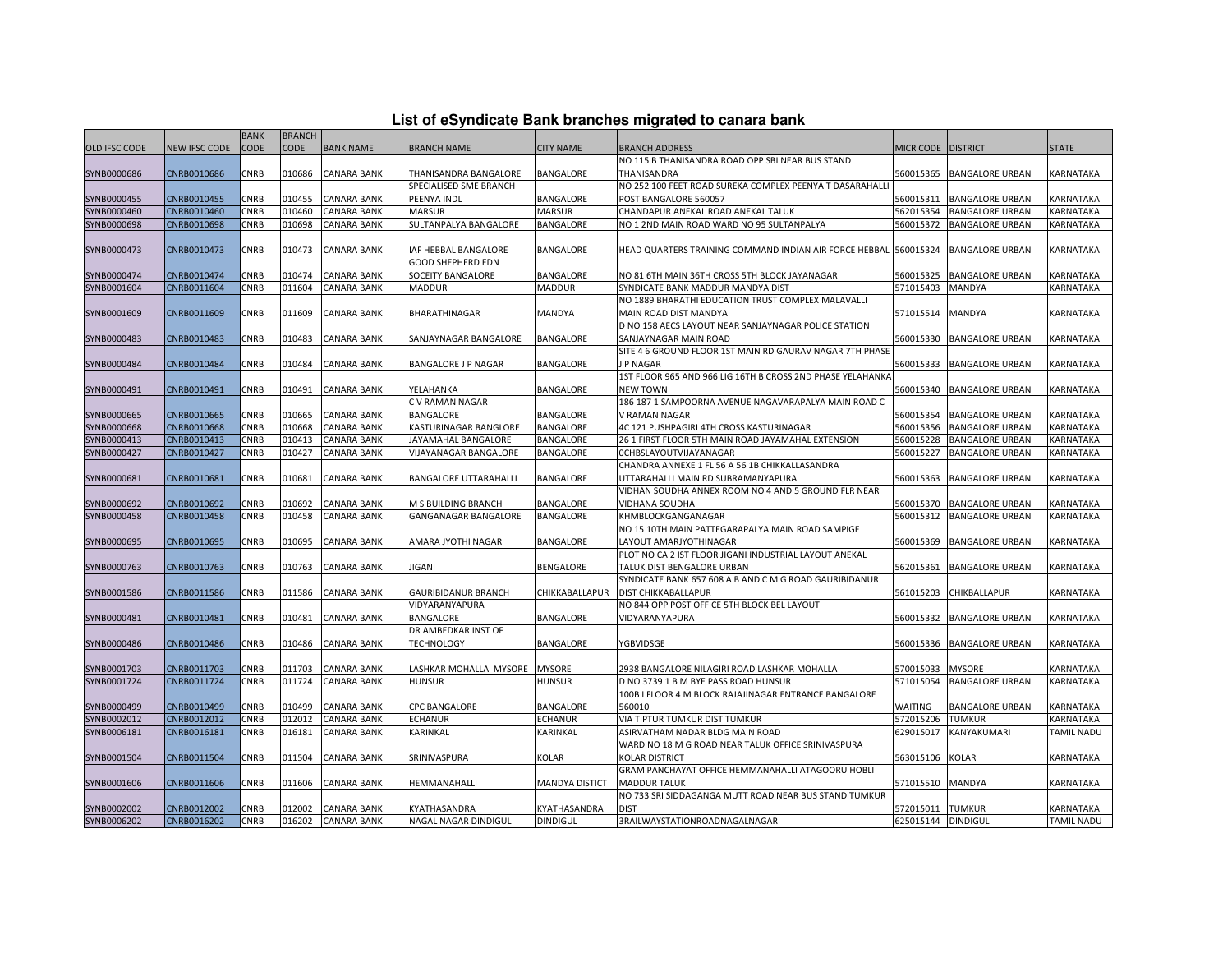| List of eSyndicate Bank branches migrated to canara bank |  |  |  |  |  |  |  |  |  |
|----------------------------------------------------------|--|--|--|--|--|--|--|--|--|
|----------------------------------------------------------|--|--|--|--|--|--|--|--|--|

|                      | List of eSyndicate Bank branches migrated to canara bank |             |               |                    |                               |                       |                                                                                           |                    |                        |                   |  |  |
|----------------------|----------------------------------------------------------|-------------|---------------|--------------------|-------------------------------|-----------------------|-------------------------------------------------------------------------------------------|--------------------|------------------------|-------------------|--|--|
|                      |                                                          | <b>BANK</b> | <b>BRANCH</b> |                    |                               |                       |                                                                                           |                    |                        |                   |  |  |
| <b>OLD IFSC CODE</b> | <b>NEW IFSC CODE</b>                                     | <b>CODE</b> | <b>CODE</b>   | <b>BANK NAME</b>   | <b>BRANCH NAME</b>            | <b>CITY NAME</b>      | <b>BRANCH ADDRESS</b>                                                                     | MICR CODE DISTRICT |                        | <b>STATE</b>      |  |  |
|                      |                                                          |             |               |                    |                               |                       | NO 115 B THANISANDRA ROAD OPP SBI NEAR BUS STAND                                          |                    |                        |                   |  |  |
| SYNB0000686          | CNRB0010686                                              | CNRB        | 010686        | <b>CANARA BANK</b> | THANISANDRA BANGALORE         | BANGALORE             | THANISANDRA                                                                               | 560015365          | <b>BANGALORE URBAN</b> | KARNATAKA         |  |  |
|                      |                                                          |             |               |                    | SPECIALISED SME BRANCH        |                       | NO 252 100 FEET ROAD SUREKA COMPLEX PEENYA T DASARAHALL                                   |                    |                        |                   |  |  |
| SYNB0000455          | CNRB0010455                                              | CNRB        | 010455        | <b>CANARA BANK</b> | PEENYA INDL                   | <b>BANGALORE</b>      | POST BANGALORE 560057                                                                     | 560015311          | <b>BANGALORE URBAN</b> | <b>KARNATAKA</b>  |  |  |
| SYNB0000460          | CNRB0010460                                              | CNRB        | 010460        | <b>CANARA BANK</b> | <b>MARSUR</b>                 | <b>MARSUR</b>         | CHANDAPUR ANEKAL ROAD ANEKAL TALUK                                                        | 562015354          | <b>BANGALORE URBAN</b> | KARNATAKA         |  |  |
| SYNB0000698          | CNRB0010698                                              | CNRB        | 010698        | <b>CANARA BANK</b> | SULTANPALYA BANGALORE         | BANGALORE             | NO 1 2ND MAIN ROAD WARD NO 95 SULTANPALYA                                                 | 560015372          | <b>BANGALORE URBAN</b> | KARNATAKA         |  |  |
|                      |                                                          |             |               |                    |                               |                       |                                                                                           |                    |                        |                   |  |  |
| SYNB0000473          | CNRB0010473                                              | CNRB        | 010473        | <b>CANARA BANK</b> | IAF HEBBAL BANGALORE          | BANGALORE             | HEAD QUARTERS TRAINING COMMAND INDIAN AIR FORCE HEBBAL 560015324                          |                    | <b>BANGALORE URBAN</b> | KARNATAKA         |  |  |
|                      |                                                          |             |               |                    | <b>GOOD SHEPHERD EDN</b>      |                       |                                                                                           |                    |                        |                   |  |  |
| SYNB0000474          | CNRB0010474                                              | CNRB        | 010474        | <b>CANARA BANK</b> | SOCEITY BANGALORE             | BANGALORE             | NO 81 6TH MAIN 36TH CROSS 5TH BLOCK JAYANAGAR                                             | 560015325          | <b>BANGALORE URBAN</b> | KARNATAKA         |  |  |
| SYNB0001604          | CNRB0011604                                              | <b>CNRB</b> | 011604        | CANARA BANK        | <b>MADDUR</b>                 | MADDUR                | SYNDICATE BANK MADDUR MANDYA DIST                                                         | 571015403          | <b>MANDYA</b>          | KARNATAKA         |  |  |
|                      |                                                          |             |               |                    |                               |                       | NO 1889 BHARATHI EDUCATION TRUST COMPLEX MALAVALLI                                        |                    |                        |                   |  |  |
| SYNB0001609          | CNRB0011609                                              | CNRB        | 011609        | <b>CANARA BANK</b> | BHARATHINAGAR                 | <b>MANDYA</b>         | MAIN ROAD DIST MANDYA                                                                     | 571015514          | MANDYA                 | KARNATAKA         |  |  |
|                      |                                                          |             |               |                    |                               |                       | D NO 158 AECS LAYOUT NEAR SANJAYNAGAR POLICE STATION                                      |                    |                        |                   |  |  |
| SYNB0000483          | CNRB0010483                                              | CNRB        | 010483        | <b>CANARA BANK</b> | SANJAYNAGAR BANGALORE         | <b>BANGALORE</b>      | SANJAYNAGAR MAIN ROAD                                                                     | 560015330          | <b>BANGALORE URBAN</b> | KARNATAKA         |  |  |
|                      |                                                          |             |               |                    |                               |                       | SITE 4 6 GROUND FLOOR 1ST MAIN RD GAURAV NAGAR 7TH PHASE                                  |                    |                        |                   |  |  |
| SYNB0000484          | CNRB0010484                                              | CNRB        | 010484        | CANARA BANK        | BANGALORE J P NAGAR           | BANGALORE             | J P NAGAR                                                                                 | 560015333          | <b>BANGALORE URBAN</b> | KARNATAKA         |  |  |
|                      |                                                          |             |               |                    |                               |                       | 1ST FLOOR 965 AND 966 LIG 16TH B CROSS 2ND PHASE YELAHANK                                 |                    |                        |                   |  |  |
| SYNB0000491          | CNRB0010491                                              | CNRB        | 010491        | <b>CANARA BANK</b> | YELAHANKA                     | BANGALORE             | <b>NEW TOWN</b>                                                                           | 560015340          | <b>BANGALORE URBAN</b> | KARNATAKA         |  |  |
|                      |                                                          |             |               |                    | C V RAMAN NAGAR               |                       | 186 187 1 SAMPOORNA AVENUE NAGAVARAPALYA MAIN ROAD C                                      |                    |                        |                   |  |  |
| SYNB0000665          | CNRB0010665                                              | CNRB        | 010665        | <b>CANARA BANK</b> | BANGALORE                     | <b>BANGALORE</b>      | V RAMAN NAGAR                                                                             | 560015354          | <b>BANGALORE URBAN</b> | KARNATAKA         |  |  |
| SYNB0000668          | CNRB0010668                                              | CNRB        | 010668        | <b>CANARA BANK</b> | KASTURINAGAR BANGLORE         | <b>BANGALORE</b>      | 4C 121 PUSHPAGIRI 4TH CROSS KASTURINAGAR                                                  | 560015356          | <b>BANGALORE URBAN</b> | KARNATAKA         |  |  |
| SYNB0000413          | CNRB0010413                                              | CNRB        | 010413        | <b>CANARA BANK</b> | JAYAMAHAL BANGALORE           | <b>BANGALORE</b>      | 26 1 FIRST FLOOR 5TH MAIN ROAD JAYAMAHAL EXTENSION                                        | 560015228          | <b>BANGALORE URBAN</b> | KARNATAKA         |  |  |
| SYNB0000427          | CNRB0010427                                              | CNRB        | 010427        | CANARA BANK        | VIJAYANAGAR BANGALORE         | BANGALORE             | <b>OCHBSLAYOUTVIJAYANAGAR</b>                                                             | 560015227          | <b>BANGALORE URBAN</b> | KARNATAKA         |  |  |
|                      |                                                          |             |               |                    |                               |                       | CHANDRA ANNEXE 1 FL 56 A 56 1B CHIKKALLASANDRA                                            |                    |                        |                   |  |  |
| SYNB0000681          | CNRB0010681                                              | CNRB        | 010681        | CANARA BANK        | BANGALORE UTTARAHALLI         | <b>BANGALORE</b>      | UTTARAHALLI MAIN RD SUBRAMANYAPURA<br>VIDHAN SOUDHA ANNEX ROOM NO 4 AND 5 GROUND FLR NEAR | 560015363          | <b>BANGALORE URBAN</b> | KARNATAKA         |  |  |
|                      | CNRB0010692                                              | <b>CNRB</b> | 010692        | <b>CANARA BANK</b> | M S BUILDING BRANCH           | BANGALORE             | <b>VIDHANA SOUDHA</b>                                                                     | 560015370          |                        | KARNATAKA         |  |  |
| SYNB0000692          |                                                          |             |               |                    |                               |                       |                                                                                           |                    | <b>BANGALORE URBAN</b> |                   |  |  |
| SYNB0000458          | CNRB0010458                                              | CNRB        | 010458        | <b>CANARA BANK</b> | GANGANAGAR BANGALORE          | <b>BANGALORE</b>      | KHMBLOCKGANGANAGAR<br>NO 15 10TH MAIN PATTEGARAPALYA MAIN ROAD SAMPIGE                    | 560015312          | <b>BANGALORE URBAN</b> | KARNATAKA         |  |  |
| SYNB0000695          | CNRB0010695                                              | CNRB        | 010695        | <b>CANARA BANK</b> | AMARA JYOTHI NAGAR            | <b>BANGALORE</b>      | LAYOUT AMARJYOTHINAGAR                                                                    | 560015369          | <b>BANGALORE URBAN</b> | KARNATAKA         |  |  |
|                      |                                                          |             |               |                    |                               |                       | PLOT NO CA 2 IST FLOOR JIGANI INDUSTRIAL LAYOUT ANEKAL                                    |                    |                        |                   |  |  |
| SYNB0000763          | CNRB0010763                                              | CNRB        | 010763        | <b>CANARA BANK</b> | JIGANI                        | <b>BENGALORE</b>      | TALUK DIST BENGALORE URBAN                                                                | 562015361          | <b>BANGALORE URBAN</b> | KARNATAKA         |  |  |
|                      |                                                          |             |               |                    |                               |                       | SYNDICATE BANK 657 608 A B AND C M G ROAD GAURIBIDANUR                                    |                    |                        |                   |  |  |
| SYNB0001586          | CNRB0011586                                              | CNRB        | 011586        | <b>CANARA BANK</b> | GAURIBIDANUR BRANCH           | CHIKKABALLAPUR        | <b>DIST CHIKKABALLAPUR</b>                                                                | 561015203          | CHIKBALLAPUR           | KARNATAKA         |  |  |
|                      |                                                          |             |               |                    | VIDYARANYAPURA                |                       | NO 844 OPP POST OFFICE 5TH BLOCK BEL LAYOUT                                               |                    |                        |                   |  |  |
| SYNB0000481          | CNRB0010481                                              | CNRB        | 010481        | <b>CANARA BANK</b> | BANGALORE                     | <b>BANGALORE</b>      | VIDYARANYAPURA                                                                            | 560015332          | <b>BANGALORE URBAN</b> | KARNATAKA         |  |  |
|                      |                                                          |             |               |                    | DR AMBEDKAR INST OF           |                       |                                                                                           |                    |                        |                   |  |  |
| SYNB0000486          | CNRB0010486                                              | CNRB        | 010486        | <b>CANARA BANK</b> | <b>TECHNOLOGY</b>             | <b>BANGALORE</b>      | YGBVIDSGE                                                                                 | 560015336          | <b>BANGALORE URBAN</b> | KARNATAKA         |  |  |
|                      |                                                          |             |               |                    |                               |                       |                                                                                           |                    |                        |                   |  |  |
| SYNB0001703          | CNRB0011703                                              | CNRB        | 011703        | <b>CANARA BANK</b> | LASHKAR MOHALLA MYSORE MYSORE |                       | 2938 BANGALORE NILAGIRI ROAD LASHKAR MOHALLA                                              | 570015033          | <b>MYSORE</b>          | KARNATAKA         |  |  |
| SYNB0001724          | CNRB0011724                                              | CNRB        | 011724        | <b>CANARA BANK</b> | <b>HUNSUR</b>                 | <b>HUNSUR</b>         | D NO 3739 1 B M BYE PASS ROAD HUNSUR                                                      | 571015054          | <b>BANGALORE URBAN</b> | KARNATAKA         |  |  |
|                      |                                                          |             |               |                    |                               |                       | 100B I FLOOR 4 M BLOCK RAJAJINAGAR ENTRANCE BANGALORE                                     |                    |                        |                   |  |  |
| SYNB0000499          | CNRB0010499                                              | CNRB        | 010499        | <b>CANARA BANK</b> | CPC BANGALORE                 | BANGALORE             | 560010                                                                                    | WAITING            | <b>BANGALORE URBAN</b> | KARNATAKA         |  |  |
| SYNB0002012          | CNRB0012012                                              | CNRB        | 012012        | CANARA BANK        | <b>ECHANUR</b>                | ECHANUR               | VIA TIPTUR TUMKUR DIST TUMKUR                                                             | 572015206          | <b>TUMKUR</b>          | KARNATAKA         |  |  |
| SYNB0006181          | CNRB0016181                                              | CNRB        | 016181        | <b>CANARA BANK</b> | KARINKAL                      | KARINKAL              | ASIRVATHAM NADAR BLDG MAIN ROAD                                                           | 629015017          | KANYAKUMARI            | TAMIL NADU        |  |  |
|                      |                                                          |             |               |                    |                               |                       | WARD NO 18 M G ROAD NEAR TALUK OFFICE SRINIVASPURA                                        |                    |                        |                   |  |  |
| SYNB0001504          | CNRB0011504                                              | CNRB        | 011504        | CANARA BANK        | SRINIVASPURA                  | <b>KOLAR</b>          | <b>KOLAR DISTRICT</b>                                                                     | 563015106          | <b>KOLAR</b>           | KARNATAKA         |  |  |
|                      |                                                          |             |               |                    |                               |                       | GRAM PANCHAYAT OFFICE HEMMANAHALLI ATAGOORU HOBLI                                         |                    |                        |                   |  |  |
| SYNB0001606          | CNRB0011606                                              | CNRB        | 011606        | <b>CANARA BANK</b> | HEMMANAHALLI                  | <b>MANDYA DISTICT</b> | <b>MADDUR TALUK</b>                                                                       | 571015510          | <b>MANDYA</b>          | KARNATAKA         |  |  |
|                      |                                                          |             |               |                    |                               |                       | NO 733 SRI SIDDAGANGA MUTT ROAD NEAR BUS STAND TUMKUR                                     |                    |                        |                   |  |  |
| SYNB0002002          | CNRB0012002                                              | CNRB        | 012002        | <b>CANARA BANK</b> | KYATHASANDRA                  | KYATHASANDRA          | <b>DIST</b>                                                                               | 572015011 TUMKUR   |                        | KARNATAKA         |  |  |
| SYNB0006202          | CNRB0016202                                              | CNRB        |               | 016202 CANARA BANK | NAGAL NAGAR DINDIGUL          | <b>DINDIGUL</b>       | 3RAILWAYSTATIONROADNAGALNAGAR                                                             | 625015144 DINDIGUL |                        | <b>TAMIL NADU</b> |  |  |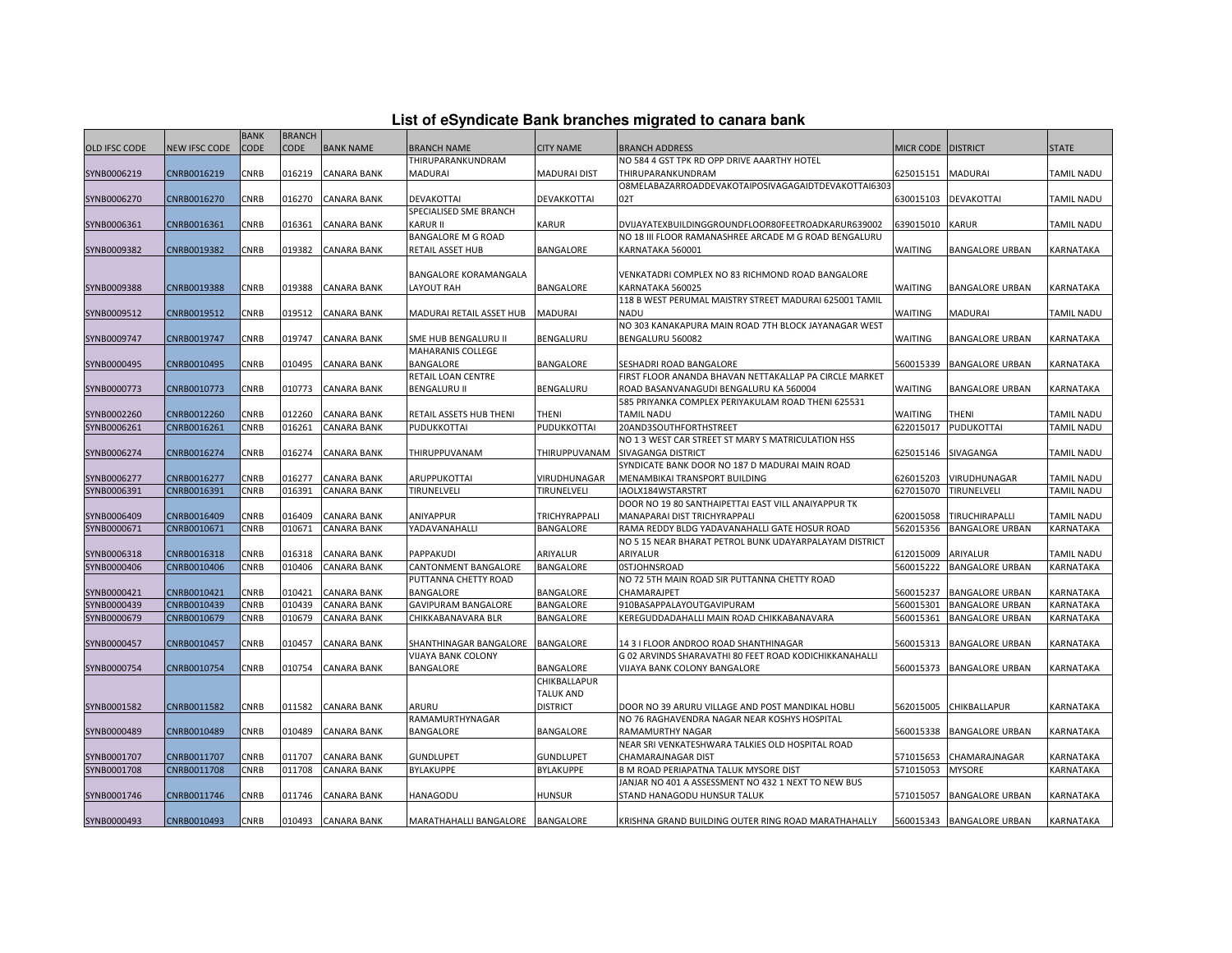| List of eSyndicate Bank branches migrated to canara bank |  |  |  |
|----------------------------------------------------------|--|--|--|
|----------------------------------------------------------|--|--|--|

|               |               | <b>BANK</b> | <b>BRANCH</b> |                    |                                  |                     |                                                        |                  |                           |                   |
|---------------|---------------|-------------|---------------|--------------------|----------------------------------|---------------------|--------------------------------------------------------|------------------|---------------------------|-------------------|
| OLD IFSC CODE | NEW IFSC CODE | CODE        | <b>CODE</b>   | <b>BANK NAME</b>   | BRANCH NAME                      | <b>CITY NAME</b>    | <b>BRANCH ADDRESS</b>                                  | <b>MICR CODE</b> | <b>DISTRICT</b>           | <b>STATE</b>      |
|               |               |             |               |                    | THIRUPARANKUNDRAM                |                     | NO 584 4 GST TPK RD OPP DRIVE AAARTHY HOTEL            |                  |                           |                   |
| SYNB0006219   | CNRB0016219   | CNRB        | 016219        | <b>CANARA BANK</b> | MADURAI                          | <b>MADURAI DIST</b> | THIRUPARANKUNDRAM                                      | 625015151        | <b>MADURAI</b>            | <b>TAMIL NADU</b> |
|               |               |             |               |                    |                                  |                     | O8MELABAZARROADDEVAKOTAIPOSIVAGAGAIDTDEVAKOTTAI6303    |                  |                           |                   |
| SYNB0006270   | CNRB0016270   | CNRB        | 016270        | <b>CANARA BANK</b> | DEVAKOTTAI                       | DEVAKKOTTAI         | 02T                                                    | 630015103        | <b>DEVAKOTTAI</b>         | <b>TAMIL NADU</b> |
|               |               |             |               |                    | SPECIALISED SME BRANCH           |                     |                                                        |                  |                           |                   |
| SYNB0006361   | CNRB0016361   | CNRB        | 016361        | <b>CANARA BANK</b> | <b>KARUR II</b>                  | <b>KARUR</b>        | DVIJAYATEXBUILDINGGROUNDFLOOR80FEETROADKARUR639002     | 639015010        | <b>KARUR</b>              | <b>TAMIL NADU</b> |
|               |               |             |               |                    | <b>BANGALORE M G ROAD</b>        |                     | NO 18 III FLOOR RAMANASHREE ARCADE M G ROAD BENGALURU  |                  |                           |                   |
| SYNB0009382   | CNRB0019382   | CNRB        | 019382        | <b>CANARA BANK</b> | RETAIL ASSET HUB                 | BANGALORE           | KARNATAKA 560001                                       | <b>WAITING</b>   | <b>BANGALORE URBAN</b>    | KARNATAKA         |
|               |               |             |               |                    |                                  |                     |                                                        |                  |                           |                   |
|               |               |             |               |                    | BANGALORE KORAMANGALA            |                     | VENKATADRI COMPLEX NO 83 RICHMOND ROAD BANGALORE       |                  |                           |                   |
| SYNB0009388   | CNRB0019388   | CNRB        | 019388        | <b>CANARA BANK</b> | LAYOUT RAH                       | BANGALORE           | KARNATAKA 560025                                       | <b>WAITING</b>   | BANGALORE URBAN           | KARNATAKA         |
|               |               |             |               |                    |                                  |                     | 118 B WEST PERUMAL MAISTRY STREET MADURAI 625001 TAMIL |                  |                           |                   |
| SYNB0009512   | CNRB0019512   | CNRB        | 019512        | <b>CANARA BANK</b> | MADURAI RETAIL ASSET HUB         | <b>MADURAI</b>      | <b>NADU</b>                                            | WAITING          | MADURAI                   | <b>TAMIL NADU</b> |
|               |               |             |               |                    |                                  |                     | NO 303 KANAKAPURA MAIN ROAD 7TH BLOCK JAYANAGAR WEST   |                  |                           |                   |
| SYNB0009747   | CNRB0019747   | CNRB        | 019747        | CANARA BANK        | SME HUB BENGALURU II             | BENGALURU           | BENGALURU 560082                                       | <b>WAITING</b>   | <b>BANGALORE URBAN</b>    | KARNATAKA         |
|               |               |             |               |                    | MAHARANIS COLLEGE                |                     |                                                        |                  |                           |                   |
| SYNB0000495   | CNRB0010495   | CNRB        | 010495        | <b>CANARA BANK</b> | BANGALORE                        | <b>BANGALORE</b>    | SESHADRI ROAD BANGALORE                                | 560015339        | <b>BANGALORE URBAN</b>    | KARNATAKA         |
|               |               |             |               |                    | RETAIL LOAN CENTRE               |                     | FIRST FLOOR ANANDA BHAVAN NETTAKALLAP PA CIRCLE MARKET |                  |                           |                   |
| SYNB0000773   | CNRB0010773   | CNRB        | 010773        | <b>CANARA BANK</b> | <b>BENGALURU II</b>              | BENGALURU           | ROAD BASANVANAGUDI BENGALURU KA 560004                 | <b>WAITING</b>   | <b>BANGALORE URBAN</b>    | KARNATAKA         |
|               |               |             |               |                    |                                  |                     | 585 PRIYANKA COMPLEX PERIYAKULAM ROAD THENI 625531     |                  |                           |                   |
| SYNB0002260   | CNRB0012260   | <b>CNRB</b> | 012260        | <b>CANARA BANK</b> | RETAIL ASSETS HUB THENI          | <b>THENI</b>        | <b>TAMIL NADU</b>                                      | WAITING          | THENI                     | <b>TAMIL NADU</b> |
| SYNB0006261   | CNRB0016261   | CNRB        | 016261        | <b>CANARA BANK</b> | PUDUKKOTTAI                      | PUDUKKOTTAI         | 20AND3SOUTHFORTHSTREET                                 | 622015017        | <b>PUDUKOTTAI</b>         | TAMIL NADU        |
|               |               |             |               |                    |                                  |                     | NO 1 3 WEST CAR STREET ST MARY S MATRICULATION HSS     |                  |                           |                   |
| SYNB0006274   | CNRB0016274   | CNRB        | 016274        | <b>CANARA BANK</b> | THIRUPPUVANAM                    | THIRUPPUVANAM       | SIVAGANGA DISTRICT                                     | 625015146        | SIVAGANGA                 | <b>TAMIL NADU</b> |
|               |               |             |               |                    |                                  |                     | SYNDICATE BANK DOOR NO 187 D MADURAI MAIN ROAD         |                  |                           |                   |
| SYNB0006277   | CNRB0016277   | CNRB        | 016277        | <b>CANARA BANK</b> | ARUPPUKOTTAI                     | VIRUDHUNAGAR        | MENAMBIKAI TRANSPORT BUILDING                          | 626015203        | VIRUDHUNAGAR              | <b>TAMIL NADU</b> |
| SYNB0006391   | CNRB0016391   | CNRB        | 016391        | <b>CANARA BANK</b> | TIRUNELVELI                      | TIRUNELVELI         | IAOLX184WSTARSTRT                                      | 627015070        | TIRUNELVELI               | <b>TAMIL NADU</b> |
|               |               |             |               |                    |                                  |                     | DOOR NO 19 80 SANTHAIPETTAI EAST VILL ANAIYAPPUR TK    |                  |                           |                   |
| SYNB0006409   | CNRB0016409   | CNRB        | 016409        | <b>CANARA BANK</b> | ANIYAPPUR                        | TRICHYRAPPALI       | MANAPARAI DIST TRICHYRAPPALI                           | 620015058        | TIRUCHIRAPALLI            | <b>TAMIL NADU</b> |
| SYNB0000671   | CNRB0010671   | CNRB        | 010671        | CANARA BANK        | YADAVANAHALLI                    | BANGALORE           | RAMA REDDY BLDG YADAVANAHALLI GATE HOSUR ROAD          | 562015356        | <b>BANGALORE URBAN</b>    | KARNATAKA         |
|               |               |             |               |                    |                                  |                     | NO 5 15 NEAR BHARAT PETROL BUNK UDAYARPALAYAM DISTRICT |                  |                           |                   |
| SYNB0006318   | CNRB0016318   | CNRB        | 016318        | <b>CANARA BANK</b> | PAPPAKUDI                        | ARIYALUR            | <b>ARIYALUR</b>                                        | 612015009        | ARIYALUR                  | <b>TAMIL NADU</b> |
| SYNB0000406   | CNRB0010406   | CNRB        | 010406        | <b>CANARA BANK</b> | CANTONMENT BANGALORE             | BANGALORE           | <b>OSTJOHNSROAD</b>                                    | 560015222        | <b>BANGALORE URBAN</b>    | KARNATAKA         |
|               |               |             |               |                    | PUTTANNA CHETTY ROAD             |                     | NO 72 5TH MAIN ROAD SIR PUTTANNA CHETTY ROAD           |                  |                           |                   |
| SYNB0000421   | CNRB0010421   | CNRB        | 010421        | <b>CANARA BANK</b> | BANGALORE                        | BANGALORE           | CHAMARAJPET                                            | 560015237        | <b>BANGALORE URBAN</b>    | KARNATAKA         |
| SYNB0000439   | CNRB0010439   | CNRB        | 010439        | CANARA BANK        | GAVIPURAM BANGALORE              | BANGALORE           | 910BASAPPALAYOUTGAVIPURAM                              | 560015301        | <b>BANGALORE URBAN</b>    | KARNATAKA         |
| SYNB0000679   | CNRB0010679   | CNRB        | 010679        | CANARA BANK        | CHIKKABANAVARA BLR               | BANGALORE           | KEREGUDDADAHALLI MAIN ROAD CHIKKABANAVARA              | 560015361        | <b>BANGALORE URBAN</b>    | KARNATAKA         |
|               |               |             |               |                    |                                  |                     |                                                        |                  |                           |                   |
| SYNB0000457   | CNRB0010457   | CNRB        | 010457        | CANARA BANK        | SHANTHINAGAR BANGALORE           | <b>BANGALORE</b>    | 14 3   FLOOR ANDROO ROAD SHANTHINAGAR                  | 560015313        | <b>BANGALORE URBAN</b>    | KARNATAKA         |
|               |               |             |               |                    | VIJAYA BANK COLONY               |                     | G 02 ARVINDS SHARAVATHI 80 FEET ROAD KODICHIKKANAHALLI |                  |                           |                   |
| SYNB0000754   | CNRB0010754   | CNRB        | 010754        | <b>CANARA BANK</b> | BANGALORE                        | BANGALORE           | VIJAYA BANK COLONY BANGALORE                           | 560015373        | <b>BANGALORE URBAN</b>    | KARNATAKA         |
|               |               |             |               |                    |                                  | CHIKBALLAPUR        |                                                        |                  |                           |                   |
|               |               |             |               |                    |                                  | <b>TALUK AND</b>    |                                                        |                  |                           |                   |
| SYNB0001582   | CNRB0011582   | CNRB        | 011582        | <b>CANARA BANK</b> | ARURU                            | <b>DISTRICT</b>     | DOOR NO 39 ARURU VILLAGE AND POST MANDIKAL HOBLI       | 562015005        | CHIKBALLAPUR              | <b>KARNATAKA</b>  |
|               |               |             |               |                    | RAMAMURTHYNAGAR                  |                     | NO 76 RAGHAVENDRA NAGAR NEAR KOSHYS HOSPITAL           |                  |                           |                   |
| SYNB0000489   | CNRB0010489   | CNRB        | 010489        | CANARA BANK        | BANGALORE                        | <b>BANGALORE</b>    | RAMAMURTHY NAGAR                                       | 560015338        | <b>BANGALORE URBAN</b>    | KARNATAKA         |
|               |               |             |               |                    |                                  |                     | NEAR SRI VENKATESHWARA TALKIES OLD HOSPITAL ROAD       |                  |                           |                   |
| SYNB0001707   | CNRB0011707   | CNRB        | 011707        | <b>CANARA BANK</b> | <b>GUNDLUPET</b>                 | <b>GUNDLUPET</b>    | CHAMARAJNAGAR DIST                                     | 571015653        | CHAMARAJNAGAR             | KARNATAKA         |
| SYNB0001708   | CNRB0011708   | CNRB        | 011708        | CANARA BANK        | BYLAKUPPE                        | BYLAKUPPE           | B M ROAD PERIAPATNA TALUK MYSORE DIST                  | 571015053        | <b>MYSORE</b>             | KARNATAKA         |
|               |               |             |               |                    |                                  |                     | JANJAR NO 401 A ASSESSMENT NO 432 1 NEXT TO NEW BUS    |                  |                           |                   |
| SYNB0001746   | CNRB0011746   | CNRB        | 011746        | <b>CANARA BANK</b> | HANAGODU                         | <b>HUNSUR</b>       | STAND HANAGODU HUNSUR TALUK                            | 571015057        | <b>BANGALORE URBAN</b>    | KARNATAKA         |
|               |               |             |               |                    |                                  |                     |                                                        |                  |                           |                   |
| SYNB0000493   | CNRB0010493   | CNRB        | 010493        | <b>CANARA BANK</b> | MARATHAHALLI BANGALORE BANGALORE |                     | KRISHNA GRAND BUILDING OUTER RING ROAD MARATHAHALLY    |                  | 560015343 BANGALORE URBAN | <b>KARNATAKA</b>  |
|               |               |             |               |                    |                                  |                     |                                                        |                  |                           |                   |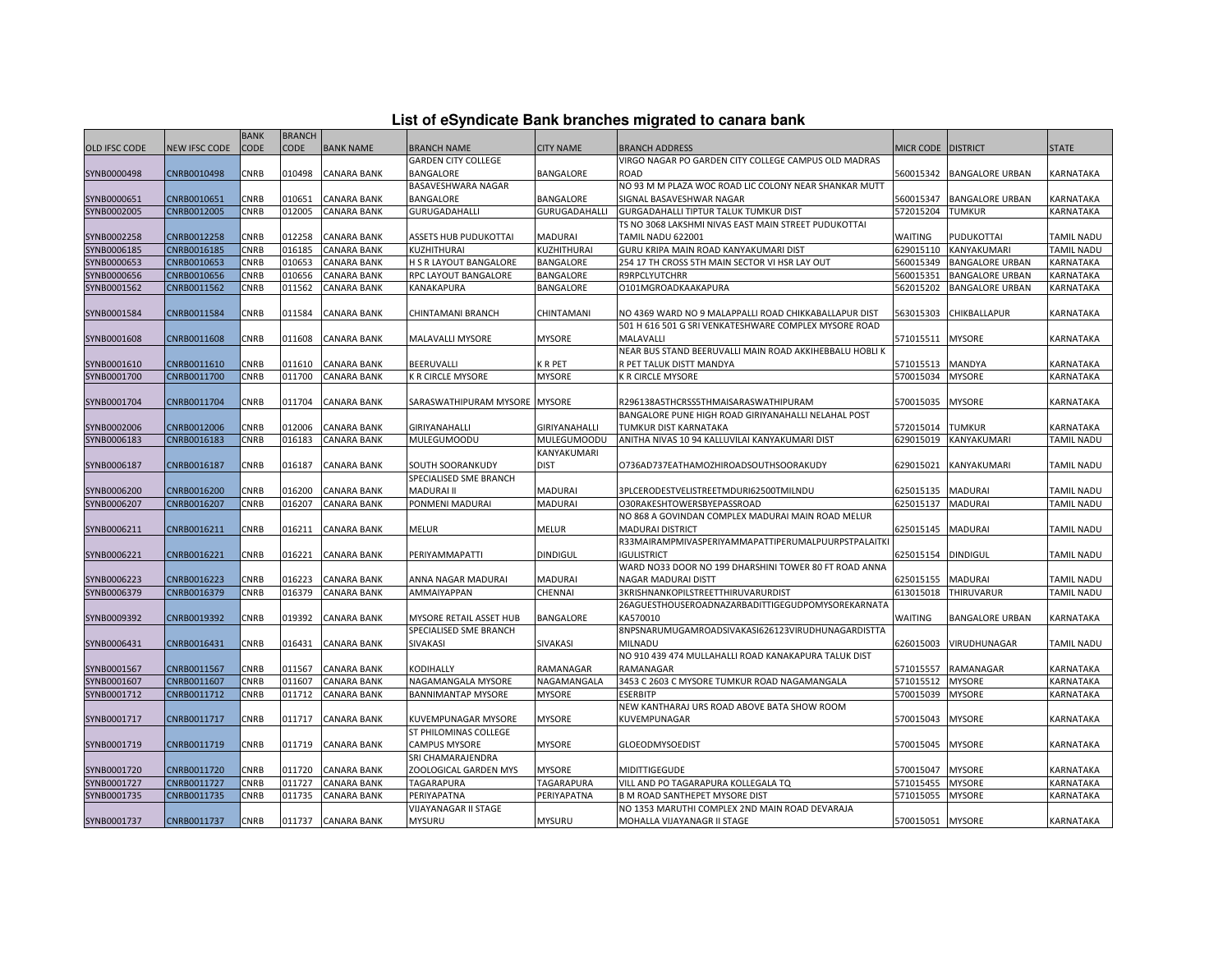| List of eSyndicate Bank branches migrated to canara bank |  |  |  |  |  |  |  |  |  |
|----------------------------------------------------------|--|--|--|--|--|--|--|--|--|
|----------------------------------------------------------|--|--|--|--|--|--|--|--|--|

|                      | List of eSyndicate Bank branches migrated to canara bank |             |               |                    |                               |                  |                                                         |                      |                        |                   |  |  |
|----------------------|----------------------------------------------------------|-------------|---------------|--------------------|-------------------------------|------------------|---------------------------------------------------------|----------------------|------------------------|-------------------|--|--|
|                      |                                                          | <b>BANK</b> | <b>BRANCH</b> |                    |                               |                  |                                                         |                      |                        |                   |  |  |
| <b>OLD IFSC CODE</b> | NEW IFSC CODE                                            | <b>CODE</b> | <b>CODE</b>   | <b>BANK NAME</b>   | <b>BRANCH NAME</b>            | <b>CITY NAME</b> | <b>BRANCH ADDRESS</b>                                   | MICR CODE   DISTRICT |                        | <b>STATE</b>      |  |  |
|                      |                                                          |             |               |                    | <b>GARDEN CITY COLLEGE</b>    |                  | VIRGO NAGAR PO GARDEN CITY COLLEGE CAMPUS OLD MADRAS    |                      |                        |                   |  |  |
| SYNB0000498          | CNRB0010498                                              | CNRB        | 010498        | <b>CANARA BANK</b> | BANGALORE                     | BANGALORE        | <b>ROAD</b>                                             | 560015342            | <b>BANGALORE URBAN</b> | KARNATAKA         |  |  |
|                      |                                                          |             |               |                    | BASAVESHWARA NAGAR            |                  | NO 93 M M PLAZA WOC ROAD LIC COLONY NEAR SHANKAR MUTT   |                      |                        |                   |  |  |
| SYNB0000651          | CNRB0010651                                              | CNRB        | 010651        | <b>CANARA BANK</b> | <b>BANGALORE</b>              | BANGALORE        | SIGNAL BASAVESHWAR NAGAR                                | 560015347            | <b>BANGALORE URBAN</b> | KARNATAKA         |  |  |
| SYNB0002005          | CNRB0012005                                              | <b>CNRB</b> | 012005        | <b>CANARA BANK</b> | GURUGADAHALLI                 | GURUGADAHALLI    | <b>GURGADAHALLI TIPTUR TALUK TUMKUR DIST</b>            | 572015204            | <b>TUMKUR</b>          | <b>KARNATAKA</b>  |  |  |
|                      |                                                          |             |               |                    |                               |                  | TS NO 3068 LAKSHMI NIVAS EAST MAIN STREET PUDUKOTTAI    |                      |                        |                   |  |  |
| SYNB0002258          | CNRB0012258                                              | CNRB        | 012258        | <b>CANARA BANK</b> | ASSETS HUB PUDUKOTTAI         | <b>MADURAI</b>   | TAMIL NADU 622001                                       | WAITING              | PUDUKOTTAI             | <b>TAMIL NADU</b> |  |  |
| SYNB0006185          | CNRB0016185                                              | CNRB        | 016185        | <b>CANARA BANK</b> | KUZHITHURAI                   | KUZHITHURAI      | GURU KRIPA MAIN ROAD KANYAKUMARI DIST                   | 629015110            | KANYAKUMARI            | TAMIL NADU        |  |  |
| SYNB0000653          | CNRB0010653                                              | CNRB        | 010653        | <b>CANARA BANK</b> | H S R LAYOUT BANGALORE        | BANGALORE        | 254 17 TH CROSS 5TH MAIN SECTOR VI HSR LAY OUT          | 560015349            | <b>BANGALORE URBAN</b> | KARNATAKA         |  |  |
| SYNB0000656          | CNRB0010656                                              | CNRB        | 010656        | CANARA BANK        | RPC LAYOUT BANGALORE          | BANGALORE        | <b>R9RPCLYUTCHRR</b>                                    | 560015351            | <b>BANGALORE URBAN</b> | KARNATAKA         |  |  |
| SYNB0001562          | CNRB0011562                                              | CNRB        | 011562        | <b>CANARA BANK</b> | KANAKAPURA                    | BANGALORE        | O101MGROADKAAKAPURA                                     | 562015202            | <b>BANGALORE URBAN</b> | KARNATAKA         |  |  |
|                      |                                                          |             |               |                    |                               |                  |                                                         |                      |                        |                   |  |  |
| SYNB0001584          | CNRB0011584                                              | CNRB        | 011584        | <b>CANARA BANK</b> | CHINTAMANI BRANCH             | CHINTAMANI       | NO 4369 WARD NO 9 MALAPPALLI ROAD CHIKKABALLAPUR DIST   | 563015303            | CHIKBALLAPUR           | KARNATAKA         |  |  |
|                      |                                                          |             |               |                    |                               |                  | 501 H 616 501 G SRI VENKATESHWARE COMPLEX MYSORE ROAD   |                      |                        |                   |  |  |
| SYNB0001608          | CNRB0011608                                              | CNRB        | 011608        | <b>CANARA BANK</b> | MALAVALLI MYSORE              | <b>MYSORE</b>    | <b>MALAVALLI</b>                                        | 571015511            | <b>MYSORE</b>          | KARNATAKA         |  |  |
|                      |                                                          |             |               |                    |                               |                  | NEAR BUS STAND BEERUVALLI MAIN ROAD AKKIHEBBALU HOBLI K |                      |                        |                   |  |  |
| SYNB0001610          | CNRB0011610                                              | CNRB        | 011610        | <b>CANARA BANK</b> | BEERUVALLI                    | K R PET          | R PET TALUK DISTT MANDYA                                | 571015513            | <b>MANDYA</b>          | KARNATAKA         |  |  |
| SYNB0001700          | CNRB0011700                                              | CNRB        | 011700        | <b>CANARA BANK</b> | K R CIRCLE MYSORE             | <b>MYSORE</b>    | <b>K R CIRCLE MYSORE</b>                                | 570015034            | <b>MYSORE</b>          | KARNATAKA         |  |  |
|                      |                                                          |             |               |                    |                               |                  |                                                         |                      |                        |                   |  |  |
| SYNB0001704          | CNRB0011704                                              | CNRB        | 011704        | <b>CANARA BANK</b> | SARASWATHIPURAM MYSORE MYSORE |                  | R296138A5THCRSS5THMAISARASWATHIPURAM                    | 570015035            | <b>MYSORE</b>          | KARNATAKA         |  |  |
|                      |                                                          |             |               |                    |                               |                  | BANGALORE PUNE HIGH ROAD GIRIYANAHALLI NELAHAL POST     |                      |                        |                   |  |  |
| SYNB0002006          | CNRB0012006                                              | CNRB        | 012006        | <b>CANARA BANK</b> | GIRIYANAHALLI                 | GIRIYANAHALLI    | TUMKUR DIST KARNATAKA                                   | 572015014            | <b>TUMKUR</b>          | KARNATAKA         |  |  |
| SYNB0006183          | CNRB0016183                                              | CNRB        | 016183        | <b>CANARA BANK</b> | <b>MULEGUMOODU</b>            | MULEGUMOODU      | ANITHA NIVAS 10 94 KALLUVILAI KANYAKUMARI DIST          | 629015019            | KANYAKUMARI            | TAMIL NADU        |  |  |
|                      |                                                          |             |               |                    |                               | KANYAKUMARI      |                                                         |                      |                        |                   |  |  |
| SYNB0006187          | CNRB0016187                                              | CNRB        | 016187        | <b>CANARA BANK</b> | SOUTH SOORANKUDY              | <b>DIST</b>      | O736AD737EATHAMOZHIROADSOUTHSOORAKUDY                   | 629015021            | KANYAKUMARI            | <b>TAMIL NADU</b> |  |  |
|                      |                                                          |             |               |                    | SPECIALISED SME BRANCH        |                  |                                                         |                      |                        |                   |  |  |
| SYNB0006200          | CNRB0016200                                              | CNRB        | 016200        | <b>CANARA BANK</b> | MADURAI II                    | MADURAI          | 3PLCERODESTVELISTREETMDURI62500TMILNDU                  | 625015135            | <b>MADURAI</b>         | <b>TAMIL NADU</b> |  |  |
| SYNB0006207          | CNRB0016207                                              | CNRB        | 016207        | <b>CANARA BANK</b> | PONMENI MADURAI               | <b>MADURAI</b>   | O30RAKESHTOWERSBYEPASSROAD                              | 625015137            | <b>MADURAI</b>         | TAMIL NADU        |  |  |
|                      |                                                          |             |               |                    |                               |                  | NO 868 A GOVINDAN COMPLEX MADURAI MAIN ROAD MELUR       |                      |                        |                   |  |  |
| SYNB0006211          | CNRB0016211                                              | CNRB        | 016211        | <b>CANARA BANK</b> | MELUR                         | <b>MELUR</b>     | <b>MADURAI DISTRICT</b>                                 | 625015145            | <b>MADURAI</b>         | <b>TAMIL NADU</b> |  |  |
|                      |                                                          |             |               |                    |                               |                  | R33MAIRAMPMIVASPERIYAMMAPATTIPERUMALPUURPSTPALAITK      |                      |                        |                   |  |  |
| SYNB0006221          | CNRB0016221                                              | CNRB        | 016221        | <b>CANARA BANK</b> | PERIYAMMAPATTI                | <b>DINDIGUL</b>  | <b>IGULISTRICT</b>                                      | 625015154            | <b>DINDIGUL</b>        | TAMIL NADU        |  |  |
|                      |                                                          |             |               |                    |                               |                  | WARD NO33 DOOR NO 199 DHARSHINI TOWER 80 FT ROAD ANNA   |                      |                        |                   |  |  |
| SYNB0006223          | CNRB0016223                                              | CNRB        | 016223        | <b>CANARA BANK</b> | ANNA NAGAR MADURAI            | <b>MADURAI</b>   | NAGAR MADURAI DISTT                                     | 625015155            | <b>MADURAI</b>         | <b>TAMIL NADU</b> |  |  |
| SYNB0006379          | CNRB0016379                                              | CNRB        | 016379        | <b>CANARA BANK</b> | AMMAIYAPPAN                   | CHENNAI          | 3KRISHNANKOPILSTREETTHIRUVARURDIST                      | 613015018            | THIRUVARUR             | TAMIL NADU        |  |  |
|                      |                                                          |             |               |                    |                               |                  | 26AGUESTHOUSEROADNAZARBADITTIGEGUDPOMYSOREKARNATA       |                      |                        |                   |  |  |
| SYNB0009392          | CNRB0019392                                              | CNRB        | 019392        | <b>CANARA BANK</b> | MYSORE RETAIL ASSET HUB       | <b>BANGALORE</b> | KA570010                                                | WAITING              | <b>BANGALORE URBAN</b> | KARNATAKA         |  |  |
|                      |                                                          |             |               |                    | SPECIALISED SME BRANCH        |                  | 8NPSNARUMUGAMROADSIVAKASI626123VIRUDHUNAGARDISTTA       |                      |                        |                   |  |  |
| SYNB0006431          | CNRB0016431                                              | CNRB        | 016431        | <b>CANARA BANK</b> | SIVAKASI                      | SIVAKASI         | <b>MILNADU</b>                                          | 626015003            | VIRUDHUNAGAR           | TAMIL NADU        |  |  |
|                      |                                                          |             |               |                    |                               |                  | NO 910 439 474 MULLAHALLI ROAD KANAKAPURA TALUK DIST    |                      |                        |                   |  |  |
| SYNB0001567          | CNRB0011567                                              | CNRB        | 011567        | <b>CANARA BANK</b> | KODIHALLY                     | RAMANAGAR        | RAMANAGAR                                               | 571015557            | RAMANAGAR              | KARNATAKA         |  |  |
| SYNB0001607          | CNRB0011607                                              | CNRB        | 011607        | <b>CANARA BANK</b> | NAGAMANGALA MYSORE            | NAGAMANGALA      | 3453 C 2603 C MYSORE TUMKUR ROAD NAGAMANGALA            | 571015512            | <b>MYSORE</b>          | KARNATAKA         |  |  |
| SYNB0001712          | CNRB0011712                                              | CNRB        | 011712        | <b>CANARA BANK</b> | <b>BANNIMANTAP MYSORE</b>     | <b>MYSORE</b>    | <b>ESERBITP</b>                                         | 570015039            | <b>MYSORE</b>          | KARNATAKA         |  |  |
|                      |                                                          |             |               |                    |                               |                  | NEW KANTHARAJ URS ROAD ABOVE BATA SHOW ROOM             |                      |                        |                   |  |  |
| SYNB0001717          | CNRB0011717                                              | CNRB        | 011717        | CANARA BANK        | KUVEMPUNAGAR MYSORE           | <b>MYSORE</b>    | KUVEMPUNAGAR                                            | 570015043            | <b>MYSORE</b>          | KARNATAKA         |  |  |
|                      |                                                          |             |               |                    | ST PHILOMINAS COLLEGE         |                  |                                                         |                      |                        |                   |  |  |
| SYNB0001719          | CNRB0011719                                              | CNRB        | 011719        | <b>CANARA BANK</b> | CAMPUS MYSORE                 | <b>MYSORE</b>    | <b>GLOEODMYSOEDIST</b>                                  | 570015045            | <b>MYSORE</b>          | KARNATAKA         |  |  |
|                      |                                                          |             |               |                    | SRI CHAMARAJENDRA             |                  |                                                         |                      |                        |                   |  |  |
|                      | CNRB0011720                                              | <b>CNRB</b> | 011720        | <b>CANARA BANK</b> | ZOOLOGICAL GARDEN MYS         | <b>MYSORE</b>    |                                                         | 570015047            | <b>MYSORE</b>          | KARNATAKA         |  |  |
| SYNB0001720          |                                                          |             |               |                    |                               |                  | MIDITTIGEGUDE                                           |                      |                        |                   |  |  |
| SYNB0001727          | CNRB0011727                                              | CNRB        | 011727        | <b>CANARA BANK</b> | TAGARAPURA                    | TAGARAPURA       | VILL AND PO TAGARAPURA KOLLEGALA TQ                     | 571015455            | <b>MYSORE</b>          | KARNATAKA         |  |  |
| SYNB0001735          | CNRB0011735                                              | CNRB        | 011735        | CANARA BANK        | PERIYAPATNA                   | PERIYAPATNA      | <b>B M ROAD SANTHEPET MYSORE DIST</b>                   | 571015055            | <b>MYSORE</b>          | KARNATAKA         |  |  |
|                      |                                                          |             |               |                    | VIJAYANAGAR II STAGE          |                  | NO 1353 MARUTHI COMPLEX 2ND MAIN ROAD DEVARAJA          |                      |                        |                   |  |  |
| SYNB0001737          | CNRB0011737                                              | CNRB        |               | 011737 CANARA BANK | <b>MYSURU</b>                 | <b>MYSURU</b>    | MOHALLA VIJAYANAGR II STAGE                             | 570015051 MYSORE     |                        | KARNATAKA         |  |  |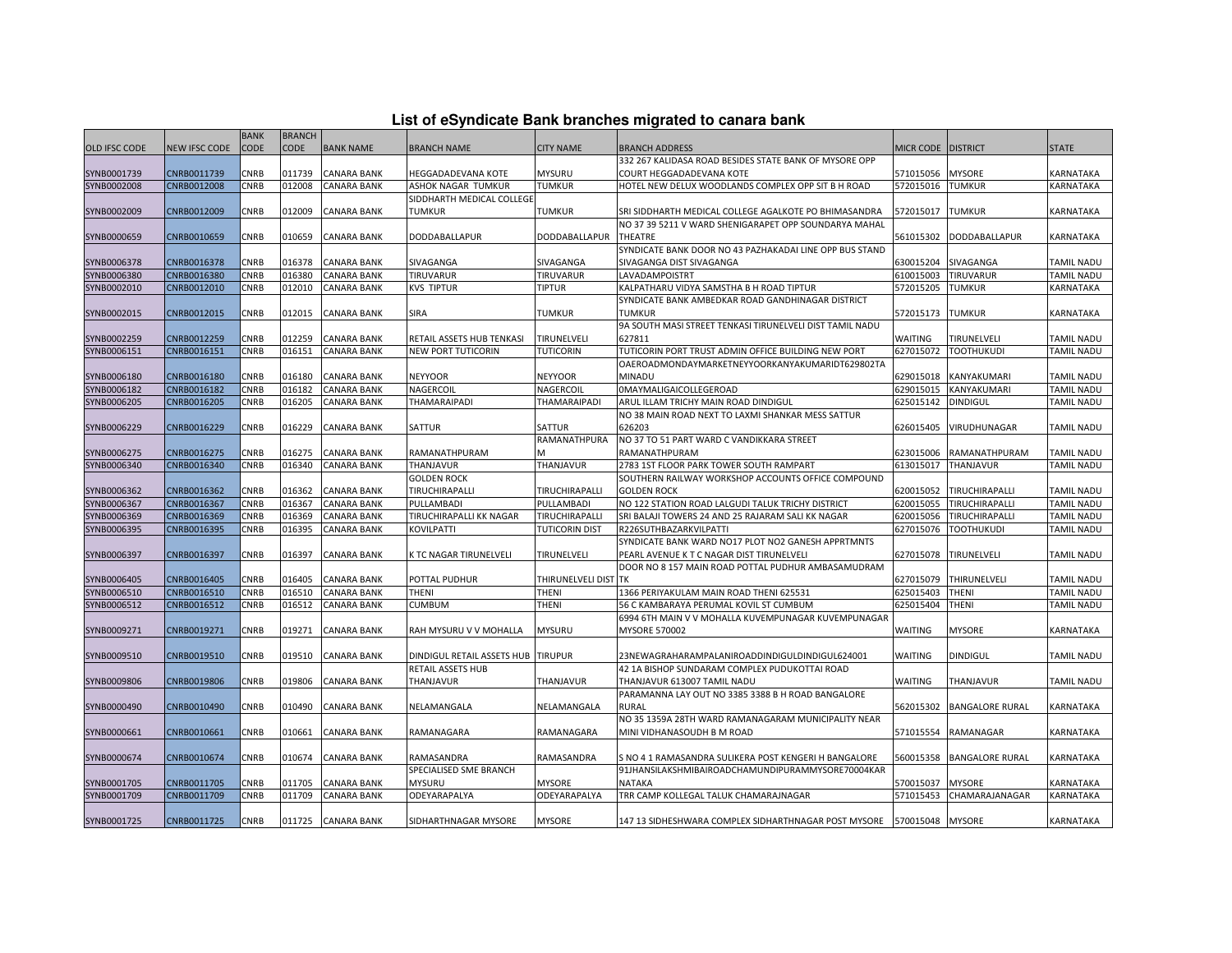|  |  | List of eSyndicate Bank branches migrated to canara bank |  |
|--|--|----------------------------------------------------------|--|
|--|--|----------------------------------------------------------|--|

|                      |               | <b>BANK</b> | <b>BRANCH</b> |                    |                                    |                       |                                                          |                  |                        |                   |
|----------------------|---------------|-------------|---------------|--------------------|------------------------------------|-----------------------|----------------------------------------------------------|------------------|------------------------|-------------------|
| <b>OLD IFSC CODE</b> | NEW IFSC CODE | <b>CODE</b> | <b>CODE</b>   | <b>BANK NAME</b>   | <b>BRANCH NAME</b>                 | CITY NAME             | <b>BRANCH ADDRESS</b>                                    | <b>MICR CODE</b> | <b>DISTRICT</b>        | <b>STATE</b>      |
|                      |               |             |               |                    |                                    |                       | 332 267 KALIDASA ROAD BESIDES STATE BANK OF MYSORE OPP   |                  |                        |                   |
| SYNB0001739          | CNRB0011739   | CNRB        | 011739        | <b>CANARA BANK</b> | HEGGADADEVANA KOTE                 | <b>MYSURU</b>         | COURT HEGGADADEVANA KOTE                                 | 571015056        | <b>MYSORE</b>          | KARNATAKA         |
| SYNB0002008          | CNRB0012008   | CNRB        | 012008        | <b>CANARA BANK</b> | ASHOK NAGAR TUMKUR                 | TUMKUR                | HOTEL NEW DELUX WOODLANDS COMPLEX OPP SIT B H ROAD       | 572015016        | <b>TUMKUR</b>          | KARNATAKA         |
|                      |               |             |               |                    | SIDDHARTH MEDICAL COLLEGE          |                       |                                                          |                  |                        |                   |
| SYNB0002009          | CNRB0012009   | CNRB        | 012009        | <b>CANARA BANK</b> | TUMKUR                             | <b>TUMKUR</b>         | SRI SIDDHARTH MEDICAL COLLEGE AGALKOTE PO BHIMASANDRA    | 572015017        | <b>TUMKUR</b>          | KARNATAKA         |
|                      |               |             |               |                    |                                    |                       | NO 37 39 5211 V WARD SHENIGARAPET OPP SOUNDARYA MAHAL    |                  |                        |                   |
| SYNB0000659          | CNRB0010659   | CNRB        | 010659        | CANARA BANK        | DODDABALLAPUR                      | DODDABALLAPUR         | <b>THEATRE</b>                                           | 561015302        | DODDABALLAPUR          | KARNATAKA         |
|                      |               |             |               |                    |                                    |                       | SYNDICATE BANK DOOR NO 43 PAZHAKADAI LINE OPP BUS STAND  |                  |                        |                   |
| SYNB0006378          | CNRB0016378   | CNRB        | 016378        | <b>CANARA BANK</b> | SIVAGANGA                          | SIVAGANGA             | SIVAGANGA DIST SIVAGANGA                                 | 630015204        | SIVAGANGA              | <b>TAMIL NADU</b> |
| SYNB0006380          | CNRB0016380   | CNRB        | 016380        | <b>CANARA BANK</b> | TIRUVARUR                          | TIRUVARUR             | LAVADAMPOISTRT                                           | 610015003        | TIRUVARUR              | TAMIL NADU        |
| SYNB0002010          | CNRB0012010   | CNRB        | 012010        | <b>CANARA BANK</b> | <b>KVS TIPTUR</b>                  | <b>TIPTUR</b>         | KALPATHARU VIDYA SAMSTHA B H ROAD TIPTUR                 | 572015205        | <b>TUMKUR</b>          | KARNATAKA         |
|                      |               |             |               |                    |                                    |                       | SYNDICATE BANK AMBEDKAR ROAD GANDHINAGAR DISTRICT        |                  |                        |                   |
| SYNB0002015          | CNRB0012015   | <b>CNRB</b> | 012015        | <b>CANARA BANK</b> | SIRA                               | <b>TUMKUR</b>         | <b>TUMKUR</b>                                            | 572015173        | <b>TUMKUR</b>          | KARNATAKA         |
|                      |               |             |               |                    |                                    |                       | 9A SOUTH MASI STREET TENKASI TIRUNELVELI DIST TAMIL NADU |                  |                        |                   |
| SYNB0002259          | CNRB0012259   | CNRB        | 012259        | <b>CANARA BANK</b> | RETAIL ASSETS HUB TENKASI          | TIRUNELVELI           | 627811                                                   | <b>WAITING</b>   | TIRUNELVELI            | <b>TAMIL NADU</b> |
| SYNB0006151          | CNRB0016151   | CNRB        | 016151        | <b>CANARA BANK</b> | NEW PORT TUTICORIN                 | <b>TUTICORIN</b>      | TUTICORIN PORT TRUST ADMIN OFFICE BUILDING NEW PORT      | 627015072        | <b>TOOTHUKUDI</b>      | <b>TAMIL NADU</b> |
|                      |               |             |               |                    |                                    |                       | OAEROADMONDAYMARKETNEYYOORKANYAKUMARIDT629802TA          |                  |                        |                   |
| SYNB0006180          | CNRB0016180   | CNRB        | 016180        | CANARA BANK        | <b>NEYYOOR</b>                     | <b>NEYYOOR</b>        | <b>MINADU</b>                                            | 629015018        | KANYAKUMARI            | <b>TAMIL NADU</b> |
| SYNB0006182          | CNRB0016182   | CNRB        | 016182        | CANARA BANK        | NAGERCOIL                          | <b>NAGERCOIL</b>      | <b>OMAYMALIGAICOLLEGEROAD</b>                            | 629015015        | KANYAKUMARI            | TAMIL NADU        |
| SYNB0006205          | CNRB0016205   | CNRB        | 016205        | <b>CANARA BANK</b> | THAMARAIPADI                       | <b>THAMARAIPADI</b>   | ARUL ILLAM TRICHY MAIN ROAD DINDIGUL                     | 625015142        | <b>DINDIGUL</b>        | TAMIL NADU        |
|                      |               |             |               |                    |                                    |                       | NO 38 MAIN ROAD NEXT TO LAXMI SHANKAR MESS SATTUR        |                  |                        |                   |
| SYNB0006229          | CNRB0016229   | CNRB        | 016229        | <b>CANARA BANK</b> | <b>SATTUR</b>                      | SATTUR                | 626203                                                   | 626015405        | <b>VIRUDHUNAGAR</b>    | TAMIL NADU        |
|                      |               |             |               |                    |                                    | RAMANATHPURA          | NO 37 TO 51 PART WARD C VANDIKKARA STREET                |                  |                        |                   |
| SYNB0006275          | CNRB0016275   | CNRB        | 016275        | <b>CANARA BANK</b> | RAMANATHPURAM                      | м                     | RAMANATHPURAM                                            | 623015006        | RAMANATHPURAM          | <b>TAMIL NADU</b> |
| SYNB0006340          | CNRB0016340   | CNRB        | 016340        | <b>CANARA BANK</b> | THANJAVUR                          | THANJAVUR             | 2783 1ST FLOOR PARK TOWER SOUTH RAMPART                  | 613015017        | <b>THANJAVUR</b>       | TAMIL NADU        |
|                      |               |             |               |                    | <b>GOLDEN ROCK</b>                 |                       | SOUTHERN RAILWAY WORKSHOP ACCOUNTS OFFICE COMPOUND       |                  |                        |                   |
| SYNB0006362          | CNRB0016362   | CNRB        | 016362        | <b>CANARA BANK</b> | TIRUCHIRAPALLI                     | TIRUCHIRAPALLI        | <b>GOLDEN ROCK</b>                                       | 620015052        | TIRUCHIRAPALLI         | TAMIL NADU        |
| SYNB0006367          | CNRB0016367   | CNRB        | 016367        | <b>CANARA BANK</b> | PULLAMBADI                         | PULLAMBADI            | NO 122 STATION ROAD LALGUDI TALUK TRICHY DISTRICT        | 620015055        | TIRUCHIRAPALLI         | <b>TAMIL NADU</b> |
| SYNB0006369          | CNRB0016369   | CNRB        | 016369        | CANARA BANK        | TIRUCHIRAPALLI KK NAGAR            | TIRUCHIRAPALLI        | SRI BALAJI TOWERS 24 AND 25 RAJARAM SALI KK NAGAR        | 620015056        | TIRUCHIRAPALLI         | TAMIL NADU        |
| SYNB0006395          | CNRB0016395   | CNRB        | 016395        | CANARA BANK        | KOVILPATTI                         | <b>TUTICORIN DIST</b> | R226SUTHBAZARKVILPATTI                                   | 627015076        | <b>TOOTHUKUDI</b>      | <b>TAMIL NADU</b> |
|                      |               |             |               |                    |                                    |                       | SYNDICATE BANK WARD NO17 PLOT NO2 GANESH APPRTMNTS       |                  |                        |                   |
| SYNB0006397          | CNRB0016397   | CNRB        | 016397        | CANARA BANK        | K TC NAGAR TIRUNELVELI             | TIRUNELVELI           | PEARL AVENUE K T C NAGAR DIST TIRUNELVELI                | 627015078        | TIRUNELVELI            | <b>TAMIL NADU</b> |
|                      |               |             |               |                    |                                    |                       | DOOR NO 8 157 MAIN ROAD POTTAL PUDHUR AMBASAMUDRAM       |                  |                        |                   |
| SYNB0006405          | CNRB0016405   | CNRB        | 016405        | <b>CANARA BANK</b> | POTTAL PUDHUR                      | THIRUNELVELI DIST TK  |                                                          | 627015079        | THIRUNELVELI           | TAMIL NADU        |
| SYNB0006510          | CNRB0016510   | CNRB        | 016510        | <b>CANARA BANK</b> | THENI                              | THENI                 | 1366 PERIYAKULAM MAIN ROAD THENI 625531                  | 625015403        | THENI                  | TAMIL NADU        |
| SYNB0006512          | CNRB0016512   | CNRB        | 016512        | <b>CANARA BANK</b> | CUMBUM                             | THENI                 | 56 C KAMBARAYA PERUMAL KOVIL ST CUMBUM                   | 625015404        | THENI                  | TAMIL NADU        |
|                      |               |             |               |                    |                                    |                       | 6994 6TH MAIN V V MOHALLA KUVEMPUNAGAR KUVEMPUNAGAR      |                  |                        |                   |
| SYNB0009271          | CNRB0019271   | CNRB        | 019271        | <b>CANARA BANK</b> | RAH MYSURU V V MOHALLA             | <b>MYSURU</b>         | <b>MYSORE 570002</b>                                     | WAITING          | <b>MYSORE</b>          | KARNATAKA         |
|                      |               |             |               |                    |                                    |                       |                                                          |                  |                        |                   |
| SYNB0009510          | CNRB0019510   | CNRB        | 019510        | CANARA BANK        | DINDIGUL RETAIL ASSETS HUB TIRUPUR |                       | 23NEWAGRAHARAMPALANIROADDINDIGULDINDIGUL624001           | <b>WAITING</b>   | <b>DINDIGUL</b>        | <b>TAMIL NADU</b> |
|                      |               |             |               |                    | RETAIL ASSETS HUB                  |                       | 42 1A BISHOP SUNDARAM COMPLEX PUDUKOTTAI ROAD            |                  |                        |                   |
| SYNB0009806          | CNRB0019806   | CNRB        | 019806        | <b>CANARA BANK</b> | THANJAVUR                          | THANJAVUR             | THANJAVUR 613007 TAMIL NADU                              | <b>WAITING</b>   | THANJAVUR              | TAMIL NADU        |
|                      |               |             |               |                    |                                    |                       | PARAMANNA LAY OUT NO 3385 3388 B H ROAD BANGALORE        |                  |                        |                   |
| SYNB0000490          | CNRB0010490   | CNRB        | 010490        | <b>CANARA BANK</b> | NELAMANGALA                        | NELAMANGALA           | <b>RURAL</b>                                             | 562015302        | <b>BANGALORE RURAL</b> | KARNATAKA         |
|                      |               |             |               |                    |                                    |                       | NO 35 1359A 28TH WARD RAMANAGARAM MUNICIPALITY NEAR      |                  |                        |                   |
| SYNB0000661          | CNRB0010661   | CNRB        | 010661        | CANARA BANK        | RAMANAGARA                         | RAMANAGARA            | MINI VIDHANASOUDH B M ROAD                               | 571015554        | RAMANAGAR              | KARNATAKA         |
|                      |               |             |               |                    |                                    |                       |                                                          |                  |                        |                   |
| SYNB0000674          | CNRB0010674   | CNRB        | 010674        | <b>CANARA BANK</b> | RAMASANDRA                         | RAMASANDRA            | S NO 4 1 RAMASANDRA SULIKERA POST KENGERI H BANGALORE    | 560015358        | <b>BANGALORE RURAL</b> | KARNATAKA         |
|                      |               |             |               |                    | SPECIALISED SME BRANCH             |                       | 91JHANSILAKSHMIBAIROADCHAMUNDIPURAMMYSORE70004KAR        |                  |                        |                   |
| SYNB0001705          | CNRB0011705   | CNRB        | 011705        | <b>CANARA BANK</b> | <b>MYSURU</b>                      | <b>MYSORE</b>         | <b>NATAKA</b>                                            | 570015037        | <b>MYSORE</b>          | KARNATAKA         |
| SYNB0001709          | CNRB0011709   | CNRB        | 011709        | CANARA BANK        | ODEYARAPALYA                       | ODEYARAPALYA          | TRR CAMP KOLLEGAL TALUK CHAMARAJNAGAR                    | 571015453        | CHAMARAJANAGAR         | <b>KARNATAKA</b>  |
|                      |               |             |               |                    |                                    |                       |                                                          |                  |                        |                   |
| SYNB0001725          | CNRB0011725   | <b>CNRB</b> |               | 011725 CANARA BANK | SIDHARTHNAGAR MYSORE               | <b>MYSORE</b>         | 147 13 SIDHESHWARA COMPLEX SIDHARTHNAGAR POST MYSORE     | 570015048        | <b>MYSORE</b>          | KARNATAKA         |
|                      |               |             |               |                    |                                    |                       |                                                          |                  |                        |                   |